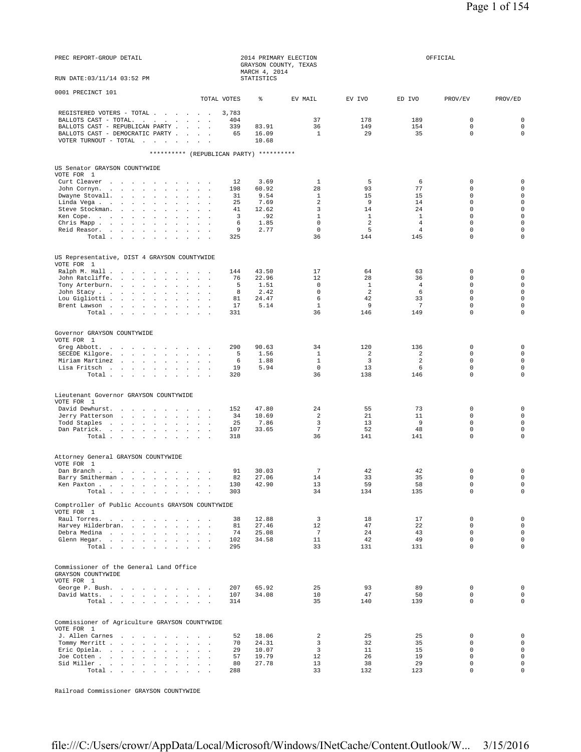| PREC REPORT-GROUP DETAIL                                                                                                                                                                                                                     |                                   | 2014 PRIMARY ELECTION<br>GRAYSON COUNTY, TEXAS<br>MARCH 4, 2014      |                                                                       |                                                                   |                                                                    | OFFICIAL                                                                                                          |                                                                                                                                |
|----------------------------------------------------------------------------------------------------------------------------------------------------------------------------------------------------------------------------------------------|-----------------------------------|----------------------------------------------------------------------|-----------------------------------------------------------------------|-------------------------------------------------------------------|--------------------------------------------------------------------|-------------------------------------------------------------------------------------------------------------------|--------------------------------------------------------------------------------------------------------------------------------|
| RUN DATE: 03/11/14 03:52 PM                                                                                                                                                                                                                  |                                   | <b>STATISTICS</b>                                                    |                                                                       |                                                                   |                                                                    |                                                                                                                   |                                                                                                                                |
| 0001 PRECINCT 101                                                                                                                                                                                                                            | TOTAL VOTES                       | ⊱                                                                    | EV MAIL                                                               | EV IVO                                                            | ED IVO                                                             | PROV/EV                                                                                                           | PROV/ED                                                                                                                        |
| REGISTERED VOTERS - TOTAL<br>BALLOTS CAST - TOTAL.<br>BALLOTS CAST - REPUBLICAN PARTY<br>BALLOTS CAST - DEMOCRATIC PARTY<br>VOTER TURNOUT - TOTAL                                                                                            | 3,783<br>404<br>339<br>65         | 83.91<br>16.09<br>10.68                                              | 37<br>36<br>$\mathbf{1}$                                              | 178<br>149<br>29                                                  | 189<br>154<br>35                                                   | $\mathbf 0$<br>$\mathbf 0$<br>$\mathbf 0$                                                                         | $\mathbf 0$<br>$\mathbf 0$<br>$\mathbf 0$                                                                                      |
| ********** (REPUBLICAN PARTY) **********                                                                                                                                                                                                     |                                   |                                                                      |                                                                       |                                                                   |                                                                    |                                                                                                                   |                                                                                                                                |
| US Senator GRAYSON COUNTYWIDE<br>VOTE FOR 1<br>Curt Cleaver                                                                                                                                                                                  | 12                                | 3.69                                                                 | 1                                                                     | 5                                                                 | 6                                                                  | $\mathbf 0$                                                                                                       | $\mathbf 0$                                                                                                                    |
| John Cornyn<br>Dwayne Stovall.<br>Linda Vega<br>Steve Stockman.<br>$\mathbf{r}$ and $\mathbf{r}$<br>Ken Cope.<br>Chris Mapp<br>$\sim$<br>$\sim$ $\sim$ $\sim$<br>Reid Reasor.<br>Total $\cdots$ $\cdots$ $\cdots$<br>$\sim$<br>$\sim$ $\sim$ | 198<br>31<br>25<br>41<br>325      | 60.92<br>9.54<br>7.69<br>12.62<br>.92<br>3<br>6<br>1.85<br>9<br>2.77 | 28<br>1<br>2<br>3<br>$\mathbf{1}$<br>$\mathbf 0$<br>$\mathbb O$<br>36 | 93<br>15<br>9<br>14<br><sup>1</sup><br>$\overline{a}$<br>5<br>144 | 77<br>15<br>14<br>24<br><sup>1</sup><br>4<br>$\overline{4}$<br>145 | $\mathbf 0$<br>$\mathbf 0$<br>$\mathbf 0$<br>$\Omega$<br>$\mathbf 0$<br>$\mathbf 0$<br>$\mathbf 0$<br>$\mathbf 0$ | $\mathsf 0$<br>$\mathsf 0$<br>$\mathsf 0$<br>$\mathbf 0$<br>$\mathbf 0$<br>$\mathbf 0$<br>$\mathbf{0}$<br>$\mathsf 0$          |
|                                                                                                                                                                                                                                              |                                   |                                                                      |                                                                       |                                                                   |                                                                    |                                                                                                                   |                                                                                                                                |
| US Representative, DIST 4 GRAYSON COUNTYWIDE<br>VOTE FOR 1<br>Ralph M. Hall                                                                                                                                                                  | 144                               | 43.50                                                                | 17                                                                    | 64                                                                | 63                                                                 | $\mathbf 0$                                                                                                       | $\mathsf 0$                                                                                                                    |
| John Ratcliffe.<br>Tony Arterburn.<br>$\sim$<br>$\sim$<br>$\sim$ $\sim$<br>John Stacy<br>$\mathbf{r} = \mathbf{r} + \mathbf{r}$<br>Lou Gigliotti<br>Brent Lawson<br>$\sim$<br>$\sim$<br>Total                                                | 76<br>81<br>17<br>331             | 22.96<br>1.51<br>5<br>8<br>2.42<br>24.47<br>5.14                     | 12<br>$\mathbf 0$<br>$\mathbf 0$<br>6<br>$\mathbf{1}$<br>36           | 28<br>$\mathbf{1}$<br>2<br>42<br>9<br>146                         | 36<br>4<br>6<br>33<br>$7\phantom{.0}$<br>149                       | $\mathbf 0$<br>$\mathbf 0$<br>$\mathbf 0$<br>$\mathbf 0$<br>$\mathbf 0$<br>$\mathbf 0$                            | $\mathsf 0$<br>$\mathsf 0$<br>$\mathbf 0$<br>$\mathbf{0}$<br>$\mathbf 0$<br>$\mathsf{O}\xspace$                                |
| Governor GRAYSON COUNTYWIDE                                                                                                                                                                                                                  |                                   |                                                                      |                                                                       |                                                                   |                                                                    |                                                                                                                   |                                                                                                                                |
| VOTE FOR 1<br>Greg Abbott.<br>SECEDE Kilgore.<br>$\sim$<br>Miriam Martinez<br><b>All Angeles</b><br>Lisa Fritsch<br><b>Carl Carl Co</b><br>Total                                                                                             | 290<br>19<br>320                  | 90.63<br>1.56<br>5<br>6<br>1.88<br>5.94                              | 34<br>1<br>$\mathbf{1}$<br>$\mathbf 0$<br>36                          | 120<br>2<br>3<br>13<br>138                                        | 136<br>2<br>2<br>6<br>146                                          | 0<br>$\mathbf 0$<br>$\mathbf 0$<br>$\mathbf 0$<br>$\mathbf 0$                                                     | $\mathsf{O}\xspace$<br>$\mathsf{O}\xspace$<br>$\mathsf{O}\xspace$<br>$\mathsf{O}\xspace$<br>$\mathbf 0$                        |
| Lieutenant Governor GRAYSON COUNTYWIDE                                                                                                                                                                                                       |                                   |                                                                      |                                                                       |                                                                   |                                                                    |                                                                                                                   |                                                                                                                                |
| VOTE FOR 1<br>David Dewhurst.<br>Jerry Patterson<br>Todd Staples<br>Dan Patrick.<br>Total                                                                                                                                                    | 152<br>34<br>25<br>107<br>318     | 47.80<br>10.69<br>7.86<br>33.65                                      | 24<br>2<br>3<br>$7\phantom{.0}$<br>36                                 | 55<br>21<br>13<br>52<br>141                                       | 73<br>11<br>9<br>48<br>141                                         | $\mathbf 0$<br>$\mathbf 0$<br>$\mathbf 0$<br>$\mathbf 0$<br>$\mathbf 0$                                           | $\mathbf 0$<br>$\mathbf 0$<br>$\mathbf 0$<br>$\mathsf{O}\xspace$<br>$\mathbf 0$                                                |
| Attorney General GRAYSON COUNTYWIDE                                                                                                                                                                                                          |                                   |                                                                      |                                                                       |                                                                   |                                                                    |                                                                                                                   |                                                                                                                                |
| VOTE FOR 1<br>Dan Branch.<br>Barry Smitherman<br>Ken Paxton<br>$\sim$<br>Total<br>$\sim$<br>$\sim$                                                                                                                                           | 91<br>130<br>303                  | 30.03<br>27.06<br>82 —<br>42.90                                      | $\overline{7}$<br>14<br>13<br>34                                      | 42<br>33<br>59<br>134                                             | 42<br>35<br>58<br>135                                              | $\mathbf 0$<br>$\mathbf 0$<br>$\mathsf 0$<br>$\mathbf 0$                                                          | $\mathsf 0$<br>0<br>$\mathsf{O}\xspace$<br>$\mathbf 0$                                                                         |
| Comptroller of Public Accounts GRAYSON COUNTYWIDE                                                                                                                                                                                            |                                   |                                                                      |                                                                       |                                                                   |                                                                    |                                                                                                                   |                                                                                                                                |
| VOTE FOR 1<br>Raul Torres.<br>and the state of the state of<br>$\overline{\phantom{a}}$<br>Harvey Hilderbran.<br>$\sim$ $\sim$<br>Debra Medina<br>Glenn Hegar.<br>$\sim$ $\sim$ $\sim$<br>Total                                              | 38<br>81<br>74<br>102<br>295      | 12.88<br>27.46<br>25.08<br>34.58                                     | $\overline{3}$<br>12<br>7<br>11<br>33                                 | 18<br>47<br>24<br>42<br>131                                       | 17<br>22<br>43<br>49<br>131                                        | $\mathsf 0$<br>$\mathbf 0$<br>$\Omega$<br>$\mathbf 0$<br>$\mathbf 0$                                              | $\mathsf{O}\xspace$<br>$\mathsf{O}\xspace$<br>$\mathbf 0$<br>$\mathbf 0$<br>$\mathbf 0$                                        |
| Commissioner of the General Land Office<br>GRAYSON COUNTYWIDE                                                                                                                                                                                |                                   |                                                                      |                                                                       |                                                                   |                                                                    |                                                                                                                   |                                                                                                                                |
| VOTE FOR 1<br>George P. Bush.<br>David Watts.<br>Total                                                                                                                                                                                       | 207<br>107<br>314                 | 65.92<br>34.08                                                       | 25<br>10<br>35                                                        | 93<br>47<br>140                                                   | 89<br>50<br>139                                                    | $\mathbf 0$<br>$\mathbf 0$<br>$\mathbf 0$                                                                         | $\mathbf 0$<br>$\mathsf{O}\xspace$<br>$\mathsf{O}\xspace$                                                                      |
| Commissioner of Agriculture GRAYSON COUNTYWIDE                                                                                                                                                                                               |                                   |                                                                      |                                                                       |                                                                   |                                                                    |                                                                                                                   |                                                                                                                                |
| VOTE FOR 1<br>J. Allen Carnes<br>Tommy Merritt<br>$\sim$<br>$\sim$ $\sim$<br>Eric Opiela.<br>$\sim$<br>Joe Cotten<br>$\sim$<br>$\sim$ $\sim$<br>Sid Miller<br>$\sim$ $\sim$<br>Total $\cdots$ $\cdots$ $\cdots$<br>$\sim$                    | 52<br>70<br>29<br>57<br>80<br>288 | 18.06<br>24.31<br>10.07<br>19.79<br>27.78                            | 2<br>3<br>$\overline{3}$<br>12<br>13<br>33                            | 25<br>32<br>11<br>26<br>38<br>132                                 | 25<br>35<br>15<br>19<br>29<br>123                                  | $\mathbf 0$<br>$\mathbf 0$<br>$\mathsf 0$<br>$\Omega$<br>$\mathbf 0$<br>$\mathbf 0$                               | $\mathsf{O}\xspace$<br>$\mathsf{O}\xspace$<br>$\mathsf{O}\xspace$<br>$\mathbf 0$<br>$\mathsf{O}\xspace$<br>$\mathsf{O}\xspace$ |

Railroad Commissioner GRAYSON COUNTYWIDE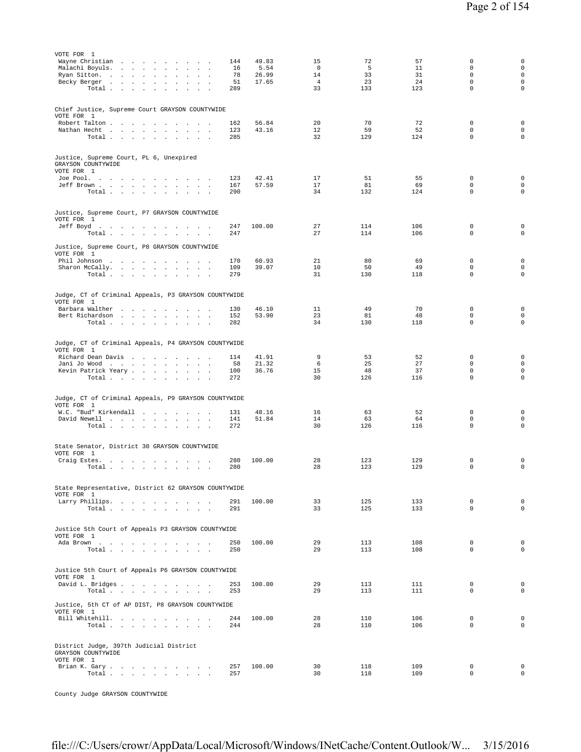| VOTE FOR 1<br>Wayne Christian<br>Malachi Boyuls.<br>the contract of the con-<br>$\sim$<br>$\sim$<br>$\sim$<br>$\sim$<br>Ryan Sitton.<br>the company of the company of<br>$\sim$<br>Becky Berger<br>$\ddot{\phantom{0}}$<br>$\sim$<br>Total<br>$\cdot$<br>$\blacksquare$ | 144<br>16<br>78<br>51<br>289 | 49.83<br>5.54<br>26.99<br>17.65 | 15<br>$\mathbf{0}$<br>14<br>$\overline{4}$<br>33 | 72<br>5<br>33<br>23<br>133 | 57<br>11<br>31<br>24<br>123 | 0<br>$\mathbf 0$<br>$\Omega$<br>$\mathbf 0$<br>$\Omega$ | $\mathsf{O}\xspace$<br>$\mathbf 0$<br>$\mathsf 0$<br>$\mathbf 0$<br>$\mathbf 0$ |
|-------------------------------------------------------------------------------------------------------------------------------------------------------------------------------------------------------------------------------------------------------------------------|------------------------------|---------------------------------|--------------------------------------------------|----------------------------|-----------------------------|---------------------------------------------------------|---------------------------------------------------------------------------------|
| Chief Justice, Supreme Court GRAYSON COUNTYWIDE<br>VOTE FOR 1<br>Robert Talton<br>Nathan Hecht<br>Total                                                                                                                                                                 | 162<br>123<br>285            | 56.84<br>43.16                  | 20<br>$12 \overline{ }$<br>32                    | 70<br>59<br>129            | 72<br>52<br>124             | $\mathbf 0$<br>$\mathbf 0$<br>$\mathbf 0$               | $\mathbf 0$<br>$\mathbf 0$<br>$\mathbf 0$                                       |
| Justice, Supreme Court, PL 6, Unexpired<br>GRAYSON COUNTYWIDE<br>VOTE FOR 1<br>Joe Pool.<br>Jeff Brown<br>and a state of the state of the<br>Total                                                                                                                      | 123<br>167<br>290            | 42.41<br>57.59                  | 17<br>17<br>34                                   | 51<br>81<br>132            | 55<br>69<br>124             | $\mathbf 0$<br>$\mathbf 0$<br>$\mathbf 0$               | $\mathbf 0$<br>$\mathbf 0$<br>$\mathbf 0$                                       |
| Justice, Supreme Court, P7 GRAYSON COUNTYWIDE<br>VOTE FOR 1<br>Jeff Boyd.<br>Total<br>Justice, Supreme Court, P8 GRAYSON COUNTYWIDE                                                                                                                                     | 247<br>247                   | 100.00                          | 27<br>27                                         | 114<br>114                 | 106<br>106                  | $\mathbf 0$<br>$\mathbf 0$                              | $\mathsf{O}\xspace$<br>$\mathbf 0$                                              |
| VOTE FOR 1<br>Phil Johnson<br>Sharon McCally.<br>$\sim$<br>$\sim$<br>$\sim$ $\sim$ $\sim$<br>Total                                                                                                                                                                      | 170<br>109<br>279            | 60.93<br>39.07                  | 21<br>10<br>31                                   | 80<br>50<br>130            | 69<br>49<br>118             | $\mathbf 0$<br>$\mathbf 0$<br>$\mathbf 0$               | $\mathbf 0$<br>$\mathbf 0$<br>$\mathsf 0$                                       |
| Judge, CT of Criminal Appeals, P3 GRAYSON COUNTYWIDE<br>VOTE FOR 1<br>Barbara Walther<br>Bert Richardson<br>Total $\cdots$ $\cdots$ $\cdots$ $\cdots$                                                                                                                   | 130<br>152<br>282            | 46.10<br>53.90                  | 11<br>23<br>34                                   | 49<br>81<br>130            | 70<br>48<br>118             | 0<br>$\mathbf 0$<br>$\mathbf 0$                         | 0<br>$\mathbf 0$<br>$\mathsf 0$                                                 |
| Judge, CT of Criminal Appeals, P4 GRAYSON COUNTYWIDE<br>VOTE FOR 1<br>Richard Dean Davis<br>Jani Jo Wood<br>$\sim$<br>$\sim$<br>$\sim$ $\sim$ $\sim$<br>Kevin Patrick Yeary<br>Total $\ldots$ $\ldots$ $\ldots$                                                         | 114<br>58<br>100<br>272      | 41.91<br>21.32<br>36.76         | 9<br>6<br>15<br>30                               | 53<br>25<br>48<br>126      | 52<br>27<br>37<br>116       | $\mathbf 0$<br>$\mathsf 0$<br>$\Omega$<br>$\mathbf 0$   | $\mathsf{O}\xspace$<br>$\mathsf{O}\xspace$<br>$\mathbf 0$<br>$\mathbf 0$        |
| Judge, CT of Criminal Appeals, P9 GRAYSON COUNTYWIDE<br>VOTE FOR 1<br>W.C. "Bud" Kirkendall<br>David Newell<br>Total $\cdots$ $\cdots$ $\cdots$                                                                                                                         | 131<br>141<br>272            | 48.16<br>51.84                  | 16<br>14<br>30                                   | 63<br>63<br>126            | 52<br>64<br>116             | $\mathbf 0$<br>$\mathbf 0$<br>$\mathbf 0$               | $\mathbf 0$<br>$\mathbf 0$<br>$\mathbf 0$                                       |
| State Senator, District 30 GRAYSON COUNTYWIDE<br>VOTE FOR 1<br>Craig Estes.<br>Total                                                                                                                                                                                    | 280<br>280                   | 100.00                          | 28<br>28                                         | 123<br>123                 | 129<br>129                  | 0<br>$\mathbf 0$                                        | 0<br>$\mathbf 0$                                                                |
| State Representative, District 62 GRAYSON COUNTYWIDE<br>VOTE FOR 1<br>Larry Phillips.<br>Total $\cdots$ $\cdots$ $\cdots$                                                                                                                                               | 291<br>291                   | 100.00                          | 33<br>33                                         | 125<br>125                 | 133<br>133                  | $\mathbf 0$<br>$\mathbf 0$                              | $\mathbf 0$<br>$\mathbf 0$                                                      |
| Justice 5th Court of Appeals P3 GRAYSON COUNTYWIDE<br>VOTE FOR 1<br>Ada Brown<br>$\texttt{Total} \quad . \quad . \quad . \quad . \quad . \quad . \quad . \quad . \quad .$                                                                                               | 250<br>250                   | 100.00                          | 29<br>29                                         | 113<br>113                 | 108<br>108                  | $\mathbf 0$<br>$\mathbf 0$                              | $\mathbf 0$<br>$\mathbf 0$                                                      |
| Justice 5th Court of Appeals P6 GRAYSON COUNTYWIDE<br>VOTE FOR 1<br>David L. Bridges<br>Total<br>Justice, 5th CT of AP DIST, P8 GRAYSON COUNTYWIDE<br>VOTE FOR 1                                                                                                        | 253<br>253                   | 100.00                          | 29<br>29                                         | 113<br>113                 | 111<br>111                  | $\mathbf 0$<br>$\mathbf 0$                              | $\mathbf 0$<br>$\mathbf 0$                                                      |
| Bill Whitehill.<br>Total $\cdots$ $\cdots$ $\cdots$ $\cdots$<br>District Judge, 397th Judicial District                                                                                                                                                                 | 244<br>244                   | 100.00                          | 28<br>28                                         | 110<br>110                 | 106<br>106                  | $\mathbf 0$<br>$\mathbf 0$                              | $\mathbf 0$<br>$\mathbf 0$                                                      |
| GRAYSON COUNTYWIDE<br>VOTE FOR 1<br>Brian K. Gary.<br>Total                                                                                                                                                                                                             | 257<br>257                   | 100.00                          | 30<br>30                                         | 118<br>118                 | 109<br>109                  | 0<br>$\mathbf 0$                                        | $\mathbf 0$<br>$\mathbf 0$                                                      |

County Judge GRAYSON COUNTYWIDE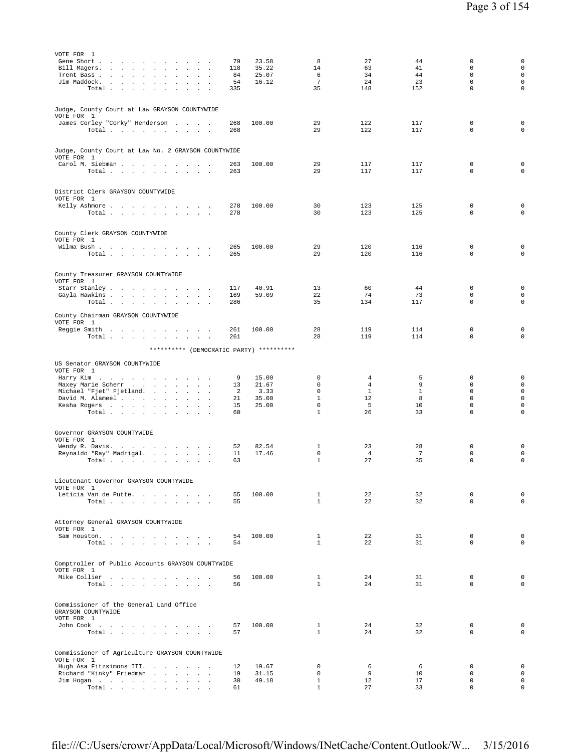| VOTE FOR 1<br>Gene Short .<br>the contract of the contract of<br>$\overline{\phantom{a}}$                            | 79       | 23.58          | 8                            | 27                             | 44                    | 0                          | 0                          |
|----------------------------------------------------------------------------------------------------------------------|----------|----------------|------------------------------|--------------------------------|-----------------------|----------------------------|----------------------------|
| Bill Magers.                                                                                                         | 118      | 35.22          | 14                           | 63                             | 41                    | $\mathbf 0$                | $\mathbf 0$                |
| Trent Bass<br>$\ddot{\phantom{a}}$<br>$\ddot{\phantom{a}}$<br>$\ddot{\phantom{a}}$<br>$\overline{a}$<br>Jim Maddock. | 84<br>54 | 25.07<br>16.12 | 6<br>$7\phantom{.0}$         | 34<br>24                       | 44<br>23              | $\mathbf 0$<br>$\Omega$    | $\mathbf 0$<br>0           |
| Total<br>$\sim$<br>$\sim$                                                                                            | 335      |                | 35                           | 148                            | 152                   | $\mathbf 0$                | $\mathbf 0$                |
|                                                                                                                      |          |                |                              |                                |                       |                            |                            |
| Judge, County Court at Law GRAYSON COUNTYWIDE                                                                        |          |                |                              |                                |                       |                            |                            |
| VOTE FOR 1<br>James Corley "Corky" Henderson                                                                         | 268      | 100.00         | 29                           | 122                            | 117                   | $\mathsf 0$                | $\mathsf{O}\xspace$        |
| Total                                                                                                                | 268      |                | 29                           | 122                            | 117                   | $\mathbf 0$                | $\mathbf 0$                |
|                                                                                                                      |          |                |                              |                                |                       |                            |                            |
| Judge, County Court at Law No. 2 GRAYSON COUNTYWIDE                                                                  |          |                |                              |                                |                       |                            |                            |
| VOTE FOR 1<br>Carol M. Siebman                                                                                       | 263      | 100.00         | 29                           | 117                            | 117                   | 0                          | 0                          |
| Total                                                                                                                | 263      |                | 29                           | 117                            | 117                   | $\mathbf 0$                | $\mathbf 0$                |
|                                                                                                                      |          |                |                              |                                |                       |                            |                            |
| District Clerk GRAYSON COUNTYWIDE                                                                                    |          |                |                              |                                |                       |                            |                            |
| VOTE FOR 1<br>Kelly Ashmore                                                                                          | 278      | 100.00         | 30                           | 123                            | 125                   | 0                          | $\mathsf{O}\xspace$        |
| Total                                                                                                                | 278      |                | 30                           | 123                            | 125                   | $\mathbf 0$                | $\mathbf 0$                |
|                                                                                                                      |          |                |                              |                                |                       |                            |                            |
| County Clerk GRAYSON COUNTYWIDE                                                                                      |          |                |                              |                                |                       |                            |                            |
| VOTE FOR 1<br>Wilma Bush                                                                                             | 265      | 100.00         | 29                           | 120                            | 116                   | $\mathbf 0$                | $\mathsf{O}\xspace$        |
| Total $\cdots$ $\cdots$<br>$\sim$ $-$<br>and the control                                                             | 265      |                | 29                           | 120                            | 116                   | $\mathsf 0$                | $\mathsf 0$                |
|                                                                                                                      |          |                |                              |                                |                       |                            |                            |
| County Treasurer GRAYSON COUNTYWIDE                                                                                  |          |                |                              |                                |                       |                            |                            |
| VOTE FOR 1<br>Starr Stanley<br>$\sim$                                                                                | 117      | 40.91          | 13                           | 60                             | 44                    | $\mathsf 0$                | $\mathsf 0$                |
| Gayla Hawkins                                                                                                        | 169      | 59.09          | 22                           | 74                             | 73                    | $\mathbf 0$                | $\mathbf 0$                |
| Total<br>$\sim 10$<br><b>Sales Advised Street</b>                                                                    | 286      |                | 35                           | 134                            | 117                   | $\mathbf 0$                | $\mathbf 0$                |
| County Chairman GRAYSON COUNTYWIDE                                                                                   |          |                |                              |                                |                       |                            |                            |
| VOTE FOR 1<br>Reggie Smith                                                                                           | 261      | 100.00         | 28                           | 119                            | 114                   | 0                          | $\mathsf 0$                |
| Total                                                                                                                | 261      |                | 28                           | 119                            | 114                   | $\mathbf 0$                | $\mathsf 0$                |
| ********** (DEMOCRATIC PARTY) **********                                                                             |          |                |                              |                                |                       |                            |                            |
|                                                                                                                      |          |                |                              |                                |                       |                            |                            |
| US Senator GRAYSON COUNTYWIDE<br>VOTE FOR 1                                                                          |          |                |                              |                                |                       |                            |                            |
| Harry Kim                                                                                                            | 9        | 15.00          | $\mathbf 0$                  | 4                              | 5                     | 0                          | $\mathsf{O}\xspace$        |
| Maxey Marie Scherr<br>Michael "Fjet" Fjetland.                                                                       | 13<br>2  | 21.67<br>3.33  | $\mathbf 0$<br>$\mathbf 0$   | $\overline{4}$<br>$\mathbf{1}$ | 9<br>$\mathbf{1}$     | $\mathbf 0$<br>$\mathbf 0$ | $\mathbf 0$<br>$\mathbf 0$ |
| David M. Alameel                                                                                                     | 21       | 35.00          | $\mathbf{1}$                 | 12                             | 8                     | $\mathbf 0$                | $\mathbf 0$                |
| Kesha Rogers<br>$\sim$ $\sim$<br>$\ddot{\phantom{a}}$<br>Total                                                       | 15<br>60 | 25.00          | $\mathbf 0$<br>$\mathbf{1}$  | 5<br>26                        | 10<br>33              | $\mathbf 0$<br>0           | $\mathbf 0$<br>0           |
|                                                                                                                      |          |                |                              |                                |                       |                            |                            |
| Governor GRAYSON COUNTYWIDE                                                                                          |          |                |                              |                                |                       |                            |                            |
| VOTE FOR 1                                                                                                           |          |                |                              |                                |                       |                            |                            |
| Wendy R. Davis.<br>Reynaldo "Ray" Madrigal.                                                                          | 52<br>11 | 82.54<br>17.46 | 1<br>$\mathbf 0$             | 23<br>$\overline{4}$           | 28<br>$7\phantom{.0}$ | $\mathbf 0$<br>0           | 0<br>$\mathbf 0$           |
| Total                                                                                                                | 63       |                | $\mathbf{1}$                 | 27                             | 35                    | $\mathbf 0$                | $\mathbf 0$                |
|                                                                                                                      |          |                |                              |                                |                       |                            |                            |
| Lieutenant Governor GRAYSON COUNTYWIDE                                                                               |          |                |                              |                                |                       |                            |                            |
| VOTE FOR 1<br>Leticia Van de Putte.                                                                                  | 55       | 100.00         | $\mathbf{1}$                 | 22                             | 32                    | 0                          | $\mathsf 0$                |
| Total<br>$\sim 10^{-1}$ km $^{-1}$                                                                                   | 55       |                | $\mathbf{1}$                 | 22                             | 32                    | $\Omega$                   | $\mathbf 0$                |
|                                                                                                                      |          |                |                              |                                |                       |                            |                            |
| Attorney General GRAYSON COUNTYWIDE                                                                                  |          |                |                              |                                |                       |                            |                            |
| VOTE FOR 1<br>Sam Houston.                                                                                           | 54       | 100.00         | $\mathbf{1}$                 | 22                             | 31                    | $\mathbf 0$                | $\mathsf 0$                |
| Total                                                                                                                | 54       |                | $\mathbf{1}$                 | 22                             | 31                    | $\Omega$                   | $\mathbf 0$                |
|                                                                                                                      |          |                |                              |                                |                       |                            |                            |
| Comptroller of Public Accounts GRAYSON COUNTYWIDE                                                                    |          |                |                              |                                |                       |                            |                            |
| VOTE FOR 1<br>Mike Collier                                                                                           | 56       | 100.00         | $\mathbf{1}$                 | 24                             | 31                    | 0                          | $\mathsf 0$                |
| Total<br>$\sim$ $\sim$<br>$\sim$                                                                                     | 56       |                | $\mathbf{1}$                 | 24                             | 31                    | 0                          | $\mathbf 0$                |
|                                                                                                                      |          |                |                              |                                |                       |                            |                            |
| Commissioner of the General Land Office                                                                              |          |                |                              |                                |                       |                            |                            |
| GRAYSON COUNTYWIDE<br>VOTE FOR 1                                                                                     |          |                |                              |                                |                       |                            |                            |
| John Cook                                                                                                            | 57       | 100.00         | $\mathbf{1}$                 | 24                             | 32                    | $\mathbf 0$                | $\mathbf 0$                |
| Total                                                                                                                | 57       |                | $\mathbf{1}$                 | 24                             | 32                    | $\Omega$                   | $\mathbf 0$                |
|                                                                                                                      |          |                |                              |                                |                       |                            |                            |
| Commissioner of Agriculture GRAYSON COUNTYWIDE                                                                       |          |                |                              |                                |                       |                            |                            |
| VOTE FOR 1<br>Hugh Asa Fitzsimons III.                                                                               | 12       | 19.67          | 0                            | 6                              | 6                     | $\mathbf 0$                | $\mathsf 0$                |
| Richard "Kinky" Friedman                                                                                             | 19       | 31.15          | $\Omega$                     | 9                              | 10                    | $\mathbf 0$                | $\mathbf 0$                |
| Jim Hogan<br>Total                                                                                                   | 30<br>61 | 49.18          | $\mathbf{1}$<br>$\mathbf{1}$ | 12<br>27                       | 17<br>33              | $\mathbf 0$<br>$\mathbf 0$ | $\mathbf 0$<br>$\mathbf 0$ |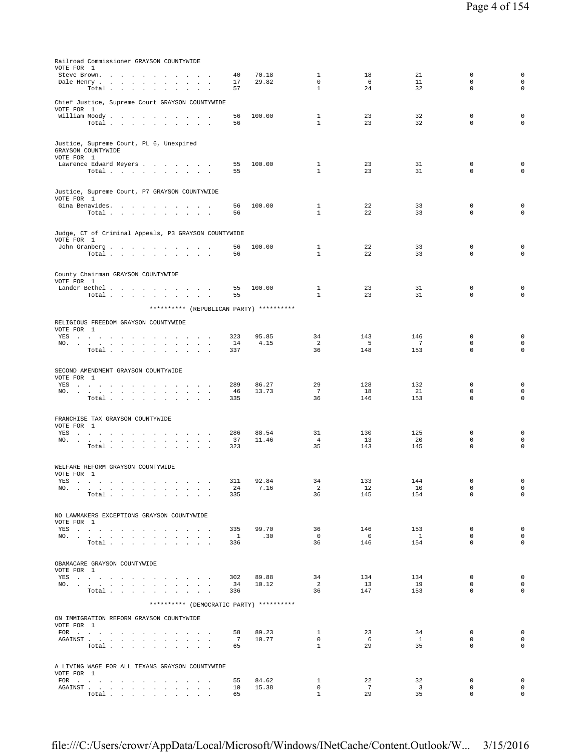| Railroad Commissioner GRAYSON COUNTYWIDE                                                                                                                                                                                                                                                                                    |                       |                |                              |                       |                               |                            |                                 |
|-----------------------------------------------------------------------------------------------------------------------------------------------------------------------------------------------------------------------------------------------------------------------------------------------------------------------------|-----------------------|----------------|------------------------------|-----------------------|-------------------------------|----------------------------|---------------------------------|
| VOTE FOR 1<br>Steve Brown.                                                                                                                                                                                                                                                                                                  | 40                    | 70.18          | 1                            | 18                    | 21                            | 0                          | 0                               |
| Dale Henry                                                                                                                                                                                                                                                                                                                  | 17                    | 29.82          | $\mathbf 0$                  | 6                     | 11                            | 0                          | 0                               |
| Total<br>$\sim$                                                                                                                                                                                                                                                                                                             | 57                    |                | $\mathbf{1}$                 | 24                    | 32                            | $\mathbf 0$                | 0                               |
| Chief Justice, Supreme Court GRAYSON COUNTYWIDE                                                                                                                                                                                                                                                                             |                       |                |                              |                       |                               |                            |                                 |
| VOTE FOR 1                                                                                                                                                                                                                                                                                                                  |                       |                | $\mathbf{1}$                 | 23                    |                               |                            |                                 |
| William Moody<br>Total                                                                                                                                                                                                                                                                                                      | 56<br>56              | 100.00         | $\mathbf{1}$                 | 23                    | 32<br>32                      | 0<br>$\mathbf 0$           | 0<br>0                          |
|                                                                                                                                                                                                                                                                                                                             |                       |                |                              |                       |                               |                            |                                 |
| Justice, Supreme Court, PL 6, Unexpired                                                                                                                                                                                                                                                                                     |                       |                |                              |                       |                               |                            |                                 |
| GRAYSON COUNTYWIDE                                                                                                                                                                                                                                                                                                          |                       |                |                              |                       |                               |                            |                                 |
| VOTE FOR 1<br>Lawrence Edward Meyers                                                                                                                                                                                                                                                                                        | 55                    | 100.00         | $\mathbf{1}$                 | 23                    | 31                            | 0                          | 0                               |
| Total $\cdots$ $\cdots$ $\cdots$ $\cdots$                                                                                                                                                                                                                                                                                   | 55                    |                | $\mathbf{1}$                 | 23                    | 31                            | $\mathbf 0$                | 0                               |
|                                                                                                                                                                                                                                                                                                                             |                       |                |                              |                       |                               |                            |                                 |
| Justice, Supreme Court, P7 GRAYSON COUNTYWIDE                                                                                                                                                                                                                                                                               |                       |                |                              |                       |                               |                            |                                 |
| VOTE FOR 1<br>Gina Benavides.                                                                                                                                                                                                                                                                                               | 56                    | 100.00         | $\mathbf{1}$                 | 22                    | 33                            | 0                          | 0                               |
| Total $\cdots$ $\cdots$ $\cdots$                                                                                                                                                                                                                                                                                            | 56                    |                | $\mathbf{1}$                 | 22                    | 33                            | $\mathbf 0$                | 0                               |
|                                                                                                                                                                                                                                                                                                                             |                       |                |                              |                       |                               |                            |                                 |
| Judge, CT of Criminal Appeals, P3 GRAYSON COUNTYWIDE                                                                                                                                                                                                                                                                        |                       |                |                              |                       |                               |                            |                                 |
| VOTE FOR 1                                                                                                                                                                                                                                                                                                                  | 56                    | 100.00         | $\mathbf{1}$                 | 22                    | 33                            | 0                          | 0                               |
| John Granberg<br>Total                                                                                                                                                                                                                                                                                                      | 56                    |                | $\mathbf{1}$                 | 22                    | 33                            | $\mathbf 0$                | $\mathbf 0$                     |
|                                                                                                                                                                                                                                                                                                                             |                       |                |                              |                       |                               |                            |                                 |
| County Chairman GRAYSON COUNTYWIDE                                                                                                                                                                                                                                                                                          |                       |                |                              |                       |                               |                            |                                 |
| VOTE FOR 1                                                                                                                                                                                                                                                                                                                  |                       |                |                              |                       |                               |                            |                                 |
| Lander Bethel<br>Total $\cdots$ $\cdots$ $\cdots$                                                                                                                                                                                                                                                                           | 55<br>55              | 100.00         | $\mathbf{1}$<br>$\mathbf{1}$ | 23<br>23              | 31<br>31                      | 0<br>0                     | 0<br>0                          |
|                                                                                                                                                                                                                                                                                                                             |                       |                |                              |                       |                               |                            |                                 |
| ********** (REPUBLICAN PARTY) **********                                                                                                                                                                                                                                                                                    |                       |                |                              |                       |                               |                            |                                 |
| RELIGIOUS FREEDOM GRAYSON COUNTYWIDE                                                                                                                                                                                                                                                                                        |                       |                |                              |                       |                               |                            |                                 |
| VOTE FOR 1<br>YES<br>the contract of the contract of the contract of the                                                                                                                                                                                                                                                    | 323                   | 95.85          | 34                           | 143                   | 146                           | 0                          | 0                               |
| NO.<br>the contract of the contract of the contract of the                                                                                                                                                                                                                                                                  | 14                    | 4.15           | 2                            | 5                     | $7\phantom{.0}$               | $\mathbf 0$                | 0                               |
| Total<br>$\sim$<br><b>Carl Carl</b>                                                                                                                                                                                                                                                                                         | 337                   |                | 36                           | 148                   | 153                           | $\mathbf 0$                | 0                               |
|                                                                                                                                                                                                                                                                                                                             |                       |                |                              |                       |                               |                            |                                 |
| SECOND AMENDMENT GRAYSON COUNTYWIDE<br>VOTE FOR 1                                                                                                                                                                                                                                                                           |                       |                |                              |                       |                               |                            |                                 |
| YES<br>car contractors and<br>$\ddot{\phantom{a}}$                                                                                                                                                                                                                                                                          | 289                   | 86.27          | 29                           | 128                   | 132                           | 0                          | 0                               |
| NO.<br>the contract of the contract of the contract of the contract of<br>Total $\cdots$ $\cdots$ $\cdots$                                                                                                                                                                                                                  | 46<br>335             | 13.73          | $7\phantom{.0}$<br>36        | 18<br>146             | 21<br>153                     | $\mathbf 0$<br>$\mathbf 0$ | 0<br>0                          |
|                                                                                                                                                                                                                                                                                                                             |                       |                |                              |                       |                               |                            |                                 |
| FRANCHISE TAX GRAYSON COUNTYWIDE                                                                                                                                                                                                                                                                                            |                       |                |                              |                       |                               |                            |                                 |
| VOTE FOR 1                                                                                                                                                                                                                                                                                                                  |                       |                |                              |                       |                               |                            |                                 |
| YES<br>NO.                                                                                                                                                                                                                                                                                                                  | 286<br>37             | 88.54<br>11.46 | 31<br>$\overline{4}$         | 130<br>13             | 125<br>20                     | 0<br>0                     | 0<br>0                          |
| Total                                                                                                                                                                                                                                                                                                                       | 323                   |                | 35                           | 143                   | 145                           | $\mathbf 0$                | 0                               |
|                                                                                                                                                                                                                                                                                                                             |                       |                |                              |                       |                               |                            |                                 |
| WELFARE REFORM GRAYSON COUNTYWIDE                                                                                                                                                                                                                                                                                           |                       |                |                              |                       |                               |                            |                                 |
| VOTE FOR 1<br>YES                                                                                                                                                                                                                                                                                                           | 311                   | 92.84          | 34                           | 133                   | 144                           | $^{\circ}$                 | 0                               |
| NO.                                                                                                                                                                                                                                                                                                                         | 24                    | 7.16           | $\overline{c}$               | 12                    | 10                            | 0                          | $\mathsf 0$                     |
| Total                                                                                                                                                                                                                                                                                                                       | 335                   |                | 36                           | 145                   | 154                           | $\Omega$                   | $\mathbf 0$                     |
|                                                                                                                                                                                                                                                                                                                             |                       |                |                              |                       |                               |                            |                                 |
| NO LAWMAKERS EXCEPTIONS GRAYSON COUNTYWIDE<br>VOTE FOR 1                                                                                                                                                                                                                                                                    |                       |                |                              |                       |                               |                            |                                 |
| YES and a contract the contract of the set of the set of the set of the set of the set of the set of the set of the set of the set of the set of the set of the set of the set of the set of the set of the set of the set of                                                                                               | 335                   | 99.70          | 36                           | 146                   | 153                           | 0                          | $\mathbf 0$                     |
| NO.                                                                                                                                                                                                                                                                                                                         | $\overline{1}$<br>336 | .30            | $\overline{0}$<br>36         | $\overline{0}$<br>146 | $\mathbf{1}$<br>154           | $\mathbf{0}$<br>$\Omega$   | 0<br>$\Omega$                   |
| Total                                                                                                                                                                                                                                                                                                                       |                       |                |                              |                       |                               |                            |                                 |
|                                                                                                                                                                                                                                                                                                                             |                       |                |                              |                       |                               |                            |                                 |
| OBAMACARE GRAYSON COUNTYWIDE<br>VOTE FOR 1                                                                                                                                                                                                                                                                                  |                       |                |                              |                       |                               |                            |                                 |
| YES                                                                                                                                                                                                                                                                                                                         | 302                   | 89.88          | 34                           | 134                   | 134                           | 0                          | 0                               |
| NO.<br>Total                                                                                                                                                                                                                                                                                                                | 34<br>336             | 10.12          | $\overline{2}$<br>36         | 13<br>147             | 19<br>153                     | $\mathbf{0}$<br>$\Omega$   | $\mathbf 0$<br>$\Omega$         |
| ********** (DEMOCRATIC PARTY) **********                                                                                                                                                                                                                                                                                    |                       |                |                              |                       |                               |                            |                                 |
|                                                                                                                                                                                                                                                                                                                             |                       |                |                              |                       |                               |                            |                                 |
| ON IMMIGRATION REFORM GRAYSON COUNTYWIDE                                                                                                                                                                                                                                                                                    |                       |                |                              |                       |                               |                            |                                 |
| VOTE FOR 1                                                                                                                                                                                                                                                                                                                  | 58                    | 89.23          | 1                            | 23                    | 34                            | 0                          | $\mathbf 0$                     |
|                                                                                                                                                                                                                                                                                                                             | 7                     | 10.77          | $\overline{0}$               | 6                     | $\mathbf{1}$                  | $\mathbf{0}$               | $\mathbf 0$                     |
| Total $\cdots$ $\cdots$ $\cdots$                                                                                                                                                                                                                                                                                            | 65                    |                | $\mathbf{1}$                 | 29                    | 35                            | $\mathbf 0$                | $\mathbf 0$                     |
|                                                                                                                                                                                                                                                                                                                             |                       |                |                              |                       |                               |                            |                                 |
| A LIVING WAGE FOR ALL TEXANS GRAYSON COUNTYWIDE<br>VOTE FOR 1                                                                                                                                                                                                                                                               |                       |                |                              |                       |                               |                            |                                 |
| FOR $\cdots$                                                                                                                                                                                                                                                                                                                | 55                    | 84.62          | $\mathbf{1}$                 | 22                    | 32                            | 0                          | 0                               |
| ${\tt AGAINST} \hspace{1.5cm} . \hspace{1.5cm} . \hspace{1.5cm} . \hspace{1.5cm} . \hspace{1.5cm} . \hspace{1.5cm} . \hspace{1.5cm} . \hspace{1.5cm} . \hspace{1.5cm} . \hspace{1.5cm} . \hspace{1.5cm} . \hspace{1.5cm} . \hspace{1.5cm} . \hspace{1.5cm} . \hspace{1.5cm} .$<br>Total $\cdots$ $\cdots$ $\cdots$ $\cdots$ | 10<br>65              | 15.38          | 0<br>$\mathbf{1}$            | 7<br>29               | $\overline{\mathbf{3}}$<br>35 | 0<br>$\Omega$              | $\mathsf{O}\xspace$<br>$\Omega$ |
|                                                                                                                                                                                                                                                                                                                             |                       |                |                              |                       |                               |                            |                                 |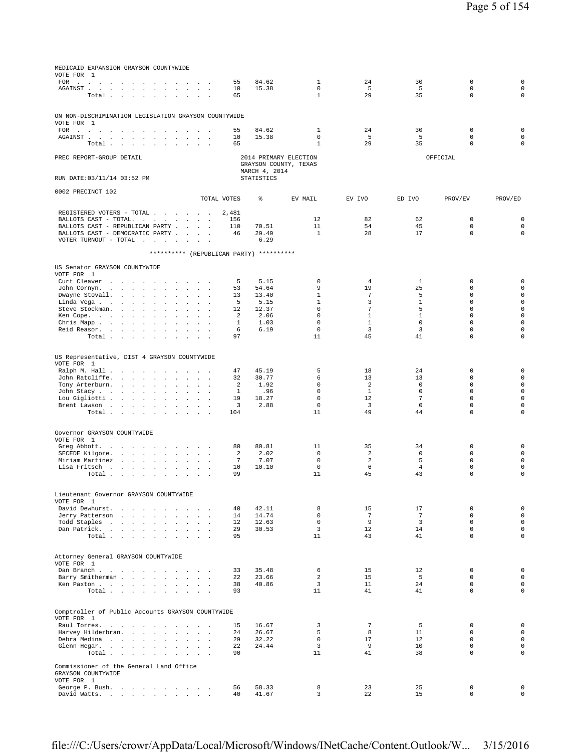| MEDICAID EXPANSION GRAYSON COUNTYWIDE<br>VOTE FOR 1<br>FOR $\cdots$          | 55                | 84.62             | 1                             | 24                             | 30                      | $\mathbf 0$                 | $\mathbf 0$                 |
|------------------------------------------------------------------------------|-------------------|-------------------|-------------------------------|--------------------------------|-------------------------|-----------------------------|-----------------------------|
| AGAINST<br>$\sim$                                                            | 10                | 15.38             | $\mathbf 0$                   | 5                              | 5                       | $\mathbf 0$                 | $\mathsf 0$                 |
| Total                                                                        | 65                |                   | $\mathbf{1}$                  | 29                             | 35                      | $\mathbf 0$                 | $\circ$                     |
| ON NON-DISCRIMINATION LEGISLATION GRAYSON COUNTYWIDE                         |                   |                   |                               |                                |                         |                             |                             |
| VOTE FOR 1                                                                   |                   |                   |                               |                                |                         |                             |                             |
| FOR $\cdots$<br>$\sim$                                                       | 55                | 84.62             | 1<br>$\mathbf{0}$             | 24                             | 30                      | 0<br>$\mathbf 0$            | $\mathbf 0$<br>$\mathsf 0$  |
| AGAINST<br>Total $\cdots$ $\cdots$ $\cdots$ $\cdots$                         | 10<br>65          | 15.38             | $\mathbf{1}$                  | - 5<br>29                      | 5<br>35                 | $\mathbf 0$                 | $\mathbf 0$                 |
|                                                                              |                   |                   | 2014 PRIMARY ELECTION         |                                |                         |                             |                             |
| PREC REPORT-GROUP DETAIL                                                     |                   |                   | GRAYSON COUNTY, TEXAS         |                                |                         | OFFICIAL                    |                             |
| RUN DATE: 03/11/14 03:52 PM                                                  |                   | MARCH 4, 2014     |                               |                                |                         |                             |                             |
|                                                                              |                   | <b>STATISTICS</b> |                               |                                |                         |                             |                             |
| 0002 PRECINCT 102                                                            | TOTAL VOTES       | ⊱                 | EV MAIL                       | EV IVO                         | ED IVO                  | PROV/EV                     | PROV/ED                     |
|                                                                              |                   |                   |                               |                                |                         |                             |                             |
| REGISTERED VOTERS - TOTAL                                                    | 2,481<br>156      |                   | 12                            | 82                             | 62                      | $\mathbf 0$                 | $\mathbf 0$                 |
| BALLOTS CAST - TOTAL.<br>BALLOTS CAST - REPUBLICAN PARTY                     | 110               | 70.51             | 11                            | 54                             | 45                      | $\mathbf 0$                 | $\mathbf 0$                 |
| BALLOTS CAST - DEMOCRATIC PARTY                                              | 46                | 29.49             | $\overline{1}$                | 28                             | 17                      | $\Omega$                    | $\mathbf 0$                 |
| VOTER TURNOUT - TOTAL $\ldots$<br>$\sim$                                     |                   | 6.29              |                               |                                |                         |                             |                             |
| ********** (REPUBLICAN PARTY) **********                                     |                   |                   |                               |                                |                         |                             |                             |
| US Senator GRAYSON COUNTYWIDE                                                |                   |                   |                               |                                |                         |                             |                             |
| VOTE FOR 1                                                                   | 5                 | 5.15              | $\mathbf 0$                   | 4                              | 1                       | 0                           | $^{\circ}$                  |
| Curt Cleaver<br>John Cornyn.                                                 | 53                | 54.64             | 9                             | 19                             | 25                      | 0                           | $\mathsf 0$                 |
| Dwayne Stovall.<br>$\mathcal{L}$<br><b>Service State</b>                     | 13                | 13.40             | $\mathbf{1}$                  | $7\phantom{.0}$                | 5                       | $\mathbf 0$                 | $\mathsf 0$                 |
| Linda Vega<br>Steve Stockman.<br>$\sim$ $\sim$ $\sim$                        | 5<br>12           | 5.15<br>12.37     | $1\,$<br>$\mathbf 0$          | 3<br>$7\phantom{.0}$           | $\mathbf{1}$<br>5       | $\mathbf 0$<br>$\mathbf 0$  | $\mathsf 0$<br>$\mathsf 0$  |
| Ken Cope.<br>s.<br>$\sim$                                                    | 2                 | 2.06              | $\Omega$                      | $\mathbf{1}$                   | $\mathbf{1}$            | $\Omega$                    | $\mathbf 0$                 |
| Chris Mapp.<br>Reid Reasor.<br><b>Sales Street</b>                           | $\mathbf{1}$<br>6 | 1.03<br>6.19      | $\mathbf 0$<br>$\mathbf 0$    | $\mathbf{1}$<br>$\overline{3}$ | $\mathbf 0$<br>3        | $\mathbf 0$<br>$\mathbf 0$  | $\circ$<br>$\mathsf 0$      |
| Total                                                                        | 97                |                   | 11                            | 45                             | 41                      | $\mathbf 0$                 | $\mathbf 0$                 |
|                                                                              |                   |                   |                               |                                |                         |                             |                             |
| US Representative, DIST 4 GRAYSON COUNTYWIDE                                 |                   |                   |                               |                                |                         |                             |                             |
| VOTE FOR 1<br>Ralph M. Hall<br>$\sim$                                        | 47                | 45.19             | 5                             | 18                             | 24                      | 0                           | 0                           |
| John Ratcliffe.<br>$\sim$<br><b>Sales Street</b><br>$\sim$                   | 32                | 30.77             | 6<br>$\Omega$                 | 13                             | 13                      | $\mathbf 0$<br>$\Omega$     | $\mathsf 0$                 |
| Tony Arterburn.<br>John Stacy<br><b>Contract Contract Contract</b><br>$\sim$ | 2<br>$\mathbf{1}$ | 1.92<br>.96       | $\mathbf 0$                   | 2<br>$\mathbf{1}$              | $\Omega$<br>$\mathbf 0$ | $\mathbf 0$                 | $\mathsf 0$<br>$\mathsf 0$  |
| Lou Gigliotti<br>$\sim$<br><b>Sales Advised Street</b>                       | 19                | 18.27             | $\mathbf 0$                   | $12 \overline{ }$              | 7                       | $\mathbf 0$                 | $\circ$                     |
| Brent Lawson<br>Total                                                        | 3<br>104          | 2.88              | $\mathbf 0$<br>11             | $\overline{\mathbf{3}}$<br>49  | $\mathbf 0$<br>44       | $\mathbf 0$<br>$\mathbf 0$  | $\circ$<br>$\circ$          |
|                                                                              |                   |                   |                               |                                |                         |                             |                             |
| Governor GRAYSON COUNTYWIDE                                                  |                   |                   |                               |                                |                         |                             |                             |
| VOTE FOR 1                                                                   | 80                | 80.81             | 11                            | 35                             | 34                      | $\mathbf 0$                 | 0                           |
| Greg Abbott.<br>the contract of the contract of the con-<br>SECEDE Kilgore.  | 2                 | 2.02              | $\mathbf 0$                   | $\overline{a}$                 | $\mathbf 0$             | $\mathbf 0$                 | $\circ$                     |
| Miriam Martinez                                                              | 7                 | 7.07<br>10.10     | $\mathbf 0$<br>$\mathbb O$    | 2<br>6                         | 5<br>$\overline{4}$     | $\mathbf 0$<br>$\mathsf 0$  | $\mathsf 0$<br>$\mathsf 0$  |
| Lisa Fritsch<br>Total<br>$\ddot{\phantom{0}}$<br>$\sim$<br>$\sim$            | 10<br>99          |                   | 11                            | 45                             | 43                      | $\Omega$                    | $\mathbf 0$                 |
|                                                                              |                   |                   |                               |                                |                         |                             |                             |
| Lieutenant Governor GRAYSON COUNTYWIDE                                       |                   |                   |                               |                                |                         |                             |                             |
| VOTE FOR 1<br>David Dewhurst.                                                | 40                | 42.11             | 8                             | 15                             | 17                      | $\mathbf 0$                 | $\mathbf 0$                 |
| Jerry Patterson                                                              | 14                | 14.74             | $\Omega$                      | $7\overline{ }$                | $7\overline{ }$         | $\Omega$                    | $\mathbf{0}$                |
| Todd Staples<br>Dan Patrick.                                                 | 12<br>29          | 12.63<br>30.53    | $\mathbf 0$<br>$\overline{3}$ | -9<br>12                       | $\overline{3}$<br>14    | $\mathbf 0$<br>$\mathbf 0$  | $\mathsf 0$<br>$\circ$      |
| Total                                                                        | 95                |                   | 11                            | 43                             | 41                      | $\Omega$                    | $\circ$                     |
|                                                                              |                   |                   |                               |                                |                         |                             |                             |
| Attorney General GRAYSON COUNTYWIDE                                          |                   |                   |                               |                                |                         |                             |                             |
| VOTE FOR 1<br>Dan Branch<br>$\sim$                                           | 33                | 35.48             | 6                             | 15                             | 12                      | $^{\circ}$                  | $\mathbf 0$                 |
| Barry Smitherman<br>$\sim$ $-$<br>$\sim$<br>$\sim$                           | 22                | 23.66             | 2                             | 15                             | 5                       | $\mathbf 0$                 | $\mathbb O$                 |
| Ken Paxton<br>Total                                                          | 38<br>93          | 40.86             | $\overline{3}$<br>11          | 11<br>41                       | 24<br>41                | $\Omega$<br>$\mathbf 0$     | $\mathsf 0$<br>$\mathbf{0}$ |
|                                                                              |                   |                   |                               |                                |                         |                             |                             |
| Comptroller of Public Accounts GRAYSON COUNTYWIDE                            |                   |                   |                               |                                |                         |                             |                             |
| VOTE FOR 1                                                                   |                   |                   |                               |                                |                         |                             |                             |
| Raul Torres.<br>Harvey Hilderbran.                                           | 15<br>24          | 16.67<br>26.67    | 3<br>5                        | $7\phantom{.0}$<br>8           | 5<br>11                 | $\mathbf 0$<br>$\mathbf{0}$ | $\mathbf 0$<br>$\mathbf{0}$ |
| Debra Medina                                                                 | 29                | 32.22             | $\mathbf 0$                   | 17                             | 12                      | $\mathbf 0$                 | $\mathbf 0$                 |
| Glenn Hegar.<br>Total                                                        | 22<br>90          | 24.44             | $\overline{3}$<br>11          | -9<br>41                       | 10<br>38                | $\mathbf 0$<br>$\mathbf 0$  | $\mathbf 0$<br>$\mathbf 0$  |
|                                                                              |                   |                   |                               |                                |                         |                             |                             |
| Commissioner of the General Land Office<br>GRAYSON COUNTYWIDE                |                   |                   |                               |                                |                         |                             |                             |
| VOTE FOR 1                                                                   |                   |                   |                               |                                |                         |                             |                             |
| George P. Bush.                                                              | 56<br>40          | 58.33<br>41.67    | 8<br>3                        | 23<br>22                       | 25<br>15                | $\mathbf 0$<br>0            | $\mathbf 0$<br>$\mathbf 0$  |
| David Watts.                                                                 |                   |                   |                               |                                |                         |                             |                             |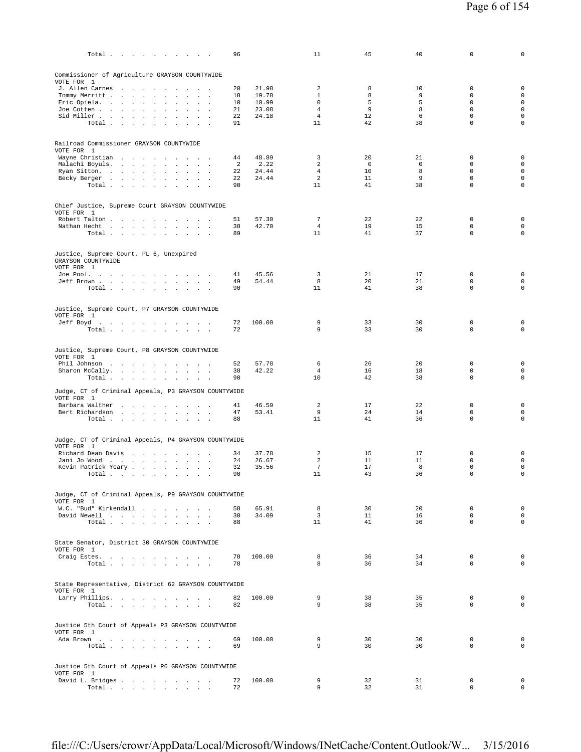| 96<br>Total $\cdots$ $\cdots$ $\cdots$                                      |                            | 11                      | 45                   | 40               | 0                          | 0                                          |
|-----------------------------------------------------------------------------|----------------------------|-------------------------|----------------------|------------------|----------------------------|--------------------------------------------|
| Commissioner of Agriculture GRAYSON COUNTYWIDE<br>VOTE FOR 1                |                            |                         |                      |                  |                            |                                            |
| J. Allen Carnes<br>20                                                       | 21.98                      | 2                       | 8                    | 10               | $\mathbf 0$                | $\mathbf 0$                                |
| Tommy Merritt<br>18                                                         | 19.78                      | $\mathbf{1}$            | 8                    | 9                | $\mathbf 0$                | $\mathsf{O}\xspace$                        |
| Eric Opiela.<br>$\sim$<br>Joe Cotten<br>21<br>$\Box$                        | 10.99<br>10<br>23.08       | 0<br>$\overline{4}$     | 5<br>9               | 5<br>8           | $\mathbf 0$<br>$\mathbf 0$ | $\mathsf 0$<br>$\mathsf{O}\xspace$         |
| Sid Miller<br>$\sim$<br>$\sim$<br>$\sim$                                    | 22<br>24.18                | $\overline{4}$          | 12                   | 6                | $\mathbf 0$                | $\mathsf 0$                                |
| Total                                                                       | 91                         | 11                      | 42                   | 38               | $\mathbf 0$                | $\mathbf 0$                                |
| Railroad Commissioner GRAYSON COUNTYWIDE<br>VOTE FOR 1                      |                            |                         |                      |                  |                            |                                            |
| Wayne Christian                                                             | 48.89<br>44                | 3                       | 20                   | 21               | $\mathbf 0$                | $\mathbf 0$                                |
| Malachi Boyuls.<br>Ryan Sitton.                                             | 2.22<br>2<br>22<br>24.44   | 2<br>$\overline{4}$     | $\overline{0}$<br>10 | $\mathbf 0$<br>8 | $\mathbf 0$<br>$\mathbf 0$ | $\mathsf{O}\xspace$<br>$\mathsf{O}\xspace$ |
| Becky Berger                                                                | 24.44<br>22                | $\overline{a}$          | 11                   | 9                | $\mathbf 0$                | $\mathsf{O}\xspace$                        |
| Total<br>$\sim$<br>$\mathbf{r}$<br>$\sim$                                   | 90                         | 11                      | 41                   | 38               | $\mathsf 0$                | $\mathsf{O}\xspace$                        |
| Chief Justice, Supreme Court GRAYSON COUNTYWIDE<br>VOTE FOR 1               |                            |                         |                      |                  |                            |                                            |
| Robert Talton                                                               | 51<br>57.30                | $7\phantom{.0}$         | 22                   | 22               | 0                          | $\mathbf 0$                                |
| Nathan Hecht<br>Total<br>89                                                 | 42.70<br>38                | 4<br>11                 | 19<br>41             | 15<br>37         | $\mathbf 0$<br>$\mathsf 0$ | $\mathsf{O}\xspace$<br>$\mathsf{O}\xspace$ |
|                                                                             |                            |                         |                      |                  |                            |                                            |
| Justice, Supreme Court, PL 6, Unexpired<br>GRAYSON COUNTYWIDE<br>VOTE FOR 1 |                            |                         |                      |                  |                            |                                            |
| Joe Pool.                                                                   | 45.56<br>41                | 3                       | 21                   | 17               | $\mathbf 0$                | $\mathbf 0$                                |
| Jeff Brown                                                                  | 54.44<br>49                | 8<br>11                 | 20<br>41             | 21<br>38         | $\mathbf 0$<br>$\mathbf 0$ | 0<br>$\mathbf 0$                           |
| Total                                                                       | 90                         |                         |                      |                  |                            |                                            |
| Justice, Supreme Court, P7 GRAYSON COUNTYWIDE<br>VOTE FOR 1                 |                            |                         |                      |                  |                            |                                            |
| Jeff Boyd.                                                                  | 100.00<br>72               | 9                       | 33                   | 30               | $\mathbf 0$                | $\mathbf 0$                                |
| Total                                                                       | 72                         | 9                       | 33                   | 30               | $\mathbf 0$                | $\mathbf 0$                                |
| Justice, Supreme Court, P8 GRAYSON COUNTYWIDE<br>VOTE FOR 1                 |                            |                         |                      |                  |                            |                                            |
| Phil Johnson                                                                | 52<br>57.78                | 6                       | 26                   | 20               | $\mathbf 0$                | $\mathbf 0$                                |
| Sharon McCally.                                                             | 42.22<br>38                | $\overline{4}$          | 16                   | 18               | $\mathbf 0$                | $\mathbf 0$                                |
| Total $\cdots$ $\cdots$ $\cdots$<br>90                                      |                            | 10                      | 42                   | 38               | $\mathbf 0$                | $\mathbf 0$                                |
| Judge, CT of Criminal Appeals, P3 GRAYSON COUNTYWIDE                        |                            |                         |                      |                  |                            |                                            |
| VOTE FOR 1                                                                  |                            |                         |                      |                  |                            |                                            |
| Barbara Walther<br>Bert Richardson                                          | 46.59<br>41<br>53.41<br>47 | 2<br>9                  | 17<br>24             | 22<br>14         | $\Omega$<br>$\mathbf 0$    | $\mathbf 0$<br>$\mathbf 0$                 |
| Total<br>88                                                                 |                            | 11                      | 41                   | 36               | $\mathbf 0$                | $\mathbf 0$                                |
| Judge, CT of Criminal Appeals, P4 GRAYSON COUNTYWIDE                        |                            |                         |                      |                  |                            |                                            |
| VOTE FOR 1                                                                  |                            |                         |                      |                  |                            |                                            |
| Richard Dean Davis<br>Jani Jo Wood                                          | 37.78<br>34<br>26.67<br>24 | 2<br>2                  | 15<br>11             | 17<br>11         | $\mathbf 0$<br>$\mathbf 0$ | $\mathbf 0$<br>$\mathsf{O}\xspace$         |
| Kevin Patrick Yeary<br>$\ddot{\phantom{a}}$                                 | 32<br>35.56                | $\overline{7}$          | 17                   | 8                | $\mathsf 0$                | $\mathsf{O}\xspace$                        |
| Total<br>$\sim$                                                             | 90                         | 11                      | 43                   | 36               | $\mathbf 0$                | $\mathsf{O}\xspace$                        |
| Judge, CT of Criminal Appeals, P9 GRAYSON COUNTYWIDE                        |                            |                         |                      |                  |                            |                                            |
| VOTE FOR 1<br>W.C. "Bud" Kirkendall                                         | 58<br>65.91                | 8                       | 30                   | 20               | $^{\circ}$                 | $\mathbf 0$                                |
| David Newell<br>$\ddot{\phantom{0}}$                                        | 34.09<br>30                | $\overline{\mathbf{3}}$ | 11                   | 16               | $\mathbf 0$                | $\mathsf{O}\xspace$                        |
| Total                                                                       | 88                         | 11                      | 41                   | 36               | $\Omega$                   | $\mathbf 0$                                |
| State Senator, District 30 GRAYSON COUNTYWIDE<br>VOTE FOR 1                 |                            |                         |                      |                  |                            |                                            |
| Craig Estes.<br>78                                                          | 100.00                     | 8                       | 36                   | 34               | 0                          | $\mathbf 0$                                |
| Total<br>78<br>$\sim$                                                       |                            | 8                       | 36                   | 34               | $\mathbf 0$                | $\mathbf 0$                                |
| State Representative, District 62 GRAYSON COUNTYWIDE                        |                            |                         |                      |                  |                            |                                            |
| VOTE FOR 1                                                                  |                            |                         |                      |                  |                            |                                            |
| Larry Phillips.<br>Total                                                    | 82<br>100.00<br>82         | 9<br>9                  | 38<br>38             | 35<br>35         | $\mathbf 0$<br>$\Omega$    | $\mathbf 0$<br>$\mathbf 0$                 |
|                                                                             |                            |                         |                      |                  |                            |                                            |
| Justice 5th Court of Appeals P3 GRAYSON COUNTYWIDE<br>VOTE FOR 1            |                            |                         |                      |                  |                            |                                            |
| Ada Brown<br>69                                                             | 100.00                     | 9                       | 30                   | 30               | $\mathbf 0$                | $\mathbf 0$                                |
| Total<br>69                                                                 |                            | 9                       | 30                   | 30               | $\Omega$                   | $\mathbf 0$                                |
| Justice 5th Court of Appeals P6 GRAYSON COUNTYWIDE                          |                            |                         |                      |                  |                            |                                            |
| VOTE FOR 1<br>David L. Bridges                                              | 100.00                     | 9                       | 32                   | 31               | 0                          | $\mathbf 0$                                |
| 72<br>Total $\cdots$ $\cdots$ $\cdots$                                      | 72                         | 9                       | 32                   | 31               | $\mathbf 0$                | $\circ$                                    |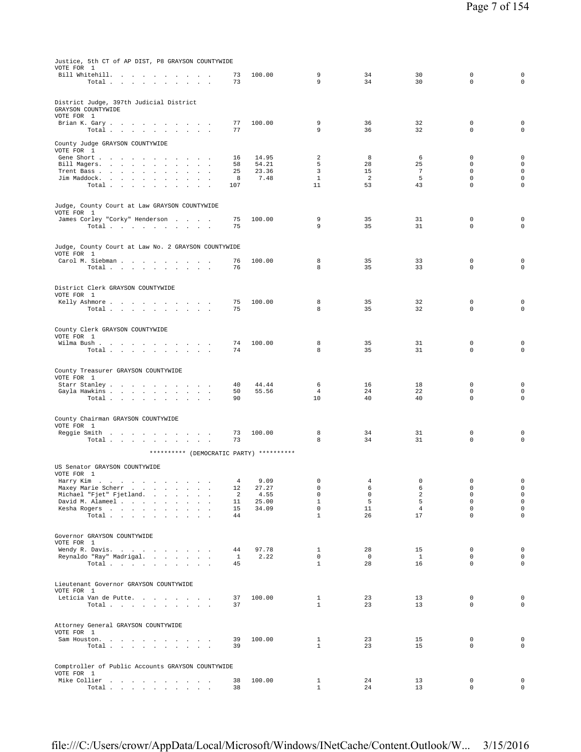| Justice, 5th CT of AP DIST, P8 GRAYSON COUNTYWIDE<br>VOTE FOR 1                                                                                                                                                                                                                     |              |                |                             |                          |                 |                            |                                            |
|-------------------------------------------------------------------------------------------------------------------------------------------------------------------------------------------------------------------------------------------------------------------------------------|--------------|----------------|-----------------------------|--------------------------|-----------------|----------------------------|--------------------------------------------|
| Bill Whitehill.<br>Total                                                                                                                                                                                                                                                            | 73<br>73     | 100.00         | 9<br>9                      | 34<br>34                 | 30<br>30        | $\mathbf 0$<br>$\mathbf 0$ | 0<br>$\mathbf 0$                           |
|                                                                                                                                                                                                                                                                                     |              |                |                             |                          |                 |                            |                                            |
| District Judge, 397th Judicial District<br>GRAYSON COUNTYWIDE<br>VOTE FOR 1                                                                                                                                                                                                         |              |                |                             |                          |                 |                            |                                            |
| Brian K. Gary.                                                                                                                                                                                                                                                                      | 77           | 100.00         | 9                           | 36                       | 32              | $\mathbf 0$                | 0                                          |
| Total                                                                                                                                                                                                                                                                               | 77           |                | 9                           | 36                       | 32              | $\mathbf 0$                | $\mathsf{O}\xspace$                        |
| County Judge GRAYSON COUNTYWIDE                                                                                                                                                                                                                                                     |              |                |                             |                          |                 |                            |                                            |
| VOTE FOR 1                                                                                                                                                                                                                                                                          |              |                |                             |                          |                 |                            |                                            |
| Gene Short<br>Bill Magers.<br>$\sim$                                                                                                                                                                                                                                                | 16<br>58     | 14.95<br>54.21 | 2<br>5                      | 8<br>28                  | 6<br>25         | $\mathbf 0$<br>$\mathbf 0$ | 0<br>0                                     |
| Trent Bass<br>$\mathbf{r}$<br>$\overline{a}$                                                                                                                                                                                                                                        | 25           | 23.36          | 3                           | 15                       | 7               | $\mathbf 0$                | $\mathsf{O}\xspace$                        |
| Jim Maddock.                                                                                                                                                                                                                                                                        | 8            | 7.48           | $\mathbf{1}$                | 2                        | 5               | $\mathbf 0$<br>$\mathbf 0$ | $\mathsf{O}\xspace$                        |
| Total<br>$\ddot{\phantom{a}}$<br>$\mathcal{L}_{\mathcal{A}}$<br>$\Delta$                                                                                                                                                                                                            | 107          |                | 11                          | 53                       | 43              |                            | 0                                          |
| Judge, County Court at Law GRAYSON COUNTYWIDE                                                                                                                                                                                                                                       |              |                |                             |                          |                 |                            |                                            |
| VOTE FOR 1<br>James Corley "Corky" Henderson                                                                                                                                                                                                                                        | 75           | 100.00         | 9                           | 35                       | 31              | 0                          | 0                                          |
| Total                                                                                                                                                                                                                                                                               | 75           |                | 9                           | 35                       | 31              | $\Omega$                   | $\mathbf 0$                                |
|                                                                                                                                                                                                                                                                                     |              |                |                             |                          |                 |                            |                                            |
| Judge, County Court at Law No. 2 GRAYSON COUNTYWIDE<br>VOTE FOR 1                                                                                                                                                                                                                   |              |                |                             |                          |                 |                            |                                            |
| Carol M. Siebman                                                                                                                                                                                                                                                                    | 76           | 100.00         | 8                           | 35                       | 33              | $\mathbf 0$                | 0                                          |
| Total<br><b>Contract Contract</b><br>$\sim$<br>$\sim$ $\sim$                                                                                                                                                                                                                        | 76           |                | 8                           | 35                       | 33              | $\mathbf 0$                | $\mathbf 0$                                |
| District Clerk GRAYSON COUNTYWIDE                                                                                                                                                                                                                                                   |              |                |                             |                          |                 |                            |                                            |
| VOTE FOR 1                                                                                                                                                                                                                                                                          |              |                |                             |                          |                 |                            |                                            |
| Kelly Ashmore<br><b>Contract Contract Contract</b><br>Total<br>$\ddot{\phantom{1}}$<br>$\mathbf{a}$ and $\mathbf{a}$ and $\mathbf{a}$                                                                                                                                               | 75<br>75     | 100.00         | 8<br>8                      | 35<br>35                 | 32<br>32        | $\mathbf 0$<br>$\mathbf 0$ | 0<br>$\mathbf 0$                           |
|                                                                                                                                                                                                                                                                                     |              |                |                             |                          |                 |                            |                                            |
| County Clerk GRAYSON COUNTYWIDE                                                                                                                                                                                                                                                     |              |                |                             |                          |                 |                            |                                            |
| VOTE FOR 1                                                                                                                                                                                                                                                                          |              |                |                             |                          |                 |                            |                                            |
| Wilma Bush<br>Total                                                                                                                                                                                                                                                                 | 74<br>74     | 100.00         | 8<br>8                      | 35<br>35                 | 31<br>31        | $\mathbf 0$<br>$\mathbf 0$ | 0<br>$\mathbf 0$                           |
| $\sim$<br>$\mathcal{A}^{\mathcal{A}}$ and $\mathcal{A}^{\mathcal{A}}$ and $\mathcal{A}^{\mathcal{A}}$                                                                                                                                                                               |              |                |                             |                          |                 |                            |                                            |
| County Treasurer GRAYSON COUNTYWIDE                                                                                                                                                                                                                                                 |              |                |                             |                          |                 |                            |                                            |
| VOTE FOR 1                                                                                                                                                                                                                                                                          |              |                |                             |                          |                 |                            |                                            |
| Starr Stanley                                                                                                                                                                                                                                                                       | 40           | 44.44          | 6                           | 16                       | 18              | $\mathbf 0$                | 0                                          |
| Gayla Hawkins<br>$\sim$<br>$\sim$ $\sim$<br>Total<br>in the contract of the contract of the contract of the contract of the contract of the contract of the contract of the contract of the contract of the contract of the contract of the contract of the contract of the contrac | 50<br>90     | 55.56          | $\overline{4}$<br>10        | 24<br>40                 | 22<br>40        | $\mathbf 0$<br>$\mathbf 0$ | 0<br>0                                     |
|                                                                                                                                                                                                                                                                                     |              |                |                             |                          |                 |                            |                                            |
| County Chairman GRAYSON COUNTYWIDE                                                                                                                                                                                                                                                  |              |                |                             |                          |                 |                            |                                            |
| VOTE FOR 1                                                                                                                                                                                                                                                                          |              |                |                             |                          |                 |                            |                                            |
| Reggie Smith<br><b>Contract Contract</b><br>Total $\cdots$ $\cdots$ $\cdots$<br>$\sim$ $\sim$<br>$\sim$                                                                                                                                                                             | 73<br>73     | 100.00         | 8<br>8                      | 34<br>34                 | 31<br>31        | $\mathbf 0$<br>$\mathbf 0$ | 0<br>$\mathbf 0$                           |
|                                                                                                                                                                                                                                                                                     |              |                |                             |                          |                 |                            |                                            |
| ********** (DEMOCRATIC PARTY) **********                                                                                                                                                                                                                                            |              |                |                             |                          |                 |                            |                                            |
| US Senator GRAYSON COUNTYWIDE                                                                                                                                                                                                                                                       |              |                |                             |                          |                 |                            |                                            |
| VOTE FOR 1<br>Harry Kim                                                                                                                                                                                                                                                             | 4            | 9.09           | $\mathbf 0$                 | 4                        | 0               | $\mathbf 0$                | $\mathbf 0$                                |
| $\mathcal{A}$ and $\mathcal{A}$ is the set of the set of the set of the set of $\mathcal{A}$<br>Maxey Marie Scherr<br>$\ddot{\phantom{a}}$                                                                                                                                          | 12           | 27.27          | $\mathbf 0$                 | 6                        | 6               | $\mathbf 0$                | 0                                          |
| Michael "Fjet" Fjetland.<br>David M. Alameel                                                                                                                                                                                                                                        | 2<br>11      | 4.55<br>25.00  | $\mathsf 0$<br>$\mathbf{1}$ | $\mathsf{O}\xspace$<br>5 | $\sqrt{2}$<br>5 | $\mathbf 0$<br>$\mathsf 0$ | $\mathsf{O}\xspace$<br>$\mathsf{O}\xspace$ |
| $\sim$<br>$\ddot{\phantom{a}}$<br>$\sim$<br>Kesha Rogers                                                                                                                                                                                                                            | 15           | 34.09          | $\mathbb O$                 | 11                       | $\overline{4}$  | $\mathbf 0$                | $\mathsf{O}\xspace$                        |
| Total                                                                                                                                                                                                                                                                               | 44           |                | $\mathbf{1}$                | 26                       | 17              | $\mathbf 0$                | $\mathbf 0$                                |
|                                                                                                                                                                                                                                                                                     |              |                |                             |                          |                 |                            |                                            |
| Governor GRAYSON COUNTYWIDE                                                                                                                                                                                                                                                         |              |                |                             |                          |                 |                            |                                            |
| VOTE FOR 1<br>Wendy R. Davis.                                                                                                                                                                                                                                                       | 44           | 97.78          | 1                           | 28                       | 15              | $\mathbf 0$                | $\mathbf 0$                                |
| Reynaldo "Ray" Madrigal.<br>$\mathbf{r}$                                                                                                                                                                                                                                            | $\mathbf{1}$ | 2.22           | $\Omega$                    | $\circ$                  | $\mathbf{1}$    | $\mathbf 0$                | $\circ$                                    |
| Total                                                                                                                                                                                                                                                                               | 45           |                | $\mathbf{1}$                | 28                       | 16              | $\mathbf 0$                | $\mathsf{O}\xspace$                        |
|                                                                                                                                                                                                                                                                                     |              |                |                             |                          |                 |                            |                                            |
| Lieutenant Governor GRAYSON COUNTYWIDE<br>VOTE FOR 1                                                                                                                                                                                                                                |              |                |                             |                          |                 |                            |                                            |
| Leticia Van de Putte.                                                                                                                                                                                                                                                               | 37           | 100.00         | $\mathbf{1}$                | 23                       | 13              | $\mathbf{0}$               | $\mathbf 0$                                |
| Total $\cdots$ $\cdots$ $\cdots$<br><b>All Angeles</b>                                                                                                                                                                                                                              | 37           |                | $\mathbf{1}$                | 23                       | 13              | $\mathbf 0$                | $\circ$                                    |
|                                                                                                                                                                                                                                                                                     |              |                |                             |                          |                 |                            |                                            |
| Attorney General GRAYSON COUNTYWIDE<br>VOTE FOR 1                                                                                                                                                                                                                                   |              |                |                             |                          |                 |                            |                                            |
| Sam Houston.                                                                                                                                                                                                                                                                        | 39           | 100.00         | $\mathbf{1}$                | 23                       | 15              | $\mathbf 0$                | $\mathbf 0$                                |
| Total $\cdots$ $\cdots$ $\cdots$<br>$\mathcal{L}^{\text{max}}(\mathcal{L}^{\text{max}})$ .                                                                                                                                                                                          | 39           |                | $\mathbf{1}$                | 23                       | 15              | $\mathbf 0$                | $\mathbf 0$                                |
|                                                                                                                                                                                                                                                                                     |              |                |                             |                          |                 |                            |                                            |
| Comptroller of Public Accounts GRAYSON COUNTYWIDE                                                                                                                                                                                                                                   |              |                |                             |                          |                 |                            |                                            |
| VOTE FOR 1<br>Mike Collier<br><b>Contract Contract</b><br>$\cdot$                                                                                                                                                                                                                   | 38           | 100.00         | $\mathbf{1}$                | 24                       | 13              | $\mathbf 0$                | $\mathbf 0$                                |
| Total<br>$\cdot$<br>$\sim$                                                                                                                                                                                                                                                          | 38           |                | $\mathbf{1}$                | 24                       | 13              | $\mathbf 0$                | $\mathbf{0}$                               |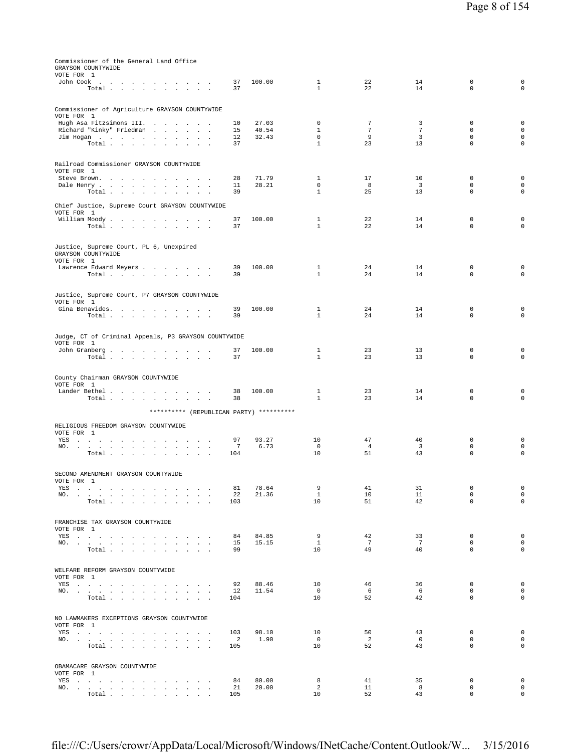| Commissioner of the General Land Office<br>GRAYSON COUNTYWIDE                                                                                                                                                                                |                                   |                |                              |                      |                      |                            |                            |
|----------------------------------------------------------------------------------------------------------------------------------------------------------------------------------------------------------------------------------------------|-----------------------------------|----------------|------------------------------|----------------------|----------------------|----------------------------|----------------------------|
| VOTE FOR 1<br>John Cook                                                                                                                                                                                                                      | 37                                | 100.00         | 1                            | 22                   | 14                   | 0                          | $\mathbf 0$                |
| Total                                                                                                                                                                                                                                        | 37                                |                | $\mathbf{1}$                 | 22                   | 14                   | $\mathbf 0$                | $\mathbf 0$                |
| Commissioner of Agriculture GRAYSON COUNTYWIDE                                                                                                                                                                                               |                                   |                |                              |                      |                      |                            |                            |
| VOTE FOR 1<br>Hugh Asa Fitzsimons III.                                                                                                                                                                                                       | 10                                | 27.03          | 0                            | $\overline{7}$       | 3                    | 0                          | $\mathbf 0$                |
| Richard "Kinky" Friedman<br>Jim Hogan                                                                                                                                                                                                        | 15<br>12                          | 40.54<br>32.43 | $\mathbf{1}$<br>$^{\circ}$   | $7\phantom{.0}$<br>9 | $7\phantom{.0}$<br>3 | $\mathbf 0$<br>$\mathbf 0$ | $\mathbf 0$<br>$\mathbf 0$ |
| Total                                                                                                                                                                                                                                        | 37                                |                | $\mathbf{1}$                 | 23                   | 13                   | $\mathbf 0$                | $\mathbf 0$                |
| Railroad Commissioner GRAYSON COUNTYWIDE                                                                                                                                                                                                     |                                   |                |                              |                      |                      |                            |                            |
| VOTE FOR 1<br>Steve Brown.<br>the contract of the contract of the contract of                                                                                                                                                                | 28                                | 71.79          | $\mathbf{1}$                 | 17                   | 10                   | $\mathbf 0$                | $\mathbf 0$                |
| Dale Henry                                                                                                                                                                                                                                   | 11                                | 28.21          | $\mathbf 0$                  | 8                    | 3                    | $\mathbf 0$                | 0                          |
| Total                                                                                                                                                                                                                                        | 39                                |                | $\mathbf{1}$                 | 25                   | 13                   | 0                          | $\mathbf 0$                |
| Chief Justice, Supreme Court GRAYSON COUNTYWIDE<br>VOTE FOR 1                                                                                                                                                                                |                                   |                |                              |                      |                      |                            |                            |
| William Moody.<br>Total                                                                                                                                                                                                                      | 37<br>37                          | 100.00         | $\mathbf{1}$<br>$\mathbf{1}$ | 22<br>22             | 14<br>14             | 0<br>$\mathbf 0$           | $\mathbf 0$<br>0           |
|                                                                                                                                                                                                                                              |                                   |                |                              |                      |                      |                            |                            |
| Justice, Supreme Court, PL 6, Unexpired<br>GRAYSON COUNTYWIDE                                                                                                                                                                                |                                   |                |                              |                      |                      |                            |                            |
| VOTE FOR 1                                                                                                                                                                                                                                   | 39                                | 100.00         | $\mathbf{1}$                 | 24                   | 14                   | $\mathbf 0$                | $\mathbf 0$                |
| Lawrence Edward Meyers<br>Total                                                                                                                                                                                                              | 39                                |                | $\mathbf{1}$                 | 24                   | 14                   | $\mathbf 0$                | $\mathbf 0$                |
|                                                                                                                                                                                                                                              |                                   |                |                              |                      |                      |                            |                            |
| Justice, Supreme Court, P7 GRAYSON COUNTYWIDE<br>VOTE FOR 1                                                                                                                                                                                  |                                   |                |                              |                      |                      |                            |                            |
| Gina Benavides.<br>Total                                                                                                                                                                                                                     | 39<br>39                          | 100.00         | 1<br>$\mathbf{1}$            | 24<br>24             | 14<br>14             | $\mathbf 0$<br>$\mathbf 0$ | $\mathbf 0$<br>0           |
|                                                                                                                                                                                                                                              |                                   |                |                              |                      |                      |                            |                            |
| Judge, CT of Criminal Appeals, P3 GRAYSON COUNTYWIDE<br>VOTE FOR 1                                                                                                                                                                           |                                   |                |                              |                      |                      |                            |                            |
| John Granberg<br>Total                                                                                                                                                                                                                       | 37<br>37                          | 100.00         | $\mathbf{1}$<br>$\mathbf{1}$ | 23<br>23             | 13<br>13             | 0<br>$\mathbf 0$           | $\mathbf 0$<br>$\mathbf 0$ |
|                                                                                                                                                                                                                                              |                                   |                |                              |                      |                      |                            |                            |
| County Chairman GRAYSON COUNTYWIDE                                                                                                                                                                                                           |                                   |                |                              |                      |                      |                            |                            |
| VOTE FOR 1<br>Lander Bethel                                                                                                                                                                                                                  | 38                                | 100.00         | $\mathbf{1}$                 | 23                   | 14                   | $\mathbf 0$                | 0                          |
| Total                                                                                                                                                                                                                                        | 38                                |                | $\mathbf{1}$                 | 23                   | 14                   | $\mathbf 0$                | $\mathbf 0$                |
| ********** (REPUBLICAN PARTY) **********                                                                                                                                                                                                     |                                   |                |                              |                      |                      |                            |                            |
| RELIGIOUS FREEDOM GRAYSON COUNTYWIDE<br>VOTE FOR 1                                                                                                                                                                                           |                                   |                |                              |                      |                      |                            |                            |
| YES and a contract the contract of the set of the set of the set of the set of the set of the set of the set of the set of the set of the set of the set of the set of the set of the set of the set of the set of the set of<br>NO.         | 97<br>7                           | 93.27<br>6.73  | 10<br>$^{\circ}$             | 47<br>4              | 40<br>3              | 0<br>0                     | 0<br>$\mathbf 0$           |
| Total.<br>$\sim 10^{-1}$ $\sim$                                                                                                                                                                                                              | 104                               |                | 10                           | 51                   | 43                   | $\mathsf 0$                | $\mathbf 0$                |
|                                                                                                                                                                                                                                              |                                   |                |                              |                      |                      |                            |                            |
| SECOND AMENDMENT GRAYSON COUNTYWIDE<br>VOTE FOR 1                                                                                                                                                                                            |                                   |                |                              |                      |                      |                            |                            |
| YES<br>NO.<br>the contract of the contract of the contract of the con-                                                                                                                                                                       | 81<br>22                          | 78.64<br>21.36 | 9<br>$\mathbf{1}$            | 41<br>10             | 31<br>11             | 0<br>0                     | 0<br>$\mathbf 0$           |
| Total                                                                                                                                                                                                                                        | 103                               |                | 10                           | 51                   | 42                   | $\Omega$                   | $\mathbf 0$                |
| FRANCHISE TAX GRAYSON COUNTYWIDE                                                                                                                                                                                                             |                                   |                |                              |                      |                      |                            |                            |
| VOTE FOR 1<br>YES                                                                                                                                                                                                                            | 84                                | 84.85          | 9                            | 42                   | 33                   | $\mathsf 0$                | $\mathbf 0$                |
| NO.                                                                                                                                                                                                                                          | 15                                | 15.15          | $\mathbf{1}$                 | $7\overline{ }$      | $7\phantom{.0}$      | 0                          | $\mathbf 0$                |
| Total                                                                                                                                                                                                                                        | 99                                |                | 10                           | 49                   | 40                   | $\Omega$                   | $\mathbf 0$                |
| WELFARE REFORM GRAYSON COUNTYWIDE                                                                                                                                                                                                            |                                   |                |                              |                      |                      |                            |                            |
| VOTE FOR 1<br>YES a contract of the contract of the contract of the set of the set of the set of the set of the set of the set of the set of the set of the set of the set of the set of the set of the set of the set of the set of the set | 92                                | 88.46          | 10                           | 46                   | 36                   | $\mathbf 0$                | $\mathbf 0$                |
| NO.<br>Total                                                                                                                                                                                                                                 | 12<br>104                         | 11.54          | $\overline{0}$<br>10         | 6<br>52              | 6<br>42              | $\Omega$<br>0              | $\mathbf 0$<br>$\mathbf 0$ |
|                                                                                                                                                                                                                                              |                                   |                |                              |                      |                      |                            |                            |
| NO LAWMAKERS EXCEPTIONS GRAYSON COUNTYWIDE                                                                                                                                                                                                   |                                   |                |                              |                      |                      |                            |                            |
| VOTE FOR 1<br>YES a contract of the contract of the contract of the set of the set of the set of the set of the set of the set of the set of the set of the set of the set of the set of the set of the set of the set of the set of the set | 103                               | 98.10          | 10                           | 50                   | 43                   | 0                          | $\mathbf 0$                |
| NO.<br>Total                                                                                                                                                                                                                                 | $\overline{\phantom{0}}^2$<br>105 | 1.90           | $\overline{0}$<br>10         | $\overline{a}$<br>52 | $\circ$<br>43        | 0<br>0                     | $\mathbf 0$<br>$\mathbf 0$ |
|                                                                                                                                                                                                                                              |                                   |                |                              |                      |                      |                            |                            |
| OBAMACARE GRAYSON COUNTYWIDE<br>VOTE FOR 1                                                                                                                                                                                                   |                                   |                |                              |                      |                      |                            |                            |
| YES and a contract the contract of the set of the set of the set of the set of the set of the set of the set of the set of the set of the set of the set of the set of the set of the set of the set of the set of the set of<br>NO.         | 84<br>21                          | 80.00<br>20.00 | 8<br>2                       | 41<br>11             | 35<br>8              | $\mathbf 0$<br>0           | $\mathbf 0$<br>$\mathbf 0$ |
| Total                                                                                                                                                                                                                                        | 105                               |                | 10                           | 52                   | 43                   | $\mathbf 0$                | $\mathbf 0$                |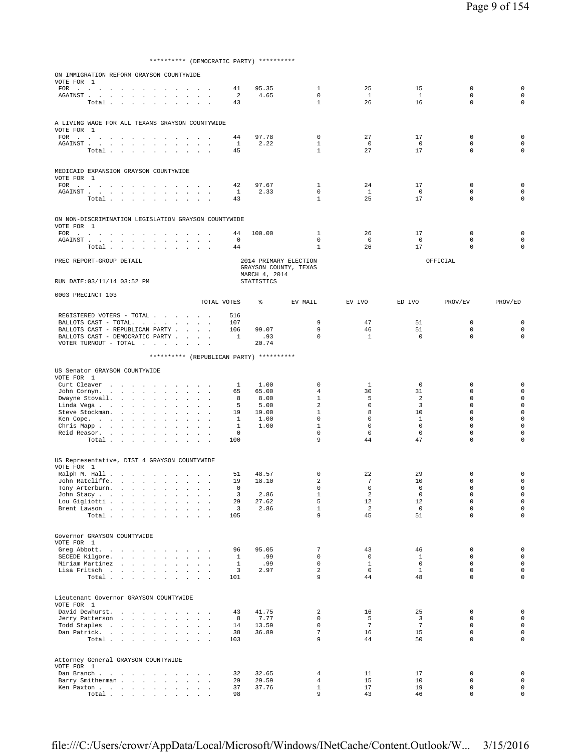\*\*\*\*\*\*\*\*\*\* (DEMOCRATIC PARTY) \*\*\*\*\*\*\*\*\*\*

| ON IMMIGRATION REFORM GRAYSON COUNTYWIDE<br>VOTE FOR 1                                                                                                                                                                                                                                          |                                                         |                                     |                                                            |                             |                              |                                          |                                                |                            |                             |                            |                            |
|-------------------------------------------------------------------------------------------------------------------------------------------------------------------------------------------------------------------------------------------------------------------------------------------------|---------------------------------------------------------|-------------------------------------|------------------------------------------------------------|-----------------------------|------------------------------|------------------------------------------|------------------------------------------------|----------------------------|-----------------------------|----------------------------|----------------------------|
| FOR .<br>the contract of the contract of the contract of                                                                                                                                                                                                                                        |                                                         |                                     |                                                            |                             | 41                           | 95.35                                    | $\mathbf{1}$                                   | 25                         | 15                          | $\mathbf 0$                | $\mathbf 0$                |
| ${\tt AGAINST} \hspace{1.5cm} . \hspace{1.5cm} . \hspace{1.5cm} . \hspace{1.5cm} . \hspace{1.5cm} . \hspace{1.5cm} . \hspace{1.5cm} . \hspace{1.5cm} . \hspace{1.5cm} . \hspace{1.5cm} . \hspace{1.5cm} . \hspace{1.5cm} . \hspace{1.5cm} . \hspace{1.5cm} .$                                   | Total                                                   |                                     | $\sim$<br>$\sim$                                           | $\sim$                      | 2<br>43                      | 4.65                                     | $\mathbf 0$<br>$\mathbf{1}$                    | $\mathbf{1}$<br>26         | $\mathbf{1}$<br>16          | $\mathbf 0$<br>$\mathbf 0$ | $\mathbf 0$<br>$\mathbf 0$ |
|                                                                                                                                                                                                                                                                                                 |                                                         |                                     |                                                            |                             |                              |                                          |                                                |                            |                             |                            |                            |
| A LIVING WAGE FOR ALL TEXANS GRAYSON COUNTYWIDE                                                                                                                                                                                                                                                 |                                                         |                                     |                                                            |                             |                              |                                          |                                                |                            |                             |                            |                            |
| VOTE FOR 1                                                                                                                                                                                                                                                                                      |                                                         |                                     |                                                            |                             |                              | 97.78                                    | $\mathbf 0$                                    | 27                         | 17                          | $\mathbf 0$                | $\mathbf 0$                |
| $\texttt{FOR} \quad . \qquad . \qquad . \qquad . \qquad . \qquad . \qquad . \qquad . \qquad . \qquad .$<br>${\tt AGAINST} \quad . \qquad . \qquad . \qquad . \qquad . \qquad . \qquad . \qquad .$                                                                                               |                                                         |                                     | <b>Carl Corporation</b><br>$\cdot$<br>$\ddot{\phantom{a}}$ | $\sim$<br>$\cdot$<br>$\sim$ | 44<br>$\mathbf{1}$           | 2.22                                     | 1                                              | 0                          | $^{\circ}$                  | 0                          | 0                          |
|                                                                                                                                                                                                                                                                                                 | Total                                                   |                                     |                                                            |                             | 45                           |                                          | $\mathbf{1}$                                   | 27                         | 17                          | $\mathbf 0$                | $\mathbf 0$                |
|                                                                                                                                                                                                                                                                                                 |                                                         |                                     |                                                            |                             |                              |                                          |                                                |                            |                             |                            |                            |
| MEDICAID EXPANSION GRAYSON COUNTYWIDE<br>VOTE FOR 1                                                                                                                                                                                                                                             |                                                         |                                     |                                                            |                             |                              |                                          |                                                |                            |                             |                            |                            |
| $\texttt{FOR} \quad . \qquad . \qquad . \qquad . \qquad . \qquad . \qquad .$                                                                                                                                                                                                                    |                                                         |                                     |                                                            |                             | 42                           | 97.67                                    | 1                                              | 24                         | 17                          | 0                          | 0                          |
| ${\tt AGAINST} \quad . \qquad . \qquad . \qquad . \qquad . \qquad . \qquad .$                                                                                                                                                                                                                   | Total                                                   |                                     |                                                            |                             | $\mathbf{1}$<br>43           | 2.33                                     | $\mathbf 0$<br>$\mathbf{1}$                    | $\mathbf{1}$<br>25         | 0<br>17                     | 0<br>$\mathbf 0$           | $\mathbf 0$<br>$\mathbf 0$ |
|                                                                                                                                                                                                                                                                                                 |                                                         | $\sim$                              |                                                            |                             |                              |                                          |                                                |                            |                             |                            |                            |
| ON NON-DISCRIMINATION LEGISLATION GRAYSON COUNTYWIDE<br>VOTE FOR 1                                                                                                                                                                                                                              |                                                         |                                     |                                                            |                             |                              |                                          |                                                |                            |                             |                            |                            |
|                                                                                                                                                                                                                                                                                                 |                                                         |                                     |                                                            |                             | 44                           | 100.00                                   | 1                                              | 26                         | 17                          | $\mathbf 0$                | $\mathbf 0$                |
| ${\tt AGAINST} \hspace{0.2cm} . \hspace{0.2cm} . \hspace{0.2cm} . \hspace{0.2cm} . \hspace{0.2cm} . \hspace{0.2cm} . \hspace{0.2cm} . \hspace{0.2cm} . \hspace{0.2cm} . \hspace{0.2cm} . \hspace{0.2cm} . \hspace{0.2cm} . \hspace{0.2cm} . \hspace{0.2cm} . \hspace{0.2cm} . \hspace{0.2cm} .$ |                                                         |                                     |                                                            |                             | 0                            |                                          | 0<br>$\mathbf{1}$                              | $\circ$                    | 0                           | 0<br>$\mathbf 0$           | $\mathbf 0$<br>$\mathbf 0$ |
|                                                                                                                                                                                                                                                                                                 | Total $\cdots$ $\cdots$ $\cdots$ $\cdots$               |                                     |                                                            |                             | 44                           |                                          |                                                | 26                         | 17                          |                            |                            |
| PREC REPORT-GROUP DETAIL                                                                                                                                                                                                                                                                        |                                                         |                                     |                                                            |                             |                              | MARCH 4, 2014                            | 2014 PRIMARY ELECTION<br>GRAYSON COUNTY, TEXAS |                            |                             | OFFICIAL                   |                            |
| RUN DATE:03/11/14 03:52 PM                                                                                                                                                                                                                                                                      |                                                         |                                     |                                                            |                             |                              | <b>STATISTICS</b>                        |                                                |                            |                             |                            |                            |
| 0003 PRECINCT 103                                                                                                                                                                                                                                                                               |                                                         |                                     |                                                            |                             | TOTAL VOTES                  | ⊱                                        | EV MAIL                                        | EV IVO                     | ED IVO                      | PROV/EV                    | PROV/ED                    |
| REGISTERED VOTERS - TOTAL                                                                                                                                                                                                                                                                       |                                                         |                                     |                                                            |                             | 516                          |                                          |                                                |                            |                             |                            |                            |
| BALLOTS CAST - TOTAL.                                                                                                                                                                                                                                                                           |                                                         |                                     |                                                            |                             | 107                          |                                          | 9                                              | 47                         | 51                          | $\mathsf 0$                | $\mathbf 0$                |
| BALLOTS CAST - REPUBLICAN PARTY                                                                                                                                                                                                                                                                 |                                                         |                                     |                                                            |                             | 106                          | 99.07                                    | 9                                              | 46                         | 51                          | $\mathbf 0$                | $\mathbf 0$                |
| BALLOTS CAST - DEMOCRATIC PARTY<br>VOTER TURNOUT - TOTAL $\qquad \qquad$                                                                                                                                                                                                                        |                                                         |                                     |                                                            |                             | 1                            | .93<br>20.74                             | $\mathbf 0$                                    | $\mathbf{1}$               | $\mathbf 0$                 | $\mathbf 0$                | $\mathbf 0$                |
|                                                                                                                                                                                                                                                                                                 |                                                         |                                     |                                                            |                             |                              | ********** (REPUBLICAN PARTY) ********** |                                                |                            |                             |                            |                            |
|                                                                                                                                                                                                                                                                                                 |                                                         |                                     |                                                            |                             |                              |                                          |                                                |                            |                             |                            |                            |
| US Senator GRAYSON COUNTYWIDE<br>VOTE FOR 1                                                                                                                                                                                                                                                     |                                                         |                                     |                                                            |                             |                              |                                          |                                                |                            |                             |                            |                            |
| Curt Cleaver                                                                                                                                                                                                                                                                                    | the contract of the contract of                         |                                     | <b>Contract Contract Contract</b>                          |                             | $\mathbf{1}$                 | 1.00                                     | $\mathbf 0$                                    | $\mathbf{1}$               | 0                           | $\mathbf 0$                | $\mathbf 0$                |
| John Cornyn<br>Dwayne Stovall.                                                                                                                                                                                                                                                                  | $\sim$                                                  | $\ddot{\phantom{a}}$<br>$\sim$      | $\cdot$                                                    | $\sim$                      | 65<br>8                      | 65.00<br>8.00                            | 4<br>1                                         | 30<br>5                    | 31<br>2                     | 0<br>0                     | 0<br>0                     |
| Linda Vega                                                                                                                                                                                                                                                                                      | $\ddot{\phantom{0}}$                                    | $\cdot$<br>$\sim$                   | $\Box$                                                     |                             | 5                            | 5.00                                     | $\overline{a}$                                 | $\mathbf 0$                | 3                           | $\mathbf 0$                | $\mathbf 0$                |
| Steve Stockman.                                                                                                                                                                                                                                                                                 | and the control of the                                  |                                     |                                                            |                             | 19                           | 19.00                                    | $\mathbf 1$                                    | 8                          | 10                          | $\mathbf 0$                | $\mathbf 0$                |
| Ken Cope.<br>Chris Mapp                                                                                                                                                                                                                                                                         | $\sim$                                                  | $\cdot$                             | $\cdot$                                                    | $\cdot$                     | $\mathbf{1}$<br>$\mathbf{1}$ | 1.00<br>1.00                             | $\mathbf 0$<br>$\mathbf 1$                     | $\mathbf 0$<br>$\mathbf 0$ | $\mathbf{1}$<br>$\mathbf 0$ | $\mathbf 0$<br>0           | $\mathbf 0$<br>0           |
| Reid Reasor.                                                                                                                                                                                                                                                                                    |                                                         |                                     |                                                            |                             | 0                            |                                          | 0                                              | 0                          | $\mathbf 0$                 | 0                          | $\mathbf 0$                |
|                                                                                                                                                                                                                                                                                                 | Total                                                   |                                     | $\sim$<br>$\sim$                                           | $\sim$                      | 100                          |                                          | 9                                              | 44                         | 47                          | $\mathbf 0$                | $\mathbf 0$                |
| US Representative, DIST 4 GRAYSON COUNTYWIDE                                                                                                                                                                                                                                                    |                                                         |                                     |                                                            |                             |                              |                                          |                                                |                            |                             |                            |                            |
| VOTE FOR 1                                                                                                                                                                                                                                                                                      |                                                         |                                     |                                                            |                             |                              |                                          |                                                |                            |                             |                            |                            |
| Ralph M. Hall<br>John Ratcliffe.                                                                                                                                                                                                                                                                | the company of the company of                           |                                     |                                                            | $\sim$ $\sim$               | 51<br>19                     | 48.57<br>18.10                           | 0<br>$\overline{2}$                            | 22<br>7                    | 29<br>10                    | 0<br>0                     | 0<br>0                     |
| Tony Arterburn.                                                                                                                                                                                                                                                                                 | <b>Contract Contract</b>                                | $\overline{\phantom{a}}$<br>$\cdot$ | $\cdot$                                                    | $\cdot$                     | 0                            |                                          | 0                                              | 0                          | $\circ$                     | 0                          | 0                          |
| John Stacy                                                                                                                                                                                                                                                                                      | $\sim$ $\sim$ $\sim$<br><b>Contract Contract Street</b> |                                     |                                                            |                             | 3                            | 2.86                                     | $1\,$                                          | 2                          | $\mathbf 0$                 | $\mathbf 0$                | $\mathbf 0$                |
| Lou Gigliotti                                                                                                                                                                                                                                                                                   |                                                         |                                     | $\sim$<br>$\sim$                                           | $\blacksquare$ .            | 29                           | 27.62                                    | 5                                              | 12                         | 12<br>$\circ$               | 0<br>$\mathbf 0$           | 0<br>$\mathbf 0$           |
| Brent Lawson                                                                                                                                                                                                                                                                                    | Total                                                   |                                     |                                                            |                             | 3<br>105                     | 2.86                                     | $\mathbf{1}$<br>9                              | 2<br>45                    | 51                          | $\mathbf{0}$               | $\mathbf 0$                |
|                                                                                                                                                                                                                                                                                                 |                                                         |                                     |                                                            |                             |                              |                                          |                                                |                            |                             |                            |                            |
| Governor GRAYSON COUNTYWIDE<br>VOTE FOR 1                                                                                                                                                                                                                                                       |                                                         |                                     |                                                            |                             |                              |                                          |                                                |                            |                             |                            |                            |
| Greg Abbott.                                                                                                                                                                                                                                                                                    |                                                         |                                     |                                                            |                             | 96                           | 95.05                                    | 7                                              | 43                         | 46                          | $\mathbf 0$                | $\mathbf 0$                |
| SECEDE Kilgore.                                                                                                                                                                                                                                                                                 |                                                         |                                     |                                                            | <b>Contract Contract</b>    | $\mathbf{1}$                 | .99                                      | $\mathbf 0$                                    | $\circ$                    | $\mathbf{1}$                | 0                          | $\mathbf 0$                |
| Miriam Martinez                                                                                                                                                                                                                                                                                 |                                                         |                                     |                                                            |                             | $\mathbf{1}$                 | .99                                      | $\mathbf 0$                                    | $\mathbf{1}$               | $\circ$                     | 0                          | $\mathbf 0$                |
| Lisa Fritsch                                                                                                                                                                                                                                                                                    | Total                                                   |                                     |                                                            |                             | 3<br>101                     | 2.97                                     | $\overline{a}$<br>9                            | $\circ$<br>44              | $\mathbf{1}$<br>48          | $\mathbf 0$<br>$\Omega$    | $\mathbf 0$<br>$\Omega$    |
|                                                                                                                                                                                                                                                                                                 |                                                         |                                     |                                                            |                             |                              |                                          |                                                |                            |                             |                            |                            |
| Lieutenant Governor GRAYSON COUNTYWIDE<br>VOTE FOR 1                                                                                                                                                                                                                                            |                                                         |                                     |                                                            |                             |                              |                                          |                                                |                            |                             |                            |                            |
| David Dewhurst.                                                                                                                                                                                                                                                                                 |                                                         |                                     |                                                            |                             | 43                           | 41.75                                    | 2                                              | 16                         | 25                          | $\mathbf 0$                | $\mathbf 0$                |
| Jerry Patterson                                                                                                                                                                                                                                                                                 |                                                         |                                     |                                                            |                             | 8<br>14                      | 7.77<br>13.59                            | $\mathbf 0$<br>$\mathbf 0$                     | 5<br>$7\overline{ }$       | 3<br>$7\phantom{.0}$        | 0<br>$\mathbf 0$           | $\mathbf 0$<br>$\mathbf 0$ |
| Todd Staples<br>Dan Patrick.                                                                                                                                                                                                                                                                    |                                                         |                                     |                                                            |                             | 38                           | 36.89                                    | $\overline{7}$                                 | 16                         | 15                          | 0                          | $\mathbf 0$                |
|                                                                                                                                                                                                                                                                                                 | Total                                                   |                                     |                                                            |                             | 103                          |                                          | 9                                              | 44                         | 50                          | 0                          | $\mathbf 0$                |
|                                                                                                                                                                                                                                                                                                 |                                                         |                                     |                                                            |                             |                              |                                          |                                                |                            |                             |                            |                            |
| Attorney General GRAYSON COUNTYWIDE<br>VOTE FOR 1                                                                                                                                                                                                                                               |                                                         |                                     |                                                            |                             |                              |                                          |                                                |                            |                             |                            |                            |
| Dan Branch                                                                                                                                                                                                                                                                                      |                                                         |                                     |                                                            |                             | 32                           | 32.65                                    | $\overline{4}$                                 | 11                         | 17                          | $\mathbf 0$                | $\mathbf 0$                |
| Barry Smitherman                                                                                                                                                                                                                                                                                |                                                         |                                     |                                                            |                             | 29                           | 29.59                                    | $\overline{4}$                                 | 15                         | 10                          | 0                          | $\mathbf 0$                |
| Ken Paxton                                                                                                                                                                                                                                                                                      | Total                                                   |                                     |                                                            | $\sim$                      | 37<br>98                     | 37.76                                    | $\mathbf{1}$<br>9                              | 17<br>43                   | 19<br>46                    | 0<br>$\mathbf 0$           | $\mathbf 0$<br>$\mathbf 0$ |
|                                                                                                                                                                                                                                                                                                 |                                                         |                                     |                                                            |                             |                              |                                          |                                                |                            |                             |                            |                            |

file:///C:/Users/crowr/AppData/Local/Microsoft/Windows/INetCache/Content.Outlook/W... 3/15/2016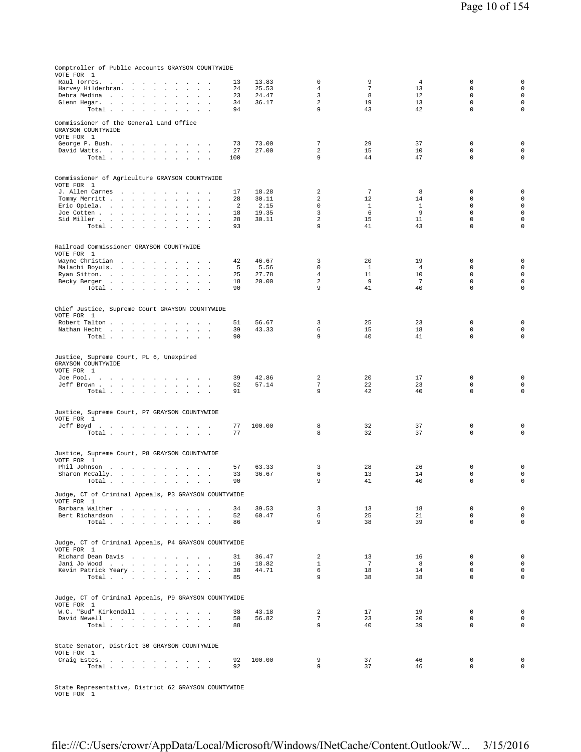| Comptroller of Public Accounts GRAYSON COUNTYWIDE<br>VOTE FOR 1                                                                                                                                          |          |                |                      |                       |                      |                            |                            |
|----------------------------------------------------------------------------------------------------------------------------------------------------------------------------------------------------------|----------|----------------|----------------------|-----------------------|----------------------|----------------------------|----------------------------|
| Raul Torres.<br>the company of the company<br>$\sim$<br>$\sim$ $\sim$ $\sim$                                                                                                                             | 13       | 13.83          | 0                    | 9                     | $\overline{4}$       | 0                          | $\mathsf{O}\xspace$        |
| Harvey Hilderbran.<br>$\cdots$<br><b>Contract</b><br>$\Box$                                                                                                                                              | 24       | 25.53          | $\overline{4}$       | $\overline{7}$        | 13                   | $\Omega$                   | $\mathbf 0$                |
| Debra Medina<br>$\sim$<br>$\sim$<br>$\sim$<br>$\sim$                                                                                                                                                     | 23       | 24.47          | 3                    | 8                     | 12                   | 0                          | $\mathbf 0$                |
| Glenn Hegar.<br><b>Carl Adams</b><br>$\sim$<br>$\mathbf{r}$<br>$\mathbf{r}$<br>$\mathbf{r}$<br>Total<br>$\sim$                                                                                           | 34<br>94 | 36.17          | $\overline{c}$<br>9  | 19<br>43              | 13<br>42             | $\mathbf 0$<br>0           | $\mathbf 0$<br>$\mathbf 0$ |
|                                                                                                                                                                                                          |          |                |                      |                       |                      |                            |                            |
| Commissioner of the General Land Office<br>GRAYSON COUNTYWIDE<br>VOTE FOR 1                                                                                                                              |          |                |                      |                       |                      |                            |                            |
| George P. Bush.                                                                                                                                                                                          | 73       | 73.00          | $7\phantom{.0}$      | 29                    | 37                   | 0                          | 0                          |
| David Watts.<br>$\mathbf{r}$                                                                                                                                                                             | 27       | 27.00          | $\overline{a}$       | 15                    | 10                   | $\mathbf 0$                | $\mathbf 0$                |
| Total $\cdots$ $\cdots$ $\cdots$<br>$\sim$ $\sim$                                                                                                                                                        | 100      |                | 9                    | 44                    | 47                   | 0                          | $\mathbf 0$                |
| Commissioner of Agriculture GRAYSON COUNTYWIDE<br>VOTE FOR 1                                                                                                                                             |          |                |                      |                       |                      |                            |                            |
| J. Allen Carnes<br>the company of the company of<br>$\sim$<br>$\sim$                                                                                                                                     | 17       | 18.28          | 2                    | 7                     | 8                    | 0                          | 0                          |
| Tommy Merritt<br>$\sim$<br>$\ddot{\phantom{a}}$<br>$\Box$<br>$\mathbf{r}$<br>$\cdot$                                                                                                                     | 28       | 30.11          | 2                    | 12                    | 14                   | 0                          | $\mathsf 0$                |
| Eric Opiela.<br>$\blacksquare$<br>$\Box$<br>Joe Cotten<br>$\cdot$                                                                                                                                        | 2<br>18  | 2.15<br>19.35  | $\Omega$<br>3        | <sup>1</sup><br>6     | $\mathbf{1}$<br>9    | $\Omega$<br>$\mathbf 0$    | $\mathbf 0$<br>$\mathbf 0$ |
| Sid Miller<br>$\cdot$<br>$\blacksquare$                                                                                                                                                                  | 28       | 30.11          | $\overline{a}$       | 15                    | 11                   | 0                          | $\mathbf 0$                |
| Total<br>$\sim$ 100 $\sim$                                                                                                                                                                               | 93       |                | 9                    | 41                    | 43                   | 0                          | $\mathbf 0$                |
|                                                                                                                                                                                                          |          |                |                      |                       |                      |                            |                            |
| Railroad Commissioner GRAYSON COUNTYWIDE<br>VOTE FOR 1                                                                                                                                                   |          |                |                      |                       |                      |                            |                            |
| Wayne Christian<br>$\sim 10^{-11}$ and $\sim 10^{-11}$<br>$\sim$<br>$\sim$<br>$\sim$<br>Malachi Boyuls.<br>contract and an<br>$\mathbf{L}$<br>$\mathcal{L}$<br>$\ddot{\phantom{a}}$<br>$\sim$<br>$\cdot$ | 42<br>5  | 46.67<br>5.56  | 3<br>$\mathbf 0$     | 20<br><sup>1</sup>    | 19<br>$\overline{4}$ | 0<br>$\mathbf 0$           | 0<br>$\mathsf 0$           |
| Ryan Sitton.<br>$\sim$<br>$\sim$<br><b>Sales Advised</b>                                                                                                                                                 | 25       | 27.78          | $\overline{4}$       | 11                    | 10                   | 0                          | $\mathbf 0$                |
| Becky Berger<br>$\sim$ $\sim$<br>$\blacksquare$<br>$\overline{a}$                                                                                                                                        | 18       | 20.00          | $\overline{a}$       | 9                     | 7                    | $\mathsf 0$                | $\mathbf 0$                |
| Total                                                                                                                                                                                                    | 90       |                | 9                    | 41                    | 40                   | 0                          | $\mathbf 0$                |
| Chief Justice, Supreme Court GRAYSON COUNTYWIDE<br>VOTE FOR 1                                                                                                                                            |          |                |                      |                       |                      |                            |                            |
| Robert Talton<br><b>Contract Contract</b>                                                                                                                                                                | 51       | 56.67          | 3                    | 25                    | 23                   | 0                          | $\mathbf 0$                |
| Nathan Hecht<br>$\sim$<br>$\ddot{\phantom{a}}$                                                                                                                                                           | 39       | 43.33          | 6                    | 15                    | 18                   | 0                          | $\mathsf 0$                |
| Total                                                                                                                                                                                                    | 90       |                | 9                    | 40                    | 41                   | 0                          | $\mathbf 0$                |
| Justice, Supreme Court, PL 6, Unexpired<br>GRAYSON COUNTYWIDE<br>VOTE FOR 1<br>Joe Pool.<br>the contract of the contract of the con-                                                                     | 39       | 42.86          | 2                    | 20                    | 17                   | $\mathbf 0$                | 0                          |
| Jeff Brown<br>$\sim$ $\sim$<br>Total                                                                                                                                                                     | 52<br>91 | 57.14          | $7\phantom{.0}$<br>9 | 22<br>42              | 23<br>40             | $\mathbf 0$<br>$\mathbf 0$ | $\mathbf 0$<br>$\mathbf 0$ |
| $\sim$ $\sim$                                                                                                                                                                                            |          |                |                      |                       |                      |                            |                            |
| Justice, Supreme Court, P7 GRAYSON COUNTYWIDE<br>VOTE FOR 1                                                                                                                                              |          |                |                      |                       |                      |                            |                            |
| Jeff Boyd.                                                                                                                                                                                               | 77       | 100.00         | 8                    | 32                    | 37                   | 0                          | 0                          |
| Total $\cdots$ $\cdots$ $\cdots$<br>$\sim 10^{-1}$ km $^{-1}$                                                                                                                                            | 77       |                | 8                    | 32                    | 37                   | $\mathbf 0$                | $\mathbf 0$                |
| Justice, Supreme Court, P8 GRAYSON COUNTYWIDE<br>VOTE FOR 1                                                                                                                                              |          |                |                      |                       |                      |                            |                            |
| Phil Johnson<br>Sharon McCally.<br>the contract of the contract of the con-                                                                                                                              | 57<br>33 | 63.33<br>36.67 | 3<br>6               | 28<br>13              | 26<br>14             | $\mathbf 0$<br>0           | 0<br>$\mathsf{O}\xspace$   |
| Total $\cdots$ $\cdots$ $\cdots$                                                                                                                                                                         | 90       |                | 9                    | 41                    | 40                   | $\mathsf 0$                | $\mathbf 0$                |
| Judge, CT of Criminal Appeals, P3 GRAYSON COUNTYWIDE<br>VOTE FOR 1                                                                                                                                       |          |                |                      |                       |                      |                            |                            |
| Barbara Walther<br><b>Contract</b>                                                                                                                                                                       | 34       | 39.53          | 3                    | 13                    | 18                   | 0                          | 0                          |
| Bert Richardson<br>Total $\cdots$ $\cdots$ $\cdots$                                                                                                                                                      | 52<br>86 | 60.47          | 6<br>9               | 25<br>38              | 21<br>39             | $\mathbf 0$<br>$\Omega$    | $\mathbf 0$<br>$\circ$     |
|                                                                                                                                                                                                          |          |                |                      |                       |                      |                            |                            |
| Judge, CT of Criminal Appeals, P4 GRAYSON COUNTYWIDE<br>VOTE FOR 1                                                                                                                                       |          |                |                      |                       |                      |                            |                            |
| Richard Dean Davis                                                                                                                                                                                       | 31       | 36.47          | 2                    | 13                    | 16                   | 0                          | $\mathsf 0$                |
| Jani Jo Wood<br>$\sim$<br>Kevin Patrick Yeary                                                                                                                                                            | 16<br>38 | 18.82<br>44.71 | $\mathbf{1}$<br>6    | $7\phantom{.0}$<br>18 | 8<br>14              | $\mathbf 0$<br>$\mathbf 0$ | $\mathbf 0$<br>$\mathsf 0$ |
| Total.                                                                                                                                                                                                   | 85       |                | 9                    | 38                    | 38                   | $\mathbf 0$                | $\mathbf 0$                |
|                                                                                                                                                                                                          |          |                |                      |                       |                      |                            |                            |
| Judge, CT of Criminal Appeals, P9 GRAYSON COUNTYWIDE<br>VOTE FOR 1                                                                                                                                       |          |                |                      |                       |                      |                            |                            |
| W.C. "Bud" Kirkendall                                                                                                                                                                                    | 38       | 43.18          | $\overline{a}$       | 17                    | 19                   | 0                          | $\mathbf 0$                |
| David Newell<br>Total<br>$\sim$ $\sim$<br>$\cdot$                                                                                                                                                        | 50<br>88 | 56.82          | $7\phantom{.0}$<br>9 | 23<br>40              | 20<br>39             | $\mathbf 0$<br>0           | $\circ$<br>$\mathbf 0$     |
|                                                                                                                                                                                                          |          |                |                      |                       |                      |                            |                            |
| State Senator, District 30 GRAYSON COUNTYWIDE<br>VOTE FOR 1                                                                                                                                              |          |                |                      |                       |                      |                            |                            |
| Craig Estes.<br>Total .                                                                                                                                                                                  | 92<br>92 | 100.00         | 9<br>9               | 37<br>37              | 46<br>46             | $\mathbf 0$<br>$\mathbf 0$ | $\mathsf 0$<br>0           |
| the contract of the contract of the                                                                                                                                                                      |          |                |                      |                       |                      |                            |                            |

State Representative, District 62 GRAYSON COUNTYWIDE VOTE FOR 1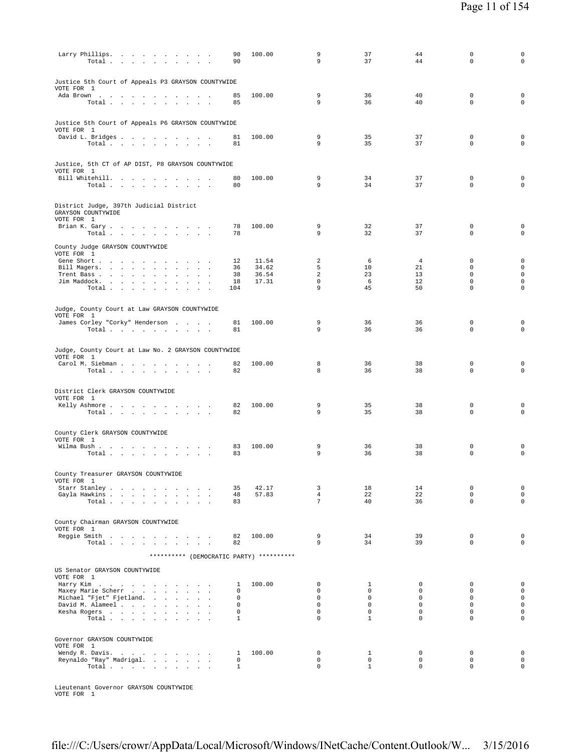| Larry Phillips.<br>Total $\cdots$ $\cdots$ $\cdots$<br>$\sim$<br>$\sim$<br>$\sim$      | 90<br>90          | 100.00         | 9<br>9                     | 37<br>37                    | 44<br>44                   | $\mathbf 0$<br>$\mathbf 0$  | $\mathbf 0$<br>$\mathbf 0$         |
|----------------------------------------------------------------------------------------|-------------------|----------------|----------------------------|-----------------------------|----------------------------|-----------------------------|------------------------------------|
| Justice 5th Court of Appeals P3 GRAYSON COUNTYWIDE<br>VOTE FOR 1<br>Ada Brown          | 85                | 100.00         | 9                          | 36                          | 40                         | $\mathbb O$                 | $\mathsf 0$                        |
| Total $\cdots$ $\cdots$ $\cdots$<br>Justice 5th Court of Appeals P6 GRAYSON COUNTYWIDE | 85                |                | 9                          | 36                          | 40                         | $\mathbf 0$                 | $\mathbf 0$                        |
| VOTE FOR 1<br>David L. Bridges<br>Total $\cdots$ $\cdots$ $\cdots$<br>$\sim$           | 81<br>81          | 100.00         | 9<br>9                     | 35<br>35                    | 37<br>37                   | $\mathbf 0$<br>$\mathbf 0$  | $\mathbf 0$<br>$\mathbf 0$         |
| Justice, 5th CT of AP DIST, P8 GRAYSON COUNTYWIDE<br>VOTE FOR 1                        |                   |                |                            |                             |                            |                             |                                    |
| Bill Whitehill.<br>Total                                                               | 80<br>80          | 100.00         | 9<br>9                     | 34<br>34                    | 37<br>37                   | $\mathbf{0}$<br>$\mathbf 0$ | $\mathsf 0$<br>$\mathbf 0$         |
| District Judge, 397th Judicial District<br>GRAYSON COUNTYWIDE<br>VOTE FOR 1            |                   |                |                            |                             |                            |                             |                                    |
| Brian K. Gary.<br>Total                                                                | 78<br>78          | 100.00         | 9<br>9                     | 32<br>32                    | 37<br>37                   | $\mathbf 0$<br>$\mathbf 0$  | $\mathsf 0$<br>$\mathbf 0$         |
| County Judge GRAYSON COUNTYWIDE<br>VOTE FOR 1<br>Gene Short                            | 12                | 11.54          | 2                          | 6                           | $\overline{4}$             | $\mathbf 0$                 | $\mathbf 0$                        |
| Bill Magers.<br>$\ddot{\phantom{1}}$<br>Trent Bass                                     | 36<br>38          | 34.62<br>36.54 | 5<br>2                     | 10<br>23                    | 21<br>13                   | $\mathbf 0$<br>$\mathbf 0$  | $\mathbf 0$<br>$\mathbf 0$         |
| Jim Maddock.<br>$\sim$                                                                 | 18                | 17.31          | $\mathbf 0$                | - 6                         | 12                         | $\mathbf 0$                 | $\mathsf 0$                        |
| Total                                                                                  | 104               |                | 9                          | 45                          | 50                         | $\mathbf 0$                 | $\circ$                            |
| Judge, County Court at Law GRAYSON COUNTYWIDE<br>VOTE FOR 1                            |                   |                |                            |                             |                            |                             |                                    |
| James Corley "Corky" Henderson<br>Total                                                | 81<br>81          | 100.00         | 9<br>9                     | 36<br>36                    | 36<br>36                   | 0<br>$\mathbf 0$            | 0<br>$\circ$                       |
| Judge, County Court at Law No. 2 GRAYSON COUNTYWIDE<br>VOTE FOR 1                      |                   |                |                            |                             |                            |                             |                                    |
| Carol M. Siebman<br>Total                                                              | 82<br>82          | 100.00         | 8<br>8                     | 36<br>36                    | 38<br>38                   | 0<br>$\mathbf 0$            | $\mathbf 0$<br>$\mathbf 0$         |
| District Clerk GRAYSON COUNTYWIDE                                                      |                   |                |                            |                             |                            |                             |                                    |
| VOTE FOR 1<br>Kelly Ashmore<br>Total<br>$\sim$                                         | 82<br>82          | 100.00         | 9<br>9                     | 35<br>35                    | 38<br>38                   | 0<br>$\mathbf 0$            | $\mathsf 0$<br>$\mathsf 0$         |
| County Clerk GRAYSON COUNTYWIDE<br>VOTE FOR 1                                          |                   |                |                            |                             |                            |                             |                                    |
| Wilma Bush<br>Total $\cdots$ $\cdots$ $\cdots$ $\cdots$                                | 83<br>83          | 100.00         | 9<br>9                     | 36<br>36                    | 38<br>38                   | 0<br>$\mathbf 0$            | 0<br>$\mathbf 0$                   |
| County Treasurer GRAYSON COUNTYWIDE<br>VOTE FOR 1<br>Starr Stanley                     | 35                | 42.17          | 3                          | 18                          | 14                         | 0                           | 0                                  |
| Gayla Hawkins                                                                          | 48                | 57.83          | $\overline{4}$             | 22                          | 22                         | $\mathbf 0$                 | $\mathsf{O}\xspace$                |
| Total<br>County Chairman GRAYSON COUNTYWIDE                                            | 83                |                | 7                          | 40                          | 36                         | $\mathbf 0$                 | $\mathbf 0$                        |
| VOTE FOR 1<br>Reggie Smith                                                             | 82                | 100.00         | 9<br>9                     | 34<br>34                    | 39<br>39                   | $\mathbf 0$<br>$\mathbf 0$  | 0<br>0                             |
| Total $\ldots$ $\ldots$ $\ldots$ $\ldots$                                              | 82                |                |                            |                             |                            |                             |                                    |
| ********** (DEMOCRATIC PARTY) **********<br>US Senator GRAYSON COUNTYWIDE              |                   |                |                            |                             |                            |                             |                                    |
| VOTE FOR 1<br>Harry Kim                                                                | $\mathbf{I}$      | 100.00         | $\mathbf 0$                | 1                           | $\mathbf 0$                | $\mathbf{0}$                | $\mathbf 0$                        |
| Maxey Marie Scherr                                                                     | 0                 |                | 0                          | $\circ$                     | $\mathbf 0$                | $\mathbf 0$                 | $\mathsf{O}\xspace$                |
| Michael "Fjet" Fjetland.<br>$\mathbf{r}$<br>David M. Alameel                           | 0<br>0            |                | $\mathbf 0$<br>$\mathbf 0$ | $\circ$<br>0                | $\mathbf 0$<br>$\mathbf 0$ | $\mathbf 0$<br>$\mathbf 0$  | $\mathbf 0$<br>$\mathsf{O}\xspace$ |
| Kesha Rogers<br>$\sim$                                                                 | 0                 |                | $\mathsf 0$                | 0                           | $\mathbf 0$                | $\mathsf 0$                 | $\mathsf{O}\xspace$                |
| Total $\cdots$ $\cdots$ $\cdots$                                                       | $\mathbf{1}$      |                | $\Omega$                   | $\mathbf{1}$                | $\mathbf 0$                | $\mathbf 0$                 | 0                                  |
| Governor GRAYSON COUNTYWIDE<br>VOTE FOR 1                                              |                   |                |                            |                             |                            |                             |                                    |
| Wendy R. Davis.                                                                        | 1                 | 100.00         | 0                          | $\mathbf{1}$                | 0                          | 0                           | $\mathsf 0$                        |
| Reynaldo "Ray" Madrigal.<br>Total $\cdots$ $\cdots$ $\cdots$                           | 0<br>$\mathbf{1}$ |                | 0<br>$\mathbf 0$           | $\mathbf 0$<br>$\mathbf{1}$ | $\mathbf 0$<br>$\mathbf 0$ | $\mathbf 0$<br>$\mathbf 0$  | $\mathsf 0$<br>0                   |
|                                                                                        |                   |                |                            |                             |                            |                             |                                    |

Lieutenant Governor GRAYSON COUNTYWIDE VOTE FOR 1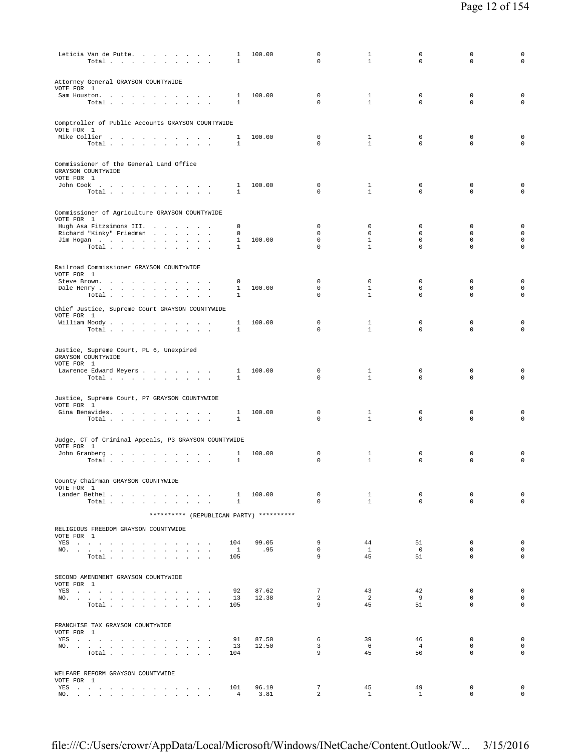| Leticia Van de Putte.<br>Total                                                                                                                                                                                                               | $\mathbf{1}$<br>$\mathbf{1}$ | 100.00         | $\mathbf 0$<br>0                  | $\mathbf{1}$<br>$\mathbf{1}$ | 0<br>$\mathbf 0$           | 0<br>0                      | $\mathbf 0$<br>$\mathbf 0$         |
|----------------------------------------------------------------------------------------------------------------------------------------------------------------------------------------------------------------------------------------------|------------------------------|----------------|-----------------------------------|------------------------------|----------------------------|-----------------------------|------------------------------------|
| Attorney General GRAYSON COUNTYWIDE<br>VOTE FOR 1<br>Sam Houston.                                                                                                                                                                            | 1                            | 100.00         | $\Omega$                          | $\mathbf{1}$                 | $\mathbf 0$                | $\mathbf 0$                 | $\mathsf 0$                        |
| Total $\cdots$ $\cdots$ $\cdots$                                                                                                                                                                                                             | $\mathbf{1}$                 |                | 0                                 | $\mathbf{1}$                 | $\Omega$                   | $\Omega$                    | $\mathbf 0$                        |
| Comptroller of Public Accounts GRAYSON COUNTYWIDE<br>VOTE FOR 1                                                                                                                                                                              |                              |                |                                   |                              |                            |                             |                                    |
| Mike Collier                                                                                                                                                                                                                                 | 1                            | 100.00         | 0                                 | $\mathbf{1}$                 | 0                          | 0                           | $\mathbf 0$                        |
| Total                                                                                                                                                                                                                                        | $\mathbf{1}$                 |                | $\Omega$                          | $\mathbf{1}$                 | $\mathbf 0$                | $\mathbf 0$                 | $\mathbf 0$                        |
| Commissioner of the General Land Office<br>GRAYSON COUNTYWIDE<br>VOTE FOR 1                                                                                                                                                                  |                              |                |                                   |                              |                            |                             |                                    |
| John Cook $\ldots$ $\ldots$ $\ldots$ $\ldots$ $\ldots$                                                                                                                                                                                       | $\mathbf{1}$                 | 100.00         | 0                                 | 1                            | 0                          | $\mathbf 0$                 | $\mathsf 0$                        |
| Total                                                                                                                                                                                                                                        | $\mathbf{1}$                 |                | 0                                 | $\mathbf{1}$                 | $\mathbf 0$                | 0                           | $\mathbf 0$                        |
| Commissioner of Agriculture GRAYSON COUNTYWIDE<br>VOTE FOR 1                                                                                                                                                                                 |                              |                |                                   |                              |                            |                             |                                    |
| Hugh Asa Fitzsimons III.<br>Richard "Kinky" Friedman                                                                                                                                                                                         | $^{\circ}$<br>$^{\circ}$     |                | $\mathbf{0}$<br>$\mathbf{0}$      | $\circ$<br>$\mathbf 0$       | $\mathbf 0$<br>$\mathbf 0$ | $\mathbf 0$<br>$\mathbf 0$  | $\mathbf 0$<br>$\mathbf 0$         |
| Jim Hogan<br>$\sim$                                                                                                                                                                                                                          | $\mathbf{1}$                 | 100.00         | $\mathbf{0}$                      | $\mathbf{1}$                 | $\mathbf 0$                | $\mathbf 0$                 | $\mathsf{O}\xspace$                |
| Total                                                                                                                                                                                                                                        | $\mathbf{1}$                 |                | $\Omega$                          | $\mathbf{1}$                 | $\mathbf 0$                | 0                           | $\mathbf 0$                        |
| Railroad Commissioner GRAYSON COUNTYWIDE<br>VOTE FOR 1                                                                                                                                                                                       |                              |                |                                   |                              |                            |                             |                                    |
| Steve Brown.<br>Dale Henry<br>$\sim$ $\sim$<br>$\sim$<br>$\mathbf{r}$<br>$\sim$                                                                                                                                                              | 0<br>$\mathbf{1}$            | 100.00         | 0<br>$\mathbf 0$                  | $\mathbf 0$<br>$\mathbf{1}$  | 0<br>$\mathbf 0$           | 0<br>0                      | $\mathbf 0$<br>$\mathsf{O}\xspace$ |
| Total $\ldots$ $\ldots$ $\ldots$ $\ldots$                                                                                                                                                                                                    | $\mathbf{1}$                 |                | $\Omega$                          | $\mathbf{1}$                 | $\mathbf 0$                | 0                           | $\mathbf 0$                        |
| Chief Justice, Supreme Court GRAYSON COUNTYWIDE<br>VOTE FOR 1                                                                                                                                                                                |                              |                |                                   |                              |                            |                             |                                    |
| William Moody.<br>Total $\cdots$ $\cdots$ $\cdots$                                                                                                                                                                                           | 1<br>1                       | 100.00         | $\mathbf 0$<br>$\Omega$           | $\mathbf{1}$<br>$\mathbf{1}$ | 0<br>$\Omega$              | 0<br>0                      | 0<br>$\Omega$                      |
| Justice, Supreme Court, PL 6, Unexpired<br>GRAYSON COUNTYWIDE                                                                                                                                                                                |                              |                |                                   |                              |                            |                             |                                    |
| VOTE FOR 1<br>Lawrence Edward Meyers                                                                                                                                                                                                         | $\mathbf{1}$                 | 100.00         | 0<br>$\Omega$                     | 1                            | 0                          | 0                           | $\mathsf 0$<br>$\mathbf 0$         |
| Total $\cdots$ $\cdots$ $\cdots$                                                                                                                                                                                                             | $\mathbf{1}$                 |                |                                   | $\mathbf{1}$                 | $\mathbf 0$                | 0                           |                                    |
| Justice, Supreme Court, P7 GRAYSON COUNTYWIDE<br>VOTE FOR 1                                                                                                                                                                                  |                              |                |                                   |                              |                            |                             |                                    |
| Gina Benavides.<br>Total                                                                                                                                                                                                                     | 1<br>$\mathbf{1}$            | 100.00         | 0<br>0                            | 1<br>$\mathbf{1}$            | $^{\circ}$<br>$\mathbf 0$  | 0<br>0                      | $\mathsf 0$<br>$\mathbf 0$         |
|                                                                                                                                                                                                                                              |                              |                |                                   |                              |                            |                             |                                    |
| Judge, CT of Criminal Appeals, P3 GRAYSON COUNTYWIDE<br>VOTE FOR 1                                                                                                                                                                           |                              |                |                                   |                              |                            |                             |                                    |
| John Granberg<br>Total.<br>$\overline{\phantom{a}}$                                                                                                                                                                                          | 1<br>1                       | 100.00         | $\mathbf 0$<br>$\Omega$           | 1<br>$\mathbf{1}$            | 0<br>$\mathbf 0$           | 0<br>$\mathbf 0$            | $\mathsf 0$<br>$\mathbf 0$         |
| County Chairman GRAYSON COUNTYWIDE                                                                                                                                                                                                           |                              |                |                                   |                              |                            |                             |                                    |
| VOTE FOR 1                                                                                                                                                                                                                                   |                              |                |                                   |                              |                            |                             |                                    |
| Lander Bethel<br>Total                                                                                                                                                                                                                       | $\mathbf{1}$                 | 1 100.00       | $\mathbf 0$<br>$\Omega$           | $\mathbf{1}$<br>$\mathbf{1}$ | $\circ$<br>$\Omega$        | $\mathbf 0$<br>$\Omega$     | $\mathsf 0$<br>$\mathbf 0$         |
| ********** (REPUBLICAN PARTY) **********                                                                                                                                                                                                     |                              |                |                                   |                              |                            |                             |                                    |
| RELIGIOUS FREEDOM GRAYSON COUNTYWIDE                                                                                                                                                                                                         |                              |                |                                   |                              |                            |                             |                                    |
| VOTE FOR 1<br>YES a contract of the contract of the contract of the set of the set of the set of the set of the set of the set of the set of the set of the set of the set of the set of the set of the set of the set of the set of the set | 104                          | 99.05          | 9                                 | 44                           | 51                         | $\mathbf 0$                 | $\circ$                            |
| NO.<br>$\sim$<br>$\texttt{Total}~~.~~.~~.~~.~~.~~.~~.~~.$<br>$\sim$                                                                                                                                                                          | $\overline{1}$<br>105        | .95            | $\mathbf 0$<br>9                  | $\mathbf{1}$<br>45           | $\circ$<br>51              | $\mathbf 0$<br>$\mathbf 0$  | $\circ$<br>$\mathbf 0$             |
| SECOND AMENDMENT GRAYSON COUNTYWIDE                                                                                                                                                                                                          |                              |                |                                   |                              |                            |                             |                                    |
| VOTE FOR 1<br>YES a contract of the contract of the contract of the set of the set of the set of the set of the set of the set of the set of the set of the set of the set of the set of the set of the set of the set of the set of the set | 92                           | 87.62          | $7\phantom{.0}$                   | 43                           | 42                         | $\mathbf 0$                 | $\circ$                            |
| NO.<br>Total                                                                                                                                                                                                                                 | 13<br>105                    | 12.38          | 2<br>9                            | $\overline{2}$<br>45         | - 9<br>51                  | $\mathbf 0$<br>$\mathbf 0$  | $\mathbf 0$<br>$\mathbf 0$         |
|                                                                                                                                                                                                                                              |                              |                |                                   |                              |                            |                             |                                    |
| FRANCHISE TAX GRAYSON COUNTYWIDE<br>VOTE FOR 1                                                                                                                                                                                               |                              |                |                                   |                              |                            |                             |                                    |
| YES<br>NO.                                                                                                                                                                                                                                   | 91<br>13                     | 87.50<br>12.50 | 6<br>3                            | 39<br>- 6                    | 46<br>$\overline{4}$       | $\mathbf 0$<br>$\mathbf 0$  | $\mathbf 0$<br>$\mathbf{0}$        |
| Total<br>$\sim$                                                                                                                                                                                                                              | 104                          |                | 9                                 | 45                           | 50                         | $\mathbf 0$                 | $\mathbf 0$                        |
| WELFARE REFORM GRAYSON COUNTYWIDE<br>VOTE FOR 1                                                                                                                                                                                              |                              |                |                                   |                              |                            |                             |                                    |
| YES<br>NO.                                                                                                                                                                                                                                   | 101<br>$\overline{4}$        | 96.19<br>3.81  | $7\phantom{.0}$<br>$\overline{2}$ | 45<br>$\mathbf{1}$           | 49<br>$\mathbf{1}$         | $\mathbf 0$<br>$\mathbf{0}$ | $\mathsf{O}\xspace$<br>$\circ$     |
|                                                                                                                                                                                                                                              |                              |                |                                   |                              |                            |                             |                                    |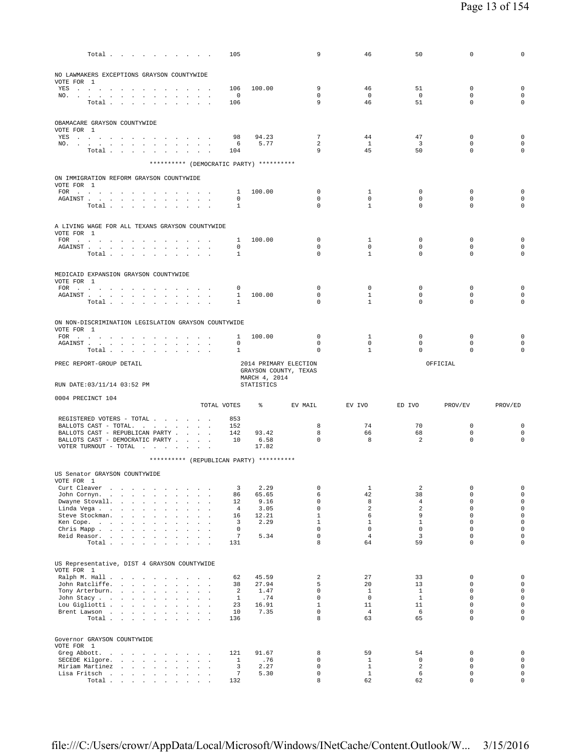|                                                                                                                                                                                                                                                                                | Total $\cdots$ $\cdots$ $\cdots$ |                                                                  |                                     |  |                |        |                      |                  | 105                             |                                          | 9                                              | 46                                 | 50                            | $\mathbf 0$                               | 0                                                         |
|--------------------------------------------------------------------------------------------------------------------------------------------------------------------------------------------------------------------------------------------------------------------------------|----------------------------------|------------------------------------------------------------------|-------------------------------------|--|----------------|--------|----------------------|------------------|---------------------------------|------------------------------------------|------------------------------------------------|------------------------------------|-------------------------------|-------------------------------------------|-----------------------------------------------------------|
| NO LAWMAKERS EXCEPTIONS GRAYSON COUNTYWIDE                                                                                                                                                                                                                                     |                                  |                                                                  |                                     |  |                |        |                      |                  |                                 |                                          |                                                |                                    |                               |                                           |                                                           |
| VOTE FOR 1                                                                                                                                                                                                                                                                     |                                  |                                                                  |                                     |  |                |        |                      |                  |                                 |                                          |                                                |                                    |                               |                                           |                                                           |
| YES<br>NO.                                                                                                                                                                                                                                                                     |                                  |                                                                  |                                     |  |                |        |                      |                  | 106<br>$\overline{\phantom{0}}$ | 100.00                                   | 9<br>$\mathbf 0$                               | 46<br>$\overline{0}$               | 51<br>$\overline{0}$          | 0<br>$\mathbf 0$                          | $\mathbf 0$<br>$\mathsf{O}\xspace$                        |
|                                                                                                                                                                                                                                                                                | Total                            |                                                                  |                                     |  |                |        |                      |                  | 106                             |                                          | 9                                              | 46                                 | 51                            | $\Omega$                                  | $\Omega$                                                  |
|                                                                                                                                                                                                                                                                                |                                  |                                                                  |                                     |  |                |        |                      |                  |                                 |                                          |                                                |                                    |                               |                                           |                                                           |
| OBAMACARE GRAYSON COUNTYWIDE<br>VOTE FOR 1                                                                                                                                                                                                                                     |                                  |                                                                  |                                     |  |                |        |                      |                  |                                 |                                          |                                                |                                    |                               |                                           |                                                           |
| YES                                                                                                                                                                                                                                                                            |                                  |                                                                  |                                     |  |                |        |                      |                  | 98                              | 94.23                                    | $7\phantom{.0}$                                | 44                                 | 47                            | $\mathbf 0$                               | $\mathbf 0$                                               |
| NO.                                                                                                                                                                                                                                                                            | Total.                           |                                                                  |                                     |  |                |        |                      |                  | 6<br>104                        | 5.77                                     | 2<br>9                                         | $\mathbf{1}$<br>45                 | $\overline{\mathbf{3}}$<br>50 | $\mathbf 0$<br>$\Omega$                   | $\mathbf 0$<br>$\mathbf 0$                                |
|                                                                                                                                                                                                                                                                                |                                  |                                                                  |                                     |  |                |        |                      |                  |                                 |                                          |                                                |                                    |                               |                                           |                                                           |
|                                                                                                                                                                                                                                                                                |                                  |                                                                  |                                     |  |                |        |                      |                  |                                 | ********** (DEMOCRATIC PARTY) ********** |                                                |                                    |                               |                                           |                                                           |
| ON IMMIGRATION REFORM GRAYSON COUNTYWIDE<br>VOTE FOR 1                                                                                                                                                                                                                         |                                  |                                                                  |                                     |  |                |        |                      |                  |                                 |                                          |                                                |                                    |                               |                                           |                                                           |
|                                                                                                                                                                                                                                                                                |                                  |                                                                  |                                     |  |                |        |                      |                  | $^{\circ}$                      | FOR 1 100.00                             | $\mathbf 0$<br>0                               | $\mathbf{1}$<br>$\circ$            | $\mathbf 0$<br>$\mathbf 0$    | $\mathbf 0$<br>$\mathbf 0$                | $\mathbf 0$<br>$\mathbf 0$                                |
| AGAINST                                                                                                                                                                                                                                                                        | Total                            |                                                                  |                                     |  |                |        |                      |                  | $\mathbf{1}$                    |                                          | 0                                              | $\mathbf{1}$                       | $^{\circ}$                    | 0                                         | $\mathbf 0$                                               |
|                                                                                                                                                                                                                                                                                |                                  |                                                                  |                                     |  |                |        |                      |                  |                                 |                                          |                                                |                                    |                               |                                           |                                                           |
| A LIVING WAGE FOR ALL TEXANS GRAYSON COUNTYWIDE<br>VOTE FOR 1                                                                                                                                                                                                                  |                                  |                                                                  |                                     |  |                |        |                      |                  |                                 |                                          |                                                |                                    |                               |                                           |                                                           |
| FOR                                                                                                                                                                                                                                                                            |                                  |                                                                  |                                     |  |                |        |                      |                  | $\mathbf{1}$                    | 100.00                                   | 0                                              | 1                                  | $^{\circ}$                    | 0                                         | $\mathbf 0$                                               |
| ${\tt AGAINST} \hspace{1.5cm} . \hspace{1.5cm} . \hspace{1.5cm} . \hspace{1.5cm} . \hspace{1.5cm} . \hspace{1.5cm} . \hspace{1.5cm} . \hspace{1.5cm} . \hspace{1.5cm} . \hspace{1.5cm} . \hspace{1.5cm} . \hspace{1.5cm} . \hspace{1.5cm} . \hspace{1.5cm} . \hspace{1.5cm} .$ | Total                            |                                                                  |                                     |  |                |        |                      |                  | 0<br>$\mathbf{1}$               |                                          | 0<br>$\mathbf 0$                               | $\circ$<br>$\mathbf{1}$            | $^{\circ}$<br>$\mathbf 0$     | 0<br>$\mathbf 0$                          | $\mathbf 0$<br>$\mathbf 0$                                |
|                                                                                                                                                                                                                                                                                |                                  |                                                                  |                                     |  |                |        |                      |                  |                                 |                                          |                                                |                                    |                               |                                           |                                                           |
| MEDICAID EXPANSION GRAYSON COUNTYWIDE                                                                                                                                                                                                                                          |                                  |                                                                  |                                     |  |                |        |                      |                  |                                 |                                          |                                                |                                    |                               |                                           |                                                           |
| VOTE FOR 1<br>FOR                                                                                                                                                                                                                                                              |                                  |                                                                  |                                     |  |                |        |                      |                  | $\Omega$                        |                                          | 0                                              | $^{\circ}$                         | 0                             | 0                                         | $\mathbf 0$                                               |
| ${\tt AGAINST} \hspace{1.5cm} . \hspace{1.5cm} . \hspace{1.5cm} . \hspace{1.5cm} . \hspace{1.5cm} . \hspace{1.5cm} . \hspace{1.5cm} . \hspace{1.5cm} . \hspace{1.5cm} . \hspace{1.5cm} . \hspace{1.5cm} . \hspace{1.5cm} . \hspace{1.5cm} . \hspace{1.5cm} . \hspace{1.5cm} .$ |                                  |                                                                  |                                     |  |                |        |                      |                  | $\mathbf{1}$                    | 100.00                                   | $\mathbf 0$<br>$\Omega$                        | 1                                  | $^{\circ}$<br>$\mathbf 0$     | 0<br>$\mathbf 0$                          | $\mathbf 0$<br>$\mathbf 0$                                |
|                                                                                                                                                                                                                                                                                | Total                            |                                                                  |                                     |  |                |        |                      |                  | 1                               |                                          |                                                | $\mathbf{1}$                       |                               |                                           |                                                           |
| ON NON-DISCRIMINATION LEGISLATION GRAYSON COUNTYWIDE                                                                                                                                                                                                                           |                                  |                                                                  |                                     |  |                |        |                      |                  |                                 |                                          |                                                |                                    |                               |                                           |                                                           |
| VOTE FOR 1<br>FOR                                                                                                                                                                                                                                                              |                                  |                                                                  |                                     |  |                |        |                      |                  | $\mathbf{1}$                    | 100.00                                   | 0                                              | $\mathbf{1}$                       | $^{\circ}$                    | 0                                         | $\mathbf 0$                                               |
| AGAINST                                                                                                                                                                                                                                                                        |                                  |                                                                  |                                     |  |                |        |                      |                  | $\mathbf{0}$<br>$\mathbf{1}$    |                                          | 0<br>$\Omega$                                  | $\circ$<br>$\mathbf{1}$            | 0<br>$\Omega$                 | 0<br>$\Omega$                             | $\mathbf 0$<br>$\mathbf 0$                                |
|                                                                                                                                                                                                                                                                                | Total $\cdots$ $\cdots$ $\cdots$ |                                                                  |                                     |  |                |        |                      |                  |                                 |                                          |                                                |                                    |                               |                                           |                                                           |
|                                                                                                                                                                                                                                                                                |                                  |                                                                  |                                     |  |                |        |                      |                  |                                 |                                          |                                                |                                    |                               |                                           |                                                           |
| PREC REPORT-GROUP DETAIL                                                                                                                                                                                                                                                       |                                  |                                                                  |                                     |  |                |        |                      |                  |                                 |                                          | 2014 PRIMARY ELECTION<br>GRAYSON COUNTY, TEXAS |                                    |                               | OFFICIAL                                  |                                                           |
| RUN DATE:03/11/14 03:52 PM                                                                                                                                                                                                                                                     |                                  |                                                                  |                                     |  |                |        |                      |                  |                                 | MARCH 4, 2014<br>STATISTICS              |                                                |                                    |                               |                                           |                                                           |
| 0004 PRECINCT 104                                                                                                                                                                                                                                                              |                                  |                                                                  |                                     |  |                |        |                      |                  |                                 |                                          |                                                |                                    |                               |                                           |                                                           |
|                                                                                                                                                                                                                                                                                |                                  |                                                                  |                                     |  |                |        |                      |                  | TOTAL VOTES                     | ႜႜၟ                                      | EV MAIL                                        | EV IVO                             | ED IVO                        | PROV/EV                                   | PROV/ED                                                   |
| REGISTERED VOTERS - TOTAL<br>BALLOTS CAST - TOTAL. $\cdot \cdot \cdot \cdot \cdot \cdot$                                                                                                                                                                                       |                                  |                                                                  |                                     |  |                |        |                      |                  | 853<br>152                      |                                          | 8                                              | 74                                 | 70                            | $\mathbf 0$                               | $\mathbf 0$                                               |
| BALLOTS CAST - REPUBLICAN PARTY                                                                                                                                                                                                                                                |                                  |                                                                  |                                     |  |                |        |                      |                  | 142                             | 93.42                                    | 8                                              | 66                                 | 68                            | $\mathbf 0$                               | $\mathbf 0$                                               |
| BALLOTS CAST - DEMOCRATIC PARTY<br>VOTER TURNOUT - TOTAL $\qquad \qquad$                                                                                                                                                                                                       |                                  |                                                                  |                                     |  |                |        |                      |                  | 10                              | 6.58<br>17.82                            | $\mathbf 0$                                    | 8                                  | 2                             | $\mathbf 0$                               | $\mathbf 0$                                               |
|                                                                                                                                                                                                                                                                                |                                  |                                                                  |                                     |  |                |        |                      |                  |                                 | ********** (REPUBLICAN PARTY) ********** |                                                |                                    |                               |                                           |                                                           |
| US Senator GRAYSON COUNTYWIDE                                                                                                                                                                                                                                                  |                                  |                                                                  |                                     |  |                |        |                      |                  |                                 |                                          |                                                |                                    |                               |                                           |                                                           |
| VOTE FOR 1                                                                                                                                                                                                                                                                     |                                  |                                                                  |                                     |  |                |        |                      |                  |                                 |                                          |                                                |                                    |                               |                                           |                                                           |
| Curt Cleaver<br>John Cornyn.                                                                                                                                                                                                                                                   |                                  | the company of the company of the company of<br><b>Carl Carl</b> | <b>San Adams</b>                    |  |                |        |                      |                  | 3<br>86                         | 2.29<br>65.65                            | $\mathbf 0$<br>6                               | $\mathbf{1}$<br>42                 | 2<br>38                       | 0<br>$\mathbf 0$                          | 0<br>$\mathsf 0$                                          |
| Dwayne Stovall.                                                                                                                                                                                                                                                                |                                  |                                                                  |                                     |  |                |        | $\mathbb{Z}^2$       |                  | 12                              | 9.16                                     | $\Omega$                                       | 8                                  | $\overline{4}$                | $\mathbf 0$                               | $\mathsf 0$                                               |
| Linda Vega                                                                                                                                                                                                                                                                     |                                  |                                                                  |                                     |  |                |        | $\sim$ $\sim$ $\sim$ |                  | $\overline{4}$<br>16            | 3.05<br>12.21                            | $\mathbf 0$<br>$\mathbf{1}$                    | $\overline{a}$<br>6                | $\overline{2}$<br>9           | $\mathbf 0$<br>$\Omega$                   | $\mathsf 0$<br>$\circ$                                    |
| Steve Stockman.<br>Ken Cope.                                                                                                                                                                                                                                                   |                                  |                                                                  | the contract of the contract of the |  | $\sim$         | $\sim$ | $\sim$               | $\sim$           | 3                               | 2.29                                     | $\mathbf{1}$                                   | $\mathbf{1}$                       | $1\,$                         | $\mathbf 0$                               | $\mathsf 0$                                               |
| Chris Mapp                                                                                                                                                                                                                                                                     |                                  |                                                                  |                                     |  | $\blacksquare$ |        | $\ddot{\phantom{a}}$ | $\mathbf{r}$     | $\mathbf 0$                     |                                          | $\mathbf 0$                                    | $\mathbf 0$                        | $\mathbf 0$                   | $\mathbf 0$                               | $\mathbf 0$                                               |
| Reid Reasor.                                                                                                                                                                                                                                                                   | Total                            |                                                                  | the contract of the state           |  | $\sim$         | $\sim$ | $\sim$ $\sim$        |                  | 7<br>131                        | 5.34                                     | $\mathbf 0$<br>8                               | $\overline{4}$<br>64               | $\overline{3}$<br>59          | $\mathbf 0$<br>$\mathbf 0$                | $\mathsf 0$<br>$\mathbf 0$                                |
|                                                                                                                                                                                                                                                                                |                                  |                                                                  |                                     |  |                |        |                      |                  |                                 |                                          |                                                |                                    |                               |                                           |                                                           |
| US Representative, DIST 4 GRAYSON COUNTYWIDE                                                                                                                                                                                                                                   |                                  |                                                                  |                                     |  |                |        |                      |                  |                                 |                                          |                                                |                                    |                               |                                           |                                                           |
| VOTE FOR 1<br>Ralph M. Hall                                                                                                                                                                                                                                                    |                                  |                                                                  |                                     |  |                |        |                      |                  | 62                              | 45.59                                    | 2                                              | 27                                 | 33                            | 0                                         | $\mathsf 0$                                               |
| John Ratcliffe.                                                                                                                                                                                                                                                                |                                  |                                                                  |                                     |  |                |        |                      |                  | 38                              | 27.94                                    | 5                                              | 20                                 | 13                            | $\mathbf 0$                               | $\mathsf 0$                                               |
| Tony Arterburn.<br>John Stacy                                                                                                                                                                                                                                                  |                                  |                                                                  |                                     |  |                |        |                      |                  | 2<br>$\mathbf{1}$               | 1.47<br>.74                              | $\mathbf 0$<br>$\Omega$                        | $\mathbf{1}$<br>$\mathbf 0$        | $\mathbf{1}$<br>$\mathbf{1}$  | $\mathsf 0$<br>$\Omega$                   | $\mathsf 0$<br>$\mathbf 0$                                |
| Lou Gigliotti                                                                                                                                                                                                                                                                  |                                  |                                                                  |                                     |  |                |        |                      |                  | 23                              | 16.91                                    | $\mathbf{1}$                                   | 11                                 | 11                            | $\mathbf 0$                               | $\mathsf 0$                                               |
| Brent Lawson                                                                                                                                                                                                                                                                   | Total                            |                                                                  |                                     |  |                | $\sim$ | $\sim$ $\sim$ $\sim$ |                  | 10<br>136                       | 7.35                                     | $\mathbf 0$<br>8                               | $\overline{4}$<br>63               | 6<br>65                       | $\mathbf 0$<br>$\mathbf 0$                | $\mathbf 0$<br>$\mathbf 0$                                |
|                                                                                                                                                                                                                                                                                |                                  |                                                                  |                                     |  |                |        |                      |                  |                                 |                                          |                                                |                                    |                               |                                           |                                                           |
| Governor GRAYSON COUNTYWIDE                                                                                                                                                                                                                                                    |                                  |                                                                  |                                     |  |                |        |                      |                  |                                 |                                          |                                                |                                    |                               |                                           |                                                           |
| VOTE FOR 1<br>Greg Abbott.                                                                                                                                                                                                                                                     |                                  | the contract of the contract of the                              |                                     |  |                |        |                      | $\sim$           | 121                             | 91.67                                    | 8                                              | 59                                 | 54                            | $\mathbf 0$                               | $\mathsf 0$                                               |
| SECEDE Kilgore.                                                                                                                                                                                                                                                                |                                  |                                                                  |                                     |  | $\mathbb{Z}^2$ |        |                      |                  | 1                               | .76                                      | $\mathbf 0$                                    | $\mathbf{1}$                       | $\mathbf 0$                   | $\mathbf 0$                               | $\mathsf 0$                                               |
| Miriam Martinez<br>Lisa Fritsch                                                                                                                                                                                                                                                | Total                            |                                                                  |                                     |  |                |        | $\sim$               | $\sim$<br>$\sim$ | 3<br>$\overline{7}$<br>132      | 2.27<br>5.30                             | $\mathbf 0$<br>$\mathsf 0$<br>8                | $\mathbf{1}$<br>$\mathbf{1}$<br>62 | 2<br>6<br>62                  | $\mathbf 0$<br>$\mathsf 0$<br>$\mathsf 0$ | $\mathsf{O}\xspace$<br>$\mathsf 0$<br>$\mathsf{O}\xspace$ |

file:///C:/Users/crowr/AppData/Local/Microsoft/Windows/INetCache/Content.Outlook/W... 3/15/2016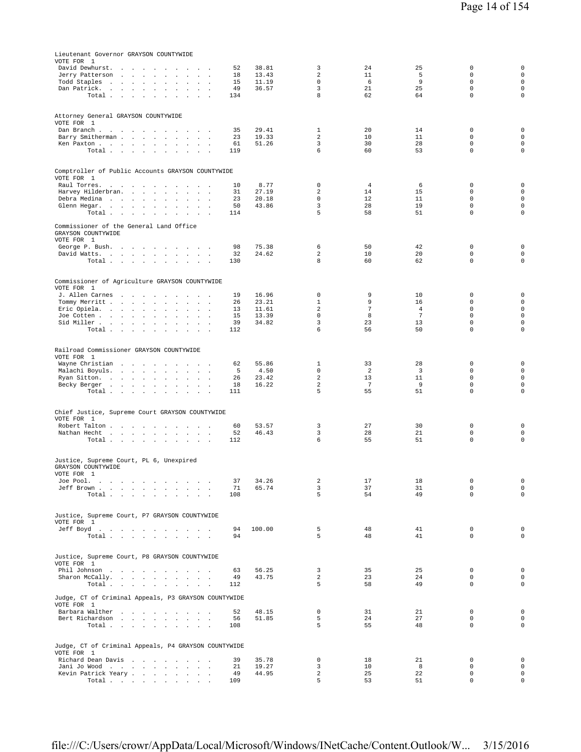| Lieutenant Governor GRAYSON COUNTYWIDE<br>VOTE FOR 1<br>David Dewhurst.<br>the company of the company<br>$\sim$<br>$\sim$<br>$\sim$<br>$\sim$                                                                                   | 52        | 38.81          | 3                              | 24                  | 25                   | $\mathsf 0$                | $\mathsf{O}\xspace$                |
|---------------------------------------------------------------------------------------------------------------------------------------------------------------------------------------------------------------------------------|-----------|----------------|--------------------------------|---------------------|----------------------|----------------------------|------------------------------------|
| Jerry Patterson<br>$\sim$                                                                                                                                                                                                       | 18        | 13.43          | $\overline{a}$                 | 11                  | 5                    | $\mathbf 0$                | $\circ$                            |
| Todd Staples<br>the contract of the con-<br>$\sim$<br>$\cdot$<br>$\mathbb{Z}^2$<br>$\ddot{\phantom{a}}$<br>$\sim$                                                                                                               | 15<br>49  | 11.19<br>36.57 | $\mathbf 0$<br>3               | 6<br>21             | 9<br>25              | $\mathbf 0$<br>$\mathbf 0$ | $\mathsf 0$<br>$\mathbf 0$         |
| Dan Patrick.<br>the contract of the con-<br>$\blacksquare$<br>$\Box$<br>$\cdot$<br>$\ddot{\phantom{a}}$<br>Total<br><b>Contract Contract</b><br>$\ddot{\phantom{0}}$<br>$\sim$                                                  | 134       |                | 8                              | 62                  | 64                   | $\mathsf 0$                | $\mathbf 0$                        |
|                                                                                                                                                                                                                                 |           |                |                                |                     |                      |                            |                                    |
| Attorney General GRAYSON COUNTYWIDE                                                                                                                                                                                             |           |                |                                |                     |                      |                            |                                    |
| VOTE FOR 1                                                                                                                                                                                                                      |           |                |                                |                     |                      |                            |                                    |
| Dan Branch<br><b>Contract Contract</b><br>$\overline{\phantom{a}}$<br>$\ddot{\phantom{a}}$<br>$\sim$                                                                                                                            | 35        | 29.41          | 1                              | 20                  | 14                   | 0                          | $\mathsf{O}\xspace$                |
| Barry Smitherman.<br>$\sim$ $\sim$ $\sim$<br>Ken Paxton<br><b>All Angeles</b>                                                                                                                                                   | 23<br>61  | 19.33<br>51.26 | 2<br>3                         | 10<br>30            | 11<br>28             | 0<br>$\mathsf 0$           | $\circ$<br>$\mathsf 0$             |
| Total<br>$\ddot{\phantom{a}}$<br>$\mathbf{r}$<br>$\sim$<br>$\ddot{\phantom{a}}$                                                                                                                                                 | 119       |                | 6                              | 60                  | 53                   | $\mathbf 0$                | $\mathsf 0$                        |
|                                                                                                                                                                                                                                 |           |                |                                |                     |                      |                            |                                    |
| Comptroller of Public Accounts GRAYSON COUNTYWIDE                                                                                                                                                                               |           |                |                                |                     |                      |                            |                                    |
| VOTE FOR 1                                                                                                                                                                                                                      |           |                |                                |                     |                      |                            |                                    |
| Raul Torres.<br>and a state of the state<br>$\sim$<br>$\sim$<br>$\sim$ $\sim$<br>Harvey Hilderbran.<br><b>Carl Carl Carl</b><br>$\sim$ $\sim$<br>$\overline{\phantom{a}}$<br>$\mathbf{r}$<br>$\overline{\phantom{a}}$<br>$\sim$ | 10<br>31  | 8.77<br>27.19  | 0<br>$\overline{a}$            | 4<br>14             | 6<br>15              | 0<br>$\mathbf 0$           | $\mathsf 0$<br>$\mathsf 0$         |
| Debra Medina<br>$\mathbf{r}$<br>$\sim$<br>$\ddot{\phantom{1}}$<br>$\mathbf{r}$<br>$\ddot{\phantom{a}}$                                                                                                                          | 23        | 20.18          | 0                              | 12                  | 11                   | $\mathbf 0$                | $\mathsf 0$                        |
| Glenn Hegar.<br>$\blacksquare$<br>$\ddot{\phantom{a}}$<br>$\ddot{\phantom{a}}$<br>$\ddot{\phantom{a}}$                                                                                                                          | 50        | 43.86          | 3                              | 28                  | 19                   | $\mathbf 0$                | $\mathbf 0$                        |
| Total $\cdots$ $\cdots$<br>$\ddot{\phantom{a}}$<br>$\mathbf{u} = \mathbf{u} + \mathbf{u} + \mathbf{u}$ .                                                                                                                        | 114       |                | 5                              | 58                  | 51                   | $\mathbf 0$                | $\mathsf 0$                        |
| Commissioner of the General Land Office<br>GRAYSON COUNTYWIDE<br>VOTE FOR 1                                                                                                                                                     |           |                |                                |                     |                      |                            |                                    |
| George P. Bush.<br>$\ddot{\phantom{1}}$<br>$\cdot$<br>$\sim$<br>$\sim$                                                                                                                                                          | 98        | 75.38          | 6                              | 50                  | 42                   | $\mathbf 0$                | $\mathbf 0$                        |
| David Watts.<br>the contract of the contract of the<br>$\sim 10-10$<br>$\sim$                                                                                                                                                   | 32        | 24.62          | 2<br>8                         | 10<br>60            | 20<br>62             | $\mathbf 0$<br>$\mathsf 0$ | $\mathbf 0$<br>$\mathsf 0$         |
| Total.                                                                                                                                                                                                                          | 130       |                |                                |                     |                      |                            |                                    |
| Commissioner of Agriculture GRAYSON COUNTYWIDE<br>VOTE FOR 1                                                                                                                                                                    |           |                |                                |                     |                      |                            |                                    |
| J. Allen Carnes<br>$\sim$<br>$\sim$<br>$\sim$ $\sim$                                                                                                                                                                            | 19        | 16.96          | $\mathbf 0$                    | 9                   | 10                   | 0                          | 0                                  |
| Tommy Merritt<br>$\mathbf{r}$<br>$\mathbf{r}$<br>$\mathbf{r}$<br>$\sim$<br>Eric Opiela.<br>$\ddot{\phantom{a}}$<br>$\sim$ $\sim$                                                                                                | 26<br>13  | 23.21<br>11.61 | $\mathbf{1}$<br>$\overline{a}$ | 9<br>$\overline{7}$ | 16<br>$\overline{4}$ | 0<br>$\mathbf 0$           | $\circ$<br>$\mathsf 0$             |
| $\Box$<br>Joe Cotten<br>$\sim$<br>$\sim$<br>$\sim$<br>$\cdot$<br>$\mathbb{Z}^2$<br>$\ddot{\phantom{a}}$                                                                                                                         | 15        | 13.39          | $\mathbf 0$                    | 8                   | 7                    | $\mathbf 0$                | $\mathsf 0$                        |
| Sid Miller<br>$\sim$<br>$\mathbb{Z}^2$<br>$\Delta$                                                                                                                                                                              | 39        | 34.82          | 3                              | 23                  | 13                   | $\mathbf 0$                | $\mathbf 0$                        |
| Total<br>$\ddot{\phantom{a}}$<br>$\sim$<br>$\sim$                                                                                                                                                                               | 112       |                | 6                              | 56                  | 50                   | $\mathbf 0$                | $\mathbf 0$                        |
| Railroad Commissioner GRAYSON COUNTYWIDE<br>VOTE FOR 1                                                                                                                                                                          |           |                |                                |                     |                      |                            |                                    |
| Wayne Christian<br>$\sim$ $\sim$<br>$\sim$<br>$\sim$ $\sim$ $\sim$                                                                                                                                                              | 62        | 55.86          | 1                              | 33                  | 28                   | 0                          | $\mathsf{O}\xspace$                |
| Malachi Boyuls.<br>$\ddot{\phantom{0}}$<br>$\mathcal{L}^{\mathcal{L}}$<br>$\sim 10$ $\sim$                                                                                                                                      | 5         | 4.50<br>23.42  | $\mathbf 0$<br>$\overline{a}$  | 2<br>13             | $\overline{3}$<br>11 | $\mathbf 0$<br>$\mathbf 0$ | $\mathsf 0$<br>$\mathsf 0$         |
| Ryan Sitton.<br>the contract of the contract of<br><b>Allen Artists</b><br>Becky Berger<br>$\sim$<br>$\mathbb{Z}^2$<br>$\sim$<br>$\overline{\phantom{a}}$                                                                       | 26<br>18  | 16.22          | $\overline{a}$                 | $7\phantom{.0}$     | 9                    | 0                          | $\mathsf 0$                        |
| Total                                                                                                                                                                                                                           | 111       |                | 5                              | 55                  | 51                   | $\mathbf 0$                | $\mathsf 0$                        |
|                                                                                                                                                                                                                                 |           |                |                                |                     |                      |                            |                                    |
| Chief Justice, Supreme Court GRAYSON COUNTYWIDE                                                                                                                                                                                 |           |                |                                |                     |                      |                            |                                    |
| VOTE FOR 1<br>Robert Talton<br>$\sim$<br>$\sim$<br>$\sim$                                                                                                                                                                       | 60        | 53.57          | 3                              | 27                  | 30                   | 0                          | 0                                  |
| Nathan Hecht<br>$\sim$<br>$\sim$<br>$\ddot{\phantom{0}}$<br>$\ddot{\phantom{a}}$<br>$\ddot{\phantom{a}}$<br>$\mathbf{r}$                                                                                                        | 52        | 46.43          | 3                              | 28                  | 21                   | $\mathsf 0$                | $\mathsf 0$                        |
| Total $\cdots$ $\cdots$ $\cdots$<br>and a state                                                                                                                                                                                 | 112       |                | 6                              | 55                  | 51                   | $\mathbf 0$                | $\mathbf 0$                        |
| Justice, Supreme Court, PL 6, Unexpired<br>GRAYSON COUNTYWIDE                                                                                                                                                                   |           |                |                                |                     |                      |                            |                                    |
| VOTE FOR 1                                                                                                                                                                                                                      |           |                |                                |                     |                      |                            |                                    |
| the contract of the contract of<br>Joe Pool.<br>$\sim$                                                                                                                                                                          | 37        | 34.26          | 2                              | 17                  | 18                   | 0                          | $\mathbb O$                        |
| Jeff Brown<br>Total<br>$\sim$                                                                                                                                                                                                   | 71<br>108 | 65.74          | 3<br>5                         | 37<br>54            | 31<br>49             | $\mathbf 0$<br>$\mathbf 0$ | $\mathsf 0$<br>$\mathsf 0$         |
|                                                                                                                                                                                                                                 |           |                |                                |                     |                      |                            |                                    |
| Justice, Supreme Court, P7 GRAYSON COUNTYWIDE<br>VOTE FOR 1                                                                                                                                                                     |           |                |                                |                     |                      |                            |                                    |
| Jeff Boyd.                                                                                                                                                                                                                      | 94<br>94  | 100.00         | 5<br>5                         | 48<br>48            | 41<br>41             | $\mathbf 0$<br>$\mathbf 0$ | $\mathsf 0$<br>$\mathbf 0$         |
| Total                                                                                                                                                                                                                           |           |                |                                |                     |                      |                            |                                    |
| Justice, Supreme Court, P8 GRAYSON COUNTYWIDE<br>VOTE FOR 1                                                                                                                                                                     |           |                |                                |                     |                      |                            |                                    |
| Phil Johnson                                                                                                                                                                                                                    | 63        | 56.25          | 3                              | 35                  | 25                   | $\mathbf 0$                | $\mathsf 0$                        |
| Sharon McCally.<br>Total                                                                                                                                                                                                        | 49<br>112 | 43.75          | 2<br>5                         | 23<br>58            | 24<br>49             | $\mathbf 0$<br>$\mathbf 0$ | 0<br>$\mathsf 0$                   |
|                                                                                                                                                                                                                                 |           |                |                                |                     |                      |                            |                                    |
| Judge, CT of Criminal Appeals, P3 GRAYSON COUNTYWIDE<br>VOTE FOR 1                                                                                                                                                              |           |                |                                |                     |                      |                            |                                    |
| Barbara Walther                                                                                                                                                                                                                 | 52        | 48.15          | $\mathbf 0$                    | 31                  | 21                   | 0                          | $\mathsf 0$                        |
| Bert Richardson                                                                                                                                                                                                                 | 56        | 51.85          | 5                              | 24                  | 27                   | $\mathbf 0$                | $\mathbf 0$                        |
| Total $\cdots$ $\cdots$ $\cdots$ $\cdots$                                                                                                                                                                                       | 108       |                | 5                              | 55                  | 48                   | $\mathbf 0$                | $\mathsf 0$                        |
|                                                                                                                                                                                                                                 |           |                |                                |                     |                      |                            |                                    |
| Judge, CT of Criminal Appeals, P4 GRAYSON COUNTYWIDE<br>VOTE FOR 1                                                                                                                                                              |           |                |                                |                     |                      |                            |                                    |
| Richard Dean Davis                                                                                                                                                                                                              | 39        | 35.78          | 0                              | 18                  | 21                   | 0                          | $\mathsf 0$                        |
| Jani Jo Wood<br>$\sim$                                                                                                                                                                                                          | 21        | 19.27          | 3                              | 10                  | 8                    | $\mathbf 0$                | $\mathsf 0$                        |
| Kevin Patrick Yeary<br>Total                                                                                                                                                                                                    | 49<br>109 | 44.95          | $\overline{a}$<br>5            | 25<br>53            | 22<br>51             | $\mathsf 0$<br>$\mathbf 0$ | $\mathsf 0$<br>$\mathsf{O}\xspace$ |
|                                                                                                                                                                                                                                 |           |                |                                |                     |                      |                            |                                    |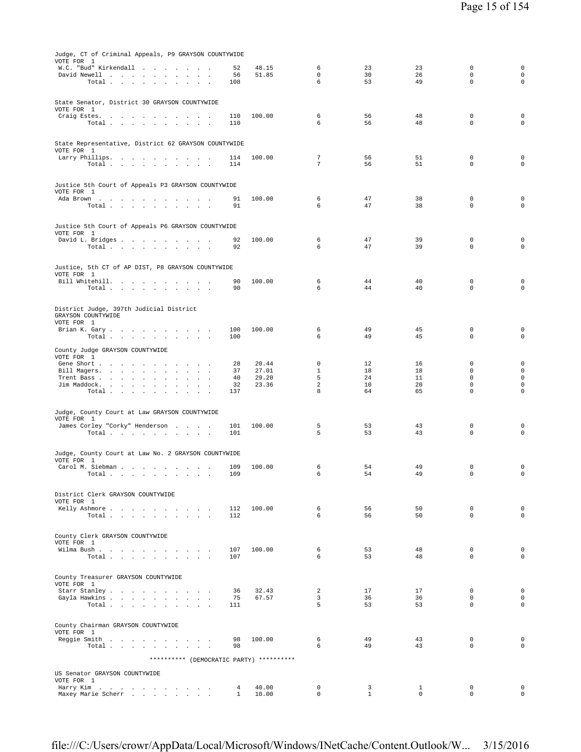| Judge, CT of Criminal Appeals, P9 GRAYSON COUNTYWIDE<br>VOTE FOR 1                           |                                                |                   |                                         |                            |                   |                             |                                           |                                                   |
|----------------------------------------------------------------------------------------------|------------------------------------------------|-------------------|-----------------------------------------|----------------------------|-------------------|-----------------------------|-------------------------------------------|---------------------------------------------------|
| W.C. "Bud" Kirkendall<br>David Newell<br>Total $\cdots$ $\cdots$ $\cdots$                    | $\sim$ $\sim$                                  | 52<br>56<br>108   | 48.15<br>51.85                          | 6<br>$\mathbf 0$<br>6      | 23<br>30<br>53    | 23<br>26<br>49              | $\mathbf 0$<br>$\mathbf 0$<br>$\mathbf 0$ | $\mathbf 0$<br>$\mathsf{O}\xspace$<br>$\mathsf 0$ |
| State Senator, District 30 GRAYSON COUNTYWIDE                                                |                                                |                   |                                         |                            |                   |                             |                                           |                                                   |
| VOTE FOR 1                                                                                   |                                                |                   |                                         |                            |                   |                             |                                           |                                                   |
| Craig Estes.<br>Total<br>$\sim$                                                              |                                                | 110<br>110        | 100.00                                  | 6<br>6                     | 56<br>56          | 48<br>48                    | $\mathbf 0$<br>$\mathbf 0$                | $\mathsf 0$<br>$\circ$                            |
| State Representative, District 62 GRAYSON COUNTYWIDE<br>VOTE FOR 1                           |                                                |                   |                                         |                            |                   |                             |                                           |                                                   |
| Larry Phillips.<br>Total $\cdots$ $\cdots$ $\cdots$ $\cdots$                                 |                                                | 114<br>114        | 100.00                                  | $\overline{7}$<br>7        | 56<br>56          | 51<br>51                    | $\mathbf 0$<br>$\mathbf 0$                | 0<br>$\circ$                                      |
| Justice 5th Court of Appeals P3 GRAYSON COUNTYWIDE<br>VOTE FOR 1                             |                                                |                   |                                         |                            |                   |                             |                                           |                                                   |
| Ada Brown<br>Total                                                                           |                                                | 91<br>91          | 100.00                                  | 6<br>6                     | 47<br>47          | 38<br>38                    | 0<br>$\mathbf 0$                          | $\mathbf 0$<br>$\circ$                            |
| Justice 5th Court of Appeals P6 GRAYSON COUNTYWIDE                                           |                                                |                   |                                         |                            |                   |                             |                                           |                                                   |
| VOTE FOR 1<br>David L. Bridges                                                               |                                                | 92                | 100.00                                  | 6                          | 47                | 39                          | 0                                         | $\mathsf 0$                                       |
| Total $\cdots$ $\cdots$ $\cdots$ $\cdots$                                                    |                                                | 92                |                                         | 6                          | 47                | 39                          | $\mathbf 0$                               | $\mathbf 0$                                       |
| Justice, 5th CT of AP DIST, P8 GRAYSON COUNTYWIDE<br>VOTE FOR 1                              |                                                |                   |                                         |                            |                   |                             |                                           |                                                   |
| Bill Whitehill.<br>Total<br>$\sim$                                                           |                                                | 90<br>90          | 100.00                                  | 6<br>6                     | 44<br>44          | 40<br>40                    | $\mathbf 0$<br>$\mathsf 0$                | $\mathsf 0$<br>$\mathsf 0$                        |
| District Judge, 397th Judicial District<br>GRAYSON COUNTYWIDE                                |                                                |                   |                                         |                            |                   |                             |                                           |                                                   |
| VOTE FOR 1                                                                                   |                                                |                   |                                         |                            |                   |                             |                                           |                                                   |
| Brian K. Gary<br>Total                                                                       |                                                | 100<br>100        | 100.00                                  | 6<br>6                     | 49<br>49          | 45<br>45                    | 0<br>$\mathsf 0$                          | 0<br>$\mathsf 0$                                  |
| County Judge GRAYSON COUNTYWIDE<br>VOTE FOR 1                                                |                                                |                   |                                         |                            |                   |                             |                                           |                                                   |
| Gene Short<br>Bill Magers.<br>$\sim$                                                         | $\mathbf{r}$<br>$\ddot{\phantom{a}}$<br>$\sim$ | 28<br>37          | 20.44<br>27.01                          | $^{\circ}$<br>$\mathbf{1}$ | 12<br>18          | 16<br>18                    | 0<br>$\mathbf 0$                          | 0<br>$\mathsf{O}\xspace$                          |
| Trent Bass                                                                                   |                                                | 40                | 29.20                                   | 5                          | 24                | 11                          | $\mathbf 0$                               | $\mathsf 0$                                       |
| Jim Maddock.<br>and a strategic and a strategic<br>$\cdot$<br>Total<br>$\cdot$               |                                                | 32<br>137         | 23.36                                   | $\,2$<br>8                 | 10<br>64          | 20<br>65                    | 0<br>$\mathbf 0$                          | 0<br>0                                            |
| Judge, County Court at Law GRAYSON COUNTYWIDE                                                |                                                |                   |                                         |                            |                   |                             |                                           |                                                   |
| VOTE FOR 1<br>James Corley "Corky" Henderson                                                 |                                                | 101               | 100.00                                  | 5                          | 53                | 43                          | 0                                         | $\mathsf 0$                                       |
| Total                                                                                        |                                                | 101               |                                         | 5                          | 53                | 43                          | $\mathbf 0$                               | $\mathbf 0$                                       |
| Judge, County Court at Law No. 2 GRAYSON COUNTYWIDE<br>VOTE FOR 1                            |                                                |                   |                                         |                            |                   |                             |                                           |                                                   |
| Carol M. Siebman<br>Total<br>the contract of the contract of the contract of the contract of | $\sim$                                         | 109<br>109        | 100.00                                  | 6<br>6                     | 54<br>54          | 49<br>49                    | 0<br>0                                    | 0<br>0                                            |
| District Clerk GRAYSON COUNTYWIDE                                                            |                                                |                   |                                         |                            |                   |                             |                                           |                                                   |
| VOTE FOR 1<br>Kelly Ashmore                                                                  |                                                | 112               | 100.00                                  | 6                          | 56                | 50                          | $\Omega$                                  | $\mathbf 0$                                       |
| Total                                                                                        | $\overline{a}$                                 | 112               |                                         | 6                          | 56                | 50                          | $\Omega$                                  | $\mathbf 0$                                       |
| County Clerk GRAYSON COUNTYWIDE<br>VOTE FOR 1                                                |                                                |                   |                                         |                            |                   |                             |                                           |                                                   |
| Wilma Bush<br>Total                                                                          |                                                | 107<br>107        | 100.00                                  | 6<br>6                     | 53<br>53          | 48<br>48                    | $\mathbf 0$<br>$\mathbf 0$                | $\mathbf 0$<br>$\mathbf 0$                        |
| County Treasurer GRAYSON COUNTYWIDE                                                          |                                                |                   |                                         |                            |                   |                             |                                           |                                                   |
| VOTE FOR 1<br>Starr Stanley                                                                  |                                                | 36                | 32.43                                   | 2                          | 17                | 17                          | $\Omega$                                  | $\mathbf 0$                                       |
| Gayla Hawkins                                                                                |                                                | 75                | 67.57                                   | $\overline{3}$             | 36                | 36                          | $\mathbf 0$                               | $\mathbf 0$                                       |
| Total $\cdots$ $\cdots$ $\cdots$ $\cdots$                                                    |                                                | 111               |                                         | 5                          | 53                | 53                          | $\mathbf 0$                               | $\circ$                                           |
| County Chairman GRAYSON COUNTYWIDE<br>VOTE FOR 1                                             |                                                |                   |                                         |                            |                   |                             |                                           |                                                   |
| Reggie Smith<br>Total.                                                                       |                                                | 98<br>98          | 100.00                                  | 6<br>6                     | 49<br>49          | 43<br>43                    | $\mathbf 0$<br>$\mathbf 0$                | $\mathbf 0$<br>$\circ$                            |
|                                                                                              |                                                |                   | ********* (DEMOCRATIC PARTY) ********** |                            |                   |                             |                                           |                                                   |
| US Senator GRAYSON COUNTYWIDE<br>VOTE FOR 1                                                  |                                                |                   |                                         |                            |                   |                             |                                           |                                                   |
| Harry Kim<br>Maxey Marie Scherr                                                              |                                                | 4<br>$\mathbf{1}$ | 40.00<br>10.00                          | 0<br>$\mathbf 0$           | 3<br>$\mathbf{1}$ | $\mathbf{1}$<br>$\mathbf 0$ | 0<br>$\mathbf 0$                          | 0<br>$\circ$                                      |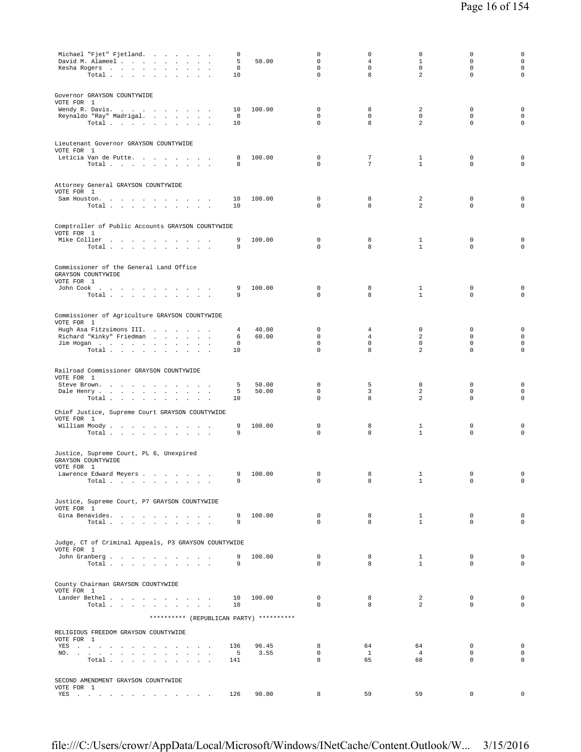| Michael "Fjet" Fjetland.<br>David M. Alameel                                                                             | $\mathbf 0$<br>5 | 50.00          | $\mathbf 0$<br>$\mathbf 0$                | $\mathsf{O}\xspace$<br>$\overline{4}$ | $\circ$<br>$\mathbf{1}$      | $\mathbb O$<br>$\mathbf 0$                 | $\mathsf 0$<br>$\mathsf{O}\xspace$                        |
|--------------------------------------------------------------------------------------------------------------------------|------------------|----------------|-------------------------------------------|---------------------------------------|------------------------------|--------------------------------------------|-----------------------------------------------------------|
| Kesha Rogers<br>Total $\cdots$ $\cdots$ $\cdots$<br>$\sim$                                                               | 0<br>10          |                | $\mathbf 0$<br>$\mathbf 0$                | $\mathbf 0$<br>8                      | $\mathbf 0$<br>2             | $\mathbf 0$<br>$\mathbf 0$                 | $\mathbf 0$<br>$\mathbf 0$                                |
| Governor GRAYSON COUNTYWIDE<br>VOTE FOR 1                                                                                |                  |                |                                           |                                       |                              |                                            |                                                           |
| Wendy R. Davis.<br>Reynaldo "Ray" Madrigal.<br>Total<br>$\sim$                                                           | 10<br>0<br>10    | 100.00         | $\mathbf 0$<br>$\mathbf 0$<br>$\mathbf 0$ | 8<br>$\circ$<br>8                     | 2<br>$\mathbf 0$<br>2        | $\mathbf 0$<br>$\mathbf 0$<br>$\mathbf 0$  | $\mathbf 0$<br>$\mathsf{O}\xspace$<br>$\mathsf{O}\xspace$ |
| Lieutenant Governor GRAYSON COUNTYWIDE                                                                                   |                  |                |                                           |                                       |                              |                                            |                                                           |
| VOTE FOR 1<br>Leticia Van de Putte<br>Total                                                                              | 8<br>8           | 100.00         | $\mathbf 0$<br>$\Omega$                   | 7<br>$7\phantom{.0}$                  | $\mathbf{1}$<br>$\mathbf{1}$ | $\mathbf 0$<br>$\mathbf 0$                 | $\mathsf 0$<br>$\circ$                                    |
| Attorney General GRAYSON COUNTYWIDE<br>VOTE FOR 1                                                                        |                  |                |                                           |                                       |                              |                                            |                                                           |
| Sam Houston.<br>Total                                                                                                    | 10<br>10         | 100.00         | 0<br>0                                    | 8<br>8                                | 2<br>2                       | 0<br>$\mathbf 0$                           | $\mathsf 0$<br>$\circ$                                    |
| Comptroller of Public Accounts GRAYSON COUNTYWIDE<br>VOTE FOR 1                                                          |                  |                |                                           |                                       |                              |                                            |                                                           |
| Mike Collier<br>Total $\cdots$ $\cdots$ $\cdots$ $\cdots$                                                                | 9<br>9           | 100.00         | 0<br>$\Omega$                             | 8<br>8                                | 1<br>$\mathbf{1}$            | 0<br>$\mathbf 0$                           | $\mathsf 0$<br>0                                          |
| Commissioner of the General Land Office<br>GRAYSON COUNTYWIDE<br>VOTE FOR 1                                              |                  |                |                                           |                                       |                              |                                            |                                                           |
| John Cook<br>$\sim$<br>Total                                                                                             | 9<br>9           | 100.00         | 0<br>0                                    | 8<br>8                                | 1<br>$\mathbf{1}$            | $\mathbf 0$<br>$\mathbf 0$                 | $\mathsf 0$<br>$\circ$                                    |
| Commissioner of Agriculture GRAYSON COUNTYWIDE<br>VOTE FOR 1                                                             |                  |                |                                           |                                       |                              |                                            |                                                           |
| Hugh Asa Fitzsimons III.<br>Richard "Kinky" Friedman<br>$\mathcal{L}_{\mathbf{a}}$                                       | 4<br>6           | 40.00<br>60.00 | 0<br>$\mathbf 0$                          | 4<br>$\overline{4}$                   | $\mathbf 0$<br>2             | $\mathbf 0$<br>$\mathbf 0$                 | $\mathsf{O}\xspace$<br>$\mathsf{O}\xspace$                |
| Jim Hogan<br>Total $\cdots$ $\cdots$ $\cdots$<br>$\ddot{\phantom{a}}$                                                    | 0<br>10          |                | $\mathbf 0$<br>$\mathbf 0$                | $\circ$<br>8                          | $\mathbf 0$<br>2             | $\mathbf{0}$<br>$\mathbf 0$                | $\mathbf 0$<br>$\mathbf 0$                                |
| Railroad Commissioner GRAYSON COUNTYWIDE<br>VOTE FOR 1                                                                   |                  |                |                                           |                                       |                              |                                            |                                                           |
| Steve Brown.<br>the company of the company of<br>Dale Henry<br>$\cdot$<br>$\sim$<br>$\blacksquare$ .<br>$\cdot$<br>Total | 5<br>5<br>10     | 50.00<br>50.00 | $\mathbf 0$<br>$\mathbf 0$<br>$\mathbf 0$ | 5<br>3<br>8                           | $\mathbf 0$<br>2<br>2        | $\mathbf 0$<br>$\mathbf{0}$<br>$\mathbf 0$ | $\mathbf 0$<br>$\mathbf 0$<br>$\circ$                     |
| Chief Justice, Supreme Court GRAYSON COUNTYWIDE                                                                          |                  |                |                                           |                                       |                              |                                            |                                                           |
| VOTE FOR 1<br>William Moody.<br>Total                                                                                    | 9<br>9           | 100.00         | $\mathbf 0$<br>0                          | 8<br>8                                | $\mathbf{1}$<br>$\mathbf{1}$ | $\mathbf 0$<br>$\mathbf 0$                 | $\mathsf 0$<br>$\mathbf 0$                                |
| Justice, Supreme Court, PL 6, Unexpired<br>GRAYSON COUNTYWIDE                                                            |                  |                |                                           |                                       |                              |                                            |                                                           |
| VOTE FOR 1<br>Lawrence Edward Meyers<br>Total $\cdots$ $\cdots$ $\cdots$                                                 | 9<br>9           | 100.00         | $\mathbf 0$<br>$\mathbf 0$                | 8<br>8                                | 1<br>$\mathbf{1}$            | $\mathbf 0$<br>$\mathbf 0$                 | 0<br>0                                                    |
| Justice, Supreme Court, P7 GRAYSON COUNTYWIDE                                                                            |                  |                |                                           |                                       |                              |                                            |                                                           |
| VOTE FOR 1<br>Gina Benavides.                                                                                            | 9                | 100.00         | $\mathbf{0}$                              | 8                                     | $\mathbf{1}$                 | $^{\circ}$                                 | $\mathbf 0$                                               |
| Total                                                                                                                    | 9                |                | $\mathbf{0}$                              | 8                                     | $\mathbf{1}$                 | $\mathbf{0}$                               | $\mathbf 0$                                               |
| Judge, CT of Criminal Appeals, P3 GRAYSON COUNTYWIDE<br>VOTE FOR 1                                                       |                  |                |                                           |                                       |                              |                                            |                                                           |
| John Granberg<br>Total $\cdots$ $\cdots$ $\cdots$                                                                        | 9<br>9           | 100.00         | $\mathbf 0$<br>$\Omega$                   | 8<br>8                                | $\mathbf{1}$<br>$\mathbf{1}$ | $\mathbf{0}$<br>$\Omega$                   | $\mathbf 0$<br>$\Omega$                                   |
| County Chairman GRAYSON COUNTYWIDE                                                                                       |                  |                |                                           |                                       |                              |                                            |                                                           |
| VOTE FOR 1<br>Lander Bethel<br>Total                                                                                     | 10<br>10         | 100.00         | $\mathbf{0}$<br>$\mathbf 0$               | 8<br>8                                | 2<br>2                       | $^{\circ}$<br>$\mathbf{0}$                 | $\mathbf 0$<br>$\mathbf 0$                                |
| ********** (REPUBLICAN PARTY) **********                                                                                 |                  |                |                                           |                                       |                              |                                            |                                                           |
| RELIGIOUS FREEDOM GRAYSON COUNTYWIDE<br>VOTE FOR 1                                                                       |                  |                |                                           |                                       |                              |                                            |                                                           |
| YES<br>NO.<br>$\sim$                                                                                                     | 136<br>$-5$      | 96.45<br>3.55  | 8<br>$\mathbf{0}$<br>8                    | 64<br>$\mathbf{1}$                    | 64<br>$\overline{4}$         | $^{\circ}$<br>$\mathbf 0$                  | $\mathbf 0$<br>$\mathbf 0$                                |
| Total                                                                                                                    | 141              |                |                                           | 65                                    | 68                           | $^{\circ}$                                 | $\mathbf 0$                                               |
| SECOND AMENDMENT GRAYSON COUNTYWIDE<br>VOTE FOR 1                                                                        |                  |                |                                           |                                       |                              |                                            |                                                           |
| YES                                                                                                                      | 126              | 90.00          | 8                                         | 59                                    | 59                           | $\mathsf 0$                                | 0                                                         |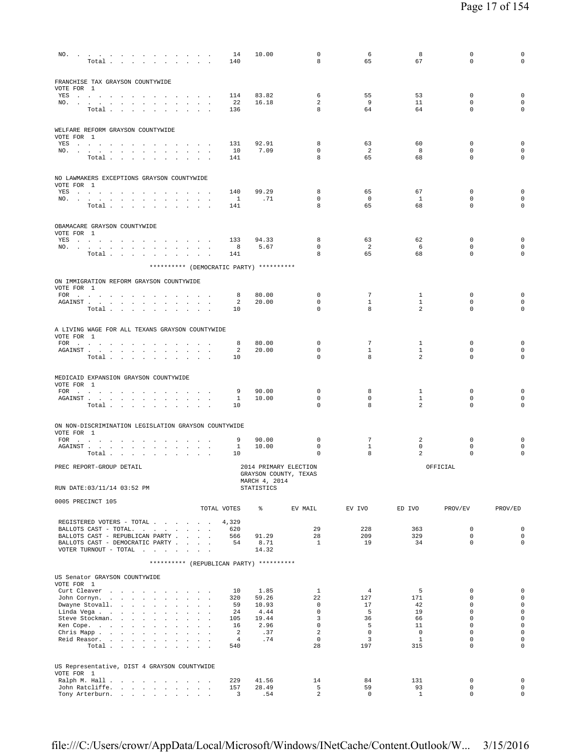| FRANCHISE TAX GRAYSON COUNTYWIDE                                                                                                                                                                                                                                                      |                                           |                                          |                |                               |                          |                    |                            |                                     |
|---------------------------------------------------------------------------------------------------------------------------------------------------------------------------------------------------------------------------------------------------------------------------------------|-------------------------------------------|------------------------------------------|----------------|-------------------------------|--------------------------|--------------------|----------------------------|-------------------------------------|
| VOTE FOR 1                                                                                                                                                                                                                                                                            |                                           |                                          |                |                               |                          |                    |                            |                                     |
| YES<br>NO.                                                                                                                                                                                                                                                                            |                                           | 114<br>- 22                              | 83.82<br>16.18 | 6<br>2                        | 55<br>- 9                | 53<br>11           | 0<br>$\mathbf 0$           | $\mathbf 0$<br>$\circ$              |
|                                                                                                                                                                                                                                                                                       | Total                                     | 136                                      |                | 8                             | 64                       | 64                 | $\mathbf 0$                | $\mathbf 0$                         |
|                                                                                                                                                                                                                                                                                       |                                           |                                          |                |                               |                          |                    |                            |                                     |
| WELFARE REFORM GRAYSON COUNTYWIDE                                                                                                                                                                                                                                                     |                                           |                                          |                |                               |                          |                    |                            |                                     |
| VOTE FOR 1                                                                                                                                                                                                                                                                            |                                           |                                          |                |                               |                          | 60                 | $\mathbf 0$                | $\mathbf 0$                         |
| YES<br>NO.                                                                                                                                                                                                                                                                            |                                           | 131<br>10                                | 92.91<br>7.09  | 8<br>$\Omega$                 | 63<br>$\overline{2}$     | 8                  | $\Omega$                   | $\mathbf 0$                         |
|                                                                                                                                                                                                                                                                                       | Total                                     | 141                                      |                | 8                             | 65                       | 68                 | $\mathbf 0$                | $\mathbf 0$                         |
|                                                                                                                                                                                                                                                                                       |                                           |                                          |                |                               |                          |                    |                            |                                     |
| NO LAWMAKERS EXCEPTIONS GRAYSON COUNTYWIDE                                                                                                                                                                                                                                            |                                           |                                          |                |                               |                          |                    |                            |                                     |
| VOTE FOR 1<br>YES and a contract the contract of the set of the set of the set of the set of the set of the set of the set of the set of the set of the set of the set of the set of the set of the set of the set of the set of the set of                                           |                                           | 140                                      | 99.29          | 8                             | 65                       | 67                 | $\mathbf 0$                | $\mathbf 0$                         |
| NO.                                                                                                                                                                                                                                                                                   |                                           | $\overline{1}$                           | .71            | $\mathbf 0$                   | $\overline{0}$           | <sup>1</sup>       | $\mathbf 0$                | $\mathbf 0$                         |
|                                                                                                                                                                                                                                                                                       | Total                                     | 141                                      |                | 8                             | 65                       | 68                 | $\mathbf 0$                | $\mathbf 0$                         |
|                                                                                                                                                                                                                                                                                       |                                           |                                          |                |                               |                          |                    |                            |                                     |
| OBAMACARE GRAYSON COUNTYWIDE<br>VOTE FOR 1                                                                                                                                                                                                                                            |                                           |                                          |                |                               |                          |                    |                            |                                     |
| YES and a contract the contract of the state of the state of the state of the state of the state of the state of the state of the state of the state of the state of the state of the state of the state of the state of the s                                                        |                                           | 133                                      | 94.33          | 8                             | 63                       | 62                 | $\mathbf 0$                | $\mathbf 0$                         |
| NO.                                                                                                                                                                                                                                                                                   | Total $\ldots$ $\ldots$ $\ldots$ $\ldots$ | 8<br>$\Delta\phi=0.1$<br>141             | 5.67           | 0<br>8                        | $\overline{2}$<br>65     | -6<br>68           | $\mathbf 0$<br>$\mathbf 0$ | $\mathbf 0$<br>$\mathbf 0$          |
|                                                                                                                                                                                                                                                                                       |                                           |                                          |                |                               |                          |                    |                            |                                     |
|                                                                                                                                                                                                                                                                                       |                                           | ********** (DEMOCRATIC PARTY) ********** |                |                               |                          |                    |                            |                                     |
| ON IMMIGRATION REFORM GRAYSON COUNTYWIDE                                                                                                                                                                                                                                              |                                           |                                          |                |                               |                          |                    |                            |                                     |
| VOTE FOR 1<br>FOR $\cdots$                                                                                                                                                                                                                                                            |                                           | 8                                        | 80.00          | 0                             | 7                        | $\mathbf{1}$       | $\mathbf 0$                | $\mathbf 0$                         |
| AGAINST                                                                                                                                                                                                                                                                               |                                           | 2                                        | 20.00          | $\mathbf 0$                   | 1                        | $\mathbf{1}$       | $\mathbf 0$                | $\mathbf 0$                         |
| Total                                                                                                                                                                                                                                                                                 | <b>Service</b>                            | 10<br>$\sim$                             |                | $\Omega$                      | 8                        | 2                  | $\mathbf 0$                | $\mathbf 0$                         |
|                                                                                                                                                                                                                                                                                       |                                           |                                          |                |                               |                          |                    |                            |                                     |
| A LIVING WAGE FOR ALL TEXANS GRAYSON COUNTYWIDE<br>VOTE FOR 1                                                                                                                                                                                                                         |                                           |                                          |                |                               |                          |                    |                            |                                     |
| FOR                                                                                                                                                                                                                                                                                   |                                           | 8                                        | 80.00          | 0                             | 7                        | 1                  | 0                          | $\mathbf 0$                         |
| AGAINST                                                                                                                                                                                                                                                                               | Total                                     | 2<br>10                                  | 20.00          | $\Omega$<br>$\mathbf 0$       | $\mathbf{1}$<br>8        | $\mathbf{1}$<br>2  | $\Omega$<br>$\mathbf 0$    | $\mathbf 0$<br>$\mathbf 0$          |
|                                                                                                                                                                                                                                                                                       |                                           |                                          |                |                               |                          |                    |                            |                                     |
| MEDICAID EXPANSION GRAYSON COUNTYWIDE                                                                                                                                                                                                                                                 |                                           |                                          |                |                               |                          |                    |                            |                                     |
| VOTE FOR 1                                                                                                                                                                                                                                                                            |                                           |                                          |                |                               |                          |                    |                            |                                     |
| FOR $\cdots$                                                                                                                                                                                                                                                                          |                                           | 9<br>$\mathbf{1}$                        | 90.00<br>10.00 | $\mathbf 0$<br>$\mathbf 0$    | 8<br>$\mathbf 0$         | 1<br>$\mathbf{1}$  | $\mathbf 0$<br>$\mathbf 0$ | $\mathbf 0$<br>$\mathbf 0$          |
| AGAINST                                                                                                                                                                                                                                                                               | Total                                     | 10                                       |                | $\mathbf 0$                   | 8                        | 2                  | $\mathbf 0$                | $\mathbf 0$                         |
|                                                                                                                                                                                                                                                                                       |                                           |                                          |                |                               |                          |                    |                            |                                     |
| ON NON-DISCRIMINATION LEGISLATION GRAYSON COUNTYWIDE                                                                                                                                                                                                                                  |                                           |                                          |                |                               |                          |                    |                            |                                     |
| VOTE FOR 1                                                                                                                                                                                                                                                                            |                                           |                                          | 90.00          | $\mathbf 0$                   | $7\phantom{.0}$          | 2                  | $\mathbf 0$                | $\mathbf 0$                         |
| FOR<br>${\tt AGAINST} \hspace{1.5cm} . \hspace{1.5cm} . \hspace{1.5cm} . \hspace{1.5cm} . \hspace{1.5cm} . \hspace{1.5cm} . \hspace{1.5cm} . \hspace{1.5cm} . \hspace{1.5cm} . \hspace{1.5cm} . \hspace{1.5cm} . \hspace{1.5cm} . \hspace{1.5cm} . \hspace{1.5cm} . \hspace{1.5cm} .$ |                                           | 9<br>$\mathbf{1}$                        | 10.00          | $\mathbf 0$                   | 1                        | $\mathbf 0$        | $\mathbf 0$                | $\mathbf 0$                         |
|                                                                                                                                                                                                                                                                                       | Total $\cdots$ $\cdots$ $\cdots$ $\cdots$ | 10                                       |                | 0                             | 8                        | 2                  | $\mathbf 0$                | 0                                   |
| PREC REPORT-GROUP DETAIL                                                                                                                                                                                                                                                              |                                           |                                          |                | 2014 PRIMARY ELECTION         |                          |                    | OFFICIAL                   |                                     |
|                                                                                                                                                                                                                                                                                       |                                           |                                          | MARCH 4, 2014  | GRAYSON COUNTY, TEXAS         |                          |                    |                            |                                     |
| RUN DATE: 03/11/14 03:52 PM                                                                                                                                                                                                                                                           |                                           |                                          | STATISTICS     |                               |                          |                    |                            |                                     |
| 0005 PRECINCT 105                                                                                                                                                                                                                                                                     |                                           |                                          |                |                               |                          |                    |                            |                                     |
|                                                                                                                                                                                                                                                                                       |                                           | TOTAL VOTES                              | နွ             | EV MAIL                       | EV IVO                   | ED IVO             | PROV/EV                    | PROV/ED                             |
| REGISTERED VOTERS - TOTAL                                                                                                                                                                                                                                                             |                                           | 4,329                                    |                |                               |                          |                    |                            |                                     |
| BALLOTS CAST - TOTAL.                                                                                                                                                                                                                                                                 |                                           | 620                                      |                | 29                            | 228                      | 363                | $\mathbf 0$                | $\mathsf{O}\xspace$                 |
| BALLOTS CAST - REPUBLICAN PARTY<br>BALLOTS CAST - DEMOCRATIC PARTY                                                                                                                                                                                                                    |                                           | 566<br>54                                | 91.29<br>8.71  | 28<br>$\mathbf{1}$            | 209<br>19                | 329<br>34          | $\mathbb O$<br>$\mathbf 0$ | $\mathsf{O}$<br>$\mathsf{O}\xspace$ |
| VOTER TURNOUT - TOTAL $\ldots$                                                                                                                                                                                                                                                        |                                           |                                          | 14.32          |                               |                          |                    |                            |                                     |
|                                                                                                                                                                                                                                                                                       |                                           | ********** (REPUBLICAN PARTY) ********** |                |                               |                          |                    |                            |                                     |
|                                                                                                                                                                                                                                                                                       |                                           |                                          |                |                               |                          |                    |                            |                                     |
| US Senator GRAYSON COUNTYWIDE<br>VOTE FOR 1                                                                                                                                                                                                                                           |                                           |                                          |                |                               |                          |                    |                            |                                     |
| Curt Cleaver                                                                                                                                                                                                                                                                          |                                           | 10                                       | 1.85           | $\mathbf{1}$                  | $\overline{4}$           | 5                  | 0                          | $\mathsf{O}\xspace$                 |
| John Cornyn.                                                                                                                                                                                                                                                                          |                                           | 320                                      | 59.26          | 22                            | 127                      | 171                | $\Omega$                   | $\mathsf{O}\xspace$                 |
| Dwayne Stovall.<br>Linda Vega                                                                                                                                                                                                                                                         |                                           | 59<br>24                                 | 10.93<br>4.44  | $^{\circ}$<br>$^{\circ}$      | 17<br>- 5                | 42<br>19           | $\mathbf 0$<br>$\mathbf 0$ | $\mathsf{O}\xspace$<br>$\mathbf 0$  |
| Steve Stockman.                                                                                                                                                                                                                                                                       |                                           | 105                                      | 19.44          | 3                             | 36                       | 66                 | $\mathbf 0$                | $\mathbf 0$                         |
| Ken Cope.<br>Chris Mapp.                                                                                                                                                                                                                                                              | $\sim$<br>$\sim$                          | 16<br>2                                  | 2.96<br>.37    | $\mathbf 0$<br>$\overline{a}$ | 5<br>$\mathsf{O}\xspace$ | 11<br>$\mathbf 0$  | $\mathsf 0$<br>$\mathbf 0$ | $\mathbf 0$<br>$\mathbf 0$          |
| Reid Reasor.                                                                                                                                                                                                                                                                          |                                           | 4                                        | .74            | $\mathbf 0$                   | 3                        | $\mathbf{1}$       | $\mathbf 0$                | $\mathsf{O}\xspace$                 |
|                                                                                                                                                                                                                                                                                       | Total                                     | 540                                      |                | 28                            | 197                      | 315                | $\mathbf 0$                | 0                                   |
|                                                                                                                                                                                                                                                                                       |                                           |                                          |                |                               |                          |                    |                            |                                     |
| US Representative, DIST 4 GRAYSON COUNTYWIDE<br>VOTE FOR 1                                                                                                                                                                                                                            |                                           |                                          |                |                               |                          |                    |                            |                                     |
| Ralph M. Hall                                                                                                                                                                                                                                                                         |                                           | 229                                      | 41.56          | 14                            | 84                       | 131                | 0                          | $\mathbf 0$                         |
| John Ratcliffe.                                                                                                                                                                                                                                                                       |                                           | 157<br>3                                 | 28.49          | 5<br>$\overline{a}$           | 59<br>$\mathbf 0$        | 93<br>$\mathbf{1}$ | 0<br>0                     | $\mathbf 0$<br>$\mathsf{O}\xspace$  |
| Tony Arterburn.                                                                                                                                                                                                                                                                       |                                           |                                          | .54            |                               |                          |                    |                            |                                     |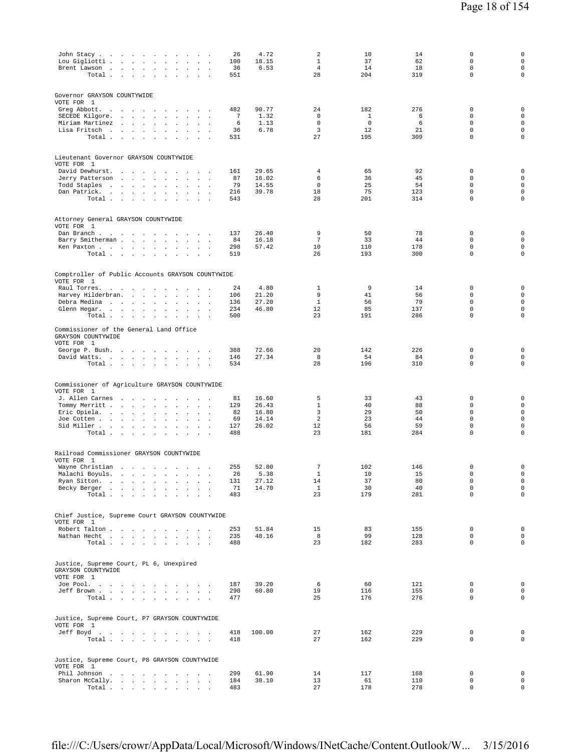| John Stacy<br>Lou Gigliotti .<br>$\sim 100$<br><b>Contract Contract</b><br>$\ddot{\phantom{a}}$<br>$\sim$<br>$\mathbf{r}$<br>$\Box$<br>$\ddot{\phantom{1}}$<br>Brent Lawson<br>Total.<br>$\sim$ $\sim$<br><b>Contract Contract</b><br>$\ddot{\phantom{0}}$<br>$\sim$<br>$\sim$<br>$\sim$                                                                                                                                                                   | 26<br>100<br>36<br>551              | 4.72<br>18.15<br>6.53                     | 2<br>1<br>$\overline{4}$<br>28                | 10<br>37<br>14<br>204                | 14<br>62<br>18<br>319             | 0<br>$\mathbf 0$<br>$\mathbf 0$<br>$\mathbf 0$                                         | $\mathsf 0$<br>$\mathsf{O}\xspace$<br>$\mathsf{O}\xspace$<br>0                                 |
|------------------------------------------------------------------------------------------------------------------------------------------------------------------------------------------------------------------------------------------------------------------------------------------------------------------------------------------------------------------------------------------------------------------------------------------------------------|-------------------------------------|-------------------------------------------|-----------------------------------------------|--------------------------------------|-----------------------------------|----------------------------------------------------------------------------------------|------------------------------------------------------------------------------------------------|
| Governor GRAYSON COUNTYWIDE<br>VOTE FOR 1<br>Greg Abbott.<br>$\sim 10^{-1}$<br>$\sim 10^{-1}$<br><b>Service Control</b><br>$\sim$ $\sim$ $\sim$<br>$\Delta$<br>SECEDE Kilgore.<br>$\cdot$<br>Miriam Martinez<br>$\sim$ $-$<br>$\sim$ $\sim$<br>$\sim$<br>Lisa Fritsch<br>$\sim$<br>$\Box$<br>Total                                                                                                                                                         | 482<br>7<br>6<br>36<br>531          | 90.77<br>1.32<br>1.13<br>6.78             | 24<br>$\mathbf{0}$<br>$\mathbf{0}$<br>3<br>27 | 182<br>1<br>$\mathbf 0$<br>12<br>195 | 276<br>6<br>6<br>21<br>309        | $\mathbf 0$<br>$\Omega$<br>$\mathbf 0$<br>$\mathbf 0$<br>$\mathbf 0$                   | $\mathbf 0$<br>$\mathbf 0$<br>$\mathsf{O}\xspace$<br>$\mathbf 0$<br>$\mathsf 0$                |
| Lieutenant Governor GRAYSON COUNTYWIDE<br>VOTE FOR 1<br>David Dewhurst.<br>$\sim$<br>and the contract of the con-<br>$\overline{\phantom{a}}$<br>$\ddot{\phantom{1}}$<br>Jerry Patterson<br><b>Carl Carl</b><br>$\sim$<br>$\sim$<br>$\ddot{\phantom{a}}$<br>$\ddot{\phantom{a}}$<br>Todd Staples<br>the company of the company of<br>$\ddot{\phantom{a}}$<br>$\sim$ $\sim$<br>Dan Patrick.<br>the contract of the contract of<br>$\sim$<br>$\sim$<br>Total | 161<br>87<br>79<br>216<br>543       | 29.65<br>16.02<br>14.55<br>39.78          | 4<br>6<br>$\mathbf 0$<br>18<br>28             | 65<br>36<br>25<br>75<br>201          | 92<br>45<br>54<br>123<br>314      | 0<br>0<br>$\mathbf 0$<br>$\mathsf 0$<br>$\Omega$                                       | $\mathbf 0$<br>$\mathbf 0$<br>$\mathsf{O}\xspace$<br>$\mathsf{O}\xspace$<br>$\mathbf 0$        |
| Attorney General GRAYSON COUNTYWIDE<br>VOTE FOR 1<br>Dan Branch.<br>Barry Smitherman<br>$\mathbf{r}$<br>$\sim$<br>Ken Paxton<br>Total                                                                                                                                                                                                                                                                                                                      | 137<br>84<br>298<br>519             | 26.40<br>16.18<br>57.42                   | 9<br>$7\phantom{.0}$<br>10<br>26              | 50<br>33<br>110<br>193               | 78<br>44<br>178<br>300            | $\mathbf 0$<br>$\mathbf 0$<br>$\mathbf 0$<br>$\mathbf 0$                               | $\mathbf 0$<br>$\mathbf 0$<br>$\mathsf{O}\xspace$<br>$\circ$                                   |
| Comptroller of Public Accounts GRAYSON COUNTYWIDE<br>VOTE FOR 1<br>Raul Torres.<br>$\ddot{\phantom{a}}$<br>$\overline{\phantom{a}}$<br>$\ddot{\phantom{a}}$<br>Harvey Hilderbran.<br>and the control of the state<br>$\cdot$<br><b>Contract Contract</b><br>Debra Medina<br>$\sim$<br>Glenn Hegar.<br><b>Contract Contract</b><br>$\sim$<br>$\sim$<br>$\ddot{\phantom{a}}$<br>$\cdot$<br>Total<br>$\cdot$<br>$\sim$                                        | 24<br>106<br>136<br>234<br>500      | 4.80<br>21.20<br>27.20<br>46.80           | 1<br>9<br>1<br>12<br>23                       | 9<br>41<br>56<br>85<br>191           | 14<br>56<br>79<br>137<br>286      | 0<br>$\mathbf 0$<br>$\mathbf 0$<br>$\mathsf 0$<br>$\mathbf 0$                          | $\mathbf 0$<br>$\mathbf 0$<br>$\mathbf 0$<br>$\mathsf{O}\xspace$<br>$\circ$                    |
| Commissioner of the General Land Office<br>GRAYSON COUNTYWIDE<br>VOTE FOR 1<br>George P. Bush.<br>David Watts.<br>Total                                                                                                                                                                                                                                                                                                                                    | 388<br>146<br>534                   | 72.66<br>27.34                            | 20<br>8<br>28                                 | 142<br>54<br>196                     | 226<br>84<br>310                  | $\mathbf 0$<br>$\mathbf 0$<br>$\mathbf 0$                                              | $\mathbf 0$<br>0<br>$\mathsf 0$                                                                |
| Commissioner of Agriculture GRAYSON COUNTYWIDE<br>VOTE FOR 1<br>J. Allen Carnes<br>Tommy Merritt<br>$\mathbf{r}$<br>$\sim$<br>Eric Opiela.<br>$\cdot$<br>$\cdot$<br>Joe Cotten<br>Sid Miller<br>$\mathcal{L}_{\mathcal{A}}$<br>$\mathbf{r}$<br>$\sim$<br>Total $\cdots$ $\cdots$ $\cdots$ $\cdots$                                                                                                                                                         | 81<br>129<br>82<br>69<br>127<br>488 | 16.60<br>26.43<br>16.80<br>14.14<br>26.02 | 5<br>$\mathbf{1}$<br>3<br>2<br>12<br>23       | 33<br>40<br>29<br>23<br>56<br>181    | 43<br>88<br>50<br>44<br>59<br>284 | $\mathbf 0$<br>$\mathbf 0$<br>$\mathbf 0$<br>$\mathbf 0$<br>$\mathbf 0$<br>$\mathbf 0$ | $\mathbf 0$<br>$\mathbf 0$<br>$\mathbf 0$<br>$\mathsf{O}\xspace$<br>$\mathbf 0$<br>$\mathsf 0$ |
| Railroad Commissioner GRAYSON COUNTYWIDE<br>VOTE FOR 1<br>Wayne Christian<br>the contract of the contract of the<br>Malachi Boyuls.<br>Ryan Sitton.<br>Becky Berger<br>Total                                                                                                                                                                                                                                                                               | 255<br>26<br>131<br>71<br>483       | 52.80<br>5.38<br>27.12<br>14.70           | 7<br>1<br>14<br>$\mathbf{1}$<br>23            | 102<br>10<br>37<br>30<br>179         | 146<br>15<br>80<br>40<br>281      | 0<br>0<br>$\mathsf 0$<br>$\mathbf 0$<br>$\mathbf 0$                                    | 0<br>$\mathsf{O}\xspace$<br>$\mathsf{O}\xspace$<br>$\mathsf{O}\xspace$<br>$\mathbf 0$          |
| Chief Justice, Supreme Court GRAYSON COUNTYWIDE<br>VOTE FOR 1<br>Robert Talton<br>Nathan Hecht<br>Total                                                                                                                                                                                                                                                                                                                                                    | 253<br>235<br>488                   | 51.84<br>48.16                            | 15<br>8<br>23                                 | 83<br>99<br>182                      | 155<br>128<br>283                 | $\mathbf 0$<br>$\mathbf 0$<br>$\mathbf 0$                                              | $\mathsf{O}\xspace$<br>0<br>0                                                                  |
| Justice, Supreme Court, PL 6, Unexpired<br>GRAYSON COUNTYWIDE<br>VOTE FOR 1<br>Joe Pool.<br>Jeff Brown<br>Total                                                                                                                                                                                                                                                                                                                                            | 187<br>290<br>477                   | 39.20<br>60.80                            | 6<br>19<br>25                                 | 60<br>116<br>176                     | 121<br>155<br>276                 | 0<br>$\mathbf 0$<br>$\mathbf 0$                                                        | 0<br>0<br>$\mathsf{O}\xspace$                                                                  |
| Justice, Supreme Court, P7 GRAYSON COUNTYWIDE<br>VOTE FOR 1<br>Jeff Boyd.<br>Total<br>$\sim$                                                                                                                                                                                                                                                                                                                                                               | 418<br>418                          | 100.00                                    | 27<br>27                                      | 162<br>162                           | 229<br>229                        | $\mathbf 0$<br>0                                                                       | $\mathbf 0$<br>0                                                                               |
| Justice, Supreme Court, P8 GRAYSON COUNTYWIDE<br>VOTE FOR 1<br>Phil Johnson<br>Sharon McCally.<br>Total                                                                                                                                                                                                                                                                                                                                                    | 299<br>184<br>483                   | 61.90<br>38.10                            | 14<br>13<br>27                                | 117<br>61<br>178                     | 168<br>110<br>278                 | $\mathsf 0$<br>$\mathbf 0$<br>0                                                        | $\mathbf 0$<br>$\mathsf{O}\xspace$<br>$\mathsf{O}$                                             |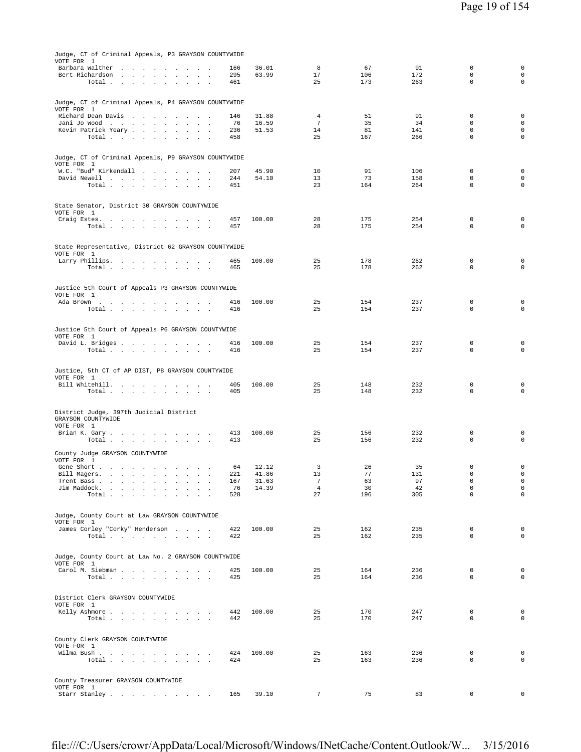| Judge, CT of Criminal Appeals, P3 GRAYSON COUNTYWIDE                                        |           |                |                       |          |           |                            |                                            |
|---------------------------------------------------------------------------------------------|-----------|----------------|-----------------------|----------|-----------|----------------------------|--------------------------------------------|
| VOTE FOR 1<br>Barbara Walther                                                               | 166       | 36.01          | 8                     | 67       | 91        | 0                          | $\mathsf 0$                                |
| Bert Richardson                                                                             | 295       | 63.99          | 17                    | 106      | 172       | $\mathbf 0$                | $\mathbf 0$                                |
| Total                                                                                       | 461       |                | 25                    | 173      | 263       | $\mathbf 0$                | $\mathbf 0$                                |
|                                                                                             |           |                |                       |          |           |                            |                                            |
| Judge, CT of Criminal Appeals, P4 GRAYSON COUNTYWIDE<br>VOTE FOR 1                          |           |                |                       |          |           |                            |                                            |
| Richard Dean Davis                                                                          | 146       | 31.88          | $\overline{4}$        | 51       | 91        | $\mathbf 0$                | $\mathbf 0$                                |
| Jani Jo Wood<br>Kevin Patrick Yeary                                                         | 76<br>236 | 16.59<br>51.53 | $7\phantom{.0}$<br>14 | 35<br>81 | 34<br>141 | $\mathbf 0$<br>$\mathbf 0$ | $\mathbf 0$<br>$\mathbf 0$                 |
| Total $\cdots$ $\cdots$ $\cdots$ $\cdots$                                                   | 458       |                | 25                    | 167      | 266       | $\mathbf 0$                | $\mathbf 0$                                |
|                                                                                             |           |                |                       |          |           |                            |                                            |
| Judge, CT of Criminal Appeals, P9 GRAYSON COUNTYWIDE                                        |           |                |                       |          |           |                            |                                            |
| VOTE FOR 1<br>W.C. "Bud" Kirkendall                                                         | 207       | 45.90          | 10                    | 91       | 106       | $\mathbf 0$                | $\mathbf 0$                                |
| David Newell                                                                                | 244       | 54.10          | 13                    | 73       | 158       | $\mathbf 0$                | $\mathbf 0$                                |
| Total $\cdots$ $\cdots$ $\cdots$                                                            | 451       |                | 23                    | 164      | 264       | 0                          | $\circ$                                    |
|                                                                                             |           |                |                       |          |           |                            |                                            |
| State Senator, District 30 GRAYSON COUNTYWIDE<br>VOTE FOR 1                                 |           |                |                       |          |           |                            |                                            |
| Craig Estes.                                                                                | 457       | 100.00         | 28                    | 175      | 254       | 0                          | $\mathbf 0$                                |
| Total<br>$\sim$                                                                             | 457       |                | 28                    | 175      | 254       | $\mathbf 0$                | $\circ$                                    |
|                                                                                             |           |                |                       |          |           |                            |                                            |
| State Representative, District 62 GRAYSON COUNTYWIDE                                        |           |                |                       |          |           |                            |                                            |
| VOTE FOR 1<br>Larry Phillips.                                                               | 465       | 100.00         | 25                    | 178      | 262       | $\mathbf 0$                | $\mathsf 0$                                |
| Total $\cdots$ $\cdots$ $\cdots$                                                            | 465       |                | 25                    | 178      | 262       | $\mathbf 0$                | $\mathbf 0$                                |
|                                                                                             |           |                |                       |          |           |                            |                                            |
| Justice 5th Court of Appeals P3 GRAYSON COUNTYWIDE                                          |           |                |                       |          |           |                            |                                            |
| VOTE FOR 1<br>Ada Brown                                                                     | 416       | 100.00         | 25                    | 154      | 237       | 0                          | 0                                          |
| Total                                                                                       | 416       |                | 25                    | 154      | 237       | $\mathbf 0$                | $\circ$                                    |
|                                                                                             |           |                |                       |          |           |                            |                                            |
| Justice 5th Court of Appeals P6 GRAYSON COUNTYWIDE                                          |           |                |                       |          |           |                            |                                            |
| VOTE FOR 1<br>David L. Bridges                                                              | 416       | 100.00         | 25                    | 154      | 237       | 0                          | $\mathbf 0$                                |
| Total                                                                                       | 416       |                | 25                    | 154      | 237       | 0                          | $\mathbf 0$                                |
|                                                                                             |           |                |                       |          |           |                            |                                            |
| Justice, 5th CT of AP DIST, P8 GRAYSON COUNTYWIDE                                           |           |                |                       |          |           |                            |                                            |
| VOTE FOR 1<br>Bill Whitehill.                                                               | 405       | 100.00         | 25                    | 148      | 232       | 0                          | $\mathsf 0$                                |
| Total<br>$\sim$                                                                             | 405       |                | 25                    | 148      | 232       | 0                          | $\mathsf 0$                                |
|                                                                                             |           |                |                       |          |           |                            |                                            |
| District Judge, 397th Judicial District                                                     |           |                |                       |          |           |                            |                                            |
| GRAYSON COUNTYWIDE<br>VOTE FOR 1                                                            |           |                |                       |          |           |                            |                                            |
| Brian K. Gary                                                                               | 413       | 100.00         | 25                    | 156      | 232       | 0                          | $\mathsf 0$                                |
| Total                                                                                       | 413       |                | 25                    | 156      | 232       | $\mathbf 0$                | 0                                          |
| County Judge GRAYSON COUNTYWIDE<br>VOTE FOR 1                                               |           |                |                       |          |           |                            |                                            |
| Gene Short                                                                                  | 64        | 12.12          | 3                     | 26       | 35        | 0                          | $\mathsf 0$                                |
| Bill Magers.<br>the contract of the contract of the contract of the                         | 221       | 41.86          | 13                    | 77       | 131       | $\mathbf 0$                | $\mathsf 0$                                |
| Trent Bass<br>$\cdot$<br>Jim Maddock.<br>$\sim$                                             | 167<br>76 | 31.63<br>14.39 | 7<br>$\overline{4}$   | 63<br>30 | 97<br>42  | 0<br>0                     | $\mathsf{O}\xspace$<br>$\mathsf{O}\xspace$ |
| Total .<br>$\sim$<br>$\mathbf{r}$<br>$\sim$<br>$\sim$<br>$\sim$<br>$\overline{\phantom{a}}$ | 528       |                | 27                    | 196      | 305       | 0                          | $\mathbf 0$                                |
|                                                                                             |           |                |                       |          |           |                            |                                            |
| Judge, County Court at Law GRAYSON COUNTYWIDE                                               |           |                |                       |          |           |                            |                                            |
| VOTE FOR 1<br>James Corley "Corky" Henderson                                                | 422       | 100.00         | 25                    | 162      | 235       | $\mathbf 0$                | $\mathbf 0$                                |
| Total                                                                                       | 422       |                | 25                    | 162      | 235       | $\mathbf 0$                | $\mathbf 0$                                |
|                                                                                             |           |                |                       |          |           |                            |                                            |
| Judge, County Court at Law No. 2 GRAYSON COUNTYWIDE                                         |           |                |                       |          |           |                            |                                            |
| VOTE FOR 1<br>Carol M. Siebman                                                              | 425       | 100.00         | 25                    | 164      | 236       | $\mathbf 0$                | $\mathbf 0$                                |
| Total                                                                                       | 425       |                | 25                    | 164      | 236       | $\Omega$                   | $\mathbf 0$                                |
|                                                                                             |           |                |                       |          |           |                            |                                            |
| District Clerk GRAYSON COUNTYWIDE                                                           |           |                |                       |          |           |                            |                                            |
| VOTE FOR 1<br>Kelly Ashmore                                                                 | 442       | 100.00         | 25                    | 170      | 247       | $\mathbf 0$                | $\mathbf 0$                                |
| Total<br>$\sim$<br>$\sim$                                                                   | 442       |                | 25                    | 170      | 247       | $\mathbf 0$                | $\mathbf 0$                                |
|                                                                                             |           |                |                       |          |           |                            |                                            |
| County Clerk GRAYSON COUNTYWIDE                                                             |           |                |                       |          |           |                            |                                            |
| VOTE FOR 1<br>Wilma Bush                                                                    | 424       | 100.00         | 25                    | 163      | 236       | $\mathbf 0$                | $\mathbf 0$                                |
| Total<br>$\sim$<br>$\sim$ $\sim$ $\sim$                                                     | 424       |                | 25                    | 163      | 236       | $\mathbf 0$                | $\mathbf 0$                                |
|                                                                                             |           |                |                       |          |           |                            |                                            |
| County Treasurer GRAYSON COUNTYWIDE                                                         |           |                |                       |          |           |                            |                                            |
| VOTE FOR 1<br>Starr Stanley                                                                 | 165       | 39.10          | 7                     | 75       | 83        | $\mathbf 0$                | $\mathbf 0$                                |
|                                                                                             |           |                |                       |          |           |                            |                                            |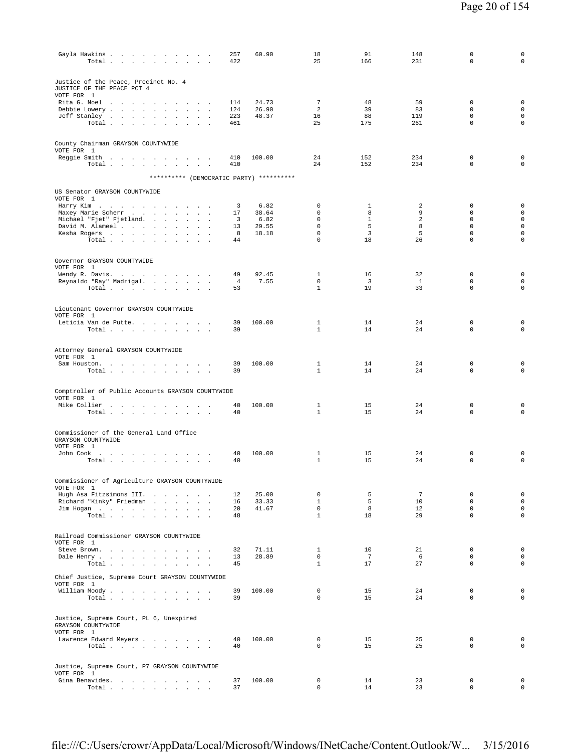| Gayla Hawkins<br>Total                                                                                                                                 | 257<br>422 | 60.90          | 18<br>25                    | 91<br>166                     | 148<br>231         | $\mathbf 0$<br>$\mathbf 0$  | $\mathbf 0$<br>$\mathbf 0$          |
|--------------------------------------------------------------------------------------------------------------------------------------------------------|------------|----------------|-----------------------------|-------------------------------|--------------------|-----------------------------|-------------------------------------|
| Justice of the Peace, Precinct No. 4<br>JUSTICE OF THE PEACE PCT 4<br>VOTE FOR 1                                                                       |            |                |                             |                               |                    |                             |                                     |
| Rita G. Noel                                                                                                                                           | 114        | 24.73          | $\overline{7}$              | 48                            | 59                 | $\mathbf 0$                 | $\mathsf 0$                         |
| Debbie Lowery<br>$\sim$<br>Jeff Stanley<br>$\sim$                                                                                                      | 124<br>223 | 26.90<br>48.37 | 2<br>16                     | 39<br>88                      | 83<br>119          | $\mathbf 0$<br>$\mathbf 0$  | $\mathsf{O}\xspace$<br>$\mathsf{O}$ |
| Total $\ldots$ $\ldots$ $\ldots$ $\ldots$                                                                                                              | 461        |                | 25                          | 175                           | 261                | $\Omega$                    | $\mathbf 0$                         |
| County Chairman GRAYSON COUNTYWIDE                                                                                                                     |            |                |                             |                               |                    |                             |                                     |
| VOTE FOR 1                                                                                                                                             |            |                |                             |                               |                    |                             |                                     |
| Reggie Smith<br>Total<br>$\sim$<br>$\ddot{\phantom{a}}$<br>$\sim$<br>$\cdot$                                                                           | 410<br>410 | 100.00         | 24<br>24                    | 152<br>152                    | 234<br>234         | $\mathbf 0$<br>$\mathbf 0$  | 0<br>$\mathbf 0$                    |
|                                                                                                                                                        |            |                |                             |                               |                    |                             |                                     |
| ********** (DEMOCRATIC PARTY) **********                                                                                                               |            |                |                             |                               |                    |                             |                                     |
| US Senator GRAYSON COUNTYWIDE                                                                                                                          |            |                |                             |                               |                    |                             |                                     |
| VOTE FOR 1<br>Harry Kim                                                                                                                                | 3          | 6.82           | $\mathbf 0$                 | 1                             | 2                  | $\mathbf 0$                 | $\mathbf 0$                         |
| Maxey Marie Scherr<br>$\sim$                                                                                                                           | 17         | 38.64          | $\mathbf 0$                 | 8                             | 9                  | $\mathbf 0$                 | 0                                   |
| Michael "Fjet" Fjetland.<br>David M. Alameel                                                                                                           | 3<br>13    | 6.82<br>29.55  | $\mathbf 0$<br>$\mathbf 0$  | $\mathbf{1}$<br>5             | 2<br>8             | $\mathbf 0$<br>$\mathbf 0$  | 0<br>$\mathsf{O}\xspace$            |
| Kesha Rogers<br>$\mathbf{r}$                                                                                                                           | 8          | 18.18          | $\mathbf 0$                 | 3                             | 5                  | $\mathbf 0$                 | $\mathsf{O}\xspace$                 |
| Total $\cdots$ $\cdots$ $\cdots$                                                                                                                       | 44         |                | $\mathbf 0$                 | 18                            | 26                 | $\mathbf 0$                 | $\mathbf 0$                         |
|                                                                                                                                                        |            |                |                             |                               |                    |                             |                                     |
| Governor GRAYSON COUNTYWIDE<br>VOTE FOR 1                                                                                                              |            |                |                             |                               |                    |                             |                                     |
| Wendy R. Davis.                                                                                                                                        | 49         | 92.45          | $\mathbf{1}$                | 16                            | 32                 | 0                           | $\mathbf 0$                         |
| Reynaldo "Ray" Madrigal.<br>Total                                                                                                                      | 4<br>53    | 7.55           | $\mathbf 0$<br>$\mathbf{1}$ | $\overline{\mathbf{3}}$<br>19 | $\mathbf{1}$<br>33 | 0<br>$\mathbf 0$            | $\mathsf{O}\xspace$<br>$\mathbf 0$  |
|                                                                                                                                                        |            |                |                             |                               |                    |                             |                                     |
| Lieutenant Governor GRAYSON COUNTYWIDE                                                                                                                 |            |                |                             |                               |                    |                             |                                     |
| VOTE FOR 1<br>Leticia Van de Putte                                                                                                                     | 39         | 100.00         | 1                           | 14                            | 24                 | $\mathbf 0$                 | 0                                   |
| Total<br>$\sim$ $-$<br>$\sim$<br>$\sim$ $\sim$<br>$\ddot{\phantom{a}}$                                                                                 | 39         |                | $\mathbf{1}$                | 14                            | 24                 | $\mathbf 0$                 | $\mathbf 0$                         |
|                                                                                                                                                        |            |                |                             |                               |                    |                             |                                     |
| Attorney General GRAYSON COUNTYWIDE                                                                                                                    |            |                |                             |                               |                    |                             |                                     |
| VOTE FOR 1<br>Sam Houston.                                                                                                                             | 39         | 100.00         | 1                           | 14                            | 24                 | 0                           | $\mathsf 0$                         |
| Total                                                                                                                                                  | 39         |                | $\mathbf{1}$                | 14                            | 2.4                | $\Omega$                    | $\mathbf 0$                         |
|                                                                                                                                                        |            |                |                             |                               |                    |                             |                                     |
| Comptroller of Public Accounts GRAYSON COUNTYWIDE                                                                                                      |            |                |                             |                               |                    |                             |                                     |
| VOTE FOR 1<br>Mike Collier                                                                                                                             | 40         | 100.00         | 1                           | 15                            | 24                 | $\mathbf 0$                 | $\mathsf 0$                         |
| Total $\cdots$ $\cdots$                                                                                                                                | 40         |                | $\mathbf{1}$                | 15                            | 24                 | $\mathbf 0$                 | $\mathsf 0$                         |
| Commissioner of the General Land Office<br>GRAYSON COUNTYWIDE                                                                                          |            |                |                             |                               |                    |                             |                                     |
| VOTE FOR 1                                                                                                                                             |            |                |                             |                               |                    |                             |                                     |
| John Cook $\qquad \qquad . \qquad . \qquad . \qquad . \qquad . \qquad . \qquad . \qquad .$<br>Total<br>$\sim$ $\sim$<br>$\sim$<br>$\ddot{\phantom{1}}$ | 40<br>40   | 100.00         | 1<br>$\mathbf{1}$           | 15<br>15                      | 24<br>24           | $\mathbf 0$<br>$\mathbf 0$  | $\mathsf 0$<br>$\mathbf 0$          |
|                                                                                                                                                        |            |                |                             |                               |                    |                             |                                     |
| Commissioner of Agriculture GRAYSON COUNTYWIDE                                                                                                         |            |                |                             |                               |                    |                             |                                     |
| VOTE FOR 1<br>Hugh Asa Fitzsimons III.                                                                                                                 | 12         | 25.00          | $\mathbf 0$                 | 5                             | $7\overline{ }$    | $\mathbf{0}$                | $\mathbf 0$                         |
| Richard "Kinky" Friedman                                                                                                                               | 16         | 33.33          | $\mathbf{1}$                | -5                            | 10                 | 0                           | 0                                   |
| Jim Hogan<br>Total $\cdots$ $\cdots$ $\cdots$                                                                                                          | 20<br>48   | 41.67          | $\mathbf 0$<br>$\mathbf{1}$ | 8<br>18                       | 12<br>29           | 0<br>$\mathbf{0}$           | $\mathsf{O}\xspace$<br>$\mathbf 0$  |
|                                                                                                                                                        |            |                |                             |                               |                    |                             |                                     |
| Railroad Commissioner GRAYSON COUNTYWIDE                                                                                                               |            |                |                             |                               |                    |                             |                                     |
| VOTE FOR 1                                                                                                                                             | 32         | 71.11          | $\mathbf{1}$                | 10                            | 21                 | $^{\circ}$                  | $\mathbf 0$                         |
| Steve Brown.<br>Dale Henry                                                                                                                             | 13         | 28.89          | $\mathbf{0}$                | 7                             | - 6                | $\mathbf{0}$                | $\circ$                             |
| Total<br>$\sim$<br>$\sim$                                                                                                                              | 45         |                | $\mathbf{1}$                | 17                            | 27                 | $\Omega$                    | 0                                   |
| Chief Justice, Supreme Court GRAYSON COUNTYWIDE                                                                                                        |            |                |                             |                               |                    |                             |                                     |
| VOTE FOR 1<br>William Moody.                                                                                                                           | 39         | 100.00         | $\mathbf{0}$                | 15                            | 24                 | $^{\circ}$                  | $\mathbf 0$                         |
| Total                                                                                                                                                  | 39         |                | $\mathbf{0}$                | 15                            | 24                 | 0                           | 0                                   |
| Justice, Supreme Court, PL 6, Unexpired                                                                                                                |            |                |                             |                               |                    |                             |                                     |
| GRAYSON COUNTYWIDE<br>VOTE FOR 1                                                                                                                       |            |                |                             |                               |                    |                             |                                     |
| Lawrence Edward Meyers                                                                                                                                 | 40         | 100.00         | $\mathbf{0}$                | 15                            | 25                 | $^{\circ}$                  | $\circ$                             |
| Total                                                                                                                                                  | 40         |                | $\mathbf 0$                 | 15                            | 25                 | $\mathbf{0}$                | $\mathsf{O}$                        |
|                                                                                                                                                        |            |                |                             |                               |                    |                             |                                     |
| Justice, Supreme Court, P7 GRAYSON COUNTYWIDE<br>VOTE FOR 1                                                                                            |            |                |                             |                               |                    |                             |                                     |
| Gina Benavides.<br>Total $\cdots$ $\cdots$ $\cdots$                                                                                                    | 37<br>37   | 100.00         | 0<br>$\mathbf{0}$           | 14<br>14                      | 23<br>23           | $\mathbf 0$<br>$\mathbf{0}$ | 0<br>$\mathbf 0$                    |
|                                                                                                                                                        |            |                |                             |                               |                    |                             |                                     |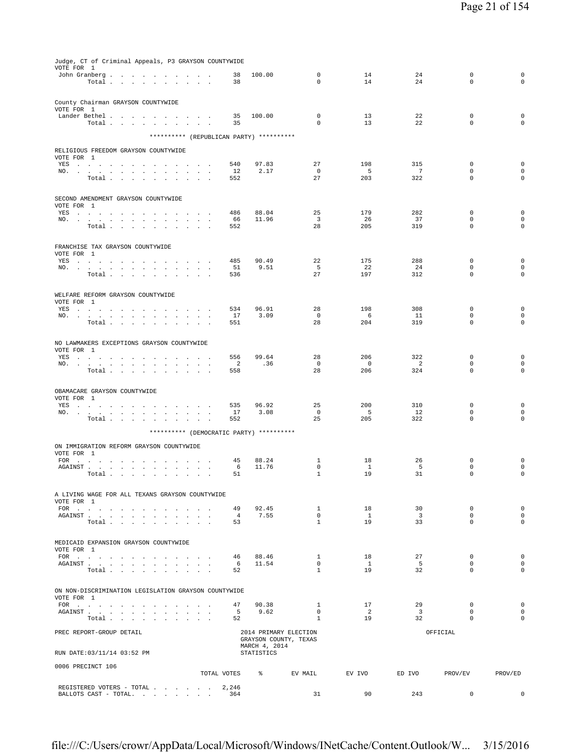| REGISTERED VOTERS - TOTAL 2,246<br>BALLOTS CAST - TOTAL.                                                                                                                                                                                                                                                                             | 364                                   | 31                                             | 90                    | 243                           | $^{\circ}$                                | 0                                     |
|--------------------------------------------------------------------------------------------------------------------------------------------------------------------------------------------------------------------------------------------------------------------------------------------------------------------------------------|---------------------------------------|------------------------------------------------|-----------------------|-------------------------------|-------------------------------------------|---------------------------------------|
| 0006 PRECINCT 106                                                                                                                                                                                                                                                                                                                    | TOTAL VOTES 8 BV MAIL                 |                                                | EV IVO                | ED IVO                        | PROV/EV                                   | PROV/ED                               |
| PREC REPORT-GROUP DETAIL<br>RUN DATE: 03/11/14 03:52 PM                                                                                                                                                                                                                                                                              | MARCH 4, 2014<br>STATISTICS           | 2014 PRIMARY ELECTION<br>GRAYSON COUNTY, TEXAS |                       |                               | OFFICIAL                                  |                                       |
| Total $\ldots$ $\ldots$ $\ldots$ $\ldots$                                                                                                                                                                                                                                                                                            | 52                                    | $\mathbf{1}$                                   | 19                    | 32                            | $\Omega$                                  | $\mathbf 0$                           |
| ${\tt AGAINST} \hspace{1.5cm} . \hspace{1.5cm} . \hspace{1.5cm} . \hspace{1.5cm} . \hspace{1.5cm} . \hspace{1.5cm} . \hspace{1.5cm} . \hspace{1.5cm} . \hspace{1.5cm} . \hspace{1.5cm} . \hspace{1.5cm} . \hspace{1.5cm} . \hspace{1.5cm} .$                                                                                         | 90.38<br>47<br>5 <sup>5</sup><br>9.62 | $\mathbf{1}$<br>$\overline{0}$                 | 17<br>$\overline{2}$  | 29<br>$\overline{\mathbf{3}}$ | $\mathbf 0$<br>$\mathbf 0$                | $\mathbf 0$<br>$\mathbf{0}$           |
| ON NON-DISCRIMINATION LEGISLATION GRAYSON COUNTYWIDE<br>VOTE FOR 1                                                                                                                                                                                                                                                                   |                                       |                                                |                       |                               |                                           |                                       |
| AGAINST<br>Total $\cdots$ $\cdots$ $\cdots$ $\cdots$                                                                                                                                                                                                                                                                                 | 11.54<br>6<br>52                      | $\circ$<br>$\mathbf{1}$                        | 1<br>19               | 5 <sup>5</sup><br>32          | $^{\circ}$<br>$\Omega$                    | $\mathbf 0$<br>$\Omega$               |
| MEDICAID EXPANSION GRAYSON COUNTYWIDE<br>VOTE FOR 1<br>FOR $\cdots$                                                                                                                                                                                                                                                                  | 88.46<br>46                           | $\mathbf{1}$                                   | 18                    | 27                            | $\mathbf 0$                               | $\mathbf 0$                           |
|                                                                                                                                                                                                                                                                                                                                      |                                       |                                                |                       |                               |                                           |                                       |
| ${\tt AGAINST} \hspace{1.5cm} . \hspace{1.5cm} . \hspace{1.5cm} . \hspace{1.5cm} . \hspace{1.5cm} . \hspace{1.5cm} . \hspace{1.5cm} . \hspace{1.5cm} . \hspace{1.5cm} . \hspace{1.5cm} . \hspace{1.5cm} . \hspace{1.5cm} . \hspace{1.5cm} . \hspace{1.5cm} .$<br>Total                                                               | 7.55<br>53                            | $\overline{0}$<br>$\mathbf{1}$                 | 1<br>19               | $\overline{\mathbf{3}}$<br>33 | $\mathbf 0$<br>$\Omega$                   | $\mathbf{0}$<br>$\Omega$              |
| VOTE FOR 1<br>FOR                                                                                                                                                                                                                                                                                                                    | 49<br>92.45                           | $\mathbf{1}$                                   | 18                    | 30                            | $\mathbf 0$                               | $\mathbf 0$                           |
| A LIVING WAGE FOR ALL TEXANS GRAYSON COUNTYWIDE                                                                                                                                                                                                                                                                                      |                                       |                                                |                       |                               |                                           |                                       |
| AGAINST<br>$\cdot$<br>$\blacksquare$<br>Total<br>$\ddot{\phantom{a}}$<br>$\sim$                                                                                                                                                                                                                                                      | 6<br>11.76<br>51                      | 0<br>$\mathbf{1}$                              | 1<br>19               | 5<br>31                       | 0<br>0                                    | $\mathsf 0$<br>$\mathsf 0$            |
| VOTE FOR 1<br>FOR a contract of the contract of the contract of the set of the set of the set of the set of the set of the set of the set of the set of the set of the set of the set of the set of the set of the set of the set of the set                                                                                         | 45<br>88.24                           | 1                                              | 18                    | 26                            | 0                                         | 0                                     |
| ON IMMIGRATION REFORM GRAYSON COUNTYWIDE                                                                                                                                                                                                                                                                                             |                                       |                                                |                       |                               |                                           |                                       |
| ********** (DEMOCRATIC PARTY) **********                                                                                                                                                                                                                                                                                             |                                       |                                                |                       |                               |                                           |                                       |
| NO.<br>Total                                                                                                                                                                                                                                                                                                                         | 17<br>3.08<br>552                     | $^{\circ}$<br>25                               | -5<br>205             | 12<br>322                     | $\mathbf 0$<br>0                          | $\mathbf 0$<br>$\mathbf 0$            |
| OBAMACARE GRAYSON COUNTYWIDE<br>VOTE FOR 1<br>YES a contract of the contract of the contract of the set of the set of the set of the set of the set of the set of the set of the set of the set of the set of the set of the set of the set of the set of the set of the set                                                         | 96.92<br>535                          | 25                                             | 200                   | 310                           | $\mathbf 0$                               | $\mathbf 0$                           |
| Total<br>$\mathbf{a}$ and $\mathbf{a}$ and $\mathbf{a}$                                                                                                                                                                                                                                                                              | 558                                   | 28                                             | 206                   | 324                           | 0                                         | $\mathbf 0$                           |
| YES a contract of the contract of the contract of the set of the set of the set of the set of the set of the set of the set of the set of the set of the set of the set of the set of the set of the set of the set of the set<br>NO.<br>$\sim$<br>contract and support                                                              | 556<br>99.64<br>$\overline{a}$<br>.36 | 28<br>$^{\circ}$                               | 206<br>$\overline{0}$ | 322<br>$\overline{2}$         | $\mathbf 0$<br>$\mathbf 0$                | $\mathbf 0$<br>$\mathsf 0$            |
| NO LAWMAKERS EXCEPTIONS GRAYSON COUNTYWIDE<br>VOTE FOR 1                                                                                                                                                                                                                                                                             |                                       |                                                |                       |                               |                                           |                                       |
| Total $\cdots$ $\cdots$ $\cdots$                                                                                                                                                                                                                                                                                                     | 551                                   | 28                                             | 204                   | 319                           | $\Omega$                                  | $\mathbf 0$                           |
| YES.<br>NO.                                                                                                                                                                                                                                                                                                                          | 96.91<br>534<br>3.09<br>17            | 28<br>$\mathbf 0$                              | 198<br>6              | 308<br>11                     | $\mathbf 0$<br>0                          | $\mathbf 0$<br>$\mathsf{O}\xspace$    |
| WELFARE REFORM GRAYSON COUNTYWIDE<br>VOTE FOR 1                                                                                                                                                                                                                                                                                      |                                       |                                                |                       |                               |                                           |                                       |
| Total<br>$\sim$ $\sim$ $\sim$                                                                                                                                                                                                                                                                                                        | 536                                   | 27                                             | 197                   | 312                           | 0                                         | $\mathbf 0$                           |
| YES<br>the contract of the contract of the<br>and the state of the state of<br>NO.<br>$\sim 100$<br>the contract of the contract<br>$\ddot{\phantom{0}}$<br>$\sim$<br>$\sim$                                                                                                                                                         | 485<br>90.49<br>51<br>9.51            | 22<br>5                                        | 175<br>22             | 288<br>24                     | 0<br>0                                    | $\mathbf 0$<br>$\mathsf 0$            |
| FRANCHISE TAX GRAYSON COUNTYWIDE<br>VOTE FOR 1                                                                                                                                                                                                                                                                                       |                                       |                                                |                       |                               |                                           |                                       |
| Total $\cdots$ $\cdots$ $\cdots$                                                                                                                                                                                                                                                                                                     | 552                                   | 28                                             | 205                   | 319                           | 0                                         | $\circ$                               |
| YES<br>and a state of the state<br>NO.<br>$\sim$<br>$\mathbf{a}=\mathbf{a}$<br>$\mathbf{r}$                                                                                                                                                                                                                                          | 88.04<br>486<br>66<br>11.96           | 25<br>3                                        | 179<br>26             | 282<br>37                     | 0<br>$\mathbf 0$                          | $\mathbf 0$<br>$\mathbf 0$            |
| SECOND AMENDMENT GRAYSON COUNTYWIDE<br>VOTE FOR 1                                                                                                                                                                                                                                                                                    |                                       |                                                |                       |                               |                                           |                                       |
| Total                                                                                                                                                                                                                                                                                                                                | 552                                   |                                                | 203                   | 322                           |                                           |                                       |
| YES a contract of the contract of the contract of the set of the set of the set of the set of the set of the set of the set of the set of the set of the set of the set of the set of the set of the set of the set of the set<br>NO.<br>$\mathcal{L}^{\mathcal{A}}$ and $\mathcal{L}^{\mathcal{A}}$ and $\mathcal{L}^{\mathcal{A}}$ | 97.83<br>540<br>2.17<br>12            | 27<br>$^{\circ}$<br>27                         | 198<br>- 5            | 315<br>$7\phantom{.0}$        | $\mathbf 0$<br>$\mathbf 0$<br>$\mathbf 0$ | $\mathbf 0$<br>$\mathbf 0$<br>$\circ$ |
| RELIGIOUS FREEDOM GRAYSON COUNTYWIDE<br>VOTE FOR 1                                                                                                                                                                                                                                                                                   |                                       |                                                |                       |                               |                                           |                                       |
| ********** (REPUBLICAN PARTY) **********                                                                                                                                                                                                                                                                                             |                                       |                                                |                       |                               |                                           |                                       |
| Lander Bethel<br>Total                                                                                                                                                                                                                                                                                                               | 100.00<br>35<br>35                    | $\mathbf 0$<br>$\Omega$                        | 13<br>13              | 22<br>22                      | $\mathbf 0$<br>$\mathbf 0$                | $\mathbf 0$<br>$\mathbf 0$            |
| County Chairman GRAYSON COUNTYWIDE<br>VOTE FOR 1                                                                                                                                                                                                                                                                                     |                                       |                                                |                       |                               |                                           |                                       |
| Total $\cdots$ $\cdots$ $\cdots$                                                                                                                                                                                                                                                                                                     | 38                                    | $\mathbf 0$                                    | 14                    | 24                            | $\mathbf 0$                               | $\mathbf 0$                           |
| VOTE FOR 1<br>John Granberg                                                                                                                                                                                                                                                                                                          | 100.00<br>38                          | $\mathbf 0$                                    | 14                    | 24                            | $\mathbf 0$                               | $\circ$                               |
| Judge, CT of Criminal Appeals, P3 GRAYSON COUNTYWIDE                                                                                                                                                                                                                                                                                 |                                       |                                                |                       |                               |                                           |                                       |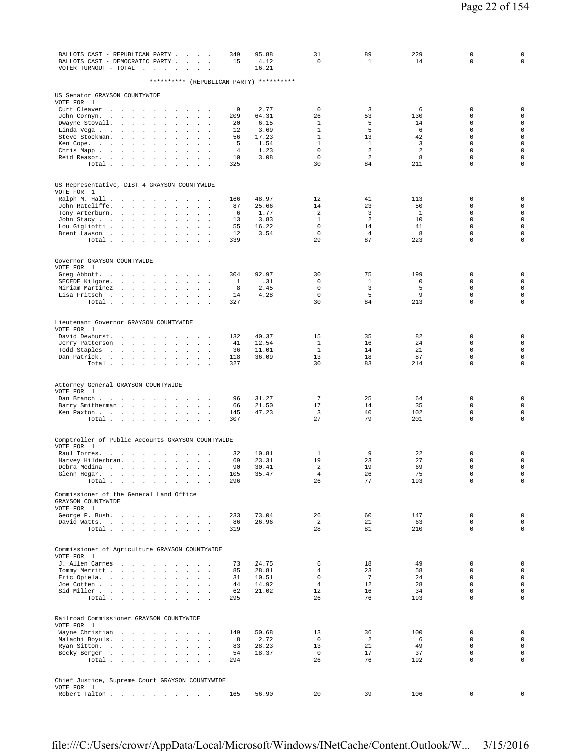| BALLOTS CAST - REPUBLICAN PARTY<br>349<br>BALLOTS CAST - DEMOCRATIC PARTY<br>15<br>$\sim$<br>VOTER TURNOUT - TOTAL $\ldots$ .<br>$\sim 10^{-1}$ km $^{-1}$<br>$\sim$                                              | 95.88<br>4.12<br>16.21 | 31<br>$\mathbf 0$            | 89<br>$\mathbf{1}$   | 229<br>14    | 0<br>0                     | $\mathsf 0$<br>$\mathbf 0$                 |
|-------------------------------------------------------------------------------------------------------------------------------------------------------------------------------------------------------------------|------------------------|------------------------------|----------------------|--------------|----------------------------|--------------------------------------------|
| ********** (REPUBLICAN PARTY) **********                                                                                                                                                                          |                        |                              |                      |              |                            |                                            |
|                                                                                                                                                                                                                   |                        |                              |                      |              |                            |                                            |
| US Senator GRAYSON COUNTYWIDE<br>VOTE FOR 1                                                                                                                                                                       |                        |                              |                      |              |                            |                                            |
| Curt Cleaver<br>9<br><b>Carl Carl Carl</b><br>and the contract of the<br>$\cdot$<br>John Cornyn.<br>209<br><b>Contract Contract</b><br><b>Sales Advised Service</b><br>$\sim$<br>$\sim$<br>$\mathbf{r}$<br>$\sim$ | 2.77<br>64.31          | $\mathbf 0$<br>26            | 3<br>53              | 6<br>130     | $\mathbf 0$<br>0           | $\mathbf 0$<br>$\mathsf 0$                 |
| Dwayne Stovall.<br>20<br>$\sim 10^{-1}$<br>$\sim$<br>$\sim$<br>$\mathbf{r}$<br>$\ddot{\phantom{a}}$                                                                                                               | 6.15                   | $\mathbf{1}$                 | 5                    | 14           | 0                          | $\mathsf{O}\xspace$                        |
| Linda Vega<br>12<br>$\sim 10^{-1}$ and $\sim 10^{-1}$<br>$\sim$ $\sim$<br>$\sim$<br>$\cdot$<br>$\Box$                                                                                                             | 3.69                   | $\mathbf{1}$                 | 5                    | 6            | $\mathbf 0$                | $\mathsf{O}\xspace$                        |
| Steve Stockman.<br><b>Carl Carl</b><br><b>Contract Contract</b><br>56<br>$\ddot{\phantom{a}}$<br>$\Box$<br>$\sim$<br>$\ddot{\phantom{a}}$<br>5<br>Ken Cope.<br>$\sim$<br>$\Delta$<br>$\Box$                       | 17.23<br>1.54          | $\mathbf{1}$<br>$\mathbf{1}$ | 13<br>$\mathbf{1}$   | 42<br>3      | $\mathbf 0$<br>$\mathbf 0$ | $\mathsf{O}\xspace$<br>$\mathsf{O}\xspace$ |
| $\overline{4}$<br>Chris Mapp<br>$\sim$<br>$\mathcal{L}$<br>$\sim$                                                                                                                                                 | 1.23                   | $\mathbf 0$                  | 2                    | 2            | $\mathbf 0$                | $\mathsf 0$                                |
| Reid Reasor.<br>10<br>$\sim 100$<br>$\sim$<br>$\cdot$<br>$\Box$<br>325<br>Total<br>$\mathbf{r}$ and $\mathbf{r}$                                                                                                  | 3.08                   | $\mathbf 0$<br>30            | 2<br>84              | 8<br>211     | 0<br>$\mathbf 0$           | $\mathsf{O}\xspace$<br>$\mathbf 0$         |
|                                                                                                                                                                                                                   |                        |                              |                      |              |                            |                                            |
| US Representative, DIST 4 GRAYSON COUNTYWIDE                                                                                                                                                                      |                        |                              |                      |              |                            |                                            |
| VOTE FOR 1                                                                                                                                                                                                        |                        |                              |                      |              |                            |                                            |
| Ralph M. Hall<br>166<br><b>Contract Contract</b><br>$\overline{\phantom{a}}$<br>$\ddot{\phantom{a}}$<br>$\sim$<br>John Ratcliffe.<br>87                                                                           | 48.97<br>25.66         | 12<br>14                     | 41<br>23             | 113<br>50    | 0<br>0                     | $\mathbf 0$<br>$\circ$                     |
| <b>Carl Carl</b><br>$\sim$<br>$\sim$<br>$\cdot$<br>$\cdot$<br>$\Box$<br>$\sim$<br>$\ddot{\phantom{a}}$<br>Tony Arterburn.<br>6<br>$\Delta$<br>$\Box$                                                              | 1.77                   | $\overline{a}$               | 3                    | $\mathbf{1}$ | $\mathbf 0$                | $\mathsf{O}\xspace$                        |
| John Stacy<br>13<br>$\sim$<br>$\ddot{\phantom{a}}$<br>$\mathbb{Z}^2$<br>$\cdot$                                                                                                                                   | 3.83                   | $\mathbf{1}$                 | 2                    | 10           | $\mathbf 0$                | 0                                          |
| 55<br>Lou Gigliotti<br>$\ddot{\phantom{a}}$<br>$\Box$<br>$\cdot$<br>$\Box$<br>12<br>Brent Lawson                                                                                                                  | 16.22<br>3.54          | $\mathbf 0$<br>$\mathbf 0$   | 14<br>$\overline{4}$ | 41<br>8      | $\mathbf 0$<br>$\mathbf 0$ | $\mathsf 0$<br>$\mathsf 0$                 |
| Total<br>339<br>$\sim$<br>$\sim$<br>$\ddot{\phantom{a}}$                                                                                                                                                          |                        | 29                           | 87                   | 223          | $\mathbf 0$                | $\mathbf 0$                                |
|                                                                                                                                                                                                                   |                        |                              |                      |              |                            |                                            |
| Governor GRAYSON COUNTYWIDE                                                                                                                                                                                       |                        |                              |                      |              |                            |                                            |
| VOTE FOR 1<br>Greg Abbott.<br>304<br>the contract of the contract of the con-                                                                                                                                     | 92.97                  | 30                           | 75                   | 199          | $\mathbf 0$                | $\mathbf 0$                                |
| SECEDE Kilgore.<br>the contract of the contract of the<br>1<br>$\sim$<br>$\mathbb{Z}^2$<br>$\sim$<br>$\sim$                                                                                                       | .31                    | $\mathbf 0$                  | 1                    | $\mathbf 0$  | $\mathbf 0$                | $\mathsf{O}\xspace$                        |
| Miriam Martinez<br>8<br>$\sim$<br>$\sim$<br>$\ddot{\phantom{a}}$<br>Lisa Fritsch<br>14                                                                                                                            | 2.45<br>4.28           | $\mathsf 0$<br>$\mathbf 0$   | 3<br>5               | 5<br>9       | $\mathbf 0$<br>$\mathbf 0$ | $\mathsf{O}\xspace$<br>$\mathsf{O}\xspace$ |
| 327<br>Total.<br>the contract of the con-<br>$\sim$ $\sim$<br>$\sim$<br>$\sim 10^{-11}$ $\sim$                                                                                                                    |                        | 30                           | 84                   | 213          | $\mathbf 0$                | 0                                          |
|                                                                                                                                                                                                                   |                        |                              |                      |              |                            |                                            |
| Lieutenant Governor GRAYSON COUNTYWIDE                                                                                                                                                                            |                        |                              |                      |              |                            |                                            |
| VOTE FOR 1                                                                                                                                                                                                        |                        |                              |                      |              |                            |                                            |
| David Dewhurst.<br>132<br>$\sim 10^{-11}$ km $^{-1}$<br>$\sim$<br>$\mathbf{r}$<br>41<br>Jerry Patterson<br>and the control<br>$\Delta\sim 10$<br>$\cdot$<br>$\Box$<br>$\ddot{\phantom{a}}$                        | 40.37<br>12.54         | 15<br>$\mathbf{1}$           | 35<br>16             | 82<br>24     | 0<br>$\Omega$              | 0<br>0                                     |
| Todd Staples<br>the contract of the contract of<br>36<br>$\sim$<br>$\Box$<br>$\mathbf{r}$                                                                                                                         | 11.01                  | $\mathbf{1}$                 | 14                   | 21           | $\mathbf 0$                | 0                                          |
| Dan Patrick.<br>118<br>the contract of the<br>$\mathbf{z} = \mathbf{z}$<br>$\Box$<br>Total<br>327<br><b>Carl Carl Carl</b>                                                                                        | 36.09                  | 13<br>30                     | 18<br>83             | 87<br>214    | 0<br>$\mathbf 0$           | $\mathsf{O}\xspace$<br>$\mathbf 0$         |
|                                                                                                                                                                                                                   |                        |                              |                      |              |                            |                                            |
| Attorney General GRAYSON COUNTYWIDE                                                                                                                                                                               |                        |                              |                      |              |                            |                                            |
| VOTE FOR 1                                                                                                                                                                                                        |                        |                              |                      |              |                            |                                            |
| Dan Branch<br>96<br>$\sim$ $\sim$<br>Barry Smitherman<br>66<br>$\sim$<br>$\sim$<br>$\mathbb{Z}^2$<br>$\ddot{\phantom{a}}$                                                                                         | 31.27<br>21.50         | $7\phantom{.0}$<br>17        | 25<br>14             | 64<br>35     | 0<br>$\mathbf 0$           | $\mathbf 0$<br>$\circ$                     |
| Ken Paxton<br>145                                                                                                                                                                                                 | 47.23                  | 3                            | 40                   | 102          | $\mathbf 0$                | $\mathsf{O}\xspace$                        |
| Total<br>307<br>$\sim$ $\sim$<br>$\mathbf{A}^{\prime}$ and $\mathbf{A}^{\prime}$<br>$\ddot{\phantom{a}}$                                                                                                          |                        | 27                           | 79                   | 201          | $\mathbf 0$                | $\mathbf 0$                                |
|                                                                                                                                                                                                                   |                        |                              |                      |              |                            |                                            |
| Comptroller of Public Accounts GRAYSON COUNTYWIDE<br>VOTE FOR 1                                                                                                                                                   |                        |                              |                      |              |                            |                                            |
| Raul Torres.<br>32<br>and a strategic and<br>$\sim 10^{-1}$ and $\sim 10^{-1}$<br>$\cdot$                                                                                                                         | 10.81                  | $\mathbf{1}$                 | 9                    | 22           | 0                          | $\mathsf 0$                                |
| 69<br>Harvey Hilderbran.<br>$\mathbf{z} = -\mathbf{z}$<br>90                                                                                                                                                      | 23.31                  | 19                           | 23                   | 27<br>69     | $\mathbf 0$<br>$\mathbf 0$ | $\mathsf{O}\xspace$<br>$\mathsf{O}\xspace$ |
| Debra Medina<br><b>Carl Carl Carl</b><br>$\sim$<br>$\mathcal{L}$<br>$\cdot$<br>$\cdot$<br>105<br>Glenn Hegar.<br>the contract of the contract of the contract of                                                  | 30.41<br>35.47         | 2<br>4                       | 19<br>26             | 75           | $\mathbf 0$                | $\mathbf 0$                                |
| Total $\cdots$ $\cdots$ $\cdots$<br>296                                                                                                                                                                           |                        | 26                           | 77                   | 193          | $\mathbf 0$                | $\circ$                                    |
| Commissioner of the General Land Office                                                                                                                                                                           |                        |                              |                      |              |                            |                                            |
| GRAYSON COUNTYWIDE                                                                                                                                                                                                |                        |                              |                      |              |                            |                                            |
| VOTE FOR 1<br>George P. Bush.<br>233                                                                                                                                                                              | 73.04                  | 26                           | 60                   | 147          | 0                          | $\mathbf 0$                                |
| 86<br>David Watts.<br>$\mathbf{r} = \mathbf{r} + \mathbf{r}$ .                                                                                                                                                    | 26.96                  | 2                            | 21                   | 63           | $\mathbf 0$                | $\circ$                                    |
| Total<br>319                                                                                                                                                                                                      |                        | 28                           | 81                   | 210          | $\Omega$                   | $\mathbf 0$                                |
|                                                                                                                                                                                                                   |                        |                              |                      |              |                            |                                            |
| Commissioner of Agriculture GRAYSON COUNTYWIDE<br>VOTE FOR 1                                                                                                                                                      |                        |                              |                      |              |                            |                                            |
| J. Allen Carnes<br>73                                                                                                                                                                                             | 24.75                  | 6                            | 18                   | 49           | 0                          | 0                                          |
| Tommy Merritt<br>85<br><b>San Adams</b><br>31                                                                                                                                                                     | 28.81<br>10.51         | $\overline{4}$<br>$\Omega$   | 23<br>$7^{\circ}$    | 58<br>24     | $\mathbf 0$<br>$\Omega$    | $\mathbf{0}$<br>$\mathbf 0$                |
| Eric Opiela.<br>Joe Cotten<br>44<br>$\sim$<br>$\sim$ $\sim$ $\sim$                                                                                                                                                | 14.92                  | $\overline{4}$               | 12                   | 28           | $\Omega$                   | $\mathsf{O}\xspace$                        |
| Sid Miller<br>62                                                                                                                                                                                                  | 21.02                  | 12                           | 16                   | 34           | $\Omega$                   | $\mathbf 0$                                |
| Total $\cdots$ $\cdots$ $\cdots$<br>295<br>$\sim$ $\sim$ $\sim$                                                                                                                                                   |                        | 26                           | 76                   | 193          | $\Omega$                   | $\mathbf 0$                                |
|                                                                                                                                                                                                                   |                        |                              |                      |              |                            |                                            |
| Railroad Commissioner GRAYSON COUNTYWIDE<br>VOTE FOR 1                                                                                                                                                            |                        |                              |                      |              |                            |                                            |
| Wayne Christian<br>149                                                                                                                                                                                            | 50.68                  | 13                           | 36                   | 100          | $\mathbf 0$                | 0                                          |
| Malachi Boyuls.<br>8<br>$\mathcal{L}$<br>$\cdot$<br>$\ddot{\phantom{a}}$<br>Ryan Sitton.<br>83                                                                                                                    | 2.72<br>28.23          | $^{\circ}$<br>13             | 2<br>21              | 6<br>49      | 0<br>$\mathbf 0$           | $\circ$<br>$\mathsf{O}\xspace$             |
| Becky Berger<br>54<br>$\sim$ $\sim$<br>$\sim$                                                                                                                                                                     | 18.37                  | $\mathbf{0}$                 | 17                   | 37           | $\mathbf{0}$               | $\mathsf{O}\xspace$                        |
| Total $\cdots$ $\cdots$ $\cdots$<br>294<br>$\mathbf{r}$ and $\mathbf{r}$                                                                                                                                          |                        | 26                           | 76                   | 192          | $\Omega$                   | $\mathbf 0$                                |
|                                                                                                                                                                                                                   |                        |                              |                      |              |                            |                                            |
| Chief Justice, Supreme Court GRAYSON COUNTYWIDE<br>VOTE FOR 1                                                                                                                                                     |                        |                              |                      |              |                            |                                            |
| Robert Talton<br>165                                                                                                                                                                                              | 56.90                  | 20                           | 39                   | 106          | 0                          | 0                                          |
|                                                                                                                                                                                                                   |                        |                              |                      |              |                            |                                            |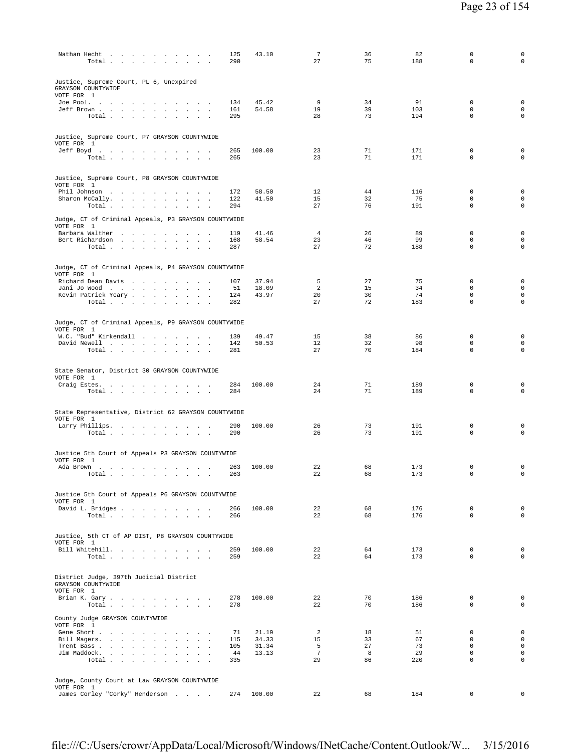| Nathan Hecht<br>Total $\cdots$ $\cdots$ $\cdots$                                                                                                                                         | 125<br>290 | 43.10  | $\overline{7}$<br>27  | 36<br>75 | 82<br>188  | 0<br>$\Omega$              | $\mathsf{O}\xspace$<br>$\mathbf 0$ |
|------------------------------------------------------------------------------------------------------------------------------------------------------------------------------------------|------------|--------|-----------------------|----------|------------|----------------------------|------------------------------------|
| Justice, Supreme Court, PL 6, Unexpired<br>GRAYSON COUNTYWIDE<br>VOTE FOR 1                                                                                                              |            |        |                       |          |            |                            |                                    |
| Joe Pool.                                                                                                                                                                                | 134        | 45.42  | 9                     | 34       | 91         | $\mathbf 0$                | $\mathbf 0$                        |
| Jeff Brown<br>Total<br>$\sim$ $\sim$                                                                                                                                                     | 161<br>295 | 54.58  | 19<br>28              | 39<br>73 | 103<br>194 | $\Omega$<br>$\mathbf 0$    | 0<br>0                             |
|                                                                                                                                                                                          |            |        |                       |          |            |                            |                                    |
| Justice, Supreme Court, P7 GRAYSON COUNTYWIDE                                                                                                                                            |            |        |                       |          |            |                            |                                    |
| VOTE FOR 1                                                                                                                                                                               |            |        |                       |          |            |                            |                                    |
| Jeff Boyd                                                                                                                                                                                | 265        | 100.00 | 23                    | 71       | 171        | $\mathbf 0$                | 0                                  |
| Total $\cdots$ $\cdots$ $\cdots$                                                                                                                                                         | 265        |        | 23                    | 71       | 171        | $\mathbf 0$                | $\mathbf 0$                        |
|                                                                                                                                                                                          |            |        |                       |          |            |                            |                                    |
| Justice, Supreme Court, P8 GRAYSON COUNTYWIDE<br>VOTE FOR 1                                                                                                                              |            |        |                       |          |            |                            |                                    |
| Phil Johnson                                                                                                                                                                             | 172        | 58.50  | 12                    | 44       | 116        | $\mathbf 0$                | $\mathbf 0$                        |
| Sharon McCally.<br><b>Carl Carl Carl</b>                                                                                                                                                 | 122        | 41.50  | 15                    | 32       | 75         | $\mathbf 0$                | $\mathbf 0$                        |
| Total                                                                                                                                                                                    | 294        |        | 27                    | 76       | 191        | 0                          | 0                                  |
| Judge, CT of Criminal Appeals, P3 GRAYSON COUNTYWIDE                                                                                                                                     |            |        |                       |          |            |                            |                                    |
| VOTE FOR 1<br>Barbara Walther                                                                                                                                                            | 119        | 41.46  | $\overline{4}$        | 26       | 89         | $\mathbf 0$                | 0                                  |
| Bert Richardson                                                                                                                                                                          | 168        | 58.54  | 23                    | 46       | 99         | $\mathbf 0$                | $\mathbf 0$                        |
| Total                                                                                                                                                                                    | 287        |        | 27                    | 72       | 188        | $\mathbf 0$                | $\mathsf 0$                        |
|                                                                                                                                                                                          |            |        |                       |          |            |                            |                                    |
| Judge, CT of Criminal Appeals, P4 GRAYSON COUNTYWIDE                                                                                                                                     |            |        |                       |          |            |                            |                                    |
| VOTE FOR 1<br>Richard Dean Davis                                                                                                                                                         | 107        | 37.94  | 5                     | 27       | 75         | $\mathbf 0$                | $\mathbf 0$                        |
| Jani Jo Wood                                                                                                                                                                             | 51         | 18.09  | 2                     | 15       | 34         | 0                          | $\mathbf 0$                        |
| Kevin Patrick Yeary                                                                                                                                                                      | 124        | 43.97  | 20                    | 30       | 74         | $\mathbf 0$                | $\mathsf{O}\xspace$                |
| Total $\cdots$ $\cdots$ $\cdots$<br>$\ddot{\phantom{1}}$                                                                                                                                 | 282        |        | 27                    | 72       | 183        | $\mathbf 0$                | 0                                  |
|                                                                                                                                                                                          |            |        |                       |          |            |                            |                                    |
| Judge, CT of Criminal Appeals, P9 GRAYSON COUNTYWIDE<br>VOTE FOR 1                                                                                                                       |            |        |                       |          |            |                            |                                    |
| W.C. "Bud" Kirkendall                                                                                                                                                                    | 139        | 49.47  | 15                    | 38       | 86         | 0                          | $\mathbf 0$                        |
| David Newell                                                                                                                                                                             | 142        | 50.53  | 12                    | 32       | 98         | $\mathbf 0$                | $\mathbf 0$                        |
| Total                                                                                                                                                                                    | 281        |        | 27                    | 70       | 184        | $\mathbf 0$                | $\mathbf 0$                        |
|                                                                                                                                                                                          |            |        |                       |          |            |                            |                                    |
| State Senator, District 30 GRAYSON COUNTYWIDE<br>VOTE FOR 1                                                                                                                              |            |        |                       |          |            |                            |                                    |
| Craig Estes.                                                                                                                                                                             | 284        | 100.00 | 24                    | 71       | 189        | $\mathbf 0$                | $\mathbf 0$                        |
| Total                                                                                                                                                                                    | 284        |        | 24                    | 71       | 189        | $\mathbf 0$                | $\mathbf 0$                        |
|                                                                                                                                                                                          |            |        |                       |          |            |                            |                                    |
| State Representative, District 62 GRAYSON COUNTYWIDE                                                                                                                                     |            |        |                       |          |            |                            |                                    |
| VOTE FOR 1<br>Larry Phillips.                                                                                                                                                            | 290        | 100.00 | 26                    | 73       | 191        | $\mathbf 0$                | $\mathbf 0$                        |
| Total                                                                                                                                                                                    | 290        |        | 26                    | 73       | 191        | $\mathbf 0$                | $\mathbf 0$                        |
|                                                                                                                                                                                          |            |        |                       |          |            |                            |                                    |
| Justice 5th Court of Appeals P3 GRAYSON COUNTYWIDE                                                                                                                                       |            |        |                       |          |            |                            |                                    |
| VOTE FOR 1<br>Ada Brown                                                                                                                                                                  | 263        | 100.00 | 22                    | 68       | 173        | $\mathbf 0$                | $\mathbf 0$                        |
| the contract of the contract of the con-<br>$\sim$<br>$\sim$<br>Total<br>the contract of the contract of the contract of the contract of the contract of the contract of the contract of | 263        |        | 22                    | 68       | 173        | $\Omega$                   | 0                                  |
|                                                                                                                                                                                          |            |        |                       |          |            |                            |                                    |
| Justice 5th Court of Appeals P6 GRAYSON COUNTYWIDE                                                                                                                                       |            |        |                       |          |            |                            |                                    |
| VOTE FOR 1                                                                                                                                                                               |            |        |                       |          |            |                            |                                    |
| David L. Bridges<br>Total<br>$\sim$                                                                                                                                                      | 266<br>266 | 100.00 | 22<br>22              | 68<br>68 | 176<br>176 | $\mathbf 0$<br>$\mathbf 0$ | $\mathsf{O}\xspace$<br>$\mathbf 0$ |
|                                                                                                                                                                                          |            |        |                       |          |            |                            |                                    |
| Justice, 5th CT of AP DIST, P8 GRAYSON COUNTYWIDE                                                                                                                                        |            |        |                       |          |            |                            |                                    |
| VOTE FOR 1                                                                                                                                                                               |            |        |                       |          |            |                            |                                    |
| Bill Whitehill.                                                                                                                                                                          | 259        | 100.00 | 22                    | 64       | 173        | $\mathbf 0$                | $\mathbf 0$                        |
| Total                                                                                                                                                                                    | 259        |        | 22                    | 64       | 173        | $\Omega$                   | $\mathbf 0$                        |
|                                                                                                                                                                                          |            |        |                       |          |            |                            |                                    |
| District Judge, 397th Judicial District<br>GRAYSON COUNTYWIDE                                                                                                                            |            |        |                       |          |            |                            |                                    |
| VOTE FOR 1                                                                                                                                                                               |            |        |                       |          |            |                            |                                    |
| Brian K. Gary                                                                                                                                                                            | 278<br>278 | 100.00 | 22<br>22              | 70<br>70 | 186<br>186 | $\mathbf 0$<br>$\mathbf 0$ | $\mathbf 0$<br>$\mathbf 0$         |
| Total                                                                                                                                                                                    |            |        |                       |          |            |                            |                                    |
| County Judge GRAYSON COUNTYWIDE                                                                                                                                                          |            |        |                       |          |            |                            |                                    |
| VOTE FOR 1<br>Gene Short                                                                                                                                                                 | 71         | 21.19  | 2                     | 18       | 51         | $\mathbf 0$                | $\mathbf 0$                        |
| Bill Magers.<br>$\sim$<br>$\sim$<br>$\sim$                                                                                                                                               | 115        | 34.33  | 15                    | 33       | 67         | $\Omega$                   | $\mathbf 0$                        |
| Trent Bass                                                                                                                                                                               | 105        | 31.34  | 5                     | 27       | 73         | $\mathbf 0$                | $\mathbf 0$                        |
| Jim Maddock.<br>$\cdot$<br>Total.<br>$\sim$                                                                                                                                              | 44<br>335  | 13.13  | $7\phantom{.0}$<br>29 | 8<br>86  | 29<br>220  | $\mathbf 0$<br>$\mathbf 0$ | $\mathbf 0$<br>$\mathbf 0$         |
|                                                                                                                                                                                          |            |        |                       |          |            |                            |                                    |
| Judge, County Court at Law GRAYSON COUNTYWIDE                                                                                                                                            |            |        |                       |          |            |                            |                                    |
| VOTE FOR 1                                                                                                                                                                               |            |        |                       |          |            |                            |                                    |
| James Corley "Corky" Henderson                                                                                                                                                           | 274        | 100.00 | 22                    | 68       | 184        | $\mathbf 0$                | $\mathbf 0$                        |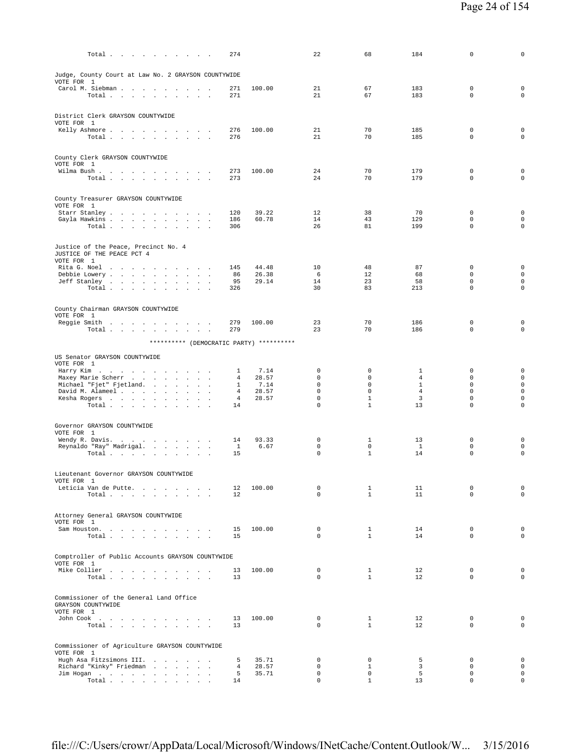| $Total \cdot \cdot \cdot \cdot \cdot \cdot \cdot \cdot \cdot \cdot \cdot$         | 274        |                | 22                         | 68                           | 184                            | $\mathbf 0$                | $\mathbf 0$                                |
|-----------------------------------------------------------------------------------|------------|----------------|----------------------------|------------------------------|--------------------------------|----------------------------|--------------------------------------------|
| Judge, County Court at Law No. 2 GRAYSON COUNTYWIDE                               |            |                |                            |                              |                                |                            |                                            |
| VOTE FOR 1<br>Carol M. Siebman                                                    | 271        | 100.00         | 21                         | 67                           | 183                            | $\mathbf 0$                | $\mathbf 0$                                |
| Total                                                                             | 271        |                | 21                         | 67                           | 183                            | $\mathbf 0$                | $\mathsf{O}\xspace$                        |
| District Clerk GRAYSON COUNTYWIDE                                                 |            |                |                            |                              |                                |                            |                                            |
| VOTE FOR 1<br>Kelly Ashmore                                                       | 276        | 100.00         | 21                         | 70                           | 185                            | $\mathbf 0$                | 0                                          |
| Total $\cdots$ $\cdots$ $\cdots$ $\cdots$                                         | 276        |                | 21                         | 70                           | 185                            | $\Omega$                   | $\Omega$                                   |
| County Clerk GRAYSON COUNTYWIDE                                                   |            |                |                            |                              |                                |                            |                                            |
| VOTE FOR 1<br>Wilma Bush                                                          | 273        | 100.00         | 24                         | 70                           | 179                            | $\mathbf 0$                | $\mathsf{O}\xspace$                        |
| Total                                                                             | 273        |                | 24                         | 70                           | 179                            | $\mathbf 0$                | $\mathbf 0$                                |
| County Treasurer GRAYSON COUNTYWIDE                                               |            |                |                            |                              |                                |                            |                                            |
| VOTE FOR 1<br>Starr Stanley<br>$\sim$                                             | 120        | 39.22          | 12                         | 38                           | 70                             | 0                          | $\mathbf 0$                                |
| Gayla Hawkins<br>Total $\cdots$ $\cdots$ $\cdots$ $\cdots$                        | 186<br>306 | 60.78          | 14<br>26                   | 43<br>81                     | 129<br>199                     | $\Omega$<br>$\mathbf 0$    | $\mathbf 0$<br>$\mathbf 0$                 |
|                                                                                   |            |                |                            |                              |                                |                            |                                            |
| Justice of the Peace, Precinct No. 4<br>JUSTICE OF THE PEACE PCT 4                |            |                |                            |                              |                                |                            |                                            |
| VOTE FOR 1<br>Rita G. Noel                                                        | 145        | 44.48          | 10                         | 48                           | 87                             | $\mathbf 0$                | $\mathbf 0$                                |
| Debbie Lowery<br>Jeff Stanley<br>$\sim$ $-$<br>$\sim$<br>$\overline{\phantom{a}}$ | 86<br>95   | 26.38<br>29.14 | 6<br>14                    | $12 \overline{ }$<br>23      | 68<br>58                       | $\mathbf 0$<br>$\mathbf 0$ | $\mathbf 0$<br>$\mathbf 0$                 |
| Total $\cdots$ $\cdots$ $\cdots$ $\cdots$                                         | 326        |                | 30                         | 83                           | 213                            | $\mathbf 0$                | $\mathsf 0$                                |
| County Chairman GRAYSON COUNTYWIDE                                                |            |                |                            |                              |                                |                            |                                            |
| VOTE FOR 1                                                                        |            |                |                            |                              |                                |                            |                                            |
| Reggie Smith<br>Total<br><b>Carl Carl</b><br>$\sim$<br>$\mathbf{r}$               | 279<br>279 | 100.00         | 23<br>23                   | 70<br>70                     | 186<br>186                     | 0<br>$\mathbf 0$           | $\mathbf 0$<br>$\mathsf{O}\xspace$         |
| ********** (DEMOCRATIC PARTY) **********                                          |            |                |                            |                              |                                |                            |                                            |
| US Senator GRAYSON COUNTYWIDE                                                     |            |                |                            |                              |                                |                            |                                            |
| VOTE FOR 1<br>Harry Kim<br>$\sim$                                                 | 1          | 7.14           | 0                          | 0                            | 1                              | 0                          | $\mathbf 0$                                |
| Maxey Marie Scherr<br>Michael "Fjet" Fjetland.                                    | 4<br>1     | 28.57<br>7.14  | $\mathbf 0$<br>$\Omega$    | 0<br>$\Omega$                | $\overline{4}$<br>$\mathbf{1}$ | $\mathbf 0$<br>$\Omega$    | $\mathsf{O}\xspace$<br>$\mathsf{O}\xspace$ |
| David M. Alameel<br>$\sim$ $\sim$<br>$\sim$                                       | 4          | 28.57          | $\mathbf 0$                | $\mathbf 0$                  | $\overline{4}$                 | $\mathbf 0$                | $\mathbf 0$                                |
| Kesha Rogers<br>$\overline{\phantom{a}}$<br>Total                                 | 4<br>14    | 28.57          | $\mathbf 0$<br>$\mathbf 0$ | $\mathbf{1}$<br>$\mathbf{1}$ | 3<br>13                        | $\mathbf 0$<br>$\mathbf 0$ | $\mathsf{O}\xspace$<br>$\mathsf 0$         |
|                                                                                   |            |                |                            |                              |                                |                            |                                            |
| Governor GRAYSON COUNTYWIDE<br>VOTE FOR 1                                         |            |                |                            |                              |                                |                            |                                            |
| Wendy R. Davis.<br>$\sim$ $\sim$<br>Reynaldo "Ray" Madrigal.                      | 14<br>1    | 93.33<br>6.67  | 0<br>$\mathbf 0$           | 1<br>$\mathbf 0$             | 13<br>$\mathbf{1}$             | 0<br>$\mathbf 0$           | 0<br>$\mathbf 0$                           |
| Total $\cdots$ $\cdots$ $\cdots$ $\cdots$                                         | 15         |                | $\mathbf 0$                | $\mathbf{1}$                 | 14                             | $\mathbf 0$                | $\mathsf 0$                                |
| Lieutenant Governor GRAYSON COUNTYWIDE                                            |            |                |                            |                              |                                |                            |                                            |
| VOTE FOR 1<br>Leticia Van de Putte.                                               | 12         | 100.00         | 0                          | 1                            | 11                             | 0                          | 0                                          |
| Total.                                                                            | 12         |                | $\Omega$                   | $\mathbf{1}$                 | 11                             | $\mathbf 0$                | $\mathsf{O}\xspace$                        |
| Attorney General GRAYSON COUNTYWIDE                                               |            |                |                            |                              |                                |                            |                                            |
| VOTE FOR 1                                                                        |            | 100.00         | $\mathbf 0$                | $\mathbf{1}$                 | 14                             | $\mathbf 0$                | $\mathbf 0$                                |
| Sam Houston.<br>Total $\cdots$ $\cdots$ $\cdots$                                  | 15<br>15   |                | $\Omega$                   | $\mathbf{1}$                 | 14                             | $\Omega$                   | $\mathbf 0$                                |
| Comptroller of Public Accounts GRAYSON COUNTYWIDE                                 |            |                |                            |                              |                                |                            |                                            |
| VOTE FOR 1<br>Mike Collier                                                        | 13         | 100.00         | 0                          | $\mathbf{1}$                 | 12                             | 0                          | $\mathbf 0$                                |
| Total $\cdots$ $\cdots$ $\cdots$ $\cdots$                                         | 13         |                | $\Omega$                   | $\mathbf{1}$                 | 12                             | $\mathbf 0$                | $\mathbf 0$                                |
| Commissioner of the General Land Office                                           |            |                |                            |                              |                                |                            |                                            |
| GRAYSON COUNTYWIDE<br>VOTE FOR 1                                                  |            |                |                            |                              |                                |                            |                                            |
| John Cook<br>Total                                                                | 13<br>13   | 100.00         | $\mathbf{0}$<br>0          | $\mathbf{1}$<br>$\mathbf{1}$ | 12<br>12                       | $\mathbf 0$<br>$\mathbf 0$ | 0<br>0                                     |
|                                                                                   |            |                |                            |                              |                                |                            |                                            |
| Commissioner of Agriculture GRAYSON COUNTYWIDE<br>VOTE FOR 1                      |            |                |                            |                              |                                |                            |                                            |
| Hugh Asa Fitzsimons III.                                                          | 5          | 35.71          | $\mathbf 0$                | 0                            | 5                              | $\mathbf 0$                | $\mathbf 0$                                |
| Richard "Kinky" Friedman<br>Jim Hogan                                             | 4<br>5     | 28.57<br>35.71 | $\mathbf 0$<br>0           | $\mathbf{1}$<br>$\mathbf 0$  | 3<br>5                         | $\mathbf 0$<br>$\mathbf 0$ | $\circ$<br>$\mathsf{O}\xspace$             |
| Total $\ldots$ $\ldots$ $\ldots$ $\ldots$                                         | 14         |                | 0                          | $\mathbf{1}$                 | 13                             | 0                          | $\mathbf 0$                                |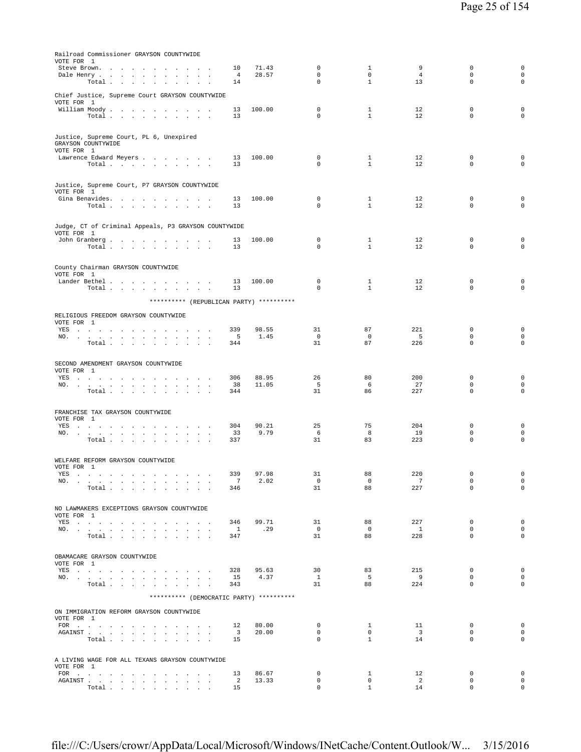| Railroad Commissioner GRAYSON COUNTYWIDE                                                                                                                                                                                       |                               |                |                         |                                |                               |                          |                                    |
|--------------------------------------------------------------------------------------------------------------------------------------------------------------------------------------------------------------------------------|-------------------------------|----------------|-------------------------|--------------------------------|-------------------------------|--------------------------|------------------------------------|
| VOTE FOR 1<br>Steve Brown.                                                                                                                                                                                                     | 10                            | 71.43          | $\mathbf 0$             | $\mathbf{1}$                   | 9                             | $\mathbf 0$              | $\mathbf 0$                        |
| Dale Henry                                                                                                                                                                                                                     | 4                             | 28.57          | $\mathbf 0$             | $\circ$                        | $\overline{4}$                | $\mathbf 0$              | $\mathsf{O}\xspace$                |
| Total<br>$\mathbf{r}$                                                                                                                                                                                                          | 14                            |                | 0                       | $\mathbf{1}$                   | 13                            | 0                        | $\mathbf 0$                        |
| Chief Justice, Supreme Court GRAYSON COUNTYWIDE                                                                                                                                                                                |                               |                |                         |                                |                               |                          |                                    |
| VOTE FOR 1                                                                                                                                                                                                                     |                               |                |                         |                                |                               |                          |                                    |
| William Moody.<br>Total                                                                                                                                                                                                        | 13<br>13                      | 100.00         | $\mathbf 0$<br>0        | $\mathbf{1}$<br>$\mathbf{1}$   | 12<br>12                      | 0<br>0                   | $\mathsf 0$<br>$\mathbf 0$         |
|                                                                                                                                                                                                                                |                               |                |                         |                                |                               |                          |                                    |
| Justice, Supreme Court, PL 6, Unexpired                                                                                                                                                                                        |                               |                |                         |                                |                               |                          |                                    |
| GRAYSON COUNTYWIDE                                                                                                                                                                                                             |                               |                |                         |                                |                               |                          |                                    |
| VOTE FOR 1                                                                                                                                                                                                                     |                               |                |                         |                                |                               | $\mathbf 0$              |                                    |
| Lawrence Edward Meyers<br>Total $\cdots$ $\cdots$ $\cdots$                                                                                                                                                                     | 13<br>13                      | 100.00         | 0<br>0                  | 1<br>$\mathbf{1}$              | 12<br>12                      | 0                        | $\mathsf 0$<br>$\mathsf{O}\xspace$ |
|                                                                                                                                                                                                                                |                               |                |                         |                                |                               |                          |                                    |
| Justice, Supreme Court, P7 GRAYSON COUNTYWIDE                                                                                                                                                                                  |                               |                |                         |                                |                               |                          |                                    |
| VOTE FOR 1                                                                                                                                                                                                                     |                               |                |                         |                                |                               |                          |                                    |
| Gina Benavides.<br>Total $\cdots$ $\cdots$ $\cdots$                                                                                                                                                                            | 13<br>13                      | 100.00         | 0<br>$\Omega$           | 1<br>$\mathbf{1}$              | 12<br>12                      | 0<br>$\Omega$            | $\mathsf 0$<br>$\mathbf 0$         |
|                                                                                                                                                                                                                                |                               |                |                         |                                |                               |                          |                                    |
|                                                                                                                                                                                                                                |                               |                |                         |                                |                               |                          |                                    |
| Judge, CT of Criminal Appeals, P3 GRAYSON COUNTYWIDE<br>VOTE FOR 1                                                                                                                                                             |                               |                |                         |                                |                               |                          |                                    |
| John Granberg                                                                                                                                                                                                                  | 13                            | 100.00         | 0                       | $\mathbf{1}$                   | 12                            | 0                        | $\mathsf 0$                        |
| Total                                                                                                                                                                                                                          | 13                            |                | 0                       | $\mathbf{1}$                   | 12                            | 0                        | $\mathbf 0$                        |
|                                                                                                                                                                                                                                |                               |                |                         |                                |                               |                          |                                    |
| County Chairman GRAYSON COUNTYWIDE<br>VOTE FOR 1                                                                                                                                                                               |                               |                |                         |                                |                               |                          |                                    |
| Lander Bethel                                                                                                                                                                                                                  | 13                            | 100.00         | 0                       | $\mathbf{1}$                   | 12                            | $\mathbf 0$              | 0                                  |
| Total $\cdots$ $\cdots$ $\cdots$                                                                                                                                                                                               | 13                            |                | $\Omega$                | $\mathbf{1}$                   | 12                            | $\Omega$                 | $\mathbf 0$                        |
| ********** (REPUBLICAN PARTY) **********                                                                                                                                                                                       |                               |                |                         |                                |                               |                          |                                    |
| RELIGIOUS FREEDOM GRAYSON COUNTYWIDE                                                                                                                                                                                           |                               |                |                         |                                |                               |                          |                                    |
| VOTE FOR 1                                                                                                                                                                                                                     |                               |                |                         |                                |                               |                          |                                    |
| YES a contract of the contract of the state of the state of the state of the state of the state of the state of the state of the state of the state of the state of the state of the state of the state of the state of the st | 339                           | 98.55          | 31                      | 87                             | 221                           | $\mathbf 0$              | 0                                  |
| NO.<br>Total<br>$\ddot{\phantom{0}}$<br>$\sim$ $-$<br>$\sim$ $\sim$ $\sim$                                                                                                                                                     | 5<br>344                      | 1.45           | $\mathbf{0}$<br>31      | $\circ$<br>87                  | - 5<br>226                    | $\mathbf 0$<br>0         | $\mathsf{O}\xspace$<br>$\mathbf 0$ |
|                                                                                                                                                                                                                                |                               |                |                         |                                |                               |                          |                                    |
| SECOND AMENDMENT GRAYSON COUNTYWIDE                                                                                                                                                                                            |                               |                |                         |                                |                               |                          |                                    |
| VOTE FOR 1                                                                                                                                                                                                                     |                               |                |                         |                                |                               |                          |                                    |
| YES<br>the company of the company of the company<br>$\sim$<br>NO.<br>the contract of the contract of the contract of<br>$\mathbf{z} = \mathbf{z}$                                                                              | 306<br>38                     | 88.95<br>11.05 | 26<br>5                 | 80<br>6                        | 200<br>27                     | 0<br>$\Omega$            | 0<br>0                             |
| Total                                                                                                                                                                                                                          | 344                           |                | 31                      | 86                             | 227                           | $\mathbf 0$              | $\mathbf 0$                        |
|                                                                                                                                                                                                                                |                               |                |                         |                                |                               |                          |                                    |
| FRANCHISE TAX GRAYSON COUNTYWIDE                                                                                                                                                                                               |                               |                |                         |                                |                               |                          |                                    |
| VOTE FOR 1<br>YES<br>$\sim$ $\sim$ $\sim$                                                                                                                                                                                      | 304                           | 90.21          | 25                      | 75                             | 204                           | $\mathbf 0$              | 0                                  |
| the contract of the<br>NO.<br>the contract of the contract of the contract of the contract of                                                                                                                                  | 33                            | 9.79           | 6                       | 8                              | 19                            | $\mathbf 0$              | 0                                  |
| Total $\cdots$ $\cdots$ $\cdots$ $\cdots$                                                                                                                                                                                      | 337                           |                | 31                      | 83                             | 223                           | 0                        | $\mathbf 0$                        |
|                                                                                                                                                                                                                                |                               |                |                         |                                |                               |                          |                                    |
| WELFARE REFORM GRAYSON COUNTYWIDE                                                                                                                                                                                              |                               |                |                         |                                |                               |                          |                                    |
| VOTE FOR 1<br>YES $\cdots$                                                                                                                                                                                                     | 339                           | 97.98          | 31                      | 88                             | 220                           | $\mathbf 0$              | $\mathbf 0$                        |
| NO.                                                                                                                                                                                                                            | 7                             | 2.02           | $\mathbf{0}$            | $\circ$                        | $7\phantom{.0}$               | 0                        | $\circ$                            |
| Total                                                                                                                                                                                                                          | 346                           |                | 31                      | 88                             | 227                           | $\mathbf 0$              | $\mathsf{O}\xspace$                |
|                                                                                                                                                                                                                                |                               |                |                         |                                |                               |                          |                                    |
| NO LAWMAKERS EXCEPTIONS GRAYSON COUNTYWIDE<br>VOTE FOR 1                                                                                                                                                                       |                               |                |                         |                                |                               |                          |                                    |
| YES                                                                                                                                                                                                                            | 346                           | 99.71          | 31                      | 88                             | 227                           | 0                        | 0                                  |
| NO.                                                                                                                                                                                                                            | $\overline{1}$                | .29            | $\overline{0}$          | $\overline{0}$                 | $\overline{1}$                | $\mathbf{0}$             | $\circ$                            |
| Total                                                                                                                                                                                                                          | 347                           |                | 31                      | 88                             | 228                           | $\Omega$                 | $\circ$                            |
|                                                                                                                                                                                                                                |                               |                |                         |                                |                               |                          |                                    |
| OBAMACARE GRAYSON COUNTYWIDE<br>VOTE FOR 1                                                                                                                                                                                     |                               |                |                         |                                |                               |                          |                                    |
| YES                                                                                                                                                                                                                            | 328                           | 95.63          | 30                      | 83                             | 215                           | $^{\circ}$               | $\mathbf 0$                        |
| NO.<br>Total                                                                                                                                                                                                                   | 15<br>343                     | 4.37           | $\mathbf{1}$<br>31      | 5<br>88                        | 9<br>224                      | $\mathbf{0}$<br>$\Omega$ | $\mathsf{O}$<br>0                  |
|                                                                                                                                                                                                                                |                               |                |                         |                                |                               |                          |                                    |
| ********** (DEMOCRATIC PARTY) **********                                                                                                                                                                                       |                               |                |                         |                                |                               |                          |                                    |
| ON IMMIGRATION REFORM GRAYSON COUNTYWIDE                                                                                                                                                                                       |                               |                |                         |                                |                               |                          |                                    |
| VOTE FOR 1                                                                                                                                                                                                                     |                               |                |                         |                                |                               |                          |                                    |
|                                                                                                                                                                                                                                | 12<br>$\overline{\mathbf{3}}$ | 80.00<br>20.00 | $\mathbf{0}$<br>$\circ$ | $\mathbf{1}$<br>$\overline{0}$ | 11<br>$\overline{\mathbf{3}}$ | $\mathbf{0}$<br>$\Omega$ | $\circ$<br>$\circ$                 |
| Total                                                                                                                                                                                                                          | 15                            |                | $\mathbf 0$             | $\mathbf{1}$                   | 14                            | $\mathbf{0}$             | $\circ$                            |
|                                                                                                                                                                                                                                |                               |                |                         |                                |                               |                          |                                    |
| A LIVING WAGE FOR ALL TEXANS GRAYSON COUNTYWIDE                                                                                                                                                                                |                               |                |                         |                                |                               |                          |                                    |
| VOTE FOR 1                                                                                                                                                                                                                     |                               |                | $\mathbf{0}$            | $\mathbf{1}$                   | 12                            | $^{\circ}$               | $\overline{0}$                     |
| FOR<br>AGAINST                                                                                                                                                                                                                 | 13<br>2                       | 86.67<br>13.33 | $\mathbf 0$             | $\circ$                        | $\overline{2}$                | $\mathbf 0$              | $\circ$                            |
| Total $\cdots$ $\cdots$ $\cdots$                                                                                                                                                                                               | 15                            |                | $\mathbf{0}$            | $\mathbf{1}$                   | 14                            | $\mathbf{0}$             | $\circ$                            |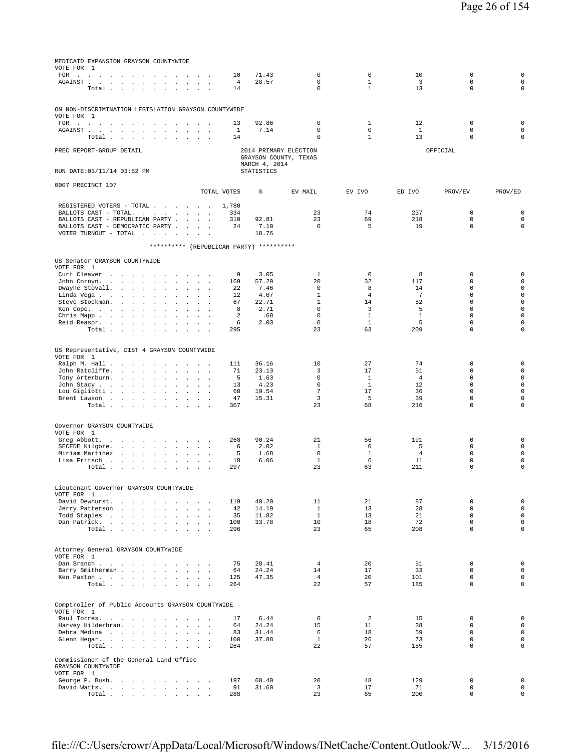| MEDICAID EXPANSION GRAYSON COUNTYWIDE<br>VOTE FOR 1                                                                                                                                                                                                                                                                                                                                                                                                                                     |                               |              |                   |                             |                              |                      |                            |                                    |
|-----------------------------------------------------------------------------------------------------------------------------------------------------------------------------------------------------------------------------------------------------------------------------------------------------------------------------------------------------------------------------------------------------------------------------------------------------------------------------------------|-------------------------------|--------------|-------------------|-----------------------------|------------------------------|----------------------|----------------------------|------------------------------------|
| $\texttt{FOR} \quad \texttt{.} \quad \texttt{.} \quad \texttt{.} \quad \texttt{.} \quad \texttt{.} \quad \texttt{.} \quad \texttt{.} \quad \texttt{.} \quad \texttt{.} \quad \texttt{.} \quad \texttt{.} \quad \texttt{.} \quad \texttt{.} \quad \texttt{.} \quad \texttt{.} \quad \texttt{.} \quad \texttt{.} \quad \texttt{.} \quad \texttt{.} \quad \texttt{.} \quad \texttt{.} \quad \texttt{.} \quad \texttt{.} \quad \texttt{.} \quad \texttt{.} \quad \texttt{.} \quad \texttt{$ | $\sim$ $\sim$ $\sim$          | 10           | 71.43             | $\mathbf 0$                 | $\mathbf 0$                  | 10                   | $\mathbf 0$                | $\mathbf 0$                        |
| ${\tt AGAINST} \hspace{1.5cm} . \hspace{1.5cm} . \hspace{1.5cm} . \hspace{1.5cm} . \hspace{1.5cm} . \hspace{1.5cm} . \hspace{1.5cm} . \hspace{1.5cm} . \hspace{1.5cm} . \hspace{1.5cm} . \hspace{1.5cm} . \hspace{1.5cm} . \hspace{1.5cm} . \hspace{1.5cm} .$<br>Total<br>$\sim$                                                                                                                                                                                                        | $\mathbf{r}$                  | 4<br>14      | 28.57             | $\mathbf 0$<br>$\mathbf 0$  | $\mathbf{1}$<br>$\mathbf{1}$ | $\overline{3}$<br>13 | $\mathbf 0$<br>$\mathbf 0$ | $\mathbf 0$<br>$\circ$             |
|                                                                                                                                                                                                                                                                                                                                                                                                                                                                                         |                               |              |                   |                             |                              |                      |                            |                                    |
|                                                                                                                                                                                                                                                                                                                                                                                                                                                                                         |                               |              |                   |                             |                              |                      |                            |                                    |
| ON NON-DISCRIMINATION LEGISLATION GRAYSON COUNTYWIDE<br>VOTE FOR 1                                                                                                                                                                                                                                                                                                                                                                                                                      |                               |              |                   |                             |                              |                      |                            |                                    |
| FOR $\qquad \qquad$                                                                                                                                                                                                                                                                                                                                                                                                                                                                     | $\sim$                        | 13           | 92.86             | 0                           | 1                            | 12                   | $\mathbf 0$                | $\mathbf 0$                        |
| AGAINST.<br>the contract of the contract of the contract of the contract of the contract of the contract of the contract of                                                                                                                                                                                                                                                                                                                                                             | $\sim$<br>$\sim$              | $\mathbf{1}$ | 7.14              | $\mathbf 0$                 | $\circ$                      | $\mathbf{1}$         | $\mathbf 0$                | $\mathbf 0$                        |
| Total                                                                                                                                                                                                                                                                                                                                                                                                                                                                                   |                               | 14           |                   | $\mathbf 0$                 | $\mathbf{1}$                 | 13                   | $\mathsf 0$                | $\mathbf 0$                        |
| PREC REPORT-GROUP DETAIL                                                                                                                                                                                                                                                                                                                                                                                                                                                                |                               |              |                   | 2014 PRIMARY ELECTION       |                              |                      | OFFICIAL                   |                                    |
|                                                                                                                                                                                                                                                                                                                                                                                                                                                                                         |                               |              |                   | GRAYSON COUNTY, TEXAS       |                              |                      |                            |                                    |
|                                                                                                                                                                                                                                                                                                                                                                                                                                                                                         |                               |              | MARCH 4, 2014     |                             |                              |                      |                            |                                    |
| RUN DATE: 03/11/14 03:52 PM                                                                                                                                                                                                                                                                                                                                                                                                                                                             |                               |              | <b>STATISTICS</b> |                             |                              |                      |                            |                                    |
| 0007 PRECINCT 107                                                                                                                                                                                                                                                                                                                                                                                                                                                                       |                               |              |                   |                             |                              |                      |                            |                                    |
|                                                                                                                                                                                                                                                                                                                                                                                                                                                                                         | TOTAL VOTES                   |              | ⊱                 | EV MAIL                     | EV IVO                       | ED IVO               | PROV/EV                    | PROV/ED                            |
| REGISTERED VOTERS - TOTAL                                                                                                                                                                                                                                                                                                                                                                                                                                                               |                               | 1,780        |                   |                             |                              |                      |                            |                                    |
| BALLOTS CAST - TOTAL.                                                                                                                                                                                                                                                                                                                                                                                                                                                                   |                               | 334          |                   | 23                          | 74                           | 237                  | $\mathbf 0$                | $\mathbf 0$                        |
| BALLOTS CAST - REPUBLICAN PARTY                                                                                                                                                                                                                                                                                                                                                                                                                                                         |                               | 310          | 92.81             | 23                          | 69                           | 218                  | $\mathsf 0$                | $\mathsf{O}\xspace$                |
| BALLOTS CAST - DEMOCRATIC PARTY                                                                                                                                                                                                                                                                                                                                                                                                                                                         |                               | 24           | 7.19              | $\Omega$                    | 5                            | 19                   | $\Omega$                   | $\circ$                            |
| VOTER TURNOUT - TOTAL<br><b>Carl Carl Carl</b><br>$\sim 10^{-1}$ km $^{-1}$                                                                                                                                                                                                                                                                                                                                                                                                             |                               |              | 18.76             |                             |                              |                      |                            |                                    |
| ********** (REPUBLICAN PARTY) **********                                                                                                                                                                                                                                                                                                                                                                                                                                                |                               |              |                   |                             |                              |                      |                            |                                    |
| US Senator GRAYSON COUNTYWIDE                                                                                                                                                                                                                                                                                                                                                                                                                                                           |                               |              |                   |                             |                              |                      |                            |                                    |
| VOTE FOR 1                                                                                                                                                                                                                                                                                                                                                                                                                                                                              |                               |              |                   |                             |                              |                      |                            |                                    |
| Curt Cleaver<br>the contract of the contract of the                                                                                                                                                                                                                                                                                                                                                                                                                                     | $\sim$                        | 9            | 3.05              | $\mathbf{1}$                | $\Omega$                     | 8                    | $\Omega$                   | $\mathbf 0$                        |
| John Cornyn.                                                                                                                                                                                                                                                                                                                                                                                                                                                                            |                               | 169          | 57.29             | 20<br>$\mathbf{0}$          | 32<br>8                      | 117                  | $\mathbf 0$<br>$\mathbf 0$ | $\mathbf 0$<br>$\mathsf 0$         |
| Dwayne Stovall.<br>$\ddot{\phantom{a}}$<br>$\ddot{\phantom{a}}$<br>$\ddot{\phantom{a}}$<br>Linda Vega                                                                                                                                                                                                                                                                                                                                                                                   | $\mathbb{Z}^2$                | 22<br>12     | 7.46<br>4.07      | $\mathbf{1}$                | $\overline{4}$               | 14<br>7              | $\mathbf 0$                | $\mathbf 0$                        |
| Steve Stockman.<br>$\ddot{\phantom{a}}$                                                                                                                                                                                                                                                                                                                                                                                                                                                 |                               | 67           | 22.71             | $\mathbf{1}$                | 14                           | 52                   | $\mathsf 0$                | $\mathsf 0$                        |
| Ken Cope.<br>$\ddot{\phantom{a}}$<br>$\Box$                                                                                                                                                                                                                                                                                                                                                                                                                                             | $\mathbf{r}$                  | 8            | 2.71              | $\Omega$                    | 3                            | 5                    | $\Omega$                   | $\mathbf 0$                        |
| Chris Mapp.<br>$\sim$<br>$\sim$                                                                                                                                                                                                                                                                                                                                                                                                                                                         |                               | 2            | .68<br>2.03       | $\mathbf 0$<br>$\mathbf{0}$ | $\mathbf{1}$<br>$\mathbf{1}$ | $\mathbf{1}$<br>5    | $\mathbf 0$<br>$\mathbf 0$ | $\mathbf 0$<br>$\mathbf 0$         |
| Reid Reasor.<br>$\cdot$<br>Total                                                                                                                                                                                                                                                                                                                                                                                                                                                        | $\mathbf{r}$                  | 6<br>295     |                   | 23                          | 63                           | 209                  | $\mathbf 0$                | 0                                  |
|                                                                                                                                                                                                                                                                                                                                                                                                                                                                                         |                               |              |                   |                             |                              |                      |                            |                                    |
| US Representative, DIST 4 GRAYSON COUNTYWIDE                                                                                                                                                                                                                                                                                                                                                                                                                                            |                               |              |                   |                             |                              |                      |                            |                                    |
| VOTE FOR 1                                                                                                                                                                                                                                                                                                                                                                                                                                                                              |                               |              |                   |                             |                              |                      |                            |                                    |
| Ralph M. Hall<br>$\sim$<br>$\sim$                                                                                                                                                                                                                                                                                                                                                                                                                                                       | $\sim$<br>$\sim$              | 111          | 36.16             | 10                          | 27                           | 74                   | 0                          | $\mathbf 0$                        |
| John Ratcliffe.<br>$\sim$                                                                                                                                                                                                                                                                                                                                                                                                                                                               |                               | 71           | 23.13             | 3                           | 17                           | 51                   | $\mathbf 0$                | $\mathsf{O}\xspace$                |
| Tony Arterburn.<br>$\sim$<br>John Stacy<br>$\sim$<br>$\sim$<br>$\ddot{\phantom{a}}$                                                                                                                                                                                                                                                                                                                                                                                                     | $\mathbf{r}$ and $\mathbf{r}$ | 5<br>13      | 1.63<br>4.23      | $\mathbf 0$<br>$\mathbf 0$  | 1<br>$\mathbf{1}$            | $\overline{4}$<br>12 | $\mathbf 0$<br>$\mathbf 0$ | $\mathbf 0$<br>$\mathsf 0$         |
| Lou Gigliotti                                                                                                                                                                                                                                                                                                                                                                                                                                                                           |                               | 60           | 19.54             | $7\phantom{.0}$             | 17                           | 36                   | $\Omega$                   | $\mathbf 0$                        |
| Brent Lawson                                                                                                                                                                                                                                                                                                                                                                                                                                                                            |                               | 47           | 15.31             | 3                           | 5                            | 39                   | $\mathbf 0$                | $\mathbf 0$                        |
| Total                                                                                                                                                                                                                                                                                                                                                                                                                                                                                   |                               | 307          |                   | 23                          | 68                           | 216                  | $\mathbf 0$                | 0                                  |
|                                                                                                                                                                                                                                                                                                                                                                                                                                                                                         |                               |              |                   |                             |                              |                      |                            |                                    |
| Governor GRAYSON COUNTYWIDE                                                                                                                                                                                                                                                                                                                                                                                                                                                             |                               |              |                   |                             |                              |                      |                            |                                    |
| VOTE FOR 1<br>Greg Abbott.                                                                                                                                                                                                                                                                                                                                                                                                                                                              | $\sim$<br>$\sim$              | 268          | 90.24             | 21                          | 56                           | 191                  | $\mathbf 0$                | $\mathsf 0$                        |
| the contract of the contract of the<br>SECEDE Kilgore.                                                                                                                                                                                                                                                                                                                                                                                                                                  |                               | 6            | 2.02              | $\mathbf{1}$                | $\mathbf 0$                  | 5                    | $\mathbf 0$                | $\mathbf 0$                        |
| Miriam Martinez<br>$\sim$<br>$\ddot{\phantom{a}}$                                                                                                                                                                                                                                                                                                                                                                                                                                       |                               | 5            | 1.68              | $\mathbf{0}$                | $\mathbf{1}$                 | $\overline{4}$       | $\mathbf 0$                | $\mathsf{O}\xspace$                |
| Lisa Fritsch                                                                                                                                                                                                                                                                                                                                                                                                                                                                            |                               | 18           | 6.06              | $\mathbf{1}$                | 6                            | 11                   | $\mathbf 0$                | $\mathsf 0$                        |
| Total                                                                                                                                                                                                                                                                                                                                                                                                                                                                                   |                               | 297          |                   | 23                          | 63                           | 211                  | $\mathsf 0$                | 0                                  |
|                                                                                                                                                                                                                                                                                                                                                                                                                                                                                         |                               |              |                   |                             |                              |                      |                            |                                    |
| Lieutenant Governor GRAYSON COUNTYWIDE<br>VOTE FOR 1                                                                                                                                                                                                                                                                                                                                                                                                                                    |                               |              |                   |                             |                              |                      |                            |                                    |
| David Dewhurst.                                                                                                                                                                                                                                                                                                                                                                                                                                                                         |                               | 119          | 40.20             | 11                          | 21                           | 87                   | $\mathsf 0$                | $\mathsf 0$                        |
| Jerry Patterson                                                                                                                                                                                                                                                                                                                                                                                                                                                                         |                               | 42           | 14.19             | $\mathbf{1}$                | 13                           | 28                   | $\mathbf 0$                | $\mathsf{O}\xspace$                |
| Todd Staples                                                                                                                                                                                                                                                                                                                                                                                                                                                                            | $\sim$                        | 35<br>100    | 11.82             | $\mathbf{1}$<br>10          | 13<br>18                     | 21<br>72             | $\mathbf 0$<br>$\mathbf 0$ | $\mathsf{O}\xspace$<br>$\circ$     |
| Dan Patrick.<br>Total                                                                                                                                                                                                                                                                                                                                                                                                                                                                   |                               | 296          | 33.78             | 23                          | 65                           | 208                  | $\mathbf 0$                | $\circ$                            |
|                                                                                                                                                                                                                                                                                                                                                                                                                                                                                         |                               |              |                   |                             |                              |                      |                            |                                    |
|                                                                                                                                                                                                                                                                                                                                                                                                                                                                                         |                               |              |                   |                             |                              |                      |                            |                                    |
| Attorney General GRAYSON COUNTYWIDE<br>VOTE FOR 1                                                                                                                                                                                                                                                                                                                                                                                                                                       |                               |              |                   |                             |                              |                      |                            |                                    |
| Dan Branch                                                                                                                                                                                                                                                                                                                                                                                                                                                                              | $\sim$                        | 75           | 28.41             | $\overline{4}$              | 20                           | 51                   | 0                          | $\mathsf 0$                        |
| Barry Smitherman                                                                                                                                                                                                                                                                                                                                                                                                                                                                        | $\sim$ $\sim$                 | 64           | 24.24<br>47.35    | 14<br>$\overline{4}$        | 17<br>20                     | 33                   | $\mathbf 0$<br>$\mathbf 0$ | $\mathbf 0$<br>$\mathsf{O}\xspace$ |
| Ken Paxton<br>Total<br>$\sim$ $\sim$                                                                                                                                                                                                                                                                                                                                                                                                                                                    | $\sim$                        | 125<br>264   |                   | 22                          | 57                           | 101<br>185           | $\mathbf 0$                | $\mathsf 0$                        |
|                                                                                                                                                                                                                                                                                                                                                                                                                                                                                         |                               |              |                   |                             |                              |                      |                            |                                    |
| Comptroller of Public Accounts GRAYSON COUNTYWIDE                                                                                                                                                                                                                                                                                                                                                                                                                                       |                               |              |                   |                             |                              |                      |                            |                                    |
| VOTE FOR 1                                                                                                                                                                                                                                                                                                                                                                                                                                                                              |                               |              |                   |                             |                              |                      |                            |                                    |
| Raul Torres.                                                                                                                                                                                                                                                                                                                                                                                                                                                                            |                               | 17           | 6.44              | $\mathbf 0$                 | 2                            | 15                   | 0                          | $\mathsf 0$                        |
| Harvey Hilderbran.<br>the contract of the contract of                                                                                                                                                                                                                                                                                                                                                                                                                                   |                               | 64           | 24.24             | 15                          | 11                           | 38                   | $\Omega$                   | $\circ$                            |
| Debra Medina<br>$\sim$<br>Glenn Hegar.                                                                                                                                                                                                                                                                                                                                                                                                                                                  |                               | 83<br>100    | 31.44<br>37.88    | 6<br>$\mathbf{1}$           | 18<br>26                     | 59<br>73             | $\mathbf 0$<br>$\mathbf 0$ | $\mathsf 0$<br>$\mathbf 0$         |
| Total $\cdots$ $\cdots$                                                                                                                                                                                                                                                                                                                                                                                                                                                                 | <b>San Adams</b>              | 264          |                   | 22                          | 57                           | 185                  | $\mathbf 0$                | $\circ$                            |
|                                                                                                                                                                                                                                                                                                                                                                                                                                                                                         |                               |              |                   |                             |                              |                      |                            |                                    |
| Commissioner of the General Land Office<br>GRAYSON COUNTYWIDE                                                                                                                                                                                                                                                                                                                                                                                                                           |                               |              |                   |                             |                              |                      |                            |                                    |
| VOTE FOR 1                                                                                                                                                                                                                                                                                                                                                                                                                                                                              |                               |              |                   |                             |                              |                      |                            |                                    |
| George P. Bush.                                                                                                                                                                                                                                                                                                                                                                                                                                                                         | $\sim$                        | 197          | 68.40             | 20                          | 48                           | 129                  | $\mathbf 0$                | $\mathbf 0$                        |
| David Watts.                                                                                                                                                                                                                                                                                                                                                                                                                                                                            | $\sim$                        | 91           | 31.60             | $\overline{3}$              | 17                           | 71                   | $\mathbf 0$                | $\mathbf 0$                        |
| Total                                                                                                                                                                                                                                                                                                                                                                                                                                                                                   |                               | 288          |                   | 23                          | 65                           | 200                  | $\mathbf 0$                | $\mathbf 0$                        |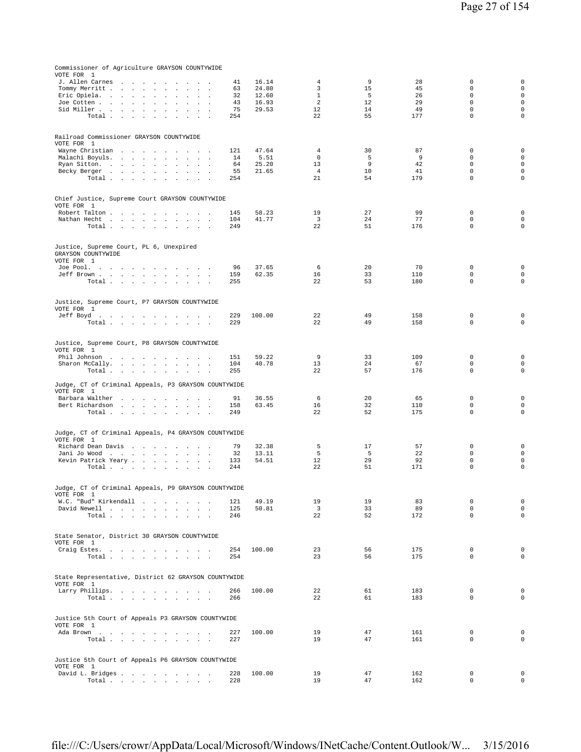| Commissioner of Agriculture GRAYSON COUNTYWIDE                   |            |                |                         |          |            |                            |                            |
|------------------------------------------------------------------|------------|----------------|-------------------------|----------|------------|----------------------------|----------------------------|
| VOTE FOR 1                                                       | 41         | 16.14          | 4                       | 9        | 28         | $\mathbf 0$                | $\mathbf 0$                |
| J. Allen Carnes<br>Tommy Merritt,                                | 63         | 24.80          | 3                       | 15       | 45         | $\mathbf 0$                | $\mathbf 0$                |
| Eric Opiela.<br><b>Carl Carl</b><br>$\sim$<br>$\mathbf{r}$       | 32         | 12.60          | $\mathbf{1}$            | 5        | 26         | $\mathbf 0$                | $\mathbf 0$                |
| Joe Cotten<br>$\sim$<br>$\sim$                                   | 43         | 16.93          | $\overline{a}$          | 12       | 29         | $\Omega$                   | $\mathbf 0$                |
| Sid Miller<br>$\sim$<br>$\sim$                                   | 75         | 29.53          | 12                      | 14       | 49         | $\mathbf 0$                | $\mathbf 0$                |
| Total $\cdots$ $\cdots$ $\cdots$<br>$\Delta\sim 10$<br>$\sim$    | 254        |                | 22                      | 55       | 177        | $\mathbf 0$                | 0                          |
|                                                                  |            |                |                         |          |            |                            |                            |
| Railroad Commissioner GRAYSON COUNTYWIDE<br>VOTE FOR 1           |            |                |                         |          |            |                            |                            |
| Wayne Christian                                                  | 121        | 47.64          | 4                       | 30       | 87         | $\mathbf 0$                | $\mathbf 0$                |
| Malachi Boyuls.                                                  | 14         | 5.51           | $\mathbf 0$             | 5        | 9          | $\mathbf 0$                | $\mathbf 0$                |
| Ryan Sitton.<br>$\sim$<br>$\mathbf{r}$<br>$\sim$                 | 64         | 25.20          | 13                      | 9        | 42         | $\mathbf 0$                | $\mathbf 0$                |
| Becky Berger<br>Total<br>$\sim$<br>$\sim$ $\sim$                 | 55<br>254  | 21.65          | $\overline{4}$<br>21    | 10<br>54 | 41<br>179  | $\mathbf 0$<br>$\mathbf 0$ | $\mathbf 0$<br>$\mathbf 0$ |
|                                                                  |            |                |                         |          |            |                            |                            |
| Chief Justice, Supreme Court GRAYSON COUNTYWIDE                  |            |                |                         |          |            |                            |                            |
| VOTE FOR 1                                                       |            |                |                         |          |            |                            |                            |
| Robert Talton                                                    | 145        | 58.23          | 19                      | 27       | 99         | $\mathbf 0$                | $\mathbf 0$                |
| Nathan Hecht                                                     | 104        | 41.77          | $\overline{\mathbf{3}}$ | 24       | 77         | $\Omega$                   | $\mathsf{O}\xspace$        |
| Total                                                            | 249        |                | 22                      | 51       | 176        | $\mathbf 0$                | $\mathbf 0$                |
|                                                                  |            |                |                         |          |            |                            |                            |
| Justice, Supreme Court, PL 6, Unexpired                          |            |                |                         |          |            |                            |                            |
| GRAYSON COUNTYWIDE<br>VOTE FOR 1                                 |            |                |                         |          |            |                            |                            |
| Joe Pool.                                                        | 96         | 37.65          | 6                       | 20       | 70         | $\mathbf 0$                | $\mathsf{O}\xspace$        |
| Jeff Brown                                                       | 159        | 62.35          | 16                      | 33       | 110        | $\mathbf 0$                | $\mathsf{O}\xspace$        |
| Total                                                            | 255        |                | 22                      | 53       | 180        | $\mathbf 0$                | 0                          |
|                                                                  |            |                |                         |          |            |                            |                            |
| Justice, Supreme Court, P7 GRAYSON COUNTYWIDE                    |            |                |                         |          |            |                            |                            |
| VOTE FOR 1                                                       | 229        | 100.00         | 22                      | 49       | 158        | $\mathbf 0$                | $\mathbf 0$                |
| Jeff Boyd.<br>Total                                              | 229        |                | 22                      | 49       | 158        | $\mathbf 0$                | $\mathbf 0$                |
|                                                                  |            |                |                         |          |            |                            |                            |
| Justice, Supreme Court, P8 GRAYSON COUNTYWIDE                    |            |                |                         |          |            |                            |                            |
| VOTE FOR 1                                                       |            |                |                         |          |            |                            |                            |
| Phil Johnson                                                     | 151        | 59.22          | 9                       | 33       | 109        | 0                          | $\mathbf 0$                |
| Sharon McCally.                                                  | 104        | 40.78          | 13                      | 24       | 67         | $\mathbf 0$                | $\mathbf 0$                |
| Total                                                            | 255        |                | 22                      | 57       | 176        | $\mathbf 0$                | $\mathsf{O}\xspace$        |
| Judge, CT of Criminal Appeals, P3 GRAYSON COUNTYWIDE             |            |                |                         |          |            |                            |                            |
| VOTE FOR 1                                                       |            |                |                         |          |            |                            |                            |
| Barbara Walther                                                  | 91         | 36.55          | 6                       | 20       | 65         | $\mathbf 0$                | $\mathbf 0$<br>$\mathbf 0$ |
| Bert Richardson<br>Total                                         | 158<br>249 | 63.45          | 16<br>22                | 32<br>52 | 110<br>175 | $\mathbf 0$<br>$\mathbf 0$ | $\mathbf 0$                |
|                                                                  |            |                |                         |          |            |                            |                            |
| Judge, CT of Criminal Appeals, P4 GRAYSON COUNTYWIDE             |            |                |                         |          |            |                            |                            |
| VOTE FOR 1                                                       |            |                |                         |          |            |                            |                            |
| Richard Dean Davis                                               | 79         | 32.38          | 5                       | 17       | 57         | $\mathbf 0$                | $\mathbf 0$                |
| Jani Jo Wood<br>Kevin Patrick Yeary.<br>$\sim$                   | 32         | 13.11<br>54.51 | 5<br>12                 | 5<br>29  | 22<br>92   | $\mathbf 0$<br>$\mathsf 0$ | $\mathbf 0$<br>$\mathbf 0$ |
| and the control of the state<br>Total<br><b>Service Control</b>  | 133<br>244 |                | 22                      | 51       | 171        | $\mathbf 0$                | $\mathbf 0$                |
|                                                                  |            |                |                         |          |            |                            |                            |
| Judge, CT of Criminal Appeals, P9 GRAYSON COUNTYWIDE             |            |                |                         |          |            |                            |                            |
| VOTE FOR 1                                                       |            |                |                         |          |            |                            |                            |
| W.C. "Bud" Kirkendall                                            | 121        | 49.19          | 19                      | 19       | 83         | $\mathbf 0$                | $\mathsf{O}\xspace$        |
| David Newell                                                     | 125        | 50.81          | $\overline{\mathbf{3}}$ | 33       | 89         | $\mathbf 0$                | $\mathsf{O}\xspace$        |
| Total                                                            | 246        |                | 22                      | 52       | 172        | $\Omega$                   | $\mathbf 0$                |
|                                                                  |            |                |                         |          |            |                            |                            |
| State Senator, District 30 GRAYSON COUNTYWIDE                    |            |                |                         |          |            |                            |                            |
| VOTE FOR 1<br>Craig Estes.                                       | 254        | 100.00         | 23                      | 56       | 175        | $\mathbf 0$                | $\mathbf 0$                |
| Total                                                            | 254        |                | 23                      | 56       | 175        | $\mathbf 0$                | $\mathbf 0$                |
|                                                                  |            |                |                         |          |            |                            |                            |
| State Representative, District 62 GRAYSON COUNTYWIDE             |            |                |                         |          |            |                            |                            |
| VOTE FOR 1                                                       |            |                |                         |          |            |                            |                            |
| Larry Phillips.                                                  | 266        | 100.00         | 22                      | 61       | 183        | $\mathbf 0$                | $\mathbf 0$                |
| Total                                                            | 266        |                | 22                      | 61       | 183        | $\Omega$                   | $\mathbf 0$                |
|                                                                  |            |                |                         |          |            |                            |                            |
| Justice 5th Court of Appeals P3 GRAYSON COUNTYWIDE               |            |                |                         |          |            |                            |                            |
| VOTE FOR 1                                                       |            |                |                         |          |            |                            |                            |
| Ada Brown<br>Total $\cdots$ $\cdots$<br><b>Contract Contract</b> | 227<br>227 | 100.00         | 19<br>19                | 47<br>47 | 161<br>161 | $\mathbb O$<br>$\mathbf 0$ | $\mathbf 0$<br>$\mathbf 0$ |
|                                                                  |            |                |                         |          |            |                            |                            |
|                                                                  |            |                |                         |          |            |                            |                            |
| Justice 5th Court of Appeals P6 GRAYSON COUNTYWIDE<br>VOTE FOR 1 |            |                |                         |          |            |                            |                            |
| David L. Bridges                                                 | 228        | 100.00         | 19                      | 47       | 162        | $\mathbb O$                | $\mathbf 0$                |
| Total                                                            | 228        |                | 19                      | 47       | 162        | $\mathbf 0$                | $\mathbf 0$                |
|                                                                  |            |                |                         |          |            |                            |                            |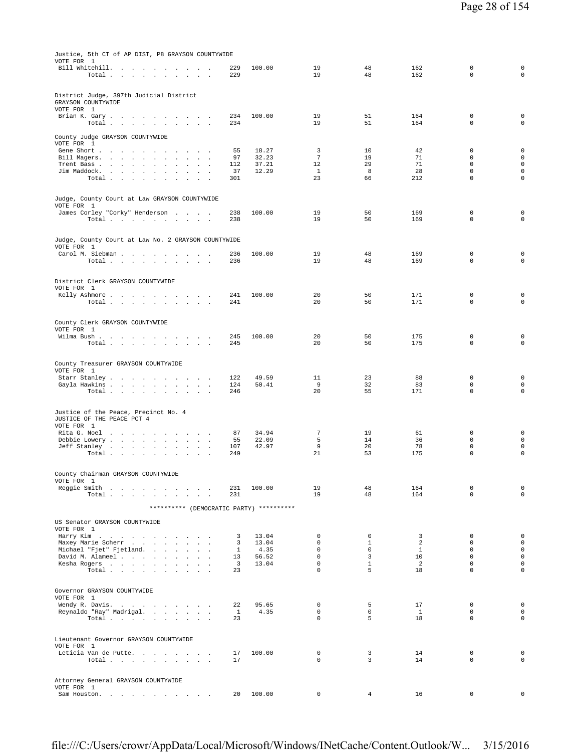| Justice, 5th CT of AP DIST, P8 GRAYSON COUNTYWIDE<br>VOTE FOR 1                                                                                           |                         |                |                            |                  |                    |                            |                                    |
|-----------------------------------------------------------------------------------------------------------------------------------------------------------|-------------------------|----------------|----------------------------|------------------|--------------------|----------------------------|------------------------------------|
| Bill Whitehill.<br>Total                                                                                                                                  | 229<br>229              | 100.00         | 19<br>19                   | 48<br>48         | 162<br>162         | 0<br>$\mathbf 0$           | $\mathbf 0$<br>$\mathsf 0$         |
| District Judge, 397th Judicial District<br>GRAYSON COUNTYWIDE<br>VOTE FOR 1                                                                               |                         |                |                            |                  |                    |                            |                                    |
| Brian K. Gary.<br>Total                                                                                                                                   | 234<br>234              | 100.00         | 19<br>19                   | 51<br>51         | 164<br>164         | $\mathbf 0$<br>$\mathbf 0$ | $\mathsf 0$<br>$\mathbf 0$         |
| County Judge GRAYSON COUNTYWIDE<br>VOTE FOR 1                                                                                                             |                         |                |                            |                  |                    |                            |                                    |
| Gene Short                                                                                                                                                | 55<br>97                | 18.27<br>32.23 | 3<br>$7\phantom{.0}$       | 10<br>19         | 42<br>71           | 0<br>$\mathbf 0$           | $\mathsf 0$<br>$\mathsf 0$         |
| Bill Magers.<br>the company of the company of<br>$\cdot$<br>Trent Bass<br>$\cdot$<br>$\overline{a}$                                                       | 112                     | 37.21          | 12                         | 29               | 71                 | $\mathbf 0$                | $\mathsf 0$                        |
| Jim Maddock.<br>$\cdot$                                                                                                                                   | 37                      | 12.29          | $\mathbf{1}$               | 8                | 28                 | $\mathbf 0$<br>$\mathbf 0$ | $\mathbf 0$<br>$\mathsf 0$         |
| Total<br>$\sim$<br>$\cdot$<br>$\ddot{\phantom{a}}$<br>$\ddot{\phantom{a}}$                                                                                | 301                     |                | 23                         | 66               | 212                |                            |                                    |
| Judge, County Court at Law GRAYSON COUNTYWIDE<br>VOTE FOR 1                                                                                               |                         |                |                            |                  |                    |                            |                                    |
| James Corley "Corky" Henderson<br>Total                                                                                                                   | 238<br>238              | 100.00         | 19<br>19                   | 50<br>50         | 169<br>169         | $\mathbf 0$<br>$\mathbf 0$ | 0<br>$\mathbf 0$                   |
| Judge, County Court at Law No. 2 GRAYSON COUNTYWIDE                                                                                                       |                         |                |                            |                  |                    |                            |                                    |
| VOTE FOR 1<br>Carol M. Siebman                                                                                                                            | 236                     | 100.00         | 19                         | 48               | 169                | $\mathbf 0$                | 0                                  |
| Total<br>the control of the state<br>$\ddot{\phantom{a}}$<br>$\ddot{\phantom{a}}$                                                                         | 236                     |                | 19                         | 48               | 169                | $\mathbf 0$                | $\mathsf 0$                        |
| District Clerk GRAYSON COUNTYWIDE                                                                                                                         |                         |                |                            |                  |                    |                            |                                    |
| VOTE FOR 1<br>Kelly Ashmore<br>the contract of the con-                                                                                                   | 241                     | 100.00         | 20                         | 50               | 171                | $\mathbf 0$                | 0                                  |
| Total $\cdots$ $\cdots$<br>the contract of the contract of                                                                                                | 241                     |                | 20                         | 50               | 171                | $\mathbf 0$                | $\mathbf 0$                        |
| County Clerk GRAYSON COUNTYWIDE<br>VOTE FOR 1                                                                                                             |                         |                |                            |                  |                    |                            |                                    |
| Wilma Bush                                                                                                                                                | 245                     | 100.00         | 20                         | 50               | 175                | $\mathbf 0$                | $\mathsf 0$                        |
| Total<br>$\sim$ 10 $\pm$<br>the contract of the state                                                                                                     | 245                     |                | 20                         | 50               | 175                | $\mathbf 0$                | $\mathbf 0$                        |
| County Treasurer GRAYSON COUNTYWIDE<br>VOTE FOR 1                                                                                                         |                         |                |                            |                  |                    |                            |                                    |
| Starr Stanley                                                                                                                                             | 122                     | 49.59          | 11                         | 23               | 88                 | $\mathbf 0$                | $\mathsf 0$                        |
| Gayla Hawkins<br>$\sim$ $\sim$<br>$\sim$<br>Total                                                                                                         | 124<br>246              | 50.41          | 9<br>20                    | 32<br>55         | 83<br>171          | $\mathbf 0$<br>0           | $\mathsf 0$<br>$\mathsf 0$         |
|                                                                                                                                                           |                         |                |                            |                  |                    |                            |                                    |
| Justice of the Peace, Precinct No. 4<br>JUSTICE OF THE PEACE PCT 4<br>VOTE FOR 1                                                                          |                         |                |                            |                  |                    |                            |                                    |
| Rita G. Noel<br>and the company of the state<br>$\ddot{\phantom{1}}$                                                                                      | 87                      | 34.94          | 7                          | 19               | 61                 | $\mathbf 0$                | 0                                  |
| Debbie Lowery<br>$\mathbf{z} = \mathbf{z}$<br>Jeff Stanley .                                                                                              | 55                      | 22.09<br>42.97 | 5<br>9                     | 14<br>20         | 36<br>78           | $\mathbf 0$<br>$\mathsf 0$ | $\mathsf 0$<br>$\mathsf{O}\xspace$ |
| $\sim 10^{-11}$<br>the contract of the con-<br>$\sim$<br>$\sim$<br>$\cdot$<br>$\ddot{\phantom{1}}$<br>Total .<br>the contract of the contract of the con- | 107<br>249              |                | 21                         | 53               | 175                | $\mathbf 0$                | 0                                  |
| County Chairman GRAYSON COUNTYWIDE                                                                                                                        |                         |                |                            |                  |                    |                            |                                    |
| VOTE FOR 1<br>Reggie Smith                                                                                                                                | 231                     | 100.00         | 19                         | 48               | 164                | $\mathbf 0$                | $\mathsf 0$                        |
| Total .<br>$\sim$<br>and the company of the state                                                                                                         | 231                     |                | 19                         | 48               | 164                | $\mathbf 0$                | $\mathsf 0$                        |
| ********** (DEMOCRATIC PARTY) **********                                                                                                                  |                         |                |                            |                  |                    |                            |                                    |
| US Senator GRAYSON COUNTYWIDE                                                                                                                             |                         |                |                            |                  |                    |                            |                                    |
| VOTE FOR 1<br>Harry Kim                                                                                                                                   | 3                       | 13.04          | $\mathbf 0$                | $\mathbf 0$      | 3                  | $\mathbf 0$                | $\mathsf 0$                        |
| Maxey Marie Scherr                                                                                                                                        | 3                       | 13.04          | $\mathbf 0$                | $\mathbf{1}$     | 2                  | $\mathbf 0$                | $\mathsf 0$                        |
| Michael "Fjet" Fjetland.<br>David M. Alameel                                                                                                              | 1<br>13                 | 4.35<br>56.52  | $\mathbf 0$<br>$\mathbf 0$ | $\mathbf 0$<br>3 | $\mathbf{1}$<br>10 | $\mathbf 0$<br>$\mathbf 0$ | $\mathsf 0$<br>$\mathsf{O}$        |
| Kesha Rogers                                                                                                                                              | $\overline{\mathbf{3}}$ | 13.04          | $\mathsf 0$                | $\mathbf{1}$     | 2                  | $\mathbf 0$                | $\mathsf 0$                        |
| Total                                                                                                                                                     | 23                      |                | $\mathbf 0$                | 5                | 18                 | $\Omega$                   | $\mathsf 0$                        |
| Governor GRAYSON COUNTYWIDE<br>VOTE FOR 1                                                                                                                 |                         |                |                            |                  |                    |                            |                                    |
| Wendy R. Davis.                                                                                                                                           | 22                      | 95.65          | 0                          | 5                | 17                 | $\mathbf 0$                | $\mathsf 0$                        |
| Reynaldo "Ray" Madrigal.<br>Total                                                                                                                         | $\mathbf{1}$<br>23      | 4.35           | $\mathbf 0$<br>$\mathbf 0$ | 0<br>5           | $\mathbf{1}$<br>18 | $\mathbf 0$<br>$\Omega$    | $\mathsf 0$<br>$\mathbf 0$         |
| Lieutenant Governor GRAYSON COUNTYWIDE                                                                                                                    |                         |                |                            |                  |                    |                            |                                    |
| VOTE FOR 1<br>Leticia Van de Putte                                                                                                                        | 17                      | 100.00         | $\mathbf 0$                | 3                | 14                 | $\mathbf 0$                | $\mathsf 0$                        |
| Total<br><b>Carl Carl Carl</b>                                                                                                                            | 17                      |                | $\mathbf 0$                | 3                | 14                 | $\mathbf 0$                | 0                                  |
| Attorney General GRAYSON COUNTYWIDE                                                                                                                       |                         |                |                            |                  |                    |                            |                                    |
| VOTE FOR 1<br>Sam Houston.<br>the company of the company of the company of                                                                                | 20                      | 100.00         | 0                          | $\overline{4}$   | 16                 | $\mathbf 0$                | 0                                  |
|                                                                                                                                                           |                         |                |                            |                  |                    |                            |                                    |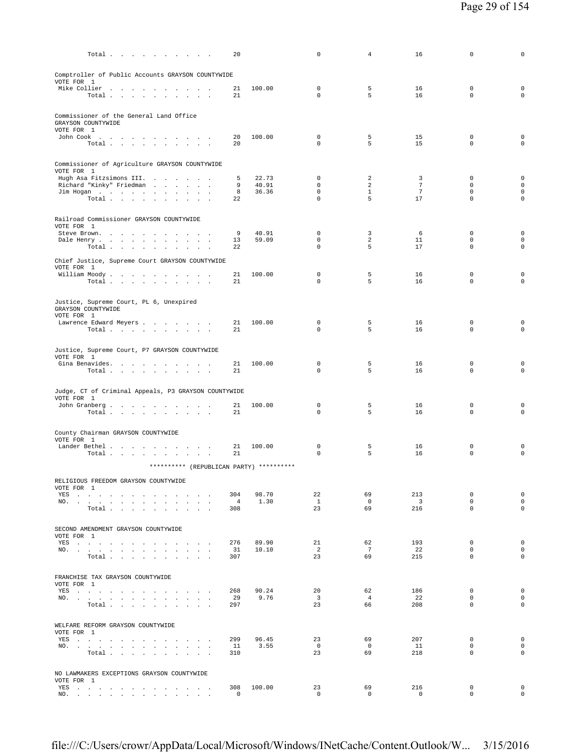| Total                                                                                                                                                                                                                                        | 20                    |                | 0                          | 4              | 16                             | 0                          | 0                          |
|----------------------------------------------------------------------------------------------------------------------------------------------------------------------------------------------------------------------------------------------|-----------------------|----------------|----------------------------|----------------|--------------------------------|----------------------------|----------------------------|
| Comptroller of Public Accounts GRAYSON COUNTYWIDE                                                                                                                                                                                            |                       |                |                            |                |                                |                            |                            |
| VOTE FOR 1                                                                                                                                                                                                                                   |                       |                |                            |                |                                |                            |                            |
| Mike Collier<br>Total                                                                                                                                                                                                                        | 21<br>21              | 100.00         | $\mathbf 0$<br>$\Omega$    | 5<br>5         | 16<br>16                       | $\mathbf 0$<br>$\mathbf 0$ | $\mathsf 0$<br>$\circ$     |
|                                                                                                                                                                                                                                              |                       |                |                            |                |                                |                            |                            |
| Commissioner of the General Land Office<br>GRAYSON COUNTYWIDE                                                                                                                                                                                |                       |                |                            |                |                                |                            |                            |
| VOTE FOR 1<br>John Cook $\qquad \qquad . \qquad . \qquad . \qquad . \qquad . \qquad . \qquad . \qquad .$                                                                                                                                     | 20                    | 100.00         | $\Omega$                   | 5              | 15                             | $\mathbf 0$                | $\mathbf 0$                |
| Total $\cdots$ $\cdots$ $\cdots$                                                                                                                                                                                                             | 20                    |                | $\Omega$                   | 5              | 15                             | $\mathbf 0$                | $\mathbf 0$                |
|                                                                                                                                                                                                                                              |                       |                |                            |                |                                |                            |                            |
| Commissioner of Agriculture GRAYSON COUNTYWIDE<br>VOTE FOR 1                                                                                                                                                                                 |                       |                |                            |                |                                |                            |                            |
| Hugh Asa Fitzsimons III.<br>Richard "Kinky" Friedman                                                                                                                                                                                         | 5<br>9                | 22.73<br>40.91 | $\mathbf 0$<br>$\mathbf 0$ | 2<br>2         | 3<br>7                         | $\mathbf 0$<br>$\mathbf 0$ | $\mathbf 0$<br>$\mathbf 0$ |
| Jim Hogan                                                                                                                                                                                                                                    | 8                     | 36.36          | $\mathbf 0$                | $\mathbf{1}$   | 7                              | $\mathbf 0$                | $\mathbf 0$                |
| Total $\ldots$ $\ldots$ $\ldots$ $\ldots$                                                                                                                                                                                                    | 22                    |                | $\mathbf 0$                | 5              | 17                             | $\mathbf 0$                | $\circ$                    |
| Railroad Commissioner GRAYSON COUNTYWIDE                                                                                                                                                                                                     |                       |                |                            |                |                                |                            |                            |
| VOTE FOR 1<br>Steve Brown.<br><b>Contract Contract</b>                                                                                                                                                                                       | 9                     | 40.91          | $\mathbf 0$                | 3              | 6                              | $\mathbf 0$                | $\mathbf 0$                |
| Dale Henry                                                                                                                                                                                                                                   | 13                    | 59.09          | $\mathbf 0$                | 2              | 11                             | $\mathbf 0$                | $\mathbf 0$                |
| Total<br>$\sim$ $\sim$                                                                                                                                                                                                                       | 22                    |                | $\mathbf 0$                | 5              | 17                             | 0                          | $\mathsf 0$                |
| Chief Justice, Supreme Court GRAYSON COUNTYWIDE                                                                                                                                                                                              |                       |                |                            |                |                                |                            |                            |
| VOTE FOR 1<br>William Moody.                                                                                                                                                                                                                 | 21                    | 100.00         | $\mathbf 0$                | 5              | 16                             | $\mathbf 0$                | $\mathsf 0$                |
| Total                                                                                                                                                                                                                                        | 21                    |                | 0                          | 5              | 16                             | $\mathbf 0$                | $\mathbf 0$                |
| Justice, Supreme Court, PL 6, Unexpired                                                                                                                                                                                                      |                       |                |                            |                |                                |                            |                            |
| GRAYSON COUNTYWIDE                                                                                                                                                                                                                           |                       |                |                            |                |                                |                            |                            |
| VOTE FOR 1<br>Lawrence Edward Meyers                                                                                                                                                                                                         | 21                    | 100.00         | 0                          | 5              | 16                             | 0                          | $\mathbf 0$                |
| Total                                                                                                                                                                                                                                        | 21                    |                | 0                          | 5              | 16                             | $\mathbf 0$                | $\circ$                    |
| Justice, Supreme Court, P7 GRAYSON COUNTYWIDE                                                                                                                                                                                                |                       |                |                            |                |                                |                            |                            |
| VOTE FOR 1                                                                                                                                                                                                                                   |                       |                |                            |                |                                |                            |                            |
| Gina Benavides.<br>Total                                                                                                                                                                                                                     | 21<br>21              | 100.00         | $\mathbf 0$<br>$\Omega$    | 5<br>5         | 16<br>16                       | $\mathbf 0$<br>$\mathbf 0$ | $\mathsf 0$<br>$\circ$     |
|                                                                                                                                                                                                                                              |                       |                |                            |                |                                |                            |                            |
| Judge, CT of Criminal Appeals, P3 GRAYSON COUNTYWIDE<br>VOTE FOR 1                                                                                                                                                                           |                       |                |                            |                |                                |                            |                            |
| John Granberg                                                                                                                                                                                                                                | 21                    | 100.00         | 0                          | 5              | 16                             | 0                          | 0                          |
| Total $\cdots$ $\cdots$ $\cdots$ $\cdots$                                                                                                                                                                                                    | 21                    |                | 0                          | 5              | 16                             | $\mathbf 0$                | $\circ$                    |
| County Chairman GRAYSON COUNTYWIDE                                                                                                                                                                                                           |                       |                |                            |                |                                |                            |                            |
| VOTE FOR 1<br>Lander Bethel                                                                                                                                                                                                                  | 21                    | 100.00         | 0                          | 5              | 16                             | 0                          | 0                          |
| Total                                                                                                                                                                                                                                        | 21                    |                | $\mathbf 0$                | 5              | 16                             | $\mathbf 0$                | $\mathsf 0$                |
| ********** (REPUBLICAN PARTY) **********                                                                                                                                                                                                     |                       |                |                            |                |                                |                            |                            |
| RELIGIOUS FREEDOM GRAYSON COUNTYWIDE                                                                                                                                                                                                         |                       |                |                            |                |                                |                            |                            |
| VOTE FOR 1<br>YES a contract of the contract of the contract of the set of the set of the set of the set of the set of the set of the set of the set of the set of the set of the set of the set of the set of the set of the set of the set | 304                   | 98.70          | 22                         | 69             | 213                            | 0                          | $\mathsf 0$                |
| NO.<br>Total                                                                                                                                                                                                                                 | $\overline{4}$<br>308 | 1.30           | $\mathbf{1}$<br>23         | $\circ$<br>69  | $\overline{\mathbf{3}}$<br>216 | $\Omega$<br>$\Omega$       | $\mathbf 0$<br>$\mathbf 0$ |
|                                                                                                                                                                                                                                              |                       |                |                            |                |                                |                            |                            |
| SECOND AMENDMENT GRAYSON COUNTYWIDE                                                                                                                                                                                                          |                       |                |                            |                |                                |                            |                            |
| VOTE FOR 1<br>YES a contract of the contract of the contract of the set of the set of the set of the set of the set of the set of the set of the set of the set of the set of the set of the set of the set of the set of the set of the set | 276                   | 89.90          | 21                         | 62             | 193                            | $\mathbf 0$                | $\mathbf 0$                |
| NO.                                                                                                                                                                                                                                          | 31                    | 10.10          | 2                          | 7              | 22                             | $\Omega$                   | $\mathbf 0$                |
| Total                                                                                                                                                                                                                                        | 307                   |                | 23                         | 69             | 215                            | $\mathbf 0$                | $\mathbf 0$                |
| FRANCHISE TAX GRAYSON COUNTYWIDE                                                                                                                                                                                                             |                       |                |                            |                |                                |                            |                            |
| VOTE FOR 1<br>YES and a contract the contract of the state of the state of the state of the state of the state of the state of the state of the state of the state of the state of the state of the state of the state of the state of the s | 268                   | 90.24          | 20                         | 62             | 186                            | $\mathbf 0$                | $\mathbf 0$                |
| NO.                                                                                                                                                                                                                                          | 29                    | 9.76           | $\overline{3}$             | $\overline{4}$ | 22                             | $\mathbf 0$                | $\mathbf 0$                |
| Total                                                                                                                                                                                                                                        | 297                   |                | 23                         | 66             | 208                            | $\mathbf 0$                | $\circ$                    |
| WELFARE REFORM GRAYSON COUNTYWIDE                                                                                                                                                                                                            |                       |                |                            |                |                                |                            |                            |
| VOTE FOR 1<br>YES<br>$\sim$                                                                                                                                                                                                                  | 299                   | 96.45          | 23                         | 69             | 207                            | $^{\circ}$                 | $\mathbf 0$                |
| NO.                                                                                                                                                                                                                                          | 11                    | 3.55           | $\overline{0}$             | $\circ$        | 11                             | 0                          | $\mathbf 0$                |
| Total                                                                                                                                                                                                                                        | 310                   |                | 23                         | 69             | 218                            | $\mathbf 0$                | $\circ$                    |
| NO LAWMAKERS EXCEPTIONS GRAYSON COUNTYWIDE                                                                                                                                                                                                   |                       |                |                            |                |                                |                            |                            |
| VOTE FOR 1<br>YES a contract of the contract of the contract of the set of the set of the set of the set of the set of the set of the set of the set of the set of the set of the set of the set of the set of the set of the set of the set | 308                   | 100.00         | 23                         | 69             | 216                            | 0                          | $\mathbf 0$                |
| NO.                                                                                                                                                                                                                                          | 0                     |                | $\mathbf 0$                | $\mathbf 0$    | $\mathbf 0$                    | $\mathsf 0$                | $\mathsf{O}\xspace$        |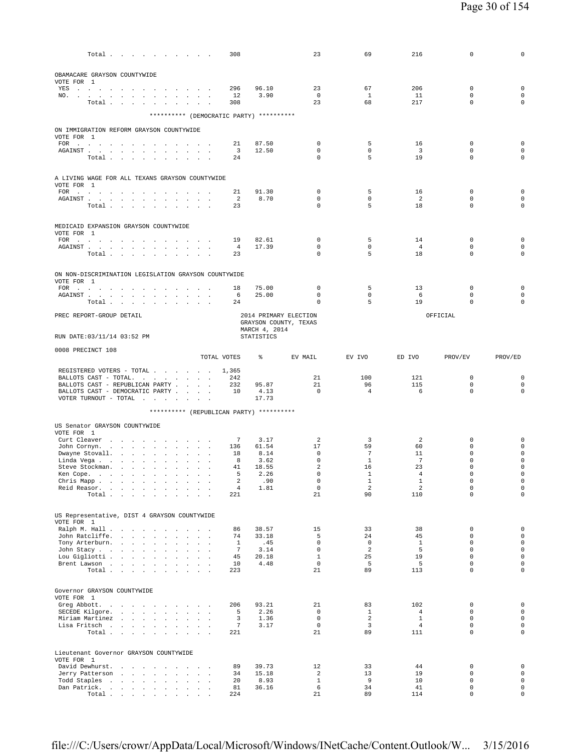|                   | Total                                                                                                                                                                                                                                 |        |                           |                            |                      | 308                           |                                          | 23                           | 69                            | 216                           | 0                          | 0                                          |
|-------------------|---------------------------------------------------------------------------------------------------------------------------------------------------------------------------------------------------------------------------------------|--------|---------------------------|----------------------------|----------------------|-------------------------------|------------------------------------------|------------------------------|-------------------------------|-------------------------------|----------------------------|--------------------------------------------|
|                   |                                                                                                                                                                                                                                       |        |                           |                            |                      |                               |                                          |                              |                               |                               |                            |                                            |
| VOTE FOR 1        | OBAMACARE GRAYSON COUNTYWIDE                                                                                                                                                                                                          |        |                           |                            |                      |                               |                                          |                              |                               |                               |                            |                                            |
|                   | YES a contract of the contract of the state of the state of the state of the state of the state of the state of the state of the state of the state of the state of the state of the state of the state of the state of the st<br>NO. |        |                           |                            |                      | 296<br>12                     | 96.10<br>3.90                            | 23<br>$\overline{0}$         | 67<br><sup>1</sup>            | 206<br>11                     | $\mathbf 0$<br>$\mathbf 0$ | $\mathbf 0$<br>0                           |
|                   | Total                                                                                                                                                                                                                                 |        |                           |                            |                      | 308                           |                                          | 23                           | 68                            | 217                           | $\Omega$                   | $\mathbf 0$                                |
|                   |                                                                                                                                                                                                                                       |        |                           |                            |                      |                               | ********** (DEMOCRATIC PARTY) ********** |                              |                               |                               |                            |                                            |
|                   | ON IMMIGRATION REFORM GRAYSON COUNTYWIDE                                                                                                                                                                                              |        |                           |                            |                      |                               |                                          |                              |                               |                               |                            |                                            |
| VOTE FOR 1        | FOR                                                                                                                                                                                                                                   |        |                           |                            |                      | 21                            | 87.50                                    | $\mathbf 0$                  | 5                             | 16                            | $\mathbf 0$                | $\mathbf 0$                                |
|                   | AGAINST<br>Total                                                                                                                                                                                                                      |        |                           | $\sim 10^{-1}$             |                      | $\overline{\mathbf{3}}$<br>24 | 12.50                                    | $\mathbf 0$<br>$\mathbf 0$   | $\Omega$<br>5                 | $\overline{\mathbf{3}}$<br>19 | $\mathbf 0$<br>0           | $\mathbf 0$<br>$\mathbf 0$                 |
|                   |                                                                                                                                                                                                                                       |        |                           |                            |                      |                               |                                          |                              |                               |                               |                            |                                            |
| VOTE FOR 1        | A LIVING WAGE FOR ALL TEXANS GRAYSON COUNTYWIDE                                                                                                                                                                                       |        |                           |                            |                      |                               |                                          |                              |                               |                               |                            |                                            |
|                   |                                                                                                                                                                                                                                       |        |                           |                            |                      | 21                            | 91.30                                    | $\mathbf 0$                  | 5                             | 16                            | $\mathbf 0$                | $\mathbf 0$                                |
|                   | Total                                                                                                                                                                                                                                 |        |                           |                            |                      | 2<br>23                       | 8.70                                     | $\mathbf 0$<br>$\mathbf 0$   | $\mathbf 0$<br>5              | 2<br>18                       | $\mathbf 0$<br>0           | $\mathbf 0$<br>$\mathbf 0$                 |
|                   |                                                                                                                                                                                                                                       |        |                           |                            |                      |                               |                                          |                              |                               |                               |                            |                                            |
| VOTE FOR 1        | MEDICAID EXPANSION GRAYSON COUNTYWIDE                                                                                                                                                                                                 |        |                           |                            |                      |                               |                                          |                              |                               |                               |                            |                                            |
|                   | FOR<br>AGAINST                                                                                                                                                                                                                        |        |                           | $\ddot{\phantom{a}}$       | $\sim$ $\sim$ $\sim$ | 19<br>$\overline{4}$          | 82.61<br>17.39                           | $\mathbf 0$<br>$\mathbf 0$   | 5<br>$\mathbf 0$              | 14<br>$\overline{4}$          | 0<br>$\mathbf 0$           | $\mathbf 0$<br>$\mathbf 0$                 |
|                   | Total                                                                                                                                                                                                                                 |        |                           |                            |                      | 23                            |                                          | $\mathbf 0$                  | 5                             | 18                            | $\mathbf 0$                | 0                                          |
|                   |                                                                                                                                                                                                                                       |        |                           |                            |                      |                               |                                          |                              |                               |                               |                            |                                            |
| VOTE FOR 1        | ON NON-DISCRIMINATION LEGISLATION GRAYSON COUNTYWIDE                                                                                                                                                                                  |        |                           |                            |                      |                               |                                          |                              |                               |                               |                            |                                            |
|                   | FOR $\cdots$<br>AGAINST                                                                                                                                                                                                               |        |                           |                            |                      | 18<br>6                       | 75.00<br>25.00                           | 0<br>$\mathbf 0$             | 5<br>$\mathbf 0$              | 13<br>- 6                     | 0<br>$\mathbf 0$           | $\mathbf 0$<br>$\mathbf 0$                 |
|                   | Total                                                                                                                                                                                                                                 |        |                           |                            |                      | 24                            |                                          | 0                            | 5                             | 19                            | 0                          | $\mathbf 0$                                |
|                   | PREC REPORT-GROUP DETAIL                                                                                                                                                                                                              |        |                           |                            |                      |                               |                                          | 2014 PRIMARY ELECTION        |                               |                               | OFFICIAL                   |                                            |
|                   |                                                                                                                                                                                                                                       |        |                           |                            |                      |                               | MARCH 4, 2014                            | GRAYSON COUNTY, TEXAS        |                               |                               |                            |                                            |
|                   | RUN DATE: 03/11/14 03:52 PM                                                                                                                                                                                                           |        |                           |                            |                      |                               | <b>STATISTICS</b>                        |                              |                               |                               |                            |                                            |
| 0008 PRECINCT 108 |                                                                                                                                                                                                                                       |        |                           |                            |                      | TOTAL VOTES                   | ⊱                                        | EV MAIL                      | EV IVO                        | ED IVO                        | PROV/EV                    | PROV/ED                                    |
|                   |                                                                                                                                                                                                                                       |        |                           |                            |                      |                               |                                          |                              |                               |                               |                            |                                            |
|                   |                                                                                                                                                                                                                                       |        |                           |                            |                      |                               |                                          |                              |                               |                               |                            |                                            |
|                   | REGISTERED VOTERS - TOTAL<br>BALLOTS CAST - TOTAL.                                                                                                                                                                                    |        |                           |                            |                      | 1,365<br>242                  |                                          | 21                           | 100                           | 121                           | $\mathbf 0$                | 0                                          |
|                   | BALLOTS CAST - REPUBLICAN PARTY<br>BALLOTS CAST - DEMOCRATIC PARTY                                                                                                                                                                    |        |                           |                            |                      | 232<br>10                     | 95.87<br>4.13                            | 21<br>$\overline{0}$         | 96<br>$\overline{4}$          | 115<br>6                      | $\mathbf 0$<br>0           | $\mathbf 0$<br>0                           |
|                   | VOTER TURNOUT - TOTAL $\ldots$                                                                                                                                                                                                        |        |                           |                            |                      |                               | 17.73                                    |                              |                               |                               |                            |                                            |
|                   |                                                                                                                                                                                                                                       |        |                           |                            |                      |                               | ********** (REPUBLICAN PARTY) ********** |                              |                               |                               |                            |                                            |
|                   | US Senator GRAYSON COUNTYWIDE                                                                                                                                                                                                         |        |                           |                            |                      |                               |                                          |                              |                               |                               |                            |                                            |
| VOTE FOR 1        | Curt Cleaver                                                                                                                                                                                                                          |        |                           | <b>Contractor</b>          |                      | 7                             | 3.17                                     | $\overline{a}$               | 3                             | $\overline{a}$                | $\mathbb O$                | 0                                          |
|                   | John Cornyn.<br>Dwayne Stovall.                                                                                                                                                                                                       |        |                           |                            |                      | 136<br>18                     | 61.54<br>8.14                            | 17<br>$\mathbf 0$            | 59<br>7                       | 60<br>11                      | $\Omega$<br>0              | 0<br>0                                     |
|                   | Linda Vega                                                                                                                                                                                                                            |        | $\sim$                    | $\blacksquare$             |                      | 8                             | 3.62                                     | $\mathbf 0$                  | $\mathbf{1}$                  | 7                             | 0                          | $\mathsf{O}\xspace$                        |
|                   | Steve Stockman.                                                                                                                                                                                                                       |        | $\sim 10^{-1}$ km $^{-1}$ | $\sim$                     | $\ddot{\phantom{a}}$ | 41<br>-5                      | 18.55<br>2.26                            | $\overline{2}$<br>$\Omega$   | 16<br>$\mathbf{1}$            | 23<br>4                       | $\mathbf 0$<br>$\Omega$    | $\mathsf 0$<br>$\mathbf 0$                 |
|                   | Ken Cope.<br>Chris Mapp                                                                                                                                                                                                               |        |                           | $\ddot{\phantom{a}}$       |                      | 2                             | .90                                      | $\mathbf 0$                  | $\mathbf{1}$                  | $\mathbf{1}$                  | $\mathbf 0$                | $\circ$                                    |
|                   | Reid Reasor.<br>Total $\cdots$ $\cdots$ $\cdots$                                                                                                                                                                                      |        |                           | $\sim$<br>$\sim$<br>$\sim$ | $\mathbf{r}$         | $\overline{4}$<br>221         | 1.81                                     | $\mathbf 0$<br>21            | 2<br>90                       | $\overline{a}$<br>110         | $\mathbf 0$<br>$\mathbf 0$ | $\mathsf{O}\xspace$<br>$\mathbf 0$         |
|                   |                                                                                                                                                                                                                                       |        |                           |                            |                      |                               |                                          |                              |                               |                               |                            |                                            |
| VOTE FOR 1        | US Representative, DIST 4 GRAYSON COUNTYWIDE                                                                                                                                                                                          |        |                           |                            |                      |                               |                                          |                              |                               |                               |                            |                                            |
|                   | Ralph M. Hall                                                                                                                                                                                                                         |        |                           | <b>Contract Contract</b>   |                      | 86                            | 38.57                                    | 15                           | 33                            | 38                            | $\Omega$                   | $\mathbf 0$                                |
|                   | John Ratcliffe.<br>Tony Arterburn.                                                                                                                                                                                                    | $\sim$ | $\sim$                    | $\ddot{\phantom{a}}$       |                      | 74<br>$\mathbf{1}$            | 33.18<br>.45                             | 5<br>$\mathbf{0}$            | 24<br>$\mathbf 0$             | 45<br>$\mathbf{1}$            | $\mathbf 0$<br>$\mathbf 0$ | $\circ$<br>$\circ$                         |
|                   | John Stacy                                                                                                                                                                                                                            |        |                           |                            |                      | $7\phantom{.0}$               | 3.14                                     | $\mathbf{0}$                 | $\overline{a}$                | 5                             | $\Omega$                   | $\mathsf{O}\xspace$                        |
|                   | Lou Gigliotti<br>Brent Lawson                                                                                                                                                                                                         |        |                           |                            |                      | 45<br>10                      | 20.18<br>4.48                            | $\mathbf{1}$<br>$\mathbf{0}$ | 25<br>5                       | 19<br>5                       | $\mathbf 0$<br>$\Omega$    | $\mathsf{O}\xspace$<br>$\mathsf{O}\xspace$ |
|                   | Total                                                                                                                                                                                                                                 |        |                           |                            |                      | 223                           |                                          | 21                           | 89                            | 113                           | $\Omega$                   | $\mathbf 0$                                |
|                   |                                                                                                                                                                                                                                       |        |                           |                            |                      |                               |                                          |                              |                               |                               |                            |                                            |
| VOTE FOR 1        | Governor GRAYSON COUNTYWIDE                                                                                                                                                                                                           |        |                           |                            |                      |                               |                                          |                              |                               |                               |                            |                                            |
| SECEDE Kilgore.   | Greg Abbott.<br>the contract of the contract of the                                                                                                                                                                                   |        |                           |                            |                      | 206<br>5                      | 93.21<br>2.26                            | 21<br>$\Omega$               | 83<br>$\mathbf{1}$            | 102<br>$\overline{4}$         | $\mathbf 0$<br>$\Omega$    | $\mathbf 0$<br>$\circ$                     |
|                   | Miriam Martinez                                                                                                                                                                                                                       |        |                           |                            |                      | 3                             | 1.36                                     | $^{\circ}$                   | 2                             | $\mathbf{1}$                  | $\mathbf 0$                | $\mathsf{O}\xspace$                        |
|                   | Lisa Fritsch<br>Total                                                                                                                                                                                                                 |        |                           | <b>Service Control</b>     |                      | $\tau$<br>221                 | 3.17                                     | $\circ$<br>21                | $\overline{\mathbf{3}}$<br>89 | $\overline{4}$<br>111         | $\mathbf 0$<br>$\mathbf 0$ | $\mathsf{O}\xspace$<br>$\mathbf 0$         |
|                   |                                                                                                                                                                                                                                       |        |                           |                            |                      |                               |                                          |                              |                               |                               |                            |                                            |
| VOTE FOR 1        | Lieutenant Governor GRAYSON COUNTYWIDE                                                                                                                                                                                                |        |                           |                            |                      |                               |                                          |                              |                               |                               |                            |                                            |
|                   | David Dewhurst.                                                                                                                                                                                                                       |        |                           |                            |                      | 89                            | 39.73                                    | 12                           | 33                            | 44                            | 0                          | 0                                          |
|                   | Jerry Patterson<br>Todd Staples                                                                                                                                                                                                       |        |                           | $\sim$                     | $\sim$ $\sim$        | 34<br>20                      | 15.18<br>8.93                            | 2<br>$\mathbf{1}$            | 13<br>$\overline{9}$          | 19<br>10                      | $\mathbf 0$<br>$\mathbf 0$ | $\circ$<br>$\circ$                         |
|                   | Dan Patrick.<br>Total                                                                                                                                                                                                                 |        |                           |                            |                      | 81<br>224                     | 36.16                                    | 6<br>21                      | 34<br>89                      | 41<br>114                     | $\mathbf 0$<br>$\mathbf 0$ | $\mathsf{O}\xspace$<br>$\mathbf 0$         |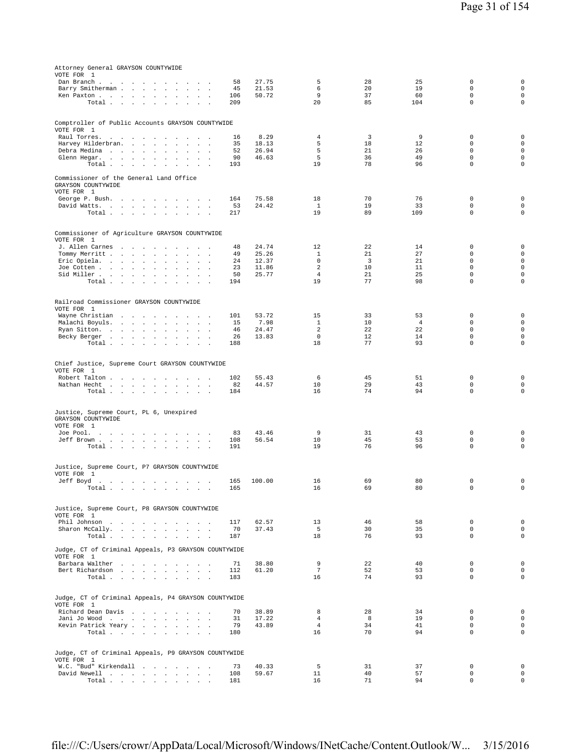| Attorney General GRAYSON COUNTYWIDE                                                                                                                   |            |                |                       |          |                      |                             |                            |
|-------------------------------------------------------------------------------------------------------------------------------------------------------|------------|----------------|-----------------------|----------|----------------------|-----------------------------|----------------------------|
| VOTE FOR 1                                                                                                                                            |            |                |                       |          |                      |                             |                            |
| Dan Branch                                                                                                                                            | 58         | 27.75          | 5                     | 28       | 25                   | $\mathbf 0$                 | 0                          |
| Barry Smitherman<br>$\cdot$<br>$\sim$<br>$\sim$                                                                                                       | 45         | 21.53          | 6                     | 20       | 19                   | $\Omega$                    | $\mathbf 0$                |
| Ken Paxton                                                                                                                                            | 106        | 50.72          | 9                     | 37       | 60                   | $\mathbf 0$                 | $\mathbf 0$                |
| Total<br>$\sim$<br>$\ddot{\phantom{a}}$                                                                                                               | 209        |                | 20                    | 85       | 104                  | $\mathbf 0$                 | $\mathbf 0$                |
|                                                                                                                                                       |            |                |                       |          |                      |                             |                            |
| Comptroller of Public Accounts GRAYSON COUNTYWIDE                                                                                                     |            |                |                       |          |                      |                             |                            |
| VOTE FOR 1                                                                                                                                            |            |                |                       |          |                      |                             |                            |
| Raul Torres.<br>the contract of the contract of<br>$\sim$<br>$\sim$                                                                                   | 16         | 8.29           | 4                     | 3        | 9                    | $\mathbf 0$                 | 0                          |
| Harvey Hilderbran.<br>$\sim$ $\sim$ $\sim$ $\sim$                                                                                                     | 35         | 18.13          | 5                     | 18       | 12                   | $\mathbf 0$                 | $\mathsf 0$                |
| Debra Medina<br>$\sim$<br>$\cdot$<br>$\mathbf{r}$<br>$\overline{a}$                                                                                   | 52         | 26.94          | 5                     | 21       | 26                   | $\mathbf 0$                 | $\mathbf 0$                |
| Glenn Hegar.<br>$\ddot{\phantom{a}}$                                                                                                                  | 90         | 46.63          | 5                     | 36       | 49                   | $\mathbf 0$                 | 0                          |
| Total<br>$\ddot{\phantom{0}}$<br>$\cdot$                                                                                                              | 193        |                | 19                    | 78       | 96                   | $\mathbf 0$                 | $\mathsf 0$                |
|                                                                                                                                                       |            |                |                       |          |                      |                             |                            |
| Commissioner of the General Land Office<br>GRAYSON COUNTYWIDE                                                                                         |            |                |                       |          |                      |                             |                            |
| VOTE FOR 1                                                                                                                                            |            |                |                       |          |                      |                             |                            |
| George P. Bush.                                                                                                                                       | 164        | 75.58          | 18                    | 70       | 76                   | $\mathbf 0$                 | $\mathsf 0$                |
| David Watts.                                                                                                                                          | 53         | 24.42          | $\mathbf{1}$          | 19       | 33                   | $\mathbf 0$                 | $\mathbf 0$                |
| Total                                                                                                                                                 | 217        |                | 19                    | 89       | 109                  | $\mathbf 0$                 | $\mathsf 0$                |
|                                                                                                                                                       |            |                |                       |          |                      |                             |                            |
|                                                                                                                                                       |            |                |                       |          |                      |                             |                            |
| Commissioner of Agriculture GRAYSON COUNTYWIDE                                                                                                        |            |                |                       |          |                      |                             |                            |
| VOTE FOR 1                                                                                                                                            |            |                |                       |          |                      |                             |                            |
| J. Allen Carnes<br>Tommy Merritt                                                                                                                      | 48<br>49   | 24.74<br>25.26 | 12<br>$\mathbf{1}$    | 22<br>21 | 14<br>27             | $\mathbb O$<br>$\Omega$     | 0<br>$\mathbf 0$           |
| $\mathbf{z} = \mathbf{z} + \mathbf{z}$ . The $\mathbf{z}$<br>Eric Opiela.<br>$\sim$<br>$\sim$<br>$\sim$ $\sim$                                        | 24         | 12.37          | $\mathbf 0$           | 3        | 21                   | $\mathbf 0$                 | $\mathbf 0$                |
| Joe Cotten<br>$\sim$<br>$\sim$<br>$\overline{\phantom{a}}$<br>$\cdot$                                                                                 | 23         | 11.86          | $\overline{2}$        | 10       | 11                   | $\mathbf 0$                 | $\mathbf 0$                |
| Sid Miller                                                                                                                                            | 50         | 25.77          | $\overline{4}$        | 21       | 25                   | $\mathsf 0$                 | $\mathbf 0$                |
| Total<br>$\sim$ $-$<br><b>Service State</b><br>$\sim$<br>$\mathbf{r}$<br>$\sim$                                                                       | 194        |                | 19                    | 77       | 98                   | $\mathbf 0$                 | $\mathsf 0$                |
|                                                                                                                                                       |            |                |                       |          |                      |                             |                            |
|                                                                                                                                                       |            |                |                       |          |                      |                             |                            |
| Railroad Commissioner GRAYSON COUNTYWIDE                                                                                                              |            |                |                       |          |                      |                             |                            |
| VOTE FOR 1                                                                                                                                            |            |                |                       |          |                      |                             |                            |
| Wayne Christian<br>the contract of the contract of the contract of the contract of the contract of the contract of the contract of<br>Malachi Boyuls. | 101<br>15  | 53.72<br>7.98  | 15<br>$\mathbf{1}$    | 33<br>10 | 53<br>$\overline{4}$ | $\mathbf 0$<br>$\mathbf 0$  | 0<br>$\mathsf 0$           |
| Ryan Sitton.<br>$\sim$<br>$\mathcal{L}$<br>$\cdot$                                                                                                    | 46         | 24.47          | 2                     | 22       | 22                   | $\mathbf 0$                 | $\mathbf 0$                |
| Becky Berger<br>$\cdot$                                                                                                                               | 26         | 13.83          | $\mathbf 0$           | 12       | 14                   | $\mathbf{0}$                | $\mathbf 0$                |
| Total<br>$\sim$<br>$\sim$<br>$\cdot$                                                                                                                  | 188        |                | 18                    | 77       | 93                   | $\mathbf 0$                 | 0                          |
|                                                                                                                                                       |            |                |                       |          |                      |                             |                            |
|                                                                                                                                                       |            |                |                       |          |                      |                             |                            |
| Chief Justice, Supreme Court GRAYSON COUNTYWIDE                                                                                                       |            |                |                       |          |                      |                             |                            |
| VOTE FOR 1                                                                                                                                            |            |                |                       |          |                      |                             |                            |
| Robert Talton<br>$\mathbf{a}=\mathbf{a}$<br>$\sim$                                                                                                    | 102        | 55.43<br>44.57 | 6<br>10               | 45<br>29 | 51<br>43             | $\mathbf 0$<br>$\mathbf 0$  | 0<br>$\mathbf 0$           |
| Nathan Hecht<br>$\ddot{\phantom{a}}$<br>$\sim$<br>$\sim$<br>Total                                                                                     | 82<br>184  |                | 16                    | 74       | 94                   | $\mathbf 0$                 | 0                          |
|                                                                                                                                                       |            |                |                       |          |                      |                             |                            |
|                                                                                                                                                       |            |                |                       |          |                      |                             |                            |
| Justice, Supreme Court, PL 6, Unexpired                                                                                                               |            |                |                       |          |                      |                             |                            |
| GRAYSON COUNTYWIDE                                                                                                                                    |            |                |                       |          |                      |                             |                            |
| VOTE FOR 1                                                                                                                                            |            |                |                       |          |                      |                             |                            |
| Joe Pool.                                                                                                                                             | 83         | 43.46          | 9                     | 31       | 43                   | $\mathbf 0$                 | 0                          |
| Jeff Brown<br>Total $\cdots$ $\cdots$                                                                                                                 | 108        | 56.54          | 10<br>19              | 45<br>76 | 53<br>96             | $\mathbf 0$<br>$\mathsf 0$  | $\mathsf 0$<br>$\mathsf 0$ |
| $\sim$<br><b>Service Control</b>                                                                                                                      | 191        |                |                       |          |                      |                             |                            |
|                                                                                                                                                       |            |                |                       |          |                      |                             |                            |
| Justice, Supreme Court, P7 GRAYSON COUNTYWIDE                                                                                                         |            |                |                       |          |                      |                             |                            |
| VOTE FOR 1                                                                                                                                            |            |                |                       |          |                      |                             |                            |
| Jeff Boyd<br>the contract of the contract of the contract of the contract of the contract of the contract of the contract of<br>$\sim$                | 165        | 100.00         | 16                    | 69       | 80                   | $\mathbb O$                 | $\mathsf 0$                |
| Total<br>and a strain and a strain and a strain and                                                                                                   | 165        |                | 16                    | 69       | 80                   | 0                           | $\mathsf 0$                |
|                                                                                                                                                       |            |                |                       |          |                      |                             |                            |
| Justice, Supreme Court, P8 GRAYSON COUNTYWIDE                                                                                                         |            |                |                       |          |                      |                             |                            |
| VOTE FOR 1                                                                                                                                            |            |                |                       |          |                      |                             |                            |
| Phil Johnson                                                                                                                                          | 117        | 62.57          | 13                    | 46       | 58                   | $\mathbf 0$                 | $\mathsf 0$                |
| Sharon McCally.                                                                                                                                       | 70         | 37.43          | 5                     | 30       | 35                   | $\mathsf 0$                 | $\mathsf{O}\xspace$        |
| Total                                                                                                                                                 | 187        |                | 18                    | 76       | 93                   | $\mathbf{0}$                | $\mathbf 0$                |
|                                                                                                                                                       |            |                |                       |          |                      |                             |                            |
| Judge, CT of Criminal Appeals, P3 GRAYSON COUNTYWIDE                                                                                                  |            |                |                       |          |                      |                             |                            |
| VOTE FOR 1                                                                                                                                            |            |                |                       |          |                      |                             |                            |
| Barbara Walther                                                                                                                                       | 71         | 38.80          | 9                     | 22       | 40                   | $\mathbb O$<br>$\mathbf{0}$ | $\mathbf 0$<br>$\mathbf 0$ |
| Bert Richardson<br>Total                                                                                                                              | 112<br>183 | 61.20          | $7\phantom{.0}$<br>16 | 52<br>74 | 53<br>93             | $\mathbf 0$                 | $\mathbf 0$                |
|                                                                                                                                                       |            |                |                       |          |                      |                             |                            |
|                                                                                                                                                       |            |                |                       |          |                      |                             |                            |
| Judge, CT of Criminal Appeals, P4 GRAYSON COUNTYWIDE                                                                                                  |            |                |                       |          |                      |                             |                            |
| VOTE FOR 1                                                                                                                                            |            |                |                       |          |                      |                             |                            |
| Richard Dean Davis                                                                                                                                    | 70         | 38.89          | 8                     | 28       | 34                   | $\mathbf 0$                 | $\mathsf 0$                |
| Jani Jo Wood<br>$\ddot{\phantom{a}}$                                                                                                                  | 31         | 17.22          | $\overline{4}$        | 8        | 19                   | $\Omega$                    | $\mathbf 0$                |
| Kevin Patrick Yeary                                                                                                                                   | 79         | 43.89          | $\overline{4}$        | 34       | 41                   | $\mathbf 0$                 | $\mathbf 0$                |
| Total                                                                                                                                                 | 180        |                | 16                    | 70       | 94                   | $\mathbf{0}$                | $\mathbf 0$                |
|                                                                                                                                                       |            |                |                       |          |                      |                             |                            |
| Judge, CT of Criminal Appeals, P9 GRAYSON COUNTYWIDE                                                                                                  |            |                |                       |          |                      |                             |                            |
| VOTE FOR 1                                                                                                                                            |            |                |                       |          |                      |                             |                            |
| W.C. "Bud" Kirkendall                                                                                                                                 | 73         | 40.33          | 5                     | 31       | 37                   | $\mathbf 0$                 | $\mathbf 0$                |
| David Newell                                                                                                                                          | 108        | 59.67          | 11                    | 40       | 57                   | $\mathbf 0$                 | $\mathbf 0$                |
| Total                                                                                                                                                 | 181        |                | 16                    | 71       | 94                   | $\mathbf 0$                 | $\mathbf 0$                |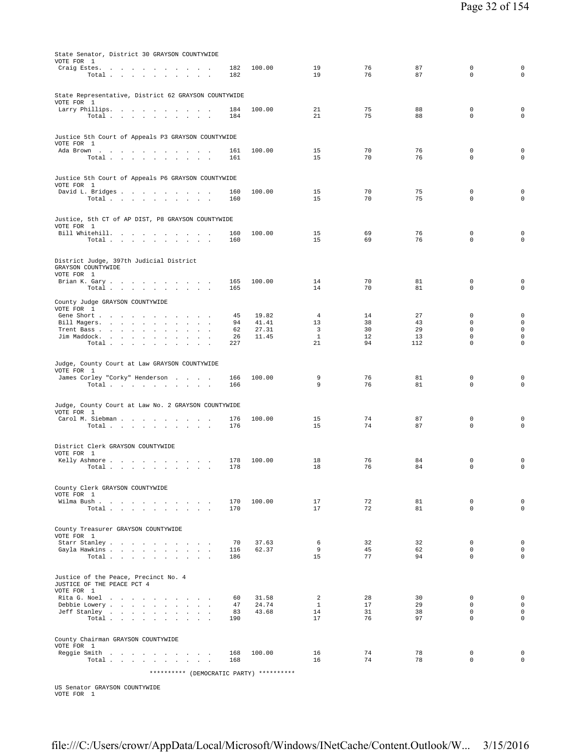| State Senator, District 30 GRAYSON COUNTYWIDE<br>VOTE FOR 1                                             |            |                |                      |          |          |                             |                                            |
|---------------------------------------------------------------------------------------------------------|------------|----------------|----------------------|----------|----------|-----------------------------|--------------------------------------------|
| Craig Estes.<br>Total                                                                                   | 182<br>182 | 100.00         | 19<br>19             | 76<br>76 | 87<br>87 | $\mathbf 0$<br>$\mathbf 0$  | $\mathbf 0$<br>$\mathbf 0$                 |
|                                                                                                         |            |                |                      |          |          |                             |                                            |
| State Representative, District 62 GRAYSON COUNTYWIDE<br>VOTE FOR 1                                      |            |                |                      |          |          |                             |                                            |
| Larry Phillips.<br>Total<br>$\sim$<br>$\sim$<br>$\overline{\phantom{a}}$                                | 184<br>184 | 100.00         | 21<br>21             | 75<br>75 | 88<br>88 | $\mathbf 0$<br>$\mathbf 0$  | $\mathbf 0$<br>$\mathbf 0$                 |
|                                                                                                         |            |                |                      |          |          |                             |                                            |
| Justice 5th Court of Appeals P3 GRAYSON COUNTYWIDE<br>VOTE FOR 1                                        |            |                |                      |          |          |                             |                                            |
| Ada Brown                                                                                               | 161        | 100.00         | 15                   | 70       | 76       | $\mathbf 0$                 | 0                                          |
| Total                                                                                                   | 161        |                | 15                   | 70       | 76       | $\mathbf 0$                 | $\mathbf 0$                                |
| Justice 5th Court of Appeals P6 GRAYSON COUNTYWIDE                                                      |            |                |                      |          |          |                             |                                            |
| VOTE FOR 1<br>David L. Bridges                                                                          | 160        | 100.00         | 15                   | 70       | 75       | $\mathbf 0$                 | $\mathbf 0$                                |
| Total $\cdots$ $\cdots$ $\cdots$                                                                        | 160        |                | 15                   | 70       | 75       | $\mathbf 0$                 | $\mathbf 0$                                |
| Justice, 5th CT of AP DIST, P8 GRAYSON COUNTYWIDE                                                       |            |                |                      |          |          |                             |                                            |
| VOTE FOR 1<br>Bill Whitehill.                                                                           | 160        | 100.00         | 15                   | 69       | 76       | $\mathbf 0$                 | $\mathbf 0$                                |
| Total                                                                                                   | 160        |                | 15                   | 69       | 76       | $\mathbf 0$                 | $\mathbf 0$                                |
| District Judge, 397th Judicial District                                                                 |            |                |                      |          |          |                             |                                            |
| GRAYSON COUNTYWIDE                                                                                      |            |                |                      |          |          |                             |                                            |
| VOTE FOR 1<br>Brian K. Gary                                                                             | 165        | 100.00         | 14                   | 70       | 81       | $\mathbf 0$                 | $\mathbf 0$                                |
| Total $\cdots$ $\cdots$ $\cdots$                                                                        | 165        |                | 14                   | 70       | 81       | $\mathbf 0$                 | $\mathbf 0$                                |
| County Judge GRAYSON COUNTYWIDE<br>VOTE FOR 1                                                           |            |                |                      |          |          |                             |                                            |
| Gene Short<br>$\sim$ $\sim$ $\sim$<br>Bill Magers.<br>$\overline{\phantom{a}}$<br>$\mathbf{r}$          | 45<br>94   | 19.82<br>41.41 | $\overline{4}$<br>13 | 14<br>38 | 27<br>43 | $\mathbf 0$<br>$\mathbf 0$  | $\mathbf 0$<br>$\mathbf 0$                 |
| Trent Bass<br>$\sim$<br>Jim Maddock.<br>the contract of the contract of<br>$\mathbf{r}$<br>$\mathbf{r}$ | 62<br>26   | 27.31<br>11.45 | 3<br>$\mathbf{1}$    | 30<br>12 | 29<br>13 | $\mathbf 0$<br>$\mathbf 0$  | $\mathsf{O}\xspace$<br>$\mathsf{O}\xspace$ |
| Total                                                                                                   | 227        |                | 21                   | 94       | 112      | $\mathbf 0$                 | $\circ$                                    |
| Judge, County Court at Law GRAYSON COUNTYWIDE                                                           |            |                |                      |          |          |                             |                                            |
| VOTE FOR 1                                                                                              | 166        | 100.00         | 9                    | 76       | 81       | 0                           | $\mathbf 0$                                |
| James Corley "Corky" Henderson<br>Total $\cdots$ $\cdots$ $\cdots$                                      | 166        |                | 9                    | 76       | 81       | $\mathbf 0$                 | $\mathsf 0$                                |
|                                                                                                         |            |                |                      |          |          |                             |                                            |
| Judge, County Court at Law No. 2 GRAYSON COUNTYWIDE<br>VOTE FOR 1                                       |            |                |                      |          |          |                             |                                            |
| Carol M. Siebman<br>Total $\cdots$ $\cdots$ $\cdots$                                                    | 176<br>176 | 100.00         | 15<br>15             | 74<br>74 | 87<br>87 | $\mathbf 0$<br>$\mathbf 0$  | 0<br>$\circ$                               |
|                                                                                                         |            |                |                      |          |          |                             |                                            |
| District Clerk GRAYSON COUNTYWIDE<br>VOTE FOR 1                                                         |            |                |                      |          |          |                             |                                            |
| Kelly Ashmore<br>Total<br>$\sim$<br>$\sim 10^{-1}$ km $^{-1}$<br>$\cdot$                                | 178<br>178 | 100.00         | 18<br>18             | 76<br>76 | 84<br>84 | 0<br>$\mathsf 0$            | $\mathbf 0$<br>$\mathsf{O}\xspace$         |
|                                                                                                         |            |                |                      |          |          |                             |                                            |
| County Clerk GRAYSON COUNTYWIDE<br>VOTE FOR 1                                                           |            |                |                      |          |          |                             |                                            |
| Wilma Bush<br>Total                                                                                     | 170<br>170 | 100.00         | 17<br>17             | 72<br>72 | 81<br>81 | $\mathbf 0$<br>$\Omega$     | $\mathsf{O}\xspace$<br>$\circ$             |
|                                                                                                         |            |                |                      |          |          |                             |                                            |
| County Treasurer GRAYSON COUNTYWIDE                                                                     |            |                |                      |          |          |                             |                                            |
| VOTE FOR 1<br>Starr Stanley                                                                             | 70         | 37.63          | 6                    | 32       | 32       | $\mathbf 0$                 | $\mathsf{O}\xspace$                        |
| Gayla Hawkins<br>Total                                                                                  | 116<br>186 | 62.37          | 9<br>15              | 45<br>77 | 62<br>94 | $\mathbf 0$<br>$\Omega$     | $\mathsf{O}\xspace$<br>$\circ$             |
|                                                                                                         |            |                |                      |          |          |                             |                                            |
| Justice of the Peace, Precinct No. 4<br>JUSTICE OF THE PEACE PCT 4                                      |            |                |                      |          |          |                             |                                            |
| VOTE FOR 1<br>Rita G. Noel                                                                              | 60         | 31.58          | 2                    | 28       | 30       | $\mathbf 0$                 | $\mathbf 0$                                |
| Debbie Lowery<br>Jeff Stanley                                                                           | 47<br>83   | 24.74<br>43.68 | $\mathbf{1}$<br>14   | 17<br>31 | 29<br>38 | $\Omega$<br>$\mathbf 0$     | $\circ$<br>$\mathbf 0$                     |
| Total                                                                                                   | 190        |                | 17                   | 76       | 97       | $\mathbf 0$                 | $\circ$                                    |
| County Chairman GRAYSON COUNTYWIDE                                                                      |            |                |                      |          |          |                             |                                            |
| VOTE FOR 1                                                                                              |            |                |                      |          |          |                             |                                            |
| Reggie Smith<br>Total                                                                                   | 168<br>168 | 100.00         | 16<br>16             | 74<br>74 | 78<br>78 | $\mathbf 0$<br>$\mathbf{0}$ | $\mathbf 0$<br>$\circ$                     |
| ********** (DEMOCRATIC PARTY) **********                                                                |            |                |                      |          |          |                             |                                            |

US Senator GRAYSON COUNTYWIDE VOTE FOR 1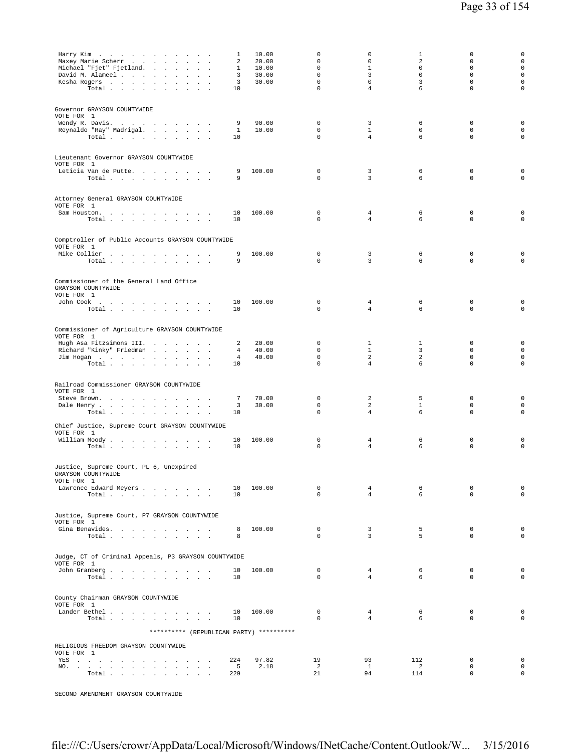| Harry Kim $\ldots$ , $\ldots$ , $\ldots$ , $\ldots$<br>Maxey Marie Scherr<br>Michael "Fjet" Fjetland.<br>David M. Alameel<br>Kesha Rogers<br>Total                                                                                                                                                                                               | 1<br>2<br>1<br>3<br>3<br>10    | 10.00<br>20.00<br>10.00<br>30.00<br>30.00 | $\mathbf 0$<br>$\mathbf 0$<br>$\mathsf 0$<br>$\Omega$<br>$\mathbf 0$<br>$\mathbf 0$ | 0<br>$\mathbf 0$<br>$\mathbf{1}$<br>3<br>$\mathbf 0$<br>$\overline{4}$ | 1<br>2<br>$\circ$<br>$\Omega$<br>3<br>6 | $\mathbf 0$<br>$\mathbf 0$<br>$\mathbf 0$<br>$\Omega$<br>$\mathbf 0$<br>$\mathbf 0$ | $\mathbf 0$<br>$\mathsf 0$<br>$\mathsf 0$<br>$\circ$<br>$\mathsf 0$<br>$\mathbf 0$ |
|--------------------------------------------------------------------------------------------------------------------------------------------------------------------------------------------------------------------------------------------------------------------------------------------------------------------------------------------------|--------------------------------|-------------------------------------------|-------------------------------------------------------------------------------------|------------------------------------------------------------------------|-----------------------------------------|-------------------------------------------------------------------------------------|------------------------------------------------------------------------------------|
| Governor GRAYSON COUNTYWIDE<br>VOTE FOR 1<br>Wendy R. Davis.<br>Reynaldo "Ray" Madrigal.<br>Total $\cdots$ $\cdots$ $\cdots$<br>$\sim$ $\sim$ $\sim$                                                                                                                                                                                             | 9<br>1<br>10                   | 90.00<br>10.00                            | 0<br>$\mathbf 0$<br>$\mathbf 0$                                                     | 3<br>$\mathbf{1}$<br>4                                                 | 6<br>$\mathbf 0$<br>6                   | $\mathbf 0$<br>$\mathbf 0$<br>$\mathbf 0$                                           | $\mathbf 0$<br>$\mathbf 0$<br>$\mathsf 0$                                          |
| Lieutenant Governor GRAYSON COUNTYWIDE<br>VOTE FOR 1<br>Leticia Van de Putte.<br>Total                                                                                                                                                                                                                                                           | 9<br>9                         | 100.00                                    | $\mathbf 0$<br>$\mathbf 0$                                                          | 3<br>$\overline{3}$                                                    | 6<br>6                                  | $\mathbf 0$<br>$\mathbf 0$                                                          | 0<br>$\circ$                                                                       |
| Attorney General GRAYSON COUNTYWIDE<br>VOTE FOR 1<br>Sam Houston.<br>Total                                                                                                                                                                                                                                                                       | 10<br>10                       | 100.00                                    | $\mathbf 0$<br>$\mathbf 0$                                                          | 4<br>4                                                                 | 6<br>6                                  | 0<br>$\mathbf 0$                                                                    | 0<br>$\mathsf 0$                                                                   |
| Comptroller of Public Accounts GRAYSON COUNTYWIDE<br>VOTE FOR 1<br>Mike Collier<br>Total                                                                                                                                                                                                                                                         | 9<br>9                         | 100.00                                    | $\mathbf 0$<br>$\mathbf 0$                                                          | 3<br>3                                                                 | 6<br>6                                  | $\mathbb O$<br>$\mathbf 0$                                                          | 0<br>$\mathsf 0$                                                                   |
| Commissioner of the General Land Office<br>GRAYSON COUNTYWIDE<br>VOTE FOR 1<br>John Cook $\qquad \qquad \ldots \qquad \qquad \ldots \qquad \ldots \qquad \ldots \qquad \ldots$<br>Total                                                                                                                                                          | 10<br>10                       | 100.00                                    | 0<br>$\mathbf 0$                                                                    | 4<br>$\overline{4}$                                                    | 6<br>6                                  | $\mathbb O$<br>$\mathbf 0$                                                          | 0<br>$\mathsf 0$                                                                   |
| Commissioner of Agriculture GRAYSON COUNTYWIDE<br>VOTE FOR 1<br>Hugh Asa Fitzsimons III.<br>Richard "Kinky" Friedman<br>$\sim$<br>$\mathbf{r}$<br>Jim Hogan<br>Total $\cdots$ $\cdots$ $\cdots$                                                                                                                                                  | 2<br>4<br>$\overline{4}$<br>10 | 20.00<br>40.00<br>40.00                   | 0<br>0<br>$\mathbf 0$<br>$\mathsf 0$                                                | $\mathbf{1}$<br>$\mathbf{1}$<br>2<br>$\overline{4}$                    | 1<br>3<br>2<br>6                        | 0<br>$\mathbf 0$<br>$\mathbf 0$<br>$\mathbf 0$                                      | $\mathsf 0$<br>$\mathsf 0$<br>$\mathsf 0$<br>$\mathsf 0$                           |
| Railroad Commissioner GRAYSON COUNTYWIDE<br>VOTE FOR 1<br>Steve Brown.<br>$\sim$<br><b>Contract Street</b><br>Dale Henry<br>Total $\cdots$ $\cdots$ $\cdots$<br>$\sim$<br>$\sim$ 100 $\mu$<br>$\overline{\phantom{a}}$                                                                                                                           | 7<br>3<br>10                   | 70.00<br>30.00                            | 0<br>$\mathbf 0$<br>$\mathbf 0$                                                     | 2<br>2<br>$\overline{4}$                                               | 5<br>$\mathbf{1}$<br>6                  | $\mathbf 0$<br>$\mathbf 0$<br>$\mathbf 0$                                           | 0<br>$\mathsf 0$<br>$\mathsf 0$                                                    |
| Chief Justice, Supreme Court GRAYSON COUNTYWIDE<br>VOTE FOR 1<br>William Moody.<br>Total                                                                                                                                                                                                                                                         | 10<br>10                       | 100.00                                    | $\mathbf 0$<br>$\mathbf 0$                                                          | 4<br>$\overline{4}$                                                    | 6<br>6                                  | $\mathbb O$<br>$\mathbf 0$                                                          | 0<br>$\mathsf 0$                                                                   |
| Justice, Supreme Court, PL 6, Unexpired<br>GRAYSON COUNTYWIDE<br>VOTE FOR 1<br>Lawrence Edward Meyers<br>Total                                                                                                                                                                                                                                   | 10<br>10                       | 100.00                                    | $\mathbf 0$<br>$\Omega$                                                             | $\overline{4}$<br>$\overline{4}$                                       | 6<br>6                                  | $\mathbf 0$<br>$\mathbf 0$                                                          | $\mathsf 0$<br>$\circ$                                                             |
| Justice, Supreme Court, P7 GRAYSON COUNTYWIDE<br>VOTE FOR 1<br>Gina Benavides.<br>Total                                                                                                                                                                                                                                                          | 8<br>8                         | 100.00                                    | $\mathbf 0$<br>$\Omega$                                                             | 3<br>3                                                                 | 5<br>5                                  | $\mathbf 0$<br>$\Omega$                                                             | $\circ$<br>$\mathbf 0$                                                             |
| Judge, CT of Criminal Appeals, P3 GRAYSON COUNTYWIDE<br>VOTE FOR 1<br>John Granberg<br>Total $\cdots$ $\cdots$ $\cdots$                                                                                                                                                                                                                          | 10<br>10                       | 100.00                                    | $^{\circ}$<br>$\Omega$                                                              | $\overline{4}$<br>$\overline{4}$                                       | 6<br>6                                  | $\mathbf 0$<br>$\mathbf 0$                                                          | $\circ$<br>$\mathbf 0$                                                             |
| County Chairman GRAYSON COUNTYWIDE<br>VOTE FOR 1<br>Lander Bethel<br>Total $\cdots$ $\cdots$ $\cdots$                                                                                                                                                                                                                                            | 10<br>10                       | 100.00                                    | $^{\circ}$<br>$\Omega$                                                              | $\overline{4}$<br>$\overline{4}$                                       | 6<br>6                                  | $\mathbf 0$<br>$\Omega$                                                             | $\mathbf 0$<br>$\mathbf 0$                                                         |
| ********** (REPUBLICAN PARTY) **********<br>RELIGIOUS FREEDOM GRAYSON COUNTYWIDE<br>VOTE FOR 1<br>YES a contract of the contract of the contract of the set of the set of the set of the set of the set of the set of the set of the set of the set of the set of the set of the set of the set of the set of the set of the set<br>NO.<br>Total | 224<br>5<br>229                | 97.82<br>2.18                             | 19<br>2<br>21                                                                       | 93<br>$\mathbf{1}$<br>94                                               | 112<br>2<br>114                         | $\mathbf 0$<br>$\mathbf 0$<br>$\mathbf 0$                                           | $\mathbf 0$<br>$\mathsf 0$<br>$\mathsf 0$                                          |

SECOND AMENDMENT GRAYSON COUNTYWIDE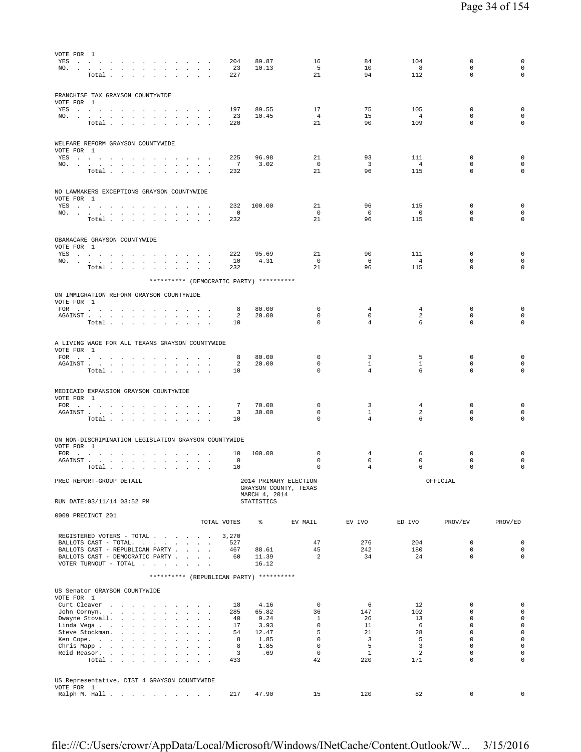| VOTE FOR 1<br>YES , , , , , , , , , ,<br>NO.<br>$\ddot{\phantom{a}}$                                                                                                                                                                                                                                                                | 204<br>23             | 89.87<br>10.13              | 16<br>- 5                                      | 84<br>10                       | 104<br>8              | 0<br>$\mathbf 0$                       | 0<br>$\mathbf 0$                                   |
|-------------------------------------------------------------------------------------------------------------------------------------------------------------------------------------------------------------------------------------------------------------------------------------------------------------------------------------|-----------------------|-----------------------------|------------------------------------------------|--------------------------------|-----------------------|----------------------------------------|----------------------------------------------------|
| Total                                                                                                                                                                                                                                                                                                                               | 227                   |                             | 21                                             | 94                             | 112                   | 0                                      | $\circ$                                            |
| FRANCHISE TAX GRAYSON COUNTYWIDE<br>VOTE FOR 1                                                                                                                                                                                                                                                                                      |                       |                             |                                                |                                |                       |                                        |                                                    |
| YES a contract of the contract of the contract of the set of the set of the set of the set of the set of the set of the set of the set of the set of the set of the set of the set of the set of the set of the set of the set                                                                                                      | 197<br>23             | 89.55<br>10.45              | 17<br>$\overline{4}$                           | 75<br>15                       | 105<br>$\overline{4}$ | 0<br>0                                 | $\mathbf 0$<br>$\mathbf 0$                         |
| NO.<br>Total $\cdots$ $\cdots$ $\cdots$                                                                                                                                                                                                                                                                                             | 220                   |                             | 21                                             | 90                             | 109                   | $\mathbf 0$                            | $\circ$                                            |
| WELFARE REFORM GRAYSON COUNTYWIDE<br>VOTE FOR 1                                                                                                                                                                                                                                                                                     |                       |                             |                                                |                                |                       |                                        |                                                    |
| YES a contract of the contract of the contract of the set of the set of the set of the set of the set of the set of the set of the set of the set of the set of the set of the set of the set of the set of the set of the set<br>NO.<br><b>Contract Contract Contract</b>                                                          | 225<br>$\overline{7}$ | 96.98<br>3.02               | 21<br>$\mathbf 0$                              | 93<br>$\overline{\mathbf{3}}$  | 111<br>$\overline{4}$ | 0<br>0                                 | $\mathsf 0$<br>$\mathsf 0$                         |
| Total $\cdots$ $\cdots$ $\cdots$                                                                                                                                                                                                                                                                                                    | 232                   |                             | 21                                             | 96                             | 115                   | 0                                      | $\circ$                                            |
| NO LAWMAKERS EXCEPTIONS GRAYSON COUNTYWIDE<br>VOTE FOR 1                                                                                                                                                                                                                                                                            |                       |                             |                                                |                                |                       |                                        |                                                    |
| YES a contract of the contract of the contract of the set of the set of the set of the set of the set of the set of the set of the set of the set of the set of the set of the set of the set of the set of the set of the set                                                                                                      | 232                   | 100.00                      | 21                                             | 96                             | 115                   | 0                                      | $\mathbf 0$                                        |
| NO.<br>$\sim$<br><b>Service</b><br>Total                                                                                                                                                                                                                                                                                            | 0<br>232              |                             | $\mathbf 0$<br>21                              | $\mathbf 0$<br>96              | $\mathbf 0$<br>115    | $\mathbf 0$<br>$\Omega$                | $\mathsf{O}\xspace$<br>$\mathbf 0$                 |
| OBAMACARE GRAYSON COUNTYWIDE                                                                                                                                                                                                                                                                                                        |                       |                             |                                                |                                |                       |                                        |                                                    |
| VOTE FOR 1<br>YES a contract of the contract of the second service of the service of the service of the service of the service of the service of the service of the service of the service of the service of the service of the service of t                                                                                        | 222                   | 95.69                       | 21                                             | 90                             | 111                   | 0                                      | $\mathsf 0$                                        |
| NO.<br>$\sim$<br>contract and service<br>Total                                                                                                                                                                                                                                                                                      | 10<br>232             | 4.31                        | $\mathbf 0$<br>21                              | 6<br>96                        | $\overline{4}$<br>115 | $\mathbf 0$<br>0                       | $\mathbf 0$<br>0                                   |
| ********** (DEMOCRATIC PARTY) **********                                                                                                                                                                                                                                                                                            |                       |                             |                                                |                                |                       |                                        |                                                    |
| ON IMMIGRATION REFORM GRAYSON COUNTYWIDE<br>VOTE FOR 1                                                                                                                                                                                                                                                                              |                       |                             |                                                |                                |                       |                                        |                                                    |
| FOR                                                                                                                                                                                                                                                                                                                                 | 8                     | 80.00                       | 0                                              | 4                              | 4                     | 0                                      | $\mathbf 0$                                        |
| ${\tt AGAINST} \hspace{0.1in} . \hspace{0.1in} . \hspace{0.1in} . \hspace{0.1in} . \hspace{0.1in} . \hspace{0.1in} . \hspace{0.1in} . \hspace{0.1in} .$<br>$\mathbf{L}$ and $\mathbf{L}$<br>Total                                                                                                                                   | 2<br>10               | 20.00                       | $\mathbf 0$<br>$\mathbf 0$                     | $\mathbf 0$<br>$\overline{4}$  | 2<br>6                | $\mathbf 0$<br>$\mathbf 0$             | $\mathbf 0$<br>$\circ$                             |
| A LIVING WAGE FOR ALL TEXANS GRAYSON COUNTYWIDE<br>VOTE FOR 1                                                                                                                                                                                                                                                                       |                       |                             |                                                |                                |                       |                                        |                                                    |
| FOR                                                                                                                                                                                                                                                                                                                                 | 8                     | 80.00                       | 0                                              | 3                              | 5                     | 0                                      | $\mathsf 0$                                        |
| ${\tt AGAINST} \hspace{0.2cm} . \hspace{0.2cm} . \hspace{0.2cm} . \hspace{0.2cm} . \hspace{0.2cm} . \hspace{0.2cm} . \hspace{0.2cm} . \hspace{0.2cm} . \hspace{0.2cm} . \hspace{0.2cm} . \hspace{0.2cm} . \hspace{0.2cm} . \hspace{0.2cm} . \hspace{0.2cm} . \hspace{0.2cm} . \hspace{0.2cm} .$<br>Total $\cdots$ $\cdots$ $\cdots$ | 2<br>10               | 20.00                       | 0<br>$\mathbf 0$                               | $\mathbf{1}$<br>$\overline{4}$ | $\mathbf{1}$<br>6     | $\mathbf 0$<br>0                       | $\mathsf 0$<br>$\circ$                             |
| MEDICAID EXPANSION GRAYSON COUNTYWIDE<br>VOTE FOR 1                                                                                                                                                                                                                                                                                 |                       |                             |                                                |                                |                       |                                        |                                                    |
| FOR                                                                                                                                                                                                                                                                                                                                 | 7                     | 70.00                       | 0                                              | 3                              | 4<br>$\overline{2}$   | 0                                      | $\mathbf 0$<br>$\mathsf{O}\xspace$                 |
| AGAINST<br>Total                                                                                                                                                                                                                                                                                                                    | 3<br>10               | 30.00                       | $\mathbf 0$<br>$\mathbf 0$                     | $\mathbf{1}$<br>$\overline{4}$ | 6                     | 0<br>0                                 | 0                                                  |
| ON NON-DISCRIMINATION LEGISLATION GRAYSON COUNTYWIDE                                                                                                                                                                                                                                                                                |                       |                             |                                                |                                |                       |                                        |                                                    |
| VOTE FOR 1<br>FOR                                                                                                                                                                                                                                                                                                                   | 10                    | 100.00                      | 0                                              | 4                              | 6                     | 0                                      | $\mathsf 0$                                        |
| AGAINST<br>$\ddot{\phantom{a}}$<br>Total $\cdots$ $\cdots$                                                                                                                                                                                                                                                                          | 0<br>10               |                             | $\mathbf 0$<br>$\mathbf 0$                     | $\mathbf 0$<br>$\overline{4}$  | 0<br>6                | 0<br>$\mathbf 0$                       | $\mathbf 0$<br>$\mathbf 0$                         |
| PREC REPORT-GROUP DETAIL                                                                                                                                                                                                                                                                                                            |                       |                             | 2014 PRIMARY ELECTION<br>GRAYSON COUNTY, TEXAS |                                |                       | OFFICIAL                               |                                                    |
| RUN DATE: 03/11/14 03:52 PM                                                                                                                                                                                                                                                                                                         |                       | MARCH 4, 2014<br>STATISTICS |                                                |                                |                       |                                        |                                                    |
| 0009 PRECINCT 201                                                                                                                                                                                                                                                                                                                   | TOTAL VOTES           | ి                           | EV MAIL                                        | EV IVO                         | ED IVO                | PROV/EV                                | PROV/ED                                            |
| REGISTERED VOTERS - TOTAL                                                                                                                                                                                                                                                                                                           | 3,270                 |                             |                                                |                                |                       |                                        |                                                    |
| BALLOTS CAST - TOTAL.<br>BALLOTS CAST - REPUBLICAN PARTY<br>BALLOTS CAST - DEMOCRATIC PARTY                                                                                                                                                                                                                                         | 527<br>467<br>60      | 88.61<br>11.39              | 47<br>45<br>2                                  | 276<br>242<br>34               | 204<br>180<br>24      | $\mathbf 0$<br>$\Omega$<br>$\mathbf 0$ | $\mathsf{O}\xspace$<br>$\mathbf{0}$<br>$\mathbf 0$ |
| VOTER TURNOUT - TOTAL $\ldots$                                                                                                                                                                                                                                                                                                      |                       | 16.12                       |                                                |                                |                       |                                        |                                                    |
| ********** (REPUBLICAN PARTY) **********                                                                                                                                                                                                                                                                                            |                       |                             |                                                |                                |                       |                                        |                                                    |
| US Senator GRAYSON COUNTYWIDE<br>VOTE FOR 1                                                                                                                                                                                                                                                                                         |                       |                             |                                                |                                |                       |                                        |                                                    |
| Curt Cleaver<br>John Cornyn.                                                                                                                                                                                                                                                                                                        | 18<br>285             | 4.16<br>65.82               | $\mathbf 0$<br>36                              | 6<br>147                       | 12<br>102             | $\mathbf 0$<br>$\mathbf 0$             | $\mathsf 0$<br>$\mathsf{O}\xspace$                 |
| Dwayne Stovall.<br>Linda Vega                                                                                                                                                                                                                                                                                                       | 40<br>17              | 9.24<br>3.93                | $\mathbf{1}$<br>$\mathbf 0$                    | 26<br>11                       | 13<br>6               | $\Omega$<br>$\mathbf 0$                | $\mathsf 0$<br>$\mathsf 0$                         |
| Steve Stockman.                                                                                                                                                                                                                                                                                                                     | 54                    | 12.47                       | 5                                              | 21                             | 28                    | $\Omega$                               | $\mathbf 0$                                        |
| Ken Cope.<br>Chris Mapp<br>$\sim$<br>$\sim$                                                                                                                                                                                                                                                                                         | 8<br>8                | 1.85<br>1.85                | $\mathbf 0$<br>$\mathbf 0$                     | $\overline{3}$<br>5            | 5<br>$\overline{3}$   | $\mathbf 0$<br>$\mathbf 0$             | $\mathbf 0$<br>$\mathsf 0$                         |
| Reid Reasor.<br>Total<br>$\sim$<br>$\sim$<br>$\sim$                                                                                                                                                                                                                                                                                 | 3<br>433              | .69                         | $\mathbf{0}$<br>42                             | $\mathbf{1}$<br>220            | $\overline{a}$<br>171 | $\mathbf 0$<br>$\mathbf 0$             | $\mathbf 0$<br>$\mathbf 0$                         |
| US Representative, DIST 4 GRAYSON COUNTYWIDE                                                                                                                                                                                                                                                                                        |                       |                             |                                                |                                |                       |                                        |                                                    |
| VOTE FOR 1<br>Ralph M. Hall                                                                                                                                                                                                                                                                                                         | 217                   | 47.90                       | 15                                             | 120                            | 82                    | 0                                      | $\mathsf 0$                                        |
|                                                                                                                                                                                                                                                                                                                                     |                       |                             |                                                |                                |                       |                                        |                                                    |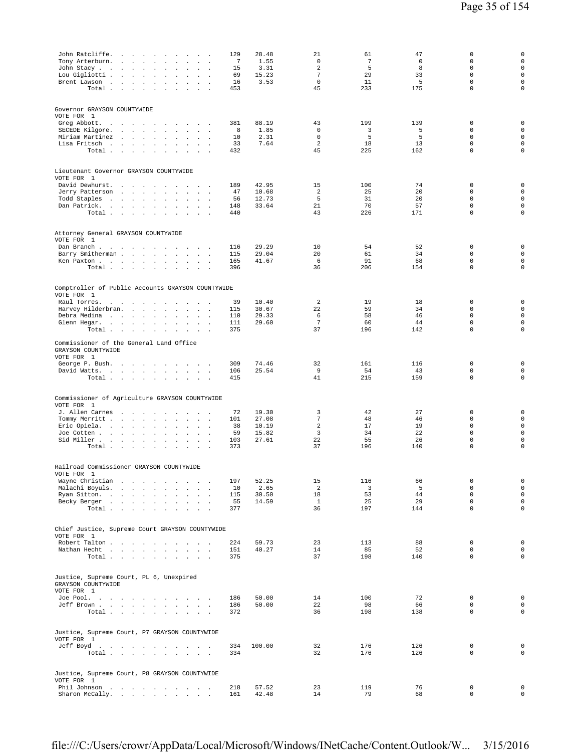| John Ratcliffe.<br>the contract of the contract of                                                            | 129                         | 28.48  | 21              | 61  | 47          | 0                | $\mathbf 0$         |
|---------------------------------------------------------------------------------------------------------------|-----------------------------|--------|-----------------|-----|-------------|------------------|---------------------|
| Tony Arterburn.<br>and the contract of<br>$\cdot$<br>$\Box$<br>$\ddot{\phantom{a}}$                           | 7<br>$\ddot{\phantom{a}}$   | 1.55   | 0               | 7   | $\mathsf 0$ | 0                | $\mathsf{O}\xspace$ |
| John Stacy<br>$\sim$<br>$\mathbf{r}$                                                                          | 15                          | 3.31   | 2               | 5   | 8           | $\mathbf 0$      | $\mathsf{O}\xspace$ |
| Lou Gigliotti .<br>$\mathcal{A}=\mathcal{A}=\mathcal{A}$ .<br>$\sim$<br>$\cdot$                               | 69                          | 15.23  | $\overline{7}$  | 29  | 33          | $\mathbf 0$      | $\mathsf 0$         |
| Brent Lawson<br>$\blacksquare$<br>$\cdot$                                                                     | 16<br>$\ddot{\phantom{a}}$  | 3.53   | $\mathbf 0$     | 11  | 5           | $\mathbf 0$      | $\mathbf 0$         |
| Total<br>$\sim$                                                                                               | 453                         |        | 45              | 233 | 175         | $\mathbf 0$      | $\mathbf 0$         |
|                                                                                                               |                             |        |                 |     |             |                  |                     |
|                                                                                                               |                             |        |                 |     |             |                  |                     |
| Governor GRAYSON COUNTYWIDE<br>VOTE FOR 1                                                                     |                             |        |                 |     |             |                  |                     |
| Greg Abbott.<br>$\sim$                                                                                        | 381                         | 88.19  | 43              | 199 | 139         | 0                | 0                   |
| $\sim$ 100 $\pm$<br>the contract of the contract of the<br>SECEDE Kilgore.<br>$\cdot$<br>$\ddot{\phantom{a}}$ | 8                           | 1.85   | 0               | 3   | 5           | $\mathbf 0$      | $\mathbf 0$         |
| and a strategic and<br>$\cdot$<br>$\Box$<br>Miriam Martinez<br>$\sim$<br>$\sim$                               | $\ddot{\phantom{a}}$<br>10  | 2.31   | 0               | 5   | 5           | $\mathbf 0$      | $\mathsf{O}\xspace$ |
| Lisa Fritsch<br>$\ddot{\phantom{a}}$                                                                          | 33                          | 7.64   | $\overline{a}$  | 18  | 13          | $\mathsf 0$      | $\mathsf{O}\xspace$ |
| Total $\ldots$ $\ldots$ $\ldots$ $\ldots$                                                                     | 432                         |        | 45              | 225 | 162         | $\mathbf 0$      | $\mathsf 0$         |
|                                                                                                               |                             |        |                 |     |             |                  |                     |
|                                                                                                               |                             |        |                 |     |             |                  |                     |
| Lieutenant Governor GRAYSON COUNTYWIDE                                                                        |                             |        |                 |     |             |                  |                     |
| VOTE FOR 1                                                                                                    |                             |        |                 |     |             |                  |                     |
| David Dewhurst.<br>and the company of the<br>$\sim$                                                           | 189                         | 42.95  | 15              | 100 | 74          | 0                | $\mathsf 0$         |
| Jerry Patterson<br>and the control of<br>$\sim$<br>$\mathbf{r}$<br>$\sim$<br>$\sim$                           | 47<br>$\ddot{\phantom{a}}$  | 10.68  | 2               | 25  | 20          | $\mathbf 0$      | $\mathsf{O}\xspace$ |
| Todd Staples<br>and the company of the com-<br>$\cdot$<br>$\Box$                                              | 56                          | 12.73  | 5               | 31  | 20          | $\Omega$         | $\mathsf{O}\xspace$ |
| Dan Patrick.<br>$\sim$<br>$\sim$                                                                              | 148                         | 33.64  | 21              | 70  | 57          | $\mathbf 0$      | $\mathbf 0$         |
| $\texttt{Total} \quad . \qquad . \qquad . \qquad . \qquad .$<br>$\sim$<br>$\sim$                              | 440                         |        | 43              | 226 | 171         | $\mathbf 0$      | $\mathbf 0$         |
|                                                                                                               |                             |        |                 |     |             |                  |                     |
|                                                                                                               |                             |        |                 |     |             |                  |                     |
| Attorney General GRAYSON COUNTYWIDE<br>VOTE FOR 1                                                             |                             |        |                 |     |             |                  |                     |
| Dan Branch<br><b>Contract Contract Avenue</b>                                                                 | 116                         | 29.29  | 10              | 54  | 52          | $\mathbf 0$      | 0                   |
| Barry Smitherman<br>$\sim$                                                                                    | 115<br>$\ddot{\phantom{1}}$ | 29.04  | 20              | 61  | 34          | $\mathbf 0$      | $\mathsf{O}\xspace$ |
| Ken Paxton<br>$\ddot{\phantom{a}}$<br>$\sim$<br>$\mathbf{r}$                                                  | 165                         | 41.67  | 6               | 91  | 68          | 0                | $\mathsf{O}\xspace$ |
| Total                                                                                                         | 396                         |        | 36              | 206 | 154         | $\mathbf 0$      | $\mathsf 0$         |
|                                                                                                               |                             |        |                 |     |             |                  |                     |
|                                                                                                               |                             |        |                 |     |             |                  |                     |
| Comptroller of Public Accounts GRAYSON COUNTYWIDE                                                             |                             |        |                 |     |             |                  |                     |
| VOTE FOR 1                                                                                                    |                             |        |                 |     |             |                  |                     |
| Raul Torres.<br>the contract of the contract of<br>$\sim$<br>$\overline{\phantom{a}}$                         | 39                          | 10.40  | 2               | 19  | 18          | 0                | $\mathbf 0$         |
| Harvey Hilderbran.<br>$\mathbf{a}=\mathbf{a}$<br>$\sim$                                                       | 115                         | 30.67  | 22              | 59  | 34          | 0                | $\mathsf{O}\xspace$ |
| Debra Medina<br>$\overline{a}$<br>$\mathbf{r}$                                                                | 110<br>$\sim$               | 29.33  | 6               | 58  | 46          | $\mathbf 0$      | $\mathsf{O}\xspace$ |
| Glenn Hegar.<br>$\cdot$<br>$\mathbf{r}$<br>$\sim$<br>$\sim$                                                   | 111                         | 29.60  | $7\phantom{.0}$ | 60  | 44          | $\mathbf 0$      | $\mathsf{O}\xspace$ |
| Total<br><b>Contract Contract</b>                                                                             | 375                         |        | 37              | 196 | 142         | $\mathbf 0$      | $\mathbf 0$         |
|                                                                                                               |                             |        |                 |     |             |                  |                     |
| Commissioner of the General Land Office                                                                       |                             |        |                 |     |             |                  |                     |
| GRAYSON COUNTYWIDE<br>VOTE FOR 1                                                                              |                             |        |                 |     |             |                  |                     |
| George P. Bush.                                                                                               | 309                         | 74.46  | 32              | 161 | 116         | $\mathbf 0$      | $\mathsf 0$         |
| David Watts.<br>$\sim$                                                                                        | 106                         | 25.54  | 9               | 54  | 43          | 0                | 0                   |
| Total                                                                                                         | 415                         |        | 41              | 215 | 159         | $\mathbf 0$      | $\mathsf 0$         |
|                                                                                                               |                             |        |                 |     |             |                  |                     |
|                                                                                                               |                             |        |                 |     |             |                  |                     |
| Commissioner of Agriculture GRAYSON COUNTYWIDE                                                                |                             |        |                 |     |             |                  |                     |
| VOTE FOR 1                                                                                                    |                             |        |                 |     |             |                  |                     |
| J. Allen Carnes<br>the contract of the contract of<br>$\bullet$<br>$\ddot{\phantom{1}}$                       | 72                          | 19.30  | 3               | 42  | 27          | 0                | 0                   |
| Tommy Merritt<br>$\ddot{\phantom{0}}$<br>$\sim$<br>$\sim$                                                     | 101                         | 27.08  | 7               | 48  | 46          | $\mathbf 0$      | $\mathsf 0$         |
| Eric Opiela.<br>$\sim$<br>$\cdot$<br>$\mathbf{r}$                                                             | 38                          | 10.19  | 2               | 17  | 19          | 0                | $\mathsf{O}\xspace$ |
| Joe Cotten<br>$\mathbf{r}$                                                                                    | 59                          | 15.82  | 3               | 34  | 22          | $\mathbf 0$      | $\mathsf 0$         |
| Sid Miller<br>$\ddot{\phantom{a}}$<br>$\ddot{\phantom{a}}$                                                    | 103                         | 27.61  | 22              | 55  | 26          | $\mathsf 0$      | $\mathsf{O}\xspace$ |
| Total                                                                                                         | 373                         |        | 37              | 196 | 140         | $\mathbf 0$      | $\mathbf 0$         |
|                                                                                                               |                             |        |                 |     |             |                  |                     |
| Railroad Commissioner GRAYSON COUNTYWIDE                                                                      |                             |        |                 |     |             |                  |                     |
| VOTE FOR 1                                                                                                    |                             |        |                 |     |             |                  |                     |
| Wayne Christian<br>$\sim$ $\sim$<br>$\sim 100$ km s $^{-1}$                                                   | 197                         | 52.25  | 15              | 116 | 66          | 0                | $\mathsf 0$         |
| Malachi Boyuls.<br>$\sim$                                                                                     | 10                          | 2.65   | 2               | 3   | 5           | $\mathbf 0$      | $\mathsf{O}\xspace$ |
| Ryan Sitton.<br>$\sim$<br>$\mathbf{r}$                                                                        | 115                         | 30.50  | 18              | 53  | 44          | $\mathbf 0$      | $\mathsf{O}\xspace$ |
| Becky Berger                                                                                                  | 55                          | 14.59  | $\mathbf{1}$    | 25  | 29          | $\mathbf 0$      | $\mathsf 0$         |
| Total $\cdots$ $\cdots$                                                                                       | 377                         |        | 36              | 197 | 144         | $\mathbf 0$      | $\mathsf 0$         |
|                                                                                                               |                             |        |                 |     |             |                  |                     |
|                                                                                                               |                             |        |                 |     |             |                  |                     |
| Chief Justice, Supreme Court GRAYSON COUNTYWIDE                                                               |                             |        |                 |     |             |                  |                     |
| VOTE FOR 1                                                                                                    |                             |        |                 |     |             |                  |                     |
| Robert Talton                                                                                                 | 224                         | 59.73  | 23              | 113 | 88          | 0                | $\mathsf 0$         |
| Nathan Hecht                                                                                                  | 151                         | 40.27  | 14              | 85  | 52          | 0                | $\mathsf{O}\xspace$ |
| Total<br>$\sim$ $\sim$                                                                                        | 375<br>$\ddot{\phantom{a}}$ |        | 37              | 198 | 140         | $\mathbf 0$      | $\mathsf 0$         |
|                                                                                                               |                             |        |                 |     |             |                  |                     |
| Justice, Supreme Court, PL 6, Unexpired                                                                       |                             |        |                 |     |             |                  |                     |
| GRAYSON COUNTYWIDE                                                                                            |                             |        |                 |     |             |                  |                     |
| VOTE FOR 1                                                                                                    |                             |        |                 |     |             |                  |                     |
| Joe Pool.                                                                                                     | 186                         | 50.00  | 14              | 100 | 72          | $\mathbf 0$      | $\mathsf{O}\xspace$ |
| Jeff Brown                                                                                                    | 186                         | 50.00  | 22              | 98  | 66          | 0                | 0                   |
| Total                                                                                                         | 372                         |        | 36              | 198 | 138         | $\mathbf 0$      | $\mathsf{O}\xspace$ |
|                                                                                                               |                             |        |                 |     |             |                  |                     |
|                                                                                                               |                             |        |                 |     |             |                  |                     |
| Justice, Supreme Court, P7 GRAYSON COUNTYWIDE                                                                 |                             |        |                 |     |             |                  |                     |
| VOTE FOR 1<br>Jeff Boyd                                                                                       | 334                         | 100.00 | 32              | 176 | 126         | 0                | $\mathsf 0$         |
| $\texttt{Total}~~.~~.~~.~~.~~.~~.~~.~~.~~.~~.$                                                                | 334                         |        | 32              | 176 | 126         | $\mathbf 0$      | $\mathbf 0$         |
|                                                                                                               |                             |        |                 |     |             |                  |                     |
|                                                                                                               |                             |        |                 |     |             |                  |                     |
| Justice, Supreme Court, P8 GRAYSON COUNTYWIDE                                                                 |                             |        |                 |     |             |                  |                     |
| VOTE FOR 1                                                                                                    |                             |        |                 |     |             |                  |                     |
| Phil Johnson<br>the contract of the contract of the<br>$\sim$                                                 | 218                         | 57.52  | 23              | 119 | 76          | 0<br>$\mathbf 0$ | $\mathsf 0$         |
| Sharon McCally.<br>$\ddot{\phantom{a}}$<br>and a strategic and                                                | 161                         | 42.48  | 14              | 79  | 68          |                  | $\mathsf{O}\xspace$ |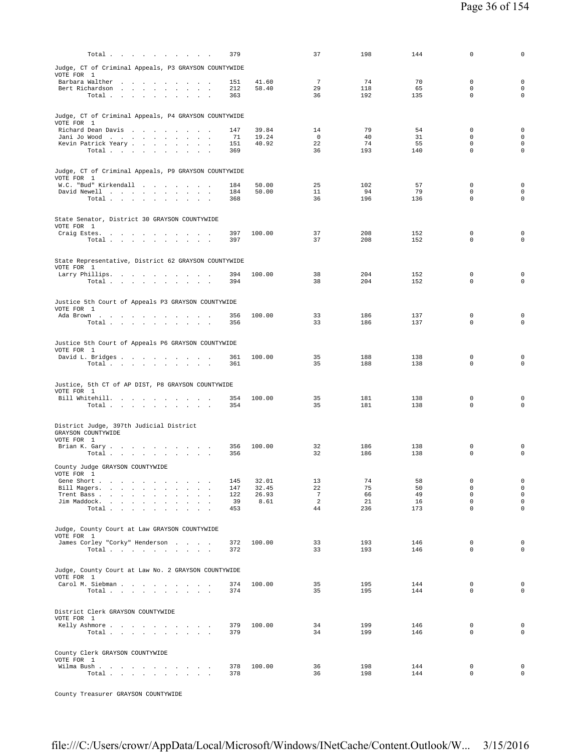| Total                                                                                                                                     | 379        |                | 37             | 198        | 144        | $\mathbf 0$                | 0                                          |
|-------------------------------------------------------------------------------------------------------------------------------------------|------------|----------------|----------------|------------|------------|----------------------------|--------------------------------------------|
| Judge, CT of Criminal Appeals, P3 GRAYSON COUNTYWIDE                                                                                      |            |                |                |            |            |                            |                                            |
| VOTE FOR 1                                                                                                                                |            |                | 7              |            |            |                            |                                            |
| Barbara Walther<br>Bert Richardson<br>$\overline{\phantom{a}}$                                                                            | 151<br>212 | 41.60<br>58.40 | 29             | 74<br>118  | 70<br>65   | 0<br>$\mathbf 0$           | $\mathbf 0$<br>$\mathsf{O}\xspace$         |
| Total $\cdots$ $\cdots$ $\cdots$                                                                                                          | 363        |                | 36             | 192        | 135        | $\mathbf 0$                | $\mathbf 0$                                |
|                                                                                                                                           |            |                |                |            |            |                            |                                            |
| Judge, CT of Criminal Appeals, P4 GRAYSON COUNTYWIDE                                                                                      |            |                |                |            |            |                            |                                            |
| VOTE FOR 1<br>Richard Dean Davis                                                                                                          | 147        | 39.84          | 14             | 79         | 54         | 0                          | $\mathbf 0$                                |
| Jani Jo Wood                                                                                                                              | -71        | 19.24          | $\overline{0}$ | 40         | 31         | $\mathbf 0$                | $\mathsf{O}\xspace$                        |
| Kevin Patrick Yeary                                                                                                                       | 151        | 40.92          | 22             | 74         | 55         | $\Omega$<br>$\mathbf 0$    | $\mathbf 0$                                |
| $\begin{tabular}{cccccccccc} Total & . & . & . & . & . & . \end{tabular}$                                                                 | 369        |                | 36             | 193        | 140        |                            | 0                                          |
|                                                                                                                                           |            |                |                |            |            |                            |                                            |
| Judge, CT of Criminal Appeals, P9 GRAYSON COUNTYWIDE<br>VOTE FOR 1                                                                        |            |                |                |            |            |                            |                                            |
| W.C. "Bud" Kirkendall                                                                                                                     | 184        | 50.00          | 25             | 102        | 57         | $\mathbf 0$                | $\mathbf 0$                                |
| David Newell<br>Total                                                                                                                     | 184<br>368 | 50.00          | 11<br>36       | 94<br>196  | 79<br>136  | $\Omega$<br>$\mathbf 0$    | $\mathbf 0$<br>$\mathbf 0$                 |
|                                                                                                                                           |            |                |                |            |            |                            |                                            |
| State Senator, District 30 GRAYSON COUNTYWIDE                                                                                             |            |                |                |            |            |                            |                                            |
| VOTE FOR 1                                                                                                                                |            |                |                |            |            |                            |                                            |
| Craig Estes.<br>Total $\cdots$ $\cdots$ $\cdots$                                                                                          | 397<br>397 | 100.00         | 37<br>37       | 208<br>208 | 152<br>152 | $\mathbf 0$<br>$\mathbf 0$ | $\mathbf 0$<br>$\mathbf 0$                 |
|                                                                                                                                           |            |                |                |            |            |                            |                                            |
| State Representative, District 62 GRAYSON COUNTYWIDE                                                                                      |            |                |                |            |            |                            |                                            |
| VOTE FOR 1                                                                                                                                |            |                |                |            |            |                            |                                            |
| Larry Phillips.                                                                                                                           | 394        | 100.00         | 38             | 204        | 152        | $\mathbf 0$                | $\mathbf 0$                                |
| Total $\cdots$ $\cdots$ $\cdots$ $\cdots$                                                                                                 | 394        |                | 38             | 204        | 152        | $\mathbf 0$                | $\mathbf 0$                                |
|                                                                                                                                           |            |                |                |            |            |                            |                                            |
| Justice 5th Court of Appeals P3 GRAYSON COUNTYWIDE<br>VOTE FOR 1                                                                          |            |                |                |            |            |                            |                                            |
| Ada Brown                                                                                                                                 | 356        | 100.00         | 33             | 186        | 137        | $\mathbf 0$                | $\mathbf 0$                                |
| Total                                                                                                                                     | 356        |                | 33             | 186        | 137        | $\mathbf 0$                | $\mathbf 0$                                |
|                                                                                                                                           |            |                |                |            |            |                            |                                            |
|                                                                                                                                           |            |                |                |            |            |                            |                                            |
| Justice 5th Court of Appeals P6 GRAYSON COUNTYWIDE                                                                                        |            |                |                |            |            |                            |                                            |
| VOTE FOR 1<br>David L. Bridges                                                                                                            | 361        | 100.00         | 35             | 188        | 138        | $\mathbf 0$                | $\mathbf 0$                                |
| Total                                                                                                                                     | 361        |                | 35             | 188        | 138        | $\mathbf 0$                | $\mathbf 0$                                |
|                                                                                                                                           |            |                |                |            |            |                            |                                            |
| Justice, 5th CT of AP DIST, P8 GRAYSON COUNTYWIDE                                                                                         |            |                |                |            |            |                            |                                            |
| VOTE FOR 1<br>Bill Whitehill.                                                                                                             | 354        | 100.00         | 35             | 181        | 138        | $\mathbf 0$                | $\mathbf 0$                                |
| Total                                                                                                                                     | 354        |                | 35             | 181        | 138        | $\mathbf 0$                | $\mathbf 0$                                |
|                                                                                                                                           |            |                |                |            |            |                            |                                            |
| District Judge, 397th Judicial District                                                                                                   |            |                |                |            |            |                            |                                            |
| GRAYSON COUNTYWIDE<br>VOTE FOR 1                                                                                                          |            |                |                |            |            |                            |                                            |
| Brian K. Gary                                                                                                                             | 356        | 100.00         | 32             | 186        | 138        | 0                          | $\mathbf 0$                                |
| Total $\cdots$ $\cdots$ $\cdots$                                                                                                          | 356        |                | 32             | 186        | 138        | $\mathbf 0$                | $\mathbf 0$                                |
| County Judge GRAYSON COUNTYWIDE                                                                                                           |            |                |                |            |            |                            |                                            |
| VOTE FOR 1                                                                                                                                |            |                |                |            |            |                            |                                            |
| Gene Short<br>Bill Magers.<br>$\sim$<br>$\ddot{\phantom{a}}$<br>$\mathcal{L}^{\mathcal{L}}$                                               | 145<br>147 | 32.01<br>32.45 | 13<br>22       | 74<br>75   | 58<br>50   | $\mathbf 0$<br>$\mathbf 0$ | $\mathsf{O}\xspace$<br>$\mathsf{O}\xspace$ |
| Trent Bass<br>$\ddot{\phantom{a}}$<br>$\sim$                                                                                              | 122        | 26.93          | 7              | 66         | 49         | $\mathbf 0$                | $\mathsf{O}\xspace$                        |
| Jim Maddock.<br><b>Contract Contract</b><br><b>Carl Carl</b><br>$\sim$<br>$\sim$<br>$\cdot$<br>Total $\cdots$ $\cdots$ $\cdots$<br>$\sim$ | 39<br>453  | 8.61           | 2<br>44        | 21<br>236  | 16<br>173  | $\mathsf 0$<br>$\mathbf 0$ | $\mathsf{O}\xspace$<br>$\mathsf{O}\xspace$ |
|                                                                                                                                           |            |                |                |            |            |                            |                                            |
| Judge, County Court at Law GRAYSON COUNTYWIDE                                                                                             |            |                |                |            |            |                            |                                            |
| VOTE FOR 1                                                                                                                                |            |                |                |            |            |                            |                                            |
| James Corley "Corky" Henderson<br>Total $\cdots$ $\cdots$ $\cdots$<br>$\sim$<br>$\sim$                                                    | 372<br>372 | 100.00         | 33<br>33       | 193<br>193 | 146<br>146 | $\mathbf 0$<br>$\mathbf 0$ | $\mathsf{O}\xspace$<br>$\mathsf{O}\xspace$ |
|                                                                                                                                           |            |                |                |            |            |                            |                                            |
| Judge, County Court at Law No. 2 GRAYSON COUNTYWIDE                                                                                       |            |                |                |            |            |                            |                                            |
| VOTE FOR 1                                                                                                                                |            |                |                |            |            |                            |                                            |
| Carol M. Siebman<br>$\ddot{\phantom{a}}$                                                                                                  | 374        | 100.00         | 35             | 195        | 144        | $\mathbf 0$<br>$\mathbf 0$ | 0<br>$\circ$                               |
| Total $\cdots$ $\cdots$ $\cdots$                                                                                                          | 374        |                | 35             | 195        | 144        |                            |                                            |
|                                                                                                                                           |            |                |                |            |            |                            |                                            |
| District Clerk GRAYSON COUNTYWIDE<br>VOTE FOR 1                                                                                           |            |                |                |            |            |                            |                                            |
| Kelly Ashmore                                                                                                                             | 379        | 100.00         | 34             | 199        | 146        | $\mathbf 0$                | 0                                          |
| Total                                                                                                                                     | 379        |                | 34             | 199        | 146        | $\mathbf 0$                | $\mathbf 0$                                |
|                                                                                                                                           |            |                |                |            |            |                            |                                            |
| County Clerk GRAYSON COUNTYWIDE<br>VOTE FOR 1                                                                                             |            |                |                |            |            |                            |                                            |
| Wilma Bush<br>Total<br>$\sim$                                                                                                             | 378<br>378 | 100.00         | 36<br>36       | 198<br>198 | 144<br>144 | 0<br>$\mathbf 0$           | $\mathbf 0$<br>$\mathsf{O}\xspace$         |

County Treasurer GRAYSON COUNTYWIDE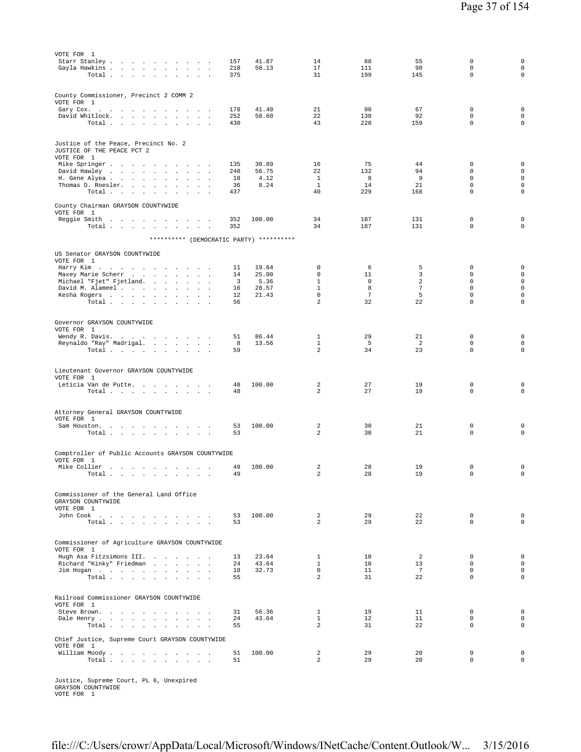| VOTE FOR 1<br>Starr Stanley<br>$\sim$<br>Gayla Hawkins .<br>the company of the company of<br>$\sim$<br>$\sim$<br>$\sim$<br>Total                                                        | 157<br>218<br>375             | 41.87<br>58.13                 | 14<br>17<br>31                                 | 88<br>111<br>199            | 55<br>90<br>145            | 0<br>$\mathbf 0$<br>$\mathbf 0$                               | 0<br>$\mathsf{O}\xspace$<br>$\mathsf{O}\xspace$                             |
|-----------------------------------------------------------------------------------------------------------------------------------------------------------------------------------------|-------------------------------|--------------------------------|------------------------------------------------|-----------------------------|----------------------------|---------------------------------------------------------------|-----------------------------------------------------------------------------|
| County Commissioner, Precinct 2 COMM 2<br>VOTE FOR 1                                                                                                                                    |                               |                                |                                                |                             |                            |                                                               |                                                                             |
| Gary Cox.<br>the company of the company<br><b>Contract Contract Service</b><br>$\sim$<br>David Whitlock.<br>$\mathbf{r}$ and $\mathbf{r}$<br>$\sim$<br>Total $\cdots$ $\cdots$ $\cdots$ | 178<br>252<br>430             | 41.40<br>58.60                 | 21<br>22<br>43                                 | 90<br>138<br>228            | 67<br>92<br>159            | $\mathbf 0$<br>$\mathbf 0$<br>$\mathbf 0$                     | $\mathbf 0$<br>$\mathsf{O}\xspace$<br>$\circ$                               |
| Justice of the Peace, Precinct No. 2<br>JUSTICE OF THE PEACE PCT 2<br>VOTE FOR 1                                                                                                        |                               |                                |                                                |                             |                            |                                                               |                                                                             |
| Mike Springer<br>$\overline{\phantom{a}}$<br>David Hawley<br>H. Gene Alyea<br>$\sim$ $\sim$<br>$\sim 10^{-1}$<br>Thomas D. Roesler.<br>$\sim$<br>$\sim$<br>Total<br><b>Carl Carl</b>    | 135<br>248<br>18<br>36<br>437 | 30.89<br>56.75<br>4.12<br>8.24 | 16<br>22<br>$\mathbf{1}$<br>$\mathbf{1}$<br>40 | 75<br>132<br>8<br>14<br>229 | 44<br>94<br>9<br>21<br>168 | 0<br>$\mathbf 0$<br>$\mathbf 0$<br>$\mathbf 0$<br>$\mathbf 0$ | $\mathbf 0$<br>$\mathsf{O}\xspace$<br>$\mathbf 0$<br>$\mathbf 0$<br>$\circ$ |
| County Chairman GRAYSON COUNTYWIDE<br>VOTE FOR 1<br>Reggie Smith                                                                                                                        | 352                           | 100.00                         | 34                                             | 187                         | 131                        | $\mathbf 0$                                                   | $\mathbf 0$                                                                 |
| Total<br>$\sim$ $\sim$<br>$\ddot{\phantom{1}}$<br>$\sim$<br>$\sim$                                                                                                                      | 352                           |                                | 34                                             | 187                         | 131                        | $\mathbf 0$                                                   | $\mathbf 0$                                                                 |
| ********** (DEMOCRATIC PARTY) **********                                                                                                                                                |                               |                                |                                                |                             |                            |                                                               |                                                                             |
| US Senator GRAYSON COUNTYWIDE<br>VOTE FOR 1                                                                                                                                             |                               |                                | 0                                              | 6                           |                            | 0                                                             | $\mathbf 0$                                                                 |
| Harry Kim<br>the contract of the contract of the contract of<br>Maxey Marie Scherr                                                                                                      | 11<br>14                      | 19.64<br>25.00                 | $\mathbf 0$                                    | 11                          | 5<br>3                     | $\mathbf 0$                                                   | $\mathbf 0$                                                                 |
| Michael "Fjet" Fjetland.<br>$\sim$ $\sim$<br>David M. Alameel                                                                                                                           | 3<br>16                       | 5.36<br>28.57                  | $\mathbf{1}$<br>$\mathbf{1}$                   | 0<br>8                      | 2<br>$\overline{7}$        | 0<br>$\mathbf 0$                                              | $\mathsf{O}\xspace$<br>$\mathsf{O}\xspace$                                  |
| Kesha Rogers<br>$\sim$ $\sim$<br>$\sim$<br>Total                                                                                                                                        | 12<br>56                      | 21.43                          | $\mathbf 0$<br>2                               | $\overline{7}$<br>32        | 5<br>22                    | $\mathsf 0$<br>$\Omega$                                       | $\mathsf{O}\xspace$<br>$\mathbf 0$                                          |
| Governor GRAYSON COUNTYWIDE                                                                                                                                                             |                               |                                |                                                |                             |                            |                                                               |                                                                             |
| VOTE FOR 1                                                                                                                                                                              |                               |                                |                                                |                             |                            |                                                               |                                                                             |
| Wendy R. Davis.<br>Reynaldo "Ray" Madrigal.<br>$\sim$                                                                                                                                   | 51<br>8                       | 86.44<br>13.56                 | $\mathbf{1}$<br>$\mathbf{1}$                   | 29<br>5                     | 21<br>2                    | $\mathbf 0$<br>$\mathbf 0$                                    | $\mathbf 0$<br>$\mathbf 0$                                                  |
| Total<br><b>Contract Contract Contract</b><br>$\sim$                                                                                                                                    | 59                            |                                | 2                                              | 34                          | 23                         | $\mathbf 0$                                                   | $\mathbf 0$                                                                 |
| Lieutenant Governor GRAYSON COUNTYWIDE<br>VOTE FOR 1                                                                                                                                    |                               |                                |                                                |                             |                            |                                                               |                                                                             |
| Leticia Van de Putte.<br>Total $\cdots$ $\cdots$ $\cdots$ $\cdots$                                                                                                                      | 48<br>48                      | 100.00                         | 2<br>$\overline{a}$                            | 27<br>27                    | 19<br>19                   | $\mathbf 0$<br>$\mathbf 0$                                    | $\mathbf 0$<br>$\mathbf 0$                                                  |
| Attorney General GRAYSON COUNTYWIDE                                                                                                                                                     |                               |                                |                                                |                             |                            |                                                               |                                                                             |
| VOTE FOR 1<br>Sam Houston.<br>$\overline{\phantom{a}}$                                                                                                                                  | 53                            | 100.00                         | 2                                              | 30                          | 21                         | $\mathbf 0$                                                   | $\mathbf 0$                                                                 |
| Total $\cdots$ $\cdots$ $\cdots$<br>$\sim$ 100 $\pm$<br>$\overline{\phantom{a}}$                                                                                                        | 53                            |                                | 2                                              | 30                          | 21                         | $\mathbf 0$                                                   | $\mathbf 0$                                                                 |
| Comptroller of Public Accounts GRAYSON COUNTYWIDE<br>VOTE FOR 1                                                                                                                         |                               |                                |                                                |                             |                            |                                                               |                                                                             |
| Mike Collier<br>$\sim$<br>Total                                                                                                                                                         | 49<br>49                      | 100.00                         | 2<br>$\mathfrak{D}$                            | 28<br>28                    | 19<br>19                   | $\mathbf 0$<br>$\Omega$                                       | $\mathbf 0$<br>$\Omega$                                                     |
|                                                                                                                                                                                         |                               |                                |                                                |                             |                            |                                                               |                                                                             |
| Commissioner of the General Land Office<br>GRAYSON COUNTYWIDE<br>VOTE FOR 1                                                                                                             |                               |                                |                                                |                             |                            |                                                               |                                                                             |
| John Cook $\qquad \qquad . \qquad . \qquad . \qquad . \qquad . \qquad . \qquad . \qquad .$<br>Total $\cdots$ $\cdots$ $\cdots$ $\cdots$                                                 | 53<br>53                      | 100.00                         | $\overline{a}$<br>$\overline{a}$               | 29<br>29                    | 22<br>22                   | $\mathbf 0$<br>$\mathbf 0$                                    | $\mathbf 0$<br>$\circ$                                                      |
| Commissioner of Agriculture GRAYSON COUNTYWIDE                                                                                                                                          |                               |                                |                                                |                             |                            |                                                               |                                                                             |
| VOTE FOR 1<br>Hugh Asa Fitzsimons III.                                                                                                                                                  | 13                            | 23.64                          | $\mathbf{1}$                                   | 10                          | 2                          | 0                                                             | $\mathbf 0$                                                                 |
| Richard "Kinky" Friedman<br>$\sim$                                                                                                                                                      | 24                            | 43.64                          | $\mathbf{1}$                                   | 10                          | 13                         | 0                                                             | $\mathbf 0$                                                                 |
| Jim Hogan<br>Total                                                                                                                                                                      | 18<br>55                      | 32.73                          | $\mathbf 0$<br>$\overline{a}$                  | 11<br>31                    | 7<br>22                    | $\mathbf 0$<br>$\mathbf 0$                                    | $\mathsf{O}\xspace$<br>$\mathsf 0$                                          |
| Railroad Commissioner GRAYSON COUNTYWIDE                                                                                                                                                |                               |                                |                                                |                             |                            |                                                               |                                                                             |
| VOTE FOR 1<br>Steve Brown.<br><b>Contract</b><br>$\sim$                                                                                                                                 | 31                            | 56.36                          | $\mathbf{1}$                                   | 19                          | 11                         | 0                                                             | $\mathbf 0$                                                                 |
| Dale Henry<br>Total                                                                                                                                                                     | 24<br>55                      | 43.64                          | $\mathbf{1}$<br>$\overline{2}$                 | 12<br>31                    | 11<br>22                   | $\mathbf 0$<br>$\mathbf 0$                                    | $\circ$<br>0                                                                |
| Chief Justice, Supreme Court GRAYSON COUNTYWIDE                                                                                                                                         |                               |                                |                                                |                             |                            |                                                               |                                                                             |
| VOTE FOR 1<br>William Moody                                                                                                                                                             | 51                            | 100.00                         | 2                                              | 29                          | 20                         | 0                                                             | $\mathbf 0$                                                                 |
| Total                                                                                                                                                                                   | 51                            |                                | $\overline{a}$                                 | 29                          | 20                         | $\mathbf 0$                                                   | $\mathbf 0$                                                                 |
|                                                                                                                                                                                         |                               |                                |                                                |                             |                            |                                                               |                                                                             |

Justice, Supreme Court, PL 6, Unexpired GRAYSON COUNTYWIDE VOTE FOR 1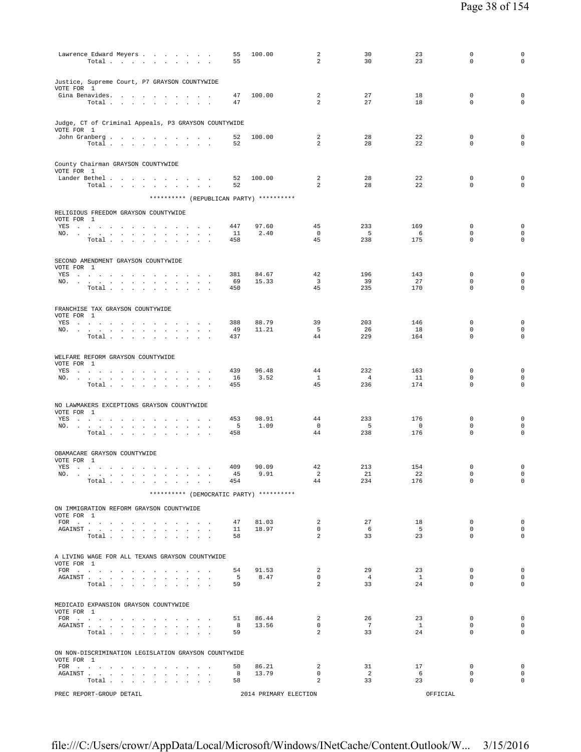| Lawrence Edward Meyers<br>Total $\cdots$ $\cdots$ $\cdots$                                                                                                                                                                                                                                                                    | 55<br>55       | 100.00                | $\overline{a}$<br>$\overline{a}$ | 30<br>30             | 23<br>23                   | $\mathbf 0$<br>$\mathbf 0$                  | 0<br>$\mathbf 0$           |
|-------------------------------------------------------------------------------------------------------------------------------------------------------------------------------------------------------------------------------------------------------------------------------------------------------------------------------|----------------|-----------------------|----------------------------------|----------------------|----------------------------|---------------------------------------------|----------------------------|
| Justice, Supreme Court, P7 GRAYSON COUNTYWIDE<br>VOTE FOR 1                                                                                                                                                                                                                                                                   |                |                       |                                  |                      |                            |                                             |                            |
| Gina Benavides.<br>Total                                                                                                                                                                                                                                                                                                      | 47<br>47       | 100.00                | 2<br>$\overline{a}$              | 27<br>27             | 18<br>18                   | $\mathbf 0$<br>$\mathbf 0$                  | $\mathsf 0$<br>$\mathbf 0$ |
| Judge, CT of Criminal Appeals, P3 GRAYSON COUNTYWIDE<br>VOTE FOR 1                                                                                                                                                                                                                                                            |                |                       |                                  |                      |                            |                                             |                            |
| John Granberg<br>Total $\cdots$ $\cdots$ $\cdots$                                                                                                                                                                                                                                                                             | 52<br>52       | 100.00                | 2<br>2                           | 28<br>28             | 22<br>22                   | $\mathbf 0$<br>$\Omega$                     | $\mathsf 0$<br>$\mathbf 0$ |
| County Chairman GRAYSON COUNTYWIDE<br>VOTE FOR 1                                                                                                                                                                                                                                                                              |                |                       |                                  |                      |                            |                                             |                            |
| Lander Bethel<br>Total                                                                                                                                                                                                                                                                                                        | 52<br>52       | 100.00                | $\overline{a}$<br>$\overline{a}$ | 28<br>28             | 22<br>22                   | $\mathbf 0$<br>$\mathbf 0$                  | $\mathsf 0$<br>$\mathsf 0$ |
| ********** (REPUBLICAN PARTY) **********                                                                                                                                                                                                                                                                                      |                |                       |                                  |                      |                            |                                             |                            |
| RELIGIOUS FREEDOM GRAYSON COUNTYWIDE<br>VOTE FOR 1                                                                                                                                                                                                                                                                            |                |                       |                                  |                      |                            |                                             |                            |
| YES                                                                                                                                                                                                                                                                                                                           | 447            | 97.60                 | 45                               | 233                  | 169                        | $\mathbf 0$                                 | 0                          |
| NO.<br>$\mathbf{a} = \mathbf{a} \cdot \mathbf{a}$<br>$\sim$<br>Total $\cdots$ $\cdots$ $\cdots$                                                                                                                                                                                                                               | 11<br>458      | 2.40                  | $\mathbf 0$<br>45                | 5<br>238             | 6<br>175                   | $\mathbf 0$<br>$\mathbf 0$                  | 0<br>0                     |
| SECOND AMENDMENT GRAYSON COUNTYWIDE<br>VOTE FOR 1                                                                                                                                                                                                                                                                             |                |                       |                                  |                      |                            |                                             |                            |
| YES a contract of the contract of the contract of the set of the set of the set of the set of the set of the set of the set of the set of the set of the set of the set of the set of the set of the set of the set of the set<br>NO.<br>$\sim 10^{-11}$<br>$\sim 10^{-1}$ km $^{-1}$<br>$\ddot{\phantom{0}}$<br>$\mathbf{r}$ | 381<br>69      | 84.67<br>15.33        | 42<br>$\overline{3}$             | 196<br>39            | 143<br>27                  | $\mathbf 0$<br>$\mathbf 0$                  | $\mathsf 0$<br>0           |
| Total<br><b>Contract Contract</b><br>$\ddot{\phantom{a}}$<br><b>Contract Contract</b><br>$\sim$                                                                                                                                                                                                                               | 450            |                       | 45                               | 235                  | 170                        | $\mathbf 0$                                 | $\mathbf 0$                |
| FRANCHISE TAX GRAYSON COUNTYWIDE<br>VOTE FOR 1                                                                                                                                                                                                                                                                                |                |                       |                                  |                      |                            |                                             |                            |
| YES a contract of the contract of the set of the set of the set of the set of the set of the set of the set of the set of the set of the set of the set of the set of the set of the set of the set of the set of the set of t<br>NO.                                                                                         | 388<br>49      | 88.79<br>11.21        | 39<br>5                          | 203<br>26            | 146<br>18                  | $\mathbf 0$<br>$\mathbf 0$                  | 0<br>0                     |
| Total $\cdots$ $\cdots$ $\cdots$ $\cdots$                                                                                                                                                                                                                                                                                     | 437            |                       | 44                               | 229                  | 164                        | $\mathbf 0$                                 | $\mathbf 0$                |
| WELFARE REFORM GRAYSON COUNTYWIDE<br>VOTE FOR 1<br>YES a contract of the contract of the contract of the set of the set of the set of the set of the set of the set of the set of the set of the set of the set of the set of the set of the set of the set of the set of the set                                             | 439            | 96.48                 | 44                               | 232                  | 163                        | $\mathbf 0$                                 | $\mathbf 0$                |
| NO.                                                                                                                                                                                                                                                                                                                           | 16             | 3.52                  | $\mathbf{1}$                     | $\overline{4}$       | 11                         | $\mathbf 0$                                 | 0                          |
| Total<br>$\sim$                                                                                                                                                                                                                                                                                                               | 455            |                       | 45                               | 236                  | 174                        | $\mathbf 0$                                 | $\mathbf 0$                |
| NO LAWMAKERS EXCEPTIONS GRAYSON COUNTYWIDE<br>VOTE FOR 1                                                                                                                                                                                                                                                                      |                |                       |                                  |                      |                            |                                             |                            |
| YES a contract that is a contract of the set of the set of the set of the set of the set of the set of the set of the set of the set of the set of the set of the set of the set of the set of the set of the set of the set<br>NO.                                                                                           | 453<br>5       | 98.91<br>1.09         | 44<br>$^{\circ}$                 | 233<br>- 5           | 176<br>$\overline{0}$      | $\mathbf 0$<br>$\mathbf 0$                  | $\mathsf 0$<br>0           |
| Total $\cdots$ $\cdots$ $\cdots$                                                                                                                                                                                                                                                                                              | 458            |                       | 44                               | 238                  | 176                        | $\mathbf 0$                                 | 0                          |
| OBAMACARE GRAYSON COUNTYWIDE<br>VOTE FOR 1                                                                                                                                                                                                                                                                                    |                |                       |                                  |                      |                            |                                             |                            |
| YES<br>the contract of the contract of the contract of the con-<br>NO.<br>.<br>the contract of the contract of the contract of the contract of the contract of                                                                                                                                                                | 409<br>45      | 90.09<br>9.91         | 42<br>2                          | 213<br>-21           | 154<br>- 22                | $\mathbb O$<br>0                            | $\mathsf 0$<br>0           |
| Total $\ldots$ $\ldots$ $\ldots$ $\ldots$                                                                                                                                                                                                                                                                                     | 454            |                       | 44                               | 234                  | 176                        | $\mathbf 0$                                 | $\circ$                    |
| ********** (DEMOCRATIC PARTY) **********                                                                                                                                                                                                                                                                                      |                |                       |                                  |                      |                            |                                             |                            |
| ON IMMIGRATION REFORM GRAYSON COUNTYWIDE<br>VOTE FOR 1                                                                                                                                                                                                                                                                        |                |                       |                                  |                      |                            |                                             |                            |
| FOR $\cdots$<br>${\tt AGAINST} \hspace{1.5cm} . \hspace{1.5cm} . \hspace{1.5cm} . \hspace{1.5cm} . \hspace{1.5cm} . \hspace{1.5cm} . \hspace{1.5cm} . \hspace{1.5cm} . \hspace{1.5cm} . \hspace{1.5cm} . \hspace{1.5cm} . \hspace{1.5cm} . \hspace{1.5cm} . \hspace{1.5cm} .$<br>Total                                        | 47<br>11<br>58 | 81.03<br>18.97        | 2<br>$\circ$<br>2                | 27<br>6<br>33        | 18<br>5 <sup>5</sup><br>23 | $\mathbf 0$<br>$\mathbf{0}$<br>$\mathbf{0}$ | $\circ$<br>$\circ$<br>0    |
| A LIVING WAGE FOR ALL TEXANS GRAYSON COUNTYWIDE                                                                                                                                                                                                                                                                               |                |                       |                                  |                      |                            |                                             |                            |
| VOTE FOR 1<br>FOR                                                                                                                                                                                                                                                                                                             | 54             | 91.53                 | $\overline{a}$                   | 29                   | 23                         | $\mathbf{0}$                                | $\circ$                    |
| AGAINST                                                                                                                                                                                                                                                                                                                       | $5^{\circ}$    | 8.47                  | $\mathbf{0}$                     | 4                    | $\mathbf{1}$               | $\mathbf{0}$                                | $\mathbf 0$                |
| Total $\cdots$ $\cdots$ $\cdots$ $\cdots$                                                                                                                                                                                                                                                                                     | 59             |                       | $\overline{2}$                   | 33                   | 24                         | $\mathbf{0}$                                | $\mathbf 0$                |
| MEDICAID EXPANSION GRAYSON COUNTYWIDE<br>VOTE FOR 1                                                                                                                                                                                                                                                                           | 51             | 86.44                 | $\overline{a}$                   | 26                   | 23                         | $\mathbf{0}$                                | $\mathbf 0$                |
| FOR $\alpha$ , and a set of the set of the set of the set of the set of the set of the set of the set of the set of the set of the set of the set of the set of the set of the set of the set of the set of the set of the set of<br>AGAINST                                                                                  | 8              | 13.56                 | $\mathbf{0}$                     | 7                    | $\mathbf{1}$               | $\mathbf{0}$                                | $\circ$                    |
| Total                                                                                                                                                                                                                                                                                                                         | 59             |                       | $\overline{a}$                   | 33                   | 24                         | $\mathbf 0$                                 | 0                          |
| ON NON-DISCRIMINATION LEGISLATION GRAYSON COUNTYWIDE<br>VOTE FOR 1                                                                                                                                                                                                                                                            |                |                       |                                  |                      |                            |                                             |                            |
| FOR $\cdots$                                                                                                                                                                                                                                                                                                                  | 50             | 86.21                 | 2                                | 31                   | 17                         | $^{\circ}$                                  | 0                          |
| AGAINST<br>Total                                                                                                                                                                                                                                                                                                              | 8<br>58        | 13.79                 | $\mathbf{0}$<br>$\overline{a}$   | $\overline{2}$<br>33 | 6<br>23                    | $\mathbf 0$<br>$\mathbf 0$                  | $\mathbf 0$<br>0           |
| PREC REPORT-GROUP DETAIL                                                                                                                                                                                                                                                                                                      |                | 2014 PRIMARY ELECTION |                                  |                      | OFFICIAL                   |                                             |                            |
|                                                                                                                                                                                                                                                                                                                               |                |                       |                                  |                      |                            |                                             |                            |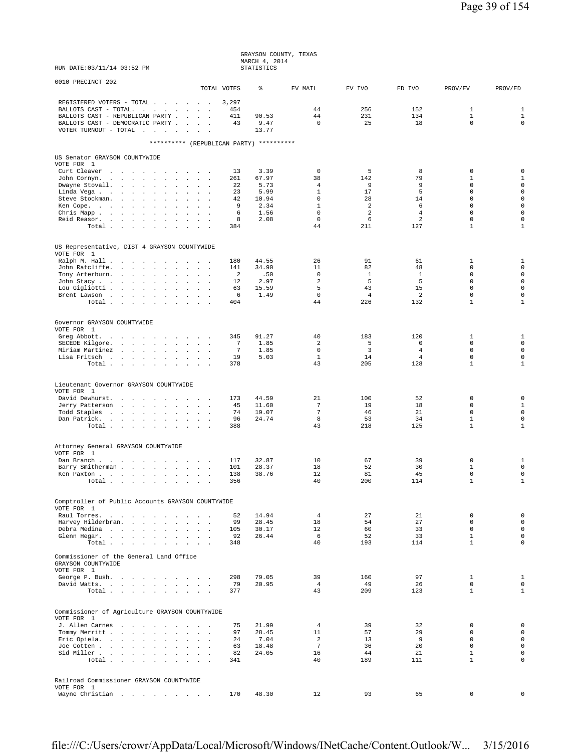|                                                                                                                                                                             |                           | GRAYSON COUNTY, TEXAS<br>MARCH 4, 2014 |                               |                       |                                  |                               |                                            |
|-----------------------------------------------------------------------------------------------------------------------------------------------------------------------------|---------------------------|----------------------------------------|-------------------------------|-----------------------|----------------------------------|-------------------------------|--------------------------------------------|
| RUN DATE: 03/11/14 03:52 PM                                                                                                                                                 |                           | STATISTICS                             |                               |                       |                                  |                               |                                            |
| 0010 PRECINCT 202<br>TOTAL VOTES                                                                                                                                            |                           | ⊱                                      | EV MAIL                       | EV IVO                | ED IVO                           | PROV/EV                       | PROV/ED                                    |
| REGISTERED VOTERS - TOTAL<br>BALLOTS CAST - TOTAL.<br>BALLOTS CAST - REPUBLICAN PARTY<br>BALLOTS CAST - DEMOCRATIC PARTY<br>VOTER TURNOUT - TOTAL $\cdot \cdot \cdot \cdot$ | 3,297<br>454<br>411<br>43 | 90.53<br>9.47<br>13.77                 | 44<br>44<br>$\Omega$          | 256<br>231<br>25      | 152<br>134<br>18                 | 1<br>$\mathbf{1}$<br>$\Omega$ | $\mathbf{1}$<br>$1\,$<br>$\mathbf 0$       |
| ********** (REPUBLICAN PARTY) **********                                                                                                                                    |                           |                                        |                               |                       |                                  |                               |                                            |
| US Senator GRAYSON COUNTYWIDE<br>VOTE FOR 1                                                                                                                                 |                           |                                        |                               |                       |                                  |                               |                                            |
| Curt Cleaver                                                                                                                                                                | 13                        | 3.39                                   | $\Omega$                      | 5                     | 8                                | $\mathbf 0$                   | $\mathsf 0$                                |
| John Cornyn<br><b>Contract Contract</b><br>$\sim$<br>Dwayne Stovall.<br>2.1211                                                                                              | 261<br>22                 | 67.97<br>5.73                          | 38<br>4                       | 142<br>9              | 79<br>9                          | 1<br>$\mathbf 0$              | $\mathbf{1}$<br>$\mathsf 0$                |
| Linda Vega                                                                                                                                                                  | 23                        | 5.99                                   | $\mathbf{1}$                  | 17                    | 5                                | $\mathbf 0$                   | $\mathsf 0$                                |
| Steve Stockman.<br>$\sim$<br>$\sim$<br>$\sim$ $\sim$<br>Ken Cope.                                                                                                           | 42<br>9                   | 10.94<br>2.34                          | $\mathbf 0$<br>$\mathbf{1}$   | 28<br>2               | 14<br>6                          | $\mathbf 0$<br>$\Omega$       | $\mathsf{O}\xspace$<br>$\mathsf 0$         |
| $\cdot$<br>$\mathbf{z} = \mathbf{z} + \mathbf{z}$ . The $\mathbf{z}$<br>Chris Mapp.<br>$\mathbf{r}$<br>$\mathbf{r}$<br>$\sim$ $\sim$                                        | 6                         | 1.56                                   | $\mathbf 0$                   | $\overline{a}$        | $\overline{4}$                   | $\mathbf 0$                   | $\mathsf 0$                                |
| Reid Reasor.<br><b>Carl Carl Carl</b>                                                                                                                                       | 8                         | 2.08                                   | $\mathbf 0$                   | 6                     | 2                                | $\mathbf 0$                   | $\mathbf 0$                                |
| Total                                                                                                                                                                       | 384                       |                                        | 44                            | 211                   | 127                              | $\mathbf{1}$                  | $\mathbf{1}$                               |
| US Representative, DIST 4 GRAYSON COUNTYWIDE                                                                                                                                |                           |                                        |                               |                       |                                  |                               |                                            |
| VOTE FOR 1<br>Ralph M. Hall                                                                                                                                                 | 180                       | 44.55                                  | 26                            | 91                    | 61                               | 1                             | $\mathbf{1}$                               |
| John Ratcliffe.<br>$\mathcal{A}^{\mathcal{A}}$ , and $\mathcal{A}^{\mathcal{A}}$ , and $\mathcal{A}^{\mathcal{A}}$                                                          | 141                       | 34.90                                  | 11                            | 82                    | 48                               | $\mathbf 0$                   | $\mathsf{O}\xspace$                        |
| Tony Arterburn.<br>John Stacy<br>$\sim$<br>$\ddot{\phantom{a}}$                                                                                                             | 2<br>12                   | .50<br>2.97                            | $\mathbf 0$<br>$\overline{a}$ | $\mathbf{1}$<br>5     | 1<br>5                           | $\mathbf 0$<br>$\mathsf 0$    | $\mathsf 0$<br>$\mathsf{O}\xspace$         |
| Lou Gigliotti<br>$\mathcal{L}^{\text{max}}$<br>$\mathbf{z} = \mathbf{z} + \mathbf{z}$ . The $\mathbf{z}$                                                                    | 63                        | 15.59                                  | 5                             | 43                    | 15                               | $\mathbf 0$                   | $\mathbf 0$                                |
| Brent Lawson<br>Total                                                                                                                                                       | 6<br>404                  | 1.49                                   | $\mathbf 0$<br>44             | $\overline{4}$<br>226 | 2<br>132                         | $\mathbf 0$<br>$\mathbf{1}$   | $\mathsf{O}\xspace$<br>$\mathbf{1}$        |
|                                                                                                                                                                             |                           |                                        |                               |                       |                                  |                               |                                            |
| Governor GRAYSON COUNTYWIDE                                                                                                                                                 |                           |                                        |                               |                       |                                  |                               |                                            |
| VOTE FOR 1<br>Greg Abbott.                                                                                                                                                  | 345                       | 91.27                                  | 40                            | 183                   | 120                              | 1                             | $\mathbf{1}$                               |
| SECEDE Kilgore.                                                                                                                                                             | 7                         | 1.85                                   | 2                             | 5                     | 0                                | $\mathbf 0$                   | $\mathbf 0$                                |
| Miriam Martinez<br>Lisa Fritsch                                                                                                                                             | $\overline{7}$<br>19      | 1.85<br>5.03                           | $\mathbf 0$<br>$\mathbf{1}$   | $\overline{3}$<br>14  | $\overline{4}$<br>$\overline{4}$ | $\mathbf 0$<br>$\mathbf 0$    | $\mathsf{O}\xspace$<br>$\mathsf{O}\xspace$ |
| Total $\cdots$ $\cdots$<br><b>Contract Contract Contract</b><br>$\sim$                                                                                                      | 378                       |                                        | 43                            | 205                   | 128                              | $\mathbf{1}$                  | $\mathbf{1}$                               |
|                                                                                                                                                                             |                           |                                        |                               |                       |                                  |                               |                                            |
| Lieutenant Governor GRAYSON COUNTYWIDE                                                                                                                                      |                           |                                        |                               |                       |                                  |                               |                                            |
| VOTE FOR 1<br>David Dewhurst.                                                                                                                                               | 173                       | 44.59                                  | 21                            | 100                   | 52                               | $\mathbb O$                   | $\mathbf 0$                                |
| Jerry Patterson                                                                                                                                                             | 45                        | 11.60                                  | $7\phantom{.0}$               | 19                    | 18                               | $\mathbf 0$                   | $\mathbf{1}$                               |
| Todd Staples<br>Dan Patrick.                                                                                                                                                | 74<br>96                  | 19.07<br>24.74                         | $7\phantom{.0}$<br>8          | 46<br>53              | 21<br>34                         | $\mathbf 0$<br>$\mathbf{1}$   | $\mathsf{O}\xspace$<br>$\mathbf 0$         |
| Total $\cdots$ $\cdots$ $\cdots$ $\cdots$                                                                                                                                   | 388                       |                                        | 43                            | 218                   | 125                              | $\mathbf{1}$                  | $\mathbf{1}$                               |
|                                                                                                                                                                             |                           |                                        |                               |                       |                                  |                               |                                            |
| Attorney General GRAYSON COUNTYWIDE<br>VOTE FOR 1                                                                                                                           |                           |                                        |                               |                       |                                  |                               |                                            |
| Dan Branch<br>$\sim$                                                                                                                                                        | 117                       | 32.87                                  | 10                            | 67                    | 39                               | 0                             | 1                                          |
| Barry Smitherman<br>$\ddot{\phantom{a}}$<br>$\sim$ $-$<br>Ken Paxton.                                                                                                       | 101<br>138                | 28.37                                  | 18<br>12                      | 52<br>81              | 30<br>45                         | $\mathbf{1}$<br>0             | $\mathbf 0$<br>$\mathbf 0$                 |
| Total $\cdots$ $\cdots$<br>$\sim$ $-$<br><b>Carl Carl</b><br>$\ddot{\phantom{1}}$                                                                                           | 356                       | 38.76                                  | 40                            | 200                   | 114                              | $\mathbf{1}$                  | $\mathbf{1}$                               |
|                                                                                                                                                                             |                           |                                        |                               |                       |                                  |                               |                                            |
| Comptroller of Public Accounts GRAYSON COUNTYWIDE                                                                                                                           |                           |                                        |                               |                       |                                  |                               |                                            |
| VOTE FOR 1<br>Raul Torres.<br>$\mathbf{r}$<br>$\ddot{\phantom{a}}$<br>$\sim$                                                                                                | 52                        | 14.94                                  | $\overline{4}$                | 27                    | 21                               | $\mathbf 0$                   | $\mathbf 0$                                |
| Harvey Hilderbran.<br>$\mathbf{r}$ and $\mathbf{r}$                                                                                                                         | 99                        | 28.45                                  | 18                            | 54                    | 27                               | $\mathbf 0$                   | $\mathsf{O}\xspace$                        |
| Debra Medina<br><b>Contract Contract Contract</b><br>Glenn Hegar.                                                                                                           | 105<br>92                 | 30.17<br>26.44                         | 12<br>6                       | 60<br>52              | 33<br>33                         | $\mathbf 0$<br>$\mathbf{1}$   | $\mathsf{O}\xspace$<br>$\mathbf 0$         |
| Total                                                                                                                                                                       | 348                       |                                        | 40                            | 193                   | 114                              | $\mathbf{1}$                  | 0                                          |
| Commissioner of the General Land Office<br>GRAYSON COUNTYWIDE                                                                                                               |                           |                                        |                               |                       |                                  |                               |                                            |
| VOTE FOR 1                                                                                                                                                                  |                           |                                        |                               |                       |                                  |                               |                                            |
| George P. Bush.<br>David Watts.                                                                                                                                             | 298<br>79                 | 79.05<br>20.95                         | 39<br>$\overline{4}$          | 160<br>49             | 97<br>26                         | $\mathbf{1}$<br>$\mathbf 0$   | $\mathbf{1}$<br>$\mathbf 0$                |
| Total                                                                                                                                                                       | 377                       |                                        | 43                            | 209                   | 123                              | $\mathbf{1}$                  | $\mathbf{1}$                               |
| Commissioner of Agriculture GRAYSON COUNTYWIDE                                                                                                                              |                           |                                        |                               |                       |                                  |                               |                                            |
| VOTE FOR 1                                                                                                                                                                  |                           |                                        |                               |                       |                                  |                               |                                            |
| J. Allen Carnes<br>$\sim$                                                                                                                                                   | 75                        | 21.99                                  | $\overline{4}$                | 39                    | 32                               | 0                             | 0                                          |
| Tommy Merritt<br><b>Contract Contract</b><br>Eric Opiela.                                                                                                                   | 97<br>24                  | 28.45<br>7.04                          | 11<br>2                       | 57<br>13              | 29<br>9                          | $\mathbf 0$<br>$\mathbf 0$    | $\mathbf 0$<br>$\mathsf 0$                 |
| Joe Cotten                                                                                                                                                                  | 63                        | 18.48                                  | $7\phantom{.0}$               | 36                    | 20                               | $\mathsf 0$                   | $\mathsf 0$                                |
| Sid Miller<br>Total<br>$\ddot{\phantom{a}}$<br>$\sim$<br>$\sim$<br>$\sim$                                                                                                   | 82<br>341                 | 24.05                                  | 16<br>40                      | 44<br>189             | 21<br>111                        | $\mathbf{1}$<br>$\mathbf{1}$  | $\mathsf 0$<br>0                           |
|                                                                                                                                                                             |                           |                                        |                               |                       |                                  |                               |                                            |
| Railroad Commissioner GRAYSON COUNTYWIDE                                                                                                                                    |                           |                                        |                               |                       |                                  |                               |                                            |
| VOTE FOR 1<br>Wayne Christian                                                                                                                                               | 170                       | 48.30                                  | 12                            | 93                    | 65                               | 0                             | $\mathbf 0$                                |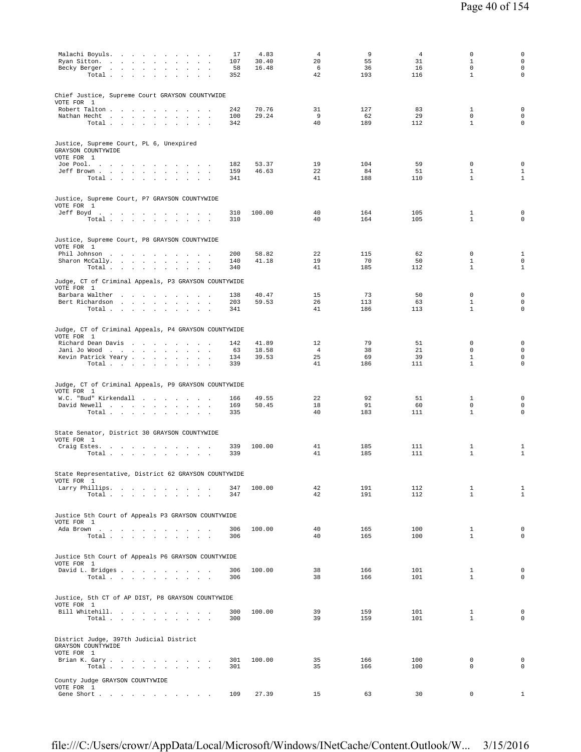| Malachi Boyuls.<br>Ryan Sitton.<br>$\sim$<br>$\sim$                                                                                             | 17<br>107         | 4.83<br>30.40  | 4<br>20              | 9<br>55          | $\overline{4}$<br>31 | $\mathbf 0$<br>1<br>$\mathbf 0$ | 0<br>$\mathsf{O}\xspace$<br>$\mathsf 0$ |
|-------------------------------------------------------------------------------------------------------------------------------------------------|-------------------|----------------|----------------------|------------------|----------------------|---------------------------------|-----------------------------------------|
| Becky Berger<br>Total<br>$\sim$ $\sim$<br>$\sim$<br>$\ddot{\phantom{a}}$<br>$\mathbf{r}$                                                        | 58<br>352         | 16.48          | 6<br>42              | 36<br>193        | 16<br>116            | $\mathbf{1}$                    | 0                                       |
| Chief Justice, Supreme Court GRAYSON COUNTYWIDE<br>VOTE FOR 1                                                                                   |                   |                |                      |                  |                      |                                 |                                         |
| Robert Talton<br>Nathan Hecht<br>Total                                                                                                          | 242<br>100<br>342 | 70.76<br>29.24 | 31<br>9<br>40        | 127<br>62<br>189 | 83<br>29<br>112      | 1<br>$\Omega$<br>$\mathbf{1}$   | $\mathbf 0$<br>0<br>$\mathbf 0$         |
| Justice, Supreme Court, PL 6, Unexpired<br>GRAYSON COUNTYWIDE<br>VOTE FOR 1                                                                     |                   |                |                      |                  |                      |                                 |                                         |
| Joe Pool.<br>Jeff Brown                                                                                                                         | 182<br>159        | 53.37<br>46.63 | 19<br>22             | 104<br>84        | 59<br>51             | $\mathbf 0$<br>$\mathbf{1}$     | $\mathbf 0$<br>$\mathbf{1}$             |
| Total                                                                                                                                           | 341               |                | 41                   | 188              | 110                  | $\mathbf{1}$                    | $\mathbf{1}$                            |
| Justice, Supreme Court, P7 GRAYSON COUNTYWIDE<br>VOTE FOR 1                                                                                     |                   |                |                      |                  |                      |                                 |                                         |
| Jeff Boyd.<br>Total $\cdots$ $\cdots$ $\cdots$                                                                                                  | 310<br>310        | 100.00         | 40<br>40             | 164<br>164       | 105<br>105           | $\mathbf{1}$<br>$\mathbf{1}$    | $\mathbf 0$<br>0                        |
| Justice, Supreme Court, P8 GRAYSON COUNTYWIDE<br>VOTE FOR 1                                                                                     |                   |                |                      |                  |                      |                                 |                                         |
| Phil Johnson<br>Sharon McCally.                                                                                                                 | 200<br>140        | 58.82<br>41.18 | 22<br>19             | 115<br>70        | 62<br>50             | $\mathbf 0$<br>$\mathbf{1}$     | $\mathbf{1}$<br>$\mathbf 0$             |
| Total                                                                                                                                           | 340               |                | 41                   | 185              | 112                  | $\mathbf{1}$                    | $\mathbf{1}$                            |
| Judge, CT of Criminal Appeals, P3 GRAYSON COUNTYWIDE<br>VOTE FOR 1                                                                              |                   |                |                      |                  |                      |                                 |                                         |
| Barbara Walther<br>Bert Richardson                                                                                                              | 138<br>203        | 40.47<br>59.53 | 15<br>26             | 73<br>113        | 50<br>63             | $\mathbf 0$<br>$\mathbf{1}$     | $\mathbf 0$<br>0                        |
| Total                                                                                                                                           | 341               |                | 41                   | 186              | 113                  | $\mathbf{1}$                    | 0                                       |
| Judge, CT of Criminal Appeals, P4 GRAYSON COUNTYWIDE<br>VOTE FOR 1                                                                              |                   |                |                      |                  |                      |                                 |                                         |
| Richard Dean Davis<br>the contract of the contract of the<br>Jani Jo Wood                                                                       | 142<br>63         | 41.89<br>18.58 | 12<br>$\overline{4}$ | 79<br>38         | 51<br>21             | 0<br>0                          | $\mathbf 0$<br>0                        |
| Kevin Patrick Yeary<br>$\sim$ $\sim$ $\sim$<br>Total $\cdots$ $\cdots$ $\cdots$                                                                 | 134<br>339        | 39.53          | 25<br>41             | 69<br>186        | 39<br>111            | $\mathbf{1}$<br>$\mathbf{1}$    | 0<br>$\mathbf 0$                        |
|                                                                                                                                                 |                   |                |                      |                  |                      |                                 |                                         |
| Judge, CT of Criminal Appeals, P9 GRAYSON COUNTYWIDE<br>VOTE FOR 1                                                                              |                   |                |                      |                  |                      |                                 |                                         |
| W.C. "Bud" Kirkendall<br>David Newell                                                                                                           | 166<br>169        | 49.55<br>50.45 | 22<br>18             | 92<br>91         | 51<br>60             | $\mathbf{1}$<br>$\mathsf 0$     | 0<br>0                                  |
| Total $\ldots$ $\ldots$ $\ldots$ $\ldots$                                                                                                       | 335               |                | 40                   | 183              | 111                  | $\mathbf{1}$                    | $\mathbf 0$                             |
| State Senator, District 30 GRAYSON COUNTYWIDE<br>VOTE FOR 1                                                                                     |                   |                |                      |                  |                      |                                 |                                         |
| Craig Estes.<br>the contract of the contract of the contract of<br>Total .<br>$\sim$<br><b>Carl Carl</b><br>$\sim$<br>$\cdot$<br>$\blacksquare$ | 339<br>339        | 100.00         | 41<br>41             | 185<br>185       | 111<br>111           | 1<br>$\mathbf{1}$               | 1<br>$\mathbf{1}$                       |
| State Representative, District 62 GRAYSON COUNTYWIDE                                                                                            |                   |                |                      |                  |                      |                                 |                                         |
| VOTE FOR 1<br>Larry Phillips.                                                                                                                   | 347               | 100.00         | 42                   | 191              | 112                  | $\mathbf{1}$                    | $\mathbf{1}$                            |
| Total<br>$\sim$                                                                                                                                 | 347               |                | 42                   | 191              | 112                  | $\mathbf{1}$                    | $\mathbf{1}$                            |
| Justice 5th Court of Appeals P3 GRAYSON COUNTYWIDE<br>VOTE FOR 1                                                                                |                   |                |                      |                  |                      |                                 |                                         |
| Ada Brown<br>Total                                                                                                                              | 306<br>306        | 100.00         | 40<br>40             | 165<br>165       | 100<br>100           | $\mathbf{1}$<br>$\mathbf{1}$    | 0<br>$\mathbf 0$                        |
| Justice 5th Court of Appeals P6 GRAYSON COUNTYWIDE                                                                                              |                   |                |                      |                  |                      |                                 |                                         |
| VOTE FOR 1<br>David L. Bridges                                                                                                                  | 306               | 100.00         | 38                   | 166              | 101                  | $\mathbf{1}$                    | 0                                       |
| Total                                                                                                                                           | 306               |                | 38                   | 166              | 101                  | $\mathbf{1}$                    | $\Omega$                                |
| Justice, 5th CT of AP DIST, P8 GRAYSON COUNTYWIDE<br>VOTE FOR 1                                                                                 |                   |                |                      |                  |                      |                                 |                                         |
| Bill Whitehill.<br>Total $\cdots$ $\cdots$<br>$\sim$ $\sim$<br>$\sim$                                                                           | 300<br>300        | 100.00         | 39<br>39             | 159<br>159       | 101<br>101           | $\mathbf{1}$<br>$\mathbf{1}$    | $\mathbf 0$<br>$\mathbf 0$              |
| District Judge, 397th Judicial District<br>GRAYSON COUNTYWIDE                                                                                   |                   |                |                      |                  |                      |                                 |                                         |
| VOTE FOR 1<br>Brian K. Gary.                                                                                                                    | 301               | 100.00         | 35                   | 166              | 100                  | $\mathbf 0$                     | $\mathbf 0$                             |
| Total $\ldots$ $\ldots$ $\ldots$ $\ldots$                                                                                                       | 301               |                | 35                   | 166              | 100                  | $\mathbf 0$                     | $\mathbf 0$                             |
| County Judge GRAYSON COUNTYWIDE<br>VOTE FOR 1                                                                                                   |                   |                |                      |                  |                      |                                 |                                         |
| Gene Short                                                                                                                                      | 109               | 27.39          | 15                   | 63               | 30                   | $\mathbf{0}$                    | $\mathbf{1}$                            |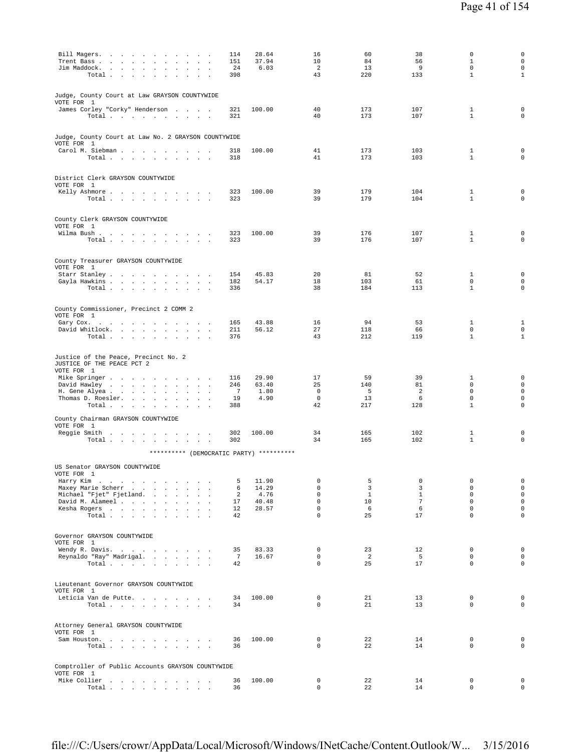| Bill Magers.<br>Trent Bass<br>$\overline{\phantom{a}}$<br>$\ddot{\phantom{a}}$                           | 114<br>151                  | 28.64<br>37.94         | 16<br>10                               | 60<br>84                            | 38<br>56                         | $\mathbf 0$<br>$\mathbf{1}$            | $\mathsf{O}\xspace$<br>0                |
|----------------------------------------------------------------------------------------------------------|-----------------------------|------------------------|----------------------------------------|-------------------------------------|----------------------------------|----------------------------------------|-----------------------------------------|
| Jim Maddock.<br>$\sim$<br>Total<br>$\sim 10^{-11}$<br>$\sim$<br>$\sim$<br>$\sim$<br>$\ddot{\phantom{a}}$ | 24<br>398                   | 6.03                   | 2<br>43                                | 13<br>220                           | 9<br>133                         | $\mathbf 0$<br>$\mathbf{1}$            | 0<br>$\mathbf{1}$                       |
| Judge, County Court at Law GRAYSON COUNTYWIDE<br>VOTE FOR 1                                              |                             |                        |                                        |                                     |                                  |                                        |                                         |
| James Corley "Corky" Henderson<br>Total $\cdots$ $\cdots$ $\cdots$ $\cdots$                              | 321<br>321                  | 100.00                 | 40<br>40                               | 173<br>173                          | 107<br>107                       | 1<br>$\mathbf{1}$                      | $\mathsf 0$<br>0                        |
| Judge, County Court at Law No. 2 GRAYSON COUNTYWIDE<br>VOTE FOR 1                                        |                             |                        |                                        |                                     |                                  |                                        |                                         |
| Carol M. Siebman<br>Total $\cdots$ $\cdots$<br>the contract of the contract                              | 318<br>318                  | 100.00                 | 41<br>41                               | 173<br>173                          | 103<br>103                       | 1<br>$\mathbf{1}$                      | $\mathbf 0$<br>$\mathbf 0$              |
| District Clerk GRAYSON COUNTYWIDE<br>VOTE FOR 1                                                          |                             |                        |                                        |                                     |                                  |                                        |                                         |
| Kelly Ashmore<br>Total                                                                                   | 323<br>323                  | 100.00                 | 39<br>39                               | 179<br>179                          | 104<br>104                       | $\mathbf{1}$<br>$\mathbf{1}$           | $\mathbf 0$<br>$\mathbf 0$              |
| County Clerk GRAYSON COUNTYWIDE<br>VOTE FOR 1<br>Wilma Bush.                                             | 323                         | 100.00                 | 39                                     | 176                                 | 107                              | 1                                      | 0                                       |
| Total                                                                                                    | 323                         |                        | 39                                     | 176                                 | 107                              | $\mathbf{1}$                           | $\mathbf 0$                             |
| County Treasurer GRAYSON COUNTYWIDE<br>VOTE FOR 1<br>Starr Stanley                                       | 154                         | 45.83                  | 20                                     | 81                                  | 52                               | 1                                      | $\mathbf 0$                             |
| Gayla Hawkins<br>Total<br>$\ddot{\phantom{a}}$<br>$\ddot{\phantom{a}}$                                   | 182<br>336                  | 54.17                  | 18<br>38                               | 103<br>184                          | 61<br>113                        | 0<br>$\mathbf{1}$                      | 0<br>0                                  |
| County Commissioner, Precinct 2 COMM 2<br>VOTE FOR 1                                                     | 165                         | 43.88                  | 16                                     | 94                                  | 53                               | 1                                      | $\mathbf{1}$                            |
| Gary Cox.<br>David Whitlock.<br>Total $\cdots$ $\cdots$ $\cdots$                                         | 211<br>376                  | 56.12                  | 27<br>43                               | 118<br>212                          | 66<br>119                        | 0<br>$\mathbf{1}$                      | $\mathsf{O}\xspace$<br>$\mathbf{1}$     |
| Justice of the Peace, Precinct No. 2<br>JUSTICE OF THE PEACE PCT 2                                       |                             |                        |                                        |                                     |                                  |                                        |                                         |
| VOTE FOR 1<br>Mike Springer<br>David Hawley<br>$\ddot{\phantom{0}}$<br>$\sim$                            | 116<br>246                  | 29.90<br>63.40         | 17<br>25<br>$\mathbf 0$                | 59<br>140                           | 39<br>81                         | 1<br>$\mathbf 0$<br>$\mathbf 0$        | $\mathsf 0$<br>0                        |
| H. Gene Alyea<br>$\cdot$<br>$\ddot{\phantom{a}}$<br>$\mathcal{A}$<br>Thomas D. Roesler.<br>Total         | $\overline{7}$<br>19<br>388 | 1.80<br>4.90           | $\mathbf 0$<br>42                      | 5<br>13<br>217                      | $\overline{2}$<br>6<br>128       | 0<br>$\mathbf{1}$                      | 0<br>$\mathsf{O}\xspace$<br>$\mathbf 0$ |
| County Chairman GRAYSON COUNTYWIDE<br>VOTE FOR 1<br>Reggie Smith                                         | 302                         | 100.00                 | 34                                     | 165                                 | 102                              | 1                                      | 0                                       |
| Total<br>********** (DEMOCRATIC PARTY) **********                                                        | 302                         |                        | 34                                     | 165                                 | 102                              | $\mathbf{1}$                           | $\mathbf 0$                             |
| US Senator GRAYSON COUNTYWIDE<br>VOTE FOR 1                                                              |                             |                        |                                        |                                     |                                  |                                        |                                         |
| Harry Kim<br>Maxey Marie Scherr<br>Michael "Fjet" Fjetland.                                              | 5<br>6<br>2                 | 11.90<br>14.29<br>4.76 | $\mathbf 0$<br>$\mathbf 0$<br>$\Omega$ | 5<br>$\overline{3}$<br>$\mathbf{1}$ | $\mathbf 0$<br>3<br>$\mathbf{1}$ | $\mathbf 0$<br>$\mathbf 0$<br>$\Omega$ | $\mathsf{O}$<br>$\circ$<br>$\circ$      |
| David M. Alameel<br>Kesha Rogers                                                                         | 17<br>12                    | 40.48<br>28.57         | $\mathbf 0$<br>$\Omega$                | 10<br>6                             | $7\phantom{.0}$<br>- 6           | $\mathbf 0$<br>$\Omega$                | $\mathsf{O}$<br>$\mathbf 0$             |
| Total                                                                                                    | 42                          |                        | $\mathbf 0$                            | 25                                  | 17                               | $\mathbf 0$                            | $\mathbf 0$                             |
| Governor GRAYSON COUNTYWIDE<br>VOTE FOR 1<br>Wendy R. Davis.                                             | 35                          | 83.33                  | $\mathbf{0}$                           | 23                                  | 12                               | $\mathbf{0}$                           | 0                                       |
| Reynaldo "Ray" Madrigal.<br>Total $\cdots$ $\cdots$ $\cdots$                                             | $7\phantom{.0}$<br>42       | 16.67                  | $\circ$<br>$\mathbf 0$                 | $\overline{a}$<br>25                | 5<br>17                          | $\mathbf 0$<br>0                       | 0<br>$\mathbf 0$                        |
| Lieutenant Governor GRAYSON COUNTYWIDE<br>VOTE FOR 1                                                     |                             |                        |                                        |                                     |                                  |                                        |                                         |
| Leticia Van de Putte.<br>Total $\cdots$ $\cdots$ $\cdots$                                                | 34<br>34                    | 100.00                 | $\mathbf 0$<br>$\mathbf 0$             | 21<br>21                            | 13<br>13                         | 0<br>0                                 | 0<br>0                                  |
| Attorney General GRAYSON COUNTYWIDE<br>VOTE FOR 1<br>Sam Houston.                                        | 36                          | 100.00                 | $\circ$                                | 22                                  | 14                               | $\mathbf{0}$                           | $\circ$                                 |
| Total                                                                                                    | 36                          |                        | $\mathbf 0$                            | 22                                  | 14                               | 0                                      | $\mathsf{O}\xspace$                     |
| Comptroller of Public Accounts GRAYSON COUNTYWIDE<br>VOTE FOR 1<br>Mike Collier                          | 36                          | 100.00                 | 0                                      | 22                                  | 14                               | $\mathbf 0$                            | 0                                       |
| Total $\cdots$ $\cdots$ $\cdots$ $\cdots$                                                                | 36                          |                        | 0                                      | 22                                  | 14                               | 0                                      | $\circ$                                 |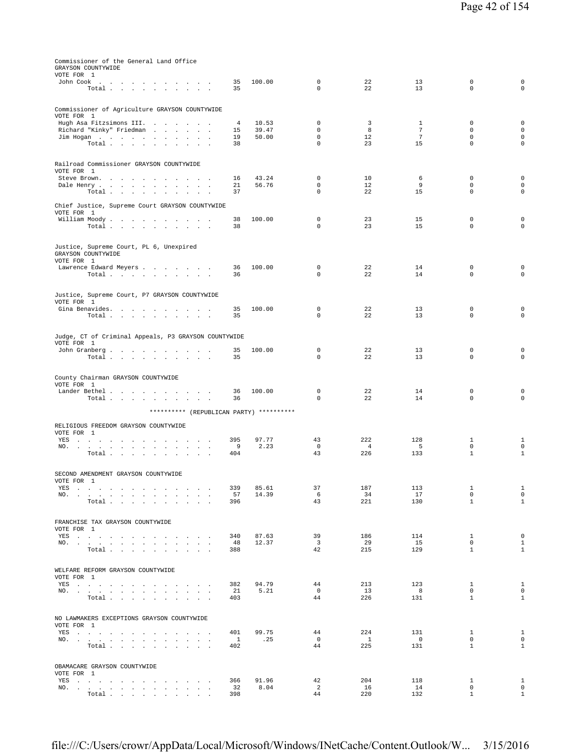| Commissioner of the General Land Office<br>GRAYSON COUNTYWIDE<br>VOTE FOR 1                                                                                                                                                           |                |        |                            |                |                 |                  |                  |
|---------------------------------------------------------------------------------------------------------------------------------------------------------------------------------------------------------------------------------------|----------------|--------|----------------------------|----------------|-----------------|------------------|------------------|
| John Cook $\ldots$ $\ldots$ $\ldots$ $\ldots$ $\ldots$                                                                                                                                                                                | 35             | 100.00 | $\mathbb O$                | 22             | 13              | 0                | 0                |
| Total $\cdots$ $\cdots$ $\cdots$                                                                                                                                                                                                      | 35             |        | $\Omega$                   | 22             | 13              | $\Omega$         | $\Omega$         |
|                                                                                                                                                                                                                                       |                |        |                            |                |                 |                  |                  |
| Commissioner of Agriculture GRAYSON COUNTYWIDE                                                                                                                                                                                        |                |        |                            |                |                 |                  |                  |
| VOTE FOR 1<br>Hugh Asa Fitzsimons III.                                                                                                                                                                                                | $\overline{4}$ | 10.53  | $\mathbf 0$                | 3              | $\mathbf{1}$    | 0                | 0                |
| Richard "Kinky" Friedman                                                                                                                                                                                                              | 15             | 39.47  | $\mathbf 0$                | 8              | $7\phantom{.0}$ | $\mathbf 0$      | $\mathsf 0$      |
| Jim Hogan<br>$\sim$                                                                                                                                                                                                                   | 19             | 50.00  | $\mathbf 0$                | 12             | $7\overline{ }$ | $\mathbf 0$      | $\mathbf 0$      |
| Total<br>$\sim$ $\sim$                                                                                                                                                                                                                | 38             |        | $\mathbf 0$                | 23             | 15              | $\mathbf 0$      | $\mathbf 0$      |
| Railroad Commissioner GRAYSON COUNTYWIDE                                                                                                                                                                                              |                |        |                            |                |                 |                  |                  |
| VOTE FOR 1<br>Steve Brown.                                                                                                                                                                                                            | 16             | 43.24  | 0                          | 10             | 6               | 0                | 0                |
| Dale Henry<br>$\ddot{\phantom{a}}$<br>$\sim$<br>$\ddot{\phantom{a}}$<br>$\cdot$                                                                                                                                                       | 21             | 56.76  | 0                          | 12             | 9               | 0                | $\mathsf 0$      |
| Total                                                                                                                                                                                                                                 | 37             |        | $\mathbf 0$                | 22             | 15              | $\mathbf 0$      | $\mathbf 0$      |
| Chief Justice, Supreme Court GRAYSON COUNTYWIDE<br>VOTE FOR 1                                                                                                                                                                         |                |        |                            |                |                 |                  |                  |
| William Moody.                                                                                                                                                                                                                        | 38             | 100.00 | $\mathbf 0$                | 23             | 15              | 0                | 0                |
| Total                                                                                                                                                                                                                                 | 38             |        | $\mathbf 0$                | 23             | 15              | $\mathbf 0$      | $\mathbf 0$      |
| Justice, Supreme Court, PL 6, Unexpired<br>GRAYSON COUNTYWIDE<br>VOTE FOR 1                                                                                                                                                           |                |        |                            |                |                 |                  |                  |
| Lawrence Edward Meyers                                                                                                                                                                                                                | 36             | 100.00 | $\mathbb O$                | 22             | 14              | 0                | 0                |
| Total                                                                                                                                                                                                                                 | 36             |        | $\mathbf 0$                | 22             | 14              | $\mathbf 0$      | $\mathbf 0$      |
| Justice, Supreme Court, P7 GRAYSON COUNTYWIDE                                                                                                                                                                                         |                |        |                            |                |                 |                  |                  |
| VOTE FOR 1                                                                                                                                                                                                                            |                |        |                            |                |                 |                  |                  |
| Gina Benavides.<br>Total                                                                                                                                                                                                              | 35<br>35       | 100.00 | $\mathbb O$<br>$\mathbf 0$ | 22<br>22       | 13<br>13        | 0<br>$\mathbf 0$ | 0<br>$\mathbf 0$ |
|                                                                                                                                                                                                                                       |                |        |                            |                |                 |                  |                  |
| Judge, CT of Criminal Appeals, P3 GRAYSON COUNTYWIDE<br>VOTE FOR 1                                                                                                                                                                    |                |        |                            |                |                 |                  |                  |
| John Granberg                                                                                                                                                                                                                         | 35             | 100.00 | 0                          | 22             | 13              | 0                | 0                |
| Total                                                                                                                                                                                                                                 | 35             |        | $\Omega$                   | 22             | 13              | $\Omega$         | $\Omega$         |
| County Chairman GRAYSON COUNTYWIDE<br>VOTE FOR 1                                                                                                                                                                                      |                |        |                            |                |                 |                  |                  |
| Lander Bethel                                                                                                                                                                                                                         | 36             | 100.00 | $\mathbf 0$                | 22             | 14              | 0                | 0                |
| Total $\cdots$ $\cdots$ $\cdots$ $\cdots$                                                                                                                                                                                             | 36             |        | 0                          | 22             | 14              | $\mathbf 0$      | $\mathbf 0$      |
| ********** (REPUBLICAN PARTY) **********                                                                                                                                                                                              |                |        |                            |                |                 |                  |                  |
| RELIGIOUS FREEDOM GRAYSON COUNTYWIDE<br>VOTE FOR 1                                                                                                                                                                                    |                |        |                            |                |                 |                  |                  |
| YES                                                                                                                                                                                                                                   | 395            | 97.77  | 43                         | 222            | 128             | $\mathbf{1}$     | 1                |
| NO.<br>the contract of the contract of the contract of the<br>$\sim$<br>$\cdot$                                                                                                                                                       | 9              | 2.23   | $\mathbf 0$                | $\overline{4}$ | 5               | $\mathsf 0$      | $\mathsf 0$      |
| Total                                                                                                                                                                                                                                 | 404            |        | 43                         | 226            | 133             | $\mathbf{1}$     | $\mathbf{1}$     |
| SECOND AMENDMENT GRAYSON COUNTYWIDE<br>VOTE FOR 1                                                                                                                                                                                     |                |        |                            |                |                 |                  |                  |
| YES                                                                                                                                                                                                                                   | 339            | 85.61  | 37                         | 187            | 113             | $\mathbf{1}$     | $\mathbf{1}$     |
| NO. .<br>the contract of the contract of the contract of the contract of the contract of the contract of the contract of<br>$\sim$                                                                                                    | 57             | 14.39  | 6                          | 34             | 17              | $\mathsf 0$      | $\mathsf 0$      |
| Total                                                                                                                                                                                                                                 | 396            |        | 43                         | 221            | 130             | $\mathbf{1}$     | $\mathbf{1}$     |
| FRANCHISE TAX GRAYSON COUNTYWIDE                                                                                                                                                                                                      |                |        |                            |                |                 |                  |                  |
| VOTE FOR 1                                                                                                                                                                                                                            |                |        |                            |                |                 |                  |                  |
| YES and a contract the contract of the set of the set of the set of the set of the set of the set of the set of the set of the set of the set of the set of the set of the set of the set of the set of the set of the set of         | 340            | 87.63  | 39                         | 186            | 114             | $\mathbf{1}$     | $\mathbf 0$      |
| NO.                                                                                                                                                                                                                                   | 48             | 12.37  | $\overline{\mathbf{3}}$    | -29            | 15              | $\mathbf 0$      | $\mathbf{1}$     |
| Total                                                                                                                                                                                                                                 | 388            |        | 42                         | 215            | 129             | $\mathbf{1}$     | $\mathbf{1}$     |
| WELFARE REFORM GRAYSON COUNTYWIDE<br>VOTE FOR 1                                                                                                                                                                                       |                |        |                            |                |                 |                  |                  |
| YES a contract of the contract of the contract of the set of the set of the set of the set of the set of the set of the set of the set of the set of the set of the set of the set of the set of the set of the set of the set        | 382            | 94.79  | 44                         | 213            | 123             | $\mathbf{1}$     | 1                |
| $NO.$ $\cdots$ $\cdots$ $\cdots$ $\cdots$ $\cdots$ $\cdots$                                                                                                                                                                           | 21             | 5.21   | $^{\circ}$                 | 13             | 8               | $\mathbf 0$      | 0                |
| Total<br>$\sim$<br>$\sim$<br>$\sim$ $\sim$                                                                                                                                                                                            | 403            |        | 44                         | 226            | 131             | $\mathbf{1}$     | $\mathbf{1}$     |
| NO LAWMAKERS EXCEPTIONS GRAYSON COUNTYWIDE                                                                                                                                                                                            |                |        |                            |                |                 |                  |                  |
| VOTE FOR 1                                                                                                                                                                                                                            | 401            | 99.75  | 44                         | 224            | 131             | $\mathbf{1}$     | $\mathbf{1}$     |
| YES a contract of the contract of the contract of the set of the set of the set of the set of the set of the set of the set of the set of the set of the set of the set of the set of the set of the set of the set of the set<br>NO. | $\mathbf{1}$   | .25    | $\mathbf 0$                | $\overline{1}$ | $\overline{0}$  | 0                | $\mathbf 0$      |
| Total .<br>and the state of the state of the                                                                                                                                                                                          | 402            |        | 44                         | 225            | 131             | $\mathbf{1}$     | $\mathbf{1}$     |

OBAMACARE GRAYSON COUNTYWIDE

VOTE FOR 1

YES . . . . . . . . . . . . . 366 91.96 42 204 118 1 1 NO. . . . . . . . . . . . . . 32 8.04 2 16 14 0 0 Total . . . . . . . . . . 398 44 220 132 1 1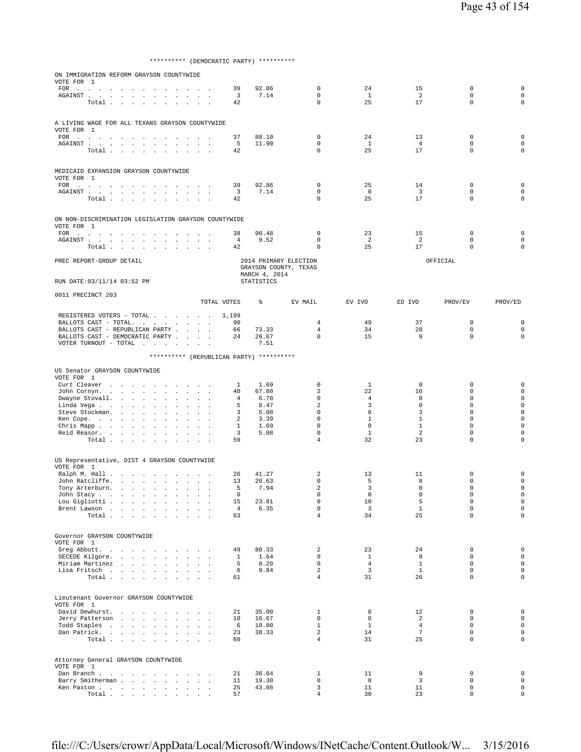\*\*\*\*\*\*\*\*\*\* (DEMOCRATIC PARTY) \*\*\*\*\*\*\*\*\*\*

| ON IMMIGRATION REFORM GRAYSON COUNTYWIDE<br>VOTE FOR 1                                                                                                                                                                                                                                                                                                      |                          |                                          |                      |                   |                                 |                                |                                                           |                               |                                          |                               |                    |                  |                            |                            |
|-------------------------------------------------------------------------------------------------------------------------------------------------------------------------------------------------------------------------------------------------------------------------------------------------------------------------------------------------------------|--------------------------|------------------------------------------|----------------------|-------------------|---------------------------------|--------------------------------|-----------------------------------------------------------|-------------------------------|------------------------------------------|-------------------------------|--------------------|------------------|----------------------------|----------------------------|
|                                                                                                                                                                                                                                                                                                                                                             |                          |                                          |                      |                   |                                 |                                |                                                           | 39                            | 92.86                                    | $\mathbf 0$                   | 24                 | 15               | $\mathbf 0$                | $\mathbf 0$                |
| AGAINST<br>Total                                                                                                                                                                                                                                                                                                                                            |                          |                                          |                      |                   |                                 |                                |                                                           | $\overline{\mathbf{3}}$<br>42 | 7.14                                     | $\mathbf 0$<br>$\Omega$       | $\mathbf{1}$<br>25 | 2<br>17          | $\mathbf 0$<br>$\mathbf 0$ | $\mathbf 0$<br>$\mathbf 0$ |
|                                                                                                                                                                                                                                                                                                                                                             |                          |                                          |                      |                   |                                 |                                |                                                           |                               |                                          |                               |                    |                  |                            |                            |
| A LIVING WAGE FOR ALL TEXANS GRAYSON COUNTYWIDE                                                                                                                                                                                                                                                                                                             |                          |                                          |                      |                   |                                 |                                |                                                           |                               |                                          |                               |                    |                  |                            |                            |
| VOTE FOR 1<br>FOR $\cdots$                                                                                                                                                                                                                                                                                                                                  |                          |                                          |                      |                   |                                 |                                |                                                           | 37                            | 88.10                                    | 0                             | 24                 | 13               | 0                          | 0                          |
| ${\tt AGAINST} \hspace{0.1in} . \hspace{0.1in} . \hspace{0.1in} . \hspace{0.1in} . \hspace{0.1in} . \hspace{0.1in} . \hspace{0.1in} .$                                                                                                                                                                                                                      |                          |                                          |                      |                   |                                 |                                |                                                           | 5                             | 11.90                                    | $\Omega$                      | <sup>1</sup>       | $\overline{4}$   | $\mathbf 0$                | $\mathbf 0$                |
| Total                                                                                                                                                                                                                                                                                                                                                       |                          |                                          |                      |                   |                                 |                                |                                                           | 42                            |                                          | $\mathbf 0$                   | 25                 | 17               | $\mathbf 0$                | $\mathbf 0$                |
|                                                                                                                                                                                                                                                                                                                                                             |                          |                                          |                      |                   |                                 |                                |                                                           |                               |                                          |                               |                    |                  |                            |                            |
| MEDICAID EXPANSION GRAYSON COUNTYWIDE<br>VOTE FOR 1                                                                                                                                                                                                                                                                                                         |                          |                                          |                      |                   |                                 |                                |                                                           |                               |                                          |                               |                    |                  |                            |                            |
| $\begin{picture}(180,170) \put(0,0){\dashbox{0.5}(100,0){ }} \put(150,0){\dashbox{0.5}(100,0){ }} \put(150,0){\dashbox{0.5}(100,0){ }} \put(150,0){\dashbox{0.5}(100,0){ }} \put(150,0){\dashbox{0.5}(100,0){ }} \put(150,0){\dashbox{0.5}(100,0){ }} \put(150,0){\dashbox{0.5}(100,0){ }} \put(150,0){\dashbox{0.5}(100,0){ }} \put(150,0){\dashbox{0.5}($ |                          | <b>Contract Contract</b>                 |                      |                   |                                 |                                |                                                           | 39                            | 92.86                                    | $\mathbf 0$                   | 25                 | 14               | $\mathbf 0$                | $\mathbf 0$                |
| Total                                                                                                                                                                                                                                                                                                                                                       |                          |                                          |                      |                   | $\ddot{\phantom{a}}$            | $\sim$<br>$\ddot{\phantom{a}}$ |                                                           | 3<br>42                       | 7.14                                     | $\mathbf 0$<br>$\mathbf 0$    | $\circ$<br>25      | 3<br>17          | $\mathbf 0$<br>$\mathbf 0$ | $\mathbf 0$<br>$\mathbf 0$ |
|                                                                                                                                                                                                                                                                                                                                                             |                          |                                          |                      |                   |                                 |                                |                                                           |                               |                                          |                               |                    |                  |                            |                            |
| ON NON-DISCRIMINATION LEGISLATION GRAYSON COUNTYWIDE<br>VOTE FOR 1                                                                                                                                                                                                                                                                                          |                          |                                          |                      |                   |                                 |                                |                                                           |                               |                                          |                               |                    |                  |                            |                            |
| FOR $\cdots$                                                                                                                                                                                                                                                                                                                                                |                          |                                          |                      |                   |                                 |                                |                                                           | 38                            | 90.48                                    | $\mathbf 0$                   | 23                 | 15               | $\mathbf 0$                | $\mathbf 0$                |
| Total                                                                                                                                                                                                                                                                                                                                                       |                          |                                          |                      |                   |                                 |                                |                                                           | $\overline{4}$<br>42          | 9.52                                     | $\mathbf 0$<br>$\mathbf 0$    | 2<br>25            | 2<br>17          | $\mathbf 0$<br>$\mathbf 0$ | 0<br>$\mathbf 0$           |
| PREC REPORT-GROUP DETAIL                                                                                                                                                                                                                                                                                                                                    |                          |                                          |                      |                   |                                 |                                |                                                           |                               |                                          | 2014 PRIMARY ELECTION         |                    |                  | OFFICIAL                   |                            |
|                                                                                                                                                                                                                                                                                                                                                             |                          |                                          |                      |                   |                                 |                                |                                                           |                               |                                          | GRAYSON COUNTY, TEXAS         |                    |                  |                            |                            |
| RUN DATE: 03/11/14 03:52 PM                                                                                                                                                                                                                                                                                                                                 |                          |                                          |                      |                   |                                 |                                |                                                           |                               | MARCH 4, 2014<br><b>STATISTICS</b>       |                               |                    |                  |                            |                            |
| 0011 PRECINCT 203                                                                                                                                                                                                                                                                                                                                           |                          |                                          |                      |                   |                                 |                                |                                                           |                               |                                          |                               |                    |                  |                            |                            |
|                                                                                                                                                                                                                                                                                                                                                             |                          |                                          |                      |                   |                                 |                                |                                                           | TOTAL VOTES                   | နွ                                       | EV MAIL                       | EV IVO             | ED IVO           | PROV/EV                    | PROV/ED                    |
| REGISTERED VOTERS - TOTAL<br>BALLOTS CAST - TOTAL. $\cdot$                                                                                                                                                                                                                                                                                                  |                          |                                          |                      |                   |                                 |                                |                                                           | 1,199<br>90                   |                                          | 4                             | 49                 | 37               | $\mathbf 0$                | 0                          |
| BALLOTS CAST - REPUBLICAN PARTY                                                                                                                                                                                                                                                                                                                             |                          |                                          |                      |                   |                                 |                                |                                                           | 66                            | 73.33                                    | 4                             | 34                 | 28               | 0                          | $\mathbf 0$                |
| BALLOTS CAST - DEMOCRATIC PARTY                                                                                                                                                                                                                                                                                                                             |                          |                                          |                      |                   |                                 |                                | $\sim$                                                    | 24                            | 26.67                                    | $\mathbf 0$                   | 15                 | 9                | $\mathbf 0$                | $\mathbf 0$                |
| VOTER TURNOUT - TOTAL $\ldots$                                                                                                                                                                                                                                                                                                                              |                          |                                          |                      |                   |                                 |                                |                                                           |                               | 7.51                                     |                               |                    |                  |                            |                            |
|                                                                                                                                                                                                                                                                                                                                                             |                          |                                          |                      |                   |                                 |                                |                                                           |                               | ********** (REPUBLICAN PARTY) ********** |                               |                    |                  |                            |                            |
| US Senator GRAYSON COUNTYWIDE                                                                                                                                                                                                                                                                                                                               |                          |                                          |                      |                   |                                 |                                |                                                           |                               |                                          |                               |                    |                  |                            |                            |
| VOTE FOR 1<br>Curt Cleaver                                                                                                                                                                                                                                                                                                                                  | <b>Contract Contract</b> | $\sim$                                   | $\sim$               | $\sim$            | $\sim$                          | $\sim$ $\sim$                  |                                                           | $\mathbf{1}$                  | 1.69                                     | 0                             | 1                  | $\circ$          | 0                          | 0                          |
| John Cornyn.                                                                                                                                                                                                                                                                                                                                                |                          |                                          |                      | <b>Contractor</b> | $\mathbf{A}^{\mathrm{H}}$ and   |                                | $\mathbf{z} = \mathbf{z} + \mathbf{z}$ . The $\mathbf{z}$ | 40                            | 67.80                                    | 2                             | 22                 | 16               | $\mathbf 0$                | $\mathbf 0$                |
| Dwayne Stovall.                                                                                                                                                                                                                                                                                                                                             |                          |                                          |                      |                   | $\sim$ $\sim$                   | <b>Carl Carl</b>               | $\sim$                                                    | 4                             | 6.78                                     | $\mathbf 0$                   | $\overline{4}$     | 0                | $\mathbf 0$                | $\mathbf 0$                |
| Linda Vega                                                                                                                                                                                                                                                                                                                                                  |                          |                                          |                      |                   | $\blacksquare$                  |                                | $\mathbf{r}$                                              | 5                             | 8.47                                     | $\overline{a}$<br>$\mathbf 0$ | 3<br>$\mathbf 0$   | $\mathbf 0$      | $\mathbf 0$                | $\mathbf 0$<br>$\mathbf 0$ |
| Steve Stockman.<br>Ken Cope.                                                                                                                                                                                                                                                                                                                                |                          |                                          | $\ddot{\phantom{a}}$ |                   |                                 |                                | $\sim$ $\sim$ $\sim$                                      | 3<br>2                        | 5.08<br>3.39                             | $\mathbf 0$                   | $\mathbf{1}$       | 3<br>1           | 0<br>0                     | $\mathbf 0$                |
| Chris Mapp                                                                                                                                                                                                                                                                                                                                                  |                          |                                          |                      |                   |                                 |                                | $\sim$ $\sim$ $\sim$                                      | 1                             | 1.69                                     | $\mathbf 0$                   | $\mathbf 0$        | 1                | $\mathbf 0$                | $\mathbf 0$                |
| Reid Reasor.                                                                                                                                                                                                                                                                                                                                                |                          |                                          |                      |                   |                                 |                                |                                                           | $\overline{3}$                | 5.08                                     | 0                             | $\mathbf{1}$       | 2                | 0                          | $\mathbf 0$                |
| Total                                                                                                                                                                                                                                                                                                                                                       |                          |                                          |                      |                   |                                 |                                |                                                           | 59                            |                                          | $\overline{4}$                | 32                 | 23               | $\mathbf 0$                | 0                          |
| US Representative, DIST 4 GRAYSON COUNTYWIDE                                                                                                                                                                                                                                                                                                                |                          |                                          |                      |                   |                                 |                                |                                                           |                               |                                          |                               |                    |                  |                            |                            |
| VOTE FOR 1                                                                                                                                                                                                                                                                                                                                                  |                          |                                          |                      |                   |                                 |                                |                                                           |                               |                                          |                               |                    |                  |                            |                            |
| Ralph M. Hall                                                                                                                                                                                                                                                                                                                                               |                          |                                          |                      |                   |                                 |                                |                                                           | 26                            | 41.27                                    | $\overline{2}$                | 13                 | 11               | $\mathbf 0$                | 0                          |
| John Ratcliffe.<br>Tony Arterburn.                                                                                                                                                                                                                                                                                                                          |                          |                                          |                      |                   |                                 |                                |                                                           | 13<br>5                       | 20.63<br>7.94                            | $\mathbf 0$<br>$\overline{a}$ | 5<br>3             | 8<br>$\mathbf 0$ | 0<br>0                     | $\mathbf 0$<br>$\mathbf 0$ |
| John Stacy                                                                                                                                                                                                                                                                                                                                                  |                          |                                          |                      | $\sim$            | $\cdot$<br>$\ddot{\phantom{a}}$ |                                | $\cdot$<br>$\blacksquare$ .                               | 0                             |                                          | $\mathbf 0$                   | $\mathbf 0$        | $\mathbf 0$      | $\mathbf 0$                | $\mathbf 0$                |
| Lou Gigliotti                                                                                                                                                                                                                                                                                                                                               |                          |                                          |                      |                   | $\sim 10^{-1}$                  | $\sim$<br>$\sim$               | $\overline{\phantom{a}}$                                  | 15                            | 23.81                                    | 0                             | 10                 | 5                | 0                          | $\mathbf 0$                |
| Brent Lawson                                                                                                                                                                                                                                                                                                                                                |                          |                                          |                      |                   |                                 |                                |                                                           | $\overline{4}$                | 6.35                                     | $\mathbf 0$                   | $\overline{3}$     | $\mathbf{1}$     | $\mathsf 0$                | $\mathbf 0$                |
| Total                                                                                                                                                                                                                                                                                                                                                       |                          |                                          |                      |                   | $\sim$                          | $\sim$<br>$\sim$               |                                                           | 63                            |                                          | $\overline{4}$                | 34                 | 25               | $\Omega$                   | $\mathbf 0$                |
| Governor GRAYSON COUNTYWIDE                                                                                                                                                                                                                                                                                                                                 |                          |                                          |                      |                   |                                 |                                |                                                           |                               |                                          |                               |                    |                  |                            |                            |
| VOTE FOR 1                                                                                                                                                                                                                                                                                                                                                  |                          |                                          |                      |                   |                                 |                                |                                                           |                               |                                          |                               |                    |                  |                            |                            |
| Greg Abbott.<br>SECEDE Kilgore.                                                                                                                                                                                                                                                                                                                             |                          | the contract of the contract of the con- |                      |                   |                                 |                                |                                                           | 49<br>$\mathbf{1}$            | 80.33<br>1.64                            | $\overline{a}$<br>$\Omega$    | 23<br>$\mathbf{1}$ | 24<br>$\circ$    | $\mathsf 0$<br>$\mathbf 0$ | $\mathbf 0$<br>$\mathbf 0$ |
| Miriam Martinez                                                                                                                                                                                                                                                                                                                                             |                          |                                          |                      |                   |                                 |                                |                                                           | 5                             | 8.20                                     | $\mathbf 0$                   | $\overline{4}$     | $\mathbf{1}$     | 0                          | $\mathbf 0$                |
| Lisa Fritsch                                                                                                                                                                                                                                                                                                                                                |                          |                                          |                      |                   |                                 |                                |                                                           | 6                             | 9.84                                     | $\overline{a}$                | $\overline{3}$     | $\mathbf{1}$     | 0                          | $\mathbf 0$                |
| Total $\cdots$ $\cdots$ $\cdots$ $\cdots$                                                                                                                                                                                                                                                                                                                   |                          |                                          |                      |                   |                                 |                                |                                                           | 61                            |                                          | $\overline{4}$                | 31                 | 26               | $\mathbf 0$                | $\mathbf 0$                |
| Lieutenant Governor GRAYSON COUNTYWIDE                                                                                                                                                                                                                                                                                                                      |                          |                                          |                      |                   |                                 |                                |                                                           |                               |                                          |                               |                    |                  |                            |                            |
| VOTE FOR 1                                                                                                                                                                                                                                                                                                                                                  |                          |                                          |                      |                   |                                 |                                |                                                           |                               |                                          |                               |                    |                  |                            |                            |
| David Dewhurst.<br>Jerry Patterson                                                                                                                                                                                                                                                                                                                          |                          |                                          |                      |                   | $\sim$                          |                                |                                                           | 21<br>10                      | 35.00<br>16.67                           | 1<br>$\mathbf 0$              | 8<br>8             | 12<br>2          | $\mathbf 0$<br>0           | $\mathbf 0$<br>$\mathbf 0$ |
| Todd Staples                                                                                                                                                                                                                                                                                                                                                |                          |                                          |                      |                   |                                 |                                |                                                           | 6                             | 10.00                                    | $\mathbf{1}$                  | $\mathbf{1}$       | $\overline{4}$   | 0                          | $\mathbf 0$                |
| Dan Patrick.                                                                                                                                                                                                                                                                                                                                                |                          |                                          |                      |                   |                                 |                                |                                                           | 23                            | 38.33                                    | $\overline{2}$                | 14                 | $7\phantom{.0}$  | $\mathbf 0$                | $\mathbf 0$                |
| Total                                                                                                                                                                                                                                                                                                                                                       |                          |                                          |                      |                   |                                 |                                |                                                           | 60                            |                                          | $\overline{4}$                | 31                 | 25               | $\Omega$                   | $\Omega$                   |
|                                                                                                                                                                                                                                                                                                                                                             |                          |                                          |                      |                   |                                 |                                |                                                           |                               |                                          |                               |                    |                  |                            |                            |
| Attorney General GRAYSON COUNTYWIDE<br>VOTE FOR 1                                                                                                                                                                                                                                                                                                           |                          |                                          |                      |                   |                                 |                                |                                                           |                               |                                          |                               |                    |                  |                            |                            |
| Dan Branch.                                                                                                                                                                                                                                                                                                                                                 |                          |                                          |                      |                   |                                 |                                |                                                           | 21                            | 36.84                                    | $\mathbf{1}$                  | 11                 | 9                | $\mathsf 0$                | $\mathsf{O}\xspace$        |
| Barry Smitherman<br>Ken Paxton                                                                                                                                                                                                                                                                                                                              |                          |                                          |                      |                   |                                 |                                |                                                           | 11<br>25                      | 19.30<br>43.86                           | $\mathbf 0$<br>3              | 8<br>11            | 3<br>11          | 0<br>0                     | $\mathbf 0$<br>$\mathbf 0$ |
| Total                                                                                                                                                                                                                                                                                                                                                       |                          |                                          |                      |                   |                                 |                                |                                                           | 57                            |                                          | $\overline{4}$                | 30                 | 23               | $\mathbf 0$                | $\mathbf 0$                |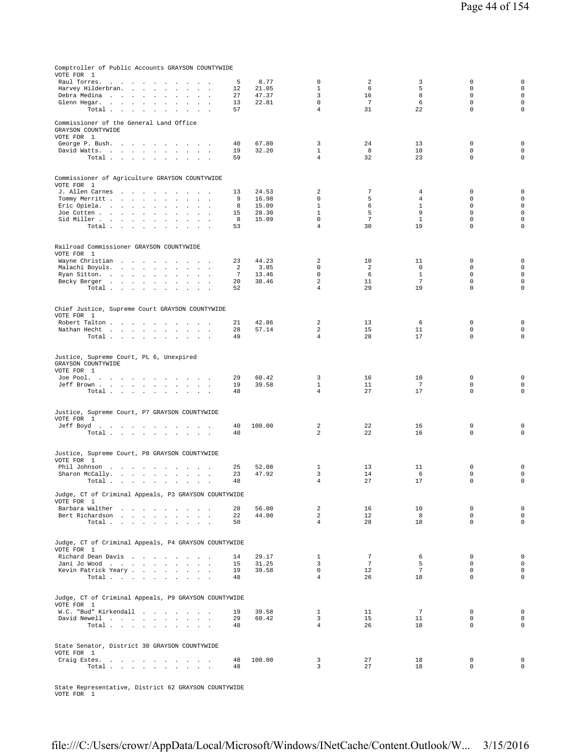| Comptroller of Public Accounts GRAYSON COUNTYWIDE<br>VOTE FOR 1                                                                                                                   |                       |                |                             |                       |                                |                            |                            |
|-----------------------------------------------------------------------------------------------------------------------------------------------------------------------------------|-----------------------|----------------|-----------------------------|-----------------------|--------------------------------|----------------------------|----------------------------|
| Raul Torres.<br>$\sim 100$<br>$\sim 100$<br>the company of the company of the company of                                                                                          | 5                     | 8.77           | 0                           | 2                     | 3                              | 0                          | $\mathsf{O}\xspace$        |
| Harvey Hilderbran.<br>$\mathbf{z} = \mathbf{z} + \mathbf{z}$ .<br>$\ddot{\phantom{a}}$                                                                                            | 12                    | 21.05          | $\mathbf{1}$                | 6                     | 5                              | $\mathbf 0$                | $\mathbf 0$                |
| Debra Medina<br>$\sim$                                                                                                                                                            | 27                    | 47.37          | 3                           | 16                    | 8                              | $\mathbf 0$                | $\mathsf 0$                |
| Glenn Hegar.<br>$\cdot$<br>$\cdot$                                                                                                                                                | 13<br>57              | 22.81          | $\mathbf 0$<br>4            | $7\phantom{.0}$<br>31 | 6<br>22                        | $\mathbb O$<br>$\mathbf 0$ | $\mathsf 0$<br>$\mathbf 0$ |
| Total<br>$\mathbf{r}$                                                                                                                                                             |                       |                |                             |                       |                                |                            |                            |
| Commissioner of the General Land Office<br>GRAYSON COUNTYWIDE<br>VOTE FOR 1                                                                                                       |                       |                |                             |                       |                                |                            |                            |
| George P. Bush.                                                                                                                                                                   | 40                    | 67.80          | 3                           | 24                    | 13                             | $\mathbf 0$                | $\mathsf{O}\xspace$        |
| David Watts.<br>$\sim$                                                                                                                                                            | 19                    | 32.20          | $\mathbf{1}$                | 8                     | 10                             | $\mathsf 0$                | $\mathsf 0$                |
| Total $\cdots$ $\cdots$ $\cdots$<br>$\sim$                                                                                                                                        | 59                    |                | $\overline{4}$              | 32                    | 23                             | $\mathbf 0$                | $\mathbf 0$                |
|                                                                                                                                                                                   |                       |                |                             |                       |                                |                            |                            |
| Commissioner of Agriculture GRAYSON COUNTYWIDE<br>VOTE FOR 1                                                                                                                      |                       |                |                             |                       |                                |                            |                            |
| J. Allen Carnes                                                                                                                                                                   | 13                    | 24.53          | 2                           | 7                     | $\overline{4}$                 | $\mathbf 0$                | $\mathsf 0$                |
| Tommy Merritt<br>$\sim$<br>$\sim$<br>$\ddot{\phantom{1}}$<br>Eric Opiela.<br>$\ddot{\phantom{a}}$<br>$\ddot{\phantom{a}}$<br>$\ddot{\phantom{a}}$                                 | 9<br>8                | 16.98<br>15.09 | $\mathbf 0$<br>$\mathbf{1}$ | 5<br>6                | $\overline{4}$<br>$\mathbf{1}$ | $\mathbf 0$<br>$\mathbf 0$ | $\mathsf 0$<br>$\mathsf 0$ |
| Joe Cotten<br>$\mathbf{r}$                                                                                                                                                        | 15                    | 28.30          | $\mathbf{1}$                | 5                     | 9                              | $\mathbf 0$                | $\mathbf 0$                |
| Sid Miller<br>$\sim$<br>$\ddot{\phantom{a}}$                                                                                                                                      | 8                     | 15.09          | $\mathsf 0$                 | $7\phantom{.0}$       | $\mathbf{1}$                   | $\mathsf 0$                | $\mathsf{O}\xspace$        |
| Total<br>$\sim$                                                                                                                                                                   | 53                    |                | $\overline{4}$              | 30                    | 19                             | $\Omega$                   | $\mathbf 0$                |
|                                                                                                                                                                                   |                       |                |                             |                       |                                |                            |                            |
| Railroad Commissioner GRAYSON COUNTYWIDE<br>VOTE FOR 1                                                                                                                            |                       |                |                             |                       |                                |                            |                            |
| Wayne Christian                                                                                                                                                                   | 23                    | 44.23          | 2                           | 10                    | 11                             | $\mathbb O$                | $\mathsf{O}\xspace$        |
| Malachi Boyuls.<br>$\ddot{\phantom{a}}$<br>$\cdot$<br>$\sim$                                                                                                                      | 2                     | 3.85           | $\mathbf 0$<br>$\Omega$     | 2                     | $\mathbf 0$<br>$\mathbf{1}$    | $\mathbf 0$<br>$\Omega$    | $\mathsf 0$                |
| Ryan Sitton.<br>$\cdot$<br>Becky Berger<br>$\ddot{\phantom{a}}$<br>$\sim$<br>$\sim$                                                                                               | $7\phantom{.0}$<br>20 | 13.46<br>38.46 | $\overline{a}$              | - 6<br>11             | 7                              | $\mathbf 0$                | $\mathsf 0$<br>0           |
| Total<br>$\sim$                                                                                                                                                                   | 52                    |                | $\overline{4}$              | 29                    | 19                             | $\mathbf 0$                | $\mathsf{O}\xspace$        |
|                                                                                                                                                                                   |                       |                |                             |                       |                                |                            |                            |
| Chief Justice, Supreme Court GRAYSON COUNTYWIDE<br>VOTE FOR 1                                                                                                                     |                       |                |                             |                       |                                |                            |                            |
| Robert Talton<br>$\sim$<br>$\sim$<br>$\sim$                                                                                                                                       | 21                    | 42.86          | 2                           | 13                    | 6                              | $\mathbf 0$                | 0                          |
| Nathan Hecht                                                                                                                                                                      | 28                    | 57.14          | 2                           | 15                    | 11                             | $\mathbb O$                | $\mathbf 0$                |
| Total                                                                                                                                                                             | 49                    |                | $\overline{4}$              | 28                    | 17                             | $\mathbf 0$                | $\mathsf{O}\xspace$        |
| Justice, Supreme Court, PL 6, Unexpired<br>GRAYSON COUNTYWIDE<br>VOTE FOR 1<br>Joe Pool.                                                                                          | 29                    | 60.42          | 3                           | 16                    | 10                             | 0                          | 0                          |
| Jeff Brown<br>$\sim$                                                                                                                                                              | 19                    | 39.58          | $\mathbf{1}$                | 11                    | $7\phantom{.0}$                | $\mathbb O$                | $\mathsf{O}\xspace$        |
| Total $\cdots$ $\cdots$ $\cdots$                                                                                                                                                  | 48                    |                | $\overline{4}$              | 27                    | 17                             | $\mathbf 0$                | $\mathbf 0$                |
| Justice, Supreme Court, P7 GRAYSON COUNTYWIDE<br>VOTE FOR 1                                                                                                                       |                       |                |                             |                       |                                |                            |                            |
| Jeff Boyd                                                                                                                                                                         | 40                    | 100.00         | 2                           | 22                    | 16                             | $\mathbb O$                | 0                          |
| Total $\cdots$ $\cdots$ $\cdots$<br>$\sim 10^{-10}$ km $^{-1}$                                                                                                                    | 40                    |                | 2                           | 22                    | 16                             | $\mathbf 0$                | $\mathbf 0$                |
| Justice, Supreme Court, P8 GRAYSON COUNTYWIDE                                                                                                                                     |                       |                |                             |                       |                                |                            |                            |
| VOTE FOR 1                                                                                                                                                                        |                       |                |                             |                       |                                |                            |                            |
| Phil Johnson<br>$\sim 10$<br>and the contract of the contract of the<br>Sharon McCally.<br>the contract of the contract of the<br>$\sim 100$ km s $^{-1}$<br>$\ddot{\phantom{1}}$ | 25<br>23              | 52.08<br>47.92 | 1<br>3                      | 13<br>14              | 11<br>6                        | $\mathbb O$<br>$\mathbf 0$ | 0<br>$\mathsf 0$           |
| Total<br>$\sim$                                                                                                                                                                   | 48                    |                | 4                           | 27                    | 17                             | 0                          | $\mathsf{O}\xspace$        |
| Judge, CT of Criminal Appeals, P3 GRAYSON COUNTYWIDE<br>VOTE FOR 1                                                                                                                |                       |                |                             |                       |                                |                            |                            |
| Barbara Walther                                                                                                                                                                   | 28                    | 56.00          | 2                           | 16                    | 10                             | $\mathbb O$                | $\mathsf 0$                |
| Bert Richardson<br>$\sim 10^{-1}$                                                                                                                                                 | 22                    | 44.00          | $\overline{a}$              | 12                    | 8                              | $\mathbf 0$                | $\mathbf 0$                |
| Total<br>$\sim$                                                                                                                                                                   | 50                    |                | $\overline{4}$              | 28                    | 18                             | $\mathbf 0$                | $\mathbf 0$                |
| Judge, CT of Criminal Appeals, P4 GRAYSON COUNTYWIDE<br>VOTE FOR 1                                                                                                                |                       |                |                             |                       |                                |                            |                            |
| Richard Dean Davis                                                                                                                                                                | 14                    | 29.17          | $\mathbf{1}$                | $7\phantom{.0}$       | 6                              | $\mathbf 0$                | $\mathsf 0$                |
| Jani Jo Wood                                                                                                                                                                      | 15                    | 31.25          | 3                           | 7                     | 5                              | $\mathbf 0$                | $\mathsf 0$                |
| Kevin Patrick Yeary                                                                                                                                                               | 19                    | 39.58          | 0                           | 12                    | $7\phantom{.0}$                | $\mathbf 0$                | $\mathsf 0$                |
| Total                                                                                                                                                                             | 48                    |                | $\overline{4}$              | 26                    | 18                             | $\mathbf 0$                | $\mathsf 0$                |
| Judge, CT of Criminal Appeals, P9 GRAYSON COUNTYWIDE                                                                                                                              |                       |                |                             |                       |                                |                            |                            |
| VOTE FOR 1<br>W.C. "Bud" Kirkendall                                                                                                                                               | 19                    | 39.58          | $\mathbf{1}$                | 11                    | 7                              | 0                          | 0                          |
| David Newell                                                                                                                                                                      | 29                    | 60.42          | 3                           | 15                    | 11                             | $\mathbf 0$                | $\mathsf 0$                |
| Total                                                                                                                                                                             | 48                    |                | $\overline{4}$              | 26                    | 18                             | $\mathbf 0$                | $\mathsf 0$                |
|                                                                                                                                                                                   |                       |                |                             |                       |                                |                            |                            |
| State Senator, District 30 GRAYSON COUNTYWIDE<br>VOTE FOR 1                                                                                                                       |                       |                |                             |                       |                                |                            |                            |
| Craig Estes.                                                                                                                                                                      | 48                    | 100.00         | 3                           | 27                    | 18                             | 0                          | $\mathsf 0$                |
| Total                                                                                                                                                                             | 48                    |                | 3                           | 27                    | 18                             | $\mathsf 0$                | $\mathbf 0$                |

State Representative, District 62 GRAYSON COUNTYWIDE VOTE FOR 1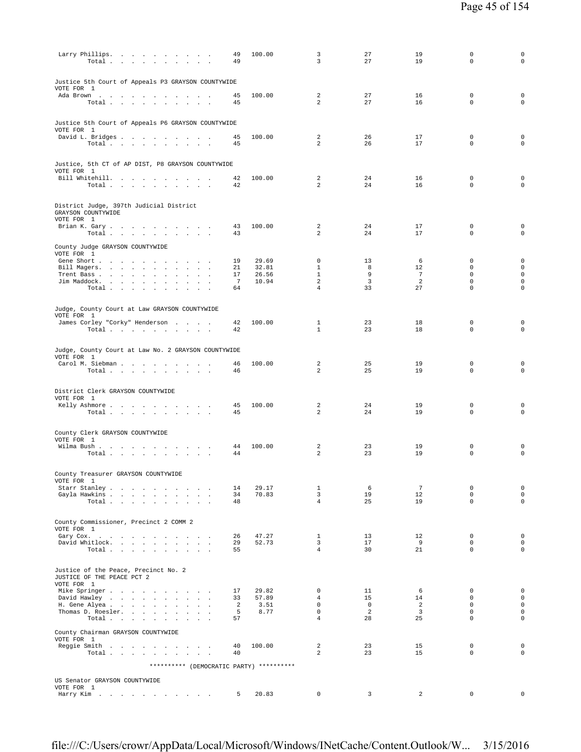| Larry Phillips.<br>Total                                           |                                          | 49<br>49 | 100.00         | 3<br>$\overline{3}$              | 27<br>27                         | 19<br>19                     | 0<br>$\Omega$                | 0<br>$\mathbf 0$                   |
|--------------------------------------------------------------------|------------------------------------------|----------|----------------|----------------------------------|----------------------------------|------------------------------|------------------------------|------------------------------------|
| Justice 5th Court of Appeals P3 GRAYSON COUNTYWIDE<br>VOTE FOR 1   |                                          |          |                | 2                                | 27                               |                              | $\mathbf 0$                  | $\mathbf 0$                        |
| Ada Brown<br>Total                                                 |                                          | 45<br>45 | 100.00         | $\overline{a}$                   | 27                               | 16<br>16                     | $\mathbf 0$                  | $\mathbf 0$                        |
| Justice 5th Court of Appeals P6 GRAYSON COUNTYWIDE<br>VOTE FOR 1   |                                          |          |                |                                  |                                  |                              |                              |                                    |
| David L. Bridges                                                   |                                          | 45       | 100.00         | 2                                | 26                               | 17                           | $\mathbf 0$                  | $\mathbf 0$                        |
| Total                                                              |                                          | 45       |                | 2                                | 26                               | 17                           | $\Omega$                     | $\mathbf 0$                        |
| Justice, 5th CT of AP DIST, P8 GRAYSON COUNTYWIDE<br>VOTE FOR 1    |                                          |          |                |                                  |                                  |                              |                              |                                    |
| Bill Whitehill.<br>Total                                           |                                          | 42<br>42 | 100.00         | $\overline{2}$<br>$\overline{a}$ | 24<br>24                         | 16<br>16                     | $\mathbf 0$<br>0             | $\mathbf 0$<br>$\mathbf 0$         |
| District Judge, 397th Judicial District                            |                                          |          |                |                                  |                                  |                              |                              |                                    |
| GRAYSON COUNTYWIDE<br>VOTE FOR 1                                   |                                          |          |                |                                  |                                  |                              |                              |                                    |
| Brian K. Gary                                                      |                                          | 43       | 100.00         | $\overline{a}$                   | 24                               | 17                           | $\mathbf 0$                  | $\mathbf 0$                        |
| Total                                                              |                                          | 43       |                | $\overline{a}$                   | 24                               | 17                           | $\mathbf 0$                  | $\mathbf 0$                        |
| County Judge GRAYSON COUNTYWIDE<br>VOTE FOR 1                      |                                          |          |                |                                  |                                  |                              |                              |                                    |
| Gene Short<br>Bill Magers.                                         |                                          | 19<br>21 | 29.69<br>32.81 | $\mathbf 0$<br>$\mathbf{1}$      | 13<br>8                          | 6<br>12                      | $\mathbf 0$<br>$\mathbf 0$   | $\mathbf 0$<br>$\mathbf 0$         |
| Trent Bass                                                         |                                          | 17       | 26.56          | $\mathbf{1}$                     | 9                                | 7                            | $\Omega$                     | $\mathbf 0$                        |
| Jim Maddock.<br>$\texttt{Total}~~.~~.~~.~~.~~.~~.~~.~~.$           |                                          | 7<br>64  | 10.94          | $\overline{a}$<br>$\overline{4}$ | $\overline{\mathbf{3}}$<br>33    | 2<br>27                      | $\mathbf 0$<br>$\mathbf 0$   | $\mathbf 0$<br>$\mathbf 0$         |
|                                                                    |                                          |          |                |                                  |                                  |                              |                              |                                    |
| Judge, County Court at Law GRAYSON COUNTYWIDE<br>VOTE FOR 1        |                                          |          |                |                                  |                                  |                              |                              |                                    |
| James Corley "Corky" Henderson                                     |                                          | 42       | 100.00         | $\mathbf{1}$                     | 23                               | 18                           | $\mathbf 0$                  | $\mathbf 0$                        |
| Total                                                              |                                          | 42       |                | $\mathbf{1}$                     | 23                               | 18                           | $\mathbf 0$                  | $\mathbf 0$                        |
| Judge, County Court at Law No. 2 GRAYSON COUNTYWIDE<br>VOTE FOR 1  |                                          |          |                |                                  |                                  |                              |                              |                                    |
| Carol M. Siebman                                                   |                                          | 46       | 100.00         | 2<br>2                           | 25                               | 19                           | $\mathbf 0$<br>$\mathbf 0$   | $\mathbf 0$                        |
| Total                                                              |                                          | 46       |                |                                  | 25                               | 19                           |                              | 0                                  |
| District Clerk GRAYSON COUNTYWIDE<br>VOTE FOR 1                    |                                          |          |                |                                  |                                  |                              |                              |                                    |
| Kelly Ashmore<br>Total $\cdots$ $\cdots$ $\cdots$ $\cdots$         |                                          | 45<br>45 | 100.00         | 2<br>2                           | 24<br>24                         | 19<br>19                     | $\mathbf 0$<br>$\mathbf 0$   | $\mathbf 0$<br>$\mathbf 0$         |
|                                                                    |                                          |          |                |                                  |                                  |                              |                              |                                    |
| County Clerk GRAYSON COUNTYWIDE<br>VOTE FOR 1                      |                                          |          |                |                                  |                                  |                              |                              |                                    |
| Wilma Bush<br>Total $\cdots$ $\cdots$ $\cdots$                     |                                          | 44<br>44 | 100.00         | 2<br>2                           | 23<br>23                         | 19<br>19                     | $\mathbf 0$<br>$\mathbf 0$   | $\mathbf 0$<br>$\mathbf 0$         |
| County Treasurer GRAYSON COUNTYWIDE                                |                                          |          |                |                                  |                                  |                              |                              |                                    |
| VOTE FOR 1<br>Starr Stanley                                        |                                          | 14       | 29.17          | $\mathbf{1}$                     | 6                                | $7\overline{ }$              | $\mathbf 0$                  | $\mathbf 0$                        |
| Gayla Hawkins<br>Total                                             |                                          | 34<br>48 | 70.83          | $\overline{3}$<br>$\overline{4}$ | 19<br>25                         | 12<br>19                     | $\mathbf{0}$<br>$\mathbf{0}$ | $\mathbf 0$<br>$\circ$             |
|                                                                    |                                          |          |                |                                  |                                  |                              |                              |                                    |
| County Commissioner, Precinct 2 COMM 2                             |                                          |          |                |                                  |                                  |                              |                              |                                    |
| VOTE FOR 1<br>Gary Cox.                                            |                                          | 26       | 47.27          | $\mathbf{1}$                     | 13                               | 12                           | $\mathbf 0$                  | $\mathbf 0$                        |
| David Whitlock.<br>Total                                           |                                          | 29<br>55 | 52.73          | $\overline{3}$<br>$\overline{4}$ | 17<br>30                         | 9<br>21                      | $\Omega$<br>$\mathbf{0}$     | $\mathbf 0$<br>$\mathsf{O}\xspace$ |
|                                                                    |                                          |          |                |                                  |                                  |                              |                              |                                    |
| Justice of the Peace, Precinct No. 2<br>JUSTICE OF THE PEACE PCT 2 |                                          |          |                |                                  |                                  |                              |                              |                                    |
| VOTE FOR 1<br>Mike Springer                                        |                                          | 17       | 29.82          | $\mathbf 0$                      | 11                               | 6                            | $\circ$                      | $\mathbf 0$                        |
| David Hawley                                                       |                                          | 33       | 57.89          | $\overline{4}$                   | 15                               | 14                           | $^{\circ}$                   | $\mathbf 0$                        |
| H. Gene Alyea<br>Thomas D. Roesler.                                |                                          | 2<br>5   | 3.51<br>8.77   | $\mathbf 0$<br>$\mathbf 0$       | $\overline{0}$<br>$\overline{2}$ | 2<br>$\overline{\mathbf{3}}$ | $\circ$<br>$\mathbf 0$       | $\mathbf 0$<br>$\mathsf{O}\xspace$ |
| Total                                                              | $\sim$<br>and a state                    | 57       |                | $\overline{4}$                   | 28                               | 25                           | $\mathbf 0$                  | $\mathbf 0$                        |
| County Chairman GRAYSON COUNTYWIDE<br>VOTE FOR 1                   |                                          |          |                |                                  |                                  |                              |                              |                                    |
| Reggie Smith<br>Total                                              | $\sim$                                   | 40<br>40 | 100.00         | 2<br>$\overline{a}$              | 23<br>23                         | 15<br>15                     | $\mathbf 0$<br>$\mathbf{0}$  | $\mathbf 0$<br>$\circ$             |
|                                                                    |                                          |          |                |                                  |                                  |                              |                              |                                    |
|                                                                    | ********** (DEMOCRATIC PARTY) ********** |          |                |                                  |                                  |                              |                              |                                    |
| US Senator GRAYSON COUNTYWIDE<br>VOTE FOR 1                        |                                          |          |                |                                  |                                  |                              |                              |                                    |
| Harry Kim $\ldots$ , $\ldots$ , $\ldots$ , $\ldots$                |                                          | 5        | 20.83          | $\mathbf 0$                      | 3                                | 2                            | 0                            | $\circ$                            |

file:///C:/Users/crowr/AppData/Local/Microsoft/Windows/INetCache/Content.Outlook/W... 3/15/2016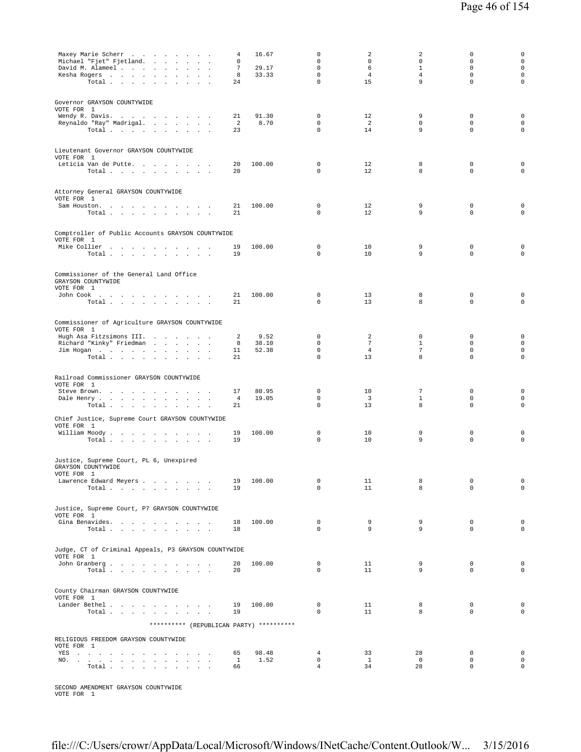| Maxey Marie Scherr<br>Michael "Fjet" Fjetland.<br>David M. Alameel<br>Kesha Rogers<br>$\ddot{\phantom{a}}$<br>Total                                                     | 4<br>0<br>7<br>8<br>24   | 16.67<br>29.17<br>33.33 | $\Omega$<br>$\mathbf 0$<br>$\mathbf 0$<br>$\mathsf 0$<br>$\mathbf 0$ | 2<br>$\mathbf 0$<br>6<br>4<br>15    | 2<br>$\mathbf 0$<br>$\mathbf{1}$<br>4<br>9 | 0<br>0<br>$\mathbf 0$<br>$\mathbb O$<br>$\mathbf 0$ | 0<br>$\mathbf 0$<br>$\mathbf 0$<br>$\mathsf 0$<br>$\mathbf 0$ |
|-------------------------------------------------------------------------------------------------------------------------------------------------------------------------|--------------------------|-------------------------|----------------------------------------------------------------------|-------------------------------------|--------------------------------------------|-----------------------------------------------------|---------------------------------------------------------------|
| Governor GRAYSON COUNTYWIDE<br>VOTE FOR 1<br>Wendy R. Davis.<br>Reynaldo "Ray" Madrigal.<br>Total $\cdots$ $\cdots$ $\cdots$ $\cdots$                                   | 21<br>2<br>23            | 91.30<br>8.70           | 0<br>$\mathbf 0$<br>$\Omega$                                         | 12<br>$\overline{a}$<br>14          | 9<br>$\mathbf 0$<br>9                      | $\mathbf 0$<br>$\mathbf 0$<br>$\mathbf 0$           | $\mathsf 0$<br>$\mathbf 0$<br>$\mathbf 0$                     |
| Lieutenant Governor GRAYSON COUNTYWIDE<br>VOTE FOR 1<br>Leticia Van de Putte.<br>Total                                                                                  | 20<br>20                 | 100.00                  | $\mathbf 0$<br>$\mathbf 0$                                           | 12<br>12                            | 8<br>8                                     | $\mathbf 0$<br>$\mathbf 0$                          | 0<br>$\mathbf 0$                                              |
| Attorney General GRAYSON COUNTYWIDE<br>VOTE FOR 1<br>Sam Houston.<br>the contract of the contract of the<br><b>Contract Contract Contract</b><br>Total<br>$\sim$ $\sim$ | 21<br>21                 | 100.00                  | 0<br>$\Omega$                                                        | 12<br>12                            | 9<br>9                                     | $\mathbb O$<br>$\mathbf 0$                          | 0<br>$\mathbf 0$                                              |
| Comptroller of Public Accounts GRAYSON COUNTYWIDE<br>VOTE FOR 1<br>Mike Collier<br>Total                                                                                | 19<br>19                 | 100.00                  | $\mathbf 0$<br>$\mathbf 0$                                           | 10<br>10                            | 9<br>9                                     | $\mathbf 0$<br>$\mathbf 0$                          | 0<br>$\mathsf 0$                                              |
| Commissioner of the General Land Office<br>GRAYSON COUNTYWIDE<br>VOTE FOR 1<br>John Cook<br>Total                                                                       | 21<br>21                 | 100.00                  | 0<br>$\mathbf 0$                                                     | 13<br>13                            | 8<br>8                                     | $\mathbf 0$<br>$\mathbf 0$                          | 0<br>0                                                        |
| Commissioner of Agriculture GRAYSON COUNTYWIDE<br>VOTE FOR 1<br>Hugh Asa Fitzsimons III.<br>Richard "Kinky" Friedman<br>Jim Hogan<br>Total $\cdots$ $\cdots$ $\cdots$   | 2<br>8<br>11<br>21       | 9.52<br>38.10<br>52.38  | $\mathbf 0$<br>$\mathbf 0$<br>0<br>$\mathbf 0$                       | 2<br>$7\phantom{.0}$<br>4<br>13     | $\mathbf 0$<br>1<br>7<br>8                 | $\mathbf 0$<br>$\mathbf 0$<br>0<br>$\mathbf 0$      | $\mathsf 0$<br>$\mathbf 0$<br>$\mathsf 0$<br>$\mathsf 0$      |
| Railroad Commissioner GRAYSON COUNTYWIDE<br>VOTE FOR 1<br>Steve Brown.<br>Dale Henry<br>Total<br>$\ddot{\phantom{a}}$                                                   | 17<br>4<br>21            | 80.95<br>19.05          | 0<br>0<br>0                                                          | 10<br>$\overline{\mathbf{3}}$<br>13 | 7<br>1<br>8                                | $\mathbf 0$<br>$\mathbf 0$<br>$\mathbf 0$           | 0<br>0<br>0                                                   |
| Chief Justice, Supreme Court GRAYSON COUNTYWIDE<br>VOTE FOR 1<br>William Moody.<br>Total                                                                                | 19<br>19                 | 100.00                  | 0<br>$\mathbf 0$                                                     | 10<br>10                            | 9<br>9                                     | 0<br>$\mathbf 0$                                    | 0<br>0                                                        |
| Justice, Supreme Court, PL 6, Unexpired<br>GRAYSON COUNTYWIDE<br>VOTE FOR 1<br>Lawrence Edward Meyers<br>Total                                                          | 19<br>19                 | 100.00                  | 0<br>$\mathbf 0$                                                     | 11<br>11                            | 8<br>8                                     | $\mathbb O$<br>$\mathbf 0$                          | $\mathsf 0$<br>$\mathbf 0$                                    |
| Justice, Supreme Court, P7 GRAYSON COUNTYWIDE<br>VOTE FOR 1<br>Gina Benavides.<br>Total $\cdots$ $\cdots$ $\cdots$ $\cdots$                                             | 18<br>18                 | 100.00                  | $\mathbf 0$<br>$\Omega$                                              | 9<br>9                              | 9<br>9                                     | $\mathbf 0$<br>$\Omega$                             | $\mathsf 0$<br>$\mathbf 0$                                    |
| Judge, CT of Criminal Appeals, P3 GRAYSON COUNTYWIDE<br>VOTE FOR 1<br>John Granberg<br>Total                                                                            | 20<br>20                 | 100.00                  | 0<br>$\mathbf 0$                                                     | 11<br>11                            | 9<br>9                                     | $\mathbf 0$<br>$\mathbf 0$                          | $\mathsf 0$<br>$\mathsf{O}\xspace$                            |
| County Chairman GRAYSON COUNTYWIDE<br>VOTE FOR 1<br>Lander Bethel<br>Total                                                                                              | 19<br>19                 | 100.00                  | $\mathsf 0$<br>$\mathbf 0$                                           | 11<br>11                            | 8<br>8                                     | $\mathbf 0$<br>$\mathbf 0$                          | $\mathsf 0$<br>$\mathsf 0$                                    |
| ********** (REPUBLICAN PARTY) **********<br>RELIGIOUS FREEDOM GRAYSON COUNTYWIDE<br>VOTE FOR 1<br>YES<br>NO.<br>Total.                                                  | 65<br>$\mathbf{1}$<br>66 | 98.48<br>1.52           | 4<br>$\mathbf{0}$<br>$\overline{4}$                                  | 33<br>$\mathbf{1}$<br>34            | 28<br>$\overline{0}$<br>28                 | $\mathbf 0$<br>$\mathbf 0$<br>$\mathbf 0$           | $\mathsf{O}\xspace$<br>$\mathbf 0$<br>0                       |
|                                                                                                                                                                         |                          |                         |                                                                      |                                     |                                            |                                                     |                                                               |

SECOND AMENDMENT GRAYSON COUNTYWIDE VOTE FOR 1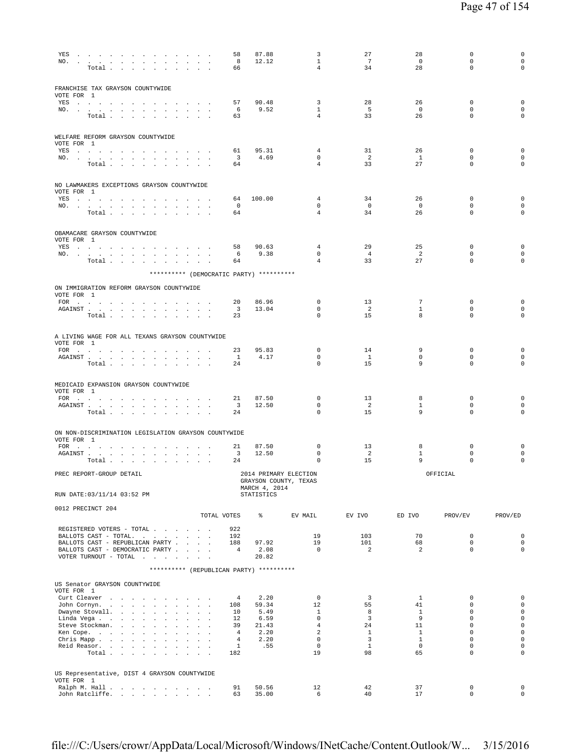| YES<br>NO.                                                                                                                                                                                                                                                                            | Total                                     |  |  | the contract of the contract of the contract of the contract of the contract of the contract of the contract of |                              |             | 58<br>8<br>66                    | 87.88<br>12.12                           | 3<br>1<br>$\overline{4}$                       | 27<br>$7\overline{ }$<br>34    | 28<br>$\overline{0}$<br>28  | 0<br>$\mathbb O$<br>$\mathbf 0$           | 0<br>0<br>0                |
|---------------------------------------------------------------------------------------------------------------------------------------------------------------------------------------------------------------------------------------------------------------------------------------|-------------------------------------------|--|--|-----------------------------------------------------------------------------------------------------------------|------------------------------|-------------|----------------------------------|------------------------------------------|------------------------------------------------|--------------------------------|-----------------------------|-------------------------------------------|----------------------------|
| FRANCHISE TAX GRAYSON COUNTYWIDE<br>VOTE FOR 1                                                                                                                                                                                                                                        |                                           |  |  |                                                                                                                 |                              |             |                                  |                                          |                                                |                                |                             |                                           |                            |
| YES a contract of the contract of the contract of the set of the set of the set of the set of the set of the set of the set of the set of the set of the set of the set of the set of the set of the set of the set of the set<br>NO.                                                 |                                           |  |  |                                                                                                                 |                              |             | 57<br>6                          | 90.48<br>9.52                            | $\overline{3}$<br>$\mathbf{1}$                 | 28<br>- 5                      | 26<br>$\mathbf 0$           | $\mathbf 0$<br>$\mathbf 0$                | 0<br>0                     |
|                                                                                                                                                                                                                                                                                       | Total $\cdots$ $\cdots$ $\cdots$          |  |  |                                                                                                                 | $\sim$ $\sim$ $\sim$         |             | 63                               |                                          | $\overline{4}$                                 | 33                             | 26                          | $\mathbf 0$                               | $\mathbf 0$                |
| WELFARE REFORM GRAYSON COUNTYWIDE<br>VOTE FOR 1                                                                                                                                                                                                                                       |                                           |  |  |                                                                                                                 |                              |             |                                  |                                          |                                                |                                |                             |                                           |                            |
| YES a contract of the contract of the set of the set of the set of the set of the set of the set of the set of the set of the set of the set of the set of the set of the set of the set of the set of the set of the set of t                                                        |                                           |  |  |                                                                                                                 |                              |             | 61                               | 95.31<br>4.69                            | 4<br>$\Omega$                                  | 31<br>2                        | 26<br><sup>1</sup>          | $\mathbf 0$<br>$\mathbf 0$                | 0<br>0                     |
| NO.                                                                                                                                                                                                                                                                                   | Total                                     |  |  |                                                                                                                 |                              |             | $\overline{\mathbf{3}}$<br>64    |                                          | $\overline{4}$                                 | 33                             | 27                          | $\mathbf 0$                               | 0                          |
| NO LAWMAKERS EXCEPTIONS GRAYSON COUNTYWIDE<br>VOTE FOR 1                                                                                                                                                                                                                              |                                           |  |  |                                                                                                                 |                              |             |                                  |                                          |                                                |                                |                             |                                           |                            |
| YES                                                                                                                                                                                                                                                                                   |                                           |  |  |                                                                                                                 |                              |             | 64                               | 100.00                                   | 4                                              | 34                             | 26                          | $\mathbf 0$                               | 0                          |
| NO.                                                                                                                                                                                                                                                                                   | Total                                     |  |  |                                                                                                                 |                              |             | $^{\circ}$<br>64                 |                                          | $^{\circ}$<br>$\overline{4}$                   | $^{\circ}$<br>34               | $\circ$<br>26               | 0<br>$\mathbf 0$                          | 0<br>$\mathbf 0$           |
| OBAMACARE GRAYSON COUNTYWIDE<br>VOTE FOR 1                                                                                                                                                                                                                                            |                                           |  |  |                                                                                                                 |                              |             |                                  |                                          |                                                |                                |                             |                                           |                            |
| YES and a contract the contract of the state of the state of the state of the state of the state of the state of the state of the state of the state of the state of the state of the state of the state of the state of the s                                                        |                                           |  |  |                                                                                                                 |                              |             | 58                               | 90.63                                    | $\overline{4}$                                 | 29                             | 25                          | 0                                         | $\mathbf 0$                |
| NO.                                                                                                                                                                                                                                                                                   |                                           |  |  |                                                                                                                 |                              |             | 6                                | 9.38                                     | $\mathbf 0$                                    | $\overline{4}$                 | 2                           | 0                                         | 0                          |
|                                                                                                                                                                                                                                                                                       | Total                                     |  |  |                                                                                                                 |                              |             | 64                               |                                          | 4                                              | 33                             | 27                          | $\mathbf 0$                               | $\mathbf 0$                |
|                                                                                                                                                                                                                                                                                       |                                           |  |  |                                                                                                                 |                              |             |                                  | ********** (DEMOCRATIC PARTY) ********** |                                                |                                |                             |                                           |                            |
| ON IMMIGRATION REFORM GRAYSON COUNTYWIDE<br>VOTE FOR 1                                                                                                                                                                                                                                |                                           |  |  |                                                                                                                 |                              |             |                                  |                                          |                                                |                                |                             |                                           |                            |
|                                                                                                                                                                                                                                                                                       |                                           |  |  |                                                                                                                 |                              |             | 20                               | 86.96                                    | $\mathbf 0$                                    | 13                             | $\overline{7}$              | $\mathbf 0$                               | $\mathbf 0$                |
| ${\tt AGAINST} \hspace{1.5cm} . \hspace{1.5cm} . \hspace{1.5cm} . \hspace{1.5cm} . \hspace{1.5cm} . \hspace{1.5cm} . \hspace{1.5cm} . \hspace{1.5cm} . \hspace{1.5cm} . \hspace{1.5cm} . \hspace{1.5cm} . \hspace{1.5cm} . \hspace{1.5cm} . \hspace{1.5cm} .$                         |                                           |  |  |                                                                                                                 |                              |             | $\overline{\mathbf{3}}$          | 13.04                                    | 0                                              | $\overline{2}$                 | 1                           | 0                                         | 0                          |
|                                                                                                                                                                                                                                                                                       | Total $\ldots$ $\ldots$ $\ldots$ $\ldots$ |  |  |                                                                                                                 |                              |             | 23                               |                                          | $\mathbf 0$                                    | 15                             | 8                           | $\mathbf 0$                               | 0                          |
| A LIVING WAGE FOR ALL TEXANS GRAYSON COUNTYWIDE<br>VOTE FOR 1                                                                                                                                                                                                                         |                                           |  |  |                                                                                                                 |                              |             | 23                               | 95.83                                    | $\mathbf 0$                                    | 14                             | 9                           | $\mathbf 0$                               | 0                          |
| FOR<br>${\tt AGAINST} \hspace{1.5cm} . \hspace{1.5cm} . \hspace{1.5cm} . \hspace{1.5cm} . \hspace{1.5cm} . \hspace{1.5cm} . \hspace{1.5cm} . \hspace{1.5cm} . \hspace{1.5cm} . \hspace{1.5cm} . \hspace{1.5cm} . \hspace{1.5cm} . \hspace{1.5cm} . \hspace{1.5cm} . \hspace{1.5cm} .$ |                                           |  |  |                                                                                                                 |                              |             | $\mathbf{1}$                     | 4.17                                     | $\mathbf 0$                                    | $\mathbf{1}$                   | $\mathbf 0$                 | $\mathbf 0$                               | $\mathbf 0$                |
|                                                                                                                                                                                                                                                                                       | Total $\cdots$ $\cdots$                   |  |  |                                                                                                                 |                              |             | 24                               |                                          | $\mathbf 0$                                    | 15                             | 9                           | $\mathbf 0$                               | $\mathbf 0$                |
| MEDICAID EXPANSION GRAYSON COUNTYWIDE<br>VOTE FOR 1                                                                                                                                                                                                                                   |                                           |  |  |                                                                                                                 |                              |             | 21<br>$\overline{\mathbf{3}}$    | 87.50<br>12.50                           | $\mathbf 0$<br>$\mathbf 0$<br>$\mathbf 0$      | 13<br>2                        | 8<br>1<br>9                 | $\mathbf 0$<br>$\mathbf 0$<br>$\mathbf 0$ | 0<br>$\mathbf 0$<br>0      |
|                                                                                                                                                                                                                                                                                       | Total $\cdots$ $\cdots$ $\cdots$          |  |  |                                                                                                                 |                              |             | 24                               |                                          |                                                | 15                             |                             |                                           |                            |
| ON NON-DISCRIMINATION LEGISLATION GRAYSON COUNTYWIDE<br>VOTE FOR 1                                                                                                                                                                                                                    |                                           |  |  |                                                                                                                 |                              |             |                                  |                                          |                                                |                                |                             |                                           |                            |
| FOR                                                                                                                                                                                                                                                                                   |                                           |  |  |                                                                                                                 |                              |             | 21                               | 87.50                                    | 0                                              | 13                             | 8                           | 0                                         | 0                          |
| ${\tt AGAINST} \hspace{1.5cm} . \hspace{1.5cm} . \hspace{1.5cm} . \hspace{1.5cm} . \hspace{1.5cm} . \hspace{1.5cm} . \hspace{1.5cm} . \hspace{1.5cm} . \hspace{1.5cm} . \hspace{1.5cm} . \hspace{1.5cm} . \hspace{1.5cm} . \hspace{1.5cm} . \hspace{1.5cm} . \hspace{1.5cm} .$        | Total $\cdots$ $\cdots$ $\cdots$ $\cdots$ |  |  |                                                                                                                 |                              |             | $\overline{\mathbf{3}}$<br>24    | 12.50                                    | $^{\circ}$<br>0                                | 2<br>15                        | $\mathbf{1}$<br>9           | 0<br>$\mathbf 0$                          | 0<br>0                     |
| PREC REPORT-GROUP DETAIL<br>RUN DATE: 03/11/14 03:52 PM                                                                                                                                                                                                                               |                                           |  |  |                                                                                                                 |                              |             |                                  | MARCH 4, 2014<br><b>STATISTICS</b>       | 2014 PRIMARY ELECTION<br>GRAYSON COUNTY, TEXAS |                                |                             | OFFICIAL                                  |                            |
| 0012 PRECINCT 204                                                                                                                                                                                                                                                                     |                                           |  |  |                                                                                                                 |                              |             |                                  |                                          |                                                |                                |                             |                                           |                            |
|                                                                                                                                                                                                                                                                                       |                                           |  |  |                                                                                                                 |                              | TOTAL VOTES |                                  | $\epsilon$                               | EV MAIL                                        | EV IVO                         | ED IVO                      | PROV/EV                                   | PROV/ED                    |
| REGISTERED VOTERS - TOTAL<br>BALLOTS CAST - TOTAL. $\cdot \cdot \cdot \cdot \cdot \cdot$                                                                                                                                                                                              |                                           |  |  |                                                                                                                 |                              |             | 922<br>192                       |                                          | 19                                             | 103                            | 70                          | $\mathbf 0$                               | $\mathbf 0$                |
| BALLOTS CAST - REPUBLICAN PARTY                                                                                                                                                                                                                                                       |                                           |  |  |                                                                                                                 |                              |             | 188                              | 97.92                                    | 19                                             | 101                            | 68                          | $\mathbf 0$                               | $\mathbf 0$                |
| BALLOTS CAST - DEMOCRATIC PARTY                                                                                                                                                                                                                                                       |                                           |  |  |                                                                                                                 |                              |             | $\overline{4}$                   | 2.08                                     | $\mathbf{0}$                                   | $\overline{a}$                 | 2                           | $\mathbf 0$                               | $\mathbf 0$                |
| VOTER TURNOUT - TOTAL $\ldots$                                                                                                                                                                                                                                                        |                                           |  |  |                                                                                                                 |                              |             |                                  | 20.82                                    |                                                |                                |                             |                                           |                            |
|                                                                                                                                                                                                                                                                                       |                                           |  |  |                                                                                                                 |                              |             |                                  | ********** (REPUBLICAN PARTY) ********** |                                                |                                |                             |                                           |                            |
| US Senator GRAYSON COUNTYWIDE<br>VOTE FOR 1                                                                                                                                                                                                                                           |                                           |  |  |                                                                                                                 |                              |             |                                  |                                          |                                                |                                |                             |                                           |                            |
| Curt Cleaver                                                                                                                                                                                                                                                                          |                                           |  |  |                                                                                                                 |                              |             | $\overline{4}$                   | 2.20                                     | $\mathbf 0$                                    | $\overline{3}$                 | $\mathbf{1}$                | $\mathbf 0$                               | $\mathbf 0$                |
| John Cornyn.<br>Dwayne Stovall.                                                                                                                                                                                                                                                       |                                           |  |  |                                                                                                                 |                              |             | 108<br>10                        | 59.34<br>5.49                            | 12<br>$\mathbf{1}$                             | 55<br>8                        | 41<br>$\mathbf{1}$          | $\Omega$<br>$\Omega$                      | $\mathbf 0$<br>$\mathbf 0$ |
| Linda Vega                                                                                                                                                                                                                                                                            |                                           |  |  |                                                                                                                 |                              |             | 12                               | 6.59                                     | $\mathbf 0$                                    | $\overline{3}$                 | 9                           | $\mathbf 0$                               | $\mathbf 0$                |
| Steve Stockman.                                                                                                                                                                                                                                                                       |                                           |  |  |                                                                                                                 |                              |             | 39                               | 21.43                                    | $\overline{4}$                                 | 24                             | 11                          | $\mathbf 0$                               | $\mathbf 0$                |
| Ken Cope.                                                                                                                                                                                                                                                                             |                                           |  |  |                                                                                                                 | <b>Sales Advised Service</b> |             | $\overline{4}$<br>$\overline{4}$ | 2.20                                     | 2<br>$\mathbf 0$                               | $\mathbf{1}$                   | $\mathbf{1}$                | $\mathbf 0$<br>$\mathbf 0$                | $\mathbf 0$<br>$\mathbf 0$ |
| Chris Mapp.<br>Reid Reasor.                                                                                                                                                                                                                                                           |                                           |  |  |                                                                                                                 |                              |             | $\mathbf{1}$                     | 2.20<br>.55                              | $\mathbf 0$                                    | $\overline{3}$<br>$\mathbf{1}$ | $\mathbf{1}$<br>$\mathbf 0$ | $\mathbf 0$                               | $\mathbf 0$                |
|                                                                                                                                                                                                                                                                                       | Total                                     |  |  |                                                                                                                 |                              |             | 182                              |                                          | 19                                             | 98                             | 65                          | $\Omega$                                  | $\Omega$                   |
| US Representative, DIST 4 GRAYSON COUNTYWIDE                                                                                                                                                                                                                                          |                                           |  |  |                                                                                                                 |                              |             |                                  |                                          |                                                |                                |                             |                                           |                            |
| VOTE FOR 1                                                                                                                                                                                                                                                                            |                                           |  |  |                                                                                                                 |                              |             | 91                               | 50.56                                    | 12                                             | 42                             | 37                          | $\mathbf 0$                               | $\mathbf 0$                |
| Ralph M. Hall<br>John Ratcliffe.                                                                                                                                                                                                                                                      |                                           |  |  |                                                                                                                 |                              |             | 63                               | 35.00                                    | 6                                              | 40                             | 17                          | $\mathsf 0$                               | $\mathbf 0$                |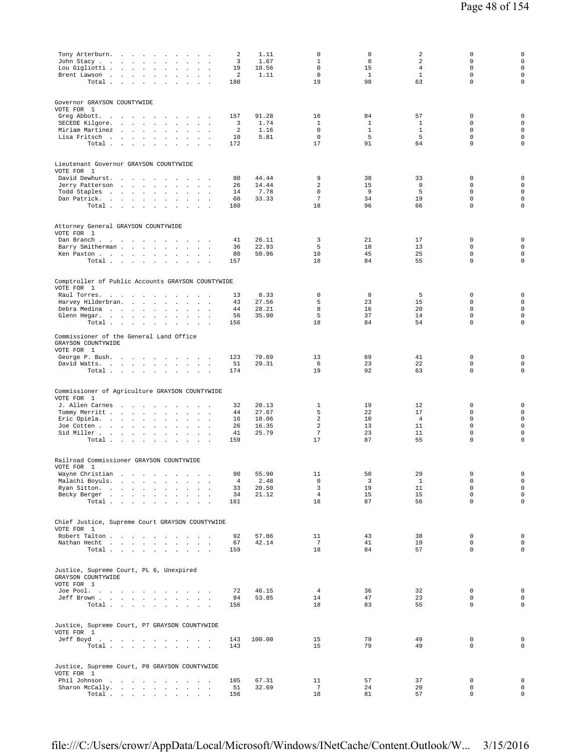| Tony Arterburn.<br>John Stacy<br>$\ddot{\phantom{a}}$<br>$\cdot$<br>Lou Gigliotti<br>$\ddot{\phantom{a}}$<br>$\mathbf{r}$<br>Brent Lawson<br>$\sim$<br>$\cdot$<br>Total $\cdots$ $\cdots$ $\cdots$<br>$\sim 100$                                                                                                                                                                                                                                    | 2<br>3<br>19<br>2<br>180                | 1.11<br>1.67<br>10.56<br>1.11             | 0<br>1<br>$\mathbf 0$<br>$\mathbf 0$<br>19                          | 0<br>$\mathbf 0$<br>15<br>$\mathbf{1}$<br>98 | 2<br>2<br>$\overline{4}$<br>$\mathbf{1}$<br>63 | 0<br>$\mathbf 0$<br>$\mathbf 0$<br>$\mathbf 0$<br>$\mathbf 0$                | $\mathbf 0$<br>$\mathsf{O}\xspace$<br>$\mathsf{O}\xspace$<br>$\mathbf 0$<br>$\mathsf 0$              |
|-----------------------------------------------------------------------------------------------------------------------------------------------------------------------------------------------------------------------------------------------------------------------------------------------------------------------------------------------------------------------------------------------------------------------------------------------------|-----------------------------------------|-------------------------------------------|---------------------------------------------------------------------|----------------------------------------------|------------------------------------------------|------------------------------------------------------------------------------|------------------------------------------------------------------------------------------------------|
| Governor GRAYSON COUNTYWIDE<br>VOTE FOR 1<br>Greg Abbott.<br><b>Contract Contract</b><br>$\sim$<br>$\sim$<br>SECEDE Kilgore.<br>car contractors and<br>$\sim$<br>$\Delta$<br>$\sim$<br>$\sim$<br>$\ddot{\phantom{a}}$<br>Miriam Martinez<br>$\ddot{\phantom{a}}$<br>$\sim$ $\sim$ $\sim$<br>Lisa Fritsch<br>$\sim 10^{-11}$<br>$\sim$<br>$\mathcal{L}_{\mathbf{a}}$<br>$\mathbf{r}$<br>$\ddot{\phantom{a}}$<br>Total<br>$\cdot$<br>$\sim$<br>$\sim$ | 157<br>3<br>2<br>10<br>172              | 91.28<br>1.74<br>1.16<br>5.81             | 16<br>1<br>$\mathbf 0$<br>$\mathsf 0$<br>17                         | 84<br>1<br>$\mathbf{1}$<br>5<br>91           | 57<br>1<br>$\mathbf{1}$<br>5<br>64             | 0<br>$\mathbf 0$<br>$\mathbf 0$<br>$\mathbb O$<br>$\mathbf 0$                | 0<br>$\mathbf 0$<br>$\mathsf{O}\xspace$<br>$\mathsf{O}\xspace$<br>$\mathbf 0$                        |
| Lieutenant Governor GRAYSON COUNTYWIDE<br>VOTE FOR 1<br>David Dewhurst.<br>Jerry Patterson<br>$\epsilon$<br>$\sim$<br>$\cdot$<br>Todd Staples<br>the contract of the contract of<br>$\mathcal{L}$<br>$\cdot$<br>Dan Patrick.<br>$\cdot$<br>$\sim$<br>Total<br>$\sim 10^{-11}$<br>$\sim$ $\sim$                                                                                                                                                      | 80<br>26<br>14<br>60<br>180             | 44.44<br>14.44<br>7.78<br>33.33           | 9<br>2<br>$\Omega$<br>$7\phantom{.0}$<br>18                         | 38<br>15<br>9<br>34<br>96                    | 33<br>9<br>5<br>19<br>66                       | 0<br>$\mathbf 0$<br>$\mathbf 0$<br>$\mathbf 0$<br>$\mathbf 0$                | $\mathsf 0$<br>$\mathsf{O}\xspace$<br>$\mathsf{O}\xspace$<br>$\mathbf 0$<br>$\mathsf 0$              |
| Attorney General GRAYSON COUNTYWIDE<br>VOTE FOR 1<br>Dan Branch $\blacksquare$<br>$\sim$<br>$\overline{\phantom{a}}$<br>$\cdot$<br>$\overline{\phantom{a}}$ .<br>Barry Smitherman<br>$\sim$ 100 $\mu$<br>$\sim$<br>Ken Paxton<br>$\ddot{\phantom{a}}$<br>$\sim$<br>$\cdot$<br>Total<br>$\sim$ $\sim$                                                                                                                                                | 41<br>36<br>80<br>157                   | 26.11<br>22.93<br>50.96                   | 3<br>5<br>10<br>18                                                  | 21<br>18<br>45<br>84                         | 17<br>13<br>25<br>55                           | 0<br>$\mathbf 0$<br>$\mathbf 0$<br>$\mathbf 0$                               | 0<br>$\mathsf{O}\xspace$<br>$\mathsf{O}\xspace$<br>$\mathsf 0$                                       |
| Comptroller of Public Accounts GRAYSON COUNTYWIDE<br>VOTE FOR 1<br>Raul Torres.<br>$\sim$<br>Harvey Hilderbran.<br>$\mathcal{L}^{\text{max}}$<br>$\sim$<br>$\ddot{\phantom{a}}$<br>Debra Medina<br>$\ddot{\phantom{a}}$<br>$\ddot{\phantom{a}}$<br>Glenn Hegar.<br>$\sim$<br>$\ddot{\phantom{a}}$<br>$\sim$<br>Total                                                                                                                                | 13<br>43<br>44<br>56<br>156             | 8.33<br>27.56<br>28.21<br>35.90           | 0<br>5<br>8<br>5<br>18                                              | 8<br>23<br>16<br>37<br>84                    | 5<br>15<br>20<br>14<br>54                      | 0<br>$\mathbf 0$<br>$\mathbf 0$<br>$\mathbf 0$<br>$\mathbf 0$                | $\mathbf 0$<br>$\mathsf{O}\xspace$<br>$\mathsf{O}\xspace$<br>$\mathsf 0$<br>$\mathbf 0$              |
| Commissioner of the General Land Office<br>GRAYSON COUNTYWIDE<br>VOTE FOR 1<br>George P. Bush.<br>David Watts.<br>Total $\cdots$ $\cdots$ $\cdots$<br>$\sim$ $\sim$                                                                                                                                                                                                                                                                                 | 123<br>51<br>174                        | 70.69<br>29.31                            | 13<br>6<br>19                                                       | 69<br>23<br>92                               | 41<br>22<br>63                                 | $\mathbf 0$<br>$\mathbf 0$<br>$\mathbf 0$                                    | 0<br>$\mathsf 0$<br>$\mathsf 0$                                                                      |
| Commissioner of Agriculture GRAYSON COUNTYWIDE<br>VOTE FOR 1<br>J. Allen Carnes<br>$\sim$<br><b>Contract Contract Street</b><br>Tommy Merritt<br>Eric Opiela.<br>$\sim$<br>$\Box$<br>$\cdot$<br>$\mathbf{r}$<br>Joe Cotten<br>$\sim$<br>$\cdot$<br>Sid Miller.<br>$\sim 10^{-1}$<br>$\sim$<br>$\sim$<br>$\ddot{\phantom{a}}$<br>$\cdot$<br>$\cdot$<br>$\cdot$<br>Total<br>$\cdot$<br>$\ddot{\phantom{a}}$<br>$\cdot$<br>$\blacksquare$              | 32<br>44<br>16<br>26<br>41<br>159       | 20.13<br>27.67<br>10.06<br>16.35<br>25.79 | 1<br>5<br>$\overline{a}$<br>$\overline{a}$<br>$7\phantom{.0}$<br>17 | 19<br>22<br>10<br>13<br>23<br>87             | 12<br>17<br>$\overline{4}$<br>11<br>11<br>55   | 0<br>$\mathbf 0$<br>$\mathbf 0$<br>$\mathbf 0$<br>$\mathbb O$<br>$\mathbf 0$ | 0<br>$\mathsf{O}\xspace$<br>$\mathsf{O}\xspace$<br>$\mathsf 0$<br>$\mathsf{O}\xspace$<br>$\mathbf 0$ |
| Railroad Commissioner GRAYSON COUNTYWIDE<br>VOTE FOR 1<br>Wayne Christian<br>Malachi Boyuls.<br>$\sim$<br>$\sim$<br>$\ddot{\phantom{a}}$<br>Ryan Sitton.<br>$\ddot{\phantom{a}}$<br>Becky Berger<br>Total<br>$\overline{\phantom{a}}$                                                                                                                                                                                                               | 90<br>$\overline{4}$<br>33<br>34<br>161 | 55.90<br>2.48<br>20.50<br>21.12           | 11<br>$\mathbf 0$<br>3<br>$\overline{4}$<br>18                      | 50<br>3<br>19<br>15<br>87                    | 29<br>$\mathbf{1}$<br>11<br>15<br>56           | 0<br>$\mathbb O$<br>$\mathbf 0$<br>$\mathbf 0$<br>$\mathbf 0$                | 0<br>$\mathsf{O}\xspace$<br>$\mathsf{O}\xspace$<br>$\mathsf{O}\xspace$<br>$\mathsf 0$                |
| Chief Justice, Supreme Court GRAYSON COUNTYWIDE<br>VOTE FOR 1<br>Robert Talton<br>Nathan Hecht<br>$\texttt{Total} \quad . \qquad . \qquad . \qquad . \qquad . \qquad . \qquad . \qquad . \qquad .$                                                                                                                                                                                                                                                  | 92<br>67<br>159                         | 57.86<br>42.14                            | 11<br>$7\overline{ }$<br>18                                         | 43<br>41<br>84                               | 38<br>19<br>57                                 | $\mathbf 0$<br>$\mathbf 0$<br>$\mathbf 0$                                    | $\mathsf{O}\xspace$<br>$\mathsf{O}\xspace$<br>$\mathsf{O}\xspace$                                    |
| Justice, Supreme Court, PL 6, Unexpired<br>GRAYSON COUNTYWIDE<br>VOTE FOR 1<br>Joe Pool.<br>Jeff Brown<br>Total                                                                                                                                                                                                                                                                                                                                     | 72<br>84<br>156                         | 46.15<br>53.85                            | $\overline{4}$<br>14<br>18                                          | 36<br>47<br>83                               | 32<br>23<br>55                                 | $\mathbf 0$<br>$\mathbf 0$<br>$\mathbf 0$                                    | $\mathsf{O}\xspace$<br>$\mathbf 0$<br>$\mathbf 0$                                                    |
| Justice, Supreme Court, P7 GRAYSON COUNTYWIDE<br>VOTE FOR 1<br>Jeff Boyd.<br>Total                                                                                                                                                                                                                                                                                                                                                                  | 143<br>143                              | 100.00                                    | 15<br>15                                                            | 79<br>79                                     | 49<br>49                                       | $\mathbf 0$<br>$\mathbf 0$                                                   | $\mathsf 0$<br>0                                                                                     |
| Justice, Supreme Court, P8 GRAYSON COUNTYWIDE<br>VOTE FOR 1<br>Phil Johnson<br>Sharon McCally.<br>Total                                                                                                                                                                                                                                                                                                                                             | 105<br>51<br>156                        | 67.31<br>32.69                            | 11<br>$\overline{7}$<br>18                                          | 57<br>24<br>81                               | 37<br>20<br>57                                 | $\mathbb O$<br>$\mathbf 0$<br>$\mathbf 0$                                    | $\mathbf 0$<br>$\mathbf 0$<br>$\mathsf{O}\xspace$                                                    |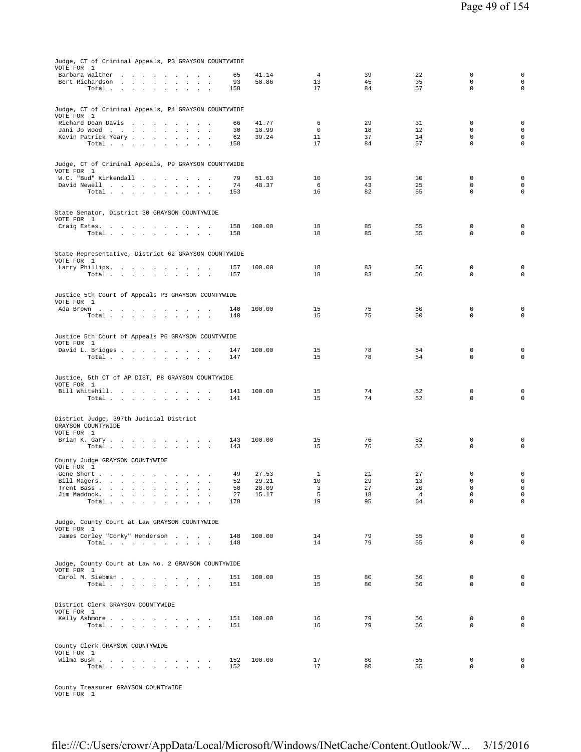| Judge, CT of Criminal Appeals, P3 GRAYSON COUNTYWIDE                                                      |            |                |                    |          |                      |                            |                            |
|-----------------------------------------------------------------------------------------------------------|------------|----------------|--------------------|----------|----------------------|----------------------------|----------------------------|
| VOTE FOR 1<br>Barbara Walther                                                                             | 65         | 41.14          | $\overline{4}$     | 39       | 22                   | $\mathbf 0$                | $\mathbf 0$                |
| Bert Richardson                                                                                           | 93         | 58.86          | 13                 | 45       | 35                   | $\mathsf 0$<br>$\mathbf 0$ | $\mathsf 0$<br>$\mathsf 0$ |
| Total                                                                                                     | 158        |                | 17                 | 84       | 57                   |                            |                            |
|                                                                                                           |            |                |                    |          |                      |                            |                            |
| Judge, CT of Criminal Appeals, P4 GRAYSON COUNTYWIDE<br>VOTE FOR 1                                        |            |                |                    |          |                      |                            |                            |
| Richard Dean Davis                                                                                        | 66         | 41.77          | 6                  | 29       | 31                   | 0                          | $\mathbf 0$                |
| Jani Jo Wood<br>Kevin Patrick Yeary<br>$\sim$                                                             | 30<br>62   | 18.99<br>39.24 | $\mathbf 0$<br>11  | 18<br>37 | 12<br>14             | $\mathbf 0$<br>$\mathbf 0$ | $\mathsf 0$<br>$\mathsf 0$ |
| Total                                                                                                     | 158        |                | 17                 | 84       | 57                   | $\Omega$                   | $\mathbf 0$                |
|                                                                                                           |            |                |                    |          |                      |                            |                            |
| Judge, CT of Criminal Appeals, P9 GRAYSON COUNTYWIDE                                                      |            |                |                    |          |                      |                            |                            |
| VOTE FOR 1<br>W.C. "Bud" Kirkendall                                                                       | 79         | 51.63          | 10                 | 39       | 30                   | $\mathbf 0$                | $\mathsf 0$                |
| David Newell                                                                                              | 74         | 48.37          | 6                  | 43       | 25                   | $\mathbf 0$                | $\mathbf 0$                |
| Total                                                                                                     | 153        |                | 16                 | 82       | 55                   | $\Omega$                   | $\circ$                    |
|                                                                                                           |            |                |                    |          |                      |                            |                            |
| State Senator, District 30 GRAYSON COUNTYWIDE<br>VOTE FOR 1                                               |            |                |                    |          |                      |                            |                            |
| Craig Estes.                                                                                              | 158        | 100.00         | 18                 | 85       | 55                   | $\mathbf 0$                | 0                          |
| Total<br>$\sim$                                                                                           | 158        |                | 18                 | 85       | 55                   | $\mathbf 0$                | $\mathbf 0$                |
|                                                                                                           |            |                |                    |          |                      |                            |                            |
| State Representative, District 62 GRAYSON COUNTYWIDE                                                      |            |                |                    |          |                      |                            |                            |
| VOTE FOR 1<br>Larry Phillips.                                                                             | 157        | 100.00         | 18                 | 83       | 56                   | $\mathbf 0$                | 0                          |
| Total                                                                                                     | 157        |                | 18                 | 83       | 56                   | $\mathbf 0$                | $\mathbf 0$                |
|                                                                                                           |            |                |                    |          |                      |                            |                            |
| Justice 5th Court of Appeals P3 GRAYSON COUNTYWIDE                                                        |            |                |                    |          |                      |                            |                            |
| VOTE FOR 1<br>Ada Brown                                                                                   | 140        | 100.00         | 15                 | 75       | 50                   | $\mathbf 0$                | $\mathsf 0$                |
| Total                                                                                                     | 140        |                | 15                 | 75       | 50                   | $\mathbf 0$                | $\mathbf 0$                |
|                                                                                                           |            |                |                    |          |                      |                            |                            |
| Justice 5th Court of Appeals P6 GRAYSON COUNTYWIDE                                                        |            |                |                    |          |                      |                            |                            |
| VOTE FOR 1                                                                                                |            |                | 15                 | 78       | 54                   | $\mathbf 0$                | 0                          |
| David L. Bridges<br>Total                                                                                 | 147<br>147 | 100.00         | 15                 | 78       | 54                   | $\mathbf 0$                | $\mathbf 0$                |
|                                                                                                           |            |                |                    |          |                      |                            |                            |
| Justice, 5th CT of AP DIST, P8 GRAYSON COUNTYWIDE                                                         |            |                |                    |          |                      |                            |                            |
| VOTE FOR 1                                                                                                |            |                |                    |          |                      |                            |                            |
| Bill Whitehill.<br>Total                                                                                  | 141<br>141 | 100.00         | 15<br>15           | 74<br>74 | 52<br>52             | $\mathbf 0$<br>$\mathbf 0$ | 0<br>$\mathsf 0$           |
|                                                                                                           |            |                |                    |          |                      |                            |                            |
| District Judge, 397th Judicial District                                                                   |            |                |                    |          |                      |                            |                            |
| GRAYSON COUNTYWIDE                                                                                        |            |                |                    |          |                      |                            |                            |
| VOTE FOR 1<br>Brian K. Gary.                                                                              | 143        | 100.00         | 15                 | 76       | 52                   | $\mathbf 0$                | 0                          |
| Total                                                                                                     | 143        |                | 15                 | 76       | 52                   | $\mathbf 0$                | $\mathsf 0$                |
| County Judge GRAYSON COUNTYWIDE                                                                           |            |                |                    |          |                      |                            |                            |
| VOTE FOR 1                                                                                                |            |                |                    |          |                      |                            |                            |
| Gene Short<br>Bill Magers.                                                                                | 49<br>52   | 27.53<br>29.21 | $\mathbf{1}$<br>10 | 21<br>29 | 27<br>13             | $\mathbf 0$<br>$\mathbf 0$ | $\mathsf 0$<br>$\mathbf 0$ |
| $\mathcal{L}(\mathcal{A})$ , and $\mathcal{A}(\mathcal{A})$<br>$\alpha$ , $\beta$<br>$\sim$<br>Trent Bass | 50         | 28.09          | 3                  | 27       | 20                   | 0                          | 0                          |
| Jim Maddock.<br>Total .                                                                                   | 27<br>178  | 15.17          | 5<br>19            | 18<br>95 | $\overline{4}$<br>64 | $\mathsf 0$<br>$\mathbf 0$ | $\mathsf 0$<br>$\mathsf 0$ |
|                                                                                                           |            |                |                    |          |                      |                            |                            |
| Judge, County Court at Law GRAYSON COUNTYWIDE                                                             |            |                |                    |          |                      |                            |                            |
| VOTE FOR 1                                                                                                |            |                |                    |          |                      |                            |                            |
| James Corley "Corky" Henderson                                                                            | 148        | 100.00         | 14                 | 79       | 55                   | $\mathbf 0$<br>$\Omega$    | $\mathsf 0$                |
| Total $\cdots$ $\cdots$ $\cdots$                                                                          | 148        |                | 14                 | 79       | 55                   |                            | $\mathsf 0$                |
|                                                                                                           |            |                |                    |          |                      |                            |                            |
| Judge, County Court at Law No. 2 GRAYSON COUNTYWIDE<br>VOTE FOR 1                                         |            |                |                    |          |                      |                            |                            |
| Carol M. Siebman                                                                                          | 151        | 100.00         | 15                 | 80       | 56                   | 0                          | 0                          |
| Total                                                                                                     | 151        |                | 15                 | 80       | 56                   | $\Omega$                   | $\mathbf 0$                |
|                                                                                                           |            |                |                    |          |                      |                            |                            |
| District Clerk GRAYSON COUNTYWIDE<br>VOTE FOR 1                                                           |            |                |                    |          |                      |                            |                            |
| Kelly Ashmore                                                                                             | 151        | 100.00         | 16                 | 79       | 56                   | 0                          | $\mathsf 0$                |
| Total                                                                                                     | 151        |                | 16                 | 79       | 56                   | $\Omega$                   | $\mathsf 0$                |
|                                                                                                           |            |                |                    |          |                      |                            |                            |
| County Clerk GRAYSON COUNTYWIDE                                                                           |            |                |                    |          |                      |                            |                            |
| VOTE FOR 1<br>Wilma Bush.                                                                                 | 152        | 100.00         | 17                 | 80       | 55                   | 0                          | $\mathsf 0$                |
| Total                                                                                                     | 152        |                | 17                 | 80       | 55                   | $\mathbf 0$                | $\mathsf 0$                |
|                                                                                                           |            |                |                    |          |                      |                            |                            |
|                                                                                                           |            |                |                    |          |                      |                            |                            |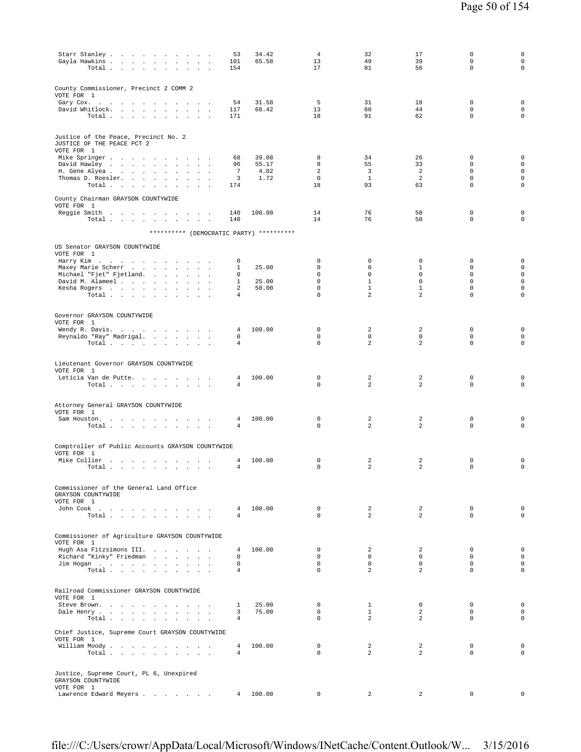| Starr Stanley<br>Gayla Hawkins<br>$\sim 10^{-1}$<br>$\blacksquare$ .<br>Total                                                      | 53<br>101<br>154                 | 34.42<br>65.58 | $\overline{4}$<br>13<br>17  | 32<br>49<br>81               | 17<br>39<br>56              | $\mathbf 0$<br>$\mathbf 0$<br>$\mathbf 0$ | $\mathsf 0$<br>$\mathbf 0$<br>$\mathbf 0$ |
|------------------------------------------------------------------------------------------------------------------------------------|----------------------------------|----------------|-----------------------------|------------------------------|-----------------------------|-------------------------------------------|-------------------------------------------|
| County Commissioner, Precinct 2 COMM 2<br>VOTE FOR 1                                                                               |                                  | 31.58          | -5                          | 31                           | 18                          | $\mathbf 0$                               | $\mathbf 0$                               |
| Gary Cox.<br>David Whitlock.<br>the contract of the contract of the<br>$\sim$ 10 $\sim$<br>Total<br>$\ddot{\phantom{a}}$<br>$\sim$ | 54<br>117<br>171                 | 68.42          | 13<br>18                    | 60<br>91                     | 44<br>62                    | $\mathbf 0$<br>$\mathbf 0$                | $\mathbf 0$<br>$\mathbf 0$                |
| Justice of the Peace, Precinct No. 2<br>JUSTICE OF THE PEACE PCT 2<br>VOTE FOR 1                                                   |                                  |                |                             |                              |                             |                                           |                                           |
| Mike Springer                                                                                                                      | 68                               | 39.08          | 8                           | 34                           | 26                          | 0                                         | $\mathsf 0$<br>$\mathsf{O}\xspace$        |
| David Hawley<br>$\ddot{\phantom{a}}$<br>$\Box$<br>$\mathcal{L}$<br>$\cdot$<br>H. Gene Alyea<br>$\sim$                              | 96<br>$\overline{7}$             | 55.17<br>4.02  | 8<br>2                      | 55<br>$\overline{3}$         | 33<br>2                     | $\mathbb O$<br>$\mathbf 0$                | $\mathsf 0$                               |
| Thomas D. Roesler.<br>$\ddot{\phantom{0}}$<br>$\ddot{\phantom{a}}$<br>Total<br>$\cdot$                                             | 3<br>174                         | 1.72           | $\mathbf 0$<br>18           | $\mathbf{1}$<br>93           | $\overline{a}$<br>63        | $\mathbb O$<br>$\mathbf 0$                | $\mathsf 0$<br>$\mathbf 0$                |
| County Chairman GRAYSON COUNTYWIDE<br>VOTE FOR 1                                                                                   |                                  |                |                             |                              |                             |                                           |                                           |
| Reggie Smith<br>Total<br>$\sim$                                                                                                    | 140<br>140                       | 100.00         | 14<br>14                    | 76<br>76                     | 50<br>50                    | $\mathbb O$<br>$\mathbf 0$                | $\mathsf 0$<br>$\mathbf 0$                |
| ********** (DEMOCRATIC PARTY) **********                                                                                           |                                  |                |                             |                              |                             |                                           |                                           |
|                                                                                                                                    |                                  |                |                             |                              |                             |                                           |                                           |
| US Senator GRAYSON COUNTYWIDE<br>VOTE FOR 1                                                                                        |                                  |                |                             |                              |                             |                                           |                                           |
| Harry Kim<br>Maxey Marie Scherr                                                                                                    | 0<br>$\mathbf{1}$                | 25.00          | $\mathbf 0$<br>$\mathbf 0$  | $\mathbf 0$<br>$\mathbf 0$   | $\mathbf 0$<br>$\mathbf{1}$ | $\mathbf 0$<br>$\mathbf 0$                | $\mathbf 0$<br>$\mathbf 0$                |
| the contract of the contract of<br>$\cdot$<br>Michael "Fjet" Fjetland.                                                             | 0                                |                | $\mathbf 0$                 | $\mathbf 0$                  | $\mathbf 0$                 | $\mathbf 0$                               | $\mathsf{O}\xspace$                       |
| David M. Alameel<br>$\mathbf{r}$<br>$\mathbf{r}$<br>Kesha Rogers                                                                   | $\mathbf{1}$<br>2                | 25.00<br>50.00 | $\mathsf 0$<br>0            | $\mathbf{1}$<br>$\mathbf{1}$ | $\mathbf 0$<br>$\mathbf{1}$ | $\mathbb O$<br>$\mathsf 0$                | $\mathsf 0$<br>$\mathsf 0$                |
| Total.                                                                                                                             | 4                                |                | $\mathbf 0$                 | 2                            | $\overline{a}$              | $\mathsf 0$                               | $\mathsf 0$                               |
| Governor GRAYSON COUNTYWIDE<br>VOTE FOR 1                                                                                          |                                  |                |                             |                              |                             |                                           |                                           |
| Wendy R. Davis.                                                                                                                    | 4                                | 100.00         | $\mathbb O$                 | 2                            | 2                           | $\mathbb O$                               | $\mathbf 0$                               |
| Reynaldo "Ray" Madrigal.<br>Total                                                                                                  | 0<br>$\overline{4}$              |                | $\mathbf 0$<br>$\mathbb O$  | $\mathbf 0$<br>2             | $\mathbf 0$<br>2            | $\mathbf 0$<br>$\mathbb O$                | $\mathbf 0$<br>$\mathbf 0$                |
| Lieutenant Governor GRAYSON COUNTYWIDE<br>VOTE FOR 1<br>Leticia Van de Putte<br>Total                                              | 4<br>4                           | 100.00         | 0<br>$\mathbf 0$            | 2<br>2                       | 2<br>$\overline{a}$         | $\mathbb O$<br>$\Omega$                   | $\mathsf 0$<br>$\mathbf 0$                |
| Attorney General GRAYSON COUNTYWIDE<br>VOTE FOR 1                                                                                  |                                  |                |                             |                              |                             |                                           |                                           |
| Sam Houston.<br>Total $\cdots$ $\cdots$ $\cdots$<br>$\sim$<br>$\sim$<br>$\cdot$                                                    | 4<br>4                           | 100.00         | 0<br>$\mathbf 0$            | 2<br>2                       | 2<br>2                      | $\mathbb O$<br>$\mathbf 0$                | $\mathsf 0$<br>$\mathbf 0$                |
| Comptroller of Public Accounts GRAYSON COUNTYWIDE                                                                                  |                                  |                |                             |                              |                             |                                           |                                           |
| VOTE FOR 1                                                                                                                         |                                  |                |                             |                              |                             |                                           |                                           |
| Mike Collier<br>the contract of the contract of the<br>$\overline{\phantom{a}}$<br>Total                                           | 4<br>$\overline{4}$              | 100.00         | $\mathbb O$<br>$\mathbf 0$  | 2<br>2                       | 2<br>2                      | $\mathbb O$<br>$\mathbf 0$                | $\mathsf 0$<br>$\mathsf{O}\xspace$        |
| Commissioner of the General Land Office<br>GRAYSON COUNTYWIDE<br>VOTE FOR 1                                                        |                                  |                |                             |                              |                             |                                           |                                           |
| John Cook<br>Total                                                                                                                 | $\overline{4}$<br>$\overline{4}$ | 100.00         | $\circ$<br>$\Omega$         | 2<br>$\overline{a}$          | 2<br>$\overline{a}$         | $\mathbf 0$<br>$\Omega$                   | $\mathbf 0$<br>$\mathbf 0$                |
|                                                                                                                                    |                                  |                |                             |                              |                             |                                           |                                           |
| Commissioner of Agriculture GRAYSON COUNTYWIDE                                                                                     |                                  |                |                             |                              |                             |                                           |                                           |
| VOTE FOR 1                                                                                                                         |                                  |                |                             |                              |                             |                                           |                                           |
| Hugh Asa Fitzsimons III.<br>Richard "Kinky" Friedman                                                                               | 4<br>0                           | 100.00         | $\mathbf{0}$<br>$\mathbf 0$ | $\overline{a}$<br>$\circ$    | 2<br>$\mathbf 0$            | $\Omega$<br>$\mathbf 0$                   | $\mathbf 0$<br>$\mathbf 0$                |
| Jim Hogan                                                                                                                          | $\mathbf 0$                      |                | $\mathbf 0$                 | $\circ$                      | $\mathbf 0$                 | $\mathbf 0$                               | $\mathbf 0$                               |
| Total                                                                                                                              | $\overline{4}$                   |                | $\mathbf 0$                 | $\overline{a}$               | $\overline{a}$              | 0                                         | $\mathbf 0$                               |
| Railroad Commissioner GRAYSON COUNTYWIDE                                                                                           |                                  |                |                             |                              |                             |                                           |                                           |
| VOTE FOR 1                                                                                                                         |                                  |                |                             |                              |                             |                                           |                                           |
| Steve Brown.<br>Dale Henry                                                                                                         | $\mathbf{1}$<br>3                | 25.00<br>75.00 | 0<br>$\mathbf{0}$           | $\mathbf{1}$<br>$\mathbf{1}$ | $^{\circ}$<br>2             | 0<br>$\mathbf 0$                          | $\mathbf 0$<br>$\mathbf 0$                |
| Total                                                                                                                              | $\overline{4}$                   |                | $\Omega$                    | 2                            | 2                           | $\Omega$                                  | $\mathbf 0$                               |
| Chief Justice, Supreme Court GRAYSON COUNTYWIDE<br>VOTE FOR 1                                                                      |                                  |                |                             |                              |                             |                                           |                                           |
| William Moody                                                                                                                      | 4                                | 100.00         | $\mathbf 0$                 | $\overline{a}$               | 2                           | $\mathbf 0$                               | $\mathbf 0$                               |
| Total                                                                                                                              | 4                                |                | $\Omega$                    | $\overline{a}$               | 2                           | $\mathbf 0$                               | $\Omega$                                  |
| Justice, Supreme Court, PL 6, Unexpired<br>GRAYSON COUNTYWIDE                                                                      |                                  |                |                             |                              |                             |                                           |                                           |
| VOTE FOR 1<br>Lawrence Edward Meyers                                                                                               | $\overline{4}$                   | 100.00         | 0                           | 2                            | 2                           | $\mathbf 0$                               | $\mathsf 0$                               |
|                                                                                                                                    |                                  |                |                             |                              |                             |                                           |                                           |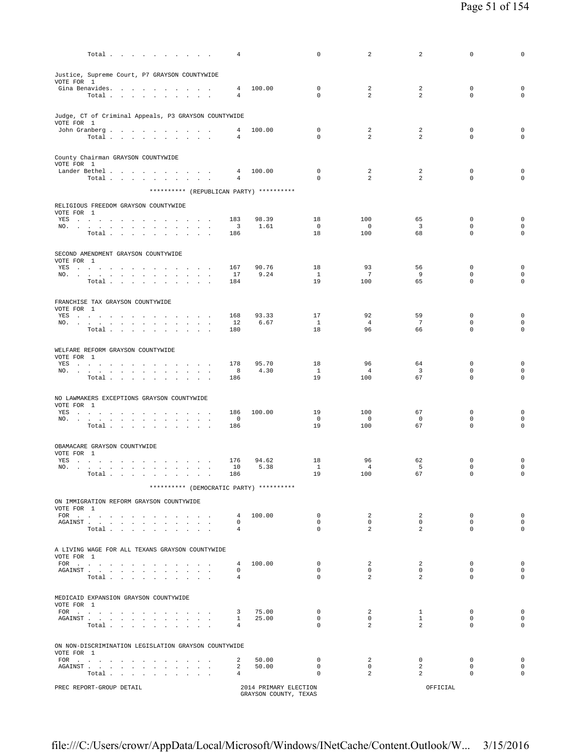| Total $\cdots$ $\cdots$ $\cdots$                                                                                                                                                                                                                                       | 4                                |                       | $\mathbf 0$                | 2                                | 2                         | $\mathbf 0$                | 0                              |
|------------------------------------------------------------------------------------------------------------------------------------------------------------------------------------------------------------------------------------------------------------------------|----------------------------------|-----------------------|----------------------------|----------------------------------|---------------------------|----------------------------|--------------------------------|
| Justice, Supreme Court, P7 GRAYSON COUNTYWIDE                                                                                                                                                                                                                          |                                  |                       |                            |                                  |                           |                            |                                |
| VOTE FOR 1                                                                                                                                                                                                                                                             |                                  |                       |                            |                                  |                           |                            |                                |
| Gina Benavides.<br>Total                                                                                                                                                                                                                                               | $\overline{4}$<br>$\overline{4}$ | 100.00                | $^{\circ}$<br>$\mathbf 0$  | 2<br>2                           | 2<br>2                    | $\mathbf 0$<br>$\mathbf 0$ | $\mathbf 0$<br>$\mathbf 0$     |
|                                                                                                                                                                                                                                                                        |                                  |                       |                            |                                  |                           |                            |                                |
| Judge, CT of Criminal Appeals, P3 GRAYSON COUNTYWIDE<br>VOTE FOR 1                                                                                                                                                                                                     |                                  |                       |                            |                                  |                           |                            |                                |
| John Granberg<br>Total $\cdots$ $\cdots$ $\cdots$                                                                                                                                                                                                                      | 4<br>4                           | 100.00                | $\mathbf 0$<br>$\mathbf 0$ | 2<br>2                           | 2<br>2                    | $\mathbf 0$<br>$\mathbf 0$ | $\mathbf 0$<br>$\mathbf 0$     |
|                                                                                                                                                                                                                                                                        |                                  |                       |                            |                                  |                           |                            |                                |
| County Chairman GRAYSON COUNTYWIDE                                                                                                                                                                                                                                     |                                  |                       |                            |                                  |                           |                            |                                |
| VOTE FOR 1<br>Lander Bethel                                                                                                                                                                                                                                            | $\overline{4}$                   | 100.00                | $^{\circ}$                 | 2                                | 2                         | $\mathbf 0$                | $\mathbf 0$                    |
| Total $\cdots$ $\cdots$ $\cdots$                                                                                                                                                                                                                                       | $\overline{4}$                   |                       | $\mathbf 0$                | 2                                | 2                         | $\Omega$                   | $\mathbf 0$                    |
| ********** (REPUBLICAN PARTY) **********                                                                                                                                                                                                                               |                                  |                       |                            |                                  |                           |                            |                                |
| RELIGIOUS FREEDOM GRAYSON COUNTYWIDE                                                                                                                                                                                                                                   |                                  |                       |                            |                                  |                           |                            |                                |
| VOTE FOR 1<br>YES                                                                                                                                                                                                                                                      | 183                              | 98.39                 | 18                         | 100                              | 65                        | $\mathbf 0$                | $\mathbf 0$                    |
| NO.                                                                                                                                                                                                                                                                    | $\overline{\phantom{a}}$         | 1.61                  | $\overline{0}$             | $\overline{\mathbf{0}}$          | $\overline{3}$            | $\mathbf 0$                | $\mathsf{O}\xspace$            |
| Total                                                                                                                                                                                                                                                                  | 186                              |                       | 18                         | 100                              | 68                        | $\mathbf 0$                | $\circ$                        |
| SECOND AMENDMENT GRAYSON COUNTYWIDE                                                                                                                                                                                                                                    |                                  |                       |                            |                                  |                           |                            |                                |
| VOTE FOR 1<br>YES a contract of the contract of the contract of the set of the set of the set of the set of the set of the set of the set of the set of the set of the set of the set of the set of the set of the set of the set of the set                           | 167                              | 90.76                 | 18                         | 93                               | 56                        | 0                          | 0                              |
| NO.                                                                                                                                                                                                                                                                    | 17                               | 9.24                  | $\mathbf{1}$               | 7                                | 9                         | $\mathbf 0$                | $\mathsf{O}\xspace$            |
| Total $\cdots$ $\cdots$ $\cdots$                                                                                                                                                                                                                                       | 184                              |                       | 19                         | 100                              | 65                        | $\mathbf 0$                | $\circ$                        |
| FRANCHISE TAX GRAYSON COUNTYWIDE                                                                                                                                                                                                                                       |                                  |                       |                            |                                  |                           |                            |                                |
| VOTE FOR 1<br>YES                                                                                                                                                                                                                                                      | 168                              | 93.33                 | 17                         | 92                               | 59                        | $\mathbf 0$                | $\mathsf{O}\xspace$            |
| NO.                                                                                                                                                                                                                                                                    | 12                               | 6.67                  | $\mathbf{1}$               | $\overline{4}$                   | $7\phantom{.0}$           | $\mathbf 0$                | $\mathsf{O}\xspace$            |
| Total                                                                                                                                                                                                                                                                  | 180                              |                       | 18                         | 96                               | 66                        | $\Omega$                   | $\circ$                        |
| WELFARE REFORM GRAYSON COUNTYWIDE                                                                                                                                                                                                                                      |                                  |                       |                            |                                  |                           |                            |                                |
| VOTE FOR 1<br>YES                                                                                                                                                                                                                                                      | 178                              | 95.70                 | 18                         | 96                               | 64                        | $\mathbf 0$                | $\mathsf{O}\xspace$            |
| NO.                                                                                                                                                                                                                                                                    | 8                                | 4.30                  | $\mathbf{1}$               | $\overline{4}$                   | $\overline{\mathbf{3}}$   | $\mathbf 0$                | 0                              |
| Total                                                                                                                                                                                                                                                                  | 186                              |                       | 19                         | 100                              | 67                        | $\Omega$                   | $\circ$                        |
| NO LAWMAKERS EXCEPTIONS GRAYSON COUNTYWIDE                                                                                                                                                                                                                             |                                  |                       |                            |                                  |                           |                            |                                |
| VOTE FOR 1                                                                                                                                                                                                                                                             | 186                              | 100.00                | 19                         | 100                              | 67                        | $\mathbf 0$                | $\mathbf 0$                    |
| YES a contract of the contract of the contract of the set of the set of the set of the set of the set of the set of the set of the set of the set of the set of the set of the set of the set of the set of the set of the set<br>NO.                                  | $\circ$                          |                       | $\overline{0}$             | $\overline{0}$                   | $\circ$                   | $\mathbf 0$                | $\mathsf{O}\xspace$            |
| Total                                                                                                                                                                                                                                                                  | 186                              |                       | 19                         | 100                              | 67                        | $\mathbf 0$                | $\mathbf 0$                    |
| OBAMACARE GRAYSON COUNTYWIDE                                                                                                                                                                                                                                           |                                  |                       |                            |                                  |                           |                            |                                |
| VOTE FOR 1                                                                                                                                                                                                                                                             | 176                              | 94.62                 | 18                         | 96                               | 62                        | $\mathbf 0$                | $\mathbf 0$                    |
| YES a contract of the contract of the contract of the set of the set of the set of the set of the set of the set of the set of the set of the set of the set of the set of the set of the set of the set of the set of the set<br>NO.                                  | 10                               | 5.38                  | $\mathbf{1}$               | $\overline{4}$                   | 5                         | $\mathbf 0$                | $\mathsf{O}\xspace$            |
| Total<br>the contract of the contract of the contract of                                                                                                                                                                                                               | 186                              |                       | 19                         | 100                              | 67                        | $\mathbf 0$                | $\mathsf{O}\xspace$            |
| ********** (DEMOCRATIC PARTY) **********                                                                                                                                                                                                                               |                                  |                       |                            |                                  |                           |                            |                                |
| ON IMMIGRATION REFORM GRAYSON COUNTYWIDE<br>VOTE FOR 1                                                                                                                                                                                                                 |                                  |                       |                            |                                  |                           |                            |                                |
| FOR $\qquad \qquad$                                                                                                                                                                                                                                                    |                                  | 4 100.00              | $\overline{0}$             | 2                                | $\overline{a}$            | $^{\circ}$                 | $\circ$                        |
| AGAINST<br>Total                                                                                                                                                                                                                                                       | 0<br>$\overline{4}$              |                       | $\overline{0}$<br>$\Omega$ | $\overline{0}$<br>$\overline{2}$ | $\circ$<br>$\overline{2}$ | $\mathbf{0}$<br>$\Omega$   | $\mathsf{O}\xspace$<br>$\circ$ |
|                                                                                                                                                                                                                                                                        |                                  |                       |                            |                                  |                           |                            |                                |
| A LIVING WAGE FOR ALL TEXANS GRAYSON COUNTYWIDE                                                                                                                                                                                                                        |                                  |                       |                            |                                  |                           |                            |                                |
| VOTE FOR 1<br>FOR $\qquad \qquad$                                                                                                                                                                                                                                      | 4                                | 100.00                | $\mathbf{0}$               | $\overline{a}$                   | $\overline{a}$            | $\mathbf{0}$               | $\circ$                        |
| Total                                                                                                                                                                                                                                                                  | 0<br>$\overline{4}$              |                       | $\mathbf{0}$<br>$\Omega$   | $\circ$<br>$\mathfrak{D}$        | $\circ$<br>2              | $\mathbf 0$<br>$\Omega$    | $\circ$<br>$\Omega$            |
|                                                                                                                                                                                                                                                                        |                                  |                       |                            |                                  |                           |                            |                                |
| MEDICAID EXPANSION GRAYSON COUNTYWIDE<br>VOTE FOR 1                                                                                                                                                                                                                    |                                  |                       |                            |                                  |                           |                            |                                |
| FOR                                                                                                                                                                                                                                                                    | 3                                | 75.00                 | $^{\circ}$                 | 2                                | $\mathbf{1}$              | $\mathbf 0$                | $\mathbf 0$                    |
| ${\tt AGAINST} \hspace{1.5cm} . \hspace{1.5cm} . \hspace{1.5cm} . \hspace{1.5cm} . \hspace{1.5cm} . \hspace{1.5cm} . \hspace{1.5cm} . \hspace{1.5cm} . \hspace{1.5cm} . \hspace{1.5cm} . \hspace{1.5cm} . \hspace{1.5cm} . \hspace{1.5cm} . \hspace{1.5cm} .$<br>Total | $\mathbf{1}$<br>$\overline{4}$   | 25.00                 | $\mathbf 0$<br>$\mathbf 0$ | $\circ$<br>2                     | $\mathbf{1}$<br>2         | $\mathbf 0$<br>$\Omega$    | $\mathbf 0$<br>$\mathbf 0$     |
|                                                                                                                                                                                                                                                                        |                                  |                       |                            |                                  |                           |                            |                                |
| ON NON-DISCRIMINATION LEGISLATION GRAYSON COUNTYWIDE                                                                                                                                                                                                                   |                                  |                       |                            |                                  |                           |                            |                                |
| VOTE FOR 1<br>FOR $\qquad \qquad$                                                                                                                                                                                                                                      | 2                                | 50.00                 | $\Omega$                   | 2                                | $\Omega$                  | $\Omega$                   | $\mathbf 0$                    |
| ${\tt AGAINST} \hspace{1.5cm} . \hspace{1.5cm} . \hspace{1.5cm} . \hspace{1.5cm} . \hspace{1.5cm} . \hspace{1.5cm} . \hspace{1.5cm} . \hspace{1.5cm} . \hspace{1.5cm} . \hspace{1.5cm} . \hspace{1.5cm} . \hspace{1.5cm} . \hspace{1.5cm} . \hspace{1.5cm} .$<br>Total | $\overline{a}$<br>$\overline{4}$ | 50.00                 | $\mathbf 0$<br>$\mathbf 0$ | $\circ$<br>2                     | 2<br>2                    | $\mathbf 0$<br>$\Omega$    | $\mathbf 0$<br>$\mathbf 0$     |
| PREC REPORT-GROUP DETAIL                                                                                                                                                                                                                                               |                                  | 2014 PRIMARY ELECTION |                            |                                  | OFFICIAL                  |                            |                                |
|                                                                                                                                                                                                                                                                        |                                  | GRAYSON COUNTY, TEXAS |                            |                                  |                           |                            |                                |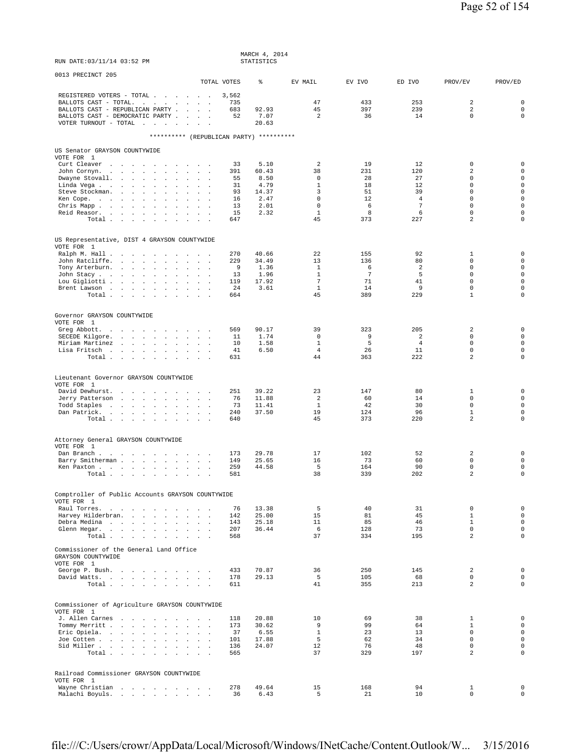| RUN DATE: 03/11/14 03:52 PM                                                                                                                                                                                                                                                                                                                                                                      |                                                                                                                                   |                                                      | MARCH 4, 2014<br>STATISTICS                                    |                                                                                       |                                                       |                                                                |                                                                                                                       |                                                                                                                                     |
|--------------------------------------------------------------------------------------------------------------------------------------------------------------------------------------------------------------------------------------------------------------------------------------------------------------------------------------------------------------------------------------------------|-----------------------------------------------------------------------------------------------------------------------------------|------------------------------------------------------|----------------------------------------------------------------|---------------------------------------------------------------------------------------|-------------------------------------------------------|----------------------------------------------------------------|-----------------------------------------------------------------------------------------------------------------------|-------------------------------------------------------------------------------------------------------------------------------------|
| 0013 PRECINCT 205                                                                                                                                                                                                                                                                                                                                                                                | TOTAL VOTES                                                                                                                       |                                                      | ి                                                              | EV MAIL                                                                               | EV IVO                                                | ED IVO                                                         | PROV/EV                                                                                                               | PROV/ED                                                                                                                             |
| REGISTERED VOTERS - TOTAL<br>BALLOTS CAST - TOTAL.<br>BALLOTS CAST - REPUBLICAN PARTY<br>BALLOTS CAST - DEMOCRATIC PARTY<br>VOTER TURNOUT - TOTAL $\ldots$                                                                                                                                                                                                                                       | $\sim$                                                                                                                            | 3,562<br>735<br>683<br>52                            | 92.93<br>7.07<br>20.63                                         | 47<br>45<br>2                                                                         | 433<br>397<br>36                                      | 253<br>239<br>14                                               | 2<br>2<br>$\mathbf 0$                                                                                                 | $\mathbf 0$<br>$\mathbf 0$<br>$\mathbf 0$                                                                                           |
| ********** (REPUBLICAN PARTY) **********                                                                                                                                                                                                                                                                                                                                                         |                                                                                                                                   |                                                      |                                                                |                                                                                       |                                                       |                                                                |                                                                                                                       |                                                                                                                                     |
| US Senator GRAYSON COUNTYWIDE<br>VOTE FOR 1<br>Curt Cleaver<br>John Cornyn.<br>Dwayne Stovall.<br>$\sim$<br>$\sim$<br>$\mathbf{r}$<br>Linda Vega<br>$\mathbf{A}^{\mathrm{H}}$ and<br>Steve Stockman.<br>the contract of the contract<br>$\sim$<br>Ken Cope.<br>the contract of the contract of<br>$\sim$<br>$\cdot$<br>Chris Mapp.<br>Reid Reasor.<br>$\sim$<br>Total $\cdots$ $\cdots$ $\cdots$ | $\mathbf{a} = \mathbf{a} + \mathbf{a}$ , and $\mathbf{a}$<br><b>Sales Advised Service</b><br>$\mathbf{r}$<br>$\sim$ $\sim$ $\sim$ | 33<br>391<br>55<br>31<br>93<br>16<br>13<br>15<br>647 | 5.10<br>60.43<br>8.50<br>4.79<br>14.37<br>2.47<br>2.01<br>2.32 | 2<br>38<br>0<br>$\mathbf{1}$<br>3<br>$\mathbf 0$<br>$\mathbf 0$<br>$\mathbf{1}$<br>45 | 19<br>231<br>28<br>18<br>51<br>12<br>6<br>8<br>373    | 12<br>120<br>27<br>12<br>39<br>4<br>$\overline{7}$<br>6<br>227 | 0<br>$\overline{2}$<br>0<br>$\mathbf 0$<br>$\mathbf 0$<br>$\mathbf 0$<br>$\mathbf 0$<br>$\mathsf 0$<br>$\overline{2}$ | $\mathbf 0$<br>$\mathbf 0$<br>$\mathbf 0$<br>$\mathbf 0$<br>$\mathbf 0$<br>$\mathbf 0$<br>$\mathbf 0$<br>$\mathbf 0$<br>$\mathbf 0$ |
| US Representative, DIST 4 GRAYSON COUNTYWIDE<br>VOTE FOR 1                                                                                                                                                                                                                                                                                                                                       |                                                                                                                                   |                                                      |                                                                |                                                                                       |                                                       |                                                                |                                                                                                                       |                                                                                                                                     |
| Ralph M. Hall<br>John Ratcliffe.<br>the company of the company<br>$\ddot{\phantom{a}}$<br>$\sim$<br>Tony Arterburn.<br>$\Box$<br>John Stacy<br>$\sim$<br>$\mathbf{r}$<br>$\mathbf{r}$<br>Lou Gigliotti<br>$\sim$<br>$\cdot$<br>Brent Lawson<br>Total                                                                                                                                             | $\sim 10^{-1}$<br>$\ddot{\phantom{a}}$<br>$\mathbf{r}$<br>$\sim$                                                                  | 270<br>229<br>9<br>13<br>119<br>24<br>664            | 40.66<br>34.49<br>1.36<br>1.96<br>17.92<br>3.61                | 22<br>13<br>$\mathbf{1}$<br>$\mathbf{1}$<br>$7\phantom{.0}$<br>$\mathbf{1}$<br>45     | 155<br>136<br>6<br>$7\phantom{.0}$<br>71<br>14<br>389 | 92<br>80<br>2<br>5<br>41<br>9<br>229                           | 1<br>0<br>$\mathbf 0$<br>$\mathbf 0$<br>$\mathbf 0$<br>$\mathsf 0$<br>$\mathbf{1}$                                    | $\mathbf 0$<br>$\mathbf 0$<br>$\mathsf{O}\xspace$<br>$\mathbf 0$<br>$\mathbf 0$<br>$\mathbf 0$<br>$\mathbf 0$                       |
| Governor GRAYSON COUNTYWIDE                                                                                                                                                                                                                                                                                                                                                                      |                                                                                                                                   |                                                      |                                                                |                                                                                       |                                                       |                                                                |                                                                                                                       |                                                                                                                                     |
| VOTE FOR 1<br>Greg Abbott.<br>the contract of the contract of the<br>SECEDE Kilgore.<br>and the state of the state of the state of the state of the state of the state of the state of the state of the<br>Miriam Martinez<br>Lisa Fritsch<br>Total $\cdots$ $\cdots$ $\cdots$                                                                                                                   | <b>Carl Carl Carl</b>                                                                                                             | 569<br>11<br>10<br>41<br>631                         | 90.17<br>1.74<br>1.58<br>6.50                                  | 39<br>$\mathbf 0$<br>$\mathbf{1}$<br>$\overline{4}$<br>44                             | 323<br>9<br>5<br>26<br>363                            | 205<br>$\overline{a}$<br>$\overline{4}$<br>11<br>222           | $\overline{2}$<br>$\mathbf 0$<br>$\mathsf 0$<br>$\mathbf 0$<br>$\overline{2}$                                         | $\mathbf 0$<br>$\mathbf 0$<br>$\mathbf 0$<br>$\mathbf 0$<br>0                                                                       |
| Lieutenant Governor GRAYSON COUNTYWIDE                                                                                                                                                                                                                                                                                                                                                           |                                                                                                                                   |                                                      |                                                                |                                                                                       |                                                       |                                                                |                                                                                                                       |                                                                                                                                     |
| VOTE FOR 1<br>David Dewhurst.<br>$\sim$ $\sim$<br>Jerry Patterson<br>$\cdot$<br>Todd Staples<br>the contract of the contract of the con-<br>Dan Patrick.<br>the contract of the contract of<br>$\sim 10^{-1}$<br>Total                                                                                                                                                                           | <b>Contract Contract Street</b><br>$\mathbf{1}$ and $\mathbf{1}$ and $\mathbf{1}$                                                 | 251<br>76<br>73<br>240<br>640                        | 39.22<br>11.88<br>11.41<br>37.50                               | 23<br>$\overline{a}$<br>$\mathbf{1}$<br>19<br>45                                      | 147<br>60<br>42<br>124<br>373                         | 80<br>14<br>30<br>96<br>220                                    | 1<br>$\mathbf 0$<br>$\mathbf 0$<br>$\mathbf 1$<br>$\overline{a}$                                                      | $\mathbf 0$<br>$\mathbf 0$<br>$\mathbf 0$<br>$\mathbf 0$<br>$\mathbf 0$                                                             |
| Attorney General GRAYSON COUNTYWIDE                                                                                                                                                                                                                                                                                                                                                              |                                                                                                                                   |                                                      |                                                                |                                                                                       |                                                       |                                                                |                                                                                                                       |                                                                                                                                     |
| VOTE FOR 1<br>Dan Branch<br>Barry Smitherman<br>$\sim$<br>Ken Paxton<br>Total .                                                                                                                                                                                                                                                                                                                  | $\sim$<br>$\sim$<br>$\sim$                                                                                                        | 173<br>149<br>259<br>581                             | 29.78<br>25.65<br>44.58                                        | 17<br>16<br>5<br>38                                                                   | 102<br>73<br>164<br>339                               | 52<br>60<br>90<br>202                                          | 2<br>0<br>$\mathbf 0$<br>2                                                                                            | $\mathbf 0$<br>$\mathbf 0$<br>$\mathbf 0$<br>$\mathbf 0$                                                                            |
| Comptroller of Public Accounts GRAYSON COUNTYWIDE                                                                                                                                                                                                                                                                                                                                                |                                                                                                                                   |                                                      |                                                                |                                                                                       |                                                       |                                                                |                                                                                                                       |                                                                                                                                     |
| VOTE FOR 1<br>Raul Torres.<br>Harvey Hilderbran.<br>Debra Medina<br>Glenn Hegar.<br>Total                                                                                                                                                                                                                                                                                                        | $\sim$                                                                                                                            | 76<br>142<br>143<br>207<br>568                       | 13.38<br>25.00<br>25.18<br>36.44                               | 5<br>15<br>11<br>6<br>37                                                              | 40<br>81<br>85<br>128<br>334                          | 31<br>45<br>46<br>73<br>195                                    | $\mathsf 0$<br>$\mathbf{1}$<br>$\mathbf{1}$<br>$\mathbf 0$<br>$\overline{a}$                                          | $\mathsf{O}\xspace$<br>$\mathbf{0}$<br>$\mathsf{O}\xspace$<br>$\mathbf 0$<br>$\mathsf{O}\xspace$                                    |
| Commissioner of the General Land Office<br>GRAYSON COUNTYWIDE<br>VOTE FOR 1                                                                                                                                                                                                                                                                                                                      |                                                                                                                                   |                                                      |                                                                |                                                                                       |                                                       |                                                                |                                                                                                                       |                                                                                                                                     |
| George P. Bush.<br>David Watts.<br>Total                                                                                                                                                                                                                                                                                                                                                         |                                                                                                                                   | 433<br>178<br>611                                    | 70.87<br>29.13                                                 | 36<br>5<br>41                                                                         | 250<br>105<br>355                                     | 145<br>68<br>213                                               | 2<br>0<br>$\overline{a}$                                                                                              | $\mathbf 0$<br>$\mathbf 0$<br>$\circ$                                                                                               |
| Commissioner of Agriculture GRAYSON COUNTYWIDE<br>VOTE FOR 1<br>J. Allen Carnes<br>Tommy Merritt<br>Eric Opiela.<br>Joe Cotten<br>Sid Miller<br>Total                                                                                                                                                                                                                                            | <b>Carl Carl Carl Carl Carl</b><br><b>Carl Carl Carl</b>                                                                          | 118<br>173<br>37<br>101<br>136<br>565                | 20.88<br>30.62<br>6.55<br>17.88<br>24.07                       | 10<br>9<br>$\mathbf{1}$<br>5<br>12<br>37                                              | 69<br>99<br>23<br>62<br>76<br>329                     | 38<br>64<br>13<br>34<br>48<br>197                              | $\mathbf{1}$<br>$\mathbf{1}$<br>$\mathbf 0$<br>$\mathbf 0$<br>$\mathbf 0$<br>$\overline{a}$                           | $\mathsf{O}\xspace$<br>$\mathsf{O}\xspace$<br>$\mathsf{O}\xspace$<br>$\mathsf{O}\xspace$<br>$\mathbf 0$<br>$\mathbf 0$              |
| Railroad Commissioner GRAYSON COUNTYWIDE<br>VOTE FOR 1<br>Wayne Christian<br>Malachi Boyuls.                                                                                                                                                                                                                                                                                                     |                                                                                                                                   | 278<br>36                                            | 49.64<br>6.43                                                  | 15<br>5                                                                               | 168<br>21                                             | 94<br>10                                                       | 1<br>$\mathbf 0$                                                                                                      | $\mathbf 0$<br>0                                                                                                                    |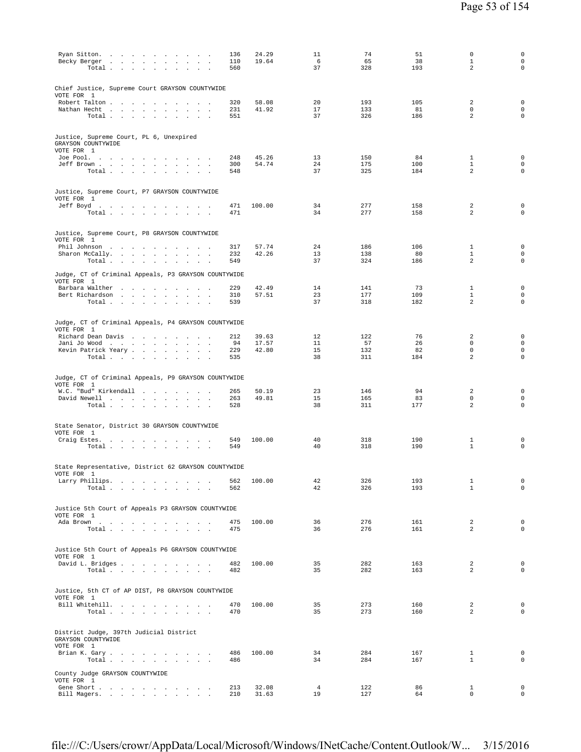| Ryan Sitton.<br>136<br>Becky Berger<br>110<br>Total<br>560                                    | 24.29<br>19.64 | 11<br>6<br>37        | 74<br>65<br>328 | 51<br>38<br>193 | 0<br>$\mathbf{1}$<br>$\overline{a}$ | $\mathbf 0$<br>$\mathbf 0$<br>$\mathbf 0$  |
|-----------------------------------------------------------------------------------------------|----------------|----------------------|-----------------|-----------------|-------------------------------------|--------------------------------------------|
| Chief Justice, Supreme Court GRAYSON COUNTYWIDE<br>VOTE FOR 1                                 |                |                      |                 |                 |                                     |                                            |
| Robert Talton<br>320                                                                          | 58.08          | 20                   | 193             | 105             | $\overline{a}$                      | $\mathsf 0$                                |
| 231<br>Nathan Hecht<br>Total $\cdots$ $\cdots$ $\cdots$<br>551<br>$\sim$                      | 41.92          | 17<br>37             | 133<br>326      | 81<br>186       | $\mathbf 0$<br>2                    | $\mathsf 0$<br>$\mathsf 0$                 |
| Justice, Supreme Court, PL 6, Unexpired<br>GRAYSON COUNTYWIDE<br>VOTE FOR 1                   |                |                      |                 |                 |                                     |                                            |
| Joe Pool.<br>248                                                                              | 45.26          | 13                   | 150             | 84              | $\mathbf{1}$                        | 0                                          |
| 300<br>Jeff Brown<br>Total<br>548                                                             | 54.74          | 24<br>37             | 175<br>325      | 100<br>184      | 1<br>$\overline{\mathbf{c}}$        | $\mathsf 0$<br>$\mathbf 0$                 |
| Justice, Supreme Court, P7 GRAYSON COUNTYWIDE<br>VOTE FOR 1                                   |                |                      |                 |                 |                                     |                                            |
| Jeff Boyd.<br>471<br>Total<br>471                                                             | 100.00         | 34<br>34             | 277<br>277      | 158<br>158      | 2<br>2                              | 0<br>0                                     |
| Justice, Supreme Court, P8 GRAYSON COUNTYWIDE                                                 |                |                      |                 |                 |                                     |                                            |
| VOTE FOR 1                                                                                    |                |                      |                 |                 |                                     |                                            |
| Phil Johnson<br>317<br>Sharon McCally.<br>232                                                 | 57.74<br>42.26 | 24<br>13             | 186<br>138      | 106<br>80       | 1<br>1                              | 0<br>0                                     |
| Total $\cdots$ $\cdots$ $\cdots$<br>549<br>$\sim$ $\sim$ $\sim$                               |                | 37                   | 324             | 186             | 2                                   | $\mathbf 0$                                |
| Judge, CT of Criminal Appeals, P3 GRAYSON COUNTYWIDE<br>VOTE FOR 1                            |                |                      |                 |                 |                                     |                                            |
| Barbara Walther<br>229<br>310                                                                 | 42.49<br>57.51 | 14<br>23             | 141<br>177      | 73<br>109       | $\mathbf{1}$<br>$\mathbf{1}$        | $\mathsf{O}\xspace$<br>$\mathsf{O}\xspace$ |
| Bert Richardson<br>539<br>Total $\cdots$ $\cdots$ $\cdots$ $\cdots$                           |                | 37                   | 318             | 182             | $\overline{\mathbf{c}}$             | $\mathsf 0$                                |
| Judge, CT of Criminal Appeals, P4 GRAYSON COUNTYWIDE<br>VOTE FOR 1                            |                |                      |                 |                 |                                     |                                            |
| Richard Dean Davis<br>212                                                                     | 39.63          | 12                   | 122             | 76              | 2                                   | 0                                          |
| 94<br>Jani Jo Wood<br>229<br>Kevin Patrick Yeary<br>$\sim$                                    | 17.57<br>42.80 | 11<br>15             | 57<br>132       | 26<br>82        | $\mathbf 0$<br>$\mathbb O$          | $\mathsf 0$<br>$\mathsf 0$                 |
| Total $\cdots$ $\cdots$ $\cdots$<br>535                                                       |                | 38                   | 311             | 184             | 2                                   | $\mathbf 0$                                |
| Judge, CT of Criminal Appeals, P9 GRAYSON COUNTYWIDE                                          |                |                      |                 |                 |                                     |                                            |
| VOTE FOR 1<br>W.C. "Bud" Kirkendall<br>265                                                    | 50.19          | 23                   | 146             | 94              | 2                                   | $\mathsf 0$                                |
| David Newell<br>263<br>Total<br>528                                                           | 49.81          | 15<br>38             | 165<br>311      | 83<br>177       | $\mathbf 0$<br>2                    | $\mathsf 0$<br>$\mathbf 0$                 |
|                                                                                               |                |                      |                 |                 |                                     |                                            |
| State Senator, District 30 GRAYSON COUNTYWIDE<br>VOTE FOR 1                                   |                |                      |                 |                 |                                     |                                            |
| Craig Estes.<br>549<br>the contract of the contract of the contract of                        | 100.00         | 40<br>40             | 318<br>318      | 190<br>190      | 1<br>$\mathbf{1}$                   | 0<br>0                                     |
| Total $\cdots$ $\cdots$ $\cdots$<br>549<br>$\sim$                                             |                |                      |                 |                 |                                     |                                            |
| State Representative, District 62 GRAYSON COUNTYWIDE<br>VOTE FOR 1                            |                |                      |                 |                 |                                     |                                            |
| Larry Phillips.<br>562<br>Total<br>562                                                        | 100.00         | 42<br>42             | 326<br>326      | 193<br>193      | $\mathbf{1}$<br>$\mathbf{1}$        | 0<br>$\mathbf 0$                           |
| Justice 5th Court of Appeals P3 GRAYSON COUNTYWIDE                                            |                |                      |                 |                 |                                     |                                            |
| VOTE FOR 1<br>475                                                                             | 100.00         | 36                   | 276             | 161             | 2                                   | $\mathbf 0$                                |
| Ada Brown<br>Total<br>475                                                                     |                | 36                   | 276             | 161             | 2                                   | $\mathbf 0$                                |
| Justice 5th Court of Appeals P6 GRAYSON COUNTYWIDE                                            |                |                      |                 |                 |                                     |                                            |
| VOTE FOR 1<br>David L. Bridges<br>482                                                         | 100.00         | 35                   | 282             | 163             | $\overline{a}$                      | 0                                          |
| Total<br>482                                                                                  |                | 35                   | 282             | 163             | $\overline{a}$                      | $\mathbf 0$                                |
| Justice, 5th CT of AP DIST, P8 GRAYSON COUNTYWIDE                                             |                |                      |                 |                 |                                     |                                            |
| VOTE FOR 1<br>Bill Whitehill.<br>470                                                          | 100.00         | 35                   | 273             | 160             | 2                                   | $\mathbf 0$                                |
| Total $\cdots$ $\cdots$ $\cdots$<br>470                                                       |                | 35                   | 273             | 160             | $\overline{a}$                      | $\mathsf 0$                                |
| District Judge, 397th Judicial District<br>GRAYSON COUNTYWIDE                                 |                |                      |                 |                 |                                     |                                            |
| VOTE FOR 1<br>Brian K. Gary<br>486                                                            | 100.00         | 34                   | 284             | 167             | $\mathbf{1}$                        | $\mathsf 0$                                |
| Total<br>486                                                                                  |                | 34                   | 284             | 167             | $\mathbf{1}$                        | 0                                          |
| County Judge GRAYSON COUNTYWIDE<br>VOTE FOR 1                                                 |                |                      |                 |                 |                                     |                                            |
| Gene Short .<br>213<br>the contract of the contract of the contract of<br>Bill Magers.<br>210 | 32.08<br>31.63 | $\overline{4}$<br>19 | 122<br>127      | 86<br>64        | $\mathbf{1}$<br>$\mathbf 0$         | $\mathbf 0$<br>$\mathsf 0$                 |
|                                                                                               |                |                      |                 |                 |                                     |                                            |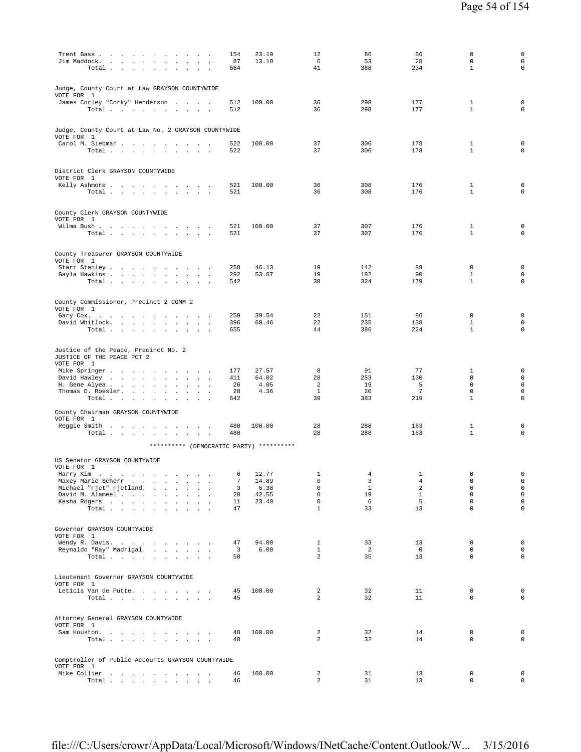| Trent Bass<br>Jim Maddock.<br>$\sim$<br>$\sim$<br>$\cdot$<br>$\cdot$<br>$\cdot$<br>Total $\cdots$ $\cdots$ $\cdots$ | 154<br>87<br>664  | 23.19<br>13.10         | 12<br>6<br>41                    | 86<br>53<br>388            | 56<br>28<br>234                | $\mathbf 0$<br>$\mathbf 0$<br>$\mathbf{1}$  | $\mathsf{O}\xspace$<br>$\mathsf{O}\xspace$<br>$\mathbf 0$ |
|---------------------------------------------------------------------------------------------------------------------|-------------------|------------------------|----------------------------------|----------------------------|--------------------------------|---------------------------------------------|-----------------------------------------------------------|
| Judge, County Court at Law GRAYSON COUNTYWIDE<br>VOTE FOR 1                                                         |                   |                        |                                  |                            |                                |                                             |                                                           |
| James Corley "Corky" Henderson<br>Total .<br>the contract of the contract<br>$\sim$<br>$\sim$<br>$\cdot$            | 512<br>512        | 100.00                 | 36<br>36                         | 298<br>298                 | 177<br>177                     | 1<br>$\mathbf{1}$                           | 0<br>$\mathbf 0$                                          |
| Judge, County Court at Law No. 2 GRAYSON COUNTYWIDE<br>VOTE FOR 1                                                   |                   |                        |                                  |                            |                                |                                             |                                                           |
| Carol M. Siebman<br>Total                                                                                           | 522<br>522        | 100.00                 | 37<br>37                         | 306<br>306                 | 178<br>178                     | $\mathbf{1}$<br>$\mathbf{1}$                | $\mathbf 0$<br>$\circ$                                    |
| District Clerk GRAYSON COUNTYWIDE<br>VOTE FOR 1                                                                     |                   |                        |                                  |                            |                                |                                             |                                                           |
| Kelly Ashmore<br>Total<br>$\sim$<br>and a strategic and                                                             | 521<br>521        | 100.00                 | 36<br>36                         | 308<br>308                 | 176<br>176                     | $\mathbf{1}$<br>$\mathbf{1}$                | 0<br>$\mathbf 0$                                          |
| County Clerk GRAYSON COUNTYWIDE<br>VOTE FOR 1                                                                       |                   |                        |                                  |                            |                                |                                             |                                                           |
| Wilma Bush.<br>Total .<br>the contract of the contract of the con-                                                  | 521<br>521        | 100.00                 | 37<br>37                         | 307<br>307                 | 176<br>176                     | 1<br>$\mathbf{1}$                           | $\mathbf 0$<br>$\mathbf 0$                                |
| County Treasurer GRAYSON COUNTYWIDE<br>VOTE FOR 1                                                                   | 250               | 46.13                  | 19                               | 142                        | 89                             | $\mathbf 0$                                 | $\mathbf 0$                                               |
| Starr Stanley<br>Gayla Hawkins<br>$\sim$ 100 $\mu$<br>Total<br>$\sim$ $\sim$ $\sim$                                 | 292<br>542        | 53.87                  | 19<br>38                         | 182<br>324                 | 90<br>179                      | $\mathbf{1}$<br>$\mathbf{1}$                | $\mathbf 0$<br>$\mathbf 0$                                |
| County Commissioner, Precinct 2 COMM 2<br>VOTE FOR 1                                                                |                   |                        |                                  |                            |                                |                                             |                                                           |
| Gary Cox.<br>David Whitlock.<br>$\sim$<br>Total $\cdots$ $\cdots$ $\cdots$ $\cdots$                                 | 259<br>396<br>655 | 39.54<br>60.46         | 22<br>22<br>44                   | 151<br>235<br>386          | 86<br>138<br>224               | $\mathbf 0$<br>$\mathbf{1}$<br>$\mathbf{1}$ | $\mathbf 0$<br>$\mathbf 0$<br>0                           |
| Justice of the Peace, Precinct No. 2<br>JUSTICE OF THE PEACE PCT 2<br>VOTE FOR 1                                    |                   |                        |                                  |                            |                                |                                             |                                                           |
| Mike Springer<br>$\sim$<br>David Hawley<br>$\sim$<br>$\sim$<br>H. Gene Alyea<br><b>Carl Carl</b>                    | 177<br>411<br>26  | 27.57<br>64.02<br>4.05 | 8<br>28<br>2                     | 91<br>253<br>19            | 77<br>130<br>5                 | 1<br>$\mathbf 0$<br>$\mathbf 0$             | $\mathbf 0$<br>$\mathsf{O}\xspace$<br>$\mathsf{O}\xspace$ |
| Thomas D. Roesler.<br><b>Contract Contract</b><br>$\sim 10^{-1}$<br>$\sim$<br>$\cdot$<br>$\cdot$<br>Total           | 28<br>642         | 4.36                   | $\mathbf{1}$<br>39               | 20<br>383                  | $7\phantom{.0}$<br>219         | $\mathbf 0$<br>$\mathbf{1}$                 | 0<br>$\mathbf 0$                                          |
| County Chairman GRAYSON COUNTYWIDE<br>VOTE FOR 1                                                                    |                   |                        |                                  |                            |                                |                                             |                                                           |
| Reggie Smith<br>Total $\cdots$ $\cdots$ $\cdots$ $\cdots$                                                           | 480<br>480        | 100.00                 | 28<br>28                         | 288<br>288                 | 163<br>163                     | $\mathbf{1}$<br>$\mathbf{1}$                | $\mathbf 0$<br>$\mathbf 0$                                |
| ********** (DEMOCRATIC PARTY) **********<br>US Senator GRAYSON COUNTYWIDE                                           |                   |                        |                                  |                            |                                |                                             |                                                           |
| VOTE FOR 1<br>Harry Kim<br>Maxey Marie Scherr                                                                       | 7                 | 6 12.77                | $\mathbf{1}$<br>0                | $\overline{4}$<br>3        | $\mathbf{1}$<br>$\overline{4}$ | $\cap$<br>$\mathbb O$                       | 0<br>0                                                    |
| Michael "Fjet" Fjetland.                                                                                            | 3                 | 14.89<br>6.38          | $\mathbf 0$                      | $\mathbf{1}$               | 2                              | $\mathbf 0$                                 | $\mathsf{O}\xspace$                                       |
| David M. Alameel<br>Kesha Rogers                                                                                    | 20<br>11          | 42.55<br>23.40         | $\mathbf 0$<br>$\mathbf 0$       | 19<br>- 6                  | $\mathbf{1}$<br>5              | 0<br>$\mathbf 0$                            | $\circ$<br>$\mathsf{O}\xspace$                            |
| Total                                                                                                               | 47                |                        | $\mathbf{1}$                     | 33                         | 13                             | 0                                           | $\mathsf{O}\xspace$                                       |
| Governor GRAYSON COUNTYWIDE<br>VOTE FOR 1                                                                           |                   |                        |                                  |                            |                                |                                             | 0                                                         |
| Wendy R. Davis.<br>Reynaldo "Ray" Madrigal.<br>Total $\cdots$ $\cdots$ $\cdots$ $\cdots$                            | 47<br>3<br>50     | 94.00<br>6.00          | 1<br>$\mathbf{1}$<br>2           | 33<br>$\overline{2}$<br>35 | 13<br>$\overline{0}$<br>13     | 0<br>$\mathbf 0$<br>$\mathbf 0$             | 0<br>0                                                    |
| Lieutenant Governor GRAYSON COUNTYWIDE<br>VOTE FOR 1                                                                |                   |                        |                                  |                            |                                |                                             |                                                           |
| Leticia Van de Putte.<br>Total                                                                                      | 45<br>45          | 100.00                 | $\overline{a}$<br>$\overline{a}$ | 32<br>32                   | 11<br>11                       | 0<br>$\Omega$                               | 0<br>0                                                    |
| Attorney General GRAYSON COUNTYWIDE<br>VOTE FOR 1                                                                   |                   |                        |                                  |                            |                                |                                             |                                                           |
| Sam Houston.<br>Total                                                                                               | 48<br>48          | 100.00                 | 2<br>$\overline{a}$              | 32<br>32                   | 14<br>14                       | 0<br>0                                      | 0<br>0                                                    |
| Comptroller of Public Accounts GRAYSON COUNTYWIDE<br>VOTE FOR 1                                                     |                   |                        |                                  |                            |                                |                                             |                                                           |
| Mike Collier<br>Total $\cdots$ $\cdots$ $\cdots$                                                                    | 46<br>46          | 100.00                 | 2<br>$\overline{a}$              | 31<br>31                   | 13<br>13                       | $\mathbf 0$<br>0                            | 0<br>$\mathsf{O}$                                         |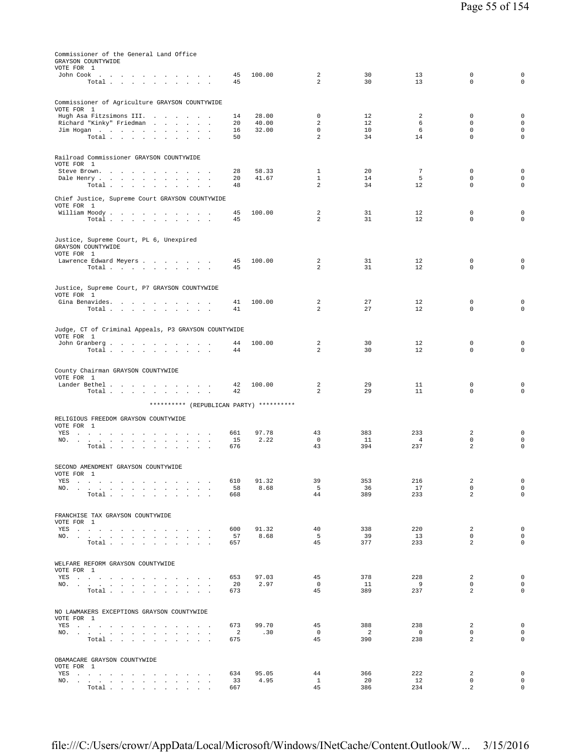| Commissioner of the General Land Office<br>GRAYSON COUNTYWIDE<br>VOTE FOR 1                                                                                                                                                                  |                       |                |                    |                                   |                       |                               |                                |
|----------------------------------------------------------------------------------------------------------------------------------------------------------------------------------------------------------------------------------------------|-----------------------|----------------|--------------------|-----------------------------------|-----------------------|-------------------------------|--------------------------------|
| John Cook $\qquad \qquad \ldots \qquad \qquad \ldots \qquad \ldots \qquad \ldots$<br>Total $\cdots$ $\cdots$ $\cdots$                                                                                                                        | 45<br>45              | 100.00         | 2<br>2             | 30<br>30                          | 13<br>13              | 0<br>$\Omega$                 | $\mathsf{O}\xspace$<br>$\circ$ |
| Commissioner of Agriculture GRAYSON COUNTYWIDE                                                                                                                                                                                               |                       |                |                    |                                   |                       |                               |                                |
| VOTE FOR 1<br>Hugh Asa Fitzsimons III.                                                                                                                                                                                                       | 14                    | 28.00          | 0                  | 12                                | 2                     | 0                             | $\mathbf 0$                    |
| Richard "Kinky" Friedman                                                                                                                                                                                                                     | 20<br>16              | 40.00<br>32.00 | 2<br>$\mathsf 0$   | 12<br>10                          | 6<br>6                | $\Omega$<br>$\mathbf 0$       | $\mathsf 0$<br>$\mathsf 0$     |
| Jim Hogan<br>Total                                                                                                                                                                                                                           | 50                    |                | 2                  | 34                                | 14                    | $\Omega$                      | $\mathbf 0$                    |
| Railroad Commissioner GRAYSON COUNTYWIDE                                                                                                                                                                                                     |                       |                |                    |                                   |                       |                               |                                |
| VOTE FOR 1<br>Steve Brown.                                                                                                                                                                                                                   | 28                    | 58.33          | $\mathbf{1}$       | 20                                | 7                     | $\mathbf 0$                   | $\mathsf 0$                    |
| Dale Henry<br>$\sim 10^{-1}$<br>$\sim$<br>$\overline{\phantom{a}}$<br>Total                                                                                                                                                                  | 20<br>48              | 41.67          | $\mathbf{1}$<br>2  | 14<br>34                          | 5<br>12               | $\Omega$<br>$\mathbf 0$       | $\mathbf 0$<br>$\mathbf 0$     |
| Chief Justice, Supreme Court GRAYSON COUNTYWIDE                                                                                                                                                                                              |                       |                |                    |                                   |                       |                               |                                |
| VOTE FOR 1<br>William Moody.                                                                                                                                                                                                                 | 45                    | 100.00         | 2                  | 31                                | 12                    | 0                             | $\mathsf 0$                    |
| Total                                                                                                                                                                                                                                        | 45                    |                | 2                  | 31                                | 12                    | $\Omega$                      | $\mathbf 0$                    |
| Justice, Supreme Court, PL 6, Unexpired                                                                                                                                                                                                      |                       |                |                    |                                   |                       |                               |                                |
| GRAYSON COUNTYWIDE<br>VOTE FOR 1                                                                                                                                                                                                             |                       |                |                    |                                   |                       |                               |                                |
| Lawrence Edward Meyers<br>Total $\cdots$ $\cdots$ $\cdots$ $\cdots$                                                                                                                                                                          | 45<br>45              | 100.00         | 2<br>2             | 31<br>31                          | 12<br>12              | $\mathbf 0$<br>$\mathbf 0$    | $\mathsf 0$<br>$\mathbf 0$     |
|                                                                                                                                                                                                                                              |                       |                |                    |                                   |                       |                               |                                |
| Justice, Supreme Court, P7 GRAYSON COUNTYWIDE<br>VOTE FOR 1                                                                                                                                                                                  |                       |                |                    |                                   |                       |                               |                                |
| Gina Benavides.<br>Total                                                                                                                                                                                                                     | 41<br>41              | 100.00         | 2<br>2             | 27<br>27                          | 12<br>12              | $\mathbf 0$<br>$\mathbf 0$    | $\mathbf 0$<br>$\mathbf 0$     |
| Judge, CT of Criminal Appeals, P3 GRAYSON COUNTYWIDE                                                                                                                                                                                         |                       |                |                    |                                   |                       |                               |                                |
| VOTE FOR 1                                                                                                                                                                                                                                   |                       |                |                    |                                   |                       |                               |                                |
| John Granberg<br>Total                                                                                                                                                                                                                       | 44<br>44              | 100.00         | 2<br>2             | 30<br>30                          | 12<br>12              | $\mathbf 0$<br>$\mathbf 0$    | 0<br>$\mathbf 0$               |
| County Chairman GRAYSON COUNTYWIDE                                                                                                                                                                                                           |                       |                |                    |                                   |                       |                               |                                |
| VOTE FOR 1<br>Lander Bethel                                                                                                                                                                                                                  | 42                    | 100.00         | 2                  | 29                                | 11                    | $\mathbf 0$                   | 0                              |
| Total                                                                                                                                                                                                                                        | 42                    |                | 2                  | 29                                | 11                    | $\mathbf 0$                   | $\mathsf 0$                    |
| ********** (REPUBLICAN PARTY) **********                                                                                                                                                                                                     |                       |                |                    |                                   |                       |                               |                                |
| RELIGIOUS FREEDOM GRAYSON COUNTYWIDE<br>VOTE FOR 1                                                                                                                                                                                           |                       |                |                    |                                   |                       |                               |                                |
| YES a contract of the contract of the contract of the set of the set of the set of the set of the set of the set of the set of the set of the set of the set of the set of the set of the set of the set of the set of the set               | 661                   | 97.78          | 43                 | 383                               | 233                   | 2                             | 0                              |
| NO.<br>Total                                                                                                                                                                                                                                 | 15<br>676             | 2.22           | 0<br>43            | 11<br>394                         | 4<br>237              | $\mathbf 0$<br>$\overline{a}$ | $\mathsf 0$<br>$\mathbf 0$     |
| SECOND AMENDMENT GRAYSON COUNTYWIDE                                                                                                                                                                                                          |                       |                |                    |                                   |                       |                               |                                |
| VOTE FOR 1                                                                                                                                                                                                                                   |                       | 91.32          | 39                 | 353                               | 216                   | 2                             | 0                              |
| YES<br>the contract of the contract of the contract of the<br>NO.<br>the contract of the contract of the contract of the<br>$\sim$                                                                                                           | 610<br>58             | 8.68           | 5                  | 36                                | 17                    | $\mathsf 0$                   | $\mathsf{O}$                   |
| Total .<br>$\sim$<br>$\sim$                                                                                                                                                                                                                  | 668                   |                | 44                 | 389                               | 233                   | $\overline{a}$                | $\mathsf{O}\xspace$            |
| FRANCHISE TAX GRAYSON COUNTYWIDE                                                                                                                                                                                                             |                       |                |                    |                                   |                       |                               |                                |
| VOTE FOR 1<br>YES a contract of the contract of the contract of the set of the set of the set of the set of the set of the set of the set of the set of the set of the set of the set of the set of the set of the set of the set of the set | 600                   | 91.32          | 40                 | 338                               | 220                   | $\overline{a}$                | $\mathsf 0$                    |
| NO.<br>Total                                                                                                                                                                                                                                 | 57<br>657             | 8.68           | 5<br>45            | 39<br>377                         | 13<br>233             | $\mathbf 0$<br>$\overline{a}$ | $\mathbf{0}$<br>$\mathbf 0$    |
|                                                                                                                                                                                                                                              |                       |                |                    |                                   |                       |                               |                                |
| WELFARE REFORM GRAYSON COUNTYWIDE<br>VOTE FOR 1                                                                                                                                                                                              |                       |                |                    |                                   |                       |                               |                                |
| YES<br>NO.                                                                                                                                                                                                                                   | 653<br>20             | 97.03<br>2.97  | 45<br>$\circ$      | 378<br>11                         | 228<br>9              | 2<br>$\Omega$                 | $\mathsf 0$<br>$\mathbf 0$     |
| Total<br>$\sim$                                                                                                                                                                                                                              | 673                   |                | 45                 | 389                               | 237                   | $\overline{a}$                | $\circ$                        |
| NO LAWMAKERS EXCEPTIONS GRAYSON COUNTYWIDE                                                                                                                                                                                                   |                       |                |                    |                                   |                       |                               |                                |
| VOTE FOR 1<br>YES<br>and a strong state of the<br>$\sim$ $\sim$                                                                                                                                                                              | 673                   | 99.70          | 45                 | 388                               | 238                   | 2                             | $\mathsf 0$                    |
| NO.<br>Total                                                                                                                                                                                                                                 | $\overline{c}$<br>675 | .30            | $\mathbf 0$<br>45  | $\overline{\phantom{0}}^2$<br>390 | $\overline{0}$<br>238 | $\mathbf 0$<br>$\overline{a}$ | $\mathbf{0}$<br>0              |
|                                                                                                                                                                                                                                              |                       |                |                    |                                   |                       |                               |                                |
| OBAMACARE GRAYSON COUNTYWIDE<br>VOTE FOR 1                                                                                                                                                                                                   |                       |                |                    |                                   |                       |                               |                                |
| YES a contract that is a contract of the set of the set of the set of the set of the set of the set of the set of the set of the set of the set of the set of the set of the set of the set of the set of the set of the set                 | 634                   | 95.05          | 44                 | 366                               | 222                   | 2                             | $\mathsf 0$                    |
| NO.<br>Total<br>$\sim$<br>$\sim$                                                                                                                                                                                                             | 33<br>667             | 4.95           | $\mathbf{1}$<br>45 | 20<br>386                         | 12<br>234             | $\mathbf 0$<br>$\overline{a}$ | $\circ$<br>$\mathsf{O}\xspace$ |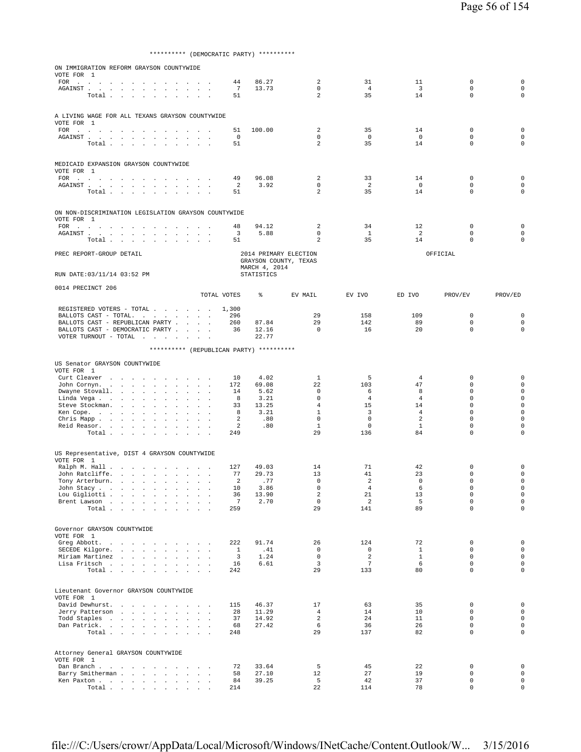\*\*\*\*\*\*\*\*\*\* (DEMOCRATIC PARTY) \*\*\*\*\*\*\*\*\*\*

| ON IMMIGRATION REFORM GRAYSON COUNTYWIDE                                                                                                                                              |                      |                   |                                                |                      |                      |                            |                                            |
|---------------------------------------------------------------------------------------------------------------------------------------------------------------------------------------|----------------------|-------------------|------------------------------------------------|----------------------|----------------------|----------------------------|--------------------------------------------|
| VOTE FOR 1                                                                                                                                                                            |                      |                   |                                                |                      |                      |                            |                                            |
| FOR<br>the contract of the contract of the                                                                                                                                            | 44                   | 86.27             | 2<br>$\mathbf 0$                               | 31                   | 11                   | $\mathbb O$                | $\mathbf 0$                                |
| AGAINST<br><b>Contract Contract</b><br>Total                                                                                                                                          | $\overline{7}$<br>51 | 13.73             | 2                                              | $\overline{4}$<br>35 | $\overline{3}$<br>14 | $\mathsf 0$<br>$\Omega$    | $\mathbf 0$<br>$\mathbf 0$                 |
|                                                                                                                                                                                       |                      |                   |                                                |                      |                      |                            |                                            |
| A LIVING WAGE FOR ALL TEXANS GRAYSON COUNTYWIDE<br>VOTE FOR 1                                                                                                                         |                      |                   |                                                |                      |                      |                            |                                            |
| FOR $\cdots$ $\cdots$ $\cdots$<br><b>Contract Contract</b><br>the contract of the contract of                                                                                         | 51                   | 100.00            | 2                                              | 35                   | 14                   | $\mathbf 0$                | $\mathbf 0$                                |
| AGAINST<br><b>Service</b><br>$\sim$<br>$\cdot$                                                                                                                                        | 0                    |                   | $\mathbf{0}$                                   | $\overline{0}$       | $\overline{0}$       | $\mathbf 0$                | $\mathbf 0$                                |
| $\texttt{Total} \quad . \quad . \quad . \quad . \quad . \quad . \quad . \quad . \quad .$                                                                                              | 51                   |                   | $\overline{a}$                                 | 35                   | 14                   | $\mathbf 0$                | $\mathbf 0$                                |
|                                                                                                                                                                                       |                      |                   |                                                |                      |                      |                            |                                            |
| MEDICAID EXPANSION GRAYSON COUNTYWIDE                                                                                                                                                 |                      |                   |                                                |                      |                      |                            |                                            |
| VOTE FOR 1<br>FOR                                                                                                                                                                     | 49                   | 96.08             | 2                                              | 33                   | 14                   | $\mathbf 0$                | $\mathbf 0$                                |
| ${\tt AGAINST} \hspace{0.1in} . \hspace{0.1in} . \hspace{0.1in} . \hspace{0.1in} . \hspace{0.1in} . \hspace{0.1in} . \hspace{0.1in} .$<br>$\sim$ 100 $\mu$<br>$\sim$<br>$\sim$ $\sim$ | 2                    | 3.92              | $\mathbf 0$                                    | 2                    | $\overline{0}$       | $\mathbf 0$                | $\mathbf 0$                                |
| Total<br>$\overline{\phantom{a}}$<br>$\cdot$                                                                                                                                          | 51                   |                   | 2                                              | 35                   | 14                   | $\mathbf 0$                | $\mathbf 0$                                |
|                                                                                                                                                                                       |                      |                   |                                                |                      |                      |                            |                                            |
| ON NON-DISCRIMINATION LEGISLATION GRAYSON COUNTYWIDE                                                                                                                                  |                      |                   |                                                |                      |                      |                            |                                            |
| VOTE FOR 1                                                                                                                                                                            | 48                   | 94.12             | 2                                              | 34                   | 12                   | $\mathbf 0$                | $\mathbf 0$                                |
| $\texttt{FOR} \quad . \qquad . \qquad . \qquad . \qquad . \qquad . \qquad . \qquad .$<br>$\sim$<br>the contract of the contract of                                                    | 3                    | 5.88              | $\mathbf 0$                                    | $\mathbf{1}$         | $\overline{2}$       | $\mathbf 0$                | $\mathbf 0$                                |
| Total                                                                                                                                                                                 | 51                   |                   | 2                                              | 35                   | 14                   | $\mathbf 0$                | $\mathbf 0$                                |
| PREC REPORT-GROUP DETAIL                                                                                                                                                              |                      |                   | 2014 PRIMARY ELECTION<br>GRAYSON COUNTY, TEXAS |                      |                      | OFFICIAL                   |                                            |
|                                                                                                                                                                                       |                      | MARCH 4, 2014     |                                                |                      |                      |                            |                                            |
| RUN DATE: 03/11/14 03:52 PM                                                                                                                                                           |                      | <b>STATISTICS</b> |                                                |                      |                      |                            |                                            |
| 0014 PRECINCT 206                                                                                                                                                                     |                      |                   |                                                |                      |                      |                            |                                            |
|                                                                                                                                                                                       | TOTAL VOTES          | ⊱                 | EV MAIL                                        | EV IVO               | ED IVO               | PROV/EV                    | PROV/ED                                    |
| REGISTERED VOTERS - TOTAL                                                                                                                                                             | 1,300                |                   |                                                |                      |                      |                            |                                            |
| BALLOTS CAST - TOTAL.                                                                                                                                                                 | 296                  |                   | 29                                             | 158                  | 109                  | $\mathbf 0$                | $\mathbf 0$                                |
| BALLOTS CAST - REPUBLICAN PARTY                                                                                                                                                       | 260<br>36            | 87.84             | 29<br>$\Omega$                                 | 142<br>16            | 89<br>20             | $\mathsf 0$<br>$\mathbf 0$ | $\mathbf 0$<br>$\mathbf 0$                 |
| BALLOTS CAST - DEMOCRATIC PARTY<br>VOTER TURNOUT - TOTAL $\cdot \cdot \cdot \cdot$<br>$\ddot{\phantom{a}}$                                                                            |                      | 12.16<br>22.77    |                                                |                      |                      |                            |                                            |
|                                                                                                                                                                                       |                      |                   |                                                |                      |                      |                            |                                            |
| ********** (REPUBLICAN PARTY) **********                                                                                                                                              |                      |                   |                                                |                      |                      |                            |                                            |
| US Senator GRAYSON COUNTYWIDE                                                                                                                                                         |                      |                   |                                                |                      |                      |                            |                                            |
| VOTE FOR 1<br>Curt Cleaver                                                                                                                                                            |                      | 4.02              | 1                                              | 5                    | 4                    | $\mathbf 0$                | $\mathbf 0$                                |
| the contract of the contract of the<br>John Cornyn.<br>$\sim 10^{-1}$<br><b>Carl Carl Carl</b><br>$\mathbf{r}$                                                                        | 10<br>172            | 69.08             | 22                                             | 103                  | 47                   | $\mathbf 0$                | $\mathsf 0$                                |
| Dwayne Stovall.<br>$\mathbb{Z}^2$<br>$\cdot$<br>$\sim 100$<br>$\overline{\phantom{a}}$                                                                                                | 14                   | 5.62              | 0                                              | 6                    | 8                    | $\mathbf 0$                | $\mathbf 0$                                |
| Linda Vega<br>$\sim$<br>$\sim$ $\sim$ $\sim$                                                                                                                                          | 8                    | 3.21              | $\mathbf 0$                                    | $\overline{4}$       | 4                    | $\mathbf 0$                | $\mathbf 0$                                |
| Steve Stockman.<br>and the state of the state<br>$\ddot{\phantom{a}}$<br>$\mathbf{r}$<br>$\mathbf{r}$<br>$\sim$<br>Ken Cope.                                                          | 33<br>8              | 13.25<br>3.21     | $\overline{4}$<br>$\mathbf{1}$                 | 15<br>3              | 14<br>$\overline{4}$ | $\mathbf 0$<br>$\mathbf 0$ | $\mathbf 0$<br>$\mathbf 0$                 |
| Chris Mapp<br>$\sim 10^{-11}$<br>$\ddot{\phantom{a}}$<br>$\sim$                                                                                                                       | 2                    | .80               | $\mathbf 0$                                    | $\mathsf{O}\xspace$  | $\overline{a}$       | $\mathsf 0$                | $\mathbf 0$                                |
| Reid Reasor.<br>$\sim$ $\sim$                                                                                                                                                         | 2                    | .80               | $\mathbf{1}$                                   | $\circ$              | $\mathbf{1}$         | $\mathbf 0$                | $\mathbf 0$                                |
| Total<br>$\ddot{\phantom{a}}$<br>$\sim$<br>$\ddot{\phantom{a}}$                                                                                                                       | 249                  |                   | 29                                             | 136                  | 84                   | $\mathbf 0$                | $\mathbf 0$                                |
|                                                                                                                                                                                       |                      |                   |                                                |                      |                      |                            |                                            |
| US Representative, DIST 4 GRAYSON COUNTYWIDE<br>VOTE FOR 1                                                                                                                            |                      |                   |                                                |                      |                      |                            |                                            |
| Ralph M. Hall                                                                                                                                                                         | 127                  | 49.03             | 14                                             | 71                   | 42                   | 0                          | $\mathbf 0$                                |
| John Ratcliffe.<br>the contract of the contract of the<br>$\sim$<br>$\blacksquare$ .                                                                                                  | 77                   | 29.73             | 13                                             | 41                   | 23                   | $\mathbf 0$                | $\mathbf 0$                                |
| Tony Arterburn.                                                                                                                                                                       | 2                    | .77               | 0                                              | 2                    | $\mathbf 0$          | $\mathbf 0$                | $\mathbf 0$                                |
| John Stacy<br>Lou Gigliotti                                                                                                                                                           | 10<br>36             | 3.86<br>13.90     | 0<br>$\overline{\mathbf{c}}$                   | $\overline{4}$<br>21 | 6<br>13              | $\mathbf 0$<br>$\mathsf 0$ | 0<br>$\mathsf{O}\xspace$                   |
| Brent Lawson                                                                                                                                                                          | $7\phantom{.0}$      | 2.70              | 0                                              | 2                    | 5                    | $\mathbf 0$                | $\mathsf 0$                                |
| Total                                                                                                                                                                                 | 259                  |                   | 29                                             | 141                  | 89                   | $\Omega$                   | $\circ$                                    |
|                                                                                                                                                                                       |                      |                   |                                                |                      |                      |                            |                                            |
| Governor GRAYSON COUNTYWIDE                                                                                                                                                           |                      |                   |                                                |                      |                      |                            |                                            |
| VOTE FOR 1                                                                                                                                                                            |                      |                   |                                                |                      |                      |                            |                                            |
| Greg Abbott.<br>SECEDE Kilgore.                                                                                                                                                       | 222<br>$\mathbf{1}$  | 91.74<br>.41      | 26<br>$\mathbf{0}$                             | 124<br>$\circ$       | 72<br>$\mathbf{1}$   | $\mathbf 0$<br>$\mathbf 0$ | $\mathsf{O}\xspace$<br>$\mathsf{O}\xspace$ |
| Miriam Martinez<br><b>Sales Advised Service</b>                                                                                                                                       | $\overline{3}$       | 1.24              | $\mathbf 0$                                    | 2                    | $\mathbf{1}$         | $\mathbf 0$                | $\mathbf{0}$                               |
| Lisa Fritsch                                                                                                                                                                          | 16                   | 6.61              | 3                                              | $7\phantom{.0}$      | 6                    | $\mathbf 0$                | $\mathsf{O}\xspace$                        |
| Total                                                                                                                                                                                 | 242                  |                   | 29                                             | 133                  | 80                   | $\mathbf 0$                | $\circ$                                    |
|                                                                                                                                                                                       |                      |                   |                                                |                      |                      |                            |                                            |
| Lieutenant Governor GRAYSON COUNTYWIDE                                                                                                                                                |                      |                   |                                                |                      |                      |                            |                                            |
| VOTE FOR 1<br>David Dewhurst.                                                                                                                                                         | 115                  | 46.37             | 17                                             | 63                   | 35                   | $\mathbf 0$                | $\mathsf 0$                                |
| Jerry Patterson                                                                                                                                                                       | 28                   | 11.29             | $\overline{4}$                                 | 14                   | 10                   | $\mathbf 0$                | $\mathsf{O}\xspace$                        |
| Todd Staples                                                                                                                                                                          | 37                   | 14.92             | $\overline{a}$                                 | 24                   | 11                   | $\mathbf 0$                | $\mathsf{O}\xspace$                        |
| Dan Patrick.                                                                                                                                                                          | 68                   | 27.42             | 6                                              | 36                   | 26                   | $\mathbf 0$                | $\mathsf{O}\xspace$                        |
| Total                                                                                                                                                                                 | 248                  |                   | 29                                             | 137                  | 82                   | $\mathbf 0$                | $\mathsf{O}\xspace$                        |
|                                                                                                                                                                                       |                      |                   |                                                |                      |                      |                            |                                            |
| Attorney General GRAYSON COUNTYWIDE<br>VOTE FOR 1                                                                                                                                     |                      |                   |                                                |                      |                      |                            |                                            |
| Dan Branch                                                                                                                                                                            | 72                   | 33.64             | 5                                              | 45                   | 22                   | 0                          | $\mathsf{O}\xspace$                        |
| Barry Smitherman                                                                                                                                                                      | 58                   | 27.10             | 12                                             | 27                   | 19                   | $\mathbf 0$                | $\mathsf{O}\xspace$                        |
| Ken Paxton                                                                                                                                                                            | 84<br>214            | 39.25             | 5<br>22                                        | 42<br>114            | 37<br>78             | $\mathbf 0$<br>$\mathbf 0$ | $\mathbf 0$<br>$\mathsf 0$                 |
| Total                                                                                                                                                                                 |                      |                   |                                                |                      |                      |                            |                                            |

file:///C:/Users/crowr/AppData/Local/Microsoft/Windows/INetCache/Content.Outlook/W... 3/15/2016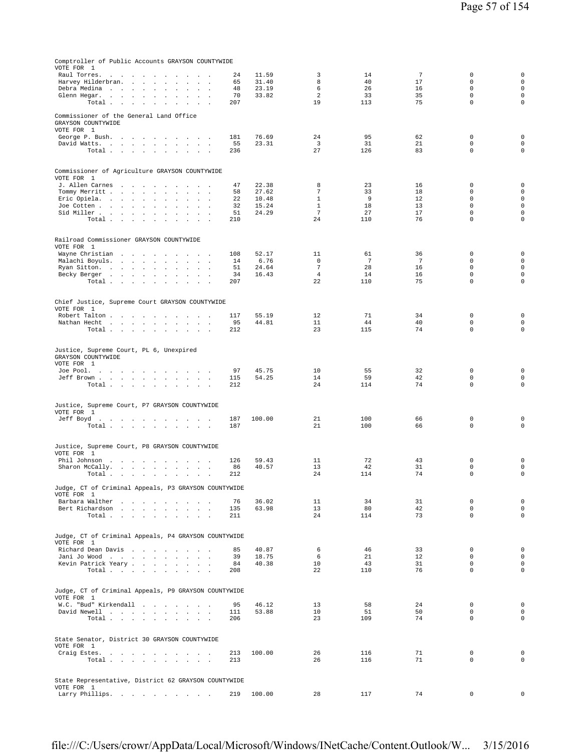| Comptroller of Public Accounts GRAYSON COUNTYWIDE                                                                                       |            |                |                                |            |          |                            |                                    |
|-----------------------------------------------------------------------------------------------------------------------------------------|------------|----------------|--------------------------------|------------|----------|----------------------------|------------------------------------|
| VOTE FOR 1<br>Raul Torres.<br>$\sim$                                                                                                    | 24         | 11.59          | 3                              | 14         | 7        | 0                          | $\mathbf 0$                        |
| Harvey Hilderbran.<br>and the state of the state of the<br>$\cdot$<br>$\mathbf{r}$<br>$\sim$<br>$\ddot{\phantom{1}}$                    | 65         | 31.40          | 8                              | 40         | 17       | $\mathbf 0$                | $\mathsf{O}\xspace$                |
| Debra Medina<br>the contract of the con-<br>$\mathbf{r}$<br>$\ddot{\phantom{a}}$<br>Glenn Hegar.<br>$\sim$                              | 48<br>70   | 23.19<br>33.82 | 6<br>$\overline{a}$            | 26<br>33   | 16<br>35 | $\Omega$<br>$\mathbf 0$    | $\mathbf 0$<br>$\mathbf 0$         |
| Total<br>$\sim$<br>$\sim$<br>$\ddot{\phantom{a}}$<br>$\mathbf{r}$                                                                       | 207        |                | 19                             | 113        | 75       | $\mathbf 0$                | $\mathbf 0$                        |
| Commissioner of the General Land Office<br>GRAYSON COUNTYWIDE                                                                           |            |                |                                |            |          |                            |                                    |
| VOTE FOR 1<br>George P. Bush.<br>$\sim$<br>$\sim$                                                                                       | 181        | 76.69          | 24                             | 95         | 62       | $\mathbf 0$                | $\mathbf 0$                        |
| David Watts.                                                                                                                            | 55         | 23.31          | 3                              | 31         | 21       | $\mathbf 0$                | $\mathbf 0$                        |
| Total                                                                                                                                   | 236        |                | 27                             | 126        | 83       | $\mathbf 0$                | $\mathbf 0$                        |
| Commissioner of Agriculture GRAYSON COUNTYWIDE<br>VOTE FOR 1                                                                            |            |                |                                |            |          |                            |                                    |
| J. Allen Carnes<br>$\sim$                                                                                                               | 47         | 22.38          | 8                              | 23         | 16       | 0                          | $\mathbf 0$                        |
| Tommy Merritt<br>$\sim$ $\sim$<br>$\sim$<br>$\sim$<br>Eric Opiela.<br>$\sim$<br>$\sim$                                                  | 58<br>22   | 27.62<br>10.48 | $\overline{7}$<br>$\mathbf{1}$ | 33<br>9    | 18<br>12 | $\mathbf 0$<br>0           | $\mathbf 0$<br>$\mathbf 0$         |
| Joe Cotten<br>$\ddot{\phantom{a}}$<br>$\Box$                                                                                            | 32         | 15.24          | $\mathbf{1}$                   | 18         | 13       | $\mathbf 0$                | $\mathbf 0$                        |
| Sid Miller<br>$\sim$<br>Total.                                                                                                          | 51<br>210  | 24.29          | $\overline{7}$<br>24           | 27<br>110  | 17<br>76 | $\mathbf 0$<br>$\mathbf 0$ | $\mathbf 0$<br>$\mathbf 0$         |
| the contract of the contract of the con-                                                                                                |            |                |                                |            |          |                            |                                    |
| Railroad Commissioner GRAYSON COUNTYWIDE<br>VOTE FOR 1                                                                                  |            |                |                                |            |          |                            |                                    |
| Wayne Christian<br>Malachi Boyuls.<br>$\mathbf{r}$<br><b>Sales Street</b>                                                               | 108<br>14  | 52.17<br>6.76  | 11<br>$\mathbf 0$              | 61<br>7    | 36<br>7  | $\mathbf 0$<br>$\mathbf 0$ | $\mathbf 0$<br>$\mathbf 0$         |
| Ryan Sitton.<br>$\overline{\phantom{a}}$<br>$\mathbf{r}$                                                                                | 51         | 24.64          | $\overline{7}$                 | 28         | 16       | $\mathbf 0$                | $\mathbf 0$                        |
| Becky Berger<br>Total<br>$\mathbf{r}$<br>$\mathbf{r}$                                                                                   | 34<br>207  | 16.43          | $\overline{4}$<br>22           | 14<br>110  | 16<br>75 | $\mathsf 0$<br>$\mathbf 0$ | $\mathbf 0$<br>0                   |
| <b>Contract Contract</b>                                                                                                                |            |                |                                |            |          |                            |                                    |
| Chief Justice, Supreme Court GRAYSON COUNTYWIDE<br>VOTE FOR 1                                                                           |            |                |                                |            |          |                            |                                    |
| Robert Talton<br>$\sim$                                                                                                                 | 117<br>95  | 55.19<br>44.81 | 12<br>11                       | 71<br>44   | 34<br>40 | 0<br>$\mathbf 0$           | $\mathbf 0$<br>$\mathsf{O}\xspace$ |
| Nathan Hecht<br>$\sim$<br>$\sim$<br>Total<br>$\mathcal{L}_{\mathcal{A}}$<br>$\sim$                                                      | 212        |                | 23                             | 115        | 74       | 0                          | $\mathbf 0$                        |
|                                                                                                                                         |            |                |                                |            |          |                            |                                    |
| Justice, Supreme Court, PL 6, Unexpired<br>GRAYSON COUNTYWIDE<br>VOTE FOR 1                                                             |            |                |                                |            |          |                            |                                    |
| Joe Pool.                                                                                                                               | 97         | 45.75          | 10                             | 55         | 32       | $\mathbf 0$                | $\mathbf 0$                        |
| Jeff Brown<br><b>Carl Carl</b><br>Total                                                                                                 | 115<br>212 | 54.25          | 14<br>24                       | 59<br>114  | 42<br>74 | 0<br>$\mathbf 0$           | $\mathsf{O}\xspace$<br>$\mathbf 0$ |
|                                                                                                                                         |            |                |                                |            |          |                            |                                    |
| Justice, Supreme Court, P7 GRAYSON COUNTYWIDE<br>VOTE FOR 1                                                                             |            |                |                                |            |          |                            |                                    |
| Jeff Boyd.<br>Total<br><b>Carl Carl</b><br>$\sim$                                                                                       | 187<br>187 | 100.00         | 21<br>21                       | 100<br>100 | 66<br>66 | 0<br>$\mathbf 0$           | $\mathbf 0$<br>0                   |
|                                                                                                                                         |            |                |                                |            |          |                            |                                    |
| Justice, Supreme Court, P8 GRAYSON COUNTYWIDE<br>VOTE FOR 1                                                                             |            |                |                                |            |          |                            |                                    |
| Phil Johnson.<br>$\sim$<br>the company of the company of<br>$\overline{\phantom{a}}$<br>$\sim$<br>Sharon McCally.<br>$\cdot$<br>$\cdot$ | 126<br>86  | 59.43<br>40.57 | 11<br>13                       | 72<br>42   | 43<br>31 | 0<br>$\mathbf 0$           | $\mathbf 0$<br>$\mathbf 0$         |
| Total $\cdots$ $\cdots$ $\cdots$<br>$\sim$                                                                                              | 212        |                | 24                             | 114        | 74       | $\mathsf 0$                | $\mathbf 0$                        |
| Judge, CT of Criminal Appeals, P3 GRAYSON COUNTYWIDE                                                                                    |            |                |                                |            |          |                            |                                    |
| VOTE FOR 1                                                                                                                              |            |                |                                |            |          |                            |                                    |
| Barbara Walther                                                                                                                         | 76         | 36.02          | 11<br>13                       | 34<br>80   | 31<br>42 | $\mathbf 0$<br>$\mathbf 0$ | $\mathbf 0$<br>$\mathsf{O}\xspace$ |
| Bert Richardson<br>Total<br>$\sim$<br>$\mathbf{z} = \mathbf{z}$                                                                         | 135<br>211 | 63.98          | 24                             | 114        | 73       | $\mathbf 0$                | $\mathbf 0$                        |
|                                                                                                                                         |            |                |                                |            |          |                            |                                    |
| Judge, CT of Criminal Appeals, P4 GRAYSON COUNTYWIDE                                                                                    |            |                |                                |            |          |                            |                                    |
| VOTE FOR 1                                                                                                                              |            |                |                                |            |          |                            |                                    |
| Richard Dean Davis<br>Jani Jo Wood<br>$\sim$                                                                                            | 85<br>39   | 40.87<br>18.75 | 6<br>6                         | 46<br>21   | 33<br>12 | $\mathbf 0$<br>$\mathbf 0$ | $\mathbf 0$<br>$\mathsf{O}\xspace$ |
| Kevin Patrick Yeary                                                                                                                     | 84         | 40.38          | 10                             | 43         | 31       | $\mathbf 0$                | $\mathsf{O}\xspace$                |
| Total                                                                                                                                   | 208        |                | 22                             | 110        | 76       | $\Omega$                   | $\mathbf 0$                        |
|                                                                                                                                         |            |                |                                |            |          |                            |                                    |
| Judge, CT of Criminal Appeals, P9 GRAYSON COUNTYWIDE                                                                                    |            |                |                                |            |          |                            |                                    |
| VOTE FOR 1<br>W.C. "Bud" Kirkendall                                                                                                     | 95         | 46.12          | 13                             | 58         | 24       | 0                          | $\mathbf 0$                        |
| David Newell<br>$\sim$<br>$\sim$<br>$\ddot{\phantom{1}}$                                                                                | 111        | 53.88          | 10                             | 51         | 50       | $\mathbf 0$                | $\mathsf{O}\xspace$                |
| Total                                                                                                                                   | 206        |                | 23                             | 109        | 74       | $\Omega$                   | $\mathbf 0$                        |
| State Senator, District 30 GRAYSON COUNTYWIDE<br>VOTE FOR 1                                                                             |            |                |                                |            |          |                            |                                    |
| Craig Estes.                                                                                                                            | 213        | 100.00         | 26                             | 116        | 71       | 0                          | $\mathbf 0$                        |
| Total<br>and the control of<br>$\mathbf{r}$                                                                                             | 213        |                | 26                             | 116        | 71       | $\mathbf 0$                | $\mathbf 0$                        |
|                                                                                                                                         |            |                |                                |            |          |                            |                                    |
| State Representative, District 62 GRAYSON COUNTYWIDE<br>VOTE FOR 1                                                                      |            |                |                                |            |          |                            |                                    |
| Larry Phillips.                                                                                                                         | 219        | 100.00         | 28                             | 117        | 74       | $\mathsf 0$                | $\Omega$                           |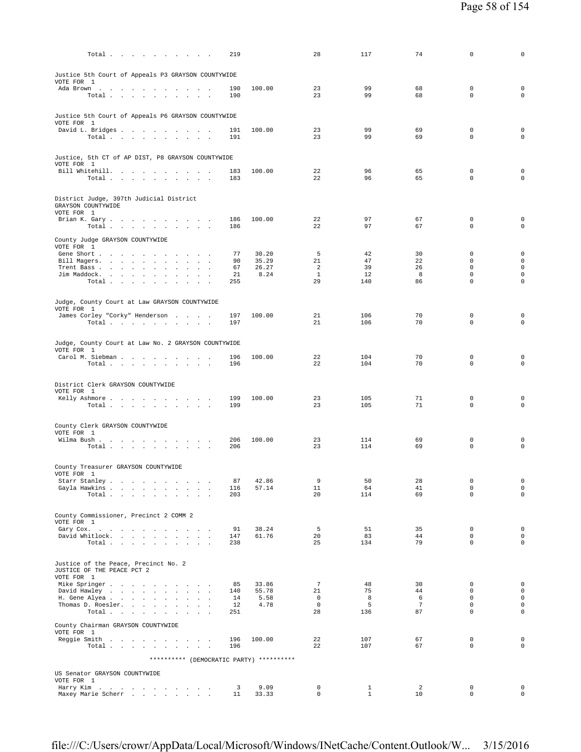| Total $\cdots$ $\cdots$ $\cdots$                                                                              | 219        |                | 28                         | 117               | 74                    | 0                          | 0                                          |
|---------------------------------------------------------------------------------------------------------------|------------|----------------|----------------------------|-------------------|-----------------------|----------------------------|--------------------------------------------|
| Justice 5th Court of Appeals P3 GRAYSON COUNTYWIDE                                                            |            |                |                            |                   |                       |                            |                                            |
| VOTE FOR 1<br>Ada Brown                                                                                       | 190        | 100.00         | 23                         | 99                | 68                    | $\mathbf 0$                | $\mathbf 0$                                |
| Total                                                                                                         | 190        |                | 23                         | 99                | 68                    | $\mathbf 0$                | $\mathbf 0$                                |
| Justice 5th Court of Appeals P6 GRAYSON COUNTYWIDE<br>VOTE FOR 1                                              |            |                |                            |                   |                       |                            |                                            |
| David L. Bridges<br>Total                                                                                     | 191<br>191 | 100.00         | 23<br>23                   | 99<br>99          | 69<br>69              | $\mathbf 0$<br>$\mathbf 0$ | $\mathbf 0$<br>$\mathbf 0$                 |
|                                                                                                               |            |                |                            |                   |                       |                            |                                            |
| Justice, 5th CT of AP DIST, P8 GRAYSON COUNTYWIDE<br>VOTE FOR 1                                               |            |                |                            |                   |                       |                            |                                            |
| Bill Whitehill.<br>Total                                                                                      | 183<br>183 | 100.00         | 22<br>22                   | 96<br>96          | 65<br>65              | $\mathbf 0$<br>$\mathbf 0$ | $\mathbf 0$<br>$\mathbf 0$                 |
|                                                                                                               |            |                |                            |                   |                       |                            |                                            |
| District Judge, 397th Judicial District<br>GRAYSON COUNTYWIDE                                                 |            |                |                            |                   |                       |                            |                                            |
| VOTE FOR 1<br>Brian K. Gary.                                                                                  | 186        | 100.00         | 22                         | 97                | 67                    | 0                          | 0                                          |
| Total $\cdots$ $\cdots$ $\cdots$                                                                              | 186        |                | 22                         | 97                | 67                    | $\mathbf 0$                | $\mathsf 0$                                |
| County Judge GRAYSON COUNTYWIDE<br>VOTE FOR 1                                                                 |            |                |                            |                   |                       |                            |                                            |
| Gene Short<br>Bill Magers.                                                                                    | 77<br>90   | 30.20<br>35.29 | 5<br>21                    | 42<br>47          | 30<br>22              | $\mathbf 0$<br>$\mathbf 0$ | $\mathbf 0$<br>$\mathsf{O}\xspace$         |
| Trent Bass<br>Jim Maddock.                                                                                    | 67<br>21   | 26.27<br>8.24  | 2<br>$\mathbf{1}$          | 39<br>12          | 26<br>8               | $\mathsf 0$<br>$\mathbf 0$ | $\mathsf{O}\xspace$<br>$\mathsf{O}\xspace$ |
| Total                                                                                                         | 255        |                | 29                         | 140               | 86                    | $\mathbf 0$                | $\mathbf 0$                                |
| Judge, County Court at Law GRAYSON COUNTYWIDE                                                                 |            |                |                            |                   |                       |                            |                                            |
| VOTE FOR 1<br>James Corley "Corky" Henderson                                                                  | 197        | 100.00         | 21                         | 106               | 70                    | $\mathbf 0$                | $\mathbf 0$                                |
| Total $\cdots$ $\cdots$ $\cdots$                                                                              | 197        |                | 21                         | 106               | 70                    | $\Omega$                   | $\mathbf 0$                                |
| Judge, County Court at Law No. 2 GRAYSON COUNTYWIDE                                                           |            |                |                            |                   |                       |                            |                                            |
| VOTE FOR 1<br>Carol M. Siebman                                                                                | 196        | 100.00         | 22                         | 104               | 70                    | $\mathbf 0$                | $\mathbf 0$                                |
| Total                                                                                                         | 196        |                | 22                         | 104               | 70                    | $\mathbf 0$                | $\mathbf 0$                                |
| District Clerk GRAYSON COUNTYWIDE                                                                             |            |                |                            |                   |                       |                            |                                            |
| VOTE FOR 1<br>Kelly Ashmore                                                                                   | 199        | 100.00         | 23                         | 105               | 71                    | $\mathbf 0$                | $\mathbf 0$                                |
| Total                                                                                                         | 199        |                | 23                         | 105               | 71                    | $\Omega$                   | $\mathbf 0$                                |
| County Clerk GRAYSON COUNTYWIDE                                                                               |            |                |                            |                   |                       |                            |                                            |
| VOTE FOR 1<br>Wilma Bush                                                                                      | 206        | 100.00         | 23                         | 114               | 69                    | $\mathbf 0$                | $\mathbf 0$                                |
| Total                                                                                                         | 206        |                | 23                         | 114               | 69                    | $\mathbf 0$                | $\mathbf 0$                                |
| County Treasurer GRAYSON COUNTYWIDE                                                                           |            |                |                            |                   |                       |                            |                                            |
| VOTE FOR 1<br>Starr Stanley<br>$\sim$                                                                         | 87         | 42.86          | 9                          | 50                | 28                    | 0                          | 0                                          |
| Gayla Hawkins<br>$\mathbf{a}=\mathbf{a}$<br>Total<br>and the state of the state<br>$\sim$<br>$\sim$<br>$\sim$ | 116<br>203 | 57.14          | 11<br>20                   | 64<br>114         | 41<br>69              | $\mathbf 0$<br>$\mathbf 0$ | $\mathsf{O}\xspace$<br>$\circ$             |
|                                                                                                               |            |                |                            |                   |                       |                            |                                            |
| County Commissioner, Precinct 2 COMM 2<br>VOTE FOR 1                                                          |            |                |                            |                   |                       |                            |                                            |
| Gary Cox.<br>$\mathbf{r}$<br>and the state of the<br>David Whitlock.<br>the contract of the con-              | 91<br>147  | 38.24<br>61.76 | 5<br>20                    | 51<br>83          | 35<br>44              | $\mathbf 0$<br>$\mathbf 0$ | $\mathsf{O}\xspace$<br>$\mathbf 0$         |
| Total                                                                                                         | 238        |                | 25                         | 134               | 79                    | $\mathbf 0$                | $\circ$                                    |
| Justice of the Peace, Precinct No. 2                                                                          |            |                |                            |                   |                       |                            |                                            |
| JUSTICE OF THE PEACE PCT 2<br>VOTE FOR 1                                                                      |            |                |                            |                   |                       |                            |                                            |
| Mike Springer<br>David Hawley                                                                                 | 85<br>140  | 33.86<br>55.78 | $\overline{7}$<br>21       | 48<br>75          | 30<br>44              | $\mathbf 0$<br>$\mathbf 0$ | $\mathbf 0$<br>$\mathsf{O}\xspace$         |
| H. Gene Alyea                                                                                                 | 14         | 5.58           | $\mathbf 0$                | 8                 | 6                     | $\mathbf 0$                | $\mathsf{O}\xspace$                        |
| Thomas D. Roesler.<br>Total                                                                                   | 12<br>251  | 4.78           | $\circ$<br>28              | 5<br>136          | $7\phantom{.0}$<br>87 | $\mathbf 0$<br>$\mathbf 0$ | $\mathsf{O}\xspace$<br>$\mathbf 0$         |
| County Chairman GRAYSON COUNTYWIDE                                                                            |            |                |                            |                   |                       |                            |                                            |
| VOTE FOR 1<br>Reggie Smith                                                                                    | 196        | 100.00         | 22                         | 107               | 67                    | $\mathbf 0$                | $\mathsf{O}\xspace$                        |
| $\texttt{Total} \quad . \quad . \quad . \quad . \quad . \quad . \quad . \quad . \quad . \quad .$              | 196        |                | 22                         | 107               | 67                    | $\mathbf 0$                | $\mathbf 0$                                |
| ********** (DEMOCRATIC PARTY) **********                                                                      |            |                |                            |                   |                       |                            |                                            |
| US Senator GRAYSON COUNTYWIDE<br>VOTE FOR 1                                                                   |            |                |                            |                   |                       |                            |                                            |
| Harry Kim<br>the contract of the contract of<br>Maxey Marie Scherr                                            | 3<br>11    | 9.09<br>33.33  | $\mathbf 0$<br>$\mathbf 0$ | 1<br>$\mathbf{1}$ | 2<br>10               | $\mathbf 0$<br>$\mathbf 0$ | $\mathbf 0$<br>$\mathsf{O}\xspace$         |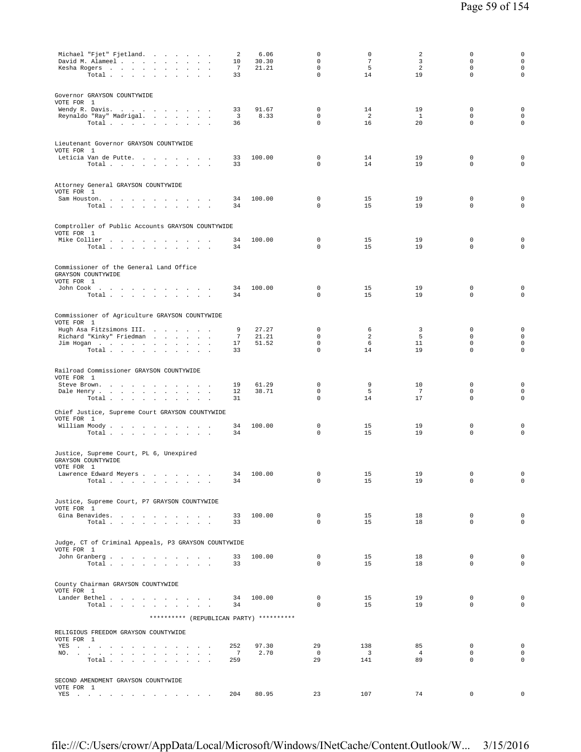| Michael "Fjet" Fjetland.<br>David M. Alameel<br>Kesha Rogers<br>Total $\cdots$ $\cdots$                                    | 2<br>10<br>$7\phantom{.0}$<br>33    | 6.06<br>30.30<br>21.21 | 0<br>$\mathbf 0$<br>$\mathsf 0$<br>$\mathbf 0$ | 0<br>$7\phantom{.0}$<br>5<br>14       | 2<br>3<br>2<br>19          | 0<br>$\mathbf 0$<br>0<br>$\mathbf 0$   | 0<br>$\mathsf{O}\xspace$<br>$\circ$<br>0 |
|----------------------------------------------------------------------------------------------------------------------------|-------------------------------------|------------------------|------------------------------------------------|---------------------------------------|----------------------------|----------------------------------------|------------------------------------------|
| Governor GRAYSON COUNTYWIDE<br>VOTE FOR 1                                                                                  |                                     |                        |                                                |                                       |                            |                                        |                                          |
| Wendy R. Davis.<br>Reynaldo "Ray" Madrigal.<br>Total $\cdots$ $\cdots$ $\cdots$                                            | 33<br>$\overline{\mathbf{3}}$<br>36 | 91.67<br>8.33          | $\mathbf 0$<br>0<br>0                          | 14<br>2<br>16                         | 19<br>$\mathbf{1}$<br>20   | $\mathbf 0$<br>0<br>$\mathbf 0$        | 0<br>0<br>0                              |
| Lieutenant Governor GRAYSON COUNTYWIDE                                                                                     |                                     |                        |                                                |                                       |                            |                                        |                                          |
| VOTE FOR 1<br>Leticia Van de Putte.<br>Total $\cdots$ $\cdots$<br><b>Carl Carl Carl</b>                                    | 33<br>33                            | 100.00                 | 0<br>$\mathbf 0$                               | 14<br>14                              | 19<br>19                   | $\mathbf 0$<br>$\mathbf 0$             | 0<br>$\mathsf 0$                         |
| Attorney General GRAYSON COUNTYWIDE<br>VOTE FOR 1                                                                          |                                     |                        |                                                |                                       |                            |                                        |                                          |
| Sam Houston.<br>the contract of the contract of<br>$\sim$<br>$\sim$<br>Total $\cdots$ $\cdots$<br>$\overline{\phantom{a}}$ | 34<br>34                            | 100.00                 | $\mathbf 0$<br>0                               | 15<br>15                              | 19<br>19                   | $\mathbf 0$<br>$\mathbf 0$             | 0<br>$\mathbf 0$                         |
| Comptroller of Public Accounts GRAYSON COUNTYWIDE<br>VOTE FOR 1                                                            |                                     |                        |                                                |                                       |                            |                                        |                                          |
| Mike Collier<br>Total                                                                                                      | 34<br>34                            | 100.00                 | $\mathbf{0}$<br>0                              | 15<br>15                              | 19<br>19                   | $\mathbf 0$<br>$\mathbf 0$             | 0<br>$\mathbf 0$                         |
| Commissioner of the General Land Office<br>GRAYSON COUNTYWIDE<br>VOTE FOR 1                                                |                                     |                        |                                                |                                       |                            |                                        |                                          |
| John Cook $\qquad \qquad \ldots \qquad \qquad \ldots \qquad \ldots \qquad \ldots$<br>Total                                 | 34<br>34                            | 100.00                 | $\mathbf 0$<br>0                               | 15<br>15                              | 19<br>19                   | $\mathbf 0$<br>0                       | 0<br>$\mathbf 0$                         |
| Commissioner of Agriculture GRAYSON COUNTYWIDE<br>VOTE FOR 1                                                               |                                     |                        |                                                |                                       |                            |                                        |                                          |
| Hugh Asa Fitzsimons III.<br>$\sim$<br>Richard "Kinky" Friedman<br>$\sim$                                                   | 9<br>7                              | 27.27<br>21.21         | $\mathbf 0$<br>0                               | 6<br>2                                | $\overline{3}$<br>-5       | $\mathbf 0$<br>$\mathbf 0$             | $\mathbf 0$<br>0                         |
| Jim Hogan<br>Total $\cdots$ $\cdots$ $\cdots$<br>$\ddot{\phantom{1}}$                                                      | 17<br>33                            | 51.52                  | 0<br>0                                         | 6<br>14                               | 11<br>19                   | 0<br>$\mathbf 0$                       | 0<br>0                                   |
| Railroad Commissioner GRAYSON COUNTYWIDE<br>VOTE FOR 1                                                                     |                                     |                        |                                                |                                       |                            |                                        |                                          |
| Steve Brown.<br>Dale Henry<br>Total<br>the contract of the                                                                 | 19<br>12<br>31                      | 61.29<br>38.71         | 0<br>$\mathbf 0$<br>$\mathbf 0$                | 9<br>5<br>14                          | 10<br>7<br>17              | 0<br>$\mathbf 0$<br>$\mathbf 0$        | 0<br>0<br>0                              |
| Chief Justice, Supreme Court GRAYSON COUNTYWIDE                                                                            |                                     |                        |                                                |                                       |                            |                                        |                                          |
| VOTE FOR 1<br>William Moody.<br>Total                                                                                      | 34<br>34                            | 100.00                 | 0<br>0                                         | 15<br>15                              | 19<br>19                   | 0<br>0                                 | $\mathsf 0$<br>$\mathbf 0$               |
| Justice, Supreme Court, PL 6, Unexpired<br>GRAYSON COUNTYWIDE<br>VOTE FOR 1                                                |                                     |                        |                                                |                                       |                            |                                        |                                          |
| Lawrence Edward Meyers<br>Total $\cdots$ $\cdots$ $\cdots$                                                                 | 34<br>34                            | 100.00                 | $\mathbf 0$<br>0                               | 15<br>15                              | 19<br>19                   | $\mathbf 0$<br>0                       | $\mathsf 0$<br>$\circ$                   |
| Justice, Supreme Court, P7 GRAYSON COUNTYWIDE<br>VOTE FOR 1                                                                |                                     |                        |                                                |                                       |                            |                                        |                                          |
| Gina Benavides.<br>Total $\cdots$ $\cdots$ $\cdots$                                                                        | 33<br>33                            | 100.00                 | $\mathbf 0$<br>$\Omega$                        | 15<br>15                              | 18<br>18                   | $\mathbf 0$<br>$\Omega$                | 0<br>$\mathbf{0}$                        |
| Judge, CT of Criminal Appeals, P3 GRAYSON COUNTYWIDE<br>VOTE FOR 1                                                         |                                     |                        |                                                |                                       |                            |                                        |                                          |
| John Granberg<br>Total                                                                                                     | 33<br>33                            | 100.00                 | 0<br>$\Omega$                                  | 15<br>15                              | 18<br>18                   | $\mathbf 0$<br>$\Omega$                | $\mathbf 0$<br>0                         |
| County Chairman GRAYSON COUNTYWIDE<br>VOTE FOR 1                                                                           |                                     |                        |                                                |                                       |                            |                                        |                                          |
| Lander Bethel.<br>Total $\cdots$ $\cdots$ $\cdots$                                                                         | 34<br>34                            | 100.00                 | $\mathbf 0$<br>$\Omega$                        | 15<br>15                              | 19<br>19                   | 0<br>$\Omega$                          | 0<br>0                                   |
| ********** (REPUBLICAN PARTY) **********                                                                                   |                                     |                        |                                                |                                       |                            |                                        |                                          |
| RELIGIOUS FREEDOM GRAYSON COUNTYWIDE<br>VOTE FOR 1                                                                         |                                     |                        |                                                |                                       |                            |                                        |                                          |
| YES<br>NO.<br>$\mathbf{r}$<br>$\sim$<br>Total                                                                              | 252<br>7<br>259                     | 97.30<br>2.70          | 29<br>$\overline{0}$<br>29                     | 138<br>$\overline{\mathbf{3}}$<br>141 | 85<br>$\overline{4}$<br>89 | $\mathbf 0$<br>$\Omega$<br>$\mathbf 0$ | 0<br>$\circ$<br>$\mathbf 0$              |
|                                                                                                                            |                                     |                        |                                                |                                       |                            |                                        |                                          |

file:///C:/Users/crowr/AppData/Local/Microsoft/Windows/INetCache/Content.Outlook/W... 3/15/2016

VOTE FOR 1 YES . . . . . . . . . . . . . 204 80.95 23 107 74 0 0

SECOND AMENDMENT GRAYSON COUNTYWIDE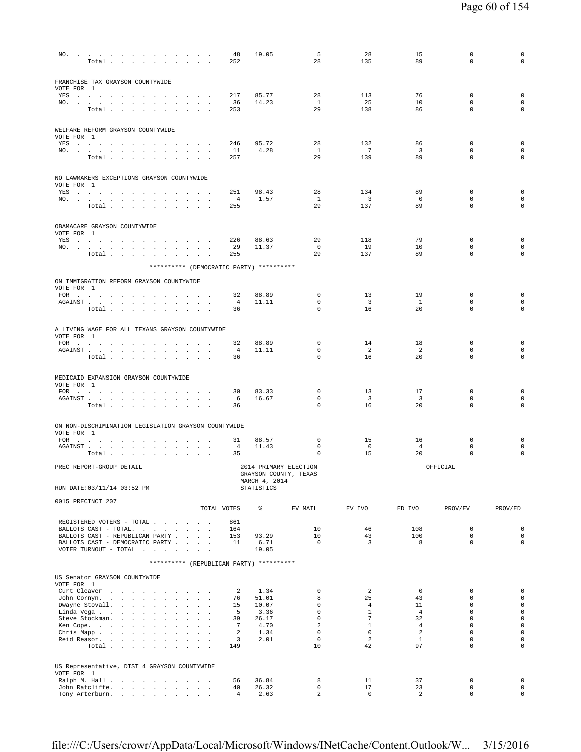| NO.                                                                                                                                                                                                                                          | Total $\cdots$ $\cdots$ $\cdots$ $\cdots$ |  |        |                      |                               |                                              |                      | 48<br>252            | 19.05                                    | 5<br>28                    | 28<br>135                      | 15<br>89                      | $\mathbb O$<br>$\Omega$    | 0<br>$\mathbf 0$                   |
|----------------------------------------------------------------------------------------------------------------------------------------------------------------------------------------------------------------------------------------------|-------------------------------------------|--|--------|----------------------|-------------------------------|----------------------------------------------|----------------------|----------------------|------------------------------------------|----------------------------|--------------------------------|-------------------------------|----------------------------|------------------------------------|
| FRANCHISE TAX GRAYSON COUNTYWIDE<br>VOTE FOR 1                                                                                                                                                                                               |                                           |  |        |                      |                               |                                              |                      |                      |                                          |                            |                                |                               |                            |                                    |
| YES                                                                                                                                                                                                                                          |                                           |  |        |                      |                               |                                              |                      | 217                  | 85.77                                    | 28                         | 113                            | 76                            | 0                          | $\mathsf 0$                        |
| NO.                                                                                                                                                                                                                                          | Total                                     |  |        |                      |                               |                                              |                      | 36<br>253            | 14.23                                    | $\mathbf{1}$<br>29         | 25<br>138                      | 10<br>86                      | $\mathbf 0$<br>$\Omega$    | $\mathbf 0$<br>$\mathbf 0$         |
| WELFARE REFORM GRAYSON COUNTYWIDE<br>VOTE FOR 1                                                                                                                                                                                              |                                           |  |        |                      |                               |                                              |                      |                      |                                          |                            |                                |                               |                            |                                    |
| YES                                                                                                                                                                                                                                          |                                           |  |        |                      |                               |                                              |                      | 246                  | 95.72                                    | 28                         | 132                            | 86                            | $\mathbf 0$                | $\mathbf 0$                        |
| NO.                                                                                                                                                                                                                                          | Total                                     |  |        |                      | the company of the company of |                                              |                      | 11<br>257            | 4.28                                     | $\mathbf{1}$<br>29         | $\overline{7}$<br>139          | 3<br>89                       | $\mathbf 0$<br>0           | $\mathbf 0$<br>$\mathbf 0$         |
| NO LAWMAKERS EXCEPTIONS GRAYSON COUNTYWIDE                                                                                                                                                                                                   |                                           |  |        |                      |                               |                                              |                      |                      |                                          |                            |                                |                               |                            |                                    |
| VOTE FOR 1                                                                                                                                                                                                                                   |                                           |  |        |                      |                               |                                              |                      |                      |                                          |                            |                                |                               |                            |                                    |
| YES a contract of the contract of the state of the state of the state of the state of the state of the state of the state of the state of the state of the state of the state of the state of the state of the state of the st               |                                           |  |        |                      |                               |                                              |                      | 251                  | 98.43                                    | 28                         | 134                            | 89                            | $\mathbf 0$                | $\mathbf 0$                        |
| NO.                                                                                                                                                                                                                                          | Total                                     |  |        |                      |                               |                                              |                      | 4<br>255             | 1.57                                     | $\mathbf{1}$<br>29         | $\overline{\mathbf{3}}$<br>137 | $\circ$<br>89                 | 0<br>0                     | $\mathbf 0$<br>$\mathbf 0$         |
|                                                                                                                                                                                                                                              |                                           |  |        |                      |                               |                                              |                      |                      |                                          |                            |                                |                               |                            |                                    |
| OBAMACARE GRAYSON COUNTYWIDE<br>VOTE FOR 1                                                                                                                                                                                                   |                                           |  |        |                      |                               |                                              |                      |                      |                                          |                            |                                |                               |                            |                                    |
| YES a contract of the contract of the state of the state of the state of the state of the state of the state of the state of the state of the state of the state of the state of the state of the state of the state of the st<br>NO.        |                                           |  |        |                      |                               |                                              |                      | 226<br>-29           | 88.63<br>11.37                           | 29<br>$\overline{0}$       | 118<br>19                      | 79<br>10                      | 0<br>0                     | $\mathbf 0$<br>$\mathbf 0$         |
|                                                                                                                                                                                                                                              | Total                                     |  |        |                      |                               |                                              |                      | 255                  |                                          | 29                         | 137                            | 89                            | $\mathbf 0$                | $\mathbf 0$                        |
|                                                                                                                                                                                                                                              |                                           |  |        |                      |                               |                                              |                      |                      | ********** (DEMOCRATIC PARTY) ********** |                            |                                |                               |                            |                                    |
| ON IMMIGRATION REFORM GRAYSON COUNTYWIDE<br>VOTE FOR 1                                                                                                                                                                                       |                                           |  |        |                      |                               |                                              |                      |                      |                                          |                            |                                |                               |                            |                                    |
| FOR                                                                                                                                                                                                                                          |                                           |  |        |                      |                               |                                              |                      | 32                   | 88.89                                    | 0                          | 13                             | 19                            | 0                          | $\mathbf 0$                        |
| ${\tt AGAINST} \hspace{1.5cm} . \hspace{1.5cm} . \hspace{1.5cm} . \hspace{1.5cm} . \hspace{1.5cm} . \hspace{1.5cm} . \hspace{1.5cm} . \hspace{1.5cm} . \hspace{1.5cm} . \hspace{1.5cm} . \hspace{1.5cm} . \hspace{1.5cm} . \hspace{1.5cm} .$ | Total $\cdots$ $\cdots$ $\cdots$          |  |        |                      |                               |                                              | $\ddot{\phantom{a}}$ | 4<br>36              | 11.11                                    | $\mathbf 0$<br>$\Omega$    | $\overline{\mathbf{3}}$<br>16  | <sup>1</sup><br>20            | 0<br>$\Omega$              | $\mathbf 0$<br>$\mathbf 0$         |
|                                                                                                                                                                                                                                              |                                           |  |        |                      |                               |                                              |                      |                      |                                          |                            |                                |                               |                            |                                    |
| A LIVING WAGE FOR ALL TEXANS GRAYSON COUNTYWIDE<br>VOTE FOR 1                                                                                                                                                                                |                                           |  |        |                      |                               |                                              |                      |                      |                                          |                            |                                |                               |                            |                                    |
| FOR                                                                                                                                                                                                                                          |                                           |  |        |                      |                               |                                              |                      | 32                   | 88.89                                    | 0<br>$\mathbf 0$           | 14                             | 18                            | 0<br>$\mathbf 0$           | $\mathsf 0$                        |
| AGAINST                                                                                                                                                                                                                                      | Total                                     |  | $\sim$ | $\ddot{\phantom{0}}$ |                               | $\ddot{\phantom{a}}$<br>$\ddot{\phantom{a}}$ |                      | 4<br>36              | 11.11                                    | $\mathbf 0$                | 2<br>16                        | 2<br>20                       | $\mathbf 0$                | $\mathbf 0$<br>$\mathbf 0$         |
|                                                                                                                                                                                                                                              |                                           |  |        |                      |                               |                                              |                      |                      |                                          |                            |                                |                               |                            |                                    |
| MEDICAID EXPANSION GRAYSON COUNTYWIDE<br>VOTE FOR 1                                                                                                                                                                                          |                                           |  |        |                      |                               |                                              |                      |                      |                                          |                            |                                |                               |                            |                                    |
| FOR                                                                                                                                                                                                                                          |                                           |  |        |                      |                               |                                              |                      | 30<br>6              | 83.33<br>16.67                           | $\mathbf 0$<br>0           | 13<br>$\overline{\mathbf{3}}$  | 17<br>$\overline{\mathbf{3}}$ | $\mathbf 0$<br>0           | $\mathbf 0$<br>$\mathbf 0$         |
| AGAINST                                                                                                                                                                                                                                      | Total                                     |  |        |                      |                               |                                              |                      | 36                   |                                          | 0                          | 16                             | 20                            | $\mathbf 0$                | $\mathbf 0$                        |
|                                                                                                                                                                                                                                              |                                           |  |        |                      |                               |                                              |                      |                      |                                          |                            |                                |                               |                            |                                    |
| ON NON-DISCRIMINATION LEGISLATION GRAYSON COUNTYWIDE<br>VOTE FOR 1                                                                                                                                                                           |                                           |  |        |                      |                               |                                              |                      |                      |                                          |                            |                                |                               |                            |                                    |
| FOR $\cdots$                                                                                                                                                                                                                                 |                                           |  |        |                      |                               |                                              |                      | 31                   | 88.57                                    | $\mathbf 0$                | 15                             | 16                            | 0                          | $\mathbf 0$                        |
|                                                                                                                                                                                                                                              | Total $\ldots$ $\ldots$ $\ldots$ $\ldots$ |  |        |                      |                               |                                              |                      | 4<br>35              | 11.43                                    | 0<br>0                     | $\overline{0}$<br>15           | $\overline{4}$<br>20          | 0<br>0                     | $\mathbf 0$<br>$\mathbf 0$         |
| PREC REPORT-GROUP DETAIL                                                                                                                                                                                                                     |                                           |  |        |                      |                               |                                              |                      |                      |                                          | 2014 PRIMARY ELECTION      |                                |                               | OFFICIAL                   |                                    |
| RUN DATE: 03/11/14 03:52 PM                                                                                                                                                                                                                  |                                           |  |        |                      |                               |                                              |                      |                      | MARCH 4, 2014<br><b>STATISTICS</b>       | GRAYSON COUNTY, TEXAS      |                                |                               |                            |                                    |
| 0015 PRECINCT 207                                                                                                                                                                                                                            |                                           |  |        |                      |                               |                                              |                      |                      |                                          |                            |                                |                               |                            |                                    |
|                                                                                                                                                                                                                                              |                                           |  |        |                      |                               |                                              |                      | TOTAL VOTES          | နွ                                       | EV MAIL                    | EV IVO                         | ED IVO                        | PROV/EV                    | PROV/ED                            |
| REGISTERED VOTERS - TOTAL                                                                                                                                                                                                                    |                                           |  |        |                      |                               |                                              |                      | 861                  |                                          |                            |                                |                               |                            |                                    |
| BALLOTS CAST - TOTAL.<br>BALLOTS CAST - REPUBLICAN PARTY                                                                                                                                                                                     |                                           |  |        |                      |                               |                                              |                      | 164<br>153           | 93.29                                    | 10<br>10                   | 46<br>43                       | 108<br>100                    | $\mathbf 0$<br>$\mathbf 0$ | $\mathbf 0$<br>$\mathsf 0$         |
| BALLOTS CAST - DEMOCRATIC PARTY                                                                                                                                                                                                              |                                           |  |        |                      |                               |                                              |                      | 11                   | 6.71                                     | $\Omega$                   | $\overline{3}$                 | 8                             | $\Omega$                   | $\mathbf 0$                        |
| VOTER TURNOUT - TOTAL $\ldots$ ,                                                                                                                                                                                                             |                                           |  |        |                      |                               |                                              |                      |                      | 19.05                                    |                            |                                |                               |                            |                                    |
|                                                                                                                                                                                                                                              |                                           |  |        |                      |                               |                                              |                      |                      | ********** (REPUBLICAN PARTY) ********** |                            |                                |                               |                            |                                    |
| US Senator GRAYSON COUNTYWIDE<br>VOTE FOR 1                                                                                                                                                                                                  |                                           |  |        |                      |                               |                                              |                      |                      |                                          |                            |                                |                               |                            |                                    |
| Curt Cleaver<br>John Cornyn.                                                                                                                                                                                                                 |                                           |  |        |                      |                               |                                              |                      | 2<br>76              | 1.34<br>51.01                            | $\mathbf 0$<br>8           | 2<br>25                        | $\mathbf{0}$<br>43            | $\mathbf 0$<br>$\Omega$    | $\mathsf{O}\xspace$<br>$\mathbf 0$ |
| Dwayne Stovall.                                                                                                                                                                                                                              |                                           |  |        |                      |                               |                                              |                      | 15                   | 10.07                                    | $\mathbf 0$                | $\overline{4}$                 | 11                            | $\mathbf 0$                | $\mathbf 0$                        |
| Linda Vega<br>Steve Stockman.                                                                                                                                                                                                                |                                           |  |        |                      |                               |                                              |                      | - 5<br>39            | 3.36<br>26.17                            | $\mathbf 0$<br>$\mathbf 0$ | $\mathbf{1}$<br>$\overline{7}$ | $\overline{4}$<br>32          | $\mathbf 0$<br>$\mathbf 0$ | $\mathbf 0$<br>$\mathsf{O}\xspace$ |
| Ken Cope.                                                                                                                                                                                                                                    |                                           |  |        |                      |                               |                                              |                      | $\overline{7}$       | 4.70                                     | 2                          | $\mathbf{1}$                   | $\overline{4}$                | $\mathbf 0$                | $\mathbf 0$                        |
| Chris Mapp.                                                                                                                                                                                                                                  |                                           |  |        |                      |                               |                                              |                      | $\overline{a}$       | 1.34                                     | $\mathbf 0$                | $\circ$                        | 2                             | $\mathbf 0$                | $\mathsf 0$                        |
| Reid Reasor.                                                                                                                                                                                                                                 | Total                                     |  |        |                      |                               |                                              |                      | 3<br>149             | 2.01                                     | $\Omega$<br>10             | 2<br>42                        | $\mathbf{1}$<br>97            | $\Omega$<br>$\mathbf 0$    | $\circ$<br>$\mathbf 0$             |
|                                                                                                                                                                                                                                              |                                           |  |        |                      |                               |                                              |                      |                      |                                          |                            |                                |                               |                            |                                    |
| US Representative, DIST 4 GRAYSON COUNTYWIDE<br>VOTE FOR 1                                                                                                                                                                                   |                                           |  |        |                      |                               |                                              |                      |                      |                                          |                            |                                |                               |                            |                                    |
| Ralph M. Hall                                                                                                                                                                                                                                |                                           |  |        |                      |                               |                                              |                      | 56                   | 36.84                                    | 8                          | 11                             | 37                            | $\mathbf 0$                | $\mathbf 0$                        |
| John Ratcliffe.                                                                                                                                                                                                                              |                                           |  |        |                      |                               |                                              |                      | 40<br>$\overline{4}$ | 26.32<br>2.63                            | 0<br>$\overline{a}$        | 17<br>0                        | 23<br>2                       | $\mathbf 0$<br>$\mathbf 0$ | $\mathbf 0$<br>$\circ$             |
| Tony Arterburn.                                                                                                                                                                                                                              |                                           |  |        |                      |                               |                                              |                      |                      |                                          |                            |                                |                               |                            |                                    |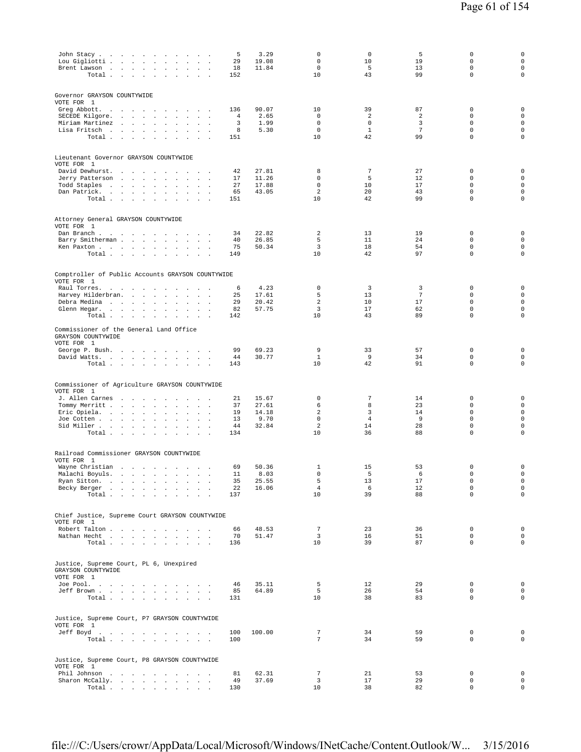| John Stacy<br>Lou Gigliotti .<br>Brent Lawson<br>$\sim$<br>$\sim 10^{-1}$<br>Total                                                                                                | and the company of the<br>$\Box$<br>$\mathbf{r}$<br>$\ddot{\phantom{a}}$<br><b>Contract Contract</b><br>$\sim$<br>$\sim$<br>$\cdot$<br>$\sim$<br>$\sim$<br>$\sim 10^{-1}$ km $^{-1}$<br>$\sim$<br>$\blacksquare$ .<br>$\cdot$<br>$\ddot{\phantom{a}}$<br>$\ddot{\phantom{a}}$                                                                                                                                                                                                                                                                                              | 5<br>29<br>18<br>152              | 3.29<br>19.08<br>11.84                   | 0<br>$\mathbf 0$<br>$\mathbf 0$<br>10       | $\mathbf 0$<br>10<br>5<br>43                 | 5<br>19<br>13<br>99                  | 0<br>$\mathbf 0$<br>$\mathbf 0$<br>$\mathbf 0$                               | $\mathbf 0$<br>$\mathsf 0$<br>$\mathsf{O}\xspace$<br>$\mathbf 0$                        |
|-----------------------------------------------------------------------------------------------------------------------------------------------------------------------------------|----------------------------------------------------------------------------------------------------------------------------------------------------------------------------------------------------------------------------------------------------------------------------------------------------------------------------------------------------------------------------------------------------------------------------------------------------------------------------------------------------------------------------------------------------------------------------|-----------------------------------|------------------------------------------|---------------------------------------------|----------------------------------------------|--------------------------------------|------------------------------------------------------------------------------|-----------------------------------------------------------------------------------------|
| Governor GRAYSON COUNTYWIDE                                                                                                                                                       |                                                                                                                                                                                                                                                                                                                                                                                                                                                                                                                                                                            |                                   |                                          |                                             |                                              |                                      |                                                                              |                                                                                         |
| VOTE FOR 1<br>Greg Abbott.<br>$\overline{\phantom{a}}$<br>$\sim$<br>$\sim$<br>SECEDE Kilgore.<br>$\sim 100$<br>Miriam Martinez<br>$\sim 100$<br>Lisa Fritsch<br>Total .<br>$\sim$ | $\sim 1000$ km s $^{-1}$<br>contract and a state<br><b>Service State</b><br>$\sim$<br>$\blacksquare$<br>$\sim$<br>$\blacksquare$<br>$\blacksquare$<br>$\Delta$<br>$\mathcal{L}$<br>$\ddot{\phantom{a}}$<br>$\mathbf{r}$<br>$\mathbf{r}$<br>$\sim$<br>$\sim$<br>$\sim$<br>$\sim$<br>$\Box$<br>$\sim$                                                                                                                                                                                                                                                                        | 136<br>4<br>3<br>8<br>151         | 90.07<br>2.65<br>1.99<br>5.30            | 10<br>0<br>$\mathbf 0$<br>$\mathbf 0$<br>10 | 39<br>2<br>$\mathbf 0$<br>$\mathbf{1}$<br>42 | 87<br>2<br>3<br>$\overline{7}$<br>99 | $\mathbf 0$<br>$\mathbf 0$<br>$\mathbf 0$<br>$\mathbb O$<br>$\mathsf 0$      | $\mathsf{O}\xspace$<br>$\mathsf{O}\xspace$<br>$\mathsf 0$<br>$\mathsf 0$<br>$\mathsf 0$ |
| Lieutenant Governor GRAYSON COUNTYWIDE                                                                                                                                            |                                                                                                                                                                                                                                                                                                                                                                                                                                                                                                                                                                            |                                   |                                          |                                             |                                              |                                      |                                                                              |                                                                                         |
| VOTE FOR 1<br>David Dewhurst.<br>$\sim$<br>Jerry Patterson<br>$\sim 10$<br>Todd Staples<br>Dan Patrick.<br>Total                                                                  | $\sim$ $\sim$<br>$\sim$<br>$\sim$<br>$\cdot$<br>$\sim$<br>$\ddot{\phantom{a}}$<br>$\ddot{\phantom{a}}$<br><b>Service State</b><br>$\sim$<br>$\Box$<br>$\sim$<br>$\mathbf{r}$<br>$\overline{a}$<br><b>Carl Carl Carl</b><br>$\sim$<br>$\sim$<br>$\cdot$<br>$\cdot$<br>$\ddot{\phantom{a}}$<br>$\cdot$<br>$\mathbf{r}$<br>$\sim$<br>$\sim$<br>$\sim$<br>$\sim$                                                                                                                                                                                                               | 42<br>17<br>27<br>65<br>151       | 27.81<br>11.26<br>17.88<br>43.05         | 8<br>$\mathbf 0$<br>$\mathbf 0$<br>2<br>10  | $\overline{7}$<br>5<br>10<br>20<br>42        | 27<br>12<br>17<br>43<br>99           | 0<br>$\mathbf 0$<br>$\mathbf 0$<br>$\mathbf 0$<br>$\mathbf 0$                | $\mathbf 0$<br>$\mathsf 0$<br>$\mathbb O$<br>$\mathsf 0$<br>$\mathbf 0$                 |
| Attorney General GRAYSON COUNTYWIDE<br>VOTE FOR 1                                                                                                                                 |                                                                                                                                                                                                                                                                                                                                                                                                                                                                                                                                                                            |                                   |                                          |                                             |                                              |                                      |                                                                              |                                                                                         |
| Dan Branch.<br>$\sim$ $ \sim$<br>Barry Smitherman                                                                                                                                 | $\sim 10^{-1}$ km $^{-1}$<br>$\overline{\phantom{a}}$<br>$\cdot$<br>$\ddot{\phantom{a}}$<br>$\cdot$<br>$\cdot$<br>$\overline{\phantom{a}}$<br>Ken Paxton<br>Total $\cdots$ $\cdots$ $\cdots$ $\cdots$                                                                                                                                                                                                                                                                                                                                                                      | 34<br>40<br>75<br>149             | 22.82<br>26.85<br>50.34                  | 2<br>5<br>3<br>10                           | 13<br>11<br>18<br>42                         | 19<br>24<br>54<br>97                 | $\mathbb O$<br>$\mathbf 0$<br>$\mathbb O$<br>$\mathbf 0$                     | $\mathsf{O}\xspace$<br>$\circ$<br>$\mathbb O$<br>$\mathsf 0$                            |
| Comptroller of Public Accounts GRAYSON COUNTYWIDE<br>VOTE FOR 1                                                                                                                   |                                                                                                                                                                                                                                                                                                                                                                                                                                                                                                                                                                            |                                   |                                          |                                             |                                              |                                      |                                                                              |                                                                                         |
| Raul Torres.<br>Harvey Hilderbran.<br>Debra Medina<br>Glenn Hegar. .<br>$\sim 100$<br>Total                                                                                       | $\sim$ $\sim$<br>$\sim$<br>$\overline{\phantom{a}}$<br>and the state of the state<br>$\mathbf{r}$<br>$\mathbf{r}$<br>$\sim$<br>$\sim$<br>$\ddot{\phantom{a}}$<br>$\mathbf{r}$<br>$\cdot$<br>$\ddot{\phantom{a}}$<br>$\overline{a}$<br>and the contract of<br>$\blacksquare$<br>$\cdot$<br>$\ddot{\phantom{0}}$<br>$\sim$<br>$\ddot{\phantom{a}}$                                                                                                                                                                                                                           | 6<br>25<br>29<br>82<br>142        | 4.23<br>17.61<br>20.42<br>57.75          | 0<br>5<br>$\overline{a}$<br>3<br>10         | 3<br>13<br>10<br>17<br>43                    | 3<br>7<br>17<br>62<br>89             | $\mathbf 0$<br>$\mathbf 0$<br>$\mathbb O$<br>$\mathbf 0$<br>$\mathbf 0$      | $\mathsf 0$<br>$\mathsf 0$<br>$\mathsf 0$<br>$\mathsf 0$<br>$\mathbf 0$                 |
| Commissioner of the General Land Office<br>GRAYSON COUNTYWIDE<br>VOTE FOR 1                                                                                                       |                                                                                                                                                                                                                                                                                                                                                                                                                                                                                                                                                                            |                                   |                                          |                                             |                                              |                                      |                                                                              |                                                                                         |
| George P. Bush.<br>David Watts.                                                                                                                                                   | $\sim$<br>$\cdot$<br>$\sim$<br>$\blacksquare$ .<br>Total<br>$\cdot$                                                                                                                                                                                                                                                                                                                                                                                                                                                                                                        | 99<br>44<br>143                   | 69.23<br>30.77                           | 9<br>$\mathbf{1}$<br>10                     | 33<br>9<br>42                                | 57<br>34<br>91                       | $\mathbb O$<br>$\mathbf 0$<br>$\mathbb O$                                    | $\mathsf{O}\xspace$<br>$\mathsf 0$<br>$\mathbf 0$                                       |
| Commissioner of Agriculture GRAYSON COUNTYWIDE<br>VOTE FOR 1                                                                                                                      |                                                                                                                                                                                                                                                                                                                                                                                                                                                                                                                                                                            |                                   |                                          |                                             |                                              |                                      |                                                                              |                                                                                         |
| J. Allen Carnes<br>$\sim$<br>Tommy Merritt<br>Eric Opiela.<br>Joe Cotten<br>Sid Miller<br>Total                                                                                   | $\sim$ $\sim$ $\sim$<br>$\sim$<br>$\sim$<br>$\ddot{\phantom{a}}$<br>÷.<br>$\cdot$<br>$\sim$ $\sim$<br>$\ddot{\phantom{1}}$<br>$\ddot{\phantom{a}}$<br>$\cdot$<br>$\overline{\phantom{a}}$<br>$\sim$<br>$\Box$<br>$\sim$<br>$\mathbf{r}$<br>$\ddot{\phantom{a}}$<br>$\mathcal{L}_{\mathcal{A}}$<br>$\ddot{\phantom{a}}$<br>$\mathbf{r}$<br>$\cdot$<br>$\mathbf{r}$<br>$\overline{\phantom{a}}$<br>$\sim$<br>$\mathbf{A}=\mathbf{A}$<br>$\sim$<br>$\ddot{\phantom{0}}$<br>$\sim$<br>$\mathcal{L}_{\mathbf{a}}$<br>$\ddot{\phantom{a}}$<br>$\sim$<br>$\overline{\phantom{a}}$ | 21<br>37<br>19<br>13<br>44<br>134 | 15.67<br>27.61<br>14.18<br>9.70<br>32.84 | 0<br>6<br>2<br>$\mathbf 0$<br>2<br>10       | 7<br>8<br>3<br>$\overline{4}$<br>14<br>36    | 14<br>23<br>14<br>9<br>28<br>88      | 0<br>$\mathbf 0$<br>$\mathbf 0$<br>$\mathbb O$<br>$\mathsf 0$<br>$\mathbb O$ | 0<br>$\mathsf 0$<br>$\mathsf{O}\xspace$<br>$\mathsf 0$<br>$\mathsf 0$<br>$\mathbf 0$    |
| Railroad Commissioner GRAYSON COUNTYWIDE<br>VOTE FOR 1                                                                                                                            |                                                                                                                                                                                                                                                                                                                                                                                                                                                                                                                                                                            |                                   |                                          |                                             |                                              |                                      |                                                                              |                                                                                         |
| Wayne Christian<br>$\sim$<br>Malachi Boyuls.<br>Ryan Sitton.<br>Becky Berger                                                                                                      | the contract of the con-<br>$\sim$ $\sim$ $\sim$<br>$\mathbf{r}$<br>$\sim$<br>$\sim$<br>$\sim$<br>$\blacksquare$<br>$\sim$<br>$\sim$<br>$\mathbf{r}$<br>Total                                                                                                                                                                                                                                                                                                                                                                                                              | 69<br>11<br>35<br>22<br>137       | 50.36<br>8.03<br>25.55<br>16.06          | 1<br>0<br>5<br>$\overline{4}$<br>10         | 15<br>5<br>13<br>6<br>39                     | 53<br>- 6<br>17<br>12<br>88          | 0<br>0<br>$\mathbb O$<br>$\mathbf 0$<br>$\mathbf 0$                          | $\mathbf 0$<br>$\circ$<br>$\mathsf{O}\xspace$<br>$\mathsf{O}\xspace$<br>$\mathsf 0$     |
| Chief Justice, Supreme Court GRAYSON COUNTYWIDE<br>VOTE FOR 1                                                                                                                     |                                                                                                                                                                                                                                                                                                                                                                                                                                                                                                                                                                            |                                   |                                          |                                             |                                              |                                      |                                                                              |                                                                                         |
| Robert Talton<br>Nathan Hecht                                                                                                                                                     | $\sim$<br>$\sim$<br>$\mathbf{r}$<br>$\mathbf{r}$<br>$\sim$<br>Total $\cdots$ $\cdots$ $\cdots$ $\cdots$                                                                                                                                                                                                                                                                                                                                                                                                                                                                    | 66<br>70<br>136                   | 48.53<br>51.47                           | $7\phantom{.0}$<br>3<br>10                  | 23<br>16<br>39                               | 36<br>51<br>87                       | 0<br>$\mathbf 0$<br>$\mathbf 0$                                              | $\mathsf{O}\xspace$<br>$\mathsf 0$<br>$\mathsf{O}\xspace$                               |
| Justice, Supreme Court, PL 6, Unexpired<br>GRAYSON COUNTYWIDE<br>VOTE FOR 1                                                                                                       |                                                                                                                                                                                                                                                                                                                                                                                                                                                                                                                                                                            |                                   |                                          |                                             |                                              |                                      |                                                                              |                                                                                         |
| Jeff Brown                                                                                                                                                                        | Joe Pool.<br>$\sim$<br>Total                                                                                                                                                                                                                                                                                                                                                                                                                                                                                                                                               | 46<br>85<br>131                   | 35.11<br>64.89                           | 5<br>5<br>10                                | 12<br>26<br>38                               | 29<br>54<br>83                       | $\mathbb O$<br>$\mathbf 0$<br>$\mathbf 0$                                    | $\mathsf 0$<br>$\mathsf 0$<br>$\mathsf 0$                                               |
| Justice, Supreme Court, P7 GRAYSON COUNTYWIDE<br>VOTE FOR 1<br>Jeff Boyd.                                                                                                         | $\sim$<br>Total $\cdots$ $\cdots$ $\cdots$                                                                                                                                                                                                                                                                                                                                                                                                                                                                                                                                 | 100<br>100                        | 100.00                                   | $\overline{7}$<br>$\overline{7}$            | 34<br>34                                     | 59<br>59                             | $\mathbb O$<br>$\mathbf 0$                                                   | $\mathsf 0$<br>$\mathbf 0$                                                              |
| Justice, Supreme Court, P8 GRAYSON COUNTYWIDE<br>VOTE FOR 1                                                                                                                       |                                                                                                                                                                                                                                                                                                                                                                                                                                                                                                                                                                            |                                   |                                          |                                             |                                              |                                      |                                                                              |                                                                                         |
| Sharon McCally.                                                                                                                                                                   | Phil Johnson<br>$\ddot{\phantom{0}}$<br>Total $\cdots$ $\cdots$ $\cdots$                                                                                                                                                                                                                                                                                                                                                                                                                                                                                                   | 81<br>49<br>130                   | 62.31<br>37.69                           | $7\phantom{.0}$<br>3<br>10                  | 21<br>17<br>38                               | 53<br>29<br>82                       | $\mathbb O$<br>$\mathbf 0$<br>$\mathbf 0$                                    | $\mathsf{O}$<br>$\mathsf{O}\xspace$<br>$\mathsf{O}$                                     |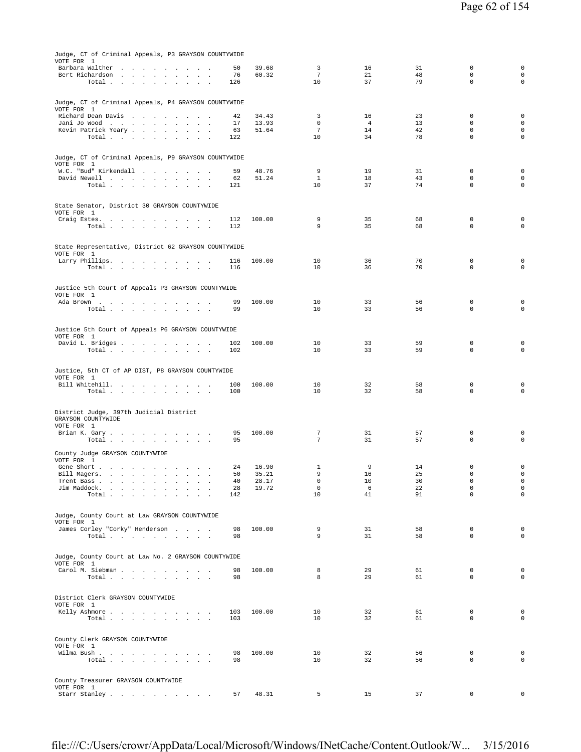| Judge, CT of Criminal Appeals, P3 GRAYSON COUNTYWIDE<br>VOTE FOR 1 |            |                |                      |                      |          |                            |                                    |
|--------------------------------------------------------------------|------------|----------------|----------------------|----------------------|----------|----------------------------|------------------------------------|
| Barbara Walther                                                    | 50         | 39.68          | 3                    | 16                   | 31       | $\mathbf 0$                | $\mathsf{O}\xspace$                |
| Bert Richardson<br>Total                                           | 76<br>126  | 60.32          | $\overline{7}$<br>10 | 21<br>37             | 48<br>79 | $\mathbf 0$<br>$\mathbf 0$ | 0<br>$\mathbf 0$                   |
|                                                                    |            |                |                      |                      |          |                            |                                    |
| Judge, CT of Criminal Appeals, P4 GRAYSON COUNTYWIDE               |            |                |                      |                      |          |                            |                                    |
| VOTE FOR 1                                                         |            |                |                      |                      |          |                            |                                    |
| Richard Dean Davis                                                 | 42<br>17   | 34.43<br>13.93 | 3<br>$\mathbf 0$     | 16<br>$\overline{4}$ | 23<br>13 | $\mathbf 0$<br>$\mathbf 0$ | $\mathbf 0$<br>$\mathbf 0$         |
| Jani Jo Wood<br>Kevin Patrick Yeary                                | 63         | 51.64          | $7\phantom{.0}$      | 14                   | 42       | $\mathbf 0$                | $\mathbf 0$                        |
| Total                                                              | 122        |                | 10                   | 34                   | 78       | $\mathbf 0$                | $\circ$                            |
|                                                                    |            |                |                      |                      |          |                            |                                    |
| Judge, CT of Criminal Appeals, P9 GRAYSON COUNTYWIDE               |            |                |                      |                      |          |                            |                                    |
| VOTE FOR 1<br>W.C. "Bud" Kirkendall                                | 59         | 48.76          | 9                    | 19                   | 31       | 0                          | $\mathbf 0$                        |
| David Newell<br>$\sim$<br>$\sim$ $\sim$                            | 62         | 51.24          | $\mathbf{1}$         | 18                   | 43       | $\mathbf 0$                | 0                                  |
| Total $\cdots$ $\cdots$ $\cdots$ $\cdots$                          | 121        |                | 10                   | 37                   | 74       | $\mathbf 0$                | $\mathsf{O}\xspace$                |
|                                                                    |            |                |                      |                      |          |                            |                                    |
| State Senator, District 30 GRAYSON COUNTYWIDE<br>VOTE FOR 1        |            |                |                      |                      |          |                            |                                    |
| Craig Estes.                                                       | 112        | 100.00         | 9                    | 35                   | 68       | 0                          | $\mathbf 0$                        |
| Total<br>$\sim 10^{-1}$<br>$\sim$                                  | 112        |                | 9                    | 35                   | 68       | $\mathbf 0$                | $\mathbf 0$                        |
|                                                                    |            |                |                      |                      |          |                            |                                    |
| State Representative, District 62 GRAYSON COUNTYWIDE               |            |                |                      |                      |          |                            |                                    |
| VOTE FOR 1<br>Larry Phillips.                                      | 116        | 100.00         | 10                   | 36                   | 70       | $\mathbf 0$                | 0                                  |
| Total $\cdots$ $\cdots$ $\cdots$                                   | 116        |                | 10                   | 36                   | 70       | $\mathbf 0$                | $\circ$                            |
|                                                                    |            |                |                      |                      |          |                            |                                    |
| Justice 5th Court of Appeals P3 GRAYSON COUNTYWIDE                 |            |                |                      |                      |          |                            |                                    |
| VOTE FOR 1<br>Ada Brown                                            | 99         | 100.00         | 10                   | 33                   | 56       | 0                          | $\mathbf 0$                        |
| Total                                                              | 99         |                | 10                   | 33                   | 56       | $\mathbf 0$                | $\mathbf 0$                        |
|                                                                    |            |                |                      |                      |          |                            |                                    |
| Justice 5th Court of Appeals P6 GRAYSON COUNTYWIDE                 |            |                |                      |                      |          |                            |                                    |
| VOTE FOR 1                                                         | 102        | 100.00         | 10                   | 33                   | 59       | 0                          | 0                                  |
| David L. Bridges<br>Total                                          | 102        |                | 10                   | 33                   | 59       | $\mathbf 0$                | $\mathbf 0$                        |
|                                                                    |            |                |                      |                      |          |                            |                                    |
| Justice, 5th CT of AP DIST, P8 GRAYSON COUNTYWIDE                  |            |                |                      |                      |          |                            |                                    |
| VOTE FOR 1                                                         |            |                |                      |                      |          |                            |                                    |
| Bill Whitehill.<br>Total $\cdots$ $\cdots$<br>$\sim$ $\sim$        | 100<br>100 | 100.00         | 10<br>10             | 32<br>32             | 58<br>58 | 0<br>$\mathbf 0$           | $\mathbf 0$<br>$\mathsf 0$         |
|                                                                    |            |                |                      |                      |          |                            |                                    |
| District Judge, 397th Judicial District                            |            |                |                      |                      |          |                            |                                    |
| GRAYSON COUNTYWIDE                                                 |            |                |                      |                      |          |                            |                                    |
| VOTE FOR 1<br>Brian K. Gary                                        | 95         | 100.00         | $\tau$               | 31                   | 57       | $\mathbf 0$                | $\mathbf 0$                        |
| Total $\cdots$ $\cdots$ $\cdots$ $\cdots$                          | 95         |                | $7\overline{ }$      | 31                   | 57       | $\mathbf 0$                | $\mathbf 0$                        |
| County Judge GRAYSON COUNTYWIDE                                    |            |                |                      |                      |          |                            |                                    |
| VOTE FOR 1                                                         |            |                |                      |                      |          |                            |                                    |
| Gene Short<br>Bill Magers.                                         | 24<br>50   | 16.90<br>35.21 | 1<br>9               | 9<br>16              | 14<br>25 | $\mathbf 0$<br>$\mathbf 0$ | $\mathbf 0$<br>$\mathsf{O}\xspace$ |
| the contract of the contract of the contract of the<br>Trent Bass  | 40         | 28.17          | 0                    | 10                   | 30       | $\mathbf 0$                | $\mathsf{O}\xspace$                |
| Jim Maddock.<br>$\sim$<br>$\sim$<br>Total.                         | 28         | 19.72          | $\mathsf 0$          | 6                    | 22       | $\mathbb O$<br>$\mathbf 0$ | $\mathsf{O}\xspace$<br>$\mathbf 0$ |
| $\sim$<br>$\sim$<br>$\ddot{\phantom{a}}$<br>$\sim$                 | 142        |                | 10                   | 41                   | 91       |                            |                                    |
|                                                                    |            |                |                      |                      |          |                            |                                    |
| Judge, County Court at Law GRAYSON COUNTYWIDE<br>VOTE FOR 1        |            |                |                      |                      |          |                            |                                    |
| James Corley "Corky" Henderson                                     | 98         | 100.00         | 9                    | 31                   | 58       | $\mathbf 0$                | $\mathbf 0$                        |
| Total<br><b>Contract Contract</b>                                  | 98         |                | 9                    | 31                   | 58       | $\mathbf{0}$               | $\mathbf 0$                        |
|                                                                    |            |                |                      |                      |          |                            |                                    |
| Judge, County Court at Law No. 2 GRAYSON COUNTYWIDE<br>VOTE FOR 1  |            |                |                      |                      |          |                            |                                    |
| Carol M. Siebman                                                   | 98         | 100.00         | 8                    | 29                   | 61       | $\mathbf{0}$               | $\mathbf 0$                        |
| Total                                                              | 98         |                | 8                    | 29                   | 61       | $\mathbf{0}$               | $\mathbf 0$                        |
|                                                                    |            |                |                      |                      |          |                            |                                    |
| District Clerk GRAYSON COUNTYWIDE<br>VOTE FOR 1                    |            |                |                      |                      |          |                            |                                    |
| Kelly Ashmore                                                      | 103        | 100.00         | 10                   | 32                   | 61       | $\mathbf{0}$               | $\mathbf 0$                        |
| Total $\cdots$ $\cdots$<br>$\sim$<br>$\overline{\phantom{a}}$      | 103        |                | 10                   | 32                   | 61       | $\mathbf 0$                | $\mathbf 0$                        |
|                                                                    |            |                |                      |                      |          |                            |                                    |
| County Clerk GRAYSON COUNTYWIDE                                    |            |                |                      |                      |          |                            |                                    |
| VOTE FOR 1<br>Wilma Bush.                                          | 98         | 100.00         | 10                   | 32                   | 56       | $\mathbf{0}$               | $\mathbf 0$                        |
| Total<br>$\sim$<br>$\sim$<br>$\sim$ $\sim$                         | 98         |                | 10                   | 32                   | 56       | $\mathbf{0}$               | $\mathbf 0$                        |
|                                                                    |            |                |                      |                      |          |                            |                                    |
| County Treasurer GRAYSON COUNTYWIDE                                |            |                |                      |                      |          |                            |                                    |
| VOTE FOR 1<br>Starr Stanley                                        | 57         | 48.31          | 5                    | 15                   | 37       | $\mathbf 0$                | 0                                  |
|                                                                    |            |                |                      |                      |          |                            |                                    |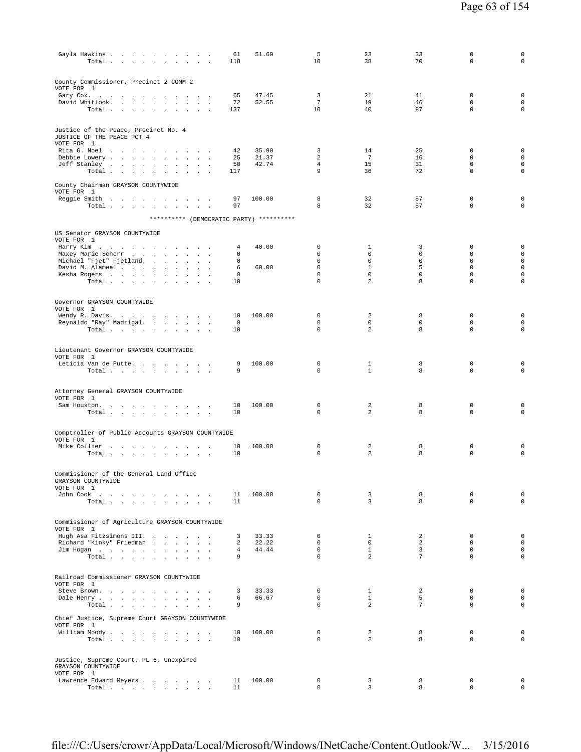| Gayla Hawkins<br>Total $\cdots$ $\cdots$<br>the contract of the                        | 61<br>118             | 51.69                   | 5<br>10                       | 23<br>38                       | 33<br>70             | $\mathbf 0$<br>$\mathbf 0$                            | $\mathsf 0$<br>0                                                 |
|----------------------------------------------------------------------------------------|-----------------------|-------------------------|-------------------------------|--------------------------------|----------------------|-------------------------------------------------------|------------------------------------------------------------------|
| County Commissioner, Precinct 2 COMM 2<br>VOTE FOR 1                                   |                       |                         |                               |                                |                      |                                                       |                                                                  |
| Gary Cox.<br>David Whitlock.<br>Total                                                  | 65<br>72<br>137       | 47.45<br>52.55          | 3<br>$7\overline{ }$<br>10    | 21<br>19<br>40                 | 41<br>46<br>87       | 0<br>$\Omega$<br>$\mathbf 0$                          | $\mathbf 0$<br>$\mathbf 0$<br>$\mathbf 0$                        |
| Justice of the Peace, Precinct No. 4<br>JUSTICE OF THE PEACE PCT 4<br>VOTE FOR 1       |                       |                         |                               |                                |                      |                                                       |                                                                  |
| Rita G. Noel<br>Debbie Lowery<br>Jeff Stanley<br>$\sim$<br>$\sim$<br>$\sim$<br>Total   | 42<br>25<br>50<br>117 | 35.90<br>21.37<br>42.74 | 3<br>2<br>$\overline{4}$<br>9 | 14<br>7<br>15<br>36            | 25<br>16<br>31<br>72 | $\Omega$<br>$\mathbf 0$<br>$\mathbf 0$<br>$\mathbf 0$ | $\mathbf 0$<br>$\mathbf 0$<br>$\mathsf{O}\xspace$<br>$\mathsf 0$ |
| County Chairman GRAYSON COUNTYWIDE<br>VOTE FOR 1                                       | 97                    | 100.00                  | 8                             | 32                             | 57                   | $\mathbf 0$                                           | $\mathbf 0$                                                      |
| Reggie Smith<br>Total $\cdots$ $\cdots$ $\cdots$ $\cdots$                              | 97                    |                         | 8                             | 32                             | 57                   | $\mathbf 0$                                           | $\mathsf 0$                                                      |
| ********** (DEMOCRATIC PARTY) **********                                               |                       |                         |                               |                                |                      |                                                       |                                                                  |
| US Senator GRAYSON COUNTYWIDE<br>VOTE FOR 1<br>Harry Kim                               | 4                     | 40.00                   | 0                             | $\mathbf{1}$                   | 3                    | 0                                                     | $\mathbf 0$                                                      |
| Maxey Marie Scherr<br>Michael "Fjet" Fjetland.                                         | 0<br>0                |                         | 0<br>0                        | 0<br>0                         | 0<br>0               | $\mathbf 0$<br>$\mathbf 0$                            | $\mathsf{O}\xspace$<br>$\mathsf{O}\xspace$                       |
| David M. Alameel<br>Kesha Rogers                                                       | 6<br>0                | 60.00                   | $\Omega$<br>0                 | $\mathbf{1}$<br>$\mathsf{O}$   | 5<br>0               | $\Omega$<br>$\mathbf 0$                               | $\mathsf{O}\xspace$<br>$\mathsf{O}\xspace$                       |
| Total                                                                                  | 10                    |                         | 0                             | 2                              | 8                    | $\mathbf 0$                                           | $\mathbf 0$                                                      |
| Governor GRAYSON COUNTYWIDE<br>VOTE FOR 1                                              |                       |                         |                               |                                |                      |                                                       |                                                                  |
| Wendy R. Davis.<br>Reynaldo "Ray" Madrigal.                                            | 10<br>0               | 100.00                  | $\Omega$<br>0                 | 2<br>0                         | 8<br>$\mathbf 0$     | $\mathbf 0$<br>$\mathbf 0$                            | $\mathbf 0$<br>$\mathbf 0$                                       |
| Total                                                                                  | 10                    |                         | 0                             | $\overline{a}$                 | 8                    | $\mathbf 0$                                           | $\circ$                                                          |
| Lieutenant Governor GRAYSON COUNTYWIDE<br>VOTE FOR 1                                   |                       |                         |                               |                                |                      |                                                       |                                                                  |
| Leticia Van de Putte.<br>Total                                                         | 9<br>9                | 100.00                  | 0<br>0                        | $\mathbf{1}$<br>$\mathbf{1}$   | 8<br>8               | $\mathbf 0$<br>$\mathbf 0$                            | $\mathbf 0$<br>$\mathbf 0$                                       |
|                                                                                        |                       |                         |                               |                                |                      |                                                       |                                                                  |
| Attorney General GRAYSON COUNTYWIDE<br>VOTE FOR 1                                      |                       |                         |                               |                                |                      |                                                       |                                                                  |
| Sam Houston.<br>Total<br>$\mathbf{r}$ .<br><b>Contract Contract Contract</b><br>$\sim$ | 10<br>10              | 100.00                  | 0<br>0                        | 2<br>2                         | 8<br>8               | $\mathbf 0$<br>$\mathbf 0$                            | $\mathbf 0$<br>$\mathbf 0$                                       |
| Comptroller of Public Accounts GRAYSON COUNTYWIDE                                      |                       |                         |                               |                                |                      |                                                       |                                                                  |
| VOTE FOR 1<br>Mike Collier<br>$\sim$                                                   | 10                    | 100.00                  | 0                             | 2                              | 8                    | $\mathbf 0$                                           | $\mathbf 0$                                                      |
| Total                                                                                  | 10                    |                         | 0                             | 2                              | 8                    | $\mathbf 0$                                           | $\mathbf 0$                                                      |
| Commissioner of the General Land Office<br>GRAYSON COUNTYWIDE                          |                       |                         |                               |                                |                      |                                                       |                                                                  |
| VOTE FOR 1<br>John Cook $\ldots$ $\ldots$ $\ldots$ $\ldots$ $\ldots$<br>Total          | 11<br>11              | 100.00                  | $\mathbf 0$<br>$\Omega$       | 3<br>$\overline{3}$            | 8<br>8               | 0<br>$\Omega$                                         | $\mathbf 0$<br>$\mathsf{O}\xspace$                               |
|                                                                                        |                       |                         |                               |                                |                      |                                                       |                                                                  |
| Commissioner of Agriculture GRAYSON COUNTYWIDE<br>VOTE FOR 1                           |                       |                         |                               |                                |                      |                                                       |                                                                  |
| Hugh Asa Fitzsimons III.<br>Richard "Kinky" Friedman                                   | 3<br>2                | 33.33<br>22.22          | 0<br>0                        | $\mathbf{1}$<br>0              | 2<br>$\overline{a}$  | $\mathbf 0$<br>$\mathbf 0$                            | $\mathbf 0$<br>$\mathsf{O}\xspace$                               |
| Jim Hogan<br>Total $\cdots$<br>$\sim$                                                  | 4<br>9                | 44.44                   | $\mathbf 0$<br>$\Omega$       | $\mathbf{1}$<br>$\overline{a}$ | 3<br>7               | $\mathbf 0$<br>$\mathbf 0$                            | $\mathsf{O}\xspace$<br>0                                         |
|                                                                                        |                       |                         |                               |                                |                      |                                                       |                                                                  |
| Railroad Commissioner GRAYSON COUNTYWIDE<br>VOTE FOR 1                                 |                       |                         |                               |                                |                      |                                                       |                                                                  |
| Steve Brown.<br>Dale Henry                                                             | 3<br>6                | 33.33<br>66.67          | 0<br>$\Omega$                 | $\mathbf{1}$<br>$\mathbf{1}$   | 2<br>5               | 0<br>$\Omega$                                         | $\mathbf 0$<br>$\mathbf 0$                                       |
| Total<br>$\sim$ 100<br>$\sim$                                                          | 9                     |                         | 0                             | 2                              | 7                    | $\mathbf 0$                                           | $\mathbf 0$                                                      |
| Chief Justice, Supreme Court GRAYSON COUNTYWIDE<br>VOTE FOR 1                          |                       |                         |                               |                                |                      |                                                       |                                                                  |
| William Moody<br>Total<br>$\sim$                                                       | 10<br>10              | 100.00                  | $^{\circ}$<br>0               | 2<br>$\overline{a}$            | 8<br>8               | $\mathbf 0$<br>$\mathbf 0$                            | $\mathbf 0$<br>$\mathbf 0$                                       |
| Justice, Supreme Court, PL 6, Unexpired<br>GRAYSON COUNTYWIDE                          |                       |                         |                               |                                |                      |                                                       |                                                                  |
| VOTE FOR 1<br>Lawrence Edward Meyers                                                   | 11                    | 100.00                  | $\mathbf{0}$                  | 3                              | 8                    | $\mathbf 0$                                           | $\mathbf 0$                                                      |
| Total<br>$\sim$ $\sim$                                                                 | 11                    |                         | 0                             | 3                              | 8                    | $\mathbf 0$                                           | $\circ$                                                          |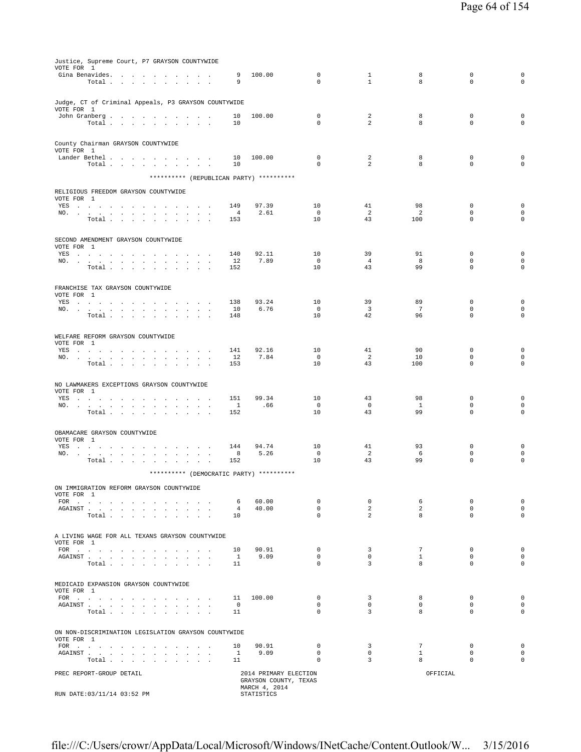| Justice, Supreme Court, P7 GRAYSON COUNTYWIDE                                                                                                                                                                                                                                            |                       |                             |                   |                               |                    |                            |                                    |
|------------------------------------------------------------------------------------------------------------------------------------------------------------------------------------------------------------------------------------------------------------------------------------------|-----------------------|-----------------------------|-------------------|-------------------------------|--------------------|----------------------------|------------------------------------|
| VOTE FOR 1                                                                                                                                                                                                                                                                               | 9                     | 100.00                      | $\mathbf 0$       | 1                             | 8                  | $\mathbf 0$                | $\mathbf 0$                        |
| Gina Benavides.<br>Total                                                                                                                                                                                                                                                                 | 9                     |                             | 0                 | $\mathbf{1}$                  | 8                  | $\mathbf 0$                | $\mathbf 0$                        |
|                                                                                                                                                                                                                                                                                          |                       |                             |                   |                               |                    |                            |                                    |
| Judge, CT of Criminal Appeals, P3 GRAYSON COUNTYWIDE                                                                                                                                                                                                                                     |                       |                             |                   |                               |                    |                            |                                    |
| VOTE FOR 1                                                                                                                                                                                                                                                                               |                       |                             |                   |                               |                    |                            |                                    |
| John Granberg<br>Total                                                                                                                                                                                                                                                                   | 10<br>10              | 100.00                      | $\mathbf 0$<br>0  | 2<br>$\overline{a}$           | 8<br>8             | $\mathbf 0$<br>$\mathbf 0$ | $\mathbf 0$<br>$\mathbf 0$         |
|                                                                                                                                                                                                                                                                                          |                       |                             |                   |                               |                    |                            |                                    |
| County Chairman GRAYSON COUNTYWIDE                                                                                                                                                                                                                                                       |                       |                             |                   |                               |                    |                            |                                    |
| VOTE FOR 1                                                                                                                                                                                                                                                                               |                       |                             |                   |                               |                    |                            |                                    |
| Lander Bethel                                                                                                                                                                                                                                                                            | 10                    | 100.00                      | $\mathbf 0$       | 2                             | 8                  | $\mathbf 0$                | $\mathbf 0$                        |
| Total $\cdots$ $\cdots$ $\cdots$<br>$\sim$<br>$\sim$                                                                                                                                                                                                                                     | 10                    |                             | 0                 | $\overline{a}$                | 8                  | $\mathbf 0$                | $\mathbf 0$                        |
| ********** (REPUBLICAN PARTY) **********                                                                                                                                                                                                                                                 |                       |                             |                   |                               |                    |                            |                                    |
| RELIGIOUS FREEDOM GRAYSON COUNTYWIDE                                                                                                                                                                                                                                                     |                       |                             |                   |                               |                    |                            |                                    |
| VOTE FOR 1                                                                                                                                                                                                                                                                               |                       |                             |                   |                               |                    |                            |                                    |
| YES                                                                                                                                                                                                                                                                                      | 149                   | 97.39                       | 10<br>$\circ$     | 41<br>2                       | 98<br>2            | 0<br>$\mathbf 0$           | $\mathbf 0$<br>$\mathsf{O}\xspace$ |
| NO.<br>Total $\cdots$ $\cdots$ $\cdots$                                                                                                                                                                                                                                                  | $\overline{4}$<br>153 | 2.61                        | 10                | 43                            | 100                | $\Omega$                   | $\mathbf 0$                        |
|                                                                                                                                                                                                                                                                                          |                       |                             |                   |                               |                    |                            |                                    |
| SECOND AMENDMENT GRAYSON COUNTYWIDE                                                                                                                                                                                                                                                      |                       |                             |                   |                               |                    |                            |                                    |
| VOTE FOR 1                                                                                                                                                                                                                                                                               |                       |                             |                   |                               |                    |                            |                                    |
| YES<br>NO.<br>$\sim$<br>$\sim$<br>$\sim$<br>$\sim$                                                                                                                                                                                                                                       | 140<br>12             | 92.11<br>7.89               | 10<br>$\mathbf 0$ | 39<br>$\overline{4}$          | 91<br>8            | $\mathbf 0$<br>$\mathbf 0$ | $\mathbf 0$<br>$\mathsf{O}\xspace$ |
| Total                                                                                                                                                                                                                                                                                    | 152                   |                             | 10                | 43                            | 99                 | $\Omega$                   | $\Omega$                           |
|                                                                                                                                                                                                                                                                                          |                       |                             |                   |                               |                    |                            |                                    |
| FRANCHISE TAX GRAYSON COUNTYWIDE                                                                                                                                                                                                                                                         |                       |                             |                   |                               |                    |                            |                                    |
| VOTE FOR 1                                                                                                                                                                                                                                                                               |                       |                             |                   |                               |                    |                            |                                    |
| YES<br>NO.<br><b>Sales Control</b>                                                                                                                                                                                                                                                       | 138<br>10             | 93.24<br>6.76               | 10<br>$\mathbf 0$ | 39<br>$\overline{\mathbf{3}}$ | 89<br>7            | $\mathbf 0$<br>$\mathbf 0$ | 0<br>0                             |
| $\sim$<br>Total                                                                                                                                                                                                                                                                          | 148                   |                             | 10                | 42                            | 96                 | $\Omega$                   | $\mathbf 0$                        |
|                                                                                                                                                                                                                                                                                          |                       |                             |                   |                               |                    |                            |                                    |
| WELFARE REFORM GRAYSON COUNTYWIDE                                                                                                                                                                                                                                                        |                       |                             |                   |                               |                    |                            |                                    |
| VOTE FOR 1                                                                                                                                                                                                                                                                               |                       |                             |                   |                               |                    |                            |                                    |
| YES a contract of the contract of the state of the state of the state of the state of the state of the state of the state of the state of the state of the state of the state of the state of the state of the state of the st<br>NO.<br>$\cdot$<br>$\ddot{\phantom{a}}$<br>$\mathbf{r}$ | 141<br>12             | 92.16<br>7.84               | 10<br>$\mathbf 0$ | 41<br>2                       | 90<br>10           | $\Omega$<br>0              | 0<br>0                             |
| Total<br>$\sim$<br>$\ddot{\phantom{1}}$<br>$\sim$<br><b>Contract Contract Contract</b>                                                                                                                                                                                                   | 153                   |                             | 10                | 43                            | 100                | 0                          | $\mathbf 0$                        |
|                                                                                                                                                                                                                                                                                          |                       |                             |                   |                               |                    |                            |                                    |
| NO LAWMAKERS EXCEPTIONS GRAYSON COUNTYWIDE                                                                                                                                                                                                                                               |                       |                             |                   |                               |                    |                            |                                    |
| VOTE FOR 1                                                                                                                                                                                                                                                                               |                       |                             |                   |                               |                    |                            |                                    |
| YES a contract of the contract of the state of the state of the state of the state of the state of the state of the state of the state of the state of the state of the state of the state of the state of the state of the st<br>NO.                                                    | 151<br>$\overline{1}$ | 99.34<br>.66                | 10<br>$\mathbf 0$ | 43<br>$\circ$                 | 98<br><sup>1</sup> | $\mathbf 0$<br>$\mathbf 0$ | $\mathbf 0$<br>0                   |
| Total                                                                                                                                                                                                                                                                                    | 152                   |                             | 10                | 43                            | 99                 | $\mathbf 0$                | $\mathbf 0$                        |
|                                                                                                                                                                                                                                                                                          |                       |                             |                   |                               |                    |                            |                                    |
| OBAMACARE GRAYSON COUNTYWIDE                                                                                                                                                                                                                                                             |                       |                             |                   |                               |                    |                            |                                    |
| VOTE FOR 1                                                                                                                                                                                                                                                                               |                       |                             |                   |                               |                    |                            |                                    |
| YES a contract of the contract of the state of the state of the state of the state of the state of the state of the state of the state of the state of the state of the state of the state of the state of the state of the st<br>NO.                                                    | 144<br>8              | 94.74<br>5.26               | 10<br>0           | 41<br>2                       | 93<br>6            | $\mathbf 0$<br>$\mathbf 0$ | $\mathbf 0$<br>$\mathsf 0$         |
| Total<br>$\sim$<br>$\ddot{\phantom{a}}$<br>$\ddot{\phantom{a}}$                                                                                                                                                                                                                          | 152                   |                             | 10                | 43                            | 99                 | 0                          | $\mathsf 0$                        |
| ********** (DEMOCRATIC PARTY) **********                                                                                                                                                                                                                                                 |                       |                             |                   |                               |                    |                            |                                    |
|                                                                                                                                                                                                                                                                                          |                       |                             |                   |                               |                    |                            |                                    |
| ON IMMIGRATION REFORM GRAYSON COUNTYWIDE                                                                                                                                                                                                                                                 |                       |                             |                   |                               |                    |                            |                                    |
| VOTE FOR 1<br>FOR                                                                                                                                                                                                                                                                        | 6                     | 60.00                       | $^{\circ}$        | 0                             | 6                  | $\mathbf 0$                | 0                                  |
| ${\tt AGAINST} \hspace{0.1in} . \hspace{0.1in} . \hspace{0.1in} . \hspace{0.1in} . \hspace{0.1in} . \hspace{0.1in} . \hspace{0.1in} . \hspace{0.1in} . \hspace{0.1in} .$<br>$\sim$ $\sim$                                                                                                | 4                     | 40.00                       | $\mathsf 0$       | 2                             | $\overline{a}$     | $\mathbf 0$                | $\circ$                            |
| Total                                                                                                                                                                                                                                                                                    | 10                    |                             | $\Omega$          | 2                             | 8                  | $\Omega$                   | 0                                  |
|                                                                                                                                                                                                                                                                                          |                       |                             |                   |                               |                    |                            |                                    |
| A LIVING WAGE FOR ALL TEXANS GRAYSON COUNTYWIDE                                                                                                                                                                                                                                          |                       |                             |                   |                               |                    |                            |                                    |
| VOTE FOR 1<br>FOR                                                                                                                                                                                                                                                                        | 10                    | 90.91                       | $\mathbf 0$       | 3                             | $7\phantom{.0}$    | $\mathbf 0$                | $\mathbf 0$                        |
| ${\tt AGAINST} \hspace{0.1in} . \hspace{0.1in} . \hspace{0.1in} . \hspace{0.1in} . \hspace{0.1in} . \hspace{0.1in} . \hspace{0.1in} . \hspace{0.1in} . \hspace{0.1in} .$<br>$\sim$ $\sim$ $\sim$                                                                                         | $\mathbf{1}$          | 9.09                        | $\mathbf{0}$      | $\circ$                       | $\mathbf{1}$       | $\mathbf{0}$               | 0                                  |
| Total                                                                                                                                                                                                                                                                                    | 11                    |                             | $\mathbf 0$       | $\overline{3}$                | 8                  | $\mathbf{0}$               | $\mathbf 0$                        |
|                                                                                                                                                                                                                                                                                          |                       |                             |                   |                               |                    |                            |                                    |
| MEDICAID EXPANSION GRAYSON COUNTYWIDE                                                                                                                                                                                                                                                    |                       |                             |                   |                               |                    |                            |                                    |
| VOTE FOR 1<br>FOR $\qquad \qquad$                                                                                                                                                                                                                                                        | 11                    | 100.00                      | $\Omega$          | $\overline{3}$                | 8                  | $\Omega$                   | $\circ$                            |
| ${\tt AGAINST} \hspace{1.5cm} . \hspace{1.5cm} . \hspace{1.5cm} . \hspace{1.5cm} . \hspace{1.5cm} . \hspace{1.5cm} . \hspace{1.5cm} . \hspace{1.5cm} . \hspace{1.5cm} . \hspace{1.5cm} . \hspace{1.5cm} . \hspace{1.5cm} . \hspace{1.5cm} . \hspace{1.5cm} .$                            | $^{\circ}$            |                             | $\mathbf{0}$      | $\circ$                       | $\circ$            | $\mathbf{0}$               | $\circ$                            |
| Total                                                                                                                                                                                                                                                                                    | 11                    |                             | $\mathbf 0$       | $\overline{3}$                | 8                  | $\mathbf{0}$               | $\mathbf 0$                        |
|                                                                                                                                                                                                                                                                                          |                       |                             |                   |                               |                    |                            |                                    |
| ON NON-DISCRIMINATION LEGISLATION GRAYSON COUNTYWIDE                                                                                                                                                                                                                                     |                       |                             |                   |                               |                    |                            |                                    |
| VOTE FOR 1<br>FOR                                                                                                                                                                                                                                                                        | 10                    | 90.91                       | $^{\circ}$        | $\overline{3}$                | $7^{\circ}$        | $\mathbf{0}$               | $\circ$                            |
| AGAINST                                                                                                                                                                                                                                                                                  | $\mathbf{1}$          | 9.09                        | $\mathbf 0$       | $\circ$                       | $\mathbf{1}$       | $\mathbf 0$                | $\mathbf 0$                        |
| Total                                                                                                                                                                                                                                                                                    | 11                    |                             | 0                 | $\overline{3}$                | 8                  | $\mathbf{0}$               | $\mathbf 0$                        |
| PREC REPORT-GROUP DETAIL                                                                                                                                                                                                                                                                 |                       | 2014 PRIMARY ELECTION       |                   |                               | OFFICIAL           |                            |                                    |
|                                                                                                                                                                                                                                                                                          |                       | GRAYSON COUNTY, TEXAS       |                   |                               |                    |                            |                                    |
| RUN DATE: 03/11/14 03:52 PM                                                                                                                                                                                                                                                              |                       | MARCH 4, 2014<br>STATISTICS |                   |                               |                    |                            |                                    |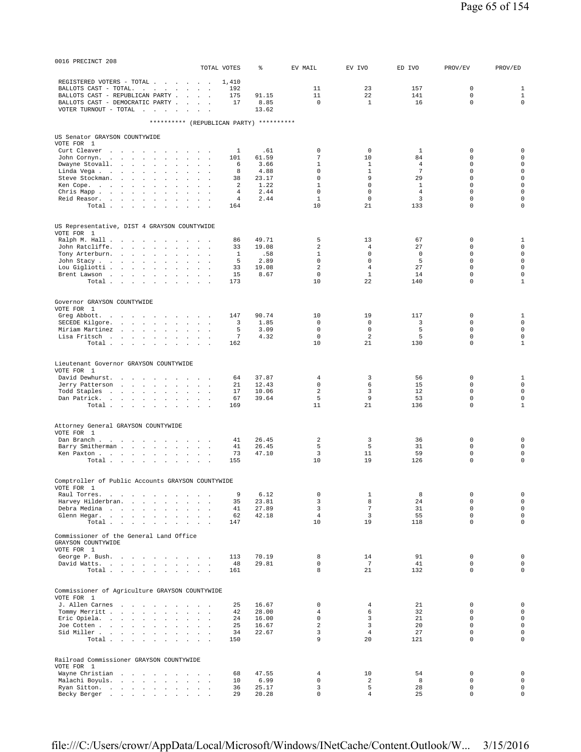| 0016 PRECINCT 208                           |                                                                        |                                                                                      | TOTAL VOTES  | ⊱              | EV MAIL                       | EV IVO                        | ED IVO                           | PROV/EV                    | PROV/ED                     |
|---------------------------------------------|------------------------------------------------------------------------|--------------------------------------------------------------------------------------|--------------|----------------|-------------------------------|-------------------------------|----------------------------------|----------------------------|-----------------------------|
| BALLOTS CAST - TOTAL.                       | REGISTERED VOTERS - TOTAL<br>the contract of the contract of           |                                                                                      | 1,410<br>192 |                | 11                            | 23                            | 157                              | $\mathbb O$                | $\mathbf{1}$                |
|                                             | BALLOTS CAST - REPUBLICAN PARTY                                        |                                                                                      | 175          | 91.15          | 11                            | 22                            | 141                              | $\mathbf 0$                | $\mathbf{1}$                |
|                                             | BALLOTS CAST - DEMOCRATIC PARTY                                        |                                                                                      | 17           | 8.85           | 0                             | 1                             | 16                               | $\mathbf 0$                | $\mathsf 0$                 |
|                                             | VOTER TURNOUT - TOTAL $\ldots$                                         |                                                                                      |              | 13.62          |                               |                               |                                  |                            |                             |
|                                             |                                                                        | ********** (REPUBLICAN PARTY) **********                                             |              |                |                               |                               |                                  |                            |                             |
| US Senator GRAYSON COUNTYWIDE<br>VOTE FOR 1 |                                                                        |                                                                                      |              |                |                               |                               |                                  |                            |                             |
|                                             | Curt Cleaver                                                           | $\sim$                                                                               | 1            | .61            | 0                             | 0                             | 1                                | 0                          | $\mathbf 0$                 |
| John Cornyn.                                | <b>Carl Carl</b><br><b>Contract Contract</b><br>$\sim$<br>$\mathbf{r}$ | $\sim$ $\sim$                                                                        | 101          | 61.59          | 7                             | 10                            | 84                               | $\mathbb O$                | $\mathsf 0$                 |
|                                             | Dwayne Stovall.<br>$\ddot{\phantom{a}}$<br>Linda Vega<br>$\sim$        | <b>Contractor</b><br>$\sim$ $\sim$<br>$\mathbf{r}$                                   | 6<br>8       | 3.66<br>4.88   | $\mathbf{1}$<br>$\mathbf 0$   | $\mathbf{1}$<br>$\mathbf{1}$  | $\overline{4}$<br>$\overline{7}$ | $\Omega$<br>$\mathbf 0$    | $\mathbf 0$<br>$\mathbf 0$  |
| Steve Stockman.                             | the contract of the con-<br>$\Box$                                     | $\cdot$<br>$\mathbf{r}$<br>$\mathbf{r}$                                              | 38           | 23.17          | $\mathbf 0$                   | 9                             | 29                               | $\mathbf 0$                | $\mathbf 0$                 |
|                                             | Ken Cope.                                                              | $\sim$                                                                               | 2            | 1.22           | $\mathbf{1}$                  | $\mathsf 0$                   | 1                                | $\mathbf 0$                | $\mathbf 0$                 |
| Chris Mapp                                  | $\sim$<br>$\mathbf{r}$<br>Reid Reasor.                                 | $\sim$<br>$\mathbf{r}$<br>$\mathbf{r}$                                               | 4<br>4       | 2.44<br>2.44   | $\mathbb O$<br>$\mathbf{1}$   | $\mathsf 0$<br>$\mathsf 0$    | $\overline{4}$<br>3              | $\mathbf 0$<br>$\mathbf 0$ | $\mathbf 0$<br>$\mathbf 0$  |
|                                             | Total                                                                  |                                                                                      | 164          |                | 10                            | 21                            | 133                              | $\mathbf 0$                | $\mathbf 0$                 |
|                                             |                                                                        |                                                                                      |              |                |                               |                               |                                  |                            |                             |
| VOTE FOR 1                                  | US Representative, DIST 4 GRAYSON COUNTYWIDE                           |                                                                                      |              |                |                               |                               |                                  |                            |                             |
|                                             | Ralph M. Hall                                                          | $\sim$ $\sim$ $\sim$ $\sim$                                                          | 86           | 49.71          | 5                             | 13                            | 67                               | $\mathbf 0$                | $\mathbf{1}$                |
| John Ratcliffe.                             | the company of the company of                                          | <b>Sales Advised Service</b>                                                         | 33           | 19.08          | 2                             | 4                             | 27                               | $\Omega$                   | $\mathbf 0$<br>$\mathbf 0$  |
| Tony Arterburn.                             | $\sim 10^{-1}$<br>$\Box$<br>John Stacy<br>$\Box$                       | $\mathbf{r}$<br>$\sim$<br>$\sim$<br>$\ddot{\phantom{a}}$<br>$\overline{\phantom{a}}$ | 1<br>5       | .58<br>2.89    | $\mathbf{1}$<br>$\mathbf 0$   | $\mathsf 0$<br>$\mathbf 0$    | $\mathbf 0$<br>5                 | $\mathbf 0$<br>$\mathbf 0$ | $\mathbf 0$                 |
|                                             | Lou Gigliotti                                                          | $\sim$                                                                               | 33           | 19.08          | $\overline{a}$                | $\overline{4}$                | 27                               | $\mathbf 0$                | $\mathbf 0$                 |
|                                             | Brent Lawson                                                           | $\sim$<br>$\sim$<br>$\mathbf{r}$                                                     | 15           | 8.67           | $\mathbf{0}$                  | $\mathbf{1}$<br>22            | 14                               | $\mathbf 0$<br>$\mathbf 0$ | $\mathbf 0$<br>$\mathbf{1}$ |
|                                             | Total $\cdots$ $\cdots$ $\cdots$                                       |                                                                                      | 173          |                | 10                            |                               | 140                              |                            |                             |
| Governor GRAYSON COUNTYWIDE<br>VOTE FOR 1   |                                                                        |                                                                                      |              |                |                               |                               |                                  |                            |                             |
| Greg Abbott.                                | the contract of the contract of the con-                               |                                                                                      | 147          | 90.74          | 10                            | 19                            | 117                              | 0                          | $\mathbf{1}$                |
| SECEDE Kilgore.                             | and the state of the state                                             |                                                                                      | 3            | 1.85           | 0                             | 0                             | 3                                | $\mathbb O$                | $\mathbf 0$                 |
|                                             | Miriam Martinez<br>$\Box$<br>Lisa Fritsch                              | $\sim$                                                                               | 5<br>7       | 3.09<br>4.32   | $\mathbf 0$<br>$\mathbf 0$    | $\mathbf 0$<br>$\overline{2}$ | 5<br>5                           | $\Omega$<br>$\mathbf 0$    | $\mathbf 0$<br>$\mathbf 0$  |
|                                             | Total                                                                  |                                                                                      | 162          |                | 10                            | 21                            | 130                              | $\mathbf 0$                | $\mathbf{1}$                |
|                                             |                                                                        |                                                                                      |              |                |                               |                               |                                  |                            |                             |
| VOTE FOR 1                                  | Lieutenant Governor GRAYSON COUNTYWIDE                                 |                                                                                      |              |                |                               |                               |                                  |                            |                             |
| David Dewhurst.                             | the contract of the contract of the                                    |                                                                                      | 64           | 37.87          | $\overline{4}$                | 3                             | 56                               | $\mathbf 0$                | $\mathbf{1}$                |
|                                             | Jerry Patterson                                                        |                                                                                      | 21           | 12.43          | $\mathbf 0$                   | 6                             | 15                               | $\mathbf 0$                | $\mathsf 0$                 |
| Todd Staples                                | the contract of the contract of<br>$\sim$<br>Dan Patrick.              | $\sim$ $\sim$<br>$\mathbf{r}$                                                        | 17<br>67     | 10.06<br>39.64 | $\overline{a}$<br>5           | 3<br>9                        | 12<br>53                         | $\mathbf 0$<br>$\mathbb O$ | $\mathbf 0$<br>$\mathbf 0$  |
|                                             | Total                                                                  | the company of the company                                                           | 169          |                | 11                            | 21                            | 136                              | $\mathbf 0$                | $\mathbf{1}$                |
|                                             |                                                                        |                                                                                      |              |                |                               |                               |                                  |                            |                             |
| VOTE FOR 1                                  | Attorney General GRAYSON COUNTYWIDE                                    |                                                                                      |              |                |                               |                               |                                  |                            |                             |
|                                             | Dan Branch                                                             |                                                                                      | 41           | 26.45          | $\overline{a}$                | 3                             | 36                               | $\mathbb O$                | 0                           |
|                                             | Barry Smitherman                                                       |                                                                                      | 41           | 26.45          | 5                             | 5                             | 31                               | $\mathbf 0$                | $\mathsf 0$                 |
|                                             | Ken Paxton<br>Total                                                    |                                                                                      | 73<br>155    | 47.10          | 3<br>10                       | 11<br>19                      | 59<br>126                        | $\mathbb O$<br>$\mathbf 0$ | $\mathsf 0$<br>0            |
|                                             |                                                                        |                                                                                      |              |                |                               |                               |                                  |                            |                             |
| VOTE FOR 1                                  | Comptroller of Public Accounts GRAYSON COUNTYWIDE                      |                                                                                      |              |                |                               |                               |                                  |                            |                             |
|                                             | Raul Torres.                                                           |                                                                                      | 9            | 6.12           | $\mathbf 0$                   | $\mathbf{1}$                  | 8                                | $\mathbf 0$                | $\mathbf 0$                 |
| Debra Medina                                | Harvey Hilderbran.<br>the contract of the contract of                  | $\sim$<br>$\ddot{\phantom{a}}$<br>$\mathbf{r}$<br>$\overline{\phantom{a}}$           | 35<br>41     | 23.81<br>27.89 | 3<br>$\overline{3}$           | 8<br>$\overline{7}$           | 24<br>31                         | $\mathbf 0$<br>$\mathbf 0$ | $\mathbf 0$<br>$\mathbf 0$  |
|                                             | Glenn Hegar.                                                           |                                                                                      | 62           | 42.18          | $\overline{4}$                | $\overline{\mathbf{3}}$       | 55                               | $\mathbf 0$                | $\mathbf 0$                 |
| Total .                                     | $\sim$<br><b>Contract Contract</b><br>$\sim$                           |                                                                                      | 147          |                | 10                            | 19                            | 118                              | $\mathbf 0$                | $\mathbf 0$                 |
| GRAYSON COUNTYWIDE                          | Commissioner of the General Land Office                                |                                                                                      |              |                |                               |                               |                                  |                            |                             |
| VOTE FOR 1                                  | George P. Bush.                                                        | $\sim$                                                                               | 113          | 70.19          | 8                             | 14                            | 91                               | $\mathbf 0$                | $\mathbf 0$                 |
|                                             | David Watts.                                                           |                                                                                      | 48           | 29.81          | $\mathbf 0$                   | $7\phantom{.0}$               | 41                               | $\mathbf 0$                | $\mathbf 0$                 |
|                                             | Total                                                                  |                                                                                      | 161          |                | 8                             | 21                            | 132                              | $\mathbf 0$                | $\circ$                     |
|                                             | Commissioner of Agriculture GRAYSON COUNTYWIDE                         |                                                                                      |              |                |                               |                               |                                  |                            |                             |
| VOTE FOR 1                                  |                                                                        |                                                                                      |              |                |                               |                               |                                  |                            |                             |
|                                             | J. Allen Carnes                                                        |                                                                                      | 25           | 16.67          | $\mathbb O$<br>$\overline{4}$ | 4<br>6                        | 21                               | $\mathbb O$<br>$\mathbf 0$ | $\mathsf 0$<br>$\circ$      |
|                                             | Tommy Merritt<br>Eric Opiela.                                          |                                                                                      | 42<br>24     | 28.00<br>16.00 | $\mathbf 0$                   | 3                             | 32<br>21                         | $\mathbf 0$                | $\mathbf 0$                 |
|                                             | Joe Cotten<br>$\sim$                                                   | $\sim$ $\sim$ $\sim$                                                                 | 25           | 16.67          | 2                             | $\overline{3}$                | 20                               | $\mathbf 0$                | $\mathbf 0$                 |
|                                             | Sid Miller<br>Total                                                    |                                                                                      | 34           | 22.67          | $\overline{3}$<br>9           | $\overline{4}$<br>20          | 27                               | $\mathbf 0$<br>$\mathbf 0$ | $\mathbf 0$<br>$\mathbf 0$  |
|                                             |                                                                        |                                                                                      | 150          |                |                               |                               | 121                              |                            |                             |
|                                             | Railroad Commissioner GRAYSON COUNTYWIDE                               |                                                                                      |              |                |                               |                               |                                  |                            |                             |
| VOTE FOR 1                                  | Wayne Christian                                                        |                                                                                      | 68           | 47.55          | $\overline{4}$                | 10                            | 54                               | $\mathbf 0$                | $\mathbf 0$                 |
|                                             | Malachi Boyuls.                                                        |                                                                                      | 10           | 6.99           | $\mathbf 0$                   | 2                             | 8                                | $\mathbf 0$                | $\mathsf{O}\xspace$         |
|                                             | Ryan Sitton.                                                           |                                                                                      | 36           | 25.17          | 3                             | 5                             | 28                               | $\mathsf 0$                | $\mathsf{O}\xspace$         |
|                                             | Becky Berger                                                           |                                                                                      | 29           | 20.28          | $\mathsf 0$                   | $\overline{4}$                | 25                               | $\mathsf 0$                | $\mathsf{O}\xspace$         |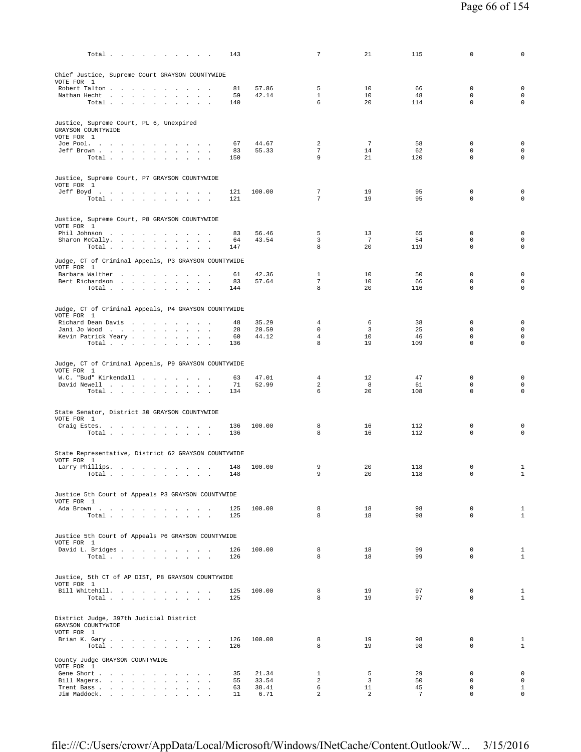| 143<br>Total                                                                             |                | $\overline{7}$                | 21                    | 115       | 0                          | 0                                  |
|------------------------------------------------------------------------------------------|----------------|-------------------------------|-----------------------|-----------|----------------------------|------------------------------------|
| Chief Justice, Supreme Court GRAYSON COUNTYWIDE<br>VOTE FOR 1                            |                |                               |                       |           |                            |                                    |
| Robert Talton<br>81                                                                      | 57.86          | 5                             | 10                    | 66        | $\mathbf 0$                | $\mathbf 0$                        |
| Nathan Hecht<br>59<br>$\sim$<br><b>Contract Contract</b><br>$\sim$<br>Total<br>140       | 42.14          | $\mathbf{1}$<br>6             | 10<br>20              | 48<br>114 | $\mathbf 0$<br>$\mathbf 0$ | $\mathsf{O}\xspace$<br>$\circ$     |
| Justice, Supreme Court, PL 6, Unexpired                                                  |                |                               |                       |           |                            |                                    |
| GRAYSON COUNTYWIDE<br>VOTE FOR 1                                                         |                |                               |                       |           |                            |                                    |
| Joe Pool.<br>67<br>$\sim$<br>Jeff Brown<br>83                                            | 44.67<br>55.33 | 2<br>$\overline{7}$           | $7\phantom{.0}$<br>14 | 58<br>62  | $\mathbb O$<br>$\mathbf 0$ | $\mathsf 0$<br>$\mathsf{O}\xspace$ |
| Total<br>150<br>$\sim$                                                                   |                | 9                             | 21                    | 120       | $\mathbf 0$                | $\mathbf 0$                        |
| Justice, Supreme Court, P7 GRAYSON COUNTYWIDE                                            |                |                               |                       |           |                            |                                    |
| VOTE FOR 1<br>Jeff Boyd<br>121                                                           | 100.00         | $\overline{7}$                | 19                    | 95        | $\mathbb O$                | $\mathsf 0$                        |
| 121<br>Total $\cdots$ $\cdots$ $\cdots$                                                  |                | 7                             | 19                    | 95        | $\mathbf 0$                | $\mathbf 0$                        |
| Justice, Supreme Court, P8 GRAYSON COUNTYWIDE                                            |                |                               |                       |           |                            |                                    |
| VOTE FOR 1<br>Phil Johnson<br>83                                                         | 56.46          | 5                             | 13                    | 65        | $\mathbf 0$                | $\mathsf 0$                        |
| Sharon McCally.<br>64<br>Total<br>147                                                    | 43.54          | 3<br>8                        | 7<br>20               | 54<br>119 | $\mathbf 0$<br>$\mathbf 0$ | $\mathbf 0$<br>$\mathbf 0$         |
| Judge, CT of Criminal Appeals, P3 GRAYSON COUNTYWIDE                                     |                |                               |                       |           |                            |                                    |
| VOTE FOR 1                                                                               |                |                               |                       |           |                            |                                    |
| Barbara Walther<br>61<br>83<br>Bert Richardson                                           | 42.36<br>57.64 | 1<br>7                        | 10<br>10              | 50<br>66  | 0<br>$\mathbf 0$           | $\mathsf 0$<br>$\mathbf 0$         |
| Total $\cdots$ $\cdots$ $\cdots$<br>144                                                  |                | 8                             | 20                    | 116       | $\mathbf 0$                | 0                                  |
| Judge, CT of Criminal Appeals, P4 GRAYSON COUNTYWIDE                                     |                |                               |                       |           |                            |                                    |
| VOTE FOR 1<br>Richard Dean Davis<br>48                                                   | 35.29          | 4                             | 6                     | 38        | 0                          | $\mathbf 0$                        |
| Jani Jo Wood<br>28<br>Kevin Patrick Yeary<br>60                                          | 20.59<br>44.12 | $\mathbf 0$<br>$\overline{4}$ | 3<br>10               | 25<br>46  | $\mathbf 0$<br>$\mathbf 0$ | $\mathbf 0$<br>$\mathbf 0$         |
| Total $\cdots$ $\cdots$ $\cdots$ $\cdots$<br>136                                         |                | 8                             | 19                    | 109       | $\mathbf 0$                | $\circ$                            |
| Judge, CT of Criminal Appeals, P9 GRAYSON COUNTYWIDE                                     |                |                               |                       |           |                            |                                    |
| VOTE FOR 1<br>W.C. "Bud" Kirkendall<br>63                                                | 47.01          | $\overline{4}$                | 12                    | 47        | 0                          | $\mathsf 0$                        |
| David Newell<br>71                                                                       | 52.99          | $\overline{a}$                | 8                     | 61        | 0                          | $\mathbf 0$                        |
| Total<br>134<br>$\sim$<br>$\ddot{\phantom{a}}$                                           |                | 6                             | 20                    | 108       | $\mathbb O$                | $\mathsf 0$                        |
| State Senator, District 30 GRAYSON COUNTYWIDE                                            |                |                               |                       |           |                            |                                    |
| VOTE FOR 1<br>Craig Estes.<br>136<br>the contract of the contract of the contract of the | 100.00         | 8                             | 16                    | 112       | 0                          | 0                                  |
| Total $\cdots$ $\cdots$ $\cdots$<br>136                                                  |                | 8                             | 16                    | 112       | $\mathbf 0$                | $\mathbf 0$                        |
| State Representative, District 62 GRAYSON COUNTYWIDE                                     |                |                               |                       |           |                            |                                    |
| VOTE FOR 1<br>Larry Phillips.<br>148                                                     | 100.00         | 9                             | 20                    | 118       | 0                          | 1                                  |
| 148<br>Total.<br>the contract of the contract of the contract of                         |                | 9                             | 20                    | 118       | $\mathbf 0$                | $\mathbf{1}$                       |
| Justice 5th Court of Appeals P3 GRAYSON COUNTYWIDE<br>VOTE FOR 1                         |                |                               |                       |           |                            |                                    |
| Ada Brown<br>125<br>125                                                                  | 100.00         | 8<br>8                        | 18<br>18              | 98<br>98  | $\mathbf 0$<br>$\Omega$    | $\mathbf{1}$<br>$\mathbf{1}$       |
| Total                                                                                    |                |                               |                       |           |                            |                                    |
| Justice 5th Court of Appeals P6 GRAYSON COUNTYWIDE                                       |                |                               |                       |           |                            |                                    |
| VOTE FOR 1<br>David L. Bridges<br>126                                                    | 100.00         | 8                             | 18                    | 99        | $^{\circ}$                 | 1                                  |
| Total<br>126                                                                             |                | 8                             | 18                    | 99        | $\mathbf 0$                | $\mathbf{1}$                       |
| Justice, 5th CT of AP DIST, P8 GRAYSON COUNTYWIDE                                        |                |                               |                       |           |                            |                                    |
| VOTE FOR 1<br>Bill Whitehill.<br>125                                                     | 100.00         | 8                             | 19                    | 97        | $\mathbf 0$                | 1                                  |
| Total<br>125                                                                             |                | 8                             | 19                    | 97        | $\Omega$                   | $\mathbf{1}$                       |
| District Judge, 397th Judicial District<br>GRAYSON COUNTYWIDE                            |                |                               |                       |           |                            |                                    |
| VOTE FOR 1                                                                               |                |                               |                       |           |                            |                                    |
| Brian K. Gary<br>126<br>Total $\cdots$ $\cdots$ $\cdots$ $\cdots$<br>126                 | 100.00         | 8<br>8                        | 19<br>19              | 98<br>98  | $\mathbf 0$<br>$\Omega$    | $\mathbf{1}$<br>$\mathbf{1}$       |
| County Judge GRAYSON COUNTYWIDE<br>VOTE FOR 1                                            |                |                               |                       |           |                            |                                    |
| Gene Short<br>35                                                                         | 21.34          | $\mathbf{1}$                  | 5                     | 29        | 0                          | $\mathbf 0$<br>$\mathbf 0$         |
| Bill Magers.<br>55<br>Trent Bass<br>63                                                   | 33.54<br>38.41 | $\overline{a}$<br>6           | 3<br>11               | 50<br>45  | $\mathbf 0$<br>$\mathbf 0$ | $\mathbf{1}$                       |
| Jim Maddock.<br>11                                                                       | 6.71           | 2                             | 2                     | 7         | $\mathbf 0$                | $\mathbf 0$                        |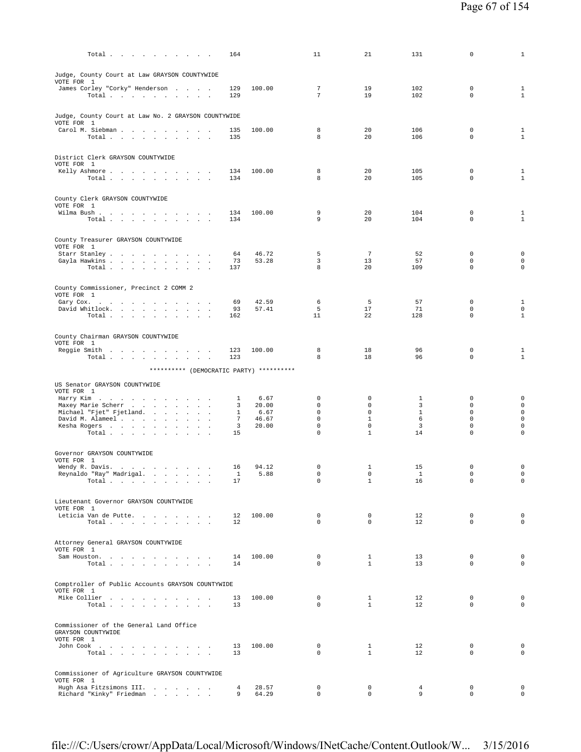| Total $\cdots$ $\cdots$ $\cdots$                                                                 | 164                  |                | 11                         | 21                           | 131            | 0                          | $\mathbf{1}$                               |
|--------------------------------------------------------------------------------------------------|----------------------|----------------|----------------------------|------------------------------|----------------|----------------------------|--------------------------------------------|
| Judge, County Court at Law GRAYSON COUNTYWIDE                                                    |                      |                |                            |                              |                |                            |                                            |
| VOTE FOR 1<br>James Corley "Corky" Henderson                                                     | 129                  | 100.00         | 7                          | 19                           | 102            | $\mathbf 0$                | $\mathbf{1}$                               |
| Total                                                                                            | 129                  |                | $7\phantom{.0}$            | 19                           | 102            | $\mathbf 0$                | $\mathbf{1}$                               |
|                                                                                                  |                      |                |                            |                              |                |                            |                                            |
| Judge, County Court at Law No. 2 GRAYSON COUNTYWIDE<br>VOTE FOR 1                                |                      |                |                            |                              |                |                            |                                            |
| Carol M. Siebman<br>Total                                                                        | 135<br>135           | 100.00         | 8<br>8                     | 20<br>20                     | 106<br>106     | $\mathbf 0$<br>$\mathbf 0$ | $\mathbf{1}$<br>$\mathbf{1}$               |
|                                                                                                  |                      |                |                            |                              |                |                            |                                            |
| District Clerk GRAYSON COUNTYWIDE<br>VOTE FOR 1                                                  |                      |                |                            |                              |                |                            |                                            |
| Kelly Ashmore<br>Total $\cdots$ $\cdots$ $\cdots$                                                | 134<br>134           | 100.00         | 8<br>8                     | 20<br>20                     | 105<br>105     | $\mathbf 0$<br>$\mathbf 0$ | $\mathbf{1}$<br>$\mathbf{1}$               |
|                                                                                                  |                      |                |                            |                              |                |                            |                                            |
| County Clerk GRAYSON COUNTYWIDE<br>VOTE FOR 1                                                    |                      |                |                            |                              |                |                            |                                            |
| Wilma Bush.                                                                                      | 134                  | 100.00         | 9                          | 20                           | 104            | $\mathbf 0$                | 1                                          |
| Total $\cdots$ $\cdots$ $\cdots$                                                                 | 134                  |                | 9                          | 20                           | 104            | $\mathbf 0$                | $\mathbf{1}$                               |
| County Treasurer GRAYSON COUNTYWIDE                                                              |                      |                |                            |                              |                |                            |                                            |
| VOTE FOR 1<br>Starr Stanley                                                                      | 64                   | 46.72          | 5                          | 7                            | 52             | $\mathbf 0$                | $\mathbf 0$                                |
| Gayla Hawkins<br>Total $\cdots$ $\cdots$<br>$\sim$<br>$\sim$ $\sim$                              | 73<br>137            | 53.28          | 3<br>8                     | 13<br>20                     | 57<br>109      | $\mathbf 0$<br>$\mathbf 0$ | $\mathsf{O}\xspace$<br>$\mathsf{O}\xspace$ |
|                                                                                                  |                      |                |                            |                              |                |                            |                                            |
| County Commissioner, Precinct 2 COMM 2                                                           |                      |                |                            |                              |                |                            |                                            |
| VOTE FOR 1<br>Gary Cox. $\ldots$ $\ldots$ $\ldots$ $\ldots$ $\ldots$ $\ldots$                    | 69                   | 42.59          | 6                          | 5                            | 57             | 0                          | $\mathbf{1}$                               |
| David Whitlock.<br>Total $\cdots$ $\cdots$ $\cdots$                                              | 93<br>162            | 57.41          | 5<br>11                    | 17<br>22                     | 71<br>128      | $\mathbf 0$<br>$\mathsf 0$ | $\mathsf{O}\xspace$<br>$\mathbf{1}$        |
|                                                                                                  |                      |                |                            |                              |                |                            |                                            |
| County Chairman GRAYSON COUNTYWIDE<br>VOTE FOR 1                                                 |                      |                |                            |                              |                |                            |                                            |
| Reggie Smith                                                                                     | 123                  | 100.00         | 8                          | 18                           | 96             | $\mathbf 0$<br>$\Omega$    | 1                                          |
| Total                                                                                            | 123                  |                | 8                          | 18                           | 96             |                            | $\mathbf{1}$                               |
| ********** (DEMOCRATIC PARTY) **********                                                         |                      |                |                            |                              |                |                            |                                            |
| US Senator GRAYSON COUNTYWIDE<br>VOTE FOR 1                                                      |                      |                |                            |                              |                |                            |                                            |
| Harry Kim<br>Maxey Marie Scherr                                                                  | $\mathbf{1}$<br>3    | 6.67<br>20.00  | $\mathbf 0$<br>$\mathbf 0$ | 0<br>$\Omega$                | 1<br>3         | $\mathbf 0$<br>$\Omega$    | 0<br>$\mathsf{O}\xspace$                   |
| Michael "Fjet" Fjetland.                                                                         | $\mathbf{1}$         | 6.67           | $\mathbf 0$                | $\mathbf 0$                  | $\mathbf{1}$   | $\mathbf 0$                | $\mathsf{O}\xspace$                        |
| David M. Alameel<br>Kesha Rogers                                                                 | $7\overline{ }$<br>3 | 46.67<br>20.00 | $\mathbf 0$<br>$\mathbf 0$ | $\mathbf{1}$<br>$\mathbf 0$  | 6<br>3         | $\mathbf 0$<br>$\mathbf 0$ | $\mathsf{O}\xspace$<br>$\mathsf 0$         |
| Total                                                                                            | 15                   |                | $\mathbf 0$                | $\mathbf{1}$                 | 14             | $\mathsf 0$                | $\mathsf 0$                                |
| Governor GRAYSON COUNTYWIDE                                                                      |                      |                |                            |                              |                |                            |                                            |
| VOTE FOR 1<br>Wendy R. Davis.                                                                    | 16                   | 94.12          | 0                          | 1                            | 15             | $\mathbf 0$                | $\mathbf 0$                                |
| Reynaldo "Ray" Madrigal.                                                                         | $\mathbf{1}$         | 5.88           | $\mathbf 0$                | $\mathbf 0$                  | 1              | $\mathbf 0$                | $\mathsf{O}\xspace$                        |
| Total $\cdots$ $\cdots$ $\cdots$ $\cdots$                                                        | 17                   |                | 0                          | $1\,$                        | 16             | 0                          | 0                                          |
| Lieutenant Governor GRAYSON COUNTYWIDE                                                           |                      |                |                            |                              |                |                            |                                            |
| VOTE FOR 1<br>Leticia Van de Putte                                                               | $12 \overline{ }$    | 100.00         | $\mathbf 0$                | 0                            | 12             | $\mathbf 0$                | $\mathbf 0$                                |
| $\texttt{Total} \quad . \quad . \quad . \quad . \quad . \quad . \quad . \quad . \quad . \quad .$ | 12                   |                | $\Omega$                   | $\Omega$                     | 12             | $\Omega$                   | $\Omega$                                   |
| Attorney General GRAYSON COUNTYWIDE                                                              |                      |                |                            |                              |                |                            |                                            |
| VOTE FOR 1                                                                                       |                      |                |                            |                              |                |                            |                                            |
| Sam Houston.<br>Total<br>$\sim$                                                                  | 14<br>14             | 100.00         | $^{\circ}$<br>$\Omega$     | 1<br>$\mathbf{1}$            | 13<br>13       | $\mathbf 0$<br>$\Omega$    | $\mathsf{O}\xspace$<br>$\mathbf 0$         |
|                                                                                                  |                      |                |                            |                              |                |                            |                                            |
| Comptroller of Public Accounts GRAYSON COUNTYWIDE<br>VOTE FOR 1                                  |                      |                |                            |                              |                |                            |                                            |
| Mike Collier<br>Total                                                                            | 13<br>13             | 100.00         | $\mathbf 0$<br>$\Omega$    | $\mathbf{1}$<br>$\mathbf{1}$ | 12<br>12       | $\mathbf 0$<br>$\Omega$    | $\mathbf 0$<br>$\mathbf 0$                 |
|                                                                                                  |                      |                |                            |                              |                |                            |                                            |
| Commissioner of the General Land Office                                                          |                      |                |                            |                              |                |                            |                                            |
| GRAYSON COUNTYWIDE<br>VOTE FOR 1                                                                 |                      |                |                            |                              |                |                            |                                            |
| John Cook<br>Total                                                                               | 13<br>13             | 100.00         | $\mathbf 0$<br>$\Omega$    | $\mathbf{1}$<br>$\mathbf{1}$ | 12<br>12       | $\mathbf 0$<br>$\Omega$    | $\mathbf 0$<br>$\mathbf 0$                 |
|                                                                                                  |                      |                |                            |                              |                |                            |                                            |
| Commissioner of Agriculture GRAYSON COUNTYWIDE<br>VOTE FOR 1                                     |                      |                |                            |                              |                |                            |                                            |
| Hugh Asa Fitzsimons III.                                                                         | 4                    | 28.57          | $^{\circ}$                 | $\circ$                      | $\overline{4}$ | $\mathbf 0$                | $\mathbf 0$                                |
| Richard "Kinky" Friedman                                                                         | 9                    | 64.29          | $\mathbf 0$                | $\mathbf 0$                  | 9              | 0                          | $\mathsf{O}\xspace$                        |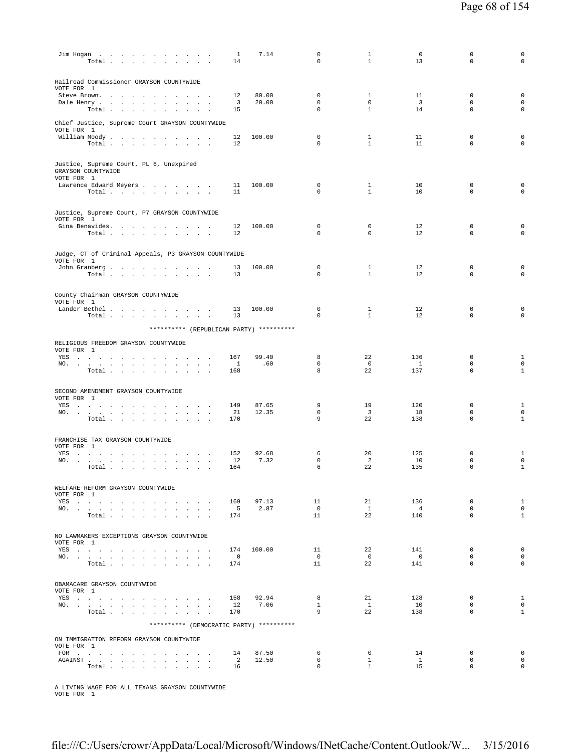|                         | $\text{Jim Hogan}$<br>Total $\cdots$ $\cdots$                                                                                                                                                                                                                             |                                              | $\sim$ $\sim$ $\sim$                     | -1<br>14                               | 7.14                                     | 0<br>$\Omega$                             | 1<br>$\mathbf{1}$                       | 0<br>13                      | 0<br>$\mathbf 0$                          | 0<br>$\mathbf 0$                            |
|-------------------------|---------------------------------------------------------------------------------------------------------------------------------------------------------------------------------------------------------------------------------------------------------------------------|----------------------------------------------|------------------------------------------|----------------------------------------|------------------------------------------|-------------------------------------------|-----------------------------------------|------------------------------|-------------------------------------------|---------------------------------------------|
| VOTE FOR 1              | Railroad Commissioner GRAYSON COUNTYWIDE<br>Steve Brown.<br>Dale Henry<br>$\sim 10^{-1}$                                                                                                                                                                                  | $\sim$<br>$\sim$<br>$\cdot$<br>$\lambda$     | $\cdot$                                  | 12<br>3                                | 80.00<br>20.00                           | 0<br>$\mathbf 0$                          | $\mathbf{1}$<br>$\mathbf 0$             | 11<br>$\overline{3}$         | $\mathbf 0$<br>$\mathbf 0$                | $\mathbf 0$<br>$\mathsf 0$                  |
|                         | Total<br>Chief Justice, Supreme Court GRAYSON COUNTYWIDE                                                                                                                                                                                                                  | $\overline{\phantom{a}}$                     |                                          | 15                                     |                                          | $\Omega$                                  | $\mathbf{1}$                            | 14                           | $\mathbf 0$                               | $\mathbf 0$                                 |
| VOTE FOR 1              | William Moody.<br>Total                                                                                                                                                                                                                                                   |                                              |                                          | 12<br>12                               | 100.00                                   | $\mathbf 0$<br>$\Omega$                   | $\mathbf{1}$<br>$\mathbf{1}$            | 11<br>11                     | $\mathbf 0$<br>$\mathbf 0$                | 0<br>$\Omega$                               |
| VOTE FOR 1              | Justice, Supreme Court, PL 6, Unexpired<br>GRAYSON COUNTYWIDE                                                                                                                                                                                                             |                                              |                                          |                                        |                                          |                                           |                                         |                              |                                           |                                             |
|                         | Lawrence Edward Meyers<br>Total                                                                                                                                                                                                                                           |                                              |                                          | 11<br>11                               | 100.00                                   | $\mathbf 0$<br>$\Omega$                   | $\mathbf{1}$<br>$\mathbf{1}$            | 10<br>10                     | $\mathbb O$<br>$\mathbf 0$                | 0<br>0                                      |
| VOTE FOR 1              | Justice, Supreme Court, P7 GRAYSON COUNTYWIDE<br>Gina Benavides.                                                                                                                                                                                                          |                                              |                                          | 12                                     | 100.00                                   | 0                                         | 0                                       | 12                           | $\mathbf 0$                               | 0                                           |
|                         | Total                                                                                                                                                                                                                                                                     |                                              | $\sim$ $\sim$                            | 12                                     |                                          | $\mathbf 0$                               | $\mathbf 0$                             | 12                           | $\mathbf 0$                               | $\mathbf 0$                                 |
| VOTE FOR 1              | Judge, CT of Criminal Appeals, P3 GRAYSON COUNTYWIDE<br>John Granberg.<br>Total                                                                                                                                                                                           |                                              | $\mathbf{z} = \mathbf{z} + \mathbf{z}$ . | 13<br>13                               | 100.00                                   | $\mathbb O$<br>$\mathbf 0$                | $\mathbf{1}$<br>$\mathbf{1}$            | 12<br>12                     | $\mathsf 0$<br>$\mathbf 0$                | $\mathsf 0$<br>$\mathbf 0$                  |
| VOTE FOR 1              | County Chairman GRAYSON COUNTYWIDE<br>Lander Bethel                                                                                                                                                                                                                       |                                              |                                          | 13                                     | 100.00                                   | $\mathbb O$                               | $\mathbf{1}$                            | 12                           | $\mathbf 0$                               | 0                                           |
|                         | Total                                                                                                                                                                                                                                                                     |                                              |                                          | 13                                     | ********** (REPUBLICAN PARTY) ********** | $\Omega$                                  | $\mathbf{1}$                            | 12                           | $\mathbf 0$                               | 0                                           |
| VOTE FOR 1              | RELIGIOUS FREEDOM GRAYSON COUNTYWIDE                                                                                                                                                                                                                                      |                                              |                                          |                                        |                                          |                                           |                                         |                              |                                           |                                             |
| $NO.$ $\ldots$ $\ldots$ | YES a contract of the contract of the contract of the set of the set of the set of the set of the set of the set of the set of the set of the set of the set of the set of the set of the set of the set of the set of the set<br><b>All And</b><br>$\sim$<br>Total       | $\sim$<br>$\sim$ $\sim$<br>$\sim$<br>$\cdot$ | $\overline{\phantom{a}}$                 | 167<br>$\overline{1}$<br>168           | 99.40<br>.60                             | 8<br>$\mathbb O$<br>8                     | 22<br>$\circ$<br>22                     | 136<br>1<br>137              | $\mathbf 0$<br>$\mathbf 0$<br>$\mathbf 0$ | $\mathbf{1}$<br>$\mathbf 0$<br>$\mathbf{1}$ |
| VOTE FOR 1              | SECOND AMENDMENT GRAYSON COUNTYWIDE                                                                                                                                                                                                                                       |                                              |                                          |                                        |                                          |                                           |                                         |                              |                                           |                                             |
|                         | YES a contract of the contract of the contract of the set of the set of the set of the set of the set of the set of the set of the set of the set of the set of the set of the set of the set of the set of the set of the set<br>NO.<br>Total $\cdots$ $\cdots$ $\cdots$ |                                              |                                          | 149<br>21<br>170                       | 87.65<br>12.35                           | 9<br>$\mathbb O$<br>9                     | 19<br>3<br>22                           | 120<br>18<br>138             | $\mathbf 0$<br>$\mathbf 0$<br>$\mathbf 0$ | $\mathbf{1}$<br>$\mathbf 0$<br>$\mathbf{1}$ |
| VOTE FOR 1<br>YES       | FRANCHISE TAX GRAYSON COUNTYWIDE<br>والموالي والموالي والموالي والموالي والموالي والموالي                                                                                                                                                                                 |                                              |                                          | 152                                    | 92.68                                    | 6                                         | 20                                      | 125                          | 0                                         | 1                                           |
|                         | NO.<br>Total                                                                                                                                                                                                                                                              | $\sim$                                       | $\sim$                                   | 12<br>164                              | 7.32                                     | $\mathbf 0$<br>6                          | 2<br>22                                 | 10<br>135                    | 0<br>$\mathbf 0$                          | $\mathsf 0$<br>$\mathbf{1}$                 |
| VOTE FOR 1              | WELFARE REFORM GRAYSON COUNTYWIDE<br>YES a contract of the contract of the contract of the set of the set of the set of the set of the set of the set of the set of the set of the set of the set of the set of the set of the set of the set of the set of the set       |                                              |                                          | 169                                    | 97.13                                    | 11                                        | 21                                      | 136                          | $\mathbf 0$                               | $\mathbf{1}$                                |
|                         | NO.<br>Total                                                                                                                                                                                                                                                              |                                              |                                          | $5^{\circ}$<br>174                     | 2.87                                     | $\overline{0}$<br>11                      | $\mathbf{1}$<br>22                      | $\overline{4}$<br>140        | $\mathbf 0$<br>$\Omega$                   | $\mathbf{0}$<br>$\mathbf{1}$                |
| VOTE FOR 1              | NO LAWMAKERS EXCEPTIONS GRAYSON COUNTYWIDE                                                                                                                                                                                                                                |                                              |                                          |                                        |                                          |                                           |                                         |                              |                                           |                                             |
|                         | YES a contract of the contract of the contract of the set of the set of the set of the set of the set of the set of the set of the set of the set of the set of the set of the set of the set of the set of the set of the set<br>NO.<br>Total                            |                                              |                                          | 174<br>$\overline{\phantom{0}}$<br>174 | 100.00                                   | 11<br>$\Omega$<br>11                      | 22<br>$\overline{0}$<br>22              | 141<br>$\overline{0}$<br>141 | $\mathbf 0$<br>$\Omega$<br>$\mathbf 0$    | $\mathbf 0$<br>$\mathbf 0$<br>$\mathbf 0$   |
| VOTE FOR 1              | OBAMACARE GRAYSON COUNTYWIDE                                                                                                                                                                                                                                              |                                              |                                          |                                        |                                          |                                           |                                         |                              |                                           |                                             |
|                         | YES<br>NO.<br>Total                                                                                                                                                                                                                                                       |                                              |                                          | 158<br>12<br>170                       | 92.94<br>7.06                            | 8<br>$\mathbf{1}$<br>9                    | 21<br>$\mathbf{1}$<br>22                | 128<br>10<br>138             | $\mathbf 0$<br>$\circ$<br>$\Omega$        | $\mathbf{1}$<br>$\Omega$<br>$\mathbf{1}$    |
|                         | ON IMMIGRATION REFORM GRAYSON COUNTYWIDE                                                                                                                                                                                                                                  |                                              |                                          |                                        | ********** (DEMOCRATIC PARTY) ********** |                                           |                                         |                              |                                           |                                             |
| VOTE FOR 1              | FOR $\qquad \qquad \ldots \qquad \qquad \ldots \qquad \qquad \ldots \qquad \ldots \qquad \ldots$<br>AGAINST<br>Total                                                                                                                                                      |                                              |                                          | 14<br>$\overline{2}$<br>16             | 87.50<br>12.50                           | $\mathbf 0$<br>$\mathbf 0$<br>$\mathbf 0$ | $\circ$<br>$\mathbf{1}$<br>$\mathbf{1}$ | 14<br><sup>1</sup><br>15     | $\mathbf 0$<br>$\mathbf 0$<br>$\mathbf 0$ | $\circ$<br>$\mathbf 0$<br>$\mathbf 0$       |
|                         |                                                                                                                                                                                                                                                                           |                                              |                                          |                                        |                                          |                                           |                                         |                              |                                           |                                             |

A LIVING WAGE FOR ALL TEXANS GRAYSON COUNTYWIDE VOTE FOR 1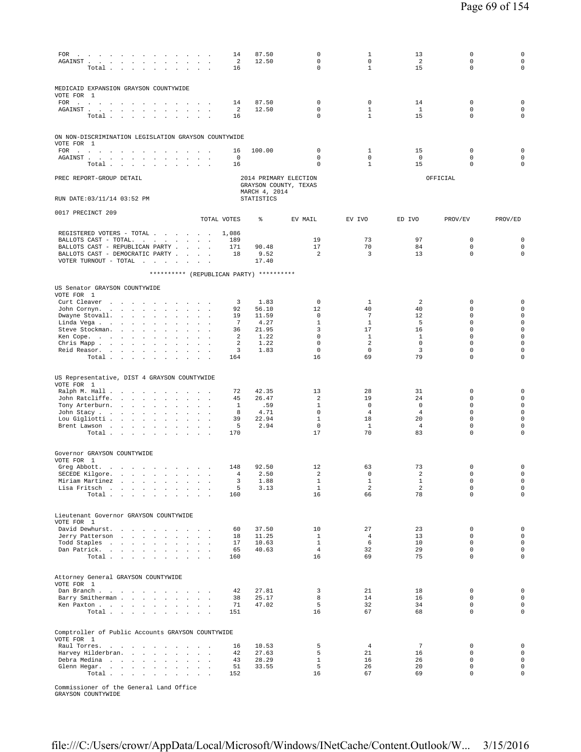| FOR $\cdots$ $\cdots$ $\cdots$ $\cdots$ $\cdots$ $\cdots$<br>${\tt AGAINST} \quad . \qquad . \qquad . \qquad . \qquad . \qquad . \qquad .$<br>$\ddot{\phantom{a}}$<br>$\cdot$<br>$\ddot{\phantom{a}}$<br>Total<br>$\mathbf{r}$                                                                                                                                           | $\sim$<br>$\sim$<br>$\cdot$<br>$\sim$ $\sim$ | 14<br>2<br>16             | 87.50<br>12.50         | $\mathbf 0$<br>0<br>$\mathbf 0$                | 1<br>$\circ$<br>$\mathbf{1}$ | 13<br>2<br>15                  | 0<br>0<br>$\mathbf 0$                     | $\mathsf 0$<br>$\mathsf{O}\xspace$<br>$\mathsf 0$ |
|--------------------------------------------------------------------------------------------------------------------------------------------------------------------------------------------------------------------------------------------------------------------------------------------------------------------------------------------------------------------------|----------------------------------------------|---------------------------|------------------------|------------------------------------------------|------------------------------|--------------------------------|-------------------------------------------|---------------------------------------------------|
| MEDICAID EXPANSION GRAYSON COUNTYWIDE<br>VOTE FOR 1<br>FOR<br>$\sim$<br>$\sim$<br><b>Sales Advised Advised Advised Advised Advised Advised Advised Advised Advised Advised Advised Advised Advised Advised Advised Advised Advised Advised Advised Advised Advised Advised Advised Advised Advised Advised Advised</b><br>AGAINST<br>$\Delta$<br>$\mathbf{a}=\mathbf{a}$ |                                              | 14<br>2                   | 87.50<br>12.50         | 0<br>0                                         | $\mathbf 0$<br>$\mathbf{1}$  | 14<br>$\mathbf{1}$             | $\mathbf 0$<br>0                          | $\mathsf 0$<br>$\mathsf{O}\xspace$                |
| Total .<br>$\sim$ 100 $\pm$                                                                                                                                                                                                                                                                                                                                              |                                              | 16                        |                        | $\mathbf 0$                                    | $\mathbf{1}$                 | 15                             | $\mathbf 0$                               | $\mathbf 0$                                       |
| ON NON-DISCRIMINATION LEGISLATION GRAYSON COUNTYWIDE<br>VOTE FOR 1<br>FOR                                                                                                                                                                                                                                                                                                | $\sim$ $\sim$ $\sim$ $\sim$                  | 16                        | 100.00                 | $\mathbf 0$                                    | $\mathbf{1}$                 | 15                             | $\mathbf 0$                               | $\mathsf 0$                                       |
| the contract of the<br>$\sim$ 100 $\sim$<br>AGAINST.<br>$\mathcal{A}^{\mathcal{A}}$ and $\mathcal{A}^{\mathcal{A}}$<br>$\sim$<br>and a strategic and a strategic<br>Total .<br>the contract of the contract of the con-                                                                                                                                                  | $\sim$ $-$<br>$\blacksquare$                 | 0<br>16                   |                        | $\mathbf 0$<br>0                               | $\mathbf 0$<br>$\mathbf{1}$  | $\mathbf 0$<br>15              | $\mathbf 0$<br>$\mathbf 0$                | $\mathbf 0$<br>$\mathbf 0$                        |
| PREC REPORT-GROUP DETAIL                                                                                                                                                                                                                                                                                                                                                 |                                              |                           | MARCH 4, 2014          | 2014 PRIMARY ELECTION<br>GRAYSON COUNTY, TEXAS |                              |                                | OFFICIAL                                  |                                                   |
| RUN DATE: 03/11/14 03:52 PM                                                                                                                                                                                                                                                                                                                                              |                                              |                           | STATISTICS             |                                                |                              |                                |                                           |                                                   |
| 0017 PRECINCT 209                                                                                                                                                                                                                                                                                                                                                        |                                              | TOTAL VOTES               | ి                      | EV MAIL                                        | EV IVO                       | ED IVO                         | PROV/EV                                   | PROV/ED                                           |
| REGISTERED VOTERS - TOTAL<br>BALLOTS CAST - TOTAL.<br>and the contract of the<br>BALLOTS CAST - REPUBLICAN PARTY<br>BALLOTS CAST - DEMOCRATIC PARTY<br>VOTER TURNOUT - TOTAL $\ldots$                                                                                                                                                                                    | $\sim$<br>$\sim$<br>$\sim$                   | 1,086<br>189<br>171<br>18 | 90.48<br>9.52<br>17.40 | 19<br>17<br>2                                  | 73<br>70<br>3                | 97<br>84<br>13                 | $\mathbf 0$<br>$\mathbf 0$<br>$\mathbf 0$ | $\mathbf 0$<br>$\mathbf 0$<br>$\mathbf 0$         |
| ********** (REPUBLICAN PARTY) **********                                                                                                                                                                                                                                                                                                                                 |                                              |                           |                        |                                                |                              |                                |                                           |                                                   |
| US Senator GRAYSON COUNTYWIDE<br>VOTE FOR 1<br>Curt Cleaver<br>the contract of the contract of the con-                                                                                                                                                                                                                                                                  |                                              | 3                         | 1.83                   | $\mathbf{0}$                                   | 1                            | 2                              | 0                                         | $\mathsf 0$                                       |
| John Cornyn.<br>$\sim 10^{-1}$<br>$\sim$ 10 $\sim$<br>$\ddot{\phantom{a}}$<br>$\ddot{\phantom{0}}$<br>$\sim$<br>$\ddot{\phantom{a}}$<br>Dwayne Stovall.<br>$\ddot{\phantom{0}}$<br>$\blacksquare$<br>$\ddot{\phantom{a}}$                                                                                                                                                |                                              | 92<br>19                  | 56.10<br>11.59         | 12<br>$\mathbf 0$                              | 40<br>$7\phantom{.0}$        | 40<br>12                       | 0<br>$\mathbf 0$                          | $\mathsf 0$<br>$\mathsf 0$                        |
| Linda Vega<br>$\sim$<br>$\cdot$<br>$\ddot{\phantom{a}}$<br>Steve Stockman.<br>the company of the company<br>$\mathcal{L}_{\mathbf{a}}$                                                                                                                                                                                                                                   | $\sim$                                       | $7\phantom{.0}$<br>36     | 4.27<br>21.95          | $\mathbf{1}$<br>3                              | $\mathbf{1}$<br>17           | 5<br>16                        | $\mathbf 0$<br>$\mathbf 0$                | $\mathsf{O}\xspace$<br>$\mathsf 0$                |
| Ken Cope.<br>$\sim$<br>$\mathbf{r}$<br>$\cdot$<br>Chris Mapp<br>$\sim$<br>$\sim$<br>$\mathbf{r}$                                                                                                                                                                                                                                                                         |                                              | 2<br>2                    | 1.22<br>1.22           | $\mathbf 0$<br>0                               | $\mathbf{1}$<br>2            | $\mathbf{1}$<br>$\mathbf 0$    | $\mathbf 0$<br>$\mathbf 0$                | $\mathsf 0$<br>$\mathsf 0$                        |
| $\sim$<br>Reid Reasor.<br>Total<br><b>Carl Corporation</b><br>$\sim$ $\sim$<br>$\ddot{\phantom{a}}$<br>$\cdot$                                                                                                                                                                                                                                                           | $\sim$                                       | 3<br>164                  | 1.83                   | 0<br>16                                        | $\circ$<br>69                | 3<br>79                        | $\mathsf 0$<br>0                          | $\mathsf 0$<br>$\mathbf 0$                        |
| US Representative, DIST 4 GRAYSON COUNTYWIDE<br>VOTE FOR 1<br>Ralph M. Hall<br>$\ddot{\phantom{a}}$                                                                                                                                                                                                                                                                      |                                              | 72                        | 42.35                  | 13                                             | 28                           | 31                             | 0                                         | $\mathsf 0$                                       |
| John Ratcliffe.<br>and the contract of the<br>Tony Arterburn. .<br>$\sim$ $\sim$<br>$\sim 10^{-1}$<br>$\sim$<br>$\cdot$                                                                                                                                                                                                                                                  |                                              | 45<br>1                   | 26.47<br>.59           | 2<br>$\mathbf{1}$                              | 19<br>$\mathbf 0$            | 24<br>$\mathbf 0$              | $\mathbf 0$<br>0                          | $\mathbf 0$<br>$\mathsf 0$                        |
| John Stacy<br>$\sim$<br>$\cdot$<br>$\cdot$<br>Lou Gigliotti<br>$\sim$                                                                                                                                                                                                                                                                                                    | $\sim$                                       | 8<br>39                   | 4.71<br>22.94          | $\mathbf 0$<br>$\mathbf{1}$                    | $\overline{4}$<br>18         | $\overline{4}$<br>20           | $\mathbf 0$<br>$\mathbf 0$                | $\mathsf 0$<br>$\mathsf 0$                        |
| $\sim$<br>$\cdot$<br>Brent Lawson<br>$\Box$<br>$\cdot$                                                                                                                                                                                                                                                                                                                   | $\mathbf{r}$                                 | 5                         | 2.94                   | $\mathbf 0$                                    | 1                            | 4                              | 0                                         | $\mathsf 0$                                       |
| Total $\cdots$ $\cdots$ $\cdots$                                                                                                                                                                                                                                                                                                                                         |                                              | 170                       |                        | 17                                             | 70                           | 83                             | 0                                         | 0                                                 |
| Governor GRAYSON COUNTYWIDE<br>VOTE FOR 1<br>Greg Abbott.<br>the contract of the contract of the contract of                                                                                                                                                                                                                                                             |                                              | 148                       | 92.50                  | 12                                             | 63                           | 73                             | 0                                         | 0                                                 |
| SECEDE Kilgore.<br>Miriam Martinez                                                                                                                                                                                                                                                                                                                                       |                                              | $\overline{4}$<br>3       | 2.50                   | 2<br>$\mathbf{1}$                              | 0<br>$\mathbf{1}$            | 2                              | 0<br>$\mathbb O$                          | $\mathsf 0$<br>$\mathsf 0$                        |
| Lisa Fritsch                                                                                                                                                                                                                                                                                                                                                             |                                              | 5                         | 1.88<br>3.13           | $\mathbf{1}$                                   | $\overline{a}$               | $\mathbf{1}$<br>$\overline{a}$ | $\mathsf 0$                               | $\mathsf 0$                                       |
| Total $\cdots$ $\cdots$ $\cdots$                                                                                                                                                                                                                                                                                                                                         |                                              | 160                       |                        | 16                                             | 66                           | 78                             | $\mathbf 0$                               | $\mathbf 0$                                       |
| Lieutenant Governor GRAYSON COUNTYWIDE<br>VOTE FOR 1<br>David Dewhurst.                                                                                                                                                                                                                                                                                                  |                                              | 60                        | 37.50                  | 10                                             | 27                           | 23                             | $\mathbf{0}$                              | $\mathsf{O}\xspace$                               |
| Jerry Patterson                                                                                                                                                                                                                                                                                                                                                          |                                              | 18<br>17                  | 11.25<br>10.63         | $\mathbf{1}$<br>$\mathbf{1}$                   | $\overline{4}$<br>6          | 13<br>10                       | $\mathbf{0}$<br>$\mathbf{0}$              | $\mathbf 0$<br>$\mathsf 0$                        |
| Todd Staples<br>Dan Patrick.                                                                                                                                                                                                                                                                                                                                             |                                              | 65                        | 40.63                  | $\overline{4}$                                 | 32                           | 29                             | $\mathbf 0$                               | $\mathsf{O}\xspace$                               |
| Total                                                                                                                                                                                                                                                                                                                                                                    |                                              | 160                       |                        | 16                                             | 69                           | 75                             | $\mathbf 0$                               | $\mathsf 0$                                       |
| Attorney General GRAYSON COUNTYWIDE<br>VOTE FOR 1<br>Dan Branch.                                                                                                                                                                                                                                                                                                         |                                              | 42                        | 27.81                  | 3                                              | 21                           | 18                             | $^{\circ}$                                | $\mathbf 0$                                       |
| Barry Smitherman                                                                                                                                                                                                                                                                                                                                                         |                                              | 38                        | 25.17                  | 8                                              | 14                           | 16                             | $\mathbf{0}$                              | $\mathsf{O}\xspace$                               |
| Ken Paxton<br>Total                                                                                                                                                                                                                                                                                                                                                      |                                              | 71<br>151                 | 47.02                  | 5<br>16                                        | 32<br>67                     | 34<br>68                       | $\mathbf 0$<br>$\mathbf 0$                | $\mathbf 0$<br>$\mathsf{O}\xspace$                |
| Comptroller of Public Accounts GRAYSON COUNTYWIDE<br>VOTE FOR 1                                                                                                                                                                                                                                                                                                          |                                              |                           | 10.53                  | 5                                              | $\overline{4}$               | 7                              | $\mathbf 0$                               | $\mathbf 0$                                       |
| Raul Torres.<br>Harvey Hilderbran.                                                                                                                                                                                                                                                                                                                                       |                                              | 16<br>42                  | 27.63                  | 5                                              | 21                           | 16                             | $\mathbf 0$                               | $\mathsf 0$                                       |
| Debra Medina<br>Glenn Hegar.                                                                                                                                                                                                                                                                                                                                             | <b>Service</b><br>$\mathbf{r}$               | 43<br>51                  | 28.29<br>33.55         | $\mathbf{1}$<br>5                              | 16<br>26                     | 26<br>20                       | $\mathbf 0$<br>$\mathbf 0$                | $\mathbf 0$<br>$\mathsf{O}\xspace$                |
| Total                                                                                                                                                                                                                                                                                                                                                                    |                                              | 152                       |                        | 16                                             | 67                           | 69                             | $\mathsf 0$                               | $\mathsf 0$                                       |

Commissioner of the General Land Office GRAYSON COUNTYWIDE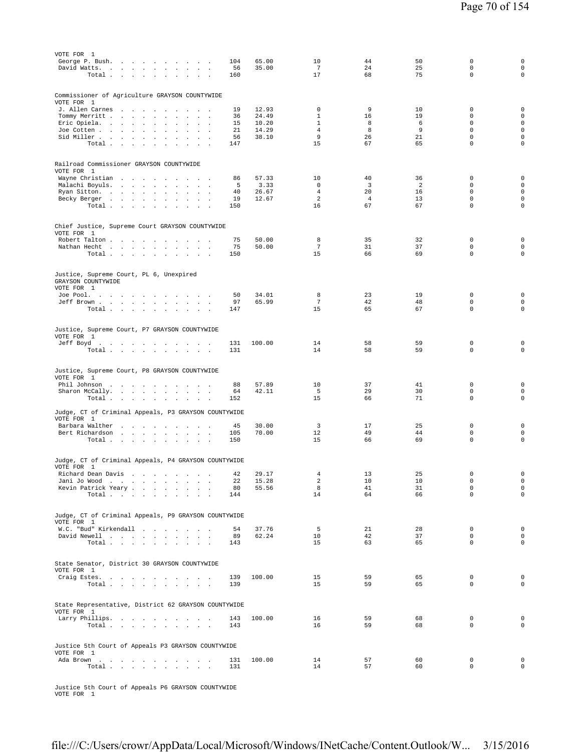| VOTE FOR 1                                                                    |            |                |                             |                      |          |                            |                                            |
|-------------------------------------------------------------------------------|------------|----------------|-----------------------------|----------------------|----------|----------------------------|--------------------------------------------|
| George P. Bush.<br>David Watts.                                               | 104<br>56  | 65.00<br>35.00 | 10<br>7                     | 44<br>24             | 50<br>25 | 0<br>$\mathbf 0$           | 0<br>$\mathsf{O}\xspace$                   |
| Total<br>$\sim 10^{-1}$<br>$\sim$                                             | 160        |                | 17                          | 68                   | 75       | $\mathbf 0$                | $\mathsf{O}\xspace$                        |
|                                                                               |            |                |                             |                      |          |                            |                                            |
| Commissioner of Agriculture GRAYSON COUNTYWIDE                                |            |                |                             |                      |          |                            |                                            |
| VOTE FOR 1                                                                    |            |                |                             |                      |          |                            |                                            |
| J. Allen Carnes<br>Tommy Merritt                                              | 19<br>36   | 12.93<br>24.49 | $\mathbf 0$<br>$\mathbf{1}$ | 9<br>16              | 10<br>19 | 0<br>$\Omega$              | 0<br>$\mathsf{O}\xspace$                   |
| Eric Opiela.<br>$\sim$<br>$\sim$<br>$\sim$<br>$\sim$                          | 15         | 10.20          | $\mathbf{1}$                | 8                    | 6        | $\mathbf 0$                | $\mathsf{O}\xspace$                        |
| Joe Cotten<br>$\cdot$<br>$\sim$                                               | 21         | 14.29          | $\overline{4}$              | 8                    | 9        | $\Omega$                   | $\mathsf{O}\xspace$                        |
| Sid Miller<br>Total                                                           | 56<br>147  | 38.10          | 9<br>15                     | 26<br>67             | 21<br>65 | $\mathbf 0$<br>$\mathbf 0$ | $\mathsf{O}\xspace$<br>$\mathbf 0$         |
|                                                                               |            |                |                             |                      |          |                            |                                            |
|                                                                               |            |                |                             |                      |          |                            |                                            |
| Railroad Commissioner GRAYSON COUNTYWIDE<br>VOTE FOR 1                        |            |                |                             |                      |          |                            |                                            |
| Wayne Christian                                                               | 86         | 57.33          | 10                          | 40                   | 36       | $\mathbf 0$                | $\mathbf 0$                                |
| Malachi Boyuls.                                                               | 5          | 3.33           | $^{\circ}$                  | 3                    | 2        | $\mathbf 0$                | $\mathbf 0$                                |
| Ryan Sitton.<br>$\sim$<br>$\sim$<br>Becky Berger                              | 40<br>19   | 26.67<br>12.67 | $\overline{4}$<br>2         | 20<br>$\overline{4}$ | 16<br>13 | $\mathbf 0$<br>$\mathbf 0$ | $\mathsf{O}\xspace$<br>$\mathsf{O}\xspace$ |
| Total<br>$\sim$<br>$\sim$<br>$\sim 10^{-1}$                                   | 150        |                | 16                          | 67                   | 67       | $\mathbf 0$                | 0                                          |
|                                                                               |            |                |                             |                      |          |                            |                                            |
| Chief Justice, Supreme Court GRAYSON COUNTYWIDE                               |            |                |                             |                      |          |                            |                                            |
| VOTE FOR 1                                                                    |            |                |                             |                      |          |                            |                                            |
| Robert Talton                                                                 | 75         | 50.00          | 8                           | 35                   | 32       | $\mathbf 0$                | $\mathbf 0$                                |
| Nathan Hecht<br>$\mathbf{a} = \mathbf{a} \cdot \mathbf{a}$<br>$\sim$<br>Total | 75<br>150  | 50.00          | $\tau$<br>15                | 31<br>66             | 37<br>69 | $\Omega$<br>$\mathbf 0$    | $\mathbf 0$<br>0                           |
|                                                                               |            |                |                             |                      |          |                            |                                            |
|                                                                               |            |                |                             |                      |          |                            |                                            |
| Justice, Supreme Court, PL 6, Unexpired<br>GRAYSON COUNTYWIDE                 |            |                |                             |                      |          |                            |                                            |
| VOTE FOR 1                                                                    |            |                |                             |                      |          |                            |                                            |
| Joe Pool.                                                                     | 50         | 34.01          | 8                           | 23                   | 19       | $\mathbf 0$                | $\mathbf 0$                                |
| Jeff Brown<br>Total                                                           | 97<br>147  | 65.99          | $7\phantom{.0}$<br>15       | 42<br>65             | 48<br>67 | $\mathbf 0$<br>$\mathbf 0$ | $\mathbf 0$<br>$\mathsf{O}\xspace$         |
|                                                                               |            |                |                             |                      |          |                            |                                            |
| Justice, Supreme Court, P7 GRAYSON COUNTYWIDE                                 |            |                |                             |                      |          |                            |                                            |
| VOTE FOR 1                                                                    |            |                |                             |                      |          |                            |                                            |
| Jeff Boyd.                                                                    | 131        | 100.00         | 14                          | 58                   | 59       | $\mathbf 0$                | 0                                          |
| Total                                                                         | 131        |                | 14                          | 58                   | 59       | $\mathbf 0$                | $\mathbf 0$                                |
|                                                                               |            |                |                             |                      |          |                            |                                            |
| Justice, Supreme Court, P8 GRAYSON COUNTYWIDE                                 |            |                |                             |                      |          |                            |                                            |
| VOTE FOR 1<br>Phil Johnson<br>$\sim$                                          | 88         | 57.89          | 10                          | 37                   | 41       | $\mathbf 0$                | 0                                          |
| Sharon McCally.<br>$\mathbf{r}$ $\mathbf{r}$<br>$\sim$ $\sim$                 | 64         | 42.11          | 5                           | 29                   | 30       | $\mathbf 0$                | $\mathsf{O}\xspace$                        |
| Total                                                                         | 152        |                | 15                          | 66                   | 71       | $\mathbf 0$                | $\mathbf 0$                                |
| Judge, CT of Criminal Appeals, P3 GRAYSON COUNTYWIDE                          |            |                |                             |                      |          |                            |                                            |
| VOTE FOR 1                                                                    |            |                |                             |                      |          |                            |                                            |
| Barbara Walther<br>$\sim$                                                     | 45         | 30.00          | 3<br>12                     | 17                   | 25       | $\mathbf 0$<br>0           | 0<br>$\mathbf 0$                           |
| Bert Richardson<br>Total $\cdots$ $\cdots$ $\cdots$ $\cdots$                  | 105<br>150 | 70.00          | 15                          | 49<br>66             | 44<br>69 | $\mathbf 0$                | $\mathsf{O}\xspace$                        |
|                                                                               |            |                |                             |                      |          |                            |                                            |
| Judge, CT of Criminal Appeals, P4 GRAYSON COUNTYWIDE                          |            |                |                             |                      |          |                            |                                            |
| VOTE FOR 1                                                                    |            |                |                             |                      |          |                            |                                            |
| Richard Dean Davis                                                            | 42         | 29.17          | 4                           | 13                   | 25       | $\mathbf 0$                | $\mathbf 0$                                |
| Jani Jo Wood<br>Kevin Patrick Yeary                                           | 22<br>80   | 15.28<br>55.56 | 2<br>8                      | 10<br>41             | 10<br>31 | $\mathbf 0$<br>$\mathsf 0$ | $\mathbf 0$<br>$\circ$                     |
| Total                                                                         | 144        |                | 14                          | 64                   | 66       | $\Omega$                   | $\Omega$                                   |
|                                                                               |            |                |                             |                      |          |                            |                                            |
| Judge, CT of Criminal Appeals, P9 GRAYSON COUNTYWIDE                          |            |                |                             |                      |          |                            |                                            |
| VOTE FOR 1                                                                    |            |                |                             |                      |          |                            |                                            |
| W.C. "Bud" Kirkendall                                                         | 54         | 37.76          | 5                           | 21                   | 28       | $\mathbf 0$                | $\circ$                                    |
| David Newell<br>Total $\cdots$ $\cdots$ $\cdots$                              | 89<br>143  | 62.24          | 10<br>15                    | 42<br>63             | 37<br>65 | $\mathbf 0$<br>0           | 0<br>0                                     |
|                                                                               |            |                |                             |                      |          |                            |                                            |
| State Senator, District 30 GRAYSON COUNTYWIDE                                 |            |                |                             |                      |          |                            |                                            |
| VOTE FOR 1                                                                    |            |                |                             |                      |          |                            |                                            |
| Craig Estes.                                                                  | 139        | 100.00         | 15                          | 59                   | 65       | $\mathbf 0$                | $\mathbf 0$                                |
| Total<br>$\sim$<br>$\sim$                                                     | 139        |                | 15                          | 59                   | 65       | 0                          | $\mathbf 0$                                |
|                                                                               |            |                |                             |                      |          |                            |                                            |
| State Representative, District 62 GRAYSON COUNTYWIDE                          |            |                |                             |                      |          |                            |                                            |
| VOTE FOR 1                                                                    |            |                |                             |                      |          |                            |                                            |
|                                                                               |            |                |                             |                      |          |                            |                                            |
| Larry Phillips.<br>Total                                                      | 143<br>143 | 100.00         | 16<br>16                    | 59<br>59             | 68<br>68 | $\mathbf 0$<br>0           | 0<br>$\mathbf 0$                           |
|                                                                               |            |                |                             |                      |          |                            |                                            |
| Justice 5th Court of Appeals P3 GRAYSON COUNTYWIDE                            |            |                |                             |                      |          |                            |                                            |
| VOTE FOR 1                                                                    |            |                |                             |                      |          |                            |                                            |
| Ada Brown                                                                     | 131        | 100.00         | 14                          | 57                   | 60       | $\mathbf 0$                | $\mathbf 0$                                |
| Total                                                                         | 131        |                | 14                          | 57                   | 60       | 0                          | $\mathbf 0$                                |

Justice 5th Court of Appeals P6 GRAYSON COUNTYWIDE VOTE FOR 1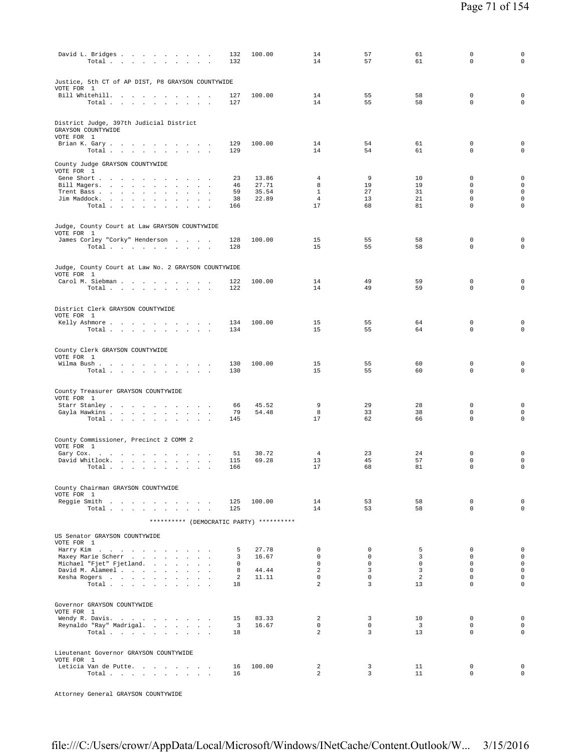| David L. Bridges<br>Total<br>$\overline{\phantom{a}}$                                                                                     | 132<br>132                    | 100.00         | 14<br>14                         | 57<br>57                      | 61<br>61                      | 0<br>$\mathbf 0$           | $\mathsf 0$<br>$\mathbf 0$                 |
|-------------------------------------------------------------------------------------------------------------------------------------------|-------------------------------|----------------|----------------------------------|-------------------------------|-------------------------------|----------------------------|--------------------------------------------|
| Justice, 5th CT of AP DIST, P8 GRAYSON COUNTYWIDE<br>VOTE FOR 1                                                                           |                               |                |                                  |                               |                               |                            |                                            |
| Bill Whitehill.<br>the contract of the contract of the con-<br>Total<br>and a strategic and                                               | 127<br>127                    | 100.00         | 14<br>14                         | 55<br>55                      | 58<br>58                      | 0<br>0                     | $\mathsf 0$<br>$\mathbf 0$                 |
| District Judge, 397th Judicial District<br>GRAYSON COUNTYWIDE<br>VOTE FOR 1                                                               |                               |                |                                  |                               |                               |                            |                                            |
| Brian K. Gary.<br>$\sim$<br>Total $\cdots$ $\cdots$ $\cdots$<br>$\sim$<br>$\sim$                                                          | 129<br>129                    | 100.00         | 14<br>14                         | 54<br>54                      | 61<br>61                      | $\mathbf 0$<br>0           | $\mathbf 0$<br>$\mathsf 0$                 |
| County Judge GRAYSON COUNTYWIDE<br>VOTE FOR 1<br>Gene Short                                                                               | 23                            | 13.86          | 4                                | 9                             | 10                            | $\mathbf 0$                | $\mathsf{O}\xspace$                        |
| Bill Magers.<br><b>Carl Carl</b><br>$\sim$<br>$\cdot$                                                                                     | 46                            | 27.71          | 8                                | 19                            | 19                            | 0                          | $\mathsf{O}\xspace$                        |
| Trent Bass<br>Jim Maddock.<br>$\overline{\phantom{a}}$<br>$\sim$                                                                          | 59<br>38                      | 35.54<br>22.89 | $\mathbf{1}$<br>$\overline{4}$   | 27<br>13                      | 31<br>21                      | $\mathbf 0$<br>0           | $\mathsf{O}\xspace$<br>$\mathsf{O}\xspace$ |
| $\sim$<br>$\sim$<br>Total<br>$\sim$<br>$\sim$<br>$\sim$                                                                                   | 166                           |                | 17                               | 68                            | 81                            | 0                          | $\mathbf 0$                                |
| Judge, County Court at Law GRAYSON COUNTYWIDE<br>VOTE FOR 1                                                                               |                               |                |                                  |                               |                               |                            |                                            |
| James Corley "Corky" Henderson<br>Total                                                                                                   | 128<br>128                    | 100.00         | 15<br>15                         | 55<br>55                      | 58<br>58                      | $\mathbf 0$<br>0           | $\mathbf 0$<br>$\mathsf 0$                 |
|                                                                                                                                           |                               |                |                                  |                               |                               |                            |                                            |
| Judge, County Court at Law No. 2 GRAYSON COUNTYWIDE<br>VOTE FOR 1                                                                         |                               |                |                                  |                               |                               |                            |                                            |
| Carol M. Siebman<br>$\overline{\phantom{a}}$<br>Total<br>$\sim 10^{-11}$<br>$\sim$<br>$\ddot{\phantom{a}}$<br>$\sim$ $\sim$               | 122<br>122                    | 100.00         | 14<br>14                         | 49<br>49                      | 59<br>59                      | 0<br>0                     | $\mathsf 0$<br>$\mathsf 0$                 |
|                                                                                                                                           |                               |                |                                  |                               |                               |                            |                                            |
| District Clerk GRAYSON COUNTYWIDE<br>VOTE FOR 1                                                                                           |                               |                |                                  |                               |                               |                            |                                            |
| Kelly Ashmore<br>Total $\cdots$ $\cdots$ $\cdots$ $\cdots$                                                                                | 134<br>134                    | 100.00         | 15<br>15                         | 55<br>55                      | 64<br>64                      | 0<br>0                     | $\mathsf 0$<br>$\mathbf 0$                 |
| County Clerk GRAYSON COUNTYWIDE                                                                                                           |                               |                |                                  |                               |                               |                            |                                            |
| VOTE FOR 1<br>Wilma Bush.                                                                                                                 | 130                           | 100.00         | 15                               | 55                            | 60                            | $\mathbf 0$                | $\mathsf 0$                                |
| Total $\cdots$ $\cdots$ $\cdots$                                                                                                          | 130                           |                | 15                               | 55                            | 60                            | 0                          | $\mathbf 0$                                |
| County Treasurer GRAYSON COUNTYWIDE                                                                                                       |                               |                |                                  |                               |                               |                            |                                            |
| VOTE FOR 1<br>Starr Stanley                                                                                                               | 66                            | 45.52          | 9                                | 29                            | 28                            | 0                          | $\mathbf 0$                                |
| Gayla Hawkins<br>Total<br>$\sim$ $\sim$ $\sim$ $\sim$                                                                                     | 79<br>145                     | 54.48          | 8<br>17                          | 33<br>62                      | 38<br>66                      | 0<br>0                     | $\mathbf 0$<br>$\mathbf 0$                 |
|                                                                                                                                           |                               |                |                                  |                               |                               |                            |                                            |
| County Commissioner, Precinct 2 COMM 2<br>VOTE FOR 1                                                                                      |                               |                |                                  |                               |                               |                            |                                            |
| Gary Cox. $\ldots$ $\ldots$ $\ldots$ $\ldots$ $\ldots$<br>$\sim$<br>$\sim$<br>David Whitlock.<br>the contract of the contract of the con- | 51<br>115                     | 30.72<br>69.28 | $\overline{4}$<br>13             | 23<br>45                      | 24<br>57                      | 0<br>0                     | $\mathsf 0$<br>$\mathsf{O}\xspace$         |
| Total<br>$\sim$<br>$\sim$<br>$\ddot{\phantom{a}}$<br>$\cdot$                                                                              | 166                           |                | 17                               | 68                            | 81                            | 0                          | $\mathsf{O}\xspace$                        |
| County Chairman GRAYSON COUNTYWIDE                                                                                                        |                               |                |                                  |                               |                               |                            |                                            |
| VOTE FOR 1<br>Reggie Smith                                                                                                                | 125                           | 100.00         | 14                               | 53                            | 58                            | 0                          | $\mathsf{O}\xspace$                        |
| Total                                                                                                                                     | 125                           |                | 14                               | 53                            | 58                            | $\Omega$                   | $\mathbf 0$                                |
| ********** (DEMOCRATIC PARTY) **********                                                                                                  |                               |                |                                  |                               |                               |                            |                                            |
| US Senator GRAYSON COUNTYWIDE<br>VOTE FOR 1                                                                                               |                               |                |                                  |                               |                               |                            |                                            |
| Harry Kim<br>Maxey Marie Scherr                                                                                                           | 5<br>3                        | 27.78<br>16.67 | 0<br>$\Omega$                    | 0<br>$\Omega$                 | 5<br>3                        | 0<br>$\Omega$              | $\mathsf{O}\xspace$<br>$\circ$             |
| Michael "Fjet" Fjetland.                                                                                                                  | $^{\circ}$                    |                | $\mathbf{0}$                     | $\circ$                       | $\mathbf 0$                   | $\mathbf 0$                | $\mathsf 0$                                |
| David M. Alameel                                                                                                                          | 8                             | 44.44          | $\overline{a}$                   | $\overline{3}$                | $\overline{3}$                | $\mathbf 0$                | $\mathbf 0$                                |
| Kesha Rogers<br>Total<br>$\sim$                                                                                                           | 2<br>18                       | 11.11          | $\mathbf 0$<br>$\overline{a}$    | $\mathbf 0$<br>$\overline{3}$ | 2<br>13                       | $\mathbf 0$<br>$\mathbf 0$ | $\mathbf 0$<br>$\mathsf 0$                 |
| Governor GRAYSON COUNTYWIDE                                                                                                               |                               |                |                                  |                               |                               |                            |                                            |
| VOTE FOR 1                                                                                                                                |                               |                |                                  |                               |                               | $\mathbf 0$                | $\mathsf{O}\xspace$                        |
| Wendy R. Davis.<br>Reynaldo "Ray" Madrigal.                                                                                               | 15<br>$\overline{\mathbf{3}}$ | 83.33<br>16.67 | $\overline{a}$<br>$\overline{0}$ | $\overline{3}$<br>$\circ$     | 10<br>$\overline{\mathbf{3}}$ | $\mathbf 0$                | $\mathbf{0}$                               |
| Total                                                                                                                                     | 18                            |                | $\overline{2}$                   | $\overline{3}$                | 13                            | $\mathbf 0$                | $\mathbf 0$                                |
| Lieutenant Governor GRAYSON COUNTYWIDE                                                                                                    |                               |                |                                  |                               |                               |                            |                                            |
| VOTE FOR 1<br>Leticia Van de Putte.                                                                                                       | 16                            | 100.00         | $\overline{2}$                   | 3                             | 11                            | 0                          | $\mathbf 0$                                |
| Total                                                                                                                                     | 16                            |                | $\overline{a}$                   | $\overline{\mathbf{3}}$       | 11                            | $\mathbf 0$                | $\mathsf{O}\xspace$                        |

Attorney General GRAYSON COUNTYWIDE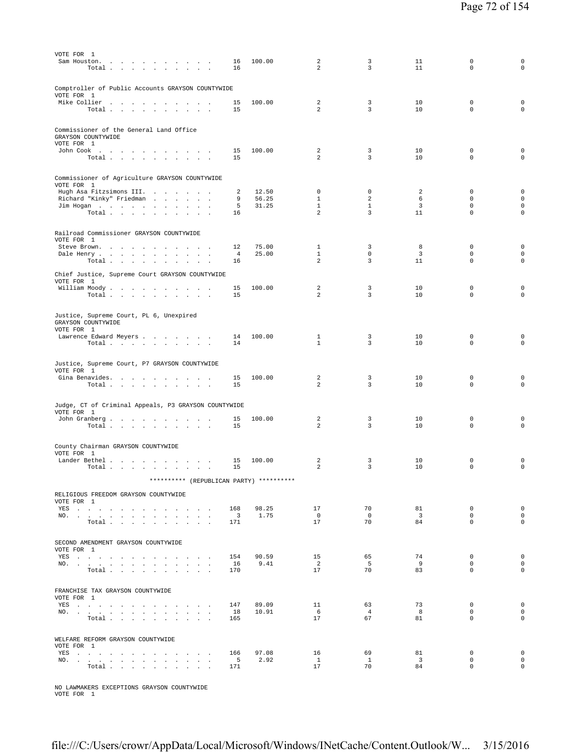| VOTE FOR 1<br>Sam Houston.       | $\mathcal{A}$ is a set of the set of the set of the set of the $\mathcal{A}$<br>Total $\cdots$ $\cdots$ $\cdots$                                                                                                              |                  |                          | 16<br>16                        | 100.00                                   | 2<br>2                      | 3<br>3               | 11<br>11                      | $\Omega$<br>$\mathbf 0$    | 0<br>$\mathbf 0$                   |
|----------------------------------|-------------------------------------------------------------------------------------------------------------------------------------------------------------------------------------------------------------------------------|------------------|--------------------------|---------------------------------|------------------------------------------|-----------------------------|----------------------|-------------------------------|----------------------------|------------------------------------|
| VOTE FOR 1                       | Comptroller of Public Accounts GRAYSON COUNTYWIDE<br>Mike Collier                                                                                                                                                             |                  | $\sim$                   | 15                              | 100.00                                   | $\overline{a}$              | 3                    | 10                            | $\mathbf 0$                | $\mathbf 0$                        |
|                                  | Total                                                                                                                                                                                                                         |                  |                          | 15                              |                                          | 2                           | $\overline{3}$       | 10                            | $\mathbf 0$                | $\mathsf 0$                        |
| GRAYSON COUNTYWIDE<br>VOTE FOR 1 | Commissioner of the General Land Office                                                                                                                                                                                       |                  |                          |                                 |                                          |                             |                      |                               |                            |                                    |
|                                  | John Cook $\qquad \qquad . \qquad . \qquad . \qquad . \qquad . \qquad . \qquad . \qquad .$<br>Total                                                                                                                           |                  |                          | 15<br>15                        | 100.00                                   | 2<br>2                      | 3<br>$\overline{3}$  | 10<br>10                      | $\mathbf 0$<br>$\Omega$    | 0<br>$\mathsf 0$                   |
| VOTE FOR 1                       | Commissioner of Agriculture GRAYSON COUNTYWIDE                                                                                                                                                                                |                  |                          |                                 |                                          |                             |                      |                               |                            |                                    |
|                                  | Hugh Asa Fitzsimons III.                                                                                                                                                                                                      |                  |                          | 2                               | 12.50<br>56.25                           | $\mathbf 0$<br>$\mathbf{1}$ | $\mathbf 0$<br>2     | 2                             | $\mathbf 0$<br>$\mathbf 0$ | $\mathsf 0$<br>$\mathsf 0$         |
|                                  | Richard "Kinky" Friedman<br>Jim Hogan                                                                                                                                                                                         |                  |                          | 9<br>5                          | 31.25                                    | $\mathbf{1}$                | $\mathbf{1}$         | 6<br>3                        | $\mathbf 0$                | $\mathsf 0$                        |
|                                  | Total                                                                                                                                                                                                                         |                  |                          | 16                              |                                          | $\overline{a}$              | $\overline{3}$       | 11                            | $\mathbf 0$                | $\mathsf 0$                        |
| VOTE FOR 1                       | Railroad Commissioner GRAYSON COUNTYWIDE                                                                                                                                                                                      |                  |                          |                                 |                                          |                             |                      |                               |                            |                                    |
|                                  | Steve Brown.                                                                                                                                                                                                                  |                  | $\sim$                   | 12                              | 75.00                                    | $\mathbf{1}$                | 3                    | 8                             | $\mathbf 0$                | $\mathbf 0$                        |
|                                  | Dale Henry                                                                                                                                                                                                                    |                  | $\overline{\phantom{a}}$ | $\overline{4}$<br>16            | 25.00                                    | $\mathbf{1}$<br>2           | $\mathbf 0$<br>3     | $\overline{3}$<br>11          | $\Omega$<br>$\mathbf 0$    | $\mathbf 0$<br>$\mathsf 0$         |
|                                  | Total<br>Chief Justice, Supreme Court GRAYSON COUNTYWIDE                                                                                                                                                                      | $\sim$<br>$\sim$ |                          |                                 |                                          |                             |                      |                               |                            |                                    |
| VOTE FOR 1                       |                                                                                                                                                                                                                               |                  |                          |                                 |                                          |                             |                      |                               |                            |                                    |
|                                  | William Moody<br>Total                                                                                                                                                                                                        |                  |                          | 15<br>15                        | 100.00                                   | 2<br>2                      | 3<br>3               | 10<br>10                      | $\mathbf 0$<br>$\mathbf 0$ | 0<br>$\mathbf 0$                   |
| GRAYSON COUNTYWIDE<br>VOTE FOR 1 | Justice, Supreme Court, PL 6, Unexpired                                                                                                                                                                                       |                  |                          |                                 |                                          |                             |                      |                               |                            |                                    |
|                                  | Lawrence Edward Meyers                                                                                                                                                                                                        |                  |                          | 14                              | 100.00                                   | 1                           | 3                    | 10                            | $\mathbf 0$                | $\mathsf 0$                        |
|                                  | $\texttt{Total}~~.~~.~~.~~.~~.~~.~~.~~.~~.~~.$                                                                                                                                                                                |                  |                          | 14                              |                                          | $\mathbf{1}$                | 3                    | 10                            | $\mathbf 0$                | $\mathbf 0$                        |
| VOTE FOR 1                       | Justice, Supreme Court, P7 GRAYSON COUNTYWIDE                                                                                                                                                                                 |                  |                          |                                 |                                          |                             |                      |                               |                            |                                    |
|                                  | Gina Benavides.<br>Total                                                                                                                                                                                                      |                  |                          | 15<br>15                        | 100.00                                   | 2<br>2                      | 3<br>3               | 10<br>10                      | $\mathbb O$<br>$\mathbf 0$ | 0<br>$\mathbf 0$                   |
|                                  | Judge, CT of Criminal Appeals, P3 GRAYSON COUNTYWIDE                                                                                                                                                                          |                  |                          |                                 |                                          |                             |                      |                               |                            |                                    |
| VOTE FOR 1                       |                                                                                                                                                                                                                               |                  |                          |                                 |                                          |                             |                      |                               |                            |                                    |
|                                  | John Granberg<br>Total                                                                                                                                                                                                        |                  |                          | 15<br>15                        | 100.00                                   | 2<br>2                      | 3<br>3               | 10<br>10                      | $\mathbf 0$<br>$\mathbf 0$ | 0<br>$\mathsf 0$                   |
| VOTE FOR 1                       | County Chairman GRAYSON COUNTYWIDE                                                                                                                                                                                            |                  |                          |                                 |                                          |                             |                      |                               |                            |                                    |
|                                  | Lander Bethel<br>Total                                                                                                                                                                                                        | $\sim$           |                          | 15<br>15                        | 100.00                                   | 2<br>2                      | 3<br>3               | 10<br>10                      | 0<br>$\mathbf 0$           | 0<br>$\mathbf 0$                   |
|                                  |                                                                                                                                                                                                                               |                  |                          |                                 | ********** (REPUBLICAN PARTY) ********** |                             |                      |                               |                            |                                    |
| VOTE FOR 1                       | RELIGIOUS FREEDOM GRAYSON COUNTYWIDE                                                                                                                                                                                          |                  |                          |                                 |                                          |                             |                      |                               |                            |                                    |
|                                  | YES and a contract the contract of the set of the set of the set of the set of the set of the set of the set of the set of the set of the set of the set of the set of the set of the set of the set of the set of the set of |                  |                          | 168                             | 98.25                                    | 17                          | 70                   | 81                            | $\mathbf 0$                | $\mathsf 0$                        |
|                                  | NO.<br>Total $\cdots$ $\cdots$ $\cdots$                                                                                                                                                                                       |                  |                          | $\overline{\phantom{a}}$<br>171 | 1.75                                     | $\overline{0}$<br>17        | $\overline{0}$<br>70 | $\overline{\mathbf{3}}$<br>84 | $\mathbf 0$<br>$\Omega$    | $\mathbf 0$<br>$\mathbf 0$         |
|                                  | SECOND AMENDMENT GRAYSON COUNTYWIDE                                                                                                                                                                                           |                  |                          |                                 |                                          |                             |                      |                               |                            |                                    |
| VOTE FOR 1                       |                                                                                                                                                                                                                               |                  |                          |                                 | 90.59                                    |                             |                      |                               |                            | $\mathsf 0$                        |
|                                  | YES<br>NO.                                                                                                                                                                                                                    |                  |                          | 154<br>16                       | 9.41                                     | 15<br>$\overline{a}$        | 65<br>5              | 74<br>9                       | 0<br>$\mathbf 0$           | $\mathsf 0$                        |
|                                  | Total                                                                                                                                                                                                                         |                  |                          | 170                             |                                          | 17                          | 70                   | 83                            | $\Omega$                   | $\mathbf 0$                        |
| VOTE FOR 1                       | FRANCHISE TAX GRAYSON COUNTYWIDE                                                                                                                                                                                              |                  |                          |                                 |                                          |                             |                      |                               |                            |                                    |
|                                  | YES                                                                                                                                                                                                                           |                  |                          | 147                             | 89.09                                    | 11                          | 63                   | 73                            | 0                          | $\mathsf 0$                        |
|                                  | NO.<br>Total                                                                                                                                                                                                                  |                  |                          | 18<br>165                       | 10.91                                    | 6<br>17                     | $\overline{4}$<br>67 | - 8<br>81                     | $\mathbf 0$<br>$\Omega$    | $\mathsf{O}\xspace$<br>$\mathbf 0$ |
|                                  |                                                                                                                                                                                                                               |                  |                          |                                 |                                          |                             |                      |                               |                            |                                    |
| VOTE FOR 1                       | WELFARE REFORM GRAYSON COUNTYWIDE                                                                                                                                                                                             |                  |                          |                                 |                                          |                             |                      |                               |                            |                                    |
|                                  | YES                                                                                                                                                                                                                           |                  |                          | 166                             | 97.08                                    | 16                          | 69                   | 81                            | $\mathbf 0$                | $\mathsf 0$                        |
|                                  | NO.<br>Total                                                                                                                                                                                                                  |                  |                          | $5^{\circ}$<br>171              | 2.92                                     | $\mathbf{1}$<br>17          | $\mathbf{1}$<br>70   | $\overline{\mathbf{3}}$<br>84 | $\mathbf 0$<br>$\mathbf 0$ | 0<br>$\circ$                       |
|                                  |                                                                                                                                                                                                                               |                  |                          |                                 |                                          |                             |                      |                               |                            |                                    |

NO LAWMAKERS EXCEPTIONS GRAYSON COUNTYWIDE VOTE FOR 1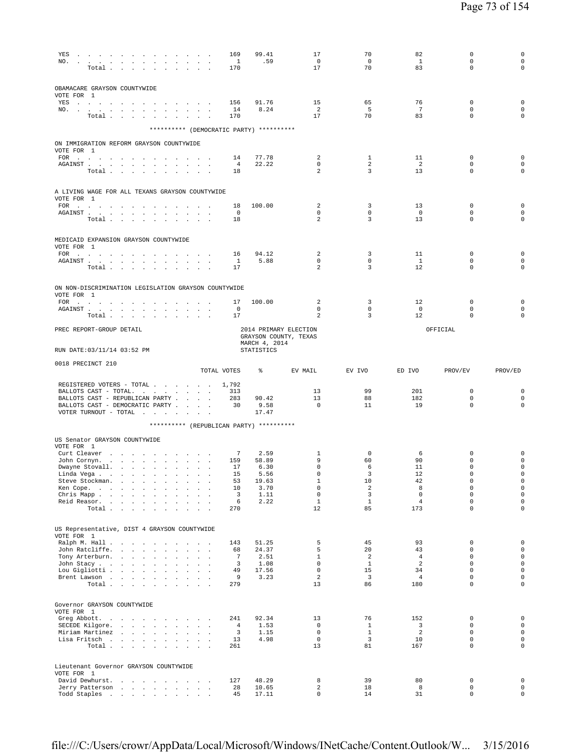| YES                                                                                                                                                                                                                                                                                             |                                          |                  |                                                                                                                                                |        |                                                            |                                                       |                                   |                                       | 169                             | 99.41                                    | 17                         | 70                            | 82                    | $\mathbf 0$                | $\mathsf 0$<br>$\mathsf{O}\xspace$         |
|-------------------------------------------------------------------------------------------------------------------------------------------------------------------------------------------------------------------------------------------------------------------------------------------------|------------------------------------------|------------------|------------------------------------------------------------------------------------------------------------------------------------------------|--------|------------------------------------------------------------|-------------------------------------------------------|-----------------------------------|---------------------------------------|---------------------------------|------------------------------------------|----------------------------|-------------------------------|-----------------------|----------------------------|--------------------------------------------|
| NO.                                                                                                                                                                                                                                                                                             | Total                                    |                  |                                                                                                                                                |        |                                                            | $\sim$ $\sim$ $\sim$ $\sim$<br>$\sim$ $\sim$ $\sim$   |                                   |                                       | $\overline{\phantom{0}}$<br>170 | .59                                      | $\mathbf 0$<br>17          | 0<br>70                       | <sup>1</sup><br>83    | $\mathbf 0$<br>$\mathbf 0$ | $\mathbf 0$                                |
|                                                                                                                                                                                                                                                                                                 |                                          |                  |                                                                                                                                                |        |                                                            |                                                       |                                   |                                       |                                 |                                          |                            |                               |                       |                            |                                            |
| OBAMACARE GRAYSON COUNTYWIDE                                                                                                                                                                                                                                                                    |                                          |                  |                                                                                                                                                |        |                                                            |                                                       |                                   |                                       |                                 |                                          |                            |                               |                       |                            |                                            |
| VOTE FOR 1<br>YES and a contract the contract of the set of the set of the set of the set of the set of the set of the set of the set of the set of the set of the set of the set of the set of the set of the set of the set of the set of                                                     |                                          |                  |                                                                                                                                                |        |                                                            |                                                       |                                   |                                       | 156                             | 91.76                                    | 15                         | 65                            | 76                    | $^{\circ}$                 | $\mathbf 0$                                |
| NO.                                                                                                                                                                                                                                                                                             | the contract of the contract of the con- |                  |                                                                                                                                                |        |                                                            | $\sim$                                                | $\mathbf{r}$                      | $\cdot$                               | 14                              | 8.24                                     | 2                          | 5                             | $7\overline{ }$       | $\mathbf 0$                | $\mathbf 0$                                |
|                                                                                                                                                                                                                                                                                                 | Total                                    |                  |                                                                                                                                                |        |                                                            |                                                       |                                   |                                       | 170                             |                                          | 17                         | 70                            | 83                    | $\mathbf 0$                | 0                                          |
|                                                                                                                                                                                                                                                                                                 |                                          |                  |                                                                                                                                                |        |                                                            |                                                       |                                   |                                       |                                 | ********** (DEMOCRATIC PARTY) ********** |                            |                               |                       |                            |                                            |
| ON IMMIGRATION REFORM GRAYSON COUNTYWIDE                                                                                                                                                                                                                                                        |                                          |                  |                                                                                                                                                |        |                                                            |                                                       |                                   |                                       |                                 |                                          |                            |                               |                       |                            |                                            |
| VOTE FOR 1                                                                                                                                                                                                                                                                                      |                                          |                  |                                                                                                                                                |        |                                                            |                                                       |                                   |                                       |                                 |                                          |                            |                               |                       |                            |                                            |
| FOR $\cdots$ $\cdots$ $\cdots$<br>${\tt AGAINST} \hspace{0.1in} . \hspace{0.1in} . \hspace{0.1in} . \hspace{0.1in} . \hspace{0.1in} . \hspace{0.1in} . \hspace{0.1in} . \hspace{0.1in} . \hspace{0.1in} . \hspace{0.1in} . \hspace{0.1in} . \hspace{0.1in} . \hspace{0.1in} . \hspace{0.1in} .$ |                                          |                  |                                                                                                                                                |        | the contract of the contract                               |                                                       |                                   |                                       | 14<br>$\overline{4}$            | 77.78<br>22.22                           | 2<br>$\mathbf{0}$          | $\mathbf{1}$<br>2             | 11<br>$\overline{a}$  | 0<br>$\mathbf 0$           | $\mathbf 0$<br>$\mathbf 0$                 |
|                                                                                                                                                                                                                                                                                                 | Total                                    |                  |                                                                                                                                                |        |                                                            |                                                       |                                   |                                       | 18                              |                                          | 2                          | 3                             | 13                    | $\mathbf 0$                | $\mathbf 0$                                |
|                                                                                                                                                                                                                                                                                                 |                                          |                  |                                                                                                                                                |        |                                                            |                                                       |                                   |                                       |                                 |                                          |                            |                               |                       |                            |                                            |
| A LIVING WAGE FOR ALL TEXANS GRAYSON COUNTYWIDE                                                                                                                                                                                                                                                 |                                          |                  |                                                                                                                                                |        |                                                            |                                                       |                                   |                                       |                                 |                                          |                            |                               |                       |                            |                                            |
| VOTE FOR 1<br>FOR $\cdots$ $\cdots$ $\cdots$ $\cdots$ $\cdots$                                                                                                                                                                                                                                  |                                          |                  |                                                                                                                                                |        |                                                            |                                                       |                                   |                                       | 18                              | 100.00                                   | 2                          | 3                             | 13                    | 0                          | $\mathbf 0$                                |
| ${\tt AGAINST} \hspace{0.1in} . \hspace{0.1in} . \hspace{0.1in} . \hspace{0.1in} . \hspace{0.1in} . \hspace{0.1in} . \hspace{0.1in} . \hspace{0.1in} . \hspace{0.1in} .$                                                                                                                        |                                          |                  |                                                                                                                                                |        |                                                            |                                                       |                                   |                                       | $\mathbf 0$                     |                                          | $\mathbf 0$                | $\Omega$                      | $\overline{0}$        | $\Omega$                   | $\mathbf 0$                                |
|                                                                                                                                                                                                                                                                                                 | Total                                    |                  |                                                                                                                                                |        |                                                            |                                                       |                                   |                                       | 18                              |                                          | 2                          | 3                             | 13                    | 0                          | $\mathbf 0$                                |
|                                                                                                                                                                                                                                                                                                 |                                          |                  |                                                                                                                                                |        |                                                            |                                                       |                                   |                                       |                                 |                                          |                            |                               |                       |                            |                                            |
| MEDICAID EXPANSION GRAYSON COUNTYWIDE<br>VOTE FOR 1                                                                                                                                                                                                                                             |                                          |                  |                                                                                                                                                |        |                                                            |                                                       |                                   |                                       |                                 |                                          |                            |                               |                       |                            |                                            |
| FOR                                                                                                                                                                                                                                                                                             |                                          |                  | and the contract of the con-                                                                                                                   |        |                                                            |                                                       |                                   |                                       | 16                              | 94.12                                    | 2                          | 3                             | 11                    | 0                          | $\mathbf 0$                                |
| ${\tt AGAINST} \quad . \qquad . \qquad . \qquad . \qquad . \qquad . \qquad . \qquad . \qquad .$                                                                                                                                                                                                 | Total                                    |                  |                                                                                                                                                |        |                                                            | $\sim$                                                | $\sim$                            | $\ddot{\phantom{a}}$<br>$\sim$ $\sim$ | $\mathbf{1}$<br>17              | 5.88                                     | $\mathbf 0$<br>2           | $\circ$<br>3                  | $\mathbf{1}$<br>12    | 0<br>0                     | $\mathbf 0$<br>$\mathbf 0$                 |
|                                                                                                                                                                                                                                                                                                 |                                          |                  |                                                                                                                                                |        |                                                            |                                                       |                                   |                                       |                                 |                                          |                            |                               |                       |                            |                                            |
| ON NON-DISCRIMINATION LEGISLATION GRAYSON COUNTYWIDE                                                                                                                                                                                                                                            |                                          |                  |                                                                                                                                                |        |                                                            |                                                       |                                   |                                       |                                 |                                          |                            |                               |                       |                            |                                            |
| VOTE FOR 1                                                                                                                                                                                                                                                                                      |                                          |                  |                                                                                                                                                |        |                                                            |                                                       |                                   |                                       |                                 |                                          |                            |                               |                       |                            |                                            |
| $FOR$                                                                                                                                                                                                                                                                                           |                                          |                  |                                                                                                                                                |        | the contract of the contract of                            |                                                       |                                   |                                       | 17<br>$\overline{\phantom{0}}$  | 100.00                                   | 2<br>$^{\circ}$            | 3<br>$\circ$                  | 12<br>$\overline{0}$  | $^{\circ}$<br>0            | $\mathbf 0$<br>$\mathbf 0$                 |
|                                                                                                                                                                                                                                                                                                 | Total                                    |                  |                                                                                                                                                |        |                                                            |                                                       |                                   |                                       | 17                              |                                          | 2                          | 3                             | 12                    | 0                          | $\mathbf 0$                                |
| PREC REPORT-GROUP DETAIL                                                                                                                                                                                                                                                                        |                                          |                  |                                                                                                                                                |        |                                                            |                                                       |                                   |                                       |                                 |                                          | 2014 PRIMARY ELECTION      |                               |                       | OFFICIAL                   |                                            |
|                                                                                                                                                                                                                                                                                                 |                                          |                  |                                                                                                                                                |        |                                                            |                                                       |                                   |                                       |                                 |                                          | GRAYSON COUNTY, TEXAS      |                               |                       |                            |                                            |
| RUN DATE:03/11/14 03:52 PM                                                                                                                                                                                                                                                                      |                                          |                  |                                                                                                                                                |        |                                                            |                                                       |                                   |                                       |                                 | MARCH 4, 2014<br>STATISTICS              |                            |                               |                       |                            |                                            |
|                                                                                                                                                                                                                                                                                                 |                                          |                  |                                                                                                                                                |        |                                                            |                                                       |                                   |                                       |                                 |                                          |                            |                               |                       |                            |                                            |
| 0018 PRECINCT 210                                                                                                                                                                                                                                                                               |                                          |                  |                                                                                                                                                |        |                                                            |                                                       |                                   |                                       | TOTAL VOTES                     | နွ                                       | EV MAIL                    | EV IVO                        | ED IVO                | PROV/EV                    | PROV/ED                                    |
|                                                                                                                                                                                                                                                                                                 |                                          |                  |                                                                                                                                                |        |                                                            |                                                       |                                   |                                       |                                 |                                          |                            |                               |                       |                            |                                            |
| REGISTERED VOTERS - TOTAL<br>BALLOTS CAST - TOTAL.                                                                                                                                                                                                                                              |                                          |                  |                                                                                                                                                |        |                                                            |                                                       |                                   |                                       | 1,792<br>313                    |                                          | 13                         | 99                            | 201                   | 0                          | $\mathbf 0$                                |
| BALLOTS CAST - REPUBLICAN PARTY                                                                                                                                                                                                                                                                 |                                          |                  |                                                                                                                                                |        |                                                            |                                                       |                                   |                                       | 283                             | 90.42                                    | 13                         | 88                            | 182                   | $\mathbf 0$                | $\mathbf 0$                                |
| BALLOTS CAST - DEMOCRATIC PARTY<br>VOTER TURNOUT - TOTAL $\ldots$                                                                                                                                                                                                                               |                                          |                  |                                                                                                                                                |        |                                                            |                                                       | $\sim$                            |                                       | 30                              | 9.58<br>17.47                            | $\mathbf{0}$               | 11                            | 19                    | $\mathbf 0$                | $\mathsf 0$                                |
|                                                                                                                                                                                                                                                                                                 |                                          |                  |                                                                                                                                                |        |                                                            |                                                       |                                   |                                       |                                 |                                          |                            |                               |                       |                            |                                            |
|                                                                                                                                                                                                                                                                                                 |                                          |                  |                                                                                                                                                |        |                                                            |                                                       |                                   |                                       |                                 | ********** (REPUBLICAN PARTY) ********** |                            |                               |                       |                            |                                            |
| US Senator GRAYSON COUNTYWIDE                                                                                                                                                                                                                                                                   |                                          |                  |                                                                                                                                                |        |                                                            |                                                       |                                   |                                       |                                 |                                          |                            |                               |                       |                            |                                            |
| VOTE FOR 1<br>Curt Cleaver                                                                                                                                                                                                                                                                      |                                          | $\sim 100$       | the contract of the contract of the con-                                                                                                       |        |                                                            |                                                       |                                   |                                       | $\overline{7}$                  | 2.59                                     | 1                          | $\mathbf 0$                   | 6                     | 0                          | $\mathbf 0$                                |
| John Cornyn.                                                                                                                                                                                                                                                                                    |                                          |                  | the contract of the contract of the con-                                                                                                       |        |                                                            |                                                       |                                   |                                       | 159                             | 58.89                                    | 9                          | 60                            | 90                    | 0                          | $\mathbf 0$                                |
| Dwayne Stovall.<br>Linda Vega.                                                                                                                                                                                                                                                                  |                                          |                  | the contract of the contract of the contract of                                                                                                |        |                                                            |                                                       | $\sim 10^{-1}$ and $\sim 10^{-1}$ |                                       | 17<br>15                        | 6.30<br>5.56                             | $\mathbf 0$<br>$\mathbf 0$ | 6<br>3                        | 11<br>12              | $\mathbf 0$<br>$\mathbf 0$ | $\mathbf 0$<br>$\mathbf 0$                 |
| Steve Stockman.                                                                                                                                                                                                                                                                                 |                                          |                  | and a strategic and                                                                                                                            |        |                                                            |                                                       |                                   |                                       | 53                              | 19.63                                    | 1                          | 10                            | 42                    | $\mathsf 0$                | $\mathsf{O}\xspace$                        |
| Ken Cope.<br>Chris Mapp .                                                                                                                                                                                                                                                                       | $\sim$ $\sim$<br>$\sim$                  | $\mathbf{r}$     | $\sim$<br>$\sim$<br>and a strategic and                                                                                                        | $\sim$ | $\Box$                                                     | $\cdot$                                               |                                   |                                       | 10<br>3                         | 3.70<br>1.11                             | $\mathsf 0$<br>$\mathbf 0$ | $\overline{\mathbf{c}}$<br>3  | 8<br>$\Omega$         | $\mathsf 0$<br>$\mathbf 0$ | $\mathsf{O}\xspace$<br>$\mathsf{O}\xspace$ |
| Reid Reasor.                                                                                                                                                                                                                                                                                    |                                          | $\sim 100$       | the contract of the contract of                                                                                                                |        |                                                            |                                                       | $\sim$                            |                                       | 6                               | 2.22                                     | $\mathbf{1}$               | $\mathbf{1}$                  | $\overline{4}$        | $\mathbf 0$                | $\mathsf{O}\xspace$                        |
|                                                                                                                                                                                                                                                                                                 | Total $\cdots$ $\cdots$ $\cdots$         |                  |                                                                                                                                                |        |                                                            |                                                       | $\sim$                            |                                       | 270                             |                                          | 12                         | 85                            | 173                   | $\mathbf 0$                | $\circ$                                    |
|                                                                                                                                                                                                                                                                                                 |                                          |                  |                                                                                                                                                |        |                                                            |                                                       |                                   |                                       |                                 |                                          |                            |                               |                       |                            |                                            |
| US Representative, DIST 4 GRAYSON COUNTYWIDE<br>VOTE FOR 1                                                                                                                                                                                                                                      |                                          |                  |                                                                                                                                                |        |                                                            |                                                       |                                   |                                       |                                 |                                          |                            |                               |                       |                            |                                            |
| Ralph M. Hall                                                                                                                                                                                                                                                                                   |                                          |                  |                                                                                                                                                |        |                                                            |                                                       |                                   |                                       | 143                             | 51.25                                    | 5                          | 45                            | 93                    | $\mathbf 0$                | $\mathbf 0$                                |
| John Ratcliffe.<br>Tony Arterburn.                                                                                                                                                                                                                                                              |                                          |                  | and the state of the state of<br><b>Sales Contract Contract</b>                                                                                | $\sim$ | $\sim$<br>$\mathbf{r}$                                     | $\sim$<br>$\sim 10$<br>$\overline{a}$<br>$\mathbf{r}$ | $\sim$                            | $\sim$                                | 68<br>$\overline{7}$            | 24.37<br>2.51                            | 5<br>$\mathbf 1$           | 20<br>2                       | 43<br>$\overline{4}$  | $\mathbf 0$<br>$\mathbf 0$ | $\mathsf{O}\xspace$<br>$\mathsf{O}\xspace$ |
| John Stacy                                                                                                                                                                                                                                                                                      |                                          |                  |                                                                                                                                                |        |                                                            | $\sim$                                                |                                   |                                       | 3                               | 1.08                                     | $\mathsf 0$                | $\mathbf{1}$                  | 2                     | $\mathbf 0$                | $\mathsf{O}\xspace$                        |
| Lou Gigliotti .                                                                                                                                                                                                                                                                                 |                                          |                  | <b>Service State</b>                                                                                                                           | $\sim$ | $\sim$                                                     | $\mathcal{A}$<br>$\ddot{\phantom{a}}$                 |                                   |                                       | 49                              | 17.56                                    | $\mathsf 0$                | 15                            | 34                    | $\mathbf 0$<br>$\Omega$    | $\mathsf{O}\xspace$                        |
| Brent Lawson                                                                                                                                                                                                                                                                                    | Total.                                   |                  | the contract of the contract of the                                                                                                            |        |                                                            |                                                       | $\sim$                            | $\Delta\sim 100$                      | 9<br>279                        | 3.23                                     | 2<br>13                    | $\overline{\mathbf{3}}$<br>86 | $\overline{4}$<br>180 | $\mathbf 0$                | $\mathsf{O}\xspace$<br>$\mathbf 0$         |
|                                                                                                                                                                                                                                                                                                 |                                          |                  |                                                                                                                                                |        |                                                            |                                                       |                                   |                                       |                                 |                                          |                            |                               |                       |                            |                                            |
| Governor GRAYSON COUNTYWIDE                                                                                                                                                                                                                                                                     |                                          |                  |                                                                                                                                                |        |                                                            |                                                       |                                   |                                       |                                 |                                          |                            |                               |                       |                            |                                            |
| VOTE FOR 1                                                                                                                                                                                                                                                                                      |                                          |                  |                                                                                                                                                |        |                                                            |                                                       |                                   |                                       |                                 |                                          |                            |                               |                       |                            |                                            |
| Greg Abbott.<br>SECEDE Kilgore.                                                                                                                                                                                                                                                                 |                                          | $\sim$<br>$\sim$ | $\ddot{\phantom{0}}$<br>the control of the con-                                                                                                |        | the company of the company of<br>$\mathbf{z} = \mathbf{z}$ | $\cdot$                                               | $\sim$<br>$\mathbf{r}$            |                                       | 241<br>4                        | 92.34<br>1.53                            | 13<br>$^{\circ}$           | 76<br>$\mathbf{1}$            | 152<br>3              | $\mathbf 0$<br>$\mathbf 0$ | $\mathbf 0$<br>$\mathbf 0$                 |
| Miriam Martinez                                                                                                                                                                                                                                                                                 |                                          |                  | and the contract of the contract of                                                                                                            |        |                                                            |                                                       | $\sim$ $\sim$                     |                                       | 3                               | 1.15                                     | $\mathbf 0$                | $\mathbf{1}$                  | 2                     | $\mathbf 0$                | $\mathsf{O}\xspace$                        |
| Lisa Fritsch                                                                                                                                                                                                                                                                                    | Total                                    |                  |                                                                                                                                                |        | $\sim$                                                     | $\sim$<br>$\sim$                                      | $\mathbf{r}$                      |                                       | 13<br>261                       | 4.98                                     | $\mathbf 0$<br>13          | $\overline{\mathbf{3}}$<br>81 | 10<br>167             | $\mathbf 0$<br>$\mathbf 0$ | $\mathsf{O}\xspace$<br>$\mathsf 0$         |
|                                                                                                                                                                                                                                                                                                 |                                          |                  |                                                                                                                                                |        |                                                            |                                                       |                                   |                                       |                                 |                                          |                            |                               |                       |                            |                                            |
| Lieutenant Governor GRAYSON COUNTYWIDE                                                                                                                                                                                                                                                          |                                          |                  |                                                                                                                                                |        |                                                            |                                                       |                                   |                                       |                                 |                                          |                            |                               |                       |                            |                                            |
| VOTE FOR 1                                                                                                                                                                                                                                                                                      |                                          |                  |                                                                                                                                                |        |                                                            |                                                       |                                   |                                       |                                 |                                          |                            |                               |                       |                            |                                            |
| David Dewhurst.<br>Jerry Patterson                                                                                                                                                                                                                                                              |                                          |                  | the contract of the contract of the contract of the contract of the contract of the contract of the contract of<br>the company of the state of |        | $\sim$<br>$\ddot{\phantom{1}}$                             | $\mathbf{r}$                                          |                                   |                                       | 127<br>28                       | 48.29<br>10.65                           | 8<br>$\overline{a}$        | 39<br>18                      | 80<br>8               | $\mathbf 0$<br>$\mathbf 0$ | $\mathbf 0$<br>$\mathsf{O}\xspace$         |
|                                                                                                                                                                                                                                                                                                 | Todd Staples                             |                  | the company of the company of the company of                                                                                                   |        |                                                            |                                                       |                                   |                                       | 45                              | 17.11                                    | $\mathsf 0$                | 14                            | 31                    | $\mathsf 0$                | $\mathsf 0$                                |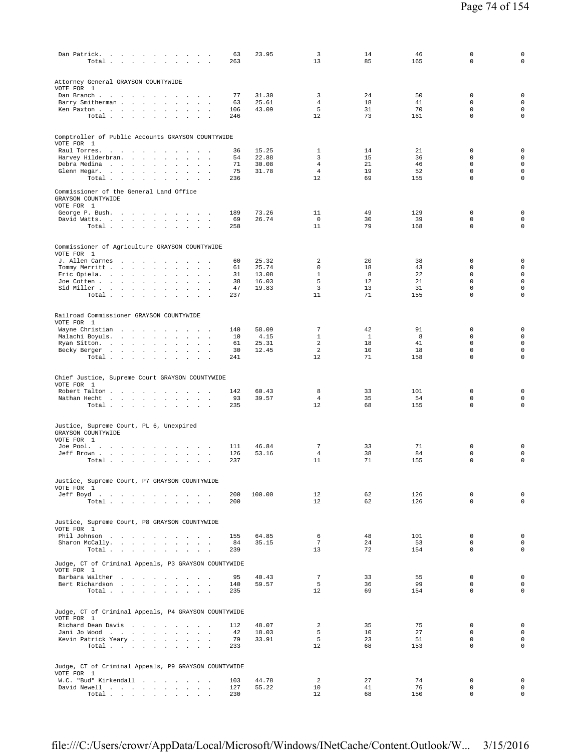| Dan Patrick.<br>Total                                                                                                                                                                       | 63<br>263  | 23.95          | 3<br>13                           | 14<br>85     | 46<br>165 | $\mathsf 0$<br>$\Omega$    | $\mathsf 0$<br>$\mathbf 0$         |
|---------------------------------------------------------------------------------------------------------------------------------------------------------------------------------------------|------------|----------------|-----------------------------------|--------------|-----------|----------------------------|------------------------------------|
| Attorney General GRAYSON COUNTYWIDE<br>VOTE FOR 1                                                                                                                                           |            |                |                                   |              |           |                            |                                    |
| Dan Branch<br>$\sim$<br>$\sim$ $\sim$<br>Barry Smitherman<br>contract and support<br>$\mathbf{r}$                                                                                           | 77<br>63   | 31.30<br>25.61 | 3<br>$\overline{4}$               | 24<br>18     | 50<br>41  | $\mathbf 0$<br>$\mathbf 0$ | $\mathsf 0$<br>$\mathsf{O}\xspace$ |
| Ken Paxton<br>$\Delta \sim 10$<br>$\sim$                                                                                                                                                    | 106        | 43.09          | 5                                 | 31           | 70        | $\Omega$                   | $\mathsf{O}\xspace$                |
| Total<br>$\sim$                                                                                                                                                                             | 246        |                | 12                                | 73           | 161       | $\mathbf 0$                | 0                                  |
| Comptroller of Public Accounts GRAYSON COUNTYWIDE<br>VOTE FOR 1                                                                                                                             |            |                |                                   |              |           |                            |                                    |
| Raul Torres.<br>$\sim 10^{-1}$ m $^{-1}$<br>and a state of the<br>$\sim$<br>$\ddot{\phantom{a}}$<br>Harvey Hilderbran.<br><b>Contractor</b><br>$\ddot{\phantom{a}}$<br>$\ddot{\phantom{a}}$ | 36<br>54   | 15.25<br>22.88 | 1<br>3                            | 14<br>15     | 21<br>36  | $\mathbf 0$<br>$\mathbf 0$ | $\mathsf 0$<br>$\mathbf 0$         |
| Debra Medina<br>$\sim$<br>$\sim$                                                                                                                                                            | 71         | 30.08          | $\overline{4}$                    | 21           | 46        | $\mathbf 0$                | $\mathsf{O}\xspace$                |
| Glenn Hegar.<br>$\cdot$<br>$\cdot$<br>$\cdot$<br>$\ddot{\phantom{a}}$                                                                                                                       | 75         | 31.78          | $\overline{4}$                    | 19           | 52        | $\mathbf 0$                | $\mathsf{O}\xspace$                |
| Total $\cdots$ $\cdots$ $\cdots$<br>$\ddot{\phantom{a}}$                                                                                                                                    | 236        |                | 12                                | 69           | 155       | $\mathbf 0$                | $\mathsf 0$                        |
| Commissioner of the General Land Office<br>GRAYSON COUNTYWIDE<br>VOTE FOR 1                                                                                                                 |            |                |                                   |              |           |                            |                                    |
| George P. Bush.                                                                                                                                                                             | 189        | 73.26          | 11                                | 49           | 129       | 0                          | $\mathsf 0$                        |
| David Watts.<br>$\sim$<br>$\sim$<br>Total                                                                                                                                                   | 69<br>258  | 26.74          | $\mathbf 0$<br>11                 | 30<br>79     | 39<br>168 | $\mathbf 0$<br>$\Omega$    | $\mathsf{O}\xspace$<br>$\mathbf 0$ |
|                                                                                                                                                                                             |            |                |                                   |              |           |                            |                                    |
| Commissioner of Agriculture GRAYSON COUNTYWIDE<br>VOTE FOR 1<br>J. Allen Carnes                                                                                                             | 60         | 25.32          | 2                                 | 20           | 38        | $\mathbb O$                | $\mathsf 0$                        |
| Tommy Merritt<br>$\sim 10^{-11}$<br>$\cdot$<br>$\sim 100$ km s $^{-1}$<br>$\ddot{\phantom{1}}$                                                                                              | 61         | 25.74          | $\mathbf 0$                       | 18           | 43        | $\mathbf 0$                | $\mathsf{O}\xspace$                |
| Eric Opiela.<br>$\Box$<br>$\cdot$                                                                                                                                                           | 31         | 13.08          | $\mathbf{1}$                      | 8            | 22        | $\Omega$                   | $\mathbf 0$                        |
| Joe Cotten<br>$\sim$<br>$\sim$<br>$\sim$<br>Sid Miller<br>$\sim$<br>$\mathbf{r}$<br>$\ddot{\phantom{a}}$                                                                                    | 38<br>47   | 16.03<br>19.83 | 5<br>$\overline{3}$               | 12<br>13     | 21<br>31  | $\mathbf 0$<br>0           | $\mathsf 0$<br>$\mathsf 0$         |
| Total<br>$\sim$                                                                                                                                                                             | 237        |                | 11                                | 71           | 155       | $\mathbf 0$                | $\circ$                            |
| Railroad Commissioner GRAYSON COUNTYWIDE<br>VOTE FOR 1                                                                                                                                      |            |                |                                   |              |           |                            |                                    |
| Wayne Christian                                                                                                                                                                             | 140        | 58.09          | 7                                 | 42           | 91        | 0                          | $\mathsf 0$                        |
| Malachi Boyuls.<br>$\sim$<br>$\cdot$<br>$\sim$<br>$\ddot{\phantom{a}}$                                                                                                                      | 10         | 4.15           | $\mathbf{1}$                      | $\mathbf{1}$ | 8         | $\mathbf 0$                | $\mathsf{O}\xspace$                |
| Ryan Sitton.<br>$\ddot{\phantom{a}}$<br>Becky Berger<br>$\ddot{\phantom{a}}$                                                                                                                | 61<br>30   | 25.31<br>12.45 | 2<br>$\overline{a}$               | 18<br>10     | 41<br>18  | $\mathbf 0$<br>0           | $\mathsf 0$<br>$\mathsf 0$         |
| Total                                                                                                                                                                                       | 241        |                | 12                                | 71           | 158       | $\mathbf 0$                | 0                                  |
| Chief Justice, Supreme Court GRAYSON COUNTYWIDE<br>VOTE FOR 1                                                                                                                               |            |                |                                   |              |           |                            |                                    |
| Robert Talton<br><b>Contract Contract Avenue</b>                                                                                                                                            | 142<br>93  | 60.43<br>39.57 | 8<br>$\overline{4}$               | 33<br>35     | 101<br>54 | $\mathbf 0$<br>$\mathbf 0$ | $\mathbf 0$<br>$\mathbf 0$         |
| Nathan Hecht<br>Total                                                                                                                                                                       | 235        |                | 12                                | 68           | 155       | $\mathbf 0$                | $\mathbf 0$                        |
|                                                                                                                                                                                             |            |                |                                   |              |           |                            |                                    |
| Justice, Supreme Court, PL 6, Unexpired<br>GRAYSON COUNTYWIDE<br>VOTE FOR 1                                                                                                                 |            |                |                                   |              |           |                            |                                    |
| Joe Pool.<br>$\sim$<br>Jeff Brown<br>$\sim$                                                                                                                                                 | 111<br>126 | 46.84<br>53.16 | $7\phantom{.0}$<br>$\overline{4}$ | 33<br>38     | 71<br>84  | 0<br>$\mathbb O$           | $\mathbf 0$<br>$\mathsf 0$         |
| Total<br>$\sim$                                                                                                                                                                             | 237        |                | 11                                | 71           | 155       | $\mathsf 0$                | $\mathsf 0$                        |
| Justice, Supreme Court, P7 GRAYSON COUNTYWIDE                                                                                                                                               |            |                |                                   |              |           |                            |                                    |
| VOTE FOR 1                                                                                                                                                                                  | 200        | 100.00         | 12                                | 62           | 126       | $\mathbf 0$                | $\mathbf 0$                        |
| Jeff Boyd.<br>Total                                                                                                                                                                         | 200        |                | 12                                | 62           | 126       | $\mathbf 0$                | $\mathbf 0$                        |
| Justice, Supreme Court, P8 GRAYSON COUNTYWIDE<br>VOTE FOR 1                                                                                                                                 |            |                |                                   |              |           |                            |                                    |
| Phil Johnson                                                                                                                                                                                | 155        | 64.85          | 6                                 | 48           | 101       | 0                          | $\mathsf 0$                        |
| Sharon McCally.                                                                                                                                                                             | 84         | 35.15          | $7\phantom{.0}$                   | 24           | 53        | $\mathbf 0$                | $\mathsf{O}\xspace$<br>$\mathsf 0$ |
| Total<br>$\sim$<br>Judge, CT of Criminal Appeals, P3 GRAYSON COUNTYWIDE<br>VOTE FOR 1                                                                                                       | 239        |                | 13                                | 72           | 154       | 0                          |                                    |
| Barbara Walther                                                                                                                                                                             | 95         | 40.43          | $7\phantom{.0}$                   | 33           | 55        | 0                          | $\mathsf 0$                        |
| Bert Richardson                                                                                                                                                                             | 140        | 59.57          | 5                                 | 36           | 99        | $\mathbf 0$                | $\mathsf{O}\xspace$                |
| Total $\cdots$ $\cdots$ $\cdots$                                                                                                                                                            | 235        |                | 12                                | 69           | 154       | $\mathbf 0$                | $\mathsf 0$                        |
| Judge, CT of Criminal Appeals, P4 GRAYSON COUNTYWIDE<br>VOTE FOR 1                                                                                                                          |            |                |                                   |              |           |                            |                                    |
| Richard Dean Davis                                                                                                                                                                          | 112        | 48.07          | $\overline{2}$                    | 35           | 75        | 0                          | $\mathbf 0$                        |
| Jani Jo Wood<br>$\overline{\phantom{a}}$<br>Kevin Patrick Yeary                                                                                                                             | 42<br>79   | 18.03<br>33.91 | 5<br>5                            | 10<br>23     | 27<br>51  | $\mathbf 0$<br>$\Omega$    | $\mathsf{O}\xspace$<br>$\mathbf 0$ |
| Total $\cdots$ $\cdots$ $\cdots$                                                                                                                                                            | 233        |                | 12                                | 68           | 153       | $\mathbf 0$                | 0                                  |
| Judge, CT of Criminal Appeals, P9 GRAYSON COUNTYWIDE<br>VOTE FOR 1                                                                                                                          |            |                |                                   |              |           |                            |                                    |
| W.C. "Bud" Kirkendall                                                                                                                                                                       | 103        | 44.78          | 2                                 | 27           | 74        | $\mathbf 0$                | $\mathbf 0$                        |
| David Newell                                                                                                                                                                                | 127        | 55.22          | 10                                | 41           | 76        | $\mathbf 0$                | $\mathbf 0$                        |
| Total $\cdots$ $\cdots$ $\cdots$                                                                                                                                                            | 230        |                | 12                                | 68           | 150       | $\mathbf 0$                | $\circ$                            |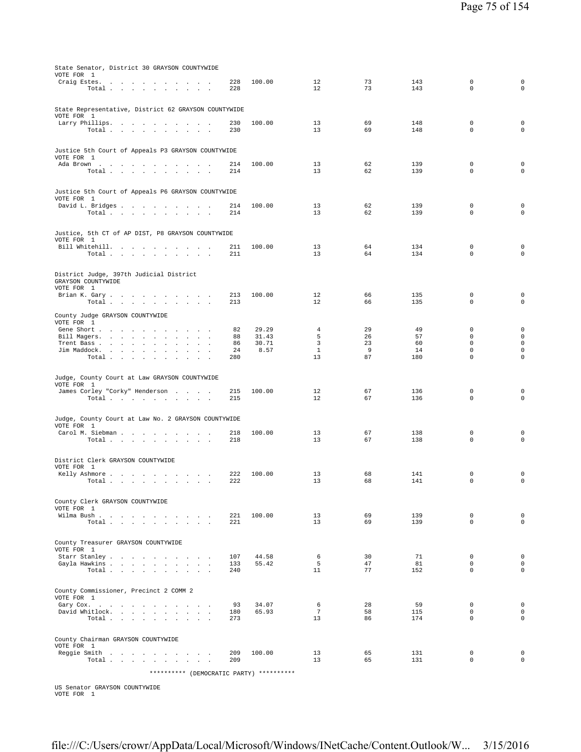| State Senator, District 30 GRAYSON COUNTYWIDE                                                                          |            |                |                       |          |            |                            |                             |
|------------------------------------------------------------------------------------------------------------------------|------------|----------------|-----------------------|----------|------------|----------------------------|-----------------------------|
| VOTE FOR 1<br>Craig Estes.                                                                                             | 228        | 100.00         | 12                    | 73       | 143        | $\mathbb O$                | $\mathsf 0$                 |
| Total                                                                                                                  | 228        |                | 12                    | 73       | 143        | $\mathbf 0$                | $\mathbf 0$                 |
| State Representative, District 62 GRAYSON COUNTYWIDE<br>VOTE FOR 1                                                     |            |                |                       |          |            |                            |                             |
| Larry Phillips.<br>Total                                                                                               | 230<br>230 | 100.00         | 13<br>13              | 69<br>69 | 148<br>148 | 0<br>$\mathbf 0$           | 0<br>$\mathsf 0$            |
|                                                                                                                        |            |                |                       |          |            |                            |                             |
| Justice 5th Court of Appeals P3 GRAYSON COUNTYWIDE<br>VOTE FOR 1                                                       |            |                |                       |          |            |                            |                             |
| Ada Brown                                                                                                              | 214        | 100.00         | 13                    | 62       | 139        | $\mathbf 0$<br>$\mathbf 0$ | $\mathsf 0$<br>$\mathbf 0$  |
| Total $\cdots$ $\cdots$ $\cdots$<br><b>Contract Contract Contract</b>                                                  | 214        |                | 13                    | 62       | 139        |                            |                             |
| Justice 5th Court of Appeals P6 GRAYSON COUNTYWIDE                                                                     |            |                |                       |          |            |                            |                             |
| VOTE FOR 1<br>David L. Bridges                                                                                         | 214        | 100.00         | 13                    | 62       | 139        | $\mathbf 0$                | $\mathsf 0$                 |
| Total                                                                                                                  | 214        |                | 13                    | 62       | 139        | $\mathbf 0$                | $\mathbf 0$                 |
| Justice, 5th CT of AP DIST, P8 GRAYSON COUNTYWIDE                                                                      |            |                |                       |          |            |                            |                             |
| VOTE FOR 1                                                                                                             |            |                |                       |          |            |                            |                             |
| Bill Whitehill.<br>Total                                                                                               | 211<br>211 | 100.00         | 13<br>13              | 64<br>64 | 134<br>134 | 0<br>$\mathbf 0$           | $\mathsf 0$<br>$\mathbf 0$  |
|                                                                                                                        |            |                |                       |          |            |                            |                             |
| District Judge, 397th Judicial District<br>GRAYSON COUNTYWIDE                                                          |            |                |                       |          |            |                            |                             |
| VOTE FOR 1                                                                                                             |            |                |                       |          |            |                            |                             |
| Brian K. Gary<br>Total                                                                                                 | 213<br>213 | 100.00         | 12<br>12              | 66<br>66 | 135<br>135 | $\mathbf 0$<br>$\mathsf 0$ | $\mathsf 0$<br>$\mathsf 0$  |
| County Judge GRAYSON COUNTYWIDE                                                                                        |            |                |                       |          |            |                            |                             |
| VOTE FOR 1                                                                                                             |            |                |                       |          |            |                            |                             |
| Gene Short<br>Bill Magers.<br>$\mathbf{r}$<br>$\sim$ $\sim$                                                            | 82<br>88   | 29.29<br>31.43 | 4<br>5                | 29<br>26 | 49<br>57   | $\mathbf 0$<br>$\mathbf 0$ | $\mathsf 0$<br>$\mathbf 0$  |
| Trent Bass<br>$\sim$                                                                                                   | 86         | 30.71          | 3                     | 23       | 60         | $\mathbf 0$                | $\mathsf 0$                 |
| Jim Maddock.<br>$\ddot{\phantom{0}}$<br>$\sim$<br>$\sim$<br>Total $\cdots$ $\cdots$ $\cdots$<br>$\sim$<br>$\mathbf{r}$ | 24<br>280  | 8.57           | $\mathbf{1}$<br>13    | 9<br>87  | 14<br>180  | $\mathbf 0$<br>$\mathbf 0$ | $\mathsf 0$<br>$\mathbf 0$  |
|                                                                                                                        |            |                |                       |          |            |                            |                             |
| Judge, County Court at Law GRAYSON COUNTYWIDE                                                                          |            |                |                       |          |            |                            |                             |
| VOTE FOR 1<br>James Corley "Corky" Henderson                                                                           | 215        | 100.00         | 12                    | 67       | 136        | $\mathbf 0$                | $\mathbf 0$                 |
| Total $\ldots$ $\ldots$ $\ldots$ $\ldots$                                                                              | 215        |                | 12                    | 67       | 136        | $\mathbf 0$                | $\mathbf 0$                 |
|                                                                                                                        |            |                |                       |          |            |                            |                             |
| Judge, County Court at Law No. 2 GRAYSON COUNTYWIDE<br>VOTE FOR 1                                                      |            |                |                       |          |            |                            |                             |
| Carol M. Siebman<br>Total                                                                                              | 218<br>218 | 100.00         | 13<br>13              | 67<br>67 | 138<br>138 | 0<br>$\mathbf 0$           | $\mathsf 0$<br>$\mathbf 0$  |
|                                                                                                                        |            |                |                       |          |            |                            |                             |
| District Clerk GRAYSON COUNTYWIDE                                                                                      |            |                |                       |          |            |                            |                             |
| VOTE FOR 1<br>Kelly Ashmore                                                                                            | 222        | 100.00         | 13                    | 68       | 141        | 0                          | 0                           |
| Total $\cdots$ $\cdots$<br>$\sim$<br>$\sim$<br>$\alpha$ , $\beta$ , $\alpha$                                           | 222        |                | 13                    | 68       | 141        | $\mathbf 0$                | $\mathbf 0$                 |
|                                                                                                                        |            |                |                       |          |            |                            |                             |
| County Clerk GRAYSON COUNTYWIDE<br>VOTE FOR 1                                                                          |            |                |                       |          |            |                            |                             |
| Wilma Bush                                                                                                             | 221        | 100.00         | 13                    | 69       | 139        | $\mathbb O$                | $\mathbf 0$                 |
| Total                                                                                                                  | 221        |                | 13                    | 69       | 139        | $\Omega$                   | $\mathbf 0$                 |
| County Treasurer GRAYSON COUNTYWIDE                                                                                    |            |                |                       |          |            |                            |                             |
| VOTE FOR 1                                                                                                             |            |                |                       |          |            |                            |                             |
| Gayla Hawkins<br>$\sim$<br><b>Sales State</b>                                                                          | 107<br>133 | 44.58<br>55.42 | 6<br>5                | 30<br>47 | 71<br>81   | $\mathbf 0$<br>$\mathbf 0$ | $\circ$<br>$\mathbf 0$      |
| Total $\cdots$ $\cdots$ $\cdots$<br>$\mathbf{1}$ and $\mathbf{1}$ and $\mathbf{1}$                                     | 240        |                | 11                    | 77       | 152        | $\mathbf 0$                | $\mathbf 0$                 |
|                                                                                                                        |            |                |                       |          |            |                            |                             |
| County Commissioner, Precinct 2 COMM 2<br>VOTE FOR 1                                                                   |            |                |                       |          |            |                            |                             |
| Gary Cox.                                                                                                              | 93         | 34.07          | 6                     | 28       | 59         | $\mathbf 0$                | $\mathbf 0$                 |
| David Whitlock.<br>Total                                                                                               | 180<br>273 | 65.93          | $7\overline{ }$<br>13 | 58<br>86 | 115<br>174 | $\mathbf 0$<br>$\mathbf 0$ | $\mathbf{0}$<br>$\mathbf 0$ |
|                                                                                                                        |            |                |                       |          |            |                            |                             |
| County Chairman GRAYSON COUNTYWIDE                                                                                     |            |                |                       |          |            |                            |                             |
| VOTE FOR 1<br>Reggie Smith                                                                                             | 209        | 100.00         | 13                    | 65       | 131        | $\mathbf 0$                | $\mathbf 0$                 |
| Total                                                                                                                  | 209        |                | 13                    | 65       | 131        | $\mathbf 0$                | $\mathsf{O}\xspace$         |
| ********** (DEMOCRATIC PARTY) **********                                                                               |            |                |                       |          |            |                            |                             |

US Senator GRAYSON COUNTYWIDE VOTE FOR 1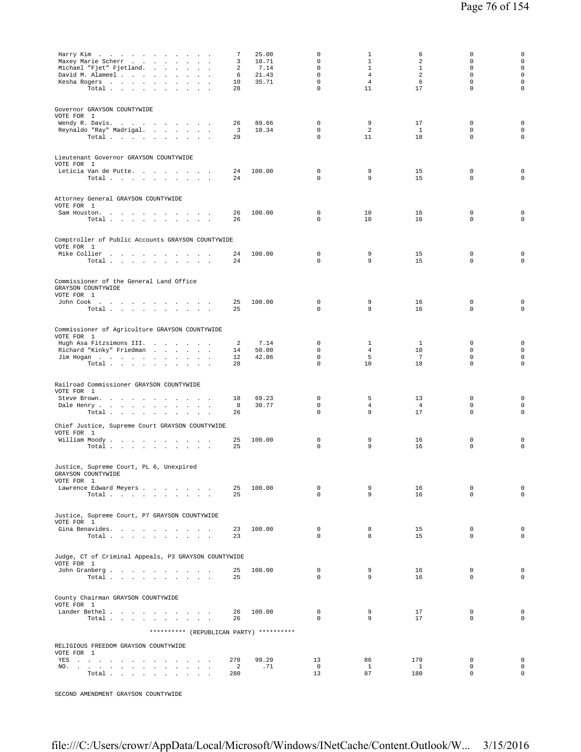| Maxey Marie Scherr<br>Michael "Fjet" Fjetland.<br>David M. Alameel<br>Kesha Rogers<br>Total                                                                                                                                                                                      | 7<br>3<br>2<br>6<br>10<br>28 | 25.00<br>10.71<br>7.14<br>21.43<br>35.71 | 0<br>0<br>$\mathsf 0$<br>$\mathbf 0$<br>$\mathbf 0$<br>$\mathbf 0$ | 1<br>$\mathbf{1}$<br>$\mathbf{1}$<br>$\overline{4}$<br>$\overline{4}$<br>11 | 6<br>2<br>$\mathbf{1}$<br>2<br>6<br>17 | $\mathbf 0$<br>$\mathbf 0$<br>$\mathbf 0$<br>$\Omega$<br>$\mathbf 0$<br>$\mathbf 0$ | $\mathsf 0$<br>$\mathsf 0$<br>$\mathsf 0$<br>$\circ$<br>$\mathsf 0$<br>$\mathbf 0$ |
|----------------------------------------------------------------------------------------------------------------------------------------------------------------------------------------------------------------------------------------------------------------------------------|------------------------------|------------------------------------------|--------------------------------------------------------------------|-----------------------------------------------------------------------------|----------------------------------------|-------------------------------------------------------------------------------------|------------------------------------------------------------------------------------|
| Governor GRAYSON COUNTYWIDE<br>VOTE FOR 1<br>Wendy R. Davis.<br>Reynaldo "Ray" Madrigal.<br>Total                                                                                                                                                                                | 26<br>3<br>29                | 89.66<br>10.34                           | $\mathbf 0$<br>$\mathbf 0$<br>$\mathbf 0$                          | 9<br>2<br>11                                                                | 17<br>$\overline{1}$<br>18             | $\mathbf 0$<br>$\mathbf 0$<br>$\mathbf 0$                                           | $\mathbf 0$<br>$\mathbf 0$<br>$\mathsf 0$                                          |
| Lieutenant Governor GRAYSON COUNTYWIDE<br>VOTE FOR 1<br>Leticia Van de Putte.<br>Total                                                                                                                                                                                           | 24<br>24                     | 100.00                                   | $\mathbf 0$<br>$\mathbf 0$                                         | 9<br>9                                                                      | 15<br>15                               | $\mathbf 0$<br>$\mathbf 0$                                                          | $\mathsf 0$<br>$\mathbf{0}$                                                        |
| Attorney General GRAYSON COUNTYWIDE<br>VOTE FOR 1<br>Sam Houston.<br>Total                                                                                                                                                                                                       | 26<br>26                     | 100.00                                   | $\mathbf 0$<br>0                                                   | 10<br>10                                                                    | 16<br>16                               | $\mathbf 0$<br>$\mathbf 0$                                                          | 0<br>$\mathsf 0$                                                                   |
| Comptroller of Public Accounts GRAYSON COUNTYWIDE<br>VOTE FOR 1<br>Mike Collier<br>Total                                                                                                                                                                                         | 24<br>24                     | 100.00                                   | $\mathbf 0$<br>$\mathbf 0$                                         | 9<br>9                                                                      | 15<br>15                               | $\mathbf 0$<br>$\mathbf 0$                                                          | 0<br>$\mathsf 0$                                                                   |
| Commissioner of the General Land Office<br>GRAYSON COUNTYWIDE<br>VOTE FOR 1<br>John Cook<br>Total $\cdots$ $\cdots$ $\cdots$                                                                                                                                                     | 25<br>25                     | 100.00                                   | $\mathbf 0$<br>$\mathbf 0$                                         | 9<br>9                                                                      | 16<br>16                               | $\mathbf 0$<br>$\mathbf 0$                                                          | $\mathsf 0$<br>$\mathsf 0$                                                         |
| Commissioner of Agriculture GRAYSON COUNTYWIDE<br>VOTE FOR 1<br>Hugh Asa Fitzsimons III.<br>Richard "Kinky" Friedman<br>$\sim$<br>Jim Hogan<br>Total $\cdots$ $\cdots$ $\cdots$                                                                                                  | 2<br>14<br>12<br>28          | 7.14<br>50.00<br>42.86                   | 0<br>$\mathbf 0$<br>$\mathbf 0$<br>$\mathsf 0$                     | 1<br>4<br>5<br>10                                                           | $\mathbf{1}$<br>10<br>7<br>18          | 0<br>$\mathbf 0$<br>$\Omega$<br>$\mathbf 0$                                         | $\mathsf 0$<br>$\mathsf 0$<br>$\mathbf 0$<br>$\mathsf 0$                           |
| Railroad Commissioner GRAYSON COUNTYWIDE<br>VOTE FOR 1<br>Steve Brown.<br>and a strategic control of<br>$\sim$<br>Dale Henry<br>Total $\cdots$ $\cdots$ $\cdots$                                                                                                                 | 18<br>8<br>26                | 69.23<br>30.77                           | $\mathbb O$<br>$\mathbf 0$<br>0                                    | 5<br>$\overline{4}$<br>9                                                    | 13<br>$\overline{4}$<br>17             | $\mathbf 0$<br>$\mathbf 0$<br>$\mathbf 0$                                           | $\mathsf 0$<br>$\circ$<br>$\mathsf 0$                                              |
| Chief Justice, Supreme Court GRAYSON COUNTYWIDE<br>VOTE FOR 1<br>William Moody.<br>Total $\cdots$ $\cdots$ $\cdots$                                                                                                                                                              | 25<br>25                     | 100.00                                   | $\mathbf 0$<br>$\mathbf 0$                                         | 9<br>9                                                                      | 16<br>16                               | $\mathbb O$<br>$\mathbf 0$                                                          | $\mathsf 0$<br>$\mathsf 0$                                                         |
| Justice, Supreme Court, PL 6, Unexpired<br>GRAYSON COUNTYWIDE<br>VOTE FOR 1<br>Lawrence Edward Meyers<br>Total $\cdots$ $\cdots$ $\cdots$                                                                                                                                        | 25<br>25                     | 100.00                                   | $\mathbf 0$<br>0                                                   | 9<br>9                                                                      | 16<br>16                               | $\mathbf 0$<br>$\mathbf 0$                                                          | $\mathsf 0$<br>$\mathbf 0$                                                         |
| Justice, Supreme Court, P7 GRAYSON COUNTYWIDE<br>VOTE FOR 1<br>Gina Benavides.<br>Total                                                                                                                                                                                          | 23<br>23                     | 100.00                                   | $\mathbf 0$<br>$\Omega$                                            | 8<br>8                                                                      | 15<br>15                               | $\mathbf 0$<br>$\mathbf 0$                                                          | $\mathbf 0$<br>$\mathbf 0$                                                         |
| Judge, CT of Criminal Appeals, P3 GRAYSON COUNTYWIDE<br>VOTE FOR 1<br>John Granberg<br>Total $\cdots$ $\cdots$ $\cdots$ $\cdots$                                                                                                                                                 | 25<br>25                     | 100.00                                   | $\mathbf 0$<br>$\Omega$                                            | 9<br>9                                                                      | 16<br>16                               | $\mathbf 0$<br>$\mathbf 0$                                                          | $\circ$<br>$\mathbf 0$                                                             |
| County Chairman GRAYSON COUNTYWIDE<br>VOTE FOR 1<br>Lander Bethel<br>Total $\cdots$ $\cdots$ $\cdots$ $\cdots$                                                                                                                                                                   | 26<br>26                     | 100.00                                   | $\mathbf 0$<br>$\Omega$                                            | 9<br>9                                                                      | 17<br>17                               | $\mathbf 0$<br>$\Omega$                                                             | $\mathbf 0$<br>$\mathbf 0$                                                         |
| ********** (REPUBLICAN PARTY) **********<br>RELIGIOUS FREEDOM GRAYSON COUNTYWIDE                                                                                                                                                                                                 |                              |                                          |                                                                    |                                                                             |                                        |                                                                                     |                                                                                    |
| VOTE FOR 1<br>YES and a contract the contract of the state of the state of the state of the state of the state of the state of the state of the state of the state of the state of the state of the state of the state of the state of the s<br>NO.<br>$\sim$<br>$\sim$<br>Total | 278<br>2<br>280              | 99.29<br>.71                             | 13<br>$\mathbf 0$<br>13                                            | 86<br>1<br>87                                                               | 179<br>$\mathbf{1}$<br>180             | $\mathbf 0$<br>0<br>$\mathbf 0$                                                     | $\mathbf 0$<br>$\mathsf 0$<br>$\mathbf 0$                                          |

SECOND AMENDMENT GRAYSON COUNTYWIDE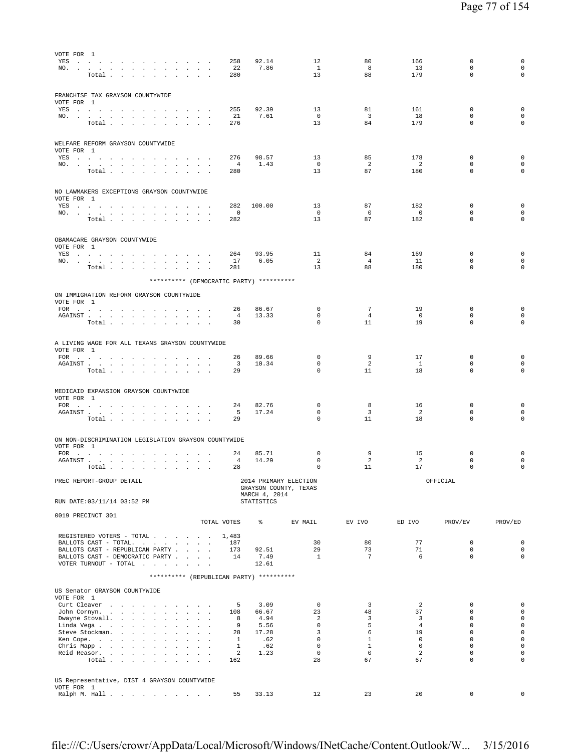| VOTE FOR 1<br>YES<br>NO.                                                                                                                                                                                                                                          | 258<br>22                           | 92.14<br>7.86               | 12<br>$\mathbf{1}$                             | 80<br>8                      | 166<br>13              | 0<br>$\mathbf 0$           | 0<br>$\mathbf 0$                   |
|-------------------------------------------------------------------------------------------------------------------------------------------------------------------------------------------------------------------------------------------------------------------|-------------------------------------|-----------------------------|------------------------------------------------|------------------------------|------------------------|----------------------------|------------------------------------|
| Total                                                                                                                                                                                                                                                             | 280                                 |                             | 13                                             | 88                           | 179                    | $\mathbf 0$                | $\circ$                            |
| FRANCHISE TAX GRAYSON COUNTYWIDE<br>VOTE FOR 1                                                                                                                                                                                                                    |                                     |                             |                                                |                              |                        |                            |                                    |
| YES a contract of the contract of the set of the set of the set of the set of the set of the set of the set of the set of the set of the set of the set of the set of the set of the set of the set of the set of the set of t<br>NO.                             | 255<br>21                           | 92.39<br>7.61               | 13<br>$\overline{0}$                           | 81<br>$\overline{3}$         | 161<br>18              | 0<br>$\mathbf 0$           | $\mathbf 0$<br>$\mathbf 0$         |
| Total $\cdots$ $\cdots$ $\cdots$                                                                                                                                                                                                                                  | 276                                 |                             | 13                                             | 84                           | 179                    | $\mathbf 0$                | $\mathbf 0$                        |
| WELFARE REFORM GRAYSON COUNTYWIDE<br>VOTE FOR 1                                                                                                                                                                                                                   |                                     |                             |                                                |                              |                        |                            |                                    |
| YES a contract of the contract of the contract of the set of the set of the set of the set of the set of the set of the set of the set of the set of the set of the set of the set of the set of the set of the set of the set<br>NO.<br><b>Contract Contract</b> | 276<br>$\overline{4}$               | 98.57<br>1.43               | 13<br>$\overline{0}$                           | 85<br>2                      | 178<br>2               | 0<br>0                     | $\mathbf 0$<br>$\mathsf 0$         |
| Total $\cdots$ $\cdots$ $\cdots$                                                                                                                                                                                                                                  | 280                                 |                             | 13                                             | 87                           | 180                    | $\mathbf 0$                | $\circ$                            |
| NO LAWMAKERS EXCEPTIONS GRAYSON COUNTYWIDE<br>VOTE FOR 1                                                                                                                                                                                                          |                                     |                             |                                                |                              |                        |                            |                                    |
| YES<br>NO.                                                                                                                                                                                                                                                        | 282<br>0<br>$\sim$ $\sim$           | 100.00                      | 13<br>0                                        | 87<br>0                      | 182<br>$\mathbf 0$     | 0<br>0                     | 0<br>$\mathsf{O}\xspace$           |
| Total $\ldots$ $\ldots$ $\ldots$ $\ldots$                                                                                                                                                                                                                         | 282                                 |                             | 13                                             | 87                           | 182                    | $\mathbf 0$                | $\mathbf 0$                        |
| OBAMACARE GRAYSON COUNTYWIDE<br>VOTE FOR 1                                                                                                                                                                                                                        |                                     |                             |                                                |                              |                        |                            |                                    |
| YES and a contract the contract of the state of the state of the state of the state of the state of the state of the state of the state of the state of the state of the state of the state of the state of the state of the s<br>NO.                             | 264<br>17                           | 93.95<br>6.05               | 11<br>2                                        | 84<br>$\overline{4}$         | 169<br>11              | 0<br>$\mathbf 0$           | $\mathsf 0$<br>$\mathbf 0$         |
| Total                                                                                                                                                                                                                                                             | 281                                 |                             | 13                                             | 88                           | 180                    | $\mathbf 0$                | $\mathbf 0$                        |
| ********** (DEMOCRATIC PARTY) **********                                                                                                                                                                                                                          |                                     |                             |                                                |                              |                        |                            |                                    |
| ON IMMIGRATION REFORM GRAYSON COUNTYWIDE<br>VOTE FOR 1                                                                                                                                                                                                            |                                     |                             |                                                | $7\phantom{.0}$              | 19                     |                            |                                    |
| FOR<br>${\tt AGAINST} \hspace{0.1in} . \hspace{0.1in} . \hspace{0.1in} . \hspace{0.1in} . \hspace{0.1in} . \hspace{0.1in} . \hspace{0.1in} . \hspace{0.1in} .$<br>$\sim$                                                                                          | 26<br>4<br>$\overline{\phantom{a}}$ | 86.67<br>13.33              | 0<br>$\mathbf 0$                               | $\overline{4}$               | $\circ$                | 0<br>$\mathbf 0$           | $\mathbf 0$<br>$\mathbf 0$         |
| Total                                                                                                                                                                                                                                                             | 30                                  |                             | $\mathbf 0$                                    | 11                           | 19                     | $\mathbf 0$                | $\circ$                            |
| A LIVING WAGE FOR ALL TEXANS GRAYSON COUNTYWIDE<br>VOTE FOR 1                                                                                                                                                                                                     |                                     |                             |                                                |                              |                        |                            |                                    |
| FOR<br>AGAINST<br>$\sim$<br>$\sim$ $\sim$                                                                                                                                                                                                                         | 26<br>3                             | 89.66<br>10.34              | 0<br>$\mathbf 0$                               | 9<br>2                       | 17<br><sup>1</sup>     | 0<br>$\mathbf 0$           | $\mathbf 0$<br>$\mathbf 0$         |
| Total $\cdots$ $\cdots$ $\cdots$                                                                                                                                                                                                                                  | 29                                  |                             | $\mathbf 0$                                    | 11                           | 18                     | $\mathbf 0$                | $\circ$                            |
| MEDICAID EXPANSION GRAYSON COUNTYWIDE<br>VOTE FOR 1                                                                                                                                                                                                               |                                     |                             |                                                |                              |                        |                            |                                    |
| FOR                                                                                                                                                                                                                                                               | 24<br>- 5                           | 82.76<br>17.24              | 0<br>0                                         | 8<br>3                       | 16<br>2                | 0<br>$\mathbf 0$           | $\mathbf 0$<br>$\mathsf{O}\xspace$ |
| Total $\ldots$ $\ldots$ $\ldots$ $\ldots$                                                                                                                                                                                                                         | 29                                  |                             | $\mathbf 0$                                    | 11                           | 18                     | $\mathbf 0$                | $\mathbf 0$                        |
| ON NON-DISCRIMINATION LEGISLATION GRAYSON COUNTYWIDE<br>VOTE FOR 1                                                                                                                                                                                                |                                     |                             |                                                |                              |                        |                            |                                    |
| FOR<br>AGAINST<br>$\sim$<br>$\sim$<br>$\sim$<br>$\cdot$                                                                                                                                                                                                           | 24<br>$\overline{4}$                | 85.71<br>14.29              | 0<br>0                                         | 9<br>2                       | 15<br>$\overline{a}$   | 0<br>$\mathbf 0$           | $\mathsf 0$<br>$\mathbf 0$         |
| Total $\cdots$ $\cdots$                                                                                                                                                                                                                                           | 28                                  |                             | $\Omega$                                       | 11                           | 17                     | $\mathbf 0$                | $\mathbf 0$                        |
| PREC REPORT-GROUP DETAIL<br>RUN DATE: 03/11/14 03:52 PM                                                                                                                                                                                                           |                                     | MARCH 4, 2014<br>STATISTICS | 2014 PRIMARY ELECTION<br>GRAYSON COUNTY, TEXAS |                              |                        | OFFICIAL                   |                                    |
| 0019 PRECINCT 301                                                                                                                                                                                                                                                 |                                     |                             |                                                |                              |                        |                            |                                    |
|                                                                                                                                                                                                                                                                   | TOTAL VOTES                         | ⊱                           | EV MAIL                                        | EV IVO                       | ED IVO                 | PROV/EV                    | PROV/ED                            |
| REGISTERED VOTERS - TOTAL<br>BALLOTS CAST - TOTAL. $\cdot \cdot \cdot \cdot \cdot \cdot$                                                                                                                                                                          | 1,483<br>187                        |                             | 30                                             | 80                           | 77                     | $\mathsf 0$                | $\mathsf{O}\xspace$                |
| BALLOTS CAST - REPUBLICAN PARTY<br>BALLOTS CAST - DEMOCRATIC PARTY<br>VOTER TURNOUT - TOTAL $\ldots$                                                                                                                                                              | 173<br>14                           | 92.51<br>7.49<br>12.61      | 29<br>$\mathbf{1}$                             | 73<br>7                      | 71<br>6                | $\Omega$<br>$\mathbf 0$    | $\mathsf 0$<br>$\circ$             |
| ********** (REPUBLICAN PARTY) **********                                                                                                                                                                                                                          |                                     |                             |                                                |                              |                        |                            |                                    |
| US Senator GRAYSON COUNTYWIDE                                                                                                                                                                                                                                     |                                     |                             |                                                |                              |                        |                            |                                    |
| VOTE FOR 1<br>Curt Cleaver                                                                                                                                                                                                                                        | 5                                   | 3.09                        | $^{\circ}$                                     | $\overline{3}$               | 2                      | $\mathbf 0$                | 0                                  |
| John Cornyn.<br>Dwayne Stovall.                                                                                                                                                                                                                                   | 108<br>8                            | 66.67<br>4.94               | 23<br>2                                        | 48<br>$\overline{3}$         | 37<br>$\overline{3}$   | $\mathbf 0$<br>$\Omega$    | $\mathsf{O}\xspace$<br>$\circ$     |
| Linda Vega<br>Steve Stockman.                                                                                                                                                                                                                                     | 9<br>28                             | 5.56<br>17.28               | $\mathbf 0$<br>$\overline{3}$                  | 5<br>6                       | $\overline{4}$<br>19   | $\mathbf 0$<br>$\Omega$    | $\mathsf{O}\xspace$<br>$\mathbf 0$ |
| Ken Cope.                                                                                                                                                                                                                                                         | $\mathbf{1}$                        | .62                         | $\mathbf 0$<br>$\mathbf 0$                     | $\mathbf{1}$<br>$\mathbf{1}$ | $\circ$<br>$\mathbf 0$ | $\mathbf 0$<br>$\mathbf 0$ | $\circ$<br>$\mathsf{O}\xspace$     |
| Chris Mapp<br>$\sim$<br>Reid Reasor.                                                                                                                                                                                                                              | $\mathbf{1}$<br>2                   | .62<br>1.23                 | $\mathbf 0$                                    | $\mathbf 0$                  | 2                      | $\mathbf 0$                | $\mathsf 0$                        |
| Total<br>$\sim$<br>$\sim$                                                                                                                                                                                                                                         | 162<br>$\sim$ $\sim$                |                             | 28                                             | 67                           | 67                     | $\mathbf 0$                | $\mathsf 0$                        |
| US Representative, DIST 4 GRAYSON COUNTYWIDE<br>VOTE FOR 1                                                                                                                                                                                                        |                                     |                             |                                                |                              |                        |                            |                                    |
| Ralph M. Hall                                                                                                                                                                                                                                                     | 55                                  | 33.13                       | 12                                             | 23                           | 20                     | $\mathbf 0$                | $\mathsf 0$                        |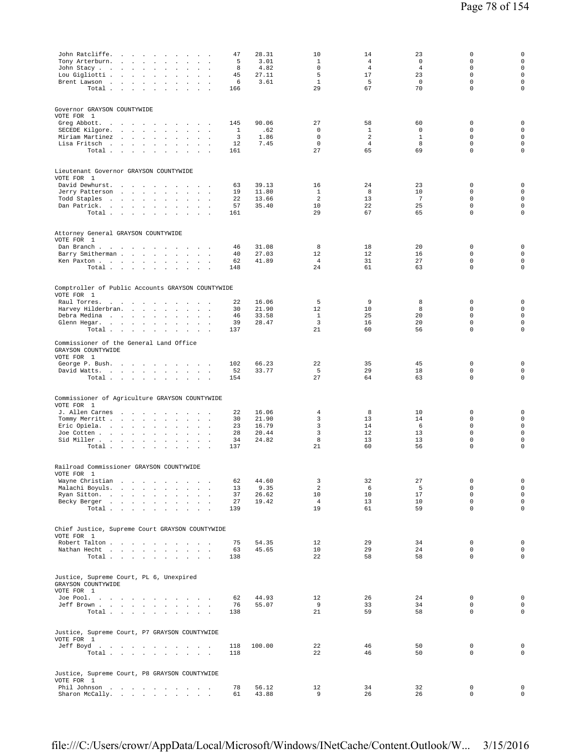| Tony Arterburn. .<br>John Stacy<br>Lou Gigliotti<br>Brent Lawson                                | John Ratcliffe.<br><b>Carl Corporation</b><br>$\sim$<br>$\overline{a}$<br>$\sim$<br>$\sim$<br>$\cdot$<br>$\ddot{\phantom{a}}$<br>$\blacksquare$<br>$\Box$<br>$\ddot{\phantom{a}}$<br>$\mathbf{r}$<br>$\mathbf{r}$<br>$\sim 10^{-1}$<br>$\sim$<br>$\sim$<br>$\sim$<br>$\ddot{\phantom{a}}$<br>$\mathbf{r}$<br>Total | 47<br>5<br>8<br>45<br>6<br>166        | 28.31<br>3.01<br>4.82<br>27.11<br>3.61    | 10<br>$\mathbf{1}$<br>$\mathbf 0$<br>5<br>$\mathbf{1}$<br>29 | 14<br>4<br>$\overline{4}$<br>17<br>5<br>67                   | 23<br>0<br>$\overline{4}$<br>23<br>$\mathbf 0$<br>70 | $\mathbf 0$<br>$\mathbf 0$<br>$\mathbf 0$<br>$\mathbf 0$<br>$\mathbf 0$<br>$\mathbf 0$ | $\mathbf 0$<br>$\mathbf 0$<br>$\circ$<br>$\mathsf{O}\xspace$<br>$\mathsf 0$<br>$\mathsf 0$     |
|-------------------------------------------------------------------------------------------------|--------------------------------------------------------------------------------------------------------------------------------------------------------------------------------------------------------------------------------------------------------------------------------------------------------------------|---------------------------------------|-------------------------------------------|--------------------------------------------------------------|--------------------------------------------------------------|------------------------------------------------------|----------------------------------------------------------------------------------------|------------------------------------------------------------------------------------------------|
| Governor GRAYSON COUNTYWIDE<br>VOTE FOR 1<br>Greg Abbott.<br>SECEDE Kilgore.<br>Miriam Martinez | the contract of the contract of the<br>$\sim$<br><b>San Adams</b><br>$\sim$<br>$\Box$<br>$\mathbf{r}$<br>Lisa Fritsch.<br>$\sim$<br>$\sim$<br>$\sim$<br>Total                                                                                                                                                      | 145<br>$\mathbf{1}$<br>3<br>12<br>161 | 90.06<br>.62<br>1.86<br>7.45              | 27<br>$\mathbb O$<br>$\mathbf 0$<br>$\mathbf 0$<br>27        | 58<br>$\mathbf{1}$<br>$\overline{2}$<br>$\overline{4}$<br>65 | 60<br>$\mathsf 0$<br>$1\,$<br>8<br>69                | 0<br>$\mathbf 0$<br>$\Omega$<br>$\mathbf 0$<br>$\mathbf 0$                             | $\mathbf 0$<br>$\mathsf 0$<br>$\circ$<br>$\mathsf 0$<br>$\mathbf 0$                            |
| VOTE FOR 1<br>David Dewhurst.<br>Jerry Patterson<br>Todd Staples                                | Lieutenant Governor GRAYSON COUNTYWIDE<br>the contract of the contract of the con-<br>$\sim$ $\sim$<br>$\ddot{\phantom{a}}$<br>and the state of the state of<br>$\sim$<br>$\cdot$<br>Dan Patrick.<br>Total<br>$\sim$<br>$\sim$<br>$\ddot{\phantom{0}}$                                                             | 63<br>19<br>22<br>57<br>161           | 39.13<br>11.80<br>13.66<br>35.40          | 16<br>1<br>$\overline{a}$<br>10<br>29                        | 24<br>8<br>13<br>22<br>67                                    | 23<br>10<br>7<br>25<br>65                            | $\mathbf 0$<br>$\mathbf 0$<br>$\mathbf 0$<br>$\mathbf 0$<br>$\mathbf 0$                | 0<br>$\mathsf{O}\xspace$<br>$\circ$<br>$\mathsf 0$<br>$\mathsf 0$                              |
| VOTE FOR 1<br>Barry Smitherman<br>Ken Paxton                                                    | Attorney General GRAYSON COUNTYWIDE<br>Dan Branch<br>$\mathbf{r}$<br>$\mathbf{r}$<br>$\sim$<br>$\cdot$<br>$\sim$<br>$\sim$<br>Total<br>$\sim$<br>$\sim$<br>$\cdot$                                                                                                                                                 | 46<br>40<br>62<br>148                 | 31.08<br>27.03<br>41.89                   | 8<br>12<br>$\overline{4}$<br>24                              | 18<br>12<br>31<br>61                                         | 20<br>16<br>27<br>63                                 | 0<br>$\mathbf 0$<br>$\mathbf 0$<br>$\mathbf 0$                                         | $\mathsf 0$<br>$\mathsf 0$<br>$\mathsf 0$<br>$\mathbf 0$                                       |
| VOTE FOR 1<br>Raul Torres.<br>Harvey Hilderbran.<br>Debra Medina                                | Comptroller of Public Accounts GRAYSON COUNTYWIDE<br>and the control of the<br>$\sim$<br>$\sim$<br>$\overline{\phantom{a}}$<br>$\mathbf{r}$<br>$\sim$<br>$\ddot{\phantom{a}}$<br>$\mathbf{r}$<br>Glenn Hegar.<br>Total $\cdots$ $\cdots$<br>$\mathbf{r}$<br>$\mathbf{r}$<br>$\sim$                                 | 22<br>30<br>46<br>39<br>137           | 16.06<br>21.90<br>33.58<br>28.47          | 5<br>12<br>$\mathbf{1}$<br>3<br>21                           | 9<br>10<br>25<br>16<br>60                                    | 8<br>8<br>20<br>20<br>56                             | $\mathbf 0$<br>$\mathbf 0$<br>$\mathbf 0$<br>$\mathbf 0$<br>$\mathsf 0$                | $\mathbf 0$<br>$\mathsf 0$<br>$\mathsf 0$<br>$\mathsf 0$<br>$\mathsf 0$                        |
| GRAYSON COUNTYWIDE<br>VOTE FOR 1<br>George P. Bush.                                             | Commissioner of the General Land Office<br>$\sim$<br>$\ddot{\phantom{a}}$<br>$\sim$<br>David Watts.<br>Total                                                                                                                                                                                                       | 102<br>52<br>154                      | 66.23<br>33.77                            | 22<br>5<br>27                                                | 35<br>29<br>64                                               | 45<br>18<br>63                                       | 0<br>$\mathsf 0$<br>$\mathsf 0$                                                        | $\mathbf 0$<br>$\mathsf 0$<br>$\mathsf{O}\xspace$                                              |
| VOTE FOR 1<br>J. Allen Carnes<br>Tommy Merritt<br>Eric Opiela.<br>Joe Cotten                    | Commissioner of Agriculture GRAYSON COUNTYWIDE<br>$\sim 10^{-1}$<br>$\sim$<br>$\sim$<br>$\cdot$<br>$\mathbf{r}$ and $\mathbf{r}$<br>$\sim$<br>$\cdot$<br>$\Box$<br>$\cdot$<br>Sid Miller<br>Total                                                                                                                  | 22<br>30<br>23<br>28<br>34<br>137     | 16.06<br>21.90<br>16.79<br>20.44<br>24.82 | 4<br>3<br>3<br>3<br>8<br>21                                  | 8<br>13<br>14<br>12<br>13<br>60                              | 10<br>14<br>6<br>13<br>13<br>56                      | 0<br>$\mathbf 0$<br>$\mathbf 0$<br>$\mathbf 0$<br>$\mathsf 0$<br>$\mathsf 0$           | $\mathsf{O}\xspace$<br>$\mathsf 0$<br>$\mathsf 0$<br>$\mathbf 0$<br>$\mathsf 0$<br>$\mathsf 0$ |
| VOTE FOR<br>$\overline{\phantom{0}}$                                                            | Railroad Commissioner GRAYSON COUNTYWIDE<br>Wayne Christian<br>Malachi Boyuls.<br>Ryan Sitton.<br>$\sim$<br>$\sim$<br>Becky Berger<br>Total                                                                                                                                                                        | 62<br>13<br>37<br>27<br>139           | 44.60<br>9.35<br>26.62<br>19.42           | 3<br>2<br>10<br>$\overline{4}$<br>19                         | 32<br>6<br>10<br>13<br>61                                    | 27<br>5<br>17<br>10<br>59                            | $\mathbf 0$<br>$\mathbf 0$<br>$\mathbf 0$<br>$\mathbf 0$<br>$\Omega$                   | $\mathsf 0$<br>$\mathsf 0$<br>$\mathsf 0$<br>$\mathsf 0$<br>$\mathsf 0$                        |
| VOTE FOR 1                                                                                      | Chief Justice, Supreme Court GRAYSON COUNTYWIDE<br>Robert Talton<br>$\sim$<br>Nathan Hecht<br>Total $\cdots$<br>$\sim$                                                                                                                                                                                             | 75<br>63<br>138                       | 54.35<br>45.65                            | 12<br>10<br>22                                               | 29<br>29<br>58                                               | 34<br>24<br>58                                       | $\mathbf 0$<br>$\Omega$<br>$\mathbf 0$                                                 | $\mathsf 0$<br>$\mathsf 0$<br>$\mathsf{O}\xspace$                                              |
| GRAYSON COUNTYWIDE<br>VOTE FOR 1                                                                | Justice, Supreme Court, PL 6, Unexpired<br>Joe Pool.<br>Jeff Brown<br>Total                                                                                                                                                                                                                                        | 62<br>76<br>138                       | 44.93<br>55.07                            | 12<br>9<br>21                                                | 26<br>33<br>59                                               | 24<br>34<br>58                                       | $\mathbf 0$<br>$\mathbf 0$<br>$\mathbf 0$                                              | $\mathsf 0$<br>$\mathsf 0$<br>$\mathsf{O}\xspace$                                              |
| VOTE FOR 1                                                                                      | Justice, Supreme Court, P7 GRAYSON COUNTYWIDE<br>Jeff Boyd<br>Total                                                                                                                                                                                                                                                | 118<br>118                            | 100.00                                    | 22<br>22                                                     | 46<br>46                                                     | 50<br>50                                             | 0<br>$\mathsf 0$                                                                       | $\mathsf 0$<br>$\mathsf{O}\xspace$                                                             |
| VOTE FOR 1                                                                                      | Justice, Supreme Court, P8 GRAYSON COUNTYWIDE<br>Phil Johnson<br>Sharon McCally.                                                                                                                                                                                                                                   | 78<br>61                              | 56.12<br>43.88                            | 12<br>9                                                      | 34<br>26                                                     | 32<br>26                                             | 0<br>$\mathbf 0$                                                                       | $\mathsf 0$<br>$\mathsf{O}\xspace$                                                             |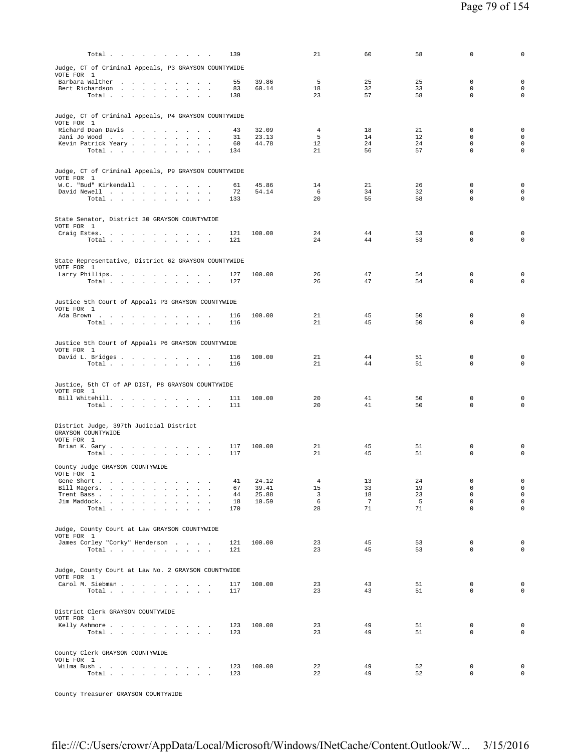| Total                                                                                                  | 139        |                | 21             | 60                    | 58       | $\mathbf 0$                | $\mathbf 0$                                |
|--------------------------------------------------------------------------------------------------------|------------|----------------|----------------|-----------------------|----------|----------------------------|--------------------------------------------|
| Judge, CT of Criminal Appeals, P3 GRAYSON COUNTYWIDE                                                   |            |                |                |                       |          |                            |                                            |
| VOTE FOR 1                                                                                             |            |                |                |                       |          |                            |                                            |
| Barbara Walther<br>Bert Richardson<br>$\sim$                                                           | 55<br>83   | 39.86<br>60.14 | 5<br>18        | 25<br>32              | 25<br>33 | 0<br>$\mathbf 0$           | $\mathbf 0$<br>$\mathsf{O}\xspace$         |
| Total $\cdots$ $\cdots$ $\cdots$                                                                       | 138        |                | 23             | 57                    | 58       | $\mathbf 0$                | $\mathbf 0$                                |
|                                                                                                        |            |                |                |                       |          |                            |                                            |
| Judge, CT of Criminal Appeals, P4 GRAYSON COUNTYWIDE<br>VOTE FOR 1                                     |            |                |                |                       |          |                            |                                            |
| Richard Dean Davis                                                                                     | 43         | 32.09          | $\overline{4}$ | 18                    | 21       | 0                          | $\mathbf 0$                                |
| Jani Jo Wood                                                                                           | 31<br>60   | 23.13<br>44.78 | 5<br>12        | 14<br>24              | 12<br>24 | $\mathbf 0$<br>$\Omega$    | $\mathsf{O}\xspace$<br>$\mathbf 0$         |
| Kevin Patrick Yeary<br>Total<br><b>Carl Carl Carl</b>                                                  | 134        |                | 21             | 56                    | 57       | $\mathbf 0$                | 0                                          |
|                                                                                                        |            |                |                |                       |          |                            |                                            |
| Judge, CT of Criminal Appeals, P9 GRAYSON COUNTYWIDE                                                   |            |                |                |                       |          |                            |                                            |
| VOTE FOR 1<br>W.C. "Bud" Kirkendall                                                                    | 61         | 45.86          | 14             | 21                    | 26       | $\mathbf 0$                | $\mathbf 0$                                |
| David Newell                                                                                           | 72         | 54.14          | 6              | 34                    | 32       | $\Omega$                   | $\mathbf 0$                                |
| Total $\cdots$ $\cdots$ $\cdots$                                                                       | 133        |                | 20             | 55                    | 58       | $\mathbf 0$                | $\mathbf 0$                                |
|                                                                                                        |            |                |                |                       |          |                            |                                            |
| State Senator, District 30 GRAYSON COUNTYWIDE<br>VOTE FOR 1                                            |            |                |                |                       |          |                            |                                            |
| Craig Estes.                                                                                           | 121        | 100.00         | 24             | 44                    | 53       | $\mathbf 0$                | $\mathbf 0$                                |
| Total $\cdots$ $\cdots$ $\cdots$                                                                       | 121        |                | 24             | 44                    | 53       | $\mathbf 0$                | $\mathbf 0$                                |
|                                                                                                        |            |                |                |                       |          |                            |                                            |
| State Representative, District 62 GRAYSON COUNTYWIDE<br>VOTE FOR 1                                     |            |                |                |                       |          |                            |                                            |
| Larry Phillips.                                                                                        | 127        | 100.00         | 26             | 47                    | 54       | $\mathbf 0$                | $\mathbf 0$                                |
| Total $\cdots$ $\cdots$ $\cdots$ $\cdots$                                                              | 127        |                | 26             | 47                    | 54       | $\mathbf 0$                | $\mathbf 0$                                |
|                                                                                                        |            |                |                |                       |          |                            |                                            |
| Justice 5th Court of Appeals P3 GRAYSON COUNTYWIDE<br>VOTE FOR 1                                       |            |                |                |                       |          |                            |                                            |
| Ada Brown                                                                                              | 116        | 100.00         | 21             | 45                    | 50       | $\mathbf 0$                | $\mathbf 0$                                |
| Total                                                                                                  | 116        |                | 21             | 45                    | 50       | $\mathbf 0$                | $\mathbf 0$                                |
|                                                                                                        |            |                |                |                       |          |                            |                                            |
| Justice 5th Court of Appeals P6 GRAYSON COUNTYWIDE<br>VOTE FOR 1                                       |            |                |                |                       |          |                            |                                            |
| David L. Bridges                                                                                       | 116<br>116 | 100.00         | 21<br>21       | 44<br>44              | 51<br>51 | $\mathbf 0$<br>$\mathbf 0$ | $\mathbf 0$<br>$\mathbf 0$                 |
| Total $\cdots$ $\cdots$ $\cdots$                                                                       |            |                |                |                       |          |                            |                                            |
| Justice, 5th CT of AP DIST, P8 GRAYSON COUNTYWIDE                                                      |            |                |                |                       |          |                            |                                            |
| VOTE FOR 1                                                                                             |            |                |                |                       |          |                            |                                            |
| Bill Whitehill.<br>Total                                                                               | 111<br>111 | 100.00         | 20<br>20       | 41<br>41              | 50<br>50 | $\mathbf 0$<br>$\mathbf 0$ | $\mathbf 0$<br>$\mathbf 0$                 |
|                                                                                                        |            |                |                |                       |          |                            |                                            |
| District Judge, 397th Judicial District                                                                |            |                |                |                       |          |                            |                                            |
| GRAYSON COUNTYWIDE                                                                                     |            |                |                |                       |          |                            |                                            |
| VOTE FOR 1<br>Brian K. Gary                                                                            | 117        | 100.00         | 21             | 45                    | 51       | $\mathbf 0$                | $\mathbf 0$                                |
| Total                                                                                                  | 117        |                | 21             | 45                    | 51       | $\mathbf 0$                | $\mathbf 0$                                |
| County Judge GRAYSON COUNTYWIDE                                                                        |            |                |                |                       |          |                            |                                            |
| VOTE FOR 1<br>and the contract of the con-                                                             |            |                | $\overline{4}$ |                       |          | $\mathbf 0$                | $\mathsf{O}\xspace$                        |
| Gene Short .<br>Bill Magers.<br><b>Carl Carl</b><br>$\sim$<br>$\ddot{\phantom{a}}$<br>$\sim$           | 41<br>67   | 24.12<br>39.41 | 15             | 13<br>33              | 24<br>19 | $\mathbf 0$                | $\mathsf{O}\xspace$                        |
| Trent Bass<br>$\mathbf{r}$                                                                             | 44         | 25.88          | 3<br>6         | 18<br>$7\phantom{.0}$ | 23<br>5  | $\mathbf 0$<br>$\mathbf 0$ | $\mathsf{O}\xspace$<br>$\mathsf{O}\xspace$ |
| Jim Maddock.<br><b>Carl Carl</b><br><b>Carl Carl</b><br>$\sim$<br>$\sim$<br>$\cdot$<br>Total<br>$\sim$ | 18<br>170  | 10.59          | 28             | 71                    | 71       | $\mathbf 0$                | $\mathsf{O}\xspace$                        |
|                                                                                                        |            |                |                |                       |          |                            |                                            |
| Judge, County Court at Law GRAYSON COUNTYWIDE                                                          |            |                |                |                       |          |                            |                                            |
| VOTE FOR 1<br>James Corley "Corky" Henderson                                                           | 121        | 100.00         | 23             | 45                    | 53       | $\mathbf 0$                | $\mathsf{O}\xspace$                        |
| Total $\cdots$ $\cdots$ $\cdots$<br>$\sim$                                                             | 121        |                | 23             | 45                    | 53       | $\mathbf 0$                | $\mathsf{O}\xspace$                        |
|                                                                                                        |            |                |                |                       |          |                            |                                            |
| Judge, County Court at Law No. 2 GRAYSON COUNTYWIDE                                                    |            |                |                |                       |          |                            |                                            |
| VOTE FOR 1<br>Carol M. Siebman<br>$\ddot{\phantom{a}}$                                                 | 117        | 100.00         | 23             | 43                    | 51       | $\mathbf 0$                | 0                                          |
| Total $\cdots$ $\cdots$ $\cdots$ $\cdots$                                                              | 117        |                | 23             | 43                    | 51       | $\mathbf 0$                | $\mathsf{O}\xspace$                        |
|                                                                                                        |            |                |                |                       |          |                            |                                            |
| District Clerk GRAYSON COUNTYWIDE                                                                      |            |                |                |                       |          |                            |                                            |
| VOTE FOR 1<br>Kelly Ashmore                                                                            | 123        | 100.00         | 23             | 49                    | 51       | $\mathbf 0$                | 0                                          |
| Total                                                                                                  | 123        |                | 23             | 49                    | 51       | $\mathbf 0$                | $\mathbf 0$                                |
|                                                                                                        |            |                |                |                       |          |                            |                                            |
| County Clerk GRAYSON COUNTYWIDE                                                                        |            |                |                |                       |          |                            |                                            |
| VOTE FOR 1<br>Wilma Bush                                                                               | 123        | 100.00         | 22             | 49                    | 52       | 0                          | $\mathbf 0$                                |
| Total<br>$\ddot{\phantom{a}}$                                                                          | 123        |                | 22             | 49                    | 52       | $\mathbf 0$                | $\mathsf{O}\xspace$                        |
|                                                                                                        |            |                |                |                       |          |                            |                                            |

County Treasurer GRAYSON COUNTYWIDE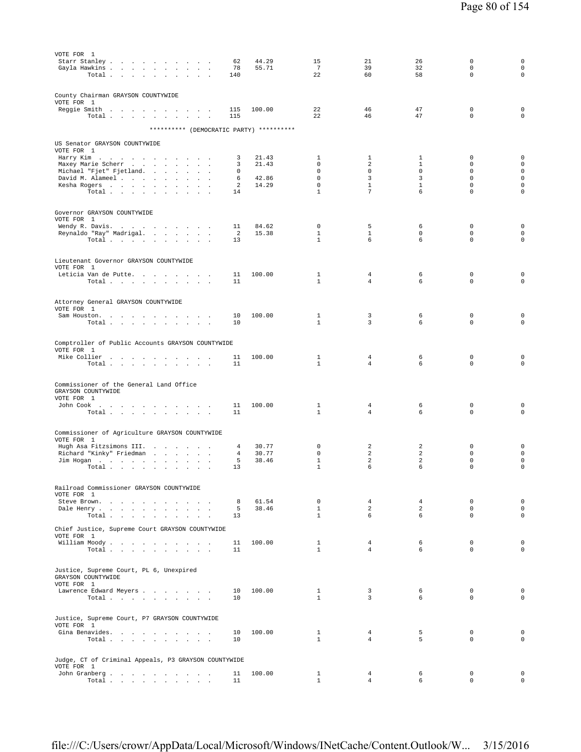| VOTE FOR 1                                                                                          |          |                |                              |                         |                   |                            |                                            |
|-----------------------------------------------------------------------------------------------------|----------|----------------|------------------------------|-------------------------|-------------------|----------------------------|--------------------------------------------|
| Starr Stanley<br>Gayla Hawkins                                                                      | 62<br>78 | 44.29<br>55.71 | 15<br>7                      | 21<br>39                | 26<br>32          | 0<br>$\mathbf 0$           | 0<br>$\mathbf 0$                           |
| Total                                                                                               | 140      |                | 22                           | 60                      | 58                | $\mathbf 0$                | $\mathbf 0$                                |
|                                                                                                     |          |                |                              |                         |                   |                            |                                            |
| County Chairman GRAYSON COUNTYWIDE                                                                  |          |                |                              |                         |                   |                            |                                            |
| VOTE FOR 1                                                                                          |          |                |                              |                         |                   |                            |                                            |
| Reggie Smith                                                                                        | 115      | 100.00         | 22                           | 46                      | 47                | $\mathbf 0$                | $\mathbf 0$                                |
| Total                                                                                               | 115      |                | 22                           | 46                      | 47                | $\mathbf 0$                | $\mathbf 0$                                |
| ********** (DEMOCRATIC PARTY) **********                                                            |          |                |                              |                         |                   |                            |                                            |
| US Senator GRAYSON COUNTYWIDE                                                                       |          |                |                              |                         |                   |                            |                                            |
| VOTE FOR 1                                                                                          |          |                |                              |                         |                   |                            |                                            |
| Harry Kim                                                                                           | 3        | 21.43          | $\mathbf{1}$                 | $\mathbf{1}$            | $\mathbf{1}$      | 0                          | 0                                          |
| Maxey Marie Scherr<br>Michael "Fjet" Fjetland.                                                      | 3        | 21.43          | 0<br>0                       | $\overline{a}$<br>0     | $\mathbf{1}$<br>0 | $\mathbf 0$<br>$\mathbf 0$ | $\mathsf{O}\xspace$<br>$\mathsf{O}\xspace$ |
| David M. Alameel                                                                                    | 0<br>6   | 42.86          | $\Omega$                     | 3                       | 3                 | $\Omega$                   | 0                                          |
| Kesha Rogers                                                                                        | 2        | 14.29          | $\mathbf 0$                  | $\mathbf{1}$            | $\mathbf{1}$      | $\mathbf 0$                | $\mathsf 0$                                |
| Total                                                                                               | 14       |                | $\mathbf{1}$                 | $7\overline{ }$         | 6                 | $\mathbf 0$                | $\mathbf 0$                                |
|                                                                                                     |          |                |                              |                         |                   |                            |                                            |
| Governor GRAYSON COUNTYWIDE                                                                         |          |                |                              |                         |                   |                            |                                            |
| VOTE FOR 1<br>Wendy R. Davis.                                                                       | 11       | 84.62          | $\mathbf 0$                  | 5                       | 6                 | $\mathbf 0$                | $\mathsf 0$                                |
| Reynaldo "Ray" Madrigal.                                                                            | 2        | 15.38          | $\mathbf{1}$                 | $\mathbf{1}$            | $\mathbf{0}$      | $\mathbf 0$                | 0                                          |
| Total $\cdots$ $\cdots$ $\cdots$                                                                    | 13       |                | $\mathbf{1}$                 | 6                       | 6                 | $\mathbf 0$                | $\mathbf 0$                                |
|                                                                                                     |          |                |                              |                         |                   |                            |                                            |
| Lieutenant Governor GRAYSON COUNTYWIDE                                                              |          |                |                              |                         |                   |                            |                                            |
| VOTE FOR 1<br>Leticia Van de Putte.                                                                 | 11       | 100.00         | $\mathbf{1}$                 | 4                       | 6                 | $\mathbf 0$                | $\mathbf 0$                                |
| Total                                                                                               | 11       |                | $\mathbf{1}$                 | $\overline{4}$          | 6                 | $\mathbf 0$                | $\mathbf 0$                                |
|                                                                                                     |          |                |                              |                         |                   |                            |                                            |
| Attorney General GRAYSON COUNTYWIDE                                                                 |          |                |                              |                         |                   |                            |                                            |
| VOTE FOR 1                                                                                          |          |                |                              |                         |                   |                            |                                            |
| Sam Houston.                                                                                        | 10       | 100.00         | $\mathbf{1}$<br>$\mathbf{1}$ | 3<br>3                  | 6                 | $\mathbf 0$<br>$\mathbf 0$ | $\mathsf 0$<br>$\mathbf 0$                 |
| Total $\cdots$ $\cdots$<br>the contract of the contract of                                          | 10       |                |                              |                         | 6                 |                            |                                            |
|                                                                                                     |          |                |                              |                         |                   |                            |                                            |
| Comptroller of Public Accounts GRAYSON COUNTYWIDE<br>VOTE FOR 1                                     |          |                |                              |                         |                   |                            |                                            |
| Mike Collier                                                                                        | 11       | 100.00         | $\mathbf{1}$                 | 4                       | 6                 | 0                          | $\mathsf 0$                                |
| Total                                                                                               | 11       |                | $\mathbf{1}$                 | $\overline{4}$          | 6                 | 0                          | $\mathbf 0$                                |
|                                                                                                     |          |                |                              |                         |                   |                            |                                            |
| Commissioner of the General Land Office                                                             |          |                |                              |                         |                   |                            |                                            |
| GRAYSON COUNTYWIDE<br>VOTE FOR 1                                                                    |          |                |                              |                         |                   |                            |                                            |
| John Cook $\qquad \qquad . \qquad . \qquad . \qquad . \qquad . \qquad . \qquad . \qquad . \qquad .$ | 11       | 100.00         | $\mathbf{1}$                 | $\overline{4}$          | 6                 | $\mathbf 0$                | 0                                          |
| Total $\cdots$ $\cdots$ $\cdots$                                                                    | 11       |                | $\mathbf{1}$                 | $\overline{4}$          | 6                 | $\mathbf 0$                | $\mathsf 0$                                |
|                                                                                                     |          |                |                              |                         |                   |                            |                                            |
| Commissioner of Agriculture GRAYSON COUNTYWIDE                                                      |          |                |                              |                         |                   |                            |                                            |
| VOTE FOR 1                                                                                          |          |                |                              |                         |                   |                            |                                            |
| Hugh Asa Fitzsimons III.<br>Richard "Kinky" Friedman<br>$\sim$                                      | 4<br>4   | 30.77<br>30.77 | 0<br>0                       | 2<br>2                  | 2<br>2            | 0<br>0                     | 0<br>0                                     |
| Jim Hogan                                                                                           | 5        | 38.46          | $1\,$                        | $\overline{a}$          | 2                 | $\mathbf 0$                | $\mathsf 0$                                |
| Total<br>$\overline{\phantom{a}}$                                                                   | 13       |                | $\mathbf{1}$                 | 6                       | 6                 | $\mathbf 0$                | $\mathbf 0$                                |
|                                                                                                     |          |                |                              |                         |                   |                            |                                            |
| Railroad Commissioner GRAYSON COUNTYWIDE                                                            |          |                |                              |                         |                   |                            |                                            |
| VOTE FOR 1<br>Steve Brown.                                                                          | 8        | 61.54          | $\mathbf{0}$                 | $\overline{4}$          | $\overline{4}$    | $\mathbf 0$                | 0                                          |
| Dale Henry                                                                                          | 5        | 38.46          | $\mathbf{1}$                 | $\overline{a}$          | $\overline{a}$    | $\Omega$                   | $\circ$                                    |
| Total<br>$\sim$                                                                                     | 13       |                | $\mathbf{1}$                 | 6                       | 6                 | 0                          | $\mathbf 0$                                |
| Chief Justice, Supreme Court GRAYSON COUNTYWIDE                                                     |          |                |                              |                         |                   |                            |                                            |
| VOTE FOR 1                                                                                          |          |                |                              |                         |                   |                            |                                            |
| William Moody.                                                                                      | 11       | 100.00         | $\mathbf{1}$                 | $\overline{4}$          | 6                 | $\mathbf{0}$               | $\mathbf 0$                                |
| Total                                                                                               | 11       |                | $\mathbf{1}$                 | $\overline{4}$          | 6                 | $\Omega$                   | 0                                          |
|                                                                                                     |          |                |                              |                         |                   |                            |                                            |
| Justice, Supreme Court, PL 6, Unexpired<br>GRAYSON COUNTYWIDE                                       |          |                |                              |                         |                   |                            |                                            |
| VOTE FOR 1                                                                                          |          |                |                              |                         |                   |                            |                                            |
| Lawrence Edward Meyers                                                                              | 10       | 100.00         | $\mathbf{1}$                 | $\overline{\mathbf{3}}$ | 6                 | $\mathbf{0}$               | 0                                          |
| Total                                                                                               | 10       |                | $\mathbf{1}$                 | $\overline{3}$          | 6                 | $\Omega$                   | 0                                          |
|                                                                                                     |          |                |                              |                         |                   |                            |                                            |
| Justice, Supreme Court, P7 GRAYSON COUNTYWIDE                                                       |          |                |                              |                         |                   |                            |                                            |
| VOTE FOR 1<br>Gina Benavides.                                                                       | 10       | 100.00         | $\mathbf{1}$                 | $\overline{4}$          | 5                 | 0                          | $\mathbf 0$                                |
| Total                                                                                               | 10       |                | $\mathbf{1}$                 | $\overline{4}$          | 5                 | 0                          | 0                                          |
|                                                                                                     |          |                |                              |                         |                   |                            |                                            |
| Judge, CT of Criminal Appeals, P3 GRAYSON COUNTYWIDE                                                |          |                |                              |                         |                   |                            |                                            |
| VOTE FOR 1                                                                                          |          |                |                              |                         |                   |                            |                                            |
| John Granberg<br>Total $\cdots$ $\cdots$ $\cdots$ $\cdots$                                          | 11<br>11 | 100.00         | $\mathbf{1}$<br>$\mathbf{1}$ | 4<br>$\overline{4}$     | 6<br>6            | $\mathbf 0$<br>0           | $\circ$<br>$\circ$                         |
|                                                                                                     |          |                |                              |                         |                   |                            |                                            |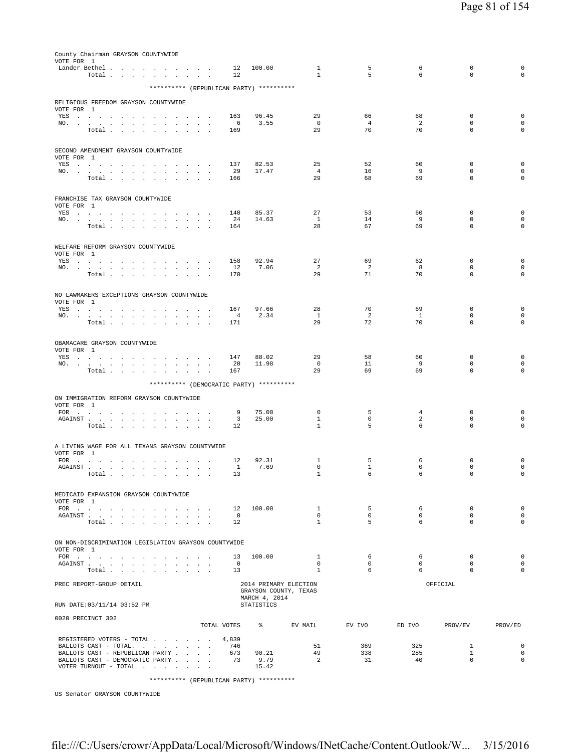| County Chairman GRAYSON COUNTYWIDE<br>VOTE FOR 1                                                                                                                                                                                                                     |                                    |                      |                   |                                |                      |              |                              |                                    |
|----------------------------------------------------------------------------------------------------------------------------------------------------------------------------------------------------------------------------------------------------------------------|------------------------------------|----------------------|-------------------|--------------------------------|----------------------|--------------|------------------------------|------------------------------------|
| Lander Bethel<br>Total                                                                                                                                                                                                                                               |                                    | 12<br>12             | 100.00            | $\mathbf{1}$<br>$\mathbf{1}$   | 5<br>5               | 6<br>6       | $\mathbb O$<br>$\Omega$      | $\mathsf{O}\xspace$<br>$\mathbf 0$ |
| ********** (REPUBLICAN PARTY) **********                                                                                                                                                                                                                             |                                    |                      |                   |                                |                      |              |                              |                                    |
|                                                                                                                                                                                                                                                                      |                                    |                      |                   |                                |                      |              |                              |                                    |
| RELIGIOUS FREEDOM GRAYSON COUNTYWIDE<br>VOTE FOR 1                                                                                                                                                                                                                   |                                    |                      |                   |                                |                      |              |                              |                                    |
| YES a contract of the contract of the contract of the set of the set of the set of the set of the set of the set of the set of the set of the set of the set of the set of the set of the set of the set of the set of the set<br>NO.<br>$\cdot$                     | $\cdot$                            | 163<br>6             | 96.45<br>3.55     | 29<br>$^{\circ}$               | 66<br>$\overline{4}$ | 68<br>2      | $\mathbf 0$<br>$\mathbf 0$   | $\mathbf 0$<br>$\mathbf 0$         |
| $\sim$<br>Total                                                                                                                                                                                                                                                      |                                    | 169                  |                   | 29                             | 70                   | 70           | $\mathbf 0$                  | 0                                  |
|                                                                                                                                                                                                                                                                      |                                    |                      |                   |                                |                      |              |                              |                                    |
| SECOND AMENDMENT GRAYSON COUNTYWIDE<br>VOTE FOR 1                                                                                                                                                                                                                    |                                    |                      |                   |                                |                      |              |                              |                                    |
| YES $\cdots$<br>the contract of the contract of                                                                                                                                                                                                                      |                                    | 137                  | 82.53             | 25                             | 52                   | 60           | 0                            | $\mathbf 0$                        |
| NO.<br>Total                                                                                                                                                                                                                                                         |                                    | 29<br>166            | 17.47             | $\overline{4}$<br>29           | 16<br>68             | 9<br>69      | $\mathbf 0$<br>$\mathbf 0$   | $\mathbf 0$<br>$\circ$             |
|                                                                                                                                                                                                                                                                      |                                    |                      |                   |                                |                      |              |                              |                                    |
| FRANCHISE TAX GRAYSON COUNTYWIDE                                                                                                                                                                                                                                     |                                    |                      |                   |                                |                      |              |                              |                                    |
| VOTE FOR 1<br>YES a contract of the contract of the contract of the set of the set of the set of the set of the set of the set of the set of the set of the set of the set of the set of the set of the set of the set of the set of the set                         |                                    | 140                  | 85.37             | 27                             | 53                   | 60           | 0                            | $\mathbf 0$                        |
| NO.                                                                                                                                                                                                                                                                  |                                    | 24                   | 14.63             | <sup>1</sup>                   | 14                   | 9            | 0<br>$\mathbf 0$             | $\mathbf 0$<br>$\circ$             |
| Total $\cdots$ $\cdots$ $\cdots$                                                                                                                                                                                                                                     |                                    | 164                  |                   | 28                             | 67                   | 69           |                              |                                    |
| WELFARE REFORM GRAYSON COUNTYWIDE                                                                                                                                                                                                                                    |                                    |                      |                   |                                |                      |              |                              |                                    |
| VOTE FOR 1<br>YES                                                                                                                                                                                                                                                    |                                    | 158                  | 92.94             | 27                             | 69                   | 62           | 0                            | $\mathbf 0$                        |
| NO.<br>$\sim$                                                                                                                                                                                                                                                        |                                    | 12                   | 7.06              | 2                              | 2                    | 8            | $\mathbf 0$                  | $\mathsf{O}\xspace$                |
| Total                                                                                                                                                                                                                                                                |                                    | 170                  |                   | 29                             | 71                   | 70           | $\mathbf 0$                  | $\mathbf 0$                        |
| NO LAWMAKERS EXCEPTIONS GRAYSON COUNTYWIDE                                                                                                                                                                                                                           |                                    |                      |                   |                                |                      |              |                              |                                    |
| VOTE FOR 1                                                                                                                                                                                                                                                           |                                    |                      |                   |                                |                      |              |                              |                                    |
| YES a contract of the contract of the contract of the set of the set of the set of the set of the set of the set of the set of the set of the set of the set of the set of the set of the set of the set of the set of the set<br>NO.                                |                                    | 167<br>4             | 97.66<br>2.34     | 28<br>$\mathbf{1}$             | 70<br>2              | 69<br>1      | $\mathbf 0$<br>0             | $\mathbf 0$<br>$\mathsf{O}\xspace$ |
| Total                                                                                                                                                                                                                                                                |                                    | 171                  |                   | 29                             | 72                   | 70           | $\Omega$                     | $\mathbf 0$                        |
| OBAMACARE GRAYSON COUNTYWIDE                                                                                                                                                                                                                                         |                                    |                      |                   |                                |                      |              |                              |                                    |
| VOTE FOR 1                                                                                                                                                                                                                                                           |                                    |                      |                   | 29                             |                      |              | $\mathbf 0$                  | $\mathbf 0$                        |
| YES<br>NO.                                                                                                                                                                                                                                                           |                                    | 147<br>20            | 88.02<br>11.98    | $^{\circ}$                     | 58<br>11             | 60<br>9      | $\mathbf 0$                  | $\mathsf{O}\xspace$                |
| Total                                                                                                                                                                                                                                                                |                                    | 167                  |                   | 29                             | 69                   | 69           | $\mathbf 0$                  | $\mathbf 0$                        |
| ********** (DEMOCRATIC PARTY) **********                                                                                                                                                                                                                             |                                    |                      |                   |                                |                      |              |                              |                                    |
| ON IMMIGRATION REFORM GRAYSON COUNTYWIDE                                                                                                                                                                                                                             |                                    |                      |                   |                                |                      |              |                              |                                    |
| VOTE FOR 1<br>$\texttt{FOR} \quad . \qquad . \qquad . \qquad . \qquad . \qquad . \qquad . \qquad . \qquad . \qquad .$<br>and a state of the state                                                                                                                    |                                    | 9                    | 75.00             | 0                              | 5                    | 4            | 0                            | $\mathbf 0$                        |
| AGAINST<br>$\sim$                                                                                                                                                                                                                                                    | $\sim$ $\sim$ $\sim$               | 3                    | 25.00             | $\mathbf{1}$                   | $\mathbf 0$          | 2            | $\mathbf 0$                  | $\mathbf 0$                        |
| Total                                                                                                                                                                                                                                                                |                                    | 12                   |                   | $\mathbf{1}$                   | 5                    | 6            | $\mathbf 0$                  | $\mathsf 0$                        |
| A LIVING WAGE FOR ALL TEXANS GRAYSON COUNTYWIDE                                                                                                                                                                                                                      |                                    |                      |                   |                                |                      |              |                              |                                    |
| VOTE FOR 1                                                                                                                                                                                                                                                           |                                    |                      |                   | 1                              |                      |              | 0                            | $\mathbf 0$                        |
| FOR $\cdots$ $\cdots$ $\cdots$ $\cdots$<br>AGAINST<br>$\sim$                                                                                                                                                                                                         | <b>Contract Contract</b><br>$\sim$ | 12<br>1              | 92.31<br>7.69     | 0                              | 5<br>$\mathbf{1}$    | 6<br>0       | 0                            | $\mathsf{O}\xspace$                |
| Total                                                                                                                                                                                                                                                                |                                    | 13                   |                   | $\mathbf{1}$                   | 6                    | 6            | $\mathbf 0$                  | $\mathsf{O}\xspace$                |
| MEDICAID EXPANSION GRAYSON COUNTYWIDE                                                                                                                                                                                                                                |                                    |                      |                   |                                |                      |              |                              |                                    |
| VOTE FOR 1                                                                                                                                                                                                                                                           |                                    |                      |                   |                                |                      |              |                              |                                    |
| FOR<br>${\tt AGAINST} \hspace{1.5cm} . \hspace{1.5cm} . \hspace{1.5cm} . \hspace{1.5cm} . \hspace{1.5cm} . \hspace{1.5cm} . \hspace{1.5cm} . \hspace{1.5cm} . \hspace{1.5cm} . \hspace{1.5cm} . \hspace{1.5cm} . \hspace{1.5cm} . \hspace{1.5cm} . \hspace{1.5cm} .$ |                                    | $\overline{0}$       | 12 100.00         | $\mathbf{1}$<br>$\overline{0}$ | 5<br>$\circ$         | 6<br>$\circ$ | $\mathbf{0}$<br>$\mathbf{0}$ | $\mathbf 0$<br>$\mathsf{O}\xspace$ |
| Total                                                                                                                                                                                                                                                                |                                    | 12                   |                   | $\mathbf{1}$                   | 5                    | 6            | $\Omega$                     | $\Omega$                           |
| ON NON-DISCRIMINATION LEGISLATION GRAYSON COUNTYWIDE                                                                                                                                                                                                                 |                                    |                      |                   |                                |                      |              |                              |                                    |
| VOTE FOR 1                                                                                                                                                                                                                                                           |                                    |                      |                   |                                |                      |              |                              |                                    |
| FOR $\cdots$<br>AGAINST                                                                                                                                                                                                                                              |                                    | 13<br>$\overline{0}$ | 100.00            | $\mathbf{1}$<br>$\mathbf 0$    | 6<br>$\circ$         | 6<br>$\circ$ | $\mathbf 0$<br>$\mathbf 0$   | $\mathbf 0$<br>$\mathbf 0$         |
| Total $\ldots$ $\ldots$ $\ldots$ $\ldots$                                                                                                                                                                                                                            |                                    | 13                   |                   | $\mathbf{1}$                   | 6                    | 6            | $\Omega$                     | $\Omega$                           |
| PREC REPORT-GROUP DETAIL                                                                                                                                                                                                                                             |                                    |                      |                   | 2014 PRIMARY ELECTION          |                      |              | OFFICIAL                     |                                    |
|                                                                                                                                                                                                                                                                      |                                    |                      | MARCH 4, 2014     | GRAYSON COUNTY, TEXAS          |                      |              |                              |                                    |
| RUN DATE: 03/11/14 03:52 PM                                                                                                                                                                                                                                          |                                    |                      | <b>STATISTICS</b> |                                |                      |              |                              |                                    |
| 0020 PRECINCT 302                                                                                                                                                                                                                                                    |                                    | TOTAL VOTES          |                   | EV MAIL                        | EV IVO               | ED IVO       | PROV/EV                      | PROV/ED                            |
| REGISTERED VOTERS - TOTAL 4,839                                                                                                                                                                                                                                      |                                    |                      |                   |                                |                      |              |                              |                                    |
| BALLOTS CAST - TOTAL. $\cdot \cdot \cdot \cdot \cdot \cdot$<br>BALLOTS CAST - REPUBLICAN PARTY                                                                                                                                                                       |                                    | 746<br>673           | 90.21             | 51<br>49                       | 369<br>338           | 325<br>285   | $\mathbf{1}$<br>$\mathbf{1}$ | $\mathbf 0$<br>$\circ$             |
| BALLOTS CAST - DEMOCRATIC PARTY                                                                                                                                                                                                                                      |                                    | 73                   | 9.79              | 2                              | 31                   | 40           | $\mathbf{0}$                 | $\mathbf 0$                        |
| VOTER TURNOUT - TOTAL $\ldots$                                                                                                                                                                                                                                       |                                    |                      | 15.42             |                                |                      |              |                              |                                    |

\*\*\*\*\*\*\*\*\*\* (REPUBLICAN PARTY) \*\*\*\*\*\*\*\*\*\*

US Senator GRAYSON COUNTYWIDE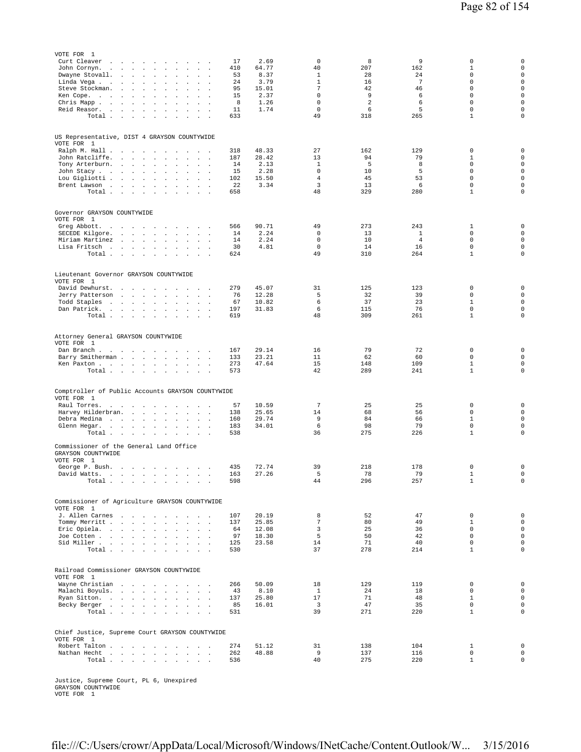| VOTE FOR 1                                                      |                                                                                                    |                                              |                                                                    |                                                          |            |                |                               |                |            |                              |                                            |
|-----------------------------------------------------------------|----------------------------------------------------------------------------------------------------|----------------------------------------------|--------------------------------------------------------------------|----------------------------------------------------------|------------|----------------|-------------------------------|----------------|------------|------------------------------|--------------------------------------------|
| Curt Cleaver                                                    | the contract of the con-                                                                           | $\ddot{\phantom{0}}$                         | $\mathbf{r}$<br>$\ddot{\phantom{1}}$                               | $\sim$                                                   | 17         | 2.69           | 0                             | 8              | 9          | 0                            | $\mathbf 0$                                |
| John Cornyn.<br>$\sim$                                          | <b>Contract Contract Street</b><br>$\sim$                                                          | $\sim$                                       | $\mathbf{r}$<br>$\sim$                                             | $\sim$<br>$\sim$                                         | 410        | 64.77          | 40                            | 207            | 162        | $\mathbf 1$                  | $\mathbf 0$                                |
| Dwayne Stovall.                                                 | $\sim$<br>$\ddot{\phantom{a}}$<br>$\sim$                                                           | $\sim$                                       |                                                                    |                                                          | 53<br>24   | 8.37<br>3.79   | 1<br>$\mathbf{1}$             | 28<br>16       | 24<br>7    | 0<br>$\mathbf 0$             | $\mathsf{O}\xspace$<br>$\mathsf{O}\xspace$ |
| Linda Vega<br>Steve Stockman.                                   | $\sim$<br>$\blacksquare$<br>$\mathbf{z} = \mathbf{z}$<br>$\sim$<br>$\cdot$<br>$\ddot{\phantom{a}}$ | $\cdot$<br>$\sim$<br>$\cdot$                 |                                                                    |                                                          | 95         | 15.01          | $7\phantom{.0}$               | 42             | 46         | $\mathbf 0$                  | $\mathsf{O}\xspace$                        |
| Ken Cope.<br>and a state                                        | $\mathbf{r}$<br>$\ddot{\phantom{a}}$                                                               | $\ddot{\phantom{a}}$<br>$\ddot{\phantom{a}}$ |                                                                    |                                                          | 15         | 2.37           | $\mathbf 0$                   | 9              | 6          | $\mathbf 0$                  | $\mathbf 0$                                |
| Chris Mapp                                                      |                                                                                                    | $\sim$                                       | $\mathbf{r}$<br>$\ddot{\phantom{a}}$                               | $\sim$                                                   | 8          | 1.26           | $\mathbb O$                   | $\overline{a}$ | 6          | 0                            | $\mathbf 0$                                |
| Reid Reasor.                                                    | $\sim$ $\sim$<br>$\ddot{\phantom{0}}$                                                              | $\sim$ $\sim$<br>$\sim$                      | $\mathbf{r}$<br>$\ddot{\phantom{0}}$                               | $\mathbf{r}$                                             | 11         | 1.74           | $\mathbb O$                   | 6              | 5          | $\mathsf 0$                  | $\mathsf{O}\xspace$                        |
| Total                                                           |                                                                                                    | $\sim$                                       | $\mathbf{r}$<br>$\overline{\phantom{a}}$                           |                                                          | 633        |                | 49                            | 318            | 265        | $1\,$                        | $\mathbf 0$                                |
| US Representative, DIST 4 GRAYSON COUNTYWIDE<br>VOTE FOR 1      |                                                                                                    |                                              |                                                                    |                                                          |            |                |                               |                |            |                              |                                            |
| Ralph M. Hall                                                   |                                                                                                    | $\sim$                                       | $\ddot{\phantom{a}}$<br>$\sim$                                     | $\sim$                                                   | 318        | 48.33          | 27                            | 162            | 129        | 0                            | $\mathbf 0$                                |
| John Ratcliffe.                                                 | $\sim$<br>$\sim 10^{-1}$<br>$\sim 10^{-1}$                                                         | $\sim$<br>$\ddot{\phantom{a}}$               | $\Box$<br>$\blacksquare$                                           | $\Delta$<br>$\ddot{\phantom{a}}$                         | 187        | 28.42          | 13                            | 94             | 79         | 1                            | $\mathsf{O}\xspace$                        |
| Tony Arterburn.                                                 | the company of the company                                                                         | $\ddot{\phantom{0}}$                         |                                                                    |                                                          | 14         | 2.13           | $\mathbf{1}$                  | 5              | 8          | $\mathbf 0$                  | $\mathbf 0$                                |
| John Stacy<br>Lou Gigliotti                                     | $\ddot{\phantom{0}}$<br>$\ddot{\phantom{a}}$                                                       | $\cdot$<br>$\blacksquare$                    |                                                                    |                                                          | 15<br>102  | 2.28<br>15.50  | $\mathbf 0$<br>$\overline{4}$ | 10<br>45       | 5<br>53    | 0<br>$\mathbf 0$             | $\mathsf{O}\xspace$<br>$\mathbf 0$         |
| Brent Lawson                                                    | $\ddot{\phantom{1}}$                                                                               | $\Box$<br>$\ddot{\phantom{a}}$               | $\ddot{\phantom{a}}$                                               | $\mathbf{r}$<br>$\ddot{\phantom{a}}$<br>$\sim$<br>$\sim$ | 22         | 3.34           | 3                             | 13             | 6          | 0                            | $\mathbf 0$                                |
| Total                                                           |                                                                                                    |                                              |                                                                    | $\sim$<br>$\sim$                                         | 658        |                | 48                            | 329            | 280        | $\mathbf{1}$                 | $\mathbf 0$                                |
|                                                                 |                                                                                                    |                                              |                                                                    |                                                          |            |                |                               |                |            |                              |                                            |
| Governor GRAYSON COUNTYWIDE<br>VOTE FOR 1                       |                                                                                                    |                                              |                                                                    |                                                          |            |                |                               |                |            |                              |                                            |
| Greg Abbott.                                                    | the contract of the contract of the                                                                |                                              |                                                                    | $\sim$                                                   | 566        | 90.71          | 49                            | 273            | 243        | 1                            | $\mathbf 0$<br>$\mathsf{O}\xspace$         |
| SECEDE Kilgore.<br>Miriam Martinez                              | the contract of the state of the<br>$\sim$<br>$\sim$ $\sim$<br>$\sim$                              | $\sim$<br>$\sim$                             | $\sim$<br>$\sim$                                                   | $\mathcal{A}$<br>$\sim$                                  | 14<br>14   | 2.24<br>2.24   | 0<br>$\mathbb O$              | 13<br>10       | 1<br>4     | 0<br>0                       | $\mathsf{O}\xspace$                        |
| Lisa Fritsch                                                    |                                                                                                    |                                              | $\ddot{\phantom{0}}$<br>$\overline{\phantom{a}}$                   | $\sim$                                                   | 30         | 4.81           | $\mathbf 0$                   | 14             | 16         | $\mathbf 0$                  | $\mathsf{O}\xspace$                        |
| Total                                                           |                                                                                                    | $\sim$                                       | $\ddot{\phantom{a}}$<br>$\sim$                                     | $\sim 100$<br>$\ddot{\phantom{1}}$                       | 624        |                | 49                            | 310            | 264        | $\mathbf{1}$                 | $\mathsf 0$                                |
| Lieutenant Governor GRAYSON COUNTYWIDE<br>VOTE FOR 1            |                                                                                                    |                                              |                                                                    |                                                          |            |                |                               |                |            |                              |                                            |
| David Dewhurst.                                                 | and the control of the                                                                             | $\sim$                                       | $\cdot$<br>$\sim$                                                  | $\sim$                                                   | 279        | 45.07          | 31                            | 125            | 123        | 0                            | $\mathsf 0$                                |
| Jerry Patterson                                                 | and the contract of the                                                                            | $\cdot$                                      | $\ddot{\phantom{a}}$                                               | $\mathbf{r}$<br>$\mathcal{L}_{\mathbf{z}}$               | 76         | 12.28          | 5                             | 32             | 39         | $\mathbf 0$                  | $\mathbf 0$                                |
| Todd Staples                                                    | the contract of the con-                                                                           | $\ddot{\phantom{a}}$                         | $\cdot$<br>$\ddot{\phantom{a}}$                                    | $\sim$                                                   | 67         | 10.82          | 6                             | 37             | 23         | $\mathbf{1}$                 | $\mathbf 0$                                |
| Dan Patrick.<br><b>Carl Carl</b><br>Total                       | $\sim$ $\sim$<br>$\sim 10^{-1}$ km $^{-1}$                                                         | $\ddot{\phantom{0}}$<br>$\sim 10^{-11}$      | $\mathbf{r}$<br>$\sim$<br>$\sim$ $\sim$                            | $\sim$ $\sim$ $\sim$                                     | 197<br>619 | 31.83          | 6<br>48                       | 115<br>309     | 76<br>261  | $\mathbf 0$<br>$1\,$         | $\mathbf 0$<br>$\mathbf 0$                 |
|                                                                 |                                                                                                    |                                              |                                                                    |                                                          |            |                |                               |                |            |                              |                                            |
| Attorney General GRAYSON COUNTYWIDE<br>VOTE FOR 1               |                                                                                                    |                                              |                                                                    |                                                          |            |                |                               |                |            |                              |                                            |
| Dan Branch                                                      |                                                                                                    | $\sim$                                       | $\sim$ $\sim$                                                      | $\sim$                                                   | 167        | 29.14          | 16                            | 79             | 72         | 0                            | $\mathbf 0$                                |
| Barry Smitherman.                                               | $\mathbf{u} = \mathbf{u} + \mathbf{u}$ .                                                           | $\ddot{\phantom{a}}$                         | $\Box$<br>$\cdot$                                                  | $\Delta$<br>$\ddot{\phantom{a}}$                         | 133        | 23.21          | 11                            | 62             | 60         | 0                            | $\mathsf{O}\xspace$                        |
| Ken Paxton<br>Total                                             | <b>Carl Carl Carl</b>                                                                              | $\ddot{\phantom{a}}$                         | $\sim$<br>$\ddot{\phantom{0}}$                                     | $\sim$ $\sim$                                            | 273<br>573 | 47.64          | 15<br>42                      | 148<br>289     | 109<br>241 | $\mathbf{1}$<br>$\mathbf{1}$ | $\mathsf{O}\xspace$<br>$\mathbf 0$         |
|                                                                 |                                                                                                    |                                              |                                                                    |                                                          |            |                |                               |                |            |                              |                                            |
| Comptroller of Public Accounts GRAYSON COUNTYWIDE<br>VOTE FOR 1 |                                                                                                    |                                              |                                                                    |                                                          |            |                |                               |                |            |                              |                                            |
| Raul Torres.<br>$\sim$                                          | $\sim$<br>$\sim$<br>$\sim$                                                                         | $\ddot{\phantom{1}}$<br>$\ddot{\phantom{1}}$ |                                                                    |                                                          | 57         | 10.59          | $\overline{7}$                | 25             | 25         | 0                            | $\mathsf{O}\xspace$                        |
| Harvey Hilderbran.                                              | <b>Carl Carl</b>                                                                                   | $\sim$ $\sim$<br>$\ddot{\phantom{a}}$        |                                                                    | $\mathbf{r}$                                             | 138        | 25.65<br>29.74 | 14                            | 68<br>84       | 56         | $\mathbf 0$<br>$\mathbf{1}$  | $\mathsf{O}\xspace$<br>$\mathbf 0$         |
| Debra Medina<br>Glenn Hegar.                                    | $\sim$<br>$\sim$<br>the company of the company                                                     | $\sim$<br>$\sim$<br>$\blacksquare$ .         | $\cdot$<br>$\ddot{\phantom{a}}$<br>$\cdot$<br>$\ddot{\phantom{a}}$ | $\sim$<br>$\cdot$                                        | 160<br>183 | 34.01          | 9<br>6                        | 98             | 66<br>79   | $\mathbf 0$                  | $\mathbf 0$                                |
| Total                                                           |                                                                                                    |                                              |                                                                    |                                                          | 538        |                | 36                            | 275            | 226        | $\mathbf 1$                  | $\mathbf 0$                                |
| Commissioner of the General Land Office<br>GRAYSON COUNTYWIDE   |                                                                                                    |                                              |                                                                    |                                                          |            |                |                               |                |            |                              |                                            |
| VOTE FOR 1<br>George P. Bush.                                   | the company of the company of the                                                                  |                                              |                                                                    |                                                          | 435        | 72.74          | 39                            | 218            | 178        | 0                            | 0                                          |
| David Watts.                                                    |                                                                                                    | the contract of the contract of the          |                                                                    | $\overline{\phantom{a}}$                                 | 163        | 27.26          | 5                             | 78             | 79         | $\mathbf 1$                  | 0                                          |
| Total                                                           |                                                                                                    |                                              |                                                                    |                                                          | 598        |                | 44                            | 296            | 257        | $\mathbf 1$                  | $\mathsf{O}\xspace$                        |
| Commissioner of Agriculture GRAYSON COUNTYWIDE                  |                                                                                                    |                                              |                                                                    |                                                          |            |                |                               |                |            |                              |                                            |
| VOTE FOR 1<br>J. Allen Carnes                                   |                                                                                                    |                                              |                                                                    |                                                          | 107        | 20.19          | 8                             | 52             | 47         | $\mathbf 0$                  | $\mathsf{O}\xspace$                        |
| Tommy Merritt                                                   |                                                                                                    |                                              |                                                                    | <b>Carl Carl Carl</b>                                    | 137        | 25.85          | $\overline{7}$                | 80             | 49         | $\mathbf{1}$                 | $\mathsf{O}\xspace$                        |
| Eric Opiela.                                                    |                                                                                                    |                                              |                                                                    | <b>Sales Advised Street</b>                              | 64         | 12.08          | 3                             | 25             | 36         | $\Omega$                     | $\mathsf{O}\xspace$                        |
| Joe Cotten                                                      |                                                                                                    |                                              |                                                                    | and a control                                            | 97         | 18.30          | 5                             | 50             | 42         | $\mathbf 0$                  | $\mathsf{O}\xspace$                        |
| Sid Miller<br>Total                                             |                                                                                                    |                                              |                                                                    |                                                          | 125<br>530 | 23.58          | 14<br>37                      | 71<br>278      | 40<br>214  | $\mathbf 0$<br>$\mathbf{1}$  | $\mathbf 0$<br>$\mathbf 0$                 |
|                                                                 |                                                                                                    |                                              |                                                                    |                                                          |            |                |                               |                |            |                              |                                            |
| Railroad Commissioner GRAYSON COUNTYWIDE<br>VOTE FOR 1          |                                                                                                    |                                              |                                                                    |                                                          |            |                |                               |                |            |                              |                                            |
| Wayne Christian                                                 |                                                                                                    |                                              |                                                                    |                                                          | 266        | 50.09          | 18                            | 129            | 119        | 0                            | $\mathbf 0$                                |
| Malachi Boyuls.                                                 |                                                                                                    |                                              | $\sim$                                                             | $\sim 10^{-11}$ .                                        | 43         | 8.10           | <sup>1</sup>                  | 24             | 18         | $\mathbf 0$                  | $\mathbf 0$                                |
| Ryan Sitton.<br>Becky Berger                                    |                                                                                                    |                                              | $\sim$                                                             |                                                          | 137<br>85  | 25.80<br>16.01 | 17<br>$\overline{3}$          | 71<br>47       | 48<br>35   | $\mathbf{1}$<br>$\mathbb O$  | $\mathsf{O}\xspace$<br>$\mathsf{O}\xspace$ |
| Total                                                           |                                                                                                    |                                              |                                                                    |                                                          | 531        |                | 39                            | 271            | 220        | $\mathbf{1}$                 | $\mathsf{O}\xspace$                        |
|                                                                 |                                                                                                    |                                              |                                                                    |                                                          |            |                |                               |                |            |                              |                                            |
| Chief Justice, Supreme Court GRAYSON COUNTYWIDE<br>VOTE FOR 1   |                                                                                                    |                                              |                                                                    |                                                          |            |                |                               |                |            |                              |                                            |
| Robert Talton                                                   |                                                                                                    |                                              |                                                                    | $\sim$                                                   | 274        | 51.12          | 31                            | 138            | 104        | $\mathbf{1}$                 | $\mathsf{O}\xspace$                        |
| Nathan Hecht                                                    |                                                                                                    |                                              |                                                                    | $\ddot{\phantom{1}}$                                     | 262        | 48.88          | 9                             | 137            | 116        | $\mathbb O$                  | $\mathsf{O}\xspace$                        |
| Total                                                           |                                                                                                    |                                              |                                                                    |                                                          | 536        |                | 40                            | 275            | 220        | $\mathbf{1}$                 | $\mathsf{O}\xspace$                        |

Justice, Supreme Court, PL 6, Unexpired GRAYSON COUNTYWIDE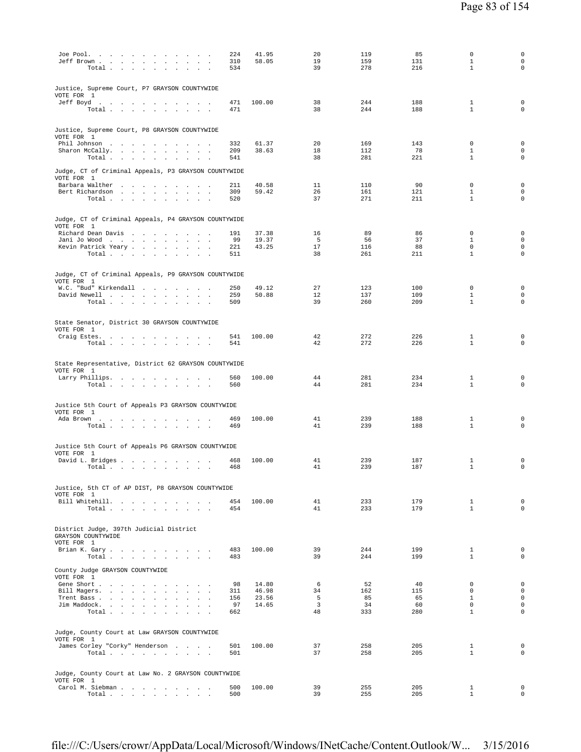| Joe Pool.<br>$\ddot{\phantom{a}}$<br>Jeff Brown<br>Total<br>$\ddot{\phantom{a}}$<br>$\mathbf{r}$<br>$\sim$           | 224<br>310<br>534 | 41.95<br>58.05 | 20<br>19<br>39                | 119<br>159<br>278 | 85<br>131<br>216 | $\mathbf 0$<br>$\mathbf{1}$<br>$\mathbf{1}$ | 0<br>$\mathsf{O}\xspace$<br>$\mathbf 0$ |
|----------------------------------------------------------------------------------------------------------------------|-------------------|----------------|-------------------------------|-------------------|------------------|---------------------------------------------|-----------------------------------------|
| Justice, Supreme Court, P7 GRAYSON COUNTYWIDE<br>VOTE FOR 1<br>Jeff Boyd.                                            | 471               | 100.00         | 38                            | 244               | 188              | 1                                           | $\mathbf 0$                             |
| Total                                                                                                                | 471               |                | 38                            | 244               | 188              | $\mathbf{1}$                                | $\mathbf 0$                             |
| Justice, Supreme Court, P8 GRAYSON COUNTYWIDE<br>VOTE FOR 1<br>Phil Johnson                                          | 332               | 61.37          | 20                            | 169               | 143              | $\mathbf 0$                                 | $\mathbf 0$                             |
| Sharon McCally.<br>$\sim$<br><b>Service</b><br>Total $\ldots$ $\ldots$ $\ldots$ $\ldots$                             | 209<br>541        | 38.63          | 18<br>38                      | 112<br>281        | 78<br>221        | $\mathbf{1}$<br>$\mathbf{1}$                | $\mathsf{O}\xspace$<br>$\mathbf 0$      |
| Judge, CT of Criminal Appeals, P3 GRAYSON COUNTYWIDE<br>VOTE FOR 1<br>Barbara Walther                                | 211               | 40.58          | 11                            | 110               | 90               | 0                                           | $\mathbf 0$                             |
| Bert Richardson<br>Total<br>$\sim 100$                                                                               | 309<br>520        | 59.42          | 26<br>37                      | 161<br>271        | 121<br>211       | $\mathbf{1}$<br>$\mathbf{1}$                | $\mathsf{O}\xspace$<br>$\mathbf 0$      |
| Judge, CT of Criminal Appeals, P4 GRAYSON COUNTYWIDE<br>VOTE FOR 1                                                   |                   |                |                               |                   |                  |                                             |                                         |
| Richard Dean Davis                                                                                                   | 191               | 37.38          | 16                            | 89                | 86               | 0                                           | $\mathbf 0$                             |
| Jani Jo Wood<br>Kevin Patrick Yeary                                                                                  | 99<br>221         | 19.37<br>43.25 | 5<br>17                       | 56<br>116         | 37<br>88         | $\mathbf{1}$<br>$\mathbf 0$                 | $\mathbf 0$<br>$\mathbf 0$              |
| Total                                                                                                                | 511               |                | 38                            | 261               | 211              | $\mathbf{1}$                                | $\mathbf 0$                             |
| Judge, CT of Criminal Appeals, P9 GRAYSON COUNTYWIDE<br>VOTE FOR 1                                                   |                   |                |                               |                   |                  |                                             |                                         |
| W.C. "Bud" Kirkendall<br>David Newell                                                                                | 250<br>259        | 49.12<br>50.88 | 27<br>12                      | 123<br>137        | 100<br>109       | $\mathbf 0$<br>$\mathbf{1}$                 | $\mathbf 0$<br>$\mathbf 0$              |
| Total                                                                                                                | 509               |                | 39                            | 260               | 209              | $\mathbf{1}$                                | $\mathbf 0$                             |
| State Senator, District 30 GRAYSON COUNTYWIDE<br>VOTE FOR 1                                                          |                   |                |                               |                   |                  |                                             |                                         |
| Craig Estes.<br>Total                                                                                                | 541<br>541        | 100.00         | 42<br>42                      | 272<br>272        | 226<br>226       | $\mathbf{1}$<br>$\mathbf{1}$                | $\mathbf 0$<br>$\mathbf 0$              |
| State Representative, District 62 GRAYSON COUNTYWIDE<br>VOTE FOR 1                                                   |                   |                |                               |                   |                  |                                             |                                         |
| Larry Phillips.<br>Total $\ldots$ $\ldots$ $\ldots$ $\ldots$                                                         | 560<br>560        | 100.00         | 44<br>44                      | 281<br>281        | 234<br>234       | $\mathbf{1}$<br>1                           | 0<br>$\mathbf 0$                        |
| Justice 5th Court of Appeals P3 GRAYSON COUNTYWIDE                                                                   |                   |                |                               |                   |                  |                                             |                                         |
| VOTE FOR 1<br>Ada Brown                                                                                              | 469               | 100.00         | 41                            | 239               | 188              | $\mathbf{1}$                                | $\mathbf 0$                             |
| Total                                                                                                                | 469               |                | 41                            | 239               | 188              | $\mathbf{1}$                                | $\mathbf 0$                             |
| Justice 5th Court of Appeals P6 GRAYSON COUNTYWIDE<br>VOTE FOR 1                                                     |                   |                |                               |                   |                  |                                             |                                         |
| David L. Bridges<br>$\texttt{Total} \quad . \quad . \quad . \quad . \quad . \quad . \quad . \quad . \quad . \quad .$ | 468<br>468        | 100.00         | 41<br>41                      | 239<br>239        | 187<br>187       | 1<br>$\mathbf{1}$                           | 0<br>$\mathbf 0$                        |
| Justice, 5th CT of AP DIST, P8 GRAYSON COUNTYWIDE                                                                    |                   |                |                               |                   |                  |                                             |                                         |
| VOTE FOR 1<br>Bill Whitehill.                                                                                        | 454               | 100.00         | 41                            | 233               | 179              | $\mathbf{1}$                                | $\mathbf 0$                             |
| Total                                                                                                                | 454               |                | 41                            | 233               | 179              | $\mathbf{1}$                                | $\circ$                                 |
| District Judge, 397th Judicial District<br>GRAYSON COUNTYWIDE                                                        |                   |                |                               |                   |                  |                                             |                                         |
| VOTE FOR 1<br>Brian K. Gary                                                                                          | 483               | 100.00         | 39                            | 244               | 199              | $\mathbf{1}$                                | $\mathbf 0$                             |
| Total                                                                                                                | 483               |                | 39                            | 244               | 199              | $\mathbf{1}$                                | $\circ$                                 |
| County Judge GRAYSON COUNTYWIDE<br>VOTE FOR 1                                                                        |                   |                |                               |                   |                  |                                             |                                         |
| Gene Short<br>Bill Magers.                                                                                           | 98<br>311         | 14.80<br>46.98 | 6<br>34                       | 52<br>162         | 40<br>115        | $^{\circ}$<br>$\mathbf{0}$                  | $\mathbf 0$<br>$\circ$                  |
| Trent Bass                                                                                                           | 156               | 23.56          | 5                             | 85                | 65               | $\mathbf{1}$                                | $\mathsf{O}\xspace$                     |
| Jim Maddock.<br>Total                                                                                                | 97<br>662         | 14.65          | $\overline{\mathbf{3}}$<br>48 | 34<br>333         | 60<br>280        | $\Omega$<br>$\mathbf{1}$                    | $\circ$<br>$\circ$                      |
| Judge, County Court at Law GRAYSON COUNTYWIDE                                                                        |                   |                |                               |                   |                  |                                             |                                         |
| VOTE FOR 1<br>James Corley "Corky" Henderson                                                                         | 501               | 100.00         | 37                            | 258               | 205              | $\mathbf{1}$                                | $\mathbf 0$                             |
| Total                                                                                                                | 501               |                | 37                            | 258               | 205              | $\mathbf{1}$                                | $\Omega$                                |
| Judge, County Court at Law No. 2 GRAYSON COUNTYWIDE                                                                  |                   |                |                               |                   |                  |                                             |                                         |
| VOTE FOR 1<br>Carol M. Siebman<br>Total $\cdots$ $\cdots$ $\cdots$ $\cdots$                                          | 500<br>500        | 100.00         | 39<br>39                      | 255<br>255        | 205<br>205       | $\mathbf{1}$<br>$\mathbf{1}$                | $\mathbf 0$<br>$\circ$                  |
|                                                                                                                      |                   |                |                               |                   |                  |                                             |                                         |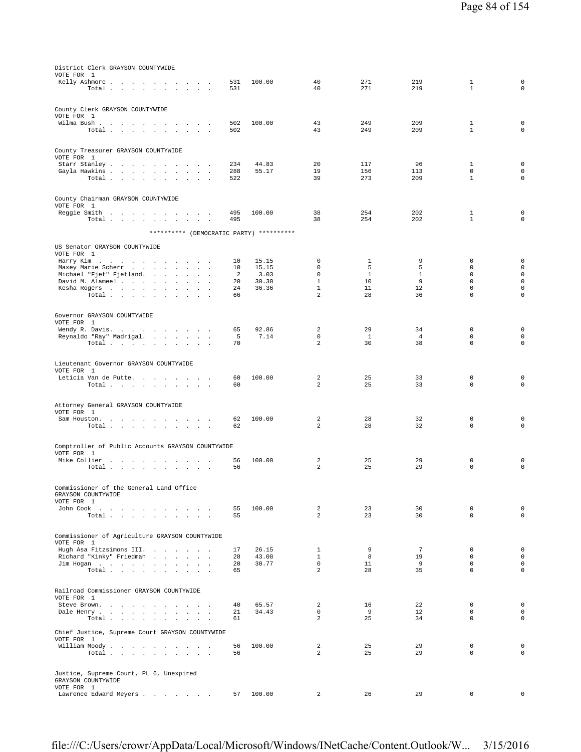| District Clerk GRAYSON COUNTYWIDE<br>VOTE FOR 1                                                        |            |                |                             |                    |                      |                            |                                    |
|--------------------------------------------------------------------------------------------------------|------------|----------------|-----------------------------|--------------------|----------------------|----------------------------|------------------------------------|
| Kelly Ashmore                                                                                          | 531        | 100.00         | 40                          | 271                | 219                  | $\mathbf{1}$               | $\mathbf 0$                        |
| Total                                                                                                  | 531        |                | 40                          | 271                | 219                  | $\mathbf{1}$               | $\mathbf 0$                        |
| County Clerk GRAYSON COUNTYWIDE                                                                        |            |                |                             |                    |                      |                            |                                    |
| VOTE FOR 1                                                                                             |            |                |                             |                    |                      |                            |                                    |
| Wilma Bush<br>Total $\ldots$ $\ldots$ $\ldots$ $\ldots$                                                | 502<br>502 | 100.00         | 43<br>43                    | 249<br>249         | 209<br>209           | 1<br>$\mathbf{1}$          | 0<br>0                             |
|                                                                                                        |            |                |                             |                    |                      |                            |                                    |
| County Treasurer GRAYSON COUNTYWIDE                                                                    |            |                |                             |                    |                      |                            |                                    |
| VOTE FOR 1                                                                                             | 234        | 44.83          | 20                          | 117                | 96                   | 1                          | $\mathbf 0$                        |
| Gayla Hawkins<br>$\overline{\phantom{a}}$                                                              | 288        | 55.17          | 19                          | 156                | 113                  | $\mathbf 0$                | $\mathbf 0$                        |
| Total<br>$\cdot$                                                                                       | 522        |                | 39                          | 273                | 209                  | $\mathbf{1}$               | $\mathbf 0$                        |
| County Chairman GRAYSON COUNTYWIDE                                                                     |            |                |                             |                    |                      |                            |                                    |
| VOTE FOR 1                                                                                             |            |                |                             |                    |                      |                            |                                    |
| Reggie Smith<br>Total $\cdots$ $\cdots$ $\cdots$<br>$\sim$                                             | 495<br>495 | 100.00         | 38<br>38                    | 254<br>254         | 202<br>202           | 1<br>$\mathbf{1}$          | 0<br>0                             |
|                                                                                                        |            |                |                             |                    |                      |                            |                                    |
| ********** (DEMOCRATIC PARTY) **********                                                               |            |                |                             |                    |                      |                            |                                    |
| US Senator GRAYSON COUNTYWIDE<br>VOTE FOR 1                                                            |            |                |                             |                    |                      |                            |                                    |
| Harry Kim                                                                                              | 10         | 15.15          | 0                           | 1                  | 9                    | 0                          | $\mathbf 0$                        |
| Maxey Marie Scherr                                                                                     | 10         | 15.15          | $\mathbf 0$                 | 5                  | 5                    | $\mathbf 0$                | $\mathsf{O}\xspace$                |
| Michael "Fjet" Fjetland.<br>the company of the company<br>David M. Alameel<br>$\cdot$<br>$\sim$ $\sim$ | 2<br>20    | 3.03<br>30.30  | $\mathbf 0$<br>$\mathbf{1}$ | $\mathbf{1}$<br>10 | $\mathbf{1}$<br>9    | $\mathbf 0$<br>$\mathbf 0$ | $\mathbf 0$<br>$\mathbf 0$         |
| Kesha Rogers                                                                                           | 24         | 36.36          | $\mathbf{1}$                | 11                 | 12                   | 0                          | $\mathbf 0$                        |
| Total                                                                                                  | 66         |                | 2                           | 28                 | 36                   | $\mathbf 0$                | $\mathbf 0$                        |
|                                                                                                        |            |                |                             |                    |                      |                            |                                    |
| Governor GRAYSON COUNTYWIDE<br>VOTE FOR 1                                                              |            |                |                             |                    |                      |                            |                                    |
| Wendy R. Davis.                                                                                        | 65         | 92.86          | 2                           | 29                 | 34                   | 0                          | $\mathbf 0$                        |
| Reynaldo "Ray" Madrigal.<br>Total                                                                      | 5<br>70    | 7.14           | 0<br>2                      | <sup>1</sup><br>30 | $\overline{4}$<br>38 | $\mathbf 0$<br>0           | $\mathbf 0$<br>$\mathbf 0$         |
|                                                                                                        |            |                |                             |                    |                      |                            |                                    |
| Lieutenant Governor GRAYSON COUNTYWIDE                                                                 |            |                |                             |                    |                      |                            |                                    |
| VOTE FOR 1                                                                                             |            |                |                             |                    |                      |                            |                                    |
| Leticia Van de Putte.<br>Total                                                                         | 60<br>60   | 100.00         | 2<br>2                      | 25<br>25           | 33<br>33             | 0<br>$\mathbf 0$           | $\mathbf 0$<br>$\mathbf 0$         |
|                                                                                                        |            |                |                             |                    |                      |                            |                                    |
| Attorney General GRAYSON COUNTYWIDE                                                                    |            |                |                             |                    |                      |                            |                                    |
| VOTE FOR 1                                                                                             |            |                |                             |                    |                      |                            |                                    |
| Sam Houston.<br>Total $\cdots$ $\cdots$ $\cdots$<br>the contract of the                                | 62<br>62   | 100.00         | 2<br>2                      | 28<br>28           | 32<br>32             | 0<br>0                     | 0<br>0                             |
|                                                                                                        |            |                |                             |                    |                      |                            |                                    |
| Comptroller of Public Accounts GRAYSON COUNTYWIDE                                                      |            |                |                             |                    |                      |                            |                                    |
| VOTE FOR 1                                                                                             |            |                |                             |                    |                      |                            |                                    |
| Mike Collier<br>Total                                                                                  | 56<br>56   | 100.00         | 2<br>2                      | 25<br>25           | 29<br>29             | 0<br>$\mathbf 0$           | 0<br>0                             |
|                                                                                                        |            |                |                             |                    |                      |                            |                                    |
| Commissioner of the General Land Office                                                                |            |                |                             |                    |                      |                            |                                    |
| GRAYSON COUNTYWIDE                                                                                     |            |                |                             |                    |                      |                            |                                    |
| VOTE FOR 1<br>John Cook<br>the contract of the contract of the contract of                             | 55         | 100.00         | $\overline{a}$              | 23                 | 30                   | 0                          | $\mathbf 0$                        |
| Total $\cdots$ $\cdots$ $\cdots$                                                                       | 55         |                | 2                           | 23                 | 30                   | $\Omega$                   | $\mathbf 0$                        |
|                                                                                                        |            |                |                             |                    |                      |                            |                                    |
| Commissioner of Agriculture GRAYSON COUNTYWIDE                                                         |            |                |                             |                    |                      |                            |                                    |
| VOTE FOR 1<br>Hugh Asa Fitzsimons III.                                                                 | 17         | 26.15          | 1                           | 9                  | 7                    | $\mathbf 0$                | $\mathsf{O}\xspace$                |
| Richard "Kinky" Friedman                                                                               | 28         | 43.08          | $\mathbf{1}$                | 8                  | 19                   | $\mathbf 0$                | $\mathbf 0$                        |
| Jim Hogan<br>Total                                                                                     | 20<br>65   | 30.77          | $\mathbf{0}$<br>2           | 11<br>28           | 9<br>35              | $\mathbf 0$<br>$\mathbf 0$ | $\mathbf 0$<br>$\mathsf{O}\xspace$ |
|                                                                                                        |            |                |                             |                    |                      |                            |                                    |
| Railroad Commissioner GRAYSON COUNTYWIDE                                                               |            |                |                             |                    |                      |                            |                                    |
| VOTE FOR 1                                                                                             |            |                |                             |                    |                      |                            |                                    |
| Steve Brown.<br>Dale Henry<br>and the control                                                          | 40<br>21   | 65.57<br>34.43 | 2<br>$\mathbf 0$            | 16<br>9            | 22<br>12             | 0<br>$\mathbf 0$           | $\mathbf 0$<br>$\mathbf 0$         |
| Total                                                                                                  | 61         |                | $\overline{a}$              | 25                 | 34                   | $\mathbf 0$                | $\mathsf{O}\xspace$                |
| Chief Justice, Supreme Court GRAYSON COUNTYWIDE                                                        |            |                |                             |                    |                      |                            |                                    |
| VOTE FOR 1                                                                                             |            |                |                             |                    |                      |                            |                                    |
| William Moody.                                                                                         | 56         | 100.00         | 2<br>2                      | 25<br>25           | 29<br>29             | $\mathbf 0$<br>$\mathbf 0$ | $\mathbf 0$<br>$\mathbf 0$         |
| Total $\cdots$ $\cdots$ $\cdots$ $\cdots$                                                              | 56         |                |                             |                    |                      |                            |                                    |
|                                                                                                        |            |                |                             |                    |                      |                            |                                    |
| Justice, Supreme Court, PL 6, Unexpired<br>GRAYSON COUNTYWIDE                                          |            |                |                             |                    |                      |                            |                                    |
| VOTE FOR 1                                                                                             |            | 100.00         | 2                           | 26                 | 29                   | 0                          | 0                                  |
| Lawrence Edward Meyers                                                                                 | 57         |                |                             |                    |                      |                            |                                    |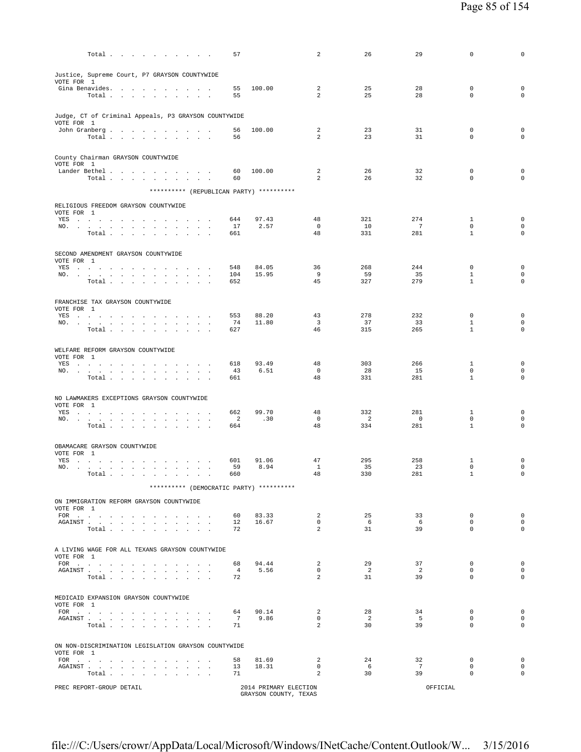| Total                                                                                            | 57                    |                       | 2                                | 26                    | 29                    | 0                           | 0                                          |
|--------------------------------------------------------------------------------------------------|-----------------------|-----------------------|----------------------------------|-----------------------|-----------------------|-----------------------------|--------------------------------------------|
| Justice, Supreme Court, P7 GRAYSON COUNTYWIDE                                                    |                       |                       |                                  |                       |                       |                             |                                            |
| VOTE FOR 1<br>Gina Benavides.                                                                    | 55                    | 100.00                | 2                                | 25                    | 28                    | $\mathbf 0$                 | $\mathbf 0$                                |
| Total                                                                                            | 55                    |                       | $\overline{a}$                   | 25                    | 28                    | $\mathbf 0$                 | $\circ$                                    |
| Judge, CT of Criminal Appeals, P3 GRAYSON COUNTYWIDE                                             |                       |                       |                                  |                       |                       |                             |                                            |
| VOTE FOR 1<br>John Granberg                                                                      | 56                    | 100.00                | 2                                | 23                    | 31                    | $\mathbf 0$                 | $\mathbf 0$                                |
| Total $\cdots$ $\cdots$ $\cdots$                                                                 | 56                    |                       | $\overline{a}$                   | 23                    | 31                    | $\mathbf 0$                 | $\mathbf 0$                                |
| County Chairman GRAYSON COUNTYWIDE                                                               |                       |                       |                                  |                       |                       |                             |                                            |
| VOTE FOR 1                                                                                       |                       |                       |                                  |                       |                       |                             |                                            |
| Lander Bethel<br>Total                                                                           | 60<br>60              | 100.00                | 2<br>2                           | 26<br>26              | 32<br>32              | $^{\circ}$<br>$\mathbf 0$   | $\mathbf 0$<br>$\mathbf 0$                 |
| ********** (REPUBLICAN PARTY) **********                                                         |                       |                       |                                  |                       |                       |                             |                                            |
| RELIGIOUS FREEDOM GRAYSON COUNTYWIDE                                                             |                       |                       |                                  |                       |                       |                             |                                            |
| VOTE FOR 1<br>YES                                                                                | 644                   | 97.43                 | 48                               | 321                   | 274                   | 1                           | $\mathbf 0$                                |
| NO.<br>Total                                                                                     | 17<br>661             | 2.57                  | $\mathbf 0$<br>48                | 10<br>331             | 7<br>281              | $\mathbf 0$<br>$\mathbf{1}$ | $\mathsf{O}\xspace$<br>$\circ$             |
|                                                                                                  |                       |                       |                                  |                       |                       |                             |                                            |
| SECOND AMENDMENT GRAYSON COUNTYWIDE<br>VOTE FOR 1                                                |                       |                       |                                  |                       |                       |                             |                                            |
| YES<br>NO.                                                                                       | 548<br>104            | 84.05<br>15.95        | 36<br>9                          | 268<br>59             | 244<br>35             | $\mathbf 0$<br>$\mathbf{1}$ | $\mathsf{O}\xspace$<br>$\mathsf{O}\xspace$ |
| Total                                                                                            | 652                   |                       | 45                               | 327                   | 279                   | $\mathbf{1}$                | $\mathbf 0$                                |
| FRANCHISE TAX GRAYSON COUNTYWIDE                                                                 |                       |                       |                                  |                       |                       |                             |                                            |
| VOTE FOR 1                                                                                       |                       | 88.20                 | 43                               | 278                   | 232                   | $\mathbf 0$                 | $\mathsf 0$                                |
| YES<br>NO. .<br>the contract of the contract of the contract of the                              | 553<br>74             | 11.80                 | $\overline{\mathbf{3}}$          | 37                    | 33                    | $\mathbf{1}$                | $\mathbf 0$                                |
| $\texttt{Total}~~.~~.~~.~~.~~.~~.~~.~~.~~.~~.$                                                   | 627                   |                       | 46                               | 315                   | 265                   | $\mathbf{1}$                | $\mathbf 0$                                |
| WELFARE REFORM GRAYSON COUNTYWIDE                                                                |                       |                       |                                  |                       |                       |                             |                                            |
| VOTE FOR 1<br>YES                                                                                | 618                   | 93.49                 | 48                               | 303                   | 266                   | $\mathbf{1}$                | $\mathbf 0$                                |
| NO.<br>Total                                                                                     | 43<br>661             | 6.51                  | $\mathbf 0$<br>48                | 28<br>331             | 15<br>281             | $\mathbf 0$<br>$\mathbf{1}$ | $\mathbf 0$<br>$\mathbf 0$                 |
|                                                                                                  |                       |                       |                                  |                       |                       |                             |                                            |
| NO LAWMAKERS EXCEPTIONS GRAYSON COUNTYWIDE<br>VOTE FOR 1                                         |                       |                       |                                  |                       |                       |                             |                                            |
| YES<br>NO.                                                                                       | 662<br>2              | 99.70<br>.30          | 48<br>$\mathbf 0$                | 332<br>$\overline{2}$ | 281<br>$\overline{0}$ | 1<br>$\mathbf 0$            | $\mathbf 0$<br>$\mathbf 0$                 |
| $\texttt{Total} \quad . \quad . \quad . \quad . \quad . \quad . \quad . \quad . \quad . \quad .$ | 664                   |                       | 48                               | 334                   | 281                   | $\mathbf{1}$                | $\mathbf 0$                                |
| OBAMACARE GRAYSON COUNTYWIDE                                                                     |                       |                       |                                  |                       |                       |                             |                                            |
| VOTE FOR 1<br>YES<br>the contract of the contract of the contract of the                         | 601                   | 91.06                 | 47                               | 295                   | 258                   | 1                           | $\mathsf 0$                                |
| NO.<br>Total.<br>the contract of the contract of the contract of                                 | 59<br>660             | 8.94                  | $\mathbf{1}$<br>48               | 35<br>330             | 23<br>281             | $\mathsf 0$<br>$\mathbf{1}$ | $\mathsf{O}\xspace$<br>$\mathsf 0$         |
| ********** (DEMOCRATIC PARTY) **********                                                         |                       |                       |                                  |                       |                       |                             |                                            |
| ON IMMIGRATION REFORM GRAYSON COUNTYWIDE                                                         |                       |                       |                                  |                       |                       |                             |                                            |
| VOTE FOR 1<br>FOR $\cdots$                                                                       | 60                    | 83.33                 | $\overline{a}$                   | 25                    | 33                    | $\mathbf 0$                 | $\mathsf{O}\xspace$                        |
| AGAINST                                                                                          | 12                    | 16.67                 | $\overline{0}$<br>$\mathfrak{D}$ | 6<br>31               | 6                     | $\mathbf{0}$<br>$\Omega$    | $\mathbf 0$<br>$\Omega$                    |
| Total                                                                                            | 72                    |                       |                                  |                       | 39                    |                             |                                            |
| A LIVING WAGE FOR ALL TEXANS GRAYSON COUNTYWIDE                                                  |                       |                       |                                  |                       |                       |                             |                                            |
| VOTE FOR 1<br>FOR $\cdots$                                                                       | 68                    | 94.44                 | $\overline{a}$                   | 29                    | 37                    | $^{\circ}$                  | $\mathbf 0$                                |
| AGAINST<br>Total                                                                                 | $\overline{4}$<br>72  | 5.56                  | $\mathbf{0}$<br>$\mathfrak{D}$   | $\overline{2}$<br>31  | 2<br>39               | $\mathbf{0}$<br>$\Omega$    | $\Omega$<br>$\mathbf 0$                    |
|                                                                                                  |                       |                       |                                  |                       |                       |                             |                                            |
| MEDICAID EXPANSION GRAYSON COUNTYWIDE<br>VOTE FOR 1                                              |                       |                       |                                  |                       |                       |                             |                                            |
| AGAINST                                                                                          | 64<br>$7\overline{ }$ | 90.14<br>9.86         | 2<br>$\mathbf{0}$                | 28<br>$\overline{2}$  | 34<br>5               | $\Omega$<br>$\mathbf{0}$    | $\mathbf 0$<br>$\mathbf 0$                 |
| Total                                                                                            | 71                    |                       | $\overline{a}$                   | 30                    | 39                    | $\mathbf{0}$                | $\mathbf 0$                                |
| ON NON-DISCRIMINATION LEGISLATION GRAYSON COUNTYWIDE                                             |                       |                       |                                  |                       |                       |                             |                                            |
| VOTE FOR 1<br>FOR $\cdots$                                                                       | 58                    | 81.69                 | 2                                | 24                    | 32                    | $\mathbf{0}$                | $\mathbf 0$                                |
| AGAINST<br>Total                                                                                 | 13<br>71              | 18.31                 | $\mathbf{0}$<br>$\overline{a}$   | - 6<br>30             | $7\phantom{0}$<br>39  | $^{\circ}$<br>$\mathbf{0}$  | $\mathbf 0$<br>$\mathbf 0$                 |
| PREC REPORT-GROUP DETAIL                                                                         |                       | 2014 PRIMARY ELECTION |                                  |                       | OFFICIAL              |                             |                                            |
|                                                                                                  |                       |                       |                                  |                       |                       |                             |                                            |

GRAYSON COUNTY, TEXAS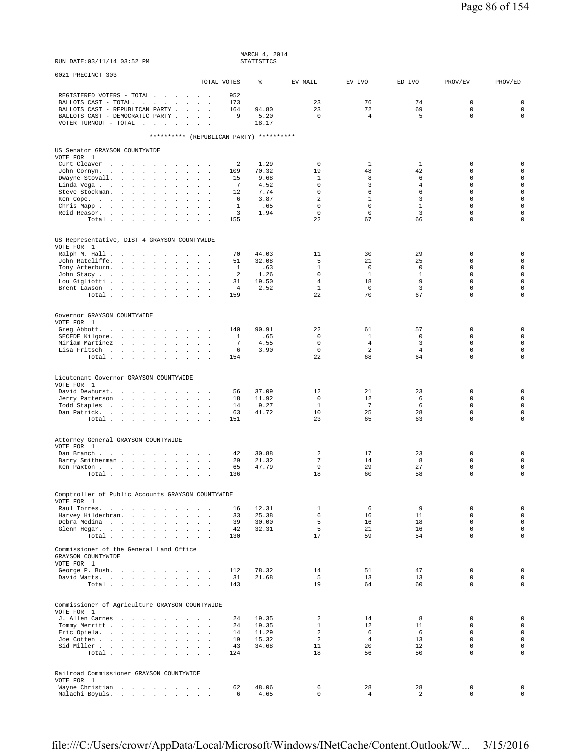| RUN DATE: 03/11/14 03:52 PM                                                                                                                                                                                                                                                                                                                                                                                                                                                                                                 |                                                                                                                                          | STATISTICS                                                   |                                                                                                     |                                                                      |                                                                            |                                                                                                         |                                                                                                                      |
|-----------------------------------------------------------------------------------------------------------------------------------------------------------------------------------------------------------------------------------------------------------------------------------------------------------------------------------------------------------------------------------------------------------------------------------------------------------------------------------------------------------------------------|------------------------------------------------------------------------------------------------------------------------------------------|--------------------------------------------------------------|-----------------------------------------------------------------------------------------------------|----------------------------------------------------------------------|----------------------------------------------------------------------------|---------------------------------------------------------------------------------------------------------|----------------------------------------------------------------------------------------------------------------------|
| 0021 PRECINCT 303                                                                                                                                                                                                                                                                                                                                                                                                                                                                                                           | TOTAL VOTES                                                                                                                              | ⊱                                                            | EV MAIL                                                                                             | EV IVO                                                               | ED IVO                                                                     | PROV/EV                                                                                                 | PROV/ED                                                                                                              |
| REGISTERED VOTERS - TOTAL<br>BALLOTS CAST - TOTAL.<br>and a strategic control of the<br>BALLOTS CAST - REPUBLICAN PARTY<br>BALLOTS CAST - DEMOCRATIC PARTY<br>VOTER TURNOUT - TOTAL $\ldots$                                                                                                                                                                                                                                                                                                                                | 952<br>173<br>164<br>9<br>$\sim$                                                                                                         | 94.80<br>5.20<br>18.17                                       | 23<br>23<br>$\Omega$                                                                                | 76<br>72<br>$\overline{4}$                                           | 74<br>69<br>5                                                              | $\mathbb O$<br>$\mathsf 0$<br>$\mathbf 0$                                                               | $\mathsf 0$<br>$\mathsf{O}\xspace$<br>$\mathbf 0$                                                                    |
|                                                                                                                                                                                                                                                                                                                                                                                                                                                                                                                             | ********** (REPUBLICAN PARTY) **********                                                                                                 |                                                              |                                                                                                     |                                                                      |                                                                            |                                                                                                         |                                                                                                                      |
| US Senator GRAYSON COUNTYWIDE                                                                                                                                                                                                                                                                                                                                                                                                                                                                                               |                                                                                                                                          |                                                              |                                                                                                     |                                                                      |                                                                            |                                                                                                         |                                                                                                                      |
| VOTE FOR 1<br>Curt Cleaver<br>والموالي والمتواطن والموالي والموالي والمتواطن<br>John Cornyn.<br>the contract of the contract of the<br>$\sim$<br>Dwayne Stovall.<br>$\sim$<br>$\sim$<br>$\ddot{\phantom{a}}$<br>$\ddot{\phantom{a}}$<br>Linda Vega<br>$\cdot$<br>Steve Stockman.<br>and the control of the con-<br>$\sim$<br>$\ddot{\phantom{a}}$<br>Ken Cope.<br>the contract of the contract of<br>$\sim$<br>$\cdot$<br>Chris Mapp<br>$\sim$<br>$\mathbf{r}$<br>$\ddot{\phantom{a}}$<br>Reid Reasor.<br>$\sim$<br>$\cdot$ | 2<br>109<br><b>Contract Contract Contract</b><br>15<br>$\mathbf{r}$<br>7<br>$\mathbf{r}$ and $\mathbf{r}$<br>12<br>6<br>1<br>3<br>$\Box$ | 1.29<br>70.32<br>9.68<br>4.52<br>7.74<br>3.87<br>.65<br>1.94 | $\mathbf 0$<br>19<br>$\mathbf{1}$<br>$\mathbf 0$<br>$\mathsf 0$<br>2<br>$\mathbf 0$<br>$\mathbf{0}$ | 1<br>48<br>8<br>3<br>6<br>$\mathbf{1}$<br>$\mathbf 0$<br>$\mathbf 0$ | 1<br>42<br>6<br>$\overline{4}$<br>6<br>$\overline{3}$<br>$\mathbf{1}$<br>3 | 0<br>$\mathbf 0$<br>$\mathbf 0$<br>$\mathbf 0$<br>$\mathbf 0$<br>$\Omega$<br>$\mathbf 0$<br>$\mathbf 0$ | $\mathbf 0$<br>$\mathsf 0$<br>$\mathsf 0$<br>$\mathsf 0$<br>$\mathsf 0$<br>$\mathbf 0$<br>$\mathsf 0$<br>$\mathbf 0$ |
| Total                                                                                                                                                                                                                                                                                                                                                                                                                                                                                                                       | 155                                                                                                                                      |                                                              | 22                                                                                                  | 67                                                                   | 66                                                                         | $\mathbf 0$                                                                                             | $\mathbf 0$                                                                                                          |
| US Representative, DIST 4 GRAYSON COUNTYWIDE<br>VOTE FOR 1                                                                                                                                                                                                                                                                                                                                                                                                                                                                  |                                                                                                                                          |                                                              |                                                                                                     |                                                                      |                                                                            |                                                                                                         |                                                                                                                      |
| Ralph M. Hall<br>$\sim$<br>$\ddot{\phantom{a}}$<br>John Ratcliffe.<br>$\ddot{\phantom{a}}$<br>$\mathbf{r}$<br>Tony Arterburn.<br>John Stacy<br>$\ddot{\phantom{a}}$<br>Lou Gigliotti<br>$\Box$<br>Brent Lawson<br>$\sim$<br>Total                                                                                                                                                                                                                                                                                           | 70<br>$\sim$<br>$\sim$<br>51<br>$\sim$<br>$\ddot{\phantom{0}}$<br>1<br>2<br>31<br>$\sim$<br>4<br>$\sim$<br>$\mathbf{r}$<br>159           | 44.03<br>32.08<br>.63<br>1.26<br>19.50<br>2.52               | 11<br>5<br>$\mathbf{1}$<br>$\mathsf 0$<br>$\overline{4}$<br>$\mathbf{1}$<br>22                      | 30<br>21<br>$\mathbf 0$<br>$\mathbf{1}$<br>18<br>$\mathbf 0$<br>70   | 29<br>25<br>$\mathbf 0$<br>$1\,$<br>9<br>$\overline{3}$<br>67              | 0<br>$\mathbf 0$<br>$\mathbf 0$<br>$\mathsf 0$<br>$\mathbf 0$<br>$\mathbf 0$<br>$\mathbf 0$             | $\mathsf 0$<br>$\mathsf 0$<br>$\mathsf 0$<br>$\mathsf 0$<br>$\mathbf 0$<br>$\mathbf 0$<br>0                          |
| Governor GRAYSON COUNTYWIDE<br>VOTE FOR 1<br>Greg Abbott.<br>SECEDE Kilgore.<br>the contract of the contract of the contract of the contract of the contract of the contract of the contract of<br>Miriam Martinez<br>$\mathbf{r}$<br>Lisa Fritsch<br>Total                                                                                                                                                                                                                                                                 | 140<br>1<br>$\sim$<br>7<br>6<br>154                                                                                                      | 90.91<br>.65<br>4.55<br>3.90                                 | 22<br>$\mathbf 0$<br>$\mathbf 0$<br>$\mathbb O$<br>22                                               | 61<br>$\mathbf{1}$<br>$\overline{4}$<br>2<br>68                      | 57<br>$\mathbf 0$<br>3<br>$\overline{4}$<br>64                             | $\mathbf 0$<br>$\mathbf 0$<br>$\mathbf 0$<br>$\mathsf 0$<br>$\mathbf 0$                                 | $\mathbf 0$<br>$\mathbf 0$<br>$\mathbf 0$<br>$\mathsf 0$<br>$\mathbf 0$                                              |
| Lieutenant Governor GRAYSON COUNTYWIDE<br>VOTE FOR 1<br>David Dewhurst.<br>$\sim$ $\sim$ $\sim$ $\sim$                                                                                                                                                                                                                                                                                                                                                                                                                      | 56                                                                                                                                       | 37.09<br>11.92                                               | 12<br>$\Omega$                                                                                      | 21<br>12                                                             | 23<br>6                                                                    | $\mathbb O$<br>$\Omega$                                                                                 | $\mathsf 0$<br>$\mathbf 0$                                                                                           |
| Jerry Patterson<br>Todd Staples<br>Dan Patrick.<br>Total                                                                                                                                                                                                                                                                                                                                                                                                                                                                    | 18<br>and a strategic and<br>14<br>63<br>151                                                                                             | 9.27<br>41.72                                                | $\mathbf{1}$<br>10<br>23                                                                            | $7\phantom{.0}$<br>25<br>65                                          | 6<br>28<br>63                                                              | $\mathbf 0$<br>$\mathbf 0$<br>$\mathbf 0$                                                               | $\mathsf{O}\xspace$<br>$\mathbf 0$<br>0                                                                              |
| Attorney General GRAYSON COUNTYWIDE<br>VOTE FOR 1<br>Dan Branch<br>$\sim 10^{-1}$ km $^{-1}$<br>Barry Smitherman<br>$\ddot{\phantom{a}}$<br>$\mathbf{r}$<br>Ken Paxton<br>Total<br>$\sim$                                                                                                                                                                                                                                                                                                                                   | 42<br>$\sim$<br>29<br>$\sim$<br>$\mathbf{r}$<br>65<br>$\sim$ $\sim$<br>136                                                               | 30.88<br>21.32<br>47.79                                      | 2<br>$\overline{7}$<br>9<br>18                                                                      | 17<br>14<br>29<br>60                                                 | 23<br>8<br>27<br>58                                                        | 0<br>$\mathbf 0$<br>$\mathsf 0$<br>$\mathsf 0$                                                          | $\mathbf 0$<br>$\mathsf{O}\xspace$<br>$\mathsf 0$<br>$\mathsf 0$                                                     |
| Comptroller of Public Accounts GRAYSON COUNTYWIDE                                                                                                                                                                                                                                                                                                                                                                                                                                                                           |                                                                                                                                          |                                                              |                                                                                                     |                                                                      |                                                                            |                                                                                                         |                                                                                                                      |
| VOTE FOR 1<br>Raul Torres.<br>Harvey Hilderbran.<br>Debra Medina<br>Glenn Hegar.<br>Total                                                                                                                                                                                                                                                                                                                                                                                                                                   | 16<br>$\sim$<br>33<br>39<br>42<br>130                                                                                                    | 12.31<br>25.38<br>30.00<br>32.31                             | $\mathbf{1}$<br>6<br>5<br>5<br>17                                                                   | 6<br>16<br>16<br>21<br>59                                            | 9<br>11<br>18<br>16<br>54                                                  | $\mathbf 0$<br>$\Omega$<br>$\mathbf 0$<br>$\Omega$<br>$\mathbf 0$                                       | $\mathsf{O}\xspace$<br>$\mathbf{0}$<br>$\mathsf 0$<br>$\mathbf 0$<br>$\mathbf 0$                                     |
| Commissioner of the General Land Office<br>GRAYSON COUNTYWIDE<br>VOTE FOR 1<br>George P. Bush.                                                                                                                                                                                                                                                                                                                                                                                                                              | 112                                                                                                                                      | 78.32                                                        | 14                                                                                                  | 51                                                                   | 47                                                                         | $\mathbf 0$                                                                                             | $\mathsf{O}\xspace$                                                                                                  |
| David Watts.<br>Total                                                                                                                                                                                                                                                                                                                                                                                                                                                                                                       | 31<br>143                                                                                                                                | 21.68                                                        | 5<br>19                                                                                             | 13<br>64                                                             | 13<br>60                                                                   | $\mathbf 0$<br>$\mathbf 0$                                                                              | $\mathbf 0$<br>$\mathbf 0$                                                                                           |
| Commissioner of Agriculture GRAYSON COUNTYWIDE<br>VOTE FOR 1                                                                                                                                                                                                                                                                                                                                                                                                                                                                |                                                                                                                                          |                                                              |                                                                                                     |                                                                      |                                                                            |                                                                                                         |                                                                                                                      |
| J. Allen Carnes<br>Tommy Merritt<br>Eric Opiela.<br>Joe Cotten<br>Sid Miller<br>Total                                                                                                                                                                                                                                                                                                                                                                                                                                       | 24<br>24<br><b>San Adams</b><br>14<br>19<br>43<br>124                                                                                    | 19.35<br>19.35<br>11.29<br>15.32<br>34.68                    | 2<br>$\mathbf{1}$<br>$\overline{a}$<br>2<br>11<br>18                                                | 14<br>12<br>6<br>$\overline{4}$<br>20<br>56                          | 8<br>11<br>- 6<br>13<br>12<br>50                                           | 0<br>$\mathbf 0$<br>$\mathbf 0$<br>$\mathsf 0$<br>$\mathbf 0$<br>$\mathbf 0$                            | $\mathbf 0$<br>$\mathsf 0$<br>$\mathsf 0$<br>$\mathsf{O}\xspace$<br>$\mathbf 0$<br>$\circ$                           |
|                                                                                                                                                                                                                                                                                                                                                                                                                                                                                                                             |                                                                                                                                          |                                                              |                                                                                                     |                                                                      |                                                                            |                                                                                                         |                                                                                                                      |
| Railroad Commissioner GRAYSON COUNTYWIDE<br>VOTE FOR 1<br>Wayne Christian<br>Malachi Boyuls.                                                                                                                                                                                                                                                                                                                                                                                                                                | 62<br>6                                                                                                                                  | 48.06<br>4.65                                                | 6<br>$\mathbf 0$                                                                                    | 28<br>$\overline{4}$                                                 | 28<br>2                                                                    | $\mathbf 0$<br>$\mathbf 0$                                                                              | $\mathbf 0$<br>$\mathsf 0$                                                                                           |

MARCH 4, 2014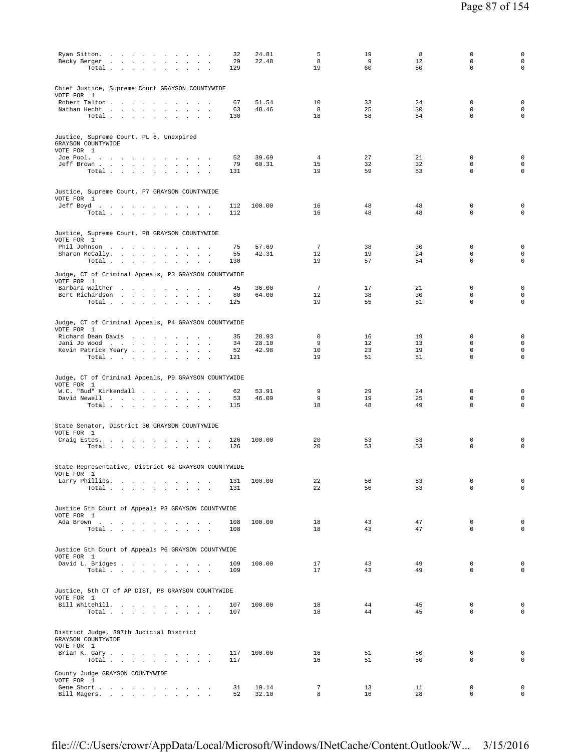| Ryan Sitton.<br>32<br>Becky Berger<br>29<br>Total<br>129<br>$\sim$<br>$\sim$                                           | 24.81<br>22.48 | 5<br>8<br>19          | 19<br>9<br>60 | 8<br>12<br>50 | $\mathsf 0$<br>$\mathbf 0$<br>$\mathbf 0$ | 0<br>$\mathsf{O}\xspace$<br>$\mathbf 0$ |
|------------------------------------------------------------------------------------------------------------------------|----------------|-----------------------|---------------|---------------|-------------------------------------------|-----------------------------------------|
| Chief Justice, Supreme Court GRAYSON COUNTYWIDE<br>VOTE FOR 1                                                          |                |                       |               |               |                                           |                                         |
| Robert Talton<br>67                                                                                                    | 51.54          | 10                    | 33            | 24            | $\mathbb O$                               | $\mathbf 0$                             |
| Nathan Hecht<br>63<br>$\sim$ $\sim$<br>Total $\cdots$ $\cdots$ $\cdots$<br>130<br>$\sim$                               | 48.46          | 8<br>18               | 25<br>58      | 30<br>54      | $\mathbf 0$<br>$\mathbf 0$                | $\mathsf 0$<br>$\mathbf 0$              |
| Justice, Supreme Court, PL 6, Unexpired<br>GRAYSON COUNTYWIDE<br>VOTE FOR 1                                            |                |                       |               |               |                                           |                                         |
| Joe Pool.<br>52                                                                                                        | 39.69          | $\overline{4}$        | 27            | 21            | $\mathbf 0$                               | $\mathbf 0$                             |
| Jeff Brown<br>79<br>Total<br>131                                                                                       | 60.31          | 15<br>19              | 32<br>59      | 32<br>53      | $\mathbf 0$<br>$\mathbf 0$                | $\mathsf 0$<br>$\mathbf 0$              |
| Justice, Supreme Court, P7 GRAYSON COUNTYWIDE<br>VOTE FOR 1                                                            |                |                       |               |               |                                           |                                         |
| Jeff Boyd.<br>112<br>Total<br>112                                                                                      | 100.00         | 16<br>16              | 48<br>48      | 48<br>48      | 0<br>$\mathbf 0$                          | 0<br>$\mathbf 0$                        |
| Justice, Supreme Court, P8 GRAYSON COUNTYWIDE                                                                          |                |                       |               |               |                                           |                                         |
| VOTE FOR 1<br>Phil Johnson<br>75                                                                                       | 57.69          | 7                     | 38            | 30            | $\mathbf 0$                               | $\mathbf 0$                             |
| Sharon McCally.<br>55<br>$\sim$<br>Total<br>130<br>$\sim$ $\sim$ $\sim$                                                | 42.31          | 12<br>19              | 19<br>57      | 24<br>54      | $\mathbf 0$<br>$\mathbf 0$                | $\mathsf{O}\xspace$<br>$\mathbf 0$      |
| Judge, CT of Criminal Appeals, P3 GRAYSON COUNTYWIDE<br>VOTE FOR 1                                                     |                |                       |               |               |                                           |                                         |
| Barbara Walther<br>45<br>Bert Richardson<br>80                                                                         | 36.00<br>64.00 | $7\phantom{.0}$<br>12 | 17<br>38      | 21<br>30      | $\mathbf 0$<br>$\mathbf 0$                | 0<br>$\mathsf{O}\xspace$                |
| Total $\cdots$ $\cdots$ $\cdots$<br>125                                                                                |                | 19                    | 55            | 51            | $\mathbf 0$                               | $\mathsf{O}\xspace$                     |
| Judge, CT of Criminal Appeals, P4 GRAYSON COUNTYWIDE<br>VOTE FOR 1                                                     |                |                       |               |               |                                           |                                         |
| Richard Dean Davis<br>35<br>34<br>Jani Jo Wood                                                                         | 28.93<br>28.10 | $\mathbf 0$<br>9      | 16<br>12      | 19<br>13      | 0<br>$\mathbf 0$                          | $\mathbf 0$<br>$\mathsf{O}\xspace$      |
| Kevin Patrick Yeary<br>52                                                                                              | 42.98          | 10                    | 23            | 19            | $\mathbf 0$                               | $\mathbf 0$                             |
| Total $\cdots$ $\cdots$ $\cdots$<br>121                                                                                |                | 19                    | 51            | 51            | $\mathbf 0$                               | $\mathbf 0$                             |
| Judge, CT of Criminal Appeals, P9 GRAYSON COUNTYWIDE<br>VOTE FOR 1                                                     |                |                       |               |               |                                           |                                         |
| W.C. "Bud" Kirkendall<br>62<br>David Newell<br>53                                                                      | 53.91<br>46.09 | 9<br>9                | 29<br>19      | 24<br>25      | $\mathbf 0$<br>$\mathbf 0$                | $\mathbf 0$<br>$\mathbf 0$              |
| Total<br>115                                                                                                           |                | 18                    | 48            | 49            | $\mathbf 0$                               | 0                                       |
| State Senator, District 30 GRAYSON COUNTYWIDE                                                                          |                |                       |               |               |                                           |                                         |
| VOTE FOR 1<br>Craig Estes.<br>126<br>the contract of the contract of the contract of the                               | 100.00         | 20                    | 53            | 53            | $\mathbf 0$                               | 0                                       |
| Total $\cdots$ $\cdots$ $\cdots$<br>126<br><b>Carl Carl</b>                                                            |                | 20                    | 53            | 53            | $\mathbf 0$                               | 0                                       |
| State Representative, District 62 GRAYSON COUNTYWIDE<br>VOTE FOR 1                                                     |                |                       |               |               |                                           |                                         |
| Larry Phillips.<br>131<br>Total $\cdots$ $\cdots$ $\cdots$<br>131                                                      | 100.00         | 22<br>22              | 56<br>56      | 53<br>53      | $\mathbb O$<br>$\mathbf 0$                | $\mathsf 0$<br>$\mathbf 0$              |
| Justice 5th Court of Appeals P3 GRAYSON COUNTYWIDE<br>VOTE FOR 1                                                       |                |                       |               |               |                                           |                                         |
| Ada Brown<br>108<br>Total<br>108                                                                                       | 100.00         | 18<br>18              | 43<br>43      | 47<br>47      | $\mathbf 0$<br>$\mathbf 0$                | $\mathbf 0$<br>$\mathbf 0$              |
| Justice 5th Court of Appeals P6 GRAYSON COUNTYWIDE                                                                     |                |                       |               |               |                                           |                                         |
| VOTE FOR 1<br>David L. Bridges                                                                                         | 100.00         | 17                    | 43            | 49            | $^{\circ}$                                | $\mathbf 0$                             |
| 109<br>109<br>Total $\cdots$ $\cdots$ $\cdots$                                                                         |                | 17                    | 43            | 49            | $\mathbf 0$                               | $\mathbf 0$                             |
| Justice, 5th CT of AP DIST, P8 GRAYSON COUNTYWIDE<br>VOTE FOR 1                                                        |                |                       |               |               |                                           |                                         |
| Bill Whitehill.<br>107<br>Total $\cdots$ $\cdots$ $\cdots$<br>107                                                      | 100.00         | 18<br>18              | 44<br>44      | 45<br>45      | $\mathbf 0$<br>$\mathbf 0$                | $\mathbf 0$<br>0                        |
| District Judge, 397th Judicial District<br>GRAYSON COUNTYWIDE                                                          |                |                       |               |               |                                           |                                         |
| VOTE FOR 1                                                                                                             |                | 16                    | 51            | 50            | $\mathbf 0$                               | $\mathbf 0$                             |
| Brian K. Gary<br>117<br>Total $\cdots$ $\cdots$ $\cdots$<br>117                                                        | 100.00         | 16                    | 51            | 50            | $\mathbf 0$                               | $\mathsf{O}\xspace$                     |
| County Judge GRAYSON COUNTYWIDE<br>VOTE FOR 1<br>Gene Short .<br>31<br>the contract of the contract of the contract of | 19.14          | $7\phantom{.0}$       | 13            | 11            | $\mathbf 0$                               | $\mathbf 0$                             |
| Bill Magers.<br>52                                                                                                     | 32.10          | 8                     | 16            | 28            | $\mathbf 0$                               | $\mathsf{O}\xspace$                     |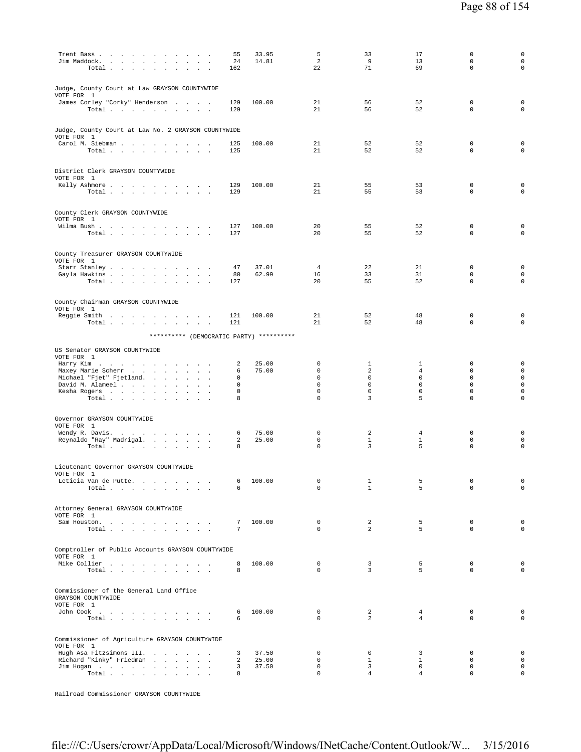| Trent Bass                                                                            | 55               | 33.95          | 5                          | 33                             | 17                            | 0                           | 0                                  |
|---------------------------------------------------------------------------------------|------------------|----------------|----------------------------|--------------------------------|-------------------------------|-----------------------------|------------------------------------|
| Jim Maddock.<br>$\ddot{\phantom{a}}$<br>Total<br>$\sim$ $\sim$<br>$\sim$              | 24<br>162        | 14.81          | $\overline{a}$<br>22       | 9<br>71                        | 13<br>69                      | 0<br>0                      | $\mathsf{O}\xspace$<br>$\mathsf 0$ |
|                                                                                       |                  |                |                            |                                |                               |                             |                                    |
| Judge, County Court at Law GRAYSON COUNTYWIDE                                         |                  |                |                            |                                |                               |                             |                                    |
| VOTE FOR 1<br>James Corley "Corky" Henderson                                          | 129              | 100.00         | 21                         | 56                             | 52                            | 0                           | 0                                  |
| Total                                                                                 | 129              |                | 21                         | 56                             | 52                            | $\mathbf 0$                 | $\mathbf 0$                        |
|                                                                                       |                  |                |                            |                                |                               |                             |                                    |
| Judge, County Court at Law No. 2 GRAYSON COUNTYWIDE                                   |                  |                |                            |                                |                               |                             |                                    |
| VOTE FOR 1<br>Carol M. Siebman                                                        | 125              | 100.00         | 21                         | 52                             | 52                            | $\mathbf 0$                 | 0                                  |
| Total                                                                                 | 125              |                | 21                         | 52                             | 52                            | 0                           | $\mathsf{O}\xspace$                |
|                                                                                       |                  |                |                            |                                |                               |                             |                                    |
| District Clerk GRAYSON COUNTYWIDE<br>VOTE FOR 1                                       |                  |                |                            |                                |                               |                             |                                    |
| Kelly Ashmore                                                                         | 129              | 100.00         | 21                         | 55                             | 53                            | 0                           | 0                                  |
| Total                                                                                 | 129              |                | 21                         | 55                             | 53                            | 0                           | $\mathbf 0$                        |
|                                                                                       |                  |                |                            |                                |                               |                             |                                    |
| County Clerk GRAYSON COUNTYWIDE<br>VOTE FOR 1                                         |                  |                |                            |                                |                               |                             |                                    |
| Wilma Bush                                                                            | 127              | 100.00         | 20                         | 55                             | 52                            | $\mathbb O$                 | 0                                  |
| Total                                                                                 | 127              |                | 20                         | 55                             | 52                            | 0                           | $\mathsf 0$                        |
| County Treasurer GRAYSON COUNTYWIDE                                                   |                  |                |                            |                                |                               |                             |                                    |
| VOTE FOR 1                                                                            |                  |                |                            |                                |                               |                             |                                    |
| Starr Stanley                                                                         | 47<br>80         | 37.01<br>62.99 | $\overline{4}$<br>16       | 22<br>33                       | 21<br>31                      | 0<br>$\mathbf 0$            | 0<br>$\mathsf{O}\xspace$           |
| Gayla Hawkins<br>Total $\cdots$ $\cdots$ $\cdots$ $\cdots$                            | 127              |                | 20                         | 55                             | 52                            | 0                           | $\mathsf 0$                        |
|                                                                                       |                  |                |                            |                                |                               |                             |                                    |
| County Chairman GRAYSON COUNTYWIDE                                                    |                  |                |                            |                                |                               |                             |                                    |
| VOTE FOR 1<br>Reggie Smith                                                            | 121              | 100.00         | 21                         | 52                             | 48                            | $\mathbb O$                 | 0                                  |
| Total.<br>$\sim$                                                                      | 121              |                | 21                         | 52                             | 48                            | 0                           | $\mathsf{O}\xspace$                |
| ********** (DEMOCRATIC PARTY) **********                                              |                  |                |                            |                                |                               |                             |                                    |
| US Senator GRAYSON COUNTYWIDE                                                         |                  |                |                            |                                |                               |                             |                                    |
| VOTE FOR 1                                                                            |                  |                |                            |                                |                               |                             |                                    |
| Harry Kim                                                                             | 2                | 25.00          | 0                          | $\mathbf{1}$                   | 1                             | 0                           | 0                                  |
| Maxey Marie Scherr<br>$\ddot{\phantom{1}}$<br>Michael "Fjet" Fjetland.                | 6<br>$\mathbf 0$ | 75.00          | $\mathbf 0$<br>$\Omega$    | 2<br>$\Omega$                  | $\overline{4}$<br>$\mathbf 0$ | $\mathbf 0$<br>$\mathbf 0$  | $\mathsf 0$<br>$\mathsf 0$         |
| David M. Alameel<br>$\sim 10^{-1}$                                                    | 0                |                | $\mathbf 0$                | $\mathbf 0$                    | $\mathbf 0$                   | $\mathbf 0$                 | 0                                  |
| Kesha Rogers<br>Total $\cdots$ $\cdots$ $\cdots$                                      | $^{\circ}$<br>8  |                | $\mathbf 0$<br>$\mathbf 0$ | $\mathbf 0$<br>3               | $\mathbf 0$<br>5              | $\mathbb O$<br>0            | $\mathsf{O}\xspace$<br>$\mathbf 0$ |
|                                                                                       |                  |                |                            |                                |                               |                             |                                    |
| Governor GRAYSON COUNTYWIDE                                                           |                  |                |                            |                                |                               |                             |                                    |
| VOTE FOR 1                                                                            |                  |                |                            |                                |                               |                             |                                    |
| Wendy R. Davis.<br>Reynaldo "Ray" Madrigal.<br>$\sim 10^{-1}$<br>$\ddot{\phantom{0}}$ | 6<br>2           | 75.00<br>25.00 | 0<br>0                     | 2<br>$\mathbf{1}$              | 4<br>$\mathbf{1}$             | 0<br>$\mathbf 0$            | 0<br>$\mathsf 0$                   |
| Total                                                                                 | 8                |                | $\mathbf 0$                | 3                              | 5                             | 0                           | $\mathsf{O}\xspace$                |
|                                                                                       |                  |                |                            |                                |                               |                             |                                    |
| Lieutenant Governor GRAYSON COUNTYWIDE<br>VOTE FOR 1                                  |                  |                |                            |                                |                               |                             |                                    |
| Leticia Van de Putte.                                                                 | 6                | 100.00         | 0                          | $\mathbf{1}$                   | 5                             | $\mathbb O$                 | 0                                  |
| Total                                                                                 | 6                |                | 0                          | $\mathbf{1}$                   | 5                             | $\mathsf 0$                 | $\mathsf 0$                        |
|                                                                                       |                  |                |                            |                                |                               |                             |                                    |
| Attorney General GRAYSON COUNTYWIDE<br>VOTE FOR 1                                     |                  |                |                            |                                |                               |                             |                                    |
| Sam Houston.                                                                          | 7                | 100.00         | 0                          | 2                              | 5                             | $\mathbf 0$                 | $\mathsf 0$                        |
| Total                                                                                 | 7                |                | $\Omega$                   | $\overline{a}$                 | 5                             | $\Omega$                    | $\mathbf 0$                        |
| Comptroller of Public Accounts GRAYSON COUNTYWIDE                                     |                  |                |                            |                                |                               |                             |                                    |
| VOTE FOR 1                                                                            |                  |                |                            |                                |                               |                             |                                    |
| Mike Collier<br>Total                                                                 | 8<br>8           | 100.00         | 0<br>$\Omega$              | $\overline{3}$<br>$\mathbf{3}$ | 5<br>5                        | $\mathbf 0$<br>$\mathbf 0$  | $\mathsf 0$<br>$\mathbf 0$         |
|                                                                                       |                  |                |                            |                                |                               |                             |                                    |
| Commissioner of the General Land Office                                               |                  |                |                            |                                |                               |                             |                                    |
| GRAYSON COUNTYWIDE<br>VOTE FOR 1                                                      |                  |                |                            |                                |                               |                             |                                    |
| John Cook                                                                             | 6                | 100.00         | $\mathbf{0}$               | $\overline{a}$                 | 4                             | $\mathbf 0$                 | 0                                  |
| Total                                                                                 | 6                |                | $\mathbf{0}$               | $\overline{a}$                 | $\overline{4}$                | $\mathbf 0$                 | $\mathbf 0$                        |
|                                                                                       |                  |                |                            |                                |                               |                             |                                    |
| Commissioner of Agriculture GRAYSON COUNTYWIDE<br>VOTE FOR 1                          |                  |                |                            |                                |                               |                             |                                    |
| Hugh Asa Fitzsimons III.                                                              | 3                | 37.50          | $\mathbf 0$                | 0                              | 3                             | $\mathbb O$                 | $\mathsf 0$                        |
| Richard "Kinky" Friedman<br>Jim Hogan                                                 | 2<br>3           | 25.00<br>37.50 | $\mathbf{0}$<br>0          | $\mathbf{1}$<br>3              | $\mathbf{1}$<br>$\mathbf{0}$  | $\mathbf{0}$<br>$\mathbf 0$ | $\mathbf{0}$<br>0                  |
| Total $\cdots$ $\cdots$ $\cdots$                                                      | 8                |                | 0                          | $\overline{4}$                 | $\overline{4}$                | $\mathbf 0$                 | $\circ$                            |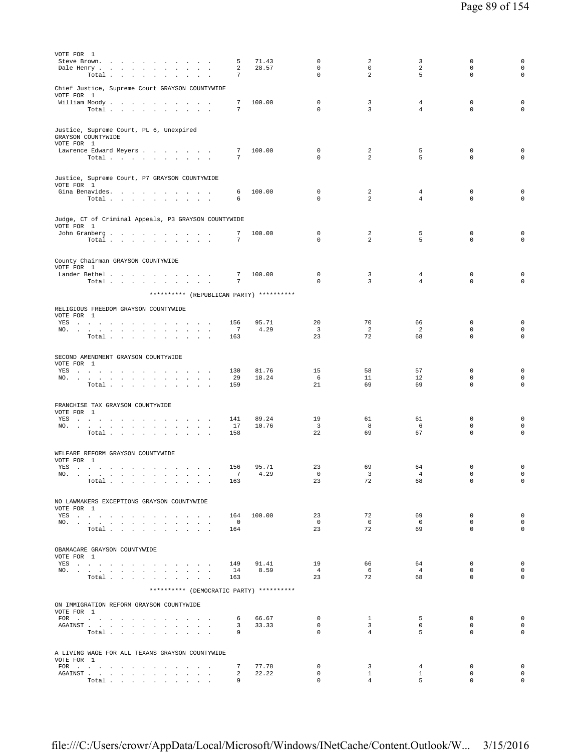| VOTE FOR 1<br>Steve Brown.                                                                                                                                                                                                            | 5                                      | 71.43          | 0                             | 2                              | 3                                | 0                            | 0                                  |
|---------------------------------------------------------------------------------------------------------------------------------------------------------------------------------------------------------------------------------------|----------------------------------------|----------------|-------------------------------|--------------------------------|----------------------------------|------------------------------|------------------------------------|
| Dale Henry<br>Total $\cdots$ $\cdots$ $\cdots$                                                                                                                                                                                        | 2<br>7                                 | 28.57          | $\mathsf 0$<br>$\Omega$       | $\mathbf 0$<br>$\overline{a}$  | $\overline{a}$<br>5              | $\mathsf 0$<br>$\Omega$      | $\mathsf{O}\xspace$<br>$\mathbf 0$ |
|                                                                                                                                                                                                                                       |                                        |                |                               |                                |                                  |                              |                                    |
| Chief Justice, Supreme Court GRAYSON COUNTYWIDE<br>VOTE FOR 1                                                                                                                                                                         |                                        |                |                               |                                |                                  |                              |                                    |
| William Moody<br>Total                                                                                                                                                                                                                | 7<br>7                                 | 100.00         | $\mathbf 0$<br>$\Omega$       | 3<br>$\overline{3}$            | $\overline{4}$<br>$\overline{4}$ | $\mathbf 0$<br>$\Omega$      | $\mathsf 0$<br>$\mathbf 0$         |
|                                                                                                                                                                                                                                       |                                        |                |                               |                                |                                  |                              |                                    |
| Justice, Supreme Court, PL 6, Unexpired<br>GRAYSON COUNTYWIDE<br>VOTE FOR 1                                                                                                                                                           |                                        |                |                               |                                |                                  |                              |                                    |
| Lawrence Edward Meyers                                                                                                                                                                                                                | 7                                      | 100.00         | $\mathbf 0$                   | 2                              | 5                                | $\mathbf 0$                  | 0                                  |
| Total                                                                                                                                                                                                                                 | $7\phantom{.0}$                        |                | $\Omega$                      | $\mathcal{L}$                  | 5                                | $\Omega$                     | $\mathbf 0$                        |
| Justice, Supreme Court, P7 GRAYSON COUNTYWIDE<br>VOTE FOR 1                                                                                                                                                                           |                                        |                |                               |                                |                                  |                              |                                    |
| Gina Benavides.<br>Total                                                                                                                                                                                                              | 6<br>6                                 | 100.00         | $\mathbf 0$<br>$\mathbf 0$    | 2<br>2                         | $\overline{4}$<br>$\overline{4}$ | $\mathbf 0$<br>0             | 0<br>0                             |
|                                                                                                                                                                                                                                       |                                        |                |                               |                                |                                  |                              |                                    |
| Judge, CT of Criminal Appeals, P3 GRAYSON COUNTYWIDE                                                                                                                                                                                  |                                        |                |                               |                                |                                  |                              |                                    |
| VOTE FOR 1<br>John Granberg                                                                                                                                                                                                           | 7                                      | 100.00         | 0                             | 2                              | 5                                | $\mathbf 0$                  | 0                                  |
| Total                                                                                                                                                                                                                                 | 7                                      |                | $\Omega$                      | $\mathfrak{D}$                 | 5                                | $\Omega$                     | $\Omega$                           |
|                                                                                                                                                                                                                                       |                                        |                |                               |                                |                                  |                              |                                    |
| County Chairman GRAYSON COUNTYWIDE<br>VOTE FOR 1                                                                                                                                                                                      |                                        |                |                               |                                |                                  |                              |                                    |
| Lander Bethel<br>Total                                                                                                                                                                                                                | 7<br>7                                 | 100.00         | $\mathbf 0$<br>$\mathbf 0$    | 3<br>3                         | $\overline{4}$<br>$\overline{4}$ | $\mathbf 0$<br>$\mathbf 0$   | $\mathsf 0$<br>$\mathbf 0$         |
| ********** (REPUBLICAN PARTY) **********                                                                                                                                                                                              |                                        |                |                               |                                |                                  |                              |                                    |
|                                                                                                                                                                                                                                       |                                        |                |                               |                                |                                  |                              |                                    |
| RELIGIOUS FREEDOM GRAYSON COUNTYWIDE<br>VOTE FOR 1                                                                                                                                                                                    |                                        |                |                               |                                |                                  |                              |                                    |
| YES<br>NO.<br>$\sim$<br>$\mathbf{r}$                                                                                                                                                                                                  | 156<br>7                               | 95.71<br>4.29  | 20<br>$\overline{\mathbf{3}}$ | 70<br>2                        | 66<br>$\overline{2}$             | $\mathbf 0$<br>$\mathbf 0$   | $\mathbf 0$<br>0                   |
| Total $\cdots$ $\cdots$<br>$\sim$<br>$\mathbf{r} = \mathbf{r} + \mathbf{r}$                                                                                                                                                           | 163                                    |                | 23                            | 72                             | 68                               | $\mathbf 0$                  | $\mathbf 0$                        |
|                                                                                                                                                                                                                                       |                                        |                |                               |                                |                                  |                              |                                    |
| SECOND AMENDMENT GRAYSON COUNTYWIDE<br>VOTE FOR 1                                                                                                                                                                                     |                                        |                |                               |                                |                                  |                              |                                    |
| YES a contract of the contract of the contract of the set of the set of the set of the set of the set of the set of the set of the set of the set of the set of the set of the set of the set of the set of the set of the set<br>NO. | 130<br>29                              | 81.76<br>18.24 | 15<br>- 6                     | 58<br>11                       | 57<br>12                         | $\mathbf 0$<br>$\mathbf 0$   | $\mathsf 0$<br>0                   |
| Total $\cdots$ $\cdots$ $\cdots$ $\cdots$                                                                                                                                                                                             | 159                                    |                | 21                            | 69                             | 69                               | $\mathbf 0$                  | $\mathbf 0$                        |
|                                                                                                                                                                                                                                       |                                        |                |                               |                                |                                  |                              |                                    |
| FRANCHISE TAX GRAYSON COUNTYWIDE<br>VOTE FOR 1                                                                                                                                                                                        |                                        |                |                               |                                |                                  |                              |                                    |
| YES a contract of the contract of the contract of the set of the set of the set of the set of the set of the set of the set of the set of the set of the set of the set of the set of the set of the set of the set of the set<br>NO. | 141<br>17                              | 89.24<br>10.76 | 19<br>$\overline{\mathbf{3}}$ | 61<br>8                        | 61<br>- 6                        | $\mathbf 0$<br>$\mathbf 0$   | 0<br>0                             |
| Total<br>$\mathbf{L}$ and $\mathbf{L}$ and $\mathbf{L}$                                                                                                                                                                               | 158                                    |                | 22                            | 69                             | 67                               | $\mathbf 0$                  | $\mathbf 0$                        |
| WELFARE REFORM GRAYSON COUNTYWIDE                                                                                                                                                                                                     |                                        |                |                               |                                |                                  |                              |                                    |
| VOTE FOR 1                                                                                                                                                                                                                            |                                        |                |                               |                                |                                  |                              |                                    |
| YES a contract of the contract of the contract of the March 2014 St. The Contract of the Contract of the Contract of the Contract of the Contract of the Contract of the Contract of the Contract of the Contract of the Contr<br>NO. | 156<br>$\overline{7}$                  | 95.71<br>4.29  | 23<br>$\mathbf 0$             | 69<br>3                        | 64<br>$\overline{4}$             | $\mathbf 0$<br>$\mathbf 0$   | $\mathsf 0$<br>$\mathsf{O}\xspace$ |
| Total                                                                                                                                                                                                                                 | 163                                    |                | 23                            | 72                             | 68                               | 0                            | $\mathbf 0$                        |
| NO LAWMAKERS EXCEPTIONS GRAYSON COUNTYWIDE                                                                                                                                                                                            |                                        |                |                               |                                |                                  |                              |                                    |
| VOTE FOR 1                                                                                                                                                                                                                            |                                        |                |                               |                                |                                  |                              |                                    |
| YES<br>NO.                                                                                                                                                                                                                            | 164 100.00<br>$\overline{\phantom{0}}$ |                | 23<br>$\Omega$                | 72<br>$\Omega$                 | 69<br>$\Omega$                   | $\mathbf 0$<br>$\Omega$      | 0<br>$\circ$                       |
| Total $\cdots$ $\cdots$ $\cdots$                                                                                                                                                                                                      | 164                                    |                | 23                            | 72                             | 69                               | $\Omega$                     | $\Omega$                           |
| OBAMACARE GRAYSON COUNTYWIDE                                                                                                                                                                                                          |                                        |                |                               |                                |                                  |                              |                                    |
| VOTE FOR 1                                                                                                                                                                                                                            |                                        |                |                               |                                |                                  |                              |                                    |
| YES<br>NO.                                                                                                                                                                                                                            | 149<br>14                              | 91.41<br>8.59  | 19<br>4                       | 66<br>6                        | 64<br>$\overline{4}$             | $\mathbf{0}$<br>$\Omega$     | $\mathbf 0$<br>$\circ$             |
| Total                                                                                                                                                                                                                                 | 163                                    |                | 23                            | 72                             | 68                               | $\Omega$                     | 0                                  |
| ********** (DEMOCRATIC PARTY) **********                                                                                                                                                                                              |                                        |                |                               |                                |                                  |                              |                                    |
| ON IMMIGRATION REFORM GRAYSON COUNTYWIDE<br>VOTE FOR 1                                                                                                                                                                                |                                        |                |                               |                                |                                  |                              |                                    |
| FOR<br>AGAINST                                                                                                                                                                                                                        | 6<br>3                                 | 66.67<br>33.33 | $\mathbf{0}$<br>$\mathbf{0}$  | $\mathbf{1}$<br>$\overline{3}$ | 5<br>$\mathbf{0}$                | $\mathbf{0}$<br>$\mathbf{0}$ | $\circ$<br>$\circ$                 |
| Total                                                                                                                                                                                                                                 | 9                                      |                | $\mathbf{0}$                  | $4\overline{ }$                | 5                                | $\mathbf 0$                  | $\mathbf 0$                        |
| A LIVING WAGE FOR ALL TEXANS GRAYSON COUNTYWIDE                                                                                                                                                                                       |                                        |                |                               |                                |                                  |                              |                                    |
| VOTE FOR 1                                                                                                                                                                                                                            |                                        |                |                               |                                |                                  |                              |                                    |
| AGAINST                                                                                                                                                                                                                               | 7<br>2                                 | 77.78<br>22.22 | $\mathbf 0$<br>$\mathbf 0$    | 3<br>$\mathbf{1}$              | $\overline{4}$<br>$\mathbf{1}$   | $\mathbf 0$<br>$\mathbf 0$   | $\circ$<br>$\circ$                 |
| Total                                                                                                                                                                                                                                 | 9                                      |                | $\Omega$                      | $\overline{4}$                 | 5                                | $\Omega$                     | $\circ$                            |

file:///C:/Users/crowr/AppData/Local/Microsoft/Windows/INetCache/Content.Outlook/W... 3/15/2016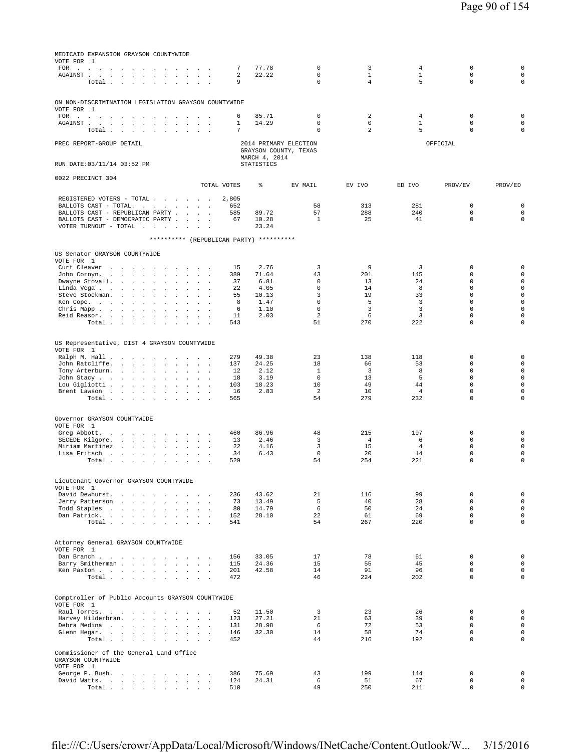| MEDICAID EXPANSION GRAYSON COUNTYWIDE<br>VOTE FOR 1                                                                                                                                                |                                      |                                                |                               |                               |                       |                            |                            |
|----------------------------------------------------------------------------------------------------------------------------------------------------------------------------------------------------|--------------------------------------|------------------------------------------------|-------------------------------|-------------------------------|-----------------------|----------------------------|----------------------------|
| FOR .<br>and a strategic and a strategic                                                                                                                                                           | 7                                    | 77.78                                          | $\mathsf 0$                   | 3                             | $\overline{4}$        | 0                          | $\mathsf 0$                |
| AGAINST.<br>the contract of the contract of the<br>$\Box$<br>$\sim$<br>$\sim$<br>Total<br>$\ddot{\phantom{a}}$<br>$\ddot{\phantom{a}}$<br>$\overline{a}$                                           | 2<br>9<br>$\mathbf{r}$               | 22.22                                          | $\mathbf 0$<br>$\mathbf 0$    | $\mathbf{1}$<br>4             | $\mathbf{1}$<br>5     | $\mathbf 0$<br>0           | $\mathbf 0$<br>$\mathbf 0$ |
|                                                                                                                                                                                                    |                                      |                                                |                               |                               |                       |                            |                            |
| ON NON-DISCRIMINATION LEGISLATION GRAYSON COUNTYWIDE                                                                                                                                               |                                      |                                                |                               |                               |                       |                            |                            |
| VOTE FOR 1<br>FOR $\cdots$ $\cdots$ $\cdots$ $\cdots$<br>$\sim$<br><b>Service</b>                                                                                                                  | 6                                    | 85.71                                          | $\mathbf 0$                   | $\overline{a}$                | $\overline{4}$        | $\mathbf 0$                | $\mathbf 0$                |
| AGAINST.<br>the contract of the contract of the<br>$\ddot{\phantom{0}}$<br>$\Box$<br>$\ddot{\phantom{a}}$                                                                                          | 1<br>$\ddot{\phantom{a}}$<br>7       | 14.29                                          | $\mathbf 0$<br>$\mathbf 0$    | $\mathbf 0$<br>$\overline{a}$ | $\mathbf{1}$<br>5     | 0<br>0                     | $\mathbf 0$<br>$\mathbf 0$ |
| Total<br>$\sim$<br>$\sim$                                                                                                                                                                          |                                      |                                                |                               |                               |                       |                            |                            |
| PREC REPORT-GROUP DETAIL                                                                                                                                                                           |                                      | 2014 PRIMARY ELECTION<br>GRAYSON COUNTY, TEXAS |                               |                               |                       | OFFICIAL                   |                            |
|                                                                                                                                                                                                    |                                      | MARCH 4, 2014                                  |                               |                               |                       |                            |                            |
| RUN DATE: 03/11/14 03:52 PM                                                                                                                                                                        |                                      | <b>STATISTICS</b>                              |                               |                               |                       |                            |                            |
| 0022 PRECINCT 304                                                                                                                                                                                  | TOTAL VOTES                          | ి                                              | EV MAIL                       | EV IVO                        | ED IVO                | PROV/EV                    | PROV/ED                    |
|                                                                                                                                                                                                    |                                      |                                                |                               |                               |                       |                            |                            |
| REGISTERED VOTERS - TOTAL<br>BALLOTS CAST - TOTAL.<br>the contract of the con-<br>$\mathcal{A}^{\mathcal{A}}$ and $\mathcal{A}^{\mathcal{A}}$                                                      | 2,805<br>652                         |                                                | 58                            | 313                           | 281                   | 0                          | $\mathbf 0$                |
| BALLOTS CAST - REPUBLICAN PARTY<br>BALLOTS CAST - DEMOCRATIC PARTY .<br>$\sim$<br>$\mathbf{r}$                                                                                                     | 585<br>67<br>$\sim$                  | 89.72<br>10.28                                 | 57<br>1                       | 288<br>25                     | 240<br>41             | 0<br>0                     | $\mathbf 0$<br>$\circ$     |
| VOTER TURNOUT - TOTAL<br>the contract of the state                                                                                                                                                 |                                      | 23.24                                          |                               |                               |                       |                            |                            |
| ********** (REPUBLICAN PARTY) **********                                                                                                                                                           |                                      |                                                |                               |                               |                       |                            |                            |
| US Senator GRAYSON COUNTYWIDE                                                                                                                                                                      |                                      |                                                |                               |                               |                       |                            |                            |
| VOTE FOR 1                                                                                                                                                                                         |                                      |                                                |                               | 9                             | 3                     | 0                          | $\mathsf 0$                |
| Curt Cleaver<br>$\sim$ $\sim$<br>$\sim$<br>John Cornyn<br>$\mathbf{r} = \mathbf{r}$<br>$1 - 1 - 1$<br>$\sim$<br>$\sim$                                                                             | 15<br>389                            | 2.76<br>71.64                                  | 3<br>43                       | 201                           | 145                   | 0                          | $\mathbf 0$                |
| Dwayne Stovall.<br>and the company of the<br>$\mathbf{r}$<br>$\sim$<br>$\ddot{\phantom{a}}$<br>$\sim$ $\sim$                                                                                       | 37                                   | 6.81                                           | $\mathbf 0$                   | 13                            | 24                    | 0                          | $\circ$                    |
| Linda Vega<br>$\sim$<br>$\ddot{\phantom{a}}$<br>$\ddot{\phantom{a}}$<br>$\sim$<br>$\mathbf{r}$<br>$\mathbf{r}$<br>Steve Stockman.<br>and the contract of the con-<br>$\sim$<br><b>Sales Street</b> | 22<br>55                             | 4.05<br>10.13                                  | $\mathbf 0$<br>3              | 14<br>19                      | 8<br>33               | 0<br>0                     | $\mathbf 0$<br>$\mathbf 0$ |
| Ken Cope.<br>the contract of the con-<br>$\sim$<br>$\mathbf{r}$<br>$\ddot{\phantom{a}}$<br>$\mathbf{r}$<br>$\mathbf{r}$                                                                            | 8                                    | 1.47                                           | $\mathbf 0$                   | 5                             | 3                     | 0                          | $\mathsf 0$                |
| Chris Mapp.<br>$\sim$<br>$\mathbf{r}$<br>Reid Reasor.<br>and the control of the state<br>$\sim$<br>$\sim$<br>$\ddot{\phantom{0}}$<br>$\Box$                                                        | 6<br>11                              | 1.10<br>2.03                                   | $\mathbf 0$<br>$\overline{a}$ | 3<br>6                        | 3<br>3                | 0<br>0                     | $\mathbf 0$<br>$\mathsf 0$ |
| Total $\ldots$ $\ldots$ $\ldots$ $\ldots$                                                                                                                                                          | 543                                  |                                                | 51                            | 270                           | 222                   | $\Omega$                   | $\Omega$                   |
|                                                                                                                                                                                                    |                                      |                                                |                               |                               |                       |                            |                            |
| US Representative, DIST 4 GRAYSON COUNTYWIDE<br>VOTE FOR 1                                                                                                                                         |                                      |                                                |                               |                               |                       |                            |                            |
| Ralph M. Hall                                                                                                                                                                                      | 279                                  | 49.38                                          | 23                            | 138                           | 118                   | 0                          | $\mathbf 0$                |
| John Ratcliffe.<br>$\sim$<br>$\sim$<br>$\cdot$ $\cdot$ $\cdot$<br>Tony Arterburn.                                                                                                                  | 137<br>12                            | 24.25<br>2.12                                  | 18<br>$\mathbf{1}$            | 66<br>$\overline{3}$          | 53<br>8               | 0<br>0                     | $\mathbf 0$<br>$\mathbf 0$ |
| $\sim$<br>$\Delta$<br>$\sim$<br>$\ddot{\phantom{1}}$<br>$\mathbf{r}$<br>John Stacy<br>$\sim$<br>and the control of                                                                                 | 18                                   | 3.19                                           | $\mathbf 0$                   | 13                            | 5                     | 0                          | $\mathbf 0$                |
| Lou Gigliotti<br>$\sim$<br>$\sim$<br>$\ddot{\phantom{a}}$<br>$\ddot{\phantom{a}}$<br>$\mathbb{Z}^2$<br>$\sim$                                                                                      | 103                                  | 18.23                                          | 10                            | 49                            | 44                    | $\mathbf 0$                | $\mathsf 0$                |
| Brent Lawson<br>Total<br><b>Carl Carl</b><br>$\sim$<br>$\sim$<br>$\sim$<br>$\sim$                                                                                                                  | 16<br>565                            | 2.83                                           | $\overline{2}$<br>54          | 10<br>279                     | $\overline{4}$<br>232 | $\mathbf 0$<br>0           | $\mathbf 0$<br>0           |
|                                                                                                                                                                                                    |                                      |                                                |                               |                               |                       |                            |                            |
| Governor GRAYSON COUNTYWIDE<br>VOTE FOR 1                                                                                                                                                          |                                      |                                                |                               |                               |                       |                            |                            |
| Greg Abbott.<br>$\sim$<br>$\sim$<br>$\mathcal{A}^{\mathcal{A}}$ and $\mathcal{A}^{\mathcal{A}}$<br>$\sim$<br>$\sim$<br>$\mathbf{r}$<br>$\mathbf{r}$                                                | 460                                  | 86.96                                          | 48                            | 215                           | 197                   | 0                          | $\mathsf 0$                |
| SECEDE Kilgore.<br>$\mathbf{a} = \mathbf{a} \cdot \mathbf{a}$<br>$\ddot{\phantom{0}}$<br>$\Box$<br>$\sim$ $\sim$                                                                                   | 13                                   | 2.46                                           | 3                             | $\overline{4}$                | 6                     | 0                          | $\mathbf 0$                |
| Miriam Martinez<br>$\sim$<br>$\sim$<br>$\sim$<br>Lisa Fritsch<br>$\sim$<br>$\Box$<br>$\cdot$                                                                                                       | 22<br>$\overline{\phantom{a}}$<br>34 | 4.16<br>6.43                                   | 3<br>$\mathbf 0$              | 15<br>20                      | $\overline{4}$<br>14  | 0<br>0                     | $\mathsf 0$<br>$\mathbf 0$ |
| Total                                                                                                                                                                                              | 529                                  |                                                | 54                            | 254                           | 221                   | $\mathbf 0$                | 0                          |
|                                                                                                                                                                                                    |                                      |                                                |                               |                               |                       |                            |                            |
| Lieutenant Governor GRAYSON COUNTYWIDE<br>VOTE FOR 1                                                                                                                                               |                                      |                                                |                               |                               |                       |                            |                            |
| David Dewhurst.                                                                                                                                                                                    | 236<br>73                            | 43.62<br>13.49                                 | 21<br>5                       | 116<br>40                     | 99<br>28              | 0<br>$\mathbf 0$           | $\mathsf 0$<br>$\mathsf 0$ |
| Jerry Patterson<br>$\mathbf{r}$<br>Todd Staples                                                                                                                                                    | 80                                   | 14.79                                          | $\epsilon$                    | 50                            | 24                    | $\mathbf 0$                | $\circ$                    |
| Dan Patrick.<br>$\sim$ $\sim$                                                                                                                                                                      | 152                                  | 28.10                                          | 22                            | 61                            | 69                    | $\mathbf 0$<br>$\Omega$    | $\mathsf{O}\xspace$        |
| Total                                                                                                                                                                                              | 541                                  |                                                | 54                            | 267                           | 220                   |                            | $\circ$                    |
| Attorney General GRAYSON COUNTYWIDE                                                                                                                                                                |                                      |                                                |                               |                               |                       |                            |                            |
| VOTE FOR 1                                                                                                                                                                                         |                                      |                                                |                               |                               |                       |                            |                            |
| Dan Branch<br>Barry Smitherman<br>$\sim 10^{-1}$                                                                                                                                                   | 156<br>115                           | 33.05<br>24.36                                 | 17<br>15                      | 78<br>55                      | 61<br>45              | $\mathbf 0$<br>$\mathbf 0$ | $\circ$<br>$\mathbf 0$     |
| Ken Paxton                                                                                                                                                                                         | 201                                  | 42.58                                          | 14                            | 91                            | 96                    | $\mathbf 0$                | $\mathbf 0$                |
| Total                                                                                                                                                                                              | 472                                  |                                                | 46                            | 224                           | 202                   | 0                          | $\circ$                    |
| Comptroller of Public Accounts GRAYSON COUNTYWIDE                                                                                                                                                  |                                      |                                                |                               |                               |                       |                            |                            |
| VOTE FOR 1                                                                                                                                                                                         |                                      |                                                |                               |                               |                       |                            |                            |
| Raul Torres.<br>Harvey Hilderbran.<br>and the control of the state<br>$\sim$<br>$\ddot{\phantom{a}}$<br>$\sim$<br>$\sim$                                                                           | 52<br>123                            | 11.50<br>27.21                                 | 3<br>21                       | 23<br>63                      | 26<br>39              | $\mathbf 0$<br>$\Omega$    | $\circ$<br>$\mathbf 0$     |
| Debra Medina                                                                                                                                                                                       | 131                                  | 28.98                                          | 6                             | 72                            | 53                    | $\mathbf 0$                | $\circ$                    |
| Glenn Hegar.<br>$\sim$<br>$\sim$<br>Total<br>$\mathbf{r} = \mathbf{r} + \mathbf{r}$ .                                                                                                              | 146<br>452                           | 32.30                                          | 14<br>44                      | 58<br>216                     | 74<br>192             | $\mathbf 0$<br>$\Omega$    | $\mathbf 0$<br>$\circ$     |
|                                                                                                                                                                                                    |                                      |                                                |                               |                               |                       |                            |                            |
| Commissioner of the General Land Office<br>GRAYSON COUNTYWIDE                                                                                                                                      |                                      |                                                |                               |                               |                       |                            |                            |
| VOTE FOR 1<br>George P. Bush.                                                                                                                                                                      | 386                                  | 75.69                                          | 43                            | 199                           | 144                   | 0                          | $\mathbf 0$                |
| David Watts.<br>$\sim$<br>$\sim$                                                                                                                                                                   | 124                                  | 24.31                                          | 6                             | 51                            | 67                    | 0                          | $\mathsf{O}\xspace$        |
| Total                                                                                                                                                                                              | 510                                  |                                                | 49                            | 250                           | 211                   | 0                          | $\mathbf 0$                |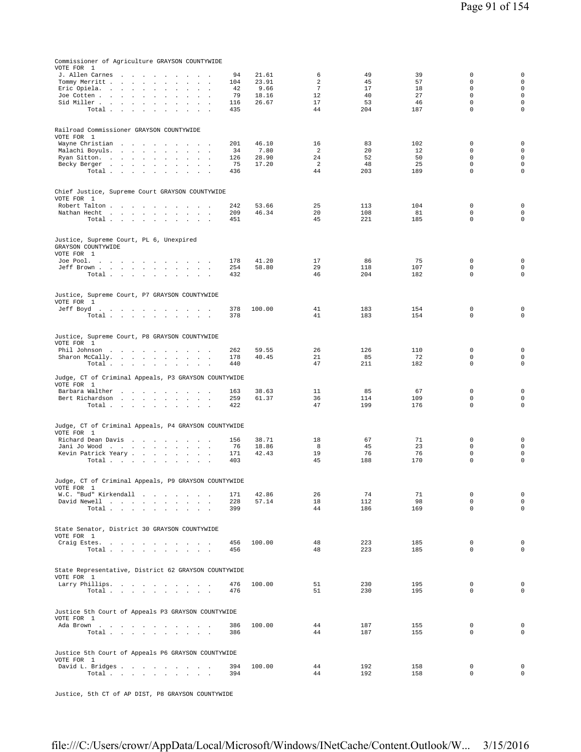| Commissioner of Agriculture GRAYSON COUNTYWIDE<br>VOTE FOR 1              |                |                      |            |            |                            |                                            |
|---------------------------------------------------------------------------|----------------|----------------------|------------|------------|----------------------------|--------------------------------------------|
| J. Allen Carnes<br>and the company of the state of the<br>94<br>$\sim$    | 21.61          | 6                    | 49         | 39         | $\mathbf 0$                | $\mathsf{O}\xspace$                        |
| Tommy Merritt<br>104                                                      | 23.91          | 2                    | 45         | 57         | $\Omega$                   | $\mathsf{O}\xspace$                        |
| Eric Opiela.<br>42                                                        | 9.66           | $7\phantom{.0}$      | 17         | 18         | $\Omega$                   | $\mathsf{O}\xspace$<br>$\mathbf 0$         |
| 79<br>Joe Cotten<br>$\sim$<br>$\mathbf{r}$<br>$\sim$<br>Sid Miller<br>116 | 18.16<br>26.67 | 12<br>17             | 40<br>53   | 27<br>46   | $\mathbf 0$<br>$\mathbf 0$ | $\mathbf 0$                                |
| Total<br>435                                                              |                | 44                   | 204        | 187        | $\mathbf 0$                | $\mathbf 0$                                |
|                                                                           |                |                      |            |            |                            |                                            |
| Railroad Commissioner GRAYSON COUNTYWIDE                                  |                |                      |            |            |                            |                                            |
| VOTE FOR 1                                                                |                |                      |            |            |                            |                                            |
| Wayne Christian<br>201                                                    | 46.10          | 16                   | 83         | 102        | 0                          | $\mathbf 0$                                |
| Malachi Boyuls.<br>34                                                     | 7.80           | 2                    | 20         | 12         | $\mathbf 0$                | $\mathsf{O}\xspace$                        |
| 126<br>Ryan Sitton.                                                       | 28.90          | 24                   | 52         | 50         | $\mathbf 0$                | $\mathsf 0$                                |
| 75<br>Becky Berger<br>Total<br>436                                        | 17.20          | $\mathfrak{D}$<br>44 | 48<br>203  | 25<br>189  | $\Omega$<br>$\Omega$       | $\mathbf 0$<br>$\mathbf 0$                 |
|                                                                           |                |                      |            |            |                            |                                            |
|                                                                           |                |                      |            |            |                            |                                            |
| Chief Justice, Supreme Court GRAYSON COUNTYWIDE                           |                |                      |            |            |                            |                                            |
| VOTE FOR 1<br>Robert Talton<br>242                                        | 53.66          | 25                   | 113        | 104        | $\mathbf 0$                | $\mathbf 0$                                |
| Nathan Hecht<br>209                                                       | 46.34          | 20                   | 108        | 81         | $\mathbf 0$                | $\mathbf 0$                                |
| Total<br>451                                                              |                | 45                   | 221        | 185        | $\mathbf 0$                | $\mathbf 0$                                |
|                                                                           |                |                      |            |            |                            |                                            |
| Justice, Supreme Court, PL 6, Unexpired                                   |                |                      |            |            |                            |                                            |
| GRAYSON COUNTYWIDE                                                        |                |                      |            |            |                            |                                            |
| VOTE FOR 1                                                                |                |                      |            |            |                            |                                            |
| Joe Pool.<br>178                                                          | 41.20          | 17                   | 86         | 75         | $\mathbf 0$                | $\mathbf 0$                                |
| Jeff Brown<br>254<br>Total<br>432                                         | 58.80          | 29<br>46             | 118<br>204 | 107<br>182 | $\mathbf 0$<br>$\mathbf 0$ | $\mathsf 0$<br>$\mathbf 0$                 |
|                                                                           |                |                      |            |            |                            |                                            |
|                                                                           |                |                      |            |            |                            |                                            |
| Justice, Supreme Court, P7 GRAYSON COUNTYWIDE                             |                |                      |            |            |                            |                                            |
| VOTE FOR 1<br>Jeff Boyd<br>378                                            | 100.00         | 41                   | 183        | 154        | $\mathbf 0$                | $\mathbf 0$                                |
| Total<br>378                                                              |                | 41                   | 183        | 154        | $\mathbf 0$                | $\mathsf 0$                                |
|                                                                           |                |                      |            |            |                            |                                            |
|                                                                           |                |                      |            |            |                            |                                            |
| Justice, Supreme Court, P8 GRAYSON COUNTYWIDE<br>VOTE FOR 1               |                |                      |            |            |                            |                                            |
| Phil Johnson<br>262                                                       | 59.55          | 26                   | 126        | 110        | 0                          | $\mathsf 0$                                |
| Sharon McCally.<br>178                                                    | 40.45          | 21                   | 85         | 72         | $\mathbf 0$                | $\mathsf{O}\xspace$                        |
| Total<br>440                                                              |                | 47                   | 211        | 182        | $\mathbf 0$                | $\circ$                                    |
| Judge, CT of Criminal Appeals, P3 GRAYSON COUNTYWIDE                      |                |                      |            |            |                            |                                            |
| VOTE FOR 1                                                                |                |                      |            |            |                            |                                            |
| Barbara Walther<br>163                                                    | 38.63          | 11                   | 85         | 67         | $\mathbf 0$                | $\mathbf 0$                                |
| 259<br>Bert Richardson                                                    | 61.37          | 36                   | 114        | 109        | $\mathbf 0$                | $\mathsf 0$                                |
| Total $\cdots$ $\cdots$<br>422<br>$\sim$                                  |                | 47                   | 199        | 176        | $\mathbb O$                | $\mathsf 0$                                |
|                                                                           |                |                      |            |            |                            |                                            |
| Judge, CT of Criminal Appeals, P4 GRAYSON COUNTYWIDE                      |                |                      |            |            |                            |                                            |
| VOTE FOR 1                                                                |                |                      |            |            |                            |                                            |
| Richard Dean Davis<br>156<br>Jani Jo Wood<br>76                           | 38.71<br>18.86 | 18<br>8              | 67<br>45   | 71<br>23   | $\mathbf 0$<br>$\mathbf 0$ | $\mathsf{O}\xspace$<br>$\mathsf{O}\xspace$ |
| Kevin Patrick Yeary<br>171                                                | 42.43          | 19                   | 76         | 76         | $\mathbb O$                | $\mathsf 0$                                |
| Total $\cdots$ $\cdots$ $\cdots$ $\cdots$<br>403                          |                | 45                   | 188        | 170        | $\mathbf 0$                | $\mathbf 0$                                |
|                                                                           |                |                      |            |            |                            |                                            |
| Judge, CT of Criminal Appeals, P9 GRAYSON COUNTYWIDE                      |                |                      |            |            |                            |                                            |
| VOTE FOR 1                                                                |                |                      |            |            |                            |                                            |
| W.C. "Bud" Kirkendall<br>171                                              | 42.86          | 26                   | 74         | 71         | $\mathbf 0$                | $\mathsf 0$                                |
| David Newell<br>228<br>399                                                | 57.14          | 18<br>44             | 112<br>186 | 98<br>169  | $\mathbf 0$<br>$\mathbf 0$ | $\mathsf 0$<br>$\mathbf 0$                 |
| Total                                                                     |                |                      |            |            |                            |                                            |
|                                                                           |                |                      |            |            |                            |                                            |
| State Senator, District 30 GRAYSON COUNTYWIDE                             |                |                      |            |            |                            |                                            |
| VOTE FOR 1<br>456                                                         | 100.00         | 48                   | 223        | 185        | $\mathbf 0$                | $\mathbf 0$                                |
| Craig Estes.<br>Total<br>456                                              |                | 48                   | 223        | 185        | $\mathbf 0$                | $\mathbf 0$                                |
|                                                                           |                |                      |            |            |                            |                                            |
|                                                                           |                |                      |            |            |                            |                                            |
| State Representative, District 62 GRAYSON COUNTYWIDE<br>VOTE FOR 1        |                |                      |            |            |                            |                                            |
| Larry Phillips.<br>476                                                    | 100.00         | 51                   | 230        | 195        | 0                          | $\mathbf 0$                                |
| Total<br>476                                                              |                | 51                   | 230        | 195        | $\Omega$                   | $\mathbf 0$                                |
|                                                                           |                |                      |            |            |                            |                                            |
| Justice 5th Court of Appeals P3 GRAYSON COUNTYWIDE                        |                |                      |            |            |                            |                                            |
| VOTE FOR 1                                                                |                |                      |            |            |                            |                                            |
| Ada Brown<br>386                                                          | 100.00         | 44                   | 187        | 155        | 0                          | $\mathbf 0$                                |
| Total<br>386                                                              |                | 44                   | 187        | 155        | $\mathbf 0$                | $\mathbf 0$                                |
|                                                                           |                |                      |            |            |                            |                                            |
| Justice 5th Court of Appeals P6 GRAYSON COUNTYWIDE                        |                |                      |            |            |                            |                                            |
| VOTE FOR 1                                                                |                |                      |            |            |                            |                                            |
| David L. Bridges<br>394                                                   | 100.00         | 44<br>44             | 192        | 158        | 0<br>$\mathbf 0$           | $\mathbf 0$<br>$\mathbf 0$                 |
| Total<br>394                                                              |                |                      | 192        | 158        |                            |                                            |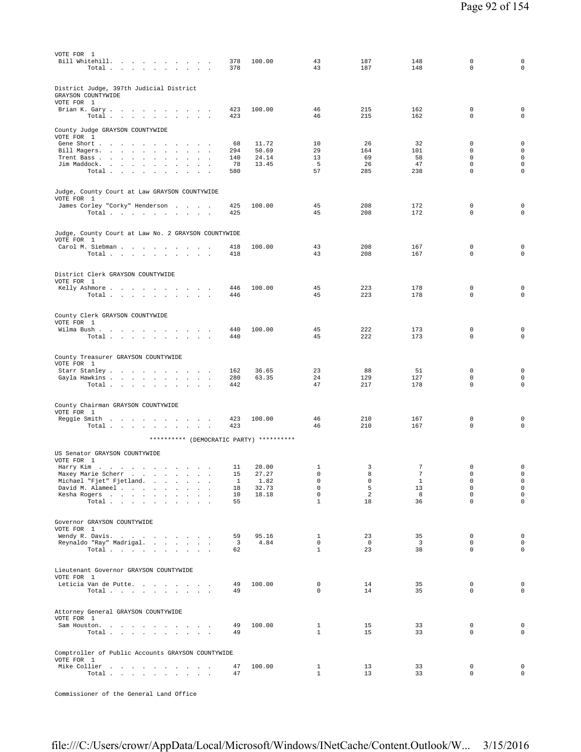| VOTE FOR 1                                                                                     |                               |                |                              |                      |                               |                  |                                            |
|------------------------------------------------------------------------------------------------|-------------------------------|----------------|------------------------------|----------------------|-------------------------------|------------------|--------------------------------------------|
| Bill Whitehill.<br>the contract of the contract of the con-                                    | 378                           | 100.00         | 43                           | 187                  | 148                           | 0                | 0                                          |
| Total<br>$\sim$ $\sim$                                                                         | 378                           |                | 43                           | 187                  | 148                           | $\Omega$         | $\mathbf 0$                                |
|                                                                                                |                               |                |                              |                      |                               |                  |                                            |
| District Judge, 397th Judicial District                                                        |                               |                |                              |                      |                               |                  |                                            |
| GRAYSON COUNTYWIDE                                                                             |                               |                |                              |                      |                               |                  |                                            |
| VOTE FOR 1                                                                                     |                               |                |                              |                      |                               |                  |                                            |
| Brian K. Gary                                                                                  | 423                           | 100.00         | 46                           | 215                  | 162                           | 0                | $\mathsf 0$                                |
| Total                                                                                          | 423                           |                | 46                           | 215                  | 162                           | $\mathbf 0$      | $\mathbf 0$                                |
| County Judge GRAYSON COUNTYWIDE                                                                |                               |                |                              |                      |                               |                  |                                            |
| VOTE FOR 1                                                                                     |                               |                |                              |                      |                               |                  |                                            |
| Gene Short                                                                                     | 68                            | 11.72          | 10                           | 26                   | 32                            | 0                | $\mathsf{O}\xspace$                        |
| Bill Magers.                                                                                   | 294                           | 50.69          | 29<br>13                     | 164<br>69            | 101                           | 0<br>$\mathbf 0$ | $\mathsf{O}\xspace$<br>$\mathsf{O}\xspace$ |
| Trent Bass<br>$\sim$<br>$\mathbf{r}$<br>$\ddot{\phantom{a}}$<br>Jim Maddock.<br>$\cdot$        | 140<br>78                     | 24.14<br>13.45 | 5                            | 26                   | 58<br>47                      | $\mathbf 0$      | $\mathbf 0$                                |
| Total<br>$\cdot$<br>$\ddot{\phantom{a}}$                                                       | 580                           |                | 57                           | 285                  | 238                           | 0                | $\mathbf 0$                                |
|                                                                                                |                               |                |                              |                      |                               |                  |                                            |
|                                                                                                |                               |                |                              |                      |                               |                  |                                            |
| Judge, County Court at Law GRAYSON COUNTYWIDE<br>VOTE FOR 1                                    |                               |                |                              |                      |                               |                  |                                            |
| James Corley "Corky" Henderson                                                                 | 425                           | 100.00         | 45                           | 208                  | 172                           | 0                | $\mathbf 0$                                |
| Total<br><b>Contract Contract</b>                                                              | 425                           |                | 45                           | 208                  | 172                           | 0                | $\mathbf 0$                                |
|                                                                                                |                               |                |                              |                      |                               |                  |                                            |
| Judge, County Court at Law No. 2 GRAYSON COUNTYWIDE                                            |                               |                |                              |                      |                               |                  |                                            |
| VOTE FOR 1                                                                                     |                               |                |                              |                      |                               |                  |                                            |
| Carol M. Siebman                                                                               | 418                           | 100.00         | 43                           | 208                  | 167                           | $\mathbf 0$      | $\mathsf 0$                                |
| Total $\cdots$ $\cdots$ $\cdots$                                                               | 418                           |                | 43                           | 208                  | 167                           | 0                | $\mathsf 0$                                |
|                                                                                                |                               |                |                              |                      |                               |                  |                                            |
| District Clerk GRAYSON COUNTYWIDE                                                              |                               |                |                              |                      |                               |                  |                                            |
| VOTE FOR 1                                                                                     |                               |                |                              |                      |                               |                  |                                            |
| Kelly Ashmore<br>and the contract of the con-<br><b>Contract Contract</b>                      | 446                           | 100.00         | 45                           | 223                  | 178                           | 0                | 0                                          |
| Total $\cdots$ $\cdots$<br>$\ddot{\phantom{a}}$                                                | 446                           |                | 45                           | 223                  | 178                           | 0                | $\mathbf 0$                                |
|                                                                                                |                               |                |                              |                      |                               |                  |                                            |
| County Clerk GRAYSON COUNTYWIDE                                                                |                               |                |                              |                      |                               |                  |                                            |
| VOTE FOR 1                                                                                     |                               |                |                              |                      |                               |                  |                                            |
| Wilma Bush<br>Total $\cdots$ $\cdots$                                                          | 440<br>440                    | 100.00         | 45<br>45                     | 222<br>222           | 173<br>173                    | $\mathbf 0$<br>0 | $\mathsf 0$<br>$\mathbf 0$                 |
| $\sim$<br>$\cdot$<br>$\sim$<br>$\sim 10^{-11}$ $\sim$                                          |                               |                |                              |                      |                               |                  |                                            |
|                                                                                                |                               |                |                              |                      |                               |                  |                                            |
| County Treasurer GRAYSON COUNTYWIDE                                                            |                               |                |                              |                      |                               |                  |                                            |
| VOTE FOR 1                                                                                     |                               | 36.65          | 23                           | 88                   | 51                            | 0                | $\mathbf 0$                                |
| Starr Stanley<br><b>Contract Contract</b><br>$\sim$<br>Gayla Hawkins                           | 162<br>280                    | 63.35          | 24                           | 129                  | 127                           | $\mathbf 0$      | $\mathbf 0$                                |
| Total $\cdots$ $\cdots$ $\cdots$                                                               | 442                           |                | 47                           | 217                  | 178                           | 0                | $\mathsf 0$                                |
|                                                                                                |                               |                |                              |                      |                               |                  |                                            |
|                                                                                                |                               |                |                              |                      |                               |                  |                                            |
| County Chairman GRAYSON COUNTYWIDE<br>VOTE FOR 1                                               |                               |                |                              |                      |                               |                  |                                            |
| Reggie Smith<br>$\sim$                                                                         | 423                           | 100.00         | 46                           | 210                  | 167                           | $\mathbf 0$      | $\mathsf 0$                                |
| Total<br>$\sim$ $\sim$                                                                         | 423                           |                | 46                           | 210                  | 167                           | $\mathbf 0$      | $\mathsf 0$                                |
| ********** (DEMOCRATIC PARTY) **********                                                       |                               |                |                              |                      |                               |                  |                                            |
|                                                                                                |                               |                |                              |                      |                               |                  |                                            |
| US Senator GRAYSON COUNTYWIDE                                                                  |                               |                |                              |                      |                               |                  |                                            |
| VOTE FOR 1                                                                                     |                               |                |                              |                      |                               |                  |                                            |
| Harry Kim<br>Maxey Marie Scherr                                                                | 11<br>15                      | 20.00<br>27.27 | 1<br>$\mathbf 0$             | 3<br>8               | 7<br>$\overline{7}$           | 0<br>$\mathbf 0$ | $\mathsf 0$<br>$\mathsf 0$                 |
| the contract of the contract of the con-<br>Michael "Fjet" Fjetland.<br>and the control of the | 1                             | 1.82           | 0                            | 0                    | $\mathbf{1}$                  | 0                | $\mathsf 0$                                |
| David M. Alameel<br>$\sim$<br>$\cdot$                                                          | 18                            | 32.73          | 0                            | 5                    | 13                            | $\mathsf 0$      | $\mathsf 0$                                |
| Kesha Rogers<br>$\Delta$                                                                       | 10                            | 18.18          | $\mathbf 0$                  | 2                    | 8                             | $\mathbf 0$      | $\mathsf 0$                                |
| Total $\cdots$ $\cdots$ $\cdots$                                                               | 55                            |                | $\mathbf{1}$                 | 18                   | 36                            | $\mathbf 0$      | $\mathsf{O}\xspace$                        |
|                                                                                                |                               |                |                              |                      |                               |                  |                                            |
| Governor GRAYSON COUNTYWIDE                                                                    |                               |                |                              |                      |                               |                  |                                            |
| VOTE FOR 1                                                                                     |                               |                |                              |                      |                               |                  |                                            |
| Wendy R. Davis.<br>Reynaldo "Ray" Madrigal.                                                    | 59<br>$\overline{\mathbf{3}}$ | 95.16<br>4.84  | $\mathbf{1}$<br>$\mathbf{0}$ | 23<br>$\overline{0}$ | 35<br>$\overline{\mathbf{3}}$ | 0<br>$\mathbf 0$ | $\mathbf 0$<br>$\mathsf 0$                 |
| Total                                                                                          | 62                            |                | $\mathbf{1}$                 | 23                   | 38                            | $\mathbf 0$      | $\mathsf{O}\xspace$                        |
|                                                                                                |                               |                |                              |                      |                               |                  |                                            |
|                                                                                                |                               |                |                              |                      |                               |                  |                                            |
| Lieutenant Governor GRAYSON COUNTYWIDE<br>VOTE FOR 1                                           |                               |                |                              |                      |                               |                  |                                            |
| Leticia Van de Putte.                                                                          | 49                            | 100.00         | 0                            | 14                   | 35                            | 0                | $\mathbf 0$                                |
| Total                                                                                          | 49                            |                | $\mathbf 0$                  | 14                   | 35                            | $\mathbf 0$      | $\mathbf 0$                                |
|                                                                                                |                               |                |                              |                      |                               |                  |                                            |
|                                                                                                |                               |                |                              |                      |                               |                  |                                            |
| Attorney General GRAYSON COUNTYWIDE<br>VOTE FOR 1                                              |                               |                |                              |                      |                               |                  |                                            |
| Sam Houston.                                                                                   | 49                            | 100.00         | $\mathbf{1}$                 | 15                   | 33                            | 0                | $\mathbf 0$                                |
| Total $\cdots$ $\cdots$ $\cdots$<br>$\sim 10^{-10}$ km $^{-1}$                                 | 49                            |                | $\mathbf{1}$                 | 15                   | 33                            | $\mathbf 0$      | $\mathbf 0$                                |
|                                                                                                |                               |                |                              |                      |                               |                  |                                            |
| Comptroller of Public Accounts GRAYSON COUNTYWIDE                                              |                               |                |                              |                      |                               |                  |                                            |
| VOTE FOR 1                                                                                     |                               |                |                              |                      |                               |                  |                                            |
| Mike Collier                                                                                   | 47                            | 100.00         | $\mathbf{1}$                 | 13                   | 33                            | 0                | $\mathbf 0$                                |
| Total                                                                                          | 47                            |                | $\mathbf{1}$                 | 13                   | 33                            | 0                | $\mathsf{O}\xspace$                        |
|                                                                                                |                               |                |                              |                      |                               |                  |                                            |

Commissioner of the General Land Office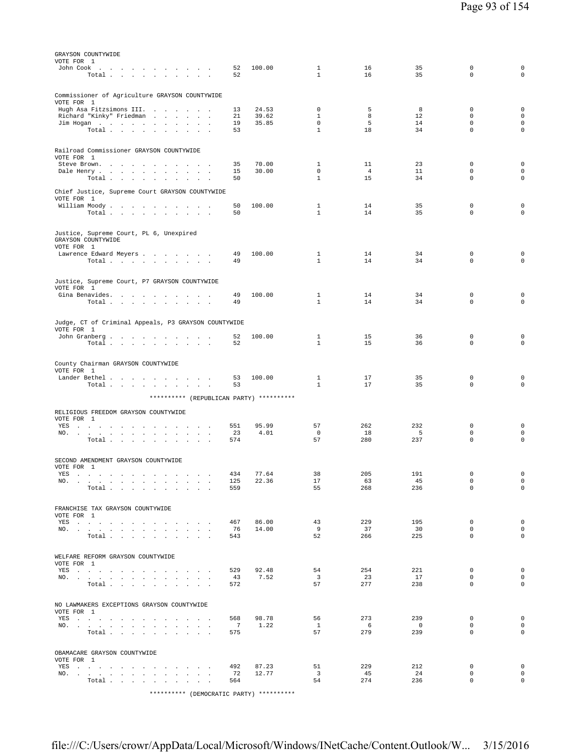| GRAYSON COUNTYWIDE<br>VOTE FOR 1                                                                                                                                                                                                      |                |                |                               |                      |                          |                            |                             |
|---------------------------------------------------------------------------------------------------------------------------------------------------------------------------------------------------------------------------------------|----------------|----------------|-------------------------------|----------------------|--------------------------|----------------------------|-----------------------------|
| John Cook<br>Total $\cdots$ $\cdots$                                                                                                                                                                                                  | 52<br>52       | 100.00         | $\mathbf{1}$<br>$\mathbf{1}$  | 16<br>16             | 35<br>35                 | 0<br>$\Omega$              | $\mathsf 0$<br>$\mathbf 0$  |
|                                                                                                                                                                                                                                       |                |                |                               |                      |                          |                            |                             |
| Commissioner of Agriculture GRAYSON COUNTYWIDE                                                                                                                                                                                        |                |                |                               |                      |                          |                            |                             |
| VOTE FOR 1<br>Hugh Asa Fitzsimons III.                                                                                                                                                                                                | 13             | 24.53          | 0                             | 5                    | 8                        | $\mathbf 0$                | $\mathsf 0$                 |
| Richard "Kinky" Friedman                                                                                                                                                                                                              | 21             | 39.62          | $\mathbf{1}$                  | 8                    | 12                       | $\mathbf 0$                | $\mathbf 0$                 |
| Jim Hogan<br>$\sim 10^{-11}$<br>$\sim$<br>$\sim$<br>Total                                                                                                                                                                             | 19<br>53       | 35.85          | $\mathbf 0$<br>$\mathbf{1}$   | 5<br>18              | 14<br>34                 | $\mathbf 0$<br>$\mathbf 0$ | $\mathbf 0$<br>0            |
|                                                                                                                                                                                                                                       |                |                |                               |                      |                          |                            |                             |
| Railroad Commissioner GRAYSON COUNTYWIDE                                                                                                                                                                                              |                |                |                               |                      |                          |                            |                             |
| VOTE FOR 1                                                                                                                                                                                                                            |                |                |                               |                      |                          |                            |                             |
| Steve Brown.<br>$\sim$ $\sim$<br>Dale Henry<br>$\ddot{\phantom{a}}$<br>$\blacksquare$                                                                                                                                                 | 35<br>15       | 70.00<br>30.00 | 1<br>$\mathbf 0$              | 11<br>$\overline{4}$ | 23<br>11                 | 0<br>$\mathbf 0$           | $\mathsf 0$<br>$\mathbf 0$  |
| Total<br>$\mathbf{r} = \mathbf{r} \cdot \mathbf{r}$                                                                                                                                                                                   | 50             |                | $\mathbf{1}$                  | 15                   | 34                       | 0                          | 0                           |
| Chief Justice, Supreme Court GRAYSON COUNTYWIDE                                                                                                                                                                                       |                |                |                               |                      |                          |                            |                             |
| VOTE FOR 1<br>William Moody.                                                                                                                                                                                                          | 50             | 100.00         | $\mathbf{1}$                  | 14                   | 35                       | $\mathbf 0$                | $\mathbf 0$                 |
| Total $\cdots$ $\cdots$ $\cdots$                                                                                                                                                                                                      | 50             |                | $\mathbf{1}$                  | 14                   | 35                       | $\mathbf 0$                | $\mathbf 0$                 |
|                                                                                                                                                                                                                                       |                |                |                               |                      |                          |                            |                             |
| Justice, Supreme Court, PL 6, Unexpired<br>GRAYSON COUNTYWIDE                                                                                                                                                                         |                |                |                               |                      |                          |                            |                             |
| VOTE FOR 1                                                                                                                                                                                                                            |                |                |                               |                      |                          |                            |                             |
| Lawrence Edward Meyers<br>Total                                                                                                                                                                                                       | 49<br>49       | 100.00         | $\mathbf{1}$<br>$\mathbf{1}$  | 14<br>14             | 34<br>34                 | $\mathbf 0$<br>0           | $\mathbf 0$<br>$\mathbf 0$  |
|                                                                                                                                                                                                                                       |                |                |                               |                      |                          |                            |                             |
| Justice, Supreme Court, P7 GRAYSON COUNTYWIDE                                                                                                                                                                                         |                |                |                               |                      |                          |                            |                             |
| VOTE FOR 1                                                                                                                                                                                                                            |                |                |                               |                      |                          |                            |                             |
| Gina Benavides.<br>Total $\cdots$ $\cdots$ $\cdots$<br>$\sim$ $\sim$ $\sim$                                                                                                                                                           | 49<br>49       | 100.00         | $\mathbf{1}$<br>$\mathbf{1}$  | 14<br>14             | 34<br>34                 | $\mathbf 0$<br>0           | $\mathsf 0$<br>$\mathbf 0$  |
|                                                                                                                                                                                                                                       |                |                |                               |                      |                          |                            |                             |
| Judge, CT of Criminal Appeals, P3 GRAYSON COUNTYWIDE                                                                                                                                                                                  |                |                |                               |                      |                          |                            |                             |
| VOTE FOR 1<br>John Granberg                                                                                                                                                                                                           | 52             | 100.00         | $\mathbf{1}$                  | 15                   | 36                       | $\mathbf 0$                | $\mathbf 0$                 |
| Total                                                                                                                                                                                                                                 | 52             |                | $\mathbf{1}$                  | 15                   | 36                       | $\mathbf 0$                | $\mathbf 0$                 |
|                                                                                                                                                                                                                                       |                |                |                               |                      |                          |                            |                             |
| County Chairman GRAYSON COUNTYWIDE<br>VOTE FOR 1                                                                                                                                                                                      |                |                |                               |                      |                          |                            |                             |
| Lander Bethel                                                                                                                                                                                                                         | 53             | 100.00         | 1                             | 17                   | 35                       | 0                          | $\mathsf 0$                 |
| Total                                                                                                                                                                                                                                 | 53             |                | 1                             | 17                   | 35                       | 0                          | $\mathbf 0$                 |
| ********** (REPUBLICAN PARTY) **********                                                                                                                                                                                              |                |                |                               |                      |                          |                            |                             |
| RELIGIOUS FREEDOM GRAYSON COUNTYWIDE                                                                                                                                                                                                  |                |                |                               |                      |                          |                            |                             |
| VOTE FOR 1<br>YES<br>design and a state of the state of<br>$\sim$                                                                                                                                                                     | 551            | 95.99          | 57                            | 262                  | 232                      | 0                          | $\mathsf 0$                 |
| NO.<br>$\sim$<br>$\sim$<br>$\sim$<br>$\sim$<br>$\ddot{\phantom{a}}$<br>$\sim$                                                                                                                                                         | 23             | 4.01           | $\mathbf 0$                   | 18                   | 5                        | 0                          | $\mathsf 0$                 |
| Total<br>and the control<br>$\ddot{\phantom{a}}$<br>$\cdot$<br>$\sim$                                                                                                                                                                 | 574            |                | 57                            | 280                  | 237                      | $\mathbf 0$                | $\mathbf 0$                 |
|                                                                                                                                                                                                                                       |                |                |                               |                      |                          |                            |                             |
| SECOND AMENDMENT GRAYSON COUNTYWIDE<br>VOTE FOR 1                                                                                                                                                                                     |                |                |                               |                      |                          |                            |                             |
| YES                                                                                                                                                                                                                                   | 434            | 77.64          | 38                            | 205                  | 191                      | 0                          | 0                           |
| NO.<br>Total                                                                                                                                                                                                                          | 125<br>559     | 22.36          | 17<br>55                      | 63<br>268            | 45<br>236                | 0<br>$\mathbf 0$           | $\circ$<br>$\mathbf 0$      |
|                                                                                                                                                                                                                                       |                |                |                               |                      |                          |                            |                             |
| FRANCHISE TAX GRAYSON COUNTYWIDE                                                                                                                                                                                                      |                |                |                               |                      |                          |                            |                             |
| VOTE FOR 1<br>YES                                                                                                                                                                                                                     | 467            | 86.00          | 43                            | 229                  | 195                      | $\mathbf 0$                | $\mathbf{0}$                |
| NO.                                                                                                                                                                                                                                   | 76             | 14.00          | - 9                           | 37                   | 30                       | $\mathbf 0$                | $\mathbf{0}$                |
| Total                                                                                                                                                                                                                                 | 543            |                | 52                            | 266                  | 225                      | 0                          | $\mathbf 0$                 |
| WELFARE REFORM GRAYSON COUNTYWIDE                                                                                                                                                                                                     |                |                |                               |                      |                          |                            |                             |
| VOTE FOR 1                                                                                                                                                                                                                            |                |                |                               |                      |                          |                            |                             |
| YES and a contract the contract of the state of the state of the state of the state of the state of the state of the state of the state of the state of the state of the state of the state of the state of the state of the s<br>NO. | 529<br>43      | 92.48<br>7.52  | 54<br>$\overline{\mathbf{3}}$ | 254<br>23            | 221<br>17                | $\mathbf 0$<br>$\mathbf 0$ | $\mathbf{0}$<br>$\circ$     |
| Total                                                                                                                                                                                                                                 | 572            |                | 57                            | 277                  | 238                      | $\mathbf 0$                | $\mathbf 0$                 |
|                                                                                                                                                                                                                                       |                |                |                               |                      |                          |                            |                             |
| NO LAWMAKERS EXCEPTIONS GRAYSON COUNTYWIDE                                                                                                                                                                                            |                |                |                               |                      |                          |                            |                             |
| VOTE FOR 1<br>YES                                                                                                                                                                                                                     | 568            | 98.78          | 56                            | 273                  | 239                      | $\mathbf 0$                | $\mathbf 0$                 |
| NO.                                                                                                                                                                                                                                   | $\overline{7}$ | 1.22           | $\mathbf{1}$                  | - 6                  | $\overline{\phantom{0}}$ | $\mathbf 0$<br>$\mathbf 0$ | $\mathbf 0$<br>$\circ$      |
| Total                                                                                                                                                                                                                                 | 575            |                | 57                            | 279                  | 239                      |                            |                             |
| OBAMACARE GRAYSON COUNTYWIDE                                                                                                                                                                                                          |                |                |                               |                      |                          |                            |                             |
| VOTE FOR 1                                                                                                                                                                                                                            |                |                |                               |                      |                          |                            |                             |
| YES<br>NO.                                                                                                                                                                                                                            | 492<br>72      | 87.23<br>12.77 | 51<br>$\overline{\mathbf{3}}$ | 229<br>45            | 212<br>24                | $\mathbf 0$<br>$\mathbf 0$ | $\mathbf 0$<br>$\mathbf{0}$ |
| Total                                                                                                                                                                                                                                 | 564            |                | 54                            | 274                  | 236                      | $\mathbf 0$                | $\mathbf 0$                 |
| ********** (DEMOCRATIC PARTY) **********                                                                                                                                                                                              |                |                |                               |                      |                          |                            |                             |
|                                                                                                                                                                                                                                       |                |                |                               |                      |                          |                            |                             |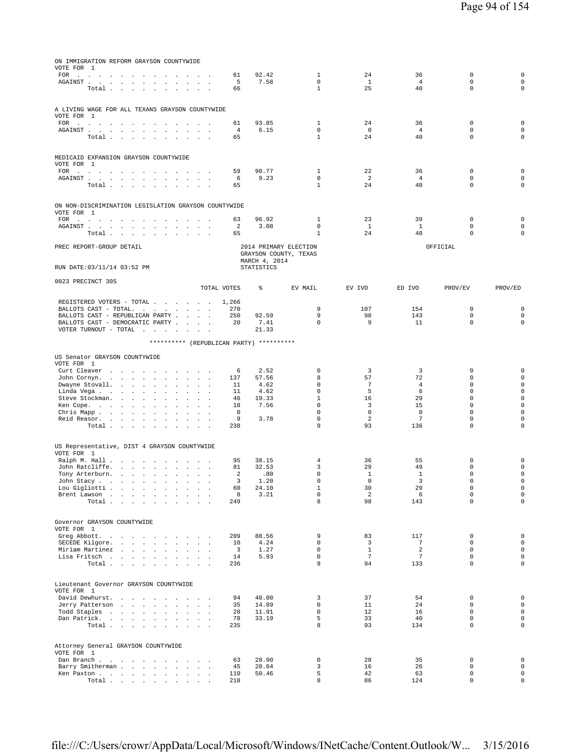| ON IMMIGRATION REFORM GRAYSON COUNTYWIDE                                                                                                                                                                                   |                                                            |                                        |                             |                             |                      |                            |                                    |
|----------------------------------------------------------------------------------------------------------------------------------------------------------------------------------------------------------------------------|------------------------------------------------------------|----------------------------------------|-----------------------------|-----------------------------|----------------------|----------------------------|------------------------------------|
| VOTE FOR 1                                                                                                                                                                                                                 | 61                                                         | 92.42                                  | 1                           | 24                          | 36                   | $\mathbb O$                | $\mathbf 0$                        |
| $\texttt{FOR} \quad . \qquad . \qquad . \qquad . \qquad . \qquad . \qquad . \qquad . \qquad . \qquad .$<br>$\sim$<br>AGAINST.<br>the contract of the contract of<br>$\blacksquare$<br>$\ddot{\phantom{a}}$<br>$\mathbf{r}$ | 5<br>$\cdot$<br>$\ddot{\phantom{1}}$                       | 7.58                                   | $\mathbf 0$                 | 1                           | 4                    | $\mathbf 0$                | $\mathsf{O}\xspace$                |
| Total<br>$\sim$<br>$\mathbf{r}$                                                                                                                                                                                            | 66<br>$\sim$                                               |                                        | $\mathbf{1}$                | 25                          | 40                   | $\mathbf 0$                | $\mathsf{O}\xspace$                |
|                                                                                                                                                                                                                            |                                                            |                                        |                             |                             |                      |                            |                                    |
| A LIVING WAGE FOR ALL TEXANS GRAYSON COUNTYWIDE                                                                                                                                                                            |                                                            |                                        |                             |                             |                      |                            |                                    |
| VOTE FOR 1                                                                                                                                                                                                                 |                                                            |                                        |                             |                             |                      |                            |                                    |
| <b>FOR</b><br>the contract of the contract of the<br>$\sim$<br>$\sim$<br>AGAINST<br>$\sim$<br>$\cdot$                                                                                                                      | 61<br>$\sim$<br>4<br>$\ddot{\phantom{a}}$                  | 93.85<br>6.15                          | 1<br>$\mathbf 0$            | 24<br>$\mathbf 0$           | 36<br>$\overline{4}$ | $\mathbf 0$<br>$\mathbf 0$ | $\mathbf 0$<br>$\mathsf{O}\xspace$ |
| Total<br>$\sim$<br><b>All Carried Carry</b><br>$\sim$                                                                                                                                                                      | 65<br><b>All Angeles</b>                                   |                                        | $\mathbf{1}$                | 24                          | 40                   | $\mathbf 0$                | $\mathsf{O}\xspace$                |
|                                                                                                                                                                                                                            |                                                            |                                        |                             |                             |                      |                            |                                    |
| MEDICAID EXPANSION GRAYSON COUNTYWIDE                                                                                                                                                                                      |                                                            |                                        |                             |                             |                      |                            |                                    |
| VOTE FOR 1                                                                                                                                                                                                                 |                                                            |                                        |                             |                             |                      |                            |                                    |
| FOR $\cdots$ $\cdots$ $\cdots$ $\cdots$<br>.                                                                                                                                                                               | 59                                                         | 90.77                                  | 1                           | 22                          | 36                   | 0                          | 0                                  |
| AGAINST<br>$\sim 10^{-1}$<br>$\sim$<br>Total                                                                                                                                                                               | 6<br>$\sim 100$ km s $^{-1}$<br>65                         | 9.23                                   | $\mathbf 0$<br>$\mathbf{1}$ | 2<br>24                     | $\overline{4}$<br>40 | $\mathbf 0$<br>$\Omega$    | $\mathsf{O}\xspace$<br>$\mathbf 0$ |
|                                                                                                                                                                                                                            |                                                            |                                        |                             |                             |                      |                            |                                    |
|                                                                                                                                                                                                                            |                                                            |                                        |                             |                             |                      |                            |                                    |
| ON NON-DISCRIMINATION LEGISLATION GRAYSON COUNTYWIDE<br>VOTE FOR 1                                                                                                                                                         |                                                            |                                        |                             |                             |                      |                            |                                    |
| <b>FOR</b><br><b>Contract Contract</b><br>the contract of the contract of the<br>and the contract of the con-                                                                                                              | 63                                                         | 96.92                                  | 1                           | 23                          | 39                   | $\mathbf 0$                | $\mathbf 0$                        |
| AGAINST.<br>$\sim$<br><b>Contract Contract</b><br>$\cdot$<br>$\sim$<br>$\cdot$                                                                                                                                             | 2<br>$\ddot{\phantom{a}}$                                  | 3.08                                   | $\mathbf 0$                 | $\mathbf{1}$                | $\mathbf{1}$         | $\mathbf 0$                | 0                                  |
| Total                                                                                                                                                                                                                      | 65<br>$\cdot$                                              |                                        | $\mathbf{1}$                | 24                          | 40                   | $\Omega$                   | $\circ$                            |
| PREC REPORT-GROUP DETAIL                                                                                                                                                                                                   |                                                            | 2014 PRIMARY ELECTION                  |                             |                             |                      | OFFICIAL                   |                                    |
|                                                                                                                                                                                                                            |                                                            | GRAYSON COUNTY, TEXAS<br>MARCH 4, 2014 |                             |                             |                      |                            |                                    |
| RUN DATE: 03/11/14 03:52 PM                                                                                                                                                                                                |                                                            | STATISTICS                             |                             |                             |                      |                            |                                    |
|                                                                                                                                                                                                                            |                                                            |                                        |                             |                             |                      |                            |                                    |
| 0023 PRECINCT 305                                                                                                                                                                                                          | TOTAL VOTES                                                | ⊱                                      | EV MAIL                     | EV IVO                      | ED IVO               | PROV/EV                    | PROV/ED                            |
|                                                                                                                                                                                                                            |                                                            |                                        |                             |                             |                      |                            |                                    |
| REGISTERED VOTERS - TOTAL                                                                                                                                                                                                  | 1,266                                                      |                                        |                             |                             |                      |                            |                                    |
| BALLOTS CAST - TOTAL.<br>BALLOTS CAST - REPUBLICAN PARTY                                                                                                                                                                   | 270<br>250                                                 | 92.59                                  | 9<br>9                      | 107<br>98                   | 154<br>143           | $\mathbf 0$<br>$\Omega$    | 0<br>0                             |
| BALLOTS CAST - DEMOCRATIC PARTY                                                                                                                                                                                            | 20                                                         | 7.41                                   | $\mathbf 0$                 | 9                           | 11                   | $\mathbf 0$                | $\mathbf 0$                        |
| VOTER TURNOUT - TOTAL<br>and the contract of the                                                                                                                                                                           | $\sim$                                                     | 21.33                                  |                             |                             |                      |                            |                                    |
|                                                                                                                                                                                                                            | ********** (REPUBLICAN PARTY) **********                   |                                        |                             |                             |                      |                            |                                    |
|                                                                                                                                                                                                                            |                                                            |                                        |                             |                             |                      |                            |                                    |
| US Senator GRAYSON COUNTYWIDE<br>VOTE FOR 1                                                                                                                                                                                |                                                            |                                        |                             |                             |                      |                            |                                    |
| Curt Cleaver<br>$\sim$<br>$\mathbf{r}$                                                                                                                                                                                     | 6<br>$\sim$                                                | 2.52                                   | 0                           | 3                           | 3                    | 0                          | 0                                  |
| John Cornyn.<br>the contract of the con-<br>$\Delta$<br>$\mathbf{r}$<br>$\mathbf{r}$                                                                                                                                       | 137<br>$\sim$<br>$\ddot{\phantom{a}}$                      | 57.56                                  | 8                           | 57                          | 72                   | $\mathbf 0$                | $\mathsf{O}\xspace$                |
| Dwayne Stovall.<br>$\sim$                                                                                                                                                                                                  | 11                                                         | 4.62                                   | $\mathbf 0$                 | $\overline{7}$              | $\overline{4}$       | $\mathbf 0$                | $\mathsf{O}\xspace$                |
| Linda Vega<br>$\cdot$<br>$\mathbf{r}$<br>Steve Stockman.<br>$\sim 10^{-1}$ km $^{-1}$<br>$\ddot{\phantom{a}}$<br>$\ddot{\phantom{a}}$                                                                                      | 11<br>46                                                   | 4.62<br>19.33                          | $\mathbb O$<br>$\mathbf{1}$ | 5<br>16                     | 6<br>29              | $\mathbf 0$<br>$\mathbf 0$ | $\mathsf 0$<br>$\mathsf 0$         |
| Ken Cope.<br><b>Carl Adams</b><br>$\ddot{\phantom{a}}$                                                                                                                                                                     | 18<br>All Carrier                                          | 7.56                                   | $\mathbf 0$                 | 3                           | 15                   | $\mathbf 0$                | $\mathsf 0$                        |
| Chris Mapp<br>$\ddot{\phantom{a}}$<br>$\ddot{\phantom{a}}$<br>$\mathbf{r}$<br>$\mathbf{r}$<br>$\mathbf{r}$                                                                                                                 | 0<br>$\mathbf{r}$                                          |                                        | $\mathbf 0$                 | $\mathbf 0$                 | $\mathbf 0$          | $\mathbf 0$                | $\mathsf{O}\xspace$                |
| Reid Reasor.<br>Total<br>$\sim$<br>$\ddot{\phantom{a}}$<br>$\ddot{\phantom{0}}$<br>$\sim$                                                                                                                                  | 9<br>$\sim$ $\sim$ $\sim$<br>238                           | 3.78                                   | $\mathbf 0$<br>9            | 2<br>93                     | 7<br>136             | $\mathbf 0$<br>$\mathbf 0$ | $\mathsf 0$<br>$\circ$             |
|                                                                                                                                                                                                                            |                                                            |                                        |                             |                             |                      |                            |                                    |
|                                                                                                                                                                                                                            |                                                            |                                        |                             |                             |                      |                            |                                    |
| US Representative, DIST 4 GRAYSON COUNTYWIDE<br>VOTE FOR 1                                                                                                                                                                 |                                                            |                                        |                             |                             |                      |                            |                                    |
| Ralph M. Hall<br>$\ddot{\phantom{1}}$                                                                                                                                                                                      | 95                                                         | 38.15                                  | 4                           | 36                          | 55                   | $\mathbb O$                | 0                                  |
| John Ratcliffe.<br>and the contract of the state<br>$\ddot{\phantom{a}}$                                                                                                                                                   | 81<br>$\cdot$                                              | 32.53                                  | 3                           | 29                          | 49                   | $\mathbf 0$                | $\mathsf{O}\xspace$                |
| Tony Arterburn.<br>$\mathcal{L}_{\mathcal{A}}$<br>$\mathcal{L}$<br>$\ddot{\phantom{a}}$<br>$\cdot$<br>John Stacy                                                                                                           | $\overline{\mathbf{c}}$<br>$\ddot{\phantom{a}}$<br>3       | .80<br>1.20                            | $\mathbf 0$<br>$\mathbf 0$  | $\mathbf{1}$<br>$\mathbf 0$ | $\mathbf{1}$<br>3    | $\mathbf 0$<br>$\mathbf 0$ | $\mathsf{O}\xspace$<br>$\mathbf 0$ |
| Lou Gigliotti<br>$\ddot{\phantom{a}}$                                                                                                                                                                                      | 60<br>$\ddot{\phantom{a}}$                                 | 24.10                                  | $\mathbf{1}$                | 30                          | 29                   | $\mathbf 0$                | $\mathbf 0$                        |
| Brent Lawson<br>$\sim$<br>$\ddot{\phantom{a}}$                                                                                                                                                                             | 8<br>$\ddot{\phantom{a}}$                                  | 3.21                                   | $\mathsf 0$                 | 2                           | 6                    | $\mathsf 0$                | $\mathsf{O}\xspace$                |
| Total                                                                                                                                                                                                                      | 249                                                        |                                        | 8                           | 98                          | 143                  | $\Omega$                   | $\circ$                            |
|                                                                                                                                                                                                                            |                                                            |                                        |                             |                             |                      |                            |                                    |
| Governor GRAYSON COUNTYWIDE                                                                                                                                                                                                |                                                            |                                        |                             |                             |                      |                            |                                    |
| VOTE FOR 1<br>Greg Abbott.                                                                                                                                                                                                 | 209                                                        | 88.56                                  | 9                           | 83                          | 117                  | $^{\circ}$                 | $\mathsf{O}\xspace$                |
| SECEDE Kilgore.                                                                                                                                                                                                            | 10                                                         | 4.24                                   | $\mathbf 0$                 | $\overline{3}$              | $\overline{7}$       | $\mathbf 0$                | $\circ$                            |
| Miriam Martinez                                                                                                                                                                                                            | $\overline{\mathbf{3}}$                                    | 1.27                                   | $\mathbf 0$                 | $\mathbf{1}$                | 2                    | $\Omega$                   | $\circ$                            |
| Lisa Fritsch                                                                                                                                                                                                               | 14                                                         | 5.93                                   | $\mathbf 0$<br>9            | $7\phantom{.0}$<br>94       | $7\overline{ }$      | $\mathbf 0$<br>$\mathbf 0$ | $\mathsf{O}\xspace$<br>$\mathbf 0$ |
| Total                                                                                                                                                                                                                      | 236<br>$\mathbf{L} = \mathbf{L} \times \mathbf{L}$         |                                        |                             |                             | 133                  |                            |                                    |
|                                                                                                                                                                                                                            |                                                            |                                        |                             |                             |                      |                            |                                    |
| Lieutenant Governor GRAYSON COUNTYWIDE<br>VOTE FOR 1                                                                                                                                                                       |                                                            |                                        |                             |                             |                      |                            |                                    |
| David Dewhurst.                                                                                                                                                                                                            | 94                                                         | 40.00                                  | 3                           | 37                          | 54                   | $\mathbf 0$                | $\mathsf{O}\xspace$                |
| Jerry Patterson                                                                                                                                                                                                            | 35                                                         | 14.89                                  | $\mathbf 0$                 | 11                          | 24                   | $\mathbf 0$                | $\circ$                            |
| Todd Staples<br>$\sim$<br>Dan Patrick.                                                                                                                                                                                     | 28<br>$\Delta \sim 100$<br>78                              | 11.91<br>33.19                         | $\mathbf 0$<br>5            | $12 \overline{ }$<br>33     | 16<br>40             | $\mathbf 0$<br>$\mathbf 0$ | $\circ$<br>$\mathsf{O}\xspace$     |
| Total                                                                                                                                                                                                                      | 235                                                        |                                        | 8                           | 93                          | 134                  | $\mathbf 0$                | $\mathsf{O}\xspace$                |
|                                                                                                                                                                                                                            |                                                            |                                        |                             |                             |                      |                            |                                    |
| Attorney General GRAYSON COUNTYWIDE                                                                                                                                                                                        |                                                            |                                        |                             |                             |                      |                            |                                    |
| VOTE FOR 1                                                                                                                                                                                                                 |                                                            |                                        |                             |                             |                      |                            |                                    |
| Dan Branch                                                                                                                                                                                                                 | 63                                                         | 28.90                                  | $\mathsf 0$                 | 28                          | 35                   | $\mathsf 0$                | $\mathsf{O}\xspace$                |
| Barry Smitherman<br>Ken Paxton                                                                                                                                                                                             | 45<br>$\mathbf{1}=\mathbf{1}=\mathbf{1}=\mathbf{1}$<br>110 | 20.64<br>50.46                         | 3<br>5                      | 16<br>42                    | 26<br>63             | $\mathbf 0$<br>$\mathsf 0$ | $\circ$<br>$\circ$                 |
| Total                                                                                                                                                                                                                      | 218                                                        |                                        | 8                           | 86                          | 124                  | $\mathbf 0$                | $\circ$                            |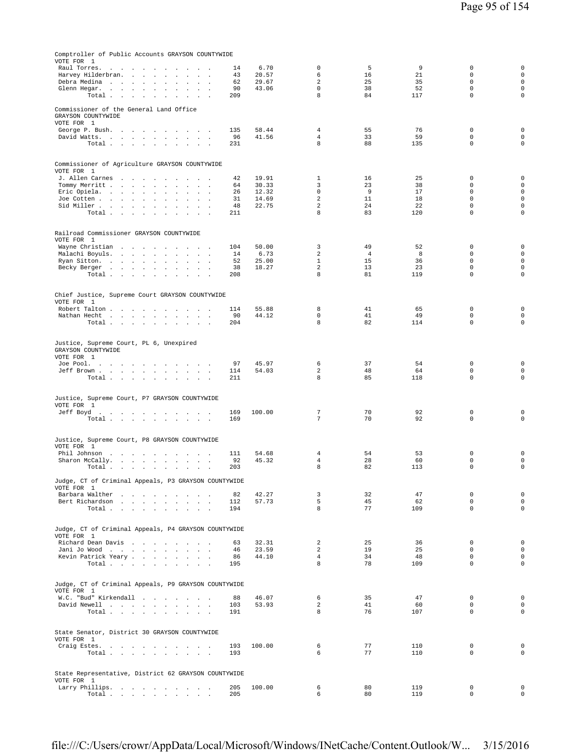| Comptroller of Public Accounts GRAYSON COUNTYWIDE<br>VOTE FOR 1                                                                                              |                |                                  |                      |            |                            |                                    |
|--------------------------------------------------------------------------------------------------------------------------------------------------------------|----------------|----------------------------------|----------------------|------------|----------------------------|------------------------------------|
| Raul Torres.<br>14<br>$\sim$<br>$\sim$<br><b>Sales Advised Service</b><br>$\sim$<br>$\ddot{\phantom{a}}$<br>$\sim$<br>$\lambda$                              | 6.70           | $\mathbf 0$                      | 5                    | 9          | $\mathbf 0$                | $\mathbf 0$                        |
| 43<br>Harvey Hilderbran.<br>$\mathbf{u} = \mathbf{u} + \mathbf{u}$ .<br>$\sim$<br>$\mathbf{r}$<br>$\overline{a}$<br>$\sim$ $\sim$                            | 20.57          | 6                                | 16                   | 21         | $\mathbf 0$                | $\mathbf 0$                        |
| Debra Medina<br>62<br>$\sim$<br>$\mathcal{L}$<br>$\sim$<br>$\ddot{\phantom{a}}$<br>90<br>Glenn Hegar.<br>$\blacksquare$<br>$\ddot{\phantom{a}}$              | 29.67<br>43.06 | 2<br>$\Omega$                    | 25<br>38             | 35<br>52   | $\mathbf 0$<br>$\Omega$    | $\mathsf{O}\xspace$<br>$\mathbf 0$ |
| Total<br>209<br>$\sim$<br>$\sim$<br>$\sim$<br>$\sim$                                                                                                         |                | 8                                | 84                   | 117        | $\mathbf 0$                | $\mathbf 0$                        |
| Commissioner of the General Land Office<br>GRAYSON COUNTYWIDE<br>VOTE FOR 1                                                                                  |                |                                  |                      |            |                            |                                    |
| George P. Bush.<br>135<br><b>Carl Carl Carl</b><br>$\sim$ $\sim$<br>$\sim 100$<br>$\sim$<br><b>Contract Contract</b>                                         | 58.44          | $\overline{4}$                   | 55                   | 76         | $\mathbf 0$                | $\mathbf 0$                        |
| David Watts.<br>96<br>Total<br>231                                                                                                                           | 41.56          | $\overline{4}$<br>8              | 33<br>88             | 59<br>135  | $\mathbf 0$<br>$\mathbf 0$ | $\mathbf 0$<br>$\mathsf{O}\xspace$ |
|                                                                                                                                                              |                |                                  |                      |            |                            |                                    |
| Commissioner of Agriculture GRAYSON COUNTYWIDE                                                                                                               |                |                                  |                      |            |                            |                                    |
| VOTE FOR 1<br>J. Allen Carnes<br>42                                                                                                                          | 19.91          | $\mathbf{1}$                     | 16                   | 25         | $\mathbf 0$                | $\mathbf 0$                        |
| Tommy Merritt<br>64<br>$\sim$<br>$\mathcal{L}$<br>$\sim$ $\sim$                                                                                              | 30.33          | 3                                | 23                   | 38         | $\mathbf 0$                | $\mathsf{O}\xspace$                |
| Eric Opiela.<br>26<br>$\mathbf{r}$ and $\mathbf{r}$<br>Joe Cotten<br>31<br>$\sim$<br>$\sim$<br>$\ddot{\phantom{a}}$                                          | 12.32<br>14.69 | $\mathbf 0$<br>$\overline{a}$    | - 9<br>11            | 17<br>18   | $\mathbf 0$<br>$\mathsf 0$ | $\mathbf 0$<br>$\mathbf 0$         |
| Sid Miller<br>48<br>$\ddot{\phantom{0}}$<br>$\Box$<br>$\cdot$<br>$\mathbf{r}$                                                                                | 22.75          | $\overline{a}$                   | 24                   | 22         | $\mathbf 0$                | $\mathbf 0$                        |
| Total<br>211<br>$\sim$<br>$\cdot$<br>$\ddot{\phantom{a}}$<br>$\sim$                                                                                          |                | 8                                | 83                   | 120        | $\mathbf 0$                | $\mathbf 0$                        |
| Railroad Commissioner GRAYSON COUNTYWIDE                                                                                                                     |                |                                  |                      |            |                            |                                    |
| VOTE FOR 1                                                                                                                                                   |                |                                  |                      |            |                            |                                    |
| Wayne Christian<br>104<br>Malachi Boyuls.<br>and the contract of the contract of<br>14<br>$\sim$<br>$\Delta \sim 10$<br>$\sim$<br>$\mathcal{L}_{\mathbf{z}}$ | 50.00<br>6.73  | 3<br>$\overline{a}$              | 49<br>$\overline{4}$ | 52<br>8    | 0<br>$\Omega$              | $\mathbf 0$<br>$\mathsf{O}\xspace$ |
| Ryan Sitton.<br>52<br>$\sim 10^{-11}$<br>$\ddot{\phantom{a}}$<br>$\ddot{\phantom{a}}$<br>$\sim$                                                              | 25.00          | $\mathbf{1}$                     | 15                   | 36         | $\mathbf 0$                | $\mathbf 0$                        |
| Becky Berger<br>38<br>$\ddot{\phantom{a}}$<br>$\cdot$<br>Total $\cdots$ $\cdots$ $\cdots$<br>208<br><b>Contract Contract</b>                                 | 18.27          | $\overline{a}$<br>8              | 13<br>81             | 23<br>119  | $\mathsf 0$<br>$\mathbf 0$ | $\mathbf 0$<br>$\mathbf 0$         |
|                                                                                                                                                              |                |                                  |                      |            |                            |                                    |
| Chief Justice, Supreme Court GRAYSON COUNTYWIDE<br>VOTE FOR 1                                                                                                |                |                                  |                      |            |                            |                                    |
| Robert Talton<br>114<br>and the state of the state of the state of the state of the state of the state of the state of the state of the<br>$\sim$            | 55.88          | 8                                | 41                   | 65         | 0                          | $\mathbf 0$                        |
| Nathan Hecht<br>90<br>Total<br>204                                                                                                                           | 44.12          | $\mathbf 0$<br>8                 | 41<br>82             | 49<br>114  | $\mathbf 0$<br>$\mathbf 0$ | $\mathbf 0$<br>$\mathsf{O}\xspace$ |
|                                                                                                                                                              |                |                                  |                      |            |                            |                                    |
| Justice, Supreme Court, PL 6, Unexpired<br>GRAYSON COUNTYWIDE                                                                                                |                |                                  |                      |            |                            |                                    |
| VOTE FOR 1<br>Joe Pool.<br>97                                                                                                                                | 45.97          | 6                                | 37                   | 54         | $\mathbb O$                | $\mathbf 0$                        |
| Jeff Brown<br>114                                                                                                                                            | 54.03          | 2                                | 48                   | 64         | $\mathbf 0$                | $\mathsf{O}\xspace$                |
| Total<br>211                                                                                                                                                 |                | 8                                | 85                   | 118        | $\mathbf 0$                | $\mathsf{O}\xspace$                |
| Justice, Supreme Court, P7 GRAYSON COUNTYWIDE                                                                                                                |                |                                  |                      |            |                            |                                    |
| VOTE FOR 1                                                                                                                                                   |                |                                  |                      |            |                            |                                    |
| Jeff Boyd.<br>169<br>169<br>Total $\cdots$ $\cdots$ $\cdots$ $\cdots$                                                                                        | 100.00         | 7<br>7                           | 70<br>70             | 92<br>92   | $\mathbb O$<br>$\mathbf 0$ | $\mathbf 0$<br>$\mathsf{O}\xspace$ |
|                                                                                                                                                              |                |                                  |                      |            |                            |                                    |
| Justice, Supreme Court, P8 GRAYSON COUNTYWIDE<br>VOTE FOR 1                                                                                                  |                |                                  |                      |            |                            |                                    |
| Phil Johnson<br>111<br>the contract of the contract of the con-                                                                                              | 54.68          | 4                                | 54                   | 53         | 0                          | $\mathbf 0$                        |
| Sharon McCally.<br>92<br>$\sim$<br>203<br>Total<br>$\sim$<br>$\mathbf{r}$                                                                                    | 45.32          | $\overline{4}$<br>8              | 28<br>82             | 60<br>113  | $\mathbf 0$<br>$\mathbf 0$ | $\mathbf 0$<br>$\mathbf 0$         |
| Judge, CT of Criminal Appeals, P3 GRAYSON COUNTYWIDE                                                                                                         |                |                                  |                      |            |                            |                                    |
| VOTE FOR 1                                                                                                                                                   |                |                                  |                      |            |                            |                                    |
| Barbara Walther<br>82<br>Bert Richardson<br>112                                                                                                              | 42.27<br>57.73 | 3<br>5                           | 32<br>45             | 47<br>62   | 0<br>$\mathbf 0$           | $\mathbf 0$<br>$\mathbf 0$         |
| Total $\cdots$ $\cdots$ $\cdots$ $\cdots$<br>194                                                                                                             |                | 8                                | 77                   | 109        | $\mathbf 0$                | $\mathbf 0$                        |
|                                                                                                                                                              |                |                                  |                      |            |                            |                                    |
| Judge, CT of Criminal Appeals, P4 GRAYSON COUNTYWIDE<br>VOTE FOR 1                                                                                           |                |                                  |                      |            |                            |                                    |
| Richard Dean Davis<br>63                                                                                                                                     | 32.31          | 2                                | 25                   | 36         | $\mathbf 0$                | $\mathbf 0$                        |
| Jani Jo Wood<br>46<br>Kevin Patrick Yeary<br>86                                                                                                              | 23.59<br>44.10 | $\overline{a}$<br>$\overline{4}$ | 19<br>34             | 25<br>48   | $\mathbf 0$<br>$\mathbf 0$ | $\mathbf 0$<br>$\mathsf{O}\xspace$ |
| Total<br>195                                                                                                                                                 |                | 8                                | 78                   | 109        | $\mathbf 0$                | $\mathsf{O}\xspace$                |
|                                                                                                                                                              |                |                                  |                      |            |                            |                                    |
| Judge, CT of Criminal Appeals, P9 GRAYSON COUNTYWIDE<br>VOTE FOR 1                                                                                           |                |                                  |                      |            |                            |                                    |
| W.C. "Bud" Kirkendall<br>88                                                                                                                                  | 46.07          | 6                                | 35                   | 47         | $\mathbf 0$                | $\mathbf 0$                        |
| David Newell<br>103<br>Total $\cdots$ $\cdots$ $\cdots$<br>191                                                                                               | 53.93          | $\overline{2}$<br>8              | 41<br>76             | 60<br>107  | $\mathbf 0$<br>$\mathbf 0$ | $\mathbf 0$<br>$\mathsf{O}\xspace$ |
|                                                                                                                                                              |                |                                  |                      |            |                            |                                    |
| State Senator, District 30 GRAYSON COUNTYWIDE                                                                                                                |                |                                  |                      |            |                            |                                    |
| VOTE FOR 1<br>Craig Estes.<br>193                                                                                                                            | 100.00         | 6                                | 77                   | 110        | 0                          | $\mathbf 0$                        |
| Total<br>193                                                                                                                                                 |                | 6                                | 77                   | 110        | $\mathbf 0$                | $\mathbf 0$                        |
|                                                                                                                                                              |                |                                  |                      |            |                            |                                    |
| State Representative, District 62 GRAYSON COUNTYWIDE<br>VOTE FOR 1                                                                                           |                |                                  |                      |            |                            |                                    |
| Larry Phillips.<br>205<br>205<br>Total                                                                                                                       | 100.00         | 6<br>6                           | 80<br>80             | 119<br>119 | 0<br>$\mathbf 0$           | $\mathbf 0$<br>$\mathsf{O}\xspace$ |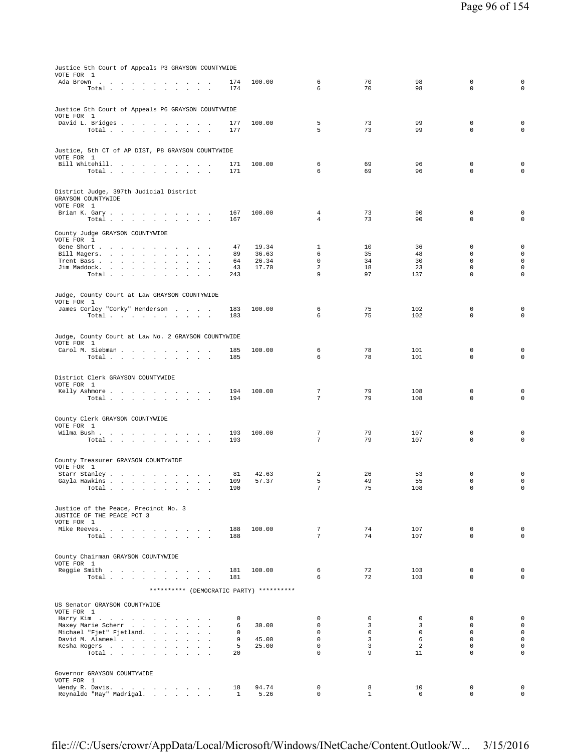| Justice 5th Court of Appeals P3 GRAYSON COUNTYWIDE<br>VOTE FOR 1                                                       |            |                |                                    |                  |                  |                            |                            |
|------------------------------------------------------------------------------------------------------------------------|------------|----------------|------------------------------------|------------------|------------------|----------------------------|----------------------------|
| Ada Brown<br>and a strain and<br>Total<br>$\sim$ $\sim$                                                                | 174<br>174 | 100.00         | 6<br>6                             | 70<br>70         | 98<br>98         | $\mathbb O$<br>$\mathbf 0$ | $\mathsf 0$<br>$\mathbf 0$ |
|                                                                                                                        |            |                |                                    |                  |                  |                            |                            |
| Justice 5th Court of Appeals P6 GRAYSON COUNTYWIDE<br>VOTE FOR 1                                                       |            |                |                                    |                  |                  |                            |                            |
| David L. Bridges                                                                                                       | 177        | 100.00         | 5                                  | 73               | 99               | $\mathbf 0$                | $\mathbf 0$                |
| Total $\cdots$ $\cdots$<br>$\sim 10^{-1}$ and $\sim 10^{-1}$<br>$\cdot$<br>$\ddot{\phantom{a}}$                        | 177        |                | 5                                  | 73               | 99               | $\mathbf 0$                | $\mathbf 0$                |
| Justice, 5th CT of AP DIST, P8 GRAYSON COUNTYWIDE<br>VOTE FOR 1                                                        |            |                |                                    |                  |                  |                            |                            |
| Bill Whitehill.<br>$\overline{\phantom{a}}$                                                                            | 171        | 100.00         | 6                                  | 69               | 96               | $\mathbb O$                | $\mathbf 0$                |
| Total $\cdots$ $\cdots$ $\cdots$ $\cdots$                                                                              | 171        |                | 6                                  | 69               | 96               | $\Omega$                   | $\mathbf 0$                |
| District Judge, 397th Judicial District<br>GRAYSON COUNTYWIDE<br>VOTE FOR 1                                            |            |                |                                    |                  |                  |                            |                            |
| Brian K. Gary<br>and the control                                                                                       | 167        | 100.00         | $\overline{4}$                     | 73               | 90               | $\mathbf 0$                | $\mathsf 0$                |
| Total                                                                                                                  | 167        |                | $\overline{4}$                     | 73               | 90               | $\mathbf 0$                | $\mathbf 0$                |
| County Judge GRAYSON COUNTYWIDE<br>VOTE FOR 1                                                                          |            |                |                                    |                  |                  |                            |                            |
| Gene Short<br>$\cdot$<br>$\sim$<br>$\overline{\phantom{a}}$<br>$\sim$                                                  | 47         | 19.34          | $\mathbf{1}$                       | 10               | 36               | $\mathbf 0$                | $\mathsf{O}\xspace$        |
| Bill Magers.<br>$\sim$<br>Trent Bass                                                                                   | 89<br>64   | 36.63<br>26.34 | 6<br>$\mathbf 0$                   | 35<br>34         | 48<br>30         | $\Omega$<br>$\mathbf 0$    | $\mathbf 0$<br>$\mathbf 0$ |
| $\sim$<br>$\Box$<br>$\sim$<br>Jim Maddock.<br><b>Carl Carl</b><br>All Carolina<br>$\ddot{\phantom{a}}$<br>$\mathbf{r}$ | 43         | 17.70          | $\overline{a}$                     | 18               | 23               | $\mathbf 0$                | $\mathbf 0$                |
| Total<br>$\sim$<br>$\sim$                                                                                              | 243        |                | 9                                  | 97               | 137              | $\mathbf 0$                | 0                          |
| Judge, County Court at Law GRAYSON COUNTYWIDE                                                                          |            |                |                                    |                  |                  |                            |                            |
| VOTE FOR 1                                                                                                             |            |                |                                    |                  |                  |                            |                            |
| James Corley "Corky" Henderson<br>Total $\cdots$ $\cdots$ $\cdots$<br>$\sim$                                           | 183<br>183 | 100.00         | 6<br>6                             | 75<br>75         | 102<br>102       | 0<br>$\mathbf 0$           | 0<br>$\mathbf 0$           |
| Judge, County Court at Law No. 2 GRAYSON COUNTYWIDE                                                                    |            |                |                                    |                  |                  |                            |                            |
| VOTE FOR 1<br>Carol M. Siebman<br>$\sim$<br>$\overline{\phantom{a}}$                                                   | 185        | 100.00         | 6                                  | 78               | 101              | $\mathbb O$                | 0                          |
| Total<br>$\sim$<br>$\ddot{\phantom{a}}$<br>$\sim$                                                                      | 185        |                | 6                                  | 78               | 101              | $\mathbf 0$                | $\mathsf 0$                |
| District Clerk GRAYSON COUNTYWIDE                                                                                      |            |                |                                    |                  |                  |                            |                            |
| VOTE FOR 1                                                                                                             |            |                |                                    |                  |                  |                            |                            |
| Kelly Ashmore<br>Total<br>and a strategic and                                                                          | 194<br>194 | 100.00         | $7\phantom{.0}$<br>$7\phantom{.0}$ | 79<br>79         | 108<br>108       | $\mathbb O$<br>$\mathsf 0$ | 0<br>$\mathbf 0$           |
|                                                                                                                        |            |                |                                    |                  |                  |                            |                            |
| County Clerk GRAYSON COUNTYWIDE<br>VOTE FOR 1                                                                          |            |                |                                    |                  |                  |                            |                            |
| Wilma Bush.<br>the contract of the contract of<br>$\sim$ $\sim$<br>$\sim$ $\sim$<br>$\sim$<br>$\sim$ $\sim$            | 193        | 100.00         | 7                                  | 79               | 107              | $\mathbb O$                | 0                          |
| Total                                                                                                                  | 193        |                | 7                                  | 79               | 107              | 0                          | 0                          |
| County Treasurer GRAYSON COUNTYWIDE                                                                                    |            |                |                                    |                  |                  |                            |                            |
| VOTE FOR 1                                                                                                             |            |                |                                    |                  |                  |                            |                            |
| Starr Stanley<br>Gayla Hawkins                                                                                         | 81<br>109  | 42.63<br>57.37 | 2<br>5                             | 26<br>49         | 53<br>55         | $\mathbb O$<br>$\mathbf 0$ | $\mathsf 0$<br>$\mathbf 0$ |
| Total $\cdots$ $\cdots$ $\cdots$ $\cdots$                                                                              | 190        |                | $\overline{7}$                     | 75               | 108              | $\mathbf 0$                | $\mathsf 0$                |
| Justice of the Peace, Precinct No. 3                                                                                   |            |                |                                    |                  |                  |                            |                            |
| JUSTICE OF THE PEACE PCT 3                                                                                             |            |                |                                    |                  |                  |                            |                            |
| VOTE FOR 1<br>Mike Reeves.                                                                                             | 188        | 100.00         | 7                                  | 74               | 107              | $\mathbb O$                | $\mathsf 0$                |
| Total                                                                                                                  | 188        |                | 7                                  | 74               | 107              | $\Omega$                   | $\mathbf 0$                |
|                                                                                                                        |            |                |                                    |                  |                  |                            |                            |
| County Chairman GRAYSON COUNTYWIDE<br>VOTE FOR 1                                                                       |            |                |                                    |                  |                  |                            |                            |
| Reggie Smith<br>Total                                                                                                  | 181<br>181 | 100.00         | 6<br>6                             | 72<br>72         | 103<br>103       | $\mathbf 0$<br>$\mathbf 0$ | $\mathsf 0$<br>$\mathbf 0$ |
| ********** (DEMOCRATIC PARTY) **********                                                                               |            |                |                                    |                  |                  |                            |                            |
|                                                                                                                        |            |                |                                    |                  |                  |                            |                            |
| US Senator GRAYSON COUNTYWIDE<br>VOTE FOR 1                                                                            |            |                |                                    |                  |                  |                            |                            |
| Harry Kim                                                                                                              | 0          |                | $\mathbf 0$<br>$\mathbf 0$         | $\mathbf 0$<br>3 | $\mathbf 0$<br>3 | $\mathbf 0$<br>$\mathbf 0$ | $\mathbf 0$<br>$\mathbf 0$ |
| Maxey Marie Scherr<br>Michael "Fjet" Fjetland.<br>$\sim$<br>$\mathbf{r}$                                               | 6<br>0     | 30.00          | $\mathbf 0$                        | $\mathbf 0$      | $\mathbf 0$      | $\mathbf 0$                | $\mathbf 0$                |
| David M. Alameel<br>$\mathbf{r}$<br>$\overline{\phantom{a}}$                                                           | 9          | 45.00          | $\mathbf 0$                        | 3                | 6                | $\mathbf 0$                | $\mathsf 0$<br>$\mathbf 0$ |
| Kesha Rogers                                                                                                           | 5          | 25.00          | $\mathsf 0$                        | 3                | $\overline{a}$   | $\mathsf 0$                |                            |

Governor GRAYSON COUNTYWIDE<br>VOTE FOR 1

file:///C:/Users/crowr/AppData/Local/Microsoft/Windows/INetCache/Content.Outlook/W... 3/15/2016

VOTE FOR 1 Wendy R. Davis. . . . . . . . . . 18 94.74 0 8 10 0 0 Reynaldo "Ray" Madrigal. . . . . . . 1 5.26 0 1 0 0 0

Total . . . . . . . . . . . 20 0 9 11 0 0 0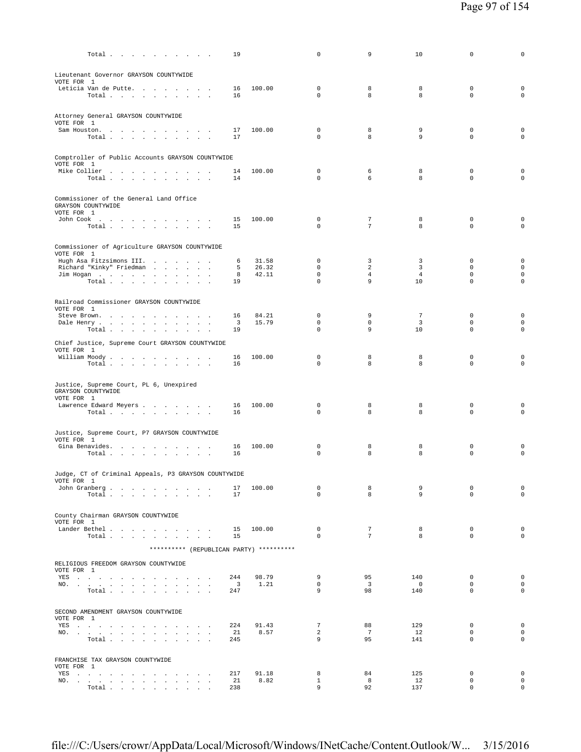| Total $\cdots$ $\cdots$ $\cdots$                                                                                                                                                                                                                                                                | 19                            |               | 0                          | 9                                  | 10                    | 0                          | 0                                          |
|-------------------------------------------------------------------------------------------------------------------------------------------------------------------------------------------------------------------------------------------------------------------------------------------------|-------------------------------|---------------|----------------------------|------------------------------------|-----------------------|----------------------------|--------------------------------------------|
| Lieutenant Governor GRAYSON COUNTYWIDE                                                                                                                                                                                                                                                          |                               |               |                            |                                    |                       |                            |                                            |
| VOTE FOR 1<br>Leticia Van de Putte                                                                                                                                                                                                                                                              | 16                            | 100.00        | $\mathbf 0$                | 8                                  | 8                     | $\mathbf 0$                | $\mathbf 0$                                |
| Total $\cdots$ $\cdots$ $\cdots$ $\cdots$                                                                                                                                                                                                                                                       | 16                            |               | 0                          | 8                                  | 8                     | $\mathbf 0$                | $\mathbf 0$                                |
| Attorney General GRAYSON COUNTYWIDE                                                                                                                                                                                                                                                             |                               |               |                            |                                    |                       |                            |                                            |
| VOTE FOR 1                                                                                                                                                                                                                                                                                      |                               | 100.00        | $\mathbf 0$                | 8                                  | 9                     | $\mathbf 0$                | 0                                          |
| Sam Houston.<br>$\texttt{Total}~~.~~.~~.~~.~~.~~.~~.~~.~~.~~.$                                                                                                                                                                                                                                  | 17<br>17                      |               | $\mathbf 0$                | 8                                  | 9                     | $\mathbf 0$                | $\mathbf 0$                                |
| Comptroller of Public Accounts GRAYSON COUNTYWIDE                                                                                                                                                                                                                                               |                               |               |                            |                                    |                       |                            |                                            |
| VOTE FOR 1                                                                                                                                                                                                                                                                                      |                               |               |                            |                                    |                       |                            |                                            |
| Mike Collier<br>Total $\cdots$ $\cdots$ $\cdots$                                                                                                                                                                                                                                                | 14<br>14                      | 100.00        | $\mathbf{0}$<br>0          | 6<br>6                             | 8<br>8                | $\mathbf 0$<br>$\mathbf 0$ | $\mathbf 0$<br>$\mathbf 0$                 |
| Commissioner of the General Land Office                                                                                                                                                                                                                                                         |                               |               |                            |                                    |                       |                            |                                            |
| GRAYSON COUNTYWIDE<br>VOTE FOR 1                                                                                                                                                                                                                                                                |                               |               |                            |                                    |                       |                            |                                            |
| John Cook $\qquad \qquad . \qquad . \qquad . \qquad . \qquad . \qquad . \qquad . \qquad . \qquad .$                                                                                                                                                                                             | 15                            | 100.00        | $\mathbf 0$                | 7                                  | 8                     | $\mathbf 0$                | $\mathbf 0$                                |
| Total                                                                                                                                                                                                                                                                                           | 15                            |               | $\mathbf 0$                | $7\phantom{.0}$                    | 8                     | $\mathbf 0$                | $\mathbf 0$                                |
| Commissioner of Agriculture GRAYSON COUNTYWIDE                                                                                                                                                                                                                                                  |                               |               |                            |                                    |                       |                            |                                            |
| VOTE FOR 1<br>Hugh Asa Fitzsimons III.                                                                                                                                                                                                                                                          | 6                             | 31.58         | 0                          | 3                                  | 3                     | $\mathbf 0$                | $\mathbf 0$                                |
| Richard "Kinky" Friedman<br>$\sim$                                                                                                                                                                                                                                                              | 5                             | 26.32         | $\mathbf 0$                | 2                                  | 3                     | 0                          | $\mathsf{O}\xspace$                        |
| Jim Hogan<br>Total<br>$\sim$                                                                                                                                                                                                                                                                    | 8<br>19                       | 42.11         | $\mathbf 0$<br>$\mathbf 0$ | $\overline{4}$<br>9                | $\overline{4}$<br>10  | $\mathbf 0$<br>$\mathbf 0$ | $\mathsf{O}\xspace$<br>$\mathsf{O}\xspace$ |
|                                                                                                                                                                                                                                                                                                 |                               |               |                            |                                    |                       |                            |                                            |
| Railroad Commissioner GRAYSON COUNTYWIDE<br>VOTE FOR 1                                                                                                                                                                                                                                          |                               |               |                            |                                    |                       |                            |                                            |
| Steve Brown.                                                                                                                                                                                                                                                                                    | 16                            | 84.21         | $\mathbf 0$                | 9                                  | $7\phantom{.0}$       | 0                          | $\mathbf 0$                                |
| Dale Henry<br>Total<br>$\sim$                                                                                                                                                                                                                                                                   | $\overline{\mathbf{3}}$<br>19 | 15.79         | $\mathbf 0$<br>0           | $\mathbf 0$<br>9                   | 3<br>10               | $\mathbf 0$<br>$\mathbf 0$ | $\mathsf{O}\xspace$<br>$\mathbf 0$         |
| Chief Justice, Supreme Court GRAYSON COUNTYWIDE                                                                                                                                                                                                                                                 |                               |               |                            |                                    |                       |                            |                                            |
| VOTE FOR 1<br>William Moody                                                                                                                                                                                                                                                                     | 16                            | 100.00        | 0                          | 8                                  | 8                     | $\mathbf 0$                | $\mathbf 0$                                |
| Total                                                                                                                                                                                                                                                                                           | 16                            |               | 0                          | 8                                  | 8                     | $\mathbf 0$                | $\mathbf 0$                                |
|                                                                                                                                                                                                                                                                                                 |                               |               |                            |                                    |                       |                            |                                            |
| Justice, Supreme Court, PL 6, Unexpired<br>GRAYSON COUNTYWIDE                                                                                                                                                                                                                                   |                               |               |                            |                                    |                       |                            |                                            |
| VOTE FOR 1<br>Lawrence Edward Meyers                                                                                                                                                                                                                                                            | 16                            | 100.00        | 0                          | 8                                  | 8                     | $\mathbf 0$                | $\mathbf 0$                                |
| Total $\cdots$ $\cdots$ $\cdots$                                                                                                                                                                                                                                                                | 16                            |               | 0                          | 8                                  | 8                     | $\mathbf 0$                | $\mathbf 0$                                |
| Justice, Supreme Court, P7 GRAYSON COUNTYWIDE                                                                                                                                                                                                                                                   |                               |               |                            |                                    |                       |                            |                                            |
| VOTE FOR 1                                                                                                                                                                                                                                                                                      |                               |               |                            |                                    |                       |                            |                                            |
| Gina Benavides.<br>Total $\cdots$ $\cdots$ $\cdots$                                                                                                                                                                                                                                             | 16<br>16                      | 100.00        | 0<br>$\Omega$              | 8<br>8                             | 8<br>8                | 0<br>$\mathbf 0$           | 0<br>$\mathbf 0$                           |
|                                                                                                                                                                                                                                                                                                 |                               |               |                            |                                    |                       |                            |                                            |
| Judge, CT of Criminal Appeals, P3 GRAYSON COUNTYWIDE<br>VOTE FOR 1                                                                                                                                                                                                                              |                               |               |                            |                                    |                       |                            |                                            |
| John Granberg<br>Total                                                                                                                                                                                                                                                                          | 17<br>17                      | 100.00        | 0<br>$\Omega$              | 8<br>8                             | 9<br>9                | $\mathbf 0$<br>$\Omega$    | $\mathsf{O}\xspace$<br>$\circ$             |
|                                                                                                                                                                                                                                                                                                 |                               |               |                            |                                    |                       |                            |                                            |
| County Chairman GRAYSON COUNTYWIDE<br>VOTE FOR 1                                                                                                                                                                                                                                                |                               |               |                            |                                    |                       |                            |                                            |
| Lander Bethel                                                                                                                                                                                                                                                                                   | 15<br>15                      | 100.00        | $\mathbf 0$<br>$\Omega$    | $7\phantom{.0}$<br>$7\overline{ }$ | 8<br>8                | $\mathbf 0$<br>$\Omega$    | $\mathsf{O}\xspace$<br>$\mathbf 0$         |
| Total                                                                                                                                                                                                                                                                                           |                               |               |                            |                                    |                       |                            |                                            |
| ********** (REPUBLICAN PARTY) **********                                                                                                                                                                                                                                                        |                               |               |                            |                                    |                       |                            |                                            |
| RELIGIOUS FREEDOM GRAYSON COUNTYWIDE<br>VOTE FOR 1                                                                                                                                                                                                                                              |                               |               |                            |                                    |                       |                            |                                            |
| YES a contract of the contract of the ST and the ST and the ST and the ST and the ST and the ST and the ST and the ST and the ST and the ST and the ST and the ST and the ST and the ST and the ST and the ST and the ST and t<br>NO.<br>$\ddot{\phantom{a}}$                                   | 244<br>$\overline{3}$         | 98.79<br>1.21 | 9<br>$\mathbf 0$           | 95<br>$\overline{3}$               | 140<br>$\overline{0}$ | $^{\circ}$<br>$\mathbf 0$  | $\mathbf 0$<br>$\mathbf 0$                 |
| Total<br>$\sim$<br>$\sim$                                                                                                                                                                                                                                                                       | 247                           |               | 9                          | 98                                 | 140                   | $\mathbf 0$                | $\mathsf{O}\xspace$                        |
|                                                                                                                                                                                                                                                                                                 |                               |               |                            |                                    |                       |                            |                                            |
| SECOND AMENDMENT GRAYSON COUNTYWIDE<br>VOTE FOR 1                                                                                                                                                                                                                                               |                               |               |                            |                                    |                       |                            |                                            |
| YES<br>$\sim$<br>$\sim$                                                                                                                                                                                                                                                                         | 224                           | 91.43         | 7<br>$\overline{a}$        | 88<br>$7\phantom{.0}$              | 129                   | $\mathbf 0$<br>$\mathbf 0$ | $\mathbf 0$<br>$\circ$                     |
| NO.<br>and a strategic and<br>and the contract of<br>Total                                                                                                                                                                                                                                      | 21<br>245                     | 8.57          | 9                          | 95                                 | 12<br>141             | $\mathbf 0$                | $\circ$                                    |
|                                                                                                                                                                                                                                                                                                 |                               |               |                            |                                    |                       |                            |                                            |
| FRANCHISE TAX GRAYSON COUNTYWIDE<br>VOTE FOR 1                                                                                                                                                                                                                                                  |                               |               |                            |                                    |                       |                            |                                            |
| YES a contract of the contract of the set of the set of the set of the set of the set of the set of the set of the set of the set of the set of the set of the set of the set of the set of the set of the set of the set of t<br>$\sim$<br>NO.<br>$\ddot{\phantom{a}}$<br>$\ddot{\phantom{a}}$ | 217<br>21                     | 91.18<br>8.82 | 8<br>$\mathbf{1}$          | 84<br>8                            | 125<br>12             | $\mathbf 0$<br>$\mathbf 0$ | $\mathbf 0$<br>$\mathsf{O}\xspace$         |
| Total                                                                                                                                                                                                                                                                                           | 238                           |               | 9                          | 92                                 | 137                   | $\mathsf 0$                | $\circ$                                    |

file:///C:/Users/crowr/AppData/Local/Microsoft/Windows/INetCache/Content.Outlook/W... 3/15/2016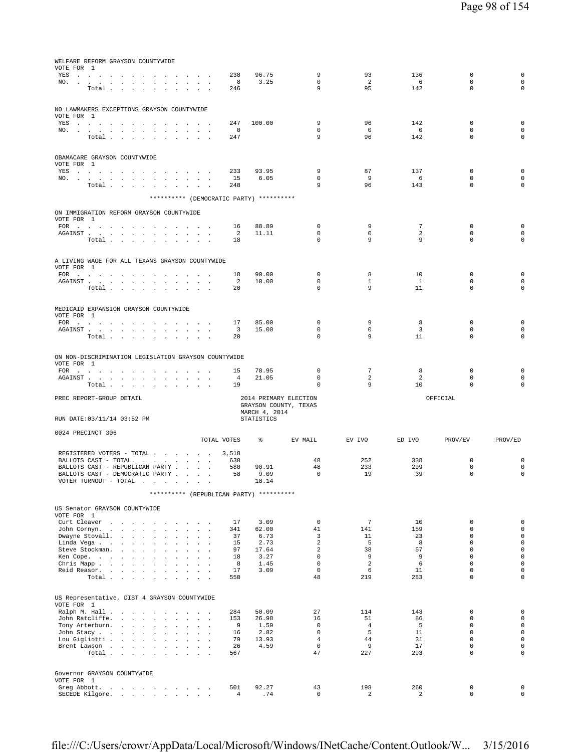| WELFARE REFORM GRAYSON COUNTYWIDE<br>VOTE FOR 1                                                                                                                                                                                       |                                                 |               |                            |                       |                       |                            |                            |
|---------------------------------------------------------------------------------------------------------------------------------------------------------------------------------------------------------------------------------------|-------------------------------------------------|---------------|----------------------------|-----------------------|-----------------------|----------------------------|----------------------------|
| YES                                                                                                                                                                                                                                   | 238                                             | 96.75         | 9                          | 93                    | 136                   | 0                          | 0                          |
| $NO.$ $.$ $.$ $.$ $.$ $.$ $.$                                                                                                                                                                                                         | $_{8}$                                          | 3.25          | $\mathbf 0$                | 2                     | $6^{\circ}$           | $\mathbf 0$                | $\mathbf 0$                |
| Total                                                                                                                                                                                                                                 | 246                                             |               | 9                          | 95                    | 142                   | $\Omega$                   | $\Omega$                   |
|                                                                                                                                                                                                                                       |                                                 |               |                            |                       |                       |                            |                            |
| NO LAWMAKERS EXCEPTIONS GRAYSON COUNTYWIDE                                                                                                                                                                                            |                                                 |               |                            |                       |                       |                            |                            |
| VOTE FOR 1                                                                                                                                                                                                                            | 247                                             | 100.00        | 9                          | 96                    | 142                   | $\mathbf 0$                | 0                          |
| YES a contract and contract and contract of the set of the set of the set of the set of the set of the set of the set of the set of the set of the set of the set of the set of the set of the set of the set of the set of th<br>NO. | $\overline{\phantom{0}}$                        |               | $^{\circ}$                 | $\overline{0}$        | $\overline{0}$        | $\mathbf{0}$               | $\mathbf 0$                |
| Total                                                                                                                                                                                                                                 | 247                                             |               | 9                          | 96                    | 142                   | $\mathbf{0}$               | $\mathbf 0$                |
|                                                                                                                                                                                                                                       |                                                 |               |                            |                       |                       |                            |                            |
| OBAMACARE GRAYSON COUNTYWIDE                                                                                                                                                                                                          |                                                 |               |                            |                       |                       |                            |                            |
| VOTE FOR 1                                                                                                                                                                                                                            |                                                 |               |                            |                       |                       |                            |                            |
| YES a contract of the contract of the contract of the set of the set of the set of the set of the set of the set of the set of the set of the set of the set of the set of the set of the set of the set of the set of the set        | 233                                             | 93.95         | 9                          | 87                    | 137                   | $\mathbf{0}$               | 0                          |
| NO.<br>Total $\cdots$ $\cdots$<br>the contract of the                                                                                                                                                                                 | 15<br>248<br>$\overline{\phantom{a}}$           | 6.05          | $^{\circ}$<br>9            | - 9<br>96             | 6<br>143              | 0<br>$^{\circ}$            | $\mathbf 0$<br>$\mathbf 0$ |
|                                                                                                                                                                                                                                       |                                                 |               |                            |                       |                       |                            |                            |
| ********** (DEMOCRATIC PARTY) **********                                                                                                                                                                                              |                                                 |               |                            |                       |                       |                            |                            |
| ON IMMIGRATION REFORM GRAYSON COUNTYWIDE                                                                                                                                                                                              |                                                 |               |                            |                       |                       |                            |                            |
| VOTE FOR 1                                                                                                                                                                                                                            |                                                 |               |                            |                       |                       |                            |                            |
| FOR                                                                                                                                                                                                                                   | 16                                              | 88.89         | $^{\circ}$                 | 9                     | $7\overline{ }$       | 0                          | 0                          |
| Total                                                                                                                                                                                                                                 | $\overline{\phantom{0}}$<br>18                  | 11.11         | 0<br>$\mathbf 0$           | $\circ$<br>9          | 2<br>9                | $^{\circ}$<br>$\mathbf{0}$ | $\mathbf 0$<br>$\Omega$    |
|                                                                                                                                                                                                                                       |                                                 |               |                            |                       |                       |                            |                            |
|                                                                                                                                                                                                                                       |                                                 |               |                            |                       |                       |                            |                            |
| A LIVING WAGE FOR ALL TEXANS GRAYSON COUNTYWIDE<br>VOTE FOR 1                                                                                                                                                                         |                                                 |               |                            |                       |                       |                            |                            |
| FOR $\cdots$ $\cdots$ $\cdots$ $\cdots$ $\cdots$ $\cdots$ $\cdots$                                                                                                                                                                    | 18                                              | 90.00         | $^{\circ}$                 | 8                     | 10                    | 0                          | 0                          |
| AGAINST<br>$\sim$<br>and the company                                                                                                                                                                                                  | 2                                               | 10.00         | $\mathbf 0$                | 1                     | $\mathbf{1}$          | $\mathbf 0$                | $\mathbf 0$                |
| Total $\cdots$ $\cdots$ $\cdots$                                                                                                                                                                                                      | 20                                              |               | $\Omega$                   | 9                     | 11                    | $\Omega$                   | $\Omega$                   |
|                                                                                                                                                                                                                                       |                                                 |               |                            |                       |                       |                            |                            |
| MEDICAID EXPANSION GRAYSON COUNTYWIDE                                                                                                                                                                                                 |                                                 |               |                            |                       |                       |                            |                            |
| VOTE FOR 1<br>FOR                                                                                                                                                                                                                     | 17                                              | 85.00         | 0                          | 9                     | 8                     | 0                          | 0                          |
| ${\tt AGAINST} \hspace{0.1in} . \hspace{0.1in} . \hspace{0.1in} . \hspace{0.1in} . \hspace{0.1in} . \hspace{0.1in} . \hspace{0.1in} . \hspace{0.1in} . \hspace{0.1in} . \hspace{0.1in} .$<br>$\sim 10^{-1}$                           | $\overline{\mathbf{3}}$<br>$\ddot{\phantom{a}}$ | 15.00         | $\mathbf 0$                | $\circ$               | $\overline{3}$        | $\mathbf 0$                | $\mathbf 0$                |
| Total $\cdots$ $\cdots$ $\cdots$                                                                                                                                                                                                      | 20                                              |               | $\Omega$                   | 9                     | 11                    | $\Omega$                   | $\Omega$                   |
|                                                                                                                                                                                                                                       |                                                 |               |                            |                       |                       |                            |                            |
| ON NON-DISCRIMINATION LEGISLATION GRAYSON COUNTYWIDE                                                                                                                                                                                  |                                                 |               |                            |                       |                       |                            |                            |
| VOTE FOR 1                                                                                                                                                                                                                            |                                                 |               |                            |                       |                       |                            |                            |
|                                                                                                                                                                                                                                       | 15                                              | 78.95         | $\mathbf 0$                | $7\phantom{.0}$       | 8                     | 0                          | 0                          |
| FOR                                                                                                                                                                                                                                   |                                                 |               |                            |                       |                       |                            |                            |
| AGAINST<br>$\sim$                                                                                                                                                                                                                     | $\overline{4}$<br>19                            | 21.05         | $\mathbf 0$<br>$\mathbf 0$ | 2<br>9                | 2<br>10               | $\mathbf 0$<br>$\Omega$    | $\mathbf 0$<br>$\Omega$    |
| Total                                                                                                                                                                                                                                 |                                                 |               |                            |                       |                       |                            |                            |
| PREC REPORT-GROUP DETAIL                                                                                                                                                                                                              |                                                 |               | 2014 PRIMARY ELECTION      |                       |                       | OFFICIAL                   |                            |
|                                                                                                                                                                                                                                       |                                                 | MARCH 4, 2014 | GRAYSON COUNTY, TEXAS      |                       |                       |                            |                            |
| RUN DATE: 03/11/14 03:52 PM                                                                                                                                                                                                           |                                                 | STATISTICS    |                            |                       |                       |                            |                            |
|                                                                                                                                                                                                                                       |                                                 |               |                            |                       |                       |                            |                            |
| 0024 PRECINCT 306                                                                                                                                                                                                                     | TOTAL VOTES                                     | $\frac{1}{6}$ | EV MAIL                    | EV IVO                | ED IVO                | PROV/EV                    | PROV/ED                    |
|                                                                                                                                                                                                                                       |                                                 |               |                            |                       |                       |                            |                            |
| REGISTERED VOTERS - TOTAL                                                                                                                                                                                                             | 3,518                                           |               |                            |                       |                       |                            |                            |
| BALLOTS CAST - TOTAL.<br>BALLOTS CAST - REPUBLICAN PARTY                                                                                                                                                                              | 638<br>580                                      | 90.91         | 48<br>48                   | 252<br>233            | 338<br>299            | 0<br>$\mathbf 0$           | 0<br>$\mathbf 0$           |
| BALLOTS CAST - DEMOCRATIC PARTY                                                                                                                                                                                                       | 58                                              | 9.09          | $\overline{\phantom{0}}$   | 19                    | 39                    | $\mathbf 0$                | $\mathbf 0$                |
| VOTER TURNOUT - TOTAL .<br>$\cdot$                                                                                                                                                                                                    |                                                 | 18.14         |                            |                       |                       |                            |                            |
| ********** (REPUBLICAN PARTY) **********                                                                                                                                                                                              |                                                 |               |                            |                       |                       |                            |                            |
|                                                                                                                                                                                                                                       |                                                 |               |                            |                       |                       |                            |                            |
| US Senator GRAYSON COUNTYWIDE<br>VOTE FOR 1                                                                                                                                                                                           |                                                 |               |                            |                       |                       |                            |                            |
| Curt Cleaver<br>and the contract of                                                                                                                                                                                                   | 17                                              | 3.09          | $\mathbb O$                | $7\phantom{.0}$       | 10                    | $\mathbf 0$                | 0                          |
| John Cornyn<br>$\sim$<br>$\sim$<br>$\ddot{\phantom{a}}$<br>$\sim$                                                                                                                                                                     | 341<br>$\ddot{\phantom{a}}$                     | 62.00         | 41                         | 141                   | 159                   | $\mathbf 0$                | $\mathsf 0$                |
| Dwayne Stovall.<br>$\sim$<br>$\mathbf{r}$<br>$\ddot{\phantom{a}}$<br>$\sim$<br>$\sim$<br>$\sim$<br>$\sim$                                                                                                                             | 37<br>15                                        | 6.73          | 3<br>2                     | 11<br>5               | 23<br>8               | $\Omega$<br>$\mathbf 0$    | $\mathbf 0$<br>$\mathbf 0$ |
| Linda Vega<br>Steve Stockman.<br>$\sim$ $\sim$<br><b>Service</b> State<br>$\ddot{\phantom{a}}$<br>$\ddot{\phantom{a}}$<br>$\ddot{\phantom{a}}$                                                                                        | 97<br>$\sim$                                    | 2.73<br>17.64 | 2                          | 38                    | 57                    | $\mathbf 0$                | $\circ$                    |
| Ken Cope.                                                                                                                                                                                                                             | 18                                              | 3.27          | $\mathsf 0$                | 9                     | 9                     | $\mathbf{0}$               | $\mathsf 0$                |
| Chris Mapp<br>$\sim 100$ km s $^{-1}$<br>$\sim$<br>$\ddot{\phantom{a}}$<br>$\cdot$<br>$\ddot{\phantom{a}}$                                                                                                                            | 8<br>17                                         | 1.45<br>3.09  | $\mathsf 0$<br>$\mathbf 0$ | 2<br>6                | 6<br>11               | $\mathbf 0$<br>$\Omega$    | $\mathbf 0$<br>$\Omega$    |
| Reid Reasor.<br>Total<br>$\sim$<br>$\sim$<br>$\sim$<br>$\sim$                                                                                                                                                                         | 550                                             |               | 48                         | 219                   | 283                   | $\Omega$                   | $\Omega$                   |
|                                                                                                                                                                                                                                       |                                                 |               |                            |                       |                       |                            |                            |
|                                                                                                                                                                                                                                       |                                                 |               |                            |                       |                       |                            |                            |
| US Representative, DIST 4 GRAYSON COUNTYWIDE<br>VOTE FOR 1                                                                                                                                                                            |                                                 |               |                            |                       |                       |                            |                            |
| Ralph M. Hall<br>$\sim$<br>$\mathbf{r}$                                                                                                                                                                                               | 284                                             | 50.09         | 27                         | 114                   | 143                   | $\mathbf 0$                | 0                          |
| John Ratcliffe.<br>$\sim$<br>$\cdot$                                                                                                                                                                                                  | 153<br><b>Contractor</b>                        | 26.98         | 16<br>$\mathbf{0}$         | 51<br>$\overline{4}$  | 86                    | $\mathbf 0$<br>$\mathbf 0$ | $\mathbf 0$<br>$\mathbf 0$ |
| Tony Arterburn.<br>John Stacy<br>$\sim$<br>$\sim$                                                                                                                                                                                     | 9<br>16<br><b>Sales Street</b>                  | 1.59<br>2.82  | $\mathbf{0}$               | 5                     | 5<br>11               | $\mathbf{0}$               | $\circ$                    |
| Lou Gigliotti                                                                                                                                                                                                                         | 79                                              | 13.93         | $\overline{4}$             | 44                    | 31                    | $\mathbf{0}$               | $\mathsf 0$                |
| Brent Lawson<br>$\sim$<br>$\sim$<br>$\sim$                                                                                                                                                                                            | 26                                              | 4.59          | $\mathbf 0$                | 9                     | 17                    | $\mathbf{0}$               | $\mathsf 0$                |
| Total                                                                                                                                                                                                                                 | 567                                             |               | 47                         | 227                   | 293                   | $\Omega$                   | $\Omega$                   |
|                                                                                                                                                                                                                                       |                                                 |               |                            |                       |                       |                            |                            |
| Governor GRAYSON COUNTYWIDE                                                                                                                                                                                                           |                                                 |               |                            |                       |                       |                            |                            |
| VOTE FOR 1<br>Greg Abbott.<br>the contract of the contract of the con-<br>SECEDE Kilgore.                                                                                                                                             | 501<br>4                                        | 92.27<br>.74  | 43<br>$\mathbb O$          | 198<br>$\overline{a}$ | 260<br>$\overline{a}$ | $\mathbf 0$<br>$\mathbf 0$ | 0<br>$\mathbf 0$           |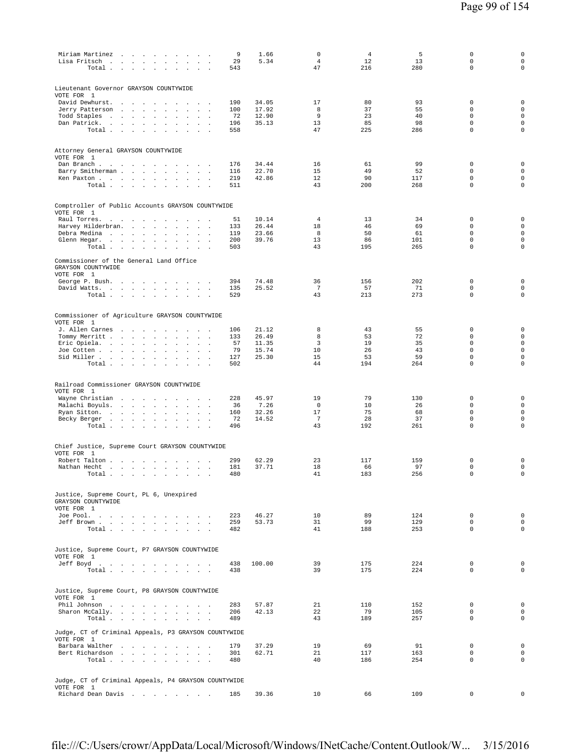| Miriam Martinez<br>Lisa Fritsch<br>Total<br>$\mathbb{Z}^2$                                                           | 9<br>29<br>543 | 1.66<br>5.34   | $\mathsf 0$<br>$\overline{4}$<br>47 | $\overline{4}$<br>12<br>216 | 5<br>13<br>280 | $\mathsf 0$<br>$\mathbf 0$<br>$\mathbf 0$ | $\mathsf 0$<br>$\mathsf{O}\xspace$<br>$\mathbf 0$ |
|----------------------------------------------------------------------------------------------------------------------|----------------|----------------|-------------------------------------|-----------------------------|----------------|-------------------------------------------|---------------------------------------------------|
| Lieutenant Governor GRAYSON COUNTYWIDE                                                                               |                |                |                                     |                             |                |                                           |                                                   |
| VOTE FOR 1<br>David Dewhurst.<br>the contract of the contract of                                                     | 190            | 34.05          | 17                                  | 80                          | 93             | $\mathbb O$                               | $\mathbf 0$                                       |
| Jerry Patterson<br>the contract of the contract<br>$\Delta$<br>$\Box$                                                | 100            | 17.92          | 8                                   | 37                          | 55             | $\Omega$                                  | $\mathsf{O}\xspace$                               |
| Todd Staples<br>the contract of the contract<br>$\sim$<br>$\overline{a}$                                             | 72             | 12.90          | 9                                   | 23                          | 40             | $\mathbf 0$                               | $\mathbf 0$                                       |
| Dan Patrick.<br>the company of the company<br>$\cdot$<br>Total<br>$\sim$                                             | 196<br>558     | 35.13          | 13<br>47                            | 85<br>225                   | 98<br>286      | $\mathbb O$<br>$\mathbf 0$                | $\mathsf{O}\xspace$<br>$\mathsf 0$                |
| Attorney General GRAYSON COUNTYWIDE                                                                                  |                |                |                                     |                             |                |                                           |                                                   |
| VOTE FOR 1                                                                                                           |                |                |                                     |                             |                |                                           |                                                   |
| Dan Branch<br>and the state of the<br>Barry Smitherman<br>$\sim$<br>$\sim$ 100 $\sim$<br>$\sim$<br>$\cdot$           | 176<br>116     | 34.44<br>22.70 | 16<br>15                            | 61<br>49                    | 99<br>52       | 0<br>$\mathbf 0$                          | $\mathbf 0$<br>$\mathsf{O}\xspace$                |
| Ken Paxton<br>$\sim$ $\sim$<br>Total<br>$\sim 10^{-1}$<br>$\sim$                                                     | 219<br>511     | 42.86          | 12<br>43                            | 90<br>200                   | 117<br>268     | $\mathbf 0$<br>0                          | $\mathsf{O}\xspace$<br>$\mathbf 0$                |
|                                                                                                                      |                |                |                                     |                             |                |                                           |                                                   |
| Comptroller of Public Accounts GRAYSON COUNTYWIDE<br>VOTE FOR 1                                                      |                |                |                                     |                             |                |                                           |                                                   |
| Raul Torres.<br>$\sim$<br>$\sim$<br><b>Carl Carl Carl</b><br>$\ddot{\phantom{a}}$                                    | 51             | 10.14          | 4                                   | 13                          | 34             | $\mathbb O$                               | $\mathsf 0$                                       |
| Harvey Hilderbran.<br><b>All All An</b><br>$\blacksquare$<br>Debra Medina<br>$\sim$<br>$\sim$<br>$\sim$<br>$\sim$    | 133<br>119     | 26.44<br>23.66 | 18<br>8                             | 46<br>50                    | 69<br>61       | $\mathbf 0$<br>$\mathbf 0$                | $\mathsf{O}\xspace$<br>$\mathsf{O}\xspace$        |
| Glenn Hegar.<br>$\sim$<br>$\Box$                                                                                     | 200            | 39.76          | 13                                  | 86                          | 101            | $\mathbf 0$                               | $\mathsf{O}\xspace$                               |
| Total<br>$\sim$<br>$\sim$<br>$\sim$                                                                                  | 503            |                | 43                                  | 195                         | 265            | $\mathbf 0$                               | $\mathsf 0$                                       |
| Commissioner of the General Land Office<br>GRAYSON COUNTYWIDE<br>VOTE FOR 1                                          |                |                |                                     |                             |                |                                           |                                                   |
| George P. Bush.<br>$\sim$                                                                                            | 394            | 74.48          | 36                                  | 156                         | 202            | $\mathbf 0$                               | $\mathbf 0$                                       |
| David Watts.                                                                                                         | 135            | 25.52          | $7\phantom{.0}$                     | 57                          | 71             | $\mathbb O$                               | $\mathsf{O}\xspace$                               |
| Total<br><b>Contractor</b>                                                                                           | 529            |                | 43                                  | 213                         | 273            | $\mathbf 0$                               | $\mathbf 0$                                       |
| Commissioner of Agriculture GRAYSON COUNTYWIDE                                                                       |                |                |                                     |                             |                |                                           |                                                   |
| VOTE FOR 1<br>J. Allen Carnes<br>$\sim$ $\sim$ $\sim$                                                                | 106            | 21.12          | 8                                   | 43                          | 55             | 0                                         | $\mathbf 0$                                       |
| Tommy Merritt<br>$\mathcal{L}_{\mathcal{A}}$<br>$\sim 100$ $\sim$<br>$\mathbf{r}$                                    | 133            | 26.49          | 8                                   | 53                          | 72             | $\mathbf 0$                               | $\mathsf{O}\xspace$                               |
| Eric Opiela.<br>$\mathbf{r}$                                                                                         | 57<br>79       | 11.35<br>15.74 | 3<br>10                             | 19<br>26                    | 35<br>43       | $\mathbf 0$<br>$\mathbf 0$                | $\mathsf 0$<br>$\mathsf{O}\xspace$                |
| Joe Cotten<br>$\ddot{\phantom{a}}$<br>Sid Miller<br>$\mathcal{L}_{\mathbf{a}}$<br>$\cdot$                            | 127            | 25.30          | 15                                  | 53                          | 59             | $\mathbf 0$                               | $\mathbf 0$                                       |
| Total $\cdots$ $\cdots$ $\cdots$<br>$\sim$<br>$\sim$                                                                 | 502            |                | 44                                  | 194                         | 264            | 0                                         | $\mathbf 0$                                       |
| Railroad Commissioner GRAYSON COUNTYWIDE<br>VOTE FOR 1                                                               |                |                |                                     |                             |                |                                           |                                                   |
| Wayne Christian<br>$\sim$                                                                                            | 228            | 45.97<br>7.26  | 19<br>$\mathbf{0}$                  | 79<br>10                    | 130<br>26      | 0<br>$\mathbf 0$                          | $\mathbf 0$<br>$\mathbf 0$                        |
| Malachi Boyuls.<br>and the contract of the<br>$\cdot$<br>$\Box$<br>$\Box$<br>$\cdot$<br>Ryan Sitton.<br>$\mathbf{r}$ | 36<br>160      | 32.26          | 17                                  | 75                          | 68             | $\mathbf 0$                               | $\mathsf{O}\xspace$                               |
| Becky Berger<br>$\cdot$                                                                                              | 72             | 14.52          | 7                                   | 28                          | 37             | $\mathsf 0$                               | $\mathsf 0$                                       |
| Total                                                                                                                | 496            |                | 43                                  | 192                         | 261            | $\mathbf 0$                               | $\mathsf 0$                                       |
| Chief Justice, Supreme Court GRAYSON COUNTYWIDE<br>VOTE FOR 1                                                        |                |                |                                     |                             |                |                                           |                                                   |
| Robert Talton                                                                                                        | 299            | 62.29          | 23                                  | 117                         | 159            | 0                                         | $\mathbf 0$                                       |
| Nathan Hecht.<br>and the control of the con-<br>$\sim$<br>$\mathbf{r}$<br>$\sim$<br>$\sim$<br>$\cdot$                | 181            | 37.71          | 18                                  | 66                          | 97             | $\mathsf 0$                               | $\mathsf{O}\xspace$                               |
| Total                                                                                                                | 480            |                | 41                                  | 183                         | 256            | 0                                         | $\mathsf 0$                                       |
| Justice, Supreme Court, PL 6, Unexpired<br>GRAYSON COUNTYWIDE<br>VOTE FOR 1                                          |                |                |                                     |                             |                |                                           |                                                   |
| Joe Pool.                                                                                                            | 223            | 46.27          | 10                                  | 89                          | 124            | $\mathbf 0$                               | $\mathbf 0$                                       |
| Jeff Brown<br>Total                                                                                                  | 259<br>482     | 53.73          | 31<br>41                            | 99<br>188                   | 129<br>253     | $\mathbf 0$<br>$\mathbf 0$                | $\mathbf 0$<br>$\mathbf 0$                        |
| Justice, Supreme Court, P7 GRAYSON COUNTYWIDE                                                                        |                |                |                                     |                             |                |                                           |                                                   |
| VOTE FOR 1<br>Jeff Boyd.                                                                                             | 438            | 100.00         | 39                                  | 175                         | 224            | 0                                         | $\mathbf 0$                                       |
| Total $\cdots$ $\cdots$ $\cdots$                                                                                     | 438            |                | 39                                  | 175                         | 224            | $\mathbf 0$                               | $\mathbf 0$                                       |
| Justice, Supreme Court, P8 GRAYSON COUNTYWIDE<br>VOTE FOR 1                                                          |                |                |                                     |                             |                |                                           |                                                   |
| Phil Johnson<br>Sharon McCally.                                                                                      | 283<br>206     | 57.87<br>42.13 | 21<br>22                            | 110<br>79                   | 152<br>105     | $\mathbf 0$<br>$\mathbf 0$                | $\mathbf 0$<br>$\mathbf 0$                        |
| Total<br>$\sim$                                                                                                      | 489            |                | 43                                  | 189                         | 257            | 0                                         | $\mathbf 0$                                       |
| Judge, CT of Criminal Appeals, P3 GRAYSON COUNTYWIDE<br>VOTE FOR 1                                                   |                |                |                                     |                             |                |                                           |                                                   |
| Barbara Walther<br>and the company of the company of the                                                             | 179            | 37.29          | 19                                  | 69                          | 91             | $\mathbf 0$                               | $\mathbf 0$                                       |
| Bert Richardson<br>Total                                                                                             | 301<br>480     | 62.71          | 21<br>40                            | 117<br>186                  | 163<br>254     | $\mathbf 0$<br>0                          | $\mathbf 0$<br>$\mathbf 0$                        |
| Judge, CT of Criminal Appeals, P4 GRAYSON COUNTYWIDE                                                                 |                |                |                                     |                             |                |                                           |                                                   |
| VOTE FOR 1<br>Richard Dean Davis                                                                                     | 185            | 39.36          | 10                                  | 66                          | 109            | 0                                         | 0                                                 |
|                                                                                                                      |                |                |                                     |                             |                |                                           |                                                   |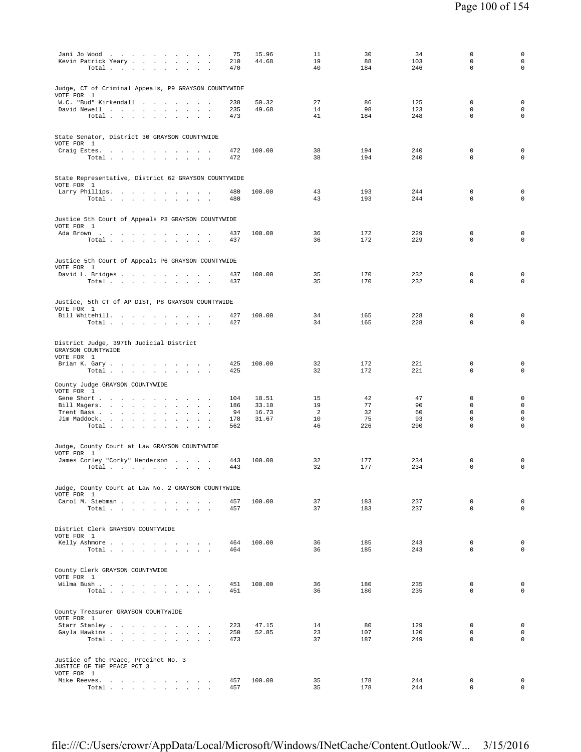| Jani Jo Wood                                                                 | 75         | 15.96          | 11             | 30         | 34         | $\mathbf 0$                 | $\mathsf 0$                        |
|------------------------------------------------------------------------------|------------|----------------|----------------|------------|------------|-----------------------------|------------------------------------|
| Kevin Patrick Yeary<br>$\sim$                                                | 210        | 44.68          | 19             | 88         | 103        | $\mathbf 0$                 | $\mathbf 0$                        |
| Total<br>$\ddot{\phantom{1}}$                                                | 470        |                | 40             | 184        | 246        | $\mathbf 0$                 | $\mathbf 0$                        |
|                                                                              |            |                |                |            |            |                             |                                    |
| Judge, CT of Criminal Appeals, P9 GRAYSON COUNTYWIDE<br>VOTE FOR 1           |            |                |                |            |            |                             |                                    |
| W.C. "Bud" Kirkendall<br>$\overline{\phantom{a}}$                            | 238        | 50.32          | 27             | 86         | 125        | $\mathbf 0$                 | $\mathbf 0$                        |
| David Newell<br>$\sim$ $\sim$<br>$\sim$                                      | 235        | 49.68          | 14             | 98         | 123        | $\mathbf 0$                 | $\mathbf 0$                        |
| Total                                                                        | 473        |                | 41             | 184        | 248        | $\mathbf 0$                 | $\mathbf 0$                        |
|                                                                              |            |                |                |            |            |                             |                                    |
| State Senator, District 30 GRAYSON COUNTYWIDE                                |            |                |                |            |            |                             |                                    |
| VOTE FOR 1                                                                   |            |                |                |            |            |                             |                                    |
| Craig Estes.                                                                 | 472        | 100.00         | 38             | 194        | 240        | 0                           | $\mathbf 0$                        |
| Total<br>$\ddot{\phantom{a}}$                                                | 472        |                | 38             | 194        | 240        | $\mathbf 0$                 | $\mathbf 0$                        |
|                                                                              |            |                |                |            |            |                             |                                    |
| State Representative, District 62 GRAYSON COUNTYWIDE                         |            |                |                |            |            |                             |                                    |
| VOTE FOR 1                                                                   | 480        | 100.00         | 43             | 193        | 244        | $\mathbf 0$                 | $\mathbf 0$                        |
| Larry Phillips.<br>Total $\cdots$ $\cdots$ $\cdots$ $\cdots$                 | 480        |                | 43             | 193        | 244        | $\mathbf 0$                 | $\mathbf 0$                        |
|                                                                              |            |                |                |            |            |                             |                                    |
|                                                                              |            |                |                |            |            |                             |                                    |
| Justice 5th Court of Appeals P3 GRAYSON COUNTYWIDE<br>VOTE FOR 1             |            |                |                |            |            |                             |                                    |
| Ada Brown                                                                    | 437        | 100.00         | 36             | 172        | 229        | 0                           | $\mathbf 0$                        |
| Total                                                                        | 437        |                | 36             | 172        | 229        | $\mathbf 0$                 | $\mathbf 0$                        |
|                                                                              |            |                |                |            |            |                             |                                    |
| Justice 5th Court of Appeals P6 GRAYSON COUNTYWIDE                           |            |                |                |            |            |                             |                                    |
| VOTE FOR 1                                                                   |            |                |                |            |            |                             |                                    |
| David L. Bridges                                                             | 437        | 100.00         | 35<br>35       | 170<br>170 | 232        | $\mathbf 0$<br>0            | $\mathbf 0$<br>$\mathbf 0$         |
| Total                                                                        | 437        |                |                |            | 232        |                             |                                    |
|                                                                              |            |                |                |            |            |                             |                                    |
| Justice, 5th CT of AP DIST, P8 GRAYSON COUNTYWIDE                            |            |                |                |            |            |                             |                                    |
| VOTE FOR 1<br>Bill Whitehill.                                                | 427        | 100.00         | 34             | 165        | 228        | $\mathbf 0$                 | $\mathsf 0$                        |
| Total $\cdots$ $\cdots$<br>and the contract of the contract of               | 427        |                | 34             | 165        | 228        | $\mathbb O$                 | $\mathbf 0$                        |
|                                                                              |            |                |                |            |            |                             |                                    |
| District Judge, 397th Judicial District                                      |            |                |                |            |            |                             |                                    |
| GRAYSON COUNTYWIDE                                                           |            |                |                |            |            |                             |                                    |
| VOTE FOR 1                                                                   |            |                |                |            |            |                             |                                    |
| Brian K. Gary                                                                | 425        | 100.00         | 32             | 172        | 221        | 0                           | $\mathsf 0$                        |
| Total $\cdots$ $\cdots$ $\cdots$ $\cdots$                                    | 425        |                | 32             | 172        | 221        | $\mathbf 0$                 | $\mathsf 0$                        |
| County Judge GRAYSON COUNTYWIDE                                              |            |                |                |            |            |                             |                                    |
| VOTE FOR 1                                                                   |            |                |                |            |            |                             |                                    |
| Gene Short                                                                   | 104        | 18.51          | 15<br>19       | 42<br>77   | 47<br>90   | 0<br>$\mathbf 0$            | $\mathsf 0$<br>$\mathsf{O}\xspace$ |
| Bill Magers.<br>$\sim$<br>$\mathbf{r}$<br>$\ddot{\phantom{1}}$<br>Trent Bass | 186<br>94  | 33.10<br>16.73 | $\overline{2}$ | 32         | 60         | $\mathbf 0$                 | $\mathsf 0$                        |
| Jim Maddock.<br>$\sim$<br>$\cdot$                                            | 178        | 31.67          | 10             | 75         | 93         | $\mathsf 0$                 | $\mathsf 0$                        |
| Total                                                                        | 562        |                | 46             | 226        | 290        | $\mathbf 0$                 | $\mathbf 0$                        |
|                                                                              |            |                |                |            |            |                             |                                    |
| Judge, County Court at Law GRAYSON COUNTYWIDE                                |            |                |                |            |            |                             |                                    |
| VOTE FOR 1                                                                   |            |                |                |            |            |                             |                                    |
| James Corley "Corky" Henderson                                               | 443<br>443 | 100.00         | 32<br>32       | 177<br>177 | 234<br>234 | $\mathbb O$<br>$\mathbf 0$  | $\mathsf 0$<br>$\mathbf 0$         |
| Total<br>$\overline{\phantom{a}}$                                            |            |                |                |            |            |                             |                                    |
|                                                                              |            |                |                |            |            |                             |                                    |
| Judge, County Court at Law No. 2 GRAYSON COUNTYWIDE                          |            |                |                |            |            |                             |                                    |
| VOTE FOR 1<br>Carol M. Siebman                                               | 457        | 100.00         | 37             | 183        | 237        | $\mathbf{0}$                | $\mathbf 0$                        |
| Total                                                                        | 457        |                | 37             | 183        | 237        | $\Omega$                    | $\Omega$                           |
|                                                                              |            |                |                |            |            |                             |                                    |
| District Clerk GRAYSON COUNTYWIDE                                            |            |                |                |            |            |                             |                                    |
| VOTE FOR 1                                                                   |            |                |                |            |            |                             |                                    |
| Kelly Ashmore                                                                | 464        | 100.00         | 36             | 185        | 243        | $\mathbf{0}$                | $\mathbf 0$                        |
| Total<br>and the control                                                     | 464        |                | 36             | 185        | 243        | $\Omega$                    | $\mathbf 0$                        |
|                                                                              |            |                |                |            |            |                             |                                    |
| County Clerk GRAYSON COUNTYWIDE                                              |            |                |                |            |            |                             |                                    |
| VOTE FOR 1                                                                   |            |                |                |            |            |                             |                                    |
| Wilma Bush<br>Total                                                          | 451<br>451 | 100.00         | 36<br>36       | 180<br>180 | 235<br>235 | $\mathbf{0}$<br>$\Omega$    | $\mathbf 0$<br>$\mathbf 0$         |
|                                                                              |            |                |                |            |            |                             |                                    |
|                                                                              |            |                |                |            |            |                             |                                    |
| County Treasurer GRAYSON COUNTYWIDE                                          |            |                |                |            |            |                             |                                    |
| VOTE FOR 1<br>Starr Stanley                                                  | 223        | 47.15          | 14             | 80         | 129        | $\mathbf{0}$                | $\mathbf 0$                        |
| Gayla Hawkins                                                                | 250        | 52.85          | 23             | 107        | 120        | $\mathbf{0}$                | $\mathbf 0$                        |
| Total                                                                        | 473        |                | 37             | 187        | 249        | $\mathbf{0}$                | $\mathbf 0$                        |
|                                                                              |            |                |                |            |            |                             |                                    |
| Justice of the Peace, Precinct No. 3                                         |            |                |                |            |            |                             |                                    |
| JUSTICE OF THE PEACE PCT 3                                                   |            |                |                |            |            |                             |                                    |
| VOTE FOR 1                                                                   |            |                |                |            |            |                             |                                    |
| Mike Reeves.<br>Total $\cdots$ $\cdots$ $\cdots$                             | 457<br>457 | 100.00         | 35<br>35       | 178<br>178 | 244<br>244 | $\mathbf{0}$<br>$\mathbf 0$ | $\mathbf 0$<br>$\mathsf{O}\xspace$ |
|                                                                              |            |                |                |            |            |                             |                                    |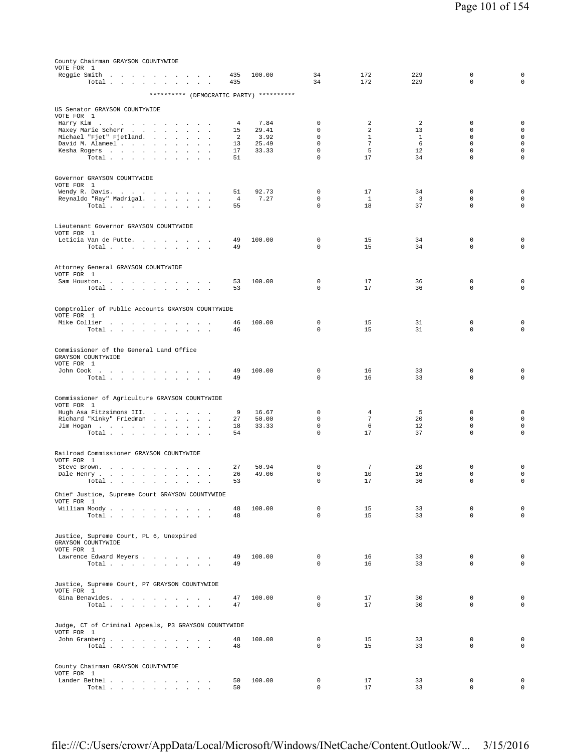| County Chairman GRAYSON COUNTYWIDE                                                                                        |                      |                |                             |                                |                      |                            |                                            |
|---------------------------------------------------------------------------------------------------------------------------|----------------------|----------------|-----------------------------|--------------------------------|----------------------|----------------------------|--------------------------------------------|
| VOTE FOR 1<br>Reggie Smith<br>$\mathbf{a}$ , and $\mathbf{a}$<br>$\sim$ $\sim$ $\sim$<br>$\sim$                           | 435<br>435           | 100.00         | 34<br>34                    | 172<br>172                     | 229<br>229           | 0<br>$\Omega$              | 0<br>$\Omega$                              |
| Total<br>$\sim$<br>********** (DEMOCRATIC PARTY) **********                                                               |                      |                |                             |                                |                      |                            |                                            |
| US Senator GRAYSON COUNTYWIDE                                                                                             |                      |                |                             |                                |                      |                            |                                            |
| VOTE FOR 1<br>Harry Kim                                                                                                   | 4                    | 7.84           | $\mathbf 0$                 | 2                              | 2                    | $\mathbb O$                | 0                                          |
| Maxey Marie Scherr                                                                                                        | 15                   | 29.41          | $\Omega$                    | $\overline{a}$                 | 13                   | $\Omega$                   | $\mathsf{O}\xspace$                        |
| Michael "Fjet" Fjetland.<br>and the company of the company of<br>David M. Alameel<br><b>Carl Carl Carl</b><br>$\sim$      | 2<br>13              | 3.92<br>25.49  | $\mathbf 0$<br>$\mathbf 0$  | $\mathbf{1}$<br>$\overline{7}$ | $\mathbf{1}$<br>6    | $\mathbf 0$<br>$\mathbf 0$ | $\mathsf{O}\xspace$<br>$\mathsf{O}\xspace$ |
| Kesha Rogers<br>Total<br>$\sim$<br>$\overline{\phantom{a}}$                                                               | 17<br>51             | 33.33          | $\mathsf 0$<br>$\mathbf 0$  | 5<br>17                        | 12<br>34             | $\mathbf 0$<br>$\mathsf 0$ | $\mathsf 0$<br>$\mathsf 0$                 |
|                                                                                                                           |                      |                |                             |                                |                      |                            |                                            |
| Governor GRAYSON COUNTYWIDE                                                                                               |                      |                |                             |                                |                      |                            |                                            |
| VOTE FOR 1<br>Wendy R. Davis.                                                                                             | 51                   | 92.73          | 0                           | 17                             | 34                   | 0                          | $\mathbf 0$                                |
| Reynaldo "Ray" Madrigal.<br>Total<br>$\ddot{\phantom{a}}$<br>$\ddot{\phantom{0}}$<br><b>All And</b>                       | $\overline{4}$<br>55 | 7.27           | $\mathbf 0$<br>$\mathbf 0$  | <sup>1</sup><br>18             | $\overline{3}$<br>37 | $\mathbf 0$<br>$\mathbf 0$ | $\mathsf{O}\xspace$<br>0                   |
|                                                                                                                           |                      |                |                             |                                |                      |                            |                                            |
| Lieutenant Governor GRAYSON COUNTYWIDE                                                                                    |                      |                |                             |                                |                      |                            |                                            |
| VOTE FOR 1<br>Leticia Van de Putte<br><b>Contract Contract</b>                                                            | 49                   | 100.00         | 0                           | 15                             | 34                   | $\mathbf 0$                | $\mathbf 0$                                |
| Total<br>$\Delta \sim 100$                                                                                                | 49                   |                | $\Omega$                    | 15                             | 34                   | $\mathbf 0$                | $\mathbf 0$                                |
| Attorney General GRAYSON COUNTYWIDE                                                                                       |                      |                |                             |                                |                      |                            |                                            |
| VOTE FOR 1<br>Sam Houston.                                                                                                | 53                   | 100.00         | 0                           | 17                             | 36                   | 0                          | $\mathbf 0$                                |
| Total<br>$\ddot{\phantom{a}}$<br>$\sim$<br>$\overline{\phantom{a}}$                                                       | 53                   |                | $\mathbf 0$                 | 17                             | 36                   | $\mathbf 0$                | $\mathbf 0$                                |
|                                                                                                                           |                      |                |                             |                                |                      |                            |                                            |
| Comptroller of Public Accounts GRAYSON COUNTYWIDE<br>VOTE FOR 1                                                           |                      |                |                             |                                |                      |                            |                                            |
| Mike Collier<br>the contract of the contract of the con-<br>Total                                                         | 46<br>46             | 100.00         | 0<br>$\Omega$               | 15<br>15                       | 31<br>31             | $\mathbb O$<br>$\mathbf 0$ | $\mathbf 0$<br>$\mathbf 0$                 |
|                                                                                                                           |                      |                |                             |                                |                      |                            |                                            |
| Commissioner of the General Land Office<br>GRAYSON COUNTYWIDE                                                             |                      |                |                             |                                |                      |                            |                                            |
| VOTE FOR 1                                                                                                                |                      |                |                             |                                |                      |                            |                                            |
| John Cook .<br>the contract of the contract of<br>Total                                                                   | 49<br>49             | 100.00         | 0<br>$\Omega$               | 16<br>16                       | 33<br>33             | $\mathbf 0$<br>$\Omega$    | $\mathbf 0$<br>$\mathbf 0$                 |
|                                                                                                                           |                      |                |                             |                                |                      |                            |                                            |
| Commissioner of Agriculture GRAYSON COUNTYWIDE<br>VOTE FOR 1                                                              |                      |                |                             |                                |                      |                            |                                            |
| Hugh Asa Fitzsimons III.<br>Richard "Kinky" Friedman                                                                      | 9<br>27              | 16.67<br>50.00 | $\mathbf 0$<br>$\mathbf 0$  | 4<br>$7\phantom{.0}$           | 5<br>20              | $\mathbf 0$<br>$\mathbf 0$ | 0<br>$\mathsf{O}\xspace$                   |
| Jim Hogan                                                                                                                 | 18                   | 33.33          | $\mathbf 0$                 | 6                              | 12                   | $\mathbf 0$                | $\mathbf 0$                                |
| Total                                                                                                                     | 54                   |                | $\mathbf 0$                 | 17                             | 37                   | $\mathbf 0$                | $\circ$                                    |
| Railroad Commissioner GRAYSON COUNTYWIDE                                                                                  |                      |                |                             |                                |                      |                            |                                            |
| VOTE FOR 1<br>Steve Brown.<br>the contract of the contract of the<br>$\sim$ $\sim$                                        | 27                   | 50.94          | $\mathbf 0$                 | 7                              | 20                   | $\mathbf 0$                | $\mathbf 0$                                |
| Dale Henry<br>$\sim$<br>$\ddot{\phantom{a}}$<br>$Total \cdot \cdot \cdot \cdot \cdot \cdot \cdot \cdot \cdot \cdot \cdot$ | 26<br>53             | 49.06          | 0<br>0                      | 10<br>17                       | 16<br>36             | 0                          | $\mathbf 0$<br>0                           |
|                                                                                                                           |                      |                |                             |                                |                      |                            |                                            |
| Chief Justice, Supreme Court GRAYSON COUNTYWIDE<br>VOTE FOR 1                                                             |                      |                |                             |                                |                      |                            |                                            |
| William Moody<br>Total $\cdots$ $\cdots$ $\cdots$                                                                         | 48<br>48             | 100.00         | $\mathbf 0$<br>$\mathbf{0}$ | 15<br>15                       | 33<br>33             | $\mathbf 0$<br>$\mathbf 0$ | $\mathbf 0$<br>$\circ$                     |
|                                                                                                                           |                      |                |                             |                                |                      |                            |                                            |
| Justice, Supreme Court, PL 6, Unexpired<br>GRAYSON COUNTYWIDE                                                             |                      |                |                             |                                |                      |                            |                                            |
| VOTE FOR 1                                                                                                                | 49                   | 100.00         | 0                           | 16                             | 33                   | $\mathbf 0$                | $\mathbf 0$                                |
| Lawrence Edward Meyers<br>Total                                                                                           | 49                   |                | $\Omega$                    | 16                             | 33                   | $\Omega$                   | $\circ$                                    |
|                                                                                                                           |                      |                |                             |                                |                      |                            |                                            |
| Justice, Supreme Court, P7 GRAYSON COUNTYWIDE<br>VOTE FOR 1                                                               |                      |                |                             |                                |                      |                            |                                            |
| Gina Benavides.<br>Total $\ldots$ $\ldots$ $\ldots$                                                                       | 47<br>47             | 100.00         | 0<br>$\mathbf 0$            | 17<br>17                       | 30<br>30             | $\mathbf 0$<br>$\mathbf 0$ | $\mathbf 0$<br>$\mathsf{O}\xspace$         |
|                                                                                                                           |                      |                |                             |                                |                      |                            |                                            |
| Judge, CT of Criminal Appeals, P3 GRAYSON COUNTYWIDE                                                                      |                      |                |                             |                                |                      |                            |                                            |
| VOTE FOR 1<br>John Granberg                                                                                               | 48                   | 100.00         | 0                           | 15                             | 33                   | $\mathbf 0$                | $\mathbf 0$                                |
| Total                                                                                                                     | 48                   |                | $\Omega$                    | 15                             | 33                   | $\Omega$                   | $\circ$                                    |
| County Chairman GRAYSON COUNTYWIDE                                                                                        |                      |                |                             |                                |                      |                            |                                            |
| VOTE FOR 1<br>Lander Bethel                                                                                               | 50                   | 100.00         | 0                           | 17                             | 33                   | 0                          | 0                                          |
| Total                                                                                                                     | 50                   |                | $\mathsf 0$                 | 17                             | 33                   | $\mathsf 0$                | $\mathsf{O}$                               |

file:///C:/Users/crowr/AppData/Local/Microsoft/Windows/INetCache/Content.Outlook/W... 3/15/2016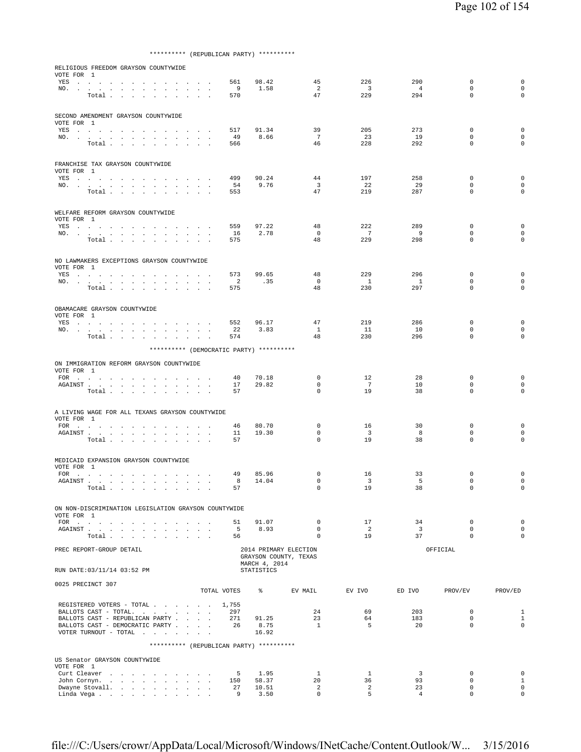\*\*\*\*\*\*\*\*\*\* (REPUBLICAN PARTY) \*\*\*\*\*\*\*\*\*\*

| RELIGIOUS FREEDOM GRAYSON COUNTYWIDE<br>VOTE FOR 1     |                                                                                                                                                                                                                                                                        |                                   |                                     |        |        |        |                                                      |                                          |                                                |                                |                         |                             |                             |
|--------------------------------------------------------|------------------------------------------------------------------------------------------------------------------------------------------------------------------------------------------------------------------------------------------------------------------------|-----------------------------------|-------------------------------------|--------|--------|--------|------------------------------------------------------|------------------------------------------|------------------------------------------------|--------------------------------|-------------------------|-----------------------------|-----------------------------|
|                                                        | YES a contract of the contract of the contract of the set of the set of the set of the set of the set of the set of the set of the set of the set of the set of the set of the set of the set of the set of the set of the set                                         |                                   |                                     |        |        |        | 561                                                  | 98.42                                    | 45                                             | 226                            | 290                     | $\mathbf 0$                 | $\mathbf 0$                 |
|                                                        | NO.<br>Total                                                                                                                                                                                                                                                           |                                   |                                     |        |        |        | - 9<br>570                                           | 1.58                                     | 2<br>47                                        | $\overline{\mathbf{3}}$<br>229 | $\overline{4}$<br>294   | $\mathbf 0$<br>$\mathbf 0$  | 0<br>0                      |
|                                                        |                                                                                                                                                                                                                                                                        |                                   |                                     |        |        |        |                                                      |                                          |                                                |                                |                         |                             |                             |
| SECOND AMENDMENT GRAYSON COUNTYWIDE                    |                                                                                                                                                                                                                                                                        |                                   |                                     |        |        |        |                                                      |                                          |                                                |                                |                         |                             |                             |
| VOTE FOR 1                                             | YES                                                                                                                                                                                                                                                                    |                                   |                                     |        |        |        | 517                                                  | 91.34                                    | 39                                             | 205                            | 273                     | $\mathbf 0$                 | $\mathbf 0$                 |
|                                                        | NO.                                                                                                                                                                                                                                                                    |                                   |                                     |        |        | .      | 49                                                   | 8.66                                     | 7                                              | 23                             | 19                      | 0                           | 0                           |
|                                                        | Total                                                                                                                                                                                                                                                                  |                                   |                                     |        |        |        | 566                                                  |                                          | 46                                             | 228                            | 292                     | $\mathbf 0$                 | $\mathbf 0$                 |
| FRANCHISE TAX GRAYSON COUNTYWIDE                       |                                                                                                                                                                                                                                                                        |                                   |                                     |        |        |        |                                                      |                                          |                                                |                                |                         |                             |                             |
| VOTE FOR 1                                             |                                                                                                                                                                                                                                                                        |                                   |                                     |        |        |        |                                                      |                                          |                                                |                                |                         |                             |                             |
|                                                        | YES a contract that is a contract of the set of the set of the set of the set of the set of the set of the set of the set of the set of the set of the set of the set of the set of the set of the set of the set of the set                                           |                                   |                                     |        |        |        | 499                                                  | 90.24                                    | 44                                             | 197                            | 258                     | $\mathbf 0$                 | $\mathbf 0$                 |
|                                                        | NO.<br>Total $\cdots$ $\cdots$ $\cdots$ $\cdots$                                                                                                                                                                                                                       |                                   |                                     |        |        |        | 54<br>553                                            | 9.76                                     | $\overline{3}$<br>47                           | 22<br>219                      | 29<br>287               | $\mathbf 0$<br>$\mathbf 0$  | $\mathbf 0$<br>$\mathbf 0$  |
|                                                        |                                                                                                                                                                                                                                                                        |                                   |                                     |        |        |        |                                                      |                                          |                                                |                                |                         |                             |                             |
| WELFARE REFORM GRAYSON COUNTYWIDE<br>VOTE FOR 1        |                                                                                                                                                                                                                                                                        |                                   |                                     |        |        |        |                                                      |                                          |                                                |                                |                         |                             |                             |
|                                                        | YES                                                                                                                                                                                                                                                                    |                                   |                                     |        |        |        | 559                                                  | 97.22                                    | 48                                             | 222                            | 289                     | 0                           | $\mathbf 0$                 |
|                                                        | NO.                                                                                                                                                                                                                                                                    |                                   |                                     |        |        |        | 16                                                   | 2.78                                     | $\mathbf{0}$                                   | $\overline{7}$                 | $^{9}$                  | $\mathbf 0$                 | $\mathbf 0$                 |
|                                                        | Total                                                                                                                                                                                                                                                                  |                                   | $\sim$ $\sim$                       |        |        |        | 575                                                  |                                          | 48                                             | 229                            | 298                     | $\mathbf 0$                 | $\mathbf 0$                 |
| NO LAWMAKERS EXCEPTIONS GRAYSON COUNTYWIDE             |                                                                                                                                                                                                                                                                        |                                   |                                     |        |        |        |                                                      |                                          |                                                |                                |                         |                             |                             |
| VOTE FOR 1                                             | YES a contract of the contract of the set of the set of the set of the set of the set of the set of the set of the set of the set of the set of the set of the set of the set of the set of the set of the set of the set of t                                         |                                   |                                     |        |        |        | 573                                                  | 99.65                                    | 48                                             | 229                            | 296                     | $\mathbf 0$                 | $\mathbf 0$                 |
|                                                        | NO.                                                                                                                                                                                                                                                                    |                                   |                                     |        |        |        | $\overline{a}$                                       | .35                                      | $\circ$                                        | $\mathbf{1}$                   | $\mathbf{1}$            | $\mathbf 0$                 | $\Omega$                    |
|                                                        | Total                                                                                                                                                                                                                                                                  |                                   |                                     |        |        |        | 575                                                  |                                          | 48                                             | 230                            | 297                     | $\mathbf 0$                 | 0                           |
|                                                        |                                                                                                                                                                                                                                                                        |                                   |                                     |        |        |        |                                                      |                                          |                                                |                                |                         |                             |                             |
| OBAMACARE GRAYSON COUNTYWIDE<br>VOTE FOR 1             |                                                                                                                                                                                                                                                                        |                                   |                                     |        |        |        |                                                      |                                          |                                                |                                |                         |                             |                             |
|                                                        | YES a contract of the contract of the set of the set of the set of the set of the set of the set of the set of the set of the set of the set of the set of the set of the set of the set of the set of the set of the set of t                                         |                                   |                                     |        |        |        | 552                                                  | 96.17                                    | 47                                             | 219                            | 286                     | $\mathbf 0$                 | $\mathbf 0$                 |
|                                                        | NO.<br>Total $\ldots$ $\ldots$ $\ldots$ $\ldots$                                                                                                                                                                                                                       |                                   |                                     |        |        |        | 22<br>574                                            | 3.83                                     | $\mathbf{1}$<br>48                             | 11<br>230                      | 10<br>296               | 0<br>$\mathbf 0$            | 0<br>0                      |
|                                                        |                                                                                                                                                                                                                                                                        |                                   |                                     |        |        |        |                                                      | ********** (DEMOCRATIC PARTY) ********** |                                                |                                |                         |                             |                             |
|                                                        |                                                                                                                                                                                                                                                                        |                                   |                                     |        |        |        |                                                      |                                          |                                                |                                |                         |                             |                             |
| ON IMMIGRATION REFORM GRAYSON COUNTYWIDE<br>VOTE FOR 1 |                                                                                                                                                                                                                                                                        |                                   |                                     |        |        |        |                                                      |                                          |                                                |                                |                         |                             |                             |
|                                                        |                                                                                                                                                                                                                                                                        |                                   |                                     |        |        |        | 40                                                   | 70.18                                    | $\mathbf 0$                                    | 12                             | 28                      | $\mathbf 0$                 | $\mathbf 0$                 |
|                                                        | ${\tt AGAINST} \hspace{1.5cm} . \hspace{1.5cm} . \hspace{1.5cm} . \hspace{1.5cm} . \hspace{1.5cm} . \hspace{1.5cm} . \hspace{1.5cm} . \hspace{1.5cm} . \hspace{1.5cm} . \hspace{1.5cm} . \hspace{1.5cm} . \hspace{1.5cm} . \hspace{1.5cm} . \hspace{1.5cm} .$<br>Total |                                   |                                     | $\sim$ | $\sim$ |        | 17<br>57                                             | 29.82                                    | 0<br>$\mathbf 0$                               | 7<br>19                        | 10<br>38                | 0<br>$\mathbf 0$            | 0<br>$\mathbf 0$            |
|                                                        |                                                                                                                                                                                                                                                                        |                                   |                                     |        |        | $\sim$ |                                                      |                                          |                                                |                                |                         |                             |                             |
| A LIVING WAGE FOR ALL TEXANS GRAYSON COUNTYWIDE        |                                                                                                                                                                                                                                                                        |                                   |                                     |        |        |        |                                                      |                                          |                                                |                                |                         |                             |                             |
| VOTE FOR 1                                             |                                                                                                                                                                                                                                                                        |                                   |                                     |        |        |        |                                                      |                                          | 0                                              |                                |                         | $\mathbf 0$                 | $\mathbf 0$                 |
|                                                        | AGAINST                                                                                                                                                                                                                                                                |                                   |                                     |        |        |        | 46<br>11                                             | 80.70<br>19.30                           | $\mathbf 0$                                    | 16<br>$\overline{\mathbf{3}}$  | 30<br>8                 | $\mathbf 0$                 | 0                           |
|                                                        | Total                                                                                                                                                                                                                                                                  |                                   |                                     |        |        |        | 57                                                   |                                          | 0                                              | 19                             | 38                      | $\mathbf 0$                 | $\mathbf 0$                 |
|                                                        |                                                                                                                                                                                                                                                                        |                                   |                                     |        |        |        |                                                      |                                          |                                                |                                |                         |                             |                             |
| MEDICAID EXPANSION GRAYSON COUNTYWIDE<br>VOTE FOR 1    |                                                                                                                                                                                                                                                                        |                                   |                                     |        |        |        |                                                      |                                          |                                                |                                |                         |                             |                             |
| FOR                                                    | $\sim$                                                                                                                                                                                                                                                                 |                                   | the contract of the contract of the |        | $\sim$ |        | 49                                                   | 85.96                                    | 0                                              | 16                             | 33                      | 0                           | 0                           |
|                                                        | Total.                                                                                                                                                                                                                                                                 |                                   |                                     |        |        |        | 8<br>57                                              | 14.04                                    | $\Omega$<br>$\Omega$                           | 3<br>19                        | 5<br>38                 | $\mathbf 0$<br>$\Omega$     | $\mathbf 0$<br>$\mathbf 0$  |
|                                                        |                                                                                                                                                                                                                                                                        | and the state of the state of the |                                     |        |        |        |                                                      |                                          |                                                |                                |                         |                             |                             |
|                                                        |                                                                                                                                                                                                                                                                        |                                   |                                     |        |        |        | ON NON-DISCRIMINATION LEGISLATION GRAYSON COUNTYWIDE |                                          |                                                |                                |                         |                             |                             |
| VOTE FOR 1                                             | FOR $\cdots$                                                                                                                                                                                                                                                           |                                   |                                     |        |        |        | 51                                                   | 91.07                                    | $\mathbf{0}$                                   | 17                             | 34                      | $\mathbf 0$                 | $\mathbf 0$                 |
|                                                        | AGAINST                                                                                                                                                                                                                                                                |                                   |                                     |        |        |        | $-5$                                                 | 8.93                                     | $\Omega$                                       | $\overline{2}$                 | $\overline{\mathbf{3}}$ | $\Omega$                    | $\mathbf 0$                 |
|                                                        | Total $\ldots$ $\ldots$ $\ldots$ $\ldots$                                                                                                                                                                                                                              |                                   |                                     |        |        |        | 56                                                   |                                          | $\mathbf{0}$                                   | 19                             | 37                      | $\Omega$                    | $\mathbf 0$                 |
| PREC REPORT-GROUP DETAIL                               |                                                                                                                                                                                                                                                                        |                                   |                                     |        |        |        |                                                      |                                          | 2014 PRIMARY ELECTION<br>GRAYSON COUNTY, TEXAS |                                |                         | OFFICIAL                    |                             |
| RUN DATE: 03/11/14 03:52 PM                            |                                                                                                                                                                                                                                                                        |                                   |                                     |        |        |        |                                                      | MARCH 4, 2014<br><b>STATISTICS</b>       |                                                |                                |                         |                             |                             |
| 0025 PRECINCT 307                                      |                                                                                                                                                                                                                                                                        |                                   |                                     |        |        |        |                                                      |                                          |                                                |                                |                         |                             |                             |
|                                                        |                                                                                                                                                                                                                                                                        |                                   |                                     |        |        |        | TOTAL VOTES                                          |                                          | EV MAIL                                        | EV IVO                         | ED IVO                  | PROV/EV                     | PROV/ED                     |
|                                                        |                                                                                                                                                                                                                                                                        |                                   |                                     |        |        |        | REGISTERED VOTERS - TOTAL 1,755                      |                                          |                                                |                                |                         |                             |                             |
|                                                        | BALLOTS CAST - TOTAL.                                                                                                                                                                                                                                                  |                                   |                                     |        |        |        | 297                                                  |                                          | 24                                             | 69                             | 203                     | $\mathbf 0$                 | $\mathbf{1}$                |
|                                                        | BALLOTS CAST - REPUBLICAN PARTY<br>BALLOTS CAST - DEMOCRATIC PARTY                                                                                                                                                                                                     |                                   |                                     |        |        |        | 271<br>26                                            | 91.25<br>8.75                            | 23<br>$\mathbf{1}$                             | 64<br>5                        | 183<br>20               | $\mathbf 0$<br>$\mathbf{0}$ | $\mathbf{1}$<br>$\mathbf 0$ |
|                                                        | VOTER TURNOUT - TOTAL                                                                                                                                                                                                                                                  |                                   |                                     |        |        |        |                                                      | 16.92                                    |                                                |                                |                         |                             |                             |
|                                                        |                                                                                                                                                                                                                                                                        |                                   |                                     |        |        |        |                                                      | ********** (REPUBLICAN PARTY) ********** |                                                |                                |                         |                             |                             |
| US Senator GRAYSON COUNTYWIDE                          |                                                                                                                                                                                                                                                                        |                                   |                                     |        |        |        |                                                      |                                          |                                                |                                |                         |                             |                             |
| VOTE FOR 1                                             | Curt Cleaver                                                                                                                                                                                                                                                           |                                   |                                     |        |        |        | $-5$                                                 | 1.95                                     | $\mathbf{1}$                                   | $\mathbf{1}$                   | 3                       | $\mathbf 0$                 | $\mathbf 0$                 |
|                                                        | John Cornyn                                                                                                                                                                                                                                                            |                                   |                                     |        |        |        | 150                                                  | 58.37                                    | 20                                             | 36                             | 93                      | $\mathbf 0$                 | 1                           |
|                                                        | Dwayne Stovall.<br>Linda Vega                                                                                                                                                                                                                                          |                                   |                                     |        |        |        | 27<br>9                                              | 10.51<br>3.50                            | 2<br>$\mathbf{0}$                              | 2<br>5                         | 23<br>$\overline{4}$    | $\mathbf 0$<br>$\Omega$     | $\mathbf 0$<br>$\mathbf 0$  |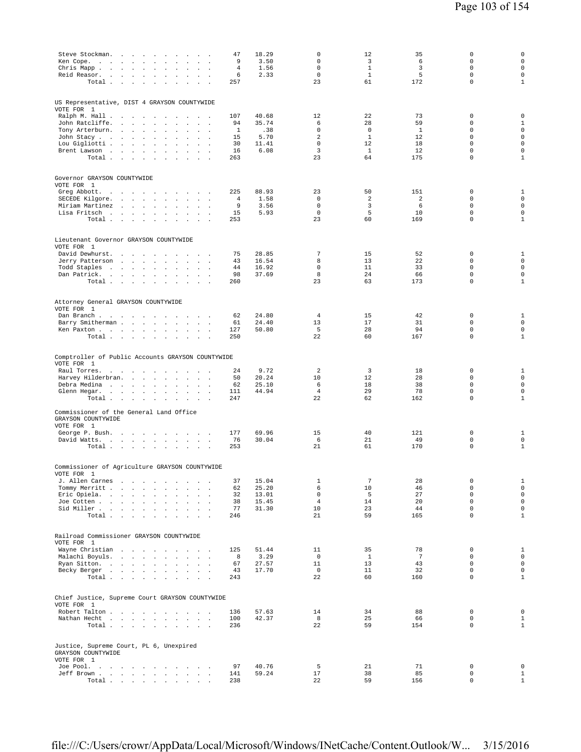| Steve Stockman.<br>the contract of the contract of the<br>Ken Cope.<br>the contract of the contract of<br>Chris Mapp.<br>$\cdot$<br>$\ddot{\phantom{a}}$<br>Reid Reasor.<br>$\sim$<br>$\cdot$<br>$\cdot$<br>Total<br>$\cdot$<br>$\sim$<br>$\ddot{\phantom{a}}$                                                                                                                                                                                                                                                                                                   | 47<br>9<br>4<br>6<br>257                | 18.29<br>3.50<br>1.56<br>2.33                  | 0<br>0<br>0<br>$\mathbf 0$<br>23                                   | 12<br>3<br>$\mathbf{1}$<br>$\mathbf{1}$<br>61                       | 35<br>6<br>3<br>5<br>172                          | 0<br>$\mathbf 0$<br>$\mathbf 0$<br>$\mathbf 0$<br>$\mathbf{0}$                               | 0<br>$\mathbf 0$<br>$\mathbf 0$<br>0<br>$1\,$                                                 |
|------------------------------------------------------------------------------------------------------------------------------------------------------------------------------------------------------------------------------------------------------------------------------------------------------------------------------------------------------------------------------------------------------------------------------------------------------------------------------------------------------------------------------------------------------------------|-----------------------------------------|------------------------------------------------|--------------------------------------------------------------------|---------------------------------------------------------------------|---------------------------------------------------|----------------------------------------------------------------------------------------------|-----------------------------------------------------------------------------------------------|
| US Representative, DIST 4 GRAYSON COUNTYWIDE<br>VOTE FOR 1<br>Ralph M. Hall<br>$\sim$<br>$\cdot$<br>$\sim$<br>$\ddot{\phantom{a}}$<br>John Ratcliffe.<br>$\sim 10^{-11}$<br><b>Service State</b><br>$\overline{a}$<br>$\cdot$<br>$\mathbb{Z}^2$<br>$\mathbf{r}$<br>$\overline{\phantom{a}}$<br>Tony Arterburn.<br>$\mathbf{r}$<br>$\mathbf{r}$<br>$\mathbf{r}$<br>John Stacy<br>$\ddot{\phantom{a}}$<br>$\cdot$<br>$\cdot$<br>Lou Gigliotti<br>$\sim$<br>$\blacksquare$<br>$\Box$<br>$\Box$<br>Brent Lawson<br>$\ddot{\phantom{a}}$<br>$\sim$<br>$\sim$<br>Total | 107<br>94<br>1<br>15<br>30<br>16<br>263 | 40.68<br>35.74<br>.38<br>5.70<br>11.41<br>6.08 | 12<br>6<br>$\mathbf 0$<br>$\overline{2}$<br>$\mathbf 0$<br>3<br>23 | 22<br>28<br>$\mathbf 0$<br>$\mathbf{1}$<br>12<br>$\mathbf{1}$<br>64 | 73<br>59<br><sup>1</sup><br>12<br>18<br>12<br>175 | $\mathbf{0}$<br>0<br>$\mathbf 0$<br>$\mathbf 0$<br>$\mathbf 0$<br>$\mathbf 0$<br>$\mathbf 0$ | 0<br>$\mathbf{1}$<br>$\mathsf 0$<br>$\mathsf 0$<br>$\mathbf 0$<br>$\mathbf 0$<br>$\mathbf{1}$ |
| Governor GRAYSON COUNTYWIDE<br>VOTE FOR 1<br>Greg Abbott.<br>the contract of the contract of the contract of<br>SECEDE Kilgore.<br>$\mathbf{u} = \mathbf{u} + \mathbf{u}$ .<br>$\sim$<br>$\sim$<br>Miriam Martinez<br>$\ddot{\phantom{a}}$<br>$\ddot{\phantom{a}}$<br>Lisa Fritsch<br>and the contract of<br>Total<br><b>Contract Contract</b><br>$\sim 10$<br>$\mathbf{r}$<br>$\sim$<br>$\sim$<br>$\overline{\phantom{a}}$                                                                                                                                      | 225<br>4<br>9<br>15<br>253              | 88.93<br>1.58<br>3.56<br>5.93                  | 23<br>0<br>$\mathsf 0$<br>0<br>23                                  | 50<br>$\overline{\mathbf{c}}$<br>3<br>5<br>60                       | 151<br>$\overline{a}$<br>6<br>10<br>169           | $\mathbf 0$<br>$\mathbf 0$<br>$\mathbf 0$<br>$\mathbb O$<br>$\mathbb O$                      | $\mathbf{1}$<br>$\mathsf 0$<br>$\mathbf 0$<br>$\mathsf 0$<br>$\mathbf{1}$                     |
| Lieutenant Governor GRAYSON COUNTYWIDE<br>VOTE FOR 1<br>David Dewhurst.<br>and the state of the state of<br>$\sim$<br>$\cdot$<br>$\sim$<br>$\mathbf{r}$<br>$\sim$<br>Jerry Patterson<br>and the control of the con-<br>$\sim$<br>$\mathbf{r}$<br>Todd Staples<br><b>Carl Carl</b><br>$\blacksquare$<br>$\ddot{\phantom{a}}$<br>Dan Patrick.<br>$\cdot$<br>Total $\cdots$ $\cdots$<br>$\sim$<br>$\cdot$<br>$\sim$<br>$\ddot{\phantom{a}}$<br>$\overline{\phantom{a}}$                                                                                             | 75<br>43<br>44<br>98<br>260             | 28.85<br>16.54<br>16.92<br>37.69               | 7<br>8<br>0<br>8<br>23                                             | 15<br>13<br>11<br>24<br>63                                          | 52<br>22<br>33<br>66<br>173                       | 0<br>$\mathbf 0$<br>$\mathbf 0$<br>$\mathbf{0}$<br>$\mathbf 0$                               | $\mathbf{1}$<br>$\mathsf 0$<br>$\mathbf 0$<br>$\mathsf 0$<br>$\mathbf{1}$                     |
| Attorney General GRAYSON COUNTYWIDE<br>VOTE FOR 1<br>Dan Branch<br>$\sim$<br>Barry Smitherman<br>$\cdot$<br>$\Box$<br>$\cdot$<br>Ken Paxton<br>$\sim$ $\sim$<br>Total<br>$\ddot{\phantom{a}}$                                                                                                                                                                                                                                                                                                                                                                    | 62<br>61<br>127<br>250                  | 24.80<br>24.40<br>50.80                        | 4<br>13<br>5<br>22                                                 | 15<br>17<br>28<br>60                                                | 42<br>31<br>94<br>167                             | $\mathbf 0$<br>$\mathbf 0$<br>$\mathbf 0$<br>$\mathbf 0$                                     | $\mathbf{1}$<br>$\mathbf 0$<br>$\mathsf 0$<br>$\mathbf{1}$                                    |
| Comptroller of Public Accounts GRAYSON COUNTYWIDE<br>VOTE FOR 1<br>Raul Torres.<br>the contract of the contract of<br>$\ddot{\phantom{a}}$<br>$\overline{\phantom{a}}$<br>$\overline{\phantom{a}}$<br>Harvey Hilderbran.<br>$\mathbf{r}$<br>$\mathbf{r}$<br>$\sim$<br>Debra Medina<br>$\sim$<br>$\sim$<br>$\sim$<br>$\cdot$<br>$\mathbf{r}$<br>Glenn Hegar.<br>Total<br>$\ddot{\phantom{a}}$<br>$\ddot{\phantom{a}}$                                                                                                                                             | 24<br>50<br>62<br>111<br>247            | 9.72<br>20.24<br>25.10<br>44.94                | $\overline{2}$<br>10<br>6<br>$\overline{4}$<br>22                  | 3<br>12<br>18<br>29<br>62                                           | 18<br>28<br>38<br>78<br>162                       | $\mathbf 0$<br>$\mathbf 0$<br>$\mathbf 0$<br>$\mathbf 0$<br>$\mathbf 0$                      | $\mathbf{1}$<br>$\mathsf 0$<br>$\mathsf{O}\xspace$<br>$\mathsf 0$<br>$\mathbf{1}$             |
| Commissioner of the General Land Office<br>GRAYSON COUNTYWIDE<br>VOTE FOR 1<br>George P. Bush.<br>$\sim$<br>David Watts.<br>Total $\cdots$ $\cdots$ $\cdots$                                                                                                                                                                                                                                                                                                                                                                                                     | 177<br>76<br>253                        | 69.96<br>30.04                                 | 15<br>6<br>21                                                      | 40<br>21<br>61                                                      | 121<br>49<br>170                                  | $\mathbf 0$<br>$\mathbf 0$<br>$\mathbf{0}$                                                   | $\mathbf{1}$<br>$\mathbf 0$<br>$\mathbf{1}$                                                   |
| Commissioner of Agriculture GRAYSON COUNTYWIDE<br>VOTE FOR 1<br>J. Allen Carnes<br>and the contract of the<br>Tommy Merritt<br>$\ddot{\phantom{a}}$<br>$\overline{\phantom{a}}$<br>$\ddot{\phantom{1}}$<br>Eric Opiela.<br>and the control<br>Joe Cotten<br>$\sim$<br>Sid Miller<br>Total $\cdots$ $\cdots$<br>$\cdot$<br>$\sim$                                                                                                                                                                                                                                 | 37<br>62<br>32<br>38<br>77<br>246       | 15.04<br>25.20<br>13.01<br>15.45<br>31.30      | $\mathbf{1}$<br>6<br>$\mathbf 0$<br>$\,4$<br>10<br>21              | $\overline{7}$<br>10<br>5<br>14<br>23<br>59                         | 28<br>46<br>27<br>20<br>44<br>165                 | 0<br>$\mathbf 0$<br>$\mathbf{0}$<br>$\mathbb O$<br>$\mathbf 0$<br>$\mathbf 0$                | $\mathbf{1}$<br>$\mathbf 0$<br>$\mathsf 0$<br>$\mathsf 0$<br>$\mathsf 0$<br>$\mathbf{1}$      |
| Railroad Commissioner GRAYSON COUNTYWIDE<br>VOTE FOR 1<br>Wayne Christian<br>Malachi Boyuls.<br>$\sim$<br>Ryan Sitton.<br>$\sim$<br>Becky Berger<br>Total                                                                                                                                                                                                                                                                                                                                                                                                        | 125<br>8<br>67<br>43<br>243             | 51.44<br>3.29<br>27.57<br>17.70                | 11<br>$\Omega$<br>11<br>$\overline{0}$<br>22                       | 35<br>$\mathbf{1}$<br>13<br>11<br>60                                | 78<br>$7\overline{ }$<br>43<br>32<br>160          | $\mathbf 0$<br>$\Omega$<br>$\mathbf 0$<br>$\mathbf 0$<br>$\mathbf 0$                         | $\mathbf{1}$<br>$\mathbf 0$<br>$\mathbf 0$<br>$\mathbf 0$<br>$\mathbf{1}$                     |
| Chief Justice, Supreme Court GRAYSON COUNTYWIDE<br>VOTE FOR 1<br>Robert Talton<br>$\overline{\phantom{a}}$<br>Nathan Hecht<br>Total $\cdots$ $\cdots$ $\cdots$ $\cdots$                                                                                                                                                                                                                                                                                                                                                                                          | 136<br>100<br>236                       | 57.63<br>42.37                                 | 14<br>8<br>22                                                      | 34<br>25<br>59                                                      | 88<br>66<br>154                                   | $\mathbf 0$<br>$\mathbf 0$<br>$\mathbf 0$                                                    | $\mathsf 0$<br>$\mathbf{1}$<br>$\mathbf{1}$                                                   |
| Justice, Supreme Court, PL 6, Unexpired<br>GRAYSON COUNTYWIDE<br>VOTE FOR 1<br>Joe Pool.<br>Jeff Brown<br>Total<br><b>Service</b> State                                                                                                                                                                                                                                                                                                                                                                                                                          | 97<br>141<br>238                        | 40.76<br>59.24                                 | 5<br>17<br>22                                                      | 21<br>38<br>59                                                      | 71<br>85<br>156                                   | $\mathbf 0$<br>$\mathbb O$<br>$\mathbf 0$                                                    | $\mathsf 0$<br>$\mathbf{1}$<br>$\mathbf{1}$                                                   |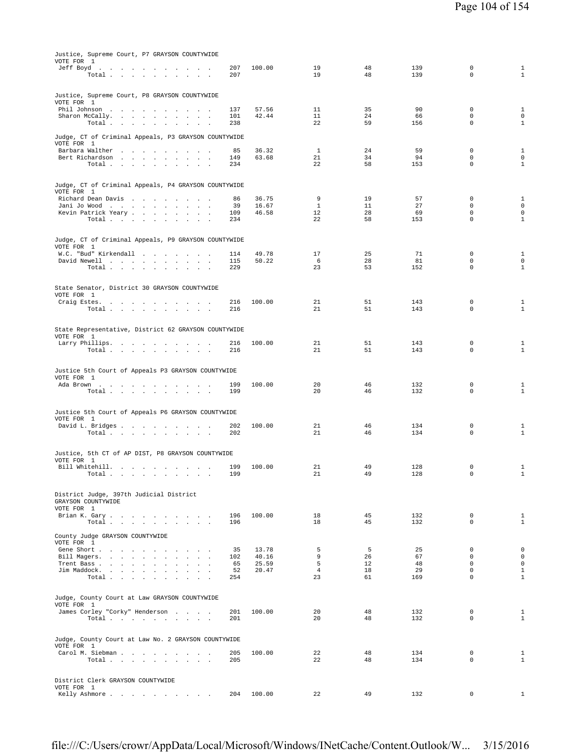| Justice, Supreme Court, P7 GRAYSON COUNTYWIDE<br>VOTE FOR 1<br>Jeff Boyd<br>the contract of the contract of the con- | 207        | 100.00         | 19                   | 48       | 139        | $\mathbf 0$                | $1\,$                              |
|----------------------------------------------------------------------------------------------------------------------|------------|----------------|----------------------|----------|------------|----------------------------|------------------------------------|
| Total                                                                                                                | 207        |                | 19                   | 48       | 139        | $\mathbf 0$                | $\mathbf{1}$                       |
| Justice, Supreme Court, P8 GRAYSON COUNTYWIDE                                                                        |            |                |                      |          |            |                            |                                    |
| VOTE FOR 1<br>Phil Johnson                                                                                           | 137        | 57.56          | 11                   | 35       | 90         | $\mathbf 0$                | $\mathbf{1}$                       |
| Sharon McCally.<br>$\sim$<br>$\sim$<br>$\sim$<br>$\sim$<br>Total<br>$\sim 10^{-1}$<br>$\sim$<br>$\sim$<br>$\sim$     | 101<br>238 | 42.44          | 11<br>22             | 24<br>59 | 66<br>156  | $\mathbf 0$<br>$\mathbf 0$ | $\mathbf 0$<br>$\mathbf{1}$        |
| Judge, CT of Criminal Appeals, P3 GRAYSON COUNTYWIDE<br>VOTE FOR 1                                                   |            |                |                      |          |            |                            |                                    |
| Barbara Walther                                                                                                      | 85         | 36.32          | 1                    | 24       | 59         | $\mathbf 0$                | $\mathbf{1}$                       |
| Bert Richardson<br>Total $\cdots$ $\cdots$ $\cdots$                                                                  | 149<br>234 | 63.68          | 21<br>22             | 34<br>58 | 94<br>153  | $\mathbf 0$<br>$\mathbf 0$ | $\mathbf 0$<br>$\mathbf{1}$        |
| Judge, CT of Criminal Appeals, P4 GRAYSON COUNTYWIDE                                                                 |            |                |                      |          |            |                            |                                    |
| VOTE FOR 1<br>Richard Dean Davis                                                                                     | 86         | 36.75          | 9                    | 19       | 57         | 0                          | $\mathbf{1}$                       |
| Jani Jo Wood<br>$\sim$<br>$\sim$                                                                                     | 39         | 16.67          | $\mathbf{1}$         | 11       | 27         | 0                          | $\mathbf 0$                        |
| Kevin Patrick Yeary<br>Total<br>$\sim 10^{-1}$<br>$\sim$<br>$\ddot{\phantom{a}}$                                     | 109<br>234 | 46.58          | 12<br>22             | 28<br>58 | 69<br>153  | $\mathbf 0$<br>$\mathbb O$ | $\mathbf 0$<br>$\mathbf{1}$        |
|                                                                                                                      |            |                |                      |          |            |                            |                                    |
| Judge, CT of Criminal Appeals, P9 GRAYSON COUNTYWIDE<br>VOTE FOR 1<br>W.C. "Bud" Kirkendall                          | 114        | 49.78          | 17                   | 25       | 71         | 0                          | $\mathbf{1}$                       |
| David Newell                                                                                                         | 115        | 50.22          | 6                    | 28       | 81         | $\mathbf 0$                | $\mathbf 0$                        |
| Total<br><b>Contract Contract</b>                                                                                    | 229        |                | 23                   | 53       | 152        | $\mathbf 0$                | $1\,$                              |
| State Senator, District 30 GRAYSON COUNTYWIDE                                                                        |            |                |                      |          |            |                            |                                    |
| VOTE FOR 1<br>Craig Estes.<br>$\sim$ $\sim$ $\sim$                                                                   | 216        | 100.00         | 21                   | 51       | 143        | $\mathbf 0$                | $1\,$                              |
| Total                                                                                                                | 216        |                | 21                   | 51       | 143        | $\mathbf 0$                | $\mathbf{1}$                       |
| State Representative, District 62 GRAYSON COUNTYWIDE                                                                 |            |                |                      |          |            |                            |                                    |
| VOTE FOR 1<br>Larry Phillips.                                                                                        | 216        | 100.00         | 21                   | 51       | 143        | 0                          | 1                                  |
| Total $\cdots$ $\cdots$<br><b>Contract Contract</b>                                                                  | 216        |                | 21                   | 51       | 143        | $\mathbf 0$                | $\mathbf{1}$                       |
|                                                                                                                      |            |                |                      |          |            |                            |                                    |
| Justice 5th Court of Appeals P3 GRAYSON COUNTYWIDE<br>VOTE FOR 1                                                     |            |                |                      |          |            |                            |                                    |
| Ada Brown<br>Total $\cdots$ $\cdots$ $\cdots$                                                                        | 199<br>199 | 100.00         | 20<br>20             | 46<br>46 | 132<br>132 | $\mathbf 0$<br>$\mathbf 0$ | 1<br>$\mathbf{1}$                  |
|                                                                                                                      |            |                |                      |          |            |                            |                                    |
| Justice 5th Court of Appeals P6 GRAYSON COUNTYWIDE                                                                   |            |                |                      |          |            |                            |                                    |
| VOTE FOR 1<br>David L. Bridges                                                                                       | 202        | 100.00         | 21                   | 46       | 134        | $\mathbf 0$                | 1                                  |
| Total<br>$\cdot$                                                                                                     | 202        |                | 21                   | 46       | 134        | $\mathbb O$                | $1\,$                              |
| Justice, 5th CT of AP DIST, P8 GRAYSON COUNTYWIDE                                                                    |            |                |                      |          |            |                            |                                    |
| VOTE FOR 1<br>Bill Whitehill.<br>and the state of the state of the<br>$\ddot{\phantom{a}}$                           | 199        | 100.00         | 21                   | 49       | 128        | $\mathbf 0$                | $1\,$                              |
| Total                                                                                                                | 199        |                | 21                   | 49       | 128        |                            | $\mathbf{1}$                       |
| District Judge, 397th Judicial District                                                                              |            |                |                      |          |            |                            |                                    |
| GRAYSON COUNTYWIDE<br>VOTE FOR 1                                                                                     |            |                |                      |          |            |                            |                                    |
| Brian K. Gary.<br>Total $\cdots$ $\cdots$ $\cdots$ $\cdots$                                                          | 196<br>196 | 100.00         | 18<br>18             | 45<br>45 | 132<br>132 | $\mathbf 0$<br>$\mathbf 0$ | $\mathbf{1}$<br>$\mathbf{1}$       |
| County Judge GRAYSON COUNTYWIDE                                                                                      |            |                |                      |          |            |                            |                                    |
| VOTE FOR 1                                                                                                           |            |                |                      |          |            |                            |                                    |
| Gene Short<br>Bill Magers.<br>$\sim$<br>$\sim$<br>$\ddot{\phantom{a}}$                                               | 35<br>102  | 13.78<br>40.16 | 5<br>9               | 5<br>26  | 25<br>67   | $\mathbf 0$<br>$\Omega$    | $\mathsf{O}\xspace$<br>$\mathbf 0$ |
| Trent Bass                                                                                                           | 65         | 25.59          | 5                    | 12       | 48         | $\mathbf 0$                | $\mathbf 0$                        |
| Jim Maddock.<br><b>All Andre</b><br>Total                                                                            | 52<br>254  | 20.47          | $\overline{4}$<br>23 | 18<br>61 | 29<br>169  | $\mathbf 0$<br>$\mathbf 0$ | $\mathbf{1}$<br>$1\,$              |
|                                                                                                                      |            |                |                      |          |            |                            |                                    |
| Judge, County Court at Law GRAYSON COUNTYWIDE<br>VOTE FOR 1                                                          |            |                |                      |          |            |                            |                                    |
| James Corley "Corky" Henderson<br>Total                                                                              | 201<br>201 | 100.00         | 20<br>20             | 48<br>48 | 132<br>132 | $\mathbf 0$<br>$\mathbf 0$ | $\mathbf{1}$<br>$\mathbf{1}$       |
|                                                                                                                      |            |                |                      |          |            |                            |                                    |
| Judge, County Court at Law No. 2 GRAYSON COUNTYWIDE<br>VOTE FOR 1                                                    |            |                |                      |          |            |                            |                                    |
| Carol M. Siebman                                                                                                     | 205        | 100.00         | 22                   | 48       | 134        | $\mathbf 0$                | $\mathbf{1}$                       |
| Total $\cdots$ $\cdots$ $\cdots$ $\cdots$                                                                            | 205        |                | 22                   | 48       | 134        | $\mathbf 0$                | $\mathbf{1}$                       |
| District Clerk GRAYSON COUNTYWIDE                                                                                    |            |                |                      |          |            |                            |                                    |
| VOTE FOR 1<br>Kelly Ashmore                                                                                          | 204        | 100.00         | 22                   | 49       | 132        | $\mathbf 0$                | $\mathbf{1}$                       |
|                                                                                                                      |            |                |                      |          |            |                            |                                    |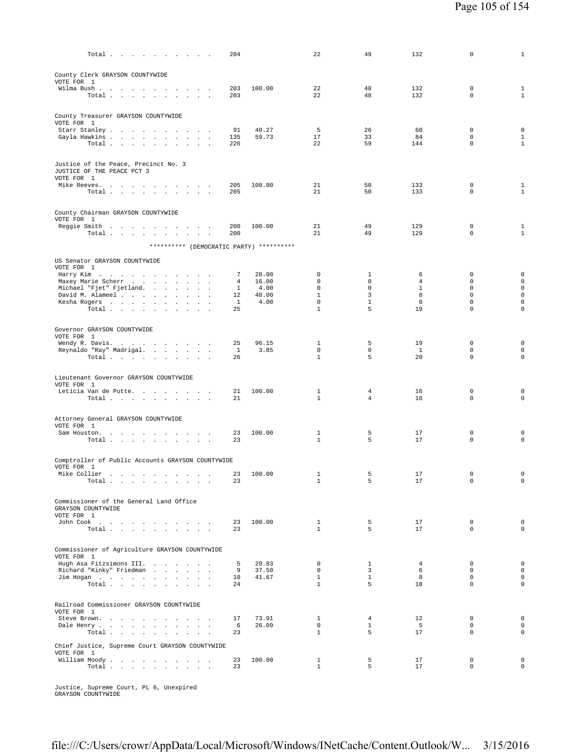| Total $\cdots$ $\cdots$ $\cdots$                                                                           | 204          |               | 22                           | 49                | 132              | 0                          | $\mathbf{1}$                       |
|------------------------------------------------------------------------------------------------------------|--------------|---------------|------------------------------|-------------------|------------------|----------------------------|------------------------------------|
| County Clerk GRAYSON COUNTYWIDE                                                                            |              |               |                              |                   |                  |                            |                                    |
| VOTE FOR 1<br>Wilma Bush.                                                                                  | 203          | 100.00        | 22                           | 48                | 132              | 0                          | 1                                  |
| Total<br>$\sim 10^{-1}$<br><b>Carl Carl</b>                                                                | 203          |               | 22                           | 48                | 132              | $\mathbf 0$                | $\mathbf{1}$                       |
| County Treasurer GRAYSON COUNTYWIDE<br>VOTE FOR 1                                                          |              |               |                              |                   |                  |                            |                                    |
| Starr Stanley<br>$\sim 10^{-1}$ km $^{-1}$<br>$\sim$                                                       | 91           | 40.27         | 5                            | 26                | 60               | 0                          | $\mathbf 0$                        |
| Gayla Hawkins                                                                                              | 135          | 59.73         | 17                           | 33                | 84               | $\mathbf 0$                | $\mathbf{1}$                       |
| Total                                                                                                      | 226          |               | 22                           | 59                | 144              | $\mathbf 0$                | $\mathbf{1}$                       |
| Justice of the Peace, Precinct No. 3<br>JUSTICE OF THE PEACE PCT 3                                         |              |               |                              |                   |                  |                            |                                    |
| VOTE FOR 1<br>Mike Reeves.                                                                                 | 205          | 100.00        | 21                           | 50                | 133              | $\mathbf 0$                | 1                                  |
| Total                                                                                                      | 205          |               | 21                           | 50                | 133              | $\mathbf 0$                | $\mathbf{1}$                       |
| County Chairman GRAYSON COUNTYWIDE<br>VOTE FOR 1                                                           |              |               |                              |                   |                  |                            |                                    |
| Reggie Smith<br>Total                                                                                      | 200<br>200   | 100.00        | 21<br>21                     | 49<br>49          | 129<br>129       | $\mathbf 0$<br>$\mathbf 0$ | $\mathbf{1}$<br>$\mathbf{1}$       |
| ********** (DEMOCRATIC PARTY) **********                                                                   |              |               |                              |                   |                  |                            |                                    |
| US Senator GRAYSON COUNTYWIDE                                                                              |              |               |                              |                   |                  |                            |                                    |
| VOTE FOR 1<br>Harry Kim                                                                                    | 7            | 28.00         | 0                            | 1                 | 6                | 0                          | $\mathbf 0$                        |
| Maxey Marie Scherr                                                                                         | 4            | 16.00         | 0                            | 0                 | 4                | $\mathbf 0$                | $\mathsf{O}\xspace$                |
| Michael "Fjet" Fjetland.                                                                                   | $\mathbf{1}$ | 4.00          | $\mathbf 0$                  | $\mathbf 0$       | $\mathbf{1}$     | $\mathbf 0$                | $\mathsf{O}\xspace$<br>$\mathbf 0$ |
| David M. Alameel<br><b>Service</b><br>$\sim$<br>Kesha Rogers                                               | 12<br>1      | 48.00<br>4.00 | $\mathbf{1}$<br>$\mathbf 0$  | 3<br>$\mathbf{1}$ | 8<br>$\mathbf 0$ | $\mathsf 0$<br>$\mathbf 0$ | $\mathsf{O}\xspace$                |
| Total<br>$\overline{\phantom{a}}$                                                                          | 25           |               | $\mathbf{1}$                 | 5                 | 19               | $\mathbf 0$                | $\mathbf 0$                        |
| Governor GRAYSON COUNTYWIDE                                                                                |              |               |                              |                   |                  |                            |                                    |
| VOTE FOR 1<br>Wendy R. Davis.                                                                              | 25           | 96.15         | 1                            | 5                 | 19               | 0                          | $\mathsf 0$                        |
| Reynaldo "Ray" Madrigal.<br>$\sim$<br>$\blacksquare$                                                       | $\mathbf{1}$ | 3.85          | $\mathbf 0$                  | $\mathbf 0$       | <sup>1</sup>     | $\mathbf 0$                | $\mathbf 0$                        |
| Total $\cdots$ $\cdots$ $\cdots$ $\cdots$                                                                  | 26           |               | $\mathbf{1}$                 | 5                 | 20               | 0                          | $\mathbf 0$                        |
| Lieutenant Governor GRAYSON COUNTYWIDE                                                                     |              |               |                              |                   |                  |                            |                                    |
| VOTE FOR 1<br>Leticia Van de Putte.                                                                        | 21           | 100.00        | 1                            | $\overline{4}$    | 16               | 0                          | $\mathbf 0$                        |
| Total $\cdots$ $\cdots$ $\cdots$                                                                           | 21           |               | 1                            | 4                 | 16               | $\mathbf 0$                | $\mathbf 0$                        |
| Attorney General GRAYSON COUNTYWIDE                                                                        |              |               |                              |                   |                  |                            |                                    |
| VOTE FOR 1<br>Sam Houston.                                                                                 | 23           | 100.00        | $\mathbf{1}$                 | 5                 | 17               | $\mathbf 0$                | $\mathbf 0$                        |
| Total                                                                                                      | 23           |               | $\mathbf{1}$                 | 5                 | 17               | 0                          | $\mathbf 0$                        |
| Comptroller of Public Accounts GRAYSON COUNTYWIDE                                                          |              |               |                              |                   |                  |                            |                                    |
| VOTE FOR 1<br>Mike Collier<br>. The signal properties of the signal properties $\mathcal{L}_{\mathcal{A}}$ | 23           | 100.00        | 1                            | 5                 | 17               | $\mathbf 0$                | 0                                  |
| Total $\cdots$ $\cdots$ $\cdots$                                                                           | 23           |               | $\mathbf{1}$                 | 5                 | 17               | 0                          | $\circ$                            |
| Commissioner of the General Land Office                                                                    |              |               |                              |                   |                  |                            |                                    |
| GRAYSON COUNTYWIDE<br>VOTE FOR 1                                                                           |              |               |                              |                   |                  |                            |                                    |
| John Cook                                                                                                  | 23           | 100.00        | $\mathbf{1}$                 | 5                 | 17               | $\mathbf 0$                | $\mathsf{O}\xspace$                |
| Total                                                                                                      | 23           |               | $\mathbf{1}$                 | 5                 | 17               | $\mathbf 0$                | $\mathbf 0$                        |
| Commissioner of Agriculture GRAYSON COUNTYWIDE                                                             |              |               |                              |                   |                  |                            |                                    |
| VOTE FOR 1<br>Hugh Asa Fitzsimons III.                                                                     | 5            | 20.83         | $\mathbf 0$                  | $\mathbf{1}$      | $\overline{4}$   | $\mathbf 0$                | $\mathsf{O}\xspace$                |
| Richard "Kinky" Friedman                                                                                   | 9            | 37.50         | $\mathbf{0}$                 | $\overline{3}$    | 6                | $\mathbf 0$                | $\mathsf 0$                        |
| Jim Hogan                                                                                                  | 10<br>24     | 41.67         | $\mathbf{1}$<br>$\mathbf{1}$ | $\mathbf{1}$<br>5 | 8<br>18          | $\mathbf 0$<br>$\Omega$    | $\mathsf{O}\xspace$<br>$\mathbf 0$ |
| Total                                                                                                      |              |               |                              |                   |                  |                            |                                    |
| Railroad Commissioner GRAYSON COUNTYWIDE<br>VOTE FOR 1                                                     |              |               |                              |                   |                  |                            |                                    |
| Steve Brown.                                                                                               | 17           | 73.91         | $\mathbf{1}$                 | $\overline{4}$    | 12               | $\mathbf 0$                | $\mathsf{O}\xspace$                |
| Dale Henry<br>Total                                                                                        | 6<br>23      | 26.09         | $\mathsf{O}$<br>$\mathbf{1}$ | $\mathbf{1}$<br>5 | 5<br>17          | $\mathbf 0$<br>$\Omega$    | $\mathbf 0$<br>$\mathbf 0$         |
| Chief Justice, Supreme Court GRAYSON COUNTYWIDE                                                            |              |               |                              |                   |                  |                            |                                    |
| VOTE FOR 1<br>William Moody.                                                                               | 23           | 100.00        | $\mathbf{1}$                 | 5                 | 17               | 0                          | $\mathbf 0$                        |
| Total                                                                                                      | 23           |               | $\mathbf{1}$                 | 5                 | 17               | $\Omega$                   | $\Omega$                           |
|                                                                                                            |              |               |                              |                   |                  |                            |                                    |

Justice, Supreme Court, PL 6, Unexpired GRAYSON COUNTYWIDE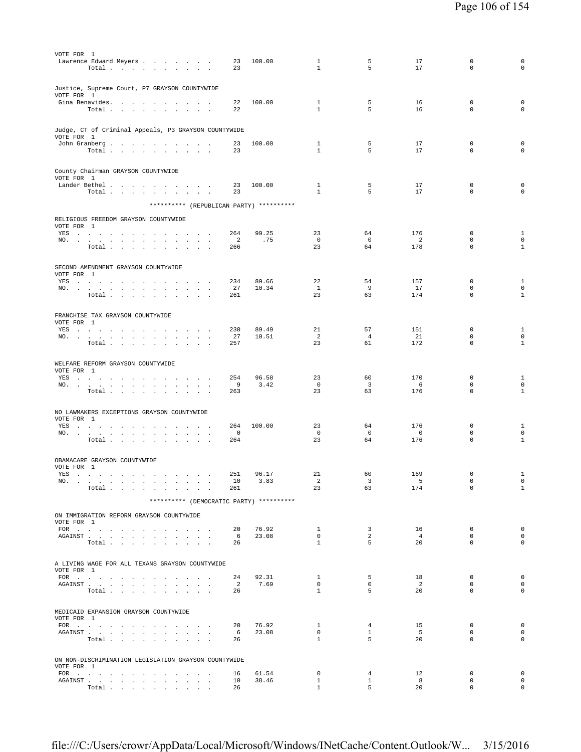| VOTE FOR 1                                                                                                                                                                                                                                                    |                                                                                                  |  |  |        |                  |                      |                                                      |                |                              |                         |                                 |                             |                                     |
|---------------------------------------------------------------------------------------------------------------------------------------------------------------------------------------------------------------------------------------------------------------|--------------------------------------------------------------------------------------------------|--|--|--------|------------------|----------------------|------------------------------------------------------|----------------|------------------------------|-------------------------|---------------------------------|-----------------------------|-------------------------------------|
| Lawrence Edward Meyers                                                                                                                                                                                                                                        | Total                                                                                            |  |  |        |                  |                      | 23<br>23                                             | 100.00         | 1<br>$\mathbf{1}$            | 5<br>5                  | 17<br>17                        | 0<br>$\Omega$               | 0<br>$\circ$                        |
|                                                                                                                                                                                                                                                               |                                                                                                  |  |  |        |                  |                      |                                                      |                |                              |                         |                                 |                             |                                     |
|                                                                                                                                                                                                                                                               |                                                                                                  |  |  |        |                  |                      |                                                      |                |                              |                         |                                 |                             |                                     |
| Justice, Supreme Court, P7 GRAYSON COUNTYWIDE<br>VOTE FOR 1                                                                                                                                                                                                   |                                                                                                  |  |  |        |                  |                      |                                                      |                |                              |                         |                                 |                             |                                     |
| Gina Benavides.                                                                                                                                                                                                                                               |                                                                                                  |  |  |        |                  |                      | 22                                                   | 100.00         | $\mathbf{1}$                 | 5                       | 16                              | $\mathbf 0$                 | $\mathsf 0$                         |
|                                                                                                                                                                                                                                                               | Total                                                                                            |  |  |        |                  |                      | 22                                                   |                | $\mathbf{1}$                 | 5                       | 16                              | $\mathbf 0$                 | $\circ$                             |
|                                                                                                                                                                                                                                                               |                                                                                                  |  |  |        |                  |                      |                                                      |                |                              |                         |                                 |                             |                                     |
|                                                                                                                                                                                                                                                               |                                                                                                  |  |  |        |                  |                      | Judge, CT of Criminal Appeals, P3 GRAYSON COUNTYWIDE |                |                              |                         |                                 |                             |                                     |
| VOTE FOR 1<br>John Granberg                                                                                                                                                                                                                                   |                                                                                                  |  |  |        |                  |                      | 23                                                   | 100.00         | 1                            | 5                       | 17                              | $\mathbb O$                 | $\mathsf 0$                         |
|                                                                                                                                                                                                                                                               | Total $\cdots$ $\cdots$ $\cdots$                                                                 |  |  |        |                  |                      | 23                                                   |                | $\mathbf{1}$                 | 5                       | 17                              | $\mathbf 0$                 | $\circ$                             |
|                                                                                                                                                                                                                                                               |                                                                                                  |  |  |        |                  |                      |                                                      |                |                              |                         |                                 |                             |                                     |
| County Chairman GRAYSON COUNTYWIDE                                                                                                                                                                                                                            |                                                                                                  |  |  |        |                  |                      |                                                      |                |                              |                         |                                 |                             |                                     |
| VOTE FOR 1                                                                                                                                                                                                                                                    |                                                                                                  |  |  |        |                  |                      |                                                      |                |                              |                         |                                 |                             |                                     |
| Lander Bethel                                                                                                                                                                                                                                                 |                                                                                                  |  |  |        |                  |                      | 23                                                   | 100.00         | 1                            | 5                       | 17                              | $\mathbf 0$                 | $\mathsf 0$                         |
|                                                                                                                                                                                                                                                               | Total                                                                                            |  |  |        | <b>Carl Carl</b> |                      | 23                                                   |                | $\mathbf{1}$                 | 5                       | 17                              | $\mathbf 0$                 | $\circ$                             |
|                                                                                                                                                                                                                                                               |                                                                                                  |  |  |        |                  |                      | ********** (REPUBLICAN PARTY) **********             |                |                              |                         |                                 |                             |                                     |
| RELIGIOUS FREEDOM GRAYSON COUNTYWIDE                                                                                                                                                                                                                          |                                                                                                  |  |  |        |                  |                      |                                                      |                |                              |                         |                                 |                             |                                     |
| VOTE FOR 1                                                                                                                                                                                                                                                    |                                                                                                  |  |  |        |                  |                      |                                                      |                |                              |                         |                                 |                             |                                     |
| YES                                                                                                                                                                                                                                                           |                                                                                                  |  |  |        |                  |                      | 264                                                  | 99.25          | 23                           | 64                      | 176                             | 0                           | $\mathbf{1}$                        |
| NO.                                                                                                                                                                                                                                                           |                                                                                                  |  |  |        |                  |                      | $\overline{a}$<br>266                                | .75            | $\overline{0}$<br>23         | $\overline{0}$<br>64    | 2<br>178                        | $\mathbf{0}$<br>$\mathbf 0$ | $\mathsf 0$<br>$\mathbf{1}$         |
|                                                                                                                                                                                                                                                               | Total                                                                                            |  |  |        |                  |                      |                                                      |                |                              |                         |                                 |                             |                                     |
|                                                                                                                                                                                                                                                               |                                                                                                  |  |  |        |                  |                      |                                                      |                |                              |                         |                                 |                             |                                     |
| SECOND AMENDMENT GRAYSON COUNTYWIDE<br>VOTE FOR 1                                                                                                                                                                                                             |                                                                                                  |  |  |        |                  |                      |                                                      |                |                              |                         |                                 |                             |                                     |
| YES a contract of the contract of the set of the set of the set of the set of the set of the set of the set of the set of the set of the set of the set of the set of the set of the set of the set of the set of the set of t                                |                                                                                                  |  |  |        |                  |                      | 234                                                  | 89.66          | 22                           | 54                      | 157                             | $\mathbf{0}$                | $\mathbf{1}$                        |
| NO.                                                                                                                                                                                                                                                           |                                                                                                  |  |  |        |                  |                      | 27                                                   | 10.34          | $\mathbf{1}$                 | 9                       | 17                              | $\mathbf 0$                 | $\mathbf 0$                         |
|                                                                                                                                                                                                                                                               | Total                                                                                            |  |  |        |                  |                      | 261                                                  |                | 23                           | 63                      | 174                             | $\mathbf 0$                 | $\mathbf{1}$                        |
|                                                                                                                                                                                                                                                               |                                                                                                  |  |  |        |                  |                      |                                                      |                |                              |                         |                                 |                             |                                     |
| FRANCHISE TAX GRAYSON COUNTYWIDE                                                                                                                                                                                                                              |                                                                                                  |  |  |        |                  |                      |                                                      |                |                              |                         |                                 |                             |                                     |
| VOTE FOR 1<br>YES a contract of the contract of the contract of the set of the set of the set of the set of the set of the set of the set of the set of the set of the set of the set of the set of the set of the set of the set of the set                  |                                                                                                  |  |  |        |                  |                      | 230                                                  | 89.49          | 21                           | 57                      | 151                             | $\mathbf 0$                 | $\mathbf{1}$                        |
| NO.                                                                                                                                                                                                                                                           |                                                                                                  |  |  |        |                  |                      | 27                                                   | 10.51          | 2                            | $\overline{4}$          | 21                              | $\mathbf 0$                 | $\mathbf 0$                         |
|                                                                                                                                                                                                                                                               | Total                                                                                            |  |  |        |                  |                      | 257                                                  |                | 23                           | 61                      | 172                             | $\mathbf 0$                 | $\mathbf{1}$                        |
|                                                                                                                                                                                                                                                               |                                                                                                  |  |  |        |                  |                      |                                                      |                |                              |                         |                                 |                             |                                     |
| WELFARE REFORM GRAYSON COUNTYWIDE                                                                                                                                                                                                                             |                                                                                                  |  |  |        |                  |                      |                                                      |                |                              |                         |                                 |                             |                                     |
| VOTE FOR 1                                                                                                                                                                                                                                                    |                                                                                                  |  |  |        |                  |                      |                                                      |                |                              |                         |                                 |                             |                                     |
| YES<br>NO.                                                                                                                                                                                                                                                    |                                                                                                  |  |  |        | $\sim$           |                      | 254<br>9                                             | 96.58<br>3.42  | 23<br>$\overline{0}$         | 60<br>3                 | 170<br>6                        | 0<br>0                      | 1<br>$\mathbf 0$                    |
|                                                                                                                                                                                                                                                               | Total                                                                                            |  |  |        |                  |                      | 263                                                  |                | 23                           | 63                      | 176                             | $\mathbf 0$                 | $\mathbf{1}$                        |
|                                                                                                                                                                                                                                                               |                                                                                                  |  |  |        |                  |                      |                                                      |                |                              |                         |                                 |                             |                                     |
| NO LAWMAKERS EXCEPTIONS GRAYSON COUNTYWIDE                                                                                                                                                                                                                    |                                                                                                  |  |  |        |                  |                      |                                                      |                |                              |                         |                                 |                             |                                     |
| VOTE FOR 1                                                                                                                                                                                                                                                    |                                                                                                  |  |  |        |                  |                      |                                                      |                |                              |                         |                                 |                             |                                     |
| YES , , , , , , , , , ,                                                                                                                                                                                                                                       |                                                                                                  |  |  | $\sim$ | $\sim$           | $\sim$ $\sim$ $\sim$ | 264                                                  | 100.00         | 23                           | 64                      | 176                             | 0                           | $\mathbf{1}$                        |
| NO.                                                                                                                                                                                                                                                           | Total $\cdots$ $\cdots$ $\cdots$ $\cdots$                                                        |  |  |        |                  |                      | 0<br>264                                             |                | $\overline{0}$<br>23         | $\mathbf 0$<br>64       | $\overline{\phantom{0}}$<br>176 | $\mathbf 0$<br>$\mathbf 0$  | $\mathsf{O}\xspace$<br>$\mathbf{1}$ |
|                                                                                                                                                                                                                                                               |                                                                                                  |  |  |        |                  |                      |                                                      |                |                              |                         |                                 |                             |                                     |
|                                                                                                                                                                                                                                                               |                                                                                                  |  |  |        |                  |                      |                                                      |                |                              |                         |                                 |                             |                                     |
| OBAMACARE GRAYSON COUNTYWIDE<br>VOTE FOR 1                                                                                                                                                                                                                    |                                                                                                  |  |  |        |                  |                      |                                                      |                |                              |                         |                                 |                             |                                     |
| YES                                                                                                                                                                                                                                                           | . The simple properties of the simple properties of the simple properties $\mathcal{L}_\text{c}$ |  |  |        |                  |                      | 251                                                  | 96.17          | 21                           | 60                      | 169                             | $\mathbf 0$                 | $\mathbf{1}$                        |
| NO.                                                                                                                                                                                                                                                           |                                                                                                  |  |  |        |                  |                      | 10                                                   | 3.83           | $\overline{a}$               | $\overline{\mathbf{3}}$ | 5                               | $\mathbf 0$                 | $\mathbf 0$                         |
|                                                                                                                                                                                                                                                               | $\texttt{Total}~~.~~.~~.~~.~~.~~.~~.~~.~~.$                                                      |  |  |        |                  |                      | 261                                                  |                | 23                           | 63                      | 174                             | $\mathbf 0$                 | $\mathbf{1}$                        |
|                                                                                                                                                                                                                                                               |                                                                                                  |  |  |        |                  |                      | ********** (DEMOCRATIC PARTY) **********             |                |                              |                         |                                 |                             |                                     |
| ON IMMIGRATION REFORM GRAYSON COUNTYWIDE                                                                                                                                                                                                                      |                                                                                                  |  |  |        |                  |                      |                                                      |                |                              |                         |                                 |                             |                                     |
| VOTE FOR 1                                                                                                                                                                                                                                                    |                                                                                                  |  |  |        |                  |                      |                                                      |                |                              |                         |                                 |                             |                                     |
| FOR $\cdots$                                                                                                                                                                                                                                                  |                                                                                                  |  |  |        |                  |                      | 20                                                   | 76.92          | $\mathbf{1}$                 | $\overline{3}$          | 16                              | $^{\circ}$                  | $\mathbf{0}$                        |
| ${\tt AGAINST} \hspace{1.5cm} . \hspace{1.5cm} . \hspace{1.5cm} . \hspace{1.5cm} . \hspace{1.5cm} . \hspace{1.5cm} . \hspace{1.5cm} . \hspace{1.5cm} . \hspace{1.5cm} . \hspace{1.5cm} . \hspace{1.5cm} . \hspace{1.5cm} . \hspace{1.5cm} . \hspace{1.5cm} .$ |                                                                                                  |  |  |        |                  |                      | 6                                                    | 23.08          | $\mathbf{0}$<br>$\mathbf{1}$ | 2<br>5                  | $\overline{4}$<br>20            | $\mathbf 0$<br>$\mathbf 0$  | $\mathbf 0$<br>$\circ$              |
|                                                                                                                                                                                                                                                               | Total                                                                                            |  |  |        |                  |                      | 26                                                   |                |                              |                         |                                 |                             |                                     |
|                                                                                                                                                                                                                                                               |                                                                                                  |  |  |        |                  |                      |                                                      |                |                              |                         |                                 |                             |                                     |
| A LIVING WAGE FOR ALL TEXANS GRAYSON COUNTYWIDE                                                                                                                                                                                                               |                                                                                                  |  |  |        |                  |                      |                                                      |                |                              |                         |                                 |                             |                                     |
| VOTE FOR 1<br>FOR $\cdots$                                                                                                                                                                                                                                    |                                                                                                  |  |  |        |                  |                      | 24                                                   | 92.31          | $\mathbf{1}$                 | -5                      | 18                              | $^{\circ}$                  | $\mathbf 0$                         |
| AGAINST                                                                                                                                                                                                                                                       |                                                                                                  |  |  |        |                  |                      | $\overline{2}$                                       | 7.69           | $\mathbf{0}$                 | $\mathbf 0$             | $\overline{2}$                  | $\mathbf 0$                 | $\mathbf{0}$                        |
|                                                                                                                                                                                                                                                               | Total                                                                                            |  |  |        |                  |                      | 26                                                   |                | $\mathbf{1}$                 | 5                       | 20                              | $\mathbf 0$                 | $\mathbf 0$                         |
|                                                                                                                                                                                                                                                               |                                                                                                  |  |  |        |                  |                      |                                                      |                |                              |                         |                                 |                             |                                     |
| MEDICAID EXPANSION GRAYSON COUNTYWIDE                                                                                                                                                                                                                         |                                                                                                  |  |  |        |                  |                      |                                                      |                |                              |                         |                                 |                             |                                     |
| VOTE FOR 1                                                                                                                                                                                                                                                    |                                                                                                  |  |  |        |                  |                      |                                                      |                |                              |                         |                                 |                             |                                     |
| FOR<br>AGAINST                                                                                                                                                                                                                                                |                                                                                                  |  |  |        |                  |                      | 20<br>- 6                                            | 76.92<br>23.08 | $\mathbf{1}$<br>$\mathbf{0}$ | 4<br>$\mathbf{1}$       | 15<br>5                         | 0<br>$^{\circ}$             | $\mathbf 0$<br>$\mathbf 0$          |
|                                                                                                                                                                                                                                                               | Total                                                                                            |  |  |        |                  |                      | 26                                                   |                | $\mathbf{1}$                 | 5                       | 20                              | $\mathbf 0$                 | $\mathsf 0$                         |
|                                                                                                                                                                                                                                                               |                                                                                                  |  |  |        |                  |                      |                                                      |                |                              |                         |                                 |                             |                                     |
|                                                                                                                                                                                                                                                               |                                                                                                  |  |  |        |                  |                      | ON NON-DISCRIMINATION LEGISLATION GRAYSON COUNTYWIDE |                |                              |                         |                                 |                             |                                     |
| VOTE FOR 1                                                                                                                                                                                                                                                    |                                                                                                  |  |  |        |                  |                      |                                                      |                |                              |                         |                                 |                             |                                     |
| FOR                                                                                                                                                                                                                                                           |                                                                                                  |  |  |        |                  |                      | 16                                                   | 61.54          | $^{\circ}$                   | $\overline{4}$          | 12                              | $\mathbf 0$                 | $\mathbf 0$                         |
| ${\tt AGAINST} \hspace{1.5cm} . \hspace{1.5cm} . \hspace{1.5cm} . \hspace{1.5cm} . \hspace{1.5cm} . \hspace{1.5cm} . \hspace{1.5cm} . \hspace{1.5cm} . \hspace{1.5cm} . \hspace{1.5cm} . \hspace{1.5cm} . \hspace{1.5cm} . \hspace{1.5cm} . \hspace{1.5cm} .$ | $\texttt{Total}~~.~~.~~.~~.~~.~~.~~.~~.~~.~~.$                                                   |  |  |        |                  |                      | 10<br>26                                             | 38.46          | $\mathbf{1}$<br>$\mathbf{1}$ | $\mathbf{1}$<br>5       | 8<br>20                         | $\mathbf 0$<br>$\mathbf 0$  | $\mathbf 0$<br>$\mathsf{O}\xspace$  |
|                                                                                                                                                                                                                                                               |                                                                                                  |  |  |        |                  |                      |                                                      |                |                              |                         |                                 |                             |                                     |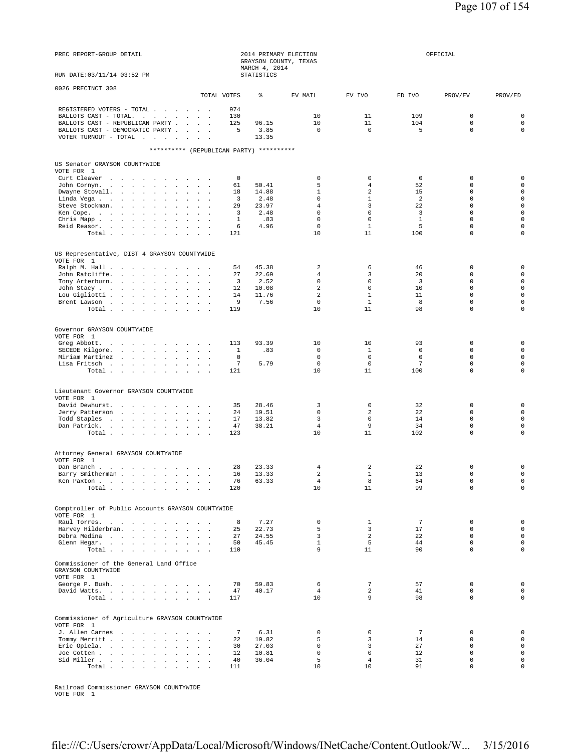| PREC REPORT-GROUP DETAIL<br>RUN DATE: 03/11/14 03:52 PM                                                                                                    |                               | MARCH 4, 2014<br>STATISTICS | 2014 PRIMARY ELECTION<br>GRAYSON COUNTY, TEXAS |                             |                      | OFFICIAL                        |                                 |
|------------------------------------------------------------------------------------------------------------------------------------------------------------|-------------------------------|-----------------------------|------------------------------------------------|-----------------------------|----------------------|---------------------------------|---------------------------------|
|                                                                                                                                                            |                               |                             |                                                |                             |                      |                                 |                                 |
| 0026 PRECINCT 308<br>TOTAL VOTES                                                                                                                           |                               | ⊱                           | EV MAIL                                        | EV IVO                      | ED IVO               | PROV/EV                         | PROV/ED                         |
| REGISTERED VOTERS - TOTAL<br>BALLOTS CAST - TOTAL.<br>BALLOTS CAST - REPUBLICAN PARTY<br>BALLOTS CAST - DEMOCRATIC PARTY<br>VOTER TURNOUT - TOTAL $\ldots$ | 974<br>130<br>125<br>5        | 96.15<br>3.85<br>13.35      | 10<br>10<br>$\mathbf 0$                        | 11<br>11<br>$\mathbf 0$     | 109<br>104<br>5      | $\mathbf 0$<br>0<br>$\mathbf 0$ | 0<br>$\mathbf 0$<br>$\mathbf 0$ |
| ********** (REPUBLICAN PARTY) **********                                                                                                                   |                               |                             |                                                |                             |                      |                                 |                                 |
| US Senator GRAYSON COUNTYWIDE                                                                                                                              |                               |                             |                                                |                             |                      |                                 |                                 |
| VOTE FOR 1<br>Curt Cleaver                                                                                                                                 | 0                             |                             | $\mathbf 0$                                    | $\mathbf 0$                 | $\mathbf 0$          | $\mathbf 0$                     | $\mathbf 0$                     |
| John Cornyn                                                                                                                                                | 61                            | 50.41                       | 5                                              | 4                           | 52                   | $\mathbf 0$                     | $\mathbf 0$                     |
| Dwayne Stovall.<br>$\mathbf{z} = \mathbf{z} + \mathbf{z}$ . The $\mathbf{z}$<br>Linda Vega                                                                 | 18<br>$\overline{\mathbf{3}}$ | 14.88<br>2.48               | $\mathbf{1}$<br>$\mathbf 0$                    | 2<br>$\mathbf{1}$           | 15<br>2              | $\mathbf 0$<br>$\mathbf 0$      | $\mathbf 0$<br>$\mathbf 0$      |
| Steve Stockman.<br>$\sim$<br>$\mathbf{1}$ and $\mathbf{1}$ and $\mathbf{1}$                                                                                | 29                            | 23.97                       | $\overline{4}$                                 | 3                           | 22                   | 0                               | $\mathbf 0$                     |
| Ken Cope.                                                                                                                                                  | 3                             | 2.48                        | $\mathbf 0$                                    | $\mathbf 0$                 | $\overline{3}$       | $\mathbf 0$                     | $\mathbf 0$                     |
| Chris Mapp<br>$\sim$ $\sim$<br>$\sim$<br>Reid Reasor.                                                                                                      | 1<br>6                        | .83<br>4.96                 | $\mathsf 0$<br>$\mathbf 0$                     | $\mathsf 0$<br>$\mathbf{1}$ | $\mathbf{1}$<br>5    | $\mathbf 0$<br>$\mathbf 0$      | $\mathbf 0$<br>$\mathbf 0$      |
| Total                                                                                                                                                      | 121                           |                             | 10                                             | 11                          | 100                  | $\mathbf 0$                     | $\mathbf 0$                     |
|                                                                                                                                                            |                               |                             |                                                |                             |                      |                                 |                                 |
| US Representative, DIST 4 GRAYSON COUNTYWIDE<br>VOTE FOR 1                                                                                                 |                               |                             |                                                |                             |                      |                                 |                                 |
| Ralph M. Hall                                                                                                                                              | 54                            | 45.38                       | $\overline{a}$                                 | 6                           | 46                   | 0                               | 0                               |
| John Ratcliffe.<br>Tony Arterburn.                                                                                                                         | 27<br>3                       | 22.69<br>2.52               | $\overline{4}$<br>$\mathbf 0$                  | 3<br>$\mathbf 0$            | 20<br>3              | $\Omega$<br>$\mathbf 0$         | $\mathbf 0$<br>$\mathbf 0$      |
| John Stacy                                                                                                                                                 | 12                            | 10.08                       | 2                                              | 0                           | 10                   | 0                               | $\mathbf 0$                     |
| Lou Gigliotti                                                                                                                                              | 14                            | 11.76                       | $\overline{a}$                                 | $\mathbf{1}$                | 11                   | $\mathbf 0$                     | $\mathbf 0$                     |
| Brent Lawson<br>$\sim$ $\sim$<br>Total                                                                                                                     | 9<br>119                      | 7.56                        | $\mathbf 0$<br>10                              | $\mathbf{1}$<br>11          | 8<br>98              | $\mathbf 0$<br>$\Omega$         | $\mathbf 0$<br>$\mathbf 0$      |
|                                                                                                                                                            |                               |                             |                                                |                             |                      |                                 |                                 |
| Governor GRAYSON COUNTYWIDE                                                                                                                                |                               |                             |                                                |                             |                      |                                 |                                 |
| VOTE FOR 1                                                                                                                                                 |                               |                             |                                                |                             |                      |                                 |                                 |
| Greg Abbott.<br>SECEDE Kilgore.                                                                                                                            | 113<br>$\mathbf{1}$           | 93.39<br>.83                | 10<br>$\mathbb O$                              | 10<br>1                     | 93<br>0              | 0<br>$\mathbf 0$                | $\mathbf 0$<br>$\mathbf 0$      |
| Miriam Martinez<br>$\sim$ $\sim$ $\sim$                                                                                                                    | 0                             |                             | $\mathbf 0$                                    | $\mathbf 0$                 | $\mathbf 0$          | $\mathbf 0$                     | $\mathbf 0$                     |
| Lisa Fritsch                                                                                                                                               | $7\phantom{.0}$               | 5.79                        | $\mathbf 0$                                    | $\mathbf 0$                 | 7                    | $\mathbf 0$                     | $\mathbf 0$                     |
| Total                                                                                                                                                      | 121                           |                             | 10                                             | 11                          | 100                  | $\mathbf 0$                     | $\mathbf 0$                     |
| Lieutenant Governor GRAYSON COUNTYWIDE                                                                                                                     |                               |                             |                                                |                             |                      |                                 |                                 |
| VOTE FOR 1                                                                                                                                                 |                               |                             |                                                |                             |                      |                                 |                                 |
| David Dewhurst.<br>Jerry Patterson                                                                                                                         | 35<br>24                      | 28.46<br>19.51              | 3<br>$\mathbf 0$                               | $\mathbf 0$<br>2            | 32<br>22             | $\mathbf 0$<br>0                | $\mathbf 0$<br>$\mathbf 0$      |
| Todd Staples                                                                                                                                               | 17                            | 13.82                       | 3                                              | $\mathbf 0$                 | 14                   | $\mathbf 0$                     | $\mathbf 0$                     |
| Dan Patrick.                                                                                                                                               | 47                            | 38.21                       | $\overline{4}$                                 | 9                           | 34                   | 0                               | $\mathbf 0$                     |
| Total                                                                                                                                                      | 123                           |                             | 10                                             | 11                          | 102                  | 0                               | $\mathbf 0$                     |
| Attorney General GRAYSON COUNTYWIDE                                                                                                                        |                               |                             |                                                |                             |                      |                                 |                                 |
| VOTE FOR 1                                                                                                                                                 |                               |                             |                                                |                             |                      |                                 |                                 |
| Dan Branch.<br>Barry Smitherman                                                                                                                            | 28<br>16 13.33                | 23.33                       | 4<br>2                                         | 2<br>1                      | 22<br>13             | 0<br>$\Omega$                   | $\mathbf 0$<br>$\mathbf 0$      |
| Ken Paxton                                                                                                                                                 | 76                            | 63.33                       | $\overline{4}$                                 | 8                           | 64                   | 0                               | 0                               |
| Total $\cdots$ $\cdots$<br>$\sim$ $\sim$                                                                                                                   | 120                           |                             | 10                                             | 11                          | 99                   | $\mathbf 0$                     | $\mathbf 0$                     |
| Comptroller of Public Accounts GRAYSON COUNTYWIDE                                                                                                          |                               |                             |                                                |                             |                      |                                 |                                 |
| VOTE FOR 1                                                                                                                                                 |                               |                             |                                                |                             |                      |                                 |                                 |
| Raul Torres.<br>$\sim$                                                                                                                                     | 8                             | 7.27                        | $\mathbf 0$                                    | 1                           | $7\phantom{.0}$      | $\mathbf 0$                     | $\mathbf 0$                     |
| Harvey Hilderbran.<br>Debra Medina<br>$\ddot{\phantom{a}}$<br>$\overline{a}$                                                                               | 25<br>27                      | 22.73<br>24.55              | 5<br>$\overline{3}$                            | 3<br>2                      | 17<br>22             | $\mathbf 0$<br>$\mathbf 0$      | $\mathbf 0$<br>$\mathbf 0$      |
| Glenn Hegar.                                                                                                                                               | 50                            | 45.45                       | $\mathbf{1}$                                   | 5                           | 44                   | $\mathbf 0$                     | $\mathbf 0$                     |
| Total                                                                                                                                                      | 110                           |                             | 9                                              | 11                          | 90                   | $\mathbf 0$                     | $\mathbf 0$                     |
| Commissioner of the General Land Office<br>GRAYSON COUNTYWIDE                                                                                              |                               |                             |                                                |                             |                      |                                 |                                 |
| VOTE FOR 1<br>George P. Bush.<br>$\sim$                                                                                                                    | 70                            | 59.83                       | 6                                              | $7\phantom{.0}$             | 57                   | $\mathsf 0$                     | $\mathbf 0$                     |
| David Watts.                                                                                                                                               | 47                            | 40.17                       | $\overline{4}$                                 | 2                           | 41                   | 0                               | 0                               |
| Total<br>$\mathcal{L}^{\pm}$<br>$\sim$ $\sim$                                                                                                              | 117                           |                             | 10                                             | 9                           | 98                   | $\mathbf 0$                     | $\mathbf 0$                     |
| Commissioner of Agriculture GRAYSON COUNTYWIDE<br>VOTE FOR 1                                                                                               |                               |                             |                                                |                             |                      |                                 |                                 |
| J. Allen Carnes<br>Tommy Merritt<br>$\ddot{\phantom{a}}$<br>$\sim$<br>$\sim$                                                                               | $\overline{7}$<br>22          | 6.31<br>19.82               | $\mathbf 0$<br>5                               | $\mathbf 0$<br>3            | $\overline{7}$<br>14 | 0<br>$\Omega$                   | $\mathbf 0$<br>$\mathbf 0$      |
| Eric Opiela.                                                                                                                                               | 30                            | 27.03                       | $\mathbf 0$                                    | 3                           | 27                   | $\mathbf 0$                     | $\mathbf 0$                     |
| Joe Cotten<br>$\sim$<br>$\overline{a}$                                                                                                                     | $12 \,$                       | 10.81                       | $\mathbf 0$                                    | $\mathbf 0$                 | 12                   | $\mathbf 0$                     | $\mathbf 0$<br>$\mathbf 0$      |
| Sid Miller<br>$\sim$<br>$\overline{a}$<br>Total                                                                                                            | 40<br>111                     | 36.04                       | 5<br>10                                        | $\overline{4}$<br>10        | 31<br>91             | $\mathbf 0$<br>0                | $\mathbf 0$                     |

Railroad Commissioner GRAYSON COUNTYWIDE VOTE FOR 1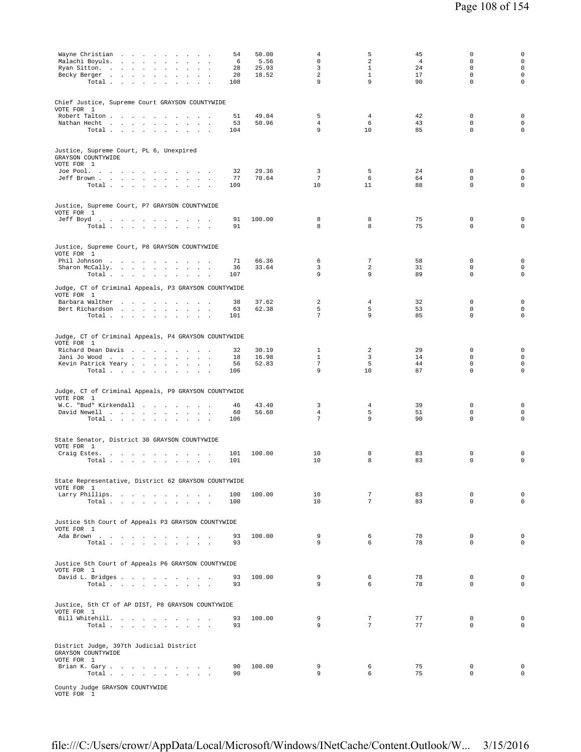| Wayne Christian<br>and the contract of the contract of the contract of the contract of the contract of the contract of the contract of the contract of the contract of the contract of the contract of the contract of the contract of the contra<br>Malachi Boyuls.<br>$\sim 10^{-1}$<br><b>Carl Carl Carl</b><br>$\sim$<br>$\mathcal{L}^{\mathcal{L}}$<br>$\ddot{\phantom{a}}$ | 54<br>6    | 50.00<br>5.56  | $\overline{4}$<br>$\mathsf 0$    | 5<br>$\overline{a}$ | 45<br>4  | $\mathbf 0$<br>0           | $\mathsf{O}\xspace$<br>$\mathsf{O}\xspace$ |
|----------------------------------------------------------------------------------------------------------------------------------------------------------------------------------------------------------------------------------------------------------------------------------------------------------------------------------------------------------------------------------|------------|----------------|----------------------------------|---------------------|----------|----------------------------|--------------------------------------------|
| Ryan Sitton.<br><b>All Carried Carry</b>                                                                                                                                                                                                                                                                                                                                         | 28         | 25.93          | 3                                | $\mathbf{1}$        | 24       | $\mathbf 0$                | $\mathsf{O}\xspace$                        |
| Becky Berger<br>$\sim$<br>$\cdot$<br>$\sim$<br>Total<br>$\cdot$<br>$\cdot$                                                                                                                                                                                                                                                                                                       | 20<br>108  | 18.52          | 2<br>9                           | $\mathbf{1}$<br>9   | 17<br>90 | $\mathbf 0$<br>$\mathbf 0$ | $\mathsf{O}\xspace$<br>0                   |
|                                                                                                                                                                                                                                                                                                                                                                                  |            |                |                                  |                     |          |                            |                                            |
| Chief Justice, Supreme Court GRAYSON COUNTYWIDE<br>VOTE FOR 1                                                                                                                                                                                                                                                                                                                    |            |                |                                  |                     |          |                            |                                            |
| Robert Talton<br>Nathan Hecht<br>$\sim$                                                                                                                                                                                                                                                                                                                                          | 51<br>53   | 49.04<br>50.96 | 5<br>$\overline{4}$              | $\overline{4}$<br>6 | 42<br>43 | $\mathbf 0$<br>$\mathbf 0$ | $\mathsf 0$<br>$\mathbf 0$                 |
| $\sim$<br>$\sim$<br>Total $\cdots$ $\cdots$<br>$\sim$ $\sim$<br><b>Contract Contract</b>                                                                                                                                                                                                                                                                                         | 104        |                | 9                                | 10                  | 85       | $\mathbf 0$                | $\mathbf 0$                                |
| Justice, Supreme Court, PL 6, Unexpired                                                                                                                                                                                                                                                                                                                                          |            |                |                                  |                     |          |                            |                                            |
| GRAYSON COUNTYWIDE<br>VOTE FOR 1                                                                                                                                                                                                                                                                                                                                                 |            |                |                                  |                     |          |                            |                                            |
| Joe Pool.<br>Jeff Brown<br>$\sim$                                                                                                                                                                                                                                                                                                                                                | 32<br>77   | 29.36<br>70.64 | 3<br>$7\phantom{.0}$             | 5<br>6              | 24<br>64 | 0<br>$\mathbf 0$           | $\mathbf 0$<br>$\mathbf 0$                 |
| Total                                                                                                                                                                                                                                                                                                                                                                            | 109        |                | 10                               | 11                  | 88       | $\mathbf 0$                | $\mathsf 0$                                |
| Justice, Supreme Court, P7 GRAYSON COUNTYWIDE                                                                                                                                                                                                                                                                                                                                    |            |                |                                  |                     |          |                            |                                            |
| VOTE FOR 1<br>Jeff Boyd.                                                                                                                                                                                                                                                                                                                                                         | 91         | 100.00         | 8                                | 8                   | 75       | 0                          | $\mathbf 0$                                |
| Total                                                                                                                                                                                                                                                                                                                                                                            | 91         |                | 8                                | 8                   | 75       | $\mathbf 0$                | $\mathbf 0$                                |
| Justice, Supreme Court, P8 GRAYSON COUNTYWIDE                                                                                                                                                                                                                                                                                                                                    |            |                |                                  |                     |          |                            |                                            |
| VOTE FOR 1<br>Phil Johnson                                                                                                                                                                                                                                                                                                                                                       | 71         | 66.36          | 6                                | $\overline{7}$      | 58       | $\mathbf 0$                | $\mathsf 0$                                |
| Sharon McCally.                                                                                                                                                                                                                                                                                                                                                                  | 36         | 33.64          | 3                                | 2                   | 31       | 0                          | $\mathsf{O}\xspace$                        |
| Total $\cdots$ $\cdots$ $\cdots$<br>$\sim$ $\sim$                                                                                                                                                                                                                                                                                                                                | 107        |                | 9                                | 9                   | 89       | $\mathsf 0$                | $\mathsf 0$                                |
| Judge, CT of Criminal Appeals, P3 GRAYSON COUNTYWIDE<br>VOTE FOR 1                                                                                                                                                                                                                                                                                                               |            |                |                                  |                     |          |                            |                                            |
| Barbara Walther<br>Bert Richardson                                                                                                                                                                                                                                                                                                                                               | 38<br>63   | 37.62<br>62.38 | 2<br>5                           | 4<br>5              | 32<br>53 | 0<br>0                     | $\mathsf 0$<br>$\mathsf{O}\xspace$         |
| Total                                                                                                                                                                                                                                                                                                                                                                            | 101        |                | 7                                | 9                   | 85       | $\mathbf 0$                | $\mathsf 0$                                |
| Judge, CT of Criminal Appeals, P4 GRAYSON COUNTYWIDE                                                                                                                                                                                                                                                                                                                             |            |                |                                  |                     |          |                            |                                            |
| VOTE FOR 1<br>Richard Dean Davis                                                                                                                                                                                                                                                                                                                                                 | 32         | 30.19          | 1                                | 2                   | 29       | $\mathbf 0$                | $\mathsf 0$                                |
| Jani Jo Wood<br>$\sim$ $\sim$<br>$\sim 10^{-1}$                                                                                                                                                                                                                                                                                                                                  | 18         | 16.98          | $\mathbf{1}$                     | 3                   | 14       | $\mathbf 0$                | $\mathbf 0$                                |
| Kevin Patrick Yeary<br>Total                                                                                                                                                                                                                                                                                                                                                     | 56<br>106  | 52.83          | $\overline{7}$<br>9              | 5<br>10             | 44<br>87 | $\mathbf 0$<br>$\mathbf 0$ | $\mathsf{O}\xspace$<br>$\mathbf 0$         |
|                                                                                                                                                                                                                                                                                                                                                                                  |            |                |                                  |                     |          |                            |                                            |
| Judge, CT of Criminal Appeals, P9 GRAYSON COUNTYWIDE<br>VOTE FOR 1                                                                                                                                                                                                                                                                                                               |            |                |                                  |                     |          |                            |                                            |
| W.C. "Bud" Kirkendall                                                                                                                                                                                                                                                                                                                                                            | 46         | 43.40          | 3                                | $\overline{4}$      | 39       | $\mathbf 0$                | $\mathbf 0$                                |
| David Newell<br>Total                                                                                                                                                                                                                                                                                                                                                            | 60<br>106  | 56.60          | $\overline{4}$<br>$\overline{7}$ | 5<br>9              | 51<br>90 | $\mathbf 0$<br>$\mathbf 0$ | $\mathbf 0$<br>$\mathbf 0$                 |
|                                                                                                                                                                                                                                                                                                                                                                                  |            |                |                                  |                     |          |                            |                                            |
| State Senator, District 30 GRAYSON COUNTYWIDE<br>VOTE FOR 1                                                                                                                                                                                                                                                                                                                      |            |                |                                  |                     |          |                            |                                            |
| Craig Estes.<br>Total $\cdots$ $\cdots$ $\cdots$                                                                                                                                                                                                                                                                                                                                 | 101<br>101 | 100.00         | 10<br>10                         | 8<br>8              | 83<br>83 | $\mathbf 0$<br>0           | $\mathsf 0$<br>$\mathsf 0$                 |
|                                                                                                                                                                                                                                                                                                                                                                                  |            |                |                                  |                     |          |                            |                                            |
| State Representative, District 62 GRAYSON COUNTYWIDE<br>VOTE FOR 1                                                                                                                                                                                                                                                                                                               |            |                |                                  |                     |          |                            |                                            |
| Larry Phillips.<br>Total                                                                                                                                                                                                                                                                                                                                                         | 100<br>100 | 100.00         | 10<br>10                         | 7<br>$\overline{7}$ | 83<br>83 | $\mathbf 0$<br>$\Omega$    | $\mathbf 0$<br>$\mathbf 0$                 |
|                                                                                                                                                                                                                                                                                                                                                                                  |            |                |                                  |                     |          |                            |                                            |
| Justice 5th Court of Appeals P3 GRAYSON COUNTYWIDE<br>VOTE FOR 1                                                                                                                                                                                                                                                                                                                 |            |                |                                  |                     |          |                            |                                            |
| Ada Brown                                                                                                                                                                                                                                                                                                                                                                        | 93         | 100.00         | 9<br>9                           | 6<br>6              | 78<br>78 | 0<br>$\mathbf 0$           | $\mathbf 0$<br>$\mathbf 0$                 |
| Total                                                                                                                                                                                                                                                                                                                                                                            | 93         |                |                                  |                     |          |                            |                                            |
| Justice 5th Court of Appeals P6 GRAYSON COUNTYWIDE<br>VOTE FOR 1                                                                                                                                                                                                                                                                                                                 |            |                |                                  |                     |          |                            |                                            |
| David L. Bridges                                                                                                                                                                                                                                                                                                                                                                 | 93         | 100.00         | 9                                | 6                   | 78       | $\mathbf 0$                | $\mathbf 0$                                |
| Total.                                                                                                                                                                                                                                                                                                                                                                           | 93         |                | 9                                | 6                   | 78       | $\mathbf 0$                | $\mathbf 0$                                |
| Justice, 5th CT of AP DIST, P8 GRAYSON COUNTYWIDE                                                                                                                                                                                                                                                                                                                                |            |                |                                  |                     |          |                            |                                            |
| VOTE FOR 1<br>Bill Whitehill.                                                                                                                                                                                                                                                                                                                                                    | 93         | 100.00         | 9                                | $7\phantom{.0}$     | 77       | $\mathbf 0$                | $\mathbf 0$                                |
| Total                                                                                                                                                                                                                                                                                                                                                                            | 93         |                | 9                                | $\overline{7}$      | 77       | $\mathbf 0$                | $\mathbf 0$                                |
| District Judge, 397th Judicial District                                                                                                                                                                                                                                                                                                                                          |            |                |                                  |                     |          |                            |                                            |
| GRAYSON COUNTYWIDE<br>VOTE FOR 1                                                                                                                                                                                                                                                                                                                                                 |            |                |                                  |                     |          |                            |                                            |
| Brian K. Gary<br>Total.<br>the contract of the contract of the                                                                                                                                                                                                                                                                                                                   | 90<br>90   | 100.00         | 9<br>9                           | 6<br>6              | 75<br>75 | $\mathbf 0$<br>$\mathbf 0$ | $\mathbf 0$<br>$\mathsf 0$                 |

County Judge GRAYSON COUNTYWIDE VOTE FOR 1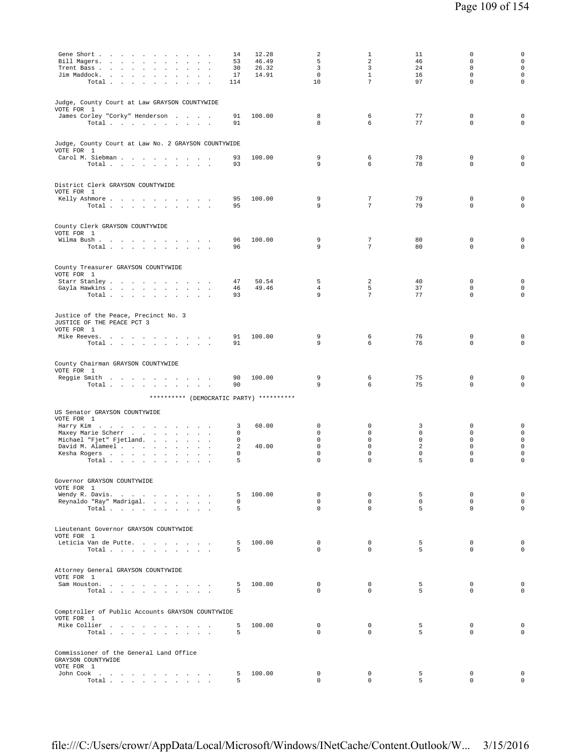| Gene Short<br>Bill Magers.<br>$\overline{\phantom{a}}$<br>Trent Bass<br>$\ddot{\phantom{a}}$<br>$\mathbf{r}$<br>Jim Maddock.<br>$\sim$<br>Total<br>$\sim$ | 14<br>53<br>30<br>17<br>114 | 12.28<br>46.49<br>26.32<br>14.91 | 2<br>5<br>3<br>$\mathbf 0$<br>10 | $\mathbf{1}$<br>2<br>3<br>$\mathbf{1}$<br>$7\phantom{.0}$ | 11<br>46<br>24<br>16<br>97 | $\mathbf 0$<br>$\mathbf 0$<br>$\mathbf 0$<br>$\mathbf 0$<br>$\mathbf 0$ | 0<br>$\mathbf 0$<br>$\mathbf 0$<br>$\mathbf 0$<br>$\mathsf 0$ |
|-----------------------------------------------------------------------------------------------------------------------------------------------------------|-----------------------------|----------------------------------|----------------------------------|-----------------------------------------------------------|----------------------------|-------------------------------------------------------------------------|---------------------------------------------------------------|
| Judge, County Court at Law GRAYSON COUNTYWIDE<br>VOTE FOR 1<br>James Corley "Corky" Henderson<br>Total                                                    | 91<br>91                    | 100.00                           | 8<br>8                           | 6<br>6                                                    | 77<br>77                   | $\mathbb O$<br>$\mathbf 0$                                              | 0<br>0                                                        |
| Judge, County Court at Law No. 2 GRAYSON COUNTYWIDE<br>VOTE FOR 1<br>Carol M. Siebman                                                                     | 93                          | 100.00                           | 9                                | 6                                                         | 78                         | 0                                                                       | $\mathbf 0$                                                   |
| Total                                                                                                                                                     | 93                          |                                  | 9                                | 6                                                         | 78                         | $\mathbf 0$                                                             | $\mathbf 0$                                                   |
| District Clerk GRAYSON COUNTYWIDE<br>VOTE FOR 1                                                                                                           |                             |                                  |                                  |                                                           |                            |                                                                         |                                                               |
| Kelly Ashmore<br>Total $\cdots$ $\cdots$ $\cdots$                                                                                                         | 95<br>95                    | 100.00                           | 9<br>9                           | 7<br>7                                                    | 79<br>79                   | $\mathbb O$<br>$\mathbf 0$                                              | 0<br>0                                                        |
| County Clerk GRAYSON COUNTYWIDE<br>VOTE FOR 1                                                                                                             |                             |                                  |                                  |                                                           |                            |                                                                         |                                                               |
| Wilma Bush<br>Total                                                                                                                                       | 96<br>96                    | 100.00                           | 9<br>9                           | 7<br>$\overline{7}$                                       | 80<br>80                   | 0<br>$\mathbf 0$                                                        | 0<br>$\mathbf 0$                                              |
| County Treasurer GRAYSON COUNTYWIDE<br>VOTE FOR 1                                                                                                         |                             |                                  |                                  |                                                           |                            |                                                                         |                                                               |
| Starr Stanley<br>Gayla Hawkins                                                                                                                            | 47<br>46                    | 50.54<br>49.46                   | 5<br>$\overline{4}$              | 2<br>5                                                    | 40<br>37                   | $\mathbf 0$<br>$\mathbf 0$                                              | 0<br>$\mathbf 0$                                              |
| Total                                                                                                                                                     | 93                          |                                  | 9                                | $7\overline{ }$                                           | 77                         | $\mathbf 0$                                                             | $\mathbf 0$                                                   |
| Justice of the Peace, Precinct No. 3<br>JUSTICE OF THE PEACE PCT 3<br>VOTE FOR 1                                                                          |                             |                                  |                                  |                                                           |                            |                                                                         |                                                               |
| Mike Reeves.<br>Total<br>and the control of                                                                                                               | 91<br>91                    | 100.00                           | 9<br>9                           | 6<br>6                                                    | 76<br>76                   | $\mathbb O$<br>$\mathbf 0$                                              | $\mathsf 0$<br>$\mathbf 0$                                    |
| County Chairman GRAYSON COUNTYWIDE<br>VOTE FOR 1                                                                                                          |                             |                                  |                                  |                                                           |                            |                                                                         |                                                               |
| Reggie Smith<br>Total                                                                                                                                     | 90<br>90                    | 100.00                           | 9<br>9                           | 6<br>6                                                    | 75<br>75                   | $\mathbb O$<br>$\mathbf 0$                                              | 0<br>$\Omega$                                                 |
| ********** (DEMOCRATIC PARTY) **********                                                                                                                  |                             |                                  |                                  |                                                           |                            |                                                                         |                                                               |
| US Senator GRAYSON COUNTYWIDE<br>VOTE FOR 1                                                                                                               |                             |                                  |                                  |                                                           |                            |                                                                         |                                                               |
| Harry Kim<br>Maxey Marie Scherr                                                                                                                           | 3<br>0                      | 60.00                            | $\mathbf 0$<br>$\mathbf 0$       | $\mathbf 0$<br>$\mathbf 0$                                | 3<br>$\mathbf 0$           | $\mathbb O$<br>$\mathbf 0$                                              | 0<br>$\mathbf 0$                                              |
| Michael "Fjet" Fjetland.                                                                                                                                  | 0                           |                                  | $\mathbf 0$                      | $\mathbf 0$                                               | $\mathbf 0$                | $\mathbf 0$                                                             | $\mathsf 0$                                                   |
| David M. Alameel<br>Kesha Rogers                                                                                                                          | 2<br>0                      | 40.00                            | $\mathbf 0$<br>0                 | $\mathsf 0$<br>$\mathsf 0$                                | 2<br>$\mathbf 0$           | $\mathbb O$<br>$\mathbb O$                                              | $\mathbf 0$<br>0                                              |
| Total                                                                                                                                                     | 5                           |                                  | $\mathbf 0$                      | $\mathbf 0$                                               | 5                          | $\mathbf 0$                                                             | $\mathbf 0$                                                   |
| Governor GRAYSON COUNTYWIDE<br>VOTE FOR 1                                                                                                                 |                             |                                  |                                  |                                                           |                            |                                                                         |                                                               |
| Wendy R. Davis.                                                                                                                                           | 5                           | 100.00                           | $\mathbf 0$                      | 0                                                         | 5                          | $\mathbb O$                                                             | $\mathsf{O}\xspace$                                           |
| Reynaldo "Ray" Madrigal.<br>Total                                                                                                                         | $\mathbf 0$<br>5            |                                  | $\Omega$<br>$\mathbf 0$          | $\Omega$<br>$\Omega$                                      | $\Omega$<br>5              | $\Omega$<br>$\Omega$                                                    | $\mathbf 0$<br>$\circ$                                        |
| Lieutenant Governor GRAYSON COUNTYWIDE                                                                                                                    |                             |                                  |                                  |                                                           |                            |                                                                         |                                                               |
| VOTE FOR 1<br>Leticia Van de Putte.<br>Total                                                                                                              | 5<br>5                      | 100.00                           | $\mathbf 0$<br>$\Omega$          | $\mathbf 0$<br>$\Omega$                                   | 5<br>5                     | $\mathbb O$<br>$\Omega$                                                 | $\mathbf 0$<br>$\mathbf 0$                                    |
|                                                                                                                                                           |                             |                                  |                                  |                                                           |                            |                                                                         |                                                               |
| Attorney General GRAYSON COUNTYWIDE<br>VOTE FOR 1                                                                                                         |                             |                                  |                                  |                                                           |                            |                                                                         |                                                               |
| Sam Houston.<br>Total<br>$\sim$ $\sim$                                                                                                                    | 5<br>5                      | 100.00                           | $\mathbf 0$<br>$\Omega$          | $\circ$<br>$\Omega$                                       | 5<br>5                     | $\mathbf 0$<br>$\Omega$                                                 | $\mathbf 0$<br>$\mathbf 0$                                    |
| Comptroller of Public Accounts GRAYSON COUNTYWIDE<br>VOTE FOR 1                                                                                           |                             |                                  |                                  |                                                           |                            |                                                                         |                                                               |
| Mike Collier<br>Total                                                                                                                                     | 5<br>5                      | 100.00                           | $\mathbf 0$<br>$\Omega$          | 0<br>$\Omega$                                             | 5<br>5                     | $\mathbf 0$<br>$\Omega$                                                 | $\mathbf 0$<br>$\Omega$                                       |
| Commissioner of the General Land Office<br>GRAYSON COUNTYWIDE<br>VOTE FOR 1                                                                               |                             |                                  |                                  |                                                           |                            |                                                                         |                                                               |
| John Cook<br>$\sim$                                                                                                                                       | 5<br>5                      | 100.00                           | $\mathbf 0$<br>$\mathbf 0$       | $\mathbf 0$<br>$\circ$                                    | 5<br>5                     | $\mathbf 0$<br>$\mathbf 0$                                              | $\mathbf 0$<br>$\mathbf 0$                                    |
| Total $\cdots$ $\cdots$ $\cdots$                                                                                                                          |                             |                                  |                                  |                                                           |                            |                                                                         |                                                               |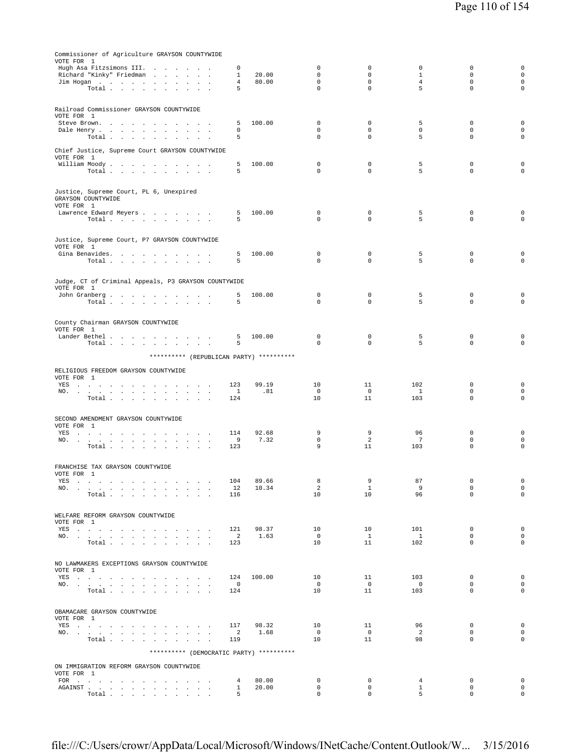| Commissioner of Agriculture GRAYSON COUNTYWIDE                                                                                                                                                                                                                |                                   |               |                            |                            |                       |                            |                                    |
|---------------------------------------------------------------------------------------------------------------------------------------------------------------------------------------------------------------------------------------------------------------|-----------------------------------|---------------|----------------------------|----------------------------|-----------------------|----------------------------|------------------------------------|
| VOTE FOR 1                                                                                                                                                                                                                                                    |                                   |               | $\mathbf 0$                | $\mathbf 0$                | $\mathbf 0$           | $\mathbf 0$                | $\mathbf 0$                        |
| Hugh Asa Fitzsimons III.<br>the company of the company of<br>Richard "Kinky" Friedman                                                                                                                                                                         | $\Omega$<br>1                     | 20.00         | $\mathbf 0$                | 0                          | 1                     | $\mathbf 0$                | $\mathbf 0$                        |
| Jim Hogan                                                                                                                                                                                                                                                     | 4                                 | 80.00         | $\mathbf 0$                | $\mathbf 0$                | 4                     | $\mathbf 0$                | $\mathbf 0$                        |
| Total                                                                                                                                                                                                                                                         | 5                                 |               | $\mathbf{0}$               | $\mathbf{0}$               | 5                     | $\mathbf 0$                | $\mathbf 0$                        |
|                                                                                                                                                                                                                                                               |                                   |               |                            |                            |                       |                            |                                    |
| Railroad Commissioner GRAYSON COUNTYWIDE<br>VOTE FOR 1                                                                                                                                                                                                        |                                   |               |                            |                            |                       |                            |                                    |
| Steve Brown.                                                                                                                                                                                                                                                  | 5                                 | 100.00        | 0                          | 0                          | 5                     | $\mathbf 0$                | $\mathbf 0$                        |
| Dale Henry<br>$\sim$<br>$\mathbf{r}$<br>$\overline{\phantom{a}}$<br>Total $\cdots$ $\cdots$ $\cdots$ $\cdots$                                                                                                                                                 | 0<br>5                            |               | $\mathbf 0$<br>$\Omega$    | $\mathbf 0$<br>$\Omega$    | $\mathbf 0$<br>5      | $\mathbf 0$<br>$\mathbf 0$ | $\mathbf 0$<br>$\mathbf 0$         |
|                                                                                                                                                                                                                                                               |                                   |               |                            |                            |                       |                            |                                    |
| Chief Justice, Supreme Court GRAYSON COUNTYWIDE                                                                                                                                                                                                               |                                   |               |                            |                            |                       |                            |                                    |
| VOTE FOR 1<br>William Moody                                                                                                                                                                                                                                   | 5                                 | 100.00        | $^{\circ}$                 | $\mathsf 0$                | 5                     | $\mathbf 0$                | 0                                  |
| Total                                                                                                                                                                                                                                                         | 5                                 |               | $\mathbf 0$                | $\mathbf 0$                | 5                     | $\mathbf 0$                | 0                                  |
|                                                                                                                                                                                                                                                               |                                   |               |                            |                            |                       |                            |                                    |
| Justice, Supreme Court, PL 6, Unexpired                                                                                                                                                                                                                       |                                   |               |                            |                            |                       |                            |                                    |
| GRAYSON COUNTYWIDE<br>VOTE FOR 1                                                                                                                                                                                                                              |                                   |               |                            |                            |                       |                            |                                    |
| Lawrence Edward Meyers                                                                                                                                                                                                                                        | 5                                 | 100.00        | $\mathbf 0$                | $\mathbf 0$                | 5                     | $\mathbf 0$                | 0                                  |
| Total $\cdots$ $\cdots$ $\cdots$                                                                                                                                                                                                                              | 5                                 |               | $\Omega$                   | $\circ$                    | 5                     | $\mathbf 0$                | $\mathbf 0$                        |
|                                                                                                                                                                                                                                                               |                                   |               |                            |                            |                       |                            |                                    |
| Justice, Supreme Court, P7 GRAYSON COUNTYWIDE                                                                                                                                                                                                                 |                                   |               |                            |                            |                       |                            |                                    |
| VOTE FOR 1<br>Gina Benavides.                                                                                                                                                                                                                                 | 5                                 | 100.00        | 0                          | 0                          | 5                     | 0                          | 0                                  |
| Total                                                                                                                                                                                                                                                         | 5                                 |               | $\mathbf 0$                | $\Omega$                   | 5                     | $\mathbf 0$                | $\mathbf 0$                        |
|                                                                                                                                                                                                                                                               |                                   |               |                            |                            |                       |                            |                                    |
| Judge, CT of Criminal Appeals, P3 GRAYSON COUNTYWIDE                                                                                                                                                                                                          |                                   |               |                            |                            |                       |                            |                                    |
| VOTE FOR 1                                                                                                                                                                                                                                                    |                                   | 100.00        | 0                          | 0                          | 5                     | 0                          | 0                                  |
| John Granberg<br>Total                                                                                                                                                                                                                                        | 5<br>5                            |               | $\Omega$                   | $\Omega$                   | 5                     | $\Omega$                   | 0                                  |
|                                                                                                                                                                                                                                                               |                                   |               |                            |                            |                       |                            |                                    |
| County Chairman GRAYSON COUNTYWIDE                                                                                                                                                                                                                            |                                   |               |                            |                            |                       |                            |                                    |
| VOTE FOR 1                                                                                                                                                                                                                                                    |                                   |               |                            |                            |                       |                            |                                    |
| Lander Bethel<br>Total                                                                                                                                                                                                                                        | 5<br>5                            | 100.00        | $\mathbf 0$<br>$\mathbf 0$ | $\mathbf 0$<br>$\mathbf 0$ | 5<br>5                | $\mathbf 0$<br>$\mathbf 0$ | 0<br>$\mathbf 0$                   |
|                                                                                                                                                                                                                                                               |                                   |               |                            |                            |                       |                            |                                    |
| ********** (REPUBLICAN PARTY) **********                                                                                                                                                                                                                      |                                   |               |                            |                            |                       |                            |                                    |
| RELIGIOUS FREEDOM GRAYSON COUNTYWIDE                                                                                                                                                                                                                          |                                   |               |                            |                            |                       |                            |                                    |
| VOTE FOR 1                                                                                                                                                                                                                                                    | 123                               | 99.19         | 10                         | 11                         | 102                   | $\mathbf 0$                | $\mathsf 0$                        |
| YES<br>NO.<br>$\sim 10^{-1}$<br>$\sim 10^{-1}$ km $^{-1}$                                                                                                                                                                                                     | $\mathbf{1}$                      | .81           | $\mathbf 0$                | $\mathbf 0$                | $\mathbf{1}$          | $\mathbf 0$                | $\mathbf 0$                        |
| Total                                                                                                                                                                                                                                                         | 124                               |               | 10                         | 11                         | 103                   | $\mathbf 0$                | $\mathbf 0$                        |
|                                                                                                                                                                                                                                                               |                                   |               |                            |                            |                       |                            |                                    |
| SECOND AMENDMENT GRAYSON COUNTYWIDE                                                                                                                                                                                                                           |                                   |               |                            |                            |                       |                            |                                    |
| VOTE FOR 1<br>YES                                                                                                                                                                                                                                             | 114                               | 92.68         | 9                          | 9                          | 96                    | $\mathbf 0$                | $\mathbf 0$                        |
| NO.                                                                                                                                                                                                                                                           | 9                                 | 7.32          | $\mathbf 0$                | 2                          | $\overline{7}$        | $\mathbf 0$                | $\mathsf 0$                        |
| Total                                                                                                                                                                                                                                                         | 123                               |               | 9                          | 11                         | 103                   | $\mathbf 0$                | $\mathbf 0$                        |
|                                                                                                                                                                                                                                                               |                                   |               |                            |                            |                       |                            |                                    |
| FRANCHISE TAX GRAYSON COUNTYWIDE<br>VOTE FOR 1                                                                                                                                                                                                                |                                   |               |                            |                            |                       |                            |                                    |
| YES a contract of the contract of the state of the state of the state of the state of the state of the state of the state of the state of the state of the state of the state of the state of the state of the state of the st                                | 104                               | 89.66         | 8                          | 9                          | 87                    | $\mathbf 0$                | $\mathbf 0$                        |
| NO.                                                                                                                                                                                                                                                           | 12<br>116                         | 10.34         | $\overline{2}$<br>10       | $\mathbf{1}$<br>10         | - 9<br>96             | $\mathbf 0$<br>$\mathbf 0$ | $\mathbf 0$<br>$\mathbf{0}$        |
| Total                                                                                                                                                                                                                                                         |                                   |               |                            |                            |                       |                            |                                    |
|                                                                                                                                                                                                                                                               |                                   |               |                            |                            |                       |                            |                                    |
| WELFARE REFORM GRAYSON COUNTYWIDE<br>VOTE FOR 1                                                                                                                                                                                                               |                                   |               |                            |                            |                       |                            |                                    |
| YES a contract of the contract of the contract of the set of the set of the set of the set of the set of the set of the set of the set of the set of the set of the set of the set of the set of the set of the set of the set                                | 121                               | 98.37         | 10                         | 10                         | 101                   | $\mathbf 0$                | $\mathbf 0$                        |
| NO.<br>Total $\cdots$ $\cdots$ $\cdots$                                                                                                                                                                                                                       | $\overline{\phantom{0}}^2$<br>123 | 1.63          | $\overline{0}$<br>10       | $\mathbf{1}$<br>11         | $\overline{1}$<br>102 | 0<br>0                     | $\mathbf 0$<br>$\mathsf{O}\xspace$ |
|                                                                                                                                                                                                                                                               |                                   |               |                            |                            |                       |                            |                                    |
| NO LAWMAKERS EXCEPTIONS GRAYSON COUNTYWIDE                                                                                                                                                                                                                    |                                   |               |                            |                            |                       |                            |                                    |
| VOTE FOR 1                                                                                                                                                                                                                                                    |                                   |               |                            |                            |                       |                            |                                    |
| YES a contract of the contract of the contract of the set of the set of the set of the set of the set of the set of the set of the set of the set of the set of the set of the set of the set of the set of the set of the set                                | 124                               | 100.00        | 10                         | 11                         | 103                   | $\mathbf 0$                | $\mathsf 0$                        |
| NO.<br>Total                                                                                                                                                                                                                                                  | $\overline{\phantom{0}}$<br>124   |               | $\overline{0}$<br>10       | $\overline{0}$<br>11       | $\overline{0}$<br>103 | 0<br>$\mathbf{0}$          | $\mathbf 0$<br>$\mathsf{O}\xspace$ |
|                                                                                                                                                                                                                                                               |                                   |               |                            |                            |                       |                            |                                    |
| OBAMACARE GRAYSON COUNTYWIDE                                                                                                                                                                                                                                  |                                   |               |                            |                            |                       |                            |                                    |
| VOTE FOR 1                                                                                                                                                                                                                                                    |                                   |               |                            |                            |                       |                            |                                    |
| YES                                                                                                                                                                                                                                                           | 117                               | 98.32<br>1.68 | 10<br>$\overline{0}$       | 11<br>$\overline{0}$       | 96<br>$\overline{2}$  | 0<br>$\mathbf{0}$          | $\mathsf 0$<br>$\mathbf 0$         |
| NO.<br>Total                                                                                                                                                                                                                                                  | $\overline{\phantom{0}}^2$<br>119 |               | 10                         | 11                         | 98                    | $\mathbf{0}$               | $\mathbf 0$                        |
| ********** (DEMOCRATIC PARTY) **********                                                                                                                                                                                                                      |                                   |               |                            |                            |                       |                            |                                    |
|                                                                                                                                                                                                                                                               |                                   |               |                            |                            |                       |                            |                                    |
| ON IMMIGRATION REFORM GRAYSON COUNTYWIDE                                                                                                                                                                                                                      |                                   |               |                            |                            |                       |                            |                                    |
| VOTE FOR 1<br>FOR                                                                                                                                                                                                                                             | 4                                 | 80.00         | $\circ$                    | $\mathbf 0$                | $\overline{4}$        | $^{\circ}$                 | $\mathbb O$                        |
| ${\tt AGAINST} \hspace{1.5cm} . \hspace{1.5cm} . \hspace{1.5cm} . \hspace{1.5cm} . \hspace{1.5cm} . \hspace{1.5cm} . \hspace{1.5cm} . \hspace{1.5cm} . \hspace{1.5cm} . \hspace{1.5cm} . \hspace{1.5cm} . \hspace{1.5cm} . \hspace{1.5cm} . \hspace{1.5cm} .$ | $\mathbf{1}$                      | 20.00         | $^{\circ}$                 | $\circ$                    | $\mathbf{1}$          | $\mathbf 0$                | $\mathbf 0$                        |
| Total                                                                                                                                                                                                                                                         | 5                                 |               | $\mathbf 0$                | $\circ$                    | 5                     | $\mathbf{0}$               | $\mathbf 0$                        |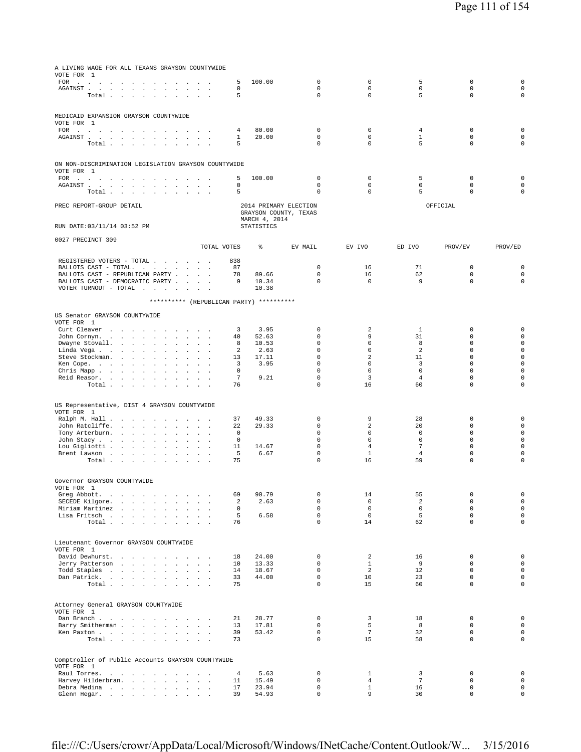| A LIVING WAGE FOR ALL TEXANS GRAYSON COUNTYWIDE<br>VOTE FOR 1                                                                                                                                                                                 |                                                  |                     |                |                       |                                |                     |                            |                                    |
|-----------------------------------------------------------------------------------------------------------------------------------------------------------------------------------------------------------------------------------------------|--------------------------------------------------|---------------------|----------------|-----------------------|--------------------------------|---------------------|----------------------------|------------------------------------|
| FOR<br>the contract of the contract of                                                                                                                                                                                                        | and the contract of the contract of              | 5                   | 100.00         | 0                     | 0                              | 5                   | 0                          | $\mathsf 0$                        |
| AGAINST                                                                                                                                                                                                                                       |                                                  | 0                   |                | $\mathbf 0$           | $\mathsf{O}\xspace$            | $\mathbb O$         | $\mathsf 0$                | $\mathsf{O}\xspace$                |
| Total .<br>$\sim$<br>$\sim$ $\sim$<br>$\mathbf{r}$<br>$\sim$<br>$\mathbf{r}$<br>$\mathbf{r}$                                                                                                                                                  | $\ddot{\phantom{a}}$                             | 5                   |                | $\mathbf 0$           | $\mathbf 0$                    | 5                   | $\mathsf 0$                | $\mathsf 0$                        |
|                                                                                                                                                                                                                                               |                                                  |                     |                |                       |                                |                     |                            |                                    |
| MEDICAID EXPANSION GRAYSON COUNTYWIDE                                                                                                                                                                                                         |                                                  |                     |                |                       |                                |                     |                            |                                    |
| VOTE FOR 1<br>FOR<br>the contract of the contract of the<br>$\cdot$<br>$\ddot{\phantom{a}}$                                                                                                                                                   |                                                  | 4                   | 80.00          | 0                     | 0                              | 4                   | 0                          | 0                                  |
| AGAINST.<br>the company of the company<br>$\ddot{\phantom{0}}$<br>$\sim$                                                                                                                                                                      |                                                  | 1                   | 20.00          | $\mathbf 0$           | $\mathbf 0$                    | $\mathbf{1}$        | $\mathbf 0$                | $\mathsf{O}\xspace$                |
| Total .<br>$\sim$<br>$\sim$                                                                                                                                                                                                                   |                                                  | 5                   |                | 0                     | 0                              | 5                   | 0                          | 0                                  |
|                                                                                                                                                                                                                                               |                                                  |                     |                |                       |                                |                     |                            |                                    |
| ON NON-DISCRIMINATION LEGISLATION GRAYSON COUNTYWIDE                                                                                                                                                                                          |                                                  |                     |                |                       |                                |                     |                            |                                    |
| VOTE FOR 1                                                                                                                                                                                                                                    |                                                  | 5                   | 100.00         | 0                     | 0                              | 5                   | $\mathbb O$                | 0                                  |
| FOR .<br>$\sim$<br><b>Carl Carl</b><br>$\mathbf{r}$<br>AGAINST.<br><b>Carl Carl Carl</b><br><b>Carl Carl Carl</b><br>$\overline{\phantom{a}}$                                                                                                 | $\cdot$                                          | 0                   |                | $\mathbf 0$           | $\mathbf 0$                    | $\mathbf 0$         | $\mathbf 0$                | $\mathbf 0$                        |
| Total.<br>$\sim$<br>$\sim 10^{-1}$ km $^{-1}$<br>$\ddot{\phantom{0}}$<br>$\ddot{\phantom{0}}$<br>$\ddot{\phantom{a}}$<br>$\sim$                                                                                                               | $\cdot$                                          | 5                   |                | $\mathbf 0$           | $\mathbf 0$                    | 5                   | $\mathbf 0$                | 0                                  |
| PREC REPORT-GROUP DETAIL                                                                                                                                                                                                                      |                                                  |                     |                | 2014 PRIMARY ELECTION |                                |                     | OFFICIAL                   |                                    |
|                                                                                                                                                                                                                                               |                                                  |                     |                | GRAYSON COUNTY, TEXAS |                                |                     |                            |                                    |
|                                                                                                                                                                                                                                               |                                                  |                     | MARCH 4, 2014  |                       |                                |                     |                            |                                    |
| RUN DATE: 03/11/14 03:52 PM                                                                                                                                                                                                                   |                                                  |                     | STATISTICS     |                       |                                |                     |                            |                                    |
| 0027 PRECINCT 309                                                                                                                                                                                                                             |                                                  |                     |                |                       |                                |                     |                            |                                    |
|                                                                                                                                                                                                                                               |                                                  | TOTAL VOTES         | နွ             | EV MAIL               | EV IVO                         | ED IVO              | PROV/EV                    | PROV/ED                            |
| REGISTERED VOTERS - TOTAL .<br>$\sim$<br>$\mathbf{r}$                                                                                                                                                                                         |                                                  | 838                 |                |                       |                                |                     |                            |                                    |
| BALLOTS CAST - TOTAL.<br>$\mathbf{z} = \mathbf{z} + \mathbf{z}$ .<br>$\sim$                                                                                                                                                                   | $\sim$<br>$\cdot$                                | 87                  |                | $\mathbf 0$           | 16                             | 71                  | $\mathbf 0$                | $\mathbf 0$                        |
| BALLOTS CAST - REPUBLICAN PARTY<br>$\sim$<br>$\sim$<br>BALLOTS CAST - DEMOCRATIC PARTY .                                                                                                                                                      | $\sim$                                           | 78<br>9             | 89.66<br>10.34 | 0<br>$\mathbf 0$      | 16<br>$\mathbf 0$              | 62<br>9             | 0<br>$\mathbf 0$           | $\mathbf 0$<br>$\mathbf 0$         |
| $\sim$<br>VOTER TURNOUT - TOTAL<br>and the contract of the<br><b>Carl Carl Carl</b>                                                                                                                                                           | $\ddot{\phantom{a}}$                             |                     | 10.38          |                       |                                |                     |                            |                                    |
|                                                                                                                                                                                                                                               |                                                  |                     |                |                       |                                |                     |                            |                                    |
| ********** (REPUBLICAN PARTY) **********                                                                                                                                                                                                      |                                                  |                     |                |                       |                                |                     |                            |                                    |
| US Senator GRAYSON COUNTYWIDE                                                                                                                                                                                                                 |                                                  |                     |                |                       |                                |                     |                            |                                    |
| VOTE FOR 1                                                                                                                                                                                                                                    |                                                  |                     |                |                       |                                |                     |                            |                                    |
| Curt Cleaver<br>$\sim 10^{-1}$ km $^{-1}$<br>$\sim$<br>$\sim$<br>$\mathbf{z} = \mathbf{z}$<br>$\sim$ 100 $\mu$<br>$\sim$<br>John Cornyn.<br><b>Carl Corporation</b><br>$\mathbf{r}$<br>$\sim$<br>$\overline{\phantom{a}}$<br>$\sim$<br>$\sim$ | $\ddot{\phantom{a}}$<br>$\ddot{\phantom{a}}$     | 3<br>40             | 3.95<br>52.63  | 0<br>0                | 2<br>9                         | 1<br>31             | 0<br>0                     | 0<br>$\mathsf{O}\xspace$           |
| Dwayne Stovall.<br>$\Delta$<br>$\mathbf{r}$                                                                                                                                                                                                   |                                                  | 8                   | 10.53          | 0                     | 0                              | 8                   | 0                          | $\mathsf{O}\xspace$                |
| Linda Vega<br>$\ddot{\phantom{a}}$<br>$\cdot$                                                                                                                                                                                                 |                                                  | 2                   | 2.63           | $\mathbf 0$           | $\mathbf 0$                    | $\overline{a}$      | $\mathbf 0$                | $\mathsf{O}\xspace$                |
| Steve Stockman.<br>$\ddot{\phantom{1}}$<br>$\ddot{\phantom{0}}$<br>$\cdot$<br>$\cdot$<br>$\cdot$<br>$\cdot$                                                                                                                                   |                                                  | 13                  | 17.11          | $\mathbf 0$           | 2                              | 11                  | $\mathbf 0$                | $\mathsf{O}\xspace$                |
| Ken Cope.<br>$\mathcal{A}^{\mathcal{A}}$ and $\mathcal{A}^{\mathcal{A}}$ and $\mathcal{A}^{\mathcal{A}}$<br>$\cdot$<br>$\cdot$<br>$\ddot{\phantom{a}}$<br>$\ddot{\phantom{a}}$<br>$\ddot{\phantom{a}}$                                        |                                                  | 3                   | 3.95           | $\mathbf 0$<br>0      | $\mathbf 0$                    | 3<br>$\mathbf 0$    | $\mathbf 0$<br>$\mathbf 0$ | $\circ$<br>$\mathsf{O}\xspace$     |
| Chris Mapp<br>$\ddot{\phantom{0}}$<br>$\sim$<br>$\ddot{\phantom{a}}$<br>$\ddot{\phantom{a}}$<br>Reid Reasor.<br>$\cdot$<br>$\sim$<br>$\mathbf{r}$<br>$\cdot$                                                                                  | $\ddot{\phantom{a}}$<br>$\overline{\phantom{a}}$ | 0<br>$\overline{7}$ | 9.21           | 0                     | 0<br>3                         | $\overline{4}$      | 0                          | $\mathsf 0$                        |
| Total<br>$\ddot{\phantom{a}}$<br>$\sim$<br>$\sim$<br>$\sim$                                                                                                                                                                                   |                                                  | 76                  |                | $\mathbf 0$           | 16                             | 60                  | $\mathbf 0$                | $\mathsf 0$                        |
|                                                                                                                                                                                                                                               |                                                  |                     |                |                       |                                |                     |                            |                                    |
| US Representative, DIST 4 GRAYSON COUNTYWIDE                                                                                                                                                                                                  |                                                  |                     |                |                       |                                |                     |                            |                                    |
| VOTE FOR 1                                                                                                                                                                                                                                    |                                                  |                     |                |                       |                                |                     |                            |                                    |
| Ralph M. Hall<br>$\ddot{\phantom{a}}$<br>$\sim$<br>$\sim$<br>$\cdot$<br>$\mathbf{r}$                                                                                                                                                          | $\ddot{\phantom{a}}$                             | 37                  | 49.33          | 0                     | 9                              | 28                  | 0                          | 0                                  |
| John Ratcliffe.<br>$\ddot{\phantom{1}}$<br>$\sim$<br>$\Box$<br>$\cdot$<br>$\blacksquare$<br>$\cdot$<br>$\mathbf{r}$                                                                                                                           | $\blacksquare$                                   | 22<br>$\mathbf 0$   | 29.33          | 0<br>$\mathbf 0$      | 2<br>$\mathbf 0$               | 20<br>$\mathbf 0$   | 0<br>$\mathbf 0$           | $\mathsf{O}\xspace$<br>$\mathsf 0$ |
| Tony Arterburn.<br>$\sim$<br>$\Box$<br>$\Box$<br>$\ddot{\phantom{0}}$<br>John Stacy<br>$\ddot{\phantom{0}}$<br>$\cdot$<br>$\ddot{\phantom{a}}$<br>$\overline{a}$                                                                              |                                                  | $\mathbf 0$         |                | $\mathbf 0$           | 0                              | $\mathbf 0$         | $\mathbf 0$                | $\mathsf 0$                        |
| Lou Gigliotti .<br>$\sim 100$ $\sim$<br>$\Box$                                                                                                                                                                                                |                                                  | 11                  | 14.67          | $\mathbf 0$           | $\overline{4}$                 | $\overline{7}$      | $\mathbf 0$                | $\mathsf 0$                        |
| Brent Lawson<br><b>Contract Contract</b><br>$\ddot{\phantom{a}}$<br>$\sim$                                                                                                                                                                    | $\sim$                                           | 5                   | 6.67           | 0                     | $\mathbf{1}$                   | $\overline{4}$      | $\mathsf 0$                | $\mathsf 0$                        |
| Total .<br>$\sim$<br>$\sim$<br>$\mathcal{L}^{\pm}$<br>$\sim$<br>$\ddot{\phantom{a}}$<br>$\sim$<br>$\mathbf{r}$                                                                                                                                | $\ddot{\phantom{a}}$                             | 75                  |                | 0                     | 16                             | 59                  | 0                          | 0                                  |
|                                                                                                                                                                                                                                               |                                                  |                     |                |                       |                                |                     |                            |                                    |
| Governor GRAYSON COUNTYWIDE                                                                                                                                                                                                                   |                                                  |                     |                |                       |                                |                     |                            |                                    |
| VOTE FOR 1<br>Greg Abbott.<br>and the contract of the<br>$\sim$<br>$\Box$                                                                                                                                                                     |                                                  | 69                  | 90.79          | 0                     | 14                             | 55                  | 0                          | $\mathsf{O}\xspace$                |
| SECEDE Kilgore.<br>and a state of the state of the state of the                                                                                                                                                                               |                                                  | $\overline{a}$      | 2.63           | $\mathbf 0$           | $\mathsf{O}\xspace$            | $\overline{a}$      | $\mathbf 0$                | $\mathsf{O}\xspace$                |
| Miriam Martinez.<br>and the state of the state of the<br>$\sim$                                                                                                                                                                               |                                                  | $\mathbf 0$         |                | $\mathsf 0$           | $\mathsf{O}\xspace$            | $\mathbb O$         | $\mathbf 0$                | $\mathsf{O}\xspace$                |
| Lisa Fritsch                                                                                                                                                                                                                                  | $\sim$ $\sim$                                    | 5                   | 6.58           | $\mathbf 0$           | $\mathbf 0$                    | 5                   | $\mathbf 0$                | $\mathsf{O}\xspace$                |
| Total                                                                                                                                                                                                                                         |                                                  | 76                  |                | $\mathbf 0$           | 14                             | 62                  | $\mathbf 0$                | $\circ$                            |
|                                                                                                                                                                                                                                               |                                                  |                     |                |                       |                                |                     |                            |                                    |
| Lieutenant Governor GRAYSON COUNTYWIDE                                                                                                                                                                                                        |                                                  |                     |                |                       |                                |                     |                            |                                    |
| VOTE FOR 1<br>David Dewhurst.                                                                                                                                                                                                                 |                                                  | 18                  | 24.00          | $\mathbf 0$           | 2                              | 16                  | $\mathbf 0$                | $\mathbf 0$                        |
| Jerry Patterson                                                                                                                                                                                                                               | $\sim$ $\sim$                                    | 10                  | 13.33          | $\mathbf 0$           | $\mathbf{1}$                   | 9                   | $\mathbf 0$                | $\circ$                            |
| Todd Staples                                                                                                                                                                                                                                  |                                                  | 14                  | 18.67          | $\mathbf 0$           | 2                              | 12                  | $\mathbf 0$                | $\mathsf{O}\xspace$                |
| Dan Patrick.                                                                                                                                                                                                                                  |                                                  | 33                  | 44.00          | $\mathsf 0$           | 10                             | 23                  | $\mathbf 0$                | $\mathsf{O}\xspace$                |
| Total                                                                                                                                                                                                                                         |                                                  | 75                  |                | $\mathbf 0$           | 15                             | 60                  | $\mathbf 0$                | $\mathsf{O}\xspace$                |
|                                                                                                                                                                                                                                               |                                                  |                     |                |                       |                                |                     |                            |                                    |
| Attorney General GRAYSON COUNTYWIDE                                                                                                                                                                                                           |                                                  |                     |                |                       |                                |                     |                            |                                    |
| VOTE FOR 1<br>Dan Branch<br><b>Contract Contract Contract</b>                                                                                                                                                                                 |                                                  | 21                  | 28.77          | 0                     | 3                              | 18                  | 0                          | $\mathsf{O}\xspace$                |
| Barry Smitherman                                                                                                                                                                                                                              | $\sim$                                           | 13                  | 17.81          | $\mathbf 0$           | 5                              | 8                   | $\mathbf 0$                | $\mathsf{O}\xspace$                |
| Ken Paxton                                                                                                                                                                                                                                    |                                                  | 39                  | 53.42          | $\mathbf 0$           | $7\phantom{.0}$                | 32                  | $\mathbf 0$                | $\mathsf{O}\xspace$                |
| Total                                                                                                                                                                                                                                         |                                                  | 73                  |                | $\mathbf 0$           | 15                             | 58                  | $\mathbf 0$                | $\mathsf 0$                        |
|                                                                                                                                                                                                                                               |                                                  |                     |                |                       |                                |                     |                            |                                    |
| Comptroller of Public Accounts GRAYSON COUNTYWIDE                                                                                                                                                                                             |                                                  |                     |                |                       |                                |                     |                            |                                    |
| VOTE FOR 1                                                                                                                                                                                                                                    |                                                  |                     |                |                       |                                |                     |                            | $\mathsf{O}\xspace$                |
| Raul Torres.<br>Harvey Hilderbran.                                                                                                                                                                                                            | All Carrier                                      | 4<br>11             | 5.63<br>15.49  | 0<br>$\mathbf 0$      | $\mathbf{1}$<br>$\overline{4}$ | 3<br>$\overline{7}$ | $\mathbb O$<br>$\mathbf 0$ | $\circ$                            |
| Debra Medina                                                                                                                                                                                                                                  |                                                  | 17                  | 23.94          | $\mathbf 0$           | $\mathbf{1}$                   | 16                  | $\mathbf 0$                | $\mathsf{O}\xspace$                |
| Glenn Hegar.                                                                                                                                                                                                                                  |                                                  | 39                  | 54.93          | $\mathbf 0$           | 9                              | 30                  | $\mathbf 0$                | $\mathsf{O}\xspace$                |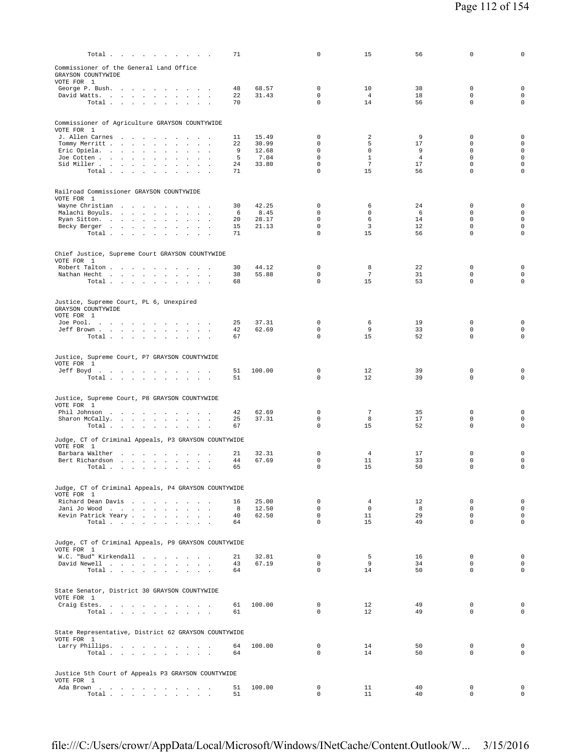| Total $\cdots$ $\cdots$ $\cdots$ $\cdots$                                                                                                                                                       | 71                        |                                 | $\mathbf 0$                                                   | 15                                    | 56                             | $\mathbf 0$                                         | $\mathbf 0$                                                                      |
|-------------------------------------------------------------------------------------------------------------------------------------------------------------------------------------------------|---------------------------|---------------------------------|---------------------------------------------------------------|---------------------------------------|--------------------------------|-----------------------------------------------------|----------------------------------------------------------------------------------|
| Commissioner of the General Land Office<br>GRAYSON COUNTYWIDE<br>VOTE FOR 1                                                                                                                     |                           |                                 |                                                               |                                       |                                |                                                     |                                                                                  |
| George P. Bush.<br>the contract of the contract of the con-<br>David Watts.<br>Total<br><b>Contract Contract</b>                                                                                | 48<br>22<br>70            | 68.57<br>31.43                  | $\mathbf 0$<br>$\mathbf 0$<br>$\mathbf 0$                     | 10<br>$\overline{4}$<br>14            | 38<br>18<br>56                 | $\mathbf 0$<br>$\mathbf 0$<br>0                     | $\mathbf 0$<br>$\mathbf 0$<br>$\mathsf{O}\xspace$                                |
| Commissioner of Agriculture GRAYSON COUNTYWIDE                                                                                                                                                  |                           |                                 |                                                               |                                       |                                |                                                     |                                                                                  |
| VOTE FOR 1<br>J. Allen Carnes<br>Tommy Merritt<br>Eric Opiela.<br>$\ddot{\phantom{a}}$<br>$\ddot{\phantom{a}}$<br>$\sim$                                                                        | 11<br>22<br>9<br>5        | 15.49<br>30.99<br>12.68<br>7.04 | 0<br>$\mathbf 0$<br>$\mathbf 0$<br>$\mathbf 0$                | 2<br>5<br>$\mathsf 0$<br>$\mathbf{1}$ | 9<br>17<br>9<br>$\overline{4}$ | 0<br>0<br>$\mathbf 0$<br>$\mathbf 0$                | $\mathbf 0$<br>$\mathsf{O}\xspace$<br>$\mathsf{O}\xspace$<br>$\mathsf{O}\xspace$ |
| Joe Cotten<br>Sid Miller<br><b>Sales Street</b><br>$\overline{\phantom{a}}$<br>Total<br>$\sim$ $\sim$                                                                                           | 24<br>71                  | 33.80                           | $\mathbf 0$<br>$\Omega$                                       | $7\overline{ }$<br>15                 | 17<br>56                       | $\mathbf 0$<br>$\Omega$                             | $\mathsf 0$<br>$\circ$                                                           |
| Railroad Commissioner GRAYSON COUNTYWIDE<br>VOTE FOR 1                                                                                                                                          |                           |                                 |                                                               |                                       |                                |                                                     |                                                                                  |
| Wayne Christian<br>Malachi Boyuls.<br>$\sim$<br>Ryan Sitton.<br>$\mathbb{Z}^2$<br>$\sim$<br>$\sim 100$<br>$\overline{\phantom{a}}$<br>Becky Berger<br>Total $\cdots$ $\cdots$ $\cdots$ $\cdots$ | 30<br>6<br>20<br>15<br>71 | 42.25<br>8.45<br>28.17<br>21.13 | $\mathbf 0$<br>$\mathbf 0$<br>$\mathbf 0$<br>0<br>$\mathbf 0$ | 6<br>$\mathbf 0$<br>6<br>3<br>15      | 24<br>6<br>14<br>12<br>56      | $\mathbf 0$<br>$\mathbf 0$<br>$\mathbf 0$<br>0<br>0 | $\mathbf 0$<br>$\mathbf 0$<br>$\mathbf 0$<br>$\mathsf{O}\xspace$<br>$\mathbf 0$  |
| Chief Justice, Supreme Court GRAYSON COUNTYWIDE                                                                                                                                                 |                           |                                 |                                                               |                                       |                                |                                                     |                                                                                  |
| VOTE FOR 1<br>Robert Talton<br>Nathan Hecht<br>Total<br>$\sim$<br><b>Carl Carl</b>                                                                                                              | 30<br>38<br>68            | 44.12<br>55.88                  | 0<br>$\mathbf 0$<br>0                                         | 8<br>$7\overline{ }$<br>15            | 22<br>31<br>53                 | 0<br>$\mathbf 0$<br>0                               | $\mathbf 0$<br>$\mathsf{O}\xspace$<br>$\mathsf{O}\xspace$                        |
| Justice, Supreme Court, PL 6, Unexpired<br>GRAYSON COUNTYWIDE<br>VOTE FOR 1                                                                                                                     |                           |                                 |                                                               |                                       |                                |                                                     |                                                                                  |
| Joe Pool.<br>Jeff Brown<br>Total $\cdots$ $\cdots$ $\cdots$                                                                                                                                     | 25<br>42<br>67            | 37.31<br>62.69                  | $\mathbf 0$<br>0<br>$\Omega$                                  | 6<br>9<br>15                          | 19<br>33<br>52                 | 0<br>$\mathbf 0$<br>$\Omega$                        | $\mathbf 0$<br>$\mathbf 0$<br>$\circ$                                            |
| Justice, Supreme Court, P7 GRAYSON COUNTYWIDE<br>VOTE FOR 1<br>Jeff Boyd.                                                                                                                       | 51                        | 100.00                          | $\mathbf 0$                                                   | $12 \overline{ }$                     | 39                             | $\mathbf 0$                                         | 0                                                                                |
| Total                                                                                                                                                                                           | 51                        |                                 | $\mathbf 0$                                                   | $12 \overline{ }$                     | 39                             | $\mathbf 0$                                         | $\mathsf 0$                                                                      |
| Justice, Supreme Court, P8 GRAYSON COUNTYWIDE<br>VOTE FOR 1<br>Phil Johnson<br>the company of the company of<br>$\sim$ 100<br>$\sim$<br>$\sim$                                                  | 42                        | 62.69                           | $\mathbf 0$                                                   | 7                                     | 35                             | $\mathbf 0$                                         | $\mathbf 0$                                                                      |
| Sharon McCally.<br>Total $\cdots$ $\cdots$ $\cdots$                                                                                                                                             | 25<br>67                  | 37.31                           | $\mathbf 0$<br>$\mathbf 0$                                    | 8<br>15                               | 17<br>52                       | $\mathbf 0$<br>$\mathbf 0$                          | $\mathsf{O}\xspace$<br>$\mathbf 0$                                               |
| Judge, CT of Criminal Appeals, P3 GRAYSON COUNTYWIDE<br>VOTE FOR 1                                                                                                                              |                           | 32.31                           | $\mathbf 0$                                                   | $\overline{4}$                        | 17                             | $\mathbf 0$                                         | $\mathbf 0$                                                                      |
| Barbara Walther<br>$\overline{\phantom{a}}$<br>Bert Richardson<br>Total $\cdots$ $\cdots$ $\cdots$<br>$\sim$                                                                                    | 21<br>44<br>65            | 67.69                           | 0<br>$\mathbf 0$                                              | 11<br>15                              | 33<br>50                       | $\mathbf 0$<br>$\mathbf 0$                          | $\mathbf 0$<br>$\mathbf 0$                                                       |
| Judge, CT of Criminal Appeals, P4 GRAYSON COUNTYWIDE<br>VOTE FOR 1                                                                                                                              |                           |                                 |                                                               |                                       |                                |                                                     |                                                                                  |
| Richard Dean Davis<br>Jani Jo Wood                                                                                                                                                              | 16<br>8                   | 25.00<br>12.50                  | $\mathbf{0}$<br>$\mathbf 0$                                   | $\overline{4}$<br>$\circ$             | 12<br>8                        | $\mathbf 0$<br>0                                    | $\mathbf 0$<br>$\mathbf 0$                                                       |
| Kevin Patrick Yeary<br>Total $\cdots$ $\cdots$ $\cdots$ $\cdots$                                                                                                                                | 40<br>64                  | 62.50                           | $\mathbf{0}$<br>$\Omega$                                      | 11<br>15                              | 29<br>49                       | $\mathbf{0}$<br>$\Omega$                            | $\mathbf 0$<br>$\mathbf 0$                                                       |
| Judge, CT of Criminal Appeals, P9 GRAYSON COUNTYWIDE<br>VOTE FOR 1                                                                                                                              |                           |                                 |                                                               |                                       |                                |                                                     |                                                                                  |
| W.C. "Bud" Kirkendall<br>David Newell $\ldots$<br>Total                                                                                                                                         | 21<br>43<br>64            | 32.81<br>67.19                  | 0<br>$\mathbf 0$<br>$\Omega$                                  | 5<br>9<br>14                          | 16<br>34<br>50                 | 0<br>$\mathbf{0}$<br>$\Omega$                       | $\mathbf 0$<br>0<br>$\mathbf 0$                                                  |
| State Senator, District 30 GRAYSON COUNTYWIDE<br>VOTE FOR 1                                                                                                                                     |                           |                                 |                                                               |                                       |                                |                                                     |                                                                                  |
| Craig Estes.<br>Total                                                                                                                                                                           | 61<br>61                  | 100.00                          | $\mathbf{0}$<br>$\Omega$                                      | 12<br>12                              | 49<br>49                       | $\Omega$<br>$\Omega$                                | $\mathbf 0$<br>$\mathbf 0$                                                       |
| State Representative, District 62 GRAYSON COUNTYWIDE<br>VOTE FOR 1                                                                                                                              |                           |                                 |                                                               |                                       |                                |                                                     |                                                                                  |
| Larry Phillips.<br>Total                                                                                                                                                                        | 64<br>64                  | 100.00                          | 0<br>$\Omega$                                                 | 14<br>14                              | 50<br>50                       | $\mathbf 0$<br>$\Omega$                             | 0<br>$\Omega$                                                                    |
| Justice 5th Court of Appeals P3 GRAYSON COUNTYWIDE<br>VOTE FOR 1<br>Ada Brown                                                                                                                   | 51                        | 100.00                          | 0                                                             | 11                                    | 40                             | $\mathbf 0$                                         | 0                                                                                |
| Total                                                                                                                                                                                           | 51                        |                                 | 0                                                             | 11                                    | 40                             | 0                                                   | 0                                                                                |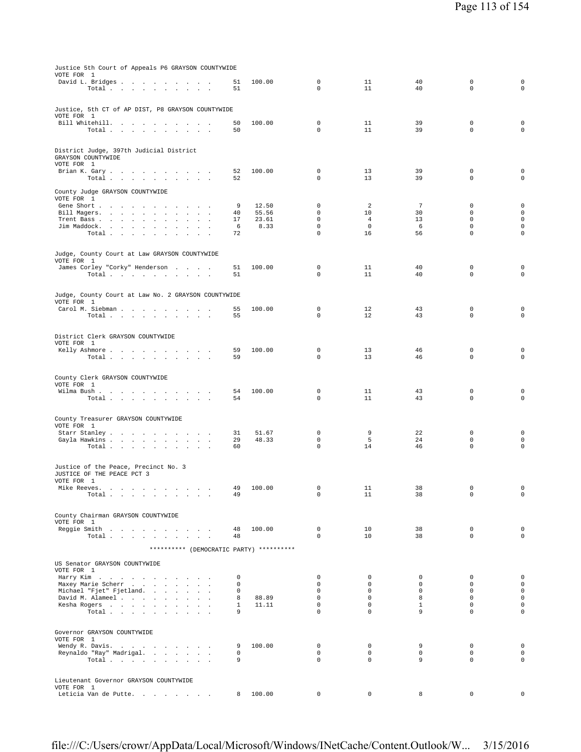| Justice 5th Court of Appeals P6 GRAYSON COUNTYWIDE                                                                     |                            |          |                            |                        |                            |                            |                                            |
|------------------------------------------------------------------------------------------------------------------------|----------------------------|----------|----------------------------|------------------------|----------------------------|----------------------------|--------------------------------------------|
| VOTE FOR 1<br>David L. Bridges                                                                                         | 51                         | 100.00   | 0                          | 11                     | 40                         | 0                          | $\mathsf{O}\xspace$                        |
| Total<br>$\sim$ $\sim$                                                                                                 | 51                         |          | $\Omega$                   | 11                     | 40                         | $\Omega$                   | $\mathbf 0$                                |
|                                                                                                                        |                            |          |                            |                        |                            |                            |                                            |
| Justice, 5th CT of AP DIST, P8 GRAYSON COUNTYWIDE<br>VOTE FOR 1                                                        |                            |          |                            |                        |                            |                            |                                            |
| Bill Whitehill.                                                                                                        | 50                         | 100.00   | $\mathbf 0$                | 11                     | 39                         | $\mathbf 0$                | $\mathbf 0$                                |
| Total<br>$\sim 10^{-1}$<br>$\mathcal{A}^{\mathcal{A}}$ and $\mathcal{A}^{\mathcal{A}}$ and $\mathcal{A}^{\mathcal{A}}$ | 50                         |          | $\mathbf 0$                | 11                     | 39                         | $\mathbf 0$                | $\mathbf 0$                                |
|                                                                                                                        |                            |          |                            |                        |                            |                            |                                            |
| District Judge, 397th Judicial District                                                                                |                            |          |                            |                        |                            |                            |                                            |
| GRAYSON COUNTYWIDE<br>VOTE FOR 1                                                                                       |                            |          |                            |                        |                            |                            |                                            |
| Brian K. Gary                                                                                                          | 52                         | 100.00   | $\mathbf 0$                | 13                     | 39                         | $\mathbf 0$                | $\mathbf 0$                                |
| Total<br>$\sim 100$<br>$\ddot{\phantom{a}}$                                                                            | 52                         |          | $\mathbf 0$                | 13                     | 39                         | $\mathbf 0$                | $\mathbf 0$                                |
| County Judge GRAYSON COUNTYWIDE                                                                                        |                            |          |                            |                        |                            |                            |                                            |
| VOTE FOR 1<br>Gene Short                                                                                               | 9                          | 12.50    | $\mathbf 0$                | 2                      | $\overline{7}$             | $\mathbf 0$                | $\mathbf 0$                                |
| Bill Magers.<br>$\sim$<br>$\mathbf{r}$                                                                                 | 40                         | 55.56    | $\mathbf 0$                | 10                     | 30                         | $\mathbf 0$                | $\mathbf 0$                                |
| Trent Bass.<br>the company of the company<br>$\blacksquare$<br>$\ddot{\phantom{a}}$<br>$\ddot{\phantom{a}}$            | 17                         | 23.61    | $\mathbf 0$                | $\overline{4}$         | 13                         | $\mathbf 0$                | $\mathsf{O}\xspace$                        |
| Jim Maddock.<br>$\sim$<br>$\sim$<br>Total<br>$\ddot{\phantom{a}}$<br>$\mathbf{r}$<br>$\ddot{\phantom{a}}$              | 6<br>72                    | 8.33     | 0<br>$\mathbf 0$           | 0<br>16                | 6<br>56                    | 0<br>$\mathbf 0$           | $\mathsf{O}\xspace$<br>$\mathsf 0$         |
|                                                                                                                        |                            |          |                            |                        |                            |                            |                                            |
| Judge, County Court at Law GRAYSON COUNTYWIDE                                                                          |                            |          |                            |                        |                            |                            |                                            |
| VOTE FOR 1                                                                                                             |                            |          |                            |                        |                            |                            |                                            |
| James Corley "Corky" Henderson<br>Total                                                                                | 51<br>51                   | 100.00   | 0<br>$\mathbf 0$           | 11<br>11               | 40<br>40                   | 0<br>$\mathbf 0$           | 0<br>$\mathsf{O}\xspace$                   |
|                                                                                                                        |                            |          |                            |                        |                            |                            |                                            |
|                                                                                                                        |                            |          |                            |                        |                            |                            |                                            |
| Judge, County Court at Law No. 2 GRAYSON COUNTYWIDE<br>VOTE FOR 1                                                      |                            |          |                            |                        |                            |                            |                                            |
| Carol M. Siebman                                                                                                       | 55                         | 100.00   | 0                          | 12                     | 43                         | $\mathbf 0$                | $\mathbf 0$                                |
| Total<br><b>Service</b>                                                                                                | 55                         |          | 0                          | 12                     | 43                         | 0                          | $\mathsf{O}\xspace$                        |
|                                                                                                                        |                            |          |                            |                        |                            |                            |                                            |
| District Clerk GRAYSON COUNTYWIDE<br>VOTE FOR 1                                                                        |                            |          |                            |                        |                            |                            |                                            |
| Kelly Ashmore<br>$\sim$<br>the contract of the con-                                                                    | 59                         | 100.00   | 0                          | 13                     | 46                         | 0                          | 0                                          |
| Total<br>contract and a state                                                                                          | 59                         |          | $\mathbf 0$                | 13                     | 46                         | $\mathbf 0$                | $\circ$                                    |
|                                                                                                                        |                            |          |                            |                        |                            |                            |                                            |
| County Clerk GRAYSON COUNTYWIDE<br>VOTE FOR 1                                                                          |                            |          |                            |                        |                            |                            |                                            |
| Wilma Bush.                                                                                                            | 54                         | 100.00   | 0                          | 11                     | 43                         | 0                          | $\mathbf 0$                                |
| Total<br>$\ddot{\phantom{0}}$<br>$\sim$<br>$\sim 10^{-1}$ km $^{-2}$<br>$\ddot{\phantom{0}}$                           | 54                         |          | 0                          | 11                     | 43                         | 0                          | 0                                          |
|                                                                                                                        |                            |          |                            |                        |                            |                            |                                            |
| County Treasurer GRAYSON COUNTYWIDE                                                                                    |                            |          |                            |                        |                            |                            |                                            |
| VOTE FOR 1<br>Starr Stanley                                                                                            | 31                         | 51.67    | 0                          | 9                      | 22                         | $\mathbb O$                | $\mathbf 0$                                |
| Gayla Hawkins                                                                                                          | 29                         | 48.33    | 0                          | 5                      | 24                         | $\mathbf 0$                | $\mathsf{O}\xspace$                        |
| Total<br>$\cdot$                                                                                                       | 60                         |          | 0                          | 14                     | 46                         | $\mathsf 0$                | $\mathsf 0$                                |
|                                                                                                                        |                            |          |                            |                        |                            |                            |                                            |
| Justice of the Peace, Precinct No. 3<br>JUSTICE OF THE PEACE PCT 3                                                     |                            |          |                            |                        |                            |                            |                                            |
| VOTE FOR 1                                                                                                             |                            |          |                            |                        |                            |                            |                                            |
| Mike Reeves.<br>the contract of the contract of the contract of<br>Total                                               | 49<br>49                   | 100.00   | $\mathbf 0$<br>0           | 11<br>11               | 38<br>38                   | $\mathbf 0$<br>0           | 0<br>0                                     |
|                                                                                                                        |                            |          |                            |                        |                            |                            |                                            |
| County Chairman GRAYSON COUNTYWIDE                                                                                     |                            |          |                            |                        |                            |                            |                                            |
| VOTE FOR 1                                                                                                             |                            |          |                            |                        |                            |                            |                                            |
| Reggie Smith                                                                                                           | 48                         | 100.00   | $\mathbf 0$                | 10                     | 38                         | $\mathbf 0$                | 0                                          |
| Total                                                                                                                  | 48                         |          | $\Omega$                   | 10                     | 38                         | $\Omega$                   | $\circ$                                    |
| ********** (DEMOCRATIC PARTY) **********                                                                               |                            |          |                            |                        |                            |                            |                                            |
| US Senator GRAYSON COUNTYWIDE                                                                                          |                            |          |                            |                        |                            |                            |                                            |
| VOTE FOR 1                                                                                                             |                            |          |                            |                        |                            |                            |                                            |
| Harry Kim<br>Maxey Marie Scherr                                                                                        | $\mathbf{0}$<br>$^{\circ}$ |          | $\mathbf 0$<br>$\mathbf 0$ | $\circ$<br>$\mathbf 0$ | $\mathbf 0$<br>$\mathbf 0$ | $\mathbf 0$<br>$\mathbf 0$ | $\mathbf 0$<br>$\mathbf 0$                 |
| Michael "Fjet" Fjetland.                                                                                               | $^{\circ}$                 |          | $\mathbf 0$                | $\mathbf 0$            | $\mathbf 0$                | $\mathbf 0$                | $\mathsf{O}\xspace$                        |
| David M. Alameel                                                                                                       | 8                          | 88.89    | $\mathbf 0$                | $\mathbf 0$            | 8                          | $\mathbf 0$                | $\mathsf{O}\xspace$                        |
| Kesha Rogers<br>Total                                                                                                  | $\mathbf{1}$<br>9          | 11.11    | $\mathbf 0$<br>$\mathbf 0$ | $\circ$<br>$\mathbf 0$ | $\mathbf{1}$<br>9          | $\mathbf 0$<br>$\mathbf 0$ | $\mathsf 0$<br>$\mathsf 0$                 |
|                                                                                                                        |                            |          |                            |                        |                            |                            |                                            |
| Governor GRAYSON COUNTYWIDE                                                                                            |                            |          |                            |                        |                            |                            |                                            |
| VOTE FOR 1                                                                                                             |                            |          |                            |                        |                            |                            |                                            |
| Wendy R. Davis.<br>Reynaldo "Ray" Madrigal.                                                                            | 9<br>$^{\circ}$            | 100.00   | $\mathbf 0$<br>$\mathbf 0$ | 0<br>$\circ$           | 9<br>$\mathsf 0$           | $\mathbf 0$<br>$\mathbf 0$ | $\mathsf{O}\xspace$<br>$\mathsf{O}\xspace$ |
| Total                                                                                                                  | 9                          |          | $\Omega$                   | $\Omega$               | 9                          | $\Omega$                   | $\mathbf 0$                                |
|                                                                                                                        |                            |          |                            |                        |                            |                            |                                            |
| Lieutenant Governor GRAYSON COUNTYWIDE                                                                                 |                            |          |                            |                        |                            |                            |                                            |
| VOTE FOR 1                                                                                                             |                            |          |                            |                        |                            |                            |                                            |
| Leticia Van de Putte                                                                                                   |                            | 8 100.00 | $\mathbf 0$                | 0                      | 8                          | 0                          | 0                                          |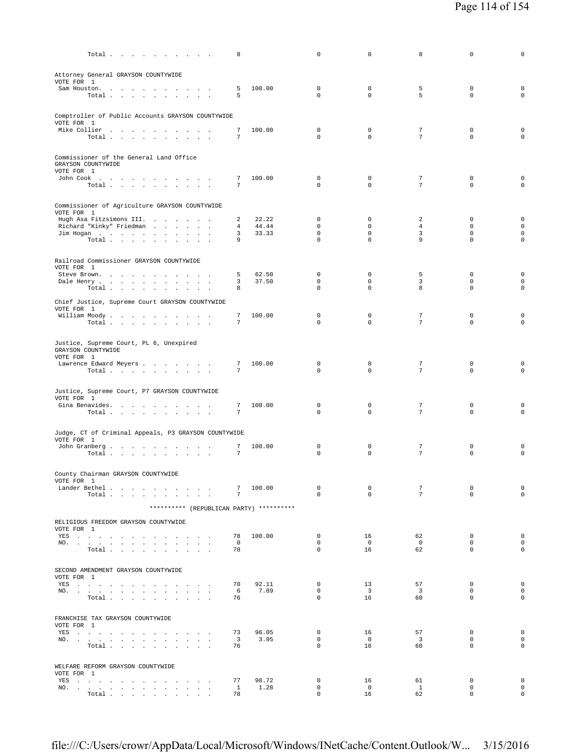| Total $\cdots$ $\cdots$ $\cdots$                                                                                                                                                                                                           | 8                             |                | 0                            | 0                             | 8                             | 0                          | 0                          |
|--------------------------------------------------------------------------------------------------------------------------------------------------------------------------------------------------------------------------------------------|-------------------------------|----------------|------------------------------|-------------------------------|-------------------------------|----------------------------|----------------------------|
| Attorney General GRAYSON COUNTYWIDE<br>VOTE FOR 1                                                                                                                                                                                          |                               |                |                              |                               |                               |                            |                            |
| Sam Houston.<br>Total                                                                                                                                                                                                                      | 5<br>5                        | 100.00         | $\mathbf 0$<br>0             | $\circ$<br>0                  | 5<br>5                        | $\mathbf 0$<br>$\mathbf 0$ | $\mathbf 0$<br>$\mathbf 0$ |
| Comptroller of Public Accounts GRAYSON COUNTYWIDE                                                                                                                                                                                          |                               |                |                              |                               |                               |                            |                            |
| VOTE FOR 1<br>Mike Collier<br>$\texttt{Total}~~.~~.~~.~~.~~.~~.~~.~~.~~.~~.$                                                                                                                                                               | 7<br>7                        | 100.00         | $\mathbf 0$<br>$\Omega$      | 0<br>$\mathbf{0}$             | 7<br>$\overline{7}$           | $\mathbf 0$<br>$\mathbf 0$ | 0<br>$\mathbf 0$           |
| Commissioner of the General Land Office                                                                                                                                                                                                    |                               |                |                              |                               |                               |                            |                            |
| GRAYSON COUNTYWIDE<br>VOTE FOR 1<br>John Cook                                                                                                                                                                                              | 7                             | 100.00         | $\mathbf 0$                  | $\circ$                       | 7                             | 0                          | $\mathbf 0$                |
| Total                                                                                                                                                                                                                                      | 7                             |                | 0                            | $\mathbf{0}$                  | $7\phantom{.}$                | 0                          | $\mathbf 0$                |
| Commissioner of Agriculture GRAYSON COUNTYWIDE<br>VOTE FOR 1                                                                                                                                                                               |                               |                |                              |                               |                               |                            |                            |
| Hugh Asa Fitzsimons III.<br>Richard "Kinky" Friedman                                                                                                                                                                                       | 2<br>4                        | 22.22<br>44.44 | $\mathbf 0$<br>$\mathbf 0$   | $\circ$<br>0                  | 2<br>$\overline{4}$           | $^{\circ}$<br>0            | $\mathbf 0$<br>$\mathbf 0$ |
| Jim Hogan                                                                                                                                                                                                                                  | 3                             | 33.33          | 0                            | $\mathbf{0}$                  | 3                             | $\mathbf 0$                | $\mathbf 0$                |
| Total                                                                                                                                                                                                                                      | 9                             |                | $\Omega$                     | $\Omega$                      | 9                             | $\mathbf 0$                | $\mathbf 0$                |
| Railroad Commissioner GRAYSON COUNTYWIDE<br>VOTE FOR 1                                                                                                                                                                                     |                               |                |                              |                               |                               |                            |                            |
| Steve Brown.                                                                                                                                                                                                                               | 5                             | 62.50          | $\mathbf 0$                  | $\circ$                       | 5                             | $^{\circ}$                 | $\mathbf 0$                |
| Dale Henry<br>Total                                                                                                                                                                                                                        | 3<br>8                        | 37.50          | $\mathbf{0}$<br>$\Omega$     | $\mathbf{0}$<br>$\Omega$      | 3<br>8                        | $\mathbf 0$<br>$\Omega$    | 0<br>$\mathbf 0$           |
| Chief Justice, Supreme Court GRAYSON COUNTYWIDE                                                                                                                                                                                            |                               |                |                              |                               |                               |                            |                            |
| VOTE FOR 1                                                                                                                                                                                                                                 | 7                             | 100.00         | $\mathbf 0$                  | $\mathbf{0}$                  | 7                             | $^{\circ}$                 | 0                          |
| William Moody.<br>Total $\cdots$ $\cdots$ $\cdots$                                                                                                                                                                                         | $\overline{7}$                |                | $\Omega$                     | $\Omega$                      | 7                             | $\mathbf 0$                | $\mathbf 0$                |
| Justice, Supreme Court, PL 6, Unexpired<br>GRAYSON COUNTYWIDE<br>VOTE FOR 1                                                                                                                                                                |                               |                |                              |                               |                               |                            |                            |
| Lawrence Edward Meyers                                                                                                                                                                                                                     | 7                             | 100.00         | 0                            | 0                             | 7                             | 0                          | $\mathbf 0$                |
| Total $\cdots$ $\cdots$ $\cdots$                                                                                                                                                                                                           | 7                             |                | $\Omega$                     | $\Omega$                      | 7                             | $\Omega$                   | $\mathbf 0$                |
| Justice, Supreme Court, P7 GRAYSON COUNTYWIDE<br>VOTE FOR 1                                                                                                                                                                                |                               |                |                              |                               |                               |                            |                            |
| Gina Benavides.                                                                                                                                                                                                                            | 7                             | 100.00         | $\mathbf 0$<br>$\Omega$      | 0<br>$\Omega$                 | 7<br>7                        | $\mathbf 0$                | $\mathbf 0$                |
| Total                                                                                                                                                                                                                                      | 7                             |                |                              |                               |                               | $\mathbf 0$                | $\mathbf 0$                |
| Judge, CT of Criminal Appeals, P3 GRAYSON COUNTYWIDE<br>VOTE FOR 1                                                                                                                                                                         |                               |                |                              |                               |                               |                            |                            |
| John Granberg<br>Total                                                                                                                                                                                                                     | 7<br>7                        | 100.00         | $\mathbf 0$<br>$\Omega$      | 0<br>$\Omega$                 | 7<br>7                        | 0<br>$\Omega$              | 0<br>$\mathbf 0$           |
| County Chairman GRAYSON COUNTYWIDE                                                                                                                                                                                                         |                               |                |                              |                               |                               |                            |                            |
| VOTE FOR 1<br>Lander Bethel                                                                                                                                                                                                                | 7                             | 100.00         | 0                            | 0                             | 7                             | 0                          | $\mathsf{O}\xspace$        |
| Total                                                                                                                                                                                                                                      | 7                             |                | $\mathbf{0}$                 | $\Omega$                      | $7^{\circ}$                   | $\Omega$                   | $\mathbf 0$                |
| ********** (REPUBLICAN PARTY) **********                                                                                                                                                                                                   |                               |                |                              |                               |                               |                            |                            |
| RELIGIOUS FREEDOM GRAYSON COUNTYWIDE<br>VOTE FOR 1                                                                                                                                                                                         |                               |                |                              |                               |                               |                            |                            |
| YES a contract of the contract of the contract of the set of the set of the set of the set of the set of the set of the set of the set of the set of the set of the set of the set of the set of the set of the set of the set             | 78                            | 100.00         | $\mathbf{0}$                 | 16                            | 62                            | $\mathbf 0$                | $\mathbf 0$                |
| NO.<br>$\texttt{Total} \quad . \quad . \quad . \quad . \quad . \quad . \quad . \quad . \quad . \quad .$                                                                                                                                    | $\overline{0}$<br>78          |                | $\mathbf{0}$<br>$\mathbf{0}$ | $\overline{0}$<br>16          | $\overline{0}$<br>62          | $\mathbf 0$<br>$\mathbf 0$ | $\mathbf 0$<br>$\mathbf 0$ |
| SECOND AMENDMENT GRAYSON COUNTYWIDE                                                                                                                                                                                                        |                               |                |                              |                               |                               |                            |                            |
| VOTE FOR 1<br>YES                                                                                                                                                                                                                          | 70                            | 92.11          | $\mathbf{0}$                 | 13                            | 57                            | $\mathbf 0$                | $\mathbf 0$                |
| NO.<br>$\texttt{Total} \quad . \quad . \quad . \quad . \quad . \quad . \quad . \quad . \quad .$                                                                                                                                            | 6<br>76                       | 7.89           | $\mathbf{0}$<br>$\mathbf{0}$ | $\overline{\mathbf{3}}$<br>16 | $\overline{\mathbf{3}}$<br>60 | $\mathbf 0$<br>$^{\circ}$  | $\mathbf 0$<br>$\mathbf 0$ |
|                                                                                                                                                                                                                                            |                               |                |                              |                               |                               |                            |                            |
| FRANCHISE TAX GRAYSON COUNTYWIDE<br>VOTE FOR 1                                                                                                                                                                                             |                               |                |                              |                               |                               |                            |                            |
| YES                                                                                                                                                                                                                                        | 73<br>$\overline{\mathbf{3}}$ | 96.05<br>3.95  | $\circ$<br>$\mathbf{0}$      | 16<br>$\overline{0}$          | 57<br>$\overline{\mathbf{3}}$ | $\mathbf 0$<br>$^{\circ}$  | $\mathbf 0$<br>$\mathbf 0$ |
| NO.<br>Total                                                                                                                                                                                                                               | 76                            |                | $\Omega$                     | 16                            | 60                            | $\mathbf 0$                | 0                          |
| WELFARE REFORM GRAYSON COUNTYWIDE                                                                                                                                                                                                          |                               |                |                              |                               |                               |                            |                            |
| VOTE FOR 1<br>YES a contract that is a contract of the set of the set of the set of the set of the set of the set of the set of the set of the set of the set of the set of the set of the set of the set of the set of the set of the set | 77                            | 98.72          | 0                            | 16                            | 61                            | 0                          | 0                          |
| NO.                                                                                                                                                                                                                                        | $\mathbf{1}$                  | 1.28           | 0                            | $\overline{0}$                | $\mathbf{1}$                  | $\mathbf 0$                | $\circ$                    |
| Total $\cdots$ $\cdots$ $\cdots$                                                                                                                                                                                                           | 78                            |                | 0                            | 16                            | 62                            | $\mathbf 0$                | $\mathbf 0$                |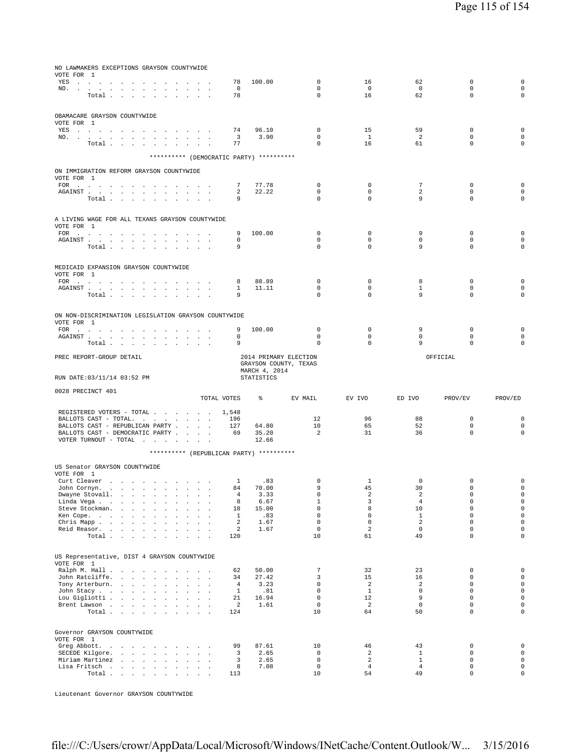| NO LAWMAKERS EXCEPTIONS GRAYSON COUNTYWIDE<br>VOTE FOR 1<br>YES a contract that is a contract of the set of the set of the set of the set of the set of the set of the set of the set of the set of the set of the set of the set of the set of the set of the set of the set of the set |                                                              | 78                                  | 100.00                                                          | $\mathbb O$                               | 16                             | 62                             | $\mathbf 0$                | 0                                         |
|------------------------------------------------------------------------------------------------------------------------------------------------------------------------------------------------------------------------------------------------------------------------------------------|--------------------------------------------------------------|-------------------------------------|-----------------------------------------------------------------|-------------------------------------------|--------------------------------|--------------------------------|----------------------------|-------------------------------------------|
| NO.<br>Total<br>$\ddot{\phantom{0}}$                                                                                                                                                                                                                                                     |                                                              | $^{\circ}$<br>78                    |                                                                 | $\mathbf 0$<br>$\mathbf 0$                | $\overline{0}$<br>16           | $\mathbf 0$<br>62              | $\mathbf 0$<br>$\mathbf 0$ | $\mathbf 0$<br>$\mathbf 0$                |
| OBAMACARE GRAYSON COUNTYWIDE<br>VOTE FOR 1                                                                                                                                                                                                                                               |                                                              |                                     |                                                                 |                                           |                                |                                |                            |                                           |
| YES a contract of the contract of the contract of the set of the set of the set of the set of the set of the set of the set of the set of the set of the set of the set of the set of the set of the set of the set of the set<br>NO.<br>Total                                           |                                                              | 74<br>$\overline{\mathbf{3}}$<br>77 | 96.10<br>3.90                                                   | $\mathbf 0$<br>$\mathbf 0$<br>$\mathbf 0$ | 15<br><sup>1</sup><br>16       | 59<br>2<br>61                  | $\mathbf 0$<br>0<br>0      | $\mathbf 0$<br>$\mathbf 0$<br>$\mathsf 0$ |
| ********** (DEMOCRATIC PARTY) **********                                                                                                                                                                                                                                                 |                                                              |                                     |                                                                 |                                           |                                |                                |                            |                                           |
| ON IMMIGRATION REFORM GRAYSON COUNTYWIDE                                                                                                                                                                                                                                                 |                                                              |                                     |                                                                 |                                           |                                |                                |                            |                                           |
| VOTE FOR 1                                                                                                                                                                                                                                                                               |                                                              | 7                                   | 77.78                                                           | $\mathbf 0$                               | $\mathbf 0$                    | $\overline{7}$                 | 0                          | 0                                         |
| ${\tt AGAINST} \hspace{1.5cm} . \hspace{1.5cm} . \hspace{1.5cm} . \hspace{1.5cm} . \hspace{1.5cm} . \hspace{1.5cm} . \hspace{1.5cm} . \hspace{1.5cm} . \hspace{1.5cm} . \hspace{1.5cm} . \hspace{1.5cm} . \hspace{1.5cm} . \hspace{1.5cm} . \hspace{1.5cm} . \hspace{1.5cm} .$           |                                                              | 2                                   | 22.22                                                           | 0                                         | $\mathbf 0$                    | 2                              | 0                          | $\mathbf 0$                               |
| Total<br>$\sim$                                                                                                                                                                                                                                                                          |                                                              | 9                                   |                                                                 | 0                                         | 0                              | 9                              | $\mathbf 0$                | $\mathsf 0$                               |
| A LIVING WAGE FOR ALL TEXANS GRAYSON COUNTYWIDE<br>VOTE FOR 1                                                                                                                                                                                                                            |                                                              |                                     |                                                                 |                                           |                                |                                |                            |                                           |
| AGAINST                                                                                                                                                                                                                                                                                  | $\sim$<br>$\sim$                                             | 9<br>0                              | 100.00                                                          | 0<br>0                                    | 0<br>$\mathbf 0$               | 9<br>$\mathbf 0$               | 0<br>$\Omega$              | 0<br>$\mathsf 0$                          |
| Total                                                                                                                                                                                                                                                                                    |                                                              | 9                                   |                                                                 | $\mathbf 0$                               | 0                              | 9                              | $\mathbf 0$                | 0                                         |
| MEDICAID EXPANSION GRAYSON COUNTYWIDE<br>VOTE FOR 1                                                                                                                                                                                                                                      |                                                              |                                     |                                                                 |                                           |                                |                                |                            |                                           |
| FOR<br>$\sim$<br>$\sim$<br>$\sim$                                                                                                                                                                                                                                                        |                                                              | 8<br>1                              | 88.89<br>11.11                                                  | 0<br>$\mathbf 0$                          | 0<br>$\mathbf 0$               | 8<br>$\mathbf{1}$              | 0<br>$\mathbf 0$           | 0<br>$\mathbf 0$                          |
| Total<br>$\ddot{\phantom{a}}$                                                                                                                                                                                                                                                            |                                                              | 9                                   |                                                                 | $\mathbf 0$                               | $\mathbf 0$                    | 9                              | $\Omega$                   | $\mathsf 0$                               |
| ON NON-DISCRIMINATION LEGISLATION GRAYSON COUNTYWIDE<br>VOTE FOR 1                                                                                                                                                                                                                       |                                                              |                                     |                                                                 |                                           |                                |                                |                            |                                           |
| FOR<br>${\tt AGAINST} \hspace{1.5cm} . \hspace{1.5cm} . \hspace{1.5cm} . \hspace{1.5cm} . \hspace{1.5cm} . \hspace{1.5cm} . \hspace{1.5cm} . \hspace{1.5cm} . \hspace{1.5cm} . \hspace{1.5cm} . \hspace{1.5cm} . \hspace{1.5cm} . \hspace{1.5cm} . \hspace{1.5cm} . \hspace{1.5cm} .$    |                                                              | 9<br>$\mathbf{0}$                   | 100.00                                                          | $\mathbf 0$<br>$\Omega$                   | $\mathbf 0$<br>$\mathbf 0$     | 9<br>$\mathbf 0$               | $\mathbf 0$<br>$\Omega$    | 0<br>0                                    |
| Total .<br>contract and and                                                                                                                                                                                                                                                              |                                                              | 9                                   |                                                                 | 0                                         | $\mathbf 0$                    | 9                              | 0                          | $\mathbf 0$                               |
| PREC REPORT-GROUP DETAIL                                                                                                                                                                                                                                                                 |                                                              |                                     | 2014 PRIMARY ELECTION<br>GRAYSON COUNTY, TEXAS<br>MARCH 4, 2014 |                                           |                                |                                | OFFICIAL                   |                                           |
|                                                                                                                                                                                                                                                                                          |                                                              |                                     |                                                                 |                                           |                                |                                |                            |                                           |
| RUN DATE: 03/11/14 03:52 PM                                                                                                                                                                                                                                                              |                                                              |                                     | STATISTICS                                                      |                                           |                                |                                |                            |                                           |
| 0028 PRECINCT 401                                                                                                                                                                                                                                                                        | TOTAL VOTES                                                  |                                     | ႜၟ                                                              | EV MAIL                                   | EV IVO                         | ED IVO                         | PROV/EV                    | PROV/ED                                   |
| REGISTERED VOTERS - TOTAL<br>BALLOTS CAST - TOTAL.<br>BALLOTS CAST - REPUBLICAN PARTY<br>BALLOTS CAST - DEMOCRATIC PARTY<br>VOTER TURNOUT - TOTAL $\ldots$                                                                                                                               | $\sim$                                                       | 1,548<br>196<br>127<br>69           | 64.80<br>35.20<br>12.66                                         | 12<br>10<br>$\overline{a}$                | 96<br>65<br>31                 | 88<br>52<br>36                 | $\mathbf 0$<br>0<br>0      | $\mathbf 0$<br>$\mathbf 0$<br>$\mathsf 0$ |
| ********** (REPUBLICAN PARTY) **********                                                                                                                                                                                                                                                 |                                                              |                                     |                                                                 |                                           |                                |                                |                            |                                           |
| US Senator GRAYSON COUNTYWIDE                                                                                                                                                                                                                                                            |                                                              |                                     |                                                                 |                                           |                                |                                |                            |                                           |
| VOTE FOR 1<br>Curt Cleaver<br>John Cornyn.<br>the contract of the contract of the contract of                                                                                                                                                                                            |                                                              | $\mathbf{1}$<br>84                  | .83<br>70.00                                                    | 0<br>9                                    | 1<br>45                        | 0<br>30                        | 0<br>$\mathbf 0$           | 0<br>$\mathsf 0$                          |
| Dwayne Stovall.<br>the control of the con-<br>$\mathcal{L}_{\mathcal{A}}$<br>$\cdot$<br>Linda Vega<br>$\ddot{\phantom{a}}$                                                                                                                                                               | $\ddot{\phantom{a}}$                                         | 4<br>8                              | 3.33<br>6.67                                                    | 0<br>$\mathbf{1}$                         | 2<br>3                         | 2<br>$\overline{4}$            | 0<br>$\mathbf 0$           | $\mathbb O$<br>$\mathsf 0$                |
| Steve Stockman.<br>Ken Cope.<br>$\ddot{\phantom{a}}$                                                                                                                                                                                                                                     | $\mathbf{r}$                                                 | 18<br>1                             | 15.00<br>.83                                                    | $\mathbf 0$<br>$\mathbf 0$                | 8<br>$\mathbf 0$               | 10<br>$\mathbf{1}$             | $\mathbf 0$<br>$\mathbf 0$ | $\mathsf{O}\xspace$<br>$\mathsf 0$        |
| Chris Mapp.<br>Reid Reasor.                                                                                                                                                                                                                                                              | $\mathbf{L} = \mathbf{L} \times \mathbf{L}$<br>$\sim$ $\sim$ | 2<br>$\overline{a}$                 | 1.67<br>1.67                                                    | $\mathbf 0$<br>$\mathsf 0$                | $\mathbf{0}$<br>$\overline{a}$ | $\overline{a}$<br>$\mathbf 0$  | $\Omega$<br>$\mathbf 0$    | $\mathsf 0$<br>$\mathsf{O}$               |
| Total $\cdots$ $\cdots$ $\cdots$ $\cdots$                                                                                                                                                                                                                                                |                                                              | 120                                 |                                                                 | 10                                        | 61                             | 49                             | $\Omega$                   | $\circ$                                   |
| US Representative, DIST 4 GRAYSON COUNTYWIDE<br>VOTE FOR 1                                                                                                                                                                                                                               |                                                              |                                     |                                                                 |                                           |                                |                                |                            |                                           |
| Ralph M. Hall<br>John Ratcliffe.<br><b>Sales Advised Service</b>                                                                                                                                                                                                                         | $\sim$                                                       | 62<br>34                            | 50.00<br>27.42                                                  | 7<br>3                                    | 32<br>15                       | 23<br>16                       | 0<br>0                     | $\mathsf 0$<br>$\mathsf 0$                |
| Tony Arterburn.                                                                                                                                                                                                                                                                          | $\mathbf{L} = \mathbf{L} \times \mathbf{L}$                  | $\overline{4}$<br>$\mathbf{1}$      | 3.23                                                            | $\mathbf 0$<br>$\mathbf 0$                | $\overline{a}$<br>$\mathbf{1}$ | 2<br>$\circ$                   | 0<br>$\mathbf 0$           | $\circ$<br>$\mathsf{O}\xspace$            |
| John Stacy<br>Lou Gigliotti<br>$\sim$<br>$\sim$                                                                                                                                                                                                                                          | $\ddot{\phantom{a}}$                                         | 21                                  | .81<br>16.94                                                    | $\mathbf 0$                               | 12                             | 9                              | $\mathbf 0$<br>$\Omega$    | $\mathsf{O}$                              |
| Brent Lawson<br>Total                                                                                                                                                                                                                                                                    |                                                              | 2<br>124                            | 1.61                                                            | $\mathbf 0$<br>10                         | $\overline{a}$<br>64           | $\mathbf 0$<br>50              | $\mathbf 0$                | $\mathsf 0$<br>$\mathsf 0$                |
| Governor GRAYSON COUNTYWIDE<br>VOTE FOR 1                                                                                                                                                                                                                                                |                                                              |                                     |                                                                 |                                           |                                |                                |                            |                                           |
| Greg Abbott.<br><b>Contract</b><br>$\sim$<br><b>Contract Contract Contract</b><br>SECEDE Kilgore.<br>$\sim$                                                                                                                                                                              | $\sim$<br>$\sim$ $\sim$                                      | 99<br>3                             | 87.61<br>2.65                                                   | 10<br>$\mathbf 0$                         | 46<br>$\overline{2}$           | 43<br>$\mathbf{1}$             | $\mathsf 0$<br>$\mathbf 0$ | $\mathsf 0$<br>$\mathsf{O}$               |
| Miriam Martinez<br>Lisa Fritsch.<br>$\mathcal{L}$                                                                                                                                                                                                                                        | $\sim$<br>$\sim$<br>$\cdot$                                  | 3<br>8                              | 2.65<br>7.08                                                    | $\mathsf 0$<br>$\mathbf 0$                | 2<br>$\overline{4}$            | $\mathbf{1}$<br>$\overline{4}$ | $\mathbf 0$<br>$\mathbf 0$ | $\mathsf{O}$<br>$\mathsf{O}$              |

Lieutenant Governor GRAYSON COUNTYWIDE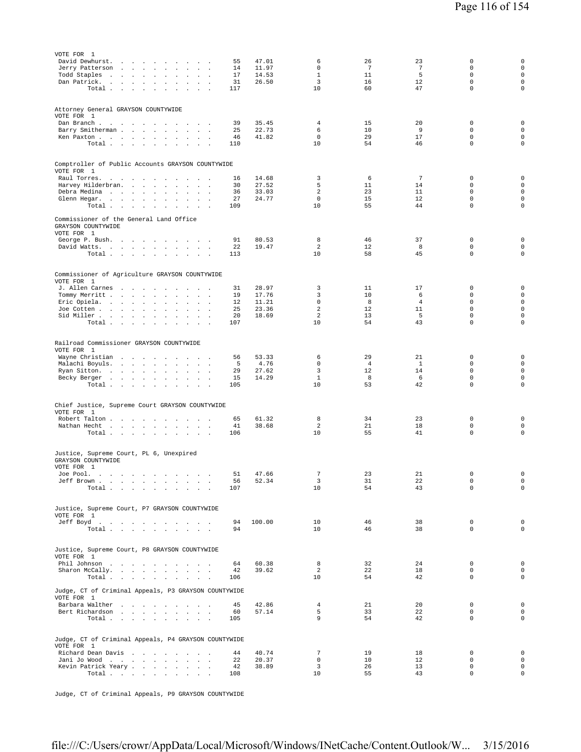| VOTE FOR 1<br>David Dewhurst.<br>the company of the company<br>$\ddot{\phantom{a}}$<br>$\ddot{\phantom{a}}$<br>Jerry Patterson<br>and the contract of the<br>$\sim$<br>$\overline{a}$<br>Todd Staples<br>$\sim$<br>$\mathbf{r}$<br>$\sim$<br>$\sim 10^{-11}$<br>$\ddot{\phantom{0}}$<br>$\mathbf{r}$<br>$\mathbf{r}$<br>Dan Patrick.<br>and a strategic and<br>$\sim$<br>$\sim$ $\sim$<br>$\cdot$<br>$\ddot{\phantom{a}}$<br>Total $\cdots$ $\cdots$<br>$\sim$<br>$\sim$<br>$\sim 10^{-11}$ $\sim$ | 55<br>14<br>17<br>31<br>117       | 47.01<br>11.97<br>14.53<br>26.50          | 6<br>0<br>$\mathbf{1}$<br>3<br>10                       | 26<br>7<br>11<br>16<br>60             | 23<br>$\overline{7}$<br>5<br>12<br>47  | 0<br>$\mathbf 0$<br>$\mathbf 0$<br>$\mathbf 0$<br>$\mathbf 0$                | $\mathsf{O}\xspace$<br>$\mathsf 0$<br>$\mathsf 0$<br>$\mathsf{O}\xspace$<br>$\mathbf 0$ |
|----------------------------------------------------------------------------------------------------------------------------------------------------------------------------------------------------------------------------------------------------------------------------------------------------------------------------------------------------------------------------------------------------------------------------------------------------------------------------------------------------|-----------------------------------|-------------------------------------------|---------------------------------------------------------|---------------------------------------|----------------------------------------|------------------------------------------------------------------------------|-----------------------------------------------------------------------------------------|
| Attorney General GRAYSON COUNTYWIDE<br>VOTE FOR 1<br>Dan Branch<br><b>Contract Contract</b><br>Barry Smitherman.<br>and the contract of the<br>$\cdot$<br>$\cdot$<br>$\blacksquare$<br>Ken Paxton<br>Total<br><b>Carl Carl Carl</b><br>$\cdot$                                                                                                                                                                                                                                                     | 39<br>25<br>46<br>110             | 35.45<br>22.73<br>41.82                   | 4<br>6<br>$\mathbf 0$<br>10                             | 15<br>10<br>29<br>54                  | 20<br>9<br>17<br>46                    | 0<br>$\mathbf 0$<br>$\mathbf 0$<br>$\mathsf 0$                               | $\mathsf{O}\xspace$<br>$\mathsf 0$<br>$\mathsf 0$<br>$\mathsf 0$                        |
| Comptroller of Public Accounts GRAYSON COUNTYWIDE<br>VOTE FOR 1<br>Raul Torres.<br>the contract of the contract of<br>$\ddot{\phantom{a}}$<br>$\ddot{\phantom{a}}$<br>$\ddot{\phantom{a}}$<br>Harvey Hilderbran.<br>$\cdot$<br>$\ddot{\phantom{a}}$<br>Debra Medina<br>$\sim$<br>$\sim$<br>$\cdot$<br>Glenn Hegar.<br>$\cdot$<br>Total $\cdots$ $\cdots$<br>$\ddot{\phantom{a}}$<br>$\sim$<br>$\ddot{\phantom{a}}$                                                                                 | 16<br>30<br>36<br>27<br>109       | 14.68<br>27.52<br>33.03<br>24.77          | 3<br>5<br>$\overline{\mathbf{c}}$<br>$\mathbf{0}$<br>10 | 6<br>11<br>23<br>15<br>55             | $\overline{7}$<br>14<br>11<br>12<br>44 | 0<br>$\mathbf 0$<br>$\mathbf 0$<br>$\Omega$<br>$\mathbf 0$                   | $\mathbf 0$<br>$\mathsf 0$<br>$\mathsf 0$<br>$\mathbf 0$<br>$\mathbf 0$                 |
| Commissioner of the General Land Office<br>GRAYSON COUNTYWIDE<br>VOTE FOR 1<br>George P. Bush.<br>$\sim$<br>David Watts.<br>$\mathbf{u} = \mathbf{u} + \mathbf{u}$ .<br>Total $\cdots$ $\cdots$ $\cdots$ $\cdots$                                                                                                                                                                                                                                                                                  | 91<br>22<br>113                   | 80.53<br>19.47                            | 8<br>$\overline{\mathbf{c}}$<br>10                      | 46<br>12<br>58                        | 37<br>8<br>45                          | $\mathbf 0$<br>$\mathbf 0$<br>$\mathbf 0$                                    | $\mathsf{O}\xspace$<br>$\mathbf 0$<br>$\mathsf 0$                                       |
| Commissioner of Agriculture GRAYSON COUNTYWIDE<br>VOTE FOR 1<br>J. Allen Carnes<br>$\cdot$<br>$\sim$<br>$\ddot{\phantom{a}}$<br>Tommy Merritt<br>$\cdot$<br>$\Box$<br>$\ddot{\phantom{a}}$<br>$\sim$<br>Eric Opiela.<br>$\sim$<br>$\sim$<br>$\sim$ $\sim$<br>Joe Cotten<br>$\ddot{\phantom{a}}$<br>$\cdot$<br>$\ddot{\phantom{a}}$<br>Sid Miller<br>Total<br><b>Contract Contract</b><br>$\sim$<br>$\ddot{\phantom{a}}$<br>$\ddot{\phantom{a}}$<br>$\sim$<br>$\sim$                                | 31<br>19<br>12<br>25<br>20<br>107 | 28.97<br>17.76<br>11.21<br>23.36<br>18.69 | 3<br>3<br>0<br>$\mathbf 2$<br>$\overline{a}$<br>10      | 11<br>10<br>8<br>12<br>13<br>54       | 17<br>6<br>4<br>11<br>5<br>43          | 0<br>$\mathbf 0$<br>$\mathbf 0$<br>$\mathbf 0$<br>$\mathbf 0$<br>$\mathbf 0$ | 0<br>$\mathsf 0$<br>$\mathsf 0$<br>$\mathsf 0$<br>$\mathsf 0$<br>$\mathsf 0$            |
| Railroad Commissioner GRAYSON COUNTYWIDE<br>VOTE FOR 1<br>Wayne Christian<br>$\sim$<br>and a strong state of the<br>$\cdot$<br>$\sim$ $\sim$ $\sim$<br>Malachi Boyuls.<br>$\cdot$<br>$\cdot$<br>Ryan Sitton.<br>$\sim$<br>$\sim$ 100 $\pm$<br>$\sim$<br>$\cdot$<br>$\overline{a}$<br>Becky Berger<br>$\sim$ $\sim$<br>$\sim$<br>$\ddot{\phantom{a}}$<br>$\cdot$<br>Total $\cdots$ $\cdots$<br>and the contract of                                                                                  | 56<br>5<br>29<br>15<br>105        | 53.33<br>4.76<br>27.62<br>14.29           | 6<br>0<br>3<br>$\mathbf{1}$<br>10                       | 29<br>$\overline{4}$<br>12<br>8<br>53 | 21<br>$\mathbf{1}$<br>14<br>6<br>42    | 0<br>$\Omega$<br>$\mathbf 0$<br>$\mathbf 0$<br>$\mathbf 0$                   | 0<br>$\mathsf 0$<br>$\mathbf 0$<br>$\mathbf 0$<br>$\mathsf 0$                           |
| Chief Justice, Supreme Court GRAYSON COUNTYWIDE<br>VOTE FOR 1<br>Robert Talton<br>$\sim 100$<br>$\sim$<br>$\sim$<br>$\cdot$<br>Nathan Hecht<br>$\Delta\sim 100$<br>$\sim$<br>Total $\cdots$ $\cdots$ $\cdots$                                                                                                                                                                                                                                                                                      | 65<br>41<br>106                   | 61.32<br>38.68                            | 8<br>$\overline{a}$<br>10                               | 34<br>21<br>55                        | 23<br>18<br>41                         | 0<br>$\mathbb O$<br>$\mathbf 0$                                              | 0<br>$\mathsf 0$<br>$\mathsf 0$                                                         |
| Justice, Supreme Court, PL 6, Unexpired<br>GRAYSON COUNTYWIDE<br>VOTE FOR 1<br>Joe Pool.<br>Jeff Brown<br>Total                                                                                                                                                                                                                                                                                                                                                                                    | 56<br>107                         | 51 47.66<br>52.34                         | $7\phantom{.0}$<br>3<br>10                              | 23<br>31<br>54                        | 21<br>22<br>43                         | $\mathbf 0$<br>$\mathsf 0$<br>$\mathbf 0$                                    | 0<br>$\mathsf{O}\xspace$<br>$\mathsf{O}\xspace$                                         |
| Justice, Supreme Court, P7 GRAYSON COUNTYWIDE<br>VOTE FOR 1<br>Jeff Boyd.<br>Total $\cdots$ $\cdots$ $\cdots$                                                                                                                                                                                                                                                                                                                                                                                      | 94<br>94                          | 100.00                                    | 10<br>10                                                | 46<br>46                              | 38<br>38                               | $\mathbb O$<br>$\Omega$                                                      | $\mathbf 0$<br>$\mathbf 0$                                                              |
| Justice, Supreme Court, P8 GRAYSON COUNTYWIDE<br>VOTE FOR 1<br>Phil Johnson<br>Sharon McCally.<br>Total $\cdots$ $\cdots$ $\cdots$                                                                                                                                                                                                                                                                                                                                                                 | 64<br>42<br>106                   | 60.38<br>39.62                            | 8<br>2<br>10                                            | 32<br>22<br>54                        | 24<br>18<br>42                         | $\mathbf 0$<br>$\mathbf 0$<br>$\mathbf 0$                                    | $\mathsf 0$<br>$\mathbf 0$<br>$\mathbf 0$                                               |
| Judge, CT of Criminal Appeals, P3 GRAYSON COUNTYWIDE<br>VOTE FOR 1<br>Barbara Walther<br>Bert Richardson<br>Total $\cdots$ $\cdots$ $\cdots$ $\cdots$                                                                                                                                                                                                                                                                                                                                              | 45<br>60<br>105                   | 42.86<br>57.14                            | $\overline{4}$<br>5<br>9                                | 21<br>33<br>54                        | 20<br>22<br>42                         | $\mathbf 0$<br>$\mathbf 0$<br>$\mathbf 0$                                    | $\mathsf 0$<br>$\mathsf 0$<br>0                                                         |
| Judge, CT of Criminal Appeals, P4 GRAYSON COUNTYWIDE<br>VOTE FOR 1<br>Richard Dean Davis<br>Jani Jo Wood<br>Kevin Patrick Yeary<br>Total                                                                                                                                                                                                                                                                                                                                                           | 44<br>22<br>42<br>108             | 40.74<br>20.37<br>38.89                   | $\overline{7}$<br>$\mathbf 0$<br>3<br>10                | 19<br>10<br>26<br>55                  | 18<br>12<br>13<br>43                   | 0<br>$\mathbf 0$<br>0<br>$\mathbf 0$                                         | $\mathsf 0$<br>$\mathbf 0$<br>$\mathsf 0$<br>$\mathsf 0$                                |

Judge, CT of Criminal Appeals, P9 GRAYSON COUNTYWIDE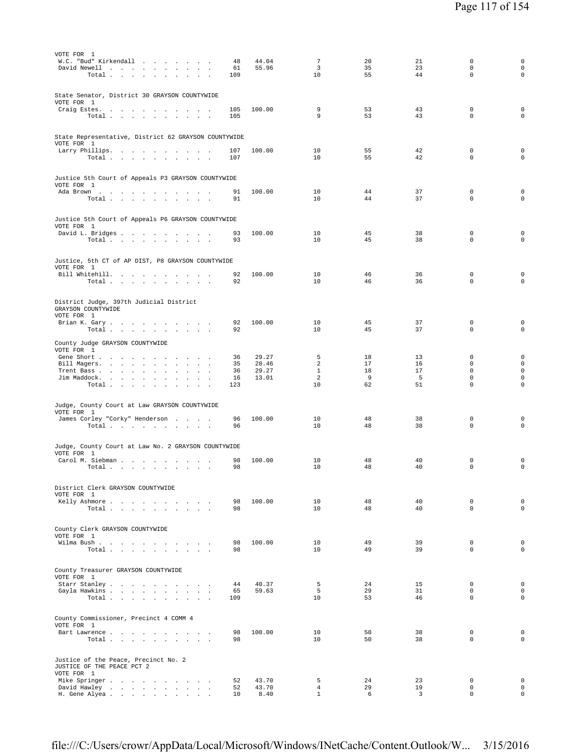| VOTE FOR 1<br>W.C. "Bud" Kirkendall<br>David Newell<br>Total<br>$\cdot$                        | 48<br>61<br>109 | 44.04<br>55.96 | $\overline{7}$<br>3<br>10 | 20<br>35<br>55 | 21<br>23<br>44 | $\mathbf 0$<br>$\mathsf 0$<br>$\Omega$    | 0<br>$\mathsf{O}\xspace$<br>$\circ$               |
|------------------------------------------------------------------------------------------------|-----------------|----------------|---------------------------|----------------|----------------|-------------------------------------------|---------------------------------------------------|
| State Senator, District 30 GRAYSON COUNTYWIDE<br>VOTE FOR 1<br>Craig Estes.<br>Total           | 105<br>105      | 100.00         | 9<br>9                    | 53<br>53       | 43<br>43       | $\mathbf 0$<br>$\Omega$                   | $\mathbf 0$<br>$\mathbf 0$                        |
| State Representative, District 62 GRAYSON COUNTYWIDE<br>VOTE FOR 1<br>Larry Phillips.<br>Total | 107<br>107      | 100.00         | 10<br>10                  | 55<br>55       | 42<br>42       | $\mathbf 0$<br>$\Omega$                   | $\mathbf 0$<br>$\mathbf 0$                        |
| Justice 5th Court of Appeals P3 GRAYSON COUNTYWIDE<br>VOTE FOR 1                               |                 |                |                           |                |                |                                           |                                                   |
| Ada Brown<br>Total $\cdots$ $\cdots$ $\cdots$<br><b>Carl Carl</b><br>$\ddot{\phantom{0}}$      | 91<br>91        | 100.00         | 10<br>10                  | 44<br>44       | 37<br>37       | $\mathbf 0$<br>$\mathbf 0$                | $\mathbf 0$<br>0                                  |
| Justice 5th Court of Appeals P6 GRAYSON COUNTYWIDE<br>VOTE FOR 1                               |                 |                |                           |                |                |                                           |                                                   |
| David L. Bridges<br>Total                                                                      | 93<br>93        | 100.00         | 10<br>10                  | 45<br>45       | 38<br>38       | $\mathbf 0$<br>$\Omega$                   | 0<br>$\Omega$                                     |
| Justice, 5th CT of AP DIST, P8 GRAYSON COUNTYWIDE                                              |                 |                |                           |                |                |                                           |                                                   |
| VOTE FOR 1<br>Bill Whitehill.<br>Total                                                         | 92<br>92        | 100.00         | 10<br>10                  | 46<br>46       | 36<br>36       | $\mathbf 0$<br>$\mathbf 0$                | $\mathsf{O}\xspace$<br>$\mathbf 0$                |
| District Judge, 397th Judicial District<br>GRAYSON COUNTYWIDE                                  |                 |                |                           |                |                |                                           |                                                   |
| VOTE FOR 1<br>Brian K. Gary.<br>Total $\cdots$ $\cdots$ $\cdots$                               | 92<br>92        | 100.00         | 10<br>10                  | 45<br>45       | 37<br>37       | $\mathbf 0$<br>$\mathbf 0$                | $\mathbf 0$<br>$\mathbf 0$                        |
| County Judge GRAYSON COUNTYWIDE<br>VOTE FOR 1                                                  |                 |                |                           |                |                |                                           |                                                   |
| Gene Short<br>Bill Magers.<br>$\sim$                                                           | 36<br>35        | 29.27<br>28.46 | 5<br>2                    | 18<br>17       | 13<br>16       | $\mathbf 0$<br>$\mathbf 0$                | $\mathbf 0$<br>$\mathbf 0$                        |
| Trent Bass<br>$\sim$<br>$\mathbf{r}$<br>Jim Maddock.<br>Total                                  | 36<br>16<br>123 | 29.27<br>13.01 | $\mathbf{1}$<br>2<br>10   | 18<br>9<br>62  | 17<br>5<br>51  | $\mathbf 0$<br>$\mathbf 0$<br>$\mathbf 0$ | $\mathbf 0$<br>$\mathsf{O}\xspace$<br>$\mathbf 0$ |
| Judge, County Court at Law GRAYSON COUNTYWIDE                                                  |                 |                |                           |                |                |                                           |                                                   |
| VOTE FOR 1<br>James Corley "Corky" Henderson<br>Total                                          | 96<br>96        | 100.00         | 10<br>10                  | 48<br>48       | 38<br>38       | $\mathbf 0$<br>$\mathbf 0$                | $\mathbf 0$<br>$\mathsf{O}\xspace$                |
| Judge, County Court at Law No. 2 GRAYSON COUNTYWIDE                                            |                 |                |                           |                |                |                                           |                                                   |
| VOTE FOR 1<br>Carol M. Siebman<br>Total                                                        | 98<br>98        | 100.00         | 10<br>10                  | 48<br>48       | 40<br>40       | 0<br>$\mathbf 0$                          | $\mathbf 0$<br>$\mathsf{O}\xspace$                |
| District Clerk GRAYSON COUNTYWIDE<br>VOTE FOR 1                                                |                 |                |                           |                |                |                                           |                                                   |
| Kelly Ashmore<br>Total                                                                         | 98<br>98        | 100.00         | 10<br>10                  | 48<br>48       | 40<br>40       | $\mathbf 0$<br>$\Omega$                   | $\mathbf 0$<br>$\circ$                            |
| County Clerk GRAYSON COUNTYWIDE<br>VOTE FOR 1                                                  |                 |                |                           |                |                |                                           |                                                   |
| Wilma Bush<br>Total                                                                            | 98<br>98        | 100.00         | 10<br>10                  | 49<br>49       | 39<br>39       | $\mathbf 0$<br>$\mathbf 0$                | $\mathbf 0$<br>$\mathbf 0$                        |
| County Treasurer GRAYSON COUNTYWIDE<br>VOTE FOR 1                                              |                 |                |                           |                |                |                                           |                                                   |
| Starr Stanley<br>Gayla Hawkins<br>Total<br><b>Contract Contract Contract</b>                   | 44<br>65<br>109 | 40.37<br>59.63 | 5<br>5<br>10              | 24<br>29<br>53 | 15<br>31<br>46 | $\mathbf 0$<br>$\mathbf 0$<br>$\mathbf 0$ | $\mathbf 0$<br>$\circ$<br>$\mathsf{O}\xspace$     |
| County Commissioner, Precinct 4 COMM 4<br>VOTE FOR 1                                           |                 |                |                           |                |                |                                           |                                                   |
| Bart Lawrence<br>Total                                                                         | 98<br>98        | 100.00         | 10<br>10                  | 50<br>50       | 38<br>38       | $\mathbf 0$<br>$\Omega$                   | $\mathbf 0$<br>$\circ$                            |
| Justice of the Peace, Precinct No. 2<br>JUSTICE OF THE PEACE PCT 2<br>VOTE FOR 1               |                 |                |                           |                |                |                                           |                                                   |
| Mike Springer<br>David Hawley<br>$\cdot$<br>$\Box$                                             | 52<br>52        | 43.70<br>43.70 | 5<br>$\overline{4}$       | 24<br>29       | 23<br>19       | $\mathbf 0$<br>$\mathbf 0$                | $\mathbf 0$<br>$\mathbf 0$                        |
| H. Gene Alyea<br>$\sim$                                                                        | 10              | 8.40           | $\mathbf{1}$              | 6              | 3              | $\mathbf 0$                               | $\mathsf{O}\xspace$                               |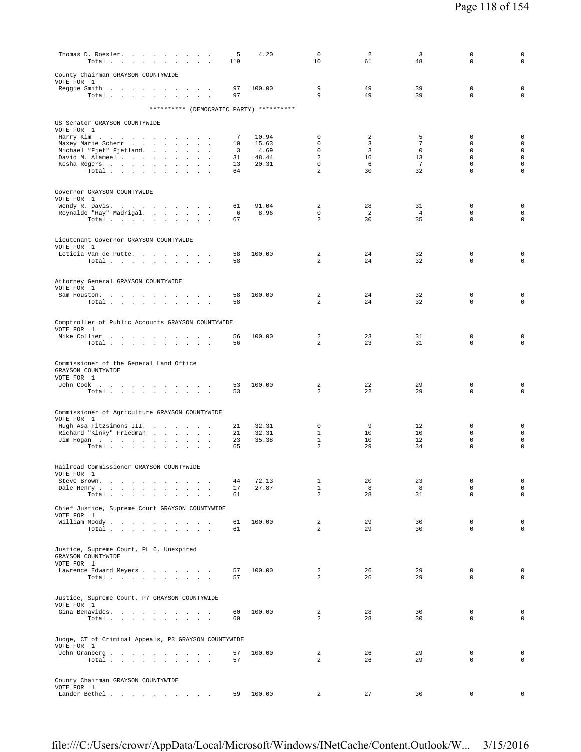| Thomas D. Roesler.<br>Total $\cdots$ $\cdots$ $\cdots$            | 5<br>119 | 4.20           | $\mathbf 0$<br>10                | 2<br>61  | 3<br>48               | 0<br>0                     | $\mathsf 0$<br>$\mathbf 0$                 |
|-------------------------------------------------------------------|----------|----------------|----------------------------------|----------|-----------------------|----------------------------|--------------------------------------------|
| County Chairman GRAYSON COUNTYWIDE<br>VOTE FOR 1                  |          |                |                                  |          |                       |                            |                                            |
| Reggie Smith<br>Total $\cdots$ $\cdots$ $\cdots$                  | 97<br>97 | 100.00         | 9<br>9                           | 49<br>49 | 39<br>39              | $\mathbf 0$<br>0           | $\mathsf 0$<br>$\mathsf 0$                 |
| ********** (DEMOCRATIC PARTY) **********                          |          |                |                                  |          |                       |                            |                                            |
| US Senator GRAYSON COUNTYWIDE<br>VOTE FOR 1                       |          |                |                                  |          |                       |                            |                                            |
| Harry Kim                                                         | 7        | 10.94          | 0<br>0                           | 2        | 5                     | $\mathbf 0$<br>$\mathbf 0$ | 0                                          |
| Maxey Marie Scherr<br>Michael "Fjet" Fjetland.                    | 10<br>3  | 15.63<br>4.69  | $\Omega$                         | 3<br>3   | 7<br>$\Omega$         | $\Omega$                   | $\mathbf 0$<br>$\mathsf{O}\xspace$         |
| David M. Alameel<br>Kesha Rogers                                  | 31<br>13 | 48.44<br>20.31 | 2<br>0                           | 16<br>6  | 13<br>$7\phantom{.0}$ | $\mathbf 0$<br>0           | $\mathsf 0$<br>$\mathsf 0$                 |
| Total                                                             | 64       |                | $\overline{a}$                   | 30       | 32                    | $\mathbf 0$                | $\mathbf 0$                                |
| Governor GRAYSON COUNTYWIDE                                       |          |                |                                  |          |                       |                            |                                            |
| VOTE FOR 1<br>Wendy R. Davis.                                     | 61       | 91.04          | 2                                | 28       | 31                    | 0                          | $\mathbf 0$                                |
| Reynaldo "Ray" Madrigal.<br>Total $\cdots$ $\cdots$ $\cdots$      | 6<br>67  | 8.96           | 0<br>$\overline{a}$              | 2<br>30  | $\overline{4}$<br>35  | 0<br>$\mathbf 0$           | $\mathbf 0$<br>0                           |
|                                                                   |          |                |                                  |          |                       |                            |                                            |
| Lieutenant Governor GRAYSON COUNTYWIDE<br>VOTE FOR 1              |          |                |                                  |          |                       |                            |                                            |
| Leticia Van de Putte.<br>Total<br>$\sim$ $\sim$                   | 58<br>58 | 100.00         | 2<br>$\overline{a}$              | 24<br>24 | 32<br>32              | 0<br>0                     | 0<br>$\circ$                               |
|                                                                   |          |                |                                  |          |                       |                            |                                            |
| Attorney General GRAYSON COUNTYWIDE<br>VOTE FOR 1                 |          |                |                                  |          |                       |                            |                                            |
| Sam Houston.<br>Total                                             | 58<br>58 | 100.00         | $\overline{a}$<br>$\overline{a}$ | 24<br>24 | 32<br>32              | $\mathbf 0$<br>$\mathbf 0$ | $\mathsf 0$<br>$\mathbf 0$                 |
| Comptroller of Public Accounts GRAYSON COUNTYWIDE                 |          |                |                                  |          |                       |                            |                                            |
| VOTE FOR 1                                                        |          |                | 2                                | 23       |                       | 0                          | 0                                          |
| Mike Collier<br>Total $\cdots$ $\cdots$ $\cdots$                  | 56<br>56 | 100.00         | $\overline{a}$                   | 23       | 31<br>31              | $\mathbf 0$                | $\mathbf 0$                                |
| Commissioner of the General Land Office<br>GRAYSON COUNTYWIDE     |          |                |                                  |          |                       |                            |                                            |
| VOTE FOR 1<br>John Cook                                           | 53       | 100.00         | 2                                | 22       | 29                    | $\mathbf 0$                | $\mathsf 0$                                |
| Total                                                             | 53       |                | 2                                | 22       | 29                    | 0                          | 0                                          |
| Commissioner of Agriculture GRAYSON COUNTYWIDE                    |          |                |                                  |          |                       |                            |                                            |
| VOTE FOR 1<br>Hugh Asa Fitzsimons III.                            | 21       | 32.31          | 0                                | 9        | 12                    | $\mathbf 0$                | $\mathsf 0$                                |
| Richard "Kinky" Friedman<br>Jim Hogan                             | 21<br>23 | 32.31<br>35.38 | $\mathbf{1}$<br>$\mathbf{1}$     | 10<br>10 | 10<br>12              | $\mathbf 0$<br>$\mathbf 0$ | $\mathsf{O}\xspace$<br>$\mathbf 0$         |
| Total                                                             | 65       |                | $\overline{a}$                   | 29       | 34                    | $\mathbf 0$                | 0                                          |
| Railroad Commissioner GRAYSON COUNTYWIDE                          |          |                |                                  |          |                       |                            |                                            |
| VOTE FOR 1<br>Steve Brown.<br>the contract of the contract of the | 44       | 72.13          | $\mathbf{1}$                     | 20       | 23                    | 0                          | 0                                          |
| Dale Henry<br>Total.<br>$\overline{a}$<br>$\sim$                  | 17<br>61 | 27.87          | $\mathbf{1}$<br>$\overline{a}$   | 8<br>28  | 8<br>31               | 0<br>$\mathbf 0$           | $\mathsf{O}\xspace$<br>$\mathsf{O}\xspace$ |
| Chief Justice, Supreme Court GRAYSON COUNTYWIDE                   |          |                |                                  |          |                       |                            |                                            |
| VOTE FOR 1<br>William Moody.                                      | 61       | 100.00         | 2                                | 29       | 30                    | $\mathbf 0$                | $\mathsf 0$                                |
| Total $\cdots$ $\cdots$ $\cdots$ $\cdots$                         | 61       |                | $\overline{a}$                   | 29       | 30                    | $\mathbf 0$                | $\mathbf 0$                                |
| Justice, Supreme Court, PL 6, Unexpired<br>GRAYSON COUNTYWIDE     |          |                |                                  |          |                       |                            |                                            |
| VOTE FOR 1<br>Lawrence Edward Meyers                              | 57       | 100.00         | 2                                | 26       | 29                    | 0                          | $\mathbf 0$                                |
| Total                                                             | 57       |                | $\overline{a}$                   | 26       | 29                    | $\mathbf 0$                | $\mathbf 0$                                |
| Justice, Supreme Court, P7 GRAYSON COUNTYWIDE<br>VOTE FOR 1       |          |                |                                  |          |                       |                            |                                            |
| Gina Benavides.<br>Total $\cdots$ $\cdots$ $\cdots$ $\cdots$      | 60<br>60 | 100.00         | $\overline{a}$<br>$\overline{2}$ | 28<br>28 | 30<br>30              | $\mathbf 0$<br>$\mathbf 0$ | $\mathbf 0$<br>$\mathbf 0$                 |
| Judge, CT of Criminal Appeals, P3 GRAYSON COUNTYWIDE              |          |                |                                  |          |                       |                            |                                            |
| VOTE FOR 1<br>John Granberg                                       | 57       | 100.00         | $\overline{a}$                   | 26       | 29                    | $\mathbf 0$                | $\mathbf 0$                                |
| Total                                                             | 57       |                | $\overline{a}$                   | 26       | 29                    | $\mathbf 0$                | $\mathbf 0$                                |
| County Chairman GRAYSON COUNTYWIDE<br>VOTE FOR 1                  |          |                |                                  |          |                       |                            |                                            |
| Lander Bethel                                                     | 59       | 100.00         | 2                                | 27       | 30                    | 0                          | 0                                          |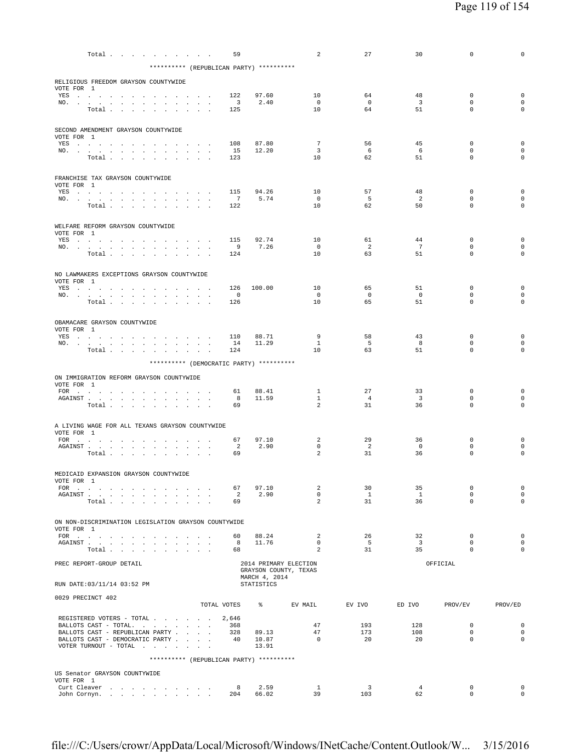|            |                                                                                                                                                                                                                                       | Total $\cdots$ $\cdots$ $\cdots$ |                      |                      |                                                                                                                                                                                                                                                              | 59                                                   |                                          | 2                              | 27                      | 30                            | 0                          | 0                                  |
|------------|---------------------------------------------------------------------------------------------------------------------------------------------------------------------------------------------------------------------------------------|----------------------------------|----------------------|----------------------|--------------------------------------------------------------------------------------------------------------------------------------------------------------------------------------------------------------------------------------------------------------|------------------------------------------------------|------------------------------------------|--------------------------------|-------------------------|-------------------------------|----------------------------|------------------------------------|
|            |                                                                                                                                                                                                                                       |                                  |                      |                      |                                                                                                                                                                                                                                                              |                                                      | ********** (REPUBLICAN PARTY) ********** |                                |                         |                               |                            |                                    |
|            | RELIGIOUS FREEDOM GRAYSON COUNTYWIDE                                                                                                                                                                                                  |                                  |                      |                      |                                                                                                                                                                                                                                                              |                                                      |                                          |                                |                         |                               |                            |                                    |
| VOTE FOR 1 |                                                                                                                                                                                                                                       |                                  |                      |                      |                                                                                                                                                                                                                                                              |                                                      |                                          |                                |                         |                               |                            |                                    |
|            | YES a contract of the contract of the state of the state of the state of the state of the state of the state of the state of the state of the state of the state of the state of the state of the state of the state of the st<br>NO. |                                  | $\sim$               |                      |                                                                                                                                                                                                                                                              | 122<br>$\overline{\phantom{a}}$                      | 97.60<br>2.40                            | 10<br>$\overline{0}$           | 64<br>$\mathsf{O}$      | 48<br>$\overline{3}$          | 0<br>$\mathbf 0$           | $\mathbf 0$<br>$\mathsf{O}\xspace$ |
|            |                                                                                                                                                                                                                                       | Total                            |                      |                      |                                                                                                                                                                                                                                                              | 125                                                  |                                          | 10                             | 64                      | 51                            | $\mathbf 0$                | $\mathbf 0$                        |
|            |                                                                                                                                                                                                                                       |                                  |                      |                      |                                                                                                                                                                                                                                                              |                                                      |                                          |                                |                         |                               |                            |                                    |
|            | SECOND AMENDMENT GRAYSON COUNTYWIDE                                                                                                                                                                                                   |                                  |                      |                      |                                                                                                                                                                                                                                                              |                                                      |                                          |                                |                         |                               |                            |                                    |
| VOTE FOR 1 |                                                                                                                                                                                                                                       |                                  |                      |                      |                                                                                                                                                                                                                                                              | 108                                                  | 87.80                                    | $7\overline{ }$                | 56                      | 45                            | $\mathbf 0$                | $\mathsf{O}\xspace$                |
|            | YES<br>NO.                                                                                                                                                                                                                            |                                  |                      |                      |                                                                                                                                                                                                                                                              | 15                                                   | 12.20                                    | $\overline{\mathbf{3}}$        | - 6                     | - 6                           | $\mathbf 0$                | $\mathbf 0$                        |
|            |                                                                                                                                                                                                                                       | Total                            |                      |                      |                                                                                                                                                                                                                                                              | 123                                                  |                                          | 10                             | 62                      | 51                            | $\Omega$                   | $\mathbf 0$                        |
|            |                                                                                                                                                                                                                                       |                                  |                      |                      |                                                                                                                                                                                                                                                              |                                                      |                                          |                                |                         |                               |                            |                                    |
| VOTE FOR 1 | FRANCHISE TAX GRAYSON COUNTYWIDE                                                                                                                                                                                                      |                                  |                      |                      |                                                                                                                                                                                                                                                              |                                                      |                                          |                                |                         |                               |                            |                                    |
|            | YES a contract of the contract of the state of the state of the state of the state of the state of the state of the state of the state of the state of the state of the state of the state of the state of the state of the st        |                                  |                      |                      |                                                                                                                                                                                                                                                              | 115                                                  | 94.26                                    | 10                             | 57                      | 48                            | $\mathbf 0$                | $\mathsf{O}\xspace$                |
|            | NO.                                                                                                                                                                                                                                   | Total                            |                      |                      | <b>Contract Contract</b>                                                                                                                                                                                                                                     | $\overline{7}$<br>122                                | 5.74                                     | $\overline{0}$<br>10           | - 5<br>62               | 2<br>50                       | $\mathbf 0$<br>$\mathbf 0$ | $\mathbf 0$<br>$\mathbf 0$         |
|            |                                                                                                                                                                                                                                       |                                  |                      |                      |                                                                                                                                                                                                                                                              |                                                      |                                          |                                |                         |                               |                            |                                    |
|            | WELFARE REFORM GRAYSON COUNTYWIDE                                                                                                                                                                                                     |                                  |                      |                      |                                                                                                                                                                                                                                                              |                                                      |                                          |                                |                         |                               |                            |                                    |
| VOTE FOR 1 |                                                                                                                                                                                                                                       |                                  |                      |                      |                                                                                                                                                                                                                                                              |                                                      |                                          |                                |                         |                               |                            |                                    |
|            | YES a contract of the contract of the state of the state of the state of the state of the state of the state of the state of the state of the state of the state of the state of the state of the state of the state of the st<br>NO. |                                  |                      |                      |                                                                                                                                                                                                                                                              | 115<br>9                                             | 92.74<br>7.26                            | 10<br>$\overline{0}$           | 61<br>2                 | 44<br>$7\phantom{.0}$         | $\mathbf 0$<br>$\mathbf 0$ | $\mathsf{O}\xspace$<br>$\mathbf 0$ |
|            |                                                                                                                                                                                                                                       | Total                            |                      |                      |                                                                                                                                                                                                                                                              | 124                                                  |                                          | 10                             | 63                      | 51                            | $\mathbf 0$                | $\mathbf 0$                        |
|            |                                                                                                                                                                                                                                       |                                  |                      |                      |                                                                                                                                                                                                                                                              |                                                      |                                          |                                |                         |                               |                            |                                    |
| VOTE FOR 1 | NO LAWMAKERS EXCEPTIONS GRAYSON COUNTYWIDE                                                                                                                                                                                            |                                  |                      |                      |                                                                                                                                                                                                                                                              |                                                      |                                          |                                |                         |                               |                            |                                    |
|            | YES a contract of the contract of the state of the state of the state of the state of the state of the state of the state of the state of the state of the state of the state of the state of the state of the state of the st        |                                  |                      |                      |                                                                                                                                                                                                                                                              | 126                                                  | 100.00                                   | 10                             | 65                      | 51                            | 0                          | $\mathbf 0$                        |
|            | NO.                                                                                                                                                                                                                                   |                                  |                      |                      |                                                                                                                                                                                                                                                              | $\overline{0}$<br>126                                |                                          | $\overline{0}$<br>10           | $\overline{0}$<br>65    | $\overline{0}$<br>51          | $\mathbf 0$<br>$\mathbf 0$ | $\mathbf 0$<br>$\mathbf 0$         |
|            |                                                                                                                                                                                                                                       | Total                            |                      |                      |                                                                                                                                                                                                                                                              |                                                      |                                          |                                |                         |                               |                            |                                    |
|            | OBAMACARE GRAYSON COUNTYWIDE                                                                                                                                                                                                          |                                  |                      |                      |                                                                                                                                                                                                                                                              |                                                      |                                          |                                |                         |                               |                            |                                    |
| VOTE FOR 1 |                                                                                                                                                                                                                                       |                                  |                      |                      |                                                                                                                                                                                                                                                              |                                                      |                                          |                                |                         |                               |                            |                                    |
|            | YES a contract of the contract of the contract of the set of the set of the set of the set of the set of the set of the set of the set of the set of the set of the set of the set of the set of the set of the set of the set<br>NO. |                                  |                      |                      |                                                                                                                                                                                                                                                              | 110<br>14                                            | 88.71<br>11.29                           | 9<br>$\mathbf{1}$              | 58<br>5                 | 43<br>- 8                     | 0<br>$\mathbb O$           | $\mathbf 0$<br>$\mathsf{O}\xspace$ |
|            |                                                                                                                                                                                                                                       | Total                            |                      |                      |                                                                                                                                                                                                                                                              | 124                                                  |                                          | 10                             | 63                      | 51                            | $\mathbf 0$                | $\mathsf{O}\xspace$                |
|            |                                                                                                                                                                                                                                       |                                  |                      |                      |                                                                                                                                                                                                                                                              |                                                      | ********** (DEMOCRATIC PARTY) ********** |                                |                         |                               |                            |                                    |
|            |                                                                                                                                                                                                                                       |                                  |                      |                      |                                                                                                                                                                                                                                                              |                                                      |                                          |                                |                         |                               |                            |                                    |
| VOTE FOR 1 | ON IMMIGRATION REFORM GRAYSON COUNTYWIDE                                                                                                                                                                                              |                                  |                      |                      |                                                                                                                                                                                                                                                              |                                                      |                                          |                                |                         |                               |                            |                                    |
|            | FOR $\cdots$                                                                                                                                                                                                                          |                                  |                      |                      |                                                                                                                                                                                                                                                              | 61                                                   | 88.41                                    | 1                              | 27                      | 33                            | 0                          | $\mathsf{O}\xspace$                |
|            | AGAINST                                                                                                                                                                                                                               | Total                            | <b>Sales Advised</b> | $\ddot{\phantom{a}}$ | $\ddot{\phantom{a}}$<br><b>Sales Advised Advised Advised Advised Advised Advised Advised Advised Advised Advised Advised Advised Advised Advised Advised Advised Advised Advised Advised Advised Advised Advised Advised Advised Advised Advised Advised</b> | 8<br>69                                              | 11.59                                    | $\mathbf{1}$<br>$\overline{a}$ | $\overline{4}$<br>31    | $\overline{\mathbf{3}}$<br>36 | $\mathbf 0$<br>$\mathbf 0$ | $\mathsf{O}\xspace$<br>$\mathbf 0$ |
|            |                                                                                                                                                                                                                                       |                                  |                      |                      |                                                                                                                                                                                                                                                              |                                                      |                                          |                                |                         |                               |                            |                                    |
|            | A LIVING WAGE FOR ALL TEXANS GRAYSON COUNTYWIDE                                                                                                                                                                                       |                                  |                      |                      |                                                                                                                                                                                                                                                              |                                                      |                                          |                                |                         |                               |                            |                                    |
| VOTE FOR 1 |                                                                                                                                                                                                                                       |                                  |                      |                      |                                                                                                                                                                                                                                                              |                                                      |                                          |                                |                         |                               | $\mathbf 0$                |                                    |
|            | FOR<br>AGAINST                                                                                                                                                                                                                        |                                  |                      |                      |                                                                                                                                                                                                                                                              | 67<br>$\overline{c}$                                 | 97.10<br>2.90                            | 2<br>$\mathbf{0}$              | 29<br>2                 | 36<br>$\circ$                 | $\mathbf 0$                | $\mathbf 0$<br>$\mathsf{O}\xspace$ |
|            |                                                                                                                                                                                                                                       | Total                            |                      |                      |                                                                                                                                                                                                                                                              | 69                                                   |                                          | $\overline{a}$                 | 31                      | 36                            | $\mathbf 0$                | $\mathsf 0$                        |
|            |                                                                                                                                                                                                                                       |                                  |                      |                      |                                                                                                                                                                                                                                                              |                                                      |                                          |                                |                         |                               |                            |                                    |
| VOTE FOR 1 | MEDICAID EXPANSION GRAYSON COUNTYWIDE                                                                                                                                                                                                 |                                  |                      |                      |                                                                                                                                                                                                                                                              |                                                      |                                          |                                |                         |                               |                            |                                    |
|            | FOR a contract that is a contract of the set of the set of the set of the set of the set of the set of the set of the set of the set of the set of the set of the set of the set of the set of the set of the set of the set o        |                                  |                      |                      |                                                                                                                                                                                                                                                              | 67                                                   | 97.10                                    | 2                              | 30                      | 35                            | $\mathbf 0$                | $\mathbf 0$                        |
|            | AGAINST                                                                                                                                                                                                                               | Total                            |                      |                      |                                                                                                                                                                                                                                                              | 2<br>69                                              | 2.90                                     | $\mathbf 0$<br>$\overline{a}$  | $\mathbf{1}$<br>31      | $\mathbf{1}$<br>36            | $\mathbf 0$<br>$\mathbf 0$ | $\mathbf 0$<br>$\mathbf 0$         |
|            |                                                                                                                                                                                                                                       |                                  |                      |                      |                                                                                                                                                                                                                                                              |                                                      |                                          |                                |                         |                               |                            |                                    |
|            |                                                                                                                                                                                                                                       |                                  |                      |                      |                                                                                                                                                                                                                                                              | ON NON-DISCRIMINATION LEGISLATION GRAYSON COUNTYWIDE |                                          |                                |                         |                               |                            |                                    |
| VOTE FOR 1 |                                                                                                                                                                                                                                       |                                  |                      |                      |                                                                                                                                                                                                                                                              |                                                      |                                          |                                |                         |                               |                            |                                    |
|            | AGAINST                                                                                                                                                                                                                               |                                  |                      |                      |                                                                                                                                                                                                                                                              | 60<br>8                                              | 88.24<br>11.76                           | 2<br>$\circ$                   | 26<br>5 <sup>5</sup>    | 32<br>$\overline{\mathbf{3}}$ | $\mathbf 0$<br>$\mathbf 0$ | $\mathbf 0$<br>$\circ$             |
|            |                                                                                                                                                                                                                                       | Total                            |                      |                      |                                                                                                                                                                                                                                                              | 68                                                   |                                          | $\overline{a}$                 | 31                      | 35                            | $\mathbf 0$                | $\mathbf 0$                        |
|            | PREC REPORT-GROUP DETAIL                                                                                                                                                                                                              |                                  |                      |                      |                                                                                                                                                                                                                                                              |                                                      |                                          | 2014 PRIMARY ELECTION          |                         |                               | OFFICIAL                   |                                    |
|            |                                                                                                                                                                                                                                       |                                  |                      |                      |                                                                                                                                                                                                                                                              |                                                      |                                          | GRAYSON COUNTY, TEXAS          |                         |                               |                            |                                    |
|            | RUN DATE: 03/11/14 03:52 PM                                                                                                                                                                                                           |                                  |                      |                      |                                                                                                                                                                                                                                                              |                                                      | MARCH 4, 2014<br><b>STATISTICS</b>       |                                |                         |                               |                            |                                    |
|            |                                                                                                                                                                                                                                       |                                  |                      |                      |                                                                                                                                                                                                                                                              |                                                      |                                          |                                |                         |                               |                            |                                    |
|            | 0029 PRECINCT 402                                                                                                                                                                                                                     |                                  |                      |                      |                                                                                                                                                                                                                                                              | TOTAL VOTES                                          | 아이는 아이들이 아이들이 없었다.                       | EV MAIL                        | EV IVO                  | ED IVO                        | PROV/EV                    | PROV/ED                            |
|            |                                                                                                                                                                                                                                       |                                  |                      |                      |                                                                                                                                                                                                                                                              |                                                      |                                          |                                |                         |                               |                            |                                    |
|            | REGISTERED VOTERS - TOTAL<br>BALLOTS CAST - TOTAL.                                                                                                                                                                                    |                                  |                      |                      |                                                                                                                                                                                                                                                              | 2,646<br>368                                         |                                          | 47                             | 193                     | 128                           | 0                          | $\mathbf 0$                        |
|            | BALLOTS CAST - REPUBLICAN PARTY<br>BALLOTS CAST - DEMOCRATIC PARTY                                                                                                                                                                    |                                  |                      |                      |                                                                                                                                                                                                                                                              | 328<br>40                                            | 89.13<br>10.87                           | 47<br>$\overline{0}$           | 173<br>20               | 108<br>20                     | $^{\circ}$<br>$\Omega$     | $\mathsf 0$<br>$\mathbf 0$         |
|            | VOTER TURNOUT - TOTAL $\ldots$                                                                                                                                                                                                        |                                  |                      |                      |                                                                                                                                                                                                                                                              |                                                      | 13.91                                    |                                |                         |                               |                            |                                    |
|            |                                                                                                                                                                                                                                       |                                  |                      |                      |                                                                                                                                                                                                                                                              |                                                      | ********** (REPUBLICAN PARTY) ********** |                                |                         |                               |                            |                                    |
|            |                                                                                                                                                                                                                                       |                                  |                      |                      |                                                                                                                                                                                                                                                              |                                                      |                                          |                                |                         |                               |                            |                                    |
| VOTE FOR 1 | US Senator GRAYSON COUNTYWIDE                                                                                                                                                                                                         |                                  |                      |                      |                                                                                                                                                                                                                                                              |                                                      |                                          |                                |                         |                               |                            |                                    |
|            | $\text{Curt Cleaver} \quad . \quad . \quad . \quad . \quad . \quad . \quad . \quad . \quad . \quad .$                                                                                                                                 |                                  |                      |                      |                                                                                                                                                                                                                                                              | 8                                                    | 2.59                                     | $\mathbf{1}$                   | $\overline{\mathbf{3}}$ | $\overline{4}$                | $\mathbf 0$                | $\circ$                            |
|            | John Cornyn.                                                                                                                                                                                                                          |                                  |                      |                      |                                                                                                                                                                                                                                                              | 204                                                  | 66.02                                    | 39                             | 103                     | 62                            | $\mathbf 0$                | $\mathsf{O}\xspace$                |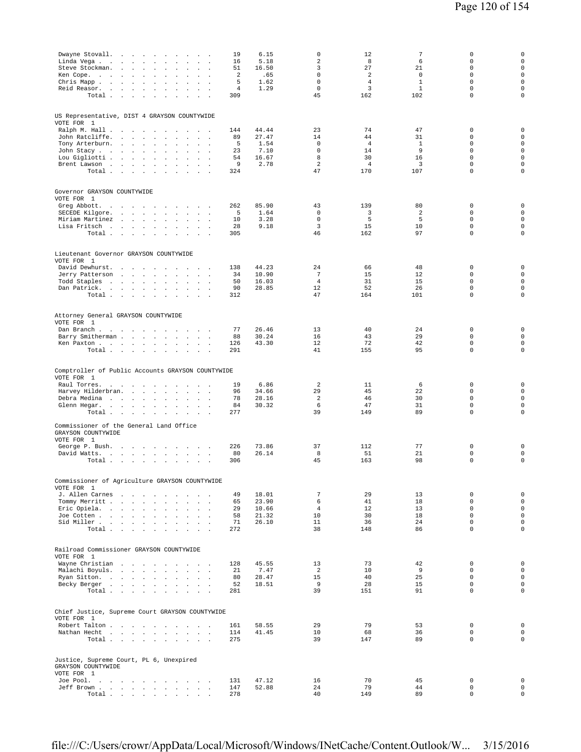| Linda Vega .<br>$\sim$<br>Steve Stockman.<br>Ken Cope.<br>Chris Mapp<br>Reid Reasor.<br>Total.                                                                   | Dwayne Stovall.<br>$\sim$<br>$\sim$<br>$\sim$<br>$\sim$<br>$\sim$<br>$\overline{a}$<br>the contract of the con-<br>$\Delta$<br>$\overline{a}$<br>$\sim$<br>$\sim$<br>$\sim$ $\sim$<br>$\ddot{\phantom{a}}$<br>$\sim$ $\sim$<br>$\mathbb{Z}^2$<br>$\sim$<br>$\ddot{\phantom{a}}$<br>$\ddot{\phantom{a}}$<br>$\sim$ $\sim$<br>$\sim$<br>$\sim$ $\sim$<br>$\ddot{\phantom{a}}$<br>$\ddot{\phantom{a}}$ | $\mathbf{r}$<br>$\ddot{\phantom{a}}$<br>$\ddot{\phantom{a}}$<br>$\mathbf{r}$<br>n.<br>$\mathbf{r}$<br>$\ddot{\phantom{a}}$<br>$\sim$ $\sim$                                          | 19<br>6.15<br>5.18<br>16<br>51<br>16.50<br>2<br>.65<br>5<br>1.62<br>$\overline{4}$<br>1.29<br>309 | 0<br>$\overline{a}$<br>3<br>$\mathbf 0$<br>$\mathbf 0$<br>$\mathbf 0$<br>45 | 12<br>8<br>27<br>2<br>$\overline{4}$<br>3<br>162   | $\overline{7}$<br>6<br>21<br>$\mathbf 0$<br>$\mathbf{1}$<br>$\mathbf{1}$<br>102 | 0<br>$\mathbb O$<br>$\mathbf 0$<br>$\mathbf 0$<br>$\mathbf 0$<br>$\mathbf 0$<br>$\mathbf 0$        | 0<br>$\mathsf 0$<br>$\mathbf 0$<br>$\mathbf 0$<br>$\mathbf 0$<br>$\mathbf 0$<br>$\mathbf 0$ |
|------------------------------------------------------------------------------------------------------------------------------------------------------------------|-----------------------------------------------------------------------------------------------------------------------------------------------------------------------------------------------------------------------------------------------------------------------------------------------------------------------------------------------------------------------------------------------------|--------------------------------------------------------------------------------------------------------------------------------------------------------------------------------------|---------------------------------------------------------------------------------------------------|-----------------------------------------------------------------------------|----------------------------------------------------|---------------------------------------------------------------------------------|----------------------------------------------------------------------------------------------------|---------------------------------------------------------------------------------------------|
| US Representative, DIST 4 GRAYSON COUNTYWIDE<br>VOTE FOR 1<br>Ralph M. Hall<br>John Ratcliffe.<br>Tony Arterburn.<br>John Stacy<br>Lou Gigliotti<br>Brent Lawson | $\sim$<br>$\ddot{\phantom{a}}$<br>$\overline{\phantom{a}}$<br>$\ddot{\phantom{a}}$<br>$\ddot{\phantom{a}}$<br>$\ddot{\phantom{a}}$<br>$\sim$<br>$\sim$ $-$<br>$\sim 10^{-1}$ km $^{-2}$<br>$\ddot{\phantom{a}}$<br>Total                                                                                                                                                                            | $\sim$<br>$\sim$<br>$\lambda$<br>$\mathbf{r}$<br>$\sim$ $\sim$<br>$\mathbf{r}$<br>$\ddot{\phantom{a}}$<br>$\mathbf{r}$<br>$\sim$<br>$\sim$<br>$\sim$<br>$\mathbf{r}$<br>$\mathbf{r}$ | 44.44<br>144<br>27.47<br>89<br>5<br>1.54<br>23<br>7.10<br>16.67<br>54<br>2.78<br>9<br>324         | 23<br>14<br>$\mathbf 0$<br>$\Omega$<br>8<br>$\overline{a}$<br>47            | 74<br>44<br>$\overline{4}$<br>14<br>30<br>4<br>170 | 47<br>31<br>$\mathbf{1}$<br>9<br>16<br>3<br>107                                 | $\mathbf 0$<br>$\mathbf 0$<br>$\mathbf 0$<br>$\Omega$<br>$\mathbf 0$<br>$\mathbf 0$<br>$\mathbf 0$ | $\mathbf 0$<br>$\mathbf 0$<br>$\mathbf 0$<br>$\mathbf 0$<br>$\mathbf 0$<br>$\mathbf 0$<br>0 |
| Governor GRAYSON COUNTYWIDE<br>VOTE FOR 1<br>Greg Abbott.<br>SECEDE Kilgore.<br>Miriam Martinez<br>Lisa Fritsch                                                  | the contract of the contract of<br>the contract of the contract<br>$\sim$<br>the company of the company<br>$\ddot{\phantom{a}}$<br>$\sim 10^{-1}$<br>$\sim$<br>$\ddot{\phantom{a}}$<br>$\cdot$<br>Total<br>$\cdot$                                                                                                                                                                                  | and the state of the state of the<br>$\sim$<br>$\mathbf{a}=\mathbf{a}$<br>$\sim$<br>$\sim$ $\sim$<br>$\cdot$                                                                         | 262<br>85.90<br>5<br>1.64<br>3.28<br>10<br>9.18<br>28<br>305                                      | 43<br>$\mathbf 0$<br>$\mathbf 0$<br>3<br>46                                 | 139<br>3<br>5<br>15<br>162                         | 80<br>2<br>5<br>10<br>97                                                        | 0<br>$\mathbf 0$<br>$\mathbf 0$<br>$\mathbf 0$<br>$\mathbf 0$                                      | $\mathbf 0$<br>$\mathsf 0$<br>$\mathsf 0$<br>$\mathsf 0$<br>0                               |
| Lieutenant Governor GRAYSON COUNTYWIDE<br>VOTE FOR 1<br>David Dewhurst.<br>Jerry Patterson<br>Todd Staples<br>Dan Patrick.                                       | $\overline{\phantom{a}}$<br>$\sim$<br>the contract of the con-<br>$\Delta$<br>Total<br>$\sim$<br>$\sim$                                                                                                                                                                                                                                                                                             | $\mathbf{1}$ and $\mathbf{1}$ and $\mathbf{1}$<br>$\sim$<br>$\mathbf{a}=\mathbf{a}$<br>$\mathbf{r}$<br>$\ddot{\phantom{a}}$<br>$\sim$ $\sim$ $\sim$                                  | 44.23<br>138<br>10.90<br>34<br>16.03<br>50<br>90<br>28.85<br>312                                  | 24<br>$\overline{7}$<br>$\overline{4}$<br>12<br>47                          | 66<br>15<br>31<br>52<br>164                        | 48<br>12<br>15<br>26<br>101                                                     | $\mathbf 0$<br>$\mathbf 0$<br>$\mathbf 0$<br>$\mathbf 0$<br>$\mathbf 0$                            | 0<br>$\mathbf 0$<br>$\mathbf 0$<br>$\mathbf 0$<br>$\mathbf 0$                               |
| Attorney General GRAYSON COUNTYWIDE<br>VOTE FOR 1<br>Dan Branch<br>Barry Smitherman<br>Ken Paxton                                                                | $\sim$<br>$\sim$<br>$\sim$<br>Total $\cdots$ $\cdots$                                                                                                                                                                                                                                                                                                                                               | $\mathcal{L}$<br>$\sim$<br>$\sim$<br>$\sim$<br>$\sim$<br>$\sim$                                                                                                                      | 26.46<br>77<br>30.24<br>88<br>43.30<br>126<br>291                                                 | 13<br>16<br>12<br>41                                                        | 40<br>43<br>72<br>155                              | 24<br>29<br>42<br>95                                                            | $\mathbb O$<br>$\mathbf 0$<br>$\mathsf 0$<br>$\mathbf 0$                                           | $\mathbf 0$<br>$\mathbf 0$<br>$\mathsf 0$<br>0                                              |
| Comptroller of Public Accounts GRAYSON COUNTYWIDE<br>VOTE FOR 1<br>Raul Torres.<br>Harvey Hilderbran.<br>Debra Medina<br>Glenn Hegar.                            | the company of the company of<br>$\sim$<br><b>Carl Control</b><br>$\mathbf{r}$<br>$\overline{\phantom{a}}$<br>$\cdot$<br>$\sim$<br>Total $\cdots$ $\cdots$<br>$\sim$                                                                                                                                                                                                                                | $\cdot$<br>$\sim$ $\sim$ $\sim$<br>$\ddot{\phantom{a}}$<br>$\mathbf{a}=\mathbf{a}$<br>$\sim$                                                                                         | 6.86<br>19<br>34.66<br>96<br>28.16<br>78<br>30.32<br>84<br>277                                    | 2<br>29<br>2<br>6<br>39                                                     | 11<br>45<br>46<br>47<br>149                        | 6<br>22<br>30<br>31<br>89                                                       | $\mathbb O$<br>$\mathbf 0$<br>$\mathbf 0$<br>$\mathbf 0$<br>$\mathbf 0$                            | $\mathbf 0$<br>$\mathsf 0$<br>$\mathbf 0$<br>$\mathbf 0$<br>$\mathbf 0$                     |
| Commissioner of the General Land Office<br>GRAYSON COUNTYWIDE<br>VOTE FOR 1<br>George P. Bush.<br>David Watts.                                                   | Total<br>$\sim$                                                                                                                                                                                                                                                                                                                                                                                     | $\sim$ $\sim$ $\sim$ $\sim$<br>$\mathbf{r}$                                                                                                                                          | 226<br>73.86<br>80<br>26.14<br>306                                                                | 37<br>8<br>45                                                               | 112<br>51<br>163                                   | 77<br>21<br>98                                                                  | $\mathbf 0$<br>$\mathbb O$<br>$\mathbf 0$                                                          | 0<br>0<br>$\mathsf 0$                                                                       |
| Commissioner of Agriculture GRAYSON COUNTYWIDE<br>VOTE FOR 1<br>J. Allen Carnes<br>Tommy Merritt<br>Eric Opiela.<br>Joe Cotten<br>Sid Miller                     | Total $\cdots$ $\cdots$ $\cdots$                                                                                                                                                                                                                                                                                                                                                                    | and a contract<br>$\sim$ $\sim$ $\sim$                                                                                                                                               | 18.01<br>49<br>23.90<br>65<br>10.66<br>29<br>58<br>21.32<br>71<br>26.10<br>272                    | $7\phantom{.0}$<br>6<br>$\overline{4}$<br>10<br>11<br>38                    | 29<br>41<br>12<br>30<br>36<br>148                  | 13<br>18<br>13<br>18<br>24<br>86                                                | $\mathbf 0$<br>$\mathbf 0$<br>$\mathbf 0$<br>$\Omega$<br>$\mathbf 0$<br>$\mathbf 0$                | $\mathsf{O}\xspace$<br>$\mathbf 0$<br>$\mathbf 0$<br>$\Omega$<br>$\mathbf 0$<br>$\mathbf 0$ |
| Railroad Commissioner GRAYSON COUNTYWIDE<br>VOTE FOR 1<br>Wayne Christian<br>Malachi Boyuls.<br>Ryan Sitton.<br>Becky Berger                                     | $\sim 10^{-1}$<br>Total                                                                                                                                                                                                                                                                                                                                                                             | $\sim$<br>$\mathcal{L}^{\text{max}}$                                                                                                                                                 | 45.55<br>128<br>21<br>7.47<br>80<br>28.47<br>52<br>18.51<br>281                                   | 13<br><sup>2</sup><br>15<br>9<br>39                                         | 73<br>10<br>40<br>28<br>151                        | 42<br>9<br>25<br>15<br>91                                                       | $\mathbf 0$<br>$\mathbf 0$<br>$\mathbf 0$<br>$\Omega$<br>$\mathbf 0$                               | $\mathbf 0$<br>$\mathbf 0$<br>$\mathbf 0$<br>0<br>$\mathbf 0$                               |
| Chief Justice, Supreme Court GRAYSON COUNTYWIDE<br>VOTE FOR 1<br>Robert Talton<br>Nathan Hecht                                                                   | $\ddot{\phantom{0}}$<br>Total                                                                                                                                                                                                                                                                                                                                                                       | $\mathbf{r}$<br>$\sim$ $\sim$                                                                                                                                                        | 161<br>58.55<br>114<br>41.45<br>275                                                               | 29<br>10<br>39                                                              | 79<br>68<br>147                                    | 53<br>36<br>89                                                                  | $\mathbb O$<br>$\mathbf 0$<br>$\mathbf 0$                                                          | $\mathsf 0$<br>$\mathsf 0$<br>$\mathbf 0$                                                   |
| Justice, Supreme Court, PL 6, Unexpired<br>GRAYSON COUNTYWIDE<br>VOTE FOR 1<br>Joe Pool.<br>Jeff Brown                                                           | Total $\cdots$ $\cdots$ $\cdots$ $\cdots$                                                                                                                                                                                                                                                                                                                                                           |                                                                                                                                                                                      | 131<br>47.12<br>147<br>52.88<br>278                                                               | 16<br>24<br>40                                                              | 70<br>79<br>149                                    | 45<br>44<br>89                                                                  | $\mathbf 0$<br>$\mathbf 0$<br>$\mathbf 0$                                                          | $\mathsf{O}\xspace$<br>$\mathsf 0$<br>$\mathbf 0$                                           |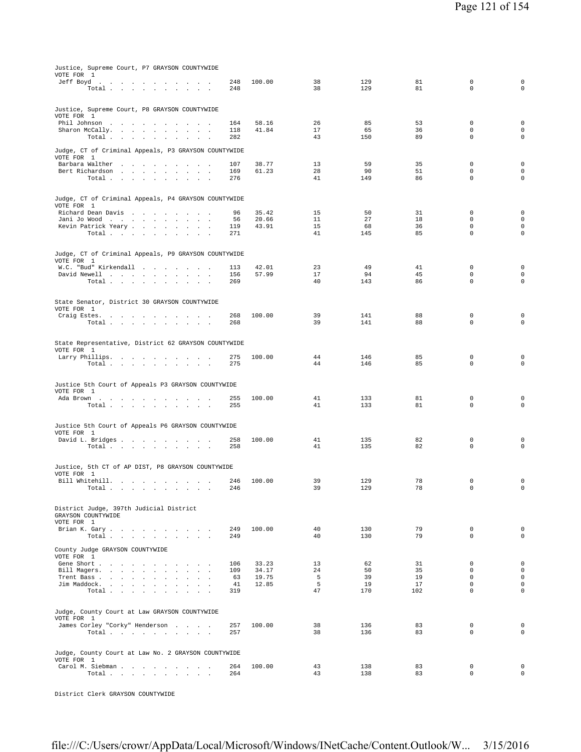| Justice, Supreme Court, P7 GRAYSON COUNTYWIDE<br>VOTE FOR 1                                                                                           |            |                |          |            |          |                            |                                    |
|-------------------------------------------------------------------------------------------------------------------------------------------------------|------------|----------------|----------|------------|----------|----------------------------|------------------------------------|
| Jeff Boyd<br>the contract of the contract of the contract of the                                                                                      | 248        | 100.00         | 38<br>38 | 129<br>129 | 81<br>81 | 0<br>$\mathbf 0$           | $\mathbf 0$<br>$\mathbf 0$         |
| Total                                                                                                                                                 | 248        |                |          |            |          |                            |                                    |
| Justice, Supreme Court, P8 GRAYSON COUNTYWIDE                                                                                                         |            |                |          |            |          |                            |                                    |
| VOTE FOR 1                                                                                                                                            |            |                |          |            |          |                            |                                    |
| Phil Johnson<br>Sharon McCally.<br>the contract of the con-<br>the company of the company                                                             | 164<br>118 | 58.16<br>41.84 | 26<br>17 | 85<br>65   | 53<br>36 | $\mathbf 0$<br>$\mathbf 0$ | $\mathbf 0$<br>$\mathsf{O}\xspace$ |
| Total                                                                                                                                                 | 282        |                | 43       | 150        | 89       | $\mathbf 0$                | $\mathbf 0$                        |
| Judge, CT of Criminal Appeals, P3 GRAYSON COUNTYWIDE<br>VOTE FOR 1                                                                                    |            |                |          |            |          |                            |                                    |
| Barbara Walther                                                                                                                                       | 107        | 38.77          | 13       | 59         | 35       | 0                          | $\mathbf 0$                        |
| Bert Richardson<br>the contract of the contract of the contract of the contract of the contract of the contract of the contract of<br>Total<br>$\sim$ | 169<br>276 | 61.23          | 28<br>41 | 90<br>149  | 51<br>86 | $\mathbf 0$<br>$\mathbf 0$ | $\mathbf 0$<br>$\mathbf 0$         |
|                                                                                                                                                       |            |                |          |            |          |                            |                                    |
| Judge, CT of Criminal Appeals, P4 GRAYSON COUNTYWIDE<br>VOTE FOR 1                                                                                    |            |                |          |            |          |                            |                                    |
| Richard Dean Davis                                                                                                                                    | 96         | 35.42          | 15       | 50         | 31       | 0                          | $\mathbf 0$                        |
| Jani Jo Wood<br>$\mathbf{r} = \mathbf{r} \cdot \mathbf{r}$<br>Kevin Patrick Yeary                                                                     | 56<br>119  | 20.66<br>43.91 | 11<br>15 | 27<br>68   | 18<br>36 | $\mathbf 0$<br>$\mathbf 0$ | $\mathbf 0$<br>$\mathbf 0$         |
| Total $\cdots$ $\cdots$ $\cdots$ $\cdots$                                                                                                             | 271        |                | 41       | 145        | 85       | $\mathbf 0$                | 0                                  |
|                                                                                                                                                       |            |                |          |            |          |                            |                                    |
| Judge, CT of Criminal Appeals, P9 GRAYSON COUNTYWIDE<br>VOTE FOR 1                                                                                    |            |                |          |            |          |                            |                                    |
| W.C. "Bud" Kirkendall                                                                                                                                 | 113        | 42.01          | 23       | 49         | 41       | $\mathbf 0$                | $\mathbf 0$                        |
| David Newell<br>Total<br>$\sim$                                                                                                                       | 156<br>269 | 57.99          | 17<br>40 | 94<br>143  | 45<br>86 | $\mathbf 0$<br>$\mathbf 0$ | $\mathbf 0$<br>$\mathbf 0$         |
|                                                                                                                                                       |            |                |          |            |          |                            |                                    |
| State Senator, District 30 GRAYSON COUNTYWIDE<br>VOTE FOR 1                                                                                           |            |                |          |            |          |                            |                                    |
| Craig Estes.                                                                                                                                          | 268        | 100.00         | 39       | 141        | 88       | $\mathbf 0$                | $\mathbf 0$                        |
| Total                                                                                                                                                 | 268        |                | 39       | 141        | 88       | $\mathbf 0$                | $\mathbf 0$                        |
| State Representative, District 62 GRAYSON COUNTYWIDE<br>VOTE FOR 1                                                                                    |            |                |          |            |          |                            |                                    |
| Larry Phillips.                                                                                                                                       | 275        | 100.00         | 44       | 146        | 85       | 0                          | $\mathbf 0$                        |
| Total                                                                                                                                                 | 275        |                | 44       | 146        | 85       | $\mathbf 0$                | $\mathbf 0$                        |
|                                                                                                                                                       |            |                |          |            |          |                            |                                    |
| Justice 5th Court of Appeals P3 GRAYSON COUNTYWIDE<br>VOTE FOR 1                                                                                      |            |                |          |            |          |                            |                                    |
| Ada Brown                                                                                                                                             | 255<br>255 | 100.00         | 41<br>41 | 133<br>133 | 81<br>81 | 0<br>0                     | 0<br>$\mathbf 0$                   |
| Total $\cdots$ $\cdots$ $\cdots$ $\cdots$                                                                                                             |            |                |          |            |          |                            |                                    |
| Justice 5th Court of Appeals P6 GRAYSON COUNTYWIDE                                                                                                    |            |                |          |            |          |                            |                                    |
| VOTE FOR 1                                                                                                                                            |            |                |          |            |          |                            |                                    |
| David L. Bridges<br>Total                                                                                                                             | 258<br>258 | 100.00         | 41<br>41 | 135<br>135 | 82<br>82 | 0<br>$\mathbf 0$           | 0<br>$\mathbf 0$                   |
|                                                                                                                                                       |            |                |          |            |          |                            |                                    |
| Justice, 5th CT of AP DIST, P8 GRAYSON COUNTYWIDE                                                                                                     |            |                |          |            |          |                            |                                    |
| VOTE FOR 1<br>Bill Whitehill. $\ldots$ $\ldots$ $\ldots$ $\ldots$                                                                                     | 246        | 100.00         | 39       | 129        | 78       | 0                          | $\mathbf 0$                        |
| Total $\cdots$ $\cdots$ $\cdots$<br>$\sim$                                                                                                            | 246        |                | 39       | 129        | 78       | $\mathbf 0$                | $\mathbf 0$                        |
|                                                                                                                                                       |            |                |          |            |          |                            |                                    |
| District Judge, 397th Judicial District                                                                                                               |            |                |          |            |          |                            |                                    |
| GRAYSON COUNTYWIDE<br>VOTE FOR 1                                                                                                                      |            |                |          |            |          |                            |                                    |
| Brian K. Gary.                                                                                                                                        | 249        | 100.00         | 40       | 130        | 79       | 0                          | $\mathbf 0$                        |
| Total                                                                                                                                                 | 249        |                | 40       | 130        | 79       | $\Omega$                   | $\mathbf 0$                        |
| County Judge GRAYSON COUNTYWIDE<br>VOTE FOR 1                                                                                                         |            |                |          |            |          |                            |                                    |
| Gene Short                                                                                                                                            | 106        | 33.23          | 13       | 62         | 31       | $\mathbf 0$                | $\mathbf 0$                        |
| Bill Magers.<br>Trent Bass<br>$\sim$<br>$\sim$                                                                                                        | 109<br>63  | 34.17<br>19.75 | 24<br>5  | 50<br>39   | 35<br>19 | $\mathbf 0$<br>$\mathbf 0$ | $\mathbf 0$<br>$\mathsf{O}\xspace$ |
| Jim Maddock.                                                                                                                                          | 41         | 12.85          | 5        | 19         | 17       | $\mathbf 0$                | $\mathbf 0$                        |
| Total<br>$\sim$<br>$\sim$                                                                                                                             | 319        |                | 47       | 170        | 102      | $\Omega$                   | $\mathbf 0$                        |
|                                                                                                                                                       |            |                |          |            |          |                            |                                    |
| Judge, County Court at Law GRAYSON COUNTYWIDE<br>VOTE FOR 1                                                                                           |            |                |          |            |          |                            |                                    |
| James Corley "Corky" Henderson                                                                                                                        | 257        | 100.00         | 38       | 136        | 83       | 0                          | $\mathbf 0$                        |
| Total                                                                                                                                                 | 257        |                | 38       | 136        | 83       | $\Omega$                   | $\mathbf 0$                        |
| Judge, County Court at Law No. 2 GRAYSON COUNTYWIDE                                                                                                   |            |                |          |            |          |                            |                                    |
| VOTE FOR 1                                                                                                                                            |            |                |          |            |          |                            |                                    |
| Carol M. Siebman<br>Total                                                                                                                             | 264<br>264 | 100.00         | 43<br>43 | 138<br>138 | 83<br>83 | $\mathbf 0$<br>$\mathbf 0$ | $\mathbf 0$<br>$\mathsf{O}\xspace$ |
|                                                                                                                                                       |            |                |          |            |          |                            |                                    |

District Clerk GRAYSON COUNTYWIDE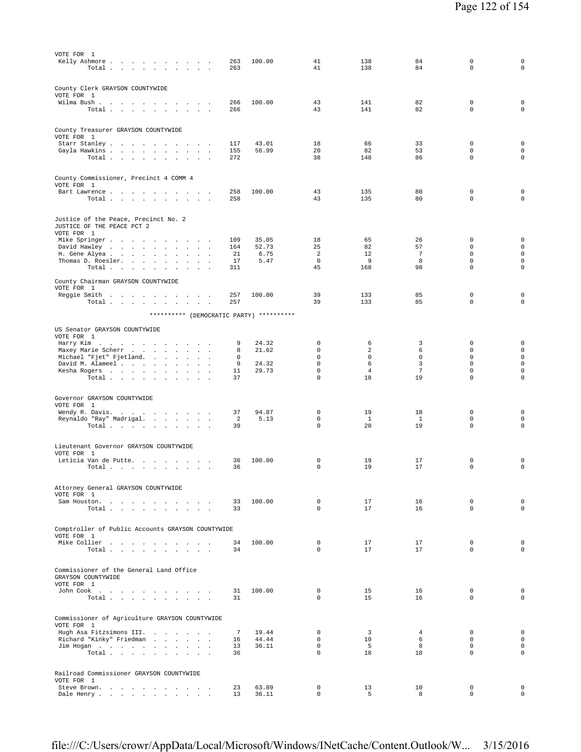| Kelly Ashmore<br>100.00<br>41<br>138<br>84<br>0<br>263<br>$\mathbf 0$<br>41<br>138<br>84<br>Total .<br>263<br>the contract of the contract of<br>$\sim$ 100 $\sim$<br>County Clerk GRAYSON COUNTYWIDE<br>VOTE FOR 1<br>$\mathsf 0$<br>43<br>141<br>82<br>Wilma Bush<br>266<br>100.00<br>$\mathbf{A}$ and $\mathbf{A}$ and $\mathbf{A}$<br>$\sim$<br>43<br>82<br>$\mathbf 0$<br>141<br>266<br>Total<br>$\mathbf{r}$<br>$\sim$<br>$\mathbf{r}$<br>County Treasurer GRAYSON COUNTYWIDE<br>VOTE FOR 1<br>$\mathbf 0$<br>Starr Stanley<br>43.01<br>18<br>66<br>33<br>117<br>$\mathsf 0$<br>56.99<br>20<br>82<br>53<br>Gayla Hawkins<br>155<br>38<br>148<br>86<br>$\mathbf 0$<br>Total<br>272<br>County Commissioner, Precinct 4 COMM 4<br>VOTE FOR 1<br>43<br>80<br>$\mathbb O$<br>Bart Lawrence<br>258<br>100.00<br>135<br>43<br>135<br>80<br>$\mathbf 0$<br>Total<br>258<br>$\sim 100$<br>Justice of the Peace, Precinct No. 2<br>JUSTICE OF THE PEACE PCT 2<br>VOTE FOR 1<br>35.05<br>18<br>65<br>26<br>$\mathbf 0$<br>Mike Springer<br>109<br>25<br>82<br>57<br>$\mathbf 0$<br>David Hawley<br>52.73<br>164<br>$\sim$<br>$\sim$<br>$\blacksquare$<br>$\overline{\phantom{a}}$<br>6.75<br>2<br>12<br>$\overline{7}$<br>$\mathbf 0$<br>H. Gene Alyea<br>21<br>$\sim 10^{-11}$<br>$\cdot$<br>$\cdot$<br>$\mathsf 0$<br>$^{\circ}$<br>Thomas D. Roesler.<br>17<br>5.47<br>9<br>8<br>$\mathsf 0$<br>45<br>98<br>168<br>Total<br>311<br>$\cdot$<br>County Chairman GRAYSON COUNTYWIDE<br>VOTE FOR 1<br>39<br>133<br>85<br>$\mathbf 0$<br>Reggie Smith<br>257<br>100.00<br>$\overline{\phantom{a}}$<br>133<br>85<br>$\mathbf 0$<br>Total<br>257<br>39<br>********** (DEMOCRATIC PARTY) **********<br>US Senator GRAYSON COUNTYWIDE<br>VOTE FOR 1<br>Harry Kim<br>24.32<br>0<br>6<br>3<br>0<br>9<br>$\sim$<br>$\mathbf 0$<br>2<br>0<br>21.62<br>6<br>Maxey Marie Scherr<br>8<br>$\sim$<br>$\ddot{\phantom{a}}$<br>$\Box$<br>$\mathbf 0$<br>$\mathbf 0$<br>$\mathbf 0$<br>$\mathbf 0$<br>Michael "Fjet" Fjetland.<br>0<br>contract and a series<br>$\sim 10$<br>$\mathsf 3$<br>9<br>24.32<br>$\mathbf 0$<br>6<br>0<br>David M. Alameel<br>$\ddot{\phantom{a}}$<br>$\mathbf 0$<br>$\overline{4}$<br>$\overline{7}$<br>$\mathbf 0$<br>Kesha Rogers<br>11<br>29.73<br>$\mathbf 0$<br>18<br>19<br>$\mathbf 0$<br>Total<br>37<br>Governor GRAYSON COUNTYWIDE<br>VOTE FOR 1<br>94.87<br>19<br>18<br>$\mathbf 0$<br>Wendy R. Davis.<br>37<br>0<br>$\sim$<br>$\sim$<br>2<br>5.13<br>$\mathbf 0$<br>$\mathbf{1}$<br>1<br>$\mathbf 0$<br>Reynaldo "Ray" Madrigal.<br>$\Box$<br>$\cdot$<br>$\mathsf 0$<br>$\mathbb O$<br>20<br>19<br>Total<br>39<br>Lieutenant Governor GRAYSON COUNTYWIDE<br>VOTE FOR 1<br>Leticia Van de Putte.<br>100.00<br>0<br>19<br>17<br>0<br>36<br>$\sim$<br>$\mathbf 0$<br>17<br>$\mathbf 0$<br>$\texttt{Total} \quad . \quad . \quad . \quad . \quad . \quad . \quad .$<br>36<br>19<br>Attorney General GRAYSON COUNTYWIDE<br>VOTE FOR 1<br>$\mathbf 0$<br>17<br>16<br>$\mathbf 0$<br>Sam Houston.<br>33<br>100.00<br>$\sim$ $\sim$<br>$\Omega$<br>$\mathbf 0$<br>33<br>17<br>16<br>Total<br>$\sim$ $\sim$<br>Comptroller of Public Accounts GRAYSON COUNTYWIDE<br>VOTE FOR 1<br>Mike Collier<br>$\mathbf 0$<br>$\mathbb O$<br>100.00<br>17<br>17<br>34<br>0<br>17<br>17<br>$\mathbf 0$<br>Total<br>34<br>Commissioner of the General Land Office<br>GRAYSON COUNTYWIDE<br>VOTE FOR 1<br>John Cook<br>31<br>100.00<br>0<br>15<br>16<br>0<br>Total<br>$\mathbf{0}$<br>15<br>$\mathbf 0$<br>31<br>16<br><b>Contract Contract</b><br>Commissioner of Agriculture GRAYSON COUNTYWIDE<br>VOTE FOR 1<br>$\overline{3}$<br>Hugh Asa Fitzsimons III.<br>7<br>19.44<br>$\mathbf 0$<br>$\mathbf 0$<br>4<br>Richard "Kinky" Friedman<br>$\mathbf{0}$<br>10<br>6<br>$\mathbf 0$<br>44.44<br>16<br>36.11<br>$\mathbf 0$<br>5<br>8<br>$\mathbb O$<br>Jim Hogan<br>13<br>$\Omega$<br>36<br>$\Omega$<br>18<br>18<br>Total $\ldots$ |                                    |
|-------------------------------------------------------------------------------------------------------------------------------------------------------------------------------------------------------------------------------------------------------------------------------------------------------------------------------------------------------------------------------------------------------------------------------------------------------------------------------------------------------------------------------------------------------------------------------------------------------------------------------------------------------------------------------------------------------------------------------------------------------------------------------------------------------------------------------------------------------------------------------------------------------------------------------------------------------------------------------------------------------------------------------------------------------------------------------------------------------------------------------------------------------------------------------------------------------------------------------------------------------------------------------------------------------------------------------------------------------------------------------------------------------------------------------------------------------------------------------------------------------------------------------------------------------------------------------------------------------------------------------------------------------------------------------------------------------------------------------------------------------------------------------------------------------------------------------------------------------------------------------------------------------------------------------------------------------------------------------------------------------------------------------------------------------------------------------------------------------------------------------------------------------------------------------------------------------------------------------------------------------------------------------------------------------------------------------------------------------------------------------------------------------------------------------------------------------------------------------------------------------------------------------------------------------------------------------------------------------------------------------------------------------------------------------------------------------------------------------------------------------------------------------------------------------------------------------------------------------------------------------------------------------------------------------------------------------------------------------------------------------------------------------------------------------------------------------------------------------------------------------------------------------------------------------------------------------------------------------------------------------------------------------------------------------------------------------------------------------------------------------------------------------------------------------------------------------------------------------------------------------------------------------------------------------------------------------------------------------------------------------------------------------------------------------------------------------------------------------------------------------------------------------------------------------------------------------------------------------------------------------------------------------------------------|------------------------------------|
|                                                                                                                                                                                                                                                                                                                                                                                                                                                                                                                                                                                                                                                                                                                                                                                                                                                                                                                                                                                                                                                                                                                                                                                                                                                                                                                                                                                                                                                                                                                                                                                                                                                                                                                                                                                                                                                                                                                                                                                                                                                                                                                                                                                                                                                                                                                                                                                                                                                                                                                                                                                                                                                                                                                                                                                                                                                                                                                                                                                                                                                                                                                                                                                                                                                                                                                                                                                                                                                                                                                                                                                                                                                                                                                                                                                                                                                                                                                         | 0<br>$\mathbf 0$                   |
|                                                                                                                                                                                                                                                                                                                                                                                                                                                                                                                                                                                                                                                                                                                                                                                                                                                                                                                                                                                                                                                                                                                                                                                                                                                                                                                                                                                                                                                                                                                                                                                                                                                                                                                                                                                                                                                                                                                                                                                                                                                                                                                                                                                                                                                                                                                                                                                                                                                                                                                                                                                                                                                                                                                                                                                                                                                                                                                                                                                                                                                                                                                                                                                                                                                                                                                                                                                                                                                                                                                                                                                                                                                                                                                                                                                                                                                                                                                         |                                    |
|                                                                                                                                                                                                                                                                                                                                                                                                                                                                                                                                                                                                                                                                                                                                                                                                                                                                                                                                                                                                                                                                                                                                                                                                                                                                                                                                                                                                                                                                                                                                                                                                                                                                                                                                                                                                                                                                                                                                                                                                                                                                                                                                                                                                                                                                                                                                                                                                                                                                                                                                                                                                                                                                                                                                                                                                                                                                                                                                                                                                                                                                                                                                                                                                                                                                                                                                                                                                                                                                                                                                                                                                                                                                                                                                                                                                                                                                                                                         |                                    |
|                                                                                                                                                                                                                                                                                                                                                                                                                                                                                                                                                                                                                                                                                                                                                                                                                                                                                                                                                                                                                                                                                                                                                                                                                                                                                                                                                                                                                                                                                                                                                                                                                                                                                                                                                                                                                                                                                                                                                                                                                                                                                                                                                                                                                                                                                                                                                                                                                                                                                                                                                                                                                                                                                                                                                                                                                                                                                                                                                                                                                                                                                                                                                                                                                                                                                                                                                                                                                                                                                                                                                                                                                                                                                                                                                                                                                                                                                                                         | $\mathbf 0$                        |
|                                                                                                                                                                                                                                                                                                                                                                                                                                                                                                                                                                                                                                                                                                                                                                                                                                                                                                                                                                                                                                                                                                                                                                                                                                                                                                                                                                                                                                                                                                                                                                                                                                                                                                                                                                                                                                                                                                                                                                                                                                                                                                                                                                                                                                                                                                                                                                                                                                                                                                                                                                                                                                                                                                                                                                                                                                                                                                                                                                                                                                                                                                                                                                                                                                                                                                                                                                                                                                                                                                                                                                                                                                                                                                                                                                                                                                                                                                                         | $\mathbf 0$                        |
|                                                                                                                                                                                                                                                                                                                                                                                                                                                                                                                                                                                                                                                                                                                                                                                                                                                                                                                                                                                                                                                                                                                                                                                                                                                                                                                                                                                                                                                                                                                                                                                                                                                                                                                                                                                                                                                                                                                                                                                                                                                                                                                                                                                                                                                                                                                                                                                                                                                                                                                                                                                                                                                                                                                                                                                                                                                                                                                                                                                                                                                                                                                                                                                                                                                                                                                                                                                                                                                                                                                                                                                                                                                                                                                                                                                                                                                                                                                         |                                    |
|                                                                                                                                                                                                                                                                                                                                                                                                                                                                                                                                                                                                                                                                                                                                                                                                                                                                                                                                                                                                                                                                                                                                                                                                                                                                                                                                                                                                                                                                                                                                                                                                                                                                                                                                                                                                                                                                                                                                                                                                                                                                                                                                                                                                                                                                                                                                                                                                                                                                                                                                                                                                                                                                                                                                                                                                                                                                                                                                                                                                                                                                                                                                                                                                                                                                                                                                                                                                                                                                                                                                                                                                                                                                                                                                                                                                                                                                                                                         |                                    |
|                                                                                                                                                                                                                                                                                                                                                                                                                                                                                                                                                                                                                                                                                                                                                                                                                                                                                                                                                                                                                                                                                                                                                                                                                                                                                                                                                                                                                                                                                                                                                                                                                                                                                                                                                                                                                                                                                                                                                                                                                                                                                                                                                                                                                                                                                                                                                                                                                                                                                                                                                                                                                                                                                                                                                                                                                                                                                                                                                                                                                                                                                                                                                                                                                                                                                                                                                                                                                                                                                                                                                                                                                                                                                                                                                                                                                                                                                                                         | $\mathbf 0$                        |
|                                                                                                                                                                                                                                                                                                                                                                                                                                                                                                                                                                                                                                                                                                                                                                                                                                                                                                                                                                                                                                                                                                                                                                                                                                                                                                                                                                                                                                                                                                                                                                                                                                                                                                                                                                                                                                                                                                                                                                                                                                                                                                                                                                                                                                                                                                                                                                                                                                                                                                                                                                                                                                                                                                                                                                                                                                                                                                                                                                                                                                                                                                                                                                                                                                                                                                                                                                                                                                                                                                                                                                                                                                                                                                                                                                                                                                                                                                                         | $\mathsf 0$                        |
|                                                                                                                                                                                                                                                                                                                                                                                                                                                                                                                                                                                                                                                                                                                                                                                                                                                                                                                                                                                                                                                                                                                                                                                                                                                                                                                                                                                                                                                                                                                                                                                                                                                                                                                                                                                                                                                                                                                                                                                                                                                                                                                                                                                                                                                                                                                                                                                                                                                                                                                                                                                                                                                                                                                                                                                                                                                                                                                                                                                                                                                                                                                                                                                                                                                                                                                                                                                                                                                                                                                                                                                                                                                                                                                                                                                                                                                                                                                         | $\mathbf 0$                        |
|                                                                                                                                                                                                                                                                                                                                                                                                                                                                                                                                                                                                                                                                                                                                                                                                                                                                                                                                                                                                                                                                                                                                                                                                                                                                                                                                                                                                                                                                                                                                                                                                                                                                                                                                                                                                                                                                                                                                                                                                                                                                                                                                                                                                                                                                                                                                                                                                                                                                                                                                                                                                                                                                                                                                                                                                                                                                                                                                                                                                                                                                                                                                                                                                                                                                                                                                                                                                                                                                                                                                                                                                                                                                                                                                                                                                                                                                                                                         |                                    |
|                                                                                                                                                                                                                                                                                                                                                                                                                                                                                                                                                                                                                                                                                                                                                                                                                                                                                                                                                                                                                                                                                                                                                                                                                                                                                                                                                                                                                                                                                                                                                                                                                                                                                                                                                                                                                                                                                                                                                                                                                                                                                                                                                                                                                                                                                                                                                                                                                                                                                                                                                                                                                                                                                                                                                                                                                                                                                                                                                                                                                                                                                                                                                                                                                                                                                                                                                                                                                                                                                                                                                                                                                                                                                                                                                                                                                                                                                                                         |                                    |
|                                                                                                                                                                                                                                                                                                                                                                                                                                                                                                                                                                                                                                                                                                                                                                                                                                                                                                                                                                                                                                                                                                                                                                                                                                                                                                                                                                                                                                                                                                                                                                                                                                                                                                                                                                                                                                                                                                                                                                                                                                                                                                                                                                                                                                                                                                                                                                                                                                                                                                                                                                                                                                                                                                                                                                                                                                                                                                                                                                                                                                                                                                                                                                                                                                                                                                                                                                                                                                                                                                                                                                                                                                                                                                                                                                                                                                                                                                                         | 0                                  |
|                                                                                                                                                                                                                                                                                                                                                                                                                                                                                                                                                                                                                                                                                                                                                                                                                                                                                                                                                                                                                                                                                                                                                                                                                                                                                                                                                                                                                                                                                                                                                                                                                                                                                                                                                                                                                                                                                                                                                                                                                                                                                                                                                                                                                                                                                                                                                                                                                                                                                                                                                                                                                                                                                                                                                                                                                                                                                                                                                                                                                                                                                                                                                                                                                                                                                                                                                                                                                                                                                                                                                                                                                                                                                                                                                                                                                                                                                                                         | $\mathbf 0$                        |
|                                                                                                                                                                                                                                                                                                                                                                                                                                                                                                                                                                                                                                                                                                                                                                                                                                                                                                                                                                                                                                                                                                                                                                                                                                                                                                                                                                                                                                                                                                                                                                                                                                                                                                                                                                                                                                                                                                                                                                                                                                                                                                                                                                                                                                                                                                                                                                                                                                                                                                                                                                                                                                                                                                                                                                                                                                                                                                                                                                                                                                                                                                                                                                                                                                                                                                                                                                                                                                                                                                                                                                                                                                                                                                                                                                                                                                                                                                                         |                                    |
|                                                                                                                                                                                                                                                                                                                                                                                                                                                                                                                                                                                                                                                                                                                                                                                                                                                                                                                                                                                                                                                                                                                                                                                                                                                                                                                                                                                                                                                                                                                                                                                                                                                                                                                                                                                                                                                                                                                                                                                                                                                                                                                                                                                                                                                                                                                                                                                                                                                                                                                                                                                                                                                                                                                                                                                                                                                                                                                                                                                                                                                                                                                                                                                                                                                                                                                                                                                                                                                                                                                                                                                                                                                                                                                                                                                                                                                                                                                         |                                    |
|                                                                                                                                                                                                                                                                                                                                                                                                                                                                                                                                                                                                                                                                                                                                                                                                                                                                                                                                                                                                                                                                                                                                                                                                                                                                                                                                                                                                                                                                                                                                                                                                                                                                                                                                                                                                                                                                                                                                                                                                                                                                                                                                                                                                                                                                                                                                                                                                                                                                                                                                                                                                                                                                                                                                                                                                                                                                                                                                                                                                                                                                                                                                                                                                                                                                                                                                                                                                                                                                                                                                                                                                                                                                                                                                                                                                                                                                                                                         |                                    |
|                                                                                                                                                                                                                                                                                                                                                                                                                                                                                                                                                                                                                                                                                                                                                                                                                                                                                                                                                                                                                                                                                                                                                                                                                                                                                                                                                                                                                                                                                                                                                                                                                                                                                                                                                                                                                                                                                                                                                                                                                                                                                                                                                                                                                                                                                                                                                                                                                                                                                                                                                                                                                                                                                                                                                                                                                                                                                                                                                                                                                                                                                                                                                                                                                                                                                                                                                                                                                                                                                                                                                                                                                                                                                                                                                                                                                                                                                                                         | 0<br>0                             |
|                                                                                                                                                                                                                                                                                                                                                                                                                                                                                                                                                                                                                                                                                                                                                                                                                                                                                                                                                                                                                                                                                                                                                                                                                                                                                                                                                                                                                                                                                                                                                                                                                                                                                                                                                                                                                                                                                                                                                                                                                                                                                                                                                                                                                                                                                                                                                                                                                                                                                                                                                                                                                                                                                                                                                                                                                                                                                                                                                                                                                                                                                                                                                                                                                                                                                                                                                                                                                                                                                                                                                                                                                                                                                                                                                                                                                                                                                                                         | $\mathsf 0$                        |
|                                                                                                                                                                                                                                                                                                                                                                                                                                                                                                                                                                                                                                                                                                                                                                                                                                                                                                                                                                                                                                                                                                                                                                                                                                                                                                                                                                                                                                                                                                                                                                                                                                                                                                                                                                                                                                                                                                                                                                                                                                                                                                                                                                                                                                                                                                                                                                                                                                                                                                                                                                                                                                                                                                                                                                                                                                                                                                                                                                                                                                                                                                                                                                                                                                                                                                                                                                                                                                                                                                                                                                                                                                                                                                                                                                                                                                                                                                                         | $\mathbf 0$<br>$\mathbf 0$         |
|                                                                                                                                                                                                                                                                                                                                                                                                                                                                                                                                                                                                                                                                                                                                                                                                                                                                                                                                                                                                                                                                                                                                                                                                                                                                                                                                                                                                                                                                                                                                                                                                                                                                                                                                                                                                                                                                                                                                                                                                                                                                                                                                                                                                                                                                                                                                                                                                                                                                                                                                                                                                                                                                                                                                                                                                                                                                                                                                                                                                                                                                                                                                                                                                                                                                                                                                                                                                                                                                                                                                                                                                                                                                                                                                                                                                                                                                                                                         |                                    |
|                                                                                                                                                                                                                                                                                                                                                                                                                                                                                                                                                                                                                                                                                                                                                                                                                                                                                                                                                                                                                                                                                                                                                                                                                                                                                                                                                                                                                                                                                                                                                                                                                                                                                                                                                                                                                                                                                                                                                                                                                                                                                                                                                                                                                                                                                                                                                                                                                                                                                                                                                                                                                                                                                                                                                                                                                                                                                                                                                                                                                                                                                                                                                                                                                                                                                                                                                                                                                                                                                                                                                                                                                                                                                                                                                                                                                                                                                                                         |                                    |
|                                                                                                                                                                                                                                                                                                                                                                                                                                                                                                                                                                                                                                                                                                                                                                                                                                                                                                                                                                                                                                                                                                                                                                                                                                                                                                                                                                                                                                                                                                                                                                                                                                                                                                                                                                                                                                                                                                                                                                                                                                                                                                                                                                                                                                                                                                                                                                                                                                                                                                                                                                                                                                                                                                                                                                                                                                                                                                                                                                                                                                                                                                                                                                                                                                                                                                                                                                                                                                                                                                                                                                                                                                                                                                                                                                                                                                                                                                                         | 0                                  |
|                                                                                                                                                                                                                                                                                                                                                                                                                                                                                                                                                                                                                                                                                                                                                                                                                                                                                                                                                                                                                                                                                                                                                                                                                                                                                                                                                                                                                                                                                                                                                                                                                                                                                                                                                                                                                                                                                                                                                                                                                                                                                                                                                                                                                                                                                                                                                                                                                                                                                                                                                                                                                                                                                                                                                                                                                                                                                                                                                                                                                                                                                                                                                                                                                                                                                                                                                                                                                                                                                                                                                                                                                                                                                                                                                                                                                                                                                                                         | $\mathbf 0$                        |
|                                                                                                                                                                                                                                                                                                                                                                                                                                                                                                                                                                                                                                                                                                                                                                                                                                                                                                                                                                                                                                                                                                                                                                                                                                                                                                                                                                                                                                                                                                                                                                                                                                                                                                                                                                                                                                                                                                                                                                                                                                                                                                                                                                                                                                                                                                                                                                                                                                                                                                                                                                                                                                                                                                                                                                                                                                                                                                                                                                                                                                                                                                                                                                                                                                                                                                                                                                                                                                                                                                                                                                                                                                                                                                                                                                                                                                                                                                                         |                                    |
|                                                                                                                                                                                                                                                                                                                                                                                                                                                                                                                                                                                                                                                                                                                                                                                                                                                                                                                                                                                                                                                                                                                                                                                                                                                                                                                                                                                                                                                                                                                                                                                                                                                                                                                                                                                                                                                                                                                                                                                                                                                                                                                                                                                                                                                                                                                                                                                                                                                                                                                                                                                                                                                                                                                                                                                                                                                                                                                                                                                                                                                                                                                                                                                                                                                                                                                                                                                                                                                                                                                                                                                                                                                                                                                                                                                                                                                                                                                         |                                    |
|                                                                                                                                                                                                                                                                                                                                                                                                                                                                                                                                                                                                                                                                                                                                                                                                                                                                                                                                                                                                                                                                                                                                                                                                                                                                                                                                                                                                                                                                                                                                                                                                                                                                                                                                                                                                                                                                                                                                                                                                                                                                                                                                                                                                                                                                                                                                                                                                                                                                                                                                                                                                                                                                                                                                                                                                                                                                                                                                                                                                                                                                                                                                                                                                                                                                                                                                                                                                                                                                                                                                                                                                                                                                                                                                                                                                                                                                                                                         |                                    |
|                                                                                                                                                                                                                                                                                                                                                                                                                                                                                                                                                                                                                                                                                                                                                                                                                                                                                                                                                                                                                                                                                                                                                                                                                                                                                                                                                                                                                                                                                                                                                                                                                                                                                                                                                                                                                                                                                                                                                                                                                                                                                                                                                                                                                                                                                                                                                                                                                                                                                                                                                                                                                                                                                                                                                                                                                                                                                                                                                                                                                                                                                                                                                                                                                                                                                                                                                                                                                                                                                                                                                                                                                                                                                                                                                                                                                                                                                                                         | 0<br>$\mathbf 0$                   |
|                                                                                                                                                                                                                                                                                                                                                                                                                                                                                                                                                                                                                                                                                                                                                                                                                                                                                                                                                                                                                                                                                                                                                                                                                                                                                                                                                                                                                                                                                                                                                                                                                                                                                                                                                                                                                                                                                                                                                                                                                                                                                                                                                                                                                                                                                                                                                                                                                                                                                                                                                                                                                                                                                                                                                                                                                                                                                                                                                                                                                                                                                                                                                                                                                                                                                                                                                                                                                                                                                                                                                                                                                                                                                                                                                                                                                                                                                                                         | $\mathsf 0$                        |
|                                                                                                                                                                                                                                                                                                                                                                                                                                                                                                                                                                                                                                                                                                                                                                                                                                                                                                                                                                                                                                                                                                                                                                                                                                                                                                                                                                                                                                                                                                                                                                                                                                                                                                                                                                                                                                                                                                                                                                                                                                                                                                                                                                                                                                                                                                                                                                                                                                                                                                                                                                                                                                                                                                                                                                                                                                                                                                                                                                                                                                                                                                                                                                                                                                                                                                                                                                                                                                                                                                                                                                                                                                                                                                                                                                                                                                                                                                                         | $\mathbf 0$<br>$\mathbf 0$         |
|                                                                                                                                                                                                                                                                                                                                                                                                                                                                                                                                                                                                                                                                                                                                                                                                                                                                                                                                                                                                                                                                                                                                                                                                                                                                                                                                                                                                                                                                                                                                                                                                                                                                                                                                                                                                                                                                                                                                                                                                                                                                                                                                                                                                                                                                                                                                                                                                                                                                                                                                                                                                                                                                                                                                                                                                                                                                                                                                                                                                                                                                                                                                                                                                                                                                                                                                                                                                                                                                                                                                                                                                                                                                                                                                                                                                                                                                                                                         | $\mathbf 0$                        |
|                                                                                                                                                                                                                                                                                                                                                                                                                                                                                                                                                                                                                                                                                                                                                                                                                                                                                                                                                                                                                                                                                                                                                                                                                                                                                                                                                                                                                                                                                                                                                                                                                                                                                                                                                                                                                                                                                                                                                                                                                                                                                                                                                                                                                                                                                                                                                                                                                                                                                                                                                                                                                                                                                                                                                                                                                                                                                                                                                                                                                                                                                                                                                                                                                                                                                                                                                                                                                                                                                                                                                                                                                                                                                                                                                                                                                                                                                                                         |                                    |
|                                                                                                                                                                                                                                                                                                                                                                                                                                                                                                                                                                                                                                                                                                                                                                                                                                                                                                                                                                                                                                                                                                                                                                                                                                                                                                                                                                                                                                                                                                                                                                                                                                                                                                                                                                                                                                                                                                                                                                                                                                                                                                                                                                                                                                                                                                                                                                                                                                                                                                                                                                                                                                                                                                                                                                                                                                                                                                                                                                                                                                                                                                                                                                                                                                                                                                                                                                                                                                                                                                                                                                                                                                                                                                                                                                                                                                                                                                                         |                                    |
|                                                                                                                                                                                                                                                                                                                                                                                                                                                                                                                                                                                                                                                                                                                                                                                                                                                                                                                                                                                                                                                                                                                                                                                                                                                                                                                                                                                                                                                                                                                                                                                                                                                                                                                                                                                                                                                                                                                                                                                                                                                                                                                                                                                                                                                                                                                                                                                                                                                                                                                                                                                                                                                                                                                                                                                                                                                                                                                                                                                                                                                                                                                                                                                                                                                                                                                                                                                                                                                                                                                                                                                                                                                                                                                                                                                                                                                                                                                         | 0                                  |
|                                                                                                                                                                                                                                                                                                                                                                                                                                                                                                                                                                                                                                                                                                                                                                                                                                                                                                                                                                                                                                                                                                                                                                                                                                                                                                                                                                                                                                                                                                                                                                                                                                                                                                                                                                                                                                                                                                                                                                                                                                                                                                                                                                                                                                                                                                                                                                                                                                                                                                                                                                                                                                                                                                                                                                                                                                                                                                                                                                                                                                                                                                                                                                                                                                                                                                                                                                                                                                                                                                                                                                                                                                                                                                                                                                                                                                                                                                                         | $\mathsf 0$                        |
|                                                                                                                                                                                                                                                                                                                                                                                                                                                                                                                                                                                                                                                                                                                                                                                                                                                                                                                                                                                                                                                                                                                                                                                                                                                                                                                                                                                                                                                                                                                                                                                                                                                                                                                                                                                                                                                                                                                                                                                                                                                                                                                                                                                                                                                                                                                                                                                                                                                                                                                                                                                                                                                                                                                                                                                                                                                                                                                                                                                                                                                                                                                                                                                                                                                                                                                                                                                                                                                                                                                                                                                                                                                                                                                                                                                                                                                                                                                         | $\mathbf 0$                        |
|                                                                                                                                                                                                                                                                                                                                                                                                                                                                                                                                                                                                                                                                                                                                                                                                                                                                                                                                                                                                                                                                                                                                                                                                                                                                                                                                                                                                                                                                                                                                                                                                                                                                                                                                                                                                                                                                                                                                                                                                                                                                                                                                                                                                                                                                                                                                                                                                                                                                                                                                                                                                                                                                                                                                                                                                                                                                                                                                                                                                                                                                                                                                                                                                                                                                                                                                                                                                                                                                                                                                                                                                                                                                                                                                                                                                                                                                                                                         |                                    |
|                                                                                                                                                                                                                                                                                                                                                                                                                                                                                                                                                                                                                                                                                                                                                                                                                                                                                                                                                                                                                                                                                                                                                                                                                                                                                                                                                                                                                                                                                                                                                                                                                                                                                                                                                                                                                                                                                                                                                                                                                                                                                                                                                                                                                                                                                                                                                                                                                                                                                                                                                                                                                                                                                                                                                                                                                                                                                                                                                                                                                                                                                                                                                                                                                                                                                                                                                                                                                                                                                                                                                                                                                                                                                                                                                                                                                                                                                                                         |                                    |
|                                                                                                                                                                                                                                                                                                                                                                                                                                                                                                                                                                                                                                                                                                                                                                                                                                                                                                                                                                                                                                                                                                                                                                                                                                                                                                                                                                                                                                                                                                                                                                                                                                                                                                                                                                                                                                                                                                                                                                                                                                                                                                                                                                                                                                                                                                                                                                                                                                                                                                                                                                                                                                                                                                                                                                                                                                                                                                                                                                                                                                                                                                                                                                                                                                                                                                                                                                                                                                                                                                                                                                                                                                                                                                                                                                                                                                                                                                                         | 0                                  |
|                                                                                                                                                                                                                                                                                                                                                                                                                                                                                                                                                                                                                                                                                                                                                                                                                                                                                                                                                                                                                                                                                                                                                                                                                                                                                                                                                                                                                                                                                                                                                                                                                                                                                                                                                                                                                                                                                                                                                                                                                                                                                                                                                                                                                                                                                                                                                                                                                                                                                                                                                                                                                                                                                                                                                                                                                                                                                                                                                                                                                                                                                                                                                                                                                                                                                                                                                                                                                                                                                                                                                                                                                                                                                                                                                                                                                                                                                                                         | $\mathbf 0$                        |
|                                                                                                                                                                                                                                                                                                                                                                                                                                                                                                                                                                                                                                                                                                                                                                                                                                                                                                                                                                                                                                                                                                                                                                                                                                                                                                                                                                                                                                                                                                                                                                                                                                                                                                                                                                                                                                                                                                                                                                                                                                                                                                                                                                                                                                                                                                                                                                                                                                                                                                                                                                                                                                                                                                                                                                                                                                                                                                                                                                                                                                                                                                                                                                                                                                                                                                                                                                                                                                                                                                                                                                                                                                                                                                                                                                                                                                                                                                                         |                                    |
|                                                                                                                                                                                                                                                                                                                                                                                                                                                                                                                                                                                                                                                                                                                                                                                                                                                                                                                                                                                                                                                                                                                                                                                                                                                                                                                                                                                                                                                                                                                                                                                                                                                                                                                                                                                                                                                                                                                                                                                                                                                                                                                                                                                                                                                                                                                                                                                                                                                                                                                                                                                                                                                                                                                                                                                                                                                                                                                                                                                                                                                                                                                                                                                                                                                                                                                                                                                                                                                                                                                                                                                                                                                                                                                                                                                                                                                                                                                         |                                    |
|                                                                                                                                                                                                                                                                                                                                                                                                                                                                                                                                                                                                                                                                                                                                                                                                                                                                                                                                                                                                                                                                                                                                                                                                                                                                                                                                                                                                                                                                                                                                                                                                                                                                                                                                                                                                                                                                                                                                                                                                                                                                                                                                                                                                                                                                                                                                                                                                                                                                                                                                                                                                                                                                                                                                                                                                                                                                                                                                                                                                                                                                                                                                                                                                                                                                                                                                                                                                                                                                                                                                                                                                                                                                                                                                                                                                                                                                                                                         | $\mathbf 0$                        |
|                                                                                                                                                                                                                                                                                                                                                                                                                                                                                                                                                                                                                                                                                                                                                                                                                                                                                                                                                                                                                                                                                                                                                                                                                                                                                                                                                                                                                                                                                                                                                                                                                                                                                                                                                                                                                                                                                                                                                                                                                                                                                                                                                                                                                                                                                                                                                                                                                                                                                                                                                                                                                                                                                                                                                                                                                                                                                                                                                                                                                                                                                                                                                                                                                                                                                                                                                                                                                                                                                                                                                                                                                                                                                                                                                                                                                                                                                                                         | $\mathbf 0$                        |
|                                                                                                                                                                                                                                                                                                                                                                                                                                                                                                                                                                                                                                                                                                                                                                                                                                                                                                                                                                                                                                                                                                                                                                                                                                                                                                                                                                                                                                                                                                                                                                                                                                                                                                                                                                                                                                                                                                                                                                                                                                                                                                                                                                                                                                                                                                                                                                                                                                                                                                                                                                                                                                                                                                                                                                                                                                                                                                                                                                                                                                                                                                                                                                                                                                                                                                                                                                                                                                                                                                                                                                                                                                                                                                                                                                                                                                                                                                                         |                                    |
|                                                                                                                                                                                                                                                                                                                                                                                                                                                                                                                                                                                                                                                                                                                                                                                                                                                                                                                                                                                                                                                                                                                                                                                                                                                                                                                                                                                                                                                                                                                                                                                                                                                                                                                                                                                                                                                                                                                                                                                                                                                                                                                                                                                                                                                                                                                                                                                                                                                                                                                                                                                                                                                                                                                                                                                                                                                                                                                                                                                                                                                                                                                                                                                                                                                                                                                                                                                                                                                                                                                                                                                                                                                                                                                                                                                                                                                                                                                         |                                    |
|                                                                                                                                                                                                                                                                                                                                                                                                                                                                                                                                                                                                                                                                                                                                                                                                                                                                                                                                                                                                                                                                                                                                                                                                                                                                                                                                                                                                                                                                                                                                                                                                                                                                                                                                                                                                                                                                                                                                                                                                                                                                                                                                                                                                                                                                                                                                                                                                                                                                                                                                                                                                                                                                                                                                                                                                                                                                                                                                                                                                                                                                                                                                                                                                                                                                                                                                                                                                                                                                                                                                                                                                                                                                                                                                                                                                                                                                                                                         | 0                                  |
|                                                                                                                                                                                                                                                                                                                                                                                                                                                                                                                                                                                                                                                                                                                                                                                                                                                                                                                                                                                                                                                                                                                                                                                                                                                                                                                                                                                                                                                                                                                                                                                                                                                                                                                                                                                                                                                                                                                                                                                                                                                                                                                                                                                                                                                                                                                                                                                                                                                                                                                                                                                                                                                                                                                                                                                                                                                                                                                                                                                                                                                                                                                                                                                                                                                                                                                                                                                                                                                                                                                                                                                                                                                                                                                                                                                                                                                                                                                         | $\mathbf 0$                        |
|                                                                                                                                                                                                                                                                                                                                                                                                                                                                                                                                                                                                                                                                                                                                                                                                                                                                                                                                                                                                                                                                                                                                                                                                                                                                                                                                                                                                                                                                                                                                                                                                                                                                                                                                                                                                                                                                                                                                                                                                                                                                                                                                                                                                                                                                                                                                                                                                                                                                                                                                                                                                                                                                                                                                                                                                                                                                                                                                                                                                                                                                                                                                                                                                                                                                                                                                                                                                                                                                                                                                                                                                                                                                                                                                                                                                                                                                                                                         |                                    |
|                                                                                                                                                                                                                                                                                                                                                                                                                                                                                                                                                                                                                                                                                                                                                                                                                                                                                                                                                                                                                                                                                                                                                                                                                                                                                                                                                                                                                                                                                                                                                                                                                                                                                                                                                                                                                                                                                                                                                                                                                                                                                                                                                                                                                                                                                                                                                                                                                                                                                                                                                                                                                                                                                                                                                                                                                                                                                                                                                                                                                                                                                                                                                                                                                                                                                                                                                                                                                                                                                                                                                                                                                                                                                                                                                                                                                                                                                                                         |                                    |
|                                                                                                                                                                                                                                                                                                                                                                                                                                                                                                                                                                                                                                                                                                                                                                                                                                                                                                                                                                                                                                                                                                                                                                                                                                                                                                                                                                                                                                                                                                                                                                                                                                                                                                                                                                                                                                                                                                                                                                                                                                                                                                                                                                                                                                                                                                                                                                                                                                                                                                                                                                                                                                                                                                                                                                                                                                                                                                                                                                                                                                                                                                                                                                                                                                                                                                                                                                                                                                                                                                                                                                                                                                                                                                                                                                                                                                                                                                                         |                                    |
|                                                                                                                                                                                                                                                                                                                                                                                                                                                                                                                                                                                                                                                                                                                                                                                                                                                                                                                                                                                                                                                                                                                                                                                                                                                                                                                                                                                                                                                                                                                                                                                                                                                                                                                                                                                                                                                                                                                                                                                                                                                                                                                                                                                                                                                                                                                                                                                                                                                                                                                                                                                                                                                                                                                                                                                                                                                                                                                                                                                                                                                                                                                                                                                                                                                                                                                                                                                                                                                                                                                                                                                                                                                                                                                                                                                                                                                                                                                         | $\mathsf 0$                        |
|                                                                                                                                                                                                                                                                                                                                                                                                                                                                                                                                                                                                                                                                                                                                                                                                                                                                                                                                                                                                                                                                                                                                                                                                                                                                                                                                                                                                                                                                                                                                                                                                                                                                                                                                                                                                                                                                                                                                                                                                                                                                                                                                                                                                                                                                                                                                                                                                                                                                                                                                                                                                                                                                                                                                                                                                                                                                                                                                                                                                                                                                                                                                                                                                                                                                                                                                                                                                                                                                                                                                                                                                                                                                                                                                                                                                                                                                                                                         | $\mathbf 0$                        |
|                                                                                                                                                                                                                                                                                                                                                                                                                                                                                                                                                                                                                                                                                                                                                                                                                                                                                                                                                                                                                                                                                                                                                                                                                                                                                                                                                                                                                                                                                                                                                                                                                                                                                                                                                                                                                                                                                                                                                                                                                                                                                                                                                                                                                                                                                                                                                                                                                                                                                                                                                                                                                                                                                                                                                                                                                                                                                                                                                                                                                                                                                                                                                                                                                                                                                                                                                                                                                                                                                                                                                                                                                                                                                                                                                                                                                                                                                                                         |                                    |
|                                                                                                                                                                                                                                                                                                                                                                                                                                                                                                                                                                                                                                                                                                                                                                                                                                                                                                                                                                                                                                                                                                                                                                                                                                                                                                                                                                                                                                                                                                                                                                                                                                                                                                                                                                                                                                                                                                                                                                                                                                                                                                                                                                                                                                                                                                                                                                                                                                                                                                                                                                                                                                                                                                                                                                                                                                                                                                                                                                                                                                                                                                                                                                                                                                                                                                                                                                                                                                                                                                                                                                                                                                                                                                                                                                                                                                                                                                                         |                                    |
|                                                                                                                                                                                                                                                                                                                                                                                                                                                                                                                                                                                                                                                                                                                                                                                                                                                                                                                                                                                                                                                                                                                                                                                                                                                                                                                                                                                                                                                                                                                                                                                                                                                                                                                                                                                                                                                                                                                                                                                                                                                                                                                                                                                                                                                                                                                                                                                                                                                                                                                                                                                                                                                                                                                                                                                                                                                                                                                                                                                                                                                                                                                                                                                                                                                                                                                                                                                                                                                                                                                                                                                                                                                                                                                                                                                                                                                                                                                         | $\mathbf 0$                        |
|                                                                                                                                                                                                                                                                                                                                                                                                                                                                                                                                                                                                                                                                                                                                                                                                                                                                                                                                                                                                                                                                                                                                                                                                                                                                                                                                                                                                                                                                                                                                                                                                                                                                                                                                                                                                                                                                                                                                                                                                                                                                                                                                                                                                                                                                                                                                                                                                                                                                                                                                                                                                                                                                                                                                                                                                                                                                                                                                                                                                                                                                                                                                                                                                                                                                                                                                                                                                                                                                                                                                                                                                                                                                                                                                                                                                                                                                                                                         | $\mathbf 0$<br>$\mathsf{O}\xspace$ |
|                                                                                                                                                                                                                                                                                                                                                                                                                                                                                                                                                                                                                                                                                                                                                                                                                                                                                                                                                                                                                                                                                                                                                                                                                                                                                                                                                                                                                                                                                                                                                                                                                                                                                                                                                                                                                                                                                                                                                                                                                                                                                                                                                                                                                                                                                                                                                                                                                                                                                                                                                                                                                                                                                                                                                                                                                                                                                                                                                                                                                                                                                                                                                                                                                                                                                                                                                                                                                                                                                                                                                                                                                                                                                                                                                                                                                                                                                                                         | $\mathbf 0$                        |
|                                                                                                                                                                                                                                                                                                                                                                                                                                                                                                                                                                                                                                                                                                                                                                                                                                                                                                                                                                                                                                                                                                                                                                                                                                                                                                                                                                                                                                                                                                                                                                                                                                                                                                                                                                                                                                                                                                                                                                                                                                                                                                                                                                                                                                                                                                                                                                                                                                                                                                                                                                                                                                                                                                                                                                                                                                                                                                                                                                                                                                                                                                                                                                                                                                                                                                                                                                                                                                                                                                                                                                                                                                                                                                                                                                                                                                                                                                                         |                                    |
| Railroad Commissioner GRAYSON COUNTYWIDE                                                                                                                                                                                                                                                                                                                                                                                                                                                                                                                                                                                                                                                                                                                                                                                                                                                                                                                                                                                                                                                                                                                                                                                                                                                                                                                                                                                                                                                                                                                                                                                                                                                                                                                                                                                                                                                                                                                                                                                                                                                                                                                                                                                                                                                                                                                                                                                                                                                                                                                                                                                                                                                                                                                                                                                                                                                                                                                                                                                                                                                                                                                                                                                                                                                                                                                                                                                                                                                                                                                                                                                                                                                                                                                                                                                                                                                                                |                                    |
| VOTE FOR 1<br>63.89<br>$\mathbf 0$<br>13<br>10<br>$\mathbf 0$<br>23                                                                                                                                                                                                                                                                                                                                                                                                                                                                                                                                                                                                                                                                                                                                                                                                                                                                                                                                                                                                                                                                                                                                                                                                                                                                                                                                                                                                                                                                                                                                                                                                                                                                                                                                                                                                                                                                                                                                                                                                                                                                                                                                                                                                                                                                                                                                                                                                                                                                                                                                                                                                                                                                                                                                                                                                                                                                                                                                                                                                                                                                                                                                                                                                                                                                                                                                                                                                                                                                                                                                                                                                                                                                                                                                                                                                                                                     | $\mathbf 0$                        |
| Steve Brown.<br>$\mathbf 0$<br>5<br>8<br>$\mathbf 0$<br>Dale Henry<br>13<br>36.11                                                                                                                                                                                                                                                                                                                                                                                                                                                                                                                                                                                                                                                                                                                                                                                                                                                                                                                                                                                                                                                                                                                                                                                                                                                                                                                                                                                                                                                                                                                                                                                                                                                                                                                                                                                                                                                                                                                                                                                                                                                                                                                                                                                                                                                                                                                                                                                                                                                                                                                                                                                                                                                                                                                                                                                                                                                                                                                                                                                                                                                                                                                                                                                                                                                                                                                                                                                                                                                                                                                                                                                                                                                                                                                                                                                                                                       | 0                                  |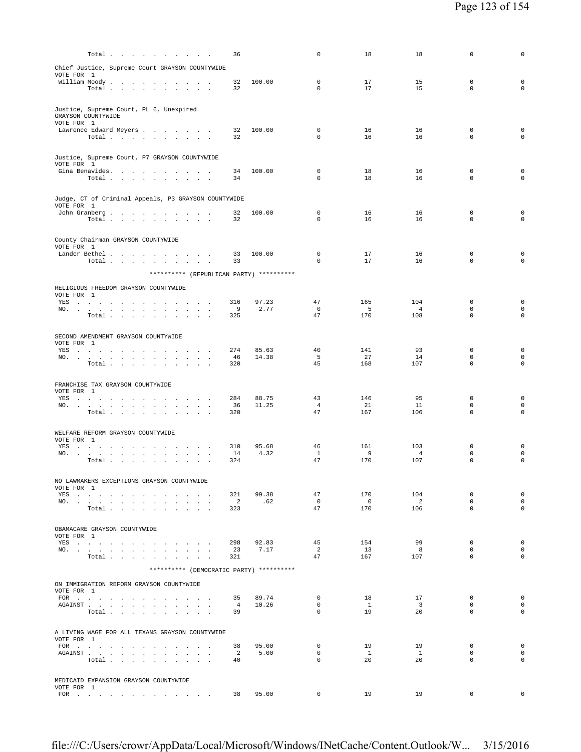| $\mathbf 0$<br>17<br>$\mathbf 0$<br>17                  | 15<br>15                                                                                                                                                                          | $\mathbf 0$<br>$\mathbf 0$<br>$\mathbf 0$<br>$\mathbf 0$ |
|---------------------------------------------------------|-----------------------------------------------------------------------------------------------------------------------------------------------------------------------------------|----------------------------------------------------------|
|                                                         |                                                                                                                                                                                   |                                                          |
|                                                         |                                                                                                                                                                                   |                                                          |
|                                                         |                                                                                                                                                                                   |                                                          |
| 16                                                      | 16                                                                                                                                                                                | $\mathbf 0$<br>$\mathbf 0$                               |
|                                                         |                                                                                                                                                                                   | $\circ$<br>$\mathbf 0$                                   |
|                                                         |                                                                                                                                                                                   |                                                          |
|                                                         |                                                                                                                                                                                   |                                                          |
|                                                         |                                                                                                                                                                                   | $\mathbf 0$<br>$\mathbf 0$<br>$\mathbf 0$<br>0           |
|                                                         |                                                                                                                                                                                   |                                                          |
|                                                         |                                                                                                                                                                                   |                                                          |
|                                                         |                                                                                                                                                                                   | $\mathbf 0$<br>$\mathbf 0$                               |
| 16                                                      | 16                                                                                                                                                                                | $\mathbf 0$<br>$\mathbf 0$                               |
|                                                         |                                                                                                                                                                                   |                                                          |
|                                                         |                                                                                                                                                                                   |                                                          |
| 17                                                      | 16                                                                                                                                                                                | $\mathbf 0$<br>$\mathbf 0$                               |
| 17                                                      | 16                                                                                                                                                                                | $\mathbf 0$<br>0                                         |
|                                                         |                                                                                                                                                                                   |                                                          |
|                                                         |                                                                                                                                                                                   |                                                          |
|                                                         |                                                                                                                                                                                   | 0<br>0                                                   |
| 5                                                       | $\overline{4}$                                                                                                                                                                    | $\mathsf{O}\xspace$<br>$\mathbf 0$                       |
| 170                                                     | 108                                                                                                                                                                               | $\mathbf 0$<br>$\circ$                                   |
|                                                         |                                                                                                                                                                                   |                                                          |
|                                                         |                                                                                                                                                                                   |                                                          |
| 141                                                     | 93                                                                                                                                                                                | $\mathbf 0$<br>$\mathbf 0$<br>$\mathbf 0$<br>$\mathbf 0$ |
| 168                                                     | 107                                                                                                                                                                               | $\circ$<br>$\Omega$                                      |
|                                                         |                                                                                                                                                                                   |                                                          |
|                                                         |                                                                                                                                                                                   |                                                          |
|                                                         |                                                                                                                                                                                   |                                                          |
| 43<br>146                                               | 95                                                                                                                                                                                | $\mathbf 0$<br>$\mathbf 0$                               |
| $\overline{4}$<br>21                                    | 11                                                                                                                                                                                | $\mathbf 0$<br>$\mathbf 0$                               |
| 47<br>167                                               | 106                                                                                                                                                                               | $\mathbf 0$<br>$\mathbf 0$                               |
|                                                         |                                                                                                                                                                                   |                                                          |
|                                                         |                                                                                                                                                                                   |                                                          |
| 46<br>161<br>$\mathbf{1}$<br>- 9                        | 103<br>$\overline{4}$                                                                                                                                                             | $\mathbf 0$<br>$\mathbf 0$<br>$\mathbf 0$<br>$\mathbf 0$ |
| 47<br>170                                               | 107                                                                                                                                                                               | $\mathbf 0$<br>$\mathbf 0$                               |
|                                                         |                                                                                                                                                                                   |                                                          |
|                                                         |                                                                                                                                                                                   |                                                          |
| 47<br>170                                               | 104                                                                                                                                                                               | $\mathbf 0$<br>$\mathbf 0$                               |
| $\overline{0}$<br>$\overline{\phantom{0}}$<br>47<br>170 | $\overline{2}$<br>106                                                                                                                                                             | $\circ$<br>$\mathbf 0$<br>$\circ$<br>$\mathbf 0$         |
|                                                         |                                                                                                                                                                                   |                                                          |
|                                                         |                                                                                                                                                                                   |                                                          |
| 45<br>154                                               | 99                                                                                                                                                                                | $\mathbf 0$<br>$^{\circ}$                                |
| 2<br>13                                                 | 8                                                                                                                                                                                 | $\circ$<br>$\mathbf 0$                                   |
| 47<br>167                                               | 107                                                                                                                                                                               | $\mathsf{O}\xspace$<br>$\mathbf 0$                       |
|                                                         |                                                                                                                                                                                   |                                                          |
|                                                         |                                                                                                                                                                                   |                                                          |
| $\mathbf{0}$<br>18                                      | 17                                                                                                                                                                                | $\mathbf 0$<br>$^{\circ}$                                |
| $\mathbf{0}$<br>$\mathbf{1}$                            | $\overline{\mathbf{3}}$                                                                                                                                                           | $\mathbf 0$<br>$\mathbf 0$                               |
| 19<br>$\Omega$                                          | 20                                                                                                                                                                                | $\Omega$<br>$\Omega$                                     |
|                                                         |                                                                                                                                                                                   |                                                          |
|                                                         |                                                                                                                                                                                   |                                                          |
| $\mathbf 0$<br>19<br>$\mathbf 0$<br>$\overline{1}$      | 19<br>$\mathbf{1}$                                                                                                                                                                | $\Omega$<br>$\mathbf 0$<br>$\Omega$<br>$\mathbf 0$       |
| $\mathbf{0}$<br>20                                      | 20                                                                                                                                                                                | $\mathbf 0$<br>$\mathbf 0$                               |
|                                                         |                                                                                                                                                                                   |                                                          |
|                                                         |                                                                                                                                                                                   |                                                          |
|                                                         | $\mathbf 0$<br>$\Omega$<br>16<br>18<br>0<br>$\mathbf 0$<br>18<br>$\mathbf 0$<br>16<br>$\mathbf 0$<br>0<br>$\mathbf 0$<br>47<br>165<br>$\overline{0}$<br>47<br>40<br>5<br>27<br>45 | 16<br>16<br>16<br>16<br>104<br>14                        |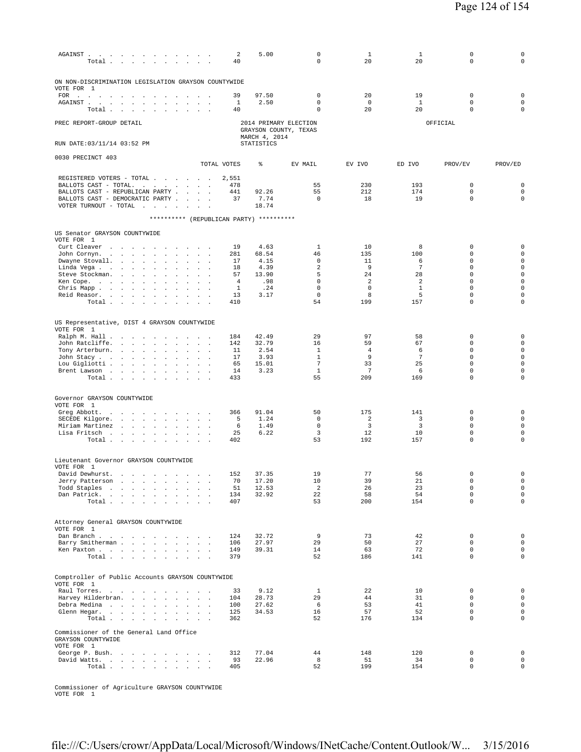| ${\tt AGAINST} \quad . \quad . \quad . \quad . \quad . \quad . \quad . \quad . \quad . \quad . \quad . \quad . \quad .$<br>Total<br>$\mathbf{r}$                                                                                                                                                                                                                                                                                                                                                                                                                                                                                                                                                                                                                                                                   | $\sim$ $\sim$                                              | 5.00<br>2<br>40                                                                                                    | $\mathbf 0$<br>$\mathbf 0$                                                                                   | $\mathbf{1}$<br>20                               | $\mathbf{1}$<br>20                                              | 0<br>$\mathbf 0$                                                                                                | $\mathsf 0$<br>$\mathbf 0$                                                                                                                  |
|--------------------------------------------------------------------------------------------------------------------------------------------------------------------------------------------------------------------------------------------------------------------------------------------------------------------------------------------------------------------------------------------------------------------------------------------------------------------------------------------------------------------------------------------------------------------------------------------------------------------------------------------------------------------------------------------------------------------------------------------------------------------------------------------------------------------|------------------------------------------------------------|--------------------------------------------------------------------------------------------------------------------|--------------------------------------------------------------------------------------------------------------|--------------------------------------------------|-----------------------------------------------------------------|-----------------------------------------------------------------------------------------------------------------|---------------------------------------------------------------------------------------------------------------------------------------------|
| ON NON-DISCRIMINATION LEGISLATION GRAYSON COUNTYWIDE<br>VOTE FOR 1<br>$\begin{picture}(180,170) \put(0,0){\dashbox{0.5}(100,0){ }} \put(150,0){\dashbox{0.5}(100,0){ }} \put(150,0){\dashbox{0.5}(100,0){ }} \put(150,0){\dashbox{0.5}(100,0){ }} \put(150,0){\dashbox{0.5}(100,0){ }} \put(150,0){\dashbox{0.5}(100,0){ }} \put(150,0){\dashbox{0.5}(100,0){ }} \put(150,0){\dashbox{0.5}(100,0){ }} \put(150,0){\dashbox{0.5}($<br>$\sim$<br>the company of the company                                                                                                                                                                                                                                                                                                                                          | and the control of                                         | 97.50<br>39                                                                                                        | $\mathbf 0$                                                                                                  | 20                                               | 19                                                              | $\mathbf 0$                                                                                                     | $\mathsf 0$                                                                                                                                 |
| AGAINST.<br><b>Contract Contract</b><br>$\sim$<br><b>Contract Contract</b><br>$\sim$<br>$\sim$<br>Total.<br>$\sim 100$<br>$\sim$<br>$\sim$ $\sim$                                                                                                                                                                                                                                                                                                                                                                                                                                                                                                                                                                                                                                                                  | $\ddot{\phantom{a}}$                                       | 1<br>2.50<br>40                                                                                                    | $\mathbf 0$<br>$\mathbf 0$                                                                                   | $^{\circ}$<br>20                                 | -1<br>20                                                        | $\mathbf 0$<br>$\mathbf 0$                                                                                      | $\mathsf{O}\xspace$<br>$\mathsf 0$                                                                                                          |
| PREC REPORT-GROUP DETAIL                                                                                                                                                                                                                                                                                                                                                                                                                                                                                                                                                                                                                                                                                                                                                                                           |                                                            |                                                                                                                    | 2014 PRIMARY ELECTION<br>GRAYSON COUNTY, TEXAS                                                               |                                                  |                                                                 | OFFICIAL                                                                                                        |                                                                                                                                             |
| RUN DATE: 03/11/14 03:52 PM                                                                                                                                                                                                                                                                                                                                                                                                                                                                                                                                                                                                                                                                                                                                                                                        |                                                            | MARCH 4, 2014<br><b>STATISTICS</b>                                                                                 |                                                                                                              |                                                  |                                                                 |                                                                                                                 |                                                                                                                                             |
| 0030 PRECINCT 403                                                                                                                                                                                                                                                                                                                                                                                                                                                                                                                                                                                                                                                                                                                                                                                                  | TOTAL VOTES                                                | ి                                                                                                                  | EV MAIL                                                                                                      | EV IVO                                           | ED IVO                                                          | PROV/EV                                                                                                         | PROV/ED                                                                                                                                     |
| REGISTERED VOTERS - TOTAL<br>BALLOTS CAST - TOTAL.<br>the contract of the contract of<br>BALLOTS CAST - REPUBLICAN PARTY .<br>$\mathbf{r}$<br>BALLOTS CAST - DEMOCRATIC PARTY.<br>$\sim$<br>VOTER TURNOUT - TOTAL<br><b>Carl Carl Carl</b><br>$\sim$                                                                                                                                                                                                                                                                                                                                                                                                                                                                                                                                                               | $\sim$                                                     | 2,551<br>478<br>441<br>92.26<br>7.74<br>37<br>18.74                                                                | 55<br>55<br>$\mathbf 0$                                                                                      | 230<br>212<br>18                                 | 193<br>174<br>19                                                | 0<br>$\mathbf 0$<br>$\mathbf 0$                                                                                 | $\mathbf 0$<br>$\mathsf{O}\xspace$<br>$\mathsf 0$                                                                                           |
|                                                                                                                                                                                                                                                                                                                                                                                                                                                                                                                                                                                                                                                                                                                                                                                                                    |                                                            | ********** (REPUBLICAN PARTY) **********                                                                           |                                                                                                              |                                                  |                                                                 |                                                                                                                 |                                                                                                                                             |
| US Senator GRAYSON COUNTYWIDE<br>VOTE FOR 1                                                                                                                                                                                                                                                                                                                                                                                                                                                                                                                                                                                                                                                                                                                                                                        |                                                            |                                                                                                                    |                                                                                                              |                                                  |                                                                 |                                                                                                                 |                                                                                                                                             |
| Curt Cleaver<br><b>Carl Carl Carl</b><br>$\overline{\phantom{a}}$<br>John Cornyn.<br><b>Carl Carl Carl</b><br>$\sim$ $\sim$<br>$\sim$<br>$\cdot$<br>$\cdot$<br>$\Box$<br>Dwayne Stovall.<br>$\mathcal{A}^{\mathcal{A}}$ and $\mathcal{A}^{\mathcal{A}}$<br>$\ddot{\phantom{0}}$<br>$\Box$<br>$\cdot$<br>Linda Vega .<br>and the company of the<br>$\sim$<br>$\overline{a}$<br>$\mathbf{r}$<br>Steve Stockman.<br>$\sim$<br>$\mathbf{r}$<br>$\sim$<br>$\overline{\phantom{a}}$<br>Ken Cope.<br>$\ddot{\phantom{0}}$<br>$\cdot$<br>$\ddot{\phantom{a}}$<br>$\cdot$<br>Chris Mapp .<br>$\sim$<br>$\sim$<br>$\ddot{\phantom{a}}$<br>$\ddot{\phantom{a}}$<br>$\cdot$<br>$\cdot$<br>$\cdot$<br>Reid Reasor.<br>and the company of the company of<br>Total<br><b>Contract Contract</b><br>$\ddot{\phantom{a}}$<br>$\cdot$ | $\sim$<br>$\sim$                                           | 4.63<br>19<br>68.54<br>281<br>4.15<br>17<br>18<br>4.39<br>13.90<br>57<br>.98<br>4<br>1<br>.24<br>13<br>3.17<br>410 | $\mathbf{1}$<br>46<br>$\mathbf 0$<br>$\overline{a}$<br>5<br>$\mathbb O$<br>$\mathbf 0$<br>$\mathbf{0}$<br>54 | 10<br>135<br>11<br>9<br>24<br>2<br>0<br>8<br>199 | 8<br>100<br>6<br>7<br>28<br>$\overline{2}$<br>$1\,$<br>5<br>157 | $\mathbf 0$<br>$\mathbf 0$<br>$\mathbf 0$<br>0<br>0<br>$\mathbf 0$<br>$\mathbf 0$<br>$\mathbf 0$<br>$\mathbf 0$ | $\mathsf 0$<br>$\mathsf{O}\xspace$<br>$\mathsf 0$<br>$\mathsf 0$<br>$\mathsf 0$<br>$\mathsf 0$<br>$\mathsf 0$<br>$\mathsf 0$<br>$\mathbf 0$ |
| US Representative, DIST 4 GRAYSON COUNTYWIDE<br>VOTE FOR 1                                                                                                                                                                                                                                                                                                                                                                                                                                                                                                                                                                                                                                                                                                                                                         |                                                            |                                                                                                                    |                                                                                                              |                                                  |                                                                 |                                                                                                                 |                                                                                                                                             |
| Ralph M. Hall<br><b>Contract Contract</b><br>$\overline{\phantom{a}}$<br>John Ratcliffe.<br>$\sim$<br>$\ddot{\phantom{a}}$<br>Tony Arterburn.<br>and the contract of the state of<br>$\sim$<br>$\mathbf{r}$<br>John Stacy<br>$\ddot{\phantom{a}}$<br>$\sim$<br>$\cdot$<br>$\Box$<br>Lou Gigliotti<br>$\Delta$<br>$\cdot$<br>Brent Lawson<br>$\ddot{\phantom{0}}$<br>$\ddot{\phantom{a}}$<br>$\cdot$<br>Total $\cdots$ $\cdots$                                                                                                                                                                                                                                                                                                                                                                                     |                                                            | 42.49<br>184<br>32.79<br>142<br>11<br>2.54<br>17<br>3.93<br>65<br>15.01<br>3.23<br>14<br>433                       | 29<br>16<br>1<br>1<br>$\overline{7}$<br>$\mathbf{1}$<br>55                                                   | 97<br>59<br>4<br>9<br>33<br>7<br>209             | 58<br>67<br>6<br>$\overline{7}$<br>25<br>6<br>169               | $\mathbf 0$<br>$\mathbf 0$<br>0<br>0<br>$\mathbf 0$<br>0<br>$\mathbf 0$                                         | $\mathsf 0$<br>$\mathbf 0$<br>$\mathsf{O}\xspace$<br>$\mathsf 0$<br>$\mathsf 0$<br>$\mathsf 0$<br>$\mathbf 0$                               |
| Governor GRAYSON COUNTYWIDE<br>VOTE FOR 1                                                                                                                                                                                                                                                                                                                                                                                                                                                                                                                                                                                                                                                                                                                                                                          |                                                            |                                                                                                                    |                                                                                                              |                                                  |                                                                 |                                                                                                                 |                                                                                                                                             |
| Greg Abbott.<br>$\sim$ $\sim$<br>$\mathbf{z} = \mathbf{z}$<br>$\ddot{\phantom{a}}$<br>$\blacksquare$<br>SECEDE Kilgore.<br>and the contract of the state<br>$\sim$<br>$\sim$<br>Miriam Martinez<br>$\ddot{\phantom{a}}$<br>$\mathcal{L}^{\pm}$<br>$\blacksquare$<br><b>Contract Contract</b><br>$\Box$<br>Lisa Fritsch<br>the contract of the contract of the<br><b>Contract</b><br>Total .<br>$\sim 10^{-1}$<br>$\sim$<br>$\ddot{\phantom{a}}$<br>$\mathbf{r}$<br>$\blacksquare$                                                                                                                                                                                                                                                                                                                                  | $\sim 10^{-11}$ $\sim$<br>$\sim$ $\sim$ $\sim$             | 91.04<br>366<br>5<br>1.24<br>6<br>1.49<br>25<br>6.22<br>402                                                        | 50<br>$\mathbf 0$<br>$\mathbf 0$<br>3<br>53                                                                  | 175<br>2<br>3<br>12<br>192                       | 141<br>3<br>3<br>10<br>157                                      | $\mathbf 0$<br>$\mathbf 0$<br>$\mathbf 0$<br>0<br>$\mathbf 0$                                                   | $\mathsf 0$<br>$\mathsf{O}\xspace$<br>$\mathsf 0$<br>$\mathsf 0$<br>$\mathbf 0$                                                             |
| Lieutenant Governor GRAYSON COUNTYWIDE<br>VOTE FOR 1                                                                                                                                                                                                                                                                                                                                                                                                                                                                                                                                                                                                                                                                                                                                                               |                                                            |                                                                                                                    |                                                                                                              |                                                  |                                                                 |                                                                                                                 |                                                                                                                                             |
| David Dewhurst.<br>Jerry Patterson<br>$\mathbf{r}$<br>Todd Staples<br>$\sim$<br>Dan Patrick.<br>Total                                                                                                                                                                                                                                                                                                                                                                                                                                                                                                                                                                                                                                                                                                              | $\sim$ $\sim$<br>$\sim$ $-$                                | 152 37.35<br>70<br>17.20<br>51<br>12.53<br>134<br>32.92<br>407                                                     | 19<br>10<br>2<br>22<br>53                                                                                    | 77<br>39<br>26<br>58<br>200                      | 56<br>21<br>23<br>54<br>154                                     | 0<br>$\mathsf 0$<br>$\mathbf 0$<br>$\Omega$<br>$\mathbf 0$                                                      | 0<br>$\mathbf 0$<br>$\mathsf{O}\xspace$<br>$\mathsf{O}\xspace$<br>$\mathsf 0$                                                               |
| Attorney General GRAYSON COUNTYWIDE<br>VOTE FOR 1                                                                                                                                                                                                                                                                                                                                                                                                                                                                                                                                                                                                                                                                                                                                                                  |                                                            |                                                                                                                    |                                                                                                              |                                                  |                                                                 |                                                                                                                 |                                                                                                                                             |
| Dan Branch<br>Barry Smitherman<br>Ken Paxton<br>Total                                                                                                                                                                                                                                                                                                                                                                                                                                                                                                                                                                                                                                                                                                                                                              |                                                            | 32.72<br>124<br>27.97<br>106<br>149<br>39.31<br>379                                                                | 9<br>29<br>14<br>52                                                                                          | 73<br>50<br>63<br>186                            | 42<br>27<br>72<br>141                                           | $\mathbf 0$<br>$\mathbf 0$<br>$\mathbf 0$<br>$\mathbf 0$                                                        | $\mathsf{O}\xspace$<br>$\mathsf 0$<br>$\mathsf{O}\xspace$<br>$\mathsf 0$                                                                    |
| Comptroller of Public Accounts GRAYSON COUNTYWIDE<br>VOTE FOR 1                                                                                                                                                                                                                                                                                                                                                                                                                                                                                                                                                                                                                                                                                                                                                    |                                                            |                                                                                                                    |                                                                                                              |                                                  |                                                                 |                                                                                                                 |                                                                                                                                             |
| Raul Torres.<br>Harvey Hilderbran.<br>Debra Medina<br>Glenn Hegar.<br>Total $\cdots$ $\cdots$<br>$\sim$ 10 $\,$<br>$\Box$                                                                                                                                                                                                                                                                                                                                                                                                                                                                                                                                                                                                                                                                                          | <b>Sales Advised Street</b><br>$\sim 10^{-1}$ km s $^{-1}$ | 33<br>9.12<br>28.73<br>104<br>27.62<br>100<br>125<br>34.53<br>362                                                  | $\mathbf{1}$<br>29<br>6<br>16<br>52                                                                          | 22<br>44<br>53<br>57<br>176                      | 10<br>31<br>41<br>52<br>134                                     | $\mathbf 0$<br>$\mathbf 0$<br>$\mathbf 0$<br>$\mathbf 0$<br>$\mathbf 0$                                         | $\mathbf 0$<br>$\mathsf{O}\xspace$<br>$\mathsf{O}\xspace$<br>$\mathsf{O}\xspace$<br>$\mathsf 0$                                             |
| Commissioner of the General Land Office<br>GRAYSON COUNTYWIDE<br>VOTE FOR 1                                                                                                                                                                                                                                                                                                                                                                                                                                                                                                                                                                                                                                                                                                                                        |                                                            |                                                                                                                    |                                                                                                              |                                                  |                                                                 |                                                                                                                 |                                                                                                                                             |
| George P. Bush.<br>David Watts.<br>the contract of the contract of the con-<br>Total                                                                                                                                                                                                                                                                                                                                                                                                                                                                                                                                                                                                                                                                                                                               |                                                            | 77.04<br>312<br>93<br>22.96<br>405                                                                                 | 44<br>8<br>52                                                                                                | 148<br>51<br>199                                 | 120<br>34<br>154                                                | 0<br>$\mathbf 0$<br>$\mathsf 0$                                                                                 | $\mathsf{O}\xspace$<br>$\mathsf{O}\xspace$<br>$\mathsf 0$                                                                                   |

Commissioner of Agriculture GRAYSON COUNTYWIDE VOTE FOR 1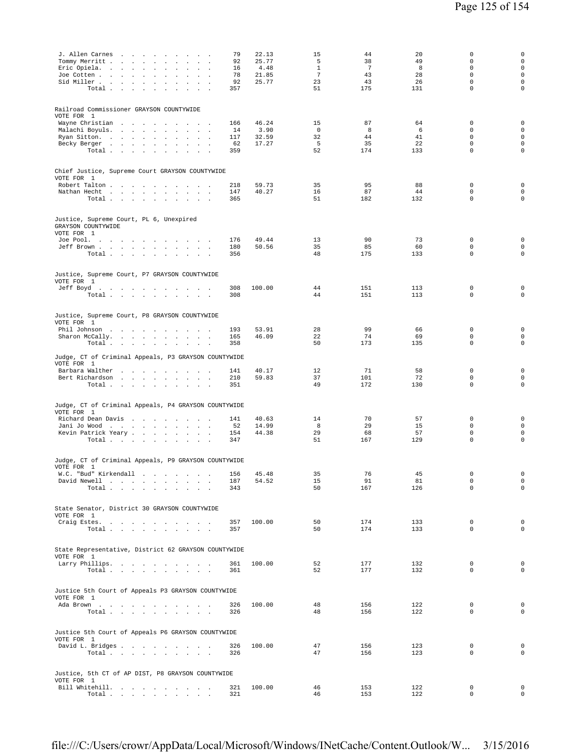| J. Allen Carnes<br>79<br>Tommy Merritt<br>92<br>$\cdot$<br>$\cdot$<br>Eric Opiela.<br>16<br>$\ddot{\phantom{a}}$<br>Joe Cotten<br>78<br>$\sim$ $-$<br>$\sim$<br>$\sim 10^{-11}$<br>$\ddot{\phantom{a}}$<br>Sid Miller<br>92<br>$\sim$<br>Total<br>357<br>$\ddot{\phantom{a}}$<br>$\mathbf{r}$<br>$\ddot{\phantom{a}}$                            | 22.13<br>25.77<br>4.48<br>21.85<br>25.77 | 15<br>5<br>$\mathbf{1}$<br>$7\phantom{.0}$<br>23<br>51 | 44<br>38<br>7<br>43<br>43<br>175 | 20<br>49<br>8<br>28<br>26<br>131 | $\Omega$<br>$\mathbf 0$<br>$\mathbf 0$<br>$\mathbf 0$<br>$\mathbf 0$<br>$\mathbf 0$ | $\mathbf 0$<br>$\mathsf 0$<br>$\mathbf 0$<br>$\mathbf 0$<br>$\mathsf 0$<br>$\mathsf 0$  |
|--------------------------------------------------------------------------------------------------------------------------------------------------------------------------------------------------------------------------------------------------------------------------------------------------------------------------------------------------|------------------------------------------|--------------------------------------------------------|----------------------------------|----------------------------------|-------------------------------------------------------------------------------------|-----------------------------------------------------------------------------------------|
| Railroad Commissioner GRAYSON COUNTYWIDE<br>VOTE FOR 1<br>Wayne Christian<br>166<br>Malachi Boyuls.<br>14<br>the company of the company of<br>$\sim$<br>Ryan Sitton.<br>117<br>$\sim$<br>$\ddot{\phantom{a}}$<br>$\sim$<br>Becky Berger<br>62<br>$\sim$<br>$\blacksquare$<br>Total $\cdots$ $\cdots$ $\cdots$<br>359<br><b>Contract Contract</b> | 46.24<br>3.90<br>32.59<br>17.27          | 15<br>$\Omega$<br>32<br>5<br>52                        | 87<br>8<br>44<br>35<br>174       | 64<br>6<br>41<br>22<br>133       | $\mathbf 0$<br>$\mathbf 0$<br>$\mathbf 0$<br>$\mathbf 0$<br>$\mathbf 0$             | $\mathsf 0$<br>$\mathsf{O}\xspace$<br>$\mathsf{O}\xspace$<br>$\mathbf 0$<br>$\mathsf 0$ |
| Chief Justice, Supreme Court GRAYSON COUNTYWIDE<br>VOTE FOR 1<br>Robert Talton<br>218<br>Nathan Hecht<br>147<br>Total $\cdots$ $\cdots$ $\cdots$ $\cdots$<br>365                                                                                                                                                                                 | 59.73<br>40.27                           | 35<br>16<br>51                                         | 95<br>87<br>182                  | 88<br>44<br>132                  | 0<br>$\mathbf 0$<br>$\mathbf 0$                                                     | 0<br>$\mathsf 0$<br>$\mathsf 0$                                                         |
| Justice, Supreme Court, PL 6, Unexpired<br>GRAYSON COUNTYWIDE<br>VOTE FOR 1<br>Joe Pool.<br>176<br>Jeff Brown<br>180<br>Total<br>356                                                                                                                                                                                                             | 49.44<br>50.56                           | 13<br>35<br>48                                         | 90<br>85<br>175                  | 73<br>60<br>133                  | $\mathbf 0$<br>$\mathbf 0$<br>$\mathbf 0$                                           | $\mathbf 0$<br>$\mathsf{O}\xspace$<br>$\mathsf 0$                                       |
| Justice, Supreme Court, P7 GRAYSON COUNTYWIDE<br>VOTE FOR 1<br>Jeff Boyd<br>308<br>Total<br>308                                                                                                                                                                                                                                                  | 100.00                                   | 44<br>44                                               | 151<br>151                       | 113<br>113                       | $\mathbf 0$<br>$\mathbf 0$                                                          | 0<br>$\mathsf 0$                                                                        |
| Justice, Supreme Court, P8 GRAYSON COUNTYWIDE<br>VOTE FOR 1<br>Phil Johnson<br>193<br>Sharon McCally.<br>165<br>Total<br>358                                                                                                                                                                                                                     | 53.91<br>46.09                           | 28<br>22<br>50                                         | 99<br>74<br>173                  | 66<br>69<br>135                  | $\mathbf 0$<br>$\mathbb O$<br>$\mathbf 0$                                           | $\mathsf 0$<br>$\mathsf{O}\xspace$<br>$\mathsf 0$                                       |
| Judge, CT of Criminal Appeals, P3 GRAYSON COUNTYWIDE<br>VOTE FOR 1<br>Barbara Walther<br>141<br>Bert Richardson<br>210<br>Total<br>351                                                                                                                                                                                                           | 40.17<br>59.83                           | 12<br>37<br>49                                         | 71<br>101<br>172                 | 58<br>72<br>130                  | $\mathbf 0$<br>$\mathbf 0$<br>$\mathbf 0$                                           | $\mathsf 0$<br>$\mathsf 0$<br>0                                                         |
| Judge, CT of Criminal Appeals, P4 GRAYSON COUNTYWIDE<br>VOTE FOR 1<br>Richard Dean Davis<br>141<br>Jani Jo Wood<br>52<br>Kevin Patrick Yeary<br>154                                                                                                                                                                                              | 40.63<br>14.99<br>44.38                  | 14<br>8<br>29                                          | 70<br>29<br>68                   | 57<br>15<br>57                   | $\mathbf 0$<br>$\mathbf 0$<br>$\mathbb O$                                           | 0<br>$\mathbf 0$<br>0                                                                   |
| Total $\ldots$ $\ldots$ $\ldots$ $\ldots$<br>347<br>Judge, CT of Criminal Appeals, P9 GRAYSON COUNTYWIDE<br>VOTE FOR 1<br>W.C. "Bud" Kirkendall<br>156                                                                                                                                                                                           | 45.48                                    | 51<br>35                                               | 167<br>76                        | 129<br>45                        | $\mathbf 0$<br>$\,0\,$                                                              | $\mathbf 0$<br>$\circ$                                                                  |
| David Newell<br>187<br>$\texttt{Total}~~.~~.~~.~~.~~.~~.~~.~~.~~.~~.$<br>343<br>State Senator, District 30 GRAYSON COUNTYWIDE                                                                                                                                                                                                                    | 54.52                                    | 15<br>50                                               | 91<br>167                        | 81<br>126                        | $\mathbb O$<br>$\mathbf 0$                                                          | $\circ$<br>$\circ$                                                                      |
| VOTE FOR 1<br>Craig Estes.<br>357<br>Total<br>357                                                                                                                                                                                                                                                                                                | 100.00                                   | 50<br>50                                               | 174<br>174                       | 133<br>133                       | $\mathbf 0$<br>$\mathbf 0$                                                          | $\mathbf 0$<br>0                                                                        |
| State Representative, District 62 GRAYSON COUNTYWIDE<br>VOTE FOR 1<br>Larry Phillips.<br>361<br>Total<br>361                                                                                                                                                                                                                                     | 100.00                                   | 52<br>52                                               | 177<br>177                       | 132<br>132                       | 0<br>$\mathbf 0$                                                                    | $\mathsf{O}\xspace$<br>0                                                                |
| Justice 5th Court of Appeals P3 GRAYSON COUNTYWIDE<br>VOTE FOR 1<br>Ada Brown<br>326<br>Total $\cdots$ $\cdots$ $\cdots$<br>326                                                                                                                                                                                                                  | 100.00                                   | 48<br>48                                               | 156<br>156                       | 122<br>122                       | $\mathbf 0$<br>$\mathbf 0$                                                          | $\mathbf 0$<br>$\mathbf 0$                                                              |
| Justice 5th Court of Appeals P6 GRAYSON COUNTYWIDE<br>VOTE FOR 1<br>David L. Bridges<br>326<br>Total<br>326                                                                                                                                                                                                                                      | 100.00                                   | 47<br>47                                               | 156<br>156                       | 123<br>123                       | 0<br>$\mathbf 0$                                                                    | $\mathbf 0$<br>$\mathbf 0$                                                              |
| Justice, 5th CT of AP DIST, P8 GRAYSON COUNTYWIDE<br>VOTE FOR 1<br>Bill Whitehill.<br>321<br>Total $\cdots$ $\cdots$ $\cdots$<br>321                                                                                                                                                                                                             | 100.00                                   | 46<br>46                                               | 153<br>153                       | 122<br>122                       | 0<br>$\mathbf 0$                                                                    | 0<br>0                                                                                  |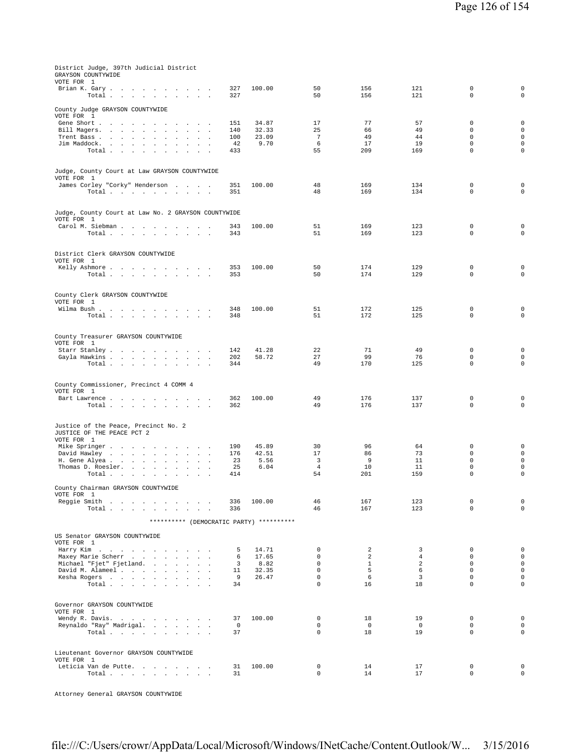| District Judge, 397th Judicial District<br>GRAYSON COUNTYWIDE<br>VOTE FOR 1      |               |                |                            |               |               |                            |                            |
|----------------------------------------------------------------------------------|---------------|----------------|----------------------------|---------------|---------------|----------------------------|----------------------------|
| Brian K. Gary<br>Total                                                           | 327<br>327    | 100.00         | 50<br>50                   | 156<br>156    | 121<br>121    | $\mathbf 0$<br>$\mathbf 0$ | $\mathbf 0$<br>$\mathbf 0$ |
| County Judge GRAYSON COUNTYWIDE<br>VOTE FOR 1                                    |               |                |                            |               |               |                            |                            |
| Gene Short<br>Bill Magers.                                                       | 151<br>140    | 34.87<br>32.33 | 17<br>25                   | 77<br>66      | 57<br>49      | $\mathbf 0$<br>$\mathbf 0$ | $\mathbf 0$<br>$\mathbf 0$ |
| Trent Bass<br>$\mathbf{r}$                                                       | 100           | 23.09          | 7                          | 49            | 44            | $\mathbf 0$                | $\mathbf 0$                |
| Jim Maddock.<br>Total $\ldots$ $\ldots$ $\ldots$<br>$\ddot{\phantom{a}}$         | 42<br>433     | 9.70           | 6<br>55                    | 17<br>209     | 19<br>169     | $\mathbf 0$<br>$\mathbf 0$ | $\mathbf 0$<br>$\mathbf 0$ |
|                                                                                  |               |                |                            |               |               |                            |                            |
| Judge, County Court at Law GRAYSON COUNTYWIDE<br>VOTE FOR 1                      |               |                |                            |               |               |                            |                            |
| James Corley "Corky" Henderson                                                   | 351           | 100.00         | 48                         | 169           | 134           | 0                          | $\mathbf 0$                |
| Total                                                                            | 351           |                | 48                         | 169           | 134           | $\mathbf 0$                | $\mathbf 0$                |
| Judge, County Court at Law No. 2 GRAYSON COUNTYWIDE                              |               |                |                            |               |               |                            |                            |
| VOTE FOR 1                                                                       |               |                |                            |               |               |                            |                            |
| Carol M. Siebman<br>Total                                                        | 343<br>343    | 100.00         | 51<br>51                   | 169<br>169    | 123<br>123    | 0<br>0                     | $\mathbf 0$<br>0           |
|                                                                                  |               |                |                            |               |               |                            |                            |
| District Clerk GRAYSON COUNTYWIDE                                                |               |                |                            |               |               |                            |                            |
| VOTE FOR 1<br>Kelly Ashmore                                                      | 353           | 100.00         | 50                         | 174           | 129           | 0                          | $\mathbf 0$                |
| Total                                                                            | 353           |                | 50                         | 174           | 129           | $\mathbf 0$                | $\mathbf 0$                |
|                                                                                  |               |                |                            |               |               |                            |                            |
| County Clerk GRAYSON COUNTYWIDE<br>VOTE FOR 1                                    |               |                |                            |               |               |                            |                            |
| Wilma Bush                                                                       | 348           | 100.00         | 51                         | 172           | 125           | 0                          | 0                          |
| Total<br>$\sim$                                                                  | 348           |                | 51                         | 172           | 125           | 0                          | $\mathbf 0$                |
|                                                                                  |               |                |                            |               |               |                            |                            |
| County Treasurer GRAYSON COUNTYWIDE<br>VOTE FOR 1                                |               |                |                            |               |               |                            |                            |
| Starr Stanley                                                                    | 142           | 41.28          | 22                         | 71            | 49            | $\mathbf 0$                | $\mathbf 0$<br>$\mathbf 0$ |
| Gayla Hawkins<br>Total                                                           | 202<br>344    | 58.72          | 27<br>49                   | 99<br>170     | 76<br>125     | 0<br>$\mathsf 0$           | $\mathbf 0$                |
|                                                                                  |               |                |                            |               |               |                            |                            |
| County Commissioner, Precinct 4 COMM 4                                           |               |                |                            |               |               |                            |                            |
| VOTE FOR 1<br>Bart Lawrence                                                      | 362           | 100.00         | 49                         | 176           | 137           | 0                          | 0                          |
| Total $\cdots$ $\cdots$ $\cdots$ $\cdots$                                        | 362           |                | 49                         | 176           | 137           | $\mathbf 0$                | $\mathbf 0$                |
|                                                                                  |               |                |                            |               |               |                            |                            |
| Justice of the Peace, Precinct No. 2<br>JUSTICE OF THE PEACE PCT 2<br>VOTE FOR 1 |               |                |                            |               |               |                            |                            |
| Mike Springer                                                                    | 190           | 45.89          | 30                         | 96            | 64            | 0                          | $\mathbf 0$                |
| David Hawley<br>H. Gene Alyea                                                    | 176<br>23     | 42.51<br>5.56  | 17<br>3                    | 86<br>9       | 73<br>11      | $\mathbf 0$<br>$\mathbf 0$ | $\mathbf 0$<br>$\mathbf 0$ |
| Thomas D. Roesler.<br>the contract of the con-<br>$\ddot{\phantom{a}}$           | 25            | 6.04           | $\overline{4}$             | 10            | 11            | $\mathbf 0$                | $\mathbf 0$                |
| Total $\cdots$ $\cdots$ $\cdots$                                                 | 414           |                | 54                         | 201           | 159           | $\mathbf 0$                | $\mathbf 0$                |
| County Chairman GRAYSON COUNTYWIDE                                               |               |                |                            |               |               |                            |                            |
| VOTE FOR 1<br>Reggie Smith                                                       | 336           | 100.00         | 46                         | 167           | 123           | 0                          | $\mathbf 0$                |
| Total $\cdots$ $\cdots$ $\cdots$                                                 | 336           |                | 46                         | 167           | 123           | 0                          | $\mathbf 0$                |
| ********** (DEMOCRATIC PARTY) **********                                         |               |                |                            |               |               |                            |                            |
| US Senator GRAYSON COUNTYWIDE                                                    |               |                |                            |               |               |                            |                            |
| VOTE FOR 1                                                                       |               |                |                            |               |               |                            |                            |
| Harry Kim<br>Maxey Marie Scherr                                                  | 5<br>6        | 14.71<br>17.65 | $\mathbf 0$<br>$\mathbf 0$ | 2<br>2        | 3<br>4        | $\mathbf 0$<br>0           | $\mathbf 0$<br>$\mathbf 0$ |
| Michael "Fjet" Fjetland.                                                         | 3             | 8.82           | $\mathbf 0$                | $\mathbf{1}$  | 2             | 0                          | $\mathbf 0$                |
| David M. Alameel<br>Kesha Rogers                                                 | 11<br>- 9     | 32.35<br>26.47 | $\mathbf 0$<br>$\mathbf 0$ | 5<br>6        | 6<br>3        | $\Omega$<br>0              | $\mathbf 0$<br>$\mathbf 0$ |
| Total                                                                            | 34            |                | $\mathbf 0$                | 16            | 18            | 0                          | $\mathbf 0$                |
|                                                                                  |               |                |                            |               |               |                            |                            |
| Governor GRAYSON COUNTYWIDE<br>VOTE FOR 1                                        |               |                |                            |               |               |                            |                            |
| Wendy R. Davis.                                                                  | 37            | 100.00         | $\mathbf{0}$               | 18            | 19            | $\mathbf 0$                | $\mathbf 0$                |
| Reynaldo "Ray" Madrigal.<br>Total $\cdots$ $\cdots$ $\cdots$                     | $\circ$<br>37 |                | $\mathbf 0$<br>$\mathbf 0$ | $\circ$<br>18 | $\circ$<br>19 | 0<br>0                     | $\mathbf 0$<br>$\mathbf 0$ |
|                                                                                  |               |                |                            |               |               |                            |                            |
| Lieutenant Governor GRAYSON COUNTYWIDE                                           |               |                |                            |               |               |                            |                            |
| VOTE FOR 1                                                                       |               |                |                            |               |               |                            |                            |
| Leticia Van de Putte.<br>Total $\cdots$ $\cdots$ $\cdots$                        | 31<br>31      | 100.00         | 0<br>$\mathbf 0$           | 14<br>14      | 17<br>17      | 0<br>0                     | $\mathbf 0$<br>$\mathbf 0$ |
|                                                                                  |               |                |                            |               |               |                            |                            |

Attorney General GRAYSON COUNTYWIDE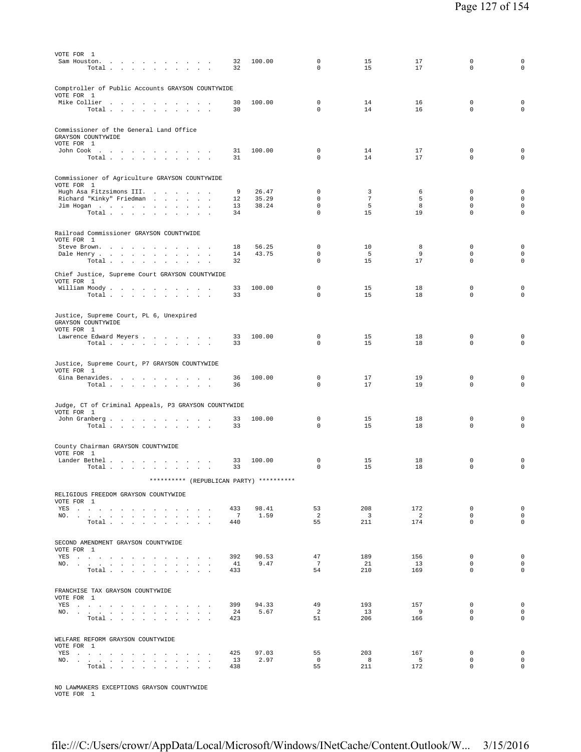| VOTE FOR 1<br>Sam Houston.<br>the contract of the contract of the contract of<br>Total.<br>the contract of the con-<br>$\sim$                                                                                                  | 32<br>32              | 100.00         | 0<br>$\mathbf 0$           | 15<br>15                       | 17<br>17                        | $\Omega$<br>$\mathbf 0$    | 0<br>$\mathbf 0$           |
|--------------------------------------------------------------------------------------------------------------------------------------------------------------------------------------------------------------------------------|-----------------------|----------------|----------------------------|--------------------------------|---------------------------------|----------------------------|----------------------------|
| Comptroller of Public Accounts GRAYSON COUNTYWIDE<br>VOTE FOR 1                                                                                                                                                                |                       |                |                            |                                |                                 |                            |                            |
| Mike Collier<br>the contract of the contract of<br>$\overline{a}$<br>$\sim$<br>$\overline{\phantom{a}}$<br>$\overline{\phantom{a}}$<br>Total<br>$\sim$<br>$\sim$<br>$\sim$ $\sim$ $\sim$                                       | 30<br>30              | 100.00         | $\mathbf 0$<br>$\Omega$    | 14<br>14                       | 16<br>16                        | $\mathsf 0$<br>$\mathbf 0$ | $\mathbf 0$<br>$\mathbf 0$ |
| Commissioner of the General Land Office<br>GRAYSON COUNTYWIDE<br>VOTE FOR 1                                                                                                                                                    |                       |                |                            |                                |                                 |                            |                            |
| John Cook $\ldots$ $\ldots$ $\ldots$ $\ldots$ $\ldots$<br>Total $\cdots$ $\cdots$ $\cdots$ $\cdots$                                                                                                                            | 31<br>31              | 100.00         | 0<br>$\Omega$              | 14<br>14                       | 17<br>17                        | 0<br>$\Omega$              | 0<br>$\mathbf 0$           |
| Commissioner of Agriculture GRAYSON COUNTYWIDE<br>VOTE FOR 1                                                                                                                                                                   |                       |                |                            |                                |                                 |                            |                            |
| Hugh Asa Fitzsimons III.                                                                                                                                                                                                       | 9                     | 26.47<br>35.29 | 0<br>$\mathbf 0$           | 3<br>7                         | 6<br>5                          | $\mathbf 0$<br>$\mathbf 0$ | $\mathbf 0$<br>$\mathbf 0$ |
| Richard "Kinky" Friedman<br>Jim Hogan                                                                                                                                                                                          | 12<br>13              | 38.24          | $\mathbf{0}$               | 5                              | 8                               | $\mathbf 0$                | $\mathbf 0$                |
| Total $\cdots$ $\cdots$ $\cdots$                                                                                                                                                                                               | 34                    |                | $\mathbf 0$                | 15                             | 19                              | $\mathbf 0$                | $\mathbf 0$                |
| Railroad Commissioner GRAYSON COUNTYWIDE<br>VOTE FOR 1                                                                                                                                                                         |                       |                |                            |                                |                                 |                            |                            |
| Steve Brown.<br>$\sim$                                                                                                                                                                                                         | 18<br>14              | 56.25<br>43.75 | 0<br>$\mathbf 0$           | 10<br>-5                       | 8<br>9                          | $\mathbf 0$<br>$\mathbf 0$ | $\mathbf 0$<br>$\mathbf 0$ |
| Dale Henry<br>Total $\cdots$ $\cdots$ $\cdots$<br><b>Contract Contract</b>                                                                                                                                                     | 32                    |                | $\mathbf 0$                | 15                             | 17                              | $\mathbf 0$                | $\mathsf{O}\xspace$        |
| Chief Justice, Supreme Court GRAYSON COUNTYWIDE<br>VOTE FOR 1                                                                                                                                                                  |                       |                |                            |                                |                                 |                            |                            |
| William Moody.<br>Total $\cdots$ $\cdots$ $\cdots$                                                                                                                                                                             | 33<br>33              | 100.00         | $^{\circ}$<br>$\mathbf 0$  | 15<br>15                       | 18<br>18                        | $\mathbf 0$<br>$\mathbf 0$ | 0<br>0                     |
|                                                                                                                                                                                                                                |                       |                |                            |                                |                                 |                            |                            |
| Justice, Supreme Court, PL 6, Unexpired<br>GRAYSON COUNTYWIDE<br>VOTE FOR 1                                                                                                                                                    |                       |                |                            |                                |                                 |                            |                            |
| Lawrence Edward Meyers<br>Total                                                                                                                                                                                                | 33<br>33              | 100.00         | $^{\circ}$<br>0            | 15<br>15                       | 18<br>18                        | 0<br>$\mathbf 0$           | $\mathbf 0$<br>$\mathbf 0$ |
|                                                                                                                                                                                                                                |                       |                |                            |                                |                                 |                            |                            |
| Justice, Supreme Court, P7 GRAYSON COUNTYWIDE<br>VOTE FOR 1<br>Gina Benavides.                                                                                                                                                 | 36                    | 100.00         | 0                          | 17                             | 19                              | 0                          | $\mathbf 0$                |
| Total                                                                                                                                                                                                                          | 36                    |                | 0                          | 17                             | 19                              | 0                          | $\mathbf 0$                |
| Judge, CT of Criminal Appeals, P3 GRAYSON COUNTYWIDE<br>VOTE FOR 1<br>John Granberg<br>Total $\cdots$ $\cdots$ $\cdots$                                                                                                        | 33<br>33              | 100.00         | $\mathbf 0$<br>$\mathbf 0$ | 15<br>15                       | 18<br>18                        | $\mathbf 0$<br>$\mathbf 0$ | $\mathbf 0$<br>0           |
| County Chairman GRAYSON COUNTYWIDE                                                                                                                                                                                             |                       |                |                            |                                |                                 |                            |                            |
| VOTE FOR 1<br>Lander Bethel<br>$\sim$ $\sim$ $\sim$                                                                                                                                                                            | 33                    | 100.00         | 0                          | 15                             | 18                              | 0                          | 0                          |
| Total                                                                                                                                                                                                                          | 33                    |                | 0                          | 15                             | 18                              | $\mathbf 0$                | $\mathbf 0$                |
| ********** (REPUBLICAN PARTY) **********                                                                                                                                                                                       |                       |                |                            |                                |                                 |                            |                            |
| RELIGIOUS FREEDOM GRAYSON COUNTYWIDE<br>VOTE FOR 1                                                                                                                                                                             |                       |                |                            |                                |                                 |                            |                            |
| YES                                                                                                                                                                                                                            | 433                   | 98.41          | 53                         | 208                            | 172                             | $\mathbf 0$                | $\mathsf 0$                |
| NO.<br>Total $\ldots$ $\ldots$ $\ldots$ $\ldots$                                                                                                                                                                               | $7\phantom{0}$<br>440 | 1.59           | $\overline{2}$<br>55       | $\overline{\mathbf{3}}$<br>211 | $\overline{\phantom{a}}$<br>174 | $\mathbf 0$<br>$\Omega$    | $\mathbf 0$<br>$\Omega$    |
| SECOND AMENDMENT GRAYSON COUNTYWIDE                                                                                                                                                                                            |                       |                |                            |                                |                                 |                            |                            |
| VOTE FOR 1<br>YES                                                                                                                                                                                                              | 392                   | 90.53          | 47                         | 189                            | 156                             | $\mathbf 0$                | $\mathbf 0$                |
| NO.                                                                                                                                                                                                                            | 41                    | 9.47           | $7\phantom{.0}$            | 21                             | 13                              | $\mathbf 0$                | $\mathbf 0$                |
| Total $\ldots$ $\ldots$ $\ldots$ $\ldots$                                                                                                                                                                                      | 433                   |                | 54                         | 210                            | 169                             | $\Omega$                   | $\mathbf 0$                |
| FRANCHISE TAX GRAYSON COUNTYWIDE<br>VOTE FOR 1                                                                                                                                                                                 |                       |                |                            |                                |                                 |                            |                            |
| YES and a contract the contract of the set of the set of the set of the set of the set of the set of the set of the set of the set of the set of the set of the set of the set of the set of the set of the set of the set of  | 399                   | 94.33          | 49                         | 193                            | 157                             | $\mathbf 0$                | $\mathbf{0}$               |
| NO.<br>$\texttt{Total} \quad . \quad . \quad . \quad . \quad . \quad . \quad . \quad . \quad . \quad .$                                                                                                                        | 24<br>423             | 5.67           | $\overline{2}$<br>51       | 13<br>206                      | 9<br>166                        | $\mathbf 0$<br>$\mathbf 0$ | $\circ$<br>$\mathbf 0$     |
|                                                                                                                                                                                                                                |                       |                |                            |                                |                                 |                            |                            |
| WELFARE REFORM GRAYSON COUNTYWIDE<br>VOTE FOR 1                                                                                                                                                                                |                       |                |                            |                                |                                 |                            |                            |
| YES a contract of the contract of the state of the state of the state of the state of the state of the state of the state of the state of the state of the state of the state of the state of the state of the state of the st | 425                   | 97.03          | 55                         | 203                            | 167                             | $\mathbf 0$                | $\mathbf{0}$               |
| NO.<br>Total                                                                                                                                                                                                                   | 13<br>438             | 2.97           | $\overline{0}$<br>55       | 8<br>211                       | $-5$<br>172                     | $\mathbf 0$<br>$\mathbf 0$ | $\mathbf 0$<br>$\mathbf 0$ |
|                                                                                                                                                                                                                                |                       |                |                            |                                |                                 |                            |                            |

NO LAWMAKERS EXCEPTIONS GRAYSON COUNTYWIDE VOTE FOR 1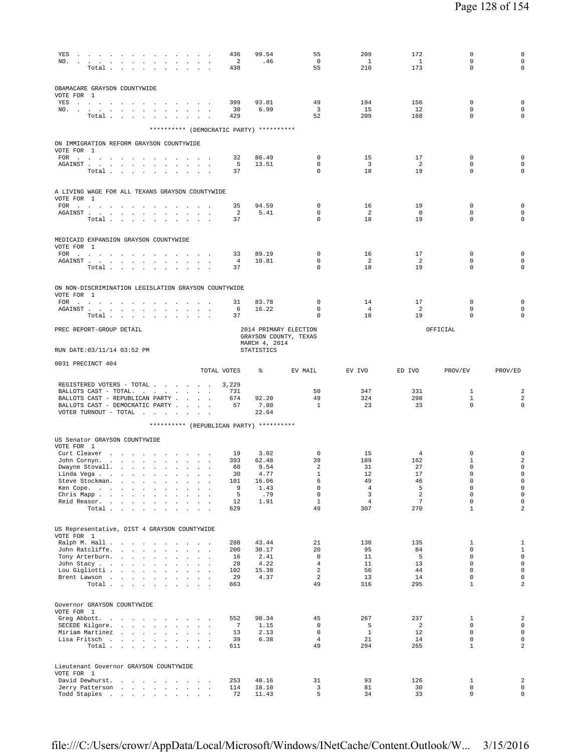| YES<br>NO.                                                                                                                                                                                                                                                                                                                          | Total                            |        |                              |        |                      | $\sim$ $\sim$                                   |                  |                                                 | 436<br>$\overline{\phantom{0}}^2$<br>438 | 99.54<br>.46                             | 55<br>$\overline{0}$<br>55                     | 209<br>$\overline{1}$<br>210 | 172<br>$\overline{1}$<br>173 | $\mathbf 0$<br>0<br>$\Omega$ | $\mathbf 0$<br>$\mathbf 0$<br>$\mathbf 0$ |
|-------------------------------------------------------------------------------------------------------------------------------------------------------------------------------------------------------------------------------------------------------------------------------------------------------------------------------------|----------------------------------|--------|------------------------------|--------|----------------------|-------------------------------------------------|------------------|-------------------------------------------------|------------------------------------------|------------------------------------------|------------------------------------------------|------------------------------|------------------------------|------------------------------|-------------------------------------------|
|                                                                                                                                                                                                                                                                                                                                     |                                  |        |                              |        |                      |                                                 |                  |                                                 |                                          |                                          |                                                |                              |                              |                              |                                           |
| OBAMACARE GRAYSON COUNTYWIDE<br>VOTE FOR 1<br>YES a contract that is a contract of the set of the $\mathcal{S}_1$                                                                                                                                                                                                                   |                                  |        |                              |        |                      |                                                 |                  |                                                 | 399                                      | 93.01                                    | 49                                             | 194                          | 156                          | $\mathbf 0$                  | $\mathbf 0$                               |
| NO.                                                                                                                                                                                                                                                                                                                                 |                                  |        |                              |        |                      |                                                 |                  |                                                 | 30                                       | 6.99                                     | $\overline{\mathbf{3}}$                        | 15                           | 12                           | $\mathbf 0$                  | $\mathbf 0$                               |
|                                                                                                                                                                                                                                                                                                                                     | Total                            |        |                              |        |                      |                                                 |                  |                                                 | 429                                      | ********** (DEMOCRATIC PARTY) ********** | 52                                             | 209                          | 168                          | 0                            | $\mathbf 0$                               |
| ON IMMIGRATION REFORM GRAYSON COUNTYWIDE                                                                                                                                                                                                                                                                                            |                                  |        |                              |        |                      |                                                 |                  |                                                 |                                          |                                          |                                                |                              |                              |                              |                                           |
| VOTE FOR 1<br>$FOR \t . \t . \t .$                                                                                                                                                                                                                                                                                                  |                                  |        |                              |        |                      |                                                 |                  | the contract of the contract of the contract of | 32                                       | 86.49                                    | $^{\circ}$                                     | 15                           | 17                           | 0                            | $\mathbf 0$                               |
| ${\tt AGAINST} \hspace{1.5cm} . \hspace{1.5cm} . \hspace{1.5cm} . \hspace{1.5cm} . \hspace{1.5cm} . \hspace{1.5cm} . \hspace{1.5cm} . \hspace{1.5cm} . \hspace{1.5cm} . \hspace{1.5cm} . \hspace{1.5cm} . \hspace{1.5cm} . \hspace{1.5cm} . \hspace{1.5cm} .$                                                                       |                                  |        |                              |        |                      |                                                 |                  |                                                 | 5                                        | 13.51                                    | 0                                              | $\overline{\mathbf{3}}$      | -2                           | 0                            | $\mathbf 0$                               |
|                                                                                                                                                                                                                                                                                                                                     | Total                            |        |                              |        |                      |                                                 |                  |                                                 | 37                                       |                                          | 0                                              | 18                           | 19                           | 0                            | $\mathbf 0$                               |
| A LIVING WAGE FOR ALL TEXANS GRAYSON COUNTYWIDE<br>VOTE FOR 1                                                                                                                                                                                                                                                                       |                                  |        |                              |        |                      |                                                 |                  |                                                 |                                          |                                          |                                                |                              |                              |                              |                                           |
| FOR $\cdots$                                                                                                                                                                                                                                                                                                                        |                                  |        |                              |        |                      |                                                 |                  |                                                 | 35                                       | 94.59                                    | 0                                              | 16                           | 19                           | 0                            | $\mathbf 0$                               |
| ${\tt AGAINST} \hspace{1.5cm} . \hspace{1.5cm} . \hspace{1.5cm} . \hspace{1.5cm} . \hspace{1.5cm} . \hspace{1.5cm} . \hspace{1.5cm} . \hspace{1.5cm} . \hspace{1.5cm} . \hspace{1.5cm} . \hspace{1.5cm} . \hspace{1.5cm} . \hspace{1.5cm} . \hspace{1.5cm} .$                                                                       |                                  |        |                              |        |                      |                                                 |                  |                                                 | 2<br>37                                  | 5.41                                     | 0<br>0                                         | $\overline{2}$<br>18         | $\overline{0}$<br>19         | 0<br>$\mathbf 0$             | $\mathbf 0$<br>0                          |
|                                                                                                                                                                                                                                                                                                                                     | Total $\cdots$ $\cdots$ $\cdots$ |        |                              |        |                      |                                                 |                  |                                                 |                                          |                                          |                                                |                              |                              |                              |                                           |
| MEDICAID EXPANSION GRAYSON COUNTYWIDE<br>VOTE FOR 1                                                                                                                                                                                                                                                                                 |                                  |        |                              |        |                      |                                                 |                  |                                                 |                                          |                                          |                                                |                              |                              |                              |                                           |
| FOR $\cdots$                                                                                                                                                                                                                                                                                                                        |                                  |        |                              |        |                      |                                                 |                  |                                                 | 33                                       | 89.19                                    | 0                                              | 16                           | 17                           | 0                            | $\mathbf 0$                               |
| AGAINST                                                                                                                                                                                                                                                                                                                             | Total                            |        |                              |        |                      |                                                 |                  |                                                 | 4<br>37                                  | 10.81                                    | 0<br>$\mathbf 0$                               | $\overline{2}$<br>18         | 2<br>19                      | 0<br>$\Omega$                | $\mathbf 0$<br>$\mathbf 0$                |
| ON NON-DISCRIMINATION LEGISLATION GRAYSON COUNTYWIDE                                                                                                                                                                                                                                                                                |                                  |        |                              |        |                      |                                                 |                  |                                                 |                                          |                                          |                                                |                              |                              |                              |                                           |
| VOTE FOR 1                                                                                                                                                                                                                                                                                                                          |                                  |        |                              |        |                      |                                                 |                  |                                                 |                                          | 83.78                                    |                                                |                              |                              | 0                            | $\mathsf 0$                               |
| FOR $\cdots$ $\cdots$ $\cdots$ $\cdots$ $\cdots$ $\cdots$ $\cdots$<br>${\tt AGAINST} \hspace{1.5cm} . \hspace{1.5cm} . \hspace{1.5cm} . \hspace{1.5cm} . \hspace{1.5cm} . \hspace{1.5cm} . \hspace{1.5cm} . \hspace{1.5cm} . \hspace{1.5cm} . \hspace{1.5cm} . \hspace{1.5cm} . \hspace{1.5cm} . \hspace{1.5cm} . \hspace{1.5cm} .$ |                                  |        |                              |        |                      |                                                 |                  |                                                 | 31<br>6                                  | 16.22                                    | 0<br>0                                         | 14<br>$\overline{4}$         | 17<br>$\overline{2}$         | $\mathbf 0$                  | $\mathbf 0$                               |
|                                                                                                                                                                                                                                                                                                                                     | Total $\cdots$ $\cdots$ $\cdots$ |        |                              |        |                      |                                                 |                  |                                                 | 37                                       |                                          | $\Omega$                                       | 18                           | 19                           | $\Omega$                     | $\mathbf 0$                               |
| PREC REPORT-GROUP DETAIL                                                                                                                                                                                                                                                                                                            |                                  |        |                              |        |                      |                                                 |                  |                                                 |                                          | MARCH 4, 2014                            | 2014 PRIMARY ELECTION<br>GRAYSON COUNTY, TEXAS |                              |                              | OFFICIAL                     |                                           |
| RUN DATE:03/11/14 03:52 PM                                                                                                                                                                                                                                                                                                          |                                  |        |                              |        |                      |                                                 |                  |                                                 |                                          | STATISTICS                               |                                                |                              |                              |                              |                                           |
| 0031 PRECINCT 404                                                                                                                                                                                                                                                                                                                   |                                  |        |                              |        |                      |                                                 |                  |                                                 | TOTAL VOTES                              | ⊱                                        | EV MAIL                                        | EV IVO                       | ED IVO                       | PROV/EV                      | PROV/ED                                   |
| REGISTERED VOTERS - TOTAL                                                                                                                                                                                                                                                                                                           |                                  |        |                              |        |                      |                                                 |                  |                                                 | 3,229                                    |                                          |                                                |                              |                              |                              |                                           |
| BALLOTS CAST - TOTAL.<br>BALLOTS CAST - REPUBLICAN PARTY                                                                                                                                                                                                                                                                            |                                  |        |                              |        |                      |                                                 |                  |                                                 | 731<br>674                               | 92.20                                    | 50<br>49                                       | 347<br>324                   | 331<br>298                   | 1<br>$\mathbf{1}$            | $\overline{\mathbf{c}}$<br>2              |
| BALLOTS CAST - DEMOCRATIC PARTY<br>VOTER TURNOUT - TOTAL $\ldots$                                                                                                                                                                                                                                                                   |                                  |        |                              |        |                      |                                                 |                  |                                                 | 57                                       | 7.80<br>22.64                            | $\mathbf{1}$                                   | 23                           | 33                           | $\mathbf 0$                  | 0                                         |
|                                                                                                                                                                                                                                                                                                                                     |                                  |        |                              |        |                      |                                                 |                  |                                                 |                                          | ********** (REPUBLICAN PARTY) ********** |                                                |                              |                              |                              |                                           |
| US Senator GRAYSON COUNTYWIDE                                                                                                                                                                                                                                                                                                       |                                  |        |                              |        |                      |                                                 |                  |                                                 |                                          |                                          |                                                |                              |                              |                              |                                           |
| VOTE FOR 1<br>Curt Cleaver                                                                                                                                                                                                                                                                                                          |                                  |        |                              |        |                      |                                                 |                  |                                                 | 19                                       | 3.02                                     | $^{\circ}$                                     | 15                           | $\overline{4}$               | 0                            | 0                                         |
| John Cornyn.                                                                                                                                                                                                                                                                                                                        |                                  |        |                              |        |                      | the contract of the contract of the contract of |                  |                                                 | 393                                      | 62.48                                    | 39                                             | 189                          | 162                          | 1                            | $\overline{\mathbf{c}}$                   |
| Dwayne Stovall.                                                                                                                                                                                                                                                                                                                     |                                  |        |                              |        |                      |                                                 |                  |                                                 | 60                                       | 9.54                                     | 2                                              | 31                           | 27                           | 0                            | $\mathsf 0$                               |
| Linda Vega $\cdots$ $\cdots$ $\cdots$ $\cdots$<br>Steve Stockman.                                                                                                                                                                                                                                                                   |                                  |        | and the company of the com-  |        |                      | $\sim$                                          | $\sim$           |                                                 | 30<br>101                                | 4.77<br>16.06                            | $\mathbf{1}$<br>6                              | 12<br>49                     | 17<br>46                     | $\Omega$<br>0                | $\mathsf 0$<br>$\mathbf 0$                |
| Ken Cope.                                                                                                                                                                                                                                                                                                                           |                                  |        |                              |        |                      | the contract of the contract of                 |                  |                                                 | 9                                        | 1.43                                     | $\mathbf 0$                                    | $\overline{4}$               | 5                            | 0                            | $\mathsf 0$                               |
| Chris Mapp.<br>Reid Reasor.                                                                                                                                                                                                                                                                                                         | $\sim$                           | $\sim$ | <b>Carl Carl</b>             | $\sim$ | $\ddot{\phantom{a}}$ |                                                 |                  |                                                 | 5<br>12                                  | .79<br>1.91                              | $\mathbb O$<br>$\mathbf{1}$                    | 3<br>$\overline{4}$          | 2<br>$\overline{7}$          | $\mathbf 0$<br>$\mathbf 0$   | $\mathsf 0$<br>$\mathsf{O}\xspace$        |
|                                                                                                                                                                                                                                                                                                                                     | Total                            |        |                              |        |                      |                                                 | $\mathbf{r}$     |                                                 | 629                                      |                                          | 49                                             | 307                          | 270                          | $\mathbf 1$                  | $\overline{a}$                            |
| US Representative, DIST 4 GRAYSON COUNTYWIDE                                                                                                                                                                                                                                                                                        |                                  |        |                              |        |                      |                                                 |                  |                                                 |                                          |                                          |                                                |                              |                              |                              |                                           |
| VOTE FOR 1                                                                                                                                                                                                                                                                                                                          |                                  |        |                              |        |                      |                                                 |                  |                                                 |                                          |                                          |                                                |                              |                              |                              |                                           |
| Ralph M. Hall                                                                                                                                                                                                                                                                                                                       |                                  |        |                              |        |                      |                                                 |                  |                                                 | 288                                      | 43.44                                    | 21                                             | 130                          | 135                          | 1                            | $1\,$                                     |
| John Ratcliffe.<br>Tony Arterburn.                                                                                                                                                                                                                                                                                                  |                                  |        | the contract of the contract |        | $\sim$<br>$\sim$     | $\sim$<br>$\sim$<br>$\sim$                      | $\sim$<br>$\sim$ | $\ddot{\phantom{a}}$                            | 200<br>16                                | 30.17<br>2.41                            | 20<br>$\mathbb O$                              | 95<br>11                     | 84<br>5                      | $\mathbf 0$<br>$\mathbf 0$   | $1\,$<br>$\mathsf{O}\xspace$              |
| John Stacy                                                                                                                                                                                                                                                                                                                          |                                  |        |                              |        | $\mathcal{L}^{\pm}$  | $\blacksquare$<br>$\mathbf{r}$                  |                  | $\ddot{\phantom{a}}$                            | 28                                       | 4.22                                     | $\overline{4}$                                 | 11                           | 13                           | $\mathbf 0$                  | $\mathsf 0$                               |
| Lou Gigliotti                                                                                                                                                                                                                                                                                                                       |                                  |        |                              |        |                      |                                                 |                  |                                                 | 102                                      | 15.38                                    | 2                                              | 56                           | 44                           | $\mathbf 0$                  | $\mathsf 0$                               |
| Brent Lawson                                                                                                                                                                                                                                                                                                                        | Total                            |        |                              |        |                      | <b>Carl Carl</b>                                | $\sim$           |                                                 | 29<br>663                                | 4.37                                     | 2<br>49                                        | 13<br>316                    | 14<br>295                    | $\mathbf 0$<br>$\mathbf 1$   | $\mathsf 0$<br>$\overline{a}$             |
|                                                                                                                                                                                                                                                                                                                                     |                                  |        |                              |        |                      |                                                 |                  |                                                 |                                          |                                          |                                                |                              |                              |                              |                                           |
| Governor GRAYSON COUNTYWIDE<br>VOTE FOR 1                                                                                                                                                                                                                                                                                           |                                  |        |                              |        |                      |                                                 |                  |                                                 |                                          |                                          |                                                |                              |                              |                              |                                           |
| Greg Abbott.<br>SECEDE Kilgore.                                                                                                                                                                                                                                                                                                     | $\sim$                           |        | and a strategic and          |        | $\sim$<br>$\sim$     | the contract of the contract of the con-        |                  |                                                 | 552<br>7                                 | 90.34<br>1.15                            | 45<br>$\mathbf 0$                              | 267<br>5                     | 237<br>2                     | 1<br>0                       | $\sqrt{2}$<br>$\mathsf{O}\xspace$         |
| Miriam Martinez                                                                                                                                                                                                                                                                                                                     |                                  |        |                              |        |                      |                                                 |                  |                                                 | 13                                       | 2.13                                     | $\mathbb O$                                    | $\mathbf{1}$                 | 12                           | $\mathbf 0$                  | $\mathsf{O}\xspace$                       |
| Lisa Fritsch                                                                                                                                                                                                                                                                                                                        |                                  |        |                              |        |                      |                                                 |                  |                                                 | 39                                       | 6.38                                     | $\overline{4}$                                 | 21                           | 14                           | $\mathbf 0$                  | 0                                         |
|                                                                                                                                                                                                                                                                                                                                     | Total                            |        |                              |        |                      |                                                 |                  |                                                 | 611                                      |                                          | 49                                             | 294                          | 265                          | $\mathbf{1}$                 | $\overline{a}$                            |
| Lieutenant Governor GRAYSON COUNTYWIDE                                                                                                                                                                                                                                                                                              |                                  |        |                              |        |                      |                                                 |                  |                                                 |                                          |                                          |                                                |                              |                              |                              |                                           |
| VOTE FOR 1<br>David Dewhurst.                                                                                                                                                                                                                                                                                                       |                                  |        |                              |        |                      | the contract of the contract of the con-        |                  |                                                 | 253                                      | 40.16                                    | 31                                             | 93                           | 126                          | 1                            | $\overline{\mathbf{c}}$                   |
| Jerry Patterson                                                                                                                                                                                                                                                                                                                     |                                  |        |                              |        |                      |                                                 |                  |                                                 | 114                                      | 18.10                                    | 3                                              | 81                           | 30                           | 0                            | $\mathbf 0$                               |
| Todd Staples                                                                                                                                                                                                                                                                                                                        |                                  |        |                              |        |                      |                                                 |                  |                                                 | 72                                       | 11.43                                    | 5                                              | 34                           | 33                           | $\mathbf{0}$                 | $\circ$                                   |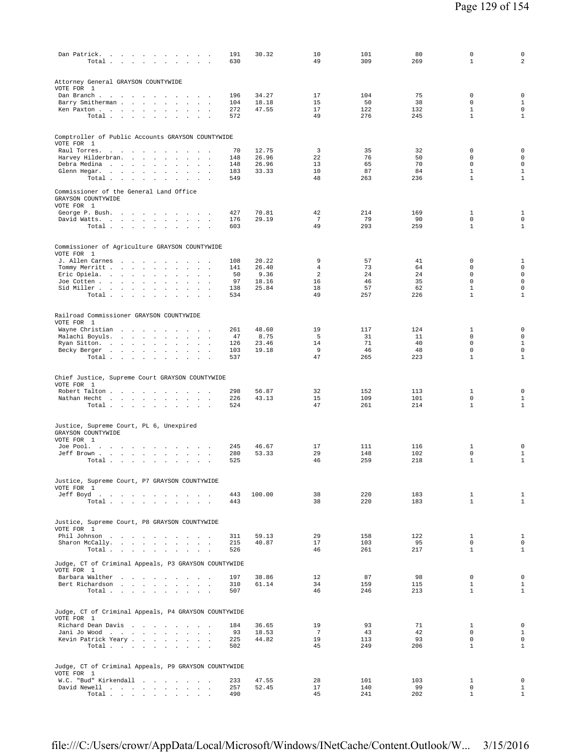| Dan Patrick.<br>Total                                                       |                                                                                 | $\overline{\phantom{a}}$                                                                 | 191<br>630 | 30.32          | 10<br>49            | 101<br>309 | 80<br>269  | 0<br>$\mathbf{1}$            | $\mathsf{O}\xspace$<br>$\overline{a}$ |
|-----------------------------------------------------------------------------|---------------------------------------------------------------------------------|------------------------------------------------------------------------------------------|------------|----------------|---------------------|------------|------------|------------------------------|---------------------------------------|
| Attorney General GRAYSON COUNTYWIDE                                         |                                                                                 |                                                                                          |            |                |                     |            |            |                              |                                       |
| VOTE FOR 1<br>Dan Branch                                                    | $\ddot{\phantom{0}}$                                                            | $\overline{\phantom{a}}$                                                                 | 196        | 34.27          | 17                  | 104        | 75         | $\mathbf 0$                  | $\mathsf 0$                           |
| Barry Smitherman                                                            | $\sim$                                                                          | <b>Contract Contract</b><br>$\mathcal{L}_{\mathbf{z}}$                                   | 104        | 18.18          | 15                  | 50         | 38         | $\mathbf 0$                  | $\mathbf{1}$                          |
| Ken Paxton<br>Total                                                         | $\sim$ $\sim$                                                                   | $\ddot{\phantom{a}}$<br>$\mathcal{L}$<br>$\mathbf{r}$                                    | 272<br>572 | 47.55          | 17<br>49            | 122<br>276 | 132<br>245 | $\mathbf{1}$<br>$\mathbf{1}$ | $\mathbf 0$<br>$\mathbf{1}$           |
|                                                                             |                                                                                 |                                                                                          |            |                |                     |            |            |                              |                                       |
| Comptroller of Public Accounts GRAYSON COUNTYWIDE<br>VOTE FOR 1             |                                                                                 |                                                                                          |            |                |                     |            |            |                              |                                       |
| Raul Torres.                                                                | $\sim$ $\sim$ $\sim$                                                            | $\sim$<br>$\sim$                                                                         | 70         | 12.75<br>26.96 | $\overline{3}$      | 35<br>76   | 32<br>50   | 0<br>0                       | $\mathsf 0$<br>$\mathsf{O}\xspace$    |
| Harvey Hilderbran.<br>Debra Medina                                          | $\mathcal{L}^{\text{max}}$ , and $\mathcal{L}^{\text{max}}$<br>$\sim$<br>$\sim$ | $\mathbf{r}$<br>$\sim$                                                                   | 148<br>148 | 26.96          | 22<br>13            | 65         | 70         | $\mathbf 0$                  | $\mathsf{O}\xspace$                   |
| Glenn Hegar.                                                                | $\ddot{\phantom{a}}$                                                            | $\mathbf{r}$<br>$\ddot{\phantom{a}}$                                                     | 183        | 33.33          | 10                  | 87         | 84         | $\mathbf{1}$                 | $1\,$                                 |
| Total                                                                       |                                                                                 | <b>All Carried</b><br>$\ddot{\phantom{a}}$                                               | 549        |                | 48                  | 263        | 236        | $\mathbf{1}$                 | $\mathbf{1}$                          |
| Commissioner of the General Land Office<br>GRAYSON COUNTYWIDE<br>VOTE FOR 1 |                                                                                 |                                                                                          |            |                |                     |            |            |                              |                                       |
| George P. Bush.                                                             |                                                                                 |                                                                                          | 427        | 70.81          | 42                  | 214        | 169        | 1                            | $\mathbf{1}$                          |
| David Watts.                                                                | $\sim$ $\sim$                                                                   | $\sim$<br>$\sim$                                                                         | 176        | 29.19          | $7\phantom{.0}$     | 79         | 90         | 0                            | $\mathsf{O}\xspace$                   |
| Total                                                                       |                                                                                 | $\sim$<br>$\ddot{\phantom{a}}$<br>$\sim$                                                 | 603        |                | 49                  | 293        | 259        | $\mathbf{1}$                 | $\mathbf{1}$                          |
| Commissioner of Agriculture GRAYSON COUNTYWIDE<br>VOTE FOR 1                |                                                                                 |                                                                                          |            |                |                     |            |            |                              |                                       |
| J. Allen Carnes                                                             | the contract of the contract of                                                 |                                                                                          | 108        | 20.22          | 9                   | 57         | 41         | $\mathbf 0$                  | $\mathbf{1}$                          |
| Tommy Merritt                                                               | $\sim$                                                                          | $\sim$<br>$\sim$ 100 $\mu$<br>$\cdot$<br>$\blacksquare$ .                                | 141<br>50  | 26.40<br>9.36  | $\overline{4}$<br>2 | 73<br>24   | 64<br>24   | $\mathbf 0$<br>$\mathbf 0$   | $\mathbf 0$<br>$\mathsf{O}\xspace$    |
| Eric Opiela.<br>Joe Cotten                                                  | $\ddot{\phantom{a}}$<br>$\sim$                                                  | $\ddot{\phantom{a}}$<br>$\ddot{\phantom{a}}$<br>$\sim$<br>$\ddot{\phantom{a}}$<br>$\sim$ | 97         | 18.16          | 16                  | 46         | 35         | $\mathbf 0$                  | $\mathsf 0$                           |
| Sid Miller                                                                  | $\sim 10^{-11}$<br>$\sim$                                                       |                                                                                          | 138        | 25.84          | 18                  | 57         | 62         | $\mathbf{1}$                 | $\mathsf 0$                           |
| Total                                                                       |                                                                                 | $\mathbf{r}$<br>$\overline{\phantom{a}}$                                                 | 534        |                | 49                  | 257        | 226        | $\mathbf{1}$                 | $\mathbf{1}$                          |
| Railroad Commissioner GRAYSON COUNTYWIDE<br>VOTE FOR 1                      |                                                                                 |                                                                                          |            |                |                     |            |            |                              |                                       |
| Wayne Christian                                                             |                                                                                 |                                                                                          | 261        | 48.60          | 19                  | 117        | 124        | 1                            | 0                                     |
| Malachi Boyuls.                                                             | $\sim$                                                                          | $\Box$<br>$\cdot$<br>$\mathbf{r}$<br>$\ddot{\phantom{a}}$                                | 47         | 8.75           | 5                   | 31         | 11         | 0                            | $\mathsf{O}\xspace$                   |
| Ryan Sitton.<br>Becky Berger                                                |                                                                                 | $\Box$<br>$\cdot$<br>$\cdot$<br>$\sim$                                                   | 126<br>103 | 23.46<br>19.18 | 14<br>9             | 71<br>46   | 40<br>48   | $\Omega$<br>$\mathbf 0$      | $\mathbf{1}$<br>$\mathbf 0$           |
| Total                                                                       |                                                                                 | $\mathbf{r}$<br>$\sim$                                                                   | 537        |                | 47                  | 265        | 223        | $\mathbf{1}$                 | $\mathbf{1}$                          |
| Chief Justice, Supreme Court GRAYSON COUNTYWIDE<br>VOTE FOR 1               |                                                                                 |                                                                                          |            |                |                     |            |            |                              |                                       |
| Robert Talton<br>Nathan Hecht                                               |                                                                                 | $\sim$<br>$\sim$<br>$\sim$<br>n.                                                         | 298<br>226 | 56.87<br>43.13 | 32<br>15            | 152<br>109 | 113<br>101 | 1<br>$\mathbf 0$             | $\mathbf 0$<br>1                      |
| Total                                                                       |                                                                                 |                                                                                          | 524        |                | 47                  | 261        | 214        | $\mathbf{1}$                 | $\mathbf{1}$                          |
|                                                                             |                                                                                 |                                                                                          |            |                |                     |            |            |                              |                                       |
| Justice, Supreme Court, PL 6, Unexpired<br>GRAYSON COUNTYWIDE<br>VOTE FOR 1 |                                                                                 |                                                                                          |            |                |                     |            |            |                              |                                       |
| Joe Pool.                                                                   |                                                                                 | $\sim$                                                                                   | 245        | 46.67          | 17                  | 111        | 116        | 1                            | 0                                     |
| Jeff Brown<br>Total $\cdots$ $\cdots$ $\cdots$                              | $\sim$                                                                          | $\sim$<br>$\ddot{\phantom{a}}$                                                           | 280<br>525 | 53.33          | 29<br>46            | 148<br>259 | 102<br>218 | $\mathbf 0$<br>$\mathbf{1}$  | $\mathbf{1}$<br>$\mathbf{1}$          |
|                                                                             |                                                                                 |                                                                                          |            |                |                     |            |            |                              |                                       |
| Justice, Supreme Court, P7 GRAYSON COUNTYWIDE<br>VOTE FOR 1                 |                                                                                 |                                                                                          |            |                |                     |            |            |                              |                                       |
| Jeff Boyd<br>Total                                                          |                                                                                 |                                                                                          | 443<br>443 | 100.00         | 38<br>38            | 220<br>220 | 183<br>183 | 1<br>$\mathbf{1}$            | $\mathbf{1}$<br>$\mathbf{1}$          |
| Justice, Supreme Court, P8 GRAYSON COUNTYWIDE                               |                                                                                 |                                                                                          |            |                |                     |            |            |                              |                                       |
| VOTE FOR 1                                                                  |                                                                                 |                                                                                          |            |                |                     |            |            |                              |                                       |
| Phil Johnson<br>Sharon McCally.                                             |                                                                                 |                                                                                          | 311<br>215 | 59.13<br>40.87 | 29<br>17            | 158<br>103 | 122<br>95  | 1<br>$\Omega$                | $\mathbf{1}$<br>$\mathbf 0$           |
| Total                                                                       |                                                                                 |                                                                                          | 526        |                | 46                  | 261        | 217        | $\mathbf{1}$                 | $\mathbf{1}$                          |
| Judge, CT of Criminal Appeals, P3 GRAYSON COUNTYWIDE<br>VOTE FOR 1          |                                                                                 |                                                                                          |            |                |                     |            |            |                              |                                       |
| Barbara Walther                                                             |                                                                                 |                                                                                          | 197        | 38.86          | 12                  | 87         | 98         | $\mathbf{0}$                 | $\mathsf{O}\xspace$                   |
| Bert Richardson                                                             |                                                                                 |                                                                                          | 310        | 61.14          | 34<br>46            | 159<br>246 | 115<br>213 | $\mathbf{1}$<br>$\mathbf{1}$ | $\mathbf{1}$<br>$\mathbf{1}$          |
| Total                                                                       |                                                                                 |                                                                                          | 507        |                |                     |            |            |                              |                                       |
| Judge, CT of Criminal Appeals, P4 GRAYSON COUNTYWIDE<br>VOTE FOR 1          |                                                                                 |                                                                                          |            |                |                     |            |            |                              |                                       |
| Richard Dean Davis                                                          | the contract of the contract of the                                             |                                                                                          | 184        | 36.65          | 19                  | 93         | 71         | 1                            | $\mathbf 0$                           |
| Jani Jo Wood                                                                |                                                                                 | $\overline{\phantom{a}}$                                                                 | 93         | 18.53          | 7                   | 43         | 42         | $\mathbf{0}$                 | $\mathbf{1}$                          |
| Kevin Patrick Yeary<br>Total                                                |                                                                                 |                                                                                          | 225<br>502 | 44.82          | 19<br>45            | 113<br>249 | 93<br>206  | $\mathbf 0$<br>$\mathbf{1}$  | $\mathbf 0$<br>$\mathbf{1}$           |
|                                                                             |                                                                                 |                                                                                          |            |                |                     |            |            |                              |                                       |
| Judge, CT of Criminal Appeals, P9 GRAYSON COUNTYWIDE<br>VOTE FOR 1          |                                                                                 |                                                                                          |            |                |                     |            |            |                              |                                       |
| W.C. "Bud" Kirkendall                                                       |                                                                                 |                                                                                          | 233        | 47.55          | 28                  | 101        | 103        | 1                            | $\mathbf 0$                           |
| David Newell<br>Total                                                       |                                                                                 |                                                                                          | 257<br>490 | 52.45          | 17<br>45            | 140<br>241 | 99<br>202  | 0<br>$\mathbf{1}$            | $\mathbf{1}$<br>$\mathbf{1}$          |
|                                                                             |                                                                                 |                                                                                          |            |                |                     |            |            |                              |                                       |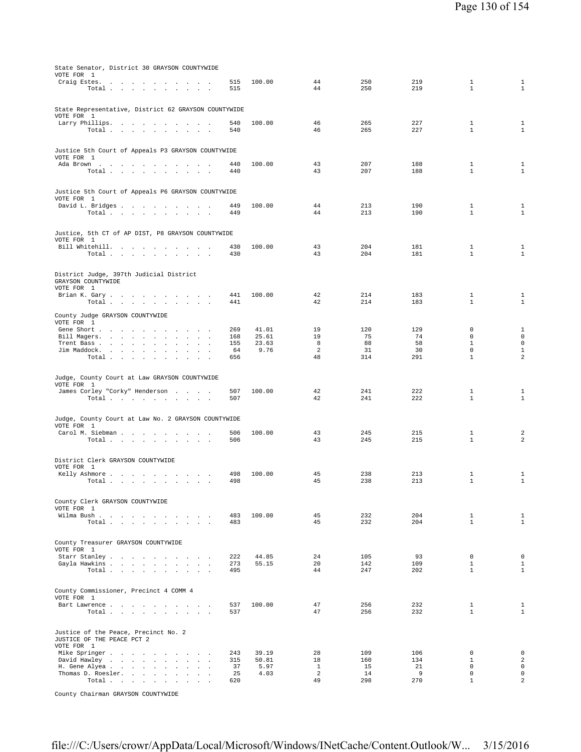| VOTE FOR 1                                                         |            |        |                      |            |            |                              |                                           |
|--------------------------------------------------------------------|------------|--------|----------------------|------------|------------|------------------------------|-------------------------------------------|
| Craig Estes.                                                       | 515        | 100.00 | 44                   | 250        | 219        | $\mathbf{1}$                 | $\mathbf{1}$                              |
| Total $\cdots$ $\cdots$ $\cdots$ $\cdots$                          | 515        |        | 44                   | 250        | 219        | $\mathbf{1}$                 | $1\,$                                     |
|                                                                    |            |        |                      |            |            |                              |                                           |
|                                                                    |            |        |                      |            |            |                              |                                           |
| State Representative, District 62 GRAYSON COUNTYWIDE<br>VOTE FOR 1 |            |        |                      |            |            |                              |                                           |
| Larry Phillips.                                                    | 540        | 100.00 | 46                   | 265        | 227        | 1                            | $\mathbf{1}$                              |
| Total                                                              | 540        |        | 46                   | 265        | 227        | $\mathbf{1}$                 | $1\,$                                     |
|                                                                    |            |        |                      |            |            |                              |                                           |
| Justice 5th Court of Appeals P3 GRAYSON COUNTYWIDE                 |            |        |                      |            |            |                              |                                           |
| VOTE FOR 1                                                         |            |        |                      |            |            |                              |                                           |
| Ada Brown                                                          | 440        | 100.00 | 43                   | 207        | 188        | 1                            | $\mathbf{1}$                              |
| Total                                                              | 440        |        | 43                   | 207        | 188        | $\mathbf{1}$                 | $\mathbf{1}$                              |
|                                                                    |            |        |                      |            |            |                              |                                           |
| Justice 5th Court of Appeals P6 GRAYSON COUNTYWIDE                 |            |        |                      |            |            |                              |                                           |
| VOTE FOR 1                                                         |            |        |                      |            |            |                              |                                           |
| David L. Bridges                                                   | 449        | 100.00 | 44                   | 213        | 190        | $\mathbf{1}$                 | $\mathbf{1}$                              |
| Total<br>$\sim 10^{-1}$<br>$\sim$<br>$\sim$                        | 449        |        | 44                   | 213        | 190        | $\mathbf{1}$                 | $1\,$                                     |
|                                                                    |            |        |                      |            |            |                              |                                           |
| Justice, 5th CT of AP DIST, P8 GRAYSON COUNTYWIDE                  |            |        |                      |            |            |                              |                                           |
| VOTE FOR 1                                                         |            |        |                      |            |            |                              |                                           |
| Bill Whitehill.                                                    | 430        | 100.00 | 43<br>43             | 204<br>204 | 181<br>181 | $\mathbf{1}$<br>$\mathbf{1}$ | $\mathbf{1}$<br>$\mathbf{1}$              |
| Total                                                              | 430        |        |                      |            |            |                              |                                           |
|                                                                    |            |        |                      |            |            |                              |                                           |
| District Judge, 397th Judicial District                            |            |        |                      |            |            |                              |                                           |
| GRAYSON COUNTYWIDE<br>VOTE FOR 1                                   |            |        |                      |            |            |                              |                                           |
| Brian K. Gary                                                      | 441        | 100.00 | 42                   | 214        | 183        | 1                            | 1                                         |
| Total                                                              | 441        |        | 42                   | 214        | 183        | $\mathbf{1}$                 | $\mathbf{1}$                              |
|                                                                    |            |        |                      |            |            |                              |                                           |
| County Judge GRAYSON COUNTYWIDE<br>VOTE FOR 1                      |            |        |                      |            |            |                              |                                           |
| Gene Short                                                         | 269        | 41.01  | 19                   | 120        | 129        | 0                            | $\mathbf{1}$                              |
| Bill Magers.                                                       | 168        | 25.61  | 19                   | 75         | 74         | $\Omega$                     | $\mathbf{0}$                              |
| Trent Bass<br>$\sim$<br>$\sim$<br>$\sim$                           | 155        | 23.63  | 8                    | 88         | 58         | $\mathbf{1}$                 | $\mathbf 0$                               |
| Jim Maddock.<br>$\cdot$<br>$\mathbb{Z}^2$<br>$\blacksquare$        | 64         | 9.76   | 2                    | 31         | 30         | $\mathbf 0$                  | $\mathbf{1}$<br>$\overline{a}$            |
| Total<br>$\sim$ $\sim$                                             | 656        |        | 48                   | 314        | 291        | $\mathbf{1}$                 |                                           |
|                                                                    |            |        |                      |            |            |                              |                                           |
| Judge, County Court at Law GRAYSON COUNTYWIDE                      |            |        |                      |            |            |                              |                                           |
| VOTE FOR 1                                                         |            |        |                      |            |            |                              |                                           |
| James Corley "Corky" Henderson<br>Total                            | 507<br>507 | 100.00 | 42<br>42             | 241<br>241 | 222<br>222 | $\mathbf{1}$<br>$\mathbf{1}$ | 1<br>$\mathbf{1}$                         |
|                                                                    |            |        |                      |            |            |                              |                                           |
|                                                                    |            |        |                      |            |            |                              |                                           |
| Judge, County Court at Law No. 2 GRAYSON COUNTYWIDE<br>VOTE FOR 1  |            |        |                      |            |            |                              |                                           |
|                                                                    |            |        |                      |            |            |                              |                                           |
|                                                                    |            |        |                      |            |            |                              |                                           |
| Carol M. Siebman<br>Total                                          | 506<br>506 | 100.00 | 43<br>43             | 245<br>245 | 215<br>215 | $\mathbf{1}$<br>$\mathbf{1}$ | $\overline{\mathbf{c}}$<br>$\overline{a}$ |
|                                                                    |            |        |                      |            |            |                              |                                           |
|                                                                    |            |        |                      |            |            |                              |                                           |
| District Clerk GRAYSON COUNTYWIDE                                  |            |        |                      |            |            |                              |                                           |
| VOTE FOR 1<br>Kelly Ashmore<br>$\sim$<br>$\sim$                    | 498        | 100.00 | 45                   | 238        | 213        | 1                            | 1                                         |
| Total $\cdots$ $\cdots$ $\cdots$                                   | 498        |        | 45                   | 238        | 213        | $\mathbf{1}$                 | $\mathbf{1}$                              |
|                                                                    |            |        |                      |            |            |                              |                                           |
|                                                                    |            |        |                      |            |            |                              |                                           |
| County Clerk GRAYSON COUNTYWIDE<br>VOTE FOR 1                      |            |        |                      |            |            |                              |                                           |
| Wilma Bush                                                         | 483        | 100.00 | 45                   | 232        | 204        | $\mathbf{1}$                 | $\mathbf{1}$                              |
| Total $\cdots$ $\cdots$ $\cdots$                                   | 483        |        | 45                   | 232        | 204        | $\mathbf{1}$                 | $\mathbf{1}$                              |
|                                                                    |            |        |                      |            |            |                              |                                           |
| County Treasurer GRAYSON COUNTYWIDE                                |            |        |                      |            |            |                              |                                           |
| VOTE FOR 1                                                         |            |        |                      |            |            |                              |                                           |
| Starr Stanley                                                      | 222        | 44.85  | 24                   | 105        | 93         | $\mathbf 0$                  | $\mathsf 0$                               |
| Gayla Hawkins                                                      | 273        | 55.15  | 20                   | 142        | 109        | $\mathbf{1}$                 | $\mathbf{1}$                              |
| Total $\cdots$ $\cdots$ $\cdots$ $\cdots$                          | 495        |        | 44                   | 247        | 202        | $\mathbf{1}$                 | $\mathbf{1}$                              |
|                                                                    |            |        |                      |            |            |                              |                                           |
| County Commissioner, Precinct 4 COMM 4                             |            |        |                      |            |            |                              |                                           |
| VOTE FOR 1                                                         |            |        |                      |            |            |                              |                                           |
| Bart Lawrence                                                      | 537<br>537 | 100.00 | 47<br>47             | 256<br>256 | 232<br>232 | 1<br>$\mathbf{1}$            | $\mathbf{1}$<br>$\mathbf{1}$              |
| Total                                                              |            |        |                      |            |            |                              |                                           |
|                                                                    |            |        |                      |            |            |                              |                                           |
| Justice of the Peace, Precinct No. 2                               |            |        |                      |            |            |                              |                                           |
| JUSTICE OF THE PEACE PCT 2<br>VOTE FOR 1                           |            |        |                      |            |            |                              |                                           |
| Mike Springer                                                      | 243        | 39.19  | 28                   | 109        | 106        | $\mathbf 0$                  | $\mathsf 0$                               |
| David Hawley                                                       | 315        | 50.81  | 18                   | 160        | 134        | $\mathbf{1}$                 | $\sqrt{2}$                                |
| H. Gene Alyea<br>$\sim$ $\sim$                                     | 37         | 5.97   | $\mathbf{1}$         | 15         | 21         | $\Omega$                     | $\circ$                                   |
| Thomas D. Roesler.<br>Total                                        | 25<br>620  | 4.03   | $\overline{a}$<br>49 | 14<br>298  | 9<br>270   | $\mathsf 0$<br>$\mathbf{1}$  | $\mathsf 0$<br>$\overline{a}$             |

County Chairman GRAYSON COUNTYWIDE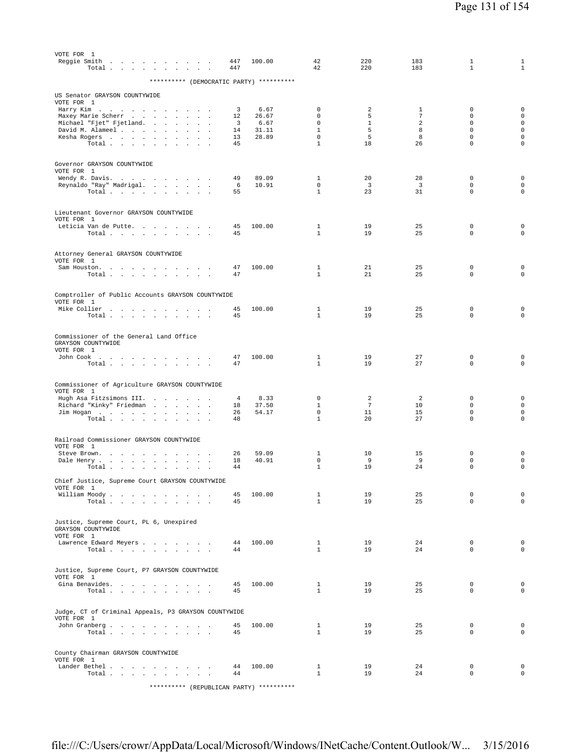| VOTE FOR 1<br>Reggie Smith $\ldots$<br>Total                                                      | 447<br>447 | 100.00        | 42<br>42                     | 220<br>220              | 183<br>183     | 1<br>$\mathbf{1}$          | 1<br>$\mathbf{1}$                  |
|---------------------------------------------------------------------------------------------------|------------|---------------|------------------------------|-------------------------|----------------|----------------------------|------------------------------------|
| ********** (DEMOCRATIC PARTY) **********                                                          |            |               |                              |                         |                |                            |                                    |
| US Senator GRAYSON COUNTYWIDE<br>VOTE FOR 1                                                       |            |               |                              |                         |                |                            |                                    |
| Harry Kim<br>Maxey Marie Scherr<br>$\sim$ $\sim$ $\sim$                                           | 3<br>12    | 6.67<br>26.67 | 0<br>0                       | 2<br>5                  | 1<br>7         | 0<br>$\mathbf 0$           | $\mathbf 0$<br>$\mathsf{O}\xspace$ |
| Michael "Fjet" Fjetland.<br>and the state of the state<br>$\ddot{\phantom{a}}$                    | 3          | 6.67<br>31.11 | $\mathbf 0$<br>$\mathbf{1}$  | $\mathbf{1}$<br>5       | 2<br>8         | $\mathbf 0$<br>$\Omega$    | $\mathsf{O}\xspace$<br>$\mathbf 0$ |
| David M. Alameel<br>$\cdot$<br>Kesha Rogers                                                       | 14<br>13   | 28.89         | $\mathbf 0$                  | 5                       | 8              | $\mathbf 0$                | $\mathbf 0$                        |
| Total<br>$\sim$<br>$\sim$                                                                         | 45         |               | $\mathbf{1}$                 | 18                      | 26             | $\mathbf 0$                | $\mathbf 0$                        |
| Governor GRAYSON COUNTYWIDE                                                                       |            |               |                              |                         |                |                            |                                    |
| VOTE FOR 1<br>Wendy R. Davis.                                                                     | 49         | 89.09         | $\mathbf{1}$                 | 20                      | 28             | $\mathbf 0$                | $\mathbf 0$                        |
| Reynaldo "Ray" Madrigal.                                                                          | 6          | 10.91         | 0                            | $\overline{\mathbf{3}}$ | 3              | $\mathbf 0$                | $\mathsf{O}\xspace$                |
| Total<br>$\sim$ $\sim$                                                                            | 55         |               | $\mathbf{1}$                 | 23                      | 31             | $\mathbf 0$                | $\mathbf 0$                        |
| Lieutenant Governor GRAYSON COUNTYWIDE<br>VOTE FOR 1                                              |            |               |                              |                         |                |                            |                                    |
| Leticia Van de Putte.                                                                             | 45         | 100.00        | 1                            | 19                      | 25             | 0                          | $\mathbf 0$                        |
| Total                                                                                             | 45         |               | $\mathbf{1}$                 | 19                      | 25             | 0                          | $\mathbf 0$                        |
| Attorney General GRAYSON COUNTYWIDE<br>VOTE FOR 1                                                 |            |               |                              |                         |                |                            |                                    |
| Sam Houston.                                                                                      | 47         | 100.00        | 1                            | 21                      | 25             | 0                          | $\mathbf 0$                        |
| Total $\cdots$ $\cdots$<br>$\ddot{\phantom{1}}$<br>$\sim$                                         | 47         |               | $\mathbf{1}$                 | 21                      | 25             | 0                          | $\mathbf 0$                        |
| Comptroller of Public Accounts GRAYSON COUNTYWIDE                                                 |            |               |                              |                         |                |                            |                                    |
| VOTE FOR 1<br>Mike Collier<br>$\sim$                                                              | 45         | 100.00        | 1                            | 19                      | 25             | 0                          | $\mathbf 0$                        |
| Total                                                                                             | 45         |               | $\mathbf{1}$                 | 19                      | 25             | $\mathbf 0$                | $\mathbf 0$                        |
|                                                                                                   |            |               |                              |                         |                |                            |                                    |
| Commissioner of the General Land Office<br>GRAYSON COUNTYWIDE                                     |            |               |                              |                         |                |                            |                                    |
| VOTE FOR 1<br>John Cook                                                                           | 47         | 100.00        | 1                            | 19                      | 27             | 0                          | $\mathbf 0$                        |
| Total $\cdots$ $\cdots$ $\cdots$ $\cdots$                                                         | 47         |               | $\mathbf{1}$                 | 19                      | 27             | $\mathbf 0$                | $\mathsf{O}\xspace$                |
| Commissioner of Agriculture GRAYSON COUNTYWIDE                                                    |            |               |                              |                         |                |                            |                                    |
| VOTE FOR 1<br>Hugh Asa Fitzsimons III.                                                            | 4          | 8.33          | 0                            | 2                       | $\overline{2}$ | 0                          | $\mathbf 0$                        |
| the contract of the con-<br>Richard "Kinky" Friedman<br>$\sim$ $\sim$<br>$\overline{\phantom{a}}$ | 18         | 37.50         | $\mathbf{1}$                 | $\overline{7}$          | 10             | 0                          | $\mathbf 0$                        |
| Jim Hogan                                                                                         | 26<br>48   | 54.17         | 0<br>$\mathbf{1}$            | 11<br>20                | 15<br>27       | $\mathbf 0$<br>$\mathbf 0$ | $\mathbf 0$<br>$\mathbf 0$         |
| Total<br>$\sim$<br>$\cdot$                                                                        |            |               |                              |                         |                |                            |                                    |
| Railroad Commissioner GRAYSON COUNTYWIDE<br>VOTE FOR 1                                            |            |               |                              |                         |                |                            |                                    |
| Steve Brown.<br>the contract of the contract of<br>$\cdot$                                        | 26         | 59.09         | 1                            | 10                      | 15             | 0                          | $\mathbf 0$                        |
| Dale Henry<br>$\cdot$<br>$\cdot$<br>Total $\cdots$ $\cdots$ $\cdots$                              | 18<br>44   | 40.91         | $\mathbf 0$<br>$\mathbf{1}$  | 9<br>19                 | 9<br>24        | $\mathbf 0$<br>0           | $\mathbf 0$<br>$\mathbf 0$         |
|                                                                                                   |            |               |                              |                         |                |                            |                                    |
| Chief Justice, Supreme Court GRAYSON COUNTYWIDE<br>VOTE FOR 1                                     |            |               |                              |                         |                |                            |                                    |
| William Moody.<br>Total $\cdots$ $\cdots$ $\cdots$ $\cdots$                                       | 45<br>45   | 100.00        | $\mathbf{1}$<br>$\mathbf{1}$ | 19<br>19                | 25<br>25       | $\mathbf 0$<br>$\mathbf 0$ | $\mathsf{O}\xspace$<br>$\mathbf 0$ |
| Justice, Supreme Court, PL 6, Unexpired                                                           |            |               |                              |                         |                |                            |                                    |
| GRAYSON COUNTYWIDE                                                                                |            |               |                              |                         |                |                            |                                    |
| VOTE FOR 1<br>Lawrence Edward Meyers                                                              | 44         | 100.00        | $\mathbf{1}$                 | 19                      | 24             | $\mathbf 0$                | $\mathbf 0$                        |
| Total                                                                                             | 44         |               | $\mathbf{1}$                 | 19                      | 24             | $\mathbf 0$                | $\mathbf 0$                        |
| Justice, Supreme Court, P7 GRAYSON COUNTYWIDE                                                     |            |               |                              |                         |                |                            |                                    |
| VOTE FOR 1<br>Gina Benavides.                                                                     | 45         | 100.00        | $\mathbf{1}$                 | 19                      | 25             | 0                          | $\mathbf 0$                        |
| Total $\cdots$ $\cdots$ $\cdots$ $\cdots$                                                         | 45         |               | $\mathbf{1}$                 | 19                      | 25             | $\mathbf 0$                | $\mathbf 0$                        |
| Judge, CT of Criminal Appeals, P3 GRAYSON COUNTYWIDE                                              |            |               |                              |                         |                |                            |                                    |
| VOTE FOR 1                                                                                        |            |               |                              |                         |                |                            |                                    |
| John Granberg<br>Total $\cdots$ $\cdots$ $\cdots$                                                 | 45<br>45   | 100.00        | $\mathbf{1}$<br>$\mathbf{1}$ | 19<br>19                | 25<br>25       | $\mathbf 0$<br>$\mathbf 0$ | $\mathbf 0$<br>$\mathbf 0$         |
|                                                                                                   |            |               |                              |                         |                |                            |                                    |
| County Chairman GRAYSON COUNTYWIDE<br>VOTE FOR 1                                                  |            |               |                              |                         |                |                            |                                    |
| Lander Bethel                                                                                     | 44         | 100.00        | $\mathbf{1}$                 | 19                      | 24             | $\mathbf 0$                | $\mathbf 0$                        |
| Total<br>$\sim$                                                                                   | 44         |               | $\mathbf{1}$                 | 19                      | 24             | $\mathbf 0$                | $\mathbf 0$                        |
| ********** (REPUBLICAN PARTY) **********                                                          |            |               |                              |                         |                |                            |                                    |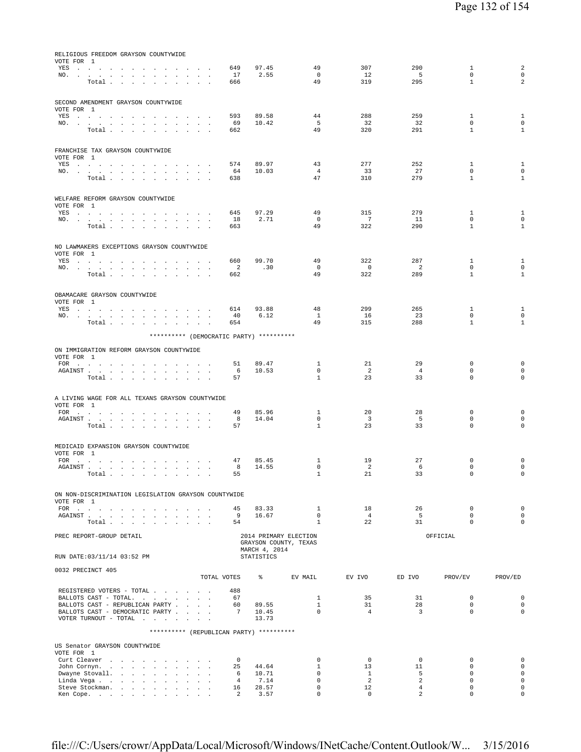| AGAINST<br>A LIVING WAGE FOR ALL TEXANS GRAYSON COUNTYWIDE<br>VOTE FOR 1<br>MEDICAID EXPANSION GRAYSON COUNTYWIDE<br>VOTE FOR 1<br>ON NON-DISCRIMINATION LEGISLATION GRAYSON COUNTYWIDE<br>VOTE FOR 1 | Total $\cdots$ $\cdots$ $\cdots$<br>FOR<br>${\tt AGAINST} \hspace{1.5cm} . \hspace{1.5cm} . \hspace{1.5cm} . \hspace{1.5cm} . \hspace{1.5cm} . \hspace{1.5cm} . \hspace{1.5cm} . \hspace{1.5cm} . \hspace{1.5cm} . \hspace{1.5cm} . \hspace{1.5cm} . \hspace{1.5cm} . \hspace{1.5cm} . \hspace{1.5cm} . \hspace{1.5cm} .$<br>Total $\cdots$ $\cdots$ $\cdots$<br>$FOR \t . \t . \t .$<br>${\tt AGAINST} \hspace{0.1in} . \hspace{0.1in} . \hspace{0.1in} . \hspace{0.1in} . \hspace{0.1in} . \hspace{0.1in} . \hspace{0.1in} . \hspace{0.1in} . \hspace{0.1in} .$<br>Total<br>FOR<br>${\tt AGAINST} \hspace{1.5cm} . \hspace{1.5cm} . \hspace{1.5cm} . \hspace{1.5cm} . \hspace{1.5cm} . \hspace{1.5cm} . \hspace{1.5cm} . \hspace{1.5cm} . \hspace{1.5cm} . \hspace{1.5cm} . \hspace{1.5cm} . \hspace{1.5cm} . \hspace{1.5cm} . \hspace{1.5cm} .$<br>Total | the contract of the contract of the contract of the contract of the contract of the contract of the contract of |                      | $\sim$                          | $\sim$                                                    |        | 49<br>8<br>57<br>47<br>8<br>55<br>45<br>9<br>54 | 85.96<br>14.04<br>85.45<br>14.55<br>83.33<br>16.67 | 1<br>$\mathbf 0$<br>1<br>1<br>$\mathbf 0$<br>$\mathbf{1}$<br>$\mathbf{1}$<br>$\overline{0}$<br>$\overline{1}$ | 23<br>20<br>$\overline{3}$<br>23<br>19<br>$\overline{2}$<br>21<br>18<br>4 <sup>1</sup><br>22 | 33<br>28<br>- 5<br>33<br>27<br>6<br>33<br>26<br>5<br>31 | $\mathbf 0$<br>0<br>$\mathbf 0$<br>$\mathbf 0$<br>$\mathbf 0$<br>0<br>$\mathbf 0$<br>$\mathbf 0$<br>$\Omega$<br>$\Omega$ | $\mathbf 0$<br>0<br>$\mathsf 0$<br>$\mathsf 0$<br>0<br>$\mathbf 0$<br>$\mathsf 0$<br>$\mathsf 0$<br>$\mathbf{0}$<br>$\Omega$ |
|-------------------------------------------------------------------------------------------------------------------------------------------------------------------------------------------------------|-------------------------------------------------------------------------------------------------------------------------------------------------------------------------------------------------------------------------------------------------------------------------------------------------------------------------------------------------------------------------------------------------------------------------------------------------------------------------------------------------------------------------------------------------------------------------------------------------------------------------------------------------------------------------------------------------------------------------------------------------------------------------------------------------------------------------------------------------------------|-----------------------------------------------------------------------------------------------------------------|----------------------|---------------------------------|-----------------------------------------------------------|--------|-------------------------------------------------|----------------------------------------------------|---------------------------------------------------------------------------------------------------------------|----------------------------------------------------------------------------------------------|---------------------------------------------------------|--------------------------------------------------------------------------------------------------------------------------|------------------------------------------------------------------------------------------------------------------------------|
|                                                                                                                                                                                                       |                                                                                                                                                                                                                                                                                                                                                                                                                                                                                                                                                                                                                                                                                                                                                                                                                                                             |                                                                                                                 |                      |                                 |                                                           |        |                                                 |                                                    |                                                                                                               |                                                                                              |                                                         |                                                                                                                          |                                                                                                                              |
|                                                                                                                                                                                                       |                                                                                                                                                                                                                                                                                                                                                                                                                                                                                                                                                                                                                                                                                                                                                                                                                                                             |                                                                                                                 |                      |                                 |                                                           |        |                                                 |                                                    |                                                                                                               |                                                                                              |                                                         |                                                                                                                          |                                                                                                                              |
|                                                                                                                                                                                                       |                                                                                                                                                                                                                                                                                                                                                                                                                                                                                                                                                                                                                                                                                                                                                                                                                                                             |                                                                                                                 |                      |                                 |                                                           |        |                                                 |                                                    |                                                                                                               |                                                                                              |                                                         |                                                                                                                          |                                                                                                                              |
|                                                                                                                                                                                                       |                                                                                                                                                                                                                                                                                                                                                                                                                                                                                                                                                                                                                                                                                                                                                                                                                                                             |                                                                                                                 |                      |                                 |                                                           |        |                                                 |                                                    |                                                                                                               |                                                                                              |                                                         |                                                                                                                          |                                                                                                                              |
|                                                                                                                                                                                                       |                                                                                                                                                                                                                                                                                                                                                                                                                                                                                                                                                                                                                                                                                                                                                                                                                                                             |                                                                                                                 |                      |                                 |                                                           |        |                                                 |                                                    |                                                                                                               |                                                                                              |                                                         |                                                                                                                          |                                                                                                                              |
|                                                                                                                                                                                                       |                                                                                                                                                                                                                                                                                                                                                                                                                                                                                                                                                                                                                                                                                                                                                                                                                                                             |                                                                                                                 |                      |                                 |                                                           |        |                                                 |                                                    |                                                                                                               |                                                                                              |                                                         |                                                                                                                          |                                                                                                                              |
| VOTE FOR 1                                                                                                                                                                                            | FOR $\cdots$                                                                                                                                                                                                                                                                                                                                                                                                                                                                                                                                                                                                                                                                                                                                                                                                                                                |                                                                                                                 |                      |                                 | $\mathbf{z} = \mathbf{z} + \mathbf{z}$ . The $\mathbf{z}$ |        | 51<br>6<br>57                                   | 89.47<br>10.53                                     | 1<br>$\mathbf 0$<br>$\mathbf{1}$                                                                              | 21<br>$\overline{2}$                                                                         | 29<br>$\overline{4}$                                    | $\mathbf 0$<br>$\mathbf 0$                                                                                               | 0<br>$\mathbf 0$                                                                                                             |
| ON IMMIGRATION REFORM GRAYSON COUNTYWIDE                                                                                                                                                              |                                                                                                                                                                                                                                                                                                                                                                                                                                                                                                                                                                                                                                                                                                                                                                                                                                                             |                                                                                                                 |                      |                                 |                                                           |        |                                                 | ********** (DEMOCRATIC PARTY) **********           |                                                                                                               |                                                                                              |                                                         |                                                                                                                          |                                                                                                                              |
|                                                                                                                                                                                                       | Total                                                                                                                                                                                                                                                                                                                                                                                                                                                                                                                                                                                                                                                                                                                                                                                                                                                       |                                                                                                                 |                      |                                 |                                                           |        | 654                                             |                                                    | 49                                                                                                            | 315                                                                                          | 288                                                     | $\mathbf{1}$                                                                                                             | $\mathbf{1}$                                                                                                                 |
| OBAMACARE GRAYSON COUNTYWIDE<br>VOTE FOR 1                                                                                                                                                            | YES a contract of the contract of the contract of the set of the set of the set of the set of the set of the set of the set of the set of the set of the set of the set of the set of the set of the set of the set of the set<br>NO.                                                                                                                                                                                                                                                                                                                                                                                                                                                                                                                                                                                                                       |                                                                                                                 |                      |                                 | $\sim$ $\sim$                                             |        | 614<br>40                                       | 93.88<br>6.12                                      | 48<br>$\mathbf{1}$                                                                                            | 299<br>16                                                                                    | 265<br>23                                               | 1<br>$\mathbf 0$                                                                                                         | $\mathbf{1}$<br>$\mathsf 0$                                                                                                  |
|                                                                                                                                                                                                       | YES a contract of the contract of the contract of the set of the set of the set of the set of the set of the set of the set of the set of the set of the set of the set of the set of the set of the set of the set of the set<br>NO.<br>Total $\cdots$ $\cdots$ $\cdots$                                                                                                                                                                                                                                                                                                                                                                                                                                                                                                                                                                                   |                                                                                                                 |                      | the contract of the contract of |                                                           |        | 660<br>$\overline{a}$<br>662                    | 99.70<br>.30                                       | 49<br>$\mathbf 0$<br>49                                                                                       | 322<br>$\overline{0}$<br>322                                                                 | 287<br>2<br>289                                         | 1<br>$\mathbf 0$<br>$\mathbf{1}$                                                                                         | $\mathbf{1}$<br>$\mathsf 0$<br>$\mathbf{1}$                                                                                  |
| NO LAWMAKERS EXCEPTIONS GRAYSON COUNTYWIDE<br>VOTE FOR 1                                                                                                                                              |                                                                                                                                                                                                                                                                                                                                                                                                                                                                                                                                                                                                                                                                                                                                                                                                                                                             |                                                                                                                 |                      |                                 |                                                           |        |                                                 |                                                    |                                                                                                               |                                                                                              |                                                         |                                                                                                                          |                                                                                                                              |
|                                                                                                                                                                                                       | YES a contract of the contract of the contract of the set of the set of the set of the set of the set of the set of the set of the set of the set of the set of the set of the set of the set of the set of the set of the set<br>NO.<br>Total $\cdots$ $\cdots$ $\cdots$                                                                                                                                                                                                                                                                                                                                                                                                                                                                                                                                                                                   |                                                                                                                 |                      |                                 |                                                           |        | 645<br>18<br>663                                | 97.29<br>2.71                                      | 49<br>$\mathbf{0}$<br>49                                                                                      | 315<br>7<br>322                                                                              | 279<br>11<br>290                                        | $\mathbf{1}$<br>0<br>$\mathbf{1}$                                                                                        | $\mathbf{1}$<br>$\mathbf 0$<br>$\mathbf{1}$                                                                                  |
| WELFARE REFORM GRAYSON COUNTYWIDE<br>VOTE FOR 1                                                                                                                                                       |                                                                                                                                                                                                                                                                                                                                                                                                                                                                                                                                                                                                                                                                                                                                                                                                                                                             |                                                                                                                 |                      |                                 |                                                           |        |                                                 |                                                    |                                                                                                               |                                                                                              |                                                         |                                                                                                                          |                                                                                                                              |
| FRANCHISE TAX GRAYSON COUNTYWIDE<br>VOTE FOR 1                                                                                                                                                        | YES a contract of the contract of the contract of the set of the set of the set of the set of the set of the set of the set of the set of the set of the set of the set of the set of the set of the set of the set of the set<br>NO.<br>Total                                                                                                                                                                                                                                                                                                                                                                                                                                                                                                                                                                                                              |                                                                                                                 |                      |                                 |                                                           |        | 574<br>64<br>638                                | 89.97<br>10.03                                     | 43<br>$\overline{4}$<br>47                                                                                    | 277<br>33<br>310                                                                             | 252<br>27<br>279                                        | $\mathbf{1}$<br>$\mathbf 0$<br>$\mathbf{1}$                                                                              | $\mathbf{1}$<br>$\mathbf 0$<br>$\mathbf{1}$                                                                                  |
|                                                                                                                                                                                                       | NO.<br>Total $\cdots$ $\cdots$ $\cdots$ $\cdots$                                                                                                                                                                                                                                                                                                                                                                                                                                                                                                                                                                                                                                                                                                                                                                                                            |                                                                                                                 |                      |                                 | $\sim$ $\sim$                                             |        | 69<br>662                                       | 10.42                                              | 5<br>49                                                                                                       | 32<br>320                                                                                    | 32<br>291                                               | $\mathbf 0$<br>$\mathbf{1}$                                                                                              | $\mathbf 0$<br>$\mathbf{1}$                                                                                                  |
| SECOND AMENDMENT GRAYSON COUNTYWIDE<br>VOTE FOR 1                                                                                                                                                     | YES a contract of the contract of the set of the set of the set of the set of the set of the set of the set of the set of the set of the set of the set of the set of the set of the set of the set of the set of the set of t                                                                                                                                                                                                                                                                                                                                                                                                                                                                                                                                                                                                                              |                                                                                                                 |                      |                                 |                                                           |        | 593                                             | 89.58                                              | 44                                                                                                            | 288                                                                                          | 259                                                     | $\mathbf{1}$                                                                                                             | $\mathbf{1}$                                                                                                                 |
|                                                                                                                                                                                                       | YES a contract of the contract of the set of the set of the set of the set of the set of the set of the set of the set of the set of the set of the set of the set of the set of the set of the set of the set of the set of t<br>NO.<br>Total                                                                                                                                                                                                                                                                                                                                                                                                                                                                                                                                                                                                              |                                                                                                                 | $\ddot{\phantom{a}}$ |                                 | $\sim$                                                    | $\sim$ | 649<br>17<br>666                                | 97.45<br>2.55                                      | 49<br>$\mathbf 0$<br>49                                                                                       | 307<br>12<br>319                                                                             | 290<br>$-5$<br>295                                      | $\mathbf{1}$<br>$\mathbf 0$<br>$\mathbf{1}$                                                                              | $\sqrt{2}$<br>$\circ$<br>$\overline{2}$                                                                                      |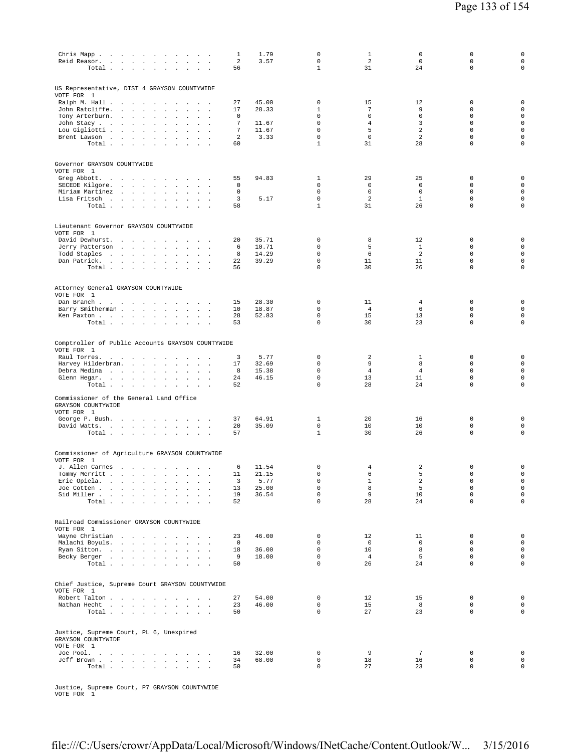| Chris Mapp.<br>Reid Reasor.                                                                                                                                                      | the contract of the contract of<br>Total                                                                                                                                                                                                                                                                   | $\sim$<br>$\sim$<br>$\cdot$<br>$\ddot{\phantom{0}}$                                                                                                                                                | 1<br>2<br>56                                    | 1.79<br>3.57                             | $\mathbf 0$<br>$\mathbf 0$<br>$\mathbf{1}$                                          | 1<br>2<br>31                                                        | $\mathbf 0$<br>$\mathbf 0$<br>24                       | $\mathbf 0$<br>$\mathbf 0$<br>$\mathbf 0$                                                             | $\mathbf 0$<br>$\mathbf 0$<br>$\mathbf 0$                                         |
|----------------------------------------------------------------------------------------------------------------------------------------------------------------------------------|------------------------------------------------------------------------------------------------------------------------------------------------------------------------------------------------------------------------------------------------------------------------------------------------------------|----------------------------------------------------------------------------------------------------------------------------------------------------------------------------------------------------|-------------------------------------------------|------------------------------------------|-------------------------------------------------------------------------------------|---------------------------------------------------------------------|--------------------------------------------------------|-------------------------------------------------------------------------------------------------------|-----------------------------------------------------------------------------------|
| US Representative, DIST 4 GRAYSON COUNTYWIDE<br>VOTE FOR 1<br>Ralph M. Hall<br>John Ratcliffe.<br>Tony Arterburn.<br>John Stacy<br>Lou Gigliotti<br>Brent Lawson                 | $\sim$<br>and the contract of the<br><b>Carl Adams</b><br>$\mathcal{L}$<br>$\cdot$<br>$\sim$<br>$\Delta$<br>$\ddot{\phantom{a}}$<br>Total                                                                                                                                                                  | $\cdot$<br>$\sim$<br>$\sim$ $\sim$<br>$\ddot{\phantom{1}}$<br>$\sim$<br>$\blacksquare$<br>$\mathbf{r}$<br>$\cdot$<br>$\mathbf{r}$<br>$\Box$<br>$\sim$<br>$\sim 10^{-1}$ km $^{-2}$<br>$\mathbf{r}$ | 27<br>17<br>0<br>7<br>$\overline{7}$<br>2<br>60 | 45.00<br>28.33<br>11.67<br>11.67<br>3.33 | 0<br>$\mathbf{1}$<br>0<br>$\mathbf 0$<br>$\mathsf 0$<br>$\mathbf 0$<br>$\mathbf{1}$ | 15<br>7<br>$\mathsf 0$<br>$\overline{4}$<br>5<br>$\mathbf{0}$<br>31 | 12<br>9<br>$\mathbb O$<br>3<br>2<br>2<br>28            | $\mathbf 0$<br>$\mathbf 0$<br>$\mathbf 0$<br>$\mathbf 0$<br>$\mathsf 0$<br>$\mathbf 0$<br>$\mathbf 0$ | 0<br>$\mathbf 0$<br>$\mathbf 0$<br>$\mathsf 0$<br>$\mathsf 0$<br>$\mathbf 0$<br>0 |
| Governor GRAYSON COUNTYWIDE<br>VOTE FOR 1<br>Greg Abbott.<br>SECEDE Kilgore.<br>Miriam Martinez<br>Lisa Fritsch                                                                  | the contract of the contract of the con-<br>the contract of the con-<br>Total                                                                                                                                                                                                                              | $\Box$<br>$\cdot$<br>$\cdot$<br>$\overline{\phantom{a}}$<br>$\sim$<br>$\sim$<br>$\blacksquare$                                                                                                     | 55<br>0<br>$\mathbf 0$<br>3<br>58               | 94.83<br>5.17                            | 1<br>0<br>0<br>$\mathsf 0$<br>$\mathbf{1}$                                          | 29<br>$\mathbf 0$<br>$\mathbf 0$<br>$\overline{a}$<br>31            | 25<br>$\mathbf 0$<br>$\mathbf 0$<br>$\mathbf{1}$<br>26 | $\mathbb O$<br>$\mathbf 0$<br>$\mathbf 0$<br>$\mathbb O$<br>$\mathbf 0$                               | $\mathsf 0$<br>$\mathsf 0$<br>$\mathbf 0$<br>$\mathsf 0$<br>$\mathbf 0$           |
| Lieutenant Governor GRAYSON COUNTYWIDE<br>VOTE FOR 1<br>David Dewhurst.<br>Jerry Patterson<br>Todd Staples<br>Dan Patrick.                                                       | $\sim$<br>$\sim$<br>the contract of the contract of<br>and the control of the state<br>$\sim$<br>$\ddot{\phantom{a}}$<br>Total                                                                                                                                                                             | $\sim$<br>$\sim$<br>$\sim$<br>$\cdot$<br>$\cdot$<br>$\Box$<br>$\mathcal{L}_{\mathbf{z}}$<br>$\mathbf{r}$<br>$\sim$<br>$\ddot{\phantom{a}}$<br>$\sim$<br>$\cdot$<br>$\cdot$<br>$\ddot{\phantom{a}}$ | 20<br>6<br>8<br>22<br>56                        | 35.71<br>10.71<br>14.29<br>39.29         | 0<br>0<br>$\mathbf 0$<br>$\mathsf 0$<br>0                                           | 8<br>5<br>6<br>11<br>30                                             | 12<br>1<br>2<br>11<br>26                               | 0<br>$\mathbb O$<br>$\mathbf 0$<br>$\mathbb O$<br>$\mathbf 0$                                         | $\mathsf{O}\xspace$<br>$\mathbf 0$<br>$\mathsf 0$<br>$\mathsf 0$<br>0             |
| Attorney General GRAYSON COUNTYWIDE<br>VOTE FOR 1<br>Dan Branch<br>Barry Smitherman<br>Ken Paxton                                                                                | $\sim$<br>Total $\cdots$ $\cdots$ $\cdots$ $\cdots$                                                                                                                                                                                                                                                        | <b>Contract Contract</b><br>$\sim 100$ km s $^{-1}$<br>$\sim$<br>$\overline{\phantom{a}}$<br>$\sim$<br>$\sim$<br>$\overline{\phantom{a}}$                                                          | 15<br>10<br>28<br>53                            | 28.30<br>18.87<br>52.83                  | $\mathbf 0$<br>$\mathbf 0$<br>$\mathbf 0$<br>0                                      | 11<br>$\overline{4}$<br>15<br>30                                    | 4<br>6<br>13<br>23                                     | $\mathbf 0$<br>$\mathbf 0$<br>$\mathbf 0$<br>$\mathbf 0$                                              | $\mathbf 0$<br>$\mathbf 0$<br>$\mathbf 0$<br>0                                    |
| Comptroller of Public Accounts GRAYSON COUNTYWIDE<br>VOTE FOR 1<br>Raul Torres.<br>Harvey Hilderbran.<br>Debra Medina<br>Glenn Hegar.<br>Commissioner of the General Land Office | the company of the company<br>$\sim$<br><b>Service</b> State<br>$\overline{a}$<br>and the contract of the<br>$\sim$<br>Total                                                                                                                                                                               | $\ddot{\phantom{1}}$<br>$\sim$<br>$\sim$<br>$\mathbf{r}$<br>$\mathbf{r}$<br>$\ddot{\phantom{0}}$<br>$\sim$<br>$\sim$<br>$\Delta$<br>$\sim$<br>$\sim$                                               | 3<br>17<br>8<br>24<br>52                        | 5.77<br>32.69<br>15.38<br>46.15          | 0<br>0<br>0<br>$\mathsf 0$<br>$\Omega$                                              | 2<br>9<br>$\overline{4}$<br>13<br>28                                | 1<br>8<br>$\overline{4}$<br>11<br>24                   | 0<br>0<br>$\mathbf 0$<br>$\mathsf 0$<br>$\mathbf 0$                                                   | $\mathsf{O}\xspace$<br>$\mathbf 0$<br>$\mathsf 0$<br>$\mathsf 0$<br>$\mathbf 0$   |
| GRAYSON COUNTYWIDE<br>VOTE FOR 1<br>George P. Bush.<br>David Watts.<br>Commissioner of Agriculture GRAYSON COUNTYWIDE                                                            | the contract of the contract<br>Total $\cdots$ $\cdots$ $\cdots$                                                                                                                                                                                                                                           | $\sim 10^{-1}$<br>$\sim$<br>$\sim$ $\sim$<br>$\sim$ 100 $\pm$<br>$\sim$                                                                                                                            | 37<br>20<br>57                                  | 64.91<br>35.09                           | 1<br>0<br>$\mathbf{1}$                                                              | 20<br>10<br>30                                                      | 16<br>10<br>26                                         | $\mathbb O$<br>$\mathbb O$<br>$\mathbf 0$                                                             | $\mathsf 0$<br>$\mathsf 0$<br>$\mathbf 0$                                         |
| VOTE FOR 1<br>J. Allen Carnes<br>Tommy Merritt<br>Eric Opiela.<br>Joe Cotten<br>Sid Miller                                                                                       | the company of the company of the company of the company of the company of the company of the company of the company of the company of the company of the company of the company of the company of the company of the company<br><b>Contract Contract</b><br>$\blacksquare$ .<br>$\sim$<br>$\sim$<br>Total | $\cdot$<br>$\cdot$<br>$\blacksquare$<br>$\ddot{\phantom{a}}$<br>$\ddot{\phantom{a}}$<br>$\overline{\phantom{a}}$<br><b>Sales Street</b><br>$\sim$<br>$\sim$<br>$\sim$                              | 6<br>11<br>3<br>13<br>19<br>52                  | 11.54<br>21.15<br>5.77<br>25.00<br>36.54 | $\mathbf 0$<br>0<br>0<br>$\mathbf 0$<br>$\mathsf 0$<br>$\Omega$                     | $\overline{4}$<br>6<br>$\mathbf{1}$<br>8<br>9<br>28                 | 2<br>5<br>$\sqrt{2}$<br>5<br>10<br>24                  | $\mathbf 0$<br>0<br>$\mathbb O$<br>$\mathbf 0$<br>$\mathbf 0$<br>$\mathbf 0$                          | $\mathbf 0$<br>0<br>$\mathbf 0$<br>$\circ$<br>$\mathsf{O}\xspace$<br>$\mathbf 0$  |
| Railroad Commissioner GRAYSON COUNTYWIDE<br>VOTE FOR 1<br>Wayne Christian<br>Malachi Boyuls.<br>Ryan Sitton.<br>Becky Berger                                                     | Total                                                                                                                                                                                                                                                                                                      | $\sim$<br>$\sim$<br>$\sim$ $\sim$<br>$\sim$                                                                                                                                                        | 23<br>$^{\circ}$<br>18<br>9<br>50               | 46.00<br>36.00<br>18.00                  | 0<br>$\mathbf 0$<br>$\Omega$<br>$\mathbf 0$<br>$\mathbf 0$                          | 12<br>$\overline{0}$<br>10<br>$\overline{4}$<br>26                  | 11<br>$\circ$<br>8<br>5<br>24                          | $\mathbf 0$<br>$\mathbf 0$<br>$\Omega$<br>$\mathbf 0$<br>$\mathbf 0$                                  | $\mathsf{O}\xspace$<br>$\mathbf 0$<br>$\mathbf 0$<br>$\mathbf 0$<br>$\mathbf 0$   |
| Chief Justice, Supreme Court GRAYSON COUNTYWIDE<br>VOTE FOR 1<br>Robert Talton<br>Nathan Hecht<br>Justice, Supreme Court, PL 6, Unexpired                                        | Total                                                                                                                                                                                                                                                                                                      | $\sim$<br>$\overline{\phantom{a}}$                                                                                                                                                                 | 27<br>23<br>50                                  | 54.00<br>46.00                           | $\mathbf 0$<br>$\mathbf 0$<br>$\mathbf 0$                                           | 12<br>15<br>27                                                      | 15<br>8<br>23                                          | $\mathbf 0$<br>$\mathbf 0$<br>$\mathbf 0$                                                             | $\mathsf{O}\xspace$<br>$\mathbf 0$<br>$\mathsf{O}\xspace$                         |
| GRAYSON COUNTYWIDE<br>VOTE FOR 1<br>Joe Pool.<br>Jeff Brown                                                                                                                      | Total                                                                                                                                                                                                                                                                                                      | $\sim$                                                                                                                                                                                             | 16<br>34<br>50                                  | 32.00<br>68.00                           | 0<br>$\mathsf 0$<br>$\mathbf 0$                                                     | 9<br>18<br>27                                                       | $\overline{7}$<br>16<br>23                             | $\mathbb O$<br>$\mathsf 0$<br>$\mathsf 0$                                                             | $\mathsf 0$<br>$\mathsf{O}\xspace$<br>$\mathsf 0$                                 |

Justice, Supreme Court, P7 GRAYSON COUNTYWIDE VOTE FOR 1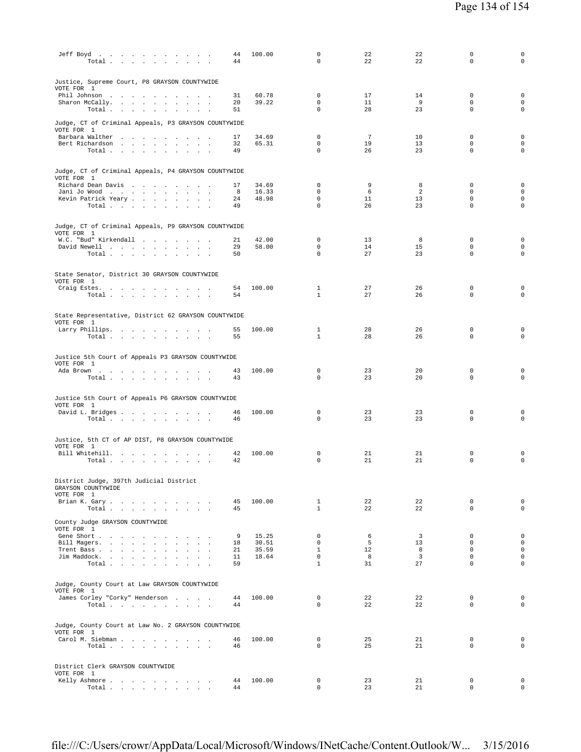| Jeff Boyd<br>Total                                                          | 44<br>44       | 100.00         | $\mathbf 0$<br>0             | 22<br>22                    | 22<br>22                | $\Omega$<br>$\mathbf 0$                   | $\mathbf 0$<br>$\mathbf 0$      |
|-----------------------------------------------------------------------------|----------------|----------------|------------------------------|-----------------------------|-------------------------|-------------------------------------------|---------------------------------|
| Justice, Supreme Court, P8 GRAYSON COUNTYWIDE<br>VOTE FOR 1                 |                |                |                              |                             |                         |                                           |                                 |
| Phil Johnson<br>Sharon McCally.<br>Total                                    | 31<br>20<br>51 | 60.78<br>39.22 | $\Omega$<br>0<br>0           | 17<br>11<br>28              | 14<br>9<br>23           | $\Omega$<br>$\mathbf 0$<br>$\mathbf 0$    | $\mathbf 0$<br>0<br>$\mathbf 0$ |
| Judge, CT of Criminal Appeals, P3 GRAYSON COUNTYWIDE<br>VOTE FOR 1          |                |                |                              |                             |                         |                                           |                                 |
| Barbara Walther<br>Bert Richardson<br>Total                                 | 17<br>32<br>49 | 34.69<br>65.31 | 0<br>0<br>$\mathbf 0$        | $7\phantom{.0}$<br>19<br>26 | 10<br>13<br>23          | $\mathbf 0$<br>$\mathbf 0$<br>$\mathbf 0$ | 0<br>$\mathbf 0$<br>$\mathbf 0$ |
| Judge, CT of Criminal Appeals, P4 GRAYSON COUNTYWIDE<br>VOTE FOR 1          |                |                |                              |                             |                         |                                           |                                 |
| Richard Dean Davis                                                          | 17             | 34.69          | 0                            | 9                           | 8                       | 0                                         | 0                               |
| Jani Jo Wood<br>Kevin Patrick Yeary                                         | 8<br>24        | 16.33<br>48.98 | 0<br>0                       | 6<br>11                     | 2<br>13                 | $\mathbf 0$<br>0                          | $\mathbf 0$<br>0                |
| Total $\cdots$ $\cdots$ $\cdots$                                            | 49             |                | 0                            | 26                          | 23                      | $\mathbf 0$                               | 0                               |
| Judge, CT of Criminal Appeals, P9 GRAYSON COUNTYWIDE<br>VOTE FOR 1          |                |                |                              |                             |                         |                                           |                                 |
| W.C. "Bud" Kirkendall<br>David Newell                                       | 21<br>29       | 42.00<br>58.00 | 0<br>$\Omega$                | 13<br>14                    | 8<br>15                 | 0<br>$\Omega$                             | 0<br>0                          |
| Total                                                                       | 50             |                | 0                            | 27                          | 23                      | $\mathbf 0$                               | $\mathsf{O}\xspace$             |
| State Senator, District 30 GRAYSON COUNTYWIDE<br>VOTE FOR 1                 |                |                |                              |                             |                         |                                           |                                 |
| Craig Estes.<br>Total                                                       | 54<br>54       | 100.00         | $\mathbf{1}$<br>$\mathbf{1}$ | 27<br>27                    | 26<br>26                | $\mathbf 0$<br>$\Omega$                   | 0<br>$\mathbf 0$                |
| State Representative, District 62 GRAYSON COUNTYWIDE<br>VOTE FOR 1          |                |                |                              |                             |                         |                                           |                                 |
| Larry Phillips.<br>Total                                                    | 55<br>55       | 100.00         | $\mathbf{1}$<br>$\mathbf{1}$ | 28<br>28                    | 26<br>26                | $\mathbf 0$<br>$\mathbf 0$                | 0<br>$\mathbf 0$                |
| Justice 5th Court of Appeals P3 GRAYSON COUNTYWIDE                          |                |                |                              |                             |                         |                                           |                                 |
| VOTE FOR 1<br>Ada Brown                                                     | 43             | 100.00         | $\mathbf 0$                  | 23                          | 20                      | $\mathbf 0$                               | 0                               |
| Total                                                                       | 43             |                | $\Omega$                     | 23                          | 20                      | $\Omega$                                  | $\mathbf 0$                     |
| Justice 5th Court of Appeals P6 GRAYSON COUNTYWIDE<br>VOTE FOR 1            |                |                |                              |                             |                         |                                           |                                 |
| David L. Bridges<br>Total $\cdots$ $\cdots$ $\cdots$                        | 46<br>46       | 100.00         | 0<br>0                       | 23<br>23                    | 23<br>23                | 0<br>$\mathbf 0$                          | 0<br>$\mathbf 0$                |
| Justice, 5th CT of AP DIST, P8 GRAYSON COUNTYWIDE<br>VOTE FOR 1             |                |                |                              |                             |                         |                                           |                                 |
| Bill Whitehill.                                                             | 42             | 100.00         | 0                            | 21                          | 21                      | 0                                         | 0                               |
| Total                                                                       | 42             |                | $\Omega$                     | 21                          | 21                      | $\mathbf 0$                               | $\mathbf 0$                     |
| District Judge, 397th Judicial District<br>GRAYSON COUNTYWIDE<br>VOTE FOR 1 |                |                |                              |                             |                         |                                           |                                 |
| Brian K. Gary                                                               | 45             | 100.00         | $\mathbf{1}$                 | 22                          | 22                      | $\mathbf 0$                               | $\mathbf 0$                     |
| Total<br>County Judge GRAYSON COUNTYWIDE                                    | 45             |                | $\mathbf{1}$                 | 22                          | 22                      | $\Omega$                                  | $\Omega$                        |
| VOTE FOR 1                                                                  |                | 15.25          | 0                            |                             | $\overline{\mathbf{3}}$ | $\mathbf{0}$                              | 0                               |
| Gene Short<br>Bill Magers.                                                  | 9<br>18        | 30.51          | $\Omega$                     | 6<br>5                      | 13                      | $\Omega$                                  | $\circ$                         |
| Trent Bass                                                                  | 21             | 35.59          | $\mathbf{1}$                 | 12                          | 8                       | $\Omega$                                  | $\mathsf{O}\xspace$             |
| Jim Maddock.<br>Total $\cdots$ $\cdots$ $\cdots$ $\cdots$                   | 11<br>59       | 18.64          | $\mathbf{0}$<br>$\mathbf{1}$ | 8<br>31                     | $\overline{3}$<br>27    | $\mathbf 0$<br>$\Omega$                   | $\mathbf 0$<br>$\mathbf 0$      |
| Judge, County Court at Law GRAYSON COUNTYWIDE<br>VOTE FOR 1                 |                |                |                              |                             |                         |                                           |                                 |
| James Corley "Corky" Henderson                                              | 44             | 100.00         | $\mathbf 0$                  | 22                          | 22                      | $\mathbf 0$                               | $\mathbf 0$                     |
| Total                                                                       | 44             |                | 0                            | 22                          | 22                      | 0                                         | $\mathbf 0$                     |
| Judge, County Court at Law No. 2 GRAYSON COUNTYWIDE<br>VOTE FOR 1           |                |                |                              |                             |                         |                                           |                                 |
| Carol M. Siebman<br>Total                                                   | 46<br>46       | 100.00         | $\mathbf{0}$<br>0            | 25<br>25                    | 21<br>21                | $\mathbf{0}$<br>0                         | $\mathbf 0$<br>$\mathbf 0$      |
| District Clerk GRAYSON COUNTYWIDE<br>VOTE FOR 1                             |                |                |                              |                             |                         |                                           |                                 |
| Kelly Ashmore                                                               | 44             | 100.00         | 0                            | 23                          | 21                      | 0                                         | 0                               |
| Total                                                                       | 44             |                | 0                            | 23                          | 21                      | 0                                         | $\mathsf{O}$                    |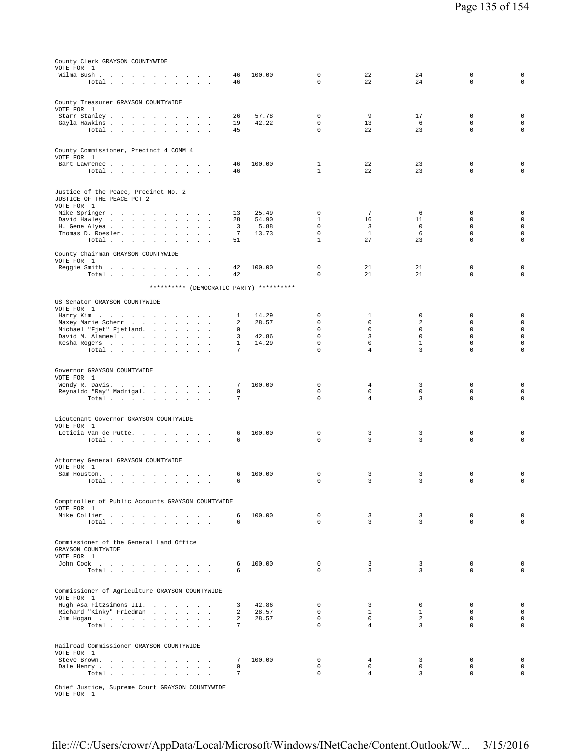| County Clerk GRAYSON COUNTYWIDE                                            |                       |                |                             |                               |                  |                            |                                    |
|----------------------------------------------------------------------------|-----------------------|----------------|-----------------------------|-------------------------------|------------------|----------------------------|------------------------------------|
| VOTE FOR 1                                                                 |                       |                |                             |                               |                  |                            |                                    |
| Wilma Bush                                                                 | 46                    | 100.00         | 0                           | 22                            | 24               | $\mathbf 0$                | 0                                  |
| Total                                                                      | 46                    |                | $\mathbf 0$                 | 22                            | 24               | $\mathsf 0$                | $\mathsf 0$                        |
|                                                                            |                       |                |                             |                               |                  |                            |                                    |
| County Treasurer GRAYSON COUNTYWIDE                                        |                       |                |                             |                               |                  |                            |                                    |
| VOTE FOR 1                                                                 |                       |                |                             |                               |                  |                            |                                    |
| Starr Stanley<br>Gayla Hawkins                                             | 26<br>19              | 57.78<br>42.22 | 0<br>$\mathbf 0$            | 9<br>13                       | 17<br>-6         | $\mathbf 0$<br>$\mathbf 0$ | $\mathsf{O}\xspace$<br>$\mathsf 0$ |
| Total                                                                      | 45                    |                | $\mathbf 0$                 | 22                            | 23               | $\mathbf 0$                | $\mathsf 0$                        |
|                                                                            |                       |                |                             |                               |                  |                            |                                    |
|                                                                            |                       |                |                             |                               |                  |                            |                                    |
| County Commissioner, Precinct 4 COMM 4                                     |                       |                |                             |                               |                  |                            |                                    |
| VOTE FOR 1<br>Bart Lawrence                                                | 46                    | 100.00         | $\mathbf{1}$                | 22                            | 23               | $\mathbf 0$                | $\mathsf{O}\xspace$                |
| Total                                                                      | 46                    |                | 1                           | 22                            | 23               | $\mathbf 0$                | $\mathsf 0$                        |
|                                                                            |                       |                |                             |                               |                  |                            |                                    |
|                                                                            |                       |                |                             |                               |                  |                            |                                    |
| Justice of the Peace, Precinct No. 2                                       |                       |                |                             |                               |                  |                            |                                    |
| JUSTICE OF THE PEACE PCT 2<br>VOTE FOR 1                                   |                       |                |                             |                               |                  |                            |                                    |
| Mike Springer                                                              | 13                    | 25.49          | 0                           | 7                             | 6                | $\mathbf 0$                | $\mathsf{O}\xspace$                |
| David Hawley<br>the contract of the contract of                            | 28                    | 54.90          | 1                           | 16                            | 11               | $\mathbf 0$                | $\mathsf{O}\xspace$                |
| H. Gene Alyea<br>$\cdot$                                                   | 3                     | 5.88           | $\mathbf 0$                 | 3                             | $\mathbf 0$      | $\Omega$                   | $\mathsf 0$                        |
| Thomas D. Roesler.<br>$\ddot{\phantom{a}}$<br>Total                        | $7\phantom{.0}$<br>51 | 13.73          | $\mathbf 0$<br>$\mathbf{1}$ | $\mathbf{1}$<br>27            | 6<br>23          | $\mathbf 0$<br>$\mathbf 0$ | $\mathsf 0$<br>$\mathsf 0$         |
|                                                                            |                       |                |                             |                               |                  |                            |                                    |
| County Chairman GRAYSON COUNTYWIDE                                         |                       |                |                             |                               |                  |                            |                                    |
| VOTE FOR 1                                                                 |                       |                |                             |                               |                  |                            |                                    |
| Reggie Smith                                                               | 42                    | 100.00         | 0                           | 21                            | 21               | $\mathbf 0$                | 0                                  |
| Total                                                                      | 42                    |                | $\mathbf 0$                 | 21                            | 21               | $\mathbf 0$                | $\mathsf 0$                        |
| ********** (DEMOCRATIC PARTY) **********                                   |                       |                |                             |                               |                  |                            |                                    |
|                                                                            |                       |                |                             |                               |                  |                            |                                    |
| US Senator GRAYSON COUNTYWIDE                                              |                       |                |                             |                               |                  |                            |                                    |
| VOTE FOR 1                                                                 |                       | 14.29          | 0                           |                               | $\mathbf 0$      | $\mathbf 0$                |                                    |
| Harry Kim<br><b>Contract Contract</b><br>$\sim$<br>.<br>Maxey Marie Scherr | $\mathbf{1}$<br>2     | 28.57          | $\mathbf 0$                 | 1<br>$\mathbf 0$              | 2                | 0                          | $\mathsf 0$<br>$\mathsf 0$         |
| Michael "Fjet" Fjetland.                                                   | $\Omega$              |                | $\mathbf 0$                 | $\mathbf 0$                   | $\mathbf 0$      | $\mathbf 0$                | $\mathsf{O}$                       |
| David M. Alameel<br>$\sim$<br>$\mathbf{r}$                                 | 3                     | 42.86          | $\mathbf 0$                 | 3                             | $\mathbf 0$      | $\mathbf 0$                | $\mathsf 0$                        |
| Kesha Rogers                                                               | $\mathbf{1}$          | 14.29          | $\mathbf 0$                 | $\mathbf 0$                   | $\mathbf 1$      | $\mathbf 0$                | $\mathsf 0$                        |
| Total<br>$\sim$<br>$\sim$                                                  | 7                     |                | $\mathbf 0$                 | $\overline{4}$                | 3                | $\mathbf 0$                | $\mathsf 0$                        |
|                                                                            |                       |                |                             |                               |                  |                            |                                    |
| Governor GRAYSON COUNTYWIDE                                                |                       |                |                             |                               |                  |                            |                                    |
| VOTE FOR 1                                                                 |                       |                |                             |                               |                  |                            |                                    |
| Wendy R. Davis.                                                            | 7                     | 100.00         | 0                           | 4                             | 3                | $\mathbf 0$                | $\mathsf 0$                        |
| Reynaldo "Ray" Madrigal.<br>Total<br>$\overline{\phantom{a}}$              | 0<br>7                |                | $\mathbf 0$<br>$\mathbf 0$  | $\mathbf 0$<br>$\overline{4}$ | $\mathbf 0$<br>3 | $\mathbf 0$<br>$\mathbf 0$ | $\mathsf 0$<br>$\mathsf 0$         |
|                                                                            |                       |                |                             |                               |                  |                            |                                    |
|                                                                            |                       |                |                             |                               |                  |                            |                                    |
| Lieutenant Governor GRAYSON COUNTYWIDE                                     |                       |                |                             |                               |                  |                            |                                    |
| VOTE FOR 1                                                                 |                       | 100.00         | $\mathbf 0$                 | 3                             | 3                | $\mathbf 0$                | 0                                  |
| Leticia Van de Putte.<br>Total                                             | 6<br>6                |                | $\mathbf 0$                 | 3                             | 3                | $\mathbf 0$                | $\mathbf 0$                        |
|                                                                            |                       |                |                             |                               |                  |                            |                                    |
|                                                                            |                       |                |                             |                               |                  |                            |                                    |
| Attorney General GRAYSON COUNTYWIDE                                        |                       |                |                             |                               |                  |                            |                                    |
| VOTE FOR 1<br>Sam Houston.                                                 | 6                     | 100.00         | $\mathbf 0$                 | 3                             | 3                | 0                          | 0                                  |
| the contract of the contract of the contract of<br>Total .                 | б.                    |                | 0                           | 3                             | 3                | $\Omega$                   | $\Omega$                           |
|                                                                            |                       |                |                             |                               |                  |                            |                                    |
|                                                                            |                       |                |                             |                               |                  |                            |                                    |
| Comptroller of Public Accounts GRAYSON COUNTYWIDE                          |                       |                |                             |                               |                  |                            |                                    |
| VOTE FOR 1<br>Mike Collier                                                 | 6                     | 100.00         | $^{\circ}$                  | $\overline{3}$                | $\overline{3}$   | $\mathbf 0$                | $\mathbf 0$                        |
| Total                                                                      | 6                     |                | $\Omega$                    | $\overline{3}$                | $\overline{3}$   | $\mathbf{0}$               | $\circ$                            |
|                                                                            |                       |                |                             |                               |                  |                            |                                    |
|                                                                            |                       |                |                             |                               |                  |                            |                                    |
| Commissioner of the General Land Office                                    |                       |                |                             |                               |                  |                            |                                    |
| GRAYSON COUNTYWIDE<br>VOTE FOR 1                                           |                       |                |                             |                               |                  |                            |                                    |
| John Cook                                                                  | 6                     | 100.00         | $^{\circ}$                  | $\overline{3}$                | 3                | 0                          | $\mathbf 0$                        |
| Total                                                                      | 6                     |                | $\Omega$                    | 3                             | 3                | $\Omega$                   | $\mathbf 0$                        |
|                                                                            |                       |                |                             |                               |                  |                            |                                    |
|                                                                            |                       |                |                             |                               |                  |                            |                                    |
| Commissioner of Agriculture GRAYSON COUNTYWIDE<br>VOTE FOR 1               |                       |                |                             |                               |                  |                            |                                    |
| Hugh Asa Fitzsimons III.                                                   | 3                     | 42.86          | $^{\circ}$                  | 3                             | $^{\circ}$       | 0                          | $\mathbf 0$                        |
| Richard "Kinky" Friedman                                                   | 2                     | 28.57          | $\mathbf{0}$                | $\mathbf{1}$                  | $\mathbf{1}$     | $\mathbf 0$                | $\mathsf 0$                        |
| $\text{Jim Hogan}$                                                         | 2                     | 28.57          | $\mathbf 0$                 | $\mathbf 0$                   | 2                | $\mathbf 0$                | $\mathsf 0$                        |
| Total                                                                      | $7^{\circ}$           |                | $\Omega$                    | $\overline{4}$                | 3                | $\Omega$                   | $\circ$                            |
|                                                                            |                       |                |                             |                               |                  |                            |                                    |
| Railroad Commissioner GRAYSON COUNTYWIDE                                   |                       |                |                             |                               |                  |                            |                                    |
| VOTE FOR 1                                                                 |                       |                |                             |                               |                  |                            |                                    |
| Steve Brown.                                                               | 7                     | 100.00         | 0                           | 4                             | 3                | 0                          | $\mathsf 0$                        |
| Dale Henry                                                                 | 0                     |                | $\mathbf 0$                 | 0                             | 0                | $\mathbf 0$                | $\mathsf{O}\xspace$                |
| Total                                                                      | $7\phantom{.0}$       |                | $\mathsf 0$                 | $\overline{4}$                | 3                | $\mathbf 0$                | $\mathsf{O}\xspace$                |
|                                                                            |                       |                |                             |                               |                  |                            |                                    |

Chief Justice, Supreme Court GRAYSON COUNTYWIDE VOTE FOR 1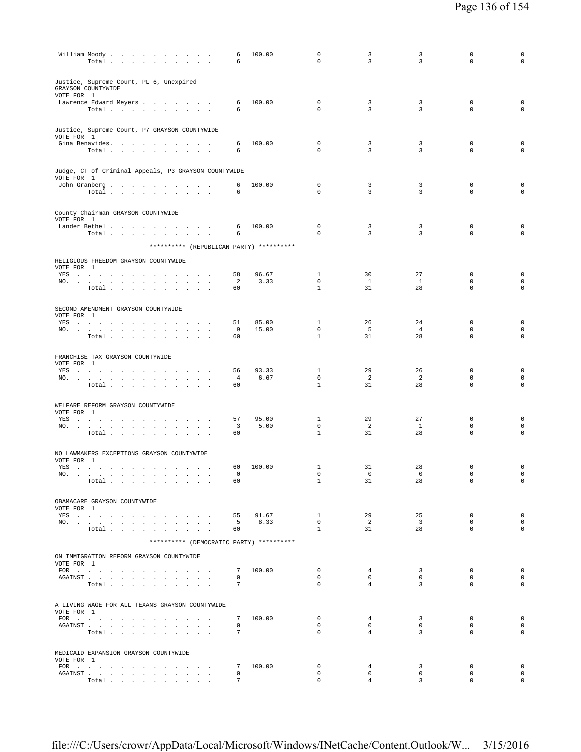| William Moody.                                                                                                                                                                                                                 | Total                                                           |                                |        | $\sim$                 |                                            | <b>Contract Contract</b> |                          | 6<br>6                         | 100.00                                   | $\Omega$<br>$\mathbf 0$     | 3<br>3                    | 3<br>3                  | $\mathbf 0$<br>$\mathbf 0$ | 0<br>$\mathbf 0$                   |
|--------------------------------------------------------------------------------------------------------------------------------------------------------------------------------------------------------------------------------|-----------------------------------------------------------------|--------------------------------|--------|------------------------|--------------------------------------------|--------------------------|--------------------------|--------------------------------|------------------------------------------|-----------------------------|---------------------------|-------------------------|----------------------------|------------------------------------|
| Justice, Supreme Court, PL 6, Unexpired<br>GRAYSON COUNTYWIDE<br>VOTE FOR 1                                                                                                                                                    |                                                                 |                                |        |                        |                                            |                          |                          |                                |                                          |                             |                           |                         |                            |                                    |
| Lawrence Edward Meyers                                                                                                                                                                                                         |                                                                 |                                |        |                        |                                            |                          |                          | 6                              | 100.00                                   | $\mathbf 0$                 | 3                         | 3                       | $\mathbf 0$                | $\mathbf 0$                        |
|                                                                                                                                                                                                                                | Total                                                           |                                |        |                        |                                            |                          |                          | 6                              |                                          | $\mathbf 0$                 | 3                         | 3                       | $\mathbf 0$                | $\mathbf 0$                        |
| Justice, Supreme Court, P7 GRAYSON COUNTYWIDE<br>VOTE FOR 1                                                                                                                                                                    |                                                                 |                                |        |                        |                                            |                          |                          |                                |                                          |                             |                           |                         |                            |                                    |
| Gina Benavides.                                                                                                                                                                                                                |                                                                 |                                |        |                        |                                            |                          | $\sim$                   | 6                              | 100.00                                   | $\mathbf 0$                 | 3                         | 3                       | $\mathbf 0$                | $\mathsf 0$                        |
|                                                                                                                                                                                                                                | Total                                                           |                                |        |                        |                                            | $\sim$                   | $\overline{\phantom{a}}$ | 6                              |                                          | $\mathbf 0$                 | 3                         | 3                       | $\mathbf 0$                | $\mathbf 0$                        |
| Judge, CT of Criminal Appeals, P3 GRAYSON COUNTYWIDE<br>VOTE FOR 1                                                                                                                                                             |                                                                 |                                |        |                        |                                            |                          |                          |                                |                                          |                             |                           |                         |                            |                                    |
| John Granberg                                                                                                                                                                                                                  |                                                                 |                                |        |                        |                                            |                          |                          | 6                              | 100.00                                   | $\mathbf 0$                 | 3                         | 3                       | $\mathbf 0$                | $\mathsf 0$                        |
|                                                                                                                                                                                                                                | Total $\cdots$ $\cdots$ $\cdots$                                |                                |        |                        |                                            |                          |                          | 6                              |                                          | $\mathbf 0$                 | 3                         | 3                       | $\mathbf 0$                | $\mathbf 0$                        |
|                                                                                                                                                                                                                                |                                                                 |                                |        |                        |                                            |                          |                          |                                |                                          |                             |                           |                         |                            |                                    |
| County Chairman GRAYSON COUNTYWIDE<br>VOTE FOR 1                                                                                                                                                                               |                                                                 |                                |        |                        |                                            |                          |                          |                                |                                          |                             |                           |                         |                            |                                    |
| Lander Bethel                                                                                                                                                                                                                  |                                                                 |                                |        |                        |                                            |                          |                          | 6                              | 100.00                                   | 0                           | 3                         | 3                       | 0                          | $\mathsf 0$                        |
|                                                                                                                                                                                                                                | Total                                                           |                                |        |                        |                                            |                          |                          | 6                              |                                          | $\mathbf 0$                 | 3                         | 3                       | $\mathbf 0$                | $\mathbf 0$                        |
|                                                                                                                                                                                                                                |                                                                 |                                |        |                        |                                            |                          |                          |                                | ********** (REPUBLICAN PARTY) ********** |                             |                           |                         |                            |                                    |
| RELIGIOUS FREEDOM GRAYSON COUNTYWIDE<br>VOTE FOR 1                                                                                                                                                                             |                                                                 |                                |        |                        |                                            |                          |                          |                                |                                          |                             |                           |                         |                            |                                    |
| YES                                                                                                                                                                                                                            |                                                                 |                                |        |                        |                                            |                          |                          | 58                             | 96.67                                    | $\mathbf{1}$                | 30                        | 27                      | 0                          | $\mathbf 0$                        |
| NO.                                                                                                                                                                                                                            | the contract of the contract                                    | $\sim$ $\sim$ $\sim$           | $\sim$ |                        |                                            |                          |                          | 2                              | 3.33                                     | $\mathbf 0$                 | <sup>1</sup>              | <sup>1</sup>            | $\mathbf 0$                | $\mathsf{O}\xspace$                |
|                                                                                                                                                                                                                                | Total                                                           |                                |        |                        | $\mathbf{r} = \mathbf{r} \cdot \mathbf{r}$ | $\sim$                   |                          | 60                             |                                          | $\mathbf{1}$                | 31                        | 28                      | $\mathbf 0$                | $\mathsf 0$                        |
|                                                                                                                                                                                                                                |                                                                 |                                |        |                        |                                            |                          |                          |                                |                                          |                             |                           |                         |                            |                                    |
| SECOND AMENDMENT GRAYSON COUNTYWIDE<br>VOTE FOR 1                                                                                                                                                                              |                                                                 |                                |        |                        |                                            |                          |                          |                                |                                          |                             |                           |                         |                            |                                    |
| YES                                                                                                                                                                                                                            |                                                                 |                                |        |                        |                                            |                          | $\sim$                   | 51                             | 85.00                                    | 1                           | 26                        | 24                      | 0                          | 0                                  |
| NO.                                                                                                                                                                                                                            |                                                                 |                                |        |                        |                                            |                          |                          | 9<br>60                        | 15.00                                    | $\mathbf 0$<br>$\mathbf{1}$ | - 5<br>31                 | $\overline{4}$<br>28    | $\mathbf 0$<br>$\mathbf 0$ | $\mathsf{O}\xspace$<br>$\circ$     |
|                                                                                                                                                                                                                                | Total $\cdots$ $\cdots$ $\cdots$                                |                                |        |                        |                                            |                          |                          |                                |                                          |                             |                           |                         |                            |                                    |
| FRANCHISE TAX GRAYSON COUNTYWIDE<br>VOTE FOR 1                                                                                                                                                                                 |                                                                 |                                |        |                        |                                            |                          |                          |                                |                                          |                             |                           |                         |                            |                                    |
| YES.                                                                                                                                                                                                                           |                                                                 |                                |        |                        |                                            |                          |                          | 56                             | 93.33                                    | $\mathbf{1}$                | 29                        | 26                      | $\mathbf 0$                | 0                                  |
| NO.                                                                                                                                                                                                                            | Total                                                           | $\sim$<br>$\ddot{\phantom{a}}$ | $\sim$ | $\sim$<br>$\mathbf{r}$ |                                            |                          |                          | 4<br>60                        | 6.67                                     | $\mathbf 0$<br>$\mathbf{1}$ | 2<br>31                   | 2<br>28                 | $\mathbf 0$<br>$\mathbf 0$ | $\mathsf{O}\xspace$<br>$\mathbf 0$ |
|                                                                                                                                                                                                                                |                                                                 |                                |        |                        |                                            |                          |                          |                                |                                          |                             |                           |                         |                            |                                    |
| WELFARE REFORM GRAYSON COUNTYWIDE<br>VOTE FOR 1                                                                                                                                                                                |                                                                 |                                |        |                        |                                            |                          |                          |                                |                                          |                             |                           |                         |                            |                                    |
| YES a contract of the contract of the set of the set of the set of the set of the set of the set of the set of the set of the set of the set of the set of the set of the set of the set of the set of the set of the set of t |                                                                 |                                |        |                        |                                            |                          |                          | 57                             | 95.00                                    | 1                           | 29                        | 27                      | $\mathbf 0$                | 0                                  |
| NO.                                                                                                                                                                                                                            | Total                                                           |                                |        | $\sim$                 | $\ddot{\phantom{a}}$                       | $\sim$                   | $\ddot{\phantom{1}}$     | $\overline{\mathbf{3}}$<br>60  | 5.00                                     | $\mathbf 0$<br>$\mathbf{1}$ | $\overline{c}$<br>31      | $\mathbf{1}$<br>28      | $\mathbf 0$<br>$\mathbf 0$ | $\mathbf 0$<br>$\mathbf 0$         |
|                                                                                                                                                                                                                                |                                                                 |                                |        |                        |                                            |                          |                          |                                |                                          |                             |                           |                         |                            |                                    |
| NO LAWMAKERS EXCEPTIONS GRAYSON COUNTYWIDE                                                                                                                                                                                     |                                                                 |                                |        |                        |                                            |                          |                          |                                |                                          |                             |                           |                         |                            |                                    |
| VOTE FOR 1                                                                                                                                                                                                                     |                                                                 |                                |        |                        |                                            |                          |                          |                                |                                          |                             |                           |                         |                            |                                    |
| YES<br>NO.                                                                                                                                                                                                                     | the contract of the contract of the contract of the contract of |                                |        |                        |                                            |                          |                          | 60<br>$\Omega$                 | 100.00                                   | 1<br>0                      | 31<br>$\Omega$            | 28<br>$\Omega$          | $\mathbf 0$<br>$\Omega$    | 0<br>0                             |
|                                                                                                                                                                                                                                | Total                                                           |                                |        |                        |                                            |                          |                          | 60                             |                                          | $\mathbf{1}$                | 31                        | 28                      | 0                          | $\mathbf 0$                        |
|                                                                                                                                                                                                                                |                                                                 |                                |        |                        |                                            |                          |                          |                                |                                          |                             |                           |                         |                            |                                    |
| OBAMACARE GRAYSON COUNTYWIDE                                                                                                                                                                                                   |                                                                 |                                |        |                        |                                            |                          |                          |                                |                                          |                             |                           |                         |                            |                                    |
| VOTE FOR 1<br>YES                                                                                                                                                                                                              |                                                                 |                                |        |                        |                                            |                          |                          | 55                             | 91.67                                    | $\mathbf{1}$                | 29                        | 25                      | $^{\circ}$                 | $\mathbf 0$                        |
| NO.                                                                                                                                                                                                                            |                                                                 |                                |        |                        |                                            |                          |                          | 5 <sup>5</sup>                 | 8.33                                     | $\overline{0}$              | $\overline{2}$            | $\overline{\mathbf{3}}$ | $^{\circ}$                 | $\mathbf 0$                        |
|                                                                                                                                                                                                                                | Total                                                           |                                |        |                        |                                            |                          |                          | 60                             |                                          | $\mathbf{1}$                | 31                        | 28                      | $\mathbf{0}$               | $\circ$                            |
|                                                                                                                                                                                                                                |                                                                 |                                |        |                        |                                            |                          |                          |                                | ********** (DEMOCRATIC PARTY) ********** |                             |                           |                         |                            |                                    |
| ON IMMIGRATION REFORM GRAYSON COUNTYWIDE<br>VOTE FOR 1                                                                                                                                                                         |                                                                 |                                |        |                        |                                            |                          |                          |                                |                                          |                             |                           |                         |                            |                                    |
| FOR                                                                                                                                                                                                                            |                                                                 |                                |        |                        |                                            |                          |                          |                                | 7 100.00                                 | 0                           | $\overline{4}$            | 3                       | 0                          | $\mathbf 0$<br>$\mathsf{O}\xspace$ |
| ${\tt AGAINST} \hspace{0.1in} . \hspace{0.1in} . \hspace{0.1in} . \hspace{0.1in} . \hspace{0.1in} . \hspace{0.1in} . \hspace{0.1in} . \hspace{0.1in} .$                                                                        | Total                                                           |                                |        |                        | $\sim$                                     |                          |                          | 0<br>$7\phantom{.0}$           |                                          | 0<br>$\Omega$               | $\circ$<br>$\overline{4}$ | 0<br>$\overline{3}$     | $\mathbf 0$<br>$\Omega$    | $\mathbf 0$                        |
|                                                                                                                                                                                                                                |                                                                 |                                |        |                        |                                            |                          |                          |                                |                                          |                             |                           |                         |                            |                                    |
| A LIVING WAGE FOR ALL TEXANS GRAYSON COUNTYWIDE<br>VOTE FOR 1                                                                                                                                                                  |                                                                 |                                |        |                        |                                            |                          |                          |                                |                                          |                             |                           |                         |                            |                                    |
| FOR                                                                                                                                                                                                                            |                                                                 |                                |        |                        |                                            |                          |                          | 7                              | 100.00                                   | $\mathbf 0$                 | $\overline{4}$            | 3                       | 0                          | $\mathsf 0$                        |
|                                                                                                                                                                                                                                | Total                                                           |                                |        |                        |                                            |                          |                          | $\mathbf 0$<br>$7\phantom{.0}$ |                                          | 0<br>$\Omega$               | $\circ$<br>$\overline{4}$ | 0<br>$\overline{3}$     | $\mathbf 0$<br>$\Omega$    | $\mathbf 0$<br>$\circ$             |
|                                                                                                                                                                                                                                |                                                                 |                                |        |                        |                                            |                          |                          |                                |                                          |                             |                           |                         |                            |                                    |
| MEDICAID EXPANSION GRAYSON COUNTYWIDE                                                                                                                                                                                          |                                                                 |                                |        |                        |                                            |                          |                          |                                |                                          |                             |                           |                         |                            |                                    |
| VOTE FOR 1                                                                                                                                                                                                                     |                                                                 |                                |        |                        |                                            |                          |                          |                                |                                          |                             |                           |                         |                            |                                    |
| FOR                                                                                                                                                                                                                            |                                                                 |                                |        |                        |                                            |                          |                          | 7<br>$\mathbf 0$               | 100.00                                   | $\mathbf 0$<br>$\mathbf 0$  | 4<br>$\mathbf 0$          | 3<br>$\mathbf 0$        | $\mathbf 0$<br>$\mathbf 0$ | $\mathbf 0$<br>$\mathsf{O}\xspace$ |
| ${\tt AGAINST} \hspace{1.5cm} . \hspace{1.5cm} . \hspace{1.5cm} . \hspace{1.5cm} . \hspace{1.5cm} . \hspace{1.5cm} . \hspace{1.5cm} . \hspace{1.5cm} . \hspace{1.5cm} . \hspace{1.5cm} . \hspace{1.5cm} . \hspace{1.5cm} .$    | Total                                                           |                                |        |                        |                                            |                          |                          | $7\phantom{.0}$                |                                          | 0                           | $\overline{4}$            | 3                       | $\mathbf 0$                | $\mathbf 0$                        |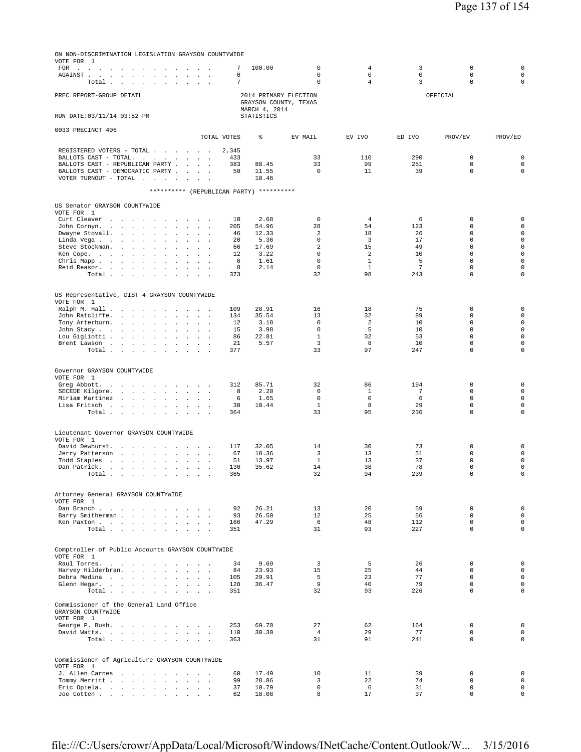| ON NON-DISCRIMINATION LEGISLATION GRAYSON COUNTYWIDE<br>VOTE FOR 1<br>FOR .<br>$\sim$<br>and a state<br>and the state of the state of the<br>$\sim$                                              |                                                  | 7            | 100.00                                                          | $\mathbf 0$                | $\overline{4}$                 | 3                | $\mathbb O$                | $\mathsf 0$                |
|--------------------------------------------------------------------------------------------------------------------------------------------------------------------------------------------------|--------------------------------------------------|--------------|-----------------------------------------------------------------|----------------------------|--------------------------------|------------------|----------------------------|----------------------------|
| AGAINST.<br>$\sim 10^{-1}$ $\sim$<br>$\sim$<br>the contract of the contract of the<br>Total .<br>$\sim$<br>$\sim$<br>$\sim$<br>$\sim$ 100 $\pm$<br>$\cdot$                                       | $\cdot$<br>$\sim$                                | 0<br>7       |                                                                 | $\mathbf 0$<br>$\mathbf 0$ | 0<br>$\overline{4}$            | $\mathbf 0$<br>3 | $\mathbf 0$<br>$\mathbf 0$ | $\mathbf 0$<br>$\mathbf 0$ |
| PREC REPORT-GROUP DETAIL                                                                                                                                                                         |                                                  |              | 2014 PRIMARY ELECTION<br>GRAYSON COUNTY, TEXAS<br>MARCH 4, 2014 |                            |                                |                  | OFFICIAL                   |                            |
| RUN DATE: 03/11/14 03:52 PM                                                                                                                                                                      |                                                  |              | STATISTICS                                                      |                            |                                |                  |                            |                            |
| 0033 PRECINCT 406                                                                                                                                                                                | TOTAL VOTES                                      |              | ి                                                               | EV MAIL                    | EV IVO                         | ED IVO           | PROV/EV                    | PROV/ED                    |
| REGISTERED VOTERS - TOTAL                                                                                                                                                                        |                                                  | 2,345        |                                                                 |                            |                                |                  |                            |                            |
| BALLOTS CAST - TOTAL.                                                                                                                                                                            | $\sim$ $\sim$<br>$\sim$ $\sim$                   | 433          |                                                                 | 33<br>33                   | 110<br>99                      | 290<br>251       | $\mathbf 0$<br>$\mathbb O$ | 0<br>$\mathsf 0$           |
| BALLOTS CAST - REPUBLICAN PARTY<br>BALLOTS CAST - DEMOCRATIC PARTY .<br>$\sim$ 100 $\pm$                                                                                                         |                                                  | 383<br>50    | 88.45<br>11.55                                                  | $\mathbf 0$                | 11                             | 39               | $\mathbf 0$                | $\mathbf 0$                |
| VOTER TURNOUT - TOTAL $\cdot \cdot \cdot \cdot$                                                                                                                                                  | $\mathbf{r}$                                     |              | 18.46                                                           |                            |                                |                  |                            |                            |
| ********** (REPUBLICAN PARTY) **********                                                                                                                                                         |                                                  |              |                                                                 |                            |                                |                  |                            |                            |
| US Senator GRAYSON COUNTYWIDE                                                                                                                                                                    |                                                  |              |                                                                 |                            |                                |                  |                            |                            |
| VOTE FOR 1<br>Curt Cleaver<br>the company of the company of                                                                                                                                      |                                                  | 10           | 2.68                                                            | $\mathbf 0$                | 4                              | 6                | 0                          | 0                          |
| John Cornyn.<br>$\sim$<br>$\sim$ 100 $\mu$<br>$\sim$ $\sim$                                                                                                                                      |                                                  | 205          | 54.96                                                           | 28                         | 54                             | 123              | $\mathbf 0$                | $\mathbf 0$                |
| Dwayne Stovall.<br>$\sim$<br>$\overline{a}$<br>Linda Vega<br>$\sim$ $\sim$<br>$\blacksquare$                                                                                                     |                                                  | 46<br>20     | 12.33<br>5.36                                                   | 2<br>$\mathbf 0$           | 18<br>3                        | 26<br>17         | $\mathbb O$<br>$\mathbf 0$ | $\mathsf 0$<br>$\mathbf 0$ |
| Steve Stockman.<br>$\sim 10$<br>$\Delta$<br>$\ddot{\phantom{1}}$<br>$\sim$<br>$\cdot$                                                                                                            |                                                  | 66           | 17.69                                                           | 2                          | 15                             | 49               | $\mathbf 0$                | $\mathbf 0$                |
| Ken Cope.<br>$\mathcal{L}^{\text{max}}$<br>$\sim 100$<br>$\mathbf{r}$<br>$\mathbf{r}$<br>$\ddot{\phantom{a}}$<br>$\blacksquare$<br>Chris Mapp.<br>the company of the company<br>$\sim$<br>$\sim$ |                                                  | $12 \,$<br>6 | 3.22<br>1.61                                                    | $\mathbf 0$<br>$\mathbf 0$ | $\overline{a}$<br>$\mathbf{1}$ | 10<br>5          | $\mathbf 0$<br>$\mathbf 0$ | $\mathbf 0$<br>$\mathsf 0$ |
| Reid Reasor.<br>$\sim$<br>$\Delta$<br>$\cdot$<br>$\ddot{\phantom{1}}$                                                                                                                            |                                                  | 8            | 2.14                                                            | $\mathbf 0$                | $\mathbf{1}$                   | $\overline{7}$   | $\mathbb O$                | $\mathsf 0$                |
| Total<br>$\sim$<br>$\overline{a}$                                                                                                                                                                |                                                  | 373          |                                                                 | 32                         | 98                             | 243              | $\Omega$                   | $\Omega$                   |
| US Representative, DIST 4 GRAYSON COUNTYWIDE<br>VOTE FOR 1                                                                                                                                       |                                                  |              |                                                                 |                            |                                |                  |                            |                            |
| Ralph M. Hall<br>$\sim$<br>$\ddot{\phantom{a}}$                                                                                                                                                  |                                                  | 109          | 28.91                                                           | 16                         | 18                             | 75               | 0                          | 0                          |
| John Ratcliffe.<br>$\sim 100$<br>$\sim$<br>$\sim$<br>$\sim$<br>$\cdot$<br>$\overline{a}$<br>Tony Arterburn.<br><b>Contract Contract Contract</b>                                                 | $\ddot{\phantom{a}}$<br>$\overline{\phantom{a}}$ | 134<br>12    | 35.54<br>3.18                                                   | 13<br>$\mathbf 0$          | 32<br>$\overline{\mathbf{c}}$  | 89<br>10         | 0<br>$\Omega$              | $\mathsf 0$<br>$\mathbf 0$ |
| John Stacy.<br>$\sim 100$ km s $^{-1}$<br>$\cdot$<br>$\ddot{\phantom{1}}$<br>$\blacksquare$                                                                                                      |                                                  | 15           | 3.98                                                            | $\mathbf 0$                | 5                              | 10               | $\mathbf 0$                | $\mathbf 0$                |
| Lou Gigliotti<br>$\ddot{\phantom{1}}$<br>$\ddot{\phantom{a}}$<br>$\blacksquare$<br>Brent Lawson                                                                                                  |                                                  | 86<br>21     | 22.81<br>5.57                                                   | $\mathbf{1}$<br>3          | 32<br>8                        | 53<br>10         | $\mathbf 0$<br>0           | $\mathbf 0$<br>$\mathbf 0$ |
| Total<br><b>Contract Contract</b><br>$\sim$<br>$\ddot{\phantom{a}}$<br>$\sim$                                                                                                                    |                                                  | 377          |                                                                 | 33                         | 97                             | 247              | $\mathbf 0$                | $\Omega$                   |
|                                                                                                                                                                                                  |                                                  |              |                                                                 |                            |                                |                  |                            |                            |
| Governor GRAYSON COUNTYWIDE<br>VOTE FOR 1                                                                                                                                                        |                                                  |              |                                                                 |                            |                                |                  |                            |                            |
| Greg Abbott.<br>and a strategic and<br>$\sim$<br>$\sim$                                                                                                                                          | $\sim$ $\sim$                                    | 312          | 85.71                                                           | 32                         | 86                             | 194              | 0                          | 0                          |
| SECEDE Kilgore.<br>and a state of the<br>$\sim$<br>$\mathbf{r}$<br>Miriam Martinez<br>$\sim$<br>$\mathbf{r}$<br>$\sim$                                                                           |                                                  | 8<br>6       | 2.20<br>1.65                                                    | $^{\circ}$<br>$\mathbf 0$  | 1<br>0                         | 7<br>6           | $\mathbf 0$<br>$\mathbb O$ | $\mathbf 0$<br>$\mathsf 0$ |
| Lisa Fritsch<br>$\cdot$                                                                                                                                                                          |                                                  | 38           | 10.44                                                           | $\mathbf{1}$               | 8                              | 29               | $\mathbf 0$                | $\mathbf 0$                |
| Total<br>$\sim 100$<br>$\cdot$<br>$\ddot{\phantom{a}}$                                                                                                                                           | $\sim$                                           | 364          |                                                                 | 33                         | 95                             | 236              | $\mathbf 0$                | $\mathbf 0$                |
| Lieutenant Governor GRAYSON COUNTYWIDE                                                                                                                                                           |                                                  |              |                                                                 |                            |                                |                  |                            |                            |
| VOTE FOR 1<br>David Dewhurst.<br>$\sim 100$<br><b>Contract Contract</b>                                                                                                                          |                                                  | 117          | 32.05                                                           | 14                         | 30                             | 73               | 0                          | 0                          |
| Jerry Patterson<br>contract and an<br>$\cdot$<br>$\cdot$                                                                                                                                         | $\blacksquare$                                   | 67           | 18.36                                                           | 3                          | 13                             | 51               | $\mathbf 0$                | $\mathbf 0$                |
| Todd Staples<br>the contract of the contract<br>$\mathbf{r}$<br>Dan Patrick.<br>and a state of the<br>$\sim$<br>$\cdot$                                                                          |                                                  | 51<br>130    | 13.97<br>35.62                                                  | 1<br>14                    | 13<br>38                       | 37<br>78         | 0<br>$\mathbf 0$           | $\mathsf 0$<br>$\mathsf 0$ |
| Total<br>$\sim$<br>$\overline{a}$                                                                                                                                                                |                                                  | 365          |                                                                 | 32                         | 94                             | 239              | $\mathbf 0$                | $\mathbf 0$                |
|                                                                                                                                                                                                  |                                                  |              |                                                                 |                            |                                |                  |                            |                            |
| Attorney General GRAYSON COUNTYWIDE<br>VOTE FOR 1                                                                                                                                                |                                                  |              |                                                                 |                            |                                |                  |                            |                            |
| Dan Branch.                                                                                                                                                                                      |                                                  | 92<br>93     | 26.21<br>26.50                                                  | 13<br>12                   | 20<br>25                       | 59<br>56         | $\mathbf 0$<br>$\mathbf 0$ | 0<br>$\circ$               |
| Barry Smitherman<br>$\sim$<br>Ken Paxton                                                                                                                                                         |                                                  | 166          | 47.29                                                           | 6                          | 48                             | 112              | $\mathbf 0$                | $\circ$                    |
| Total $\cdots$ $\cdots$ $\cdots$                                                                                                                                                                 | $\sim$                                           | 351          |                                                                 | 31                         | 93                             | 227              | $\Omega$                   | $\Omega$                   |
| Comptroller of Public Accounts GRAYSON COUNTYWIDE<br>VOTE FOR 1                                                                                                                                  |                                                  |              |                                                                 |                            |                                |                  |                            |                            |
| Raul Torres.                                                                                                                                                                                     | $\sim$ $\sim$ $\sim$                             | 34           | 9.69                                                            | $\overline{3}$             | 5                              | 26               | $\mathbf 0$                | $\mathbf 0$                |
| Harvey Hilderbran.<br>Debra Medina                                                                                                                                                               | and a state of the<br>$\sim$<br>$\sim$           | 84<br>105    | 23.93<br>29.91                                                  | 15<br>5                    | 25<br>23                       | 44<br>77         | $\Omega$<br>$\mathbf 0$    | $\mathbf 0$<br>$\mathbf 0$ |
| Glenn Hegar.                                                                                                                                                                                     | $\mathbf{r}$                                     | 128          | 36.47                                                           | 9                          | 40                             | 79               | $\mathbf 0$                | $\mathbf 0$                |
| Total                                                                                                                                                                                            |                                                  | 351          |                                                                 | 32                         | 93                             | 226              | $\mathbf{0}$               | $\Omega$                   |
| Commissioner of the General Land Office<br>GRAYSON COUNTYWIDE<br>VOTE FOR 1                                                                                                                      |                                                  |              |                                                                 |                            |                                |                  |                            |                            |
| George P. Bush.                                                                                                                                                                                  |                                                  | 253          | 69.70                                                           | 27                         | 62                             | 164              | 0                          | 0                          |
| David Watts.                                                                                                                                                                                     |                                                  | 110          | 30.30                                                           | $\overline{4}$             | 29                             | 77               | $\mathbf 0$                | $\mathsf 0$                |
| Total                                                                                                                                                                                            |                                                  | 363          |                                                                 | 31                         | 91                             | 241              | $\Omega$                   | $\Omega$                   |
| Commissioner of Agriculture GRAYSON COUNTYWIDE                                                                                                                                                   |                                                  |              |                                                                 |                            |                                |                  |                            |                            |
| VOTE FOR 1<br>J. Allen Carnes                                                                                                                                                                    | $\sim$ $\sim$ $\sim$                             | 60           | 17.49                                                           | 10                         | 11                             | 39               | 0                          | 0                          |
| Tommy Merritt<br>$\sim$                                                                                                                                                                          |                                                  | 99           | 28.86                                                           | 3                          | 22                             | 74               | $\mathbf 0$                | $\mathbf 0$                |
| Eric Opiela.<br>Joe Cotten                                                                                                                                                                       |                                                  | 37<br>62     | 10.79<br>18.08                                                  | $\mathbf 0$<br>8           | 6<br>17                        | 31<br>37         | $\mathbf 0$<br>$\mathbf 0$ | $\mathbf 0$<br>$\circ$     |
|                                                                                                                                                                                                  |                                                  |              |                                                                 |                            |                                |                  |                            |                            |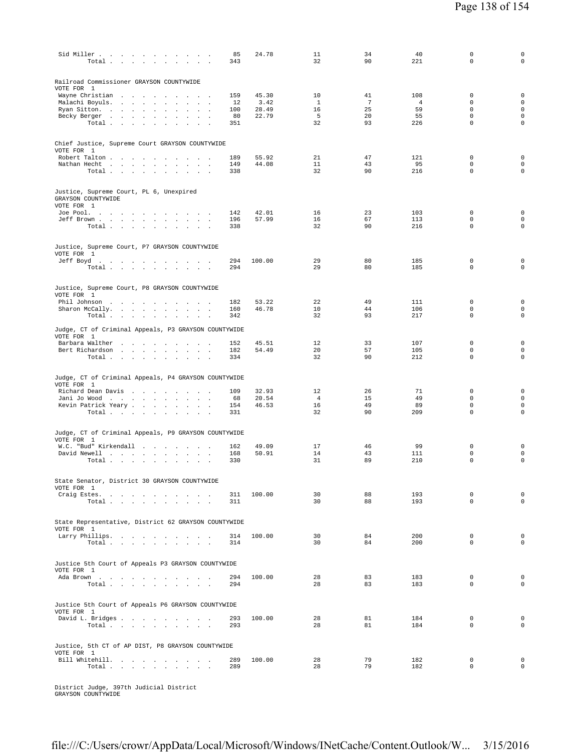| Sid Miller<br>Total<br>$\sim$                                                                 | 85<br>343  | 24.78          | 11<br>32             | 34<br>90 | 40<br>221      | $\mathbf 0$<br>$\mathbf 0$  | $\mathsf{O}\xspace$<br>$\mathsf 0$ |
|-----------------------------------------------------------------------------------------------|------------|----------------|----------------------|----------|----------------|-----------------------------|------------------------------------|
| Railroad Commissioner GRAYSON COUNTYWIDE<br>VOTE FOR 1<br>Wayne Christian<br>$\sim$<br>$\sim$ | 159        | 45.30          | 10                   | 41       | 108            | 0                           | $\mathbf 0$                        |
| Malachi Boyuls.<br>the contract of the contract of the                                        | 12         | 3.42           | $\mathbf{1}$         | 7        | $\overline{4}$ | $\mathbf 0$                 | $\mathsf{O}\xspace$                |
| Ryan Sitton.<br>$\sim$<br><b>Sales</b>                                                        | 100        | 28.49          | 16                   | 25       | 59             | $\mathbf 0$                 | $\mathsf{O}\xspace$                |
| Becky Berger<br>$\sim$<br>Total                                                               | 80<br>351  | 22.79          | - 5<br>32            | 20<br>93 | 55<br>226      | $\Omega$<br>$\mathbf 0$     | $\mathbf 0$<br>$\circ$             |
|                                                                                               |            |                |                      |          |                |                             |                                    |
| Chief Justice, Supreme Court GRAYSON COUNTYWIDE<br>VOTE FOR 1                                 |            |                |                      |          |                |                             |                                    |
| Robert Talton                                                                                 | 189        | 55.92          | 21                   | 47       | 121            | $\mathbf 0$                 | $\mathbf 0$                        |
| Nathan Hecht                                                                                  | 149        | 44.08          | 11                   | 43       | 95             | $\mathbf 0$                 | $\mathbf 0$                        |
| Total                                                                                         | 338        |                | 32                   | 90       | 216            | $\mathbf 0$                 | $\mathbf 0$                        |
| Justice, Supreme Court, PL 6, Unexpired<br>GRAYSON COUNTYWIDE<br>VOTE FOR 1                   |            |                |                      |          |                |                             |                                    |
| Joe Pool.                                                                                     | 142        | 42.01          | 16                   | 23       | 103            | $\mathbf 0$                 | $\mathbf 0$                        |
| Jeff Brown                                                                                    | 196        | 57.99          | 16                   | 67       | 113            | $\mathbf 0$                 | $\mathbf 0$                        |
| Total<br>$\sim$ $\sim$                                                                        | 338        |                | 32                   | 90       | 216            | $\mathbf 0$                 | $\mathsf{O}\xspace$                |
| Justice, Supreme Court, P7 GRAYSON COUNTYWIDE<br>VOTE FOR 1                                   |            |                |                      |          |                |                             |                                    |
| Jeff Boyd.                                                                                    | 294        | 100.00         | 29                   | 80       | 185            | $\mathbf 0$                 | $\mathbf 0$                        |
| Total $\cdots$ $\cdots$ $\cdots$                                                              | 294        |                | 29                   | 80       | 185            | $\mathbf 0$                 | $\mathbf 0$                        |
|                                                                                               |            |                |                      |          |                |                             |                                    |
| Justice, Supreme Court, P8 GRAYSON COUNTYWIDE<br>VOTE FOR 1                                   |            |                |                      |          |                | 0                           | $\mathbf 0$                        |
| Phil Johnson<br>Sharon McCally.                                                               | 182<br>160 | 53.22<br>46.78 | 22<br>10             | 49<br>44 | 111<br>106     | $\mathbf 0$                 | $\mathbf 0$                        |
| Total                                                                                         | 342        |                | 32                   | 93       | 217            | $\mathbf 0$                 | $\mathsf 0$                        |
| Judge, CT of Criminal Appeals, P3 GRAYSON COUNTYWIDE<br>VOTE FOR 1                            |            |                |                      |          |                |                             |                                    |
| Barbara Walther<br>Bert Richardson                                                            | 152<br>182 | 45.51<br>54.49 | 12<br>20             | 33<br>57 | 107<br>105     | 0<br>$\mathbf 0$            | $\mathbf 0$<br>$\mathsf{O}\xspace$ |
| Total<br>$\sim$                                                                               | 334        |                | 32                   | 90       | 212            | $\mathbf 0$                 | $\mathbf 0$                        |
|                                                                                               |            |                |                      |          |                |                             |                                    |
| Judge, CT of Criminal Appeals, P4 GRAYSON COUNTYWIDE<br>VOTE FOR 1                            |            |                |                      |          |                |                             |                                    |
| Richard Dean Davis<br>the contract of the contract of                                         | 109        | 32.93<br>20.54 | 12<br>$\overline{4}$ | 26<br>15 | 71<br>49       | 0<br>$\Omega$               | $\mathbf 0$<br>$\mathbf 0$         |
| Jani Jo Wood<br>Kevin Patrick Yeary                                                           | 68<br>154  | 46.53          | 16                   | 49       | 89             | $\mathbf 0$                 | $\mathbf 0$                        |
| Total                                                                                         | 331        |                | 32                   | 90       | 209            | $\mathbf 0$                 | $\mathbf 0$                        |
|                                                                                               |            |                |                      |          |                |                             |                                    |
| Judge, CT of Criminal Appeals, P9 GRAYSON COUNTYWIDE<br>VOTE FOR 1                            |            |                |                      |          |                |                             |                                    |
| W.C. "Bud" Kirkendall<br>David Newell                                                         | 162<br>168 | 49.09<br>50.91 | 17<br>14             | 46<br>43 | 99<br>111      | $\mathbf 0$<br>$\mathbf 0$  | $\mathbf 0$<br>$\mathbf 0$         |
| Total $\ldots$ $\ldots$ $\ldots$ $\ldots$                                                     | 330        |                | 31                   | 89       | 210            | $\mathbf 0$                 | $\mathsf{O}\xspace$                |
|                                                                                               |            |                |                      |          |                |                             |                                    |
| State Senator, District 30 GRAYSON COUNTYWIDE<br>VOTE FOR 1                                   |            |                |                      |          |                |                             |                                    |
| Craig Estes.<br>Total                                                                         | 311<br>311 | 100.00         | 30<br>30             | 88<br>88 | 193<br>193     | $\mathbf 0$<br>$\mathbf 0$  | $\mathbf 0$<br>$\mathbf 0$         |
|                                                                                               |            |                |                      |          |                |                             |                                    |
|                                                                                               |            |                |                      |          |                |                             |                                    |
| State Representative, District 62 GRAYSON COUNTYWIDE<br>VOTE FOR 1                            |            |                |                      |          |                |                             |                                    |
| Larry Phillips.                                                                               | 314        | 100.00         | 30                   | 84       | 200            | $\mathbf 0$                 | $\mathbf 0$                        |
| Total                                                                                         | 314        |                | 30                   | 84       | 200            | 0                           | $\mathbf 0$                        |
|                                                                                               |            |                |                      |          |                |                             |                                    |
| Justice 5th Court of Appeals P3 GRAYSON COUNTYWIDE<br>VOTE FOR 1                              |            |                |                      |          |                |                             |                                    |
| Ada Brown                                                                                     | 294        | 100.00         | 28                   | 83       | 183<br>183     | $\mathbf{0}$<br>$\mathbf 0$ | $\mathbf 0$<br>$\mathbf 0$         |
| Total                                                                                         | 294        |                | 28                   | 83       |                |                             |                                    |
|                                                                                               |            |                |                      |          |                |                             |                                    |
| Justice 5th Court of Appeals P6 GRAYSON COUNTYWIDE                                            |            |                |                      |          |                |                             |                                    |
| VOTE FOR 1<br>David L. Bridges                                                                | 293        | 100.00         | 28                   | 81       | 184            | $\mathbf 0$                 | $\mathbf 0$                        |
| Total $\ldots$ $\ldots$ $\ldots$ $\ldots$                                                     | 293        |                | 28                   | 81       | 184            | 0                           | $\mathbf 0$                        |
|                                                                                               |            |                |                      |          |                |                             |                                    |
|                                                                                               |            |                |                      |          |                |                             |                                    |
| Justice, 5th CT of AP DIST, P8 GRAYSON COUNTYWIDE<br>VOTE FOR 1                               |            |                |                      |          |                |                             |                                    |
| Bill Whitehill.                                                                               | 289        | 100.00         | 28                   | 79       | 182            | $\mathbf 0$                 | $\mathbf 0$                        |
| Total                                                                                         | 289        |                | 28                   | 79       | 182            | 0                           | $\mathbf 0$                        |
|                                                                                               |            |                |                      |          |                |                             |                                    |
|                                                                                               |            |                |                      |          |                |                             |                                    |

District Judge, 397th Judicial District GRAYSON COUNTYWIDE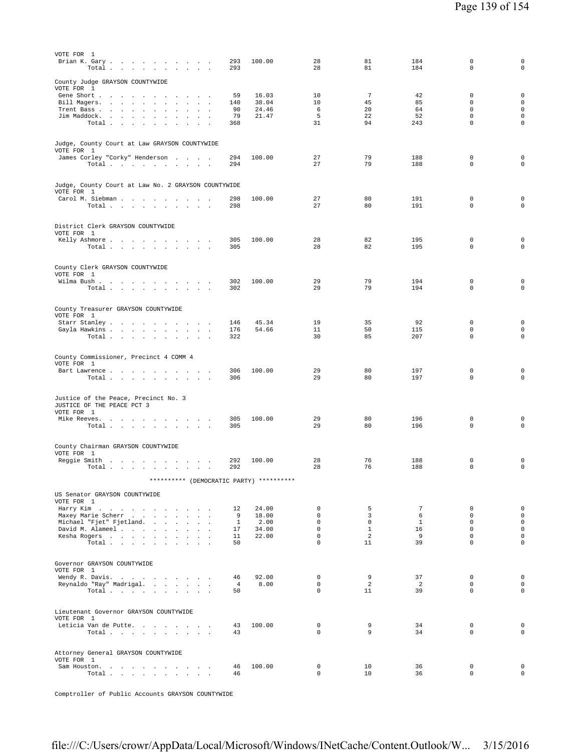| VOTE FOR 1<br>Brian K. Gary<br>Total .<br>$\sim$<br>the company of the company                                                                                                                                                                                                                             | 293<br>293                                | 100.00                                   | 28<br>28                                                                        | 81<br>81                                                   | 184<br>184                                              | $\mathbf 0$<br>$\mathbf 0$                                                          | 0<br>$\mathsf 0$                                                                        |
|------------------------------------------------------------------------------------------------------------------------------------------------------------------------------------------------------------------------------------------------------------------------------------------------------------|-------------------------------------------|------------------------------------------|---------------------------------------------------------------------------------|------------------------------------------------------------|---------------------------------------------------------|-------------------------------------------------------------------------------------|-----------------------------------------------------------------------------------------|
| County Judge GRAYSON COUNTYWIDE<br>VOTE FOR 1<br>Gene Short .<br>the contract of the con-<br>$\sim$<br>$\sim$<br>$\sim$<br>Bill Magers.<br><b>Contract Contract</b><br>$\sim$<br>Trent Bass<br>$\mathbf{r}$<br>Jim Maddock.<br>$\ddot{\phantom{a}}$<br>$\sim$<br>Total $\ldots$ $\ldots$ $\ldots$ $\ldots$ | 59<br>140<br>90<br>79<br>368              | 16.03<br>38.04<br>24.46<br>21.47         | 10<br>10<br>6<br>5<br>31                                                        | $7\phantom{.0}$<br>45<br>20<br>22<br>94                    | 42<br>85<br>64<br>52<br>243                             | 0<br>0<br>$\mathbf 0$<br>$\mathbf 0$<br>$\mathbf 0$                                 | $\mathsf 0$<br>$\mathsf{O}\xspace$<br>$\mathsf{O}\xspace$<br>$\mathbf 0$<br>$\mathbf 0$ |
| Judge, County Court at Law GRAYSON COUNTYWIDE<br>VOTE FOR 1<br>James Corley "Corky" Henderson<br>Total                                                                                                                                                                                                     | 294<br>294                                | 100.00                                   | 27<br>27                                                                        | 79<br>79                                                   | 188<br>188                                              | $\mathbf 0$<br>$\mathbf 0$                                                          | $\mathbf 0$<br>$\mathbf 0$                                                              |
| Judge, County Court at Law No. 2 GRAYSON COUNTYWIDE<br>VOTE FOR 1<br>Carol M. Siebman<br>Total                                                                                                                                                                                                             | 298<br>298                                | 100.00                                   | 27<br>27                                                                        | 80<br>80                                                   | 191<br>191                                              | $\mathbf 0$<br>$\mathbf 0$                                                          | $\mathbf 0$<br>$\mathbf 0$                                                              |
| District Clerk GRAYSON COUNTYWIDE<br>VOTE FOR 1<br>Kelly Ashmore<br>Total                                                                                                                                                                                                                                  | 305<br>305                                | 100.00                                   | 28<br>28                                                                        | 82<br>82                                                   | 195<br>195                                              | $\mathbf{0}$<br>$\mathbf 0$                                                         | $\mathsf 0$<br>$\mathbf 0$                                                              |
| County Clerk GRAYSON COUNTYWIDE<br>VOTE FOR 1<br>Wilma Bush<br>Total                                                                                                                                                                                                                                       | 302<br>302                                | 100.00                                   | 29<br>29                                                                        | 79<br>79                                                   | 194<br>194                                              | 0<br>$\mathbf 0$                                                                    | $\mathbf 0$<br>$\mathbf 0$                                                              |
| County Treasurer GRAYSON COUNTYWIDE<br>VOTE FOR 1<br>Starr Stanley<br>Gayla Hawkins<br>$\sim 100$ km s $^{-1}$<br>Total<br>$\sim$ $\sim$<br>$\sim$                                                                                                                                                         | 146<br>176<br>322                         | 45.34<br>54.66                           | 19<br>11<br>30                                                                  | 35<br>50<br>85                                             | 92<br>115<br>207                                        | $\mathbf 0$<br>$\mathbf 0$<br>$\mathbf 0$                                           | $\mathsf 0$<br>$\mathbf 0$<br>$\mathbf 0$                                               |
| County Commissioner, Precinct 4 COMM 4<br>VOTE FOR 1<br>Bart Lawrence<br>Total                                                                                                                                                                                                                             | 306<br>306                                | 100.00                                   | 29<br>29                                                                        | 80<br>80                                                   | 197<br>197                                              | $\mathbf 0$<br>$\mathbf 0$                                                          | $\mathsf 0$<br>$\mathbf 0$                                                              |
| Justice of the Peace, Precinct No. 3<br>JUSTICE OF THE PEACE PCT 3<br>VOTE FOR 1<br>Mike Reeves.<br>Total $\cdots$ $\cdots$ $\cdots$                                                                                                                                                                       | 305<br>305                                | 100.00                                   | 29<br>29                                                                        | 80<br>80                                                   | 196<br>196                                              | $\mathbf 0$<br>0                                                                    | $\mathbf 0$<br>$\mathsf 0$                                                              |
| County Chairman GRAYSON COUNTYWIDE<br>VOTE FOR 1<br>Reqqie Smith<br>and the state of the state of<br>Total $\cdots$ $\cdots$ $\cdots$                                                                                                                                                                      | 292<br>292                                | 100.00                                   | 28<br>28                                                                        | 76<br>76                                                   | 188<br>188                                              | 0<br>$\mathbf 0$                                                                    | 0<br>$\mathbf 0$                                                                        |
| ********** (DEMOCRATIC PARTY) **********<br>US Senator GRAYSON COUNTYWIDE                                                                                                                                                                                                                                  |                                           |                                          |                                                                                 |                                                            |                                                         |                                                                                     |                                                                                         |
| VOTE FOR 1<br>Harry Kim<br>Maxey Marie Scherr<br>Michael "Fjet" Fjetland.<br>David M. Alameel<br>Kesha Rogers<br>Total                                                                                                                                                                                     | 12<br>9<br>$\mathbf{1}$<br>17<br>11<br>50 | 24.00<br>18.00<br>2.00<br>34.00<br>22.00 | $\mathbf{0}$<br>$\circ$<br>$\Omega$<br>$\mathbf{0}$<br>$\mathbf{0}$<br>$\Omega$ | 5<br>$\overline{3}$<br>$\Omega$<br>$\mathbf{1}$<br>2<br>11 | $7\phantom{.0}$<br>6<br>$\mathbf{1}$<br>16<br>- 9<br>39 | $\mathbf 0$<br>$\mathbf 0$<br>$\Omega$<br>$\mathbf 0$<br>$\mathbf 0$<br>$\mathbf 0$ | $\mathbf 0$<br>$\mathsf 0$<br>$\mathbf{0}$<br>$\mathbf 0$<br>$\mathbf 0$<br>$\circ$     |
| Governor GRAYSON COUNTYWIDE<br>VOTE FOR 1<br>Wendy R. Davis.<br>Reynaldo "Ray" Madrigal.<br>Total $\cdots$ $\cdots$ $\cdots$ $\cdots$                                                                                                                                                                      | 46<br>$\overline{4}$<br>50                | 92.00<br>8.00                            | $\circ$<br>$\circ$<br>$\mathbf 0$                                               | 9<br>$\overline{2}$<br>11                                  | 37<br>$\overline{2}$<br>39                              | $^{\circ}$<br>$\mathbf 0$<br>$\mathbf 0$                                            | $\mathbf 0$<br>$\mathbf{0}$<br>$\mathbf 0$                                              |
| Lieutenant Governor GRAYSON COUNTYWIDE<br>VOTE FOR 1<br>Leticia Van de Putte.<br>Total                                                                                                                                                                                                                     | 43<br>43                                  | 100.00                                   | 0<br>0                                                                          | 9<br>9                                                     | 34<br>34                                                | $^{\circ}$<br>$\mathbf 0$                                                           | $\mathbf 0$<br>$\mathbf 0$                                                              |
| Attorney General GRAYSON COUNTYWIDE<br>VOTE FOR 1<br>Sam Houston.<br>Total                                                                                                                                                                                                                                 | 46<br>46                                  | 100.00                                   | 0<br>$\mathbf{0}$                                                               | 10<br>10                                                   | 36<br>36                                                | $\mathbf 0$<br>$\mathbf 0$                                                          | $\mathbf 0$<br>$\mathsf 0$                                                              |

Comptroller of Public Accounts GRAYSON COUNTYWIDE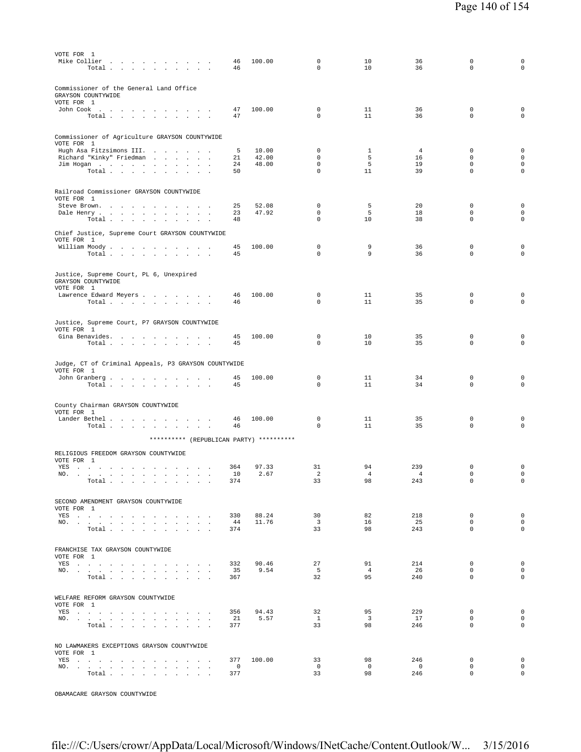| VOTE FOR 1<br>Mike Collier<br>the contract of the contract of the contract of<br>Total .<br>the contract of the contract of the con-                                                                                                  | 46<br>46                        | 100.00         | 0<br>$\mathbf 0$            | 10<br>10             | 36<br>36              | $\Omega$<br>$\mathbf 0$    | 0<br>$\mathbf 0$                    |
|---------------------------------------------------------------------------------------------------------------------------------------------------------------------------------------------------------------------------------------|---------------------------------|----------------|-----------------------------|----------------------|-----------------------|----------------------------|-------------------------------------|
| Commissioner of the General Land Office                                                                                                                                                                                               |                                 |                |                             |                      |                       |                            |                                     |
| GRAYSON COUNTYWIDE<br>VOTE FOR 1                                                                                                                                                                                                      |                                 |                |                             |                      |                       |                            |                                     |
| John Cook                                                                                                                                                                                                                             | 47                              | 100.00         | $\mathbf{0}$<br>$\Omega$    | 11                   | 36                    | $\mathbf 0$<br>$\Omega$    | $\mathbf 0$<br>$\Omega$             |
| Total $\cdots$ $\cdots$ $\cdots$<br>$\ddot{\phantom{a}}$                                                                                                                                                                              | 47                              |                |                             | 11                   | 36                    |                            |                                     |
| Commissioner of Agriculture GRAYSON COUNTYWIDE<br>VOTE FOR 1                                                                                                                                                                          |                                 |                |                             |                      |                       |                            |                                     |
| Hugh Asa Fitzsimons III.                                                                                                                                                                                                              | 5<br>21                         | 10.00<br>42.00 | 0<br>$\Omega$               | 1<br>5               | $\overline{4}$<br>16  | 0<br>$\Omega$              | $\mathbf 0$<br>$\mathsf 0$          |
| Richard "Kinky" Friedman<br>Jim Hogan                                                                                                                                                                                                 | 24                              | 48.00          | $\mathbf 0$                 | 5                    | 19                    | $\mathbf 0$                | $\mathbf 0$                         |
| $\texttt{Total}~~.~~.~~.~~.~~.~~.~~.$                                                                                                                                                                                                 | 50                              |                | $\mathbf 0$                 | 11                   | 39                    | $\mathbf 0$                | $\mathbf 0$                         |
| Railroad Commissioner GRAYSON COUNTYWIDE<br>VOTE FOR 1                                                                                                                                                                                |                                 |                |                             |                      |                       |                            |                                     |
| Steve Brown.                                                                                                                                                                                                                          | 25                              | 52.08          | $\mathbf{0}$                | 5                    | 20                    | $\mathbf 0$                | $\mathbf 0$                         |
| Dale Henry<br>$\sim 10$<br>$\overline{\phantom{a}}$<br>Total<br>$\sim$<br>$\sim$                                                                                                                                                      | 23<br>48                        | 47.92          | $\mathbf 0$<br>0            | 5<br>10              | 18<br>38              | $\mathbf 0$<br>$\mathbf 0$ | $\mathbf 0$<br>$\mathbf 0$          |
|                                                                                                                                                                                                                                       |                                 |                |                             |                      |                       |                            |                                     |
| Chief Justice, Supreme Court GRAYSON COUNTYWIDE<br>VOTE FOR 1                                                                                                                                                                         |                                 |                |                             |                      |                       |                            |                                     |
| William Moody<br>Total                                                                                                                                                                                                                | 45<br>45                        | 100.00         | $\mathbf 0$<br>$\Omega$     | 9<br>9               | 36<br>36              | $\mathbf 0$<br>$\mathbf 0$ | $\mathbf 0$<br>0                    |
|                                                                                                                                                                                                                                       |                                 |                |                             |                      |                       |                            |                                     |
| Justice, Supreme Court, PL 6, Unexpired<br>GRAYSON COUNTYWIDE<br>VOTE FOR 1                                                                                                                                                           |                                 |                |                             |                      |                       |                            |                                     |
| Lawrence Edward Meyers                                                                                                                                                                                                                | 46                              | 100.00         | $\mathbf 0$                 | 11                   | 35                    | $\mathbf 0$                | $\mathbf 0$                         |
| Total $\ldots$ $\ldots$ $\ldots$ $\ldots$                                                                                                                                                                                             | 46                              |                | 0                           | 11                   | 35                    | $\mathbf 0$                | $\mathbf 0$                         |
| Justice, Supreme Court, P7 GRAYSON COUNTYWIDE                                                                                                                                                                                         |                                 |                |                             |                      |                       |                            |                                     |
| VOTE FOR 1<br>Gina Benavides.                                                                                                                                                                                                         | 45                              | 100.00         | $\mathbf{0}$                | 10                   | 35                    | $\mathbf 0$                | $\mathbf 0$                         |
| Total                                                                                                                                                                                                                                 | 45                              |                | 0                           | 10                   | 35                    | $\mathbf 0$                | $\mathbf 0$                         |
|                                                                                                                                                                                                                                       |                                 |                |                             |                      |                       |                            |                                     |
| Judge, CT of Criminal Appeals, P3 GRAYSON COUNTYWIDE<br>VOTE FOR 1                                                                                                                                                                    |                                 |                |                             |                      |                       |                            |                                     |
| John Granberg<br>Total                                                                                                                                                                                                                | 45<br>45                        | 100.00         | 0<br>0                      | 11<br>11             | 34<br>34              | $\mathbf 0$<br>0           | $\mathbf 0$<br>$\mathbf 0$          |
|                                                                                                                                                                                                                                       |                                 |                |                             |                      |                       |                            |                                     |
| County Chairman GRAYSON COUNTYWIDE<br>VOTE FOR 1                                                                                                                                                                                      |                                 |                |                             |                      |                       |                            |                                     |
| Lander Bethel<br>Total                                                                                                                                                                                                                | 46<br>46                        | 100.00         | $\mathbf{0}$<br>$\mathbf 0$ | 11<br>11             | 35<br>35              | $\mathbf 0$<br>$\mathbf 0$ | 0<br>0                              |
| ********** (REPUBLICAN PARTY) **********                                                                                                                                                                                              |                                 |                |                             |                      |                       |                            |                                     |
|                                                                                                                                                                                                                                       |                                 |                |                             |                      |                       |                            |                                     |
| RELIGIOUS FREEDOM GRAYSON COUNTYWIDE<br>VOTE FOR 1                                                                                                                                                                                    |                                 |                |                             |                      |                       |                            |                                     |
| YES<br>the contract of the contract of the contract of the<br>NO.<br>the contract of the contract of the contract of the con-                                                                                                         | 364<br>10                       | 97.33<br>2.67  | 31<br>2                     | 94<br>$\overline{4}$ | 239<br>4              | 0<br>$\mathbf 0$           | $\mathbf 0$<br>$\mathsf{O}\xspace$  |
| Total                                                                                                                                                                                                                                 | 374                             |                | 33                          | 98                   | 243                   | 0                          | $\mathsf{O}$                        |
| SECOND AMENDMENT GRAYSON COUNTYWIDE                                                                                                                                                                                                   |                                 |                |                             |                      |                       |                            |                                     |
| VOTE FOR 1<br>YES                                                                                                                                                                                                                     | 330                             | 88.24          | 30                          | 82                   | 218                   | $\mathbf 0$                | $\mathsf 0$                         |
| NO.                                                                                                                                                                                                                                   | 44                              | 11.76          | $\overline{\mathbf{3}}$     | 16<br>98             | 25                    | $\Omega$<br>$\Omega$       | $\mathbf 0$<br>$\circ$              |
| Total                                                                                                                                                                                                                                 | 374                             |                | 33                          |                      | 243                   |                            |                                     |
| FRANCHISE TAX GRAYSON COUNTYWIDE<br>VOTE FOR 1                                                                                                                                                                                        |                                 |                |                             |                      |                       |                            |                                     |
| YES                                                                                                                                                                                                                                   | 332                             | 90.46          | 27<br>5                     | 91<br>$\overline{4}$ | 214                   | $\mathbf 0$<br>$\Omega$    | $\mathsf{O}\xspace$<br>$\mathbf{0}$ |
| NO.<br>Total                                                                                                                                                                                                                          | 35<br>367                       | 9.54           | 32                          | 95                   | 26<br>240             | $\Omega$                   | $\mathbf 0$                         |
|                                                                                                                                                                                                                                       |                                 |                |                             |                      |                       |                            |                                     |
| WELFARE REFORM GRAYSON COUNTYWIDE<br>VOTE FOR 1                                                                                                                                                                                       |                                 |                |                             |                      |                       |                            |                                     |
| YES a contract of the contract of the state of the state of the state of the state of the state of the state of the state of the state of the state of the state of the state of the state of the state of the state of the st<br>NO. | 356<br>21                       | 94.43<br>5.57  | 32<br>$\mathbf{1}$          | 95<br>$\overline{3}$ | 229<br>17             | $\mathbf 0$<br>$\mathbf 0$ | $\mathbf{0}$<br>$\mathbf 0$         |
| Total                                                                                                                                                                                                                                 | 377                             |                | 33                          | 98                   | 246                   | $\mathbf 0$                | $\mathbf 0$                         |
|                                                                                                                                                                                                                                       |                                 |                |                             |                      |                       |                            |                                     |
| NO LAWMAKERS EXCEPTIONS GRAYSON COUNTYWIDE<br>VOTE FOR 1                                                                                                                                                                              |                                 |                |                             |                      |                       |                            |                                     |
| YES<br>NO.                                                                                                                                                                                                                            | 377<br>$\overline{\phantom{0}}$ | 100.00         | 33<br>$\mathbf 0$           | 98<br>0              | 246<br>$\overline{0}$ | $\mathbf 0$<br>$\mathbf 0$ | $\mathbf 0$<br>$\mathbf 0$          |
| Total                                                                                                                                                                                                                                 | 377                             |                | 33                          | 98                   | 246                   | $\mathbf 0$                | $\mathsf{O}\xspace$                 |

OBAMACARE GRAYSON COUNTYWIDE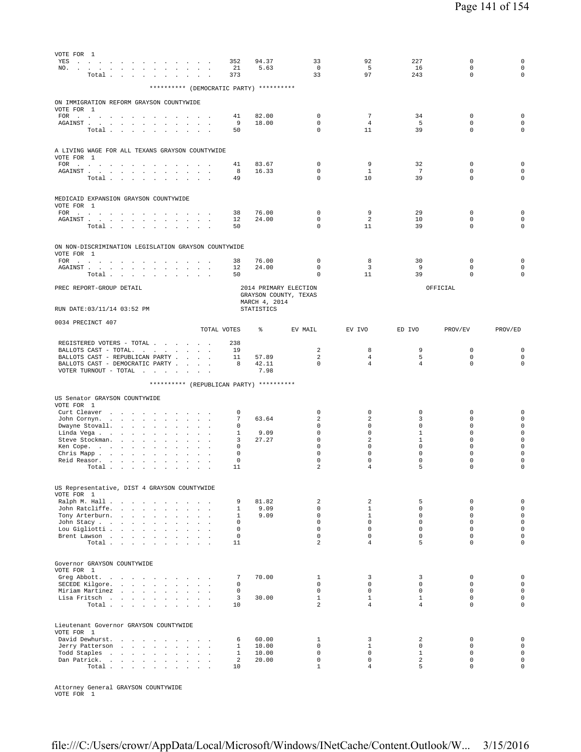| VOTE FOR 1<br>YES<br>the contract of the contract of the<br>NO.<br>$\sim 100$<br>the contract of the contract<br>Total                                                                                                                                                                                                                                                                      |                                                                             |               | 352<br>21<br>373                                                                  | 94.37<br>5.63                            | 33<br>$\mathbf 0$<br>33                                                                                     | 92<br>5<br>97                                                                                                       | 227<br>16<br>243                                                                          | $\mathbf 0$<br>$\mathsf 0$<br>$\mathbf 0$                                                             | 0<br>$\mathbf 0$<br>$\mathbf 0$                                                                                                     |
|---------------------------------------------------------------------------------------------------------------------------------------------------------------------------------------------------------------------------------------------------------------------------------------------------------------------------------------------------------------------------------------------|-----------------------------------------------------------------------------|---------------|-----------------------------------------------------------------------------------|------------------------------------------|-------------------------------------------------------------------------------------------------------------|---------------------------------------------------------------------------------------------------------------------|-------------------------------------------------------------------------------------------|-------------------------------------------------------------------------------------------------------|-------------------------------------------------------------------------------------------------------------------------------------|
|                                                                                                                                                                                                                                                                                                                                                                                             |                                                                             |               |                                                                                   | ********** (DEMOCRATIC PARTY) ********** |                                                                                                             |                                                                                                                     |                                                                                           |                                                                                                       |                                                                                                                                     |
| ON IMMIGRATION REFORM GRAYSON COUNTYWIDE<br>VOTE FOR 1                                                                                                                                                                                                                                                                                                                                      |                                                                             |               |                                                                                   |                                          |                                                                                                             |                                                                                                                     |                                                                                           |                                                                                                       |                                                                                                                                     |
| FOR $\cdots$ $\cdots$ $\cdots$<br>AGAINST.<br>the contract of the contract<br>$\overline{\phantom{a}}$<br>$\cdot$<br>Total<br>$\sim$                                                                                                                                                                                                                                                        | $\sim$<br>$\cdot$<br>$\overline{\phantom{a}}$                               |               | 41<br>9<br>50                                                                     | 82.00<br>18.00                           | $\mathbf 0$<br>$\mathbf 0$<br>0                                                                             | $7\phantom{.0}$<br>$\overline{4}$<br>11                                                                             | 34<br>5<br>39                                                                             | $\mathbf 0$<br>$\mathbf 0$<br>$\mathbf 0$                                                             | $\mathbf 0$<br>$\mathbf 0$<br>$\mathbf 0$                                                                                           |
| A LIVING WAGE FOR ALL TEXANS GRAYSON COUNTYWIDE<br>VOTE FOR 1                                                                                                                                                                                                                                                                                                                               |                                                                             |               |                                                                                   |                                          |                                                                                                             |                                                                                                                     |                                                                                           |                                                                                                       |                                                                                                                                     |
| FOR<br>and the contract of the<br>$\sim$<br>$\sim$<br>$\ddot{\phantom{1}}$<br>$\sim$<br>${\tt AGAINST} \quad . \qquad . \qquad . \qquad . \qquad . \qquad . \qquad .$<br>$\sim$<br>Total                                                                                                                                                                                                    | $\ddot{\phantom{a}}$<br>$\sim$<br>$\sim$                                    |               | 41<br>8<br>49                                                                     | 83.67<br>16.33                           | 0<br>$\mathbf 0$<br>0                                                                                       | 9<br>$\mathbf{1}$<br>10                                                                                             | 32<br>7<br>39                                                                             | 0<br>$\mathbf 0$<br>$\mathbf 0$                                                                       | $\mathbf 0$<br>$\mathbf 0$<br>$\mathbf 0$                                                                                           |
| MEDICAID EXPANSION GRAYSON COUNTYWIDE<br>VOTE FOR 1                                                                                                                                                                                                                                                                                                                                         |                                                                             |               |                                                                                   |                                          |                                                                                                             |                                                                                                                     |                                                                                           |                                                                                                       |                                                                                                                                     |
| $\texttt{FOR} \quad . \qquad . \qquad . \qquad . \qquad . \qquad . \qquad . \qquad . \qquad . \qquad .$<br>${\tt AGAINST} \hspace{1.5cm} . \hspace{1.5cm} . \hspace{1.5cm} . \hspace{1.5cm} . \hspace{1.5cm} . \hspace{1.5cm} . \hspace{1.5cm} . \hspace{1.5cm} . \hspace{1.5cm} . \hspace{1.5cm} . \hspace{1.5cm} . \hspace{1.5cm} . \hspace{1.5cm} .$<br>Total $\cdots$ $\cdots$ $\cdots$ | the contract of the contract of                                             |               | 38<br>12<br>50                                                                    | 76.00<br>24.00                           | $\mathbf 0$<br>$\mathbf 0$<br>0                                                                             | 9<br>$\overline{a}$<br>11                                                                                           | 29<br>10<br>39                                                                            | 0<br>$\mathbf 0$<br>$\mathbf 0$                                                                       | $\mathbf 0$<br>$\mathbf 0$<br>$\mathbf 0$                                                                                           |
| ON NON-DISCRIMINATION LEGISLATION GRAYSON COUNTYWIDE<br>VOTE FOR 1                                                                                                                                                                                                                                                                                                                          |                                                                             |               |                                                                                   |                                          |                                                                                                             |                                                                                                                     |                                                                                           |                                                                                                       |                                                                                                                                     |
| FOR                                                                                                                                                                                                                                                                                                                                                                                         |                                                                             |               | 38                                                                                | 76.00                                    | $\mathbf 0$                                                                                                 | 8                                                                                                                   | 30                                                                                        | 0                                                                                                     | $\mathbf 0$                                                                                                                         |
| AGAINST.<br>the contract of the contract of the<br>Total                                                                                                                                                                                                                                                                                                                                    | $\ddot{\phantom{a}}$<br>$\sim$                                              |               | 12<br>50                                                                          | 24.00                                    | 0<br>$\Omega$                                                                                               | 3<br>11                                                                                                             | 9<br>39                                                                                   | 0<br>$\mathbf 0$                                                                                      | $\mathbf 0$<br>$\mathbf 0$                                                                                                          |
| PREC REPORT-GROUP DETAIL                                                                                                                                                                                                                                                                                                                                                                    |                                                                             |               |                                                                                   | MARCH 4, 2014                            | 2014 PRIMARY ELECTION<br>GRAYSON COUNTY, TEXAS                                                              |                                                                                                                     |                                                                                           | OFFICIAL                                                                                              |                                                                                                                                     |
| RUN DATE: 03/11/14 03:52 PM                                                                                                                                                                                                                                                                                                                                                                 |                                                                             |               |                                                                                   | STATISTICS                               |                                                                                                             |                                                                                                                     |                                                                                           |                                                                                                       |                                                                                                                                     |
| 0034 PRECINCT 407                                                                                                                                                                                                                                                                                                                                                                           |                                                                             | TOTAL VOTES   |                                                                                   | ⊱                                        | EV MAIL                                                                                                     | EV IVO                                                                                                              | ED IVO                                                                                    | PROV/EV                                                                                               | PROV/ED                                                                                                                             |
| REGISTERED VOTERS - TOTAL<br>BALLOTS CAST - TOTAL.<br>BALLOTS CAST - REPUBLICAN PARTY<br>BALLOTS CAST - DEMOCRATIC PARTY<br>VOTER TURNOUT - TOTAL $\ldots$                                                                                                                                                                                                                                  |                                                                             |               | 238<br>19<br>11<br>8                                                              | 57.89<br>42.11<br>7.98                   | $\overline{a}$<br>2<br>$\mathbf 0$                                                                          | 8<br>$\overline{4}$<br>$\overline{4}$                                                                               | 9<br>5<br>$\overline{4}$                                                                  | 0<br>$\mathbf 0$<br>$\mathbf 0$                                                                       | $\mathbf 0$<br>$\mathbf 0$<br>$\mathbf 0$                                                                                           |
|                                                                                                                                                                                                                                                                                                                                                                                             |                                                                             |               |                                                                                   | ********** (REPUBLICAN PARTY) ********** |                                                                                                             |                                                                                                                     |                                                                                           |                                                                                                       |                                                                                                                                     |
| US Senator GRAYSON COUNTYWIDE                                                                                                                                                                                                                                                                                                                                                               |                                                                             |               |                                                                                   |                                          |                                                                                                             |                                                                                                                     |                                                                                           |                                                                                                       |                                                                                                                                     |
| VOTE FOR 1<br>Curt Cleaver<br>John Cornyn.<br>and the company<br>$\sim$<br>$\sim$<br>Dwayne Stovall.<br>Linda Vega<br>$\ddot{\phantom{0}}$<br>$\mathbf{r}$<br>$\ddot{\phantom{a}}$<br>Steve Stockman.<br>$\Box$<br>$\ddot{\phantom{a}}$<br>Ken Cope.<br><b>Carl Carl Carl</b><br>Chris Mapp<br>Reid Reasor.<br>Total $\cdots$ $\cdots$ $\cdots$                                             | $\ddot{\phantom{a}}$<br>$\cdot$<br>$\sim$<br>$\sim$<br>$\ddot{\phantom{a}}$ |               | $\Omega$<br>7<br>0<br>1<br>3<br>0<br>0<br>0<br>11                                 | 63.64<br>9.09<br>27.27                   | $\mathbf 0$<br>$\overline{a}$<br>0<br>$\mathsf 0$<br>$\mathbf 0$<br>$\mathbf 0$<br>0<br>0<br>$\overline{a}$ | 0<br>$\overline{a}$<br>0<br>$\mathsf 0$<br>2<br>$\mathbf 0$<br>0<br>0<br>$\overline{4}$                             | $\mathbf 0$<br>3<br>$\mathbf 0$<br>$1\,$<br>$1\,$<br>$\mathbf 0$<br>$\mathbf 0$<br>0<br>5 | 0<br>$\mathbf 0$<br>$\mathbf 0$<br>0<br>$\mathbf 0$<br>$\mathbf 0$<br>$\mathbf 0$<br>0<br>$\mathbf 0$ | $\mathbf 0$<br>$\mathbf 0$<br>$\mathbf 0$<br>$\mathbf 0$<br>$\mathbf 0$<br>$\mathbf 0$<br>$\mathbf 0$<br>$\mathbf 0$<br>$\mathbf 0$ |
| US Representative, DIST 4 GRAYSON COUNTYWIDE                                                                                                                                                                                                                                                                                                                                                |                                                                             |               |                                                                                   |                                          |                                                                                                             |                                                                                                                     |                                                                                           |                                                                                                       |                                                                                                                                     |
| VOTE FOR 1<br>Ralph M. Hall<br>John Ratcliffe.<br>Tony Arterburn.<br>John Stacy<br>Lou Gigliotti<br>Brent Lawson<br>Total $\cdots$ $\cdots$ $\cdots$ $\cdots$                                                                                                                                                                                                                               |                                                                             |               | 9<br>$\mathbf{1}$<br>$\mathbf{1}$<br>$\Omega$<br>$\mathbf 0$<br>$\mathbf 0$<br>11 | 81.82<br>9.09<br>9.09                    | $\overline{a}$<br>$\mathbf 0$<br>$\mathbf 0$<br>$\Omega$<br>$\mathbf 0$<br>$\mathbf 0$<br>$\overline{a}$    | $\overline{\mathbf{c}}$<br>$\mathbf{1}$<br>$\mathbf{1}$<br>$\Omega$<br>$\mathbf 0$<br>$\mathbf 0$<br>$\overline{4}$ | 5<br>$\circ$<br>$\circ$<br>$\Omega$<br>$\mathbf 0$<br>$\circ$<br>5                        | $\mathbf 0$<br>$\mathbf 0$<br>$\mathbf 0$<br>$\Omega$<br>$\mathbf 0$<br>$\mathbf 0$<br>$\mathbf 0$    | $\mathbf 0$<br>$\mathsf{O}\xspace$<br>$\mathsf{O}\xspace$<br>$\mathbf 0$<br>$\mathbf 0$<br>$\mathbf 0$<br>$\mathbf 0$               |
| Governor GRAYSON COUNTYWIDE                                                                                                                                                                                                                                                                                                                                                                 |                                                                             |               |                                                                                   |                                          |                                                                                                             |                                                                                                                     |                                                                                           |                                                                                                       |                                                                                                                                     |
| VOTE FOR 1<br>Greg Abbott.<br>SECEDE Kilgore.<br>Miriam Martinez<br>Lisa Fritsch<br>Total $\cdots$ $\cdots$ $\cdots$ $\cdots$                                                                                                                                                                                                                                                               |                                                                             | $\sim$ $\sim$ | 7<br>$\mathbf 0$<br>$\mathbf 0$<br>3<br>10                                        | 70.00<br>30.00                           | 1<br>$\mathbf 0$<br>$\mathbf 0$<br>$\mathbf{1}$<br>$\overline{a}$                                           | 3<br>$\circ$<br>$\mathbf 0$<br>$\mathbf{1}$<br>$\overline{4}$                                                       | 3<br>$\circ$<br>$\mathbf 0$<br>$\mathbf{1}$<br>$\overline{4}$                             | $\mathbf 0$<br>$\mathbf 0$<br>$\mathbf 0$<br>$\mathsf 0$<br>$\Omega$                                  | $\mathbf 0$<br>$\mathbf 0$<br>$\mathbf 0$<br>$\mathbf 0$<br>$\mathbf{0}$                                                            |
| Lieutenant Governor GRAYSON COUNTYWIDE<br>VOTE FOR 1                                                                                                                                                                                                                                                                                                                                        |                                                                             |               |                                                                                   |                                          |                                                                                                             |                                                                                                                     |                                                                                           |                                                                                                       |                                                                                                                                     |
| David Dewhurst.<br>Jerry Patterson<br>Todd Staples                                                                                                                                                                                                                                                                                                                                          |                                                                             |               | 6                                                                                 | 60.00                                    | $\mathbf{1}$                                                                                                | 3                                                                                                                   | 2                                                                                         | $\mathbf 0$<br>$\mathbf 0$                                                                            | $\mathbf 0$<br>$\mathsf{O}\xspace$                                                                                                  |

Attorney General GRAYSON COUNTYWIDE VOTE FOR 1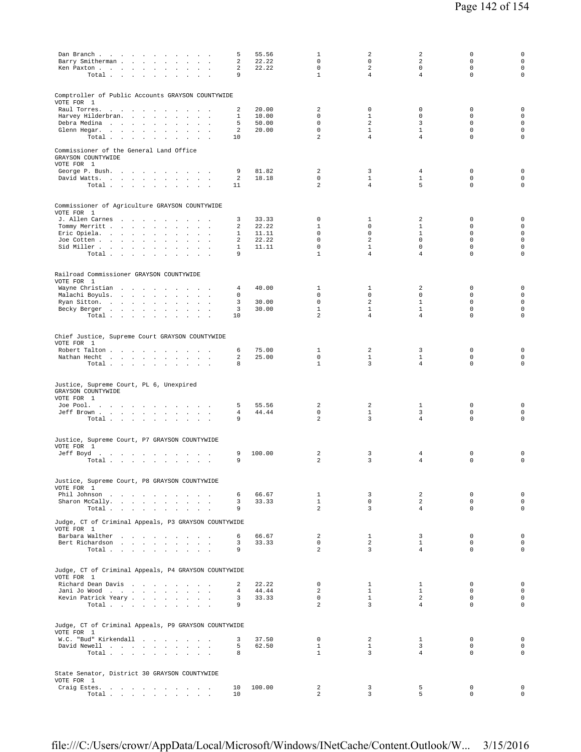| Dan Branch<br>Barry Smitherman<br>$\sim$<br>Ken Paxton<br>$\mathbf{r}$<br>$\overline{\phantom{a}}$<br>$\overline{a}$<br>Total $\cdots$ $\cdots$ $\cdots$                                                                                                                                                                                                                                        | 55.56<br>5<br>2<br>22.22<br>2<br>22.22<br>9                             | $\mathbf{1}$<br>$\mathbf 0$<br>$\mathbf 0$<br>$\mathbf{1}$                               | 2<br>$\mathbf 0$<br>$\overline{a}$<br>$\overline{4}$               | $\overline{a}$<br>$\overline{2}$<br>$\mathbf 0$<br>$\overline{4}$                              | 0<br>$\mathbf 0$<br>$\mathbf 0$<br>$\mathbf 0$                            | $\mathbf 0$<br>$\mathsf 0$<br>$\mathsf 0$<br>$\mathbf 0$                                             |
|-------------------------------------------------------------------------------------------------------------------------------------------------------------------------------------------------------------------------------------------------------------------------------------------------------------------------------------------------------------------------------------------------|-------------------------------------------------------------------------|------------------------------------------------------------------------------------------|--------------------------------------------------------------------|------------------------------------------------------------------------------------------------|---------------------------------------------------------------------------|------------------------------------------------------------------------------------------------------|
| Comptroller of Public Accounts GRAYSON COUNTYWIDE<br>VOTE FOR 1<br>Raul Torres.<br>$\sim$<br>$\sim$<br>$\sim$<br>$\overline{\phantom{a}}$<br>Harvey Hilderbran.<br><b>Carl Carl Carl</b><br>$\ddot{\phantom{0}}$<br>$\Box$<br>$\ddot{\phantom{a}}$<br>$\mathbf{r}$<br>$\ddot{\phantom{a}}$<br>Debra Medina<br>Glenn Hegar.<br>$\ddot{\phantom{a}}$<br>$\sim 10^{-1}$<br>Total $\cdots$ $\cdots$ | 2<br>20.00<br>10.00<br>1<br>50.00<br>5<br>2<br>20.00<br>10              | 2<br>$\mathbf 0$<br>$\Omega$<br>$\mathsf 0$<br>2                                         | 0<br>$\mathbf{1}$<br>2<br>$\mathbf{1}$<br>$\overline{4}$           | 0<br>$\mathbf 0$<br>3<br>$\mathbf 1$<br>4                                                      | 0<br>$\mathbf 0$<br>$\Omega$<br>$\mathbf 0$<br>$\mathbf 0$                | $\mathsf 0$<br>$\mathsf 0$<br>$\mathsf 0$<br>$\mathsf 0$<br>$\mathbf 0$                              |
| Commissioner of the General Land Office<br>GRAYSON COUNTYWIDE<br>VOTE FOR 1<br>George P. Bush.<br>David Watts.<br>Total                                                                                                                                                                                                                                                                         | 9<br>81.82<br>18.18<br>2<br>11                                          | 2<br>$\mathbf 0$<br>$\overline{a}$                                                       | 3<br>$\mathbf{1}$<br>$\overline{4}$                                | 4<br>$\mathbf{1}$<br>5                                                                         | $\mathbf 0$<br>$\mathbf 0$<br>$\mathbf 0$                                 | $\mathsf 0$<br>$\mathsf 0$<br>$\mathsf 0$                                                            |
| Commissioner of Agriculture GRAYSON COUNTYWIDE<br>VOTE FOR 1<br>J. Allen Carnes<br>$\sim$<br>Tommy Merritt<br><b>Contract Contract</b><br>$\sim$<br>Eric Opiela.<br>$\sim$<br>$\mathbf{r}$<br>$\cdot$<br>$\mathbf{r}$<br>Joe Cotten<br>$\mathcal{L}$<br>Sid Miller<br>$\ddot{\phantom{a}}$<br>$\sim$<br>$\sim$<br>Total                                                                         | 33.33<br>3<br>22.22<br>2<br>11.11<br>1<br>22.22<br>2<br>11.11<br>1<br>9 | $\mathbf 0$<br>$\mathbf{1}$<br>$\mathbf 0$<br>$\mathbf 0$<br>$\mathbf 0$<br>$\mathbf{1}$ | 1<br>$\mathbf 0$<br>$\circ$<br>2<br>$\mathbf{1}$<br>$\overline{4}$ | $\overline{a}$<br>$\mathbf{1}$<br>$\mathbf{1}$<br>$\mathbf 0$<br>$\mathbf 0$<br>$\overline{4}$ | 0<br>$\mathbf 0$<br>$\mathbf 0$<br>$\mathbf 0$<br>$\mathbf 0$<br>$\Omega$ | 0<br>$\mathsf{O}\xspace$<br>$\mathsf{O}\xspace$<br>$\mathsf{O}\xspace$<br>$\mathsf 0$<br>$\mathbf 0$ |
| Railroad Commissioner GRAYSON COUNTYWIDE<br>VOTE FOR 1<br>Wayne Christian<br>Malachi Boyuls.<br>$\sim 10^{-1}$<br>$\sim$ $\sim$<br>Ryan Sitton.<br>$\sim$<br><b>Contract</b><br>$\overline{\phantom{a}}$<br>Becky Berger<br>Total                                                                                                                                                               | 40.00<br>4<br>0<br>30.00<br>3<br>3<br>30.00<br>10                       | $\mathbf{1}$<br>$\mathbf 0$<br>$\mathbf 0$<br>$\mathbf{1}$<br>$\overline{a}$             | 1<br>$\mathbf 0$<br>2<br>$\mathbf{1}$<br>$\overline{4}$            | 2<br>$\mathbf 0$<br>$\mathbf{1}$<br>$\mathbf{1}$<br>$\overline{4}$                             | $\mathbf 0$<br>$\mathbf 0$<br>$\mathbf 0$<br>$\mathsf 0$<br>$\mathbf 0$   | $\mathsf 0$<br>$\mathsf 0$<br>$\circ$<br>$\mathsf 0$<br>$\circ$                                      |
| Chief Justice, Supreme Court GRAYSON COUNTYWIDE<br>VOTE FOR 1<br>Robert Talton<br>$\sim$<br>$\sim$<br>Nathan Hecht<br>Total $\cdots$ $\cdots$<br>$\sim$ $\sim$                                                                                                                                                                                                                                  | 75.00<br>6<br>25.00<br>2<br>8                                           | $\mathbf{1}$<br>$\mathbf 0$<br>$\mathbf{1}$                                              | 2<br>$\mathbf{1}$<br>3                                             | 3<br>$\mathbf{1}$<br>$\overline{4}$                                                            | $\mathbb O$<br>$\mathbf 0$<br>$\mathbf 0$                                 | $\mathsf 0$<br>$\mathsf 0$<br>$\mathsf 0$                                                            |
| Justice, Supreme Court, PL 6, Unexpired<br>GRAYSON COUNTYWIDE<br>VOTE FOR 1<br>Joe Pool.<br>Jeff Brown<br>$\blacksquare$<br>Total                                                                                                                                                                                                                                                               | 55.56<br>5<br>44.44<br>4<br>9                                           | 2<br>$\mathbf 0$<br>$\overline{a}$                                                       | 2<br>$\mathbf{1}$<br>$\overline{3}$                                | 1<br>3<br>$\overline{4}$                                                                       | $\mathbb O$<br>$\mathbf 0$<br>$\mathbf 0$                                 | $\mathsf 0$<br>$\mathsf 0$<br>$\mathbf 0$                                                            |
| Justice, Supreme Court, P7 GRAYSON COUNTYWIDE<br>VOTE FOR 1<br>Jeff Boyd<br>the contract of the contract of the contract of<br>Total $\cdots$ $\cdots$ $\cdots$<br>$\mathbf{r}$                                                                                                                                                                                                                 | 100.00<br>9<br>9                                                        | 2<br>2                                                                                   | 3<br>3                                                             | 4<br>4                                                                                         | 0<br>$\mathbf 0$                                                          | 0<br>$\mathsf 0$                                                                                     |
| Justice, Supreme Court, P8 GRAYSON COUNTYWIDE<br>VOTE FOR 1<br>Phil Johnson<br>$\sim$<br>Sharon McCally.<br>Total                                                                                                                                                                                                                                                                               | 66.67<br>6<br>33.33<br>3<br>9                                           | $\mathbf{1}$<br>$\mathbf{1}$<br>$\overline{a}$                                           | 3<br>$\mathbf 0$<br>$\overline{3}$                                 | 2<br>$\overline{a}$<br>$\overline{4}$                                                          | $\mathbf 0$<br>$\mathbf 0$<br>$\mathbf 0$                                 | $\mathsf 0$<br>$\mathbf 0$<br>$\circ$                                                                |
| Judge, CT of Criminal Appeals, P3 GRAYSON COUNTYWIDE<br>VOTE FOR 1<br>Barbara Walther<br>Bert Richardson<br>Total $\cdots$ $\cdots$ $\cdots$                                                                                                                                                                                                                                                    | 66.67<br>6<br>33.33<br>3<br>9                                           | 2<br>$\mathbf{0}$<br>2                                                                   | $\mathbf{1}$<br>2<br>$\overline{3}$                                | 3<br>$\mathbf{1}$<br>$\overline{4}$                                                            | $\mathbf 0$<br>$\mathbf 0$<br>$\mathbf 0$                                 | $\mathsf 0$<br>$\mathsf 0$<br>$\circ$                                                                |
| Judge, CT of Criminal Appeals, P4 GRAYSON COUNTYWIDE<br>VOTE FOR 1<br>Richard Dean Davis<br>Jani Jo Wood<br>Kevin Patrick Yeary<br>$\sim$<br>Total                                                                                                                                                                                                                                              | 22.22<br>2<br>44.44<br>$\overline{4}$<br>33.33<br>3<br>9                | $\mathbf 0$<br>2<br>$\circ$<br>$\overline{2}$                                            | $\mathbf{1}$<br>$\mathbf{1}$<br>$\mathbf{1}$<br>$\overline{3}$     | $\mathbf{1}$<br>$\mathbf{1}$<br>$\overline{a}$<br>$\overline{4}$                               | 0<br>$\mathbf 0$<br>$\mathbf 0$<br>$\Omega$                               | $\mathbf 0$<br>$\mathsf 0$<br>$\mathsf 0$<br>$\circ$                                                 |
| Judge, CT of Criminal Appeals, P9 GRAYSON COUNTYWIDE<br>VOTE FOR 1<br>W.C. "Bud" Kirkendall<br>David Newell<br>Total                                                                                                                                                                                                                                                                            | 37.50<br>3<br>62.50<br>5<br>8                                           | $\mathbf{0}$<br>$\mathbf{1}$<br>$\mathbf{1}$                                             | 2<br>$\mathbf{1}$<br>$\overline{3}$                                | $\mathbf{1}$<br>3<br>$\overline{4}$                                                            | 0<br>$\mathbf 0$<br>$\Omega$                                              | $\mathsf 0$<br>$\mathsf 0$<br>$\circ$                                                                |
| State Senator, District 30 GRAYSON COUNTYWIDE<br>VOTE FOR 1<br>Craig Estes.<br>$\texttt{Total}~~.~~.~~.~~.~~.~~.~~.~~.~~.~~.$                                                                                                                                                                                                                                                                   | 100.00<br>10<br>10                                                      | 2<br>$\overline{a}$                                                                      | 3<br>$\overline{3}$                                                | 5<br>5                                                                                         | 0<br>$\mathbf 0$                                                          | $\mathbf 0$<br>$\mathsf{O}\xspace$                                                                   |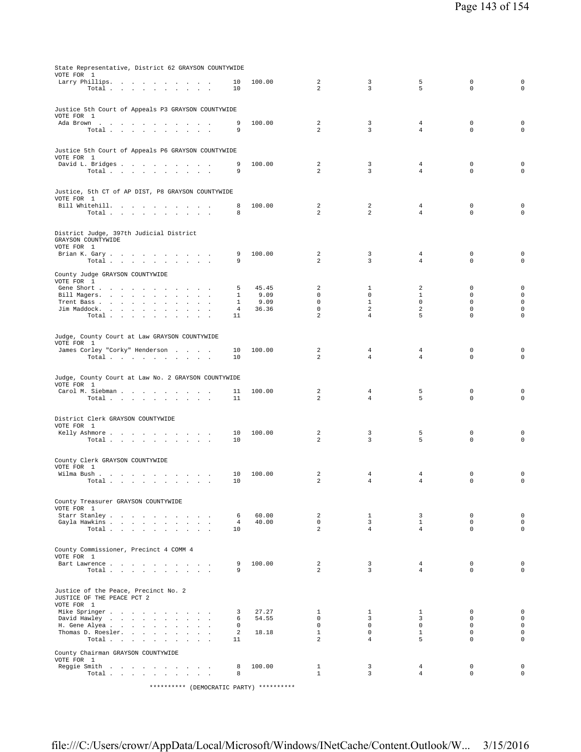| State Representative, District 62 GRAYSON COUNTYWIDE             |                   |               |                                  |                                  |                                  |                             |                                |
|------------------------------------------------------------------|-------------------|---------------|----------------------------------|----------------------------------|----------------------------------|-----------------------------|--------------------------------|
| VOTE FOR 1<br>Larry Phillips.                                    | 10                | 100.00        | 2                                | 3                                | 5                                | $\mathbf 0$                 | $\mathbf 0$                    |
| Total $\cdots$ $\cdots$ $\cdots$                                 | 10                |               | $\mathfrak{D}$                   | $\overline{3}$                   | 5                                | $\Omega$                    | $\mathbf 0$                    |
|                                                                  |                   |               |                                  |                                  |                                  |                             |                                |
| Justice 5th Court of Appeals P3 GRAYSON COUNTYWIDE               |                   |               |                                  |                                  |                                  |                             |                                |
| VOTE FOR 1                                                       | 9                 | 100.00        | 2                                | 3                                | 4                                | $\mathbf 0$                 | 0                              |
| Ada Brown<br>Total                                               | 9                 |               | $\overline{a}$                   | 3                                | $\overline{4}$                   | $\Omega$                    | $\circ$                        |
|                                                                  |                   |               |                                  |                                  |                                  |                             |                                |
| Justice 5th Court of Appeals P6 GRAYSON COUNTYWIDE               |                   |               |                                  |                                  |                                  |                             |                                |
| VOTE FOR 1                                                       |                   |               |                                  |                                  |                                  |                             |                                |
| David L. Bridges<br>Total                                        | 9<br>9            | 100.00        | 2<br>$\mathfrak{D}$              | 3<br>$\overline{3}$              | $\overline{4}$<br>$\overline{4}$ | $\Omega$<br>$\Omega$        | $\mathbf 0$<br>$\circ$         |
|                                                                  |                   |               |                                  |                                  |                                  |                             |                                |
|                                                                  |                   |               |                                  |                                  |                                  |                             |                                |
| Justice, 5th CT of AP DIST, P8 GRAYSON COUNTYWIDE<br>VOTE FOR 1  |                   |               |                                  |                                  |                                  |                             |                                |
| Bill Whitehill.                                                  | 8                 | 100.00        | 2                                | 2                                | 4                                | $\mathbf 0$                 | 0                              |
| Total                                                            | 8                 |               | 2                                | $\overline{a}$                   | $\overline{4}$                   | $\Omega$                    | $\circ$                        |
|                                                                  |                   |               |                                  |                                  |                                  |                             |                                |
| District Judge, 397th Judicial District                          |                   |               |                                  |                                  |                                  |                             |                                |
| GRAYSON COUNTYWIDE<br>VOTE FOR 1                                 |                   |               |                                  |                                  |                                  |                             |                                |
| Brian K. Gary                                                    | 9                 | 100.00        | 2                                | 3                                | 4                                | $\mathbf 0$                 | $\mathbf 0$                    |
| Total                                                            | 9                 |               | 2                                | 3                                | $\overline{4}$                   | $\mathbf 0$                 | $\mathbf 0$                    |
| County Judge GRAYSON COUNTYWIDE                                  |                   |               |                                  |                                  |                                  |                             |                                |
| VOTE FOR 1                                                       |                   |               |                                  |                                  |                                  |                             |                                |
| Gene Short<br>Bill Magers.<br>$\sim$ $\sim$ $\sim$               | 5<br>$\mathbf{1}$ | 45.45<br>9.09 | 2<br>$\Omega$                    | 1<br>$\Omega$                    | 2<br>$\mathbf{1}$                | $\mathbf 0$<br>$\Omega$     | $\mathbf 0$<br>$\mathbf 0$     |
| Trent Bass                                                       | $\mathbf{1}$      | 9.09          | $\mathbf 0$                      | $\mathbf{1}$                     | $\mathbf 0$                      | $\mathbf 0$                 | $\mathsf{O}\xspace$            |
| Jim Maddock.<br>$\sim$                                           | 4                 | 36.36         | $\mathbf 0$                      | $\overline{a}$                   | 2                                | $\mathbf 0$                 | $\mathsf{O}\xspace$            |
| Total                                                            | 11                |               | 2                                | $\overline{4}$                   | 5                                | $\mathbf 0$                 | $\circ$                        |
|                                                                  |                   |               |                                  |                                  |                                  |                             |                                |
| Judge, County Court at Law GRAYSON COUNTYWIDE<br>VOTE FOR 1      |                   |               |                                  |                                  |                                  |                             |                                |
| James Corley "Corky" Henderson                                   | 10                | 100.00        | 2                                | $\overline{4}$                   | $\overline{4}$                   | 0                           | $\mathbf 0$                    |
| Total                                                            | 10                |               | $\mathfrak{D}$                   | $\overline{4}$                   | $\overline{4}$                   | $\mathbf 0$                 | $\mathbf 0$                    |
|                                                                  |                   |               |                                  |                                  |                                  |                             |                                |
| Judge, County Court at Law No. 2 GRAYSON COUNTYWIDE              |                   |               |                                  |                                  |                                  |                             |                                |
| VOTE FOR 1<br>Carol M. Siebman                                   | 11                | 100.00        | 2                                | 4                                | 5                                | 0                           | 0                              |
| Total                                                            | 11                |               | 2                                | $\overline{4}$                   | 5                                | $\Omega$                    | $\mathbf 0$                    |
|                                                                  |                   |               |                                  |                                  |                                  |                             |                                |
| District Clerk GRAYSON COUNTYWIDE                                |                   |               |                                  |                                  |                                  |                             |                                |
| VOTE FOR 1                                                       |                   |               |                                  |                                  |                                  |                             |                                |
| Kelly Ashmore<br>Total<br><b>Sales Advised Service</b><br>$\sim$ | 10<br>10          | 100.00        | 2<br>$\overline{a}$              | 3<br>$\overline{3}$              | 5<br>5                           | $\mathbf 0$<br>$\mathsf 0$  | $\mathbf 0$<br>$\mathsf 0$     |
|                                                                  |                   |               |                                  |                                  |                                  |                             |                                |
| County Clerk GRAYSON COUNTYWIDE                                  |                   |               |                                  |                                  |                                  |                             |                                |
| VOTE FOR 1                                                       |                   |               |                                  |                                  |                                  |                             |                                |
| Wilma Bush                                                       | 10                | 100.00        | 2<br>$\overline{a}$              | 4<br>$\overline{4}$              | 4<br>$\overline{4}$              | 0<br>$\mathbf 0$            | 0<br>$\mathbf 0$               |
| Total $\cdots$ $\cdots$ $\cdots$                                 | 10                |               |                                  |                                  |                                  |                             |                                |
|                                                                  |                   |               |                                  |                                  |                                  |                             |                                |
| County Treasurer GRAYSON COUNTYWIDE<br>VOTE FOR 1                |                   |               |                                  |                                  |                                  |                             |                                |
| Starr Stanley                                                    | 6                 | 60.00         | $\overline{a}$                   | $\mathbf{1}$                     | $\overline{3}$                   | $\mathbf 0$                 | $\mathsf{O}\xspace$            |
| Gayla Hawkins                                                    | $\overline{4}$    | 40.00         | $\overline{0}$<br>$\overline{2}$ | $\overline{3}$<br>$\overline{4}$ | $\mathbf{1}$<br>$\overline{4}$   | $\mathbf 0$<br>$\Omega$     | $\mathsf{O}\xspace$<br>$\circ$ |
| Total                                                            | 10                |               |                                  |                                  |                                  |                             |                                |
|                                                                  |                   |               |                                  |                                  |                                  |                             |                                |
| County Commissioner, Precinct 4 COMM 4<br>VOTE FOR 1             |                   |               |                                  |                                  |                                  |                             |                                |
| Bart Lawrence                                                    | 9                 | 100.00        | $\overline{a}$                   | 3                                | $\overline{4}$                   | $\mathbf 0$                 | $\circ$                        |
| Total                                                            | 9                 |               | $\overline{a}$                   | $\overline{3}$                   | $\overline{4}$                   | $\mathbf 0$                 | $\circ$                        |
|                                                                  |                   |               |                                  |                                  |                                  |                             |                                |
| Justice of the Peace, Precinct No. 2                             |                   |               |                                  |                                  |                                  |                             |                                |
| JUSTICE OF THE PEACE PCT 2<br>VOTE FOR 1                         |                   |               |                                  |                                  |                                  |                             |                                |
| Mike Springer                                                    | 3                 | 27.27         | $\mathbf{1}$                     | $\mathbf{1}$                     | $\mathbf{1}$                     | $\mathbf 0$                 | $\mathsf{O}\xspace$            |
| David Hawley<br>H. Gene Alyea                                    | 6<br>$^{\circ}$   | 54.55         | $\mathbf{0}$<br>$\mathbf 0$      | $\overline{3}$<br>$\circ$        | $\mathbf{3}$<br>$\mathbf 0$      | $\mathbf{0}$<br>$\mathbf 0$ | $\circ$<br>$\circ$             |
| Thomas D. Roesler.                                               | $\overline{a}$    | 18.18         | $\mathbf{1}$                     | $\circ$                          | $\mathbf{1}$                     | $\mathbf 0$                 | $\mathbf 0$                    |
| Total                                                            | 11                |               | $\overline{a}$                   | $\overline{4}$                   | 5                                | $\mathbf 0$                 | $\mathsf{O}\xspace$            |
| County Chairman GRAYSON COUNTYWIDE                               |                   |               |                                  |                                  |                                  |                             |                                |
| VOTE FOR 1                                                       |                   |               |                                  |                                  |                                  |                             |                                |
| Reggie Smith<br>Total                                            | 8<br>8            | 100.00        | $\mathbf{1}$<br>$\mathbf{1}$     | $\mathbf{3}$<br>$\overline{3}$   | $\overline{4}$<br>$\overline{4}$ | $\mathbf 0$<br>$\mathbf 0$  | $\mathbf 0$<br>$\circ$         |
|                                                                  |                   |               |                                  |                                  |                                  |                             |                                |
| ********** (DEMOCRATIC PARTY) **********                         |                   |               |                                  |                                  |                                  |                             |                                |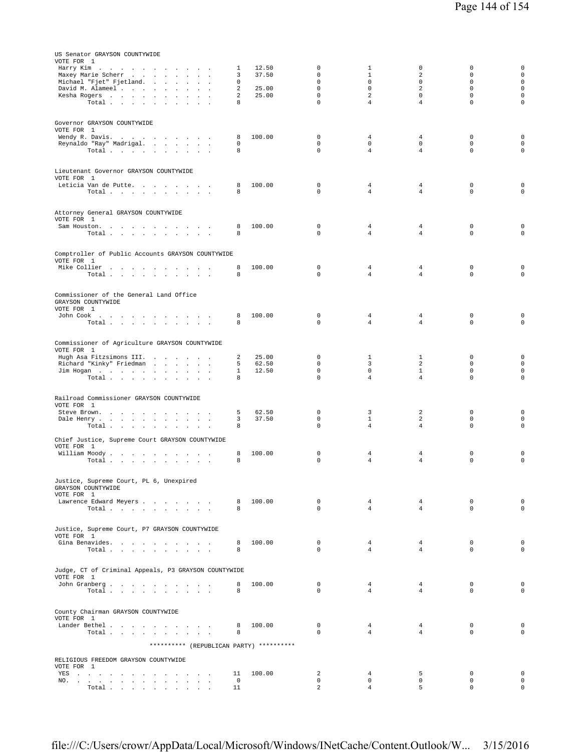| US Senator GRAYSON COUNTYWIDE<br>VOTE FOR 1                                                                                                                                                                                           |                           |                |                            |                                  |                                |                            |                             |
|---------------------------------------------------------------------------------------------------------------------------------------------------------------------------------------------------------------------------------------|---------------------------|----------------|----------------------------|----------------------------------|--------------------------------|----------------------------|-----------------------------|
| Harry Kim<br>Maxey Marie Scherr                                                                                                                                                                                                       | $\mathbf{1}$<br>3         | 12.50<br>37.50 | 0<br>$\Omega$              | $\mathbf{1}$<br>$\mathbf{1}$     | $\mathsf 0$<br>2               | 0<br>$\Omega$              | $\mathsf 0$<br>$\circ$      |
| Michael "Fjet" Fjetland.<br>David M. Alameel                                                                                                                                                                                          | $\circ$<br>$\overline{a}$ | 25.00          | $\mathbf 0$<br>$\mathbf 0$ | $\mathbf 0$<br>$\mathbf 0$       | $\mathbf 0$<br>2               | $\mathbf 0$<br>$\mathbf 0$ | $\mathsf 0$<br>$\mathbf 0$  |
| Kesha Rogers                                                                                                                                                                                                                          | 2                         | 25.00          | $\mathbf 0$<br>$\mathbf 0$ | 2                                | $\mathbf 0$                    | $\mathbf 0$<br>$\mathbf 0$ | $\mathsf 0$                 |
| Total                                                                                                                                                                                                                                 | 8                         |                |                            | $\overline{4}$                   | $\overline{4}$                 |                            | $\mathsf 0$                 |
| Governor GRAYSON COUNTYWIDE<br>VOTE FOR 1                                                                                                                                                                                             |                           |                |                            |                                  |                                |                            |                             |
| Wendy R. Davis.                                                                                                                                                                                                                       | 8                         | 100.00         | $\mathbf 0$                | 4                                | 4                              | $\mathbf 0$                | $\mathsf 0$                 |
| Reynaldo "Ray" Madrigal.<br>Total                                                                                                                                                                                                     | $\Omega$<br>8             |                | $\mathbf 0$<br>0           | $\mathbf{0}$<br>$\overline{4}$   | $\mathbf 0$<br>$\overline{4}$  | $\Omega$<br>$\Omega$       | $\mathbf{0}$<br>$\mathbf 0$ |
|                                                                                                                                                                                                                                       |                           |                |                            |                                  |                                |                            |                             |
| Lieutenant Governor GRAYSON COUNTYWIDE<br>VOTE FOR 1                                                                                                                                                                                  |                           |                |                            |                                  |                                |                            |                             |
| Leticia Van de Putte.<br>Total                                                                                                                                                                                                        | 8<br>8                    | 100.00         | 0<br>$\Omega$              | 4<br>$\overline{4}$              | 4<br>$\overline{4}$            | 0<br>$\Omega$              | $\mathsf 0$<br>$\mathbf 0$  |
|                                                                                                                                                                                                                                       |                           |                |                            |                                  |                                |                            |                             |
| Attorney General GRAYSON COUNTYWIDE<br>VOTE FOR 1                                                                                                                                                                                     |                           |                |                            |                                  |                                |                            |                             |
| Sam Houston.                                                                                                                                                                                                                          | 8                         | 100.00         | $\mathbf 0$<br>0           | 4                                | 4                              | $\mathbf 0$<br>$\mathbf 0$ | 0<br>$\mathbf 0$            |
| Total $\cdots$ $\cdots$ $\cdots$                                                                                                                                                                                                      | 8                         |                |                            | 4                                | $\overline{4}$                 |                            |                             |
| Comptroller of Public Accounts GRAYSON COUNTYWIDE<br>VOTE FOR 1                                                                                                                                                                       |                           |                |                            |                                  |                                |                            |                             |
| Mike Collier                                                                                                                                                                                                                          | 8                         | 100.00         | 0                          | 4                                | 4                              | $\mathbf 0$                | 0                           |
| Total                                                                                                                                                                                                                                 | 8                         |                | $\Omega$                   | $\overline{4}$                   | $\overline{4}$                 | $\Omega$                   | $\mathbf 0$                 |
| Commissioner of the General Land Office<br>GRAYSON COUNTYWIDE                                                                                                                                                                         |                           |                |                            |                                  |                                |                            |                             |
| VOTE FOR 1<br>John Cook                                                                                                                                                                                                               | 8                         | 100.00         | 0                          | 4                                | 4                              | $\mathbb O$                | 0                           |
| Total $\cdots$ $\cdots$ $\cdots$ $\cdots$                                                                                                                                                                                             | 8                         |                | $\Omega$                   | 4                                | $\overline{4}$                 | $\Omega$                   | $\mathbf 0$                 |
|                                                                                                                                                                                                                                       |                           |                |                            |                                  |                                |                            |                             |
| Commissioner of Agriculture GRAYSON COUNTYWIDE<br>VOTE FOR 1                                                                                                                                                                          |                           |                |                            |                                  |                                |                            |                             |
| Hugh Asa Fitzsimons III.<br>Richard "Kinky" Friedman                                                                                                                                                                                  | 2<br>5                    | 25.00<br>62.50 | $\mathbf 0$<br>$\mathbf 0$ | 1<br>3                           | $\mathbf{1}$<br>2              | 0<br>$\mathbf 0$           | $\mathsf 0$<br>$\mathsf 0$  |
| Jim Hogan<br>Total                                                                                                                                                                                                                    | $\mathbf{1}$<br>8         | 12.50          | $\mathbf 0$<br>0           | $\mathbf 0$<br>4                 | $\mathbf{1}$<br>$\overline{4}$ | $\mathbf 0$<br>$\mathbf 0$ | $\mathbf 0$<br>$\circ$      |
|                                                                                                                                                                                                                                       |                           |                |                            |                                  |                                |                            |                             |
| Railroad Commissioner GRAYSON COUNTYWIDE<br>VOTE FOR 1                                                                                                                                                                                |                           |                |                            |                                  |                                |                            |                             |
| Steve Brown.                                                                                                                                                                                                                          | 5                         | 62.50          | 0                          | 3                                | 2                              | 0                          | 0                           |
| Dale Henry<br>Total                                                                                                                                                                                                                   | 3<br>8                    | 37.50          | $\mathbf 0$<br>0           | $\mathbf{1}$<br>4                | 2<br>$\overline{4}$            | $\mathbf 0$<br>0           | $\mathbf 0$<br>$\mathsf 0$  |
| Chief Justice, Supreme Court GRAYSON COUNTYWIDE                                                                                                                                                                                       |                           |                |                            |                                  |                                |                            |                             |
| VOTE FOR 1<br>William Moody                                                                                                                                                                                                           | 8                         | 100.00         | $\mathbf 0$                | 4                                | 4                              | $\mathbf 0$                | 0                           |
| Total                                                                                                                                                                                                                                 | 8                         |                | $\mathbf 0$                | 4                                | 4                              | 0                          | $\mathsf 0$                 |
| Justice, Supreme Court, PL 6, Unexpired                                                                                                                                                                                               |                           |                |                            |                                  |                                |                            |                             |
| GRAYSON COUNTYWIDE<br>VOTE FOR 1                                                                                                                                                                                                      |                           |                |                            |                                  |                                |                            |                             |
| Lawrence Edward Meyers                                                                                                                                                                                                                | 8                         | 100.00         | $\mathbf 0$<br>$\Omega$    | $\overline{4}$<br>$\overline{4}$ | $\overline{4}$                 | $\mathbf 0$<br>$\Omega$    | $\mathsf 0$                 |
| Total                                                                                                                                                                                                                                 | 8                         |                |                            |                                  | $\overline{4}$                 |                            | $\mathbf 0$                 |
| Justice, Supreme Court, P7 GRAYSON COUNTYWIDE                                                                                                                                                                                         |                           |                |                            |                                  |                                |                            |                             |
| VOTE FOR 1<br>Gina Benavides.                                                                                                                                                                                                         | 8                         | 100.00         | $\mathbf 0$                | $\overline{4}$                   | $\overline{4}$                 | $\mathbf 0$                | $\circ$                     |
| Total                                                                                                                                                                                                                                 | 8                         |                | $\Omega$                   | $\overline{4}$                   | $\overline{4}$                 | $\Omega$                   | $\mathbf{0}$                |
| Judge, CT of Criminal Appeals, P3 GRAYSON COUNTYWIDE                                                                                                                                                                                  |                           |                |                            |                                  |                                |                            |                             |
| VOTE FOR 1<br>John Granberg                                                                                                                                                                                                           | 8                         | 100.00         | $\mathbf 0$                | $\overline{4}$                   | $\overline{4}$                 | $\mathbf 0$                | $\mathbf 0$                 |
| Total                                                                                                                                                                                                                                 | 8                         |                | $\Omega$                   | $\overline{4}$                   | $\overline{4}$                 | $\Omega$                   | $\circ$                     |
|                                                                                                                                                                                                                                       |                           |                |                            |                                  |                                |                            |                             |
| County Chairman GRAYSON COUNTYWIDE<br>VOTE FOR 1                                                                                                                                                                                      |                           |                |                            |                                  |                                |                            |                             |
| Lander Bethel.<br>Total                                                                                                                                                                                                               | 8<br>8                    | 100.00         | 0<br>$\Omega$              | $\overline{4}$<br>$\overline{4}$ | 4<br>$\overline{4}$            | 0<br>$\mathbf 0$           | $\mathsf 0$<br>$\mathbf{0}$ |
| ********** (REPUBLICAN PARTY) **********                                                                                                                                                                                              |                           |                |                            |                                  |                                |                            |                             |
| RELIGIOUS FREEDOM GRAYSON COUNTYWIDE                                                                                                                                                                                                  |                           |                |                            |                                  |                                |                            |                             |
| VOTE FOR 1                                                                                                                                                                                                                            |                           |                |                            |                                  |                                | $\mathbf 0$                | $\mathsf 0$                 |
| YES a contract of the contract of the state of the state of the state of the state of the state of the state of the state of the state of the state of the state of the state of the state of the state of the state of the st<br>NO. | 11<br>$\overline{0}$      | 100.00         | 2<br>0                     | 4<br>$\mathbf 0$                 | 5<br>0                         | $\mathbf 0$                | $\mathsf 0$                 |
| Total                                                                                                                                                                                                                                 | 11                        |                | $\overline{a}$             | 4                                | 5                              | 0                          | $\mathbf 0$                 |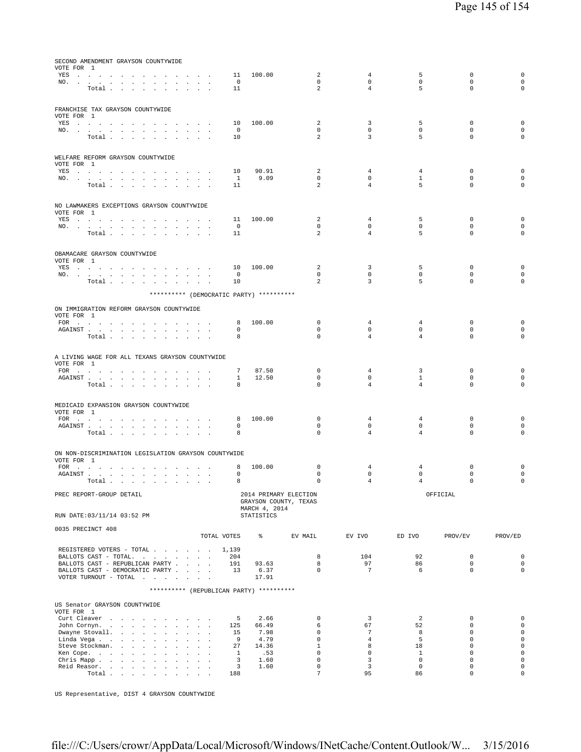| SECOND AMENDMENT GRAYSON COUNTYWIDE                                                                                                                                                                                                                                    |                                                      |                                        |                             |                               |                                |                            |                                            |
|------------------------------------------------------------------------------------------------------------------------------------------------------------------------------------------------------------------------------------------------------------------------|------------------------------------------------------|----------------------------------------|-----------------------------|-------------------------------|--------------------------------|----------------------------|--------------------------------------------|
| VOTE FOR 1<br>YES<br>$\sim$ $\sim$ $\sim$ $\sim$                                                                                                                                                                                                                       | 11                                                   | 100.00                                 | 2                           | 4                             | 5                              | $^{\circ}$                 | $\mathbf 0$                                |
| NO.<br>$\sim$                                                                                                                                                                                                                                                          |                                                      | $\overline{0}$                         | $\mathbf 0$                 | 0                             | 0                              | $\mathbf 0$                | $\mathsf{O}\xspace$                        |
| Total $\ldots$ $\ldots$ $\ldots$ $\ldots$                                                                                                                                                                                                                              | 11                                                   |                                        | $\overline{a}$              | $\overline{4}$                | 5                              | $\mathbf 0$                | $\mathbf 0$                                |
|                                                                                                                                                                                                                                                                        |                                                      |                                        |                             |                               |                                |                            |                                            |
| FRANCHISE TAX GRAYSON COUNTYWIDE                                                                                                                                                                                                                                       |                                                      |                                        |                             |                               |                                |                            |                                            |
| VOTE FOR 1<br>YES a contract of the contract of the contract of the set of the set of the set of the set of the set of the set of the set of the set of the set of the set of the set of the set of the set of the set of the set of the set                           | 10                                                   | 100.00                                 | 2                           | 3                             | 5                              | $^{\circ}$                 | $\mathbf 0$                                |
| NO.                                                                                                                                                                                                                                                                    |                                                      | $\circ$                                | $\mathbf 0$                 | 0                             | 0                              | $\mathbf 0$                | $\mathsf{O}\xspace$                        |
| Total                                                                                                                                                                                                                                                                  | 10                                                   |                                        | 2                           | 3                             | 5                              | $\Omega$                   | $\mathbf 0$                                |
|                                                                                                                                                                                                                                                                        |                                                      |                                        |                             |                               |                                |                            |                                            |
| WELFARE REFORM GRAYSON COUNTYWIDE                                                                                                                                                                                                                                      |                                                      |                                        |                             |                               |                                |                            |                                            |
| VOTE FOR 1<br>YES                                                                                                                                                                                                                                                      | 10                                                   | 90.91                                  | 2                           | $\overline{4}$                | 4                              | $^{\circ}$                 | 0                                          |
| NO.<br>the contract of the contract of                                                                                                                                                                                                                                 |                                                      | 9.09<br>$\mathbf{1}$                   | $\mathbf{0}$                | $\circ$                       | $\mathbf{1}$                   | $\mathbf 0$                | 0                                          |
| Total $\cdots$ $\cdots$<br>$\sim 10^{-11}$                                                                                                                                                                                                                             | 11<br>$\mathbf{a}$ and $\mathbf{a}$ and $\mathbf{a}$ |                                        | 2                           | $\overline{4}$                | 5                              | $\mathbf 0$                | $\mathbf 0$                                |
|                                                                                                                                                                                                                                                                        |                                                      |                                        |                             |                               |                                |                            |                                            |
| NO LAWMAKERS EXCEPTIONS GRAYSON COUNTYWIDE                                                                                                                                                                                                                             |                                                      |                                        |                             |                               |                                |                            |                                            |
| VOTE FOR 1<br>YES a contract of the contract of the contract of the set of the set of the set of the set of the set of the set of the set of the set of the set of the set of the set of the set of the set of the set of the set of the set                           | 11                                                   | 100.00                                 | 2                           | $\overline{4}$                | 5                              | $\mathbf 0$                | $\mathbf 0$                                |
| NO.                                                                                                                                                                                                                                                                    |                                                      | $\circ$                                | $\mathbf 0$                 | $\mathbf 0$                   | 0                              | $\mathbf 0$                | 0                                          |
| Total                                                                                                                                                                                                                                                                  | 11                                                   |                                        | 2                           | $\overline{4}$                | 5                              | $\mathbf 0$                | $\mathbf 0$                                |
|                                                                                                                                                                                                                                                                        |                                                      |                                        |                             |                               |                                |                            |                                            |
| OBAMACARE GRAYSON COUNTYWIDE                                                                                                                                                                                                                                           |                                                      |                                        |                             |                               |                                |                            |                                            |
| VOTE FOR 1<br>YES a contract of the contract of the contract of the set of the set of the set of the set of the set of the set of the set of the set of the set of the set of the set of the set of the set of the set of the set of the set                           | 10                                                   | 100.00                                 | 2                           | 3                             | 5                              | $^{\circ}$                 | $\mathbf 0$                                |
| NO.                                                                                                                                                                                                                                                                    |                                                      | $^{\circ}$                             | $\mathbf 0$                 | $\circ$                       | $\mathbf 0$                    | $\mathbf 0$                | 0                                          |
| $\texttt{Total}~~.~~.~~.~~.~~.~~.~~.~~.~~.$                                                                                                                                                                                                                            | 10                                                   |                                        | 2                           | 3                             | 5                              | $\mathbf 0$                | 0                                          |
| ********** (DEMOCRATIC PARTY) **********                                                                                                                                                                                                                               |                                                      |                                        |                             |                               |                                |                            |                                            |
|                                                                                                                                                                                                                                                                        |                                                      |                                        |                             |                               |                                |                            |                                            |
| ON IMMIGRATION REFORM GRAYSON COUNTYWIDE<br>VOTE FOR 1                                                                                                                                                                                                                 |                                                      |                                        |                             |                               |                                |                            |                                            |
| FOR                                                                                                                                                                                                                                                                    |                                                      | 100.00<br>8                            | 0                           | 4                             | 4                              | $^{\circ}$                 | 0                                          |
| AGAINST                                                                                                                                                                                                                                                                |                                                      | 0<br>8                                 | $\mathbf 0$<br>$\mathbf 0$  | 0<br>$\overline{4}$           | 0<br>$\overline{4}$            | $\mathbf 0$<br>$\mathbf 0$ | 0<br>$\mathbf 0$                           |
| Total $\cdots$ $\cdots$ $\cdots$                                                                                                                                                                                                                                       |                                                      |                                        |                             |                               |                                |                            |                                            |
|                                                                                                                                                                                                                                                                        |                                                      |                                        |                             |                               |                                |                            |                                            |
| A LIVING WAGE FOR ALL TEXANS GRAYSON COUNTYWIDE<br>VOTE FOR 1                                                                                                                                                                                                          |                                                      |                                        |                             |                               |                                |                            |                                            |
| FOR                                                                                                                                                                                                                                                                    |                                                      | 7<br>87.50                             | 0                           | 4                             | 3                              | $^{\circ}$                 | 0                                          |
| AGAINST<br>$\sim$                                                                                                                                                                                                                                                      | <b>All Angeles</b>                                   | $\mathbf{1}$<br>12.50<br>8             | $\mathbf 0$<br>$\Omega$     | 0<br>$\overline{4}$           | $\mathbf{1}$<br>$\overline{4}$ | $\mathbf 0$<br>$\mathbf 0$ | $\mathsf{O}\xspace$<br>$\mathbf 0$         |
| Total                                                                                                                                                                                                                                                                  |                                                      |                                        |                             |                               |                                |                            |                                            |
|                                                                                                                                                                                                                                                                        |                                                      |                                        |                             |                               |                                |                            |                                            |
| MEDICAID EXPANSION GRAYSON COUNTYWIDE<br>VOTE FOR 1                                                                                                                                                                                                                    |                                                      |                                        |                             |                               |                                |                            |                                            |
| FOR                                                                                                                                                                                                                                                                    |                                                      | 100.00<br>8                            | $\mathbf{0}$                | 4                             | 4                              | $^{\circ}$                 | 0                                          |
| ${\tt AGAINST} \hspace{1.5cm} . \hspace{1.5cm} . \hspace{1.5cm} . \hspace{1.5cm} . \hspace{1.5cm} . \hspace{1.5cm} . \hspace{1.5cm} . \hspace{1.5cm} . \hspace{1.5cm} . \hspace{1.5cm} . \hspace{1.5cm} . \hspace{1.5cm} . \hspace{1.5cm} . \hspace{1.5cm} .$<br>Total |                                                      | 0<br>8                                 | $\mathbf 0$<br>$\mathbf 0$  | $\mathbf 0$<br>$\overline{4}$ | $\circ$<br>$\overline{4}$      | $\mathbf 0$<br>$\mathbf 0$ | 0<br>$\mathbf 0$                           |
|                                                                                                                                                                                                                                                                        |                                                      |                                        |                             |                               |                                |                            |                                            |
|                                                                                                                                                                                                                                                                        |                                                      |                                        |                             |                               |                                |                            |                                            |
| ON NON-DISCRIMINATION LEGISLATION GRAYSON COUNTYWIDE<br>VOTE FOR 1                                                                                                                                                                                                     |                                                      |                                        |                             |                               |                                |                            |                                            |
| FOR                                                                                                                                                                                                                                                                    |                                                      | 100.00<br>8                            | $\mathbf 0$                 | $\overline{4}$                | $\overline{4}$                 | $\mathbf 0$                | $\mathbf 0$                                |
| AGAINST<br><b>Carl Carl</b><br>Total                                                                                                                                                                                                                                   | $\overline{\phantom{a}}$                             | $^{\circ}$<br>8                        | $\mathbf 0$<br>0            | $\mathbf 0$<br>4              | $\mathbf 0$<br>4               | $\mathbf 0$<br>$\Omega$    | 0<br>$\cap$                                |
|                                                                                                                                                                                                                                                                        |                                                      |                                        |                             |                               |                                |                            |                                            |
| PREC REPORT-GROUP DETAIL                                                                                                                                                                                                                                               |                                                      | 2014 PRIMARY ELECTION                  |                             |                               |                                | OFFICIAL                   |                                            |
|                                                                                                                                                                                                                                                                        |                                                      | GRAYSON COUNTY, TEXAS<br>MARCH 4, 2014 |                             |                               |                                |                            |                                            |
| RUN DATE: 03/11/14 03:52 PM                                                                                                                                                                                                                                            |                                                      | <b>STATISTICS</b>                      |                             |                               |                                |                            |                                            |
| 0035 PRECINCT 408                                                                                                                                                                                                                                                      |                                                      |                                        |                             |                               |                                |                            |                                            |
|                                                                                                                                                                                                                                                                        | TOTAL VOTES                                          | $\epsilon$                             | EV MAIL                     | EV IVO                        | ED IVO                         | PROV/EV                    | PROV/ED                                    |
| REGISTERED VOTERS - TOTAL 1,139                                                                                                                                                                                                                                        |                                                      |                                        |                             |                               |                                |                            |                                            |
| BALLOTS CAST - TOTAL.                                                                                                                                                                                                                                                  | 204                                                  |                                        | 8                           | 104                           | 92                             | $\mathbf 0$                | 0                                          |
| BALLOTS CAST - REPUBLICAN PARTY                                                                                                                                                                                                                                        | 191                                                  | 93.63                                  | 8                           | 97                            | 86                             | $\mathbf 0$                | $\mathsf{O}\xspace$                        |
| BALLOTS CAST - DEMOCRATIC PARTY<br>VOTER TURNOUT - TOTAL $\ldots$                                                                                                                                                                                                      | 13                                                   | 6.37<br>17.91                          | $\mathbf 0$                 | $7^{\circ}$                   | 6                              | $\mathbf 0$                | $\mathbf 0$                                |
|                                                                                                                                                                                                                                                                        |                                                      |                                        |                             |                               |                                |                            |                                            |
| ********** (REPUBLICAN PARTY) **********                                                                                                                                                                                                                               |                                                      |                                        |                             |                               |                                |                            |                                            |
| US Senator GRAYSON COUNTYWIDE                                                                                                                                                                                                                                          |                                                      |                                        |                             |                               |                                |                            |                                            |
| VOTE FOR 1                                                                                                                                                                                                                                                             |                                                      |                                        |                             |                               |                                |                            |                                            |
| Curt Cleaver<br>John Cornyn.                                                                                                                                                                                                                                           | 125                                                  | 2.66<br>5<br>66.49                     | $\mathbf 0$<br>6            | 3<br>67                       | 2<br>52                        | $\mathbf 0$<br>$\mathbf 0$ | 0<br>0                                     |
| Dwayne Stovall.                                                                                                                                                                                                                                                        | 15                                                   | 7.98                                   | $\Omega$                    | $7\phantom{.0}$               | 8                              | $\Omega$                   | $\mathsf{O}\xspace$                        |
| Linda Vega                                                                                                                                                                                                                                                             | - 9                                                  | 4.79                                   | $\mathbf 0$                 | $\overline{4}$                | 5                              | $\mathbf 0$                | 0                                          |
| Steve Stockman.<br>Ken Cope.                                                                                                                                                                                                                                           |                                                      | 27<br>14.36<br>$\mathbf{1}$<br>.53     | $\mathbf{1}$<br>$\mathbf 0$ | 8<br>$\mathbf{0}$             | 18<br>$\mathbf{1}$             | $\mathbf 0$<br>$\mathbf 0$ | $\mathsf{O}\xspace$<br>$\mathsf{O}\xspace$ |
| Chris Mapp.                                                                                                                                                                                                                                                            | $\sim$                                               | 3<br>1.60                              | $\mathbf 0$                 | 3                             | $\mathbf 0$                    | $\mathbf 0$                | $\mathsf{O}\xspace$                        |
| Reid Reasor.                                                                                                                                                                                                                                                           |                                                      | 3<br>1.60                              | $\Omega$                    | 3                             | $\Omega$                       | $\Omega$                   | $\mathbf 0$                                |
| $\texttt{Total} \quad . \quad . \quad . \quad . \quad . \quad . \quad . \quad . \quad . \quad .$                                                                                                                                                                       | 188                                                  |                                        | $\overline{7}$              | 95                            | 86                             | $\mathsf 0$                | $\mathsf{O}\xspace$                        |

US Representative, DIST 4 GRAYSON COUNTYWIDE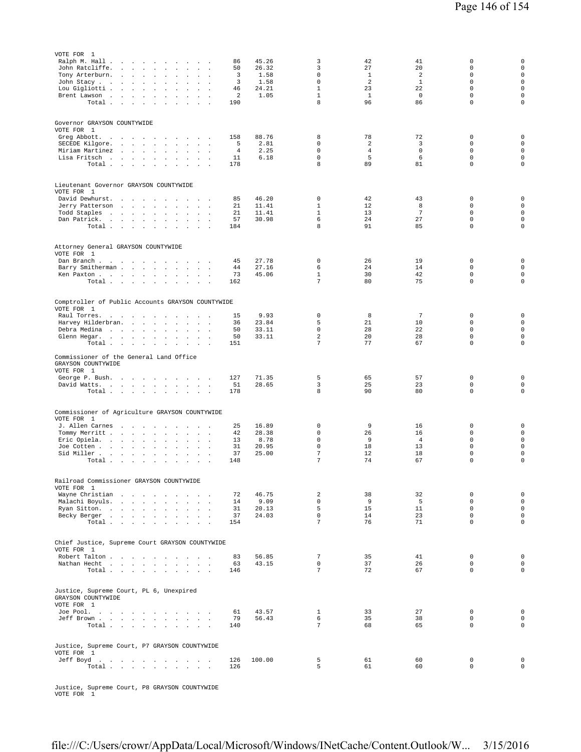| VOTE FOR 1<br>Ralph M. Hall .<br>the company of the company of the company of<br>John Ratcliffe.<br>Tony Arterburn.<br>$\sim$<br>$\sim$<br>$\ddot{\phantom{a}}$<br>John Stacy<br>$\sim$<br>$\mathbf{r}$<br>$\sim$<br>Lou Gigliotti<br>$\sim$<br>$\sim$<br>Brent Lawson $\ldots$<br>$\mathcal{L}^{\mathcal{L}}$<br>$\Box$<br>Total | 86<br>50<br>3<br>3<br>46<br>$\overline{a}$<br>190 | 45.26<br>26.32<br>1.58<br>1.58<br>24.21<br>1.05 | 3<br>3<br>$\mathbf 0$<br>$\Omega$<br>$\mathbf 1$<br>$\mathbf 1$<br>8 | 42<br>27<br>$\mathbf{1}$<br>2<br>23<br>$\mathbf{1}$<br>96 | 41<br>20<br>2<br>$1\,$<br>22<br>$\mathbf 0$<br>86 | 0<br>$\mathbf 0$<br>$\mathbf 0$<br>$\Omega$<br>$\mathbf 0$<br>$\mathbf 0$<br>$\mathbf 0$ | 0<br>$\mathbf 0$<br>$\mathbf 0$<br>$\mathbf 0$<br>$\mathbf 0$<br>$\mathbf 0$<br>0 |
|-----------------------------------------------------------------------------------------------------------------------------------------------------------------------------------------------------------------------------------------------------------------------------------------------------------------------------------|---------------------------------------------------|-------------------------------------------------|----------------------------------------------------------------------|-----------------------------------------------------------|---------------------------------------------------|------------------------------------------------------------------------------------------|-----------------------------------------------------------------------------------|
| Governor GRAYSON COUNTYWIDE<br>VOTE FOR 1<br>Greg Abbott.<br>SECEDE Kilgore.<br>Miriam Martinez<br>Lisa Fritsch<br>$\sim$<br>Total $\cdots$ $\cdots$<br>$\sim$ $\sim$ $\sim$                                                                                                                                                      | 158<br>5<br>4<br>11<br>178                        | 88.76<br>2.81<br>2.25<br>6.18                   | 8<br>$\mathbf 0$<br>$\mathbf 0$<br>$\mathsf 0$<br>8                  | 78<br>2<br>$\overline{4}$<br>5<br>89                      | 72<br>3<br>$\mathbf 0$<br>6<br>81                 | 0<br>0<br>$\mathbf 0$<br>$\mathbf 0$<br>$\mathbf 0$                                      | $\mathbf 0$<br>$\mathbf 0$<br>$\mathbf 0$<br>$\mathbf 0$<br>$\mathbf 0$           |
| Lieutenant Governor GRAYSON COUNTYWIDE<br>VOTE FOR 1<br>David Dewhurst.<br>Jerry Patterson<br>Todd Staples<br>$\sim$ $\sim$<br>$\sim$<br>Dan Patrick.<br>Total                                                                                                                                                                    | 85<br>21<br>21<br>57<br>184                       | 46.20<br>11.41<br>11.41<br>30.98                | $\mathbf 0$<br>$\mathbf{1}$<br>$\mathbf{1}$<br>6<br>8                | 42<br>12<br>13<br>24<br>91                                | 43<br>8<br>$7\phantom{.0}$<br>27<br>85            | $\mathbb O$<br>$\mathbf 0$<br>$\Omega$<br>$\mathbf 0$<br>$\mathbf 0$                     | $\mathbf 0$<br>$\mathbf 0$<br>$\mathbf 0$<br>$\mathbf 0$<br>$\mathbf 0$           |
| Attorney General GRAYSON COUNTYWIDE<br>VOTE FOR 1<br>Dan Branch<br>Barry Smitherman<br>Ken Paxton<br>Total                                                                                                                                                                                                                        | 45<br>44<br>73<br>162                             | 27.78<br>27.16<br>45.06                         | $\mathbf 0$<br>6<br>$\mathbf{1}$<br>7                                | 26<br>24<br>30<br>80                                      | 19<br>14<br>42<br>75                              | $\mathbf 0$<br>$\mathbf 0$<br>$\mathbf 0$<br>$\mathbf 0$                                 | $\mathbf 0$<br>$\mathbf 0$<br>$\mathbf 0$<br>0                                    |
| Comptroller of Public Accounts GRAYSON COUNTYWIDE<br>VOTE FOR 1<br>Raul Torres.<br>Harvey Hilderbran.<br>$\sim$<br>$\sim$<br>Debra Medina<br>$\mathbf{1}$ and $\mathbf{1}$ and $\mathbf{1}$<br>Glenn Hegar.<br>$\sim 10^{-11}$<br>$\sim$ $\sim$<br>$\sim$<br>Total                                                                | 15<br>36<br>50<br>50<br>151                       | 9.93<br>23.84<br>33.11<br>33.11                 | $\mathbf 0$<br>5<br>$\mathbf 0$<br>$\overline{a}$<br>7               | 8<br>21<br>28<br>20<br>77                                 | $7\phantom{.0}$<br>10<br>22<br>28<br>67           | $\mathbf 0$<br>$\mathbf 0$<br>$\mathbf 0$<br>$\mathbf 0$<br>$\mathbf 0$                  | $\mathbf 0$<br>$\mathsf 0$<br>$\mathbf 0$<br>$\mathbf 0$<br>0                     |
| Commissioner of the General Land Office<br>GRAYSON COUNTYWIDE<br>VOTE FOR 1<br>George P. Bush.<br>David Watts.<br>Total                                                                                                                                                                                                           | 127<br>51<br>178                                  | 71.35<br>28.65                                  | 5<br>3<br>8                                                          | 65<br>25<br>90                                            | 57<br>23<br>80                                    | $\mathbf 0$<br>$\mathbf 0$<br>$\mathbf 0$                                                | 0<br>$\mathsf 0$<br>0                                                             |
| Commissioner of Agriculture GRAYSON COUNTYWIDE<br>VOTE FOR 1<br>J. Allen Carnes<br>$\sim$<br>$\sim$<br>Tommy Merritt.<br>Eric Opiela.<br>$\sim$<br>$\sim$<br>$\sim$<br>Joe Cotten<br>Sid Miller<br>$\ddot{\phantom{a}}$<br>Total $\cdots$ $\cdots$ $\cdots$<br>$\ddot{\phantom{a}}$<br>$\sim$                                     | 25<br>42<br>13<br>31<br>37<br>148                 | 16.89<br>28.38<br>8.78<br>20.95<br>25.00        | $\mathbf 0$<br>$\mathbf 0$<br>$\mathbf 0$<br>$\mathbf 0$<br>7<br>7   | 9<br>26<br>9<br>18<br>12<br>74                            | 16<br>16<br>$\overline{4}$<br>13<br>18<br>67      | $\mathbf 0$<br>$\mathbf 0$<br>$\mathbf 0$<br>$\mathbf 0$<br>$\mathbb O$<br>$\mathbf 0$   | 0<br>$\mathbf 0$<br>$\mathsf 0$<br>$\mathbf 0$<br>$\mathsf 0$<br>0                |
| Railroad Commissioner GRAYSON COUNTYWIDE<br>VOTE FOR 1<br>Wayne Christian<br>Malachi Boyuls.<br>Ryan Sitton.<br>$\mathbf{r}$<br>$\mathbf{r}$<br>Becky Berger<br><b>Service</b><br>Total<br><b>Carl Carl</b><br>$\sim$                                                                                                             | 72<br>14<br>31<br>37<br>154                       | 46.75<br>9.09<br>20.13<br>24.03                 | 2<br>$\mathbf 0$<br>5<br>$\mathbf 0$<br>$\overline{7}$               | 38<br>9<br>15<br>14<br>76                                 | 32<br>5<br>11<br>23<br>71                         | $\mathbb O$<br>$\mathbf 0$<br>$\mathbf 0$<br>$\mathbf 0$<br>$\mathbf 0$                  | $\mathsf{O}\xspace$<br>$\mathbf 0$<br>$\mathbf 0$<br>0<br>$\mathbf 0$             |
| Chief Justice, Supreme Court GRAYSON COUNTYWIDE<br>VOTE FOR 1<br>Robert Talton<br>Nathan Hecht<br>Total                                                                                                                                                                                                                           | 83<br>63<br>146                                   | 56.85<br>43.15                                  | 7<br>$\mathsf 0$<br>$\overline{7}$                                   | 35<br>37<br>72                                            | 41<br>26<br>67                                    | $\mathbf 0$<br>$\mathbf 0$<br>$\mathbf{0}$                                               | $\mathsf 0$<br>$\mathbf 0$<br>$\mathsf 0$                                         |
| Justice, Supreme Court, PL 6, Unexpired<br>GRAYSON COUNTYWIDE<br>VOTE FOR 1<br>Joe Pool.<br>Jeff Brown<br>Total $\cdots$ $\cdots$<br>$\mathbf{z} = \mathbf{z} + \mathbf{z}$ . The $\mathbf{z}$                                                                                                                                    | 61<br>79<br>140                                   | 43.57<br>56.43                                  | 1<br>6<br>$\overline{7}$                                             | 33<br>35<br>68                                            | 27<br>38<br>65                                    | $\mathbf 0$<br>$\mathbf 0$<br>$\mathbf 0$                                                | $\mathsf 0$<br>$\mathbf 0$<br>$\mathbf 0$                                         |
| Justice, Supreme Court, P7 GRAYSON COUNTYWIDE<br>VOTE FOR 1<br>Jeff Boyd.<br>Total $\cdots$ $\cdots$ $\cdots$ $\cdots$                                                                                                                                                                                                            | 126<br>126                                        | 100.00                                          | 5<br>5                                                               | 61<br>61                                                  | 60<br>60                                          | $\mathbf 0$<br>$\mathbf 0$                                                               | $\mathbf 0$<br>$\mathbf 0$                                                        |
| Justice, Supreme Court, P8 GRAYSON COUNTYWIDE<br>VOTE FOR 1                                                                                                                                                                                                                                                                       |                                                   |                                                 |                                                                      |                                                           |                                                   |                                                                                          |                                                                                   |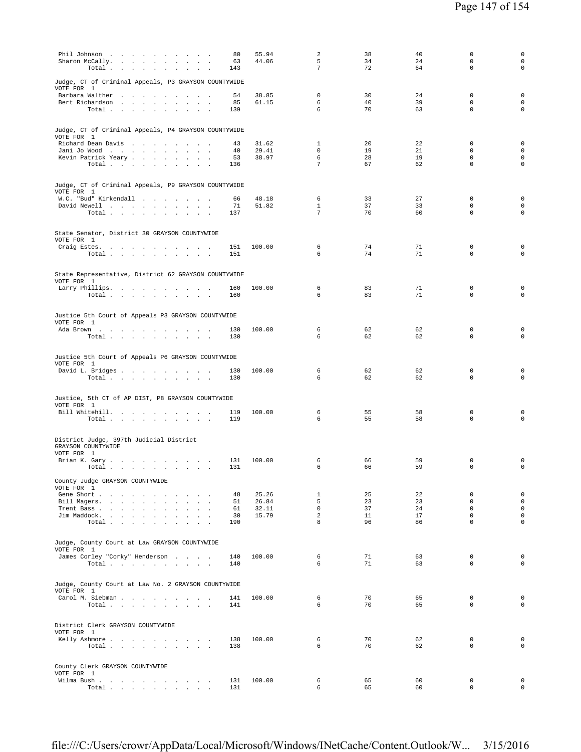| Judge, CT of Criminal Appeals, P3 GRAYSON COUNTYWIDE<br>VOTE FOR 1<br>38.85<br>$\mathbf 0$<br>30<br>24<br>$\mathbf 0$<br>Barbara Walther<br>54<br>$\sim$<br>6<br>40<br>39<br>$\mathbf 0$<br>Bert Richardson<br>85<br>61.15<br>6<br>70<br>63<br>$\mathbf 0$<br>Total<br>139<br>Judge, CT of Criminal Appeals, P4 GRAYSON COUNTYWIDE<br>VOTE FOR 1<br>31.62<br>$\mathbf{1}$<br>20<br>22<br>$\mathbf 0$<br>Richard Dean Davis<br>43<br>$\sim$<br>29.41<br>$\mathbf 0$<br>19<br>21<br>$\mathbf 0$<br>Jani Jo Wood<br>40<br>$\sim$<br>6<br>28<br>19<br>$\mathbf 0$<br>Kevin Patrick Yeary<br>53<br>38.97<br>$7\phantom{.0}$ | $\mathbf 0$<br>$\mathbf 0$<br>$\mathbf 0$<br>$\mathbf 0$<br>$\mathbf 0$<br>$\mathsf 0$<br>$\mathbf 0$<br>0 |
|------------------------------------------------------------------------------------------------------------------------------------------------------------------------------------------------------------------------------------------------------------------------------------------------------------------------------------------------------------------------------------------------------------------------------------------------------------------------------------------------------------------------------------------------------------------------------------------------------------------------|------------------------------------------------------------------------------------------------------------|
|                                                                                                                                                                                                                                                                                                                                                                                                                                                                                                                                                                                                                        |                                                                                                            |
| 67<br>62<br>$\mathbf 0$                                                                                                                                                                                                                                                                                                                                                                                                                                                                                                                                                                                                |                                                                                                            |
| Total $\cdots$ $\cdots$ $\cdots$ $\cdots$<br>136<br>Judge, CT of Criminal Appeals, P9 GRAYSON COUNTYWIDE<br>VOTE FOR 1                                                                                                                                                                                                                                                                                                                                                                                                                                                                                                 |                                                                                                            |
| 33<br>27<br>$\mathbf 0$<br>W.C. "Bud" Kirkendall<br>66<br>48.18<br>6<br>$\mathbf{1}$<br>37<br>33<br>$\mathbf 0$<br>David Newell<br>71<br>51.82<br>$7\phantom{.0}$<br>70<br>$\mathbf 0$<br>Total<br>60<br>137                                                                                                                                                                                                                                                                                                                                                                                                           | $\mathbf 0$<br>$\circ$                                                                                     |
| State Senator, District 30 GRAYSON COUNTYWIDE<br>VOTE FOR 1<br>74<br>6<br>71<br>$\mathbf 0$<br>Craig Estes.<br>100.00<br>151<br>6<br>74<br>71<br>$\mathbf 0$<br>Total<br>151                                                                                                                                                                                                                                                                                                                                                                                                                                           | $\mathbf 0$<br>$\mathbf 0$                                                                                 |
| State Representative, District 62 GRAYSON COUNTYWIDE<br>VOTE FOR 1<br>6<br>83<br>71<br>$\mathbf 0$<br>Larry Phillips.<br>100.00<br>160                                                                                                                                                                                                                                                                                                                                                                                                                                                                                 | 0                                                                                                          |
| 71<br>6<br>83<br>$\mathbf 0$<br>Total<br>160<br>Justice 5th Court of Appeals P3 GRAYSON COUNTYWIDE                                                                                                                                                                                                                                                                                                                                                                                                                                                                                                                     | $\Omega$                                                                                                   |
| VOTE FOR 1<br>62<br>62<br>$\mathbf 0$<br>100.00<br>6<br>Ada Brown<br>130<br>6<br>62<br>62<br>$\mathbf 0$<br>130<br>Total $\cdots$ $\cdots$ $\cdots$                                                                                                                                                                                                                                                                                                                                                                                                                                                                    | 0<br>$\mathbf 0$                                                                                           |
| Justice 5th Court of Appeals P6 GRAYSON COUNTYWIDE<br>VOTE FOR 1<br>$\mathbf 0$<br>6<br>62<br>62<br>David L. Bridges<br>100.00<br>130<br>6<br>62<br>62<br>$\mathbf 0$<br>Total<br>130                                                                                                                                                                                                                                                                                                                                                                                                                                  | $\mathbf 0$<br>$\circ$                                                                                     |
| Justice, 5th CT of AP DIST, P8 GRAYSON COUNTYWIDE<br>VOTE FOR 1<br>55<br>58<br>$\mathbf 0$<br>Bill Whitehill.<br>100.00<br>6<br>119<br>$\sim$<br>$\mathbf 0$<br>6<br>55<br>58<br>Total $\cdots$ $\cdots$ $\cdots$<br>119                                                                                                                                                                                                                                                                                                                                                                                               | $\mathbf 0$<br>$\mathbf 0$                                                                                 |
| District Judge, 397th Judicial District<br>GRAYSON COUNTYWIDE<br>VOTE FOR 1<br>66<br>59<br>$\mathbf 0$<br>Brian K. Gary<br>100.00<br>6<br>131                                                                                                                                                                                                                                                                                                                                                                                                                                                                          | 0                                                                                                          |
| 6<br>66<br>59<br>$\mathbf 0$<br>Total<br>131<br>County Judge GRAYSON COUNTYWIDE<br>VOTE FOR 1<br>Gene Short<br>25.26<br>$\mathbf{1}$<br>25<br>22<br>$\mathbf 0$<br>48                                                                                                                                                                                                                                                                                                                                                                                                                                                  | $\mathbf 0$<br>$\mathbf 0$                                                                                 |
| 5<br>23<br>23<br>51<br>26.84<br>$\Omega$<br>Bill Magers.<br>$\mathbf 0$<br>37<br>24<br>$\mathbf 0$<br>Trent Bass<br>61<br>32.11<br>$\overline{a}$<br>Jim Maddock.<br>30<br>15.79<br>11<br>17<br>$\mathbf 0$<br>8<br>96<br>$\Omega$<br>86<br>Total<br>190                                                                                                                                                                                                                                                                                                                                                               | $\mathsf 0$<br>$\mathsf 0$<br>$\mathsf 0$<br>$\circ$                                                       |
| Judge, County Court at Law GRAYSON COUNTYWIDE<br>VOTE FOR 1<br>James Corley "Corky" Henderson<br>100.00<br>6<br>71<br>63<br>$\mathbf 0$<br>140<br>71<br>6<br>63<br>$\mathbf 0$<br>Total $\cdots$ $\cdots$ $\cdots$<br>140                                                                                                                                                                                                                                                                                                                                                                                              | $^{\circ}$<br>$\circ$                                                                                      |
| Judge, County Court at Law No. 2 GRAYSON COUNTYWIDE<br>VOTE FOR 1<br>70<br>Carol M. Siebman<br>100.00<br>6<br>65<br>$\mathbf 0$<br>141<br>70<br>$\Omega$<br>6<br>65<br>Total<br>141                                                                                                                                                                                                                                                                                                                                                                                                                                    | $^{\circ}$<br>$\mathbf 0$                                                                                  |
| District Clerk GRAYSON COUNTYWIDE<br>VOTE FOR 1<br>6<br>70<br>62<br>$\mathbf 0$<br>Kelly Ashmore<br>138<br>100.00                                                                                                                                                                                                                                                                                                                                                                                                                                                                                                      | $\mathbf 0$                                                                                                |
| 70<br>$\mathbf 0$<br>Total<br>138<br>6<br>62<br>County Clerk GRAYSON COUNTYWIDE<br>VOTE FOR 1<br>Wilma Bush<br>100.00<br>6<br>65<br>60<br>$\mathbf 0$<br>131<br>65<br>60<br>0<br>Total<br>131<br>6                                                                                                                                                                                                                                                                                                                                                                                                                     | $\mathbf 0$<br>$\mathbf 0$<br>$\mathbf 0$                                                                  |

file:///C:/Users/crowr/AppData/Local/Microsoft/Windows/INetCache/Content.Outlook/W... 3/15/2016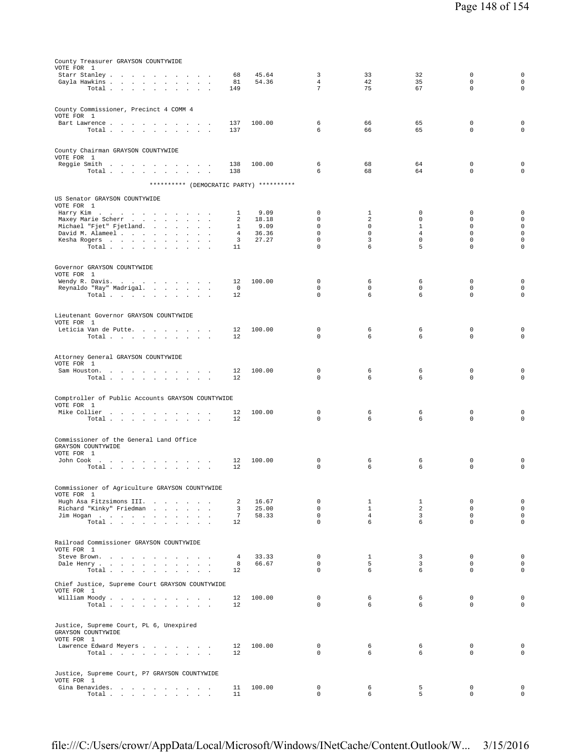| County Treasurer GRAYSON COUNTYWIDE                                                       |                   |                |                     |                            |                                |                         |                            |
|-------------------------------------------------------------------------------------------|-------------------|----------------|---------------------|----------------------------|--------------------------------|-------------------------|----------------------------|
| VOTE FOR 1                                                                                |                   |                |                     |                            |                                |                         |                            |
| Gayla Hawkins<br><b>Service</b>                                                           | 68<br>81          | 45.64<br>54.36 | 3<br>$\overline{4}$ | 33<br>42                   | 32<br>35                       | 0<br>$\mathbf 0$        | 0<br>$\mathbf 0$           |
| $\texttt{Total} \quad . \qquad . \qquad . \qquad . \qquad . \qquad .$<br>$\sim$<br>$\sim$ | 149               |                | $7\overline{ }$     | 75                         | 67                             | $\mathbf 0$             | $\mathbf 0$                |
|                                                                                           |                   |                |                     |                            |                                |                         |                            |
|                                                                                           |                   |                |                     |                            |                                |                         |                            |
| County Commissioner, Precinct 4 COMM 4                                                    |                   |                |                     |                            |                                |                         |                            |
| VOTE FOR 1                                                                                |                   |                |                     |                            |                                |                         |                            |
| Bart Lawrence                                                                             | 137               | 100.00         | 6<br>6              | 66                         | 65<br>65                       | 0<br>$\mathbf 0$        | 0<br>$\mathbf 0$           |
| Total                                                                                     | 137               |                |                     | 66                         |                                |                         |                            |
|                                                                                           |                   |                |                     |                            |                                |                         |                            |
| County Chairman GRAYSON COUNTYWIDE                                                        |                   |                |                     |                            |                                |                         |                            |
| VOTE FOR 1                                                                                |                   |                |                     |                            |                                |                         |                            |
| Reggie Smith                                                                              | 138               | 100.00         | 6                   | 68                         | 64                             | 0                       | 0                          |
| Total                                                                                     | 138               |                | 6                   | 68                         | 64                             | $\mathbf 0$             | $\mathbf 0$                |
| ********** (DEMOCRATIC PARTY) **********                                                  |                   |                |                     |                            |                                |                         |                            |
|                                                                                           |                   |                |                     |                            |                                |                         |                            |
| US Senator GRAYSON COUNTYWIDE                                                             |                   |                |                     |                            |                                |                         |                            |
| VOTE FOR 1                                                                                |                   |                |                     |                            |                                |                         |                            |
| Harry Kim                                                                                 | 1                 | 9.09           | 0                   | 1                          | 0                              | 0                       | O                          |
| Maxey Marie Scherr<br>$\sim$<br>$\mathbf{r}$<br>$\sim$                                    | 2                 | 18.18          | 0                   | 2                          | 0                              | 0                       | $\mathsf 0$                |
| Michael "Fjet" Fjetland.<br>David M. Alameel                                              | $\mathbf{1}$<br>4 | 9.09<br>36.36  | $\Omega$<br>0       | $\mathbf 0$<br>$\mathbf 0$ | $\mathbf{1}$<br>$\overline{4}$ | $\Omega$<br>$\mathbf 0$ | $\mathbf 0$<br>$\mathbf 0$ |
| Kesha Rogers<br>$\sim 10$<br>$\ddot{\phantom{a}}$<br>$\mathbf{r}$                         | 3                 | 27.27          | 0                   | 3                          | $\mathbf 0$                    | $\mathbf 0$             | $\mathbf 0$                |
| Total $\cdots$ $\cdots$ $\cdots$                                                          | 11                |                | $\mathbf 0$         | 6                          | 5                              | $\mathbf 0$             | $\mathbf 0$                |
|                                                                                           |                   |                |                     |                            |                                |                         |                            |
|                                                                                           |                   |                |                     |                            |                                |                         |                            |
| Governor GRAYSON COUNTYWIDE                                                               |                   |                |                     |                            |                                |                         |                            |
| VOTE FOR 1                                                                                |                   |                | $\mathbf 0$         |                            |                                |                         |                            |
| Wendy R. Davis.<br>Reynaldo "Ray" Madrigal.                                               | 12<br>0           | 100.00         | 0                   | 6<br>0                     | 6<br>0                         | 0<br>$\mathbf 0$        | 0<br>$\mathbf 0$           |
| Total                                                                                     | 12                |                | $\mathbf 0$         | 6                          | 6                              | $\mathbf 0$             | $\mathbf 0$                |
|                                                                                           |                   |                |                     |                            |                                |                         |                            |
|                                                                                           |                   |                |                     |                            |                                |                         |                            |
| Lieutenant Governor GRAYSON COUNTYWIDE                                                    |                   |                |                     |                            |                                |                         |                            |
| VOTE FOR 1                                                                                |                   |                |                     |                            |                                |                         |                            |
| Leticia Van de Putte                                                                      | 12                | 100.00         | 0<br>0              | 6<br>6                     | 6<br>6                         | 0<br>$\mathbf 0$        | 0<br>$\mathbf 0$           |
| Total                                                                                     | 12                |                |                     |                            |                                |                         |                            |
|                                                                                           |                   |                |                     |                            |                                |                         |                            |
| Attorney General GRAYSON COUNTYWIDE                                                       |                   |                |                     |                            |                                |                         |                            |
| VOTE FOR 1                                                                                |                   |                |                     |                            |                                |                         |                            |
| Sam Houston.                                                                              | 12                | 100.00         | 0                   | 6                          | 6                              | 0                       | 0                          |
| Total                                                                                     | 12                |                | $\Omega$            | 6                          | 6                              | $\mathbf 0$             | $\mathbf 0$                |
|                                                                                           |                   |                |                     |                            |                                |                         |                            |
| Comptroller of Public Accounts GRAYSON COUNTYWIDE                                         |                   |                |                     |                            |                                |                         |                            |
| VOTE FOR 1                                                                                |                   |                |                     |                            |                                |                         |                            |
| Mike Collier                                                                              | 12                | 100.00         | 0                   | 6                          | 6                              | 0                       | 0                          |
| Total                                                                                     | 12                |                | 0                   | 6                          | 6                              | $\mathbf 0$             | $\mathbf 0$                |
|                                                                                           |                   |                |                     |                            |                                |                         |                            |
| Commissioner of the General Land Office                                                   |                   |                |                     |                            |                                |                         |                            |
| GRAYSON COUNTYWIDE                                                                        |                   |                |                     |                            |                                |                         |                            |
| VOTE FOR 1                                                                                |                   |                |                     |                            |                                |                         |                            |
| John Cook $\ldots$ $\ldots$ $\ldots$ $\ldots$ $\ldots$                                    | 12                | 100.00         | 0                   | 6                          | 6                              | 0                       | 0                          |
| Total<br>$\sim$ $\sim$                                                                    | 12                |                | $\mathbf 0$         | 6                          | 6                              | $\mathbf 0$             | $\mathbf 0$                |
|                                                                                           |                   |                |                     |                            |                                |                         |                            |
|                                                                                           |                   |                |                     |                            |                                |                         |                            |
| Commissioner of Agriculture GRAYSON COUNTYWIDE<br>VOTE FOR 1                              |                   |                |                     |                            |                                |                         |                            |
| Hugh Asa Fitzsimons III.                                                                  | 2                 | 16.67          | 0                   | $\mathbf{1}$               | $\mathbf{1}$                   | $\mathbf 0$             | 0                          |
| Richard "Kinky" Friedman                                                                  | $\overline{3}$    | 25.00          | $\mathbf{0}$        | $\mathbf{1}$               | $\overline{a}$                 | $\mathbf{0}$            | $\mathbf 0$                |
| Jim Hogan                                                                                 | $7\phantom{.0}$   | 58.33          | $\mathbf{0}$        | 4                          | $\overline{3}$                 | $\mathbf{0}$            | 0                          |
| $\texttt{Total}~~.~~.~~.~~.~~.~~.~~.~~.~~.$                                               | 12                |                | $\mathbf{0}$        | 6                          | 6                              | $\mathbf{0}$            | $\mathbf 0$                |
|                                                                                           |                   |                |                     |                            |                                |                         |                            |
| Railroad Commissioner GRAYSON COUNTYWIDE                                                  |                   |                |                     |                            |                                |                         |                            |
| VOTE FOR 1                                                                                |                   |                |                     |                            |                                |                         |                            |
| Steve Brown.                                                                              | 4                 | 33.33          | $\mathbf{0}$        | $\mathbf{1}$               | $\overline{\mathbf{3}}$        | $\mathbf{0}$            | 0                          |
| Dale Henry                                                                                | 8                 | 66.67          | $\overline{0}$      | 5                          | $\overline{3}$                 | 0                       | 0                          |
| $\texttt{Total} \quad . \quad . \quad . \quad . \quad . \quad . \quad . \quad . \quad .$  | 12                |                | $\mathbf{0}$        | 6                          | 6                              | $\mathbf 0$             | $\mathbf 0$                |
|                                                                                           |                   |                |                     |                            |                                |                         |                            |
| Chief Justice, Supreme Court GRAYSON COUNTYWIDE<br>VOTE FOR 1                             |                   |                |                     |                            |                                |                         |                            |
| William Moody.                                                                            | 12                | 100.00         | 0                   | 6                          | 6                              | $\mathbf 0$             | 0                          |
| Total                                                                                     | 12                |                | $\mathbf{0}$        | 6                          | 6                              | $\mathbf{0}$            | $\mathbf 0$                |
|                                                                                           |                   |                |                     |                            |                                |                         |                            |
|                                                                                           |                   |                |                     |                            |                                |                         |                            |
| Justice, Supreme Court, PL 6, Unexpired                                                   |                   |                |                     |                            |                                |                         |                            |
| GRAYSON COUNTYWIDE<br>VOTE FOR 1                                                          |                   |                |                     |                            |                                |                         |                            |
| Lawrence Edward Meyers                                                                    | $12^{\circ}$      | 100.00         | $\overline{0}$      | 6                          | 6                              | 0                       | 0                          |
| Total $\cdots$ $\cdots$ $\cdots$                                                          | 12                |                | $\mathbf{0}$        | 6                          | 6                              | $\mathbf 0$             | $\mathbf 0$                |
|                                                                                           |                   |                |                     |                            |                                |                         |                            |
|                                                                                           |                   |                |                     |                            |                                |                         |                            |
| Justice, Supreme Court, P7 GRAYSON COUNTYWIDE                                             |                   |                |                     |                            |                                |                         |                            |
| VOTE FOR 1                                                                                |                   |                |                     |                            |                                |                         |                            |

Gina Benavides. . . . . . . . . . 11 100.00 0 6 5 0 0 Total . . . . . . . . . . 11 0 6 5 0 0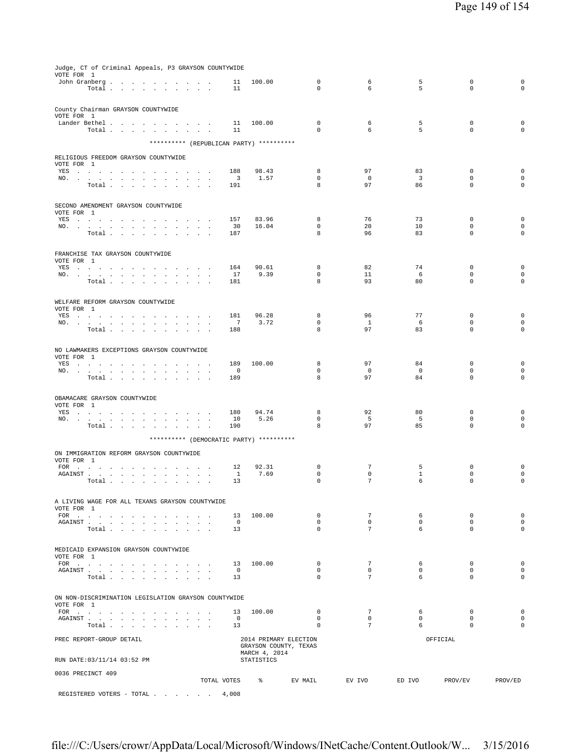| Judge, CT of Criminal Appeals, P3 GRAYSON COUNTYWIDE<br>VOTE FOR 1                                                                                                                                                                    |                                                       |                      |                             |                            |                                |                               |                            |                            |  |  |  |
|---------------------------------------------------------------------------------------------------------------------------------------------------------------------------------------------------------------------------------------|-------------------------------------------------------|----------------------|-----------------------------|----------------------------|--------------------------------|-------------------------------|----------------------------|----------------------------|--|--|--|
| John Granberg                                                                                                                                                                                                                         |                                                       | 11                   | 100.00                      | $\mathbf 0$                | 6                              | 5                             | $\mathbf 0$                | $\mathbf 0$                |  |  |  |
| Total                                                                                                                                                                                                                                 |                                                       | 11                   |                             | $\Omega$                   | 6                              | 5                             | $\Omega$                   | $\mathbf 0$                |  |  |  |
|                                                                                                                                                                                                                                       |                                                       |                      |                             |                            |                                |                               |                            |                            |  |  |  |
| County Chairman GRAYSON COUNTYWIDE<br>VOTE FOR 1                                                                                                                                                                                      |                                                       |                      |                             |                            |                                |                               |                            |                            |  |  |  |
| Lander Bethel                                                                                                                                                                                                                         |                                                       | 11                   | 100.00                      | $\mathbf 0$                | 6                              | 5                             | $\mathbf 0$                | $\mathbf 0$                |  |  |  |
| $\texttt{Total} \quad . \quad . \quad . \quad . \quad . \quad . \quad . \quad . \quad . \quad .$                                                                                                                                      |                                                       | 11                   |                             | $\Omega$                   | 6                              | 5                             | $\Omega$                   | $\Omega$                   |  |  |  |
|                                                                                                                                                                                                                                       | ********** (REPUBLICAN PARTY) **********              |                      |                             |                            |                                |                               |                            |                            |  |  |  |
| RELIGIOUS FREEDOM GRAYSON COUNTYWIDE                                                                                                                                                                                                  |                                                       |                      |                             |                            |                                |                               |                            |                            |  |  |  |
| VOTE FOR 1                                                                                                                                                                                                                            |                                                       |                      |                             |                            |                                |                               |                            |                            |  |  |  |
| YES                                                                                                                                                                                                                                   |                                                       | 188                  | 98.43                       | 8<br>$\mathbf 0$           | 97<br>$\overline{0}$           | 83                            | $\mathbf 0$<br>$\mathbf 0$ | $\mathbf 0$                |  |  |  |
| NO.<br>Total                                                                                                                                                                                                                          | $\mathbf{u} = \mathbf{u} + \mathbf{u}$ .<br>$\sim$    | 3<br>191             | 1.57                        | 8                          | 97                             | $\overline{\mathbf{3}}$<br>86 | $\mathbf 0$                | $\mathbf 0$<br>$\mathbf 0$ |  |  |  |
|                                                                                                                                                                                                                                       |                                                       |                      |                             |                            |                                |                               |                            |                            |  |  |  |
| SECOND AMENDMENT GRAYSON COUNTYWIDE                                                                                                                                                                                                   |                                                       |                      |                             |                            |                                |                               |                            |                            |  |  |  |
| VOTE FOR 1                                                                                                                                                                                                                            |                                                       |                      |                             |                            |                                |                               |                            |                            |  |  |  |
| YES a contract that is a contract of the $\mathcal{S}_1$<br>NO.                                                                                                                                                                       |                                                       | 157<br>30            | 83.96<br>16.04              | 8<br>0                     | 76<br>20                       | 73<br>10                      | $\mathbf 0$<br>$\mathbf 0$ | $\mathbf 0$<br>$\mathbf 0$ |  |  |  |
| Total                                                                                                                                                                                                                                 |                                                       | 187                  |                             | 8                          | 96                             | 83                            | $\mathbf 0$                | $\mathbf 0$                |  |  |  |
|                                                                                                                                                                                                                                       |                                                       |                      |                             |                            |                                |                               |                            |                            |  |  |  |
| FRANCHISE TAX GRAYSON COUNTYWIDE                                                                                                                                                                                                      |                                                       |                      |                             |                            |                                |                               |                            |                            |  |  |  |
| VOTE FOR 1                                                                                                                                                                                                                            |                                                       |                      |                             |                            |                                |                               |                            |                            |  |  |  |
| YES a contract of the contract of the contract of the set of the set of the set of the set of the set of the set of the set of the set of the set of the set of the set of the set of the set of the set of the set of the set<br>NO. |                                                       | 164<br>17            | 90.61<br>9.39               | 8<br>0                     | 82<br>11                       | 74<br>6                       | 0<br>$\mathbf 0$           | $\mathbf 0$<br>$\mathbf 0$ |  |  |  |
| Total<br>$\sim$<br>$\sim$<br>$\sim$                                                                                                                                                                                                   | $\mathbf{r}$                                          | 181                  |                             | 8                          | 93                             | 80                            | $\mathbf 0$                | $\mathbf 0$                |  |  |  |
|                                                                                                                                                                                                                                       |                                                       |                      |                             |                            |                                |                               |                            |                            |  |  |  |
| WELFARE REFORM GRAYSON COUNTYWIDE                                                                                                                                                                                                     |                                                       |                      |                             |                            |                                |                               |                            |                            |  |  |  |
| VOTE FOR 1<br>YES                                                                                                                                                                                                                     | $\sim$<br>$\sim$ $\sim$ $\sim$                        | 181                  | 96.28                       | 8                          | 96                             | 77                            | $\mathbf 0$                | $\mathbf 0$                |  |  |  |
| NO.                                                                                                                                                                                                                                   |                                                       | $\overline{7}$       | 3.72                        | $\mathsf 0$                | $\mathbf{1}$                   | 6                             | $\mathbf 0$                | $\mathsf{O}\xspace$        |  |  |  |
| Total                                                                                                                                                                                                                                 |                                                       | 188                  |                             | 8                          | 97                             | 83                            | $\mathbf 0$                | $\mathbf 0$                |  |  |  |
|                                                                                                                                                                                                                                       |                                                       |                      |                             |                            |                                |                               |                            |                            |  |  |  |
| NO LAWMAKERS EXCEPTIONS GRAYSON COUNTYWIDE                                                                                                                                                                                            |                                                       |                      |                             |                            |                                |                               |                            |                            |  |  |  |
| VOTE FOR 1<br>YES                                                                                                                                                                                                                     |                                                       | 189                  | 100.00                      | 8                          | 97                             | 84                            | $\mathbf 0$                | $\mathbf 0$                |  |  |  |
| NO.                                                                                                                                                                                                                                   |                                                       | $\circ$              |                             | $\Omega$                   | $\overline{0}$                 | $\mathbf 0$                   | $\Omega$                   | $\mathsf{O}\xspace$        |  |  |  |
| Total                                                                                                                                                                                                                                 |                                                       | 189                  |                             | 8                          | 97                             | 84                            | $\mathbf 0$                | $\mathbf 0$                |  |  |  |
|                                                                                                                                                                                                                                       |                                                       |                      |                             |                            |                                |                               |                            |                            |  |  |  |
| OBAMACARE GRAYSON COUNTYWIDE<br>VOTE FOR 1                                                                                                                                                                                            |                                                       |                      |                             |                            |                                |                               |                            |                            |  |  |  |
| YES a contract of the contract of the contract of the set of the set of the set of the set of the set of the set of the set of the set of the set of the set of the set of the set of the set of the set of the set of the set        |                                                       | 180                  | 94.74                       | 8                          | 92                             | 80                            | $\mathbf 0$                | $\mathbf 0$                |  |  |  |
| NO.                                                                                                                                                                                                                                   | $\mathbf{u} = \mathbf{u} + \mathbf{u} + \mathbf{u}$ . | 10                   | 5.26                        | $\mathbf 0$                | 5                              | 5                             | $\mathbf 0$                | $\mathbf 0$                |  |  |  |
| Total $\ldots$ $\ldots$ $\ldots$                                                                                                                                                                                                      | contract and a state                                  | 190                  |                             | 8                          | 97                             | 85                            | $\mathbf 0$                | $\mathbf 0$                |  |  |  |
|                                                                                                                                                                                                                                       | ********** (DEMOCRATIC PARTY) **********              |                      |                             |                            |                                |                               |                            |                            |  |  |  |
| ON IMMIGRATION REFORM GRAYSON COUNTYWIDE                                                                                                                                                                                              |                                                       |                      |                             |                            |                                |                               |                            |                            |  |  |  |
| VOTE FOR 1                                                                                                                                                                                                                            |                                                       |                      |                             |                            |                                |                               |                            |                            |  |  |  |
| FOR $\cdots$<br>AGAINST                                                                                                                                                                                                               |                                                       | 12<br>$\mathbf{1}$   | 92.31<br>7.69               | $\mathbf 0$<br>0           | $7\phantom{.0}$<br>$\mathbf 0$ | 5<br>$\mathbf{1}$             | $\mathbf 0$<br>$\mathbf 0$ | $\mathbf 0$<br>$\mathbf 0$ |  |  |  |
| Total                                                                                                                                                                                                                                 | $\sim 10^{-1}$<br>$\sim$ $\sim$                       | 13                   |                             | 0                          | $7\phantom{.0}$                | 6                             | $\mathbf 0$                | $\mathbf 0$                |  |  |  |
|                                                                                                                                                                                                                                       |                                                       |                      |                             |                            |                                |                               |                            |                            |  |  |  |
| A LIVING WAGE FOR ALL TEXANS GRAYSON COUNTYWIDE                                                                                                                                                                                       |                                                       |                      |                             |                            |                                |                               |                            |                            |  |  |  |
| VOTE FOR 1                                                                                                                                                                                                                            |                                                       |                      |                             |                            | $7\phantom{.0}$                |                               |                            |                            |  |  |  |
| AGAINST                                                                                                                                                                                                                               |                                                       | 13<br>$\overline{0}$ | 100.00                      | $\mathbf 0$<br>$\mathbf 0$ | $\mathbf 0$                    | 6<br>$\circ$                  | $\mathbb O$<br>$\mathbf 0$ | $\mathbf 0$<br>$\mathbf 0$ |  |  |  |
| Total                                                                                                                                                                                                                                 |                                                       | 13                   |                             | $\mathbf 0$                | $7\phantom{.0}$                | 6                             | $\mathbf 0$                | $\mathbf 0$                |  |  |  |
|                                                                                                                                                                                                                                       |                                                       |                      |                             |                            |                                |                               |                            |                            |  |  |  |
| MEDICAID EXPANSION GRAYSON COUNTYWIDE                                                                                                                                                                                                 |                                                       |                      |                             |                            |                                |                               |                            |                            |  |  |  |
| VOTE FOR 1                                                                                                                                                                                                                            |                                                       | 13                   | 100.00                      | $\mathbf 0$                | 7                              | 6                             | 0                          | $\mathsf{O}\xspace$        |  |  |  |
| FOR<br>AGAINST                                                                                                                                                                                                                        |                                                       | $\overline{0}$       |                             | $\mathbf 0$                | $\mathbf 0$                    | $\mathbf 0$                   | $\Omega$                   | $\mathsf{O}\xspace$        |  |  |  |
| Total                                                                                                                                                                                                                                 | $\sim$<br>$\sim$ $\sim$ $\sim$                        | 13                   |                             | $\mathbf 0$                | $7\phantom{.0}$                | 6                             | $\Omega$                   | $\mathbf 0$                |  |  |  |
|                                                                                                                                                                                                                                       |                                                       |                      |                             |                            |                                |                               |                            |                            |  |  |  |
| ON NON-DISCRIMINATION LEGISLATION GRAYSON COUNTYWIDE                                                                                                                                                                                  |                                                       |                      |                             |                            |                                |                               |                            |                            |  |  |  |
| VOTE FOR 1                                                                                                                                                                                                                            |                                                       | 13                   | 100.00                      | $\mathbf 0$                | $7\phantom{.0}$                | 6                             | $\mathbb O$                | $\mathbf 0$                |  |  |  |
|                                                                                                                                                                                                                                       |                                                       | $\overline{0}$       |                             | $\mathbf 0$                | $\mathbf 0$                    | $\mathbf{0}$                  | $\mathbf 0$                | $\mathbf 0$                |  |  |  |
| Total                                                                                                                                                                                                                                 |                                                       | 13                   |                             | 0                          | $7\phantom{.0}$                | 6                             | 0                          | 0                          |  |  |  |
| PREC REPORT-GROUP DETAIL                                                                                                                                                                                                              |                                                       |                      |                             | 2014 PRIMARY ELECTION      |                                |                               | OFFICIAL                   |                            |  |  |  |
| GRAYSON COUNTY, TEXAS                                                                                                                                                                                                                 |                                                       |                      |                             |                            |                                |                               |                            |                            |  |  |  |
| RUN DATE: 03/11/14 03:52 PM                                                                                                                                                                                                           |                                                       |                      | MARCH 4, 2014<br>STATISTICS |                            |                                |                               |                            |                            |  |  |  |
|                                                                                                                                                                                                                                       |                                                       |                      |                             |                            |                                |                               |                            |                            |  |  |  |
| 0036 PRECINCT 409                                                                                                                                                                                                                     |                                                       | TOTAL VOTES          | $\frac{1}{6}$               | EV MAIL                    | EV IVO                         | ED IVO                        | PROV/EV                    | PROV/ED                    |  |  |  |
|                                                                                                                                                                                                                                       |                                                       |                      |                             |                            |                                |                               |                            |                            |  |  |  |
| REGISTERED VOTERS - TOTAL                                                                                                                                                                                                             |                                                       | 4,008                |                             |                            |                                |                               |                            |                            |  |  |  |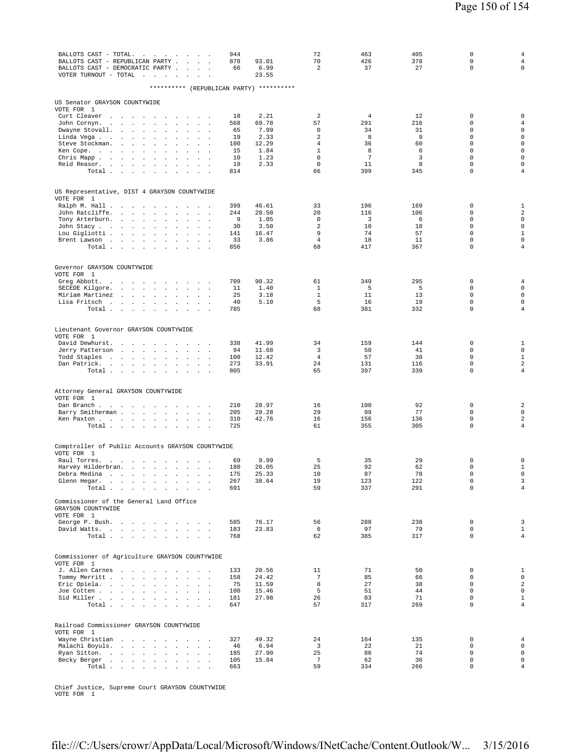| 944<br>BALLOTS CAST - TOTAL.<br>the company of the company of<br>BALLOTS CAST - REPUBLICAN PARTY .<br>878<br>93.01<br><b>Sales Street</b><br>BALLOTS CAST - DEMOCRATIC PARTY<br>66<br>6.99<br>VOTER TURNOUT - TOTAL $\ldots$ .<br>23.55<br>$\sim$<br>$\mathbf{r}$ | 72<br>70<br>$\overline{a}$ | 463<br>426<br>37     | 405<br>378<br>27 | $\mathbf 0$<br>0<br>$\Omega$ | $\overline{4}$<br>$\overline{4}$<br>$\mathbf 0$ |
|-------------------------------------------------------------------------------------------------------------------------------------------------------------------------------------------------------------------------------------------------------------------|----------------------------|----------------------|------------------|------------------------------|-------------------------------------------------|
| ********** (REPUBLICAN PARTY) **********                                                                                                                                                                                                                          |                            |                      |                  |                              |                                                 |
| US Senator GRAYSON COUNTYWIDE                                                                                                                                                                                                                                     |                            |                      |                  |                              |                                                 |
| VOTE FOR 1<br>Curt Cleaver<br>2.21<br>18<br>the contract of the contract of<br>$\sim$ $\sim$ $\sim$                                                                                                                                                               | 2                          | $\overline{4}$       | 12               | $\mathbf 0$                  | $\mathbf 0$                                     |
| John Cornyn.<br>568<br>69.78<br>the contract of the contract of the<br>$\sim$                                                                                                                                                                                     | 57                         | 291                  | 216              | 0                            | $\overline{4}$                                  |
| 7.99<br>Dwayne Stovall.<br>$\sim$ $\sim$ $\sim$<br>65<br>$\sim$<br>$\ddot{\phantom{a}}$<br>$\overline{a}$<br>2.33<br>Linda Vega<br>19<br>the company of the company of<br>$\mathcal{L}$<br>$\mathbf{r}$                                                           | 0<br>$\overline{a}$        | 34<br>8              | 31<br>9          | $\mathbf 0$<br>$\mathbf 0$   | $\mathsf 0$<br>$\mathsf 0$                      |
| 100<br>12.29<br>Steve Stockman.<br>the contract of the state of<br>$\sim$<br>$\ddot{\phantom{a}}$<br>$\sim$                                                                                                                                                       | $\overline{4}$             | 36                   | 60               | $\mathbf 0$                  | $\mathsf 0$                                     |
| 15<br>1.84<br>Ken Cope.<br>$\Box$                                                                                                                                                                                                                                 | $\mathbf{1}$               | 8<br>$7\phantom{.0}$ | 6                | $\Omega$                     | $\mathsf{O}\xspace$                             |
| 1.23<br>Chris Mapp<br>10<br>$\ddot{\phantom{a}}$<br>$\sim$<br>$\sim$<br>Reid Reasor.<br>19<br>2.33<br>$\sim$<br>$\ddot{\phantom{a}}$<br>$\mathbf{r}$<br>$\sim$<br>$\mathbf{r}$                                                                                    | $\mathbf 0$<br>$\mathsf 0$ | 11                   | 3<br>8           | $\mathbf 0$<br>$\mathbf 0$   | $\mathsf{O}\xspace$<br>$\mathsf{O}\xspace$      |
| Total<br>814<br><b>Contract Contract Contract</b>                                                                                                                                                                                                                 | 66                         | 399                  | 345              | $\mathbf 0$                  | $\overline{4}$                                  |
| US Representative, DIST 4 GRAYSON COUNTYWIDE                                                                                                                                                                                                                      |                            |                      |                  |                              |                                                 |
| VOTE FOR 1<br>Ralph M. Hall<br>399<br>46.61                                                                                                                                                                                                                       | 33                         | 196                  | 169              | 0                            | 1                                               |
| the contract of the con-<br>John Ratcliffe.<br>244<br>28.50<br>$\mathbf{L} = \mathbf{L} \times \mathbf{L}$<br>$\sim$<br>$\ddot{\phantom{a}}$<br>$\ddot{\phantom{a}}$<br>$\ddot{\phantom{a}}$<br>$\mathcal{L}^{\mathcal{L}}$<br>$\cdot$                            | 20                         | 116                  | 106              | $\mathbf 0$                  | $\overline{a}$                                  |
| 9<br>1.05<br>Tony Arterburn.<br>$\mathcal{L}$                                                                                                                                                                                                                     | $\mathbf 0$                | $\overline{3}$       | 6                | $\mathbf 0$<br>$\mathbf 0$   | $\mathsf 0$                                     |
| 3.50<br>John Stacy<br>30<br>$\ddot{\phantom{a}}$<br>$\sim$<br>$\cdot$<br>$\sim$<br>Lou Gigliotti<br>141<br>16.47<br>$\mathbb{Z}^2$<br>$\Box$                                                                                                                      | 2<br>9                     | 10<br>74             | 18<br>57         | $\Omega$                     | $\mathbb O$<br>$1\,$                            |
| 33<br>3.86<br>Brent Lawson<br>$\sim 10^{-1}$<br>$\sim$ $\sim$                                                                                                                                                                                                     | $\overline{4}$             | 18                   | 11               | $\mathbf 0$                  | $\mathsf{O}\xspace$                             |
| 856<br>Total<br>$\sim 10^{-1}$<br>$\sim$<br>$\ddot{\phantom{a}}$                                                                                                                                                                                                  | 68                         | 417                  | 367              | $\mathbf 0$                  | $\overline{4}$                                  |
| Governor GRAYSON COUNTYWIDE                                                                                                                                                                                                                                       |                            |                      |                  |                              |                                                 |
| VOTE FOR 1<br>90.32<br>Greg Abbott.<br>709<br>the contract of the contract of the con-                                                                                                                                                                            | 61                         | 349                  | 295              | $\mathbf 0$                  | 4                                               |
| SECEDE Kilgore.<br>11<br>1.40<br>the contract of the contract of<br>$\sim$                                                                                                                                                                                        | 1                          | 5                    | 5                | $\mathbf 0$                  | $\mathsf 0$                                     |
| 25<br>3.18<br>Miriam Martinez<br><b>Contract Contract</b><br>$\sim$<br>$\ddot{\phantom{a}}$                                                                                                                                                                       | $\mathbf 1$<br>5           | 11                   | 13               | $\mathbf 0$<br>$\mathbf 0$   | $\mathsf 0$<br>$\mathsf 0$                      |
| 5.10<br>Lisa Fritsch<br>40<br>$\sim$<br>785<br>Total<br>$\sim$<br>$\cdot$<br>$\ddot{\phantom{a}}$<br>$\mathcal{L}_{\mathcal{A}}$                                                                                                                                  | 68                         | 16<br>381            | 19<br>332        | $\mathbf 0$                  | $\overline{4}$                                  |
|                                                                                                                                                                                                                                                                   |                            |                      |                  |                              |                                                 |
| Lieutenant Governor GRAYSON COUNTYWIDE<br>VOTE FOR 1                                                                                                                                                                                                              |                            |                      |                  |                              |                                                 |
| 41.99<br>David Dewhurst.<br>338<br>the contract of the contract of<br>$\sim$                                                                                                                                                                                      | 34                         | 159                  | 144              | 0                            | 1                                               |
| 94<br>11.68<br>Jerry Patterson<br>and the state of the state<br>$\mathcal{L}$<br>$\mathcal{L}$<br>$\overline{a}$<br>$\mathbf{r}$<br>$\cdot$<br>12.42<br>Todd Staples<br>100<br>$\sim$                                                                             | 3<br>$\overline{4}$        | 50<br>57             | 41<br>38         | $\Omega$<br>$\mathbf 0$      | $\mathbf{0}$<br>$\mathbf{1}$                    |
| Dan Patrick.<br>273<br>33.91<br>the contract of the contract of<br>$\sim 100$<br>$\sim 10$                                                                                                                                                                        | 24                         | 131                  | 116              | $\mathbf 0$                  | $\sqrt{2}$                                      |
| Total<br>805                                                                                                                                                                                                                                                      | 65                         | 397                  | 339              | $\mathbf 0$                  | $\overline{4}$                                  |
| Attorney General GRAYSON COUNTYWIDE                                                                                                                                                                                                                               |                            |                      |                  |                              |                                                 |
| VOTE FOR 1<br>Dan Branch<br>28.97<br>210<br>$\sim$ $\sim$ $\sim$ $\sim$<br>$\sim$<br>$\sim$<br>$\sim$                                                                                                                                                             | 16                         | 100                  | 92               | $\mathbf 0$                  | $\overline{c}$                                  |
| Barry Smitherman<br>205<br>28.28<br>$\sim$<br>$\sim$<br>$\cdot$                                                                                                                                                                                                   | 29                         | 99                   | 77               | $\mathbf 0$                  | $\mathsf 0$                                     |
| Ken Paxton<br>310<br>42.76                                                                                                                                                                                                                                        | 16                         | 156                  | 136              | $\mathbf 0$                  | $\sqrt{2}$                                      |
| 725<br>Total<br><b>Carl Carl</b>                                                                                                                                                                                                                                  | 61                         | 355                  | 305              | 0                            | $\overline{4}$                                  |
| Comptroller of Public Accounts GRAYSON COUNTYWIDE                                                                                                                                                                                                                 |                            |                      |                  |                              |                                                 |
| VOTE FOR 1<br>9.99<br>Raul Torres.<br>69<br>and the contract of the state of<br>$\ddot{\phantom{a}}$                                                                                                                                                              | 5                          | 35                   | 29               | 0                            | $\mathbf 0$                                     |
| 180<br>26.05<br>Harvey Hilderbran.<br>$\sim 10^{-11}$<br>$\sim$<br>$\ddot{\phantom{a}}$                                                                                                                                                                           | 25                         | 92                   | 62               | $\mathbf 0$                  | $\mathbf{1}$                                    |
| 175<br>25.33<br>Debra Medina<br>$\mathcal{A}=\mathcal{A}=\mathcal{A}=\mathcal{A}=\mathcal{A}=\mathcal{A}$ .<br>$\mathbf{r}$ .<br>$\bullet$<br>Glenn Hegar.<br>والمتابع المتابعات والمتابعات والمتابعات والمنافر<br>267<br>38.64                                   | 10<br>19                   | 87<br>123            | 78<br>122        | $\Omega$<br>0                | $\mathbf 0$<br>$\overline{\mathbf{3}}$          |
| Total<br>691                                                                                                                                                                                                                                                      | 59                         | 337                  | 291              | $\mathbf 0$                  | $\overline{4}$                                  |
| Commissioner of the General Land Office                                                                                                                                                                                                                           |                            |                      |                  |                              |                                                 |
| GRAYSON COUNTYWIDE<br>VOTE FOR 1                                                                                                                                                                                                                                  |                            |                      |                  |                              |                                                 |
| George P. Bush.<br>585<br>76.17                                                                                                                                                                                                                                   | 56                         | 288<br>97            | 238<br>79        | $\mathbf 0$<br>0             | 3<br>$\mathbf{1}$                               |
| David Watts.<br>183<br>23.83<br>Total<br>768                                                                                                                                                                                                                      | 6<br>62                    | 385                  | 317              | $\mathbf 0$                  | $\overline{4}$                                  |
|                                                                                                                                                                                                                                                                   |                            |                      |                  |                              |                                                 |
| Commissioner of Agriculture GRAYSON COUNTYWIDE<br>VOTE FOR 1                                                                                                                                                                                                      |                            |                      |                  |                              |                                                 |
| J. Allen Carnes<br>20.56<br>133<br>$\sim$ $\sim$ $\sim$ $\sim$<br>Tommy Merritt<br>24.42<br>158                                                                                                                                                                   | 11<br>7                    | 71<br>85             | 50<br>66         | $\mathbf 0$<br>0             | $\mathbf{1}$<br>$\mathsf 0$                     |
| $\sim$<br>$\Delta \sim 100$<br>75<br>11.59<br>Eric Opiela.                                                                                                                                                                                                        | 8                          | 27                   | 38               | $\Omega$                     | 2                                               |
| Joe Cotten<br>100<br>15.46<br><b>Carl Carl Corporation</b>                                                                                                                                                                                                        | 5                          | 51                   | 44               | $\mathbf 0$                  | $\mathsf{O}$                                    |
| Sid Miller<br>181<br>27.98<br>Total<br>647                                                                                                                                                                                                                        | 26<br>57                   | 83<br>317            | 71<br>269        | $\Omega$<br>$\Omega$         | $\mathbf{1}$<br>$\overline{4}$                  |
|                                                                                                                                                                                                                                                                   |                            |                      |                  |                              |                                                 |
| Railroad Commissioner GRAYSON COUNTYWIDE<br>VOTE FOR 1                                                                                                                                                                                                            |                            |                      |                  |                              |                                                 |
| Wayne Christian<br>327<br>49.32<br>$\sim$ $\sim$ $\sim$ $\sim$                                                                                                                                                                                                    | 24                         | 164                  | 135              | $\mathbf 0$                  | $\overline{4}$                                  |
| Malachi Boyuls.<br>46<br>6.94<br>$\sim$ $\sim$<br>$\mathcal{L}^{\text{max}}$<br>Ryan Sitton.<br>185<br>27.90                                                                                                                                                      | $\overline{3}$<br>25       | 22<br>86             | 21<br>74         | $\mathbf 0$<br>$\mathbf 0$   | $\mathbf 0$<br>$\mathbf{0}$                     |
| Becky Berger<br>105<br>15.84<br>$\sim$<br>$\sim$                                                                                                                                                                                                                  | $7\phantom{.0}$            | 62                   | 36               | 0                            | $\mathsf 0$                                     |
| Total<br>663                                                                                                                                                                                                                                                      | 59                         | 334                  | 266              | $\Omega$                     | $\overline{4}$                                  |

Chief Justice, Supreme Court GRAYSON COUNTYWIDE VOTE FOR 1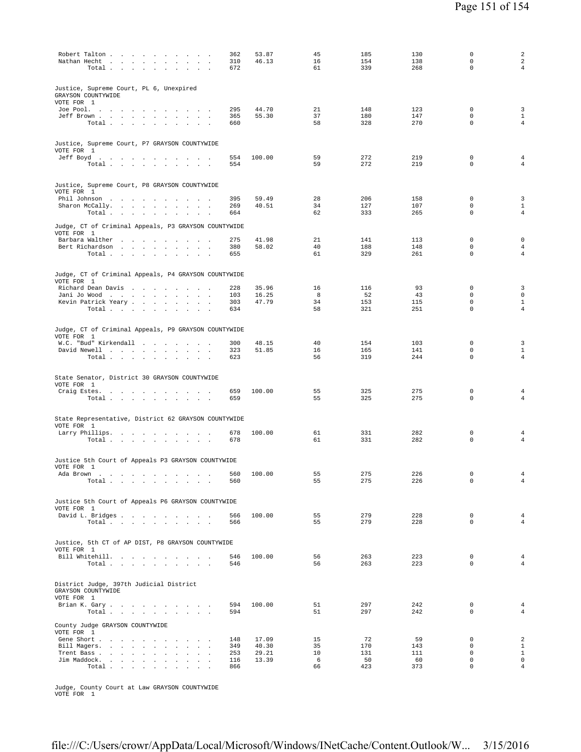| Robert Talton<br>Nathan Hecht<br>$\sim$<br>Total                                                      | 362<br>310<br>672 | 53.87<br>46.13 | 45<br>16<br>61 | 185<br>154<br>339 | 130<br>138<br>268 | $\mathbf 0$<br>$\mathbf 0$<br>$\mathbf 0$ | $\overline{a}$<br>$\sqrt{2}$<br>$\overline{4}$ |
|-------------------------------------------------------------------------------------------------------|-------------------|----------------|----------------|-------------------|-------------------|-------------------------------------------|------------------------------------------------|
| Justice, Supreme Court, PL 6, Unexpired<br>GRAYSON COUNTYWIDE<br>VOTE FOR 1                           |                   |                |                |                   |                   |                                           |                                                |
| Joe Pool.<br>Jeff Brown<br>$\sim$<br>Total $\cdots$ $\cdots$ $\cdots$                                 | 295<br>365<br>660 | 44.70<br>55.30 | 21<br>37<br>58 | 148<br>180<br>328 | 123<br>147<br>270 | $\mathbf 0$<br>$\mathbf 0$<br>$\mathbf 0$ | 3<br>$\mathbf{1}$<br>$\overline{4}$            |
| Justice, Supreme Court, P7 GRAYSON COUNTYWIDE<br>VOTE FOR 1                                           |                   |                |                |                   |                   |                                           |                                                |
| Jeff Boyd.<br>Total $\cdots$ $\cdots$ $\cdots$                                                        | 554<br>554        | 100.00         | 59<br>59       | 272<br>272        | 219<br>219        | $\mathbb O$<br>$\mathbf 0$                | 4<br>4                                         |
| Justice, Supreme Court, P8 GRAYSON COUNTYWIDE<br>VOTE FOR 1                                           |                   |                |                |                   |                   |                                           |                                                |
| Phil Johnson<br>Sharon McCally.                                                                       | 395<br>269        | 59.49<br>40.51 | 28<br>34       | 206<br>127        | 158<br>107        | $\mathbf 0$<br>$\mathbf 0$                | 3<br>$\mathbf{1}$                              |
| Total<br>$\sim$<br>$\sim$                                                                             | 664               |                | 62             | 333               | 265               | 0                                         | $\overline{4}$                                 |
| Judge, CT of Criminal Appeals, P3 GRAYSON COUNTYWIDE<br>VOTE FOR 1                                    |                   |                |                |                   |                   |                                           |                                                |
| Barbara Walther<br>Bert Richardson<br>$\sim 10^{-11}$<br>$\sim$<br>$\sim$                             | 275<br>380        | 41.98<br>58.02 | 21<br>40       | 141<br>188        | 113<br>148        | 0<br>0                                    | $\mathbf 0$<br>$\overline{4}$                  |
| Total $\cdots$ $\cdots$ $\cdots$                                                                      | 655               |                | 61             | 329               | 261               | $\mathbf 0$                               | $\overline{4}$                                 |
| Judge, CT of Criminal Appeals, P4 GRAYSON COUNTYWIDE<br>VOTE FOR 1                                    |                   |                |                |                   |                   |                                           |                                                |
| Richard Dean Davis<br>the contract of the contract of the<br>Jani Jo Wood<br>$\overline{\phantom{a}}$ | 228<br>103        | 35.96<br>16.25 | 16<br>8        | 116<br>52         | 93<br>43          | 0<br>0                                    | 3<br>$\mathsf{O}\xspace$                       |
| Kevin Patrick Yeary<br>Total                                                                          | 303<br>634        | 47.79          | 34<br>58       | 153<br>321        | 115<br>251        | $\mathbf 0$<br>0                          | $1\,$<br>4                                     |
|                                                                                                       |                   |                |                |                   |                   |                                           |                                                |
| Judge, CT of Criminal Appeals, P9 GRAYSON COUNTYWIDE<br>VOTE FOR 1                                    |                   |                |                |                   |                   |                                           |                                                |
| W.C. "Bud" Kirkendall<br>David Newell                                                                 | 300<br>323        | 48.15<br>51.85 | 40<br>16       | 154<br>165        | 103<br>141        | $\mathbf 0$<br>$\mathbf 0$                | 3<br>$\mathbf{1}$                              |
| Total                                                                                                 | 623               |                | 56             | 319               | 244               | $\mathbf 0$                               | $\overline{4}$                                 |
| State Senator, District 30 GRAYSON COUNTYWIDE                                                         |                   |                |                |                   |                   |                                           |                                                |
| VOTE FOR 1<br>Craig Estes.                                                                            | 659               | 100.00         | 55             | 325               | 275               | 0                                         | 4                                              |
| Total                                                                                                 | 659               |                | 55             | 325               | 275               | $\mathbf 0$                               | 4                                              |
| State Representative, District 62 GRAYSON COUNTYWIDE<br>VOTE FOR 1                                    |                   |                |                |                   |                   |                                           |                                                |
| Larry Phillips.<br>Total                                                                              | 678<br>678        | 100.00         | 61<br>61       | 331<br>331        | 282<br>282        | 0<br>$\mathbf 0$                          | 4<br>4                                         |
| Justice 5th Court of Appeals P3 GRAYSON COUNTYWIDE                                                    |                   |                |                |                   |                   |                                           |                                                |
| VOTE FOR 1<br>Ada Brown                                                                               |                   | 560 100.00     | 55             | 275               | 226               | $\Omega$                                  |                                                |
| $\texttt{Total} \quad . \quad . \quad . \quad . \quad . \quad . \quad . \quad . \quad . \quad .$      | 560               |                | 55             | 275               | 226               | 0                                         | $\overline{4}$                                 |
| Justice 5th Court of Appeals P6 GRAYSON COUNTYWIDE                                                    |                   |                |                |                   |                   |                                           |                                                |
| VOTE FOR 1<br>David L. Bridges                                                                        | 566               | 100.00         | 55             | 279               | 228               | $\mathbf 0$                               | $\overline{4}$                                 |
| Total $\cdots$ $\cdots$ $\cdots$                                                                      | 566               |                | 55             | 279               | 228               | $\mathbf 0$                               | $\overline{4}$                                 |
| Justice, 5th CT of AP DIST, P8 GRAYSON COUNTYWIDE<br>VOTE FOR 1                                       |                   |                |                |                   |                   |                                           |                                                |
| Bill Whitehill.<br>Total                                                                              | 546<br>546        | 100.00         | 56<br>56       | 263<br>263        | 223<br>223        | $\mathbf 0$<br>$\Omega$                   | $\overline{4}$<br>$\overline{4}$               |
|                                                                                                       |                   |                |                |                   |                   |                                           |                                                |
| District Judge, 397th Judicial District<br>GRAYSON COUNTYWIDE                                         |                   |                |                |                   |                   |                                           |                                                |
| VOTE FOR 1<br>Brian K. Gary                                                                           | 594               | 100.00         | 51             | 297               | 242               | $\mathbf 0$                               | $\overline{4}$                                 |
| Total $\cdots$ $\cdots$ $\cdots$                                                                      | 594               |                | 51             | 297               | 242               | $\mathbf 0$                               | $\overline{4}$                                 |
| County Judge GRAYSON COUNTYWIDE<br>VOTE FOR 1                                                         |                   |                |                |                   |                   |                                           |                                                |
| Gene Short<br>Bill Magers.<br>$\overline{\phantom{a}}$                                                | 148<br>349        | 17.09<br>40.30 | 15<br>35       | 72<br>170         | 59<br>143         | $\mathbf 0$<br>$\mathbf 0$                | 2<br>$\mathbf{1}$                              |
| Trent Bass<br>Jim Maddock.<br>$\mathbf{r}$                                                            | 253<br>116        | 29.21<br>13.39 | 10<br>6        | 131<br>50         | 111<br>60         | $\mathbf 0$<br>$\mathbf 0$                | $\mathbf{1}$<br>$\mathsf{O}\xspace$            |
| Total                                                                                                 | 866               |                | 66             | 423               | 373               | $\mathbf 0$                               | $\overline{4}$                                 |

Judge, County Court at Law GRAYSON COUNTYWIDE VOTE FOR 1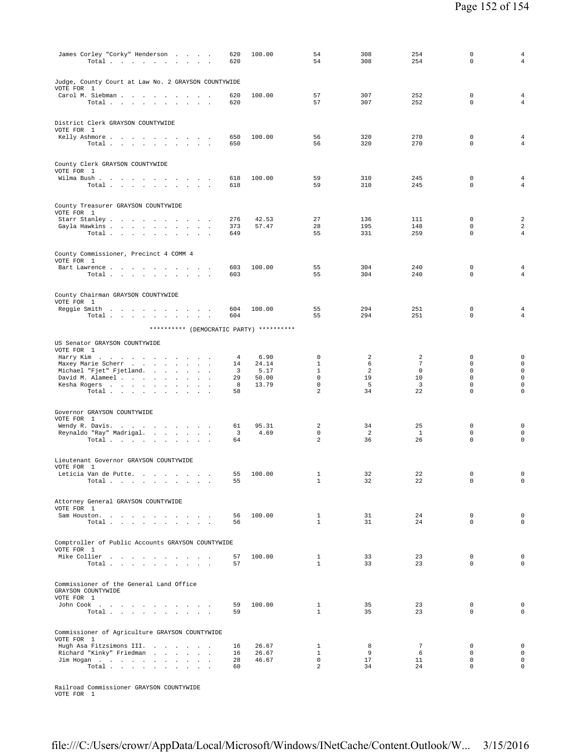| James Corley "Corky" Henderson<br>Total $\ldots$ $\ldots$ $\ldots$ $\ldots$                              | 620<br>620                    | 100.00         | 54<br>54                     | 308<br>308        | 254<br>254           | 0<br>$\mathbf 0$                          | 4<br>$\overline{4}$                        |
|----------------------------------------------------------------------------------------------------------|-------------------------------|----------------|------------------------------|-------------------|----------------------|-------------------------------------------|--------------------------------------------|
| Judge, County Court at Law No. 2 GRAYSON COUNTYWIDE<br>VOTE FOR 1                                        |                               |                |                              |                   |                      |                                           |                                            |
| Carol M. Siebman<br>Total                                                                                | 620<br>620                    | 100.00         | 57<br>57                     | 307<br>307        | 252<br>252           | $\mathbf 0$<br>$\mathbf 0$                | $\overline{4}$<br>$\overline{4}$           |
| District Clerk GRAYSON COUNTYWIDE<br>VOTE FOR 1                                                          |                               |                |                              |                   |                      |                                           |                                            |
| Kelly Ashmore<br>Total                                                                                   | 650<br>650                    | 100.00         | 56<br>56                     | 320<br>320        | 270<br>270           | $\mathbf 0$<br>$\mathbf 0$                | 4<br>4                                     |
| County Clerk GRAYSON COUNTYWIDE<br>VOTE FOR 1                                                            |                               | 100.00         | 59                           | 310               | 245                  | $\mathbf 0$                               |                                            |
| Wilma Bush<br>Total                                                                                      | 618<br>618                    |                | 59                           | 310               | 245                  | $\mathbf 0$                               | $\overline{4}$<br>4                        |
| County Treasurer GRAYSON COUNTYWIDE<br>VOTE FOR 1                                                        |                               |                |                              |                   |                      |                                           |                                            |
| Starr Stanley<br>Gayla Hawkins<br>Total $\cdots$ $\cdots$ $\cdots$                                       | 276<br>373<br>649             | 42.53<br>57.47 | 27<br>28<br>55               | 136<br>195<br>331 | 111<br>148<br>259    | $\mathbf 0$<br>$\mathbf 0$<br>$\mathbf 0$ | $\overline{\mathbf{c}}$<br>$\sqrt{2}$<br>4 |
| County Commissioner, Precinct 4 COMM 4                                                                   |                               |                |                              |                   |                      |                                           |                                            |
| VOTE FOR 1<br>Bart Lawrence<br>Total                                                                     | 603<br>603                    | 100.00         | 55<br>55                     | 304<br>304        | 240<br>240           | $\mathbf 0$<br>$\mathbf 0$                | $\overline{4}$<br>$\overline{4}$           |
| County Chairman GRAYSON COUNTYWIDE                                                                       |                               |                |                              |                   |                      |                                           |                                            |
| VOTE FOR 1<br>Reggie Smith<br>Total                                                                      | 604<br>604                    | 100.00         | 55<br>55                     | 294<br>294        | 251<br>251           | $\mathbf 0$<br>$\mathbf 0$                | $\overline{4}$<br>$\overline{4}$           |
| ********** (DEMOCRATIC PARTY) **********                                                                 |                               |                |                              |                   |                      |                                           |                                            |
| US Senator GRAYSON COUNTYWIDE<br>VOTE FOR 1                                                              |                               |                |                              |                   |                      |                                           |                                            |
| Harry Kim<br>Maxey Marie Scherr                                                                          | 4<br>14                       | 6.90<br>24.14  | $\mathbf 0$<br>$\mathbf{1}$  | 2<br>6            | 2<br>$7\phantom{.0}$ | $\mathbf 0$<br>$\mathbf 0$                | $\mathbf 0$<br>$\mathbf 0$                 |
| Michael "Fjet" Fjetland.                                                                                 | 3                             | 5.17           | $\mathbf{1}$                 | 2                 | $\mathbf 0$          | 0                                         | $\mathsf{O}\xspace$                        |
| David M. Alameel                                                                                         | 29                            | 50.00          | $\mathbf 0$                  | 19                | 10                   | $\mathbf 0$                               | $\mathbf 0$                                |
| Kesha Rogers<br>$\sim$<br>Total $\cdots$ $\cdots$ $\cdots$                                               | 8<br>58                       | 13.79          | 0<br>2                       | 5<br>34           | 3<br>22              | 0<br>$\mathbf 0$                          | $\mathbf 0$<br>0                           |
| Governor GRAYSON COUNTYWIDE<br>VOTE FOR 1                                                                |                               |                |                              |                   |                      |                                           |                                            |
| Wendy R. Davis.                                                                                          | 61                            | 95.31          | 2                            | 34                | 25                   | $\mathbf 0$                               | $\mathbf 0$                                |
| Reynaldo "Ray" Madrigal.<br>Total                                                                        | $\overline{\mathbf{3}}$<br>64 | 4.69           | $\mathbf 0$<br>2             | 2<br>36           | <sup>1</sup><br>26   | $\mathbf 0$<br>$\mathbf 0$                | $\mathbf 0$<br>$\mathbf 0$                 |
| Lieutenant Governor GRAYSON COUNTYWIDE<br>VOTE FOR 1                                                     |                               |                |                              |                   |                      |                                           |                                            |
| Leticia Van de Putte<br>Total                                                                            | 55<br>55                      | 100.00         | 1<br>$\mathbf{1}$            | 32<br>32          | 22<br>22             | $\mathbf 0$<br>0                          | 0<br>$\mathbf 0$                           |
| Attorney General GRAYSON COUNTYWIDE<br>VOTE FOR 1                                                        |                               |                |                              |                   |                      |                                           |                                            |
| Sam Houston.<br>Total                                                                                    | 56<br>56                      | 100.00         | $\mathbf{1}$<br>$\mathbf{1}$ | 31<br>31          | 24<br>24             | $\mathbf 0$<br>$\mathbf 0$                | $\mathbf 0$<br>$\mathbf 0$                 |
| Comptroller of Public Accounts GRAYSON COUNTYWIDE                                                        |                               |                |                              |                   |                      |                                           |                                            |
| VOTE FOR 1<br>Mike Collier<br>Total $\cdots$ $\cdots$ $\cdots$                                           | 57<br>57                      | 100.00         | $\mathbf{1}$<br>$\mathbf{1}$ | 33<br>33          | 23<br>23             | $\mathbf 0$<br>$\mathbf 0$                | $\mathbf 0$<br>$\mathbf 0$                 |
| Commissioner of the General Land Office<br>GRAYSON COUNTYWIDE                                            |                               |                |                              |                   |                      |                                           |                                            |
| VOTE FOR 1<br>John Cook $\qquad \qquad . \qquad . \qquad . \qquad . \qquad . \qquad . \qquad . \qquad .$ | 59                            | 100.00         | $\mathbf{1}$                 | 35                | 23                   | 0                                         | $\mathbf 0$                                |
| Total                                                                                                    | 59                            |                | $\mathbf{1}$                 | 35                | 23                   | $\mathbf 0$                               | $\mathbf 0$                                |
| Commissioner of Agriculture GRAYSON COUNTYWIDE<br>VOTE FOR 1<br>Hugh Asa Fitzsimons III.                 | 16                            | 26.67          | 1                            | 8                 | $7\phantom{.0}$      | 0                                         | $\mathbf 0$                                |
| Richard "Kinky" Friedman                                                                                 | 16                            | 26.67          | $\mathbf{1}$                 | 9                 | 6                    | $\mathbf 0$                               | $\mathbf 0$                                |
| Jim Hogan                                                                                                | 28                            | 46.67          | $\mathbf 0$                  | 17                | 11                   | 0<br>$\mathbf 0$                          | $\mathbf 0$<br>$\mathbf 0$                 |
| Total                                                                                                    | 60                            |                | 2                            | 34                | 24                   |                                           |                                            |

Railroad Commissioner GRAYSON COUNTYWIDE VOTE FOR 1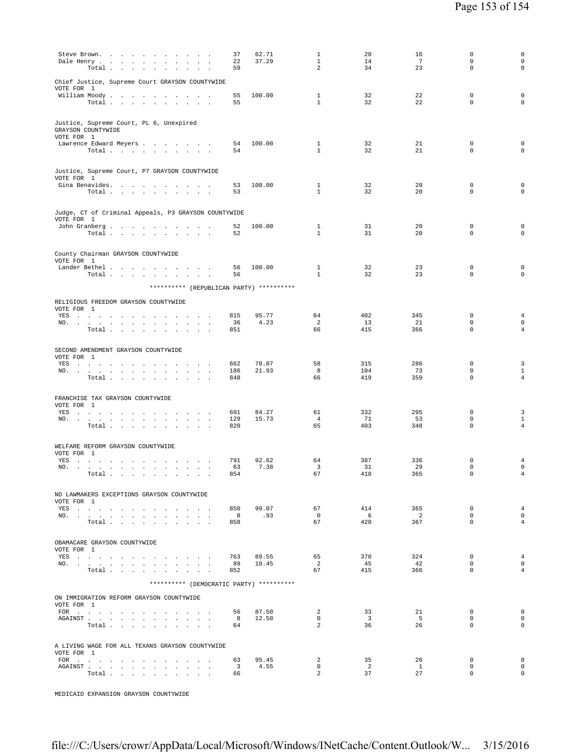| Chief Justice, Supreme Court GRAYSON COUNTYWIDE<br>VOTE FOR 1<br>32<br>22<br>$\mathbf 0$<br>William Moody.<br>100.00<br>1<br>55<br>$\mathbf{1}$<br>32<br>22<br>$\mathbf 0$<br>Total<br>55<br>Justice, Supreme Court, PL 6, Unexpired<br>GRAYSON COUNTYWIDE<br>VOTE FOR 1<br>32<br>21<br>Lawrence Edward Meyers<br>54<br>100.00<br>$\mathbf{1}$<br>0<br>$\mathbf{1}$<br>32<br>21<br>$\mathbf 0$<br>54<br>Total<br>Justice, Supreme Court, P7 GRAYSON COUNTYWIDE<br>VOTE FOR 1<br>32<br>20<br>Gina Benavides.<br>100.00<br>1<br>0<br>53<br>$\mathbf{1}$<br>32<br>20<br>$\mathbf 0$<br>Total<br>53<br>Judge, CT of Criminal Appeals, P3 GRAYSON COUNTYWIDE<br>VOTE FOR 1<br>John Granberg<br>100.00<br>1<br>31<br>20<br>0<br>52<br>$\mathbf{1}$<br>31<br>20<br>$\mathbf 0$<br>Total<br>52<br>County Chairman GRAYSON COUNTYWIDE<br>VOTE FOR 1<br>$\mathbf{1}$<br>32<br>23<br>Lander Bethel<br>100.00<br>0<br>56<br>$\mathbf{1}$<br>32<br>23<br>$\mathbf 0$<br>Total<br>56<br>********** (REPUBLICAN PARTY) **********<br>RELIGIOUS FREEDOM GRAYSON COUNTYWIDE<br>VOTE FOR 1<br>$\mathbf 0$<br>YES a contract of the contract of the state of the state of the state of the state of the state of the state of the state of the state of the state of the state of the state of the state of the state of the state of the st<br>815<br>95.77<br>64<br>402<br>345<br>4.23<br>$\overline{2}$<br>13<br>$\mathbf 0$<br>21<br>NO.<br>36<br>Total<br>66<br>415<br>366<br>$\mathbf 0$<br>851<br>and the control of<br>SECOND AMENDMENT GRAYSON COUNTYWIDE<br>VOTE FOR 1<br>58<br>315<br>286<br>78.07<br>0<br>YES<br>662<br>21.93<br>8<br>104<br>73<br>$\mathbf 0$<br>186<br>NO.<br>Total<br>66<br>419<br>359<br>$\mathbf 0$<br>848<br>FRANCHISE TAX GRAYSON COUNTYWIDE<br>VOTE FOR 1<br>84.27<br>332<br>295<br>$\mathbf 0$<br>691<br>61<br>YES a contract of the contract of the set of the set of the set of the set of the set of the set of the set of the set of the set of the set of the set of the set of the set of the set of the set of the set of the set of t<br>15.73<br>$\overline{4}$<br>71<br>53<br>$\mathbf 0$<br>NO.<br>129<br>65<br>403<br>$\mathbf 0$<br>Total<br>820<br>348<br>WELFARE REFORM GRAYSON COUNTYWIDE<br>VOTE FOR 1<br>64<br>387<br>336<br>791<br>92.62<br>0<br>YES<br>$\sim$<br>7.38<br>3<br>31<br>29<br>$\mathbf 0$<br>NO.<br>63<br>the contract of the contract of the<br>$\cdot$<br>$\cdot$<br>$\cdot$<br>$\,$ .<br>Total<br>854<br>67<br>418<br>365<br>0<br>NO LAWMAKERS EXCEPTIONS GRAYSON COUNTYWIDE<br>VOTE FOR 1<br>99.07<br>414<br>365<br>YES and a contract the contract of the set of the set of the set of the set of the set of the set of the set of the set of the set of the set of the set of the set of the set of the set of the set of the set of the set of<br>850<br>67<br>$^{\circ}$<br>.93<br>$\overline{0}$<br>$\overline{\phantom{0}}^2$<br>$\mathbf 0$<br>8<br>- 6<br>NO.<br>$\sim$<br>$\mathbf{0}$<br>67<br>420<br>Total<br>858<br>367<br>OBAMACARE GRAYSON COUNTYWIDE<br>VOTE FOR 1<br>370<br>324<br>763<br>89.55<br>65<br>0<br>YES<br>$\overline{2}$<br>42<br>$\mathbf 0$<br>10.45<br>45<br>NO.<br>89<br>$\mathbf 0$<br>67<br>415<br>366<br>Total $\cdots$ $\cdots$ $\cdots$<br>852<br>********** (DEMOCRATIC PARTY) **********<br>ON IMMIGRATION REFORM GRAYSON COUNTYWIDE<br>VOTE FOR 1<br>2<br>FOR<br>87.50<br>33<br>21<br>0<br>56<br>12.50<br>$\mathbf{0}$<br>$\overline{\mathbf{3}}$<br>5<br>$\mathbf{0}$<br>8<br>Total<br>2<br>36<br>26<br>64<br>0<br>A LIVING WAGE FOR ALL TEXANS GRAYSON COUNTYWIDE<br>VOTE FOR 1<br>95.45<br>2<br>35<br>26<br>$\mathbf 0$<br>FOR<br>63<br>$\overline{\mathbf{3}}$<br>4.55<br>0<br>2<br>$\mathbf 0$<br>${\tt AGAINST} \hspace{1.5cm} . \hspace{1.5cm} . \hspace{1.5cm} . \hspace{1.5cm} . \hspace{1.5cm} . \hspace{1.5cm} . \hspace{1.5cm} . \hspace{1.5cm} . \hspace{1.5cm} . \hspace{1.5cm} . \hspace{1.5cm} . \hspace{1.5cm} . \hspace{1.5cm} . \hspace{1.5cm} .$<br>1 | $\mathbf 0$<br>$\mathsf 0$<br>$\circ$ |
|------------------------------------------------------------------------------------------------------------------------------------------------------------------------------------------------------------------------------------------------------------------------------------------------------------------------------------------------------------------------------------------------------------------------------------------------------------------------------------------------------------------------------------------------------------------------------------------------------------------------------------------------------------------------------------------------------------------------------------------------------------------------------------------------------------------------------------------------------------------------------------------------------------------------------------------------------------------------------------------------------------------------------------------------------------------------------------------------------------------------------------------------------------------------------------------------------------------------------------------------------------------------------------------------------------------------------------------------------------------------------------------------------------------------------------------------------------------------------------------------------------------------------------------------------------------------------------------------------------------------------------------------------------------------------------------------------------------------------------------------------------------------------------------------------------------------------------------------------------------------------------------------------------------------------------------------------------------------------------------------------------------------------------------------------------------------------------------------------------------------------------------------------------------------------------------------------------------------------------------------------------------------------------------------------------------------------------------------------------------------------------------------------------------------------------------------------------------------------------------------------------------------------------------------------------------------------------------------------------------------------------------------------------------------------------------------------------------------------------------------------------------------------------------------------------------------------------------------------------------------------------------------------------------------------------------------------------------------------------------------------------------------------------------------------------------------------------------------------------------------------------------------------------------------------------------------------------------------------------------------------------------------------------------------------------------------------------------------------------------------------------------------------------------------------------------------------------------------------------------------------------------------------------------------------------------------------------------------------------------------------------------------------------------------------------------------------------------------------------------------------------------------------------------------------------------------------------------------------------------------------------------------------------------------------------------------------------------------|---------------------------------------|
|                                                                                                                                                                                                                                                                                                                                                                                                                                                                                                                                                                                                                                                                                                                                                                                                                                                                                                                                                                                                                                                                                                                                                                                                                                                                                                                                                                                                                                                                                                                                                                                                                                                                                                                                                                                                                                                                                                                                                                                                                                                                                                                                                                                                                                                                                                                                                                                                                                                                                                                                                                                                                                                                                                                                                                                                                                                                                                                                                                                                                                                                                                                                                                                                                                                                                                                                                                                                                                                                                                                                                                                                                                                                                                                                                                                                                                                                                                                                                                        | $\mathsf 0$<br>$\mathbf 0$            |
|                                                                                                                                                                                                                                                                                                                                                                                                                                                                                                                                                                                                                                                                                                                                                                                                                                                                                                                                                                                                                                                                                                                                                                                                                                                                                                                                                                                                                                                                                                                                                                                                                                                                                                                                                                                                                                                                                                                                                                                                                                                                                                                                                                                                                                                                                                                                                                                                                                                                                                                                                                                                                                                                                                                                                                                                                                                                                                                                                                                                                                                                                                                                                                                                                                                                                                                                                                                                                                                                                                                                                                                                                                                                                                                                                                                                                                                                                                                                                                        |                                       |
|                                                                                                                                                                                                                                                                                                                                                                                                                                                                                                                                                                                                                                                                                                                                                                                                                                                                                                                                                                                                                                                                                                                                                                                                                                                                                                                                                                                                                                                                                                                                                                                                                                                                                                                                                                                                                                                                                                                                                                                                                                                                                                                                                                                                                                                                                                                                                                                                                                                                                                                                                                                                                                                                                                                                                                                                                                                                                                                                                                                                                                                                                                                                                                                                                                                                                                                                                                                                                                                                                                                                                                                                                                                                                                                                                                                                                                                                                                                                                                        | $\mathsf 0$<br>$\mathbf 0$            |
|                                                                                                                                                                                                                                                                                                                                                                                                                                                                                                                                                                                                                                                                                                                                                                                                                                                                                                                                                                                                                                                                                                                                                                                                                                                                                                                                                                                                                                                                                                                                                                                                                                                                                                                                                                                                                                                                                                                                                                                                                                                                                                                                                                                                                                                                                                                                                                                                                                                                                                                                                                                                                                                                                                                                                                                                                                                                                                                                                                                                                                                                                                                                                                                                                                                                                                                                                                                                                                                                                                                                                                                                                                                                                                                                                                                                                                                                                                                                                                        |                                       |
|                                                                                                                                                                                                                                                                                                                                                                                                                                                                                                                                                                                                                                                                                                                                                                                                                                                                                                                                                                                                                                                                                                                                                                                                                                                                                                                                                                                                                                                                                                                                                                                                                                                                                                                                                                                                                                                                                                                                                                                                                                                                                                                                                                                                                                                                                                                                                                                                                                                                                                                                                                                                                                                                                                                                                                                                                                                                                                                                                                                                                                                                                                                                                                                                                                                                                                                                                                                                                                                                                                                                                                                                                                                                                                                                                                                                                                                                                                                                                                        | 0<br>$\mathbf 0$                      |
|                                                                                                                                                                                                                                                                                                                                                                                                                                                                                                                                                                                                                                                                                                                                                                                                                                                                                                                                                                                                                                                                                                                                                                                                                                                                                                                                                                                                                                                                                                                                                                                                                                                                                                                                                                                                                                                                                                                                                                                                                                                                                                                                                                                                                                                                                                                                                                                                                                                                                                                                                                                                                                                                                                                                                                                                                                                                                                                                                                                                                                                                                                                                                                                                                                                                                                                                                                                                                                                                                                                                                                                                                                                                                                                                                                                                                                                                                                                                                                        |                                       |
|                                                                                                                                                                                                                                                                                                                                                                                                                                                                                                                                                                                                                                                                                                                                                                                                                                                                                                                                                                                                                                                                                                                                                                                                                                                                                                                                                                                                                                                                                                                                                                                                                                                                                                                                                                                                                                                                                                                                                                                                                                                                                                                                                                                                                                                                                                                                                                                                                                                                                                                                                                                                                                                                                                                                                                                                                                                                                                                                                                                                                                                                                                                                                                                                                                                                                                                                                                                                                                                                                                                                                                                                                                                                                                                                                                                                                                                                                                                                                                        | $\mathsf 0$<br>$\mathbf 0$            |
|                                                                                                                                                                                                                                                                                                                                                                                                                                                                                                                                                                                                                                                                                                                                                                                                                                                                                                                                                                                                                                                                                                                                                                                                                                                                                                                                                                                                                                                                                                                                                                                                                                                                                                                                                                                                                                                                                                                                                                                                                                                                                                                                                                                                                                                                                                                                                                                                                                                                                                                                                                                                                                                                                                                                                                                                                                                                                                                                                                                                                                                                                                                                                                                                                                                                                                                                                                                                                                                                                                                                                                                                                                                                                                                                                                                                                                                                                                                                                                        |                                       |
|                                                                                                                                                                                                                                                                                                                                                                                                                                                                                                                                                                                                                                                                                                                                                                                                                                                                                                                                                                                                                                                                                                                                                                                                                                                                                                                                                                                                                                                                                                                                                                                                                                                                                                                                                                                                                                                                                                                                                                                                                                                                                                                                                                                                                                                                                                                                                                                                                                                                                                                                                                                                                                                                                                                                                                                                                                                                                                                                                                                                                                                                                                                                                                                                                                                                                                                                                                                                                                                                                                                                                                                                                                                                                                                                                                                                                                                                                                                                                                        | $\mathbf 0$<br>$\mathbf 0$            |
|                                                                                                                                                                                                                                                                                                                                                                                                                                                                                                                                                                                                                                                                                                                                                                                                                                                                                                                                                                                                                                                                                                                                                                                                                                                                                                                                                                                                                                                                                                                                                                                                                                                                                                                                                                                                                                                                                                                                                                                                                                                                                                                                                                                                                                                                                                                                                                                                                                                                                                                                                                                                                                                                                                                                                                                                                                                                                                                                                                                                                                                                                                                                                                                                                                                                                                                                                                                                                                                                                                                                                                                                                                                                                                                                                                                                                                                                                                                                                                        |                                       |
|                                                                                                                                                                                                                                                                                                                                                                                                                                                                                                                                                                                                                                                                                                                                                                                                                                                                                                                                                                                                                                                                                                                                                                                                                                                                                                                                                                                                                                                                                                                                                                                                                                                                                                                                                                                                                                                                                                                                                                                                                                                                                                                                                                                                                                                                                                                                                                                                                                                                                                                                                                                                                                                                                                                                                                                                                                                                                                                                                                                                                                                                                                                                                                                                                                                                                                                                                                                                                                                                                                                                                                                                                                                                                                                                                                                                                                                                                                                                                                        |                                       |
|                                                                                                                                                                                                                                                                                                                                                                                                                                                                                                                                                                                                                                                                                                                                                                                                                                                                                                                                                                                                                                                                                                                                                                                                                                                                                                                                                                                                                                                                                                                                                                                                                                                                                                                                                                                                                                                                                                                                                                                                                                                                                                                                                                                                                                                                                                                                                                                                                                                                                                                                                                                                                                                                                                                                                                                                                                                                                                                                                                                                                                                                                                                                                                                                                                                                                                                                                                                                                                                                                                                                                                                                                                                                                                                                                                                                                                                                                                                                                                        | 4                                     |
|                                                                                                                                                                                                                                                                                                                                                                                                                                                                                                                                                                                                                                                                                                                                                                                                                                                                                                                                                                                                                                                                                                                                                                                                                                                                                                                                                                                                                                                                                                                                                                                                                                                                                                                                                                                                                                                                                                                                                                                                                                                                                                                                                                                                                                                                                                                                                                                                                                                                                                                                                                                                                                                                                                                                                                                                                                                                                                                                                                                                                                                                                                                                                                                                                                                                                                                                                                                                                                                                                                                                                                                                                                                                                                                                                                                                                                                                                                                                                                        | $\mathsf{O}\xspace$<br>$\overline{4}$ |
|                                                                                                                                                                                                                                                                                                                                                                                                                                                                                                                                                                                                                                                                                                                                                                                                                                                                                                                                                                                                                                                                                                                                                                                                                                                                                                                                                                                                                                                                                                                                                                                                                                                                                                                                                                                                                                                                                                                                                                                                                                                                                                                                                                                                                                                                                                                                                                                                                                                                                                                                                                                                                                                                                                                                                                                                                                                                                                                                                                                                                                                                                                                                                                                                                                                                                                                                                                                                                                                                                                                                                                                                                                                                                                                                                                                                                                                                                                                                                                        |                                       |
|                                                                                                                                                                                                                                                                                                                                                                                                                                                                                                                                                                                                                                                                                                                                                                                                                                                                                                                                                                                                                                                                                                                                                                                                                                                                                                                                                                                                                                                                                                                                                                                                                                                                                                                                                                                                                                                                                                                                                                                                                                                                                                                                                                                                                                                                                                                                                                                                                                                                                                                                                                                                                                                                                                                                                                                                                                                                                                                                                                                                                                                                                                                                                                                                                                                                                                                                                                                                                                                                                                                                                                                                                                                                                                                                                                                                                                                                                                                                                                        | 3<br>$\mathbf{1}$                     |
|                                                                                                                                                                                                                                                                                                                                                                                                                                                                                                                                                                                                                                                                                                                                                                                                                                                                                                                                                                                                                                                                                                                                                                                                                                                                                                                                                                                                                                                                                                                                                                                                                                                                                                                                                                                                                                                                                                                                                                                                                                                                                                                                                                                                                                                                                                                                                                                                                                                                                                                                                                                                                                                                                                                                                                                                                                                                                                                                                                                                                                                                                                                                                                                                                                                                                                                                                                                                                                                                                                                                                                                                                                                                                                                                                                                                                                                                                                                                                                        | $\overline{4}$                        |
|                                                                                                                                                                                                                                                                                                                                                                                                                                                                                                                                                                                                                                                                                                                                                                                                                                                                                                                                                                                                                                                                                                                                                                                                                                                                                                                                                                                                                                                                                                                                                                                                                                                                                                                                                                                                                                                                                                                                                                                                                                                                                                                                                                                                                                                                                                                                                                                                                                                                                                                                                                                                                                                                                                                                                                                                                                                                                                                                                                                                                                                                                                                                                                                                                                                                                                                                                                                                                                                                                                                                                                                                                                                                                                                                                                                                                                                                                                                                                                        |                                       |
|                                                                                                                                                                                                                                                                                                                                                                                                                                                                                                                                                                                                                                                                                                                                                                                                                                                                                                                                                                                                                                                                                                                                                                                                                                                                                                                                                                                                                                                                                                                                                                                                                                                                                                                                                                                                                                                                                                                                                                                                                                                                                                                                                                                                                                                                                                                                                                                                                                                                                                                                                                                                                                                                                                                                                                                                                                                                                                                                                                                                                                                                                                                                                                                                                                                                                                                                                                                                                                                                                                                                                                                                                                                                                                                                                                                                                                                                                                                                                                        | 3<br>$\mathbf{1}$                     |
|                                                                                                                                                                                                                                                                                                                                                                                                                                                                                                                                                                                                                                                                                                                                                                                                                                                                                                                                                                                                                                                                                                                                                                                                                                                                                                                                                                                                                                                                                                                                                                                                                                                                                                                                                                                                                                                                                                                                                                                                                                                                                                                                                                                                                                                                                                                                                                                                                                                                                                                                                                                                                                                                                                                                                                                                                                                                                                                                                                                                                                                                                                                                                                                                                                                                                                                                                                                                                                                                                                                                                                                                                                                                                                                                                                                                                                                                                                                                                                        | $\overline{4}$                        |
|                                                                                                                                                                                                                                                                                                                                                                                                                                                                                                                                                                                                                                                                                                                                                                                                                                                                                                                                                                                                                                                                                                                                                                                                                                                                                                                                                                                                                                                                                                                                                                                                                                                                                                                                                                                                                                                                                                                                                                                                                                                                                                                                                                                                                                                                                                                                                                                                                                                                                                                                                                                                                                                                                                                                                                                                                                                                                                                                                                                                                                                                                                                                                                                                                                                                                                                                                                                                                                                                                                                                                                                                                                                                                                                                                                                                                                                                                                                                                                        |                                       |
|                                                                                                                                                                                                                                                                                                                                                                                                                                                                                                                                                                                                                                                                                                                                                                                                                                                                                                                                                                                                                                                                                                                                                                                                                                                                                                                                                                                                                                                                                                                                                                                                                                                                                                                                                                                                                                                                                                                                                                                                                                                                                                                                                                                                                                                                                                                                                                                                                                                                                                                                                                                                                                                                                                                                                                                                                                                                                                                                                                                                                                                                                                                                                                                                                                                                                                                                                                                                                                                                                                                                                                                                                                                                                                                                                                                                                                                                                                                                                                        | 4<br>$\mathbf 0$                      |
|                                                                                                                                                                                                                                                                                                                                                                                                                                                                                                                                                                                                                                                                                                                                                                                                                                                                                                                                                                                                                                                                                                                                                                                                                                                                                                                                                                                                                                                                                                                                                                                                                                                                                                                                                                                                                                                                                                                                                                                                                                                                                                                                                                                                                                                                                                                                                                                                                                                                                                                                                                                                                                                                                                                                                                                                                                                                                                                                                                                                                                                                                                                                                                                                                                                                                                                                                                                                                                                                                                                                                                                                                                                                                                                                                                                                                                                                                                                                                                        | $\overline{4}$                        |
|                                                                                                                                                                                                                                                                                                                                                                                                                                                                                                                                                                                                                                                                                                                                                                                                                                                                                                                                                                                                                                                                                                                                                                                                                                                                                                                                                                                                                                                                                                                                                                                                                                                                                                                                                                                                                                                                                                                                                                                                                                                                                                                                                                                                                                                                                                                                                                                                                                                                                                                                                                                                                                                                                                                                                                                                                                                                                                                                                                                                                                                                                                                                                                                                                                                                                                                                                                                                                                                                                                                                                                                                                                                                                                                                                                                                                                                                                                                                                                        |                                       |
|                                                                                                                                                                                                                                                                                                                                                                                                                                                                                                                                                                                                                                                                                                                                                                                                                                                                                                                                                                                                                                                                                                                                                                                                                                                                                                                                                                                                                                                                                                                                                                                                                                                                                                                                                                                                                                                                                                                                                                                                                                                                                                                                                                                                                                                                                                                                                                                                                                                                                                                                                                                                                                                                                                                                                                                                                                                                                                                                                                                                                                                                                                                                                                                                                                                                                                                                                                                                                                                                                                                                                                                                                                                                                                                                                                                                                                                                                                                                                                        | $\overline{4}$<br>$\mathbf{0}$        |
|                                                                                                                                                                                                                                                                                                                                                                                                                                                                                                                                                                                                                                                                                                                                                                                                                                                                                                                                                                                                                                                                                                                                                                                                                                                                                                                                                                                                                                                                                                                                                                                                                                                                                                                                                                                                                                                                                                                                                                                                                                                                                                                                                                                                                                                                                                                                                                                                                                                                                                                                                                                                                                                                                                                                                                                                                                                                                                                                                                                                                                                                                                                                                                                                                                                                                                                                                                                                                                                                                                                                                                                                                                                                                                                                                                                                                                                                                                                                                                        | $\overline{4}$                        |
|                                                                                                                                                                                                                                                                                                                                                                                                                                                                                                                                                                                                                                                                                                                                                                                                                                                                                                                                                                                                                                                                                                                                                                                                                                                                                                                                                                                                                                                                                                                                                                                                                                                                                                                                                                                                                                                                                                                                                                                                                                                                                                                                                                                                                                                                                                                                                                                                                                                                                                                                                                                                                                                                                                                                                                                                                                                                                                                                                                                                                                                                                                                                                                                                                                                                                                                                                                                                                                                                                                                                                                                                                                                                                                                                                                                                                                                                                                                                                                        |                                       |
|                                                                                                                                                                                                                                                                                                                                                                                                                                                                                                                                                                                                                                                                                                                                                                                                                                                                                                                                                                                                                                                                                                                                                                                                                                                                                                                                                                                                                                                                                                                                                                                                                                                                                                                                                                                                                                                                                                                                                                                                                                                                                                                                                                                                                                                                                                                                                                                                                                                                                                                                                                                                                                                                                                                                                                                                                                                                                                                                                                                                                                                                                                                                                                                                                                                                                                                                                                                                                                                                                                                                                                                                                                                                                                                                                                                                                                                                                                                                                                        | $\overline{4}$                        |
|                                                                                                                                                                                                                                                                                                                                                                                                                                                                                                                                                                                                                                                                                                                                                                                                                                                                                                                                                                                                                                                                                                                                                                                                                                                                                                                                                                                                                                                                                                                                                                                                                                                                                                                                                                                                                                                                                                                                                                                                                                                                                                                                                                                                                                                                                                                                                                                                                                                                                                                                                                                                                                                                                                                                                                                                                                                                                                                                                                                                                                                                                                                                                                                                                                                                                                                                                                                                                                                                                                                                                                                                                                                                                                                                                                                                                                                                                                                                                                        | $\mathsf{O}\xspace$<br>$\overline{4}$ |
|                                                                                                                                                                                                                                                                                                                                                                                                                                                                                                                                                                                                                                                                                                                                                                                                                                                                                                                                                                                                                                                                                                                                                                                                                                                                                                                                                                                                                                                                                                                                                                                                                                                                                                                                                                                                                                                                                                                                                                                                                                                                                                                                                                                                                                                                                                                                                                                                                                                                                                                                                                                                                                                                                                                                                                                                                                                                                                                                                                                                                                                                                                                                                                                                                                                                                                                                                                                                                                                                                                                                                                                                                                                                                                                                                                                                                                                                                                                                                                        |                                       |
|                                                                                                                                                                                                                                                                                                                                                                                                                                                                                                                                                                                                                                                                                                                                                                                                                                                                                                                                                                                                                                                                                                                                                                                                                                                                                                                                                                                                                                                                                                                                                                                                                                                                                                                                                                                                                                                                                                                                                                                                                                                                                                                                                                                                                                                                                                                                                                                                                                                                                                                                                                                                                                                                                                                                                                                                                                                                                                                                                                                                                                                                                                                                                                                                                                                                                                                                                                                                                                                                                                                                                                                                                                                                                                                                                                                                                                                                                                                                                                        |                                       |
|                                                                                                                                                                                                                                                                                                                                                                                                                                                                                                                                                                                                                                                                                                                                                                                                                                                                                                                                                                                                                                                                                                                                                                                                                                                                                                                                                                                                                                                                                                                                                                                                                                                                                                                                                                                                                                                                                                                                                                                                                                                                                                                                                                                                                                                                                                                                                                                                                                                                                                                                                                                                                                                                                                                                                                                                                                                                                                                                                                                                                                                                                                                                                                                                                                                                                                                                                                                                                                                                                                                                                                                                                                                                                                                                                                                                                                                                                                                                                                        | $\mathsf{O}\xspace$<br>$\mathbf 0$    |
|                                                                                                                                                                                                                                                                                                                                                                                                                                                                                                                                                                                                                                                                                                                                                                                                                                                                                                                                                                                                                                                                                                                                                                                                                                                                                                                                                                                                                                                                                                                                                                                                                                                                                                                                                                                                                                                                                                                                                                                                                                                                                                                                                                                                                                                                                                                                                                                                                                                                                                                                                                                                                                                                                                                                                                                                                                                                                                                                                                                                                                                                                                                                                                                                                                                                                                                                                                                                                                                                                                                                                                                                                                                                                                                                                                                                                                                                                                                                                                        | $\mathbf 0$                           |
|                                                                                                                                                                                                                                                                                                                                                                                                                                                                                                                                                                                                                                                                                                                                                                                                                                                                                                                                                                                                                                                                                                                                                                                                                                                                                                                                                                                                                                                                                                                                                                                                                                                                                                                                                                                                                                                                                                                                                                                                                                                                                                                                                                                                                                                                                                                                                                                                                                                                                                                                                                                                                                                                                                                                                                                                                                                                                                                                                                                                                                                                                                                                                                                                                                                                                                                                                                                                                                                                                                                                                                                                                                                                                                                                                                                                                                                                                                                                                                        |                                       |
|                                                                                                                                                                                                                                                                                                                                                                                                                                                                                                                                                                                                                                                                                                                                                                                                                                                                                                                                                                                                                                                                                                                                                                                                                                                                                                                                                                                                                                                                                                                                                                                                                                                                                                                                                                                                                                                                                                                                                                                                                                                                                                                                                                                                                                                                                                                                                                                                                                                                                                                                                                                                                                                                                                                                                                                                                                                                                                                                                                                                                                                                                                                                                                                                                                                                                                                                                                                                                                                                                                                                                                                                                                                                                                                                                                                                                                                                                                                                                                        | $\mathbf 0$                           |
| Total<br>2<br>37<br>27<br>$\mathbf 0$<br>66                                                                                                                                                                                                                                                                                                                                                                                                                                                                                                                                                                                                                                                                                                                                                                                                                                                                                                                                                                                                                                                                                                                                                                                                                                                                                                                                                                                                                                                                                                                                                                                                                                                                                                                                                                                                                                                                                                                                                                                                                                                                                                                                                                                                                                                                                                                                                                                                                                                                                                                                                                                                                                                                                                                                                                                                                                                                                                                                                                                                                                                                                                                                                                                                                                                                                                                                                                                                                                                                                                                                                                                                                                                                                                                                                                                                                                                                                                                            | $\mathbf 0$<br>0                      |

MEDICAID EXPANSION GRAYSON COUNTYWIDE